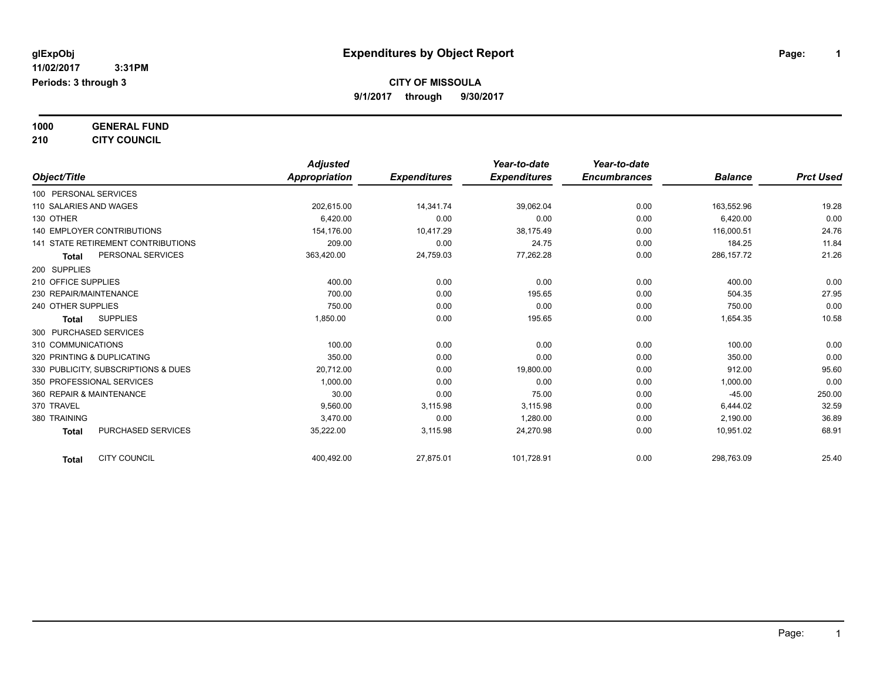**1000 GENERAL FUND**

**210 CITY COUNCIL**

|                                           | <b>Adjusted</b>      |                     | Year-to-date        | Year-to-date        |                |                  |
|-------------------------------------------|----------------------|---------------------|---------------------|---------------------|----------------|------------------|
| Object/Title                              | <b>Appropriation</b> | <b>Expenditures</b> | <b>Expenditures</b> | <b>Encumbrances</b> | <b>Balance</b> | <b>Prct Used</b> |
| 100 PERSONAL SERVICES                     |                      |                     |                     |                     |                |                  |
| 110 SALARIES AND WAGES                    | 202,615.00           | 14,341.74           | 39,062.04           | 0.00                | 163,552.96     | 19.28            |
| 130 OTHER                                 | 6,420.00             | 0.00                | 0.00                | 0.00                | 6,420.00       | 0.00             |
| <b>140 EMPLOYER CONTRIBUTIONS</b>         | 154,176.00           | 10,417.29           | 38,175.49           | 0.00                | 116,000.51     | 24.76            |
| <b>141 STATE RETIREMENT CONTRIBUTIONS</b> | 209.00               | 0.00                | 24.75               | 0.00                | 184.25         | 11.84            |
| PERSONAL SERVICES<br><b>Total</b>         | 363,420.00           | 24,759.03           | 77,262.28           | 0.00                | 286, 157. 72   | 21.26            |
| 200 SUPPLIES                              |                      |                     |                     |                     |                |                  |
| 210 OFFICE SUPPLIES                       | 400.00               | 0.00                | 0.00                | 0.00                | 400.00         | 0.00             |
| 230 REPAIR/MAINTENANCE                    | 700.00               | 0.00                | 195.65              | 0.00                | 504.35         | 27.95            |
| 240 OTHER SUPPLIES                        | 750.00               | 0.00                | 0.00                | 0.00                | 750.00         | 0.00             |
| <b>SUPPLIES</b><br><b>Total</b>           | 1,850.00             | 0.00                | 195.65              | 0.00                | 1,654.35       | 10.58            |
| 300 PURCHASED SERVICES                    |                      |                     |                     |                     |                |                  |
| 310 COMMUNICATIONS                        | 100.00               | 0.00                | 0.00                | 0.00                | 100.00         | 0.00             |
| 320 PRINTING & DUPLICATING                | 350.00               | 0.00                | 0.00                | 0.00                | 350.00         | 0.00             |
| 330 PUBLICITY, SUBSCRIPTIONS & DUES       | 20,712.00            | 0.00                | 19,800.00           | 0.00                | 912.00         | 95.60            |
| 350 PROFESSIONAL SERVICES                 | 1,000.00             | 0.00                | 0.00                | 0.00                | 1,000.00       | 0.00             |
| 360 REPAIR & MAINTENANCE                  | 30.00                | 0.00                | 75.00               | 0.00                | $-45.00$       | 250.00           |
| 370 TRAVEL                                | 9,560.00             | 3,115.98            | 3,115.98            | 0.00                | 6,444.02       | 32.59            |
| 380 TRAINING                              | 3,470.00             | 0.00                | 1,280.00            | 0.00                | 2,190.00       | 36.89            |
| <b>PURCHASED SERVICES</b><br><b>Total</b> | 35,222.00            | 3,115.98            | 24,270.98           | 0.00                | 10,951.02      | 68.91            |
| <b>CITY COUNCIL</b><br><b>Total</b>       | 400,492.00           | 27,875.01           | 101,728.91          | 0.00                | 298,763.09     | 25.40            |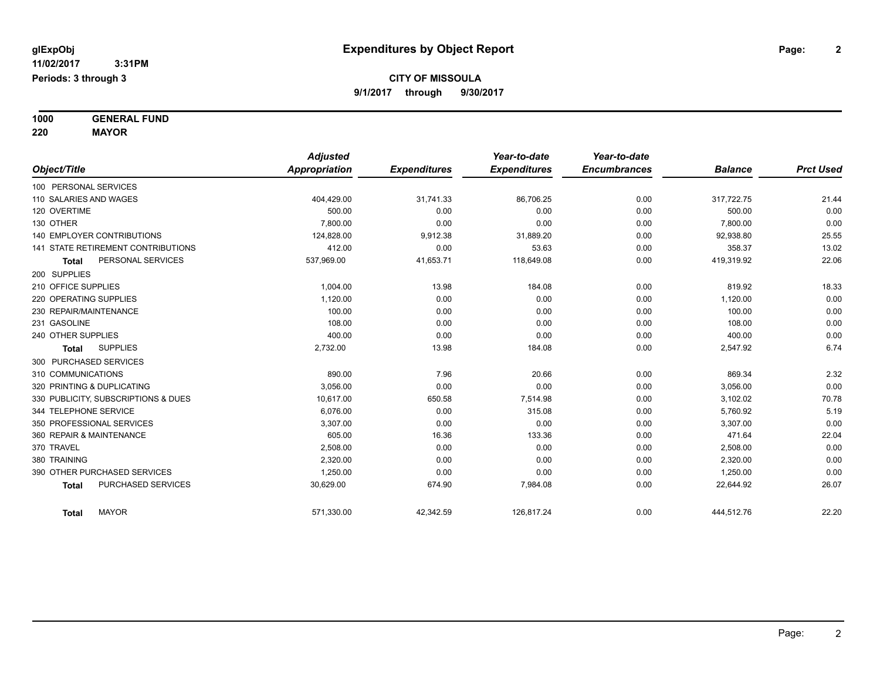**1000 GENERAL FUND 220 MAYOR**

*Object/Title Adjusted Appropriation Expenditures Year-to-date Expenditures Year-to-date Encumbrances Balance Prct Used* 100 PERSONAL SERVICES 110 SALARIES AND WAGES 404,429.00 31,741.33 86,706.25 0.00 317,722.75 21.44 120 OVERTIME 500.00 0.00 0.00 0.00 500.00 0.00 130 OTHER 7,800.00 0.00 0.00 0.00 7,800.00 0.00 140 EMPLOYER CONTRIBUTIONS 125,55 00 124,828.00 9,912.38 31,889.20 0.00 9,919.38,80 92,938.80 35.55 141 STATE RETIREMENT CONTRIBUTIONS 412.00 0.00 53.63 0.00 358.37 13.02 **Total** PERSONAL SERVICES 537,969.00 41,653.71 118,649.08 0.00 419,319.92 22.06 200 SUPPLIES 210 OFFICE SUPPLIES 1,004.00 13.98 184.08 0.00 819.92 18.33 220 OPERATING SUPPLIES 1,120.00 0.00 0.00 0.00 1,120.00 0.00  $230$  REPAIR/MAINTENANCE  $\hphantom{-}0.00$   $\hphantom{-}0.00$   $\hphantom{-}0.00$   $\hphantom{-}0.00$   $\hphantom{-}0.00$   $\hphantom{-}0.00$   $\hphantom{-}0.00$ 231 GASOLINE 108.00 0.00 0.00 0.00 108.00 0.00 240 OTHER SUPPLIES 400.00 0.00 0.00 0.00 400.00 0.00 **Total** SUPPLIES 2,732.00 13.98 184.08 0.00 2,547.92 6.74 300 PURCHASED SERVICES 310 COMMUNICATIONS 890.00 7.96 20.66 0.00 869.34 2.32 320 PRINTING & DUPLICATING 3,056.00 0.00 0.00 0.00 3,056.00 0.00 330 PUBLICITY, SUBSCRIPTIONS & DUES 10,617.00 650.58 7,514.98 0.00 3,102.02 70.78 344 TELEPHONE SERVICE 6,076.00 0.00 315.08 0.00 5,760.92 5.19 350 PROFESSIONAL SERVICES 3,307.00 0.00 0.00 0.00 3,307.00 0.00 360 REPAIR & MAINTENANCE 22.04 22.04 16.36 16.36 133.36 133.36 133.36 10.00 471.64 22.04 370 TRAVEL 2,508.00 0.00 0.00 0.00 2,508.00 0.00 380 TRAINING 2,320.00 0.00 0.00 0.00 2,320.00 0.00 390 OTHER PURCHASED SERVICES 1,250.00 0.00 0.00 0.00 1,250.00 0.00 **Total** PURCHASED SERVICES 677.984.08 30,629.00 674.90 674.90 7,984.08 678.90 0.00 22,644.92 26.07 **Total** MAYOR 571,330.00 42,342.59 126,817.24 0.00 444,512.76 22.20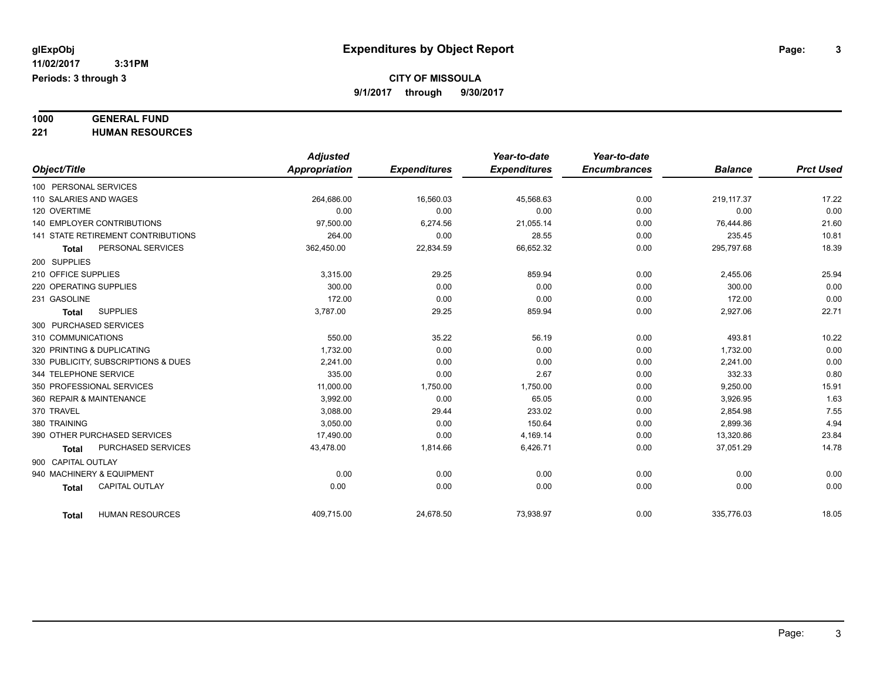# **1000 GENERAL FUND**

**221 HUMAN RESOURCES**

|                                           |                        | <b>Adjusted</b> |                     | Year-to-date        | Year-to-date        |                |                  |
|-------------------------------------------|------------------------|-----------------|---------------------|---------------------|---------------------|----------------|------------------|
| Object/Title                              |                        | Appropriation   | <b>Expenditures</b> | <b>Expenditures</b> | <b>Encumbrances</b> | <b>Balance</b> | <b>Prct Used</b> |
| 100 PERSONAL SERVICES                     |                        |                 |                     |                     |                     |                |                  |
| 110 SALARIES AND WAGES                    |                        | 264.686.00      | 16,560.03           | 45,568.63           | 0.00                | 219,117.37     | 17.22            |
| 120 OVERTIME                              |                        | 0.00            | 0.00                | 0.00                | 0.00                | 0.00           | 0.00             |
| <b>140 EMPLOYER CONTRIBUTIONS</b>         |                        | 97,500.00       | 6,274.56            | 21,055.14           | 0.00                | 76,444.86      | 21.60            |
| <b>141 STATE RETIREMENT CONTRIBUTIONS</b> |                        | 264.00          | 0.00                | 28.55               | 0.00                | 235.45         | 10.81            |
| Total                                     | PERSONAL SERVICES      | 362,450.00      | 22,834.59           | 66,652.32           | 0.00                | 295,797.68     | 18.39            |
| 200 SUPPLIES                              |                        |                 |                     |                     |                     |                |                  |
| 210 OFFICE SUPPLIES                       |                        | 3,315.00        | 29.25               | 859.94              | 0.00                | 2,455.06       | 25.94            |
| 220 OPERATING SUPPLIES                    |                        | 300.00          | 0.00                | 0.00                | 0.00                | 300.00         | 0.00             |
| 231 GASOLINE                              |                        | 172.00          | 0.00                | 0.00                | 0.00                | 172.00         | 0.00             |
| <b>SUPPLIES</b><br><b>Total</b>           |                        | 3,787.00        | 29.25               | 859.94              | 0.00                | 2,927.06       | 22.71            |
| 300 PURCHASED SERVICES                    |                        |                 |                     |                     |                     |                |                  |
| 310 COMMUNICATIONS                        |                        | 550.00          | 35.22               | 56.19               | 0.00                | 493.81         | 10.22            |
| 320 PRINTING & DUPLICATING                |                        | 1,732.00        | 0.00                | 0.00                | 0.00                | 1,732.00       | 0.00             |
| 330 PUBLICITY, SUBSCRIPTIONS & DUES       |                        | 2.241.00        | 0.00                | 0.00                | 0.00                | 2.241.00       | 0.00             |
| 344 TELEPHONE SERVICE                     |                        | 335.00          | 0.00                | 2.67                | 0.00                | 332.33         | 0.80             |
| 350 PROFESSIONAL SERVICES                 |                        | 11,000.00       | 1,750.00            | 1,750.00            | 0.00                | 9,250.00       | 15.91            |
| 360 REPAIR & MAINTENANCE                  |                        | 3,992.00        | 0.00                | 65.05               | 0.00                | 3,926.95       | 1.63             |
| 370 TRAVEL                                |                        | 3,088.00        | 29.44               | 233.02              | 0.00                | 2,854.98       | 7.55             |
| 380 TRAINING                              |                        | 3,050.00        | 0.00                | 150.64              | 0.00                | 2,899.36       | 4.94             |
| 390 OTHER PURCHASED SERVICES              |                        | 17,490.00       | 0.00                | 4,169.14            | 0.00                | 13,320.86      | 23.84            |
| <b>Total</b>                              | PURCHASED SERVICES     | 43,478.00       | 1,814.66            | 6,426.71            | 0.00                | 37,051.29      | 14.78            |
| 900 CAPITAL OUTLAY                        |                        |                 |                     |                     |                     |                |                  |
| 940 MACHINERY & EQUIPMENT                 |                        | 0.00            | 0.00                | 0.00                | 0.00                | 0.00           | 0.00             |
| <b>CAPITAL OUTLAY</b><br><b>Total</b>     |                        | 0.00            | 0.00                | 0.00                | 0.00                | 0.00           | 0.00             |
| Total                                     | <b>HUMAN RESOURCES</b> | 409,715.00      | 24,678.50           | 73,938.97           | 0.00                | 335,776.03     | 18.05            |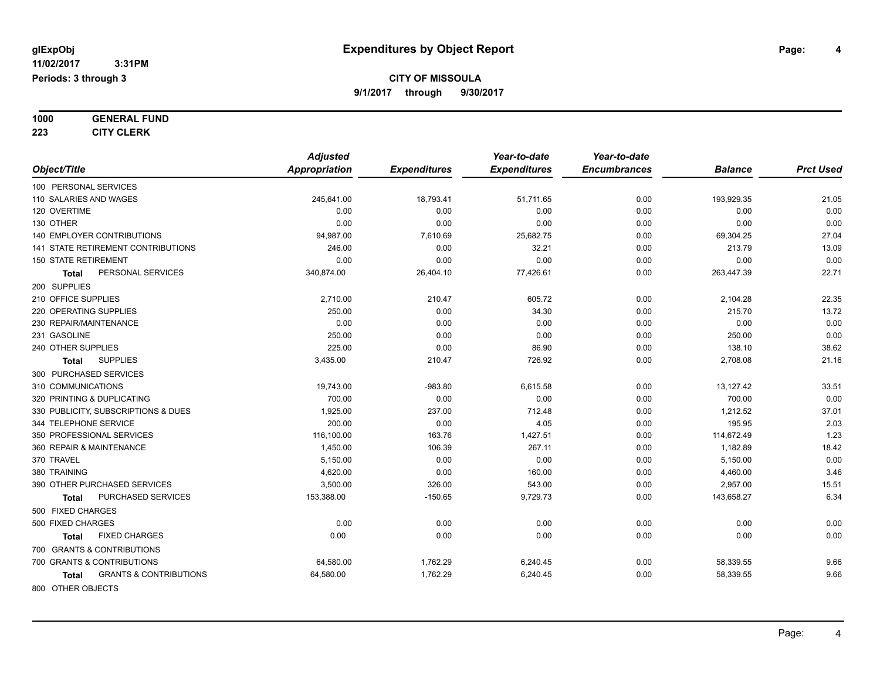**1000 GENERAL FUND**

**223 CITY CLERK**

|                                            | <b>Adjusted</b>      |                     | Year-to-date        | Year-to-date        |                |                  |
|--------------------------------------------|----------------------|---------------------|---------------------|---------------------|----------------|------------------|
| Object/Title                               | <b>Appropriation</b> | <b>Expenditures</b> | <b>Expenditures</b> | <b>Encumbrances</b> | <b>Balance</b> | <b>Prct Used</b> |
| 100 PERSONAL SERVICES                      |                      |                     |                     |                     |                |                  |
| 110 SALARIES AND WAGES                     | 245,641.00           | 18,793.41           | 51,711.65           | 0.00                | 193,929.35     | 21.05            |
| 120 OVERTIME                               | 0.00                 | 0.00                | 0.00                | 0.00                | 0.00           | 0.00             |
| 130 OTHER                                  | 0.00                 | 0.00                | 0.00                | 0.00                | 0.00           | 0.00             |
| <b>140 EMPLOYER CONTRIBUTIONS</b>          | 94,987.00            | 7,610.69            | 25,682.75           | 0.00                | 69,304.25      | 27.04            |
| 141 STATE RETIREMENT CONTRIBUTIONS         | 246.00               | 0.00                | 32.21               | 0.00                | 213.79         | 13.09            |
| <b>150 STATE RETIREMENT</b>                | 0.00                 | 0.00                | 0.00                | 0.00                | 0.00           | 0.00             |
| PERSONAL SERVICES<br><b>Total</b>          | 340,874.00           | 26,404.10           | 77,426.61           | 0.00                | 263,447.39     | 22.71            |
| 200 SUPPLIES                               |                      |                     |                     |                     |                |                  |
| 210 OFFICE SUPPLIES                        | 2,710.00             | 210.47              | 605.72              | 0.00                | 2,104.28       | 22.35            |
| 220 OPERATING SUPPLIES                     | 250.00               | 0.00                | 34.30               | 0.00                | 215.70         | 13.72            |
| 230 REPAIR/MAINTENANCE                     | 0.00                 | 0.00                | 0.00                | 0.00                | 0.00           | 0.00             |
| 231 GASOLINE                               | 250.00               | 0.00                | 0.00                | 0.00                | 250.00         | 0.00             |
| 240 OTHER SUPPLIES                         | 225.00               | 0.00                | 86.90               | 0.00                | 138.10         | 38.62            |
| <b>SUPPLIES</b><br><b>Total</b>            | 3,435.00             | 210.47              | 726.92              | 0.00                | 2,708.08       | 21.16            |
| 300 PURCHASED SERVICES                     |                      |                     |                     |                     |                |                  |
| 310 COMMUNICATIONS                         | 19,743.00            | $-983.80$           | 6,615.58            | 0.00                | 13,127.42      | 33.51            |
| 320 PRINTING & DUPLICATING                 | 700.00               | 0.00                | 0.00                | 0.00                | 700.00         | 0.00             |
| 330 PUBLICITY, SUBSCRIPTIONS & DUES        | 1,925.00             | 237.00              | 712.48              | 0.00                | 1,212.52       | 37.01            |
| 344 TELEPHONE SERVICE                      | 200.00               | 0.00                | 4.05                | 0.00                | 195.95         | 2.03             |
| 350 PROFESSIONAL SERVICES                  | 116,100.00           | 163.76              | 1,427.51            | 0.00                | 114,672.49     | 1.23             |
| 360 REPAIR & MAINTENANCE                   | 1,450.00             | 106.39              | 267.11              | 0.00                | 1,182.89       | 18.42            |
| 370 TRAVEL                                 | 5,150.00             | 0.00                | 0.00                | 0.00                | 5,150.00       | 0.00             |
| 380 TRAINING                               | 4.620.00             | 0.00                | 160.00              | 0.00                | 4,460.00       | 3.46             |
| 390 OTHER PURCHASED SERVICES               | 3,500.00             | 326.00              | 543.00              | 0.00                | 2,957.00       | 15.51            |
| PURCHASED SERVICES<br>Total                | 153,388.00           | $-150.65$           | 9,729.73            | 0.00                | 143,658.27     | 6.34             |
| 500 FIXED CHARGES                          |                      |                     |                     |                     |                |                  |
| 500 FIXED CHARGES                          | 0.00                 | 0.00                | 0.00                | 0.00                | 0.00           | 0.00             |
| <b>FIXED CHARGES</b><br>Total              | 0.00                 | 0.00                | 0.00                | 0.00                | 0.00           | 0.00             |
| 700 GRANTS & CONTRIBUTIONS                 |                      |                     |                     |                     |                |                  |
| 700 GRANTS & CONTRIBUTIONS                 | 64,580.00            | 1,762.29            | 6,240.45            | 0.00                | 58,339.55      | 9.66             |
| <b>GRANTS &amp; CONTRIBUTIONS</b><br>Total | 64,580.00            | 1,762.29            | 6,240.45            | 0.00                | 58,339.55      | 9.66             |
| 800 OTHER OBJECTS                          |                      |                     |                     |                     |                |                  |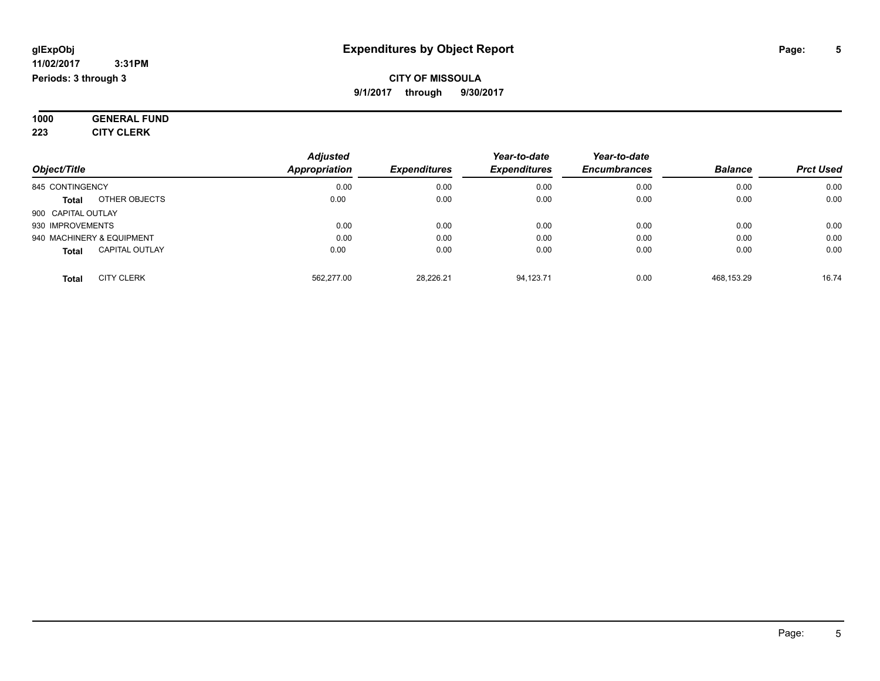#### **11/02/2017 3:31PM Periods: 3 through 3**

#### **CITY OF MISSOULA 9/1/2017 through 9/30/2017**

**1000 GENERAL FUND 223 CITY CLERK**

|                                       | <b>Adjusted</b> |                     | Year-to-date        | Year-to-date        |                |                  |
|---------------------------------------|-----------------|---------------------|---------------------|---------------------|----------------|------------------|
| Object/Title                          | Appropriation   | <b>Expenditures</b> | <b>Expenditures</b> | <b>Encumbrances</b> | <b>Balance</b> | <b>Prct Used</b> |
| 845 CONTINGENCY                       | 0.00            | 0.00                | 0.00                | 0.00                | 0.00           | 0.00             |
| OTHER OBJECTS<br><b>Total</b>         | 0.00            | 0.00                | 0.00                | 0.00                | 0.00           | 0.00             |
| 900 CAPITAL OUTLAY                    |                 |                     |                     |                     |                |                  |
| 930 IMPROVEMENTS                      | 0.00            | 0.00                | 0.00                | 0.00                | 0.00           | 0.00             |
| 940 MACHINERY & EQUIPMENT             | 0.00            | 0.00                | 0.00                | 0.00                | 0.00           | 0.00             |
| <b>CAPITAL OUTLAY</b><br><b>Total</b> | 0.00            | 0.00                | 0.00                | 0.00                | 0.00           | 0.00             |
| <b>CITY CLERK</b><br>Total            | 562.277.00      | 28.226.21           | 94.123.71           | 0.00                | 468.153.29     | 16.74            |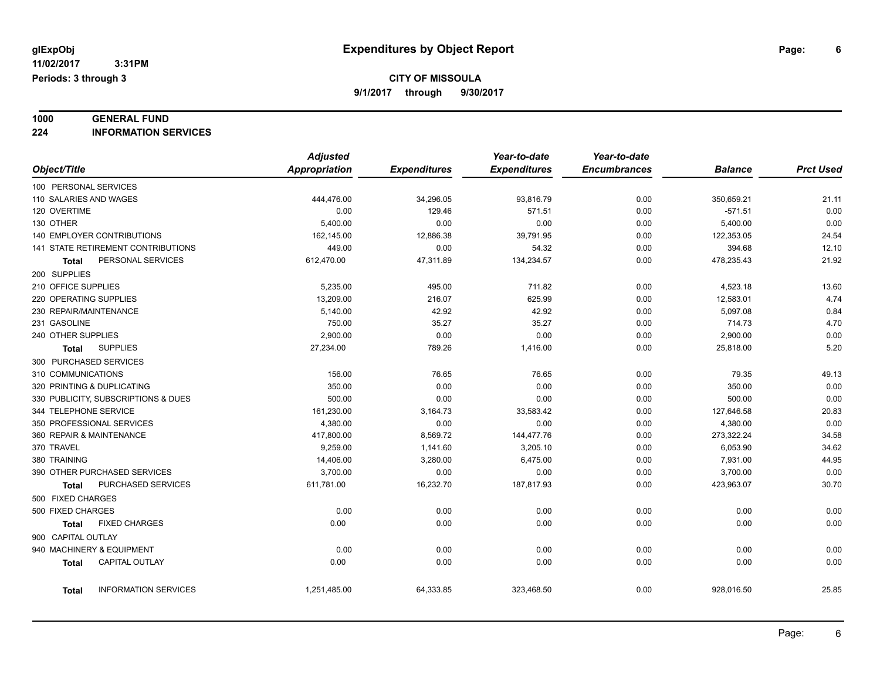### **1000 GENERAL FUND**

**224 INFORMATION SERVICES**

|                              |                                           | <b>Adjusted</b> |                     | Year-to-date        | Year-to-date        |                |                  |
|------------------------------|-------------------------------------------|-----------------|---------------------|---------------------|---------------------|----------------|------------------|
| Object/Title                 |                                           | Appropriation   | <b>Expenditures</b> | <b>Expenditures</b> | <b>Encumbrances</b> | <b>Balance</b> | <b>Prct Used</b> |
| 100 PERSONAL SERVICES        |                                           |                 |                     |                     |                     |                |                  |
| 110 SALARIES AND WAGES       |                                           | 444,476.00      | 34,296.05           | 93,816.79           | 0.00                | 350,659.21     | 21.11            |
| 120 OVERTIME                 |                                           | 0.00            | 129.46              | 571.51              | 0.00                | $-571.51$      | 0.00             |
| 130 OTHER                    |                                           | 5,400.00        | 0.00                | 0.00                | 0.00                | 5,400.00       | 0.00             |
| 140 EMPLOYER CONTRIBUTIONS   |                                           | 162,145.00      | 12,886.38           | 39,791.95           | 0.00                | 122,353.05     | 24.54            |
|                              | <b>141 STATE RETIREMENT CONTRIBUTIONS</b> | 449.00          | 0.00                | 54.32               | 0.00                | 394.68         | 12.10            |
| Total                        | PERSONAL SERVICES                         | 612,470.00      | 47,311.89           | 134,234.57          | 0.00                | 478,235.43     | 21.92            |
| 200 SUPPLIES                 |                                           |                 |                     |                     |                     |                |                  |
| 210 OFFICE SUPPLIES          |                                           | 5,235.00        | 495.00              | 711.82              | 0.00                | 4,523.18       | 13.60            |
| 220 OPERATING SUPPLIES       |                                           | 13,209.00       | 216.07              | 625.99              | 0.00                | 12,583.01      | 4.74             |
| 230 REPAIR/MAINTENANCE       |                                           | 5,140.00        | 42.92               | 42.92               | 0.00                | 5,097.08       | 0.84             |
| 231 GASOLINE                 |                                           | 750.00          | 35.27               | 35.27               | 0.00                | 714.73         | 4.70             |
| 240 OTHER SUPPLIES           |                                           | 2,900.00        | 0.00                | 0.00                | 0.00                | 2,900.00       | 0.00             |
| <b>Total</b>                 | <b>SUPPLIES</b>                           | 27,234.00       | 789.26              | 1,416.00            | 0.00                | 25,818.00      | 5.20             |
| 300 PURCHASED SERVICES       |                                           |                 |                     |                     |                     |                |                  |
| 310 COMMUNICATIONS           |                                           | 156.00          | 76.65               | 76.65               | 0.00                | 79.35          | 49.13            |
| 320 PRINTING & DUPLICATING   |                                           | 350.00          | 0.00                | 0.00                | 0.00                | 350.00         | 0.00             |
|                              | 330 PUBLICITY, SUBSCRIPTIONS & DUES       | 500.00          | 0.00                | 0.00                | 0.00                | 500.00         | 0.00             |
| 344 TELEPHONE SERVICE        |                                           | 161,230.00      | 3,164.73            | 33,583.42           | 0.00                | 127,646.58     | 20.83            |
| 350 PROFESSIONAL SERVICES    |                                           | 4,380.00        | 0.00                | 0.00                | 0.00                | 4,380.00       | 0.00             |
| 360 REPAIR & MAINTENANCE     |                                           | 417,800.00      | 8,569.72            | 144,477.76          | 0.00                | 273,322.24     | 34.58            |
| 370 TRAVEL                   |                                           | 9,259.00        | 1,141.60            | 3,205.10            | 0.00                | 6,053.90       | 34.62            |
| 380 TRAINING                 |                                           | 14,406.00       | 3,280.00            | 6,475.00            | 0.00                | 7,931.00       | 44.95            |
| 390 OTHER PURCHASED SERVICES |                                           | 3,700.00        | 0.00                | 0.00                | 0.00                | 3,700.00       | 0.00             |
| Total                        | PURCHASED SERVICES                        | 611,781.00      | 16,232.70           | 187,817.93          | 0.00                | 423,963.07     | 30.70            |
| 500 FIXED CHARGES            |                                           |                 |                     |                     |                     |                |                  |
| 500 FIXED CHARGES            |                                           | 0.00            | 0.00                | 0.00                | 0.00                | 0.00           | 0.00             |
| Total                        | <b>FIXED CHARGES</b>                      | 0.00            | 0.00                | 0.00                | 0.00                | 0.00           | 0.00             |
| 900 CAPITAL OUTLAY           |                                           |                 |                     |                     |                     |                |                  |
| 940 MACHINERY & EQUIPMENT    |                                           | 0.00            | 0.00                | 0.00                | 0.00                | 0.00           | 0.00             |
| <b>Total</b>                 | <b>CAPITAL OUTLAY</b>                     | 0.00            | 0.00                | 0.00                | 0.00                | 0.00           | 0.00             |
| Total                        | <b>INFORMATION SERVICES</b>               | 1,251,485.00    | 64,333.85           | 323,468.50          | 0.00                | 928,016.50     | 25.85            |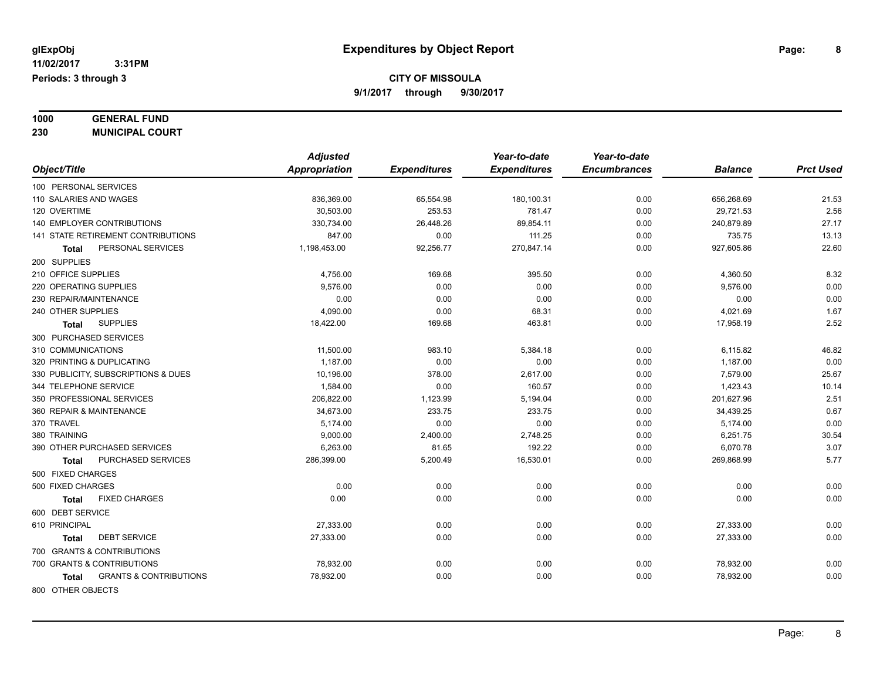**1000 GENERAL FUND**

**230 MUNICIPAL COURT** *Object/Title Adjusted Appropriation Expenditures Year-to-date Expenditures Year-to-date Encumbrances Balance Prct Used* 100 PERSONAL SERVICES 110 SALARIES AND WAGES 836,369.00 65,554.98 180,100.31 0.00 656,268.69 21.53 120 OVERTIME 30,503.00 253.53 781.47 0.00 29,721.53 2.56 140 EMPLOYER CONTRIBUTIONS 330,734.00 26,448.26 89,854.11 0.00 240,879.89 27.17 141 STATE RETIREMENT CONTRIBUTIONS 847.00 111.25 0.00 735.75 13.13 **Total** PERSONAL SERVICES 1,198,453.00 1,198,453.00 92,256.77 270,847.14 0.00 927,605.86 22.60 200 SUPPLIES 210 OFFICE SUPPLIES 4,756.00 169.68 395.50 0.00 4,360.50 8.32 220 OPERATING SUPPLIES 9,576.00 0.00 0.00 0.00 9,576.00 0.00 230 REPAIR/MAINTENANCE 0.00 0.00 0.00 0.00 0.00 0.00 240 OTHER SUPPLIES 4,090.00 0.00 68.31 0.00 4,021.69 1.67 **Total** SUPPLIES 18,422.00 169.68 463.81 0.00 17,958.19 2.52 300 PURCHASED SERVICES 310 COMMUNICATIONS 11,500.00 983.10 5,384.18 0.00 6,115.82 46.82 320 PRINTING & DUPLICATING 1,187.00 0.00 0.00 0.00 1,187.00 0.00 330 PUBLICITY, SUBSCRIPTIONS & DUES 10,196.00 378.00 2,617.00 0.00 7,579.00 25.67 344 TELEPHONE SERVICE 1.584.00 0.00 160.57 0.00 1.423.43 10.14 350 PROFESSIONAL SERVICES 206,822.00 1,123.99 5,194.04 0.00 201,627.96 2.51 360 REPAIR & MAINTENANCE 34,673.00 233.75 233.75 0.00 34,439.25 0.67 370 TRAVEL 5,174.00 0.00 0.00 0.00 5,174.00 0.00 380 TRAINING 9,000.00 2,400.00 2,748.25 0.00 6,251.75 30.54 390 OTHER PURCHASED SERVICES  $\begin{array}{cccccccc}\n & 6,263.00 \\
& 81.65\n \end{array}$  192.22  $\begin{array}{cccccccc}\n & 0.00 \\
& 0.00\n \end{array}$  6,070.78  $\begin{array}{cccccccc}\n & 3.07\n \end{array}$ **Total** PURCHASED SERVICES 286,399.00 286,399.00 5,200.49 16,530.01 0.00 269,868.99 5.77 500 FIXED CHARGES 500 FIXED CHARGES 0.00 0.00 0.00 0.00 0.00 0.00 **Total** FIXED CHARGES 0.00 0.00 0.00 0.00 0.00 0.00 600 DEBT SERVICE 610 PRINCIPAL 27,333.00 0.00 0.00 0.00 27,333.00 0.00 **Total** DEBT SERVICE 27,333.00 0.00 0.00 0.00 27,333.00 0.00 700 GRANTS & CONTRIBUTIONS 700 GRANTS & CONTRIBUTIONS 78,932.00 0.00 0.00 0.00 78,932.00 0.00 **Total** GRANTS & CONTRIBUTIONS 78,932.00 0.00 0.00 0.00 78,932.00 0.00

800 OTHER OBJECTS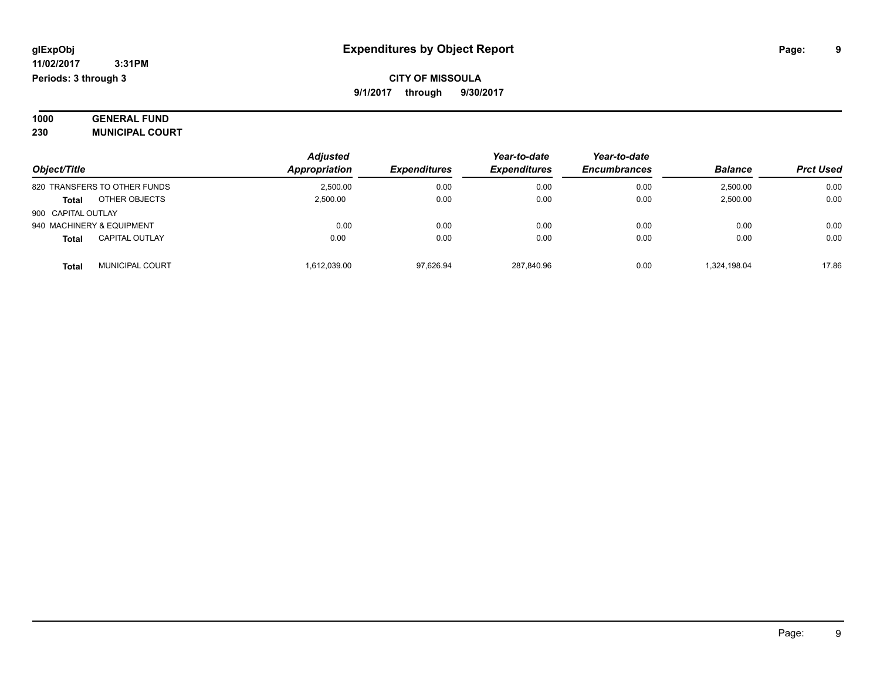| 1000 | <b>GENERAL FUND</b>    |  |
|------|------------------------|--|
| 230  | <b>MUNICIPAL COURT</b> |  |

|                           |                              | <b>Adjusted</b> |                     | Year-to-date        | Year-to-date        |                |                  |
|---------------------------|------------------------------|-----------------|---------------------|---------------------|---------------------|----------------|------------------|
| Object/Title              |                              | Appropriation   | <b>Expenditures</b> | <b>Expenditures</b> | <b>Encumbrances</b> | <b>Balance</b> | <b>Prct Used</b> |
|                           | 820 TRANSFERS TO OTHER FUNDS | 2.500.00        | 0.00                | 0.00                | 0.00                | 2,500.00       | 0.00             |
| <b>Total</b>              | OTHER OBJECTS                | 2.500.00        | 0.00                | 0.00                | 0.00                | 2,500.00       | 0.00             |
| 900 CAPITAL OUTLAY        |                              |                 |                     |                     |                     |                |                  |
| 940 MACHINERY & EQUIPMENT |                              | 0.00            | 0.00                | 0.00                | 0.00                | 0.00           | 0.00             |
| <b>Total</b>              | <b>CAPITAL OUTLAY</b>        | 0.00            | 0.00                | 0.00                | 0.00                | 0.00           | 0.00             |
| Total                     | <b>MUNICIPAL COURT</b>       | 1.612.039.00    | 97.626.94           | 287.840.96          | 0.00                | 1.324.198.04   | 17.86            |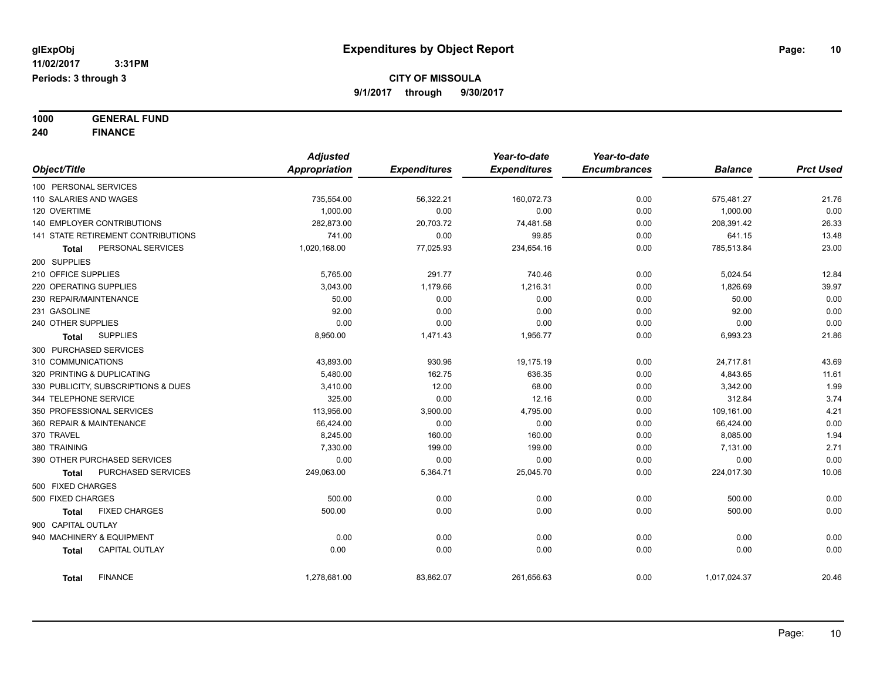**1000 GENERAL FUND**

900 CAPITAL OUTLAY

**240 FINANCE** *Object/Title Adjusted Appropriation Expenditures Year-to-date Expenditures Year-to-date Encumbrances Balance Prct Used* 100 PERSONAL SERVICES 110 SALARIES AND WAGES 735,554.00 56,322.21 160,072.73 0.00 575,481.27 21.76 120 OVERTIME 1,000.00 0.00 0.00 0.00 1,000.00 0.00 140 EMPLOYER CONTRIBUTIONS 282,873.00 20,703.72 74,481.58 0.00 208,391.42 26.33 141 STATE RETIREMENT CONTRIBUTIONS 741.00 0.00 99.85 0.00 641.15 13.48 **Total** PERSONAL SERVICES 1,020,168.00 77,025.93 234,654.16 0.00 785,513.84 23.00 200 SUPPLIES 210 OFFICE SUPPLIES 5,765.00 291.77 740.46 0.00 5,024.54 12.84 220 OPERATING SUPPLIES CHARGE ASSAULT AND ACCORDING A SACRED AND ACCORDING A SACRED AND A SACRED A SOLUTION OF THE SACRED ASSAULT A SACRED A SOLUTION OF THE SACRED ASSAULT A SACRED ASSAULT A SACRED A SOLUTION OF THE SACRED 230 REPAIR/MAINTENANCE 50.00 0.00 0.00 0.00 50.00 0.00 231 GASOLINE 92.00 0.00 0.00 0.00 92.00 0.00 240 OTHER SUPPLIES 0.00 0.00 0.00 0.00 0.00 0.00 **Total** SUPPLIES 8,950.00 1,471.43 1,956.77 0.00 6,993.23 21.86 300 PURCHASED SERVICES 310 COMMUNICATIONS 43,893.00 930.96 19,175.19 0.00 24,717.81 43.69 320 PRINTING & DUPLICATING 5,480.00 162.75 636.35 0.00 4,843.65 11.61 330 PUBLICITY, SUBSCRIPTIONS & DUES 3,410.00 12.00 68.00 0.00 3,342.00 1.99 344 TELEPHONE SERVICE 325.00 0.00 12.16 0.00 312.84 3.74 350 PROFESSIONAL SERVICES 113,956.00 3,900.00 4,795.00 0.00 109,161.00 4.21 360 REPAIR & MAINTENANCE 66,424.00 0.00 0.00 0.00 66,424.00 0.00 370 TRAVEL 8,245.00 160.00 160.00 0.00 8,085.00 1.94 380 TRAINING 7,330.00 199.00 199.00 0.00 7,131.00 2.71 390 OTHER PURCHASED SERVICES 0.00 0.00 0.00 0.00 0.00 0.00 **Total** PURCHASED SERVICES 249,063.00 5,364.71 25,045.70 0.00 224,017.30 10.06 500 FIXED CHARGES 500 FIXED CHARGES 500.00 0.00 0.00 0.00 500.00 0.00 **Total** FIXED CHARGES 500.00 0.00 0.00 0.00 500.00 0.00

940 MACHINERY & EQUIPMENT 0.00 0.00 0.00 0.00 0.00 0.00 **Total** CAPITAL OUTLAY 0.00 0.00 0.00 0.00 0.00 0.00

**Total** FINANCE 1,278,681.00 83,862.07 261,656.63 0.00 1,017,024.37 20.46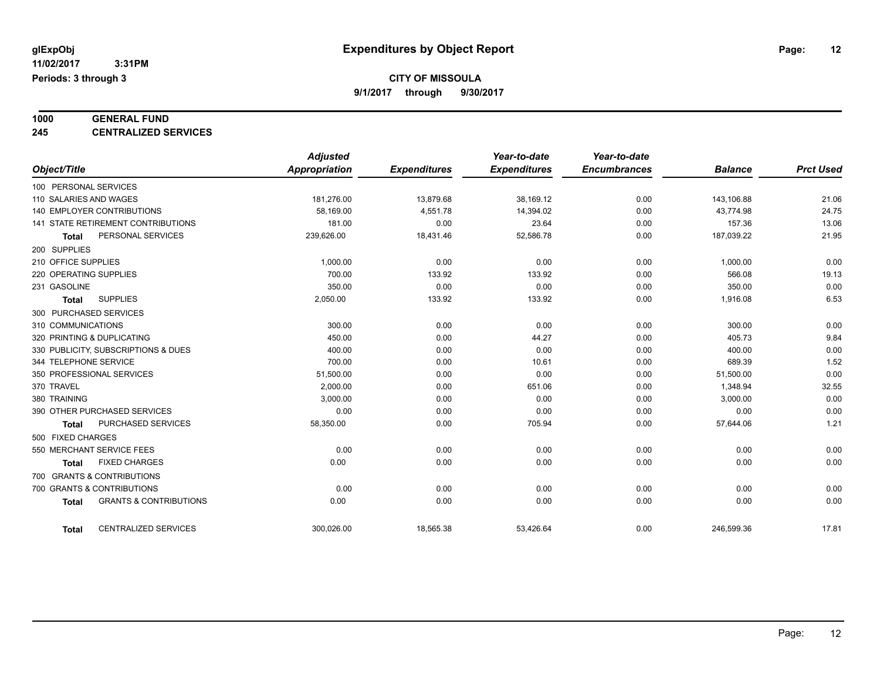**CITY OF MISSOULA**

**9/1/2017 through 9/30/2017**

# **1000 GENERAL FUND**

**245 CENTRALIZED SERVICES**

|                                                   | <b>Adjusted</b> |                     | Year-to-date        | Year-to-date        |                |                  |
|---------------------------------------------------|-----------------|---------------------|---------------------|---------------------|----------------|------------------|
| Object/Title                                      | Appropriation   | <b>Expenditures</b> | <b>Expenditures</b> | <b>Encumbrances</b> | <b>Balance</b> | <b>Prct Used</b> |
| 100 PERSONAL SERVICES                             |                 |                     |                     |                     |                |                  |
| 110 SALARIES AND WAGES                            | 181,276.00      | 13,879.68           | 38,169.12           | 0.00                | 143,106.88     | 21.06            |
| <b>140 EMPLOYER CONTRIBUTIONS</b>                 | 58,169.00       | 4,551.78            | 14,394.02           | 0.00                | 43,774.98      | 24.75            |
| 141 STATE RETIREMENT CONTRIBUTIONS                | 181.00          | 0.00                | 23.64               | 0.00                | 157.36         | 13.06            |
| PERSONAL SERVICES<br><b>Total</b>                 | 239,626.00      | 18,431.46           | 52,586.78           | 0.00                | 187,039.22     | 21.95            |
| 200 SUPPLIES                                      |                 |                     |                     |                     |                |                  |
| 210 OFFICE SUPPLIES                               | 1,000.00        | 0.00                | 0.00                | 0.00                | 1,000.00       | 0.00             |
| 220 OPERATING SUPPLIES                            | 700.00          | 133.92              | 133.92              | 0.00                | 566.08         | 19.13            |
| 231 GASOLINE                                      | 350.00          | 0.00                | 0.00                | 0.00                | 350.00         | 0.00             |
| <b>SUPPLIES</b><br><b>Total</b>                   | 2,050.00        | 133.92              | 133.92              | 0.00                | 1,916.08       | 6.53             |
| 300 PURCHASED SERVICES                            |                 |                     |                     |                     |                |                  |
| 310 COMMUNICATIONS                                | 300.00          | 0.00                | 0.00                | 0.00                | 300.00         | 0.00             |
| 320 PRINTING & DUPLICATING                        | 450.00          | 0.00                | 44.27               | 0.00                | 405.73         | 9.84             |
| 330 PUBLICITY, SUBSCRIPTIONS & DUES               | 400.00          | 0.00                | 0.00                | 0.00                | 400.00         | 0.00             |
| 344 TELEPHONE SERVICE                             | 700.00          | 0.00                | 10.61               | 0.00                | 689.39         | 1.52             |
| 350 PROFESSIONAL SERVICES                         | 51,500.00       | 0.00                | 0.00                | 0.00                | 51,500.00      | 0.00             |
| 370 TRAVEL                                        | 2,000.00        | 0.00                | 651.06              | 0.00                | 1,348.94       | 32.55            |
| 380 TRAINING                                      | 3,000.00        | 0.00                | 0.00                | 0.00                | 3,000.00       | 0.00             |
| 390 OTHER PURCHASED SERVICES                      | 0.00            | 0.00                | 0.00                | 0.00                | 0.00           | 0.00             |
| PURCHASED SERVICES<br><b>Total</b>                | 58,350.00       | 0.00                | 705.94              | 0.00                | 57,644.06      | 1.21             |
| 500 FIXED CHARGES                                 |                 |                     |                     |                     |                |                  |
| 550 MERCHANT SERVICE FEES                         | 0.00            | 0.00                | 0.00                | 0.00                | 0.00           | 0.00             |
| <b>FIXED CHARGES</b><br><b>Total</b>              | 0.00            | 0.00                | 0.00                | 0.00                | 0.00           | 0.00             |
| 700 GRANTS & CONTRIBUTIONS                        |                 |                     |                     |                     |                |                  |
| 700 GRANTS & CONTRIBUTIONS                        | 0.00            | 0.00                | 0.00                | 0.00                | 0.00           | 0.00             |
| <b>GRANTS &amp; CONTRIBUTIONS</b><br><b>Total</b> | 0.00            | 0.00                | 0.00                | 0.00                | 0.00           | 0.00             |
| <b>CENTRALIZED SERVICES</b><br><b>Total</b>       | 300.026.00      | 18,565.38           | 53.426.64           | 0.00                | 246.599.36     | 17.81            |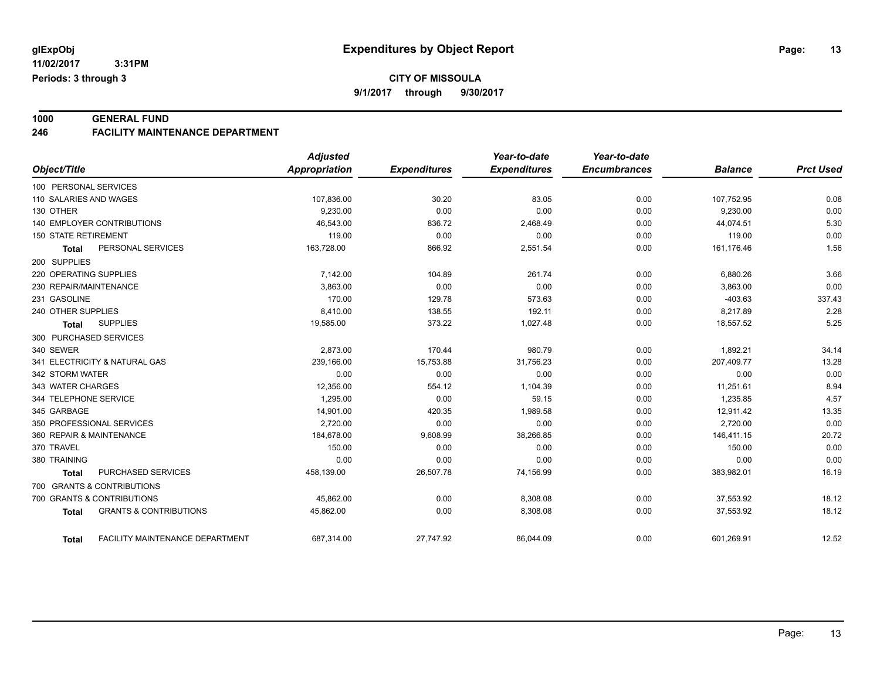**1000 GENERAL FUND 246 FACILITY MAINTENANCE DEPARTMENT**

|                                                   | <b>Adjusted</b>      |                     | Year-to-date        | Year-to-date        |                |                  |
|---------------------------------------------------|----------------------|---------------------|---------------------|---------------------|----------------|------------------|
| Object/Title                                      | <b>Appropriation</b> | <b>Expenditures</b> | <b>Expenditures</b> | <b>Encumbrances</b> | <b>Balance</b> | <b>Prct Used</b> |
| 100 PERSONAL SERVICES                             |                      |                     |                     |                     |                |                  |
| 110 SALARIES AND WAGES                            | 107,836.00           | 30.20               | 83.05               | 0.00                | 107,752.95     | 0.08             |
| 130 OTHER                                         | 9,230.00             | 0.00                | 0.00                | 0.00                | 9,230.00       | 0.00             |
| 140 EMPLOYER CONTRIBUTIONS                        | 46,543.00            | 836.72              | 2,468.49            | 0.00                | 44,074.51      | 5.30             |
| <b>150 STATE RETIREMENT</b>                       | 119.00               | 0.00                | 0.00                | 0.00                | 119.00         | 0.00             |
| PERSONAL SERVICES<br><b>Total</b>                 | 163,728.00           | 866.92              | 2,551.54            | 0.00                | 161,176.46     | 1.56             |
| 200 SUPPLIES                                      |                      |                     |                     |                     |                |                  |
| 220 OPERATING SUPPLIES                            | 7,142.00             | 104.89              | 261.74              | 0.00                | 6,880.26       | 3.66             |
| 230 REPAIR/MAINTENANCE                            | 3,863.00             | 0.00                | 0.00                | 0.00                | 3,863.00       | 0.00             |
| 231 GASOLINE                                      | 170.00               | 129.78              | 573.63              | 0.00                | $-403.63$      | 337.43           |
| 240 OTHER SUPPLIES                                | 8,410.00             | 138.55              | 192.11              | 0.00                | 8,217.89       | 2.28             |
| <b>SUPPLIES</b><br><b>Total</b>                   | 19,585.00            | 373.22              | 1,027.48            | 0.00                | 18,557.52      | 5.25             |
| 300 PURCHASED SERVICES                            |                      |                     |                     |                     |                |                  |
| 340 SEWER                                         | 2,873.00             | 170.44              | 980.79              | 0.00                | 1,892.21       | 34.14            |
| 341 ELECTRICITY & NATURAL GAS                     | 239,166.00           | 15,753.88           | 31,756.23           | 0.00                | 207,409.77     | 13.28            |
| 342 STORM WATER                                   | 0.00                 | 0.00                | 0.00                | 0.00                | 0.00           | 0.00             |
| 343 WATER CHARGES                                 | 12,356.00            | 554.12              | 1,104.39            | 0.00                | 11,251.61      | 8.94             |
| 344 TELEPHONE SERVICE                             | 1,295.00             | 0.00                | 59.15               | 0.00                | 1,235.85       | 4.57             |
| 345 GARBAGE                                       | 14,901.00            | 420.35              | 1,989.58            | 0.00                | 12,911.42      | 13.35            |
| 350 PROFESSIONAL SERVICES                         | 2,720.00             | 0.00                | 0.00                | 0.00                | 2,720.00       | 0.00             |
| 360 REPAIR & MAINTENANCE                          | 184,678.00           | 9,608.99            | 38,266.85           | 0.00                | 146,411.15     | 20.72            |
| 370 TRAVEL                                        | 150.00               | 0.00                | 0.00                | 0.00                | 150.00         | 0.00             |
| 380 TRAINING                                      | 0.00                 | 0.00                | 0.00                | 0.00                | 0.00           | 0.00             |
| PURCHASED SERVICES<br><b>Total</b>                | 458,139.00           | 26,507.78           | 74,156.99           | 0.00                | 383,982.01     | 16.19            |
| 700 GRANTS & CONTRIBUTIONS                        |                      |                     |                     |                     |                |                  |
| 700 GRANTS & CONTRIBUTIONS                        | 45,862.00            | 0.00                | 8,308.08            | 0.00                | 37,553.92      | 18.12            |
| <b>GRANTS &amp; CONTRIBUTIONS</b><br><b>Total</b> | 45,862.00            | 0.00                | 8,308.08            | 0.00                | 37,553.92      | 18.12            |
| FACILITY MAINTENANCE DEPARTMENT<br><b>Total</b>   | 687,314.00           | 27,747.92           | 86,044.09           | 0.00                | 601,269.91     | 12.52            |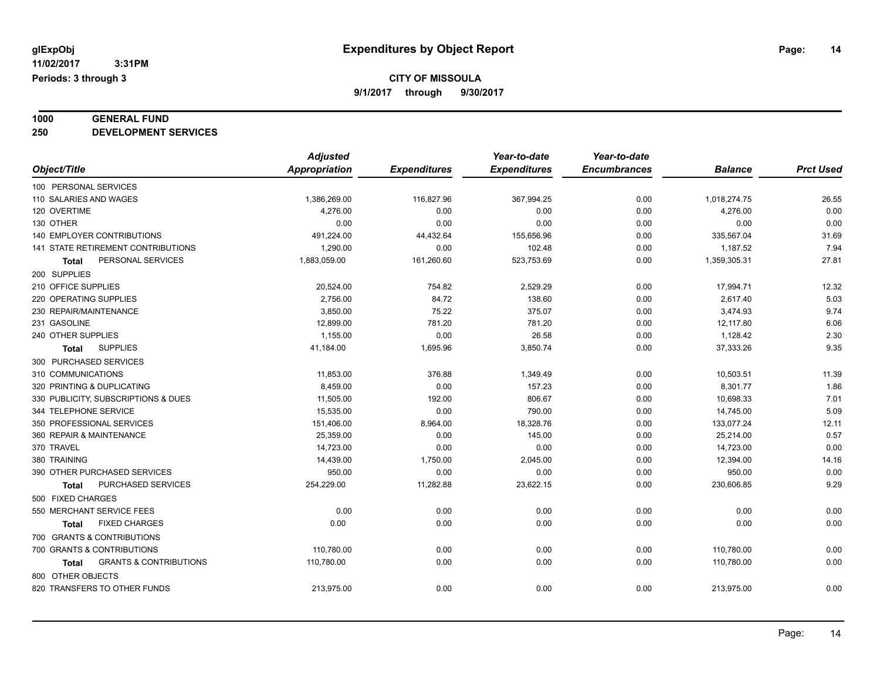# **1000 GENERAL FUND**

**250 DEVELOPMENT SERVICES**

|                                                   | <b>Adjusted</b> |                     | Year-to-date        | Year-to-date        |                |                  |
|---------------------------------------------------|-----------------|---------------------|---------------------|---------------------|----------------|------------------|
| Object/Title                                      | Appropriation   | <b>Expenditures</b> | <b>Expenditures</b> | <b>Encumbrances</b> | <b>Balance</b> | <b>Prct Used</b> |
| 100 PERSONAL SERVICES                             |                 |                     |                     |                     |                |                  |
| 110 SALARIES AND WAGES                            | 1,386,269.00    | 116,827.96          | 367,994.25          | 0.00                | 1,018,274.75   | 26.55            |
| 120 OVERTIME                                      | 4,276.00        | 0.00                | 0.00                | 0.00                | 4,276.00       | 0.00             |
| 130 OTHER                                         | 0.00            | 0.00                | 0.00                | 0.00                | 0.00           | 0.00             |
| 140 EMPLOYER CONTRIBUTIONS                        | 491,224.00      | 44,432.64           | 155,656.96          | 0.00                | 335,567.04     | 31.69            |
| 141 STATE RETIREMENT CONTRIBUTIONS                | 1,290.00        | 0.00                | 102.48              | 0.00                | 1,187.52       | 7.94             |
| PERSONAL SERVICES<br>Total                        | 1,883,059.00    | 161,260.60          | 523,753.69          | 0.00                | 1,359,305.31   | 27.81            |
| 200 SUPPLIES                                      |                 |                     |                     |                     |                |                  |
| 210 OFFICE SUPPLIES                               | 20,524.00       | 754.82              | 2,529.29            | 0.00                | 17,994.71      | 12.32            |
| 220 OPERATING SUPPLIES                            | 2,756.00        | 84.72               | 138.60              | 0.00                | 2,617.40       | 5.03             |
| 230 REPAIR/MAINTENANCE                            | 3,850.00        | 75.22               | 375.07              | 0.00                | 3,474.93       | 9.74             |
| 231 GASOLINE                                      | 12,899.00       | 781.20              | 781.20              | 0.00                | 12,117.80      | 6.06             |
| 240 OTHER SUPPLIES                                | 1,155.00        | 0.00                | 26.58               | 0.00                | 1,128.42       | 2.30             |
| <b>SUPPLIES</b><br><b>Total</b>                   | 41,184.00       | 1,695.96            | 3,850.74            | 0.00                | 37,333.26      | 9.35             |
| 300 PURCHASED SERVICES                            |                 |                     |                     |                     |                |                  |
| 310 COMMUNICATIONS                                | 11,853.00       | 376.88              | 1,349.49            | 0.00                | 10,503.51      | 11.39            |
| 320 PRINTING & DUPLICATING                        | 8,459.00        | 0.00                | 157.23              | 0.00                | 8,301.77       | 1.86             |
| 330 PUBLICITY, SUBSCRIPTIONS & DUES               | 11,505.00       | 192.00              | 806.67              | 0.00                | 10,698.33      | 7.01             |
| 344 TELEPHONE SERVICE                             | 15,535.00       | 0.00                | 790.00              | 0.00                | 14,745.00      | 5.09             |
| 350 PROFESSIONAL SERVICES                         | 151,406.00      | 8,964.00            | 18,328.76           | 0.00                | 133,077.24     | 12.11            |
| 360 REPAIR & MAINTENANCE                          | 25,359.00       | 0.00                | 145.00              | 0.00                | 25,214.00      | 0.57             |
| 370 TRAVEL                                        | 14,723.00       | 0.00                | 0.00                | 0.00                | 14,723.00      | 0.00             |
| 380 TRAINING                                      | 14,439.00       | 1,750.00            | 2,045.00            | 0.00                | 12,394.00      | 14.16            |
| 390 OTHER PURCHASED SERVICES                      | 950.00          | 0.00                | 0.00                | 0.00                | 950.00         | 0.00             |
| PURCHASED SERVICES<br>Total                       | 254,229.00      | 11,282.88           | 23,622.15           | 0.00                | 230,606.85     | 9.29             |
| 500 FIXED CHARGES                                 |                 |                     |                     |                     |                |                  |
| 550 MERCHANT SERVICE FEES                         | 0.00            | 0.00                | 0.00                | 0.00                | 0.00           | 0.00             |
| <b>FIXED CHARGES</b><br>Total                     | 0.00            | 0.00                | 0.00                | 0.00                | 0.00           | 0.00             |
| 700 GRANTS & CONTRIBUTIONS                        |                 |                     |                     |                     |                |                  |
| 700 GRANTS & CONTRIBUTIONS                        | 110,780.00      | 0.00                | 0.00                | 0.00                | 110,780.00     | 0.00             |
| <b>GRANTS &amp; CONTRIBUTIONS</b><br><b>Total</b> | 110,780.00      | 0.00                | 0.00                | 0.00                | 110,780.00     | 0.00             |
| 800 OTHER OBJECTS                                 |                 |                     |                     |                     |                |                  |
| 820 TRANSFERS TO OTHER FUNDS                      | 213,975.00      | 0.00                | 0.00                | 0.00                | 213,975.00     | 0.00             |
|                                                   |                 |                     |                     |                     |                |                  |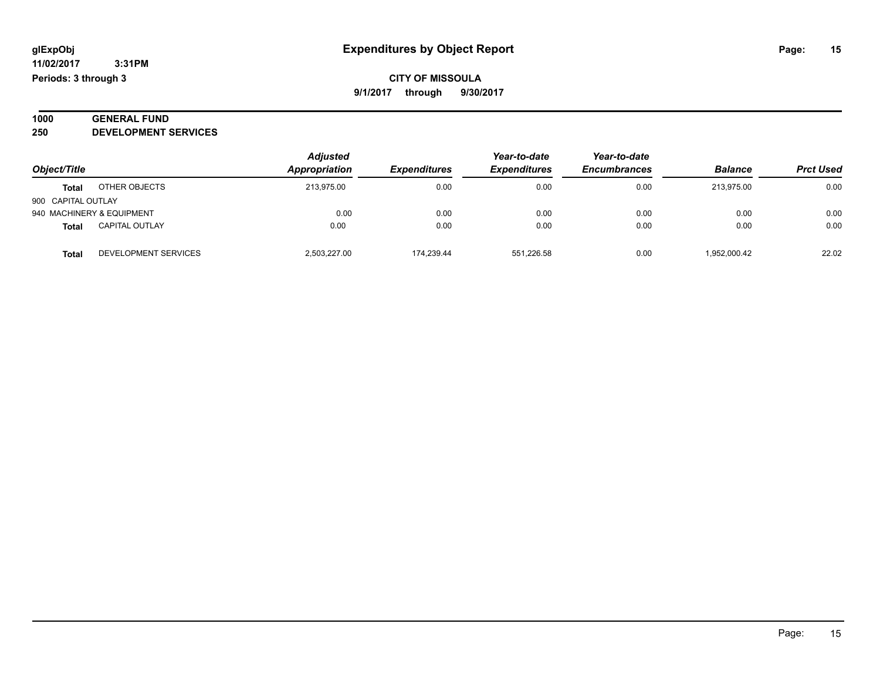#### **1000 GENERAL FUND 250 DEVELOPMENT SERVICES**

| Object/Title       |                           | <b>Adjusted</b> |                     | Year-to-date        | Year-to-date<br><b>Encumbrances</b> | <b>Balance</b> | <b>Prct Used</b> |
|--------------------|---------------------------|-----------------|---------------------|---------------------|-------------------------------------|----------------|------------------|
|                    |                           | Appropriation   | <b>Expenditures</b> | <b>Expenditures</b> |                                     |                |                  |
| <b>Total</b>       | OTHER OBJECTS             | 213.975.00      | 0.00                | 0.00                | 0.00                                | 213.975.00     | 0.00             |
| 900 CAPITAL OUTLAY |                           |                 |                     |                     |                                     |                |                  |
|                    | 940 MACHINERY & EQUIPMENT | 0.00            | 0.00                | 0.00                | 0.00                                | 0.00           | 0.00             |
| <b>Total</b>       | <b>CAPITAL OUTLAY</b>     | 0.00            | 0.00                | 0.00                | 0.00                                | 0.00           | 0.00             |
| <b>Total</b>       | DEVELOPMENT SERVICES      | 2.503.227.00    | 174.239.44          | 551.226.58          | 0.00                                | 1,952,000.42   | 22.02            |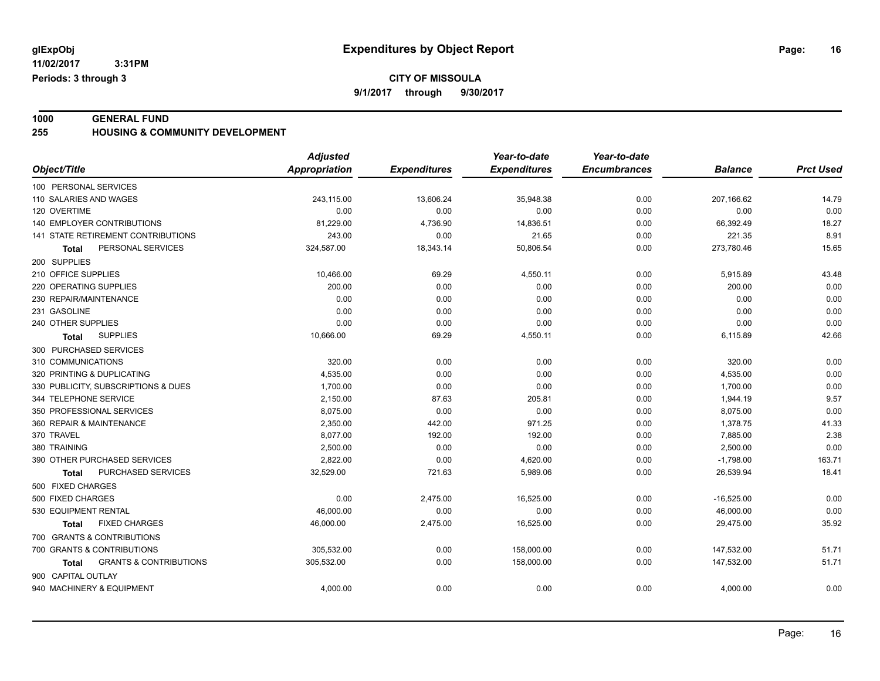**CITY OF MISSOULA**

**9/1/2017 through 9/30/2017**

**1000 GENERAL FUND 255 HOUSING & COMMUNITY DEVELOPMENT**

|                                                   | <b>Adjusted</b>      |                     | Year-to-date        | Year-to-date        |                |                  |
|---------------------------------------------------|----------------------|---------------------|---------------------|---------------------|----------------|------------------|
| Object/Title                                      | <b>Appropriation</b> | <b>Expenditures</b> | <b>Expenditures</b> | <b>Encumbrances</b> | <b>Balance</b> | <b>Prct Used</b> |
| 100 PERSONAL SERVICES                             |                      |                     |                     |                     |                |                  |
| 110 SALARIES AND WAGES                            | 243,115.00           | 13,606.24           | 35,948.38           | 0.00                | 207,166.62     | 14.79            |
| 120 OVERTIME                                      | 0.00                 | 0.00                | 0.00                | 0.00                | 0.00           | 0.00             |
| 140 EMPLOYER CONTRIBUTIONS                        | 81,229.00            | 4,736.90            | 14,836.51           | 0.00                | 66,392.49      | 18.27            |
| 141 STATE RETIREMENT CONTRIBUTIONS                | 243.00               | 0.00                | 21.65               | 0.00                | 221.35         | 8.91             |
| PERSONAL SERVICES<br>Total                        | 324,587.00           | 18,343.14           | 50,806.54           | 0.00                | 273,780.46     | 15.65            |
| 200 SUPPLIES                                      |                      |                     |                     |                     |                |                  |
| 210 OFFICE SUPPLIES                               | 10,466.00            | 69.29               | 4,550.11            | 0.00                | 5,915.89       | 43.48            |
| 220 OPERATING SUPPLIES                            | 200.00               | 0.00                | 0.00                | 0.00                | 200.00         | 0.00             |
| 230 REPAIR/MAINTENANCE                            | 0.00                 | 0.00                | 0.00                | 0.00                | 0.00           | 0.00             |
| 231 GASOLINE                                      | 0.00                 | 0.00                | 0.00                | 0.00                | 0.00           | 0.00             |
| 240 OTHER SUPPLIES                                | 0.00                 | 0.00                | 0.00                | 0.00                | 0.00           | 0.00             |
| <b>SUPPLIES</b><br>Total                          | 10,666.00            | 69.29               | 4,550.11            | 0.00                | 6,115.89       | 42.66            |
| 300 PURCHASED SERVICES                            |                      |                     |                     |                     |                |                  |
| 310 COMMUNICATIONS                                | 320.00               | 0.00                | 0.00                | 0.00                | 320.00         | 0.00             |
| 320 PRINTING & DUPLICATING                        | 4,535.00             | 0.00                | 0.00                | 0.00                | 4,535.00       | 0.00             |
| 330 PUBLICITY, SUBSCRIPTIONS & DUES               | 1,700.00             | 0.00                | 0.00                | 0.00                | 1,700.00       | 0.00             |
| 344 TELEPHONE SERVICE                             | 2,150.00             | 87.63               | 205.81              | 0.00                | 1,944.19       | 9.57             |
| 350 PROFESSIONAL SERVICES                         | 8,075.00             | 0.00                | 0.00                | 0.00                | 8,075.00       | 0.00             |
| 360 REPAIR & MAINTENANCE                          | 2,350.00             | 442.00              | 971.25              | 0.00                | 1,378.75       | 41.33            |
| 370 TRAVEL                                        | 8,077.00             | 192.00              | 192.00              | 0.00                | 7,885.00       | 2.38             |
| 380 TRAINING                                      | 2,500.00             | 0.00                | 0.00                | 0.00                | 2,500.00       | 0.00             |
| 390 OTHER PURCHASED SERVICES                      | 2,822.00             | 0.00                | 4,620.00            | 0.00                | $-1,798.00$    | 163.71           |
| PURCHASED SERVICES<br><b>Total</b>                | 32,529.00            | 721.63              | 5,989.06            | 0.00                | 26,539.94      | 18.41            |
| 500 FIXED CHARGES                                 |                      |                     |                     |                     |                |                  |
| 500 FIXED CHARGES                                 | 0.00                 | 2,475.00            | 16,525.00           | 0.00                | $-16,525.00$   | 0.00             |
| 530 EQUIPMENT RENTAL                              | 46,000.00            | 0.00                | 0.00                | 0.00                | 46,000.00      | 0.00             |
| <b>FIXED CHARGES</b><br>Total                     | 46,000.00            | 2,475.00            | 16,525.00           | 0.00                | 29,475.00      | 35.92            |
| 700 GRANTS & CONTRIBUTIONS                        |                      |                     |                     |                     |                |                  |
| 700 GRANTS & CONTRIBUTIONS                        | 305,532.00           | 0.00                | 158,000.00          | 0.00                | 147,532.00     | 51.71            |
| <b>GRANTS &amp; CONTRIBUTIONS</b><br><b>Total</b> | 305,532.00           | 0.00                | 158,000.00          | 0.00                | 147,532.00     | 51.71            |
| 900 CAPITAL OUTLAY                                |                      |                     |                     |                     |                |                  |
| 940 MACHINERY & EQUIPMENT                         | 4,000.00             | 0.00                | 0.00                | 0.00                | 4,000.00       | 0.00             |
|                                                   |                      |                     |                     |                     |                |                  |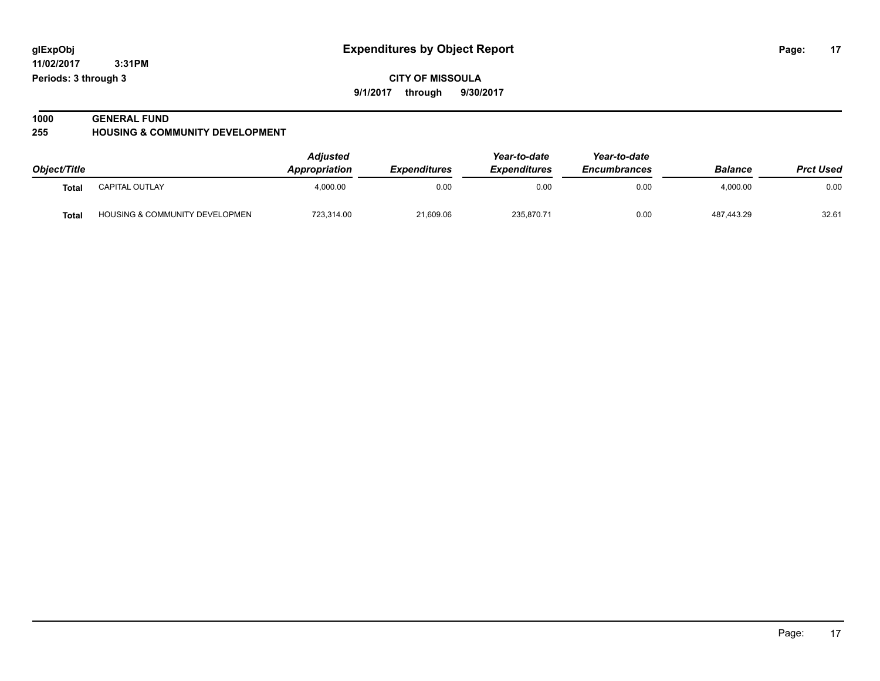**11/02/2017 3:31PM**

**Periods: 3 through 3**

**CITY OF MISSOULA 9/1/2017 through 9/30/2017**

### **1000 GENERAL FUND**

**255 HOUSING & COMMUNITY DEVELOPMENT**

|              |                                           | <b>Adjusted</b><br>Year-to-date |                            | Year-to-date        |                     |                |                  |
|--------------|-------------------------------------------|---------------------------------|----------------------------|---------------------|---------------------|----------------|------------------|
| Object/Title |                                           | <b>Appropriation</b>            | <i><b>Expenditures</b></i> | <b>Expenditures</b> | <b>Encumbrances</b> | <b>Balance</b> | <b>Prct Used</b> |
| Total        | <b>CAPITAL OUTLAY</b>                     | 4.000.00                        | 0.00                       | 0.00                | 0.00                | 4.000.00       | 0.00             |
| <b>Total</b> | <b>HOUSING &amp; COMMUNITY DEVELOPMEN</b> | 723.314.00                      | 21,609.06                  | 235.870.71          | 0.00                | 487.443.29     | 32.61            |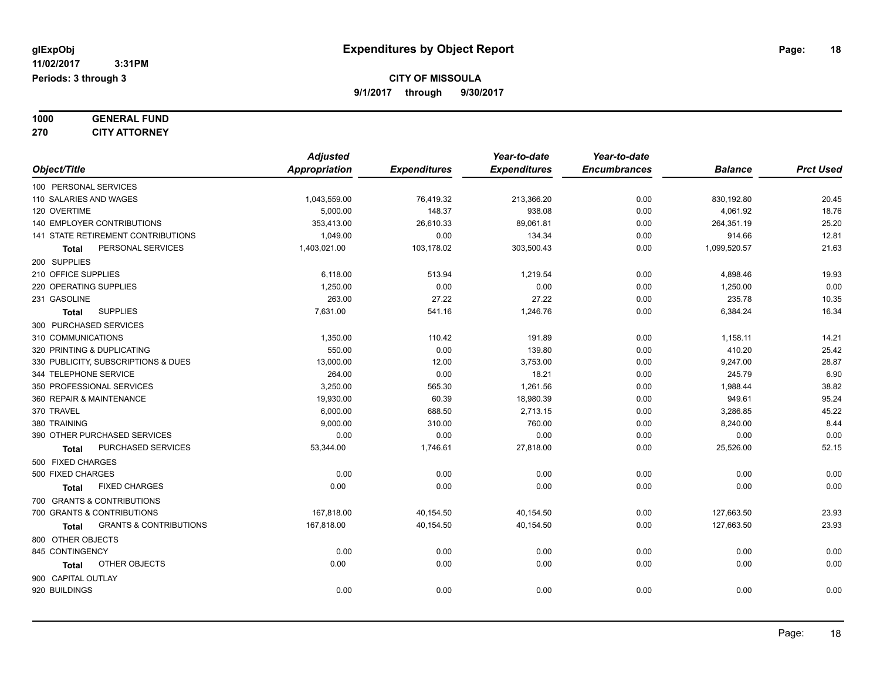| 1000 | <b>GENERAL FUND</b>  |
|------|----------------------|
| 270  | <b>CITY ATTORNEY</b> |

|                                            | <b>Adjusted</b> |                     | Year-to-date        | Year-to-date        |                |                  |
|--------------------------------------------|-----------------|---------------------|---------------------|---------------------|----------------|------------------|
| Object/Title                               | Appropriation   | <b>Expenditures</b> | <b>Expenditures</b> | <b>Encumbrances</b> | <b>Balance</b> | <b>Prct Used</b> |
| 100 PERSONAL SERVICES                      |                 |                     |                     |                     |                |                  |
| 110 SALARIES AND WAGES                     | 1,043,559.00    | 76,419.32           | 213,366.20          | 0.00                | 830,192.80     | 20.45            |
| 120 OVERTIME                               | 5,000.00        | 148.37              | 938.08              | 0.00                | 4,061.92       | 18.76            |
| 140 EMPLOYER CONTRIBUTIONS                 | 353,413.00      | 26,610.33           | 89,061.81           | 0.00                | 264,351.19     | 25.20            |
| 141 STATE RETIREMENT CONTRIBUTIONS         | 1.049.00        | 0.00                | 134.34              | 0.00                | 914.66         | 12.81            |
| PERSONAL SERVICES<br>Total                 | 1,403,021.00    | 103,178.02          | 303,500.43          | 0.00                | 1,099,520.57   | 21.63            |
| 200 SUPPLIES                               |                 |                     |                     |                     |                |                  |
| 210 OFFICE SUPPLIES                        | 6,118.00        | 513.94              | 1,219.54            | 0.00                | 4,898.46       | 19.93            |
| 220 OPERATING SUPPLIES                     | 1.250.00        | 0.00                | 0.00                | 0.00                | 1,250.00       | 0.00             |
| 231 GASOLINE                               | 263.00          | 27.22               | 27.22               | 0.00                | 235.78         | 10.35            |
| <b>SUPPLIES</b><br><b>Total</b>            | 7,631.00        | 541.16              | 1,246.76            | 0.00                | 6,384.24       | 16.34            |
| 300 PURCHASED SERVICES                     |                 |                     |                     |                     |                |                  |
| 310 COMMUNICATIONS                         | 1,350.00        | 110.42              | 191.89              | 0.00                | 1,158.11       | 14.21            |
| 320 PRINTING & DUPLICATING                 | 550.00          | 0.00                | 139.80              | 0.00                | 410.20         | 25.42            |
| 330 PUBLICITY, SUBSCRIPTIONS & DUES        | 13,000.00       | 12.00               | 3,753.00            | 0.00                | 9,247.00       | 28.87            |
| 344 TELEPHONE SERVICE                      | 264.00          | 0.00                | 18.21               | 0.00                | 245.79         | 6.90             |
| 350 PROFESSIONAL SERVICES                  | 3,250.00        | 565.30              | 1,261.56            | 0.00                | 1,988.44       | 38.82            |
| 360 REPAIR & MAINTENANCE                   | 19,930.00       | 60.39               | 18,980.39           | 0.00                | 949.61         | 95.24            |
| 370 TRAVEL                                 | 6,000.00        | 688.50              | 2,713.15            | 0.00                | 3,286.85       | 45.22            |
| 380 TRAINING                               | 9,000.00        | 310.00              | 760.00              | 0.00                | 8,240.00       | 8.44             |
| 390 OTHER PURCHASED SERVICES               | 0.00            | 0.00                | 0.00                | 0.00                | 0.00           | 0.00             |
| PURCHASED SERVICES<br><b>Total</b>         | 53,344.00       | 1,746.61            | 27,818.00           | 0.00                | 25,526.00      | 52.15            |
| 500 FIXED CHARGES                          |                 |                     |                     |                     |                |                  |
| 500 FIXED CHARGES                          | 0.00            | 0.00                | 0.00                | 0.00                | 0.00           | 0.00             |
| <b>FIXED CHARGES</b><br><b>Total</b>       | 0.00            | 0.00                | 0.00                | 0.00                | 0.00           | 0.00             |
| 700 GRANTS & CONTRIBUTIONS                 |                 |                     |                     |                     |                |                  |
| 700 GRANTS & CONTRIBUTIONS                 | 167,818.00      | 40,154.50           | 40,154.50           | 0.00                | 127.663.50     | 23.93            |
| <b>GRANTS &amp; CONTRIBUTIONS</b><br>Total | 167,818.00      | 40,154.50           | 40,154.50           | 0.00                | 127,663.50     | 23.93            |
| 800 OTHER OBJECTS                          |                 |                     |                     |                     |                |                  |
| 845 CONTINGENCY                            | 0.00            | 0.00                | 0.00                | 0.00                | 0.00           | 0.00             |
| OTHER OBJECTS<br><b>Total</b>              | 0.00            | 0.00                | 0.00                | 0.00                | 0.00           | 0.00             |
| 900 CAPITAL OUTLAY                         |                 |                     |                     |                     |                |                  |
| 920 BUILDINGS                              | 0.00            | 0.00                | 0.00                | 0.00                | 0.00           | 0.00             |
|                                            |                 |                     |                     |                     |                |                  |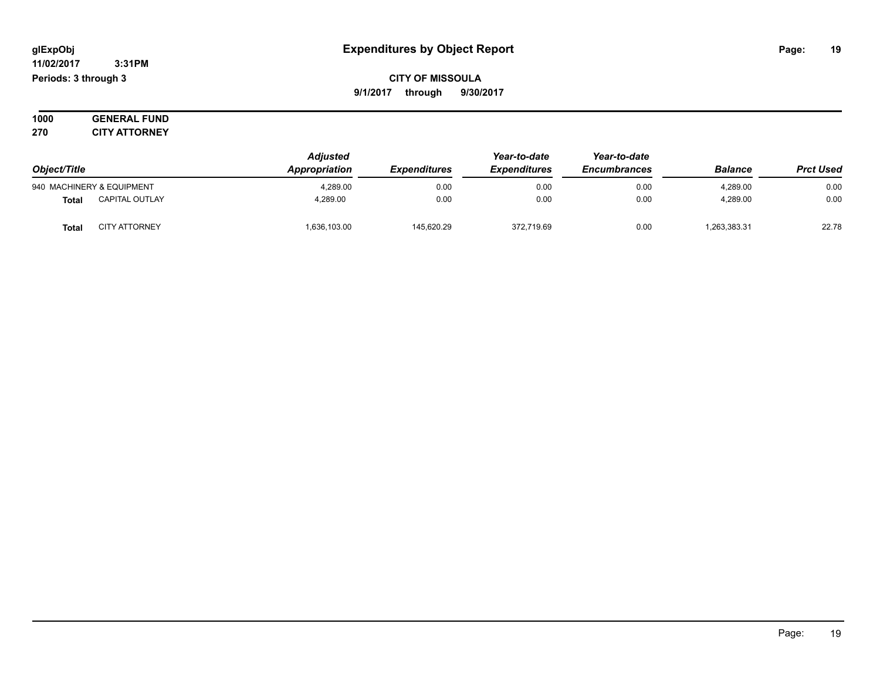#### **11/02/2017 3:31PM Periods: 3 through 3**

**CITY OF MISSOULA 9/1/2017 through 9/30/2017**

**1000 GENERAL FUND 270 CITY ATTORNEY**

| Object/Title                          | <b>Adjusted</b><br>Appropriation | <b>Expenditures</b> | Year-to-date<br><b>Expenditures</b> | Year-to-date<br><b>Encumbrances</b> | <b>Balance</b> | <b>Prct Used</b> |
|---------------------------------------|----------------------------------|---------------------|-------------------------------------|-------------------------------------|----------------|------------------|
| 940 MACHINERY & EQUIPMENT             | 4,289.00                         | 0.00                | 0.00                                | 0.00                                | 4,289.00       | 0.00             |
| <b>CAPITAL OUTLAY</b><br><b>Total</b> | 4.289.00                         | 0.00                | 0.00                                | 0.00                                | 4.289.00       | 0.00             |
| <b>CITY ATTORNEY</b><br><b>Total</b>  | 636,103.00                       | 145.620.29          | 372,719.69                          | 0.00                                | 263,383.31     | 22.78            |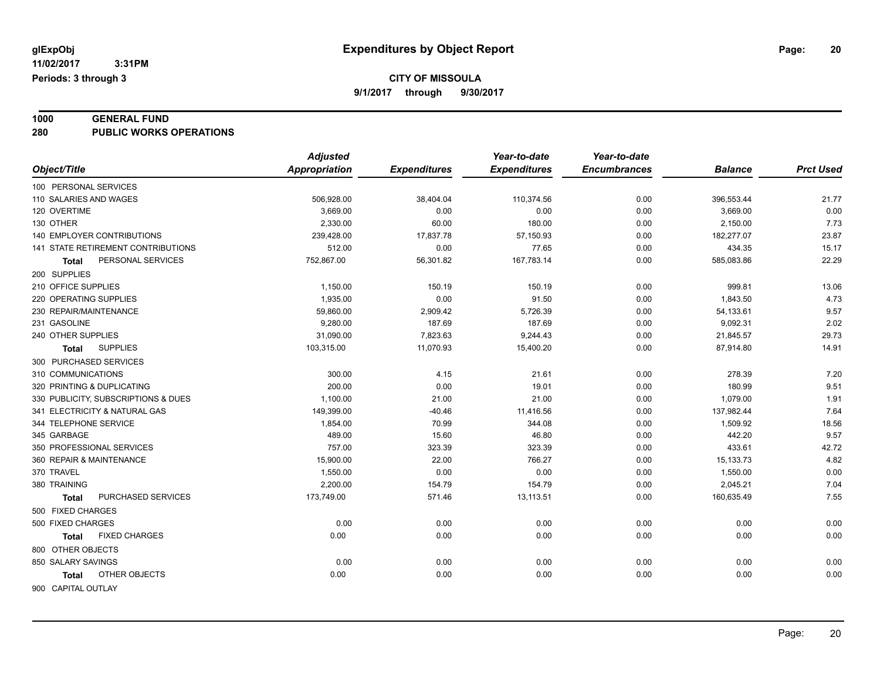**CITY OF MISSOULA**

**9/1/2017 through 9/30/2017**

### **1000 GENERAL FUND**

**280 PUBLIC WORKS OPERATIONS**

| <b>Expenditures</b><br>Object/Title<br>Appropriation<br><b>Expenditures</b><br><b>Encumbrances</b><br><b>Balance</b><br>100 PERSONAL SERVICES | <b>Prct Used</b><br>21.77 |
|-----------------------------------------------------------------------------------------------------------------------------------------------|---------------------------|
|                                                                                                                                               |                           |
|                                                                                                                                               |                           |
| 110 SALARIES AND WAGES<br>506,928.00<br>38,404.04<br>110,374.56<br>0.00<br>396,553.44                                                         |                           |
| 120 OVERTIME<br>3,669.00<br>0.00<br>0.00<br>0.00<br>3,669.00                                                                                  | 0.00                      |
| 130 OTHER<br>2,330.00<br>60.00<br>180.00<br>0.00<br>2,150.00                                                                                  | 7.73                      |
| 140 EMPLOYER CONTRIBUTIONS<br>239,428.00<br>17,837.78<br>57,150.93<br>0.00<br>182,277.07                                                      | 23.87                     |
| 141 STATE RETIREMENT CONTRIBUTIONS<br>512.00<br>0.00<br>77.65<br>0.00<br>434.35                                                               | 15.17                     |
| PERSONAL SERVICES<br>752,867.00<br>56,301.82<br>167,783.14<br>0.00<br>585,083.86<br><b>Total</b>                                              | 22.29                     |
| 200 SUPPLIES                                                                                                                                  |                           |
| 210 OFFICE SUPPLIES<br>1,150.00<br>999.81<br>150.19<br>150.19<br>0.00                                                                         | 13.06                     |
| 1,935.00<br>0.00<br>220 OPERATING SUPPLIES<br>91.50<br>0.00<br>1,843.50                                                                       | 4.73                      |
| 230 REPAIR/MAINTENANCE<br>59,860.00<br>2,909.42<br>5,726.39<br>0.00<br>54,133.61                                                              | 9.57                      |
| 9,280.00<br>187.69<br>187.69<br>9,092.31<br>231 GASOLINE<br>0.00                                                                              | 2.02                      |
| 31,090.00<br>240 OTHER SUPPLIES<br>7,823.63<br>9,244.43<br>0.00<br>21,845.57                                                                  | 29.73                     |
| 11,070.93<br><b>SUPPLIES</b><br>103,315.00<br>15,400.20<br>0.00<br>87,914.80<br>Total                                                         | 14.91                     |
| 300 PURCHASED SERVICES                                                                                                                        |                           |
| 310 COMMUNICATIONS<br>300.00<br>4.15<br>278.39<br>21.61<br>0.00                                                                               | 7.20                      |
| 200.00<br>320 PRINTING & DUPLICATING<br>0.00<br>19.01<br>0.00<br>180.99                                                                       | 9.51                      |
| 330 PUBLICITY, SUBSCRIPTIONS & DUES<br>1,100.00<br>21.00<br>21.00<br>0.00<br>1,079.00                                                         | 1.91                      |
| 341 ELECTRICITY & NATURAL GAS<br>149,399.00<br>$-40.46$<br>11,416.56<br>0.00<br>137,982.44                                                    | 7.64                      |
| 344 TELEPHONE SERVICE<br>1,854.00<br>70.99<br>344.08<br>0.00<br>1,509.92                                                                      | 18.56                     |
| 489.00<br>15.60<br>442.20<br>345 GARBAGE<br>46.80<br>0.00                                                                                     | 9.57                      |
| 350 PROFESSIONAL SERVICES<br>757.00<br>323.39<br>323.39<br>0.00<br>433.61                                                                     | 42.72                     |
| 360 REPAIR & MAINTENANCE<br>15,900.00<br>22.00<br>766.27<br>0.00<br>15,133.73                                                                 | 4.82                      |
| 370 TRAVEL<br>1,550.00<br>0.00<br>0.00<br>0.00<br>1,550.00                                                                                    | 0.00                      |
| 2,200.00<br>154.79<br>380 TRAINING<br>154.79<br>0.00<br>2,045.21                                                                              | 7.04                      |
| PURCHASED SERVICES<br>13,113.51<br>160,635.49<br>173,749.00<br>571.46<br>0.00<br><b>Total</b>                                                 | 7.55                      |
| 500 FIXED CHARGES                                                                                                                             |                           |
| 500 FIXED CHARGES<br>0.00<br>0.00<br>0.00<br>0.00<br>0.00                                                                                     | 0.00                      |
| 0.00<br>0.00<br>0.00<br><b>FIXED CHARGES</b><br>0.00<br>0.00<br><b>Total</b>                                                                  | 0.00                      |
| 800 OTHER OBJECTS                                                                                                                             |                           |
| 850 SALARY SAVINGS<br>0.00<br>0.00<br>0.00<br>0.00<br>0.00                                                                                    | 0.00                      |
| OTHER OBJECTS<br>0.00<br>0.00<br>0.00<br>0.00<br>0.00<br><b>Total</b>                                                                         | 0.00                      |
| 900 CAPITAL OUTLAY                                                                                                                            |                           |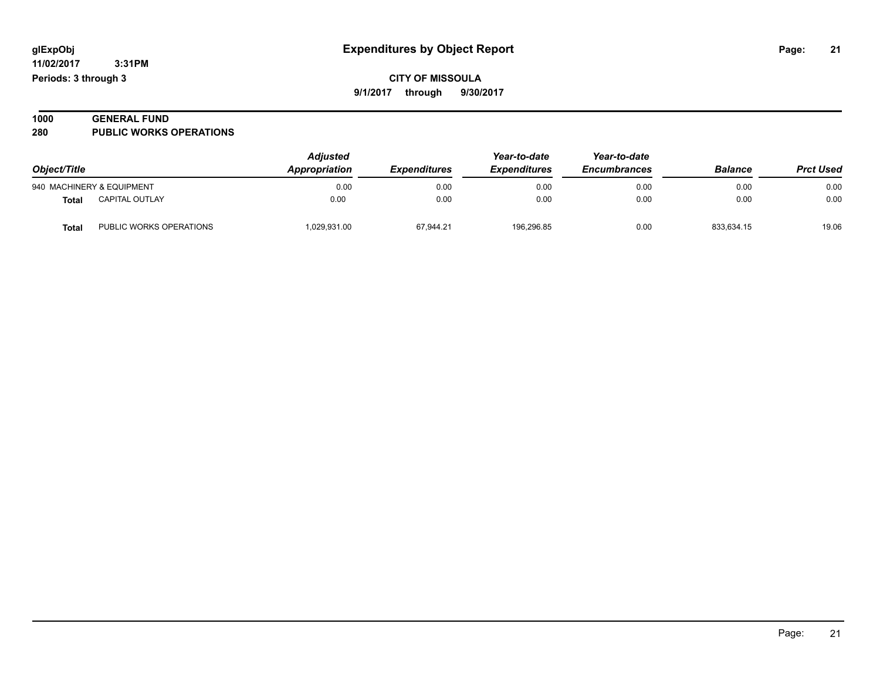| 1000 | <b>GENERAL FUND</b>            |  |
|------|--------------------------------|--|
| 280  | <b>PUBLIC WORKS OPERATIONS</b> |  |

| Object/Title |                           | <b>Adjusted</b><br>Appropriation | <i><b>Expenditures</b></i> | Year-to-date<br><i><b>Expenditures</b></i> | Year-to-date<br><b>Encumbrances</b> | <b>Balance</b> | <b>Prct Used</b> |
|--------------|---------------------------|----------------------------------|----------------------------|--------------------------------------------|-------------------------------------|----------------|------------------|
|              | 940 MACHINERY & EQUIPMENT | 0.00                             | 0.00                       | 0.00                                       | 0.00                                | 0.00           | 0.00             |
| <b>Total</b> | <b>CAPITAL OUTLAY</b>     | 0.00                             | 0.00                       | 0.00                                       | 0.00                                | 0.00           | 0.00             |
| Tota.        | PUBLIC WORKS OPERATIONS   | 029,931.00                       | 67,944.21                  | 196.296.85                                 | 0.00                                | 833.634.15     | 19.06            |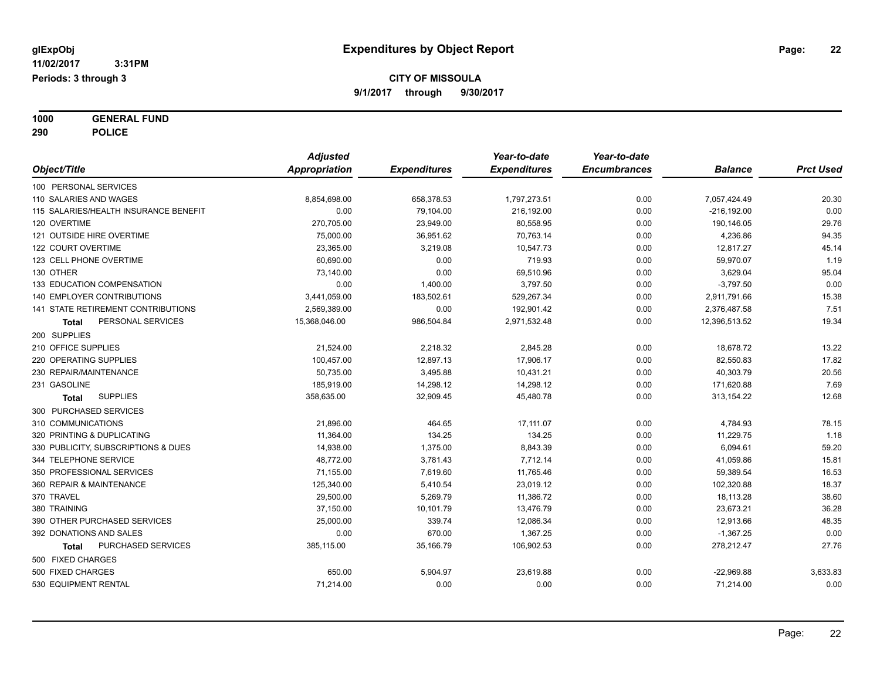**1000 GENERAL FUND 290 POLICE**

|                                       | <b>Adjusted</b> |                     | Year-to-date        | Year-to-date        |                |                  |
|---------------------------------------|-----------------|---------------------|---------------------|---------------------|----------------|------------------|
| Object/Title                          | Appropriation   | <b>Expenditures</b> | <b>Expenditures</b> | <b>Encumbrances</b> | <b>Balance</b> | <b>Prct Used</b> |
| 100 PERSONAL SERVICES                 |                 |                     |                     |                     |                |                  |
| 110 SALARIES AND WAGES                | 8,854,698.00    | 658,378.53          | 1,797,273.51        | 0.00                | 7,057,424.49   | 20.30            |
| 115 SALARIES/HEALTH INSURANCE BENEFIT | 0.00            | 79,104.00           | 216,192.00          | 0.00                | $-216, 192.00$ | 0.00             |
| 120 OVERTIME                          | 270,705.00      | 23,949.00           | 80,558.95           | 0.00                | 190,146.05     | 29.76            |
| 121 OUTSIDE HIRE OVERTIME             | 75,000.00       | 36,951.62           | 70,763.14           | 0.00                | 4,236.86       | 94.35            |
| 122 COURT OVERTIME                    | 23,365.00       | 3,219.08            | 10,547.73           | 0.00                | 12,817.27      | 45.14            |
| 123 CELL PHONE OVERTIME               | 60,690.00       | 0.00                | 719.93              | 0.00                | 59,970.07      | 1.19             |
| 130 OTHER                             | 73,140.00       | 0.00                | 69,510.96           | 0.00                | 3,629.04       | 95.04            |
| 133 EDUCATION COMPENSATION            | 0.00            | 1,400.00            | 3,797.50            | 0.00                | $-3,797.50$    | 0.00             |
| 140 EMPLOYER CONTRIBUTIONS            | 3,441,059.00    | 183,502.61          | 529,267.34          | 0.00                | 2,911,791.66   | 15.38            |
| 141 STATE RETIREMENT CONTRIBUTIONS    | 2,569,389.00    | 0.00                | 192,901.42          | 0.00                | 2,376,487.58   | 7.51             |
| PERSONAL SERVICES<br>Total            | 15,368,046.00   | 986,504.84          | 2,971,532.48        | 0.00                | 12,396,513.52  | 19.34            |
| 200 SUPPLIES                          |                 |                     |                     |                     |                |                  |
| 210 OFFICE SUPPLIES                   | 21,524.00       | 2,218.32            | 2,845.28            | 0.00                | 18,678.72      | 13.22            |
| 220 OPERATING SUPPLIES                | 100,457.00      | 12,897.13           | 17,906.17           | 0.00                | 82,550.83      | 17.82            |
| 230 REPAIR/MAINTENANCE                | 50,735.00       | 3,495.88            | 10,431.21           | 0.00                | 40,303.79      | 20.56            |
| 231 GASOLINE                          | 185,919.00      | 14,298.12           | 14,298.12           | 0.00                | 171,620.88     | 7.69             |
| <b>SUPPLIES</b><br>Total              | 358,635.00      | 32,909.45           | 45,480.78           | 0.00                | 313,154.22     | 12.68            |
| 300 PURCHASED SERVICES                |                 |                     |                     |                     |                |                  |
| 310 COMMUNICATIONS                    | 21,896.00       | 464.65              | 17,111.07           | 0.00                | 4,784.93       | 78.15            |
| 320 PRINTING & DUPLICATING            | 11,364.00       | 134.25              | 134.25              | 0.00                | 11,229.75      | 1.18             |
| 330 PUBLICITY, SUBSCRIPTIONS & DUES   | 14,938.00       | 1,375.00            | 8,843.39            | 0.00                | 6,094.61       | 59.20            |
| 344 TELEPHONE SERVICE                 | 48,772.00       | 3,781.43            | 7,712.14            | 0.00                | 41,059.86      | 15.81            |
| 350 PROFESSIONAL SERVICES             | 71,155.00       | 7,619.60            | 11,765.46           | 0.00                | 59,389.54      | 16.53            |
| 360 REPAIR & MAINTENANCE              | 125,340.00      | 5,410.54            | 23,019.12           | 0.00                | 102,320.88     | 18.37            |
| 370 TRAVEL                            | 29,500.00       | 5,269.79            | 11,386.72           | 0.00                | 18,113.28      | 38.60            |
| 380 TRAINING                          | 37,150.00       | 10,101.79           | 13,476.79           | 0.00                | 23,673.21      | 36.28            |
| 390 OTHER PURCHASED SERVICES          | 25,000.00       | 339.74              | 12,086.34           | 0.00                | 12,913.66      | 48.35            |
| 392 DONATIONS AND SALES               | 0.00            | 670.00              | 1,367.25            | 0.00                | $-1,367.25$    | 0.00             |
| PURCHASED SERVICES<br>Total           | 385,115.00      | 35,166.79           | 106,902.53          | 0.00                | 278,212.47     | 27.76            |
| 500 FIXED CHARGES                     |                 |                     |                     |                     |                |                  |
| 500 FIXED CHARGES                     | 650.00          | 5,904.97            | 23,619.88           | 0.00                | $-22,969.88$   | 3,633.83         |
| 530 EQUIPMENT RENTAL                  | 71,214.00       | 0.00                | 0.00                | 0.00                | 71,214.00      | 0.00             |
|                                       |                 |                     |                     |                     |                |                  |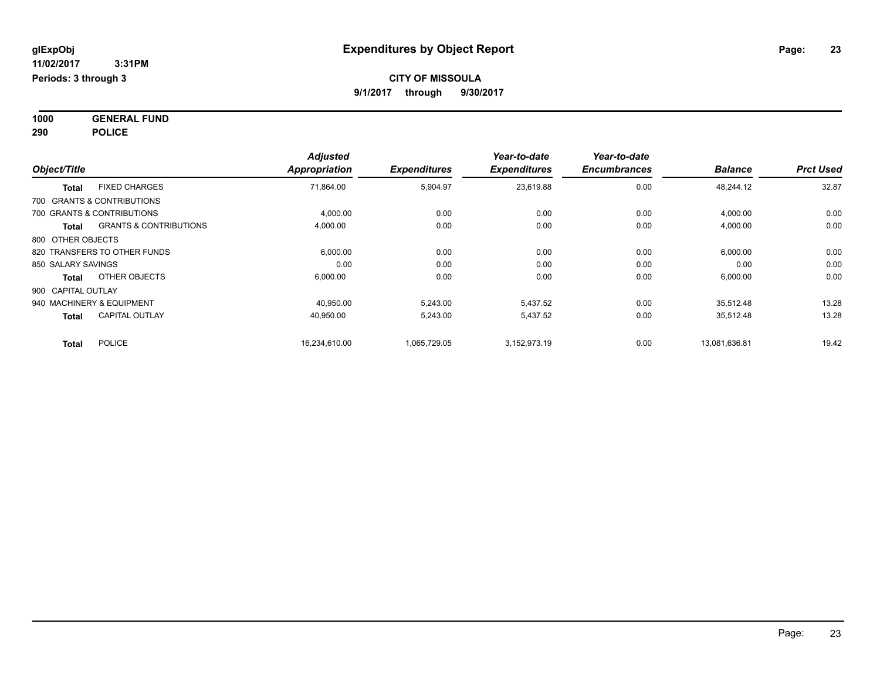**1000 GENERAL FUND 290 POLICE**

| Object/Title                  |                                   | <b>Adjusted</b><br>Appropriation | <b>Expenditures</b> | Year-to-date<br><b>Expenditures</b> | Year-to-date<br><b>Encumbrances</b> | <b>Balance</b> | <b>Prct Used</b> |
|-------------------------------|-----------------------------------|----------------------------------|---------------------|-------------------------------------|-------------------------------------|----------------|------------------|
| <b>Total</b>                  | <b>FIXED CHARGES</b>              | 71,864.00                        | 5,904.97            | 23.619.88                           | 0.00                                | 48,244.12      | 32.87            |
| 700 GRANTS & CONTRIBUTIONS    |                                   |                                  |                     |                                     |                                     |                |                  |
| 700 GRANTS & CONTRIBUTIONS    |                                   | 4,000.00                         | 0.00                | 0.00                                | 0.00                                | 4,000.00       | 0.00             |
| <b>Total</b>                  | <b>GRANTS &amp; CONTRIBUTIONS</b> | 4,000.00                         | 0.00                | 0.00                                | 0.00                                | 4,000.00       | 0.00             |
| 800 OTHER OBJECTS             |                                   |                                  |                     |                                     |                                     |                |                  |
| 820 TRANSFERS TO OTHER FUNDS  |                                   | 6,000.00                         | 0.00                | 0.00                                | 0.00                                | 6,000.00       | 0.00             |
| 850 SALARY SAVINGS            |                                   | 0.00                             | 0.00                | 0.00                                | 0.00                                | 0.00           | 0.00             |
| <b>Total</b>                  | OTHER OBJECTS                     | 6,000.00                         | 0.00                | 0.00                                | 0.00                                | 6,000.00       | 0.00             |
| 900 CAPITAL OUTLAY            |                                   |                                  |                     |                                     |                                     |                |                  |
| 940 MACHINERY & EQUIPMENT     |                                   | 40.950.00                        | 5.243.00            | 5.437.52                            | 0.00                                | 35,512.48      | 13.28            |
| <b>Total</b>                  | <b>CAPITAL OUTLAY</b>             | 40,950.00                        | 5,243.00            | 5,437.52                            | 0.00                                | 35,512.48      | 13.28            |
| <b>POLICE</b><br><b>Total</b> |                                   | 16,234,610.00                    | 1,065,729.05        | 3,152,973.19                        | 0.00                                | 13,081,636.81  | 19.42            |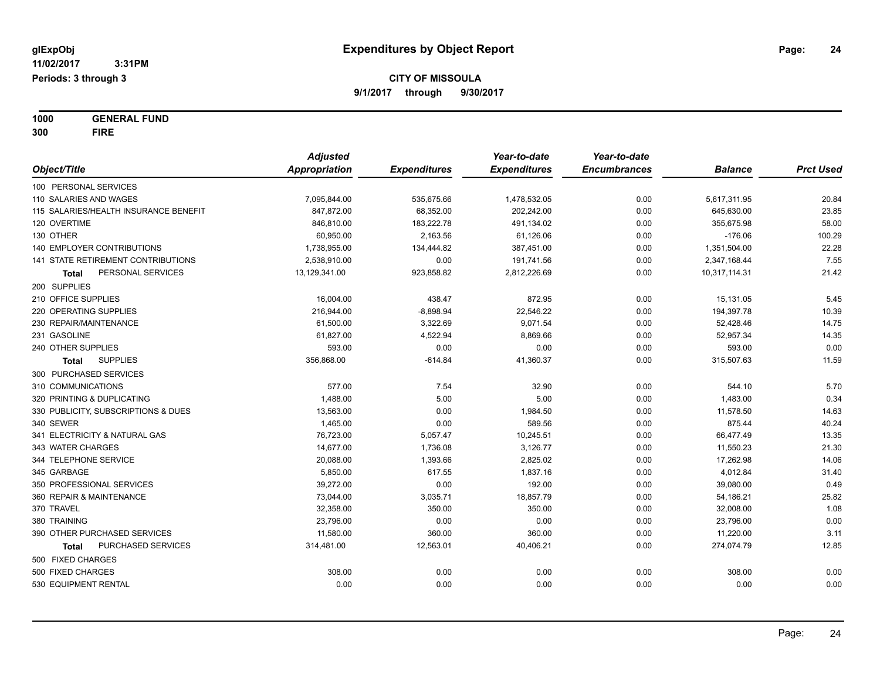**1000 GENERAL FUND 300 FIRE**

|                                       | <b>Adjusted</b> |                     | Year-to-date        | Year-to-date        |                |                  |
|---------------------------------------|-----------------|---------------------|---------------------|---------------------|----------------|------------------|
| Object/Title                          | Appropriation   | <b>Expenditures</b> | <b>Expenditures</b> | <b>Encumbrances</b> | <b>Balance</b> | <b>Prct Used</b> |
| 100 PERSONAL SERVICES                 |                 |                     |                     |                     |                |                  |
| 110 SALARIES AND WAGES                | 7,095,844.00    | 535,675.66          | 1,478,532.05        | 0.00                | 5,617,311.95   | 20.84            |
| 115 SALARIES/HEALTH INSURANCE BENEFIT | 847,872.00      | 68,352.00           | 202,242.00          | 0.00                | 645,630.00     | 23.85            |
| 120 OVERTIME                          | 846,810.00      | 183,222.78          | 491,134.02          | 0.00                | 355,675.98     | 58.00            |
| 130 OTHER                             | 60,950.00       | 2,163.56            | 61,126.06           | 0.00                | $-176.06$      | 100.29           |
| <b>140 EMPLOYER CONTRIBUTIONS</b>     | 1,738,955.00    | 134,444.82          | 387,451.00          | 0.00                | 1,351,504.00   | 22.28            |
| 141 STATE RETIREMENT CONTRIBUTIONS    | 2,538,910.00    | 0.00                | 191,741.56          | 0.00                | 2,347,168.44   | 7.55             |
| PERSONAL SERVICES<br><b>Total</b>     | 13,129,341.00   | 923,858.82          | 2,812,226.69        | 0.00                | 10,317,114.31  | 21.42            |
| 200 SUPPLIES                          |                 |                     |                     |                     |                |                  |
| 210 OFFICE SUPPLIES                   | 16,004.00       | 438.47              | 872.95              | 0.00                | 15,131.05      | 5.45             |
| 220 OPERATING SUPPLIES                | 216,944.00      | $-8,898.94$         | 22,546.22           | 0.00                | 194,397.78     | 10.39            |
| 230 REPAIR/MAINTENANCE                | 61,500.00       | 3,322.69            | 9,071.54            | 0.00                | 52,428.46      | 14.75            |
| 231 GASOLINE                          | 61,827.00       | 4,522.94            | 8,869.66            | 0.00                | 52,957.34      | 14.35            |
| 240 OTHER SUPPLIES                    | 593.00          | 0.00                | 0.00                | 0.00                | 593.00         | 0.00             |
| <b>SUPPLIES</b><br><b>Total</b>       | 356,868.00      | $-614.84$           | 41,360.37           | 0.00                | 315,507.63     | 11.59            |
| 300 PURCHASED SERVICES                |                 |                     |                     |                     |                |                  |
| 310 COMMUNICATIONS                    | 577.00          | 7.54                | 32.90               | 0.00                | 544.10         | 5.70             |
| 320 PRINTING & DUPLICATING            | 1,488.00        | 5.00                | 5.00                | 0.00                | 1,483.00       | 0.34             |
| 330 PUBLICITY, SUBSCRIPTIONS & DUES   | 13,563.00       | 0.00                | 1,984.50            | 0.00                | 11,578.50      | 14.63            |
| 340 SEWER                             | 1,465.00        | 0.00                | 589.56              | 0.00                | 875.44         | 40.24            |
| 341 ELECTRICITY & NATURAL GAS         | 76,723.00       | 5,057.47            | 10,245.51           | 0.00                | 66,477.49      | 13.35            |
| 343 WATER CHARGES                     | 14,677.00       | 1,736.08            | 3,126.77            | 0.00                | 11,550.23      | 21.30            |
| 344 TELEPHONE SERVICE                 | 20,088.00       | 1,393.66            | 2,825.02            | 0.00                | 17,262.98      | 14.06            |
| 345 GARBAGE                           | 5,850.00        | 617.55              | 1,837.16            | 0.00                | 4,012.84       | 31.40            |
| 350 PROFESSIONAL SERVICES             | 39,272.00       | 0.00                | 192.00              | 0.00                | 39,080.00      | 0.49             |
| 360 REPAIR & MAINTENANCE              | 73,044.00       | 3,035.71            | 18,857.79           | 0.00                | 54,186.21      | 25.82            |
| 370 TRAVEL                            | 32,358.00       | 350.00              | 350.00              | 0.00                | 32,008.00      | 1.08             |
| 380 TRAINING                          | 23,796.00       | 0.00                | 0.00                | 0.00                | 23,796.00      | 0.00             |
| 390 OTHER PURCHASED SERVICES          | 11,580.00       | 360.00              | 360.00              | 0.00                | 11,220.00      | 3.11             |
| PURCHASED SERVICES<br>Total           | 314,481.00      | 12,563.01           | 40,406.21           | 0.00                | 274,074.79     | 12.85            |
| 500 FIXED CHARGES                     |                 |                     |                     |                     |                |                  |
| 500 FIXED CHARGES                     | 308.00          | 0.00                | 0.00                | 0.00                | 308.00         | 0.00             |
| 530 EQUIPMENT RENTAL                  | 0.00            | 0.00                | 0.00                | 0.00                | 0.00           | 0.00             |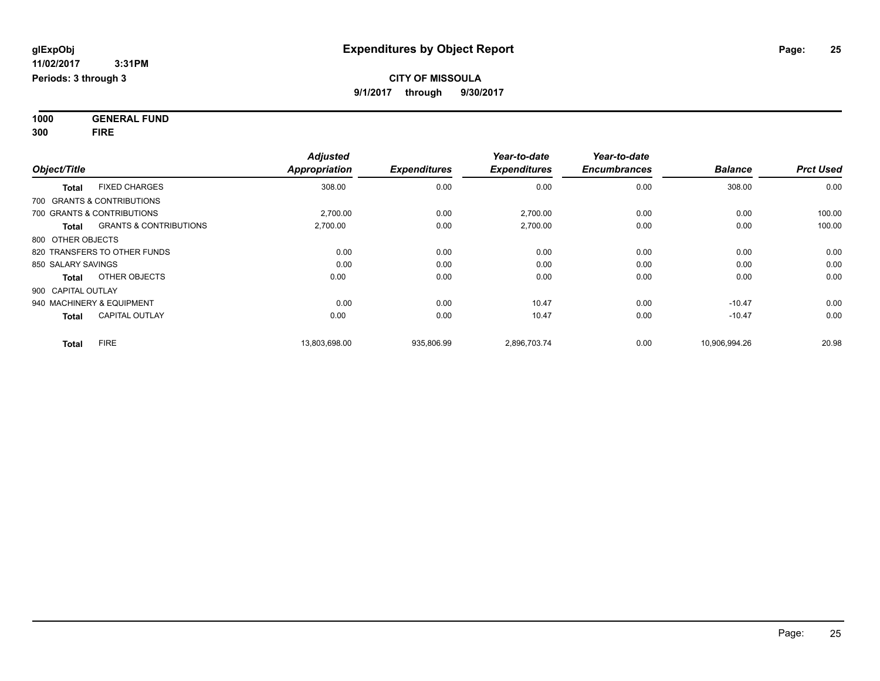**1000 GENERAL FUND 300 FIRE**

| Object/Title                               | <b>Adjusted</b><br><b>Appropriation</b> | <b>Expenditures</b> | Year-to-date<br><b>Expenditures</b> | Year-to-date<br><b>Encumbrances</b> | <b>Balance</b> | <b>Prct Used</b> |
|--------------------------------------------|-----------------------------------------|---------------------|-------------------------------------|-------------------------------------|----------------|------------------|
| <b>FIXED CHARGES</b><br><b>Total</b>       | 308.00                                  | 0.00                | 0.00                                | 0.00                                | 308.00         | 0.00             |
| 700 GRANTS & CONTRIBUTIONS                 |                                         |                     |                                     |                                     |                |                  |
| 700 GRANTS & CONTRIBUTIONS                 | 2,700.00                                | 0.00                | 2,700.00                            | 0.00                                | 0.00           | 100.00           |
| <b>GRANTS &amp; CONTRIBUTIONS</b><br>Total | 2,700.00                                | 0.00                | 2,700.00                            | 0.00                                | 0.00           | 100.00           |
| 800 OTHER OBJECTS                          |                                         |                     |                                     |                                     |                |                  |
| 820 TRANSFERS TO OTHER FUNDS               | 0.00                                    | 0.00                | 0.00                                | 0.00                                | 0.00           | 0.00             |
| 850 SALARY SAVINGS                         | 0.00                                    | 0.00                | 0.00                                | 0.00                                | 0.00           | 0.00             |
| OTHER OBJECTS<br><b>Total</b>              | 0.00                                    | 0.00                | 0.00                                | 0.00                                | 0.00           | 0.00             |
| 900 CAPITAL OUTLAY                         |                                         |                     |                                     |                                     |                |                  |
| 940 MACHINERY & EQUIPMENT                  | 0.00                                    | 0.00                | 10.47                               | 0.00                                | $-10.47$       | 0.00             |
| <b>CAPITAL OUTLAY</b><br><b>Total</b>      | 0.00                                    | 0.00                | 10.47                               | 0.00                                | $-10.47$       | 0.00             |
| <b>FIRE</b><br><b>Total</b>                | 13,803,698.00                           | 935,806.99          | 2,896,703.74                        | 0.00                                | 10,906,994.26  | 20.98            |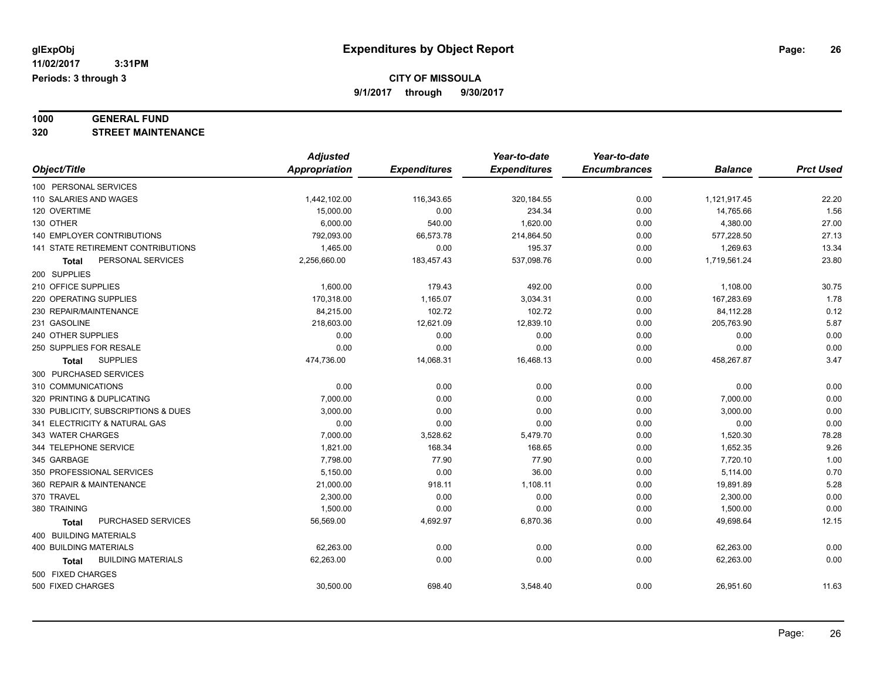# **1000 GENERAL FUND**

**320 STREET MAINTENANCE**

|                                           | <b>Adjusted</b> |                     | Year-to-date        | Year-to-date        |                |                  |
|-------------------------------------------|-----------------|---------------------|---------------------|---------------------|----------------|------------------|
| Object/Title                              | Appropriation   | <b>Expenditures</b> | <b>Expenditures</b> | <b>Encumbrances</b> | <b>Balance</b> | <b>Prct Used</b> |
| 100 PERSONAL SERVICES                     |                 |                     |                     |                     |                |                  |
| 110 SALARIES AND WAGES                    | 1,442,102.00    | 116,343.65          | 320, 184.55         | 0.00                | 1,121,917.45   | 22.20            |
| 120 OVERTIME                              | 15,000.00       | 0.00                | 234.34              | 0.00                | 14,765.66      | 1.56             |
| 130 OTHER                                 | 6,000.00        | 540.00              | 1,620.00            | 0.00                | 4,380.00       | 27.00            |
| 140 EMPLOYER CONTRIBUTIONS                | 792,093.00      | 66,573.78           | 214,864.50          | 0.00                | 577,228.50     | 27.13            |
| 141 STATE RETIREMENT CONTRIBUTIONS        | 1,465.00        | 0.00                | 195.37              | 0.00                | 1,269.63       | 13.34            |
| PERSONAL SERVICES<br>Total                | 2,256,660.00    | 183,457.43          | 537,098.76          | 0.00                | 1,719,561.24   | 23.80            |
| 200 SUPPLIES                              |                 |                     |                     |                     |                |                  |
| 210 OFFICE SUPPLIES                       | 1,600.00        | 179.43              | 492.00              | 0.00                | 1,108.00       | 30.75            |
| 220 OPERATING SUPPLIES                    | 170,318.00      | 1,165.07            | 3,034.31            | 0.00                | 167,283.69     | 1.78             |
| 230 REPAIR/MAINTENANCE                    | 84,215.00       | 102.72              | 102.72              | 0.00                | 84,112.28      | 0.12             |
| 231 GASOLINE                              | 218,603.00      | 12,621.09           | 12,839.10           | 0.00                | 205,763.90     | 5.87             |
| 240 OTHER SUPPLIES                        | 0.00            | 0.00                | 0.00                | 0.00                | 0.00           | 0.00             |
| 250 SUPPLIES FOR RESALE                   | 0.00            | 0.00                | 0.00                | 0.00                | 0.00           | 0.00             |
| <b>SUPPLIES</b><br>Total                  | 474,736.00      | 14,068.31           | 16,468.13           | 0.00                | 458,267.87     | 3.47             |
| 300 PURCHASED SERVICES                    |                 |                     |                     |                     |                |                  |
| 310 COMMUNICATIONS                        | 0.00            | 0.00                | 0.00                | 0.00                | 0.00           | 0.00             |
| 320 PRINTING & DUPLICATING                | 7,000.00        | 0.00                | 0.00                | 0.00                | 7,000.00       | 0.00             |
| 330 PUBLICITY, SUBSCRIPTIONS & DUES       | 3.000.00        | 0.00                | 0.00                | 0.00                | 3,000.00       | 0.00             |
| 341 ELECTRICITY & NATURAL GAS             | 0.00            | 0.00                | 0.00                | 0.00                | 0.00           | 0.00             |
| 343 WATER CHARGES                         | 7,000.00        | 3,528.62            | 5,479.70            | 0.00                | 1,520.30       | 78.28            |
| 344 TELEPHONE SERVICE                     | 1,821.00        | 168.34              | 168.65              | 0.00                | 1,652.35       | 9.26             |
| 345 GARBAGE                               | 7,798.00        | 77.90               | 77.90               | 0.00                | 7,720.10       | 1.00             |
| 350 PROFESSIONAL SERVICES                 | 5,150.00        | 0.00                | 36.00               | 0.00                | 5,114.00       | 0.70             |
| 360 REPAIR & MAINTENANCE                  | 21,000.00       | 918.11              | 1,108.11            | 0.00                | 19,891.89      | 5.28             |
| 370 TRAVEL                                | 2,300.00        | 0.00                | 0.00                | 0.00                | 2,300.00       | 0.00             |
| 380 TRAINING                              | 1,500.00        | 0.00                | 0.00                | 0.00                | 1,500.00       | 0.00             |
| PURCHASED SERVICES<br><b>Total</b>        | 56,569.00       | 4,692.97            | 6,870.36            | 0.00                | 49,698.64      | 12.15            |
| 400 BUILDING MATERIALS                    |                 |                     |                     |                     |                |                  |
| <b>400 BUILDING MATERIALS</b>             | 62,263.00       | 0.00                | 0.00                | 0.00                | 62,263.00      | 0.00             |
| <b>BUILDING MATERIALS</b><br><b>Total</b> | 62.263.00       | 0.00                | 0.00                | 0.00                | 62,263.00      | 0.00             |
| 500 FIXED CHARGES                         |                 |                     |                     |                     |                |                  |
| 500 FIXED CHARGES                         | 30,500.00       | 698.40              | 3,548.40            | 0.00                | 26,951.60      | 11.63            |
|                                           |                 |                     |                     |                     |                |                  |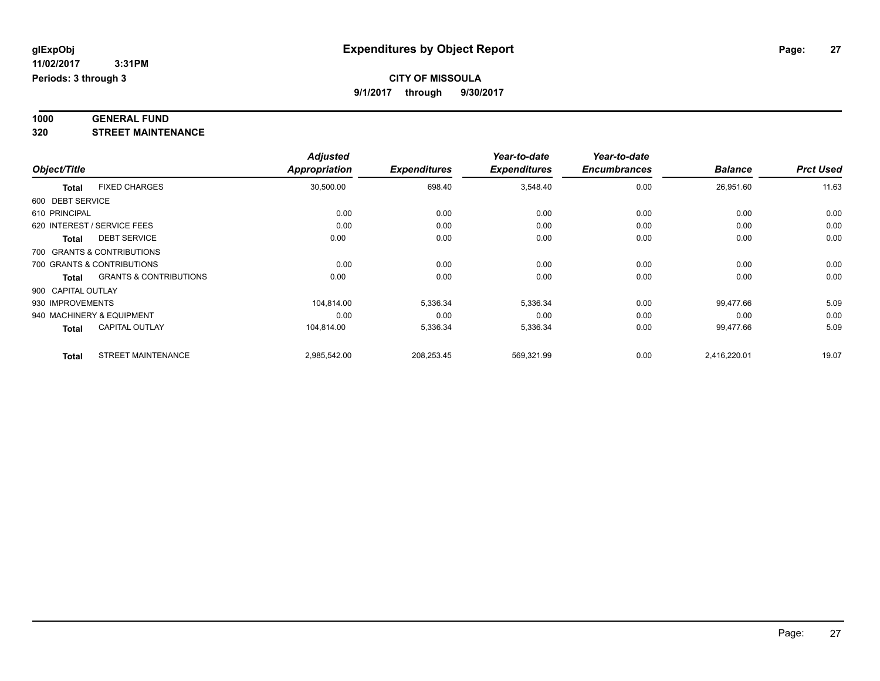### **CITY OF MISSOULA**

**9/1/2017 through 9/30/2017**

# **1000 GENERAL FUND**

**320 STREET MAINTENANCE**

|                    |                                   | <b>Adjusted</b> |                     | Year-to-date        | Year-to-date        |                |                  |
|--------------------|-----------------------------------|-----------------|---------------------|---------------------|---------------------|----------------|------------------|
| Object/Title       |                                   | Appropriation   | <b>Expenditures</b> | <b>Expenditures</b> | <b>Encumbrances</b> | <b>Balance</b> | <b>Prct Used</b> |
| <b>Total</b>       | <b>FIXED CHARGES</b>              | 30,500.00       | 698.40              | 3,548.40            | 0.00                | 26,951.60      | 11.63            |
| 600 DEBT SERVICE   |                                   |                 |                     |                     |                     |                |                  |
| 610 PRINCIPAL      |                                   | 0.00            | 0.00                | 0.00                | 0.00                | 0.00           | 0.00             |
|                    | 620 INTEREST / SERVICE FEES       | 0.00            | 0.00                | 0.00                | 0.00                | 0.00           | 0.00             |
| <b>Total</b>       | <b>DEBT SERVICE</b>               | 0.00            | 0.00                | 0.00                | 0.00                | 0.00           | 0.00             |
|                    | 700 GRANTS & CONTRIBUTIONS        |                 |                     |                     |                     |                |                  |
|                    | 700 GRANTS & CONTRIBUTIONS        | 0.00            | 0.00                | 0.00                | 0.00                | 0.00           | 0.00             |
| <b>Total</b>       | <b>GRANTS &amp; CONTRIBUTIONS</b> | 0.00            | 0.00                | 0.00                | 0.00                | 0.00           | 0.00             |
| 900 CAPITAL OUTLAY |                                   |                 |                     |                     |                     |                |                  |
| 930 IMPROVEMENTS   |                                   | 104.814.00      | 5,336.34            | 5,336.34            | 0.00                | 99,477.66      | 5.09             |
|                    | 940 MACHINERY & EQUIPMENT         | 0.00            | 0.00                | 0.00                | 0.00                | 0.00           | 0.00             |
| <b>Total</b>       | <b>CAPITAL OUTLAY</b>             | 104,814.00      | 5,336.34            | 5,336.34            | 0.00                | 99,477.66      | 5.09             |
| <b>Total</b>       | <b>STREET MAINTENANCE</b>         | 2,985,542.00    | 208,253.45          | 569,321.99          | 0.00                | 2,416,220.01   | 19.07            |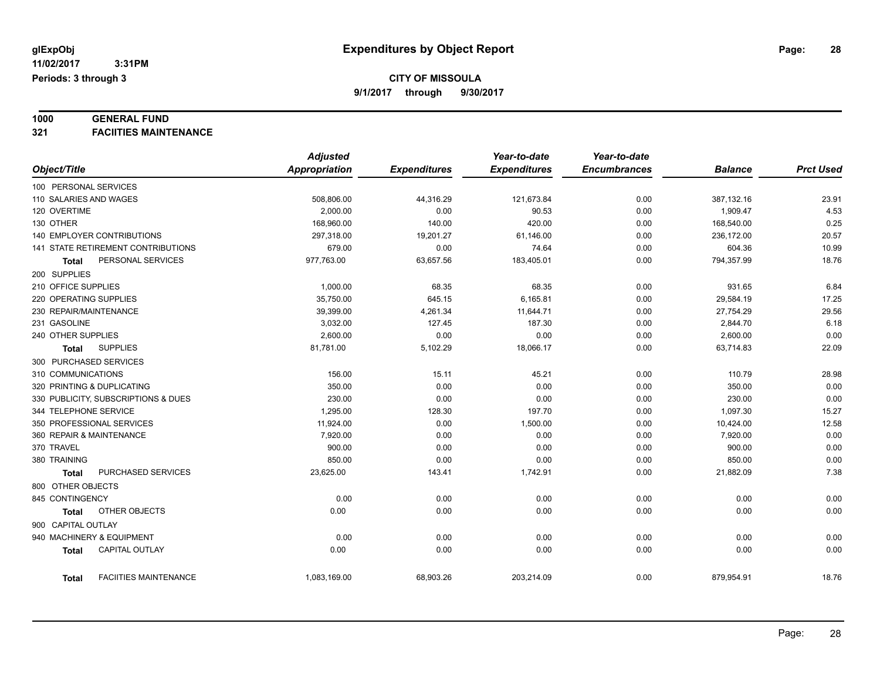### **1000 GENERAL FUND**

**321 FACIITIES MAINTENANCE**

|                                   |                                     | <b>Adjusted</b>      |                     | Year-to-date        | Year-to-date        |                |                  |
|-----------------------------------|-------------------------------------|----------------------|---------------------|---------------------|---------------------|----------------|------------------|
| Object/Title                      |                                     | <b>Appropriation</b> | <b>Expenditures</b> | <b>Expenditures</b> | <b>Encumbrances</b> | <b>Balance</b> | <b>Prct Used</b> |
| 100 PERSONAL SERVICES             |                                     |                      |                     |                     |                     |                |                  |
| 110 SALARIES AND WAGES            |                                     | 508,806.00           | 44,316.29           | 121,673.84          | 0.00                | 387,132.16     | 23.91            |
| 120 OVERTIME                      |                                     | 2.000.00             | 0.00                | 90.53               | 0.00                | 1,909.47       | 4.53             |
| 130 OTHER                         |                                     | 168,960.00           | 140.00              | 420.00              | 0.00                | 168,540.00     | 0.25             |
| <b>140 EMPLOYER CONTRIBUTIONS</b> |                                     | 297,318.00           | 19,201.27           | 61,146.00           | 0.00                | 236,172.00     | 20.57            |
|                                   | 141 STATE RETIREMENT CONTRIBUTIONS  | 679.00               | 0.00                | 74.64               | 0.00                | 604.36         | 10.99            |
| <b>Total</b>                      | PERSONAL SERVICES                   | 977,763.00           | 63,657.56           | 183,405.01          | 0.00                | 794,357.99     | 18.76            |
| 200 SUPPLIES                      |                                     |                      |                     |                     |                     |                |                  |
| 210 OFFICE SUPPLIES               |                                     | 1,000.00             | 68.35               | 68.35               | 0.00                | 931.65         | 6.84             |
| 220 OPERATING SUPPLIES            |                                     | 35,750.00            | 645.15              | 6,165.81            | 0.00                | 29,584.19      | 17.25            |
| 230 REPAIR/MAINTENANCE            |                                     | 39,399.00            | 4,261.34            | 11,644.71           | 0.00                | 27,754.29      | 29.56            |
| 231 GASOLINE                      |                                     | 3.032.00             | 127.45              | 187.30              | 0.00                | 2,844.70       | 6.18             |
| 240 OTHER SUPPLIES                |                                     | 2.600.00             | 0.00                | 0.00                | 0.00                | 2,600.00       | 0.00             |
| Total                             | <b>SUPPLIES</b>                     | 81,781.00            | 5,102.29            | 18,066.17           | 0.00                | 63,714.83      | 22.09            |
| 300 PURCHASED SERVICES            |                                     |                      |                     |                     |                     |                |                  |
| 310 COMMUNICATIONS                |                                     | 156.00               | 15.11               | 45.21               | 0.00                | 110.79         | 28.98            |
| 320 PRINTING & DUPLICATING        |                                     | 350.00               | 0.00                | 0.00                | 0.00                | 350.00         | 0.00             |
|                                   | 330 PUBLICITY, SUBSCRIPTIONS & DUES | 230.00               | 0.00                | 0.00                | 0.00                | 230.00         | 0.00             |
| 344 TELEPHONE SERVICE             |                                     | 1,295.00             | 128.30              | 197.70              | 0.00                | 1,097.30       | 15.27            |
| 350 PROFESSIONAL SERVICES         |                                     | 11,924.00            | 0.00                | 1,500.00            | 0.00                | 10,424.00      | 12.58            |
| 360 REPAIR & MAINTENANCE          |                                     | 7,920.00             | 0.00                | 0.00                | 0.00                | 7,920.00       | 0.00             |
| 370 TRAVEL                        |                                     | 900.00               | 0.00                | 0.00                | 0.00                | 900.00         | 0.00             |
| 380 TRAINING                      |                                     | 850.00               | 0.00                | 0.00                | 0.00                | 850.00         | 0.00             |
| <b>Total</b>                      | PURCHASED SERVICES                  | 23,625.00            | 143.41              | 1,742.91            | 0.00                | 21,882.09      | 7.38             |
| 800 OTHER OBJECTS                 |                                     |                      |                     |                     |                     |                |                  |
| 845 CONTINGENCY                   |                                     | 0.00                 | 0.00                | 0.00                | 0.00                | 0.00           | 0.00             |
| Total                             | OTHER OBJECTS                       | 0.00                 | 0.00                | 0.00                | 0.00                | 0.00           | 0.00             |
| 900 CAPITAL OUTLAY                |                                     |                      |                     |                     |                     |                |                  |
| 940 MACHINERY & EQUIPMENT         |                                     | 0.00                 | 0.00                | 0.00                | 0.00                | 0.00           | 0.00             |
| <b>Total</b>                      | <b>CAPITAL OUTLAY</b>               | 0.00                 | 0.00                | 0.00                | 0.00                | 0.00           | 0.00             |
|                                   |                                     |                      |                     |                     |                     |                |                  |
| Total                             | <b>FACIITIES MAINTENANCE</b>        | 1,083,169.00         | 68,903.26           | 203,214.09          | 0.00                | 879,954.91     | 18.76            |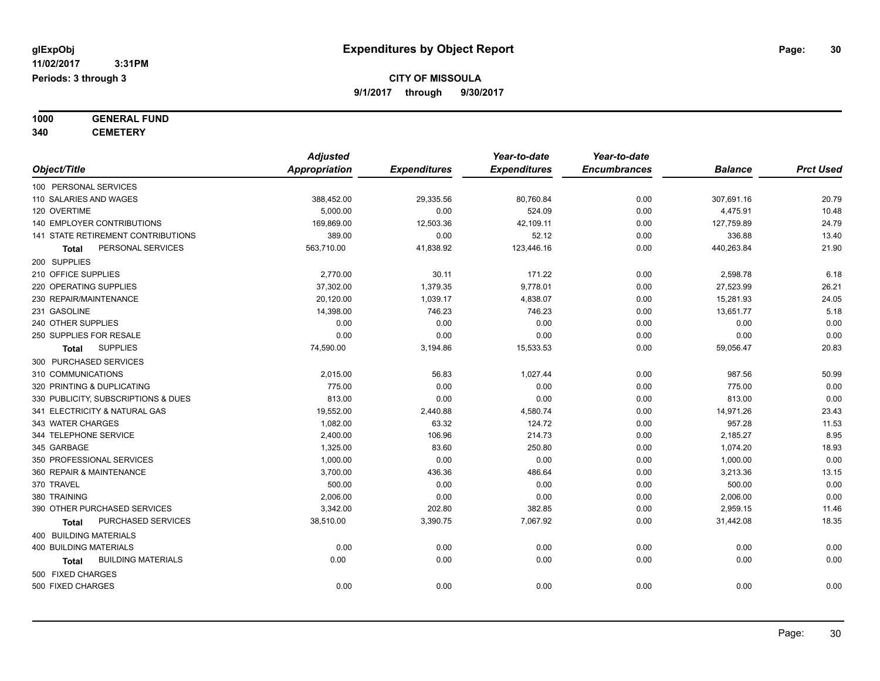# **1000 GENERAL FUND**

**340 CEMETERY**

|                                           | <b>Adjusted</b>      |                     | Year-to-date        | Year-to-date        |                |                  |
|-------------------------------------------|----------------------|---------------------|---------------------|---------------------|----------------|------------------|
| Object/Title                              | <b>Appropriation</b> | <b>Expenditures</b> | <b>Expenditures</b> | <b>Encumbrances</b> | <b>Balance</b> | <b>Prct Used</b> |
| 100 PERSONAL SERVICES                     |                      |                     |                     |                     |                |                  |
| 110 SALARIES AND WAGES                    | 388,452.00           | 29,335.56           | 80,760.84           | 0.00                | 307,691.16     | 20.79            |
| 120 OVERTIME                              | 5,000.00             | 0.00                | 524.09              | 0.00                | 4,475.91       | 10.48            |
| 140 EMPLOYER CONTRIBUTIONS                | 169,869.00           | 12,503.36           | 42,109.11           | 0.00                | 127,759.89     | 24.79            |
| 141 STATE RETIREMENT CONTRIBUTIONS        | 389.00               | 0.00                | 52.12               | 0.00                | 336.88         | 13.40            |
| PERSONAL SERVICES<br>Total                | 563,710.00           | 41,838.92           | 123,446.16          | 0.00                | 440,263.84     | 21.90            |
| 200 SUPPLIES                              |                      |                     |                     |                     |                |                  |
| 210 OFFICE SUPPLIES                       | 2,770.00             | 30.11               | 171.22              | 0.00                | 2,598.78       | 6.18             |
| 220 OPERATING SUPPLIES                    | 37,302.00            | 1,379.35            | 9,778.01            | 0.00                | 27,523.99      | 26.21            |
| 230 REPAIR/MAINTENANCE                    | 20,120.00            | 1,039.17            | 4,838.07            | 0.00                | 15,281.93      | 24.05            |
| 231 GASOLINE                              | 14,398.00            | 746.23              | 746.23              | 0.00                | 13,651.77      | 5.18             |
| 240 OTHER SUPPLIES                        | 0.00                 | 0.00                | 0.00                | 0.00                | 0.00           | 0.00             |
| 250 SUPPLIES FOR RESALE                   | 0.00                 | 0.00                | 0.00                | 0.00                | 0.00           | 0.00             |
| <b>SUPPLIES</b><br><b>Total</b>           | 74,590.00            | 3,194.86            | 15,533.53           | 0.00                | 59,056.47      | 20.83            |
| 300 PURCHASED SERVICES                    |                      |                     |                     |                     |                |                  |
| 310 COMMUNICATIONS                        | 2,015.00             | 56.83               | 1,027.44            | 0.00                | 987.56         | 50.99            |
| 320 PRINTING & DUPLICATING                | 775.00               | 0.00                | 0.00                | 0.00                | 775.00         | 0.00             |
| 330 PUBLICITY, SUBSCRIPTIONS & DUES       | 813.00               | 0.00                | 0.00                | 0.00                | 813.00         | 0.00             |
| 341 ELECTRICITY & NATURAL GAS             | 19,552.00            | 2,440.88            | 4,580.74            | 0.00                | 14,971.26      | 23.43            |
| 343 WATER CHARGES                         | 1,082.00             | 63.32               | 124.72              | 0.00                | 957.28         | 11.53            |
| 344 TELEPHONE SERVICE                     | 2,400.00             | 106.96              | 214.73              | 0.00                | 2,185.27       | 8.95             |
| 345 GARBAGE                               | 1,325.00             | 83.60               | 250.80              | 0.00                | 1,074.20       | 18.93            |
| 350 PROFESSIONAL SERVICES                 | 1,000.00             | 0.00                | 0.00                | 0.00                | 1,000.00       | 0.00             |
| 360 REPAIR & MAINTENANCE                  | 3,700.00             | 436.36              | 486.64              | 0.00                | 3,213.36       | 13.15            |
| 370 TRAVEL                                | 500.00               | 0.00                | 0.00                | 0.00                | 500.00         | 0.00             |
| 380 TRAINING                              | 2,006.00             | 0.00                | 0.00                | 0.00                | 2,006.00       | 0.00             |
| 390 OTHER PURCHASED SERVICES              | 3,342.00             | 202.80              | 382.85              | 0.00                | 2,959.15       | 11.46            |
| PURCHASED SERVICES<br>Total               | 38,510.00            | 3,390.75            | 7,067.92            | 0.00                | 31,442.08      | 18.35            |
| 400 BUILDING MATERIALS                    |                      |                     |                     |                     |                |                  |
| <b>400 BUILDING MATERIALS</b>             | 0.00                 | 0.00                | 0.00                | 0.00                | 0.00           | 0.00             |
| <b>BUILDING MATERIALS</b><br><b>Total</b> | 0.00                 | 0.00                | 0.00                | 0.00                | 0.00           | 0.00             |
| 500 FIXED CHARGES                         |                      |                     |                     |                     |                |                  |
| 500 FIXED CHARGES                         | 0.00                 | 0.00                | 0.00                | 0.00                | 0.00           | 0.00             |
|                                           |                      |                     |                     |                     |                |                  |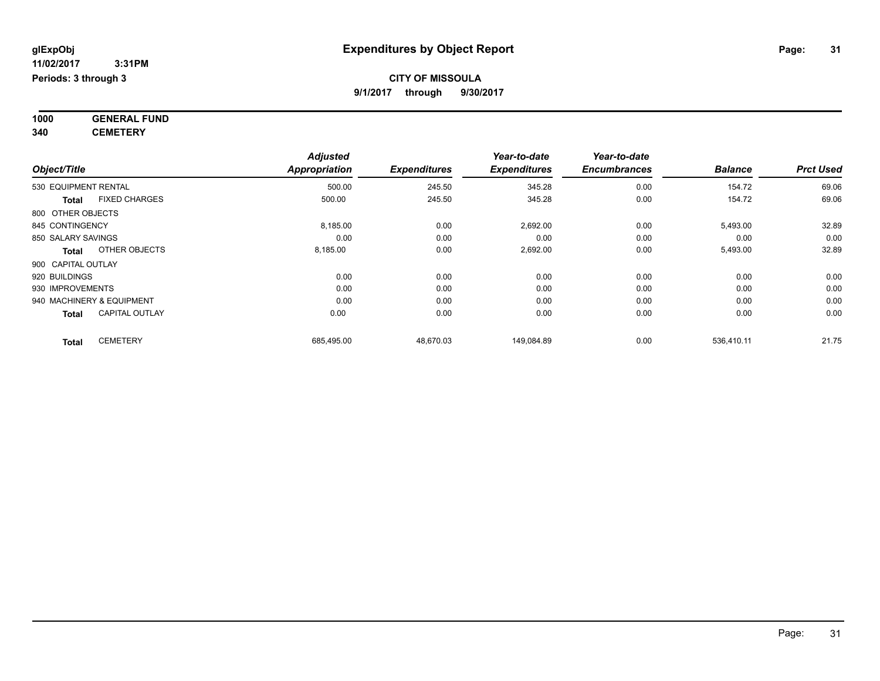**1000 GENERAL FUND 340 CEMETERY**

*Object/Title Adjusted Appropriation Expenditures Year-to-date Expenditures Year-to-date Encumbrances Balance Prct Used* 530 EQUIPMENT RENTAL 500.00 245.50 345.28 0.00 154.72 69.06 **Total** FIXED CHARGES 500.00 245.50 345.28 0.00 154.72 69.06 800 OTHER OBJECTS 845 CONTINGENCY 8,185.00 0.00 2,692.00 5,493.00 32.89 850 SALARY SAVINGS 0.00 0.00 0.00 0.00 0.00 0.00 **Total** OTHER OBJECTS 8,185.00 0.00 2,692.00 0.00 5,493.00 32.89 900 CAPITAL OUTLAY 920 BUILDINGS 0.00 0.00 0.00 0.00 0.00 0.00 930 IMPROVEMENTS 0.00 0.00 0.00 0.00 0.00 0.00 940 MACHINERY & EQUIPMENT 0.00 0.00 0.00 0.00 0.00 0.00 **Total** CAPITAL OUTLAY 0.00 0.00 0.00 0.00 0.00 0.00 **Total** CEMETERY 685,495.00 48,670.03 149,084.89 0.00 536,410.11 21.75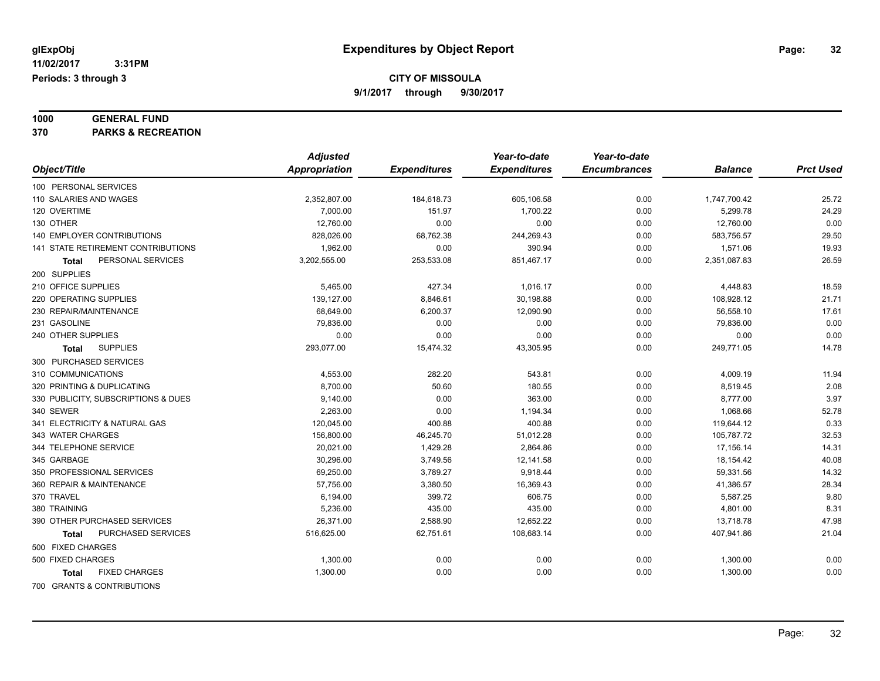### **1000 GENERAL FUND**

**370 PARKS & RECREATION**

|                                      | <b>Adjusted</b> |                     | Year-to-date        | Year-to-date        |                |                  |
|--------------------------------------|-----------------|---------------------|---------------------|---------------------|----------------|------------------|
| Object/Title                         | Appropriation   | <b>Expenditures</b> | <b>Expenditures</b> | <b>Encumbrances</b> | <b>Balance</b> | <b>Prct Used</b> |
| 100 PERSONAL SERVICES                |                 |                     |                     |                     |                |                  |
| 110 SALARIES AND WAGES               | 2,352,807.00    | 184,618.73          | 605,106.58          | 0.00                | 1,747,700.42   | 25.72            |
| 120 OVERTIME                         | 7,000.00        | 151.97              | 1,700.22            | 0.00                | 5,299.78       | 24.29            |
| 130 OTHER                            | 12,760.00       | 0.00                | 0.00                | 0.00                | 12,760.00      | 0.00             |
| <b>140 EMPLOYER CONTRIBUTIONS</b>    | 828,026.00      | 68,762.38           | 244,269.43          | 0.00                | 583,756.57     | 29.50            |
| 141 STATE RETIREMENT CONTRIBUTIONS   | 1,962.00        | 0.00                | 390.94              | 0.00                | 1,571.06       | 19.93            |
| PERSONAL SERVICES<br>Total           | 3,202,555.00    | 253,533.08          | 851,467.17          | 0.00                | 2,351,087.83   | 26.59            |
| 200 SUPPLIES                         |                 |                     |                     |                     |                |                  |
| 210 OFFICE SUPPLIES                  | 5,465.00        | 427.34              | 1,016.17            | 0.00                | 4,448.83       | 18.59            |
| 220 OPERATING SUPPLIES               | 139,127.00      | 8,846.61            | 30,198.88           | 0.00                | 108,928.12     | 21.71            |
| 230 REPAIR/MAINTENANCE               | 68,649.00       | 6,200.37            | 12,090.90           | 0.00                | 56,558.10      | 17.61            |
| 231 GASOLINE                         | 79,836.00       | 0.00                | 0.00                | 0.00                | 79,836.00      | 0.00             |
| 240 OTHER SUPPLIES                   | 0.00            | 0.00                | 0.00                | 0.00                | 0.00           | 0.00             |
| <b>SUPPLIES</b><br>Total             | 293,077.00      | 15,474.32           | 43,305.95           | 0.00                | 249,771.05     | 14.78            |
| 300 PURCHASED SERVICES               |                 |                     |                     |                     |                |                  |
| 310 COMMUNICATIONS                   | 4,553.00        | 282.20              | 543.81              | 0.00                | 4,009.19       | 11.94            |
| 320 PRINTING & DUPLICATING           | 8,700.00        | 50.60               | 180.55              | 0.00                | 8,519.45       | 2.08             |
| 330 PUBLICITY, SUBSCRIPTIONS & DUES  | 9,140.00        | 0.00                | 363.00              | 0.00                | 8,777.00       | 3.97             |
| 340 SEWER                            | 2,263.00        | 0.00                | 1,194.34            | 0.00                | 1,068.66       | 52.78            |
| 341 ELECTRICITY & NATURAL GAS        | 120,045.00      | 400.88              | 400.88              | 0.00                | 119,644.12     | 0.33             |
| 343 WATER CHARGES                    | 156,800.00      | 46,245.70           | 51,012.28           | 0.00                | 105,787.72     | 32.53            |
| 344 TELEPHONE SERVICE                | 20,021.00       | 1,429.28            | 2,864.86            | 0.00                | 17,156.14      | 14.31            |
| 345 GARBAGE                          | 30,296.00       | 3,749.56            | 12,141.58           | 0.00                | 18,154.42      | 40.08            |
| 350 PROFESSIONAL SERVICES            | 69,250.00       | 3,789.27            | 9,918.44            | 0.00                | 59,331.56      | 14.32            |
| 360 REPAIR & MAINTENANCE             | 57,756.00       | 3,380.50            | 16,369.43           | 0.00                | 41,386.57      | 28.34            |
| 370 TRAVEL                           | 6,194.00        | 399.72              | 606.75              | 0.00                | 5,587.25       | 9.80             |
| 380 TRAINING                         | 5,236.00        | 435.00              | 435.00              | 0.00                | 4,801.00       | 8.31             |
| 390 OTHER PURCHASED SERVICES         | 26,371.00       | 2,588.90            | 12,652.22           | 0.00                | 13,718.78      | 47.98            |
| PURCHASED SERVICES<br>Total          | 516,625.00      | 62,751.61           | 108,683.14          | 0.00                | 407,941.86     | 21.04            |
| 500 FIXED CHARGES                    |                 |                     |                     |                     |                |                  |
| 500 FIXED CHARGES                    | 1,300.00        | 0.00                | 0.00                | 0.00                | 1,300.00       | 0.00             |
| <b>FIXED CHARGES</b><br><b>Total</b> | 1,300.00        | 0.00                | 0.00                | 0.00                | 1,300.00       | 0.00             |
| 700 GRANTS & CONTRIBUTIONS           |                 |                     |                     |                     |                |                  |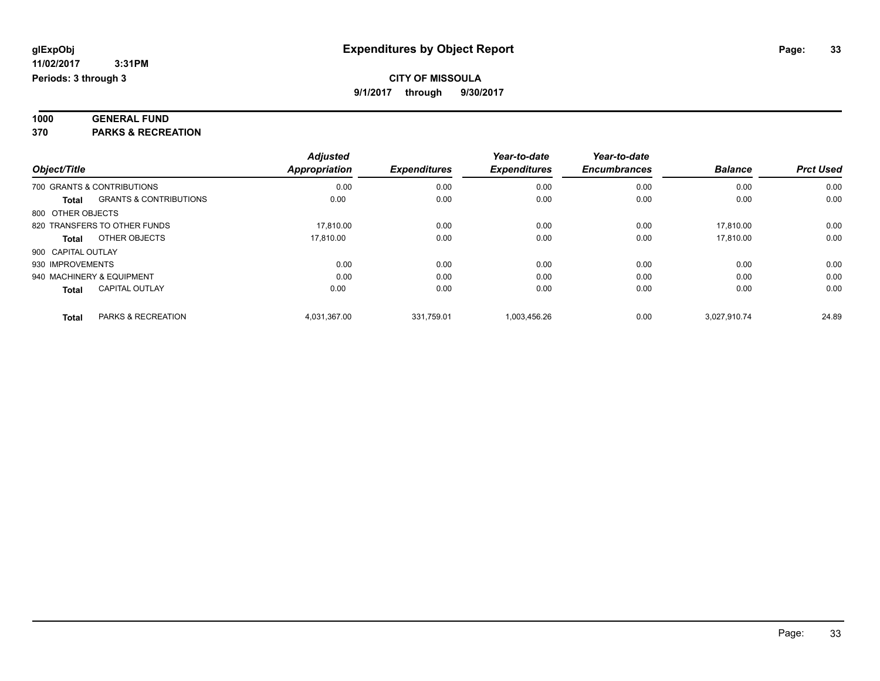| 1000 | <b>GENERAL FUND</b> |
|------|---------------------|
|      |                     |

**370 PARKS & RECREATION**

|                    |                                   | <b>Adjusted</b> |                     | Year-to-date        | Year-to-date        |                |                  |
|--------------------|-----------------------------------|-----------------|---------------------|---------------------|---------------------|----------------|------------------|
| Object/Title       |                                   | Appropriation   | <b>Expenditures</b> | <b>Expenditures</b> | <b>Encumbrances</b> | <b>Balance</b> | <b>Prct Used</b> |
|                    | 700 GRANTS & CONTRIBUTIONS        | 0.00            | 0.00                | 0.00                | 0.00                | 0.00           | 0.00             |
| Total              | <b>GRANTS &amp; CONTRIBUTIONS</b> | 0.00            | 0.00                | 0.00                | 0.00                | 0.00           | 0.00             |
| 800 OTHER OBJECTS  |                                   |                 |                     |                     |                     |                |                  |
|                    | 820 TRANSFERS TO OTHER FUNDS      | 17.810.00       | 0.00                | 0.00                | 0.00                | 17.810.00      | 0.00             |
| Total              | OTHER OBJECTS                     | 17.810.00       | 0.00                | 0.00                | 0.00                | 17.810.00      | 0.00             |
| 900 CAPITAL OUTLAY |                                   |                 |                     |                     |                     |                |                  |
| 930 IMPROVEMENTS   |                                   | 0.00            | 0.00                | 0.00                | 0.00                | 0.00           | 0.00             |
|                    | 940 MACHINERY & EQUIPMENT         | 0.00            | 0.00                | 0.00                | 0.00                | 0.00           | 0.00             |
| <b>Total</b>       | <b>CAPITAL OUTLAY</b>             | 0.00            | 0.00                | 0.00                | 0.00                | 0.00           | 0.00             |
| <b>Total</b>       | PARKS & RECREATION                | 4.031.367.00    | 331.759.01          | 1.003.456.26        | 0.00                | 3.027.910.74   | 24.89            |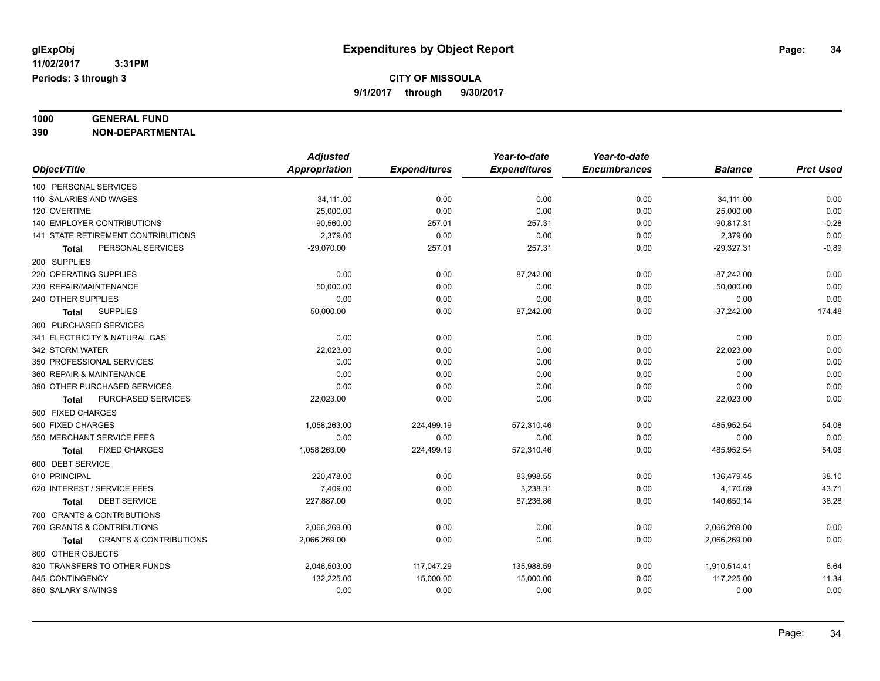### **1000 GENERAL FUND**

**390 NON-DEPARTMENTAL**

|                                            | <b>Adjusted</b>      |                     | Year-to-date        | Year-to-date        |                |                  |
|--------------------------------------------|----------------------|---------------------|---------------------|---------------------|----------------|------------------|
| Object/Title                               | <b>Appropriation</b> | <b>Expenditures</b> | <b>Expenditures</b> | <b>Encumbrances</b> | <b>Balance</b> | <b>Prct Used</b> |
| 100 PERSONAL SERVICES                      |                      |                     |                     |                     |                |                  |
| 110 SALARIES AND WAGES                     | 34,111.00            | 0.00                | 0.00                | 0.00                | 34,111.00      | 0.00             |
| 120 OVERTIME                               | 25,000.00            | 0.00                | 0.00                | 0.00                | 25,000.00      | 0.00             |
| 140 EMPLOYER CONTRIBUTIONS                 | $-90,560.00$         | 257.01              | 257.31              | 0.00                | $-90,817.31$   | $-0.28$          |
| 141 STATE RETIREMENT CONTRIBUTIONS         | 2.379.00             | 0.00                | 0.00                | 0.00                | 2,379.00       | 0.00             |
| PERSONAL SERVICES<br><b>Total</b>          | $-29,070.00$         | 257.01              | 257.31              | 0.00                | $-29,327.31$   | $-0.89$          |
| 200 SUPPLIES                               |                      |                     |                     |                     |                |                  |
| 220 OPERATING SUPPLIES                     | 0.00                 | 0.00                | 87,242.00           | 0.00                | $-87,242.00$   | 0.00             |
| 230 REPAIR/MAINTENANCE                     | 50,000.00            | 0.00                | 0.00                | 0.00                | 50.000.00      | 0.00             |
| 240 OTHER SUPPLIES                         | 0.00                 | 0.00                | 0.00                | 0.00                | 0.00           | 0.00             |
| <b>SUPPLIES</b><br><b>Total</b>            | 50,000.00            | 0.00                | 87,242.00           | 0.00                | $-37,242.00$   | 174.48           |
| 300 PURCHASED SERVICES                     |                      |                     |                     |                     |                |                  |
| 341 ELECTRICITY & NATURAL GAS              | 0.00                 | 0.00                | 0.00                | 0.00                | 0.00           | 0.00             |
| 342 STORM WATER                            | 22,023.00            | 0.00                | 0.00                | 0.00                | 22,023.00      | 0.00             |
| 350 PROFESSIONAL SERVICES                  | 0.00                 | 0.00                | 0.00                | 0.00                | 0.00           | 0.00             |
| 360 REPAIR & MAINTENANCE                   | 0.00                 | 0.00                | 0.00                | 0.00                | 0.00           | 0.00             |
| 390 OTHER PURCHASED SERVICES               | 0.00                 | 0.00                | 0.00                | 0.00                | 0.00           | 0.00             |
| PURCHASED SERVICES<br><b>Total</b>         | 22,023.00            | 0.00                | 0.00                | 0.00                | 22,023.00      | 0.00             |
| 500 FIXED CHARGES                          |                      |                     |                     |                     |                |                  |
| 500 FIXED CHARGES                          | 1,058,263.00         | 224,499.19          | 572,310.46          | 0.00                | 485,952.54     | 54.08            |
| 550 MERCHANT SERVICE FEES                  | 0.00                 | 0.00                | 0.00                | 0.00                | 0.00           | 0.00             |
| <b>FIXED CHARGES</b><br>Total              | 1,058,263.00         | 224,499.19          | 572,310.46          | 0.00                | 485,952.54     | 54.08            |
| 600 DEBT SERVICE                           |                      |                     |                     |                     |                |                  |
| 610 PRINCIPAL                              | 220,478.00           | 0.00                | 83,998.55           | 0.00                | 136,479.45     | 38.10            |
| 620 INTEREST / SERVICE FEES                | 7,409.00             | 0.00                | 3,238.31            | 0.00                | 4,170.69       | 43.71            |
| <b>DEBT SERVICE</b><br>Total               | 227,887.00           | 0.00                | 87,236.86           | 0.00                | 140,650.14     | 38.28            |
| 700 GRANTS & CONTRIBUTIONS                 |                      |                     |                     |                     |                |                  |
| 700 GRANTS & CONTRIBUTIONS                 | 2,066,269.00         | 0.00                | 0.00                | 0.00                | 2,066,269.00   | 0.00             |
| <b>GRANTS &amp; CONTRIBUTIONS</b><br>Total | 2,066,269.00         | 0.00                | 0.00                | 0.00                | 2,066,269.00   | 0.00             |
| 800 OTHER OBJECTS                          |                      |                     |                     |                     |                |                  |
| 820 TRANSFERS TO OTHER FUNDS               | 2,046,503.00         | 117,047.29          | 135,988.59          | 0.00                | 1,910,514.41   | 6.64             |
| 845 CONTINGENCY                            | 132,225.00           | 15,000.00           | 15,000.00           | 0.00                | 117,225.00     | 11.34            |
| 850 SALARY SAVINGS                         | 0.00                 | 0.00                | 0.00                | 0.00                | 0.00           | 0.00             |
|                                            |                      |                     |                     |                     |                |                  |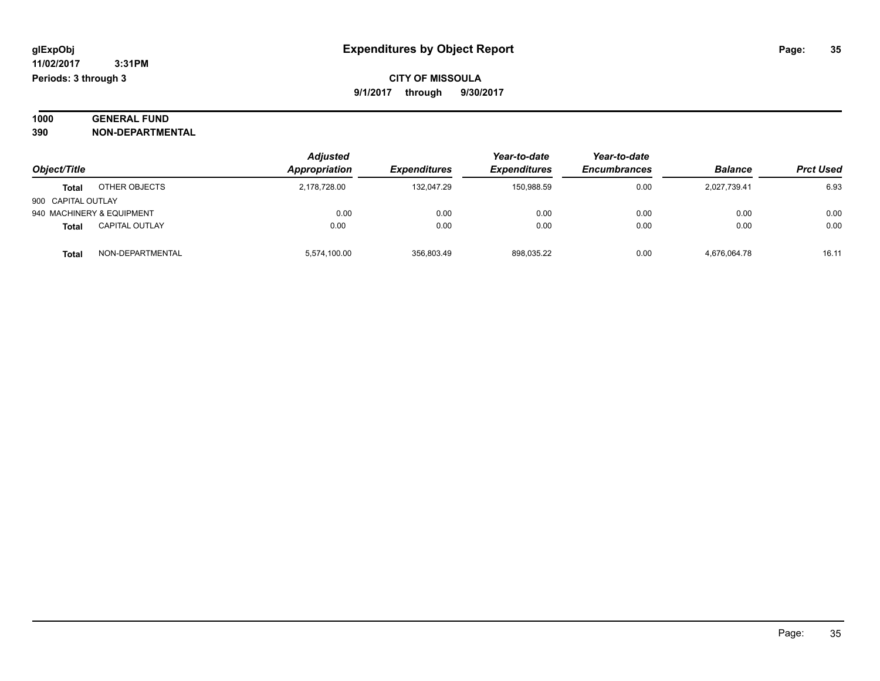#### **1000 GENERAL FUND 390 NON-DEPARTMENTAL**

| Object/Title                          | <b>Adjusted</b><br>Appropriation | <b>Expenditures</b> | Year-to-date<br>Expenditures | Year-to-date<br><b>Encumbrances</b> | <b>Balance</b> | <b>Prct Used</b> |
|---------------------------------------|----------------------------------|---------------------|------------------------------|-------------------------------------|----------------|------------------|
| OTHER OBJECTS<br>Total                | 2,178,728.00                     | 132.047.29          | 150.988.59                   | 0.00                                | 2,027,739.41   | 6.93             |
| 900 CAPITAL OUTLAY                    |                                  |                     |                              |                                     |                |                  |
| 940 MACHINERY & EQUIPMENT             | 0.00                             | 0.00                | 0.00                         | 0.00                                | 0.00           | 0.00             |
| <b>CAPITAL OUTLAY</b><br><b>Total</b> | 0.00                             | 0.00                | 0.00                         | 0.00                                | 0.00           | 0.00             |
| NON-DEPARTMENTAL<br>Total             | 5,574,100.00                     | 356.803.49          | 898,035.22                   | 0.00                                | 4,676,064.78   | 16.11            |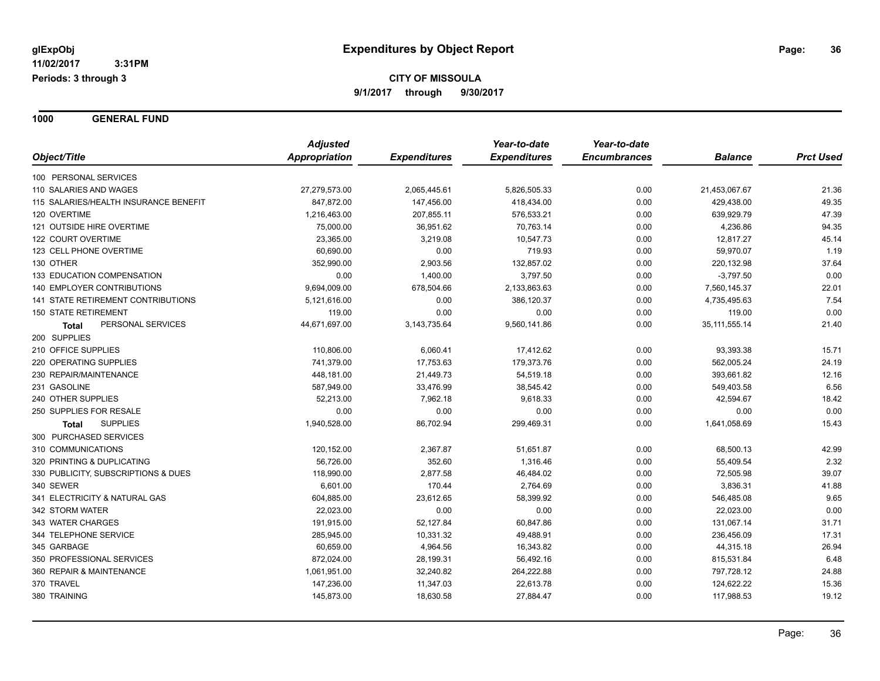**1000 GENERAL FUND**

|                                           | <b>Adjusted</b> |                     | Year-to-date        | Year-to-date        |                  |                  |
|-------------------------------------------|-----------------|---------------------|---------------------|---------------------|------------------|------------------|
| Object/Title                              | Appropriation   | <b>Expenditures</b> | <b>Expenditures</b> | <b>Encumbrances</b> | <b>Balance</b>   | <b>Prct Used</b> |
| 100 PERSONAL SERVICES                     |                 |                     |                     |                     |                  |                  |
| 110 SALARIES AND WAGES                    | 27,279,573.00   | 2,065,445.61        | 5,826,505.33        | 0.00                | 21,453,067.67    | 21.36            |
| 115 SALARIES/HEALTH INSURANCE BENEFIT     | 847,872.00      | 147,456.00          | 418,434.00          | 0.00                | 429,438.00       | 49.35            |
| 120 OVERTIME                              | 1,216,463.00    | 207,855.11          | 576,533.21          | 0.00                | 639,929.79       | 47.39            |
| 121 OUTSIDE HIRE OVERTIME                 | 75,000.00       | 36,951.62           | 70,763.14           | 0.00                | 4,236.86         | 94.35            |
| 122 COURT OVERTIME                        | 23,365.00       | 3,219.08            | 10,547.73           | 0.00                | 12,817.27        | 45.14            |
| 123 CELL PHONE OVERTIME                   | 60,690.00       | 0.00                | 719.93              | 0.00                | 59,970.07        | 1.19             |
| 130 OTHER                                 | 352,990.00      | 2,903.56            | 132,857.02          | 0.00                | 220,132.98       | 37.64            |
| 133 EDUCATION COMPENSATION                | 0.00            | 1,400.00            | 3,797.50            | 0.00                | $-3,797.50$      | 0.00             |
| <b>140 EMPLOYER CONTRIBUTIONS</b>         | 9,694,009.00    | 678,504.66          | 2,133,863.63        | 0.00                | 7,560,145.37     | 22.01            |
| <b>141 STATE RETIREMENT CONTRIBUTIONS</b> | 5,121,616.00    | 0.00                | 386,120.37          | 0.00                | 4,735,495.63     | 7.54             |
| <b>150 STATE RETIREMENT</b>               | 119.00          | 0.00                | 0.00                | 0.00                | 119.00           | 0.00             |
| PERSONAL SERVICES<br><b>Total</b>         | 44,671,697.00   | 3,143,735.64        | 9,560,141.86        | 0.00                | 35, 111, 555. 14 | 21.40            |
| 200 SUPPLIES                              |                 |                     |                     |                     |                  |                  |
| 210 OFFICE SUPPLIES                       | 110,806.00      | 6,060.41            | 17,412.62           | 0.00                | 93,393.38        | 15.71            |
| 220 OPERATING SUPPLIES                    | 741,379.00      | 17,753.63           | 179,373.76          | 0.00                | 562,005.24       | 24.19            |
| 230 REPAIR/MAINTENANCE                    | 448,181.00      | 21,449.73           | 54,519.18           | 0.00                | 393,661.82       | 12.16            |
| 231 GASOLINE                              | 587,949.00      | 33,476.99           | 38,545.42           | 0.00                | 549,403.58       | 6.56             |
| 240 OTHER SUPPLIES                        | 52,213.00       | 7,962.18            | 9,618.33            | 0.00                | 42,594.67        | 18.42            |
| 250 SUPPLIES FOR RESALE                   | 0.00            | 0.00                | 0.00                | 0.00                | 0.00             | 0.00             |
| <b>SUPPLIES</b><br>Total                  | 1,940,528.00    | 86,702.94           | 299,469.31          | 0.00                | 1,641,058.69     | 15.43            |
| 300 PURCHASED SERVICES                    |                 |                     |                     |                     |                  |                  |
| 310 COMMUNICATIONS                        | 120,152.00      | 2,367.87            | 51,651.87           | 0.00                | 68,500.13        | 42.99            |
| 320 PRINTING & DUPLICATING                | 56,726.00       | 352.60              | 1,316.46            | 0.00                | 55,409.54        | 2.32             |
| 330 PUBLICITY, SUBSCRIPTIONS & DUES       | 118,990.00      | 2,877.58            | 46,484.02           | 0.00                | 72,505.98        | 39.07            |
| 340 SEWER                                 | 6,601.00        | 170.44              | 2,764.69            | 0.00                | 3,836.31         | 41.88            |
| 341 ELECTRICITY & NATURAL GAS             | 604,885.00      | 23,612.65           | 58,399.92           | 0.00                | 546,485.08       | 9.65             |
| 342 STORM WATER                           | 22,023.00       | 0.00                | 0.00                | 0.00                | 22,023.00        | 0.00             |
| 343 WATER CHARGES                         | 191,915.00      | 52,127.84           | 60,847.86           | 0.00                | 131,067.14       | 31.71            |
| 344 TELEPHONE SERVICE                     | 285,945.00      | 10,331.32           | 49,488.91           | 0.00                | 236,456.09       | 17.31            |
| 345 GARBAGE                               | 60,659.00       | 4,964.56            | 16,343.82           | 0.00                | 44,315.18        | 26.94            |
| 350 PROFESSIONAL SERVICES                 | 872,024.00      | 28,199.31           | 56,492.16           | 0.00                | 815,531.84       | 6.48             |
| 360 REPAIR & MAINTENANCE                  | 1,061,951.00    | 32,240.82           | 264,222.88          | 0.00                | 797,728.12       | 24.88            |
| 370 TRAVEL                                | 147,236.00      | 11,347.03           | 22,613.78           | 0.00                | 124,622.22       | 15.36            |
| 380 TRAINING                              | 145,873.00      | 18,630.58           | 27,884.47           | 0.00                | 117,988.53       | 19.12            |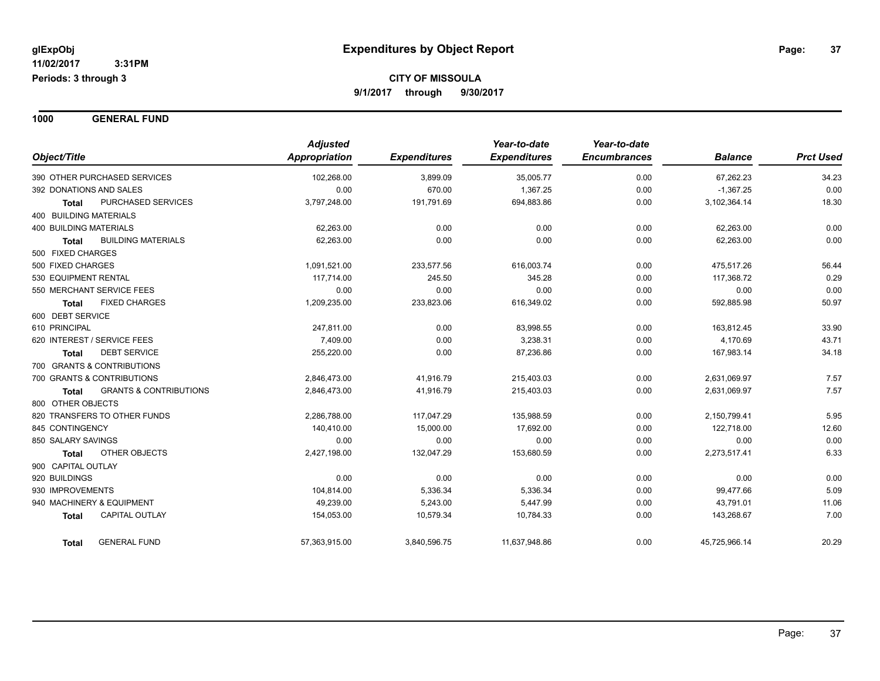**1000 GENERAL FUND**

|                                            | <b>Adjusted</b> |                     | Year-to-date        | Year-to-date        |                |                  |
|--------------------------------------------|-----------------|---------------------|---------------------|---------------------|----------------|------------------|
| Object/Title                               | Appropriation   | <b>Expenditures</b> | <b>Expenditures</b> | <b>Encumbrances</b> | <b>Balance</b> | <b>Prct Used</b> |
| 390 OTHER PURCHASED SERVICES               | 102,268.00      | 3,899.09            | 35,005.77           | 0.00                | 67,262.23      | 34.23            |
| 392 DONATIONS AND SALES                    | 0.00            | 670.00              | 1,367.25            | 0.00                | $-1,367.25$    | 0.00             |
| PURCHASED SERVICES<br><b>Total</b>         | 3,797,248.00    | 191,791.69          | 694,883.86          | 0.00                | 3,102,364.14   | 18.30            |
| 400 BUILDING MATERIALS                     |                 |                     |                     |                     |                |                  |
| <b>400 BUILDING MATERIALS</b>              | 62,263.00       | 0.00                | 0.00                | 0.00                | 62,263.00      | 0.00             |
| <b>BUILDING MATERIALS</b><br><b>Total</b>  | 62,263.00       | 0.00                | 0.00                | 0.00                | 62,263.00      | 0.00             |
| 500 FIXED CHARGES                          |                 |                     |                     |                     |                |                  |
| 500 FIXED CHARGES                          | 1,091,521.00    | 233,577.56          | 616,003.74          | 0.00                | 475,517.26     | 56.44            |
| 530 EQUIPMENT RENTAL                       | 117,714.00      | 245.50              | 345.28              | 0.00                | 117,368.72     | 0.29             |
| 550 MERCHANT SERVICE FEES                  | 0.00            | 0.00                | 0.00                | 0.00                | 0.00           | 0.00             |
| <b>FIXED CHARGES</b><br><b>Total</b>       | 1,209,235.00    | 233,823.06          | 616,349.02          | 0.00                | 592,885.98     | 50.97            |
| 600 DEBT SERVICE                           |                 |                     |                     |                     |                |                  |
| 610 PRINCIPAL                              | 247,811.00      | 0.00                | 83,998.55           | 0.00                | 163,812.45     | 33.90            |
| 620 INTEREST / SERVICE FEES                | 7,409.00        | 0.00                | 3,238.31            | 0.00                | 4,170.69       | 43.71            |
| <b>DEBT SERVICE</b><br><b>Total</b>        | 255,220.00      | 0.00                | 87,236.86           | 0.00                | 167,983.14     | 34.18            |
| 700 GRANTS & CONTRIBUTIONS                 |                 |                     |                     |                     |                |                  |
| 700 GRANTS & CONTRIBUTIONS                 | 2,846,473.00    | 41,916.79           | 215,403.03          | 0.00                | 2,631,069.97   | 7.57             |
| <b>GRANTS &amp; CONTRIBUTIONS</b><br>Total | 2,846,473.00    | 41,916.79           | 215,403.03          | 0.00                | 2,631,069.97   | 7.57             |
| 800 OTHER OBJECTS                          |                 |                     |                     |                     |                |                  |
| 820 TRANSFERS TO OTHER FUNDS               | 2,286,788.00    | 117,047.29          | 135,988.59          | 0.00                | 2,150,799.41   | 5.95             |
| 845 CONTINGENCY                            | 140,410.00      | 15,000.00           | 17,692.00           | 0.00                | 122,718.00     | 12.60            |
| 850 SALARY SAVINGS                         | 0.00            | 0.00                | 0.00                | 0.00                | 0.00           | 0.00             |
| OTHER OBJECTS<br>Total                     | 2,427,198.00    | 132,047.29          | 153,680.59          | 0.00                | 2,273,517.41   | 6.33             |
| 900 CAPITAL OUTLAY                         |                 |                     |                     |                     |                |                  |
| 920 BUILDINGS                              | 0.00            | 0.00                | 0.00                | 0.00                | 0.00           | 0.00             |
| 930 IMPROVEMENTS                           | 104,814.00      | 5,336.34            | 5,336.34            | 0.00                | 99,477.66      | 5.09             |
| 940 MACHINERY & EQUIPMENT                  | 49,239.00       | 5,243.00            | 5,447.99            | 0.00                | 43,791.01      | 11.06            |
| <b>CAPITAL OUTLAY</b><br><b>Total</b>      | 154,053.00      | 10,579.34           | 10,784.33           | 0.00                | 143,268.67     | 7.00             |
| <b>GENERAL FUND</b><br><b>Total</b>        | 57,363,915.00   | 3,840,596.75        | 11,637,948.86       | 0.00                | 45,725,966.14  | 20.29            |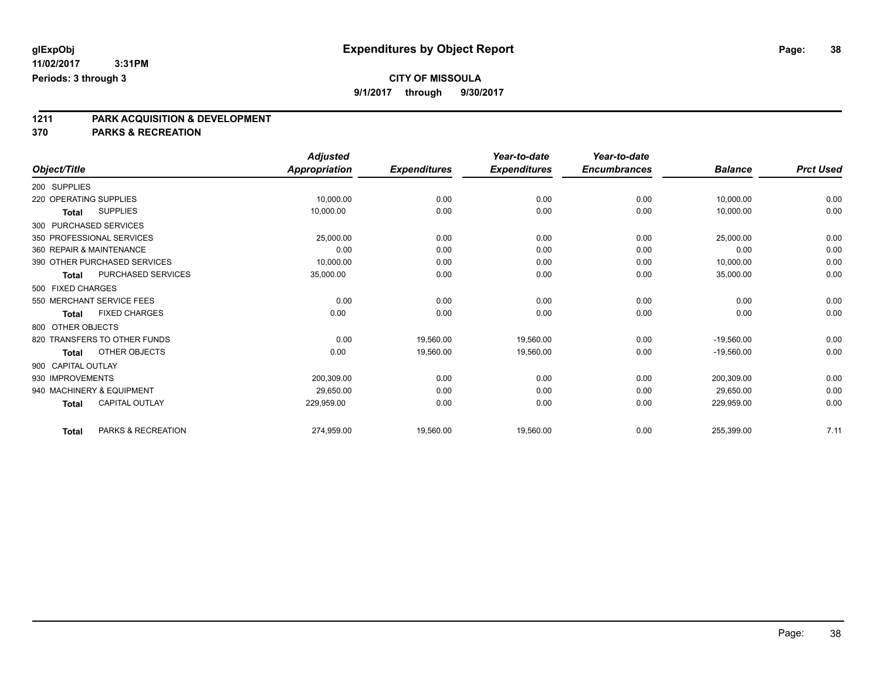**9/1/2017 through 9/30/2017**

# **1211 PARK ACQUISITION & DEVELOPMENT**

|                                       |                    | <b>Adjusted</b>      |                     | Year-to-date        | Year-to-date        |                |                  |
|---------------------------------------|--------------------|----------------------|---------------------|---------------------|---------------------|----------------|------------------|
| Object/Title                          |                    | <b>Appropriation</b> | <b>Expenditures</b> | <b>Expenditures</b> | <b>Encumbrances</b> | <b>Balance</b> | <b>Prct Used</b> |
| 200 SUPPLIES                          |                    |                      |                     |                     |                     |                |                  |
| 220 OPERATING SUPPLIES                |                    | 10,000.00            | 0.00                | 0.00                | 0.00                | 10,000.00      | 0.00             |
| <b>SUPPLIES</b><br><b>Total</b>       |                    | 10,000.00            | 0.00                | 0.00                | 0.00                | 10,000.00      | 0.00             |
| 300 PURCHASED SERVICES                |                    |                      |                     |                     |                     |                |                  |
| 350 PROFESSIONAL SERVICES             |                    | 25,000.00            | 0.00                | 0.00                | 0.00                | 25,000.00      | 0.00             |
| 360 REPAIR & MAINTENANCE              |                    | 0.00                 | 0.00                | 0.00                | 0.00                | 0.00           | 0.00             |
| 390 OTHER PURCHASED SERVICES          |                    | 10,000.00            | 0.00                | 0.00                | 0.00                | 10,000.00      | 0.00             |
| <b>Total</b>                          | PURCHASED SERVICES | 35,000.00            | 0.00                | 0.00                | 0.00                | 35,000.00      | 0.00             |
| 500 FIXED CHARGES                     |                    |                      |                     |                     |                     |                |                  |
| 550 MERCHANT SERVICE FEES             |                    | 0.00                 | 0.00                | 0.00                | 0.00                | 0.00           | 0.00             |
| <b>FIXED CHARGES</b><br><b>Total</b>  |                    | 0.00                 | 0.00                | 0.00                | 0.00                | 0.00           | 0.00             |
| 800 OTHER OBJECTS                     |                    |                      |                     |                     |                     |                |                  |
| 820 TRANSFERS TO OTHER FUNDS          |                    | 0.00                 | 19,560.00           | 19,560.00           | 0.00                | $-19,560.00$   | 0.00             |
| OTHER OBJECTS<br><b>Total</b>         |                    | 0.00                 | 19,560.00           | 19,560.00           | 0.00                | $-19,560.00$   | 0.00             |
| 900 CAPITAL OUTLAY                    |                    |                      |                     |                     |                     |                |                  |
| 930 IMPROVEMENTS                      |                    | 200,309.00           | 0.00                | 0.00                | 0.00                | 200,309.00     | 0.00             |
| 940 MACHINERY & EQUIPMENT             |                    | 29.650.00            | 0.00                | 0.00                | 0.00                | 29.650.00      | 0.00             |
| <b>CAPITAL OUTLAY</b><br><b>Total</b> |                    | 229,959.00           | 0.00                | 0.00                | 0.00                | 229,959.00     | 0.00             |
| <b>Total</b>                          | PARKS & RECREATION | 274,959.00           | 19,560.00           | 19,560.00           | 0.00                | 255,399.00     | 7.11             |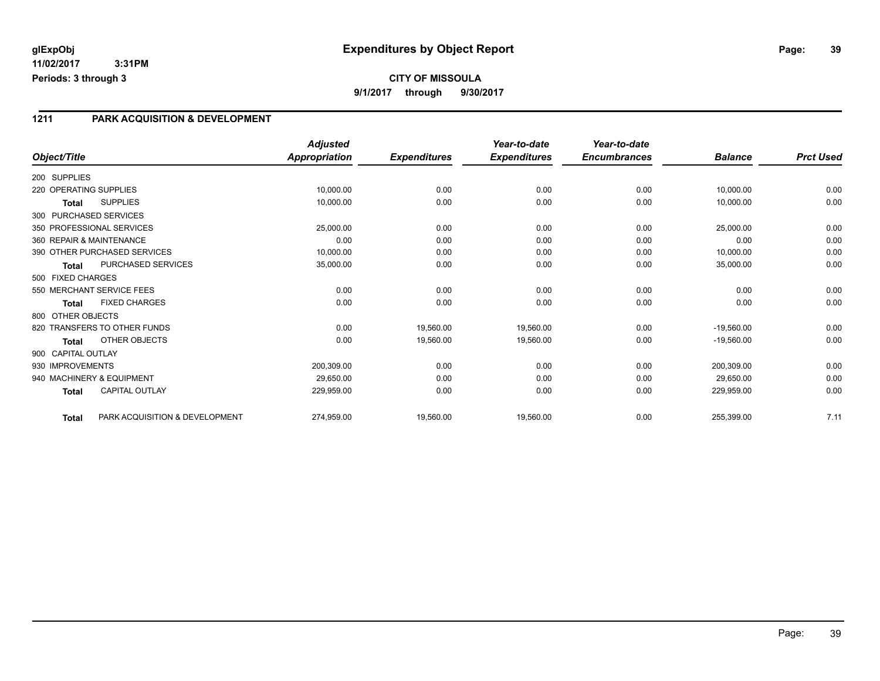### **1211 PARK ACQUISITION & DEVELOPMENT**

|                        |                                | <b>Adjusted</b> |                     | Year-to-date        | Year-to-date        |                |                  |
|------------------------|--------------------------------|-----------------|---------------------|---------------------|---------------------|----------------|------------------|
| Object/Title           |                                | Appropriation   | <b>Expenditures</b> | <b>Expenditures</b> | <b>Encumbrances</b> | <b>Balance</b> | <b>Prct Used</b> |
| 200 SUPPLIES           |                                |                 |                     |                     |                     |                |                  |
| 220 OPERATING SUPPLIES |                                | 10,000.00       | 0.00                | 0.00                | 0.00                | 10,000.00      | 0.00             |
| <b>Total</b>           | <b>SUPPLIES</b>                | 10,000.00       | 0.00                | 0.00                | 0.00                | 10,000.00      | 0.00             |
|                        | 300 PURCHASED SERVICES         |                 |                     |                     |                     |                |                  |
|                        | 350 PROFESSIONAL SERVICES      | 25,000.00       | 0.00                | 0.00                | 0.00                | 25,000.00      | 0.00             |
|                        | 360 REPAIR & MAINTENANCE       | 0.00            | 0.00                | 0.00                | 0.00                | 0.00           | 0.00             |
|                        | 390 OTHER PURCHASED SERVICES   | 10,000.00       | 0.00                | 0.00                | 0.00                | 10,000.00      | 0.00             |
| <b>Total</b>           | PURCHASED SERVICES             | 35,000.00       | 0.00                | 0.00                | 0.00                | 35,000.00      | 0.00             |
| 500 FIXED CHARGES      |                                |                 |                     |                     |                     |                |                  |
|                        | 550 MERCHANT SERVICE FEES      | 0.00            | 0.00                | 0.00                | 0.00                | 0.00           | 0.00             |
| <b>Total</b>           | <b>FIXED CHARGES</b>           | 0.00            | 0.00                | 0.00                | 0.00                | 0.00           | 0.00             |
| 800 OTHER OBJECTS      |                                |                 |                     |                     |                     |                |                  |
|                        | 820 TRANSFERS TO OTHER FUNDS   | 0.00            | 19,560.00           | 19,560.00           | 0.00                | $-19,560.00$   | 0.00             |
| <b>Total</b>           | OTHER OBJECTS                  | 0.00            | 19,560.00           | 19,560.00           | 0.00                | $-19,560.00$   | 0.00             |
| 900 CAPITAL OUTLAY     |                                |                 |                     |                     |                     |                |                  |
| 930 IMPROVEMENTS       |                                | 200,309.00      | 0.00                | 0.00                | 0.00                | 200,309.00     | 0.00             |
|                        | 940 MACHINERY & EQUIPMENT      | 29.650.00       | 0.00                | 0.00                | 0.00                | 29.650.00      | 0.00             |
| <b>Total</b>           | <b>CAPITAL OUTLAY</b>          | 229,959.00      | 0.00                | 0.00                | 0.00                | 229,959.00     | 0.00             |
| <b>Total</b>           | PARK ACQUISITION & DEVELOPMENT | 274,959.00      | 19,560.00           | 19,560.00           | 0.00                | 255,399.00     | 7.11             |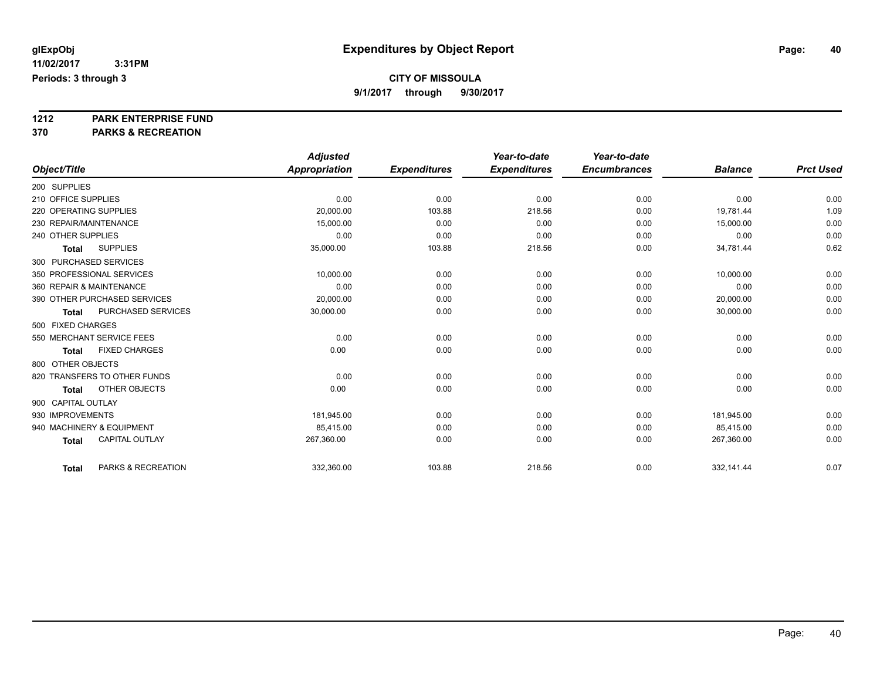**9/1/2017 through 9/30/2017**

# **1212 PARK ENTERPRISE FUND**

|                                       | <b>Adjusted</b>      |                     | Year-to-date        | Year-to-date        |                |                  |
|---------------------------------------|----------------------|---------------------|---------------------|---------------------|----------------|------------------|
| Object/Title                          | <b>Appropriation</b> | <b>Expenditures</b> | <b>Expenditures</b> | <b>Encumbrances</b> | <b>Balance</b> | <b>Prct Used</b> |
| 200 SUPPLIES                          |                      |                     |                     |                     |                |                  |
| 210 OFFICE SUPPLIES                   | 0.00                 | 0.00                | 0.00                | 0.00                | 0.00           | 0.00             |
| 220 OPERATING SUPPLIES                | 20,000.00            | 103.88              | 218.56              | 0.00                | 19,781.44      | 1.09             |
| 230 REPAIR/MAINTENANCE                | 15,000.00            | 0.00                | 0.00                | 0.00                | 15,000.00      | 0.00             |
| 240 OTHER SUPPLIES                    | 0.00                 | 0.00                | 0.00                | 0.00                | 0.00           | 0.00             |
| <b>SUPPLIES</b><br><b>Total</b>       | 35,000.00            | 103.88              | 218.56              | 0.00                | 34,781.44      | 0.62             |
| 300 PURCHASED SERVICES                |                      |                     |                     |                     |                |                  |
| 350 PROFESSIONAL SERVICES             | 10,000.00            | 0.00                | 0.00                | 0.00                | 10,000.00      | 0.00             |
| 360 REPAIR & MAINTENANCE              | 0.00                 | 0.00                | 0.00                | 0.00                | 0.00           | 0.00             |
| 390 OTHER PURCHASED SERVICES          | 20,000.00            | 0.00                | 0.00                | 0.00                | 20,000.00      | 0.00             |
| PURCHASED SERVICES<br><b>Total</b>    | 30,000.00            | 0.00                | 0.00                | 0.00                | 30,000.00      | 0.00             |
| 500 FIXED CHARGES                     |                      |                     |                     |                     |                |                  |
| 550 MERCHANT SERVICE FEES             | 0.00                 | 0.00                | 0.00                | 0.00                | 0.00           | 0.00             |
| <b>FIXED CHARGES</b><br>Total         | 0.00                 | 0.00                | 0.00                | 0.00                | 0.00           | 0.00             |
| 800 OTHER OBJECTS                     |                      |                     |                     |                     |                |                  |
| 820 TRANSFERS TO OTHER FUNDS          | 0.00                 | 0.00                | 0.00                | 0.00                | 0.00           | 0.00             |
| OTHER OBJECTS<br><b>Total</b>         | 0.00                 | 0.00                | 0.00                | 0.00                | 0.00           | 0.00             |
| 900 CAPITAL OUTLAY                    |                      |                     |                     |                     |                |                  |
| 930 IMPROVEMENTS                      | 181,945.00           | 0.00                | 0.00                | 0.00                | 181,945.00     | 0.00             |
| 940 MACHINERY & EQUIPMENT             | 85.415.00            | 0.00                | 0.00                | 0.00                | 85,415.00      | 0.00             |
| <b>CAPITAL OUTLAY</b><br><b>Total</b> | 267,360.00           | 0.00                | 0.00                | 0.00                | 267,360.00     | 0.00             |
| PARKS & RECREATION                    | 332,360.00           | 103.88              | 218.56              | 0.00                | 332,141.44     | 0.07             |
| <b>Total</b>                          |                      |                     |                     |                     |                |                  |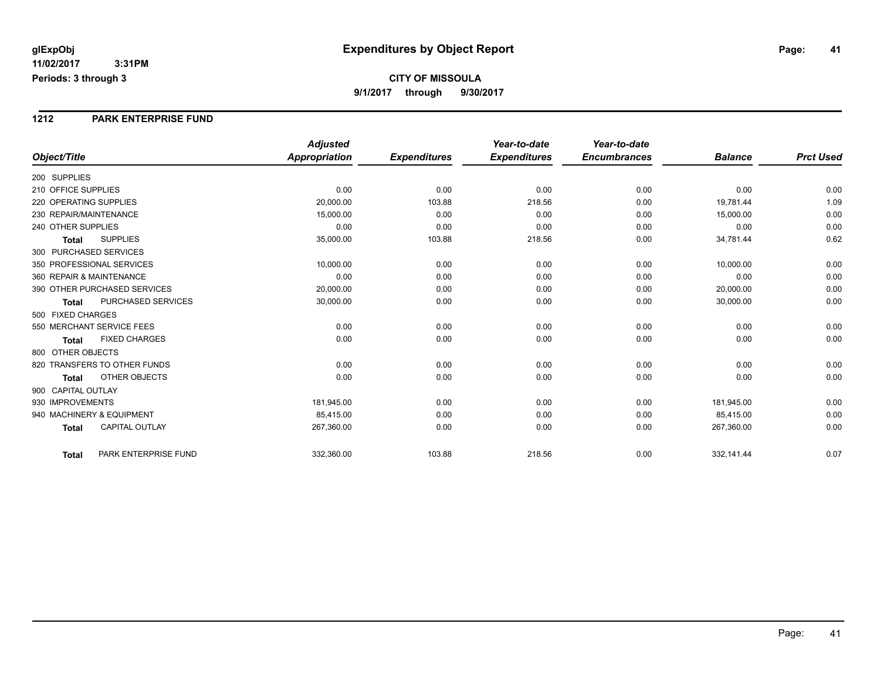**Periods: 3 through 3**

## **CITY OF MISSOULA 9/1/2017 through 9/30/2017**

### **1212 PARK ENTERPRISE FUND**

|                                           | <b>Adjusted</b> |                     | Year-to-date        | Year-to-date        |                |                  |
|-------------------------------------------|-----------------|---------------------|---------------------|---------------------|----------------|------------------|
| Object/Title                              | Appropriation   | <b>Expenditures</b> | <b>Expenditures</b> | <b>Encumbrances</b> | <b>Balance</b> | <b>Prct Used</b> |
| 200 SUPPLIES                              |                 |                     |                     |                     |                |                  |
| 210 OFFICE SUPPLIES                       | 0.00            | 0.00                | 0.00                | 0.00                | 0.00           | 0.00             |
| 220 OPERATING SUPPLIES                    | 20,000.00       | 103.88              | 218.56              | 0.00                | 19,781.44      | 1.09             |
| 230 REPAIR/MAINTENANCE                    | 15,000.00       | 0.00                | 0.00                | 0.00                | 15,000.00      | 0.00             |
| 240 OTHER SUPPLIES                        | 0.00            | 0.00                | 0.00                | 0.00                | 0.00           | 0.00             |
| <b>SUPPLIES</b><br><b>Total</b>           | 35,000.00       | 103.88              | 218.56              | 0.00                | 34,781.44      | 0.62             |
| 300 PURCHASED SERVICES                    |                 |                     |                     |                     |                |                  |
| 350 PROFESSIONAL SERVICES                 | 10.000.00       | 0.00                | 0.00                | 0.00                | 10,000.00      | 0.00             |
| 360 REPAIR & MAINTENANCE                  | 0.00            | 0.00                | 0.00                | 0.00                | 0.00           | 0.00             |
| 390 OTHER PURCHASED SERVICES              | 20,000.00       | 0.00                | 0.00                | 0.00                | 20,000.00      | 0.00             |
| <b>PURCHASED SERVICES</b><br><b>Total</b> | 30,000.00       | 0.00                | 0.00                | 0.00                | 30,000.00      | 0.00             |
| 500 FIXED CHARGES                         |                 |                     |                     |                     |                |                  |
| 550 MERCHANT SERVICE FEES                 | 0.00            | 0.00                | 0.00                | 0.00                | 0.00           | 0.00             |
| <b>FIXED CHARGES</b><br><b>Total</b>      | 0.00            | 0.00                | 0.00                | 0.00                | 0.00           | 0.00             |
| 800 OTHER OBJECTS                         |                 |                     |                     |                     |                |                  |
| 820 TRANSFERS TO OTHER FUNDS              | 0.00            | 0.00                | 0.00                | 0.00                | 0.00           | 0.00             |
| <b>OTHER OBJECTS</b><br><b>Total</b>      | 0.00            | 0.00                | 0.00                | 0.00                | 0.00           | 0.00             |
| 900 CAPITAL OUTLAY                        |                 |                     |                     |                     |                |                  |
| 930 IMPROVEMENTS                          | 181,945.00      | 0.00                | 0.00                | 0.00                | 181,945.00     | 0.00             |
| 940 MACHINERY & EQUIPMENT                 | 85.415.00       | 0.00                | 0.00                | 0.00                | 85,415.00      | 0.00             |
| <b>CAPITAL OUTLAY</b><br><b>Total</b>     | 267,360.00      | 0.00                | 0.00                | 0.00                | 267,360.00     | 0.00             |
| PARK ENTERPRISE FUND<br>Total             | 332,360.00      | 103.88              | 218.56              | 0.00                | 332,141.44     | 0.07             |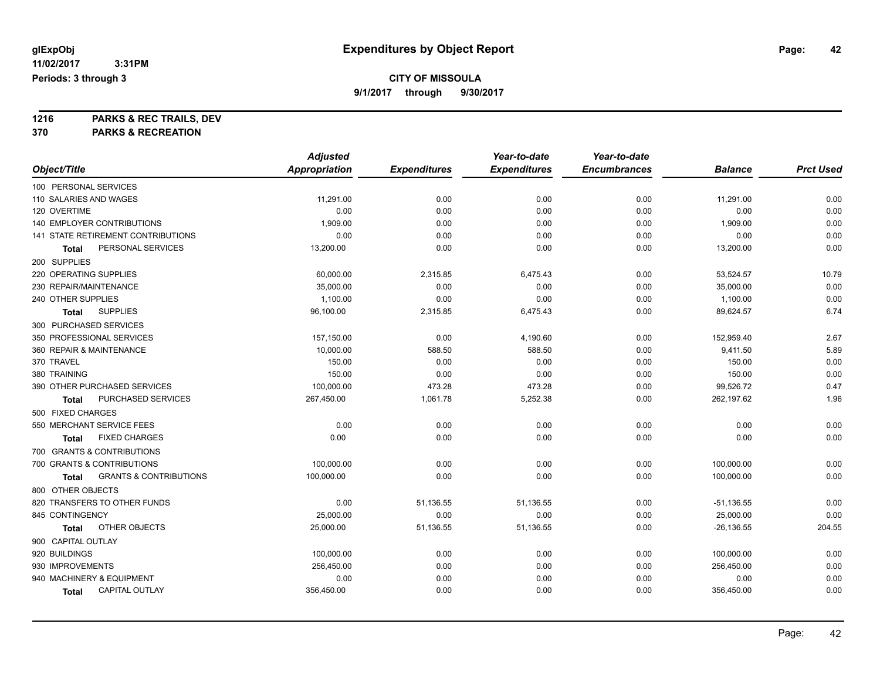**9/1/2017 through 9/30/2017**

**1216 PARKS & REC TRAILS, DEV**

|                                            | <b>Adjusted</b> |                     | Year-to-date        | Year-to-date        |                |                  |
|--------------------------------------------|-----------------|---------------------|---------------------|---------------------|----------------|------------------|
| Object/Title                               | Appropriation   | <b>Expenditures</b> | <b>Expenditures</b> | <b>Encumbrances</b> | <b>Balance</b> | <b>Prct Used</b> |
| 100 PERSONAL SERVICES                      |                 |                     |                     |                     |                |                  |
| 110 SALARIES AND WAGES                     | 11,291.00       | 0.00                | 0.00                | 0.00                | 11,291.00      | 0.00             |
| 120 OVERTIME                               | 0.00            | 0.00                | 0.00                | 0.00                | 0.00           | 0.00             |
| <b>140 EMPLOYER CONTRIBUTIONS</b>          | 1,909.00        | 0.00                | 0.00                | 0.00                | 1,909.00       | 0.00             |
| 141 STATE RETIREMENT CONTRIBUTIONS         | 0.00            | 0.00                | 0.00                | 0.00                | 0.00           | 0.00             |
| PERSONAL SERVICES<br>Total                 | 13,200.00       | 0.00                | 0.00                | 0.00                | 13,200.00      | 0.00             |
| 200 SUPPLIES                               |                 |                     |                     |                     |                |                  |
| 220 OPERATING SUPPLIES                     | 60,000.00       | 2,315.85            | 6,475.43            | 0.00                | 53,524.57      | 10.79            |
| 230 REPAIR/MAINTENANCE                     | 35,000.00       | 0.00                | 0.00                | 0.00                | 35,000.00      | 0.00             |
| 240 OTHER SUPPLIES                         | 1,100.00        | 0.00                | 0.00                | 0.00                | 1,100.00       | 0.00             |
| <b>SUPPLIES</b><br>Total                   | 96,100.00       | 2,315.85            | 6,475.43            | 0.00                | 89,624.57      | 6.74             |
| 300 PURCHASED SERVICES                     |                 |                     |                     |                     |                |                  |
| 350 PROFESSIONAL SERVICES                  | 157,150.00      | 0.00                | 4,190.60            | 0.00                | 152,959.40     | 2.67             |
| 360 REPAIR & MAINTENANCE                   | 10,000.00       | 588.50              | 588.50              | 0.00                | 9,411.50       | 5.89             |
| 370 TRAVEL                                 | 150.00          | 0.00                | 0.00                | 0.00                | 150.00         | 0.00             |
| 380 TRAINING                               | 150.00          | 0.00                | 0.00                | 0.00                | 150.00         | 0.00             |
| 390 OTHER PURCHASED SERVICES               | 100,000.00      | 473.28              | 473.28              | 0.00                | 99,526.72      | 0.47             |
| PURCHASED SERVICES<br><b>Total</b>         | 267,450.00      | 1,061.78            | 5,252.38            | 0.00                | 262,197.62     | 1.96             |
| 500 FIXED CHARGES                          |                 |                     |                     |                     |                |                  |
| 550 MERCHANT SERVICE FEES                  | 0.00            | 0.00                | 0.00                | 0.00                | 0.00           | 0.00             |
| <b>FIXED CHARGES</b><br>Total              | 0.00            | 0.00                | 0.00                | 0.00                | 0.00           | 0.00             |
| 700 GRANTS & CONTRIBUTIONS                 |                 |                     |                     |                     |                |                  |
| 700 GRANTS & CONTRIBUTIONS                 | 100,000.00      | 0.00                | 0.00                | 0.00                | 100,000.00     | 0.00             |
| <b>GRANTS &amp; CONTRIBUTIONS</b><br>Total | 100,000.00      | 0.00                | 0.00                | 0.00                | 100,000.00     | 0.00             |
| 800 OTHER OBJECTS                          |                 |                     |                     |                     |                |                  |
| 820 TRANSFERS TO OTHER FUNDS               | 0.00            | 51,136.55           | 51,136.55           | 0.00                | $-51,136.55$   | 0.00             |
| 845 CONTINGENCY                            | 25,000.00       | 0.00                | 0.00                | 0.00                | 25,000.00      | 0.00             |
| OTHER OBJECTS<br>Total                     | 25,000.00       | 51,136.55           | 51,136.55           | 0.00                | $-26, 136.55$  | 204.55           |
| 900 CAPITAL OUTLAY                         |                 |                     |                     |                     |                |                  |
| 920 BUILDINGS                              | 100,000.00      | 0.00                | 0.00                | 0.00                | 100,000.00     | 0.00             |
| 930 IMPROVEMENTS                           | 256,450.00      | 0.00                | 0.00                | 0.00                | 256,450.00     | 0.00             |
| 940 MACHINERY & EQUIPMENT                  | 0.00            | 0.00                | 0.00                | 0.00                | 0.00           | 0.00             |
| <b>CAPITAL OUTLAY</b><br><b>Total</b>      | 356,450.00      | 0.00                | 0.00                | 0.00                | 356,450.00     | 0.00             |
|                                            |                 |                     |                     |                     |                |                  |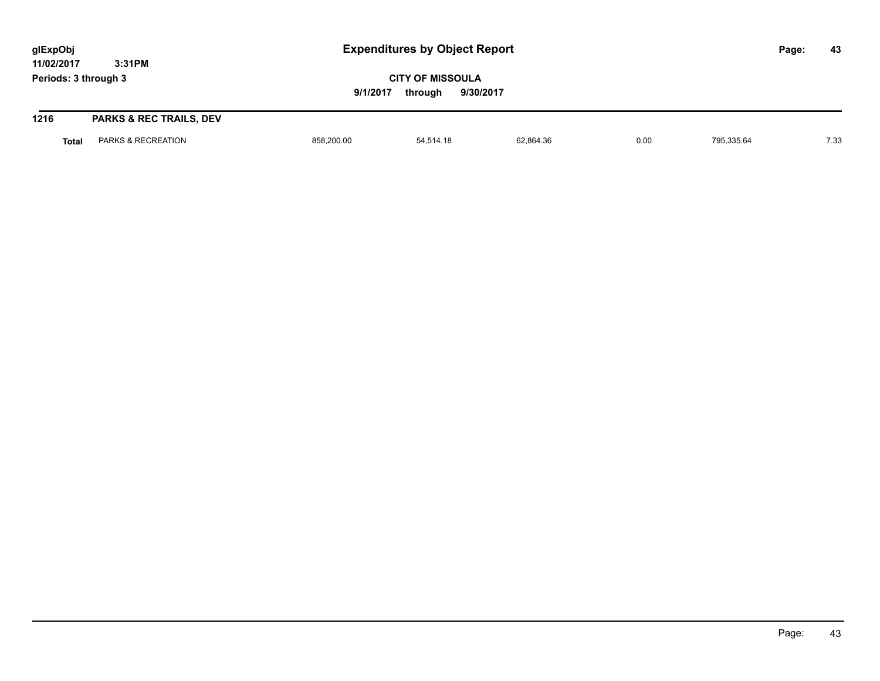| glExpObj<br>11/02/2017 | 3:31PM                             |                                                             | <b>Expenditures by Object Report</b> |           |      |            |  | 43   |
|------------------------|------------------------------------|-------------------------------------------------------------|--------------------------------------|-----------|------|------------|--|------|
| Periods: 3 through 3   |                                    | <b>CITY OF MISSOULA</b><br>9/1/2017<br>9/30/2017<br>through |                                      |           |      |            |  |      |
| 1216                   | <b>PARKS &amp; REC TRAILS, DEV</b> |                                                             |                                      |           |      |            |  |      |
| <b>Total</b>           | PARKS & RECREATION                 | 858,200.00                                                  | 54.514.18                            | 62.864.36 | 0.00 | 795.335.64 |  | 7.33 |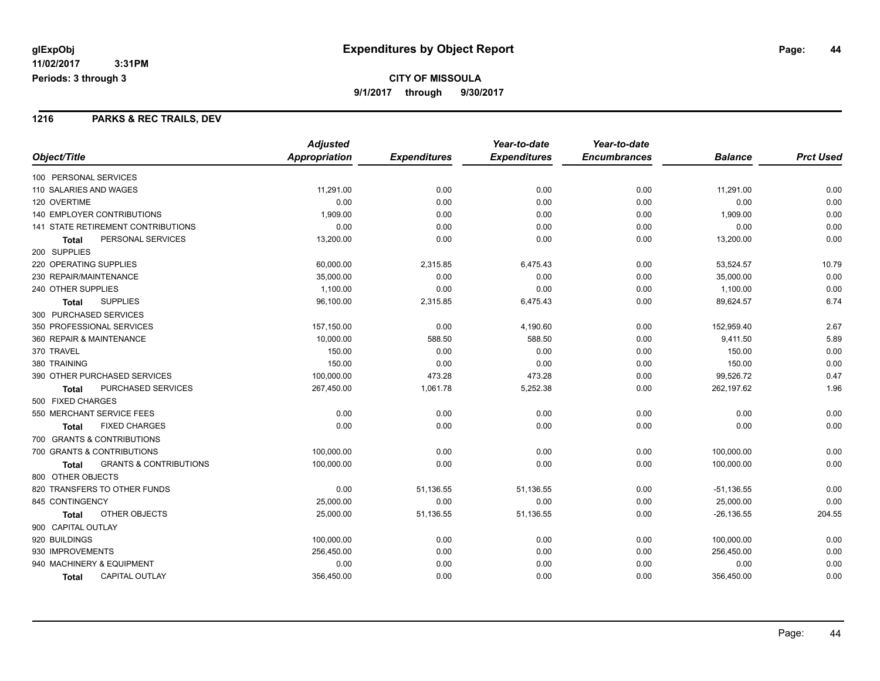## **1216 PARKS & REC TRAILS, DEV**

|                                                   | <b>Adjusted</b> |                     | Year-to-date        | Year-to-date        |                |                  |
|---------------------------------------------------|-----------------|---------------------|---------------------|---------------------|----------------|------------------|
| Object/Title                                      | Appropriation   | <b>Expenditures</b> | <b>Expenditures</b> | <b>Encumbrances</b> | <b>Balance</b> | <b>Prct Used</b> |
| 100 PERSONAL SERVICES                             |                 |                     |                     |                     |                |                  |
| 110 SALARIES AND WAGES                            | 11,291.00       | 0.00                | 0.00                | 0.00                | 11,291.00      | 0.00             |
| 120 OVERTIME                                      | 0.00            | 0.00                | 0.00                | 0.00                | 0.00           | 0.00             |
| <b>140 EMPLOYER CONTRIBUTIONS</b>                 | 1,909.00        | 0.00                | 0.00                | 0.00                | 1,909.00       | 0.00             |
| <b>141 STATE RETIREMENT CONTRIBUTIONS</b>         | 0.00            | 0.00                | 0.00                | 0.00                | 0.00           | 0.00             |
| PERSONAL SERVICES<br>Total                        | 13,200.00       | 0.00                | 0.00                | 0.00                | 13,200.00      | 0.00             |
| 200 SUPPLIES                                      |                 |                     |                     |                     |                |                  |
| 220 OPERATING SUPPLIES                            | 60,000.00       | 2,315.85            | 6,475.43            | 0.00                | 53,524.57      | 10.79            |
| 230 REPAIR/MAINTENANCE                            | 35,000.00       | 0.00                | 0.00                | 0.00                | 35,000.00      | 0.00             |
| 240 OTHER SUPPLIES                                | 1,100.00        | 0.00                | 0.00                | 0.00                | 1,100.00       | 0.00             |
| <b>SUPPLIES</b><br><b>Total</b>                   | 96,100.00       | 2,315.85            | 6,475.43            | 0.00                | 89,624.57      | 6.74             |
| 300 PURCHASED SERVICES                            |                 |                     |                     |                     |                |                  |
| 350 PROFESSIONAL SERVICES                         | 157,150.00      | 0.00                | 4,190.60            | 0.00                | 152,959.40     | 2.67             |
| 360 REPAIR & MAINTENANCE                          | 10,000.00       | 588.50              | 588.50              | 0.00                | 9,411.50       | 5.89             |
| 370 TRAVEL                                        | 150.00          | 0.00                | 0.00                | 0.00                | 150.00         | 0.00             |
| 380 TRAINING                                      | 150.00          | 0.00                | 0.00                | 0.00                | 150.00         | 0.00             |
| 390 OTHER PURCHASED SERVICES                      | 100,000.00      | 473.28              | 473.28              | 0.00                | 99,526.72      | 0.47             |
| <b>PURCHASED SERVICES</b><br><b>Total</b>         | 267,450.00      | 1,061.78            | 5,252.38            | 0.00                | 262,197.62     | 1.96             |
| 500 FIXED CHARGES                                 |                 |                     |                     |                     |                |                  |
| 550 MERCHANT SERVICE FEES                         | 0.00            | 0.00                | 0.00                | 0.00                | 0.00           | 0.00             |
| <b>FIXED CHARGES</b><br>Total                     | 0.00            | 0.00                | 0.00                | 0.00                | 0.00           | 0.00             |
| 700 GRANTS & CONTRIBUTIONS                        |                 |                     |                     |                     |                |                  |
| 700 GRANTS & CONTRIBUTIONS                        | 100,000.00      | 0.00                | 0.00                | 0.00                | 100,000.00     | 0.00             |
| <b>GRANTS &amp; CONTRIBUTIONS</b><br><b>Total</b> | 100,000.00      | 0.00                | 0.00                | 0.00                | 100,000.00     | 0.00             |
| 800 OTHER OBJECTS                                 |                 |                     |                     |                     |                |                  |
| 820 TRANSFERS TO OTHER FUNDS                      | 0.00            | 51,136.55           | 51,136.55           | 0.00                | $-51,136.55$   | 0.00             |
| 845 CONTINGENCY                                   | 25,000.00       | 0.00                | 0.00                | 0.00                | 25,000.00      | 0.00             |
| OTHER OBJECTS<br>Total                            | 25,000.00       | 51,136.55           | 51,136.55           | 0.00                | $-26, 136.55$  | 204.55           |
| 900 CAPITAL OUTLAY                                |                 |                     |                     |                     |                |                  |
| 920 BUILDINGS                                     | 100,000.00      | 0.00                | 0.00                | 0.00                | 100,000.00     | 0.00             |
| 930 IMPROVEMENTS                                  | 256,450.00      | 0.00                | 0.00                | 0.00                | 256,450.00     | 0.00             |
| 940 MACHINERY & EQUIPMENT                         | 0.00            | 0.00                | 0.00                | 0.00                | 0.00           | 0.00             |
| <b>CAPITAL OUTLAY</b><br>Total                    | 356,450.00      | 0.00                | 0.00                | 0.00                | 356,450.00     | 0.00             |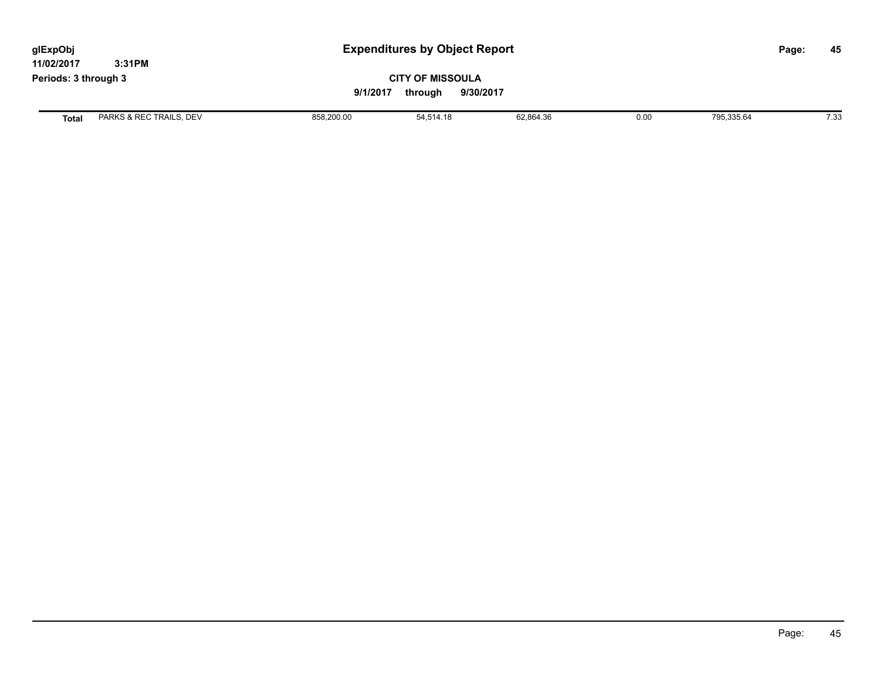| glExpObj<br>11/02/2017 | 3:31PM                  | <b>Expenditures by Object Report</b> |                                                             |           |      |            | Page: | 45   |
|------------------------|-------------------------|--------------------------------------|-------------------------------------------------------------|-----------|------|------------|-------|------|
| Periods: 3 through 3   |                         |                                      | <b>CITY OF MISSOULA</b><br>9/1/2017<br>9/30/2017<br>through |           |      |            |       |      |
| <b>Total</b>           | PARKS & REC TRAILS, DEV | 858,200.00                           | 54,514.18                                                   | 62,864.36 | 0.00 | 795,335.64 |       | 7.33 |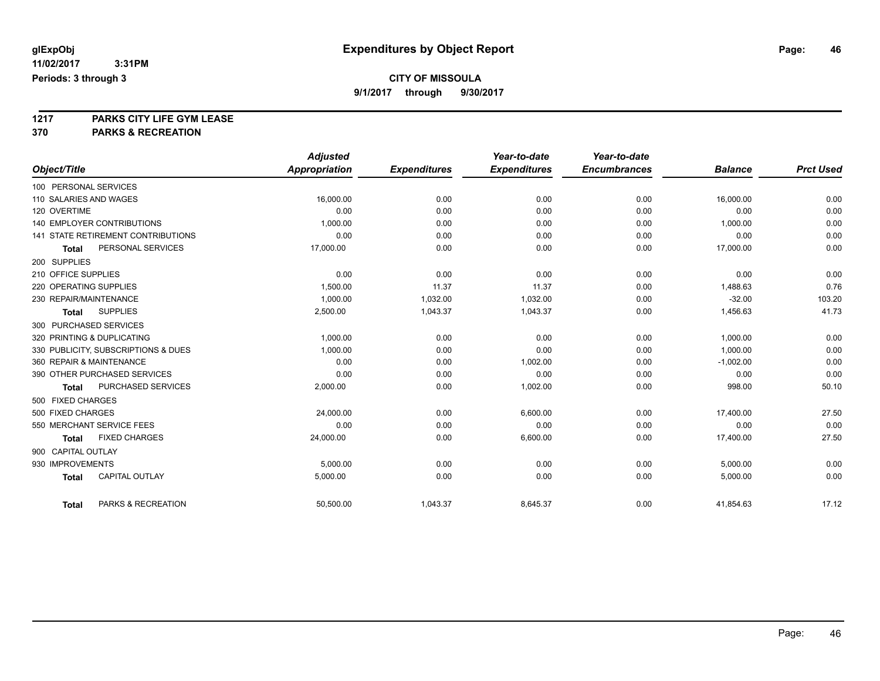**9/1/2017 through 9/30/2017**

**1217 PARKS CITY LIFE GYM LEASE**

|                                           | <b>Adjusted</b>      |                     | Year-to-date        | Year-to-date        |                |                  |
|-------------------------------------------|----------------------|---------------------|---------------------|---------------------|----------------|------------------|
| Object/Title                              | <b>Appropriation</b> | <b>Expenditures</b> | <b>Expenditures</b> | <b>Encumbrances</b> | <b>Balance</b> | <b>Prct Used</b> |
| 100 PERSONAL SERVICES                     |                      |                     |                     |                     |                |                  |
| 110 SALARIES AND WAGES                    | 16,000.00            | 0.00                | 0.00                | 0.00                | 16,000.00      | 0.00             |
| 120 OVERTIME                              | 0.00                 | 0.00                | 0.00                | 0.00                | 0.00           | 0.00             |
| <b>140 EMPLOYER CONTRIBUTIONS</b>         | 1,000.00             | 0.00                | 0.00                | 0.00                | 1,000.00       | 0.00             |
| <b>141 STATE RETIREMENT CONTRIBUTIONS</b> | 0.00                 | 0.00                | 0.00                | 0.00                | 0.00           | 0.00             |
| PERSONAL SERVICES<br><b>Total</b>         | 17,000.00            | 0.00                | 0.00                | 0.00                | 17,000.00      | 0.00             |
| 200 SUPPLIES                              |                      |                     |                     |                     |                |                  |
| 210 OFFICE SUPPLIES                       | 0.00                 | 0.00                | 0.00                | 0.00                | 0.00           | 0.00             |
| 220 OPERATING SUPPLIES                    | 1,500.00             | 11.37               | 11.37               | 0.00                | 1,488.63       | 0.76             |
| 230 REPAIR/MAINTENANCE                    | 1,000.00             | 1,032.00            | 1,032.00            | 0.00                | $-32.00$       | 103.20           |
| <b>SUPPLIES</b><br><b>Total</b>           | 2,500.00             | 1,043.37            | 1,043.37            | 0.00                | 1,456.63       | 41.73            |
| 300 PURCHASED SERVICES                    |                      |                     |                     |                     |                |                  |
| 320 PRINTING & DUPLICATING                | 1,000.00             | 0.00                | 0.00                | 0.00                | 1,000.00       | 0.00             |
| 330 PUBLICITY, SUBSCRIPTIONS & DUES       | 1.000.00             | 0.00                | 0.00                | 0.00                | 1.000.00       | 0.00             |
| 360 REPAIR & MAINTENANCE                  | 0.00                 | 0.00                | 1,002.00            | 0.00                | $-1,002.00$    | 0.00             |
| 390 OTHER PURCHASED SERVICES              | 0.00                 | 0.00                | 0.00                | 0.00                | 0.00           | 0.00             |
| PURCHASED SERVICES<br><b>Total</b>        | 2,000.00             | 0.00                | 1,002.00            | 0.00                | 998.00         | 50.10            |
| 500 FIXED CHARGES                         |                      |                     |                     |                     |                |                  |
| 500 FIXED CHARGES                         | 24,000.00            | 0.00                | 6,600.00            | 0.00                | 17,400.00      | 27.50            |
| 550 MERCHANT SERVICE FEES                 | 0.00                 | 0.00                | 0.00                | 0.00                | 0.00           | 0.00             |
| <b>FIXED CHARGES</b><br><b>Total</b>      | 24,000.00            | 0.00                | 6,600.00            | 0.00                | 17,400.00      | 27.50            |
| 900 CAPITAL OUTLAY                        |                      |                     |                     |                     |                |                  |
| 930 IMPROVEMENTS                          | 5,000.00             | 0.00                | 0.00                | 0.00                | 5,000.00       | 0.00             |
| <b>CAPITAL OUTLAY</b><br><b>Total</b>     | 5,000.00             | 0.00                | 0.00                | 0.00                | 5,000.00       | 0.00             |
| PARKS & RECREATION<br><b>Total</b>        | 50,500.00            | 1,043.37            | 8,645.37            | 0.00                | 41,854.63      | 17.12            |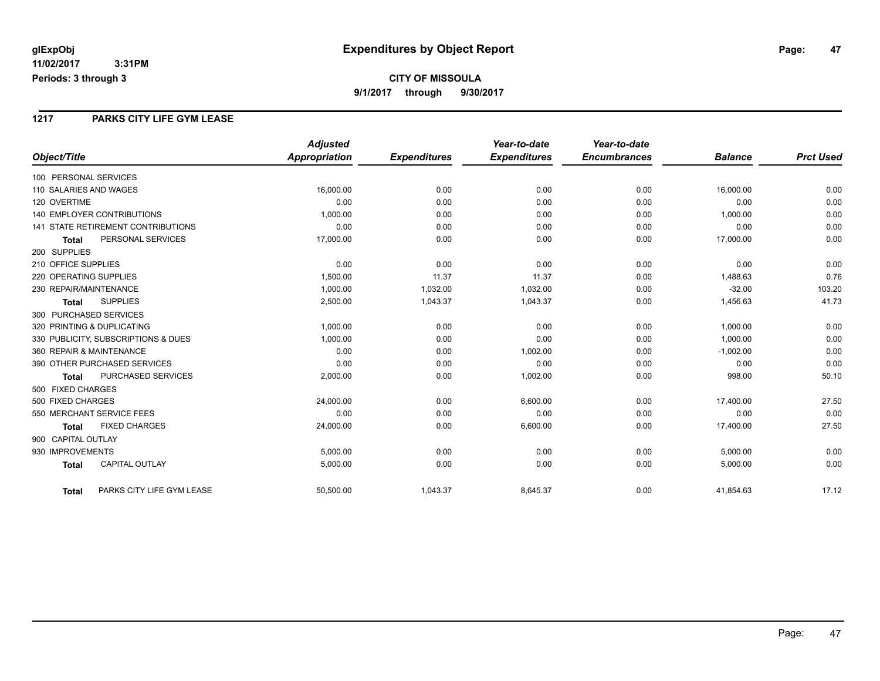### **1217 PARKS CITY LIFE GYM LEASE**

|                                           | <b>Adjusted</b>      |                     | Year-to-date        | Year-to-date        |                |                  |
|-------------------------------------------|----------------------|---------------------|---------------------|---------------------|----------------|------------------|
| Object/Title                              | <b>Appropriation</b> | <b>Expenditures</b> | <b>Expenditures</b> | <b>Encumbrances</b> | <b>Balance</b> | <b>Prct Used</b> |
| 100 PERSONAL SERVICES                     |                      |                     |                     |                     |                |                  |
| 110 SALARIES AND WAGES                    | 16,000.00            | 0.00                | 0.00                | 0.00                | 16,000.00      | 0.00             |
| 120 OVERTIME                              | 0.00                 | 0.00                | 0.00                | 0.00                | 0.00           | 0.00             |
| <b>140 EMPLOYER CONTRIBUTIONS</b>         | 1,000.00             | 0.00                | 0.00                | 0.00                | 1,000.00       | 0.00             |
| <b>141 STATE RETIREMENT CONTRIBUTIONS</b> | 0.00                 | 0.00                | 0.00                | 0.00                | 0.00           | 0.00             |
| PERSONAL SERVICES<br><b>Total</b>         | 17,000.00            | 0.00                | 0.00                | 0.00                | 17,000.00      | 0.00             |
| 200 SUPPLIES                              |                      |                     |                     |                     |                |                  |
| 210 OFFICE SUPPLIES                       | 0.00                 | 0.00                | 0.00                | 0.00                | 0.00           | 0.00             |
| 220 OPERATING SUPPLIES                    | 1.500.00             | 11.37               | 11.37               | 0.00                | 1,488.63       | 0.76             |
| 230 REPAIR/MAINTENANCE                    | 1,000.00             | 1,032.00            | 1,032.00            | 0.00                | $-32.00$       | 103.20           |
| <b>SUPPLIES</b><br><b>Total</b>           | 2,500.00             | 1,043.37            | 1,043.37            | 0.00                | 1,456.63       | 41.73            |
| 300 PURCHASED SERVICES                    |                      |                     |                     |                     |                |                  |
| 320 PRINTING & DUPLICATING                | 1,000.00             | 0.00                | 0.00                | 0.00                | 1,000.00       | 0.00             |
| 330 PUBLICITY, SUBSCRIPTIONS & DUES       | 1.000.00             | 0.00                | 0.00                | 0.00                | 1.000.00       | 0.00             |
| 360 REPAIR & MAINTENANCE                  | 0.00                 | 0.00                | 1,002.00            | 0.00                | $-1,002.00$    | 0.00             |
| 390 OTHER PURCHASED SERVICES              | 0.00                 | 0.00                | 0.00                | 0.00                | 0.00           | 0.00             |
| PURCHASED SERVICES<br><b>Total</b>        | 2,000.00             | 0.00                | 1,002.00            | 0.00                | 998.00         | 50.10            |
| 500 FIXED CHARGES                         |                      |                     |                     |                     |                |                  |
| 500 FIXED CHARGES                         | 24,000.00            | 0.00                | 6,600.00            | 0.00                | 17,400.00      | 27.50            |
| 550 MERCHANT SERVICE FEES                 | 0.00                 | 0.00                | 0.00                | 0.00                | 0.00           | 0.00             |
| <b>FIXED CHARGES</b><br><b>Total</b>      | 24,000.00            | 0.00                | 6,600.00            | 0.00                | 17,400.00      | 27.50            |
| 900 CAPITAL OUTLAY                        |                      |                     |                     |                     |                |                  |
| 930 IMPROVEMENTS                          | 5,000.00             | 0.00                | 0.00                | 0.00                | 5,000.00       | 0.00             |
| <b>CAPITAL OUTLAY</b><br><b>Total</b>     | 5,000.00             | 0.00                | 0.00                | 0.00                | 5,000.00       | 0.00             |
| PARKS CITY LIFE GYM LEASE<br><b>Total</b> | 50,500.00            | 1,043.37            | 8,645.37            | 0.00                | 41,854.63      | 17.12            |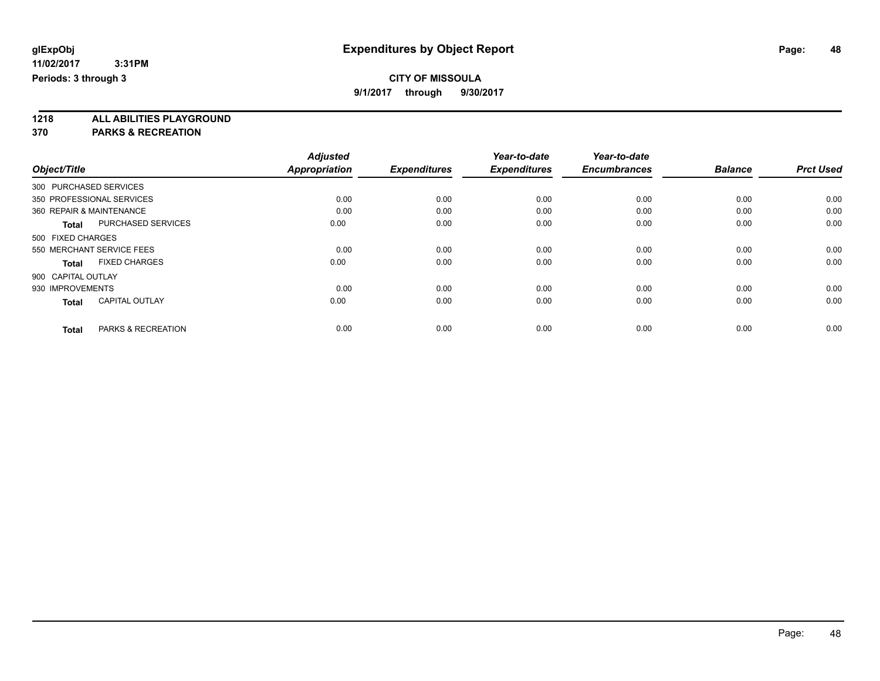**9/1/2017 through 9/30/2017**

**1218 ALL ABILITIES PLAYGROUND**

|                          |                           | <b>Adjusted</b>      |                     | Year-to-date        | Year-to-date        |                |                  |
|--------------------------|---------------------------|----------------------|---------------------|---------------------|---------------------|----------------|------------------|
| Object/Title             |                           | <b>Appropriation</b> | <b>Expenditures</b> | <b>Expenditures</b> | <b>Encumbrances</b> | <b>Balance</b> | <b>Prct Used</b> |
| 300 PURCHASED SERVICES   |                           |                      |                     |                     |                     |                |                  |
|                          | 350 PROFESSIONAL SERVICES | 0.00                 | 0.00                | 0.00                | 0.00                | 0.00           | 0.00             |
| 360 REPAIR & MAINTENANCE |                           | 0.00                 | 0.00                | 0.00                | 0.00                | 0.00           | 0.00             |
| <b>Total</b>             | <b>PURCHASED SERVICES</b> | 0.00                 | 0.00                | 0.00                | 0.00                | 0.00           | 0.00             |
| 500 FIXED CHARGES        |                           |                      |                     |                     |                     |                |                  |
|                          | 550 MERCHANT SERVICE FEES | 0.00                 | 0.00                | 0.00                | 0.00                | 0.00           | 0.00             |
| <b>Total</b>             | <b>FIXED CHARGES</b>      | 0.00                 | 0.00                | 0.00                | 0.00                | 0.00           | 0.00             |
| 900 CAPITAL OUTLAY       |                           |                      |                     |                     |                     |                |                  |
| 930 IMPROVEMENTS         |                           | 0.00                 | 0.00                | 0.00                | 0.00                | 0.00           | 0.00             |
| <b>Total</b>             | <b>CAPITAL OUTLAY</b>     | 0.00                 | 0.00                | 0.00                | 0.00                | 0.00           | 0.00             |
|                          |                           |                      |                     |                     |                     |                |                  |
| <b>Total</b>             | PARKS & RECREATION        | 0.00                 | 0.00                | 0.00                | 0.00                | 0.00           | 0.00             |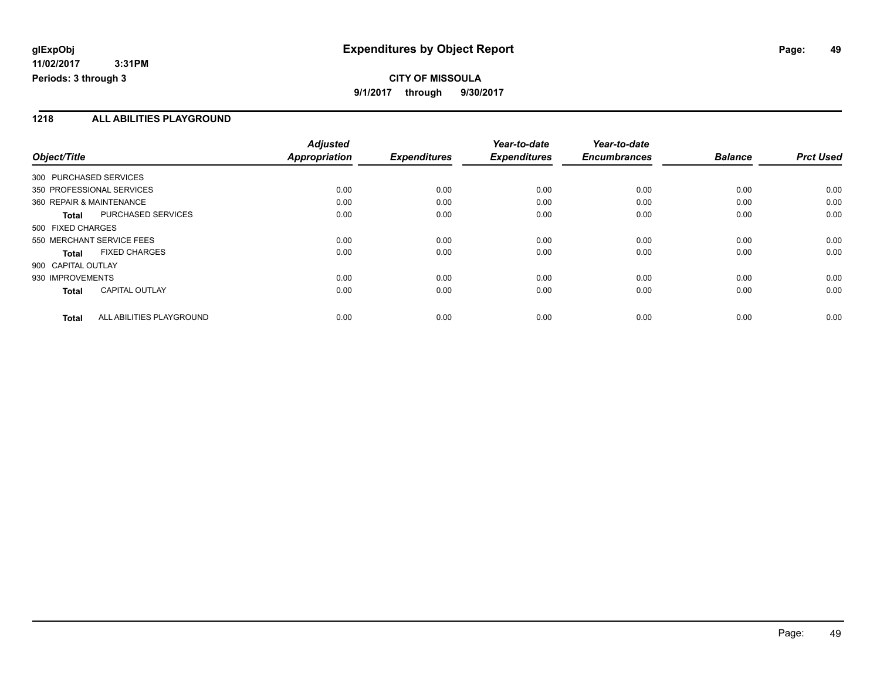## **CITY OF MISSOULA 9/1/2017 through 9/30/2017**

### **1218 ALL ABILITIES PLAYGROUND**

|                                           | <b>Adjusted</b>      |                     | Year-to-date        | Year-to-date        |                |                  |
|-------------------------------------------|----------------------|---------------------|---------------------|---------------------|----------------|------------------|
| Object/Title                              | <b>Appropriation</b> | <b>Expenditures</b> | <b>Expenditures</b> | <b>Encumbrances</b> | <b>Balance</b> | <b>Prct Used</b> |
| 300 PURCHASED SERVICES                    |                      |                     |                     |                     |                |                  |
| 350 PROFESSIONAL SERVICES                 | 0.00                 | 0.00                | 0.00                | 0.00                | 0.00           | 0.00             |
| 360 REPAIR & MAINTENANCE                  | 0.00                 | 0.00                | 0.00                | 0.00                | 0.00           | 0.00             |
| <b>PURCHASED SERVICES</b><br><b>Total</b> | 0.00                 | 0.00                | 0.00                | 0.00                | 0.00           | 0.00             |
| 500 FIXED CHARGES                         |                      |                     |                     |                     |                |                  |
| 550 MERCHANT SERVICE FEES                 | 0.00                 | 0.00                | 0.00                | 0.00                | 0.00           | 0.00             |
| <b>FIXED CHARGES</b><br><b>Total</b>      | 0.00                 | 0.00                | 0.00                | 0.00                | 0.00           | 0.00             |
| 900 CAPITAL OUTLAY                        |                      |                     |                     |                     |                |                  |
| 930 IMPROVEMENTS                          | 0.00                 | 0.00                | 0.00                | 0.00                | 0.00           | 0.00             |
| <b>CAPITAL OUTLAY</b><br><b>Total</b>     | 0.00                 | 0.00                | 0.00                | 0.00                | 0.00           | 0.00             |
| ALL ABILITIES PLAYGROUND<br><b>Total</b>  | 0.00                 | 0.00                | 0.00                | 0.00                | 0.00           | 0.00             |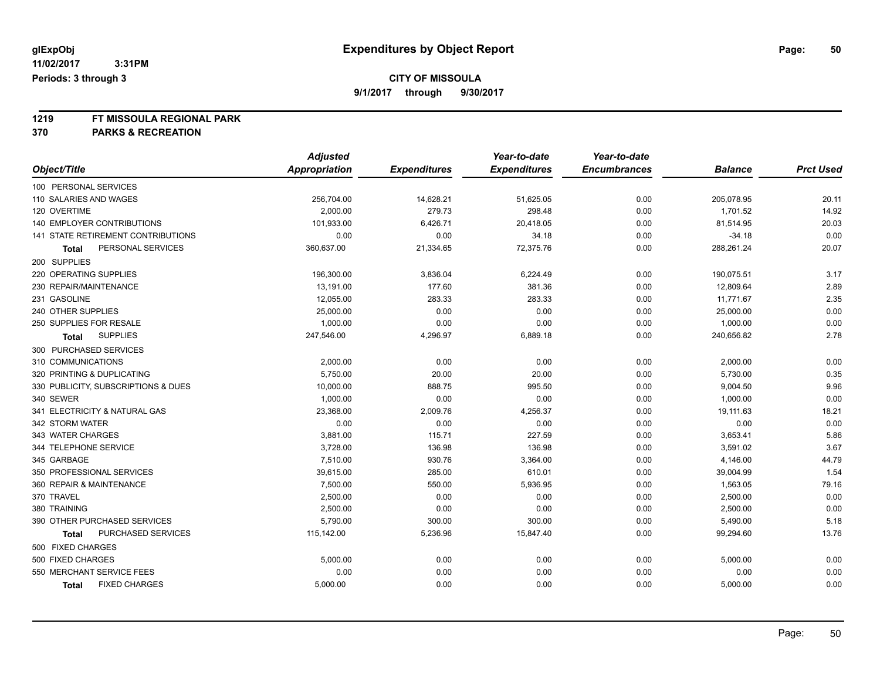**9/1/2017 through 9/30/2017**

# **1219 FT MISSOULA REGIONAL PARK**

|                                           | <b>Adjusted</b> |                     | Year-to-date        | Year-to-date        |                |                  |
|-------------------------------------------|-----------------|---------------------|---------------------|---------------------|----------------|------------------|
| Object/Title                              | Appropriation   | <b>Expenditures</b> | <b>Expenditures</b> | <b>Encumbrances</b> | <b>Balance</b> | <b>Prct Used</b> |
| 100 PERSONAL SERVICES                     |                 |                     |                     |                     |                |                  |
| 110 SALARIES AND WAGES                    | 256,704.00      | 14,628.21           | 51,625.05           | 0.00                | 205,078.95     | 20.11            |
| 120 OVERTIME                              | 2,000.00        | 279.73              | 298.48              | 0.00                | 1,701.52       | 14.92            |
| 140 EMPLOYER CONTRIBUTIONS                | 101,933.00      | 6,426.71            | 20,418.05           | 0.00                | 81,514.95      | 20.03            |
| <b>141 STATE RETIREMENT CONTRIBUTIONS</b> | 0.00            | 0.00                | 34.18               | 0.00                | $-34.18$       | 0.00             |
| PERSONAL SERVICES<br>Total                | 360,637.00      | 21,334.65           | 72,375.76           | 0.00                | 288,261.24     | 20.07            |
| 200 SUPPLIES                              |                 |                     |                     |                     |                |                  |
| 220 OPERATING SUPPLIES                    | 196,300.00      | 3,836.04            | 6,224.49            | 0.00                | 190,075.51     | 3.17             |
| 230 REPAIR/MAINTENANCE                    | 13,191.00       | 177.60              | 381.36              | 0.00                | 12,809.64      | 2.89             |
| 231 GASOLINE                              | 12,055.00       | 283.33              | 283.33              | 0.00                | 11,771.67      | 2.35             |
| 240 OTHER SUPPLIES                        | 25,000.00       | 0.00                | 0.00                | 0.00                | 25,000.00      | 0.00             |
| 250 SUPPLIES FOR RESALE                   | 1,000.00        | 0.00                | 0.00                | 0.00                | 1,000.00       | 0.00             |
| <b>SUPPLIES</b><br><b>Total</b>           | 247,546.00      | 4,296.97            | 6,889.18            | 0.00                | 240,656.82     | 2.78             |
| 300 PURCHASED SERVICES                    |                 |                     |                     |                     |                |                  |
| 310 COMMUNICATIONS                        | 2,000.00        | 0.00                | 0.00                | 0.00                | 2,000.00       | 0.00             |
| 320 PRINTING & DUPLICATING                | 5,750.00        | 20.00               | 20.00               | 0.00                | 5,730.00       | 0.35             |
| 330 PUBLICITY, SUBSCRIPTIONS & DUES       | 10,000.00       | 888.75              | 995.50              | 0.00                | 9,004.50       | 9.96             |
| 340 SEWER                                 | 1,000.00        | 0.00                | 0.00                | 0.00                | 1,000.00       | 0.00             |
| 341 ELECTRICITY & NATURAL GAS             | 23,368.00       | 2,009.76            | 4,256.37            | 0.00                | 19,111.63      | 18.21            |
| 342 STORM WATER                           | 0.00            | 0.00                | 0.00                | 0.00                | 0.00           | 0.00             |
| 343 WATER CHARGES                         | 3,881.00        | 115.71              | 227.59              | 0.00                | 3,653.41       | 5.86             |
| 344 TELEPHONE SERVICE                     | 3,728.00        | 136.98              | 136.98              | 0.00                | 3,591.02       | 3.67             |
| 345 GARBAGE                               | 7,510.00        | 930.76              | 3,364.00            | 0.00                | 4,146.00       | 44.79            |
| 350 PROFESSIONAL SERVICES                 | 39,615.00       | 285.00              | 610.01              | 0.00                | 39,004.99      | 1.54             |
| 360 REPAIR & MAINTENANCE                  | 7,500.00        | 550.00              | 5,936.95            | 0.00                | 1,563.05       | 79.16            |
| 370 TRAVEL                                | 2,500.00        | 0.00                | 0.00                | 0.00                | 2,500.00       | 0.00             |
| 380 TRAINING                              | 2,500.00        | 0.00                | 0.00                | 0.00                | 2,500.00       | 0.00             |
| 390 OTHER PURCHASED SERVICES              | 5,790.00        | 300.00              | 300.00              | 0.00                | 5,490.00       | 5.18             |
| PURCHASED SERVICES<br>Total               | 115,142.00      | 5,236.96            | 15,847.40           | 0.00                | 99,294.60      | 13.76            |
| 500 FIXED CHARGES                         |                 |                     |                     |                     |                |                  |
| 500 FIXED CHARGES                         | 5,000.00        | 0.00                | 0.00                | 0.00                | 5,000.00       | 0.00             |
| 550 MERCHANT SERVICE FEES                 | 0.00            | 0.00                | 0.00                | 0.00                | 0.00           | 0.00             |
| <b>FIXED CHARGES</b><br><b>Total</b>      | 5,000.00        | 0.00                | 0.00                | 0.00                | 5,000.00       | 0.00             |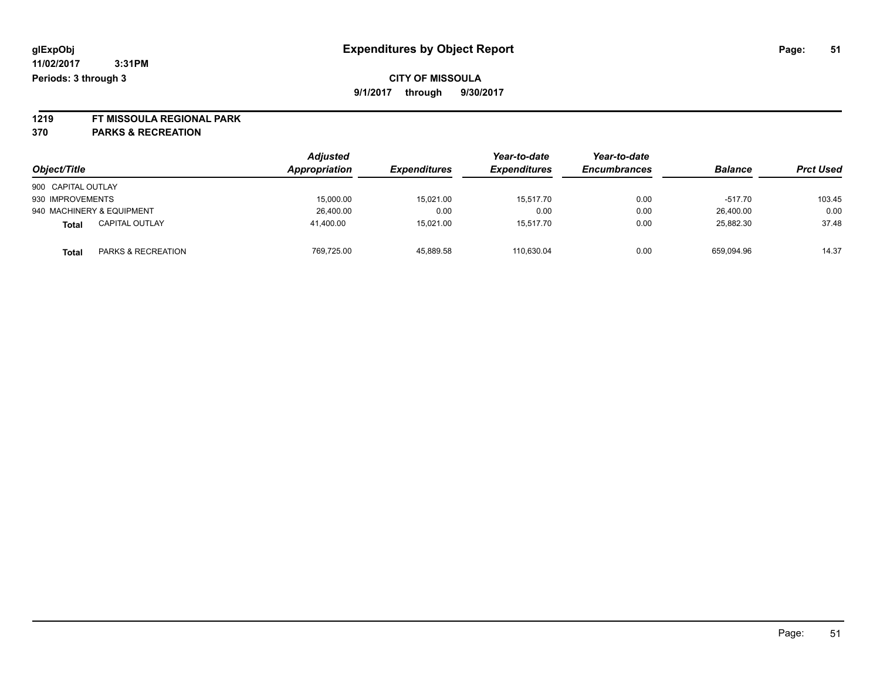**1219 FT MISSOULA REGIONAL PARK**

| Object/Title                          | <b>Adjusted</b><br>Appropriation | <i><b>Expenditures</b></i> | Year-to-date<br><b>Expenditures</b> | Year-to-date<br><b>Encumbrances</b> | <b>Balance</b> | <b>Prct Used</b> |
|---------------------------------------|----------------------------------|----------------------------|-------------------------------------|-------------------------------------|----------------|------------------|
| 900 CAPITAL OUTLAY                    |                                  |                            |                                     |                                     |                |                  |
| 930 IMPROVEMENTS                      | 15,000.00                        | 15,021.00                  | 15.517.70                           | 0.00                                | $-517.70$      | 103.45           |
| 940 MACHINERY & EQUIPMENT             | 26,400.00                        | 0.00                       | 0.00                                | 0.00                                | 26.400.00      | 0.00             |
| <b>CAPITAL OUTLAY</b><br><b>Total</b> | 41.400.00                        | 15.021.00                  | 15.517.70                           | 0.00                                | 25.882.30      | 37.48            |
| PARKS & RECREATION<br><b>Total</b>    | 769.725.00                       | 45,889.58                  | 110.630.04                          | 0.00                                | 659,094.96     | 14.37            |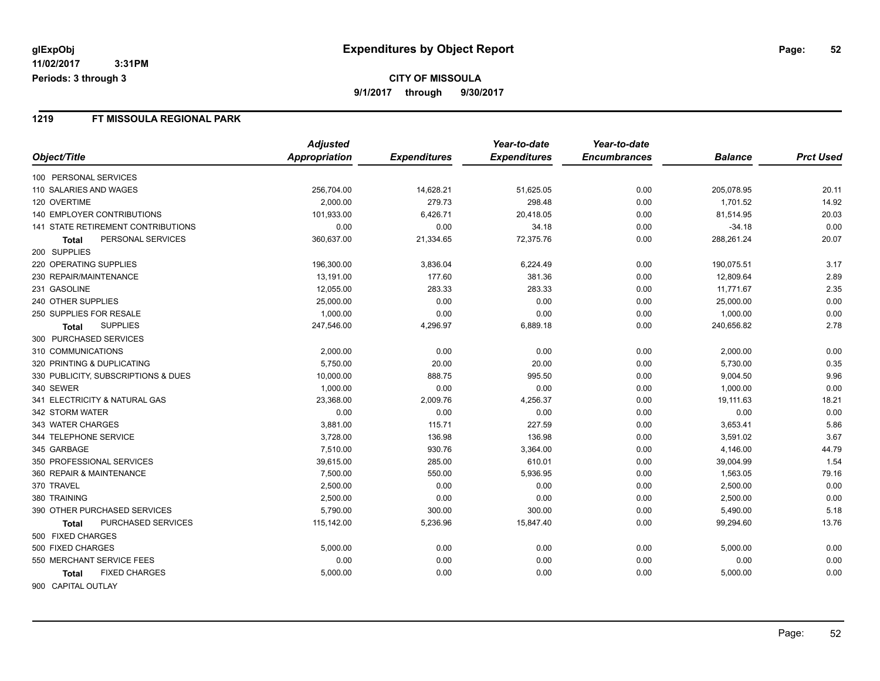### **1219 FT MISSOULA REGIONAL PARK**

|                                     | <b>Adjusted</b> |                     | Year-to-date        | Year-to-date        |                |                  |
|-------------------------------------|-----------------|---------------------|---------------------|---------------------|----------------|------------------|
| Object/Title                        | Appropriation   | <b>Expenditures</b> | <b>Expenditures</b> | <b>Encumbrances</b> | <b>Balance</b> | <b>Prct Used</b> |
| 100 PERSONAL SERVICES               |                 |                     |                     |                     |                |                  |
| 110 SALARIES AND WAGES              | 256,704.00      | 14,628.21           | 51,625.05           | 0.00                | 205,078.95     | 20.11            |
| 120 OVERTIME                        | 2,000.00        | 279.73              | 298.48              | 0.00                | 1,701.52       | 14.92            |
| <b>140 EMPLOYER CONTRIBUTIONS</b>   | 101,933.00      | 6,426.71            | 20,418.05           | 0.00                | 81,514.95      | 20.03            |
| 141 STATE RETIREMENT CONTRIBUTIONS  | 0.00            | 0.00                | 34.18               | 0.00                | $-34.18$       | 0.00             |
| PERSONAL SERVICES<br>Total          | 360,637.00      | 21,334.65           | 72,375.76           | 0.00                | 288,261.24     | 20.07            |
| 200 SUPPLIES                        |                 |                     |                     |                     |                |                  |
| 220 OPERATING SUPPLIES              | 196,300.00      | 3,836.04            | 6,224.49            | 0.00                | 190,075.51     | 3.17             |
| 230 REPAIR/MAINTENANCE              | 13,191.00       | 177.60              | 381.36              | 0.00                | 12,809.64      | 2.89             |
| 231 GASOLINE                        | 12,055.00       | 283.33              | 283.33              | 0.00                | 11,771.67      | 2.35             |
| 240 OTHER SUPPLIES                  | 25,000.00       | 0.00                | 0.00                | 0.00                | 25,000.00      | 0.00             |
| 250 SUPPLIES FOR RESALE             | 1,000.00        | 0.00                | 0.00                | 0.00                | 1,000.00       | 0.00             |
| <b>SUPPLIES</b><br><b>Total</b>     | 247,546.00      | 4,296.97            | 6,889.18            | 0.00                | 240,656.82     | 2.78             |
| 300 PURCHASED SERVICES              |                 |                     |                     |                     |                |                  |
| 310 COMMUNICATIONS                  | 2,000.00        | 0.00                | 0.00                | 0.00                | 2,000.00       | 0.00             |
| 320 PRINTING & DUPLICATING          | 5,750.00        | 20.00               | 20.00               | 0.00                | 5,730.00       | 0.35             |
| 330 PUBLICITY, SUBSCRIPTIONS & DUES | 10,000.00       | 888.75              | 995.50              | 0.00                | 9,004.50       | 9.96             |
| 340 SEWER                           | 1,000.00        | 0.00                | 0.00                | 0.00                | 1,000.00       | 0.00             |
| 341 ELECTRICITY & NATURAL GAS       | 23,368.00       | 2,009.76            | 4,256.37            | 0.00                | 19,111.63      | 18.21            |
| 342 STORM WATER                     | 0.00            | 0.00                | 0.00                | 0.00                | 0.00           | 0.00             |
| 343 WATER CHARGES                   | 3,881.00        | 115.71              | 227.59              | 0.00                | 3,653.41       | 5.86             |
| 344 TELEPHONE SERVICE               | 3,728.00        | 136.98              | 136.98              | 0.00                | 3,591.02       | 3.67             |
| 345 GARBAGE                         | 7,510.00        | 930.76              | 3,364.00            | 0.00                | 4,146.00       | 44.79            |
| 350 PROFESSIONAL SERVICES           | 39,615.00       | 285.00              | 610.01              | 0.00                | 39,004.99      | 1.54             |
| 360 REPAIR & MAINTENANCE            | 7,500.00        | 550.00              | 5,936.95            | 0.00                | 1,563.05       | 79.16            |
| 370 TRAVEL                          | 2,500.00        | 0.00                | 0.00                | 0.00                | 2,500.00       | 0.00             |
| 380 TRAINING                        | 2,500.00        | 0.00                | 0.00                | 0.00                | 2,500.00       | 0.00             |
| 390 OTHER PURCHASED SERVICES        | 5,790.00        | 300.00              | 300.00              | 0.00                | 5,490.00       | 5.18             |
| PURCHASED SERVICES<br>Total         | 115,142.00      | 5,236.96            | 15,847.40           | 0.00                | 99,294.60      | 13.76            |
| 500 FIXED CHARGES                   |                 |                     |                     |                     |                |                  |
| 500 FIXED CHARGES                   | 5,000.00        | 0.00                | 0.00                | 0.00                | 5,000.00       | 0.00             |
| 550 MERCHANT SERVICE FEES           | 0.00            | 0.00                | 0.00                | 0.00                | 0.00           | 0.00             |
| <b>FIXED CHARGES</b><br>Total       | 5,000.00        | 0.00                | 0.00                | 0.00                | 5,000.00       | 0.00             |
| 900 CAPITAL OUTLAY                  |                 |                     |                     |                     |                |                  |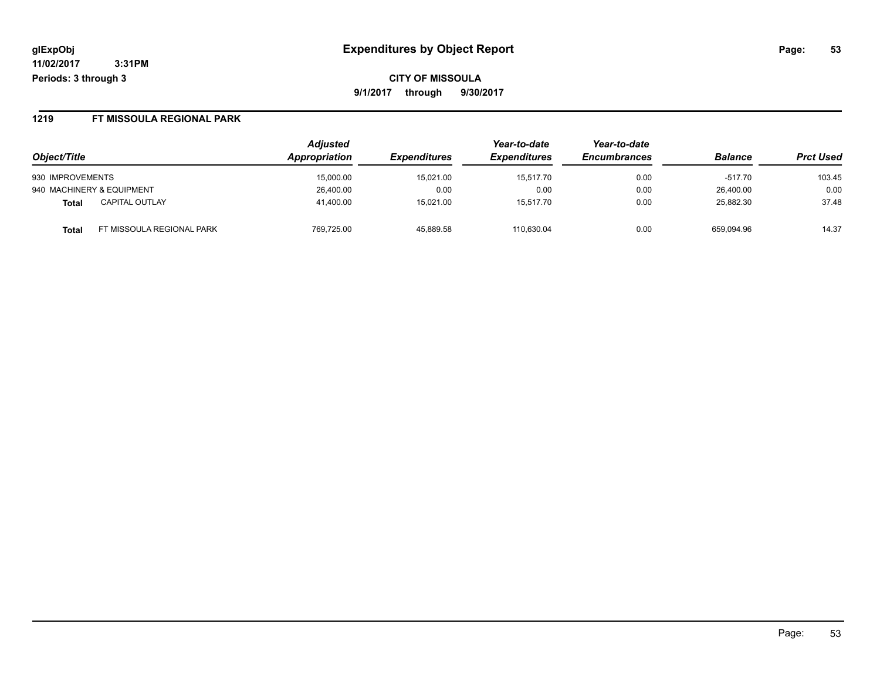**CITY OF MISSOULA 9/1/2017 through 9/30/2017**

#### **1219 FT MISSOULA REGIONAL PARK**

|                                    | <b>Adjusted</b>      |                            | Year-to-date<br><b>Expenditures</b> | Year-to-date<br><b>Encumbrances</b> | <b>Balance</b> | <b>Prct Used</b> |
|------------------------------------|----------------------|----------------------------|-------------------------------------|-------------------------------------|----------------|------------------|
| Object/Title                       | <b>Appropriation</b> | <i><b>Expenditures</b></i> |                                     |                                     |                |                  |
| 930 IMPROVEMENTS                   | 15,000.00            | 15,021.00                  | 15.517.70                           | 0.00                                | $-517.70$      | 103.45           |
| 940 MACHINERY & EQUIPMENT          | 26,400.00            | 0.00                       | 0.00                                | 0.00                                | 26.400.00      | 0.00             |
| <b>CAPITAL OUTLAY</b><br>Total     | 41.400.00            | 15.021.00                  | 15.517.70                           | 0.00                                | 25.882.30      | 37.48            |
| FT MISSOULA REGIONAL PARK<br>Total | 769.725.00           | 45,889.58                  | 110.630.04                          | 0.00                                | 659.094.96     | 14.37            |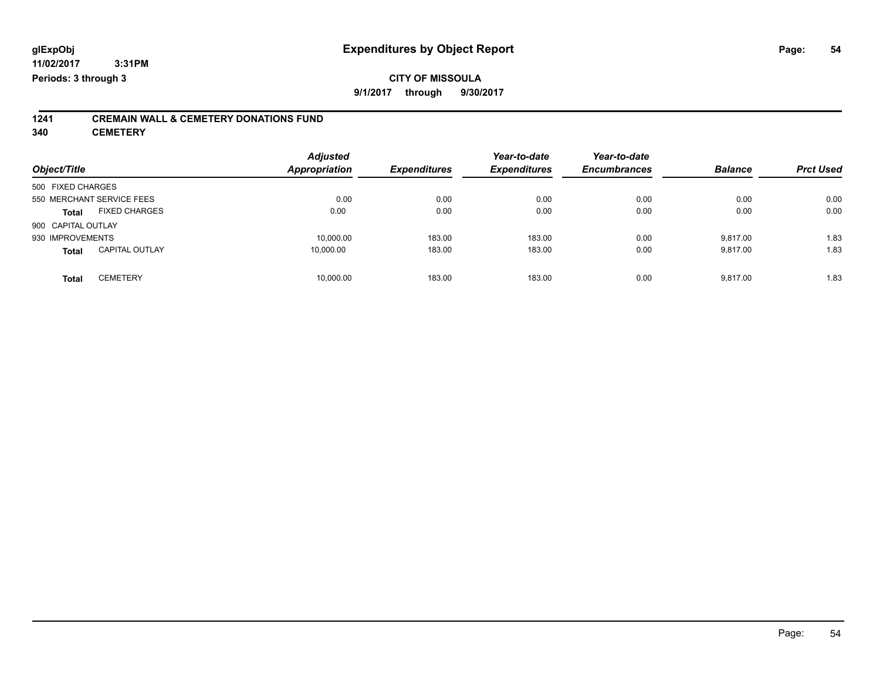## **CITY OF MISSOULA 9/1/2017 through 9/30/2017**

# **1241 CREMAIN WALL & CEMETERY DONATIONS FUND**

**340 CEMETERY**

| Object/Title                          | <b>Adjusted</b><br><b>Appropriation</b> | <b>Expenditures</b> | Year-to-date<br><b>Expenditures</b> | Year-to-date<br><b>Encumbrances</b> | <b>Balance</b> | <b>Prct Used</b> |
|---------------------------------------|-----------------------------------------|---------------------|-------------------------------------|-------------------------------------|----------------|------------------|
| 500 FIXED CHARGES                     |                                         |                     |                                     |                                     |                |                  |
| 550 MERCHANT SERVICE FEES             | 0.00                                    | 0.00                | 0.00                                | 0.00                                | 0.00           | 0.00             |
| <b>FIXED CHARGES</b><br><b>Total</b>  | 0.00                                    | 0.00                | 0.00                                | 0.00                                | 0.00           | 0.00             |
| 900 CAPITAL OUTLAY                    |                                         |                     |                                     |                                     |                |                  |
| 930 IMPROVEMENTS                      | 10,000.00                               | 183.00              | 183.00                              | 0.00                                | 9,817.00       | 1.83             |
| <b>CAPITAL OUTLAY</b><br><b>Total</b> | 10,000.00                               | 183.00              | 183.00                              | 0.00                                | 9,817.00       | 1.83             |
| <b>CEMETERY</b><br><b>Total</b>       | 10,000.00                               | 183.00              | 183.00                              | 0.00                                | 9,817.00       | 1.83             |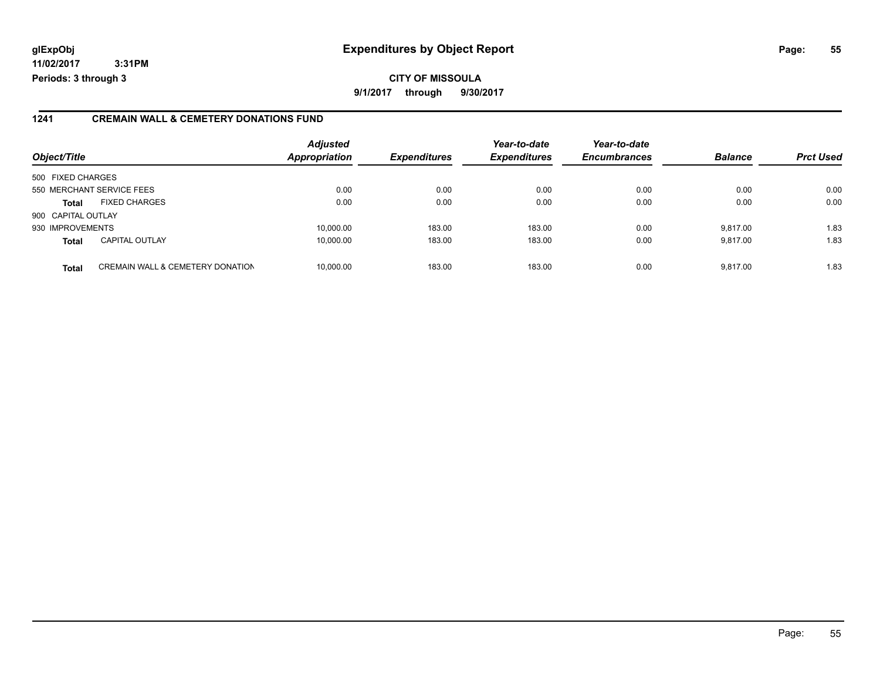## **glExpObj Expenditures by Object Report Page: 55**

**11/02/2017 3:31PM Periods: 3 through 3**

### **1241 CREMAIN WALL & CEMETERY DONATIONS FUND**

| Object/Title       |                                             | <b>Adjusted</b><br><b>Appropriation</b> | <b>Expenditures</b> | Year-to-date<br><b>Expenditures</b> | Year-to-date<br><b>Encumbrances</b> | <b>Balance</b> | <b>Prct Used</b> |
|--------------------|---------------------------------------------|-----------------------------------------|---------------------|-------------------------------------|-------------------------------------|----------------|------------------|
| 500 FIXED CHARGES  |                                             |                                         |                     |                                     |                                     |                |                  |
|                    | 550 MERCHANT SERVICE FEES                   | 0.00                                    | 0.00                | 0.00                                | 0.00                                | 0.00           | 0.00             |
| <b>Total</b>       | <b>FIXED CHARGES</b>                        | 0.00                                    | 0.00                | 0.00                                | 0.00                                | 0.00           | 0.00             |
| 900 CAPITAL OUTLAY |                                             |                                         |                     |                                     |                                     |                |                  |
| 930 IMPROVEMENTS   |                                             | 10,000.00                               | 183.00              | 183.00                              | 0.00                                | 9.817.00       | 1.83             |
| <b>Total</b>       | <b>CAPITAL OUTLAY</b>                       | 10,000.00                               | 183.00              | 183.00                              | 0.00                                | 9.817.00       | 1.83             |
| <b>Total</b>       | <b>CREMAIN WALL &amp; CEMETERY DONATION</b> | 10,000.00                               | 183.00              | 183.00                              | 0.00                                | 9.817.00       | 1.83             |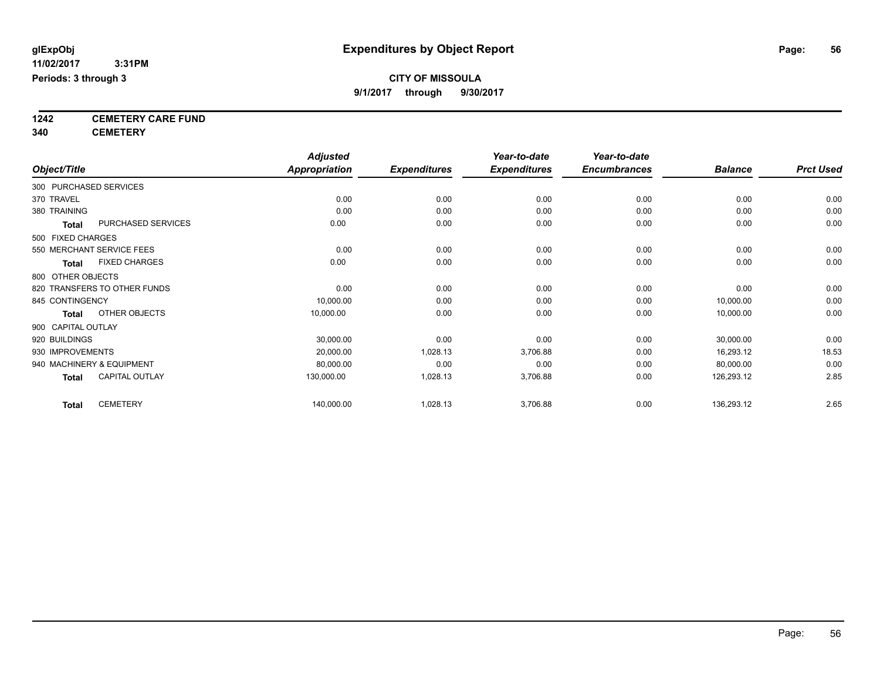**9/1/2017 through 9/30/2017**

**1242 CEMETERY CARE FUND**

**340 CEMETERY**

|                        |                              | <b>Adjusted</b>      |                     | Year-to-date        | Year-to-date        |                |                  |
|------------------------|------------------------------|----------------------|---------------------|---------------------|---------------------|----------------|------------------|
| Object/Title           |                              | <b>Appropriation</b> | <b>Expenditures</b> | <b>Expenditures</b> | <b>Encumbrances</b> | <b>Balance</b> | <b>Prct Used</b> |
| 300 PURCHASED SERVICES |                              |                      |                     |                     |                     |                |                  |
| 370 TRAVEL             |                              | 0.00                 | 0.00                | 0.00                | 0.00                | 0.00           | 0.00             |
| 380 TRAINING           |                              | 0.00                 | 0.00                | 0.00                | 0.00                | 0.00           | 0.00             |
| <b>Total</b>           | PURCHASED SERVICES           | 0.00                 | 0.00                | 0.00                | 0.00                | 0.00           | 0.00             |
| 500 FIXED CHARGES      |                              |                      |                     |                     |                     |                |                  |
|                        | 550 MERCHANT SERVICE FEES    | 0.00                 | 0.00                | 0.00                | 0.00                | 0.00           | 0.00             |
| Total                  | <b>FIXED CHARGES</b>         | 0.00                 | 0.00                | 0.00                | 0.00                | 0.00           | 0.00             |
| 800 OTHER OBJECTS      |                              |                      |                     |                     |                     |                |                  |
|                        | 820 TRANSFERS TO OTHER FUNDS | 0.00                 | 0.00                | 0.00                | 0.00                | 0.00           | 0.00             |
| 845 CONTINGENCY        |                              | 10,000.00            | 0.00                | 0.00                | 0.00                | 10,000.00      | 0.00             |
| Total                  | OTHER OBJECTS                | 10,000.00            | 0.00                | 0.00                | 0.00                | 10,000.00      | 0.00             |
| 900 CAPITAL OUTLAY     |                              |                      |                     |                     |                     |                |                  |
| 920 BUILDINGS          |                              | 30,000.00            | 0.00                | 0.00                | 0.00                | 30,000.00      | 0.00             |
| 930 IMPROVEMENTS       |                              | 20,000.00            | 1,028.13            | 3,706.88            | 0.00                | 16,293.12      | 18.53            |
|                        | 940 MACHINERY & EQUIPMENT    | 80,000.00            | 0.00                | 0.00                | 0.00                | 80,000.00      | 0.00             |
| <b>Total</b>           | <b>CAPITAL OUTLAY</b>        | 130,000.00           | 1,028.13            | 3,706.88            | 0.00                | 126,293.12     | 2.85             |
| <b>Total</b>           | <b>CEMETERY</b>              | 140,000.00           | 1,028.13            | 3,706.88            | 0.00                | 136,293.12     | 2.65             |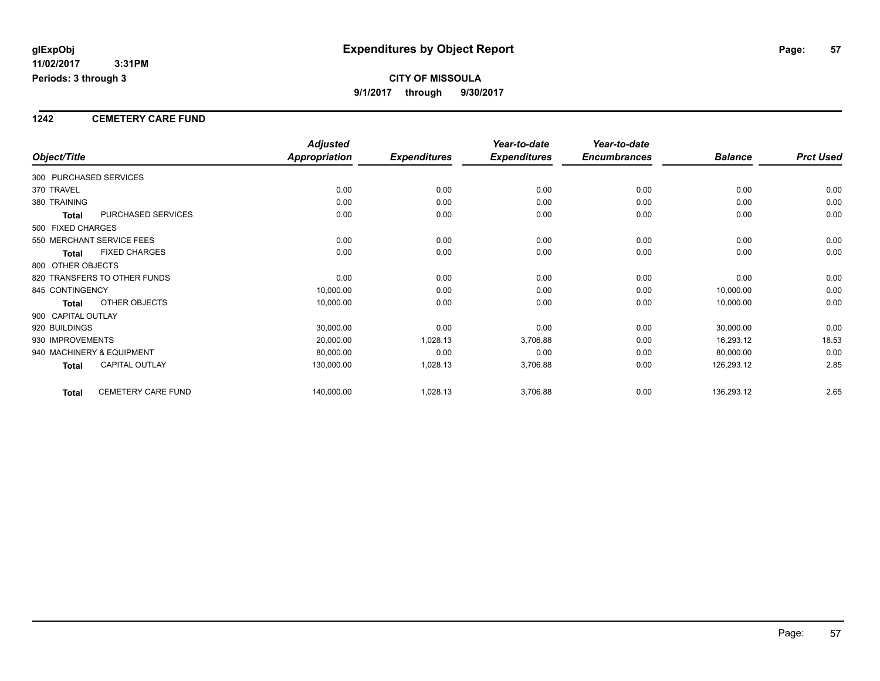#### **1242 CEMETERY CARE FUND**

|                                           | <b>Adjusted</b>      |                     | Year-to-date        | Year-to-date        |                |                  |
|-------------------------------------------|----------------------|---------------------|---------------------|---------------------|----------------|------------------|
| Object/Title                              | <b>Appropriation</b> | <b>Expenditures</b> | <b>Expenditures</b> | <b>Encumbrances</b> | <b>Balance</b> | <b>Prct Used</b> |
| 300 PURCHASED SERVICES                    |                      |                     |                     |                     |                |                  |
| 370 TRAVEL                                | 0.00                 | 0.00                | 0.00                | 0.00                | 0.00           | 0.00             |
| 380 TRAINING                              | 0.00                 | 0.00                | 0.00                | 0.00                | 0.00           | 0.00             |
| PURCHASED SERVICES<br><b>Total</b>        | 0.00                 | 0.00                | 0.00                | 0.00                | 0.00           | 0.00             |
| 500 FIXED CHARGES                         |                      |                     |                     |                     |                |                  |
| 550 MERCHANT SERVICE FEES                 | 0.00                 | 0.00                | 0.00                | 0.00                | 0.00           | 0.00             |
| <b>FIXED CHARGES</b><br><b>Total</b>      | 0.00                 | 0.00                | 0.00                | 0.00                | 0.00           | 0.00             |
| 800 OTHER OBJECTS                         |                      |                     |                     |                     |                |                  |
| 820 TRANSFERS TO OTHER FUNDS              | 0.00                 | 0.00                | 0.00                | 0.00                | 0.00           | 0.00             |
| 845 CONTINGENCY                           | 10,000.00            | 0.00                | 0.00                | 0.00                | 10,000.00      | 0.00             |
| <b>OTHER OBJECTS</b><br>Total             | 10,000.00            | 0.00                | 0.00                | 0.00                | 10,000.00      | 0.00             |
| 900 CAPITAL OUTLAY                        |                      |                     |                     |                     |                |                  |
| 920 BUILDINGS                             | 30,000.00            | 0.00                | 0.00                | 0.00                | 30,000.00      | 0.00             |
| 930 IMPROVEMENTS                          | 20,000.00            | 1,028.13            | 3,706.88            | 0.00                | 16,293.12      | 18.53            |
| 940 MACHINERY & EQUIPMENT                 | 80,000.00            | 0.00                | 0.00                | 0.00                | 80,000.00      | 0.00             |
| <b>CAPITAL OUTLAY</b><br><b>Total</b>     | 130,000.00           | 1,028.13            | 3,706.88            | 0.00                | 126,293.12     | 2.85             |
| <b>CEMETERY CARE FUND</b><br><b>Total</b> | 140,000.00           | 1,028.13            | 3,706.88            | 0.00                | 136,293.12     | 2.65             |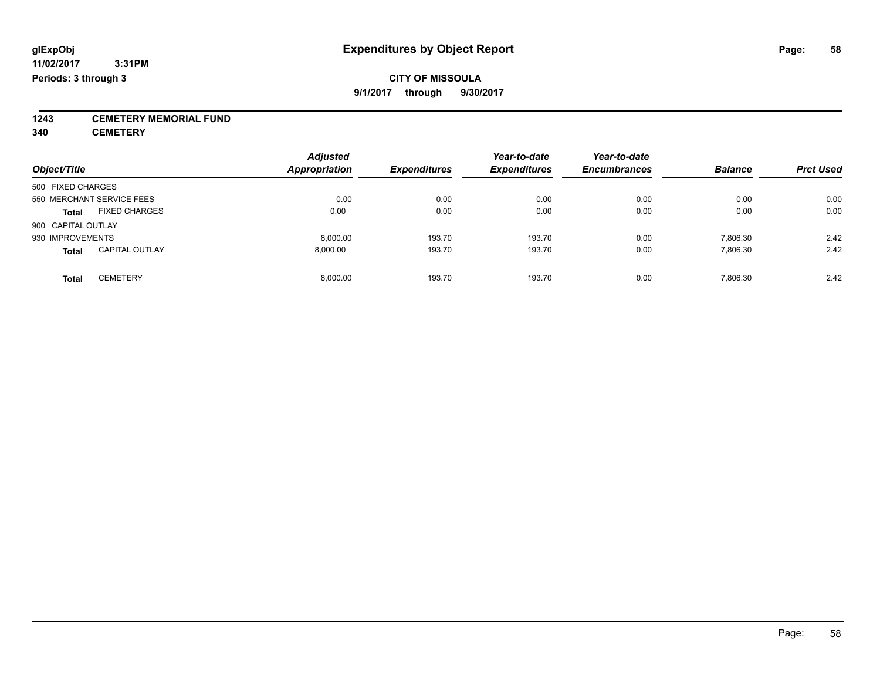**1243 CEMETERY MEMORIAL FUND**

**340 CEMETERY**

| Object/Title                          | <b>Adjusted</b><br><b>Appropriation</b> | <b>Expenditures</b> | Year-to-date<br><b>Expenditures</b> | Year-to-date<br><b>Encumbrances</b> | <b>Balance</b> | <b>Prct Used</b> |
|---------------------------------------|-----------------------------------------|---------------------|-------------------------------------|-------------------------------------|----------------|------------------|
| 500 FIXED CHARGES                     |                                         |                     |                                     |                                     |                |                  |
| 550 MERCHANT SERVICE FEES             | 0.00                                    | 0.00                | 0.00                                | 0.00                                | 0.00           | 0.00             |
| <b>FIXED CHARGES</b><br><b>Total</b>  | 0.00                                    | 0.00                | 0.00                                | 0.00                                | 0.00           | 0.00             |
| 900 CAPITAL OUTLAY                    |                                         |                     |                                     |                                     |                |                  |
| 930 IMPROVEMENTS                      | 8.000.00                                | 193.70              | 193.70                              | 0.00                                | 7.806.30       | 2.42             |
| <b>CAPITAL OUTLAY</b><br><b>Total</b> | 8.000.00                                | 193.70              | 193.70                              | 0.00                                | 7,806.30       | 2.42             |
| <b>CEMETERY</b><br>Total              | 8.000.00                                | 193.70              | 193.70                              | 0.00                                | 7.806.30       | 2.42             |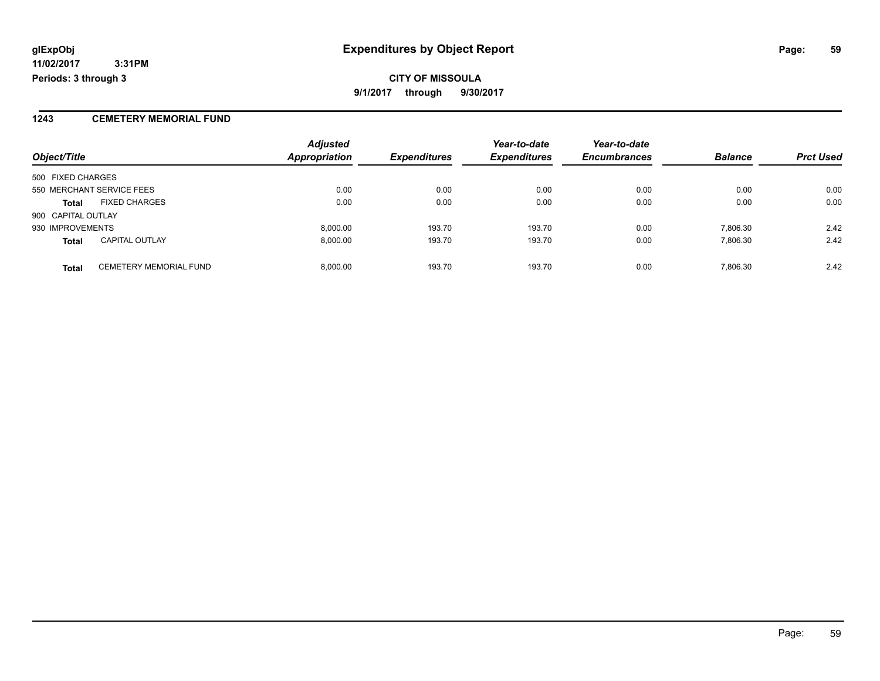### **1243 CEMETERY MEMORIAL FUND**

| Object/Title       |                               | <b>Adjusted</b><br><b>Appropriation</b> | <b>Expenditures</b> | Year-to-date<br><b>Expenditures</b> | Year-to-date<br><b>Encumbrances</b> | <b>Balance</b> | <b>Prct Used</b> |
|--------------------|-------------------------------|-----------------------------------------|---------------------|-------------------------------------|-------------------------------------|----------------|------------------|
|                    |                               |                                         |                     |                                     |                                     |                |                  |
| 500 FIXED CHARGES  |                               |                                         |                     |                                     |                                     |                |                  |
|                    | 550 MERCHANT SERVICE FEES     | 0.00                                    | 0.00                | 0.00                                | 0.00                                | 0.00           | 0.00             |
| <b>Total</b>       | <b>FIXED CHARGES</b>          | 0.00                                    | 0.00                | 0.00                                | 0.00                                | 0.00           | 0.00             |
| 900 CAPITAL OUTLAY |                               |                                         |                     |                                     |                                     |                |                  |
| 930 IMPROVEMENTS   |                               | 8,000.00                                | 193.70              | 193.70                              | 0.00                                | 7.806.30       | 2.42             |
| <b>Total</b>       | <b>CAPITAL OUTLAY</b>         | 8,000.00                                | 193.70              | 193.70                              | 0.00                                | 7,806.30       | 2.42             |
| <b>Total</b>       | <b>CEMETERY MEMORIAL FUND</b> | 8.000.00                                | 193.70              | 193.70                              | 0.00                                | 7.806.30       | 2.42             |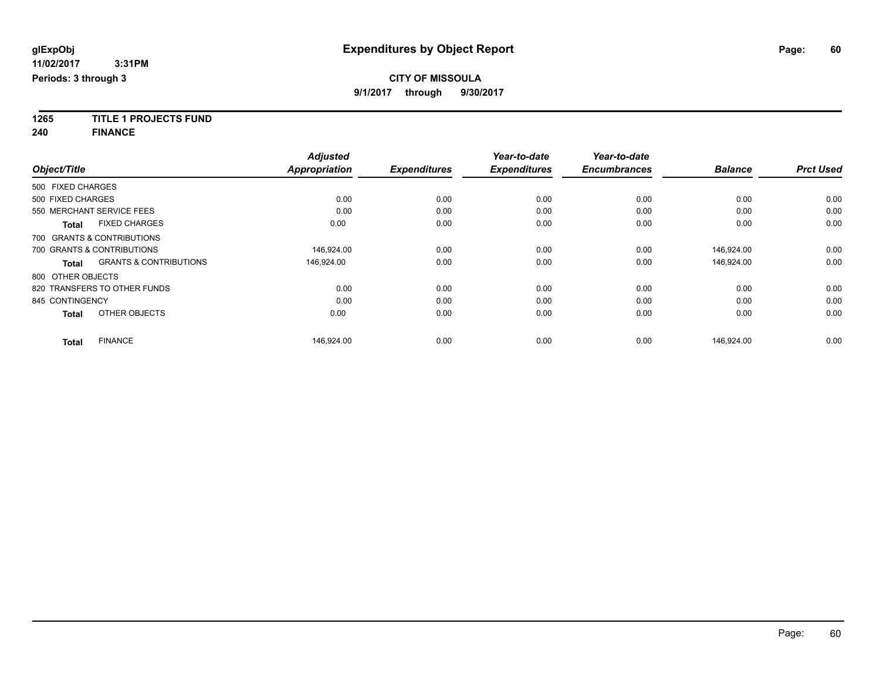**1265 TITLE 1 PROJECTS FUND**

**240 FINANCE**

|                   |                                   | <b>Adjusted</b>      |                     | Year-to-date        | Year-to-date        |                |                  |
|-------------------|-----------------------------------|----------------------|---------------------|---------------------|---------------------|----------------|------------------|
| Object/Title      |                                   | <b>Appropriation</b> | <b>Expenditures</b> | <b>Expenditures</b> | <b>Encumbrances</b> | <b>Balance</b> | <b>Prct Used</b> |
| 500 FIXED CHARGES |                                   |                      |                     |                     |                     |                |                  |
| 500 FIXED CHARGES |                                   | 0.00                 | 0.00                | 0.00                | 0.00                | 0.00           | 0.00             |
|                   | 550 MERCHANT SERVICE FEES         | 0.00                 | 0.00                | 0.00                | 0.00                | 0.00           | 0.00             |
| <b>Total</b>      | <b>FIXED CHARGES</b>              | 0.00                 | 0.00                | 0.00                | 0.00                | 0.00           | 0.00             |
|                   | 700 GRANTS & CONTRIBUTIONS        |                      |                     |                     |                     |                |                  |
|                   | 700 GRANTS & CONTRIBUTIONS        | 146,924.00           | 0.00                | 0.00                | 0.00                | 146,924.00     | 0.00             |
| <b>Total</b>      | <b>GRANTS &amp; CONTRIBUTIONS</b> | 146,924.00           | 0.00                | 0.00                | 0.00                | 146,924.00     | 0.00             |
| 800 OTHER OBJECTS |                                   |                      |                     |                     |                     |                |                  |
|                   | 820 TRANSFERS TO OTHER FUNDS      | 0.00                 | 0.00                | 0.00                | 0.00                | 0.00           | 0.00             |
| 845 CONTINGENCY   |                                   | 0.00                 | 0.00                | 0.00                | 0.00                | 0.00           | 0.00             |
| <b>Total</b>      | OTHER OBJECTS                     | 0.00                 | 0.00                | 0.00                | 0.00                | 0.00           | 0.00             |
| <b>Total</b>      | <b>FINANCE</b>                    | 146,924.00           | 0.00                | 0.00                | 0.00                | 146.924.00     | 0.00             |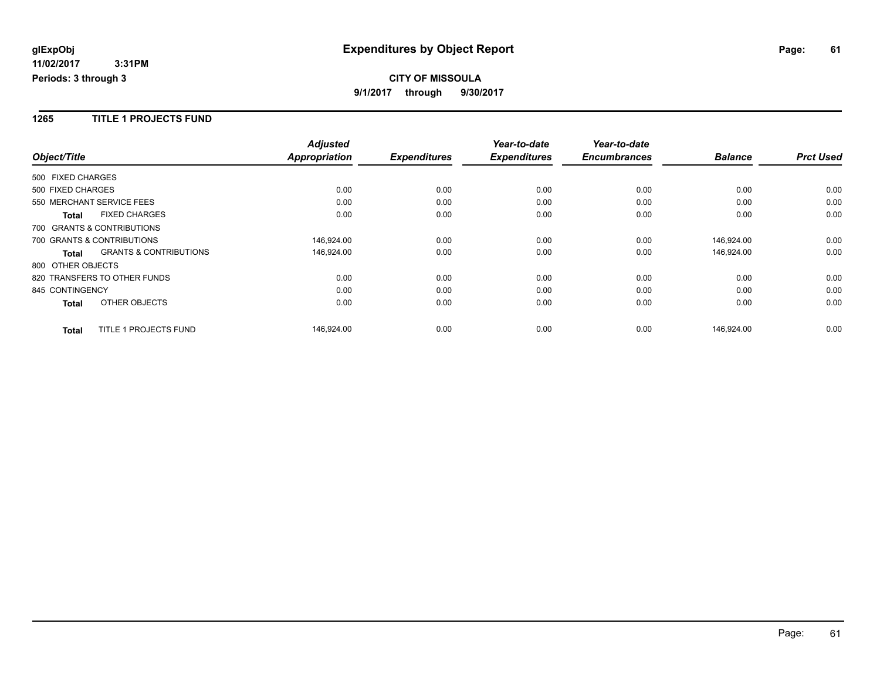#### **1265 TITLE 1 PROJECTS FUND**

|                              |                                   | <b>Adjusted</b>      |                     | Year-to-date        | Year-to-date        |                |                  |
|------------------------------|-----------------------------------|----------------------|---------------------|---------------------|---------------------|----------------|------------------|
| Object/Title                 |                                   | <b>Appropriation</b> | <b>Expenditures</b> | <b>Expenditures</b> | <b>Encumbrances</b> | <b>Balance</b> | <b>Prct Used</b> |
| 500 FIXED CHARGES            |                                   |                      |                     |                     |                     |                |                  |
| 500 FIXED CHARGES            |                                   | 0.00                 | 0.00                | 0.00                | 0.00                | 0.00           | 0.00             |
| 550 MERCHANT SERVICE FEES    |                                   | 0.00                 | 0.00                | 0.00                | 0.00                | 0.00           | 0.00             |
| <b>Total</b>                 | <b>FIXED CHARGES</b>              | 0.00                 | 0.00                | 0.00                | 0.00                | 0.00           | 0.00             |
| 700 GRANTS & CONTRIBUTIONS   |                                   |                      |                     |                     |                     |                |                  |
| 700 GRANTS & CONTRIBUTIONS   |                                   | 146,924.00           | 0.00                | 0.00                | 0.00                | 146,924.00     | 0.00             |
| <b>Total</b>                 | <b>GRANTS &amp; CONTRIBUTIONS</b> | 146,924.00           | 0.00                | 0.00                | 0.00                | 146,924.00     | 0.00             |
| 800 OTHER OBJECTS            |                                   |                      |                     |                     |                     |                |                  |
| 820 TRANSFERS TO OTHER FUNDS |                                   | 0.00                 | 0.00                | 0.00                | 0.00                | 0.00           | 0.00             |
| 845 CONTINGENCY              |                                   | 0.00                 | 0.00                | 0.00                | 0.00                | 0.00           | 0.00             |
| <b>Total</b>                 | OTHER OBJECTS                     | 0.00                 | 0.00                | 0.00                | 0.00                | 0.00           | 0.00             |
| <b>Total</b>                 | TITLE 1 PROJECTS FUND             | 146,924.00           | 0.00                | 0.00                | 0.00                | 146,924.00     | 0.00             |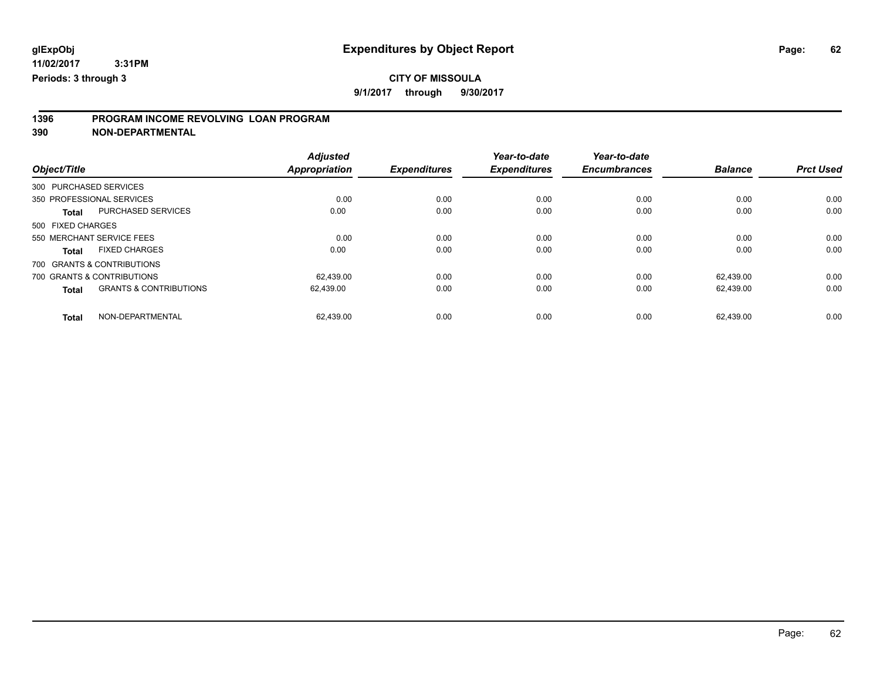# **1396 PROGRAM INCOME REVOLVING LOAN PROGRAM**

**390 NON-DEPARTMENTAL**

| Object/Title      |                                   | <b>Adjusted</b><br>Appropriation | <b>Expenditures</b> | Year-to-date<br><b>Expenditures</b> | Year-to-date<br><b>Encumbrances</b> | <b>Balance</b> | <b>Prct Used</b> |
|-------------------|-----------------------------------|----------------------------------|---------------------|-------------------------------------|-------------------------------------|----------------|------------------|
|                   |                                   |                                  |                     |                                     |                                     |                |                  |
|                   | 300 PURCHASED SERVICES            |                                  |                     |                                     |                                     |                |                  |
|                   | 350 PROFESSIONAL SERVICES         | 0.00                             | 0.00                | 0.00                                | 0.00                                | 0.00           | 0.00             |
| <b>Total</b>      | <b>PURCHASED SERVICES</b>         | 0.00                             | 0.00                | 0.00                                | 0.00                                | 0.00           | 0.00             |
| 500 FIXED CHARGES |                                   |                                  |                     |                                     |                                     |                |                  |
|                   | 550 MERCHANT SERVICE FEES         | 0.00                             | 0.00                | 0.00                                | 0.00                                | 0.00           | 0.00             |
| <b>Total</b>      | <b>FIXED CHARGES</b>              | 0.00                             | 0.00                | 0.00                                | 0.00                                | 0.00           | 0.00             |
|                   | 700 GRANTS & CONTRIBUTIONS        |                                  |                     |                                     |                                     |                |                  |
|                   | 700 GRANTS & CONTRIBUTIONS        | 62.439.00                        | 0.00                | 0.00                                | 0.00                                | 62.439.00      | 0.00             |
| <b>Total</b>      | <b>GRANTS &amp; CONTRIBUTIONS</b> | 62.439.00                        | 0.00                | 0.00                                | 0.00                                | 62.439.00      | 0.00             |
| <b>Total</b>      | NON-DEPARTMENTAL                  | 62.439.00                        | 0.00                | 0.00                                | 0.00                                | 62.439.00      | 0.00             |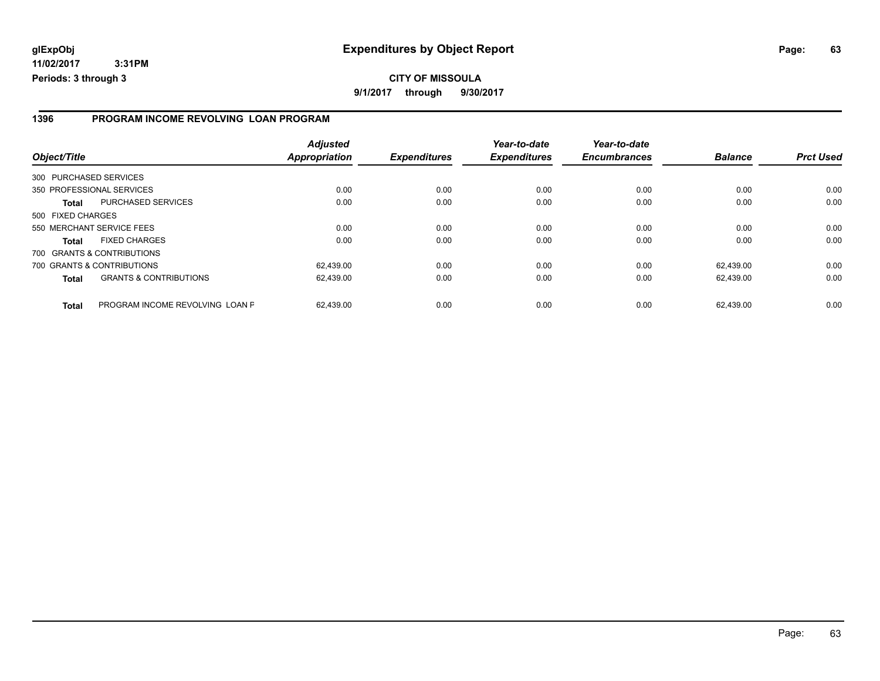### **1396 PROGRAM INCOME REVOLVING LOAN PROGRAM**

| Object/Title           |                                   | <b>Adjusted</b><br>Appropriation | <b>Expenditures</b> | Year-to-date<br><b>Expenditures</b> | Year-to-date<br><b>Encumbrances</b> | <b>Balance</b> | <b>Prct Used</b> |
|------------------------|-----------------------------------|----------------------------------|---------------------|-------------------------------------|-------------------------------------|----------------|------------------|
| 300 PURCHASED SERVICES |                                   |                                  |                     |                                     |                                     |                |                  |
|                        | 350 PROFESSIONAL SERVICES         | 0.00                             | 0.00                | 0.00                                | 0.00                                | 0.00           | 0.00             |
| Total                  | PURCHASED SERVICES                | 0.00                             | 0.00                | 0.00                                | 0.00                                | 0.00           | 0.00             |
| 500 FIXED CHARGES      |                                   |                                  |                     |                                     |                                     |                |                  |
|                        | 550 MERCHANT SERVICE FEES         | 0.00                             | 0.00                | 0.00                                | 0.00                                | 0.00           | 0.00             |
| Total                  | <b>FIXED CHARGES</b>              | 0.00                             | 0.00                | 0.00                                | 0.00                                | 0.00           | 0.00             |
|                        | 700 GRANTS & CONTRIBUTIONS        |                                  |                     |                                     |                                     |                |                  |
|                        | 700 GRANTS & CONTRIBUTIONS        | 62.439.00                        | 0.00                | 0.00                                | 0.00                                | 62.439.00      | 0.00             |
| <b>Total</b>           | <b>GRANTS &amp; CONTRIBUTIONS</b> | 62,439.00                        | 0.00                | 0.00                                | 0.00                                | 62.439.00      | 0.00             |
| <b>Total</b>           | PROGRAM INCOME REVOLVING LOAN P   | 62.439.00                        | 0.00                | 0.00                                | 0.00                                | 62.439.00      | 0.00             |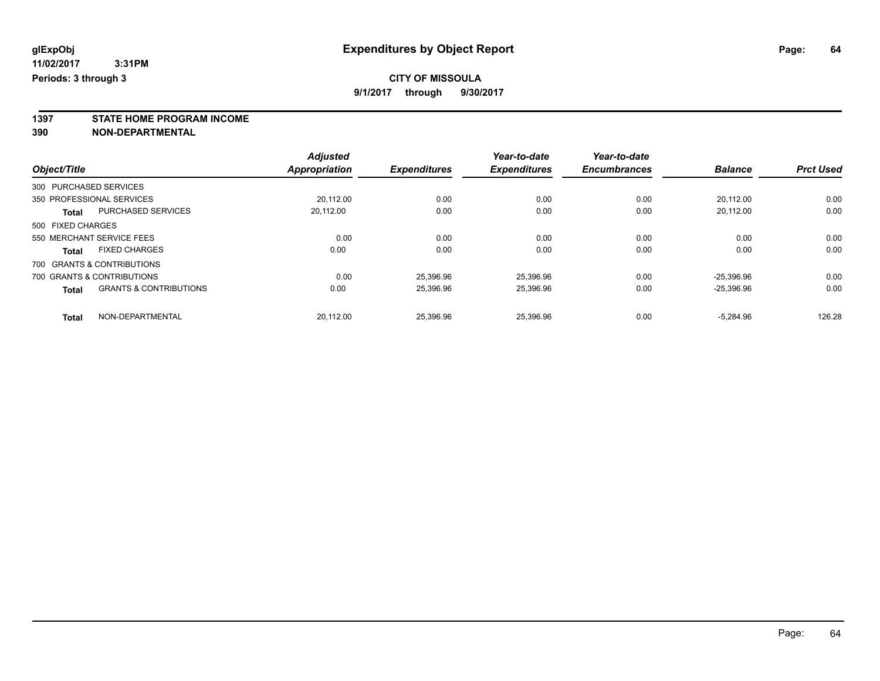**1397 STATE HOME PROGRAM INCOME**

**390 NON-DEPARTMENTAL**

|              |                                                   | <b>Adjusted</b>      |                     | Year-to-date        | Year-to-date        |                |                  |
|--------------|---------------------------------------------------|----------------------|---------------------|---------------------|---------------------|----------------|------------------|
| Object/Title |                                                   | <b>Appropriation</b> | <b>Expenditures</b> | <b>Expenditures</b> | <b>Encumbrances</b> | <b>Balance</b> | <b>Prct Used</b> |
|              | 300 PURCHASED SERVICES                            |                      |                     |                     |                     |                |                  |
|              | 350 PROFESSIONAL SERVICES                         | 20.112.00            | 0.00                | 0.00                | 0.00                | 20,112.00      | 0.00             |
|              | <b>PURCHASED SERVICES</b><br><b>Total</b>         | 20,112.00            | 0.00                | 0.00                | 0.00                | 20,112.00      | 0.00             |
|              | 500 FIXED CHARGES                                 |                      |                     |                     |                     |                |                  |
|              | 550 MERCHANT SERVICE FEES                         | 0.00                 | 0.00                | 0.00                | 0.00                | 0.00           | 0.00             |
|              | <b>FIXED CHARGES</b><br><b>Total</b>              | 0.00                 | 0.00                | 0.00                | 0.00                | 0.00           | 0.00             |
|              | 700 GRANTS & CONTRIBUTIONS                        |                      |                     |                     |                     |                |                  |
|              | 700 GRANTS & CONTRIBUTIONS                        | 0.00                 | 25.396.96           | 25.396.96           | 0.00                | $-25.396.96$   | 0.00             |
|              | <b>GRANTS &amp; CONTRIBUTIONS</b><br><b>Total</b> | 0.00                 | 25,396.96           | 25,396.96           | 0.00                | $-25,396.96$   | 0.00             |
|              | NON-DEPARTMENTAL<br><b>Total</b>                  | 20.112.00            | 25.396.96           | 25.396.96           | 0.00                | $-5.284.96$    | 126.28           |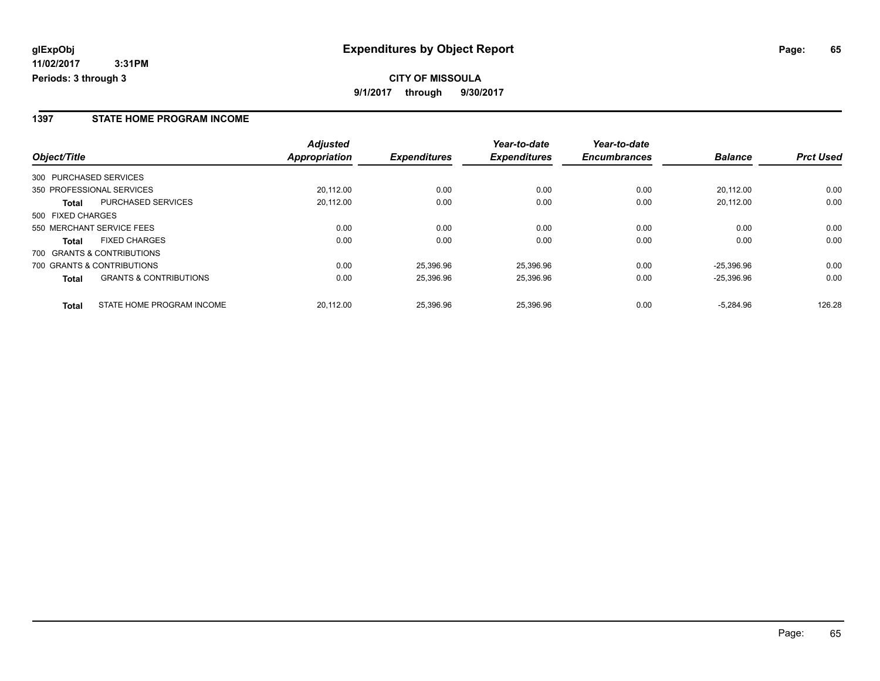### **1397 STATE HOME PROGRAM INCOME**

|                                                   | <b>Adjusted</b> |                     | Year-to-date        | Year-to-date        |                |                  |
|---------------------------------------------------|-----------------|---------------------|---------------------|---------------------|----------------|------------------|
| Object/Title                                      | Appropriation   | <b>Expenditures</b> | <b>Expenditures</b> | <b>Encumbrances</b> | <b>Balance</b> | <b>Prct Used</b> |
| 300 PURCHASED SERVICES                            |                 |                     |                     |                     |                |                  |
| 350 PROFESSIONAL SERVICES                         | 20,112.00       | 0.00                | 0.00                | 0.00                | 20.112.00      | 0.00             |
| <b>PURCHASED SERVICES</b><br>Total                | 20,112.00       | 0.00                | 0.00                | 0.00                | 20.112.00      | 0.00             |
| 500 FIXED CHARGES                                 |                 |                     |                     |                     |                |                  |
| 550 MERCHANT SERVICE FEES                         | 0.00            | 0.00                | 0.00                | 0.00                | 0.00           | 0.00             |
| <b>FIXED CHARGES</b><br><b>Total</b>              | 0.00            | 0.00                | 0.00                | 0.00                | 0.00           | 0.00             |
| 700 GRANTS & CONTRIBUTIONS                        |                 |                     |                     |                     |                |                  |
| 700 GRANTS & CONTRIBUTIONS                        | 0.00            | 25,396.96           | 25.396.96           | 0.00                | $-25.396.96$   | 0.00             |
| <b>GRANTS &amp; CONTRIBUTIONS</b><br><b>Total</b> | 0.00            | 25,396.96           | 25,396.96           | 0.00                | $-25.396.96$   | 0.00             |
| STATE HOME PROGRAM INCOME<br><b>Total</b>         | 20.112.00       | 25,396.96           | 25.396.96           | 0.00                | $-5.284.96$    | 126.28           |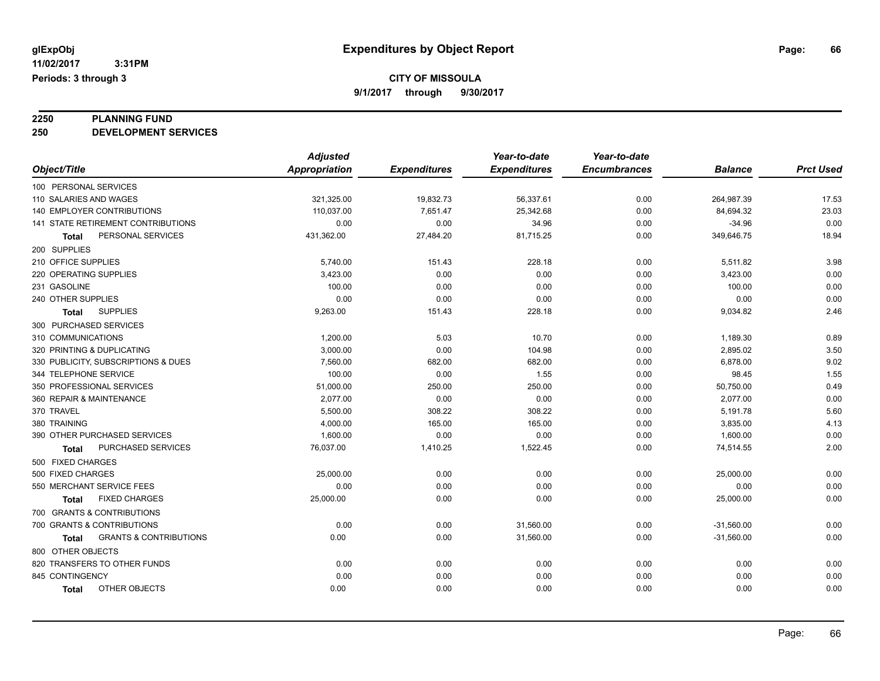**2250 PLANNING FUND 250 DEVELOPMENT SERVICES**

|                                            | <b>Adjusted</b>      |                     | Year-to-date        | Year-to-date        |                |                  |
|--------------------------------------------|----------------------|---------------------|---------------------|---------------------|----------------|------------------|
| Object/Title                               | <b>Appropriation</b> | <b>Expenditures</b> | <b>Expenditures</b> | <b>Encumbrances</b> | <b>Balance</b> | <b>Prct Used</b> |
| 100 PERSONAL SERVICES                      |                      |                     |                     |                     |                |                  |
| 110 SALARIES AND WAGES                     | 321,325.00           | 19,832.73           | 56,337.61           | 0.00                | 264,987.39     | 17.53            |
| <b>140 EMPLOYER CONTRIBUTIONS</b>          | 110,037.00           | 7,651.47            | 25,342.68           | 0.00                | 84,694.32      | 23.03            |
| 141 STATE RETIREMENT CONTRIBUTIONS         | 0.00                 | 0.00                | 34.96               | 0.00                | $-34.96$       | 0.00             |
| PERSONAL SERVICES<br>Total                 | 431,362.00           | 27,484.20           | 81,715.25           | 0.00                | 349,646.75     | 18.94            |
| 200 SUPPLIES                               |                      |                     |                     |                     |                |                  |
| 210 OFFICE SUPPLIES                        | 5,740.00             | 151.43              | 228.18              | 0.00                | 5,511.82       | 3.98             |
| 220 OPERATING SUPPLIES                     | 3,423.00             | 0.00                | 0.00                | 0.00                | 3,423.00       | 0.00             |
| 231 GASOLINE                               | 100.00               | 0.00                | 0.00                | 0.00                | 100.00         | 0.00             |
| 240 OTHER SUPPLIES                         | 0.00                 | 0.00                | 0.00                | 0.00                | 0.00           | 0.00             |
| <b>SUPPLIES</b><br><b>Total</b>            | 9,263.00             | 151.43              | 228.18              | 0.00                | 9,034.82       | 2.46             |
| 300 PURCHASED SERVICES                     |                      |                     |                     |                     |                |                  |
| 310 COMMUNICATIONS                         | 1,200.00             | 5.03                | 10.70               | 0.00                | 1,189.30       | 0.89             |
| 320 PRINTING & DUPLICATING                 | 3,000.00             | 0.00                | 104.98              | 0.00                | 2,895.02       | 3.50             |
| 330 PUBLICITY, SUBSCRIPTIONS & DUES        | 7,560.00             | 682.00              | 682.00              | 0.00                | 6,878.00       | 9.02             |
| 344 TELEPHONE SERVICE                      | 100.00               | 0.00                | 1.55                | 0.00                | 98.45          | 1.55             |
| 350 PROFESSIONAL SERVICES                  | 51,000.00            | 250.00              | 250.00              | 0.00                | 50,750.00      | 0.49             |
| 360 REPAIR & MAINTENANCE                   | 2,077.00             | 0.00                | 0.00                | 0.00                | 2,077.00       | 0.00             |
| 370 TRAVEL                                 | 5,500.00             | 308.22              | 308.22              | 0.00                | 5,191.78       | 5.60             |
| 380 TRAINING                               | 4,000.00             | 165.00              | 165.00              | 0.00                | 3,835.00       | 4.13             |
| 390 OTHER PURCHASED SERVICES               | 1,600.00             | 0.00                | 0.00                | 0.00                | 1,600.00       | 0.00             |
| <b>PURCHASED SERVICES</b><br>Total         | 76,037.00            | 1,410.25            | 1,522.45            | 0.00                | 74,514.55      | 2.00             |
| 500 FIXED CHARGES                          |                      |                     |                     |                     |                |                  |
| 500 FIXED CHARGES                          | 25,000.00            | 0.00                | 0.00                | 0.00                | 25,000.00      | 0.00             |
| 550 MERCHANT SERVICE FEES                  | 0.00                 | 0.00                | 0.00                | 0.00                | 0.00           | 0.00             |
| <b>FIXED CHARGES</b><br>Total              | 25,000.00            | 0.00                | 0.00                | 0.00                | 25,000.00      | 0.00             |
| 700 GRANTS & CONTRIBUTIONS                 |                      |                     |                     |                     |                |                  |
| 700 GRANTS & CONTRIBUTIONS                 | 0.00                 | 0.00                | 31,560.00           | 0.00                | $-31,560.00$   | 0.00             |
| <b>GRANTS &amp; CONTRIBUTIONS</b><br>Total | 0.00                 | 0.00                | 31,560.00           | 0.00                | $-31,560.00$   | 0.00             |
| 800 OTHER OBJECTS                          |                      |                     |                     |                     |                |                  |
| 820 TRANSFERS TO OTHER FUNDS               | 0.00                 | 0.00                | 0.00                | 0.00                | 0.00           | 0.00             |
| 845 CONTINGENCY                            | 0.00                 | 0.00                | 0.00                | 0.00                | 0.00           | 0.00             |
| OTHER OBJECTS<br><b>Total</b>              | 0.00                 | 0.00                | 0.00                | 0.00                | 0.00           | 0.00             |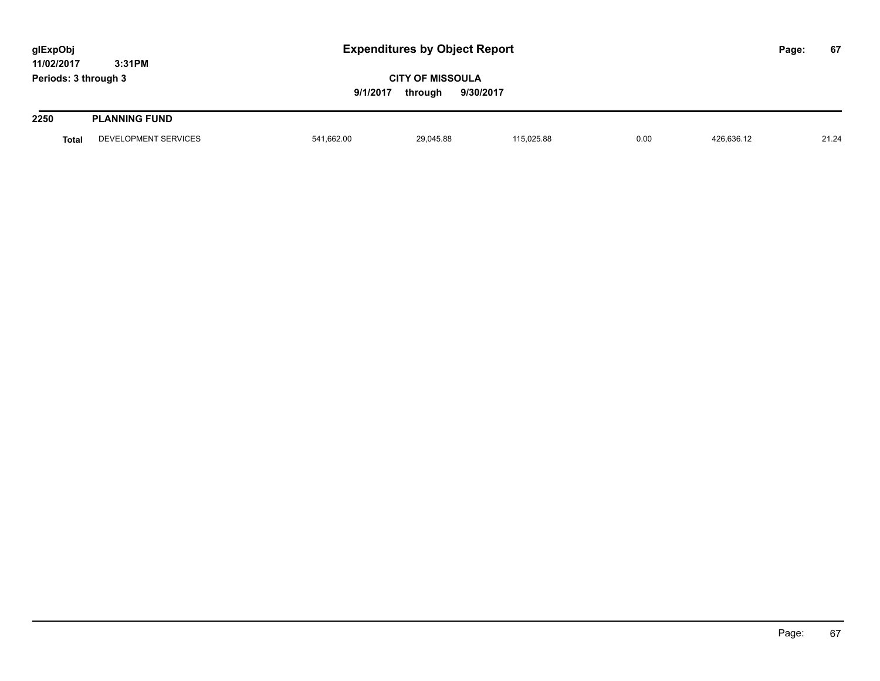| glExpObj             |                      |            | <b>Expenditures by Object Report</b>            |            |      |            |  |       |
|----------------------|----------------------|------------|-------------------------------------------------|------------|------|------------|--|-------|
| 11/02/2017           | 3:31PM               |            |                                                 |            |      |            |  |       |
| Periods: 3 through 3 |                      | 9/1/2017   | <b>CITY OF MISSOULA</b><br>9/30/2017<br>through |            |      |            |  |       |
| 2250                 | <b>PLANNING FUND</b> |            |                                                 |            |      |            |  |       |
| <b>Total</b>         | DEVELOPMENT SERVICES | 541,662.00 | 29,045.88                                       | 115,025.88 | 0.00 | 426,636.12 |  | 21.24 |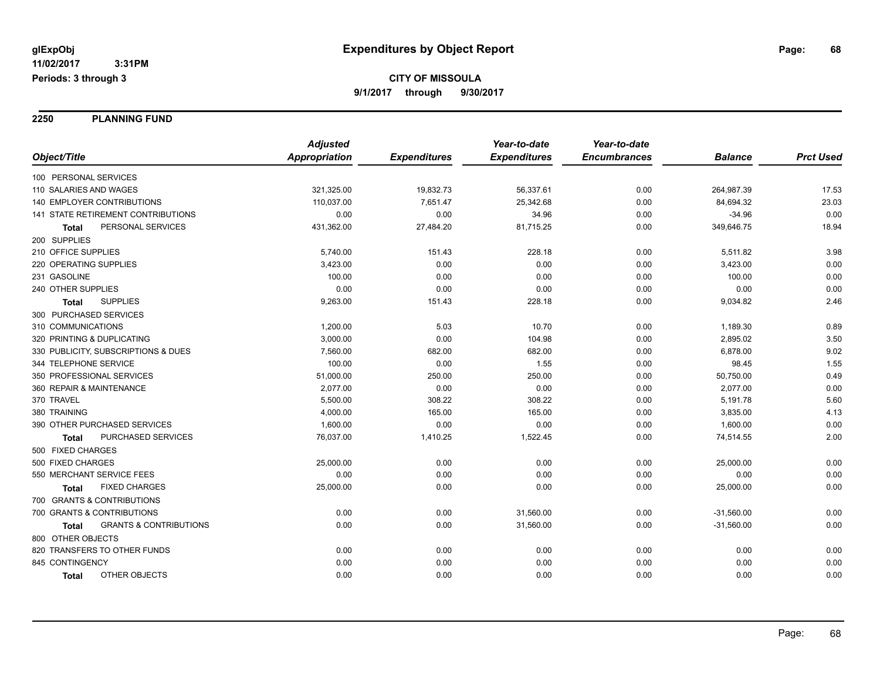**2250 PLANNING FUND**

|                                                   | <b>Adjusted</b> |                     | Year-to-date        | Year-to-date        |                |                  |
|---------------------------------------------------|-----------------|---------------------|---------------------|---------------------|----------------|------------------|
| Object/Title                                      | Appropriation   | <b>Expenditures</b> | <b>Expenditures</b> | <b>Encumbrances</b> | <b>Balance</b> | <b>Prct Used</b> |
| 100 PERSONAL SERVICES                             |                 |                     |                     |                     |                |                  |
| 110 SALARIES AND WAGES                            | 321,325.00      | 19,832.73           | 56,337.61           | 0.00                | 264,987.39     | 17.53            |
| <b>140 EMPLOYER CONTRIBUTIONS</b>                 | 110,037.00      | 7,651.47            | 25,342.68           | 0.00                | 84,694.32      | 23.03            |
| 141 STATE RETIREMENT CONTRIBUTIONS                | 0.00            | 0.00                | 34.96               | 0.00                | $-34.96$       | 0.00             |
| PERSONAL SERVICES<br><b>Total</b>                 | 431,362.00      | 27,484.20           | 81,715.25           | 0.00                | 349,646.75     | 18.94            |
| 200 SUPPLIES                                      |                 |                     |                     |                     |                |                  |
| 210 OFFICE SUPPLIES                               | 5,740.00        | 151.43              | 228.18              | 0.00                | 5,511.82       | 3.98             |
| 220 OPERATING SUPPLIES                            | 3,423.00        | 0.00                | 0.00                | 0.00                | 3,423.00       | 0.00             |
| 231 GASOLINE                                      | 100.00          | 0.00                | 0.00                | 0.00                | 100.00         | 0.00             |
| 240 OTHER SUPPLIES                                | 0.00            | 0.00                | 0.00                | 0.00                | 0.00           | 0.00             |
| <b>SUPPLIES</b><br>Total                          | 9,263.00        | 151.43              | 228.18              | 0.00                | 9,034.82       | 2.46             |
| 300 PURCHASED SERVICES                            |                 |                     |                     |                     |                |                  |
| 310 COMMUNICATIONS                                | 1,200.00        | 5.03                | 10.70               | 0.00                | 1,189.30       | 0.89             |
| 320 PRINTING & DUPLICATING                        | 3,000.00        | 0.00                | 104.98              | 0.00                | 2,895.02       | 3.50             |
| 330 PUBLICITY, SUBSCRIPTIONS & DUES               | 7,560.00        | 682.00              | 682.00              | 0.00                | 6,878.00       | 9.02             |
| 344 TELEPHONE SERVICE                             | 100.00          | 0.00                | 1.55                | 0.00                | 98.45          | 1.55             |
| 350 PROFESSIONAL SERVICES                         | 51,000.00       | 250.00              | 250.00              | 0.00                | 50,750.00      | 0.49             |
| 360 REPAIR & MAINTENANCE                          | 2,077.00        | 0.00                | 0.00                | 0.00                | 2,077.00       | 0.00             |
| 370 TRAVEL                                        | 5,500.00        | 308.22              | 308.22              | 0.00                | 5,191.78       | 5.60             |
| 380 TRAINING                                      | 4,000.00        | 165.00              | 165.00              | 0.00                | 3,835.00       | 4.13             |
| 390 OTHER PURCHASED SERVICES                      | 1,600.00        | 0.00                | 0.00                | 0.00                | 1,600.00       | 0.00             |
| PURCHASED SERVICES<br><b>Total</b>                | 76,037.00       | 1,410.25            | 1,522.45            | 0.00                | 74,514.55      | 2.00             |
| 500 FIXED CHARGES                                 |                 |                     |                     |                     |                |                  |
| 500 FIXED CHARGES                                 | 25,000.00       | 0.00                | 0.00                | 0.00                | 25,000.00      | 0.00             |
| 550 MERCHANT SERVICE FEES                         | 0.00            | 0.00                | 0.00                | 0.00                | 0.00           | 0.00             |
| <b>FIXED CHARGES</b><br>Total                     | 25,000.00       | 0.00                | 0.00                | 0.00                | 25,000.00      | 0.00             |
| 700 GRANTS & CONTRIBUTIONS                        |                 |                     |                     |                     |                |                  |
| 700 GRANTS & CONTRIBUTIONS                        | 0.00            | 0.00                | 31,560.00           | 0.00                | $-31,560.00$   | 0.00             |
| <b>GRANTS &amp; CONTRIBUTIONS</b><br><b>Total</b> | 0.00            | 0.00                | 31,560.00           | 0.00                | $-31,560.00$   | 0.00             |
| 800 OTHER OBJECTS                                 |                 |                     |                     |                     |                |                  |
| 820 TRANSFERS TO OTHER FUNDS                      | 0.00            | 0.00                | 0.00                | 0.00                | 0.00           | 0.00             |
| 845 CONTINGENCY                                   | 0.00            | 0.00                | 0.00                | 0.00                | 0.00           | 0.00             |
| OTHER OBJECTS<br><b>Total</b>                     | 0.00            | 0.00                | 0.00                | 0.00                | 0.00           | 0.00             |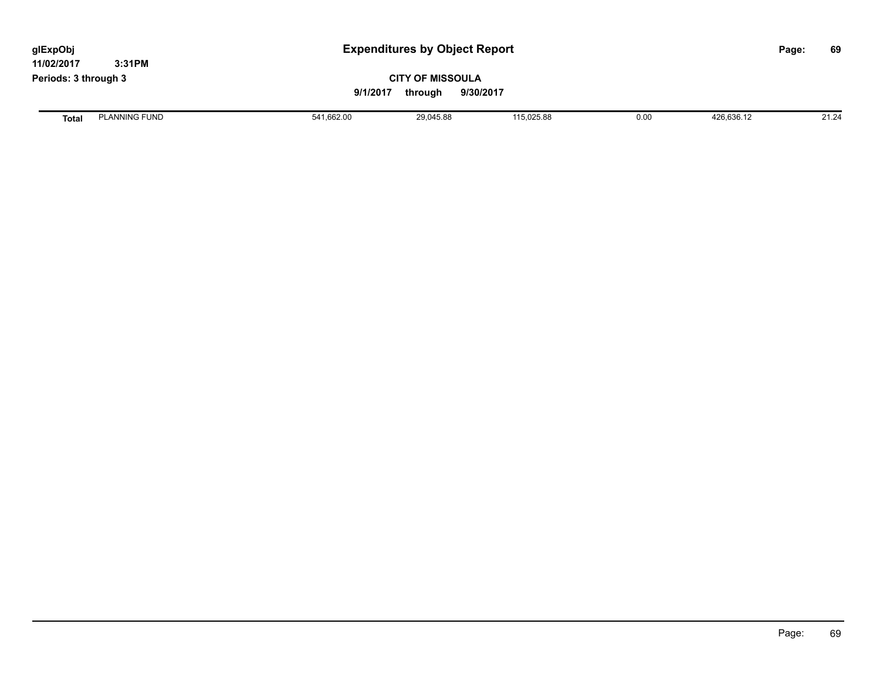| glExpObj<br>11/02/2017 | 3:31PM               |            | <b>Expenditures by Object Report</b>            |            |      |            |  | 69    |
|------------------------|----------------------|------------|-------------------------------------------------|------------|------|------------|--|-------|
| Periods: 3 through 3   |                      | 9/1/2017   | <b>CITY OF MISSOULA</b><br>9/30/2017<br>through |            |      |            |  |       |
| <b>Total</b>           | <b>PLANNING FUND</b> | 541,662.00 | 29,045.88                                       | 115,025.88 | 0.00 | 426,636.12 |  | 21.24 |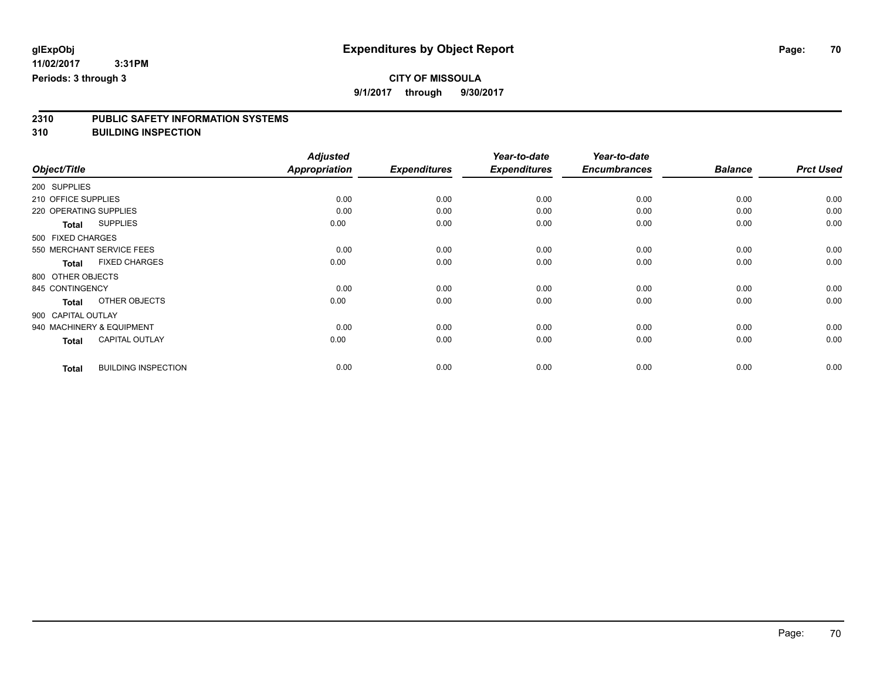**9/1/2017 through 9/30/2017**

# **2310 PUBLIC SAFETY INFORMATION SYSTEMS**

**310 BUILDING INSPECTION**

|                     |                            | <b>Adjusted</b>      |                     | Year-to-date        | Year-to-date        |                |                  |
|---------------------|----------------------------|----------------------|---------------------|---------------------|---------------------|----------------|------------------|
| Object/Title        |                            | <b>Appropriation</b> | <b>Expenditures</b> | <b>Expenditures</b> | <b>Encumbrances</b> | <b>Balance</b> | <b>Prct Used</b> |
| 200 SUPPLIES        |                            |                      |                     |                     |                     |                |                  |
| 210 OFFICE SUPPLIES |                            | 0.00                 | 0.00                | 0.00                | 0.00                | 0.00           | 0.00             |
|                     | 220 OPERATING SUPPLIES     | 0.00                 | 0.00                | 0.00                | 0.00                | 0.00           | 0.00             |
| <b>Total</b>        | <b>SUPPLIES</b>            | 0.00                 | 0.00                | 0.00                | 0.00                | 0.00           | 0.00             |
| 500 FIXED CHARGES   |                            |                      |                     |                     |                     |                |                  |
|                     | 550 MERCHANT SERVICE FEES  | 0.00                 | 0.00                | 0.00                | 0.00                | 0.00           | 0.00             |
| <b>Total</b>        | <b>FIXED CHARGES</b>       | 0.00                 | 0.00                | 0.00                | 0.00                | 0.00           | 0.00             |
| 800 OTHER OBJECTS   |                            |                      |                     |                     |                     |                |                  |
| 845 CONTINGENCY     |                            | 0.00                 | 0.00                | 0.00                | 0.00                | 0.00           | 0.00             |
| <b>Total</b>        | OTHER OBJECTS              | 0.00                 | 0.00                | 0.00                | 0.00                | 0.00           | 0.00             |
| 900 CAPITAL OUTLAY  |                            |                      |                     |                     |                     |                |                  |
|                     | 940 MACHINERY & EQUIPMENT  | 0.00                 | 0.00                | 0.00                | 0.00                | 0.00           | 0.00             |
| <b>Total</b>        | <b>CAPITAL OUTLAY</b>      | 0.00                 | 0.00                | 0.00                | 0.00                | 0.00           | 0.00             |
| <b>Total</b>        | <b>BUILDING INSPECTION</b> | 0.00                 | 0.00                | 0.00                | 0.00                | 0.00           | 0.00             |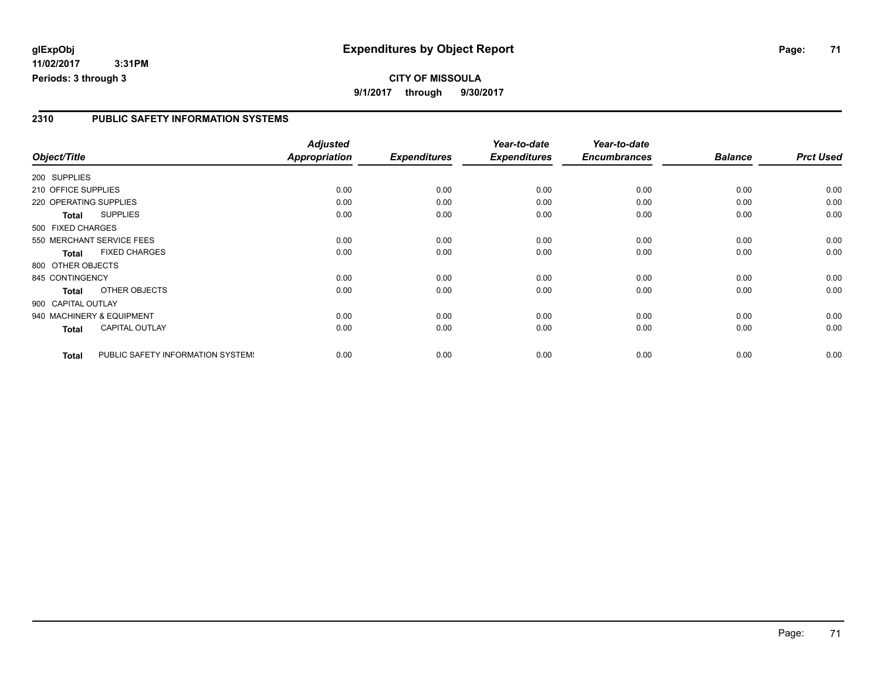## **glExpObj Expenditures by Object Report Page: 71**

**11/02/2017 3:31PM Periods: 3 through 3**

**CITY OF MISSOULA 9/1/2017 through 9/30/2017**

### **2310 PUBLIC SAFETY INFORMATION SYSTEMS**

|                        |                                   | <b>Adjusted</b> |                     | Year-to-date        | Year-to-date        |                |                  |
|------------------------|-----------------------------------|-----------------|---------------------|---------------------|---------------------|----------------|------------------|
| Object/Title           |                                   | Appropriation   | <b>Expenditures</b> | <b>Expenditures</b> | <b>Encumbrances</b> | <b>Balance</b> | <b>Prct Used</b> |
| 200 SUPPLIES           |                                   |                 |                     |                     |                     |                |                  |
| 210 OFFICE SUPPLIES    |                                   | 0.00            | 0.00                | 0.00                | 0.00                | 0.00           | 0.00             |
| 220 OPERATING SUPPLIES |                                   | 0.00            | 0.00                | 0.00                | 0.00                | 0.00           | 0.00             |
| <b>Total</b>           | <b>SUPPLIES</b>                   | 0.00            | 0.00                | 0.00                | 0.00                | 0.00           | 0.00             |
| 500 FIXED CHARGES      |                                   |                 |                     |                     |                     |                |                  |
|                        | 550 MERCHANT SERVICE FEES         | 0.00            | 0.00                | 0.00                | 0.00                | 0.00           | 0.00             |
| <b>Total</b>           | <b>FIXED CHARGES</b>              | 0.00            | 0.00                | 0.00                | 0.00                | 0.00           | 0.00             |
| 800 OTHER OBJECTS      |                                   |                 |                     |                     |                     |                |                  |
| 845 CONTINGENCY        |                                   | 0.00            | 0.00                | 0.00                | 0.00                | 0.00           | 0.00             |
| <b>Total</b>           | <b>OTHER OBJECTS</b>              | 0.00            | 0.00                | 0.00                | 0.00                | 0.00           | 0.00             |
| 900 CAPITAL OUTLAY     |                                   |                 |                     |                     |                     |                |                  |
|                        | 940 MACHINERY & EQUIPMENT         | 0.00            | 0.00                | 0.00                | 0.00                | 0.00           | 0.00             |
| <b>Total</b>           | <b>CAPITAL OUTLAY</b>             | 0.00            | 0.00                | 0.00                | 0.00                | 0.00           | 0.00             |
| <b>Total</b>           | PUBLIC SAFETY INFORMATION SYSTEM! | 0.00            | 0.00                | 0.00                | 0.00                | 0.00           | 0.00             |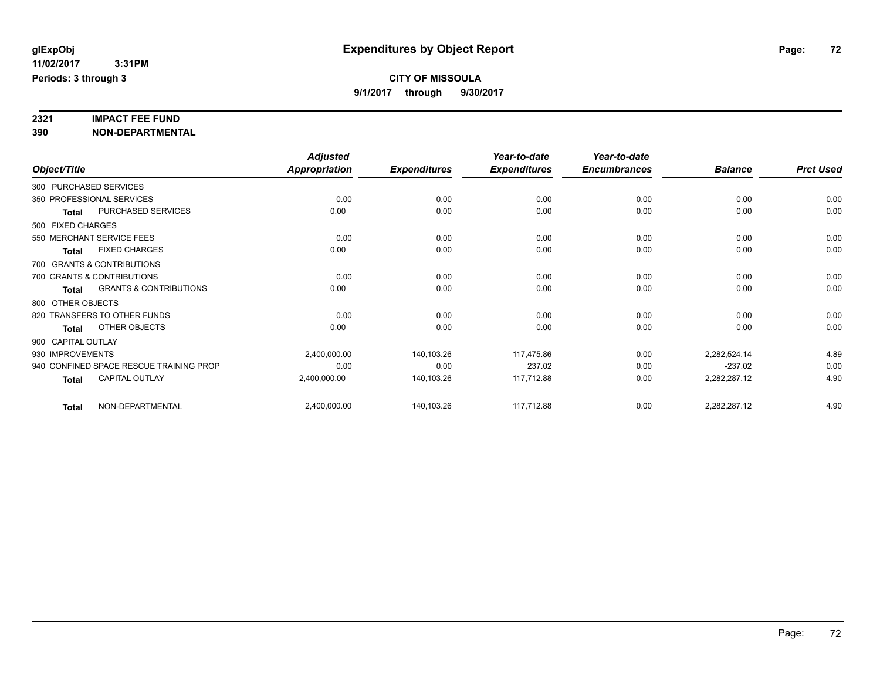# **2321 IMPACT FEE FUND**

**390 NON-DEPARTMENTAL**

|                    |                                         | <b>Adjusted</b>      |                     | Year-to-date        | Year-to-date        |                |                  |
|--------------------|-----------------------------------------|----------------------|---------------------|---------------------|---------------------|----------------|------------------|
| Object/Title       |                                         | <b>Appropriation</b> | <b>Expenditures</b> | <b>Expenditures</b> | <b>Encumbrances</b> | <b>Balance</b> | <b>Prct Used</b> |
|                    | 300 PURCHASED SERVICES                  |                      |                     |                     |                     |                |                  |
|                    | 350 PROFESSIONAL SERVICES               | 0.00                 | 0.00                | 0.00                | 0.00                | 0.00           | 0.00             |
| <b>Total</b>       | <b>PURCHASED SERVICES</b>               | 0.00                 | 0.00                | 0.00                | 0.00                | 0.00           | 0.00             |
| 500 FIXED CHARGES  |                                         |                      |                     |                     |                     |                |                  |
|                    | 550 MERCHANT SERVICE FEES               | 0.00                 | 0.00                | 0.00                | 0.00                | 0.00           | 0.00             |
| <b>Total</b>       | <b>FIXED CHARGES</b>                    | 0.00                 | 0.00                | 0.00                | 0.00                | 0.00           | 0.00             |
|                    | 700 GRANTS & CONTRIBUTIONS              |                      |                     |                     |                     |                |                  |
|                    | 700 GRANTS & CONTRIBUTIONS              | 0.00                 | 0.00                | 0.00                | 0.00                | 0.00           | 0.00             |
| <b>Total</b>       | <b>GRANTS &amp; CONTRIBUTIONS</b>       | 0.00                 | 0.00                | 0.00                | 0.00                | 0.00           | 0.00             |
| 800 OTHER OBJECTS  |                                         |                      |                     |                     |                     |                |                  |
|                    | 820 TRANSFERS TO OTHER FUNDS            | 0.00                 | 0.00                | 0.00                | 0.00                | 0.00           | 0.00             |
| <b>Total</b>       | OTHER OBJECTS                           | 0.00                 | 0.00                | 0.00                | 0.00                | 0.00           | 0.00             |
| 900 CAPITAL OUTLAY |                                         |                      |                     |                     |                     |                |                  |
| 930 IMPROVEMENTS   |                                         | 2,400,000.00         | 140,103.26          | 117,475.86          | 0.00                | 2,282,524.14   | 4.89             |
|                    | 940 CONFINED SPACE RESCUE TRAINING PROP | 0.00                 | 0.00                | 237.02              | 0.00                | $-237.02$      | 0.00             |
| <b>Total</b>       | CAPITAL OUTLAY                          | 2,400,000.00         | 140,103.26          | 117,712.88          | 0.00                | 2,282,287.12   | 4.90             |
| <b>Total</b>       | NON-DEPARTMENTAL                        | 2,400,000.00         | 140,103.26          | 117,712.88          | 0.00                | 2,282,287.12   | 4.90             |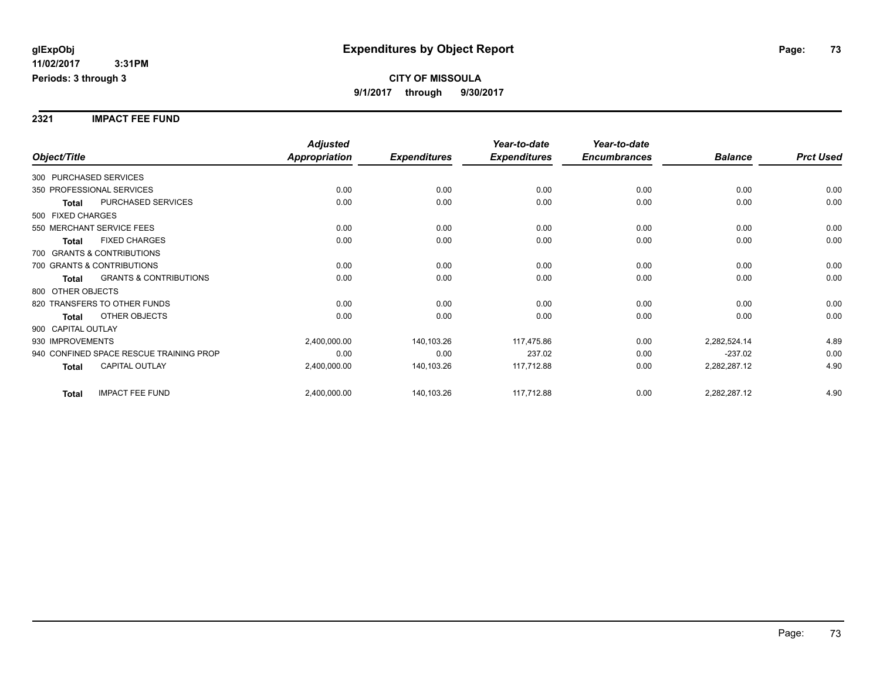**2321 IMPACT FEE FUND**

|                                                   | <b>Adjusted</b>      |                     | Year-to-date        | Year-to-date        |                |                  |
|---------------------------------------------------|----------------------|---------------------|---------------------|---------------------|----------------|------------------|
| Object/Title                                      | <b>Appropriation</b> | <b>Expenditures</b> | <b>Expenditures</b> | <b>Encumbrances</b> | <b>Balance</b> | <b>Prct Used</b> |
| 300 PURCHASED SERVICES                            |                      |                     |                     |                     |                |                  |
| 350 PROFESSIONAL SERVICES                         | 0.00                 | 0.00                | 0.00                | 0.00                | 0.00           | 0.00             |
| PURCHASED SERVICES<br><b>Total</b>                | 0.00                 | 0.00                | 0.00                | 0.00                | 0.00           | 0.00             |
| 500 FIXED CHARGES                                 |                      |                     |                     |                     |                |                  |
| 550 MERCHANT SERVICE FEES                         | 0.00                 | 0.00                | 0.00                | 0.00                | 0.00           | 0.00             |
| <b>FIXED CHARGES</b><br>Total                     | 0.00                 | 0.00                | 0.00                | 0.00                | 0.00           | 0.00             |
| 700 GRANTS & CONTRIBUTIONS                        |                      |                     |                     |                     |                |                  |
| 700 GRANTS & CONTRIBUTIONS                        | 0.00                 | 0.00                | 0.00                | 0.00                | 0.00           | 0.00             |
| <b>GRANTS &amp; CONTRIBUTIONS</b><br><b>Total</b> | 0.00                 | 0.00                | 0.00                | 0.00                | 0.00           | 0.00             |
| 800 OTHER OBJECTS                                 |                      |                     |                     |                     |                |                  |
| 820 TRANSFERS TO OTHER FUNDS                      | 0.00                 | 0.00                | 0.00                | 0.00                | 0.00           | 0.00             |
| OTHER OBJECTS<br><b>Total</b>                     | 0.00                 | 0.00                | 0.00                | 0.00                | 0.00           | 0.00             |
| 900 CAPITAL OUTLAY                                |                      |                     |                     |                     |                |                  |
| 930 IMPROVEMENTS                                  | 2,400,000.00         | 140,103.26          | 117,475.86          | 0.00                | 2,282,524.14   | 4.89             |
| 940 CONFINED SPACE RESCUE TRAINING PROP           | 0.00                 | 0.00                | 237.02              | 0.00                | $-237.02$      | 0.00             |
| <b>CAPITAL OUTLAY</b><br><b>Total</b>             | 2,400,000.00         | 140,103.26          | 117,712.88          | 0.00                | 2,282,287.12   | 4.90             |
| <b>IMPACT FEE FUND</b><br><b>Total</b>            | 2,400,000.00         | 140,103.26          | 117,712.88          | 0.00                | 2,282,287.12   | 4.90             |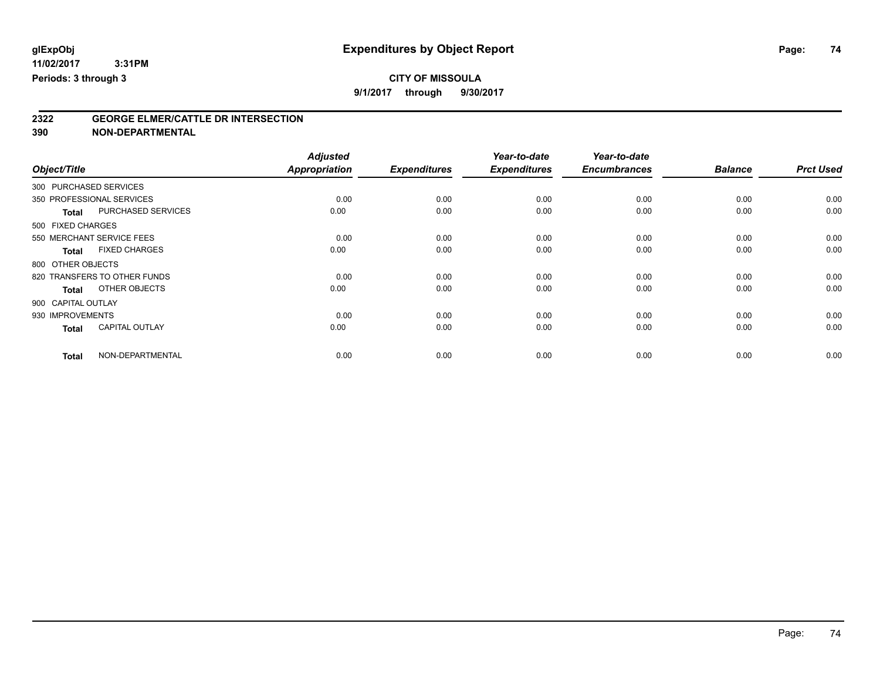# **CITY OF MISSOULA**

**9/1/2017 through 9/30/2017**

# **2322 GEORGE ELMER/CATTLE DR INTERSECTION**

**390 NON-DEPARTMENTAL**

|                        |                              | <b>Adjusted</b> |                     | Year-to-date        | Year-to-date        |                |                  |
|------------------------|------------------------------|-----------------|---------------------|---------------------|---------------------|----------------|------------------|
| Object/Title           |                              | Appropriation   | <b>Expenditures</b> | <b>Expenditures</b> | <b>Encumbrances</b> | <b>Balance</b> | <b>Prct Used</b> |
| 300 PURCHASED SERVICES |                              |                 |                     |                     |                     |                |                  |
|                        | 350 PROFESSIONAL SERVICES    | 0.00            | 0.00                | 0.00                | 0.00                | 0.00           | 0.00             |
| <b>Total</b>           | PURCHASED SERVICES           | 0.00            | 0.00                | 0.00                | 0.00                | 0.00           | 0.00             |
| 500 FIXED CHARGES      |                              |                 |                     |                     |                     |                |                  |
|                        | 550 MERCHANT SERVICE FEES    | 0.00            | 0.00                | 0.00                | 0.00                | 0.00           | 0.00             |
| <b>Total</b>           | <b>FIXED CHARGES</b>         | 0.00            | 0.00                | 0.00                | 0.00                | 0.00           | 0.00             |
| 800 OTHER OBJECTS      |                              |                 |                     |                     |                     |                |                  |
|                        | 820 TRANSFERS TO OTHER FUNDS | 0.00            | 0.00                | 0.00                | 0.00                | 0.00           | 0.00             |
| <b>Total</b>           | OTHER OBJECTS                | 0.00            | 0.00                | 0.00                | 0.00                | 0.00           | 0.00             |
| 900 CAPITAL OUTLAY     |                              |                 |                     |                     |                     |                |                  |
| 930 IMPROVEMENTS       |                              | 0.00            | 0.00                | 0.00                | 0.00                | 0.00           | 0.00             |
| <b>Total</b>           | <b>CAPITAL OUTLAY</b>        | 0.00            | 0.00                | 0.00                | 0.00                | 0.00           | 0.00             |
| <b>Total</b>           | NON-DEPARTMENTAL             | 0.00            | 0.00                | 0.00                | 0.00                | 0.00           | 0.00             |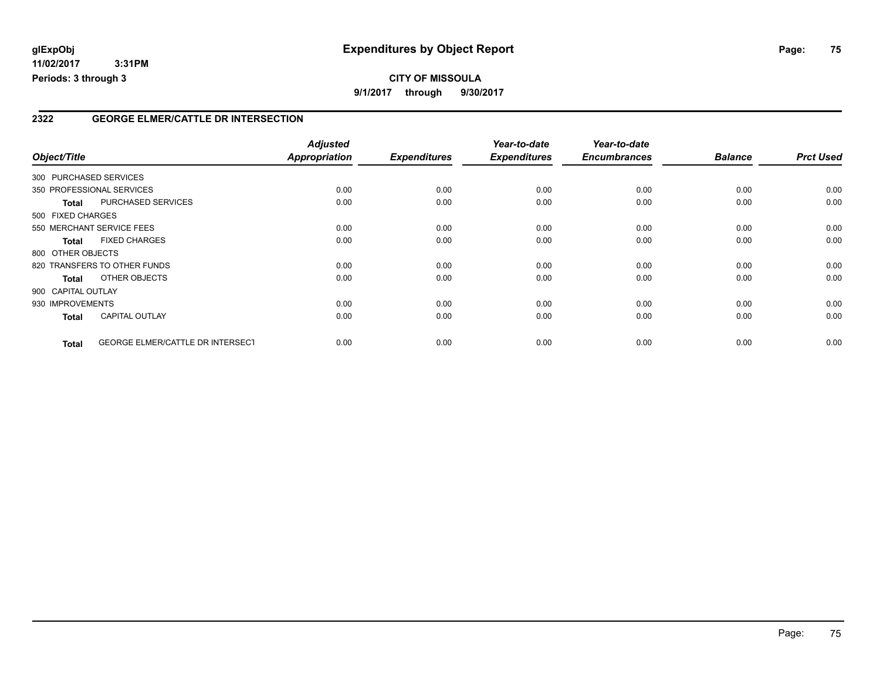# **2322 GEORGE ELMER/CATTLE DR INTERSECTION**

| Object/Title           |                                         | <b>Adjusted</b><br>Appropriation | <b>Expenditures</b> | Year-to-date<br><b>Expenditures</b> | Year-to-date<br><b>Encumbrances</b> | <b>Balance</b> | <b>Prct Used</b> |
|------------------------|-----------------------------------------|----------------------------------|---------------------|-------------------------------------|-------------------------------------|----------------|------------------|
| 300 PURCHASED SERVICES |                                         |                                  |                     |                                     |                                     |                |                  |
|                        | 350 PROFESSIONAL SERVICES               | 0.00                             | 0.00                | 0.00                                | 0.00                                | 0.00           | 0.00             |
| <b>Total</b>           | <b>PURCHASED SERVICES</b>               | 0.00                             | 0.00                | 0.00                                | 0.00                                | 0.00           | 0.00             |
| 500 FIXED CHARGES      |                                         |                                  |                     |                                     |                                     |                |                  |
|                        | 550 MERCHANT SERVICE FEES               | 0.00                             | 0.00                | 0.00                                | 0.00                                | 0.00           | 0.00             |
| <b>Total</b>           | <b>FIXED CHARGES</b>                    | 0.00                             | 0.00                | 0.00                                | 0.00                                | 0.00           | 0.00             |
| 800 OTHER OBJECTS      |                                         |                                  |                     |                                     |                                     |                |                  |
|                        | 820 TRANSFERS TO OTHER FUNDS            | 0.00                             | 0.00                | 0.00                                | 0.00                                | 0.00           | 0.00             |
| <b>Total</b>           | OTHER OBJECTS                           | 0.00                             | 0.00                | 0.00                                | 0.00                                | 0.00           | 0.00             |
| 900 CAPITAL OUTLAY     |                                         |                                  |                     |                                     |                                     |                |                  |
| 930 IMPROVEMENTS       |                                         | 0.00                             | 0.00                | 0.00                                | 0.00                                | 0.00           | 0.00             |
| <b>Total</b>           | <b>CAPITAL OUTLAY</b>                   | 0.00                             | 0.00                | 0.00                                | 0.00                                | 0.00           | 0.00             |
|                        |                                         |                                  |                     |                                     |                                     |                |                  |
| <b>Total</b>           | <b>GEORGE ELMER/CATTLE DR INTERSECT</b> | 0.00                             | 0.00                | 0.00                                | 0.00                                | 0.00           | 0.00             |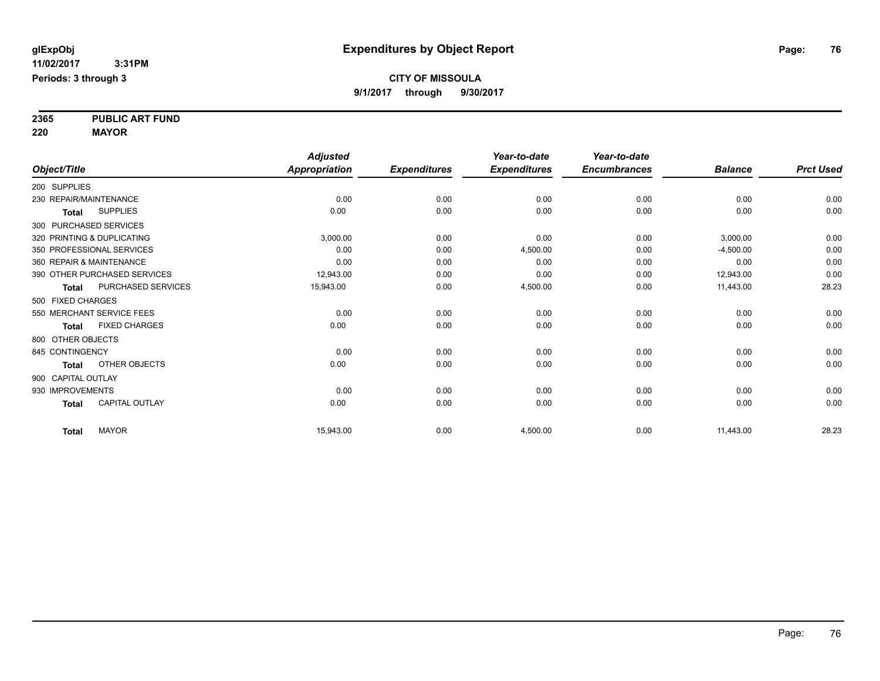**2365 PUBLIC ART FUND**

**220 MAYOR**

|                          |                              | <b>Adjusted</b> |                     | Year-to-date        | Year-to-date        |                |                  |
|--------------------------|------------------------------|-----------------|---------------------|---------------------|---------------------|----------------|------------------|
| Object/Title             |                              | Appropriation   | <b>Expenditures</b> | <b>Expenditures</b> | <b>Encumbrances</b> | <b>Balance</b> | <b>Prct Used</b> |
| 200 SUPPLIES             |                              |                 |                     |                     |                     |                |                  |
| 230 REPAIR/MAINTENANCE   |                              | 0.00            | 0.00                | 0.00                | 0.00                | 0.00           | 0.00             |
| <b>Total</b>             | <b>SUPPLIES</b>              | 0.00            | 0.00                | 0.00                | 0.00                | 0.00           | 0.00             |
| 300 PURCHASED SERVICES   |                              |                 |                     |                     |                     |                |                  |
|                          | 320 PRINTING & DUPLICATING   | 3,000.00        | 0.00                | 0.00                | 0.00                | 3,000.00       | 0.00             |
|                          | 350 PROFESSIONAL SERVICES    | 0.00            | 0.00                | 4,500.00            | 0.00                | $-4,500.00$    | 0.00             |
| 360 REPAIR & MAINTENANCE |                              | 0.00            | 0.00                | 0.00                | 0.00                | 0.00           | 0.00             |
|                          | 390 OTHER PURCHASED SERVICES | 12,943.00       | 0.00                | 0.00                | 0.00                | 12,943.00      | 0.00             |
| <b>Total</b>             | PURCHASED SERVICES           | 15,943.00       | 0.00                | 4,500.00            | 0.00                | 11,443.00      | 28.23            |
| 500 FIXED CHARGES        |                              |                 |                     |                     |                     |                |                  |
|                          | 550 MERCHANT SERVICE FEES    | 0.00            | 0.00                | 0.00                | 0.00                | 0.00           | 0.00             |
| <b>Total</b>             | <b>FIXED CHARGES</b>         | 0.00            | 0.00                | 0.00                | 0.00                | 0.00           | 0.00             |
| 800 OTHER OBJECTS        |                              |                 |                     |                     |                     |                |                  |
| 845 CONTINGENCY          |                              | 0.00            | 0.00                | 0.00                | 0.00                | 0.00           | 0.00             |
| Total                    | OTHER OBJECTS                | 0.00            | 0.00                | 0.00                | 0.00                | 0.00           | 0.00             |
| 900 CAPITAL OUTLAY       |                              |                 |                     |                     |                     |                |                  |
| 930 IMPROVEMENTS         |                              | 0.00            | 0.00                | 0.00                | 0.00                | 0.00           | 0.00             |
| <b>Total</b>             | <b>CAPITAL OUTLAY</b>        | 0.00            | 0.00                | 0.00                | 0.00                | 0.00           | 0.00             |
| <b>Total</b>             | <b>MAYOR</b>                 | 15,943.00       | 0.00                | 4,500.00            | 0.00                | 11,443.00      | 28.23            |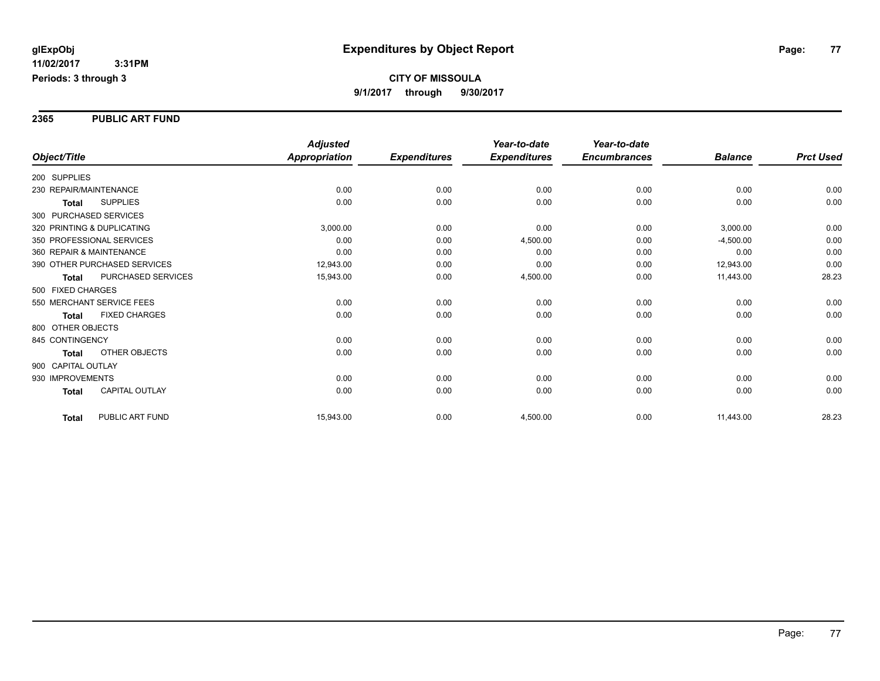### **2365 PUBLIC ART FUND**

|                                       | <b>Adjusted</b>      |                     | Year-to-date        | Year-to-date        |                |                  |
|---------------------------------------|----------------------|---------------------|---------------------|---------------------|----------------|------------------|
| Object/Title                          | <b>Appropriation</b> | <b>Expenditures</b> | <b>Expenditures</b> | <b>Encumbrances</b> | <b>Balance</b> | <b>Prct Used</b> |
| 200 SUPPLIES                          |                      |                     |                     |                     |                |                  |
| 230 REPAIR/MAINTENANCE                | 0.00                 | 0.00                | 0.00                | 0.00                | 0.00           | 0.00             |
| <b>SUPPLIES</b><br><b>Total</b>       | 0.00                 | 0.00                | 0.00                | 0.00                | 0.00           | 0.00             |
| 300 PURCHASED SERVICES                |                      |                     |                     |                     |                |                  |
| 320 PRINTING & DUPLICATING            | 3,000.00             | 0.00                | 0.00                | 0.00                | 3,000.00       | 0.00             |
| 350 PROFESSIONAL SERVICES             | 0.00                 | 0.00                | 4,500.00            | 0.00                | $-4,500.00$    | 0.00             |
| 360 REPAIR & MAINTENANCE              | 0.00                 | 0.00                | 0.00                | 0.00                | 0.00           | 0.00             |
| 390 OTHER PURCHASED SERVICES          | 12,943.00            | 0.00                | 0.00                | 0.00                | 12,943.00      | 0.00             |
| PURCHASED SERVICES<br><b>Total</b>    | 15,943.00            | 0.00                | 4,500.00            | 0.00                | 11,443.00      | 28.23            |
| 500 FIXED CHARGES                     |                      |                     |                     |                     |                |                  |
| 550 MERCHANT SERVICE FEES             | 0.00                 | 0.00                | 0.00                | 0.00                | 0.00           | 0.00             |
| <b>FIXED CHARGES</b><br><b>Total</b>  | 0.00                 | 0.00                | 0.00                | 0.00                | 0.00           | 0.00             |
| 800 OTHER OBJECTS                     |                      |                     |                     |                     |                |                  |
| 845 CONTINGENCY                       | 0.00                 | 0.00                | 0.00                | 0.00                | 0.00           | 0.00             |
| <b>OTHER OBJECTS</b><br><b>Total</b>  | 0.00                 | 0.00                | 0.00                | 0.00                | 0.00           | 0.00             |
| 900 CAPITAL OUTLAY                    |                      |                     |                     |                     |                |                  |
| 930 IMPROVEMENTS                      | 0.00                 | 0.00                | 0.00                | 0.00                | 0.00           | 0.00             |
| <b>CAPITAL OUTLAY</b><br><b>Total</b> | 0.00                 | 0.00                | 0.00                | 0.00                | 0.00           | 0.00             |
| PUBLIC ART FUND<br><b>Total</b>       | 15,943.00            | 0.00                | 4,500.00            | 0.00                | 11,443.00      | 28.23            |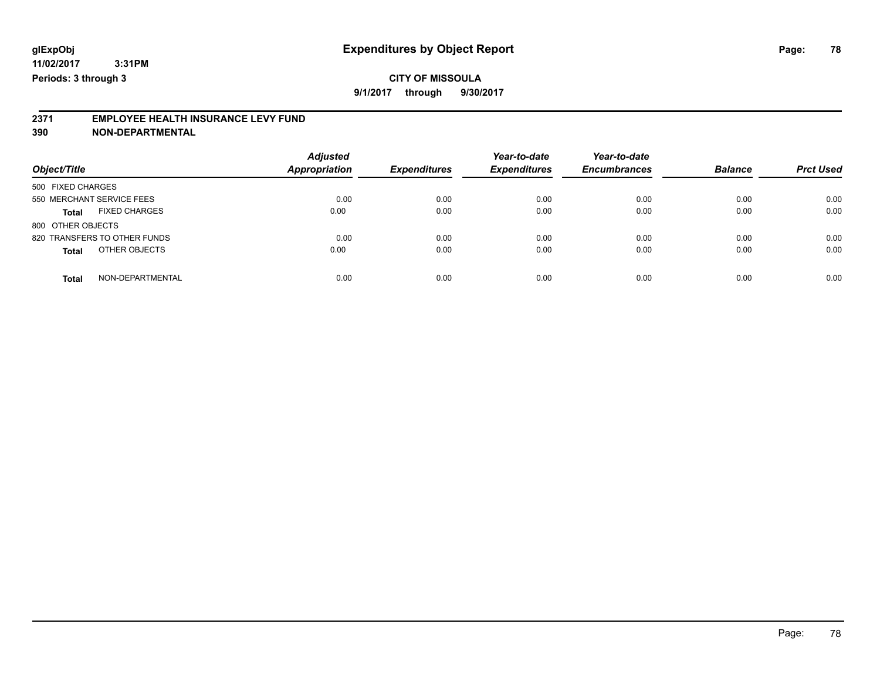# **CITY OF MISSOULA**

**9/1/2017 through 9/30/2017**

# **2371 EMPLOYEE HEALTH INSURANCE LEVY FUND**

**390 NON-DEPARTMENTAL**

| Object/Title                         | <b>Adjusted</b><br><b>Appropriation</b> | <b>Expenditures</b> | Year-to-date<br><b>Expenditures</b> | Year-to-date<br><b>Encumbrances</b> | <b>Balance</b> | <b>Prct Used</b> |
|--------------------------------------|-----------------------------------------|---------------------|-------------------------------------|-------------------------------------|----------------|------------------|
|                                      |                                         |                     |                                     |                                     |                |                  |
| 500 FIXED CHARGES                    |                                         |                     |                                     |                                     |                |                  |
| 550 MERCHANT SERVICE FEES            | 0.00                                    | 0.00                | 0.00                                | 0.00                                | 0.00           | 0.00             |
| <b>FIXED CHARGES</b><br><b>Total</b> | 0.00                                    | 0.00                | 0.00                                | 0.00                                | 0.00           | 0.00             |
| 800 OTHER OBJECTS                    |                                         |                     |                                     |                                     |                |                  |
| 820 TRANSFERS TO OTHER FUNDS         | 0.00                                    | 0.00                | 0.00                                | 0.00                                | 0.00           | 0.00             |
| OTHER OBJECTS<br><b>Total</b>        | 0.00                                    | 0.00                | 0.00                                | 0.00                                | 0.00           | 0.00             |
| NON-DEPARTMENTAL<br><b>Total</b>     | 0.00                                    | 0.00                | 0.00                                | 0.00                                | 0.00           | 0.00             |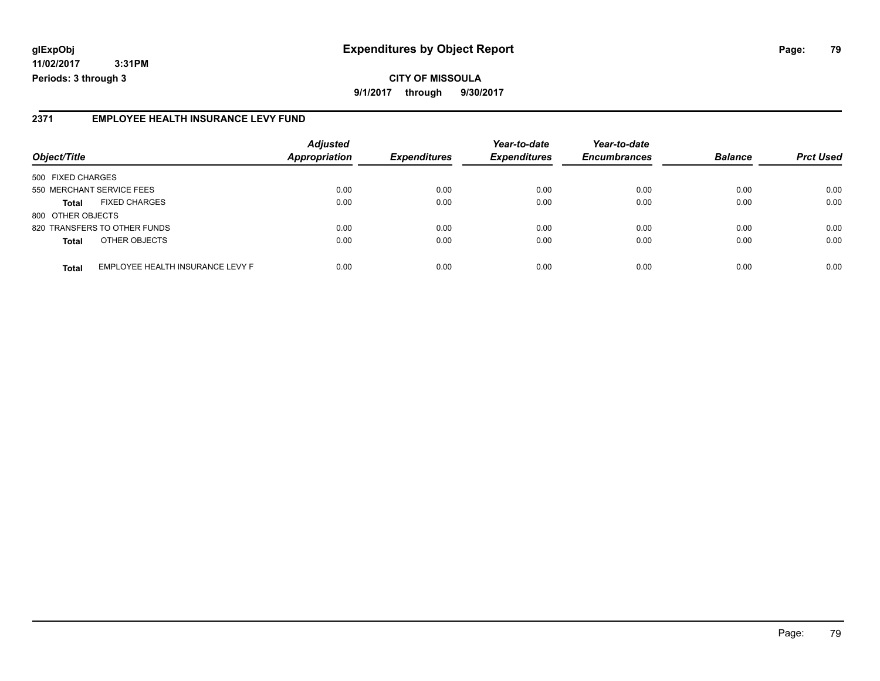# **glExpObj Expenditures by Object Report Page: 79**

**11/02/2017 3:31PM Periods: 3 through 3**

# **2371 EMPLOYEE HEALTH INSURANCE LEVY FUND**

|                           |                                  | <b>Adjusted</b>      |                     | Year-to-date        | Year-to-date        |                |                  |
|---------------------------|----------------------------------|----------------------|---------------------|---------------------|---------------------|----------------|------------------|
| Object/Title              |                                  | <b>Appropriation</b> | <b>Expenditures</b> | <b>Expenditures</b> | <b>Encumbrances</b> | <b>Balance</b> | <b>Prct Used</b> |
| 500 FIXED CHARGES         |                                  |                      |                     |                     |                     |                |                  |
| 550 MERCHANT SERVICE FEES |                                  | 0.00                 | 0.00                | 0.00                | 0.00                | 0.00           | 0.00             |
| <b>Total</b>              | <b>FIXED CHARGES</b>             | 0.00                 | 0.00                | 0.00                | 0.00                | 0.00           | 0.00             |
| 800 OTHER OBJECTS         |                                  |                      |                     |                     |                     |                |                  |
|                           | 820 TRANSFERS TO OTHER FUNDS     | 0.00                 | 0.00                | 0.00                | 0.00                | 0.00           | 0.00             |
| <b>Total</b>              | OTHER OBJECTS                    | 0.00                 | 0.00                | 0.00                | 0.00                | 0.00           | 0.00             |
| <b>Total</b>              | EMPLOYEE HEALTH INSURANCE LEVY F | 0.00                 | 0.00                | 0.00                | 0.00                | 0.00           | 0.00             |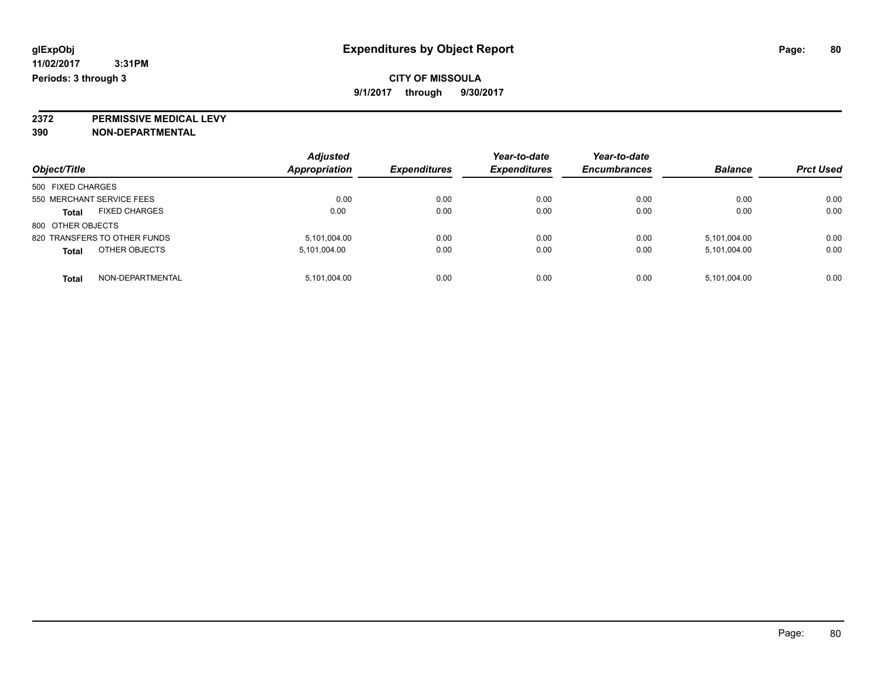**2372 PERMISSIVE MEDICAL LEVY**

**390 NON-DEPARTMENTAL**

| Object/Title                         | <b>Adjusted</b><br><b>Appropriation</b> | <b>Expenditures</b> | Year-to-date<br><b>Expenditures</b> | Year-to-date<br><b>Encumbrances</b> | <b>Balance</b> | <b>Prct Used</b> |
|--------------------------------------|-----------------------------------------|---------------------|-------------------------------------|-------------------------------------|----------------|------------------|
| 500 FIXED CHARGES                    |                                         |                     |                                     |                                     |                |                  |
| 550 MERCHANT SERVICE FEES            | 0.00                                    | 0.00                | 0.00                                | 0.00                                | 0.00           | 0.00             |
| <b>FIXED CHARGES</b><br><b>Total</b> | 0.00                                    | 0.00                | 0.00                                | 0.00                                | 0.00           | 0.00             |
| 800 OTHER OBJECTS                    |                                         |                     |                                     |                                     |                |                  |
| 820 TRANSFERS TO OTHER FUNDS         | 5,101,004.00                            | 0.00                | 0.00                                | 0.00                                | 5,101,004.00   | 0.00             |
| OTHER OBJECTS<br><b>Total</b>        | 5,101,004.00                            | 0.00                | 0.00                                | 0.00                                | 5,101,004.00   | 0.00             |
| NON-DEPARTMENTAL<br><b>Total</b>     | 5,101,004.00                            | 0.00                | 0.00                                | 0.00                                | 5,101,004.00   | 0.00             |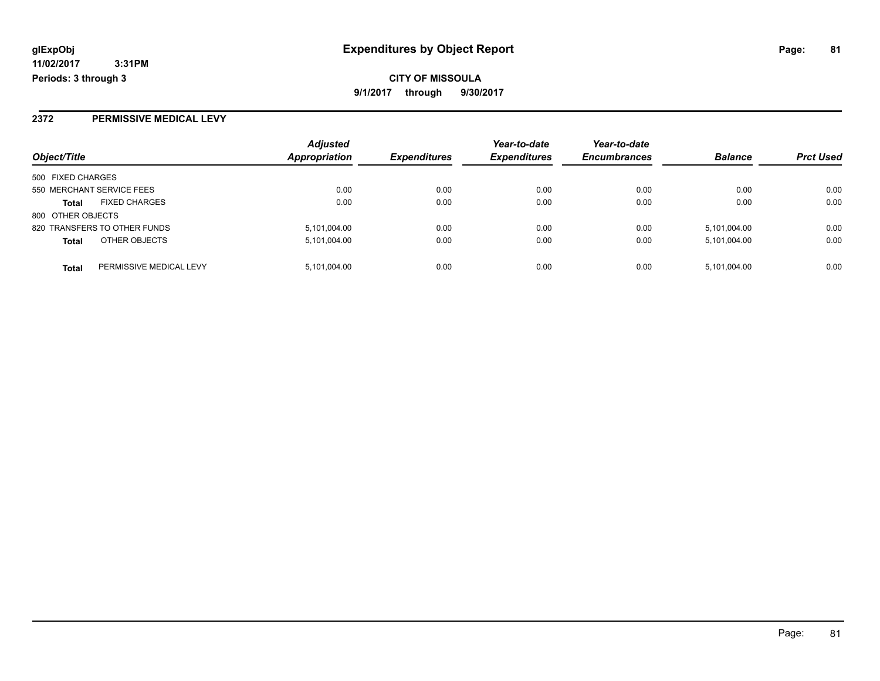**CITY OF MISSOULA 9/1/2017 through 9/30/2017**

# **2372 PERMISSIVE MEDICAL LEVY**

|                                      |                         | <b>Adjusted</b>      |                     | Year-to-date        | Year-to-date        |                |                  |
|--------------------------------------|-------------------------|----------------------|---------------------|---------------------|---------------------|----------------|------------------|
| Object/Title                         |                         | <b>Appropriation</b> | <b>Expenditures</b> | <b>Expenditures</b> | <b>Encumbrances</b> | <b>Balance</b> | <b>Prct Used</b> |
| 500 FIXED CHARGES                    |                         |                      |                     |                     |                     |                |                  |
| 550 MERCHANT SERVICE FEES            |                         | 0.00                 | 0.00                | 0.00                | 0.00                | 0.00           | 0.00             |
| <b>FIXED CHARGES</b><br><b>Total</b> |                         | 0.00                 | 0.00                | 0.00                | 0.00                | 0.00           | 0.00             |
| 800 OTHER OBJECTS                    |                         |                      |                     |                     |                     |                |                  |
| 820 TRANSFERS TO OTHER FUNDS         |                         | 5,101,004.00         | 0.00                | 0.00                | 0.00                | 5.101.004.00   | 0.00             |
| OTHER OBJECTS<br><b>Total</b>        |                         | 5,101,004.00         | 0.00                | 0.00                | 0.00                | 5,101,004.00   | 0.00             |
| <b>Total</b>                         | PERMISSIVE MEDICAL LEVY | 5,101,004.00         | 0.00                | 0.00                | 0.00                | 5,101,004.00   | 0.00             |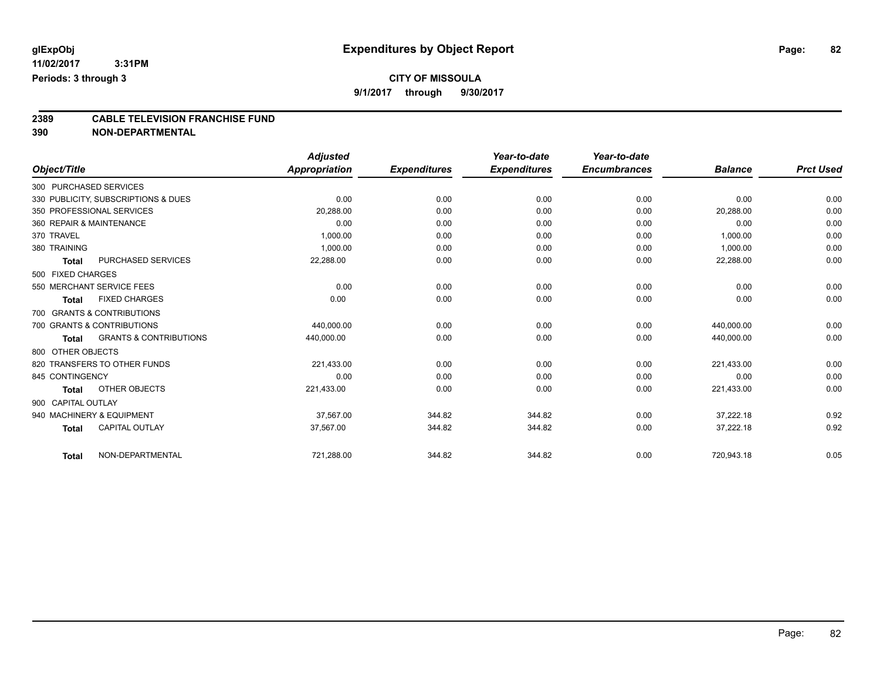# **CITY OF MISSOULA**

**9/1/2017 through 9/30/2017**

# **2389 CABLE TELEVISION FRANCHISE FUND**

**390 NON-DEPARTMENTAL**

|                    |                                     | <b>Adjusted</b> |                     | Year-to-date        | Year-to-date        |                |                  |
|--------------------|-------------------------------------|-----------------|---------------------|---------------------|---------------------|----------------|------------------|
| Object/Title       |                                     | Appropriation   | <b>Expenditures</b> | <b>Expenditures</b> | <b>Encumbrances</b> | <b>Balance</b> | <b>Prct Used</b> |
|                    | 300 PURCHASED SERVICES              |                 |                     |                     |                     |                |                  |
|                    | 330 PUBLICITY, SUBSCRIPTIONS & DUES | 0.00            | 0.00                | 0.00                | 0.00                | 0.00           | 0.00             |
|                    | 350 PROFESSIONAL SERVICES           | 20,288.00       | 0.00                | 0.00                | 0.00                | 20,288.00      | 0.00             |
|                    | 360 REPAIR & MAINTENANCE            | 0.00            | 0.00                | 0.00                | 0.00                | 0.00           | 0.00             |
| 370 TRAVEL         |                                     | 1.000.00        | 0.00                | 0.00                | 0.00                | 1,000.00       | 0.00             |
| 380 TRAINING       |                                     | 1,000.00        | 0.00                | 0.00                | 0.00                | 1,000.00       | 0.00             |
| <b>Total</b>       | PURCHASED SERVICES                  | 22,288.00       | 0.00                | 0.00                | 0.00                | 22,288.00      | 0.00             |
| 500 FIXED CHARGES  |                                     |                 |                     |                     |                     |                |                  |
|                    | 550 MERCHANT SERVICE FEES           | 0.00            | 0.00                | 0.00                | 0.00                | 0.00           | 0.00             |
| <b>Total</b>       | <b>FIXED CHARGES</b>                | 0.00            | 0.00                | 0.00                | 0.00                | 0.00           | 0.00             |
|                    | 700 GRANTS & CONTRIBUTIONS          |                 |                     |                     |                     |                |                  |
|                    | 700 GRANTS & CONTRIBUTIONS          | 440,000.00      | 0.00                | 0.00                | 0.00                | 440.000.00     | 0.00             |
| <b>Total</b>       | <b>GRANTS &amp; CONTRIBUTIONS</b>   | 440,000.00      | 0.00                | 0.00                | 0.00                | 440,000.00     | 0.00             |
| 800 OTHER OBJECTS  |                                     |                 |                     |                     |                     |                |                  |
|                    | 820 TRANSFERS TO OTHER FUNDS        | 221,433.00      | 0.00                | 0.00                | 0.00                | 221,433.00     | 0.00             |
| 845 CONTINGENCY    |                                     | 0.00            | 0.00                | 0.00                | 0.00                | 0.00           | 0.00             |
| <b>Total</b>       | OTHER OBJECTS                       | 221,433.00      | 0.00                | 0.00                | 0.00                | 221,433.00     | 0.00             |
| 900 CAPITAL OUTLAY |                                     |                 |                     |                     |                     |                |                  |
|                    | 940 MACHINERY & EQUIPMENT           | 37.567.00       | 344.82              | 344.82              | 0.00                | 37.222.18      | 0.92             |
| <b>Total</b>       | <b>CAPITAL OUTLAY</b>               | 37,567.00       | 344.82              | 344.82              | 0.00                | 37,222.18      | 0.92             |
| <b>Total</b>       | NON-DEPARTMENTAL                    | 721,288.00      | 344.82              | 344.82              | 0.00                | 720,943.18     | 0.05             |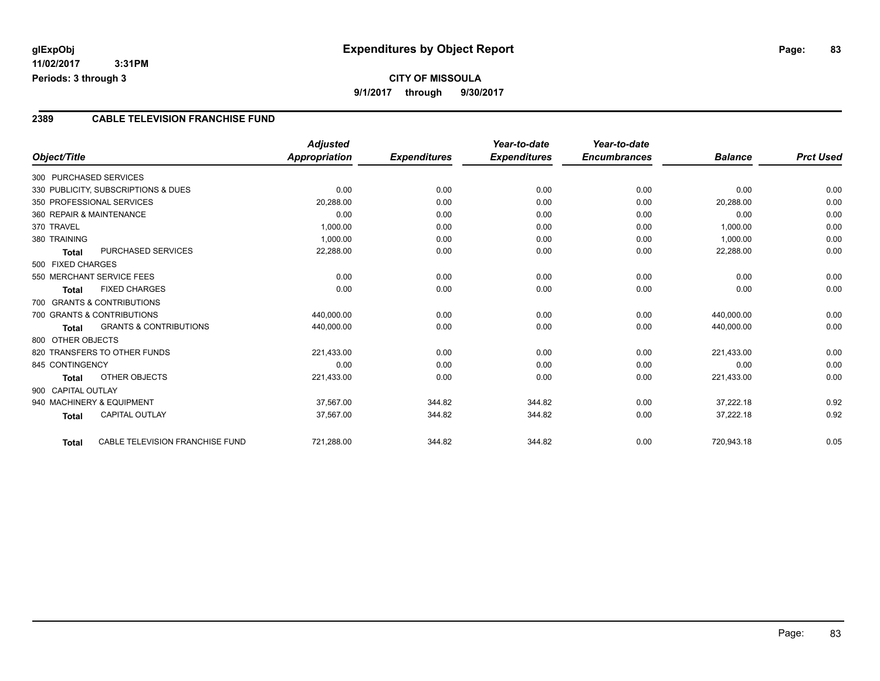# **CITY OF MISSOULA 9/1/2017 through 9/30/2017**

## **2389 CABLE TELEVISION FRANCHISE FUND**

|                    |                                     | <b>Adjusted</b> |                     | Year-to-date        | Year-to-date        |                |                  |
|--------------------|-------------------------------------|-----------------|---------------------|---------------------|---------------------|----------------|------------------|
| Object/Title       |                                     | Appropriation   | <b>Expenditures</b> | <b>Expenditures</b> | <b>Encumbrances</b> | <b>Balance</b> | <b>Prct Used</b> |
|                    | 300 PURCHASED SERVICES              |                 |                     |                     |                     |                |                  |
|                    | 330 PUBLICITY, SUBSCRIPTIONS & DUES | 0.00            | 0.00                | 0.00                | 0.00                | 0.00           | 0.00             |
|                    | 350 PROFESSIONAL SERVICES           | 20,288.00       | 0.00                | 0.00                | 0.00                | 20,288.00      | 0.00             |
|                    | 360 REPAIR & MAINTENANCE            | 0.00            | 0.00                | 0.00                | 0.00                | 0.00           | 0.00             |
| 370 TRAVEL         |                                     | 1,000.00        | 0.00                | 0.00                | 0.00                | 1,000.00       | 0.00             |
| 380 TRAINING       |                                     | 1,000.00        | 0.00                | 0.00                | 0.00                | 1,000.00       | 0.00             |
| Total              | <b>PURCHASED SERVICES</b>           | 22,288.00       | 0.00                | 0.00                | 0.00                | 22,288.00      | 0.00             |
| 500 FIXED CHARGES  |                                     |                 |                     |                     |                     |                |                  |
|                    | 550 MERCHANT SERVICE FEES           | 0.00            | 0.00                | 0.00                | 0.00                | 0.00           | 0.00             |
| Total              | <b>FIXED CHARGES</b>                | 0.00            | 0.00                | 0.00                | 0.00                | 0.00           | 0.00             |
|                    | 700 GRANTS & CONTRIBUTIONS          |                 |                     |                     |                     |                |                  |
|                    | 700 GRANTS & CONTRIBUTIONS          | 440,000.00      | 0.00                | 0.00                | 0.00                | 440,000.00     | 0.00             |
| Total              | <b>GRANTS &amp; CONTRIBUTIONS</b>   | 440,000.00      | 0.00                | 0.00                | 0.00                | 440,000.00     | 0.00             |
| 800 OTHER OBJECTS  |                                     |                 |                     |                     |                     |                |                  |
|                    | 820 TRANSFERS TO OTHER FUNDS        | 221,433.00      | 0.00                | 0.00                | 0.00                | 221,433.00     | 0.00             |
| 845 CONTINGENCY    |                                     | 0.00            | 0.00                | 0.00                | 0.00                | 0.00           | 0.00             |
| Total              | <b>OTHER OBJECTS</b>                | 221,433.00      | 0.00                | 0.00                | 0.00                | 221,433.00     | 0.00             |
| 900 CAPITAL OUTLAY |                                     |                 |                     |                     |                     |                |                  |
|                    | 940 MACHINERY & EQUIPMENT           | 37,567.00       | 344.82              | 344.82              | 0.00                | 37,222.18      | 0.92             |
| <b>Total</b>       | <b>CAPITAL OUTLAY</b>               | 37,567.00       | 344.82              | 344.82              | 0.00                | 37,222.18      | 0.92             |
| <b>Total</b>       | CABLE TELEVISION FRANCHISE FUND     | 721,288.00      | 344.82              | 344.82              | 0.00                | 720,943.18     | 0.05             |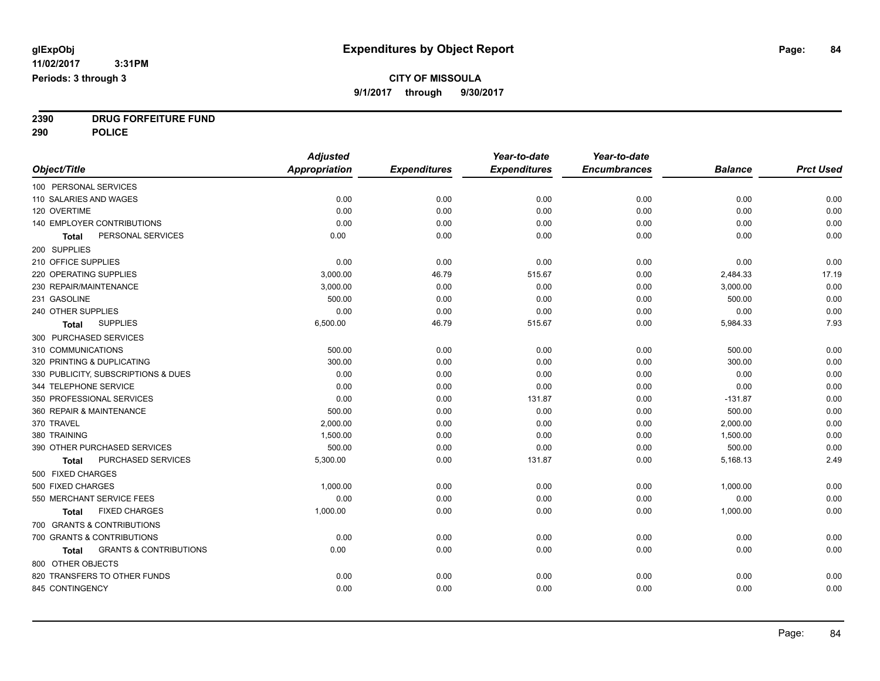**2390 DRUG FORFEITURE FUND**

**290 POLICE**

|                                                   | <b>Adjusted</b>      |                     | Year-to-date        | Year-to-date        |                |                  |
|---------------------------------------------------|----------------------|---------------------|---------------------|---------------------|----------------|------------------|
| Object/Title                                      | <b>Appropriation</b> | <b>Expenditures</b> | <b>Expenditures</b> | <b>Encumbrances</b> | <b>Balance</b> | <b>Prct Used</b> |
| 100 PERSONAL SERVICES                             |                      |                     |                     |                     |                |                  |
| 110 SALARIES AND WAGES                            | 0.00                 | 0.00                | 0.00                | 0.00                | 0.00           | 0.00             |
| 120 OVERTIME                                      | 0.00                 | 0.00                | 0.00                | 0.00                | 0.00           | 0.00             |
| <b>140 EMPLOYER CONTRIBUTIONS</b>                 | 0.00                 | 0.00                | 0.00                | 0.00                | 0.00           | 0.00             |
| PERSONAL SERVICES<br><b>Total</b>                 | 0.00                 | 0.00                | 0.00                | 0.00                | 0.00           | 0.00             |
| 200 SUPPLIES                                      |                      |                     |                     |                     |                |                  |
| 210 OFFICE SUPPLIES                               | 0.00                 | 0.00                | 0.00                | 0.00                | 0.00           | 0.00             |
| 220 OPERATING SUPPLIES                            | 3,000.00             | 46.79               | 515.67              | 0.00                | 2,484.33       | 17.19            |
| 230 REPAIR/MAINTENANCE                            | 3,000.00             | 0.00                | 0.00                | 0.00                | 3,000.00       | 0.00             |
| 231 GASOLINE                                      | 500.00               | 0.00                | 0.00                | 0.00                | 500.00         | 0.00             |
| 240 OTHER SUPPLIES                                | 0.00                 | 0.00                | 0.00                | 0.00                | 0.00           | 0.00             |
| <b>SUPPLIES</b><br><b>Total</b>                   | 6,500.00             | 46.79               | 515.67              | 0.00                | 5,984.33       | 7.93             |
| 300 PURCHASED SERVICES                            |                      |                     |                     |                     |                |                  |
| 310 COMMUNICATIONS                                | 500.00               | 0.00                | 0.00                | 0.00                | 500.00         | 0.00             |
| 320 PRINTING & DUPLICATING                        | 300.00               | 0.00                | 0.00                | 0.00                | 300.00         | 0.00             |
| 330 PUBLICITY, SUBSCRIPTIONS & DUES               | 0.00                 | 0.00                | 0.00                | 0.00                | 0.00           | 0.00             |
| 344 TELEPHONE SERVICE                             | 0.00                 | 0.00                | 0.00                | 0.00                | 0.00           | 0.00             |
| 350 PROFESSIONAL SERVICES                         | 0.00                 | 0.00                | 131.87              | 0.00                | $-131.87$      | 0.00             |
| 360 REPAIR & MAINTENANCE                          | 500.00               | 0.00                | 0.00                | 0.00                | 500.00         | 0.00             |
| 370 TRAVEL                                        | 2,000.00             | 0.00                | 0.00                | 0.00                | 2,000.00       | 0.00             |
| 380 TRAINING                                      | 1,500.00             | 0.00                | 0.00                | 0.00                | 1,500.00       | 0.00             |
| 390 OTHER PURCHASED SERVICES                      | 500.00               | 0.00                | 0.00                | 0.00                | 500.00         | 0.00             |
| PURCHASED SERVICES<br>Total                       | 5,300.00             | 0.00                | 131.87              | 0.00                | 5,168.13       | 2.49             |
| 500 FIXED CHARGES                                 |                      |                     |                     |                     |                |                  |
| 500 FIXED CHARGES                                 | 1,000.00             | 0.00                | 0.00                | 0.00                | 1,000.00       | 0.00             |
| 550 MERCHANT SERVICE FEES                         | 0.00                 | 0.00                | 0.00                | 0.00                | 0.00           | 0.00             |
| <b>FIXED CHARGES</b><br><b>Total</b>              | 1,000.00             | 0.00                | 0.00                | 0.00                | 1,000.00       | 0.00             |
| 700 GRANTS & CONTRIBUTIONS                        |                      |                     |                     |                     |                |                  |
| 700 GRANTS & CONTRIBUTIONS                        | 0.00                 | 0.00                | 0.00                | 0.00                | 0.00           | 0.00             |
| <b>GRANTS &amp; CONTRIBUTIONS</b><br><b>Total</b> | 0.00                 | 0.00                | 0.00                | 0.00                | 0.00           | 0.00             |
| 800 OTHER OBJECTS                                 |                      |                     |                     |                     |                |                  |
| 820 TRANSFERS TO OTHER FUNDS                      | 0.00                 | 0.00                | 0.00                | 0.00                | 0.00           | 0.00             |
| 845 CONTINGENCY                                   | 0.00                 | 0.00                | 0.00                | 0.00                | 0.00           | 0.00             |
|                                                   |                      |                     |                     |                     |                |                  |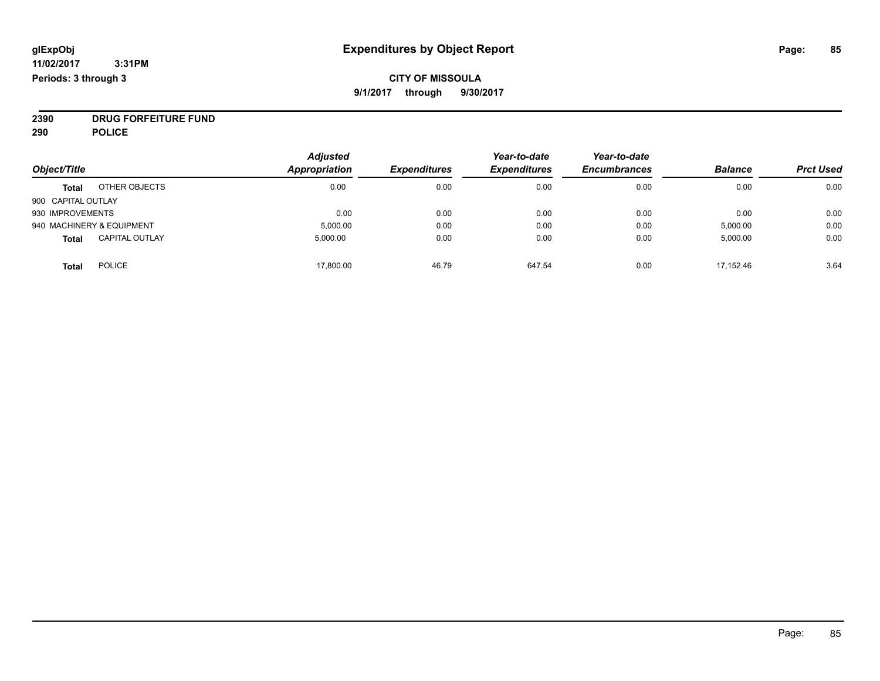# **CITY OF MISSOULA 9/1/2017 through 9/30/2017**

**2390 DRUG FORFEITURE FUND**

**290 POLICE**

|                    |                           | <b>Adjusted</b> |                     | Year-to-date        | Year-to-date        |                |                  |
|--------------------|---------------------------|-----------------|---------------------|---------------------|---------------------|----------------|------------------|
| Object/Title       |                           | Appropriation   | <b>Expenditures</b> | <b>Expenditures</b> | <b>Encumbrances</b> | <b>Balance</b> | <b>Prct Used</b> |
| <b>Total</b>       | OTHER OBJECTS             | 0.00            | 0.00                | 0.00                | 0.00                | 0.00           | 0.00             |
| 900 CAPITAL OUTLAY |                           |                 |                     |                     |                     |                |                  |
| 930 IMPROVEMENTS   |                           | 0.00            | 0.00                | 0.00                | 0.00                | 0.00           | 0.00             |
|                    | 940 MACHINERY & EQUIPMENT | 5,000.00        | 0.00                | 0.00                | 0.00                | 5,000.00       | 0.00             |
| <b>Total</b>       | <b>CAPITAL OUTLAY</b>     | 5.000.00        | 0.00                | 0.00                | 0.00                | 5,000.00       | 0.00             |
| <b>Total</b>       | <b>POLICE</b>             | 17,800.00       | 46.79               | 647.54              | 0.00                | 17.152.46      | 3.64             |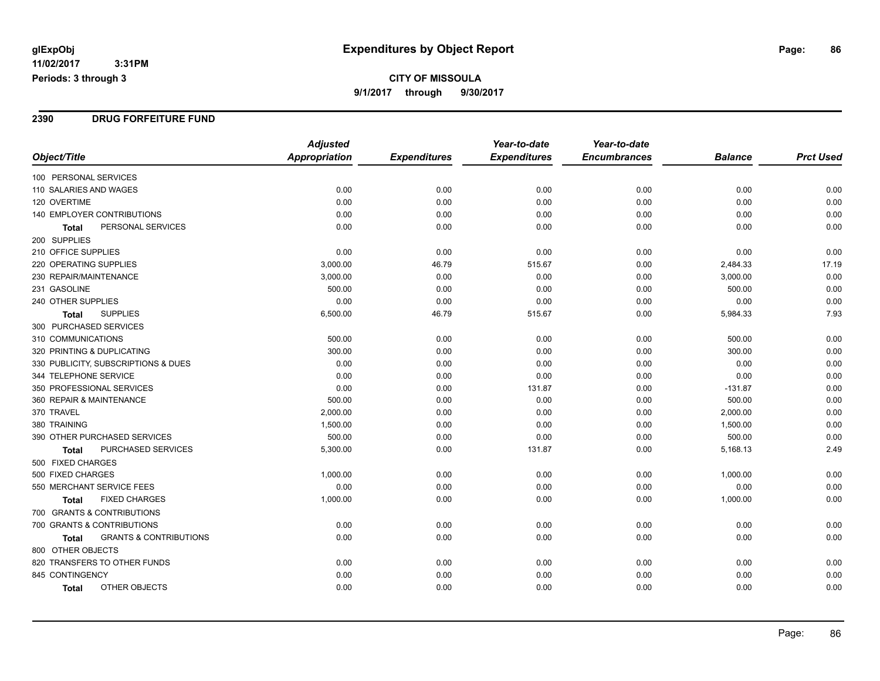**CITY OF MISSOULA 9/1/2017 through 9/30/2017**

### **2390 DRUG FORFEITURE FUND**

|                                            | <b>Adjusted</b> |                     | Year-to-date        | Year-to-date        |                |                  |
|--------------------------------------------|-----------------|---------------------|---------------------|---------------------|----------------|------------------|
| Object/Title                               | Appropriation   | <b>Expenditures</b> | <b>Expenditures</b> | <b>Encumbrances</b> | <b>Balance</b> | <b>Prct Used</b> |
| 100 PERSONAL SERVICES                      |                 |                     |                     |                     |                |                  |
| 110 SALARIES AND WAGES                     | 0.00            | 0.00                | 0.00                | 0.00                | 0.00           | 0.00             |
| 120 OVERTIME                               | 0.00            | 0.00                | 0.00                | 0.00                | 0.00           | 0.00             |
| 140 EMPLOYER CONTRIBUTIONS                 | 0.00            | 0.00                | 0.00                | 0.00                | 0.00           | 0.00             |
| PERSONAL SERVICES<br>Total                 | 0.00            | 0.00                | 0.00                | 0.00                | 0.00           | 0.00             |
| 200 SUPPLIES                               |                 |                     |                     |                     |                |                  |
| 210 OFFICE SUPPLIES                        | 0.00            | 0.00                | 0.00                | 0.00                | 0.00           | 0.00             |
| <b>220 OPERATING SUPPLIES</b>              | 3,000.00        | 46.79               | 515.67              | 0.00                | 2,484.33       | 17.19            |
| 230 REPAIR/MAINTENANCE                     | 3,000.00        | 0.00                | 0.00                | 0.00                | 3,000.00       | 0.00             |
| 231 GASOLINE                               | 500.00          | 0.00                | 0.00                | 0.00                | 500.00         | 0.00             |
| 240 OTHER SUPPLIES                         | 0.00            | 0.00                | 0.00                | 0.00                | 0.00           | 0.00             |
| <b>SUPPLIES</b><br>Total                   | 6,500.00        | 46.79               | 515.67              | 0.00                | 5,984.33       | 7.93             |
| 300 PURCHASED SERVICES                     |                 |                     |                     |                     |                |                  |
| 310 COMMUNICATIONS                         | 500.00          | 0.00                | 0.00                | 0.00                | 500.00         | 0.00             |
| 320 PRINTING & DUPLICATING                 | 300.00          | 0.00                | 0.00                | 0.00                | 300.00         | 0.00             |
| 330 PUBLICITY, SUBSCRIPTIONS & DUES        | 0.00            | 0.00                | 0.00                | 0.00                | 0.00           | 0.00             |
| 344 TELEPHONE SERVICE                      | 0.00            | 0.00                | 0.00                | 0.00                | 0.00           | 0.00             |
| 350 PROFESSIONAL SERVICES                  | 0.00            | 0.00                | 131.87              | 0.00                | $-131.87$      | 0.00             |
| 360 REPAIR & MAINTENANCE                   | 500.00          | 0.00                | 0.00                | 0.00                | 500.00         | 0.00             |
| 370 TRAVEL                                 | 2,000.00        | 0.00                | 0.00                | 0.00                | 2,000.00       | 0.00             |
| 380 TRAINING                               | 1,500.00        | 0.00                | 0.00                | 0.00                | 1,500.00       | 0.00             |
| 390 OTHER PURCHASED SERVICES               | 500.00          | 0.00                | 0.00                | 0.00                | 500.00         | 0.00             |
| <b>PURCHASED SERVICES</b><br>Total         | 5,300.00        | 0.00                | 131.87              | 0.00                | 5,168.13       | 2.49             |
| 500 FIXED CHARGES                          |                 |                     |                     |                     |                |                  |
| 500 FIXED CHARGES                          | 1,000.00        | 0.00                | 0.00                | 0.00                | 1,000.00       | 0.00             |
| 550 MERCHANT SERVICE FEES                  | 0.00            | 0.00                | 0.00                | 0.00                | 0.00           | 0.00             |
| <b>FIXED CHARGES</b><br>Total              | 1,000.00        | 0.00                | 0.00                | 0.00                | 1,000.00       | 0.00             |
| 700 GRANTS & CONTRIBUTIONS                 |                 |                     |                     |                     |                |                  |
| 700 GRANTS & CONTRIBUTIONS                 | 0.00            | 0.00                | 0.00                | 0.00                | 0.00           | 0.00             |
| <b>GRANTS &amp; CONTRIBUTIONS</b><br>Total | 0.00            | 0.00                | 0.00                | 0.00                | 0.00           | 0.00             |
| 800 OTHER OBJECTS                          |                 |                     |                     |                     |                |                  |
| 820 TRANSFERS TO OTHER FUNDS               | 0.00            | 0.00                | 0.00                | 0.00                | 0.00           | 0.00             |
| 845 CONTINGENCY                            | 0.00            | 0.00                | 0.00                | 0.00                | 0.00           | 0.00             |
| OTHER OBJECTS<br>Total                     | 0.00            | 0.00                | 0.00                | 0.00                | 0.00           | 0.00             |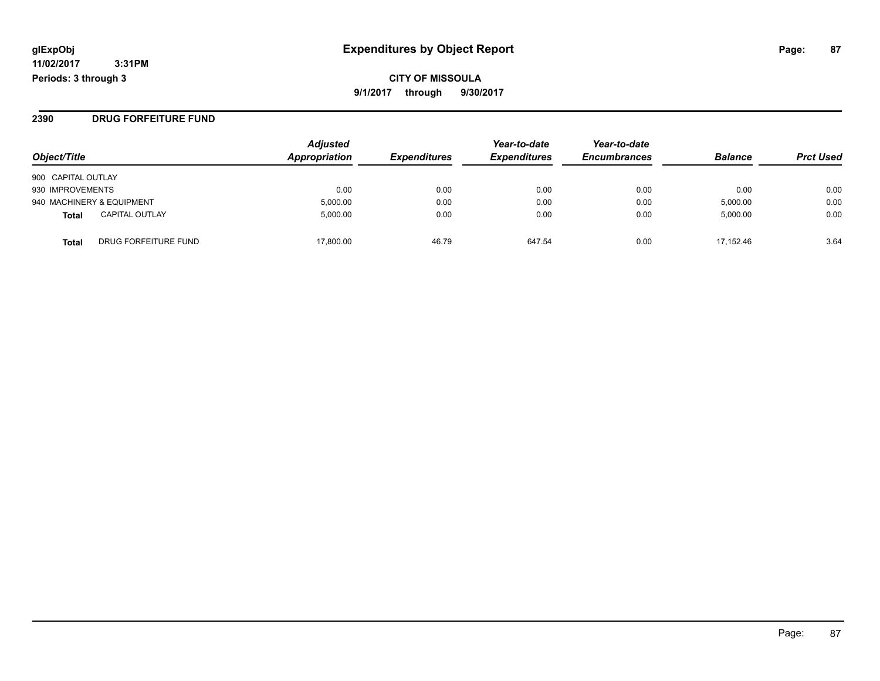### **2390 DRUG FORFEITURE FUND**

| Object/Title              |                       | <b>Adjusted</b><br>Appropriation | <b>Expenditures</b> | Year-to-date<br><b>Expenditures</b> | Year-to-date<br><b>Encumbrances</b> | <b>Balance</b> | <b>Prct Used</b> |
|---------------------------|-----------------------|----------------------------------|---------------------|-------------------------------------|-------------------------------------|----------------|------------------|
| 900 CAPITAL OUTLAY        |                       |                                  |                     |                                     |                                     |                |                  |
| 930 IMPROVEMENTS          |                       | 0.00                             | 0.00                | 0.00                                | 0.00                                | 0.00           | 0.00             |
| 940 MACHINERY & EQUIPMENT |                       | 5,000.00                         | 0.00                | 0.00                                | 0.00                                | 5,000.00       | 0.00             |
| <b>Total</b>              | <b>CAPITAL OUTLAY</b> | 5,000.00                         | 0.00                | 0.00                                | 0.00                                | 5,000.00       | 0.00             |
| Total                     | DRUG FORFEITURE FUND  | 17.800.00                        | 46.79               | 647.54                              | 0.00                                | 17.152.46      | 3.64             |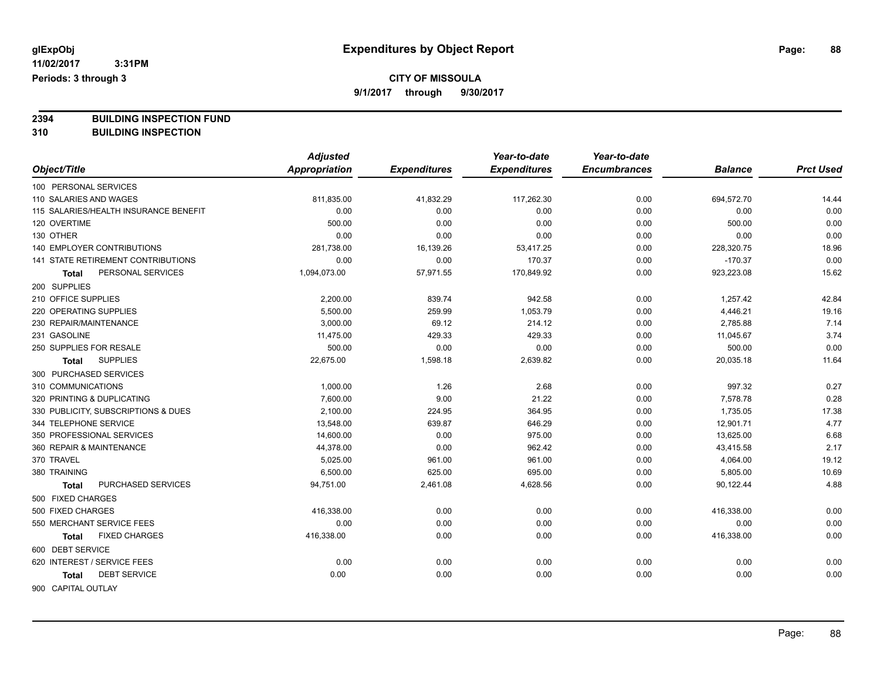# **CITY OF MISSOULA**

**9/1/2017 through 9/30/2017**

**2394 BUILDING INSPECTION FUND**

**310 BUILDING INSPECTION**

|                                       | <b>Adjusted</b>      |                     | Year-to-date        | Year-to-date        |                |                  |
|---------------------------------------|----------------------|---------------------|---------------------|---------------------|----------------|------------------|
| Object/Title                          | <b>Appropriation</b> | <b>Expenditures</b> | <b>Expenditures</b> | <b>Encumbrances</b> | <b>Balance</b> | <b>Prct Used</b> |
| 100 PERSONAL SERVICES                 |                      |                     |                     |                     |                |                  |
| 110 SALARIES AND WAGES                | 811,835.00           | 41,832.29           | 117,262.30          | 0.00                | 694,572.70     | 14.44            |
| 115 SALARIES/HEALTH INSURANCE BENEFIT | 0.00                 | 0.00                | 0.00                | 0.00                | 0.00           | 0.00             |
| 120 OVERTIME                          | 500.00               | 0.00                | 0.00                | 0.00                | 500.00         | 0.00             |
| 130 OTHER                             | 0.00                 | 0.00                | 0.00                | 0.00                | 0.00           | 0.00             |
| <b>140 EMPLOYER CONTRIBUTIONS</b>     | 281,738.00           | 16,139.26           | 53,417.25           | 0.00                | 228,320.75     | 18.96            |
| 141 STATE RETIREMENT CONTRIBUTIONS    | 0.00                 | 0.00                | 170.37              | 0.00                | $-170.37$      | 0.00             |
| PERSONAL SERVICES<br><b>Total</b>     | 1,094,073.00         | 57,971.55           | 170,849.92          | 0.00                | 923,223.08     | 15.62            |
| 200 SUPPLIES                          |                      |                     |                     |                     |                |                  |
| 210 OFFICE SUPPLIES                   | 2,200.00             | 839.74              | 942.58              | 0.00                | 1,257.42       | 42.84            |
| 220 OPERATING SUPPLIES                | 5,500.00             | 259.99              | 1,053.79            | 0.00                | 4,446.21       | 19.16            |
| 230 REPAIR/MAINTENANCE                | 3,000.00             | 69.12               | 214.12              | 0.00                | 2,785.88       | 7.14             |
| 231 GASOLINE                          | 11,475.00            | 429.33              | 429.33              | 0.00                | 11,045.67      | 3.74             |
| 250 SUPPLIES FOR RESALE               | 500.00               | 0.00                | 0.00                | 0.00                | 500.00         | 0.00             |
| <b>SUPPLIES</b><br>Total              | 22,675.00            | 1,598.18            | 2,639.82            | 0.00                | 20,035.18      | 11.64            |
| 300 PURCHASED SERVICES                |                      |                     |                     |                     |                |                  |
| 310 COMMUNICATIONS                    | 1,000.00             | 1.26                | 2.68                | 0.00                | 997.32         | 0.27             |
| 320 PRINTING & DUPLICATING            | 7,600.00             | 9.00                | 21.22               | 0.00                | 7,578.78       | 0.28             |
| 330 PUBLICITY, SUBSCRIPTIONS & DUES   | 2,100.00             | 224.95              | 364.95              | 0.00                | 1,735.05       | 17.38            |
| 344 TELEPHONE SERVICE                 | 13,548.00            | 639.87              | 646.29              | 0.00                | 12,901.71      | 4.77             |
| 350 PROFESSIONAL SERVICES             | 14,600.00            | 0.00                | 975.00              | 0.00                | 13,625.00      | 6.68             |
| 360 REPAIR & MAINTENANCE              | 44,378.00            | 0.00                | 962.42              | 0.00                | 43,415.58      | 2.17             |
| 370 TRAVEL                            | 5,025.00             | 961.00              | 961.00              | 0.00                | 4,064.00       | 19.12            |
| 380 TRAINING                          | 6,500.00             | 625.00              | 695.00              | 0.00                | 5,805.00       | 10.69            |
| PURCHASED SERVICES<br><b>Total</b>    | 94,751.00            | 2,461.08            | 4,628.56            | 0.00                | 90,122.44      | 4.88             |
| 500 FIXED CHARGES                     |                      |                     |                     |                     |                |                  |
| 500 FIXED CHARGES                     | 416,338.00           | 0.00                | 0.00                | 0.00                | 416,338.00     | 0.00             |
| 550 MERCHANT SERVICE FEES             | 0.00                 | 0.00                | 0.00                | 0.00                | 0.00           | 0.00             |
| <b>FIXED CHARGES</b><br>Total         | 416,338.00           | 0.00                | 0.00                | 0.00                | 416,338.00     | 0.00             |
| 600 DEBT SERVICE                      |                      |                     |                     |                     |                |                  |
| 620 INTEREST / SERVICE FEES           | 0.00                 | 0.00                | 0.00                | 0.00                | 0.00           | 0.00             |
| <b>DEBT SERVICE</b><br><b>Total</b>   | 0.00                 | 0.00                | 0.00                | 0.00                | 0.00           | 0.00             |
| 900 CAPITAL OUTLAY                    |                      |                     |                     |                     |                |                  |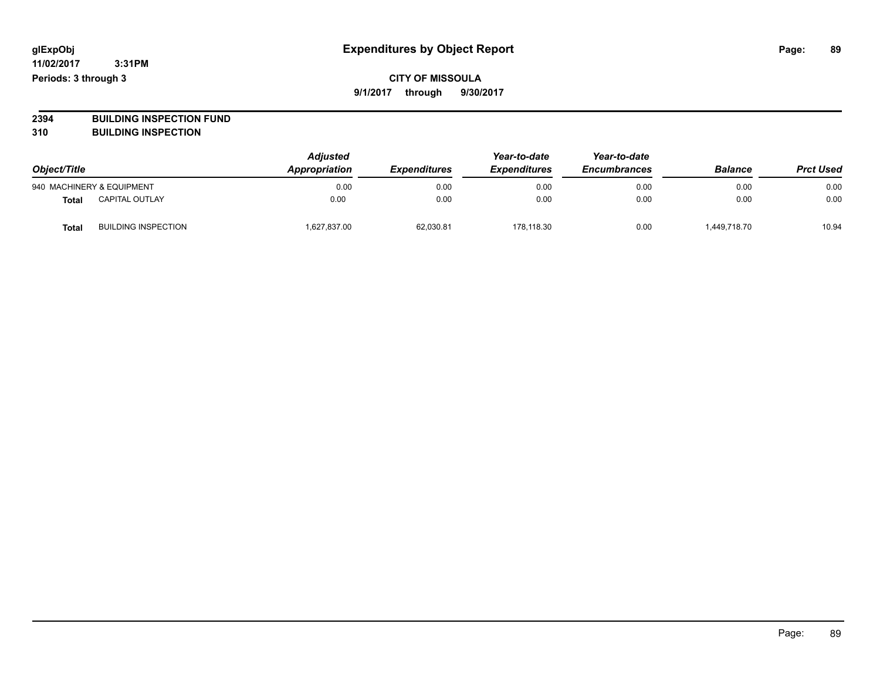# **CITY OF MISSOULA 9/1/2017 through 9/30/2017**

**2394 BUILDING INSPECTION FUND**

**310 BUILDING INSPECTION**

| Object/Title |                            | <b>Adjusted</b><br>Appropriation | <b>Expenditures</b> | Year-to-date<br><b>Expenditures</b> | Year-to-date<br><b>Encumbrances</b> | <b>Balance</b> | <b>Prct Used</b> |
|--------------|----------------------------|----------------------------------|---------------------|-------------------------------------|-------------------------------------|----------------|------------------|
|              | 940 MACHINERY & EQUIPMENT  | 0.00                             | 0.00                | 0.00                                | 0.00                                | 0.00           | 0.00             |
| Total        | <b>CAPITAL OUTLAY</b>      | 0.00                             | 0.00                | 0.00                                | 0.00                                | 0.00           | 0.00             |
| Total        | <b>BUILDING INSPECTION</b> | 627,837.00                       | 62,030.81           | 178.118.30                          | 0.00                                | 449,718.70     | 10.94            |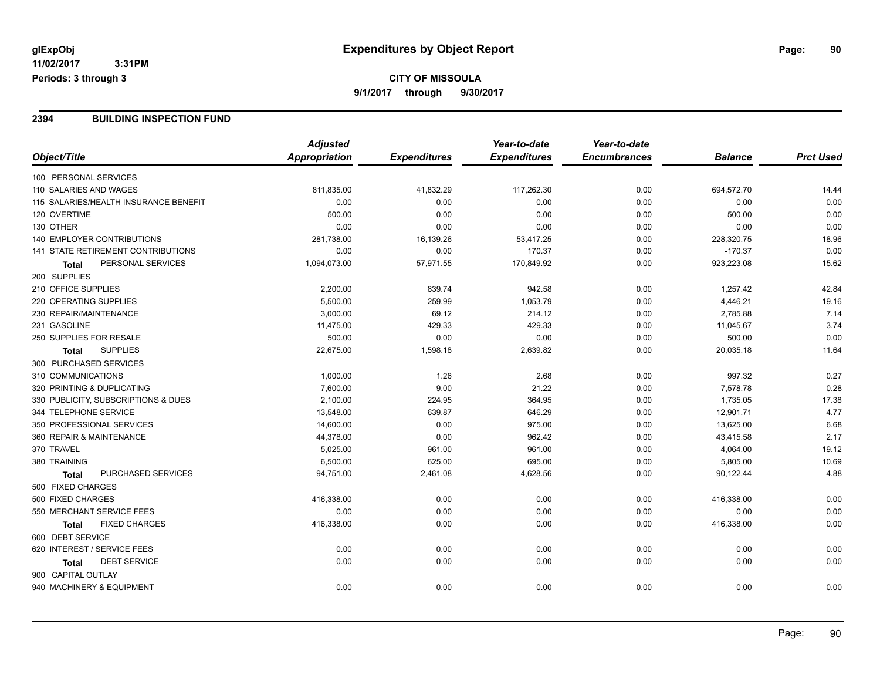### **2394 BUILDING INSPECTION FUND**

|                                           | <b>Adjusted</b> |                     | Year-to-date        | Year-to-date        |                |                  |
|-------------------------------------------|-----------------|---------------------|---------------------|---------------------|----------------|------------------|
| Object/Title                              | Appropriation   | <b>Expenditures</b> | <b>Expenditures</b> | <b>Encumbrances</b> | <b>Balance</b> | <b>Prct Used</b> |
| 100 PERSONAL SERVICES                     |                 |                     |                     |                     |                |                  |
| 110 SALARIES AND WAGES                    | 811,835.00      | 41,832.29           | 117,262.30          | 0.00                | 694,572.70     | 14.44            |
| 115 SALARIES/HEALTH INSURANCE BENEFIT     | 0.00            | 0.00                | 0.00                | 0.00                | 0.00           | 0.00             |
| 120 OVERTIME                              | 500.00          | 0.00                | 0.00                | 0.00                | 500.00         | 0.00             |
| 130 OTHER                                 | 0.00            | 0.00                | 0.00                | 0.00                | 0.00           | 0.00             |
| 140 EMPLOYER CONTRIBUTIONS                | 281,738.00      | 16,139.26           | 53,417.25           | 0.00                | 228,320.75     | 18.96            |
| 141 STATE RETIREMENT CONTRIBUTIONS        | 0.00            | 0.00                | 170.37              | 0.00                | $-170.37$      | 0.00             |
| PERSONAL SERVICES<br>Total                | 1,094,073.00    | 57,971.55           | 170,849.92          | 0.00                | 923,223.08     | 15.62            |
| 200 SUPPLIES                              |                 |                     |                     |                     |                |                  |
| 210 OFFICE SUPPLIES                       | 2,200.00        | 839.74              | 942.58              | 0.00                | 1,257.42       | 42.84            |
| 220 OPERATING SUPPLIES                    | 5,500.00        | 259.99              | 1,053.79            | 0.00                | 4,446.21       | 19.16            |
| 230 REPAIR/MAINTENANCE                    | 3,000.00        | 69.12               | 214.12              | 0.00                | 2,785.88       | 7.14             |
| 231 GASOLINE                              | 11,475.00       | 429.33              | 429.33              | 0.00                | 11,045.67      | 3.74             |
| 250 SUPPLIES FOR RESALE                   | 500.00          | 0.00                | 0.00                | 0.00                | 500.00         | 0.00             |
| <b>SUPPLIES</b><br><b>Total</b>           | 22,675.00       | 1,598.18            | 2,639.82            | 0.00                | 20,035.18      | 11.64            |
| 300 PURCHASED SERVICES                    |                 |                     |                     |                     |                |                  |
| 310 COMMUNICATIONS                        | 1,000.00        | 1.26                | 2.68                | 0.00                | 997.32         | 0.27             |
| 320 PRINTING & DUPLICATING                | 7,600.00        | 9.00                | 21.22               | 0.00                | 7,578.78       | 0.28             |
| 330 PUBLICITY, SUBSCRIPTIONS & DUES       | 2,100.00        | 224.95              | 364.95              | 0.00                | 1,735.05       | 17.38            |
| 344 TELEPHONE SERVICE                     | 13,548.00       | 639.87              | 646.29              | 0.00                | 12,901.71      | 4.77             |
| 350 PROFESSIONAL SERVICES                 | 14,600.00       | 0.00                | 975.00              | 0.00                | 13,625.00      | 6.68             |
| 360 REPAIR & MAINTENANCE                  | 44,378.00       | 0.00                | 962.42              | 0.00                | 43,415.58      | 2.17             |
| 370 TRAVEL                                | 5,025.00        | 961.00              | 961.00              | 0.00                | 4,064.00       | 19.12            |
| 380 TRAINING                              | 6,500.00        | 625.00              | 695.00              | 0.00                | 5,805.00       | 10.69            |
| <b>PURCHASED SERVICES</b><br><b>Total</b> | 94,751.00       | 2,461.08            | 4,628.56            | 0.00                | 90,122.44      | 4.88             |
| 500 FIXED CHARGES                         |                 |                     |                     |                     |                |                  |
| 500 FIXED CHARGES                         | 416,338.00      | 0.00                | 0.00                | 0.00                | 416,338.00     | 0.00             |
| 550 MERCHANT SERVICE FEES                 | 0.00            | 0.00                | 0.00                | 0.00                | 0.00           | 0.00             |
| <b>FIXED CHARGES</b><br><b>Total</b>      | 416,338.00      | 0.00                | 0.00                | 0.00                | 416,338.00     | 0.00             |
| 600 DEBT SERVICE                          |                 |                     |                     |                     |                |                  |
| 620 INTEREST / SERVICE FEES               | 0.00            | 0.00                | 0.00                | 0.00                | 0.00           | 0.00             |
| <b>DEBT SERVICE</b><br>Total              | 0.00            | 0.00                | 0.00                | 0.00                | 0.00           | 0.00             |
| 900 CAPITAL OUTLAY                        |                 |                     |                     |                     |                |                  |
| 940 MACHINERY & EQUIPMENT                 | 0.00            | 0.00                | 0.00                | 0.00                | 0.00           | 0.00             |
|                                           |                 |                     |                     |                     |                |                  |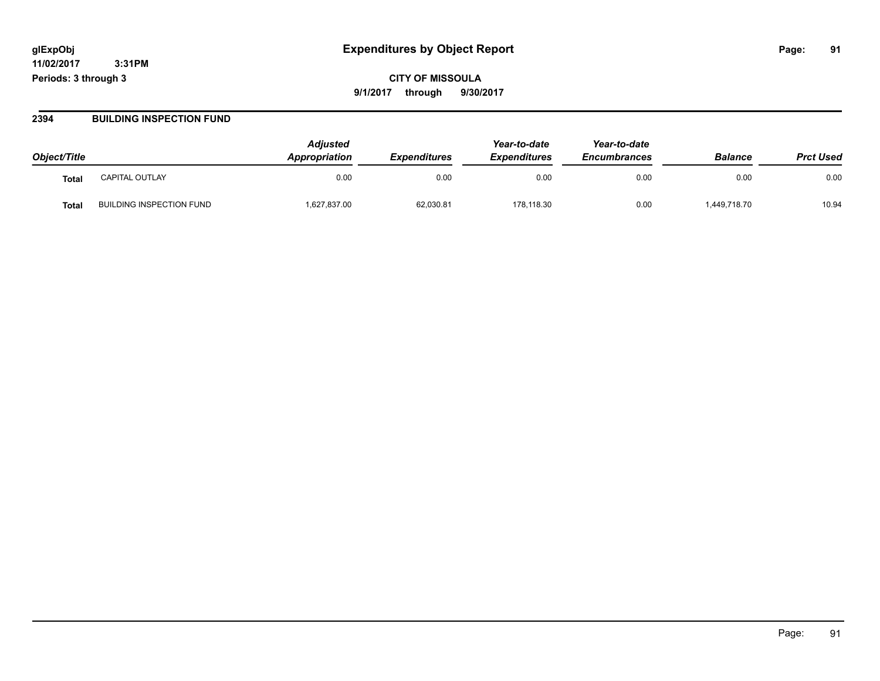**CITY OF MISSOULA 9/1/2017 through 9/30/2017**

### **2394 BUILDING INSPECTION FUND**

| Object/Title |                                 | <b>Adjusted</b><br>Appropriation | <b>Expenditures</b> | Year-to-date<br><b>Expenditures</b> | Year-to-date<br><b>Encumbrances</b> | <b>Balance</b> | <b>Prct Used</b> |
|--------------|---------------------------------|----------------------------------|---------------------|-------------------------------------|-------------------------------------|----------------|------------------|
| Tota.        | <b>CAPITAL OUTLAY</b>           | 0.00                             | 0.00                | 0.00                                | 0.00                                | 0.00           | 0.00             |
| Tota.        | <b>BUILDING INSPECTION FUND</b> | 1,627,837.00                     | 62,030.81           | 178,118.30                          | 0.00                                | ,449,718.70    | 10.94            |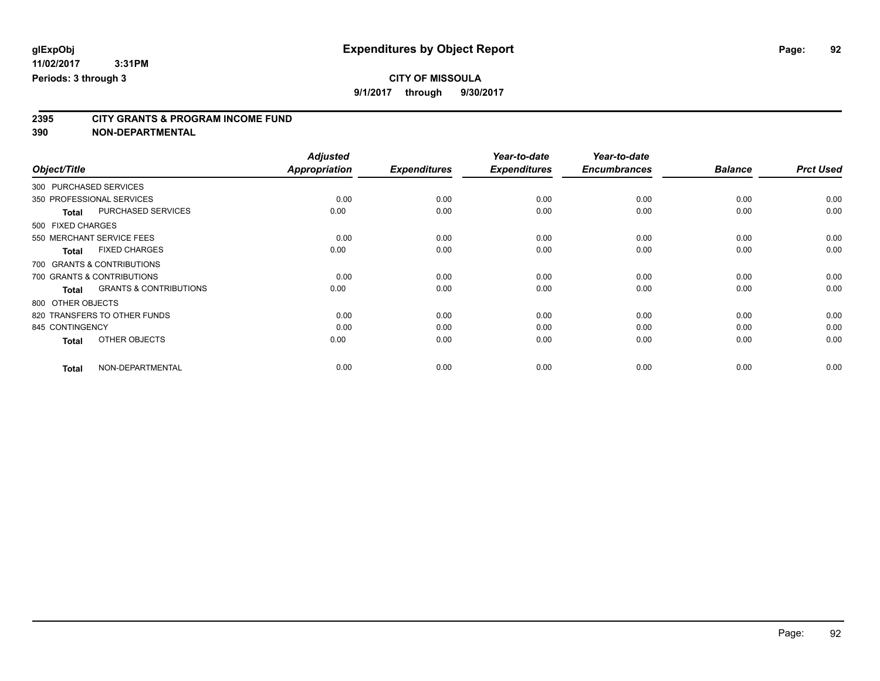**9/1/2017 through 9/30/2017**

# **2395 CITY GRANTS & PROGRAM INCOME FUND**

**390 NON-DEPARTMENTAL**

|                                                   | <b>Adjusted</b>      |                     | Year-to-date        | Year-to-date        |                |                  |
|---------------------------------------------------|----------------------|---------------------|---------------------|---------------------|----------------|------------------|
| Object/Title                                      | <b>Appropriation</b> | <b>Expenditures</b> | <b>Expenditures</b> | <b>Encumbrances</b> | <b>Balance</b> | <b>Prct Used</b> |
| 300 PURCHASED SERVICES                            |                      |                     |                     |                     |                |                  |
| 350 PROFESSIONAL SERVICES                         | 0.00                 | 0.00                | 0.00                | 0.00                | 0.00           | 0.00             |
| PURCHASED SERVICES<br><b>Total</b>                | 0.00                 | 0.00                | 0.00                | 0.00                | 0.00           | 0.00             |
| 500 FIXED CHARGES                                 |                      |                     |                     |                     |                |                  |
| 550 MERCHANT SERVICE FEES                         | 0.00                 | 0.00                | 0.00                | 0.00                | 0.00           | 0.00             |
| <b>FIXED CHARGES</b><br><b>Total</b>              | 0.00                 | 0.00                | 0.00                | 0.00                | 0.00           | 0.00             |
| 700 GRANTS & CONTRIBUTIONS                        |                      |                     |                     |                     |                |                  |
| 700 GRANTS & CONTRIBUTIONS                        | 0.00                 | 0.00                | 0.00                | 0.00                | 0.00           | 0.00             |
| <b>GRANTS &amp; CONTRIBUTIONS</b><br><b>Total</b> | 0.00                 | 0.00                | 0.00                | 0.00                | 0.00           | 0.00             |
| 800 OTHER OBJECTS                                 |                      |                     |                     |                     |                |                  |
| 820 TRANSFERS TO OTHER FUNDS                      | 0.00                 | 0.00                | 0.00                | 0.00                | 0.00           | 0.00             |
| 845 CONTINGENCY                                   | 0.00                 | 0.00                | 0.00                | 0.00                | 0.00           | 0.00             |
| OTHER OBJECTS<br><b>Total</b>                     | 0.00                 | 0.00                | 0.00                | 0.00                | 0.00           | 0.00             |
| NON-DEPARTMENTAL<br><b>Total</b>                  | 0.00                 | 0.00                | 0.00                | 0.00                | 0.00           | 0.00             |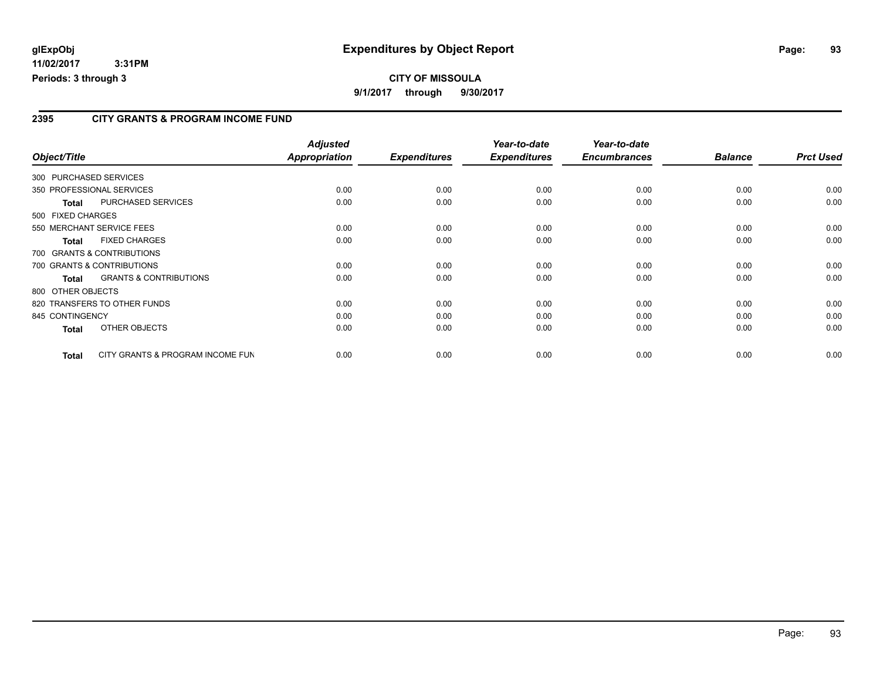# **2395 CITY GRANTS & PROGRAM INCOME FUND**

| Object/Title           |                                   | <b>Adjusted</b><br><b>Appropriation</b> | <b>Expenditures</b> | Year-to-date<br><b>Expenditures</b> | Year-to-date<br><b>Encumbrances</b> | <b>Balance</b> | <b>Prct Used</b> |
|------------------------|-----------------------------------|-----------------------------------------|---------------------|-------------------------------------|-------------------------------------|----------------|------------------|
| 300 PURCHASED SERVICES |                                   |                                         |                     |                                     |                                     |                |                  |
|                        | 350 PROFESSIONAL SERVICES         | 0.00                                    | 0.00                | 0.00                                | 0.00                                | 0.00           | 0.00             |
| Total                  | PURCHASED SERVICES                | 0.00                                    | 0.00                | 0.00                                | 0.00                                | 0.00           | 0.00             |
| 500 FIXED CHARGES      |                                   |                                         |                     |                                     |                                     |                |                  |
|                        | 550 MERCHANT SERVICE FEES         | 0.00                                    | 0.00                | 0.00                                | 0.00                                | 0.00           | 0.00             |
| <b>Total</b>           | <b>FIXED CHARGES</b>              | 0.00                                    | 0.00                | 0.00                                | 0.00                                | 0.00           | 0.00             |
|                        | 700 GRANTS & CONTRIBUTIONS        |                                         |                     |                                     |                                     |                |                  |
|                        | 700 GRANTS & CONTRIBUTIONS        | 0.00                                    | 0.00                | 0.00                                | 0.00                                | 0.00           | 0.00             |
| <b>Total</b>           | <b>GRANTS &amp; CONTRIBUTIONS</b> | 0.00                                    | 0.00                | 0.00                                | 0.00                                | 0.00           | 0.00             |
| 800 OTHER OBJECTS      |                                   |                                         |                     |                                     |                                     |                |                  |
|                        | 820 TRANSFERS TO OTHER FUNDS      | 0.00                                    | 0.00                | 0.00                                | 0.00                                | 0.00           | 0.00             |
| 845 CONTINGENCY        |                                   | 0.00                                    | 0.00                | 0.00                                | 0.00                                | 0.00           | 0.00             |
| <b>Total</b>           | OTHER OBJECTS                     | 0.00                                    | 0.00                | 0.00                                | 0.00                                | 0.00           | 0.00             |
| Total                  | CITY GRANTS & PROGRAM INCOME FUN  | 0.00                                    | 0.00                | 0.00                                | 0.00                                | 0.00           | 0.00             |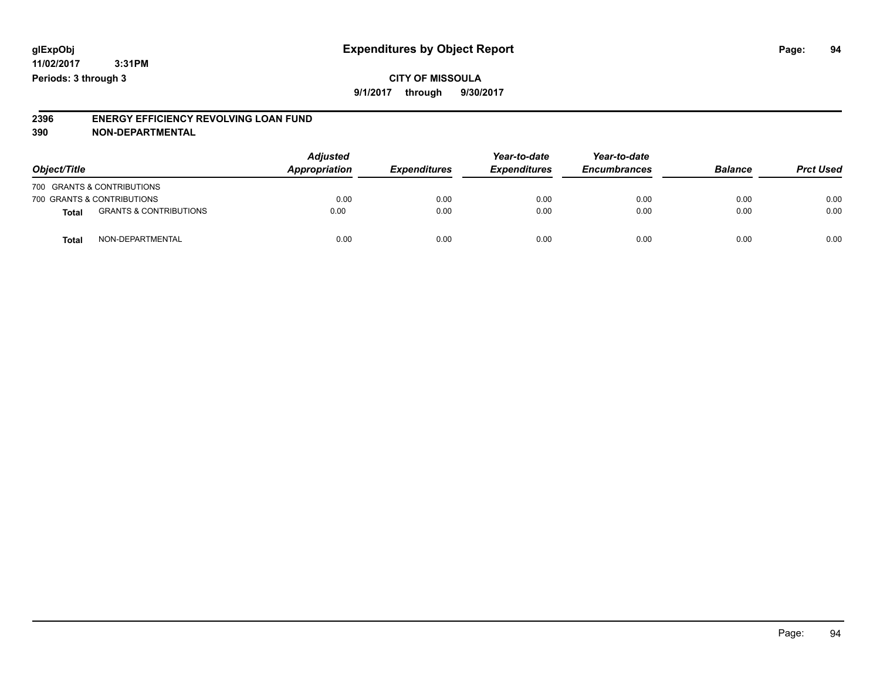**9/1/2017 through 9/30/2017**

#### **2396 ENERGY EFFICIENCY REVOLVING LOAN FUND 390 NON-DEPARTMENTAL**

| Object/Title |                                   | <b>Adjusted</b><br>Appropriation | <b>Expenditures</b> | Year-to-date<br><b>Expenditures</b> | Year-to-date<br><b>Encumbrances</b> | <b>Balance</b> | <b>Prct Used</b> |
|--------------|-----------------------------------|----------------------------------|---------------------|-------------------------------------|-------------------------------------|----------------|------------------|
|              | 700 GRANTS & CONTRIBUTIONS        |                                  |                     |                                     |                                     |                |                  |
|              | 700 GRANTS & CONTRIBUTIONS        | 0.00                             | 0.00                | 0.00                                | 0.00                                | 0.00           | 0.00             |
| <b>Total</b> | <b>GRANTS &amp; CONTRIBUTIONS</b> | 0.00                             | 0.00                | 0.00                                | 0.00                                | 0.00           | 0.00             |
| Tota         | NON-DEPARTMENTAL                  | 0.00                             | 0.00                | 0.00                                | 0.00                                | 0.00           | 0.00             |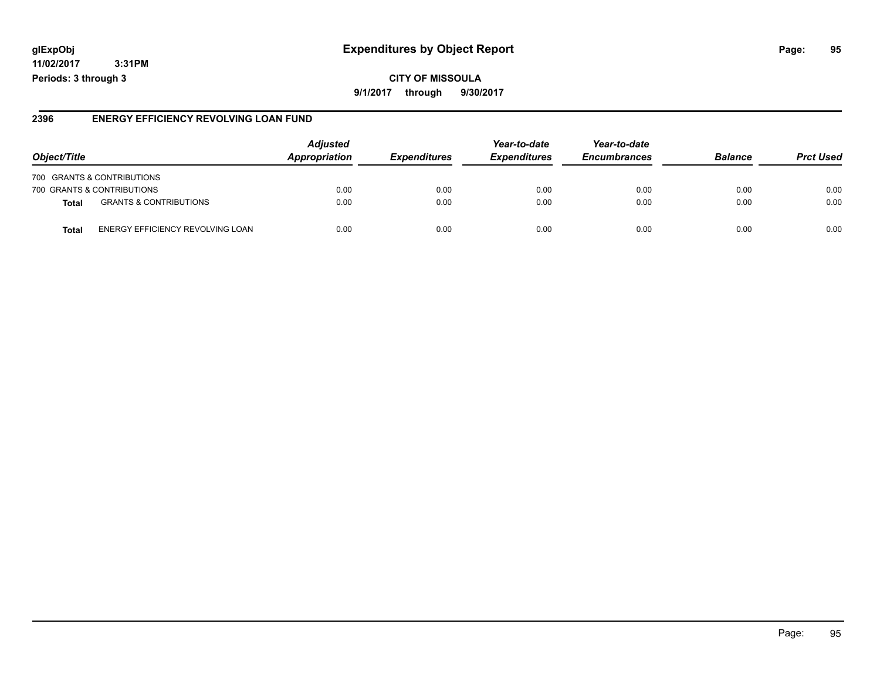# **glExpObj Expenditures by Object Report Page: 95**

**11/02/2017 3:31PM Periods: 3 through 3**

## **2396 ENERGY EFFICIENCY REVOLVING LOAN FUND**

| Object/Title                               | <b>Adjusted</b><br><b>Appropriation</b> | <i><b>Expenditures</b></i> | Year-to-date<br><b>Expenditures</b> | Year-to-date<br><b>Encumbrances</b> | <b>Balance</b> | <b>Prct Used</b> |
|--------------------------------------------|-----------------------------------------|----------------------------|-------------------------------------|-------------------------------------|----------------|------------------|
| 700 GRANTS & CONTRIBUTIONS                 |                                         |                            |                                     |                                     |                |                  |
| 700 GRANTS & CONTRIBUTIONS                 | 0.00                                    | 0.00                       | 0.00                                | 0.00                                | 0.00           | 0.00             |
| <b>GRANTS &amp; CONTRIBUTIONS</b><br>Total | 0.00                                    | 0.00                       | 0.00                                | 0.00                                | 0.00           | 0.00             |
| ENERGY EFFICIENCY REVOLVING LOAN<br>Tota   | 0.00                                    | 0.00                       | 0.00                                | 0.00                                | 0.00           | 0.00             |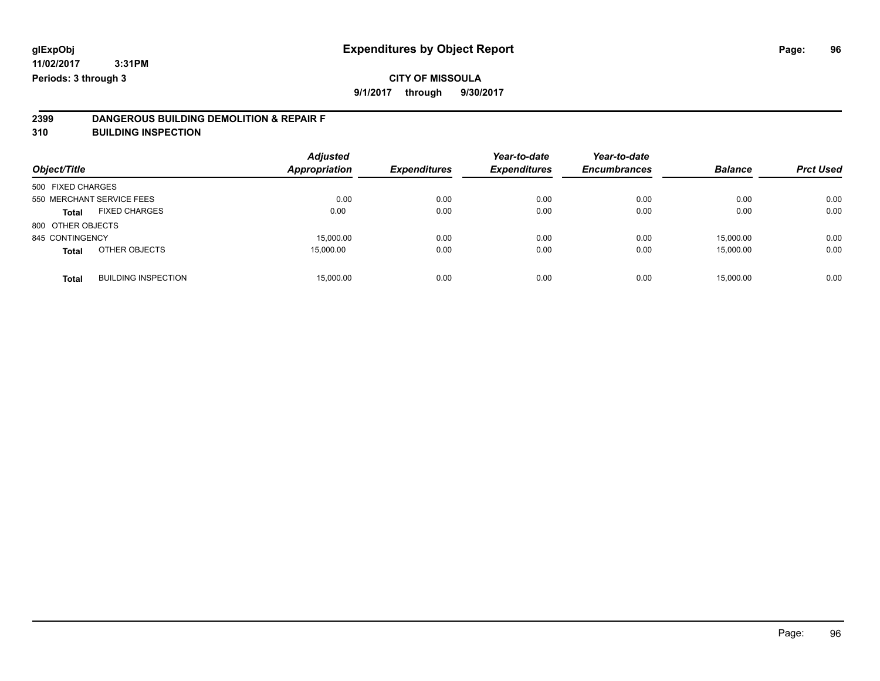# **CITY OF MISSOULA**

**9/1/2017 through 9/30/2017**

# **2399 DANGEROUS BUILDING DEMOLITION & REPAIR F**

**310 BUILDING INSPECTION**

| Object/Title      |                            | <b>Adjusted</b><br><b>Appropriation</b> | <b>Expenditures</b> | Year-to-date<br><b>Expenditures</b> | Year-to-date<br><b>Encumbrances</b> | <b>Balance</b> | <b>Prct Used</b> |
|-------------------|----------------------------|-----------------------------------------|---------------------|-------------------------------------|-------------------------------------|----------------|------------------|
| 500 FIXED CHARGES |                            |                                         |                     |                                     |                                     |                |                  |
|                   | 550 MERCHANT SERVICE FEES  | 0.00                                    | 0.00                | 0.00                                | 0.00                                | 0.00           | 0.00             |
| <b>Total</b>      | <b>FIXED CHARGES</b>       | 0.00                                    | 0.00                | 0.00                                | 0.00                                | 0.00           | 0.00             |
| 800 OTHER OBJECTS |                            |                                         |                     |                                     |                                     |                |                  |
| 845 CONTINGENCY   |                            | 15,000.00                               | 0.00                | 0.00                                | 0.00                                | 15,000.00      | 0.00             |
| <b>Total</b>      | OTHER OBJECTS              | 15,000.00                               | 0.00                | 0.00                                | 0.00                                | 15.000.00      | 0.00             |
| <b>Total</b>      | <b>BUILDING INSPECTION</b> | 15,000.00                               | 0.00                | 0.00                                | 0.00                                | 15,000.00      | 0.00             |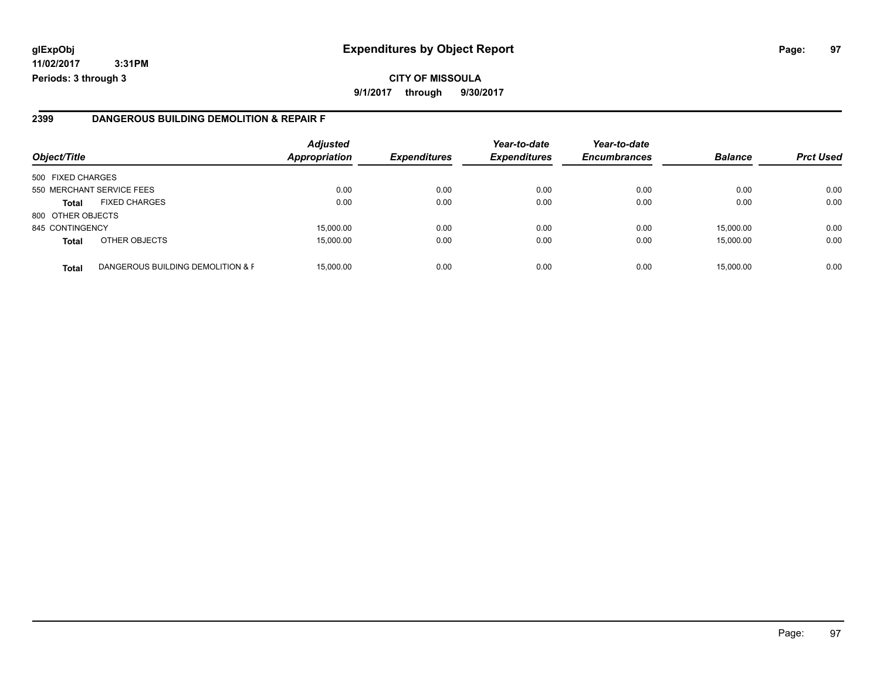# **glExpObj Expenditures by Object Report Page: 97**

**11/02/2017 3:31PM Periods: 3 through 3**

### **2399 DANGEROUS BUILDING DEMOLITION & REPAIR F**

| Object/Title      |                                   | <b>Adjusted</b><br><b>Appropriation</b> | <b>Expenditures</b> | Year-to-date<br><b>Expenditures</b> | Year-to-date<br><b>Encumbrances</b> | <b>Balance</b> | <b>Prct Used</b> |
|-------------------|-----------------------------------|-----------------------------------------|---------------------|-------------------------------------|-------------------------------------|----------------|------------------|
| 500 FIXED CHARGES |                                   |                                         |                     |                                     |                                     |                |                  |
|                   | 550 MERCHANT SERVICE FEES         | 0.00                                    | 0.00                | 0.00                                | 0.00                                | 0.00           | 0.00             |
| <b>Total</b>      | <b>FIXED CHARGES</b>              | 0.00                                    | 0.00                | 0.00                                | 0.00                                | 0.00           | 0.00             |
| 800 OTHER OBJECTS |                                   |                                         |                     |                                     |                                     |                |                  |
| 845 CONTINGENCY   |                                   | 15,000.00                               | 0.00                | 0.00                                | 0.00                                | 15,000.00      | 0.00             |
| <b>Total</b>      | OTHER OBJECTS                     | 15,000.00                               | 0.00                | 0.00                                | 0.00                                | 15,000.00      | 0.00             |
| <b>Total</b>      | DANGEROUS BUILDING DEMOLITION & F | 15,000.00                               | 0.00                | 0.00                                | 0.00                                | 15,000.00      | 0.00             |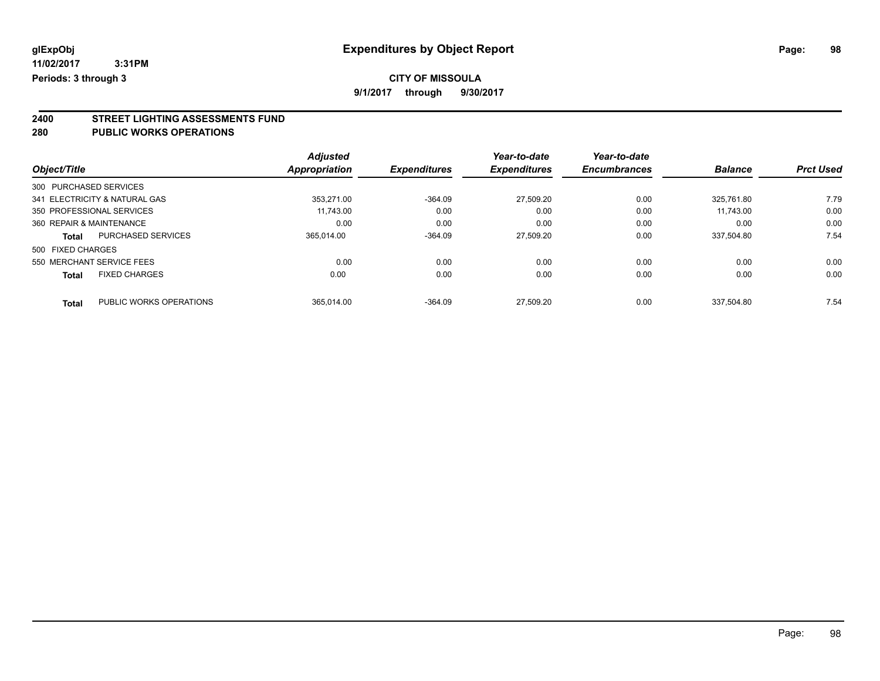**9/1/2017 through 9/30/2017**

# **2400 STREET LIGHTING ASSESSMENTS FUND**

### **280 PUBLIC WORKS OPERATIONS**

|                               |                           | <b>Adjusted</b>      |                     | Year-to-date        | Year-to-date        |                |                  |
|-------------------------------|---------------------------|----------------------|---------------------|---------------------|---------------------|----------------|------------------|
| Object/Title                  |                           | <b>Appropriation</b> | <b>Expenditures</b> | <b>Expenditures</b> | <b>Encumbrances</b> | <b>Balance</b> | <b>Prct Used</b> |
| 300 PURCHASED SERVICES        |                           |                      |                     |                     |                     |                |                  |
| 341 ELECTRICITY & NATURAL GAS |                           | 353.271.00           | $-364.09$           | 27.509.20           | 0.00                | 325.761.80     | 7.79             |
| 350 PROFESSIONAL SERVICES     |                           | 11.743.00            | 0.00                | 0.00                | 0.00                | 11.743.00      | 0.00             |
| 360 REPAIR & MAINTENANCE      |                           | 0.00                 | 0.00                | 0.00                | 0.00                | 0.00           | 0.00             |
| <b>Total</b>                  | <b>PURCHASED SERVICES</b> | 365.014.00           | $-364.09$           | 27.509.20           | 0.00                | 337.504.80     | 7.54             |
| 500 FIXED CHARGES             |                           |                      |                     |                     |                     |                |                  |
| 550 MERCHANT SERVICE FEES     |                           | 0.00                 | 0.00                | 0.00                | 0.00                | 0.00           | 0.00             |
| <b>Total</b>                  | <b>FIXED CHARGES</b>      | 0.00                 | 0.00                | 0.00                | 0.00                | 0.00           | 0.00             |
| Total                         | PUBLIC WORKS OPERATIONS   | 365.014.00           | $-364.09$           | 27.509.20           | 0.00                | 337.504.80     | 7.54             |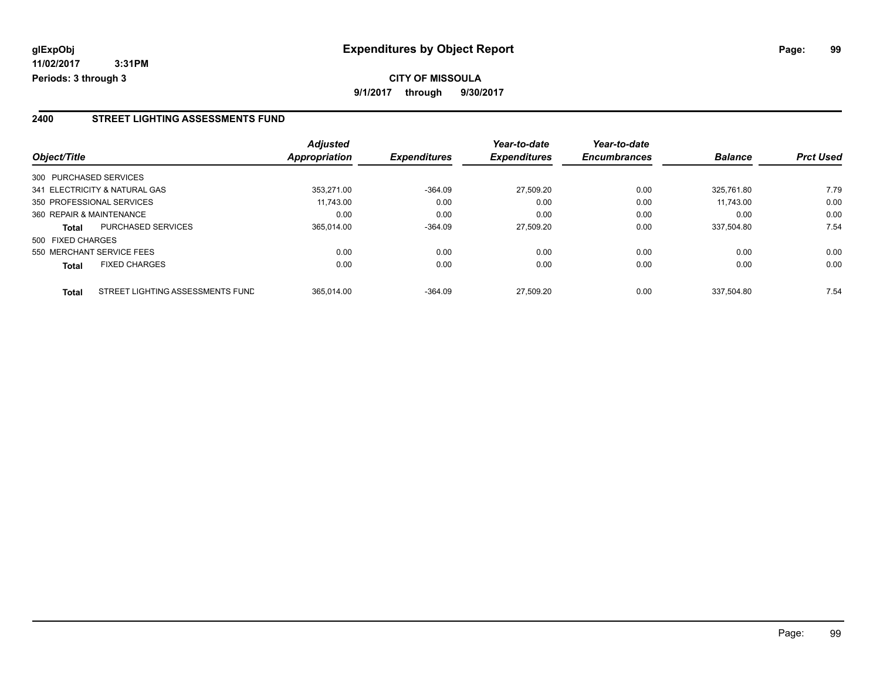### **2400 STREET LIGHTING ASSESSMENTS FUND**

|                          |                                  | <b>Adjusted</b>      |                     | Year-to-date        | Year-to-date        |                |                  |
|--------------------------|----------------------------------|----------------------|---------------------|---------------------|---------------------|----------------|------------------|
| Object/Title             |                                  | <b>Appropriation</b> | <b>Expenditures</b> | <b>Expenditures</b> | <b>Encumbrances</b> | <b>Balance</b> | <b>Prct Used</b> |
| 300 PURCHASED SERVICES   |                                  |                      |                     |                     |                     |                |                  |
|                          | 341 ELECTRICITY & NATURAL GAS    | 353.271.00           | $-364.09$           | 27.509.20           | 0.00                | 325.761.80     | 7.79             |
|                          | 350 PROFESSIONAL SERVICES        | 11,743.00            | 0.00                | 0.00                | 0.00                | 11.743.00      | 0.00             |
| 360 REPAIR & MAINTENANCE |                                  | 0.00                 | 0.00                | 0.00                | 0.00                | 0.00           | 0.00             |
| <b>Total</b>             | <b>PURCHASED SERVICES</b>        | 365.014.00           | $-364.09$           | 27.509.20           | 0.00                | 337.504.80     | 7.54             |
| 500 FIXED CHARGES        |                                  |                      |                     |                     |                     |                |                  |
|                          | 550 MERCHANT SERVICE FEES        | 0.00                 | 0.00                | 0.00                | 0.00                | 0.00           | 0.00             |
| <b>Total</b>             | <b>FIXED CHARGES</b>             | 0.00                 | 0.00                | 0.00                | 0.00                | 0.00           | 0.00             |
| <b>Total</b>             | STREET LIGHTING ASSESSMENTS FUND | 365.014.00           | $-364.09$           | 27.509.20           | 0.00                | 337.504.80     | 7.54             |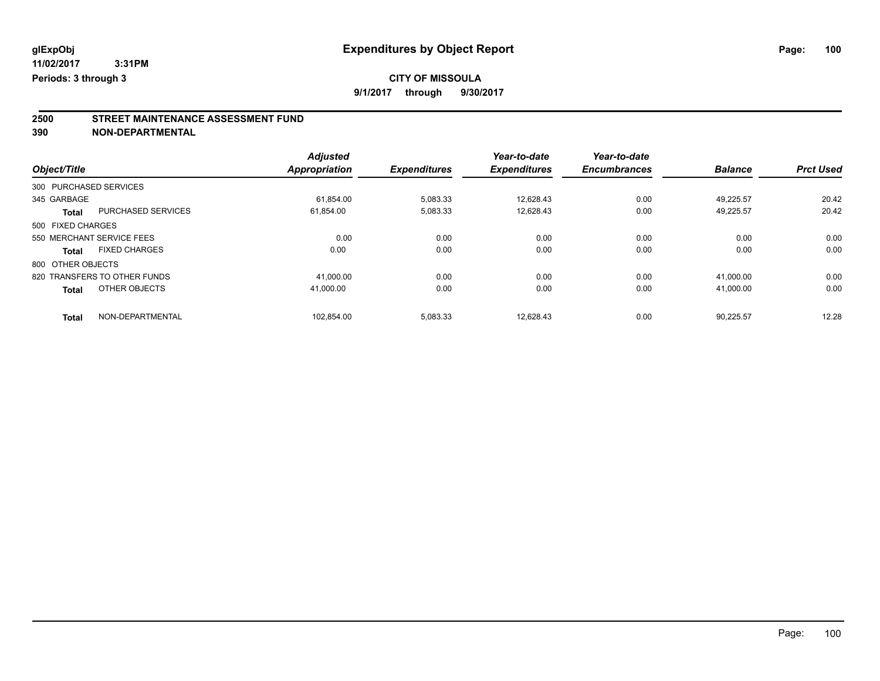# **CITY OF MISSOULA**

**9/1/2017 through 9/30/2017**

# **2500 STREET MAINTENANCE ASSESSMENT FUND**

**390 NON-DEPARTMENTAL**

|                        |                              | <b>Adjusted</b> |                     | Year-to-date        | Year-to-date        |                |                  |
|------------------------|------------------------------|-----------------|---------------------|---------------------|---------------------|----------------|------------------|
| Object/Title           |                              | Appropriation   | <b>Expenditures</b> | <b>Expenditures</b> | <b>Encumbrances</b> | <b>Balance</b> | <b>Prct Used</b> |
| 300 PURCHASED SERVICES |                              |                 |                     |                     |                     |                |                  |
| 345 GARBAGE            |                              | 61.854.00       | 5,083.33            | 12.628.43           | 0.00                | 49.225.57      | 20.42            |
| <b>Total</b>           | <b>PURCHASED SERVICES</b>    | 61,854.00       | 5,083.33            | 12,628.43           | 0.00                | 49.225.57      | 20.42            |
| 500 FIXED CHARGES      |                              |                 |                     |                     |                     |                |                  |
|                        | 550 MERCHANT SERVICE FEES    | 0.00            | 0.00                | 0.00                | 0.00                | 0.00           | 0.00             |
| <b>Total</b>           | <b>FIXED CHARGES</b>         | 0.00            | 0.00                | 0.00                | 0.00                | 0.00           | 0.00             |
| 800 OTHER OBJECTS      |                              |                 |                     |                     |                     |                |                  |
|                        | 820 TRANSFERS TO OTHER FUNDS | 41,000.00       | 0.00                | 0.00                | 0.00                | 41,000.00      | 0.00             |
| <b>Total</b>           | OTHER OBJECTS                | 41.000.00       | 0.00                | 0.00                | 0.00                | 41,000.00      | 0.00             |
| <b>Total</b>           | NON-DEPARTMENTAL             | 102.854.00      | 5,083.33            | 12.628.43           | 0.00                | 90.225.57      | 12.28            |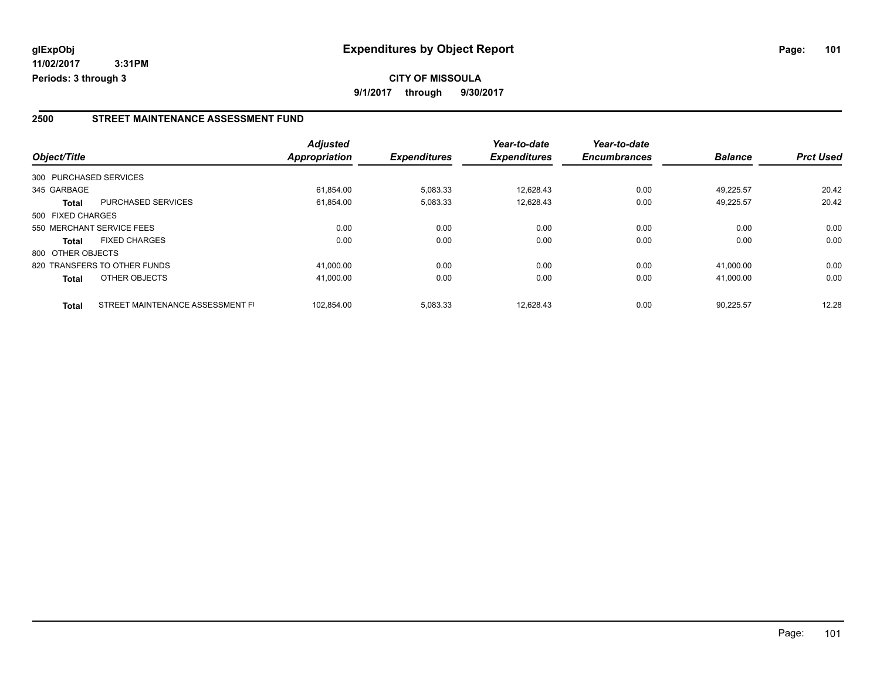# **2500 STREET MAINTENANCE ASSESSMENT FUND**

| Object/Title      |                                  | <b>Adjusted</b><br><b>Appropriation</b> | <b>Expenditures</b> | Year-to-date<br><b>Expenditures</b> | Year-to-date<br><b>Encumbrances</b> | <b>Balance</b> | <b>Prct Used</b> |
|-------------------|----------------------------------|-----------------------------------------|---------------------|-------------------------------------|-------------------------------------|----------------|------------------|
|                   |                                  |                                         |                     |                                     |                                     |                |                  |
|                   | 300 PURCHASED SERVICES           |                                         |                     |                                     |                                     |                |                  |
| 345 GARBAGE       |                                  | 61.854.00                               | 5,083.33            | 12,628.43                           | 0.00                                | 49.225.57      | 20.42            |
| <b>Total</b>      | <b>PURCHASED SERVICES</b>        | 61,854.00                               | 5,083.33            | 12,628.43                           | 0.00                                | 49,225.57      | 20.42            |
| 500 FIXED CHARGES |                                  |                                         |                     |                                     |                                     |                |                  |
|                   | 550 MERCHANT SERVICE FEES        | 0.00                                    | 0.00                | 0.00                                | 0.00                                | 0.00           | 0.00             |
| <b>Total</b>      | <b>FIXED CHARGES</b>             | 0.00                                    | 0.00                | 0.00                                | 0.00                                | 0.00           | 0.00             |
| 800 OTHER OBJECTS |                                  |                                         |                     |                                     |                                     |                |                  |
|                   | 820 TRANSFERS TO OTHER FUNDS     | 41.000.00                               | 0.00                | 0.00                                | 0.00                                | 41.000.00      | 0.00             |
| <b>Total</b>      | OTHER OBJECTS                    | 41,000.00                               | 0.00                | 0.00                                | 0.00                                | 41,000.00      | 0.00             |
| <b>Total</b>      | STREET MAINTENANCE ASSESSMENT FI | 102.854.00                              | 5,083.33            | 12.628.43                           | 0.00                                | 90,225.57      | 12.28            |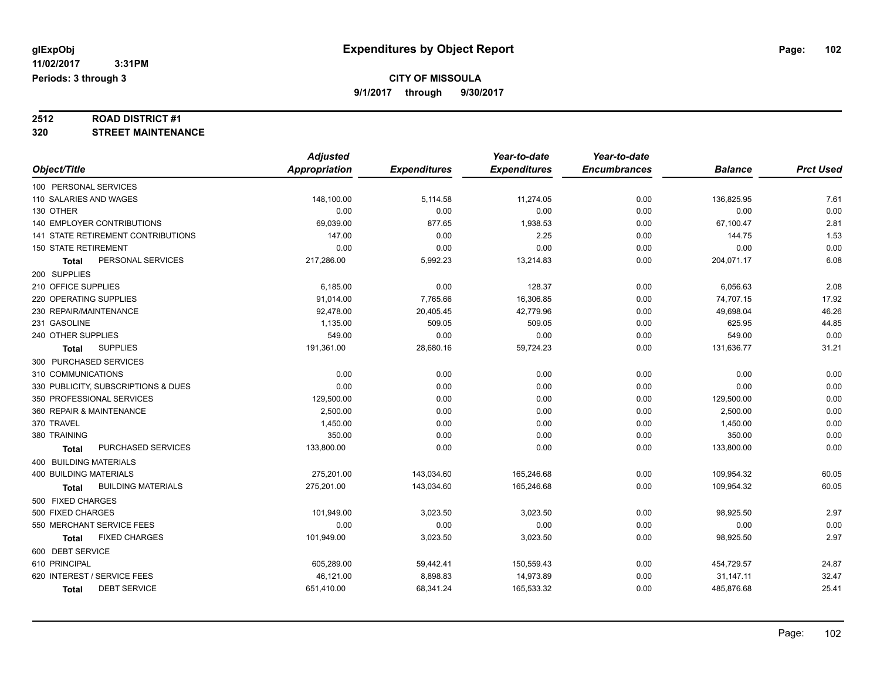# **2512 ROAD DISTRICT #1**

# **320 STREET MAINTENANCE**

|                                     | <b>Adjusted</b>      |                     | Year-to-date        | Year-to-date        |                |                  |
|-------------------------------------|----------------------|---------------------|---------------------|---------------------|----------------|------------------|
| Object/Title                        | <b>Appropriation</b> | <b>Expenditures</b> | <b>Expenditures</b> | <b>Encumbrances</b> | <b>Balance</b> | <b>Prct Used</b> |
| 100 PERSONAL SERVICES               |                      |                     |                     |                     |                |                  |
| 110 SALARIES AND WAGES              | 148,100.00           | 5,114.58            | 11,274.05           | 0.00                | 136,825.95     | 7.61             |
| 130 OTHER                           | 0.00                 | 0.00                | 0.00                | 0.00                | 0.00           | 0.00             |
| 140 EMPLOYER CONTRIBUTIONS          | 69,039.00            | 877.65              | 1,938.53            | 0.00                | 67,100.47      | 2.81             |
| 141 STATE RETIREMENT CONTRIBUTIONS  | 147.00               | 0.00                | 2.25                | 0.00                | 144.75         | 1.53             |
| <b>150 STATE RETIREMENT</b>         | 0.00                 | 0.00                | 0.00                | 0.00                | 0.00           | 0.00             |
| PERSONAL SERVICES<br>Total          | 217,286.00           | 5,992.23            | 13,214.83           | 0.00                | 204,071.17     | 6.08             |
| 200 SUPPLIES                        |                      |                     |                     |                     |                |                  |
| 210 OFFICE SUPPLIES                 | 6,185.00             | 0.00                | 128.37              | 0.00                | 6,056.63       | 2.08             |
| 220 OPERATING SUPPLIES              | 91,014.00            | 7,765.66            | 16,306.85           | 0.00                | 74,707.15      | 17.92            |
| 230 REPAIR/MAINTENANCE              | 92,478.00            | 20,405.45           | 42,779.96           | 0.00                | 49,698.04      | 46.26            |
| 231 GASOLINE                        | 1,135.00             | 509.05              | 509.05              | 0.00                | 625.95         | 44.85            |
| 240 OTHER SUPPLIES                  | 549.00               | 0.00                | 0.00                | 0.00                | 549.00         | 0.00             |
| <b>SUPPLIES</b><br><b>Total</b>     | 191,361.00           | 28,680.16           | 59,724.23           | 0.00                | 131,636.77     | 31.21            |
| 300 PURCHASED SERVICES              |                      |                     |                     |                     |                |                  |
| 310 COMMUNICATIONS                  | 0.00                 | 0.00                | 0.00                | 0.00                | 0.00           | 0.00             |
| 330 PUBLICITY, SUBSCRIPTIONS & DUES | 0.00                 | 0.00                | 0.00                | 0.00                | 0.00           | 0.00             |
| 350 PROFESSIONAL SERVICES           | 129,500.00           | 0.00                | 0.00                | 0.00                | 129,500.00     | 0.00             |
| 360 REPAIR & MAINTENANCE            | 2,500.00             | 0.00                | 0.00                | 0.00                | 2,500.00       | 0.00             |
| 370 TRAVEL                          | 1,450.00             | 0.00                | 0.00                | 0.00                | 1,450.00       | 0.00             |
| 380 TRAINING                        | 350.00               | 0.00                | 0.00                | 0.00                | 350.00         | 0.00             |
| PURCHASED SERVICES<br><b>Total</b>  | 133,800.00           | 0.00                | 0.00                | 0.00                | 133,800.00     | 0.00             |
| <b>400 BUILDING MATERIALS</b>       |                      |                     |                     |                     |                |                  |
| <b>400 BUILDING MATERIALS</b>       | 275,201.00           | 143,034.60          | 165,246.68          | 0.00                | 109,954.32     | 60.05            |
| <b>BUILDING MATERIALS</b><br>Total  | 275,201.00           | 143,034.60          | 165,246.68          | 0.00                | 109,954.32     | 60.05            |
| 500 FIXED CHARGES                   |                      |                     |                     |                     |                |                  |
| 500 FIXED CHARGES                   | 101,949.00           | 3,023.50            | 3,023.50            | 0.00                | 98,925.50      | 2.97             |
| 550 MERCHANT SERVICE FEES           | 0.00                 | 0.00                | 0.00                | 0.00                | 0.00           | 0.00             |
| <b>FIXED CHARGES</b><br>Total       | 101,949.00           | 3,023.50            | 3,023.50            | 0.00                | 98,925.50      | 2.97             |
| 600 DEBT SERVICE                    |                      |                     |                     |                     |                |                  |
| 610 PRINCIPAL                       | 605,289.00           | 59,442.41           | 150,559.43          | 0.00                | 454,729.57     | 24.87            |
| 620 INTEREST / SERVICE FEES         | 46,121.00            | 8,898.83            | 14,973.89           | 0.00                | 31,147.11      | 32.47            |
| <b>DEBT SERVICE</b><br><b>Total</b> | 651,410.00           | 68,341.24           | 165,533.32          | 0.00                | 485,876.68     | 25.41            |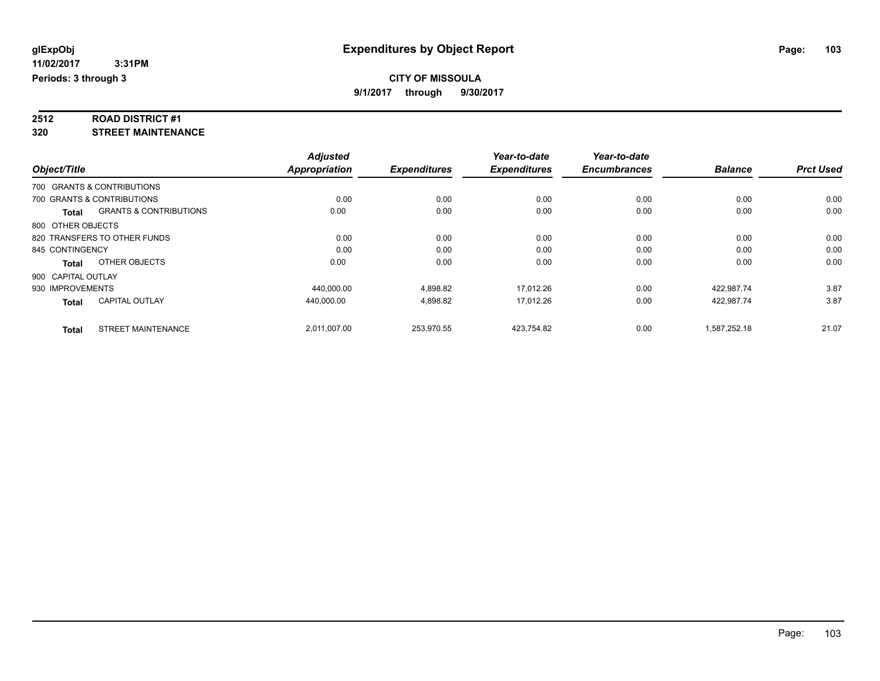# **2512 ROAD DISTRICT #1**

**320 STREET MAINTENANCE**

|                    |                                   | <b>Adjusted</b>      |                     | Year-to-date        | Year-to-date        |                |                  |
|--------------------|-----------------------------------|----------------------|---------------------|---------------------|---------------------|----------------|------------------|
| Object/Title       |                                   | <b>Appropriation</b> | <b>Expenditures</b> | <b>Expenditures</b> | <b>Encumbrances</b> | <b>Balance</b> | <b>Prct Used</b> |
|                    | 700 GRANTS & CONTRIBUTIONS        |                      |                     |                     |                     |                |                  |
|                    | 700 GRANTS & CONTRIBUTIONS        | 0.00                 | 0.00                | 0.00                | 0.00                | 0.00           | 0.00             |
| <b>Total</b>       | <b>GRANTS &amp; CONTRIBUTIONS</b> | 0.00                 | 0.00                | 0.00                | 0.00                | 0.00           | 0.00             |
| 800 OTHER OBJECTS  |                                   |                      |                     |                     |                     |                |                  |
|                    | 820 TRANSFERS TO OTHER FUNDS      | 0.00                 | 0.00                | 0.00                | 0.00                | 0.00           | 0.00             |
| 845 CONTINGENCY    |                                   | 0.00                 | 0.00                | 0.00                | 0.00                | 0.00           | 0.00             |
| <b>Total</b>       | OTHER OBJECTS                     | 0.00                 | 0.00                | 0.00                | 0.00                | 0.00           | 0.00             |
| 900 CAPITAL OUTLAY |                                   |                      |                     |                     |                     |                |                  |
| 930 IMPROVEMENTS   |                                   | 440,000.00           | 4,898.82            | 17,012.26           | 0.00                | 422,987.74     | 3.87             |
| <b>Total</b>       | <b>CAPITAL OUTLAY</b>             | 440.000.00           | 4,898.82            | 17.012.26           | 0.00                | 422.987.74     | 3.87             |
| <b>Total</b>       | <b>STREET MAINTENANCE</b>         | 2,011,007.00         | 253,970.55          | 423,754.82          | 0.00                | 1,587,252.18   | 21.07            |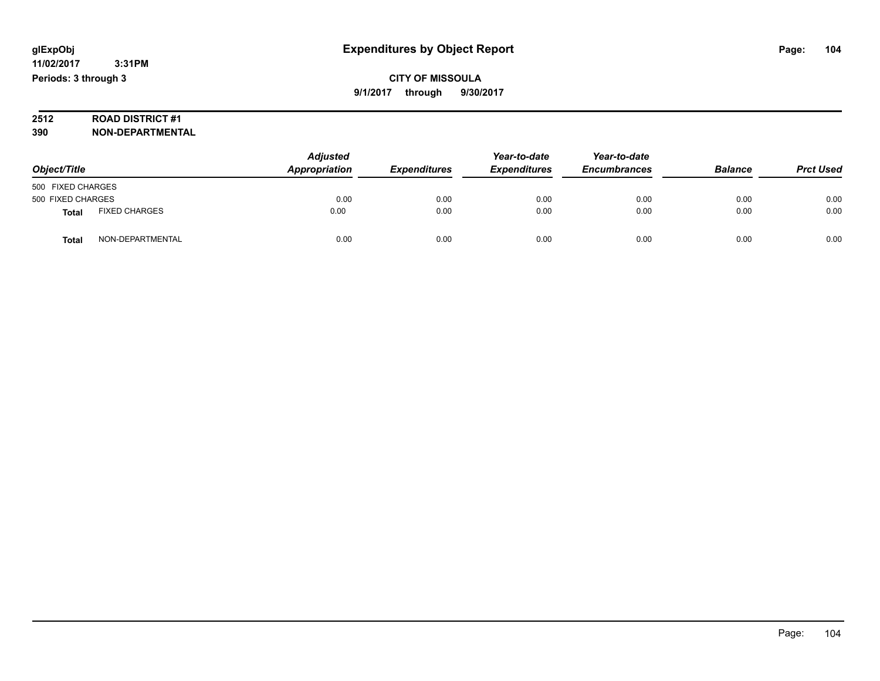# **2512 ROAD DISTRICT #1**

**390 NON-DEPARTMENTAL**

| Object/Title      |                      | <b>Adjusted</b><br>Appropriation | <b>Expenditures</b> | Year-to-date<br><b>Expenditures</b> | Year-to-date<br><b>Encumbrances</b> | <b>Balance</b> | <b>Prct Used</b> |
|-------------------|----------------------|----------------------------------|---------------------|-------------------------------------|-------------------------------------|----------------|------------------|
| 500 FIXED CHARGES |                      |                                  |                     |                                     |                                     |                |                  |
| 500 FIXED CHARGES |                      | 0.00                             | 0.00                | 0.00                                | 0.00                                | 0.00           | 0.00             |
| <b>Total</b>      | <b>FIXED CHARGES</b> | 0.00                             | 0.00                | 0.00                                | 0.00                                | 0.00           | 0.00             |
| Total             | NON-DEPARTMENTAL     | 0.00                             | 0.00                | 0.00                                | 0.00                                | 0.00           | 0.00             |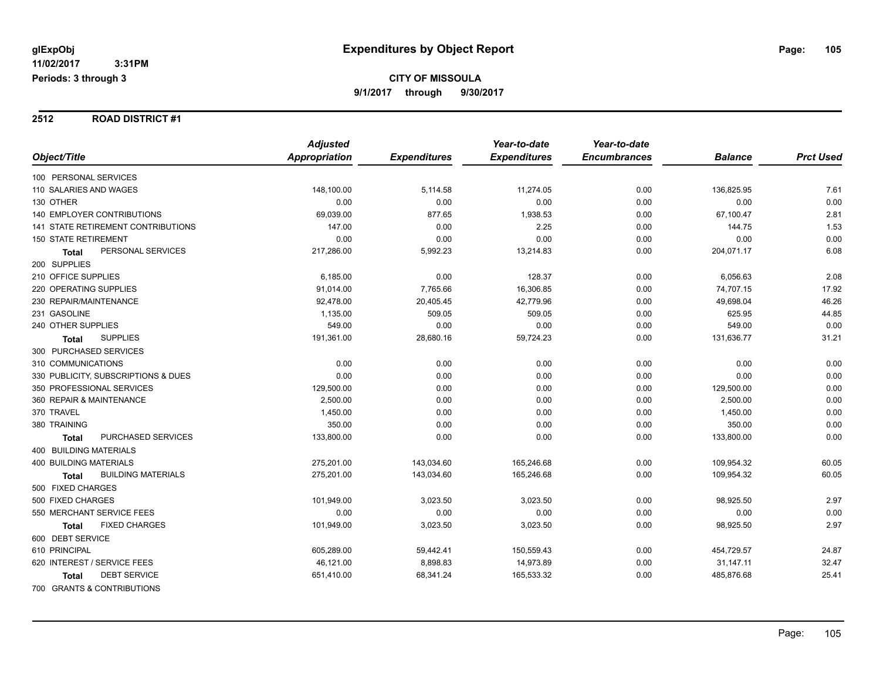#### **2512 ROAD DISTRICT #1**

|                                      | <b>Adjusted</b> |                     | Year-to-date        | Year-to-date        |                |                  |
|--------------------------------------|-----------------|---------------------|---------------------|---------------------|----------------|------------------|
| Object/Title                         | Appropriation   | <b>Expenditures</b> | <b>Expenditures</b> | <b>Encumbrances</b> | <b>Balance</b> | <b>Prct Used</b> |
| 100 PERSONAL SERVICES                |                 |                     |                     |                     |                |                  |
| 110 SALARIES AND WAGES               | 148,100.00      | 5,114.58            | 11,274.05           | 0.00                | 136,825.95     | 7.61             |
| 130 OTHER                            | 0.00            | 0.00                | 0.00                | 0.00                | 0.00           | 0.00             |
| <b>140 EMPLOYER CONTRIBUTIONS</b>    | 69,039.00       | 877.65              | 1,938.53            | 0.00                | 67,100.47      | 2.81             |
| 141 STATE RETIREMENT CONTRIBUTIONS   | 147.00          | 0.00                | 2.25                | 0.00                | 144.75         | 1.53             |
| <b>150 STATE RETIREMENT</b>          | 0.00            | 0.00                | 0.00                | 0.00                | 0.00           | 0.00             |
| PERSONAL SERVICES<br><b>Total</b>    | 217,286.00      | 5,992.23            | 13,214.83           | 0.00                | 204,071.17     | 6.08             |
| 200 SUPPLIES                         |                 |                     |                     |                     |                |                  |
| 210 OFFICE SUPPLIES                  | 6,185.00        | 0.00                | 128.37              | 0.00                | 6,056.63       | 2.08             |
| 220 OPERATING SUPPLIES               | 91,014.00       | 7,765.66            | 16,306.85           | 0.00                | 74,707.15      | 17.92            |
| 230 REPAIR/MAINTENANCE               | 92,478.00       | 20,405.45           | 42,779.96           | 0.00                | 49,698.04      | 46.26            |
| 231 GASOLINE                         | 1,135.00        | 509.05              | 509.05              | 0.00                | 625.95         | 44.85            |
| 240 OTHER SUPPLIES                   | 549.00          | 0.00                | 0.00                | 0.00                | 549.00         | 0.00             |
| <b>SUPPLIES</b><br><b>Total</b>      | 191,361.00      | 28,680.16           | 59,724.23           | 0.00                | 131,636.77     | 31.21            |
| 300 PURCHASED SERVICES               |                 |                     |                     |                     |                |                  |
| 310 COMMUNICATIONS                   | 0.00            | 0.00                | 0.00                | 0.00                | 0.00           | 0.00             |
| 330 PUBLICITY, SUBSCRIPTIONS & DUES  | 0.00            | 0.00                | 0.00                | 0.00                | 0.00           | 0.00             |
| 350 PROFESSIONAL SERVICES            | 129,500.00      | 0.00                | 0.00                | 0.00                | 129,500.00     | 0.00             |
| 360 REPAIR & MAINTENANCE             | 2,500.00        | 0.00                | 0.00                | 0.00                | 2,500.00       | 0.00             |
| 370 TRAVEL                           | 1,450.00        | 0.00                | 0.00                | 0.00                | 1,450.00       | 0.00             |
| 380 TRAINING                         | 350.00          | 0.00                | 0.00                | 0.00                | 350.00         | 0.00             |
| PURCHASED SERVICES<br><b>Total</b>   | 133,800.00      | 0.00                | 0.00                | 0.00                | 133,800.00     | 0.00             |
| 400 BUILDING MATERIALS               |                 |                     |                     |                     |                |                  |
| <b>400 BUILDING MATERIALS</b>        | 275,201.00      | 143,034.60          | 165,246.68          | 0.00                | 109,954.32     | 60.05            |
| <b>BUILDING MATERIALS</b><br>Total   | 275,201.00      | 143,034.60          | 165,246.68          | 0.00                | 109,954.32     | 60.05            |
| 500 FIXED CHARGES                    |                 |                     |                     |                     |                |                  |
| 500 FIXED CHARGES                    | 101,949.00      | 3,023.50            | 3,023.50            | 0.00                | 98,925.50      | 2.97             |
| 550 MERCHANT SERVICE FEES            | 0.00            | 0.00                | 0.00                | 0.00                | 0.00           | 0.00             |
| <b>FIXED CHARGES</b><br><b>Total</b> | 101,949.00      | 3,023.50            | 3,023.50            | 0.00                | 98,925.50      | 2.97             |
| 600 DEBT SERVICE                     |                 |                     |                     |                     |                |                  |
| 610 PRINCIPAL                        | 605,289.00      | 59,442.41           | 150,559.43          | 0.00                | 454,729.57     | 24.87            |
| 620 INTEREST / SERVICE FEES          | 46,121.00       | 8,898.83            | 14,973.89           | 0.00                | 31,147.11      | 32.47            |
| <b>DEBT SERVICE</b><br><b>Total</b>  | 651,410.00      | 68,341.24           | 165,533.32          | 0.00                | 485,876.68     | 25.41            |
| 700 GRANTS & CONTRIBUTIONS           |                 |                     |                     |                     |                |                  |

Page: 105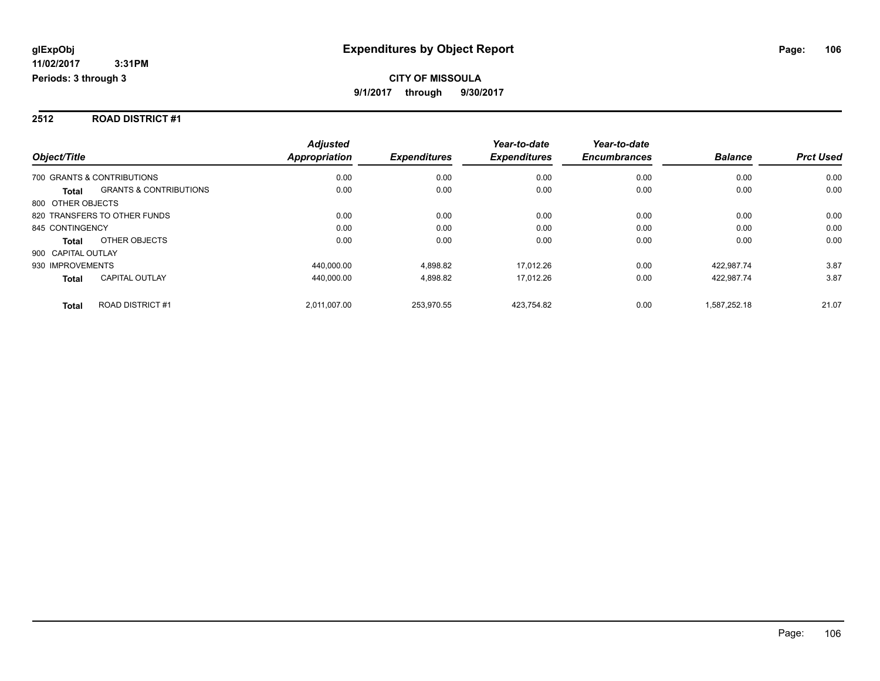### **2512 ROAD DISTRICT #1**

|                                                   | <b>Adjusted</b>      |                     | Year-to-date        | Year-to-date        |                |                  |
|---------------------------------------------------|----------------------|---------------------|---------------------|---------------------|----------------|------------------|
| Object/Title                                      | <b>Appropriation</b> | <b>Expenditures</b> | <b>Expenditures</b> | <b>Encumbrances</b> | <b>Balance</b> | <b>Prct Used</b> |
| 700 GRANTS & CONTRIBUTIONS                        | 0.00                 | 0.00                | 0.00                | 0.00                | 0.00           | 0.00             |
| <b>GRANTS &amp; CONTRIBUTIONS</b><br><b>Total</b> | 0.00                 | 0.00                | 0.00                | 0.00                | 0.00           | 0.00             |
| 800 OTHER OBJECTS                                 |                      |                     |                     |                     |                |                  |
| 820 TRANSFERS TO OTHER FUNDS                      | 0.00                 | 0.00                | 0.00                | 0.00                | 0.00           | 0.00             |
| 845 CONTINGENCY                                   | 0.00                 | 0.00                | 0.00                | 0.00                | 0.00           | 0.00             |
| OTHER OBJECTS<br><b>Total</b>                     | 0.00                 | 0.00                | 0.00                | 0.00                | 0.00           | 0.00             |
| 900 CAPITAL OUTLAY                                |                      |                     |                     |                     |                |                  |
| 930 IMPROVEMENTS                                  | 440,000.00           | 4,898.82            | 17.012.26           | 0.00                | 422.987.74     | 3.87             |
| <b>CAPITAL OUTLAY</b><br><b>Total</b>             | 440.000.00           | 4,898.82            | 17.012.26           | 0.00                | 422,987.74     | 3.87             |
| <b>ROAD DISTRICT#1</b><br><b>Total</b>            | 2,011,007.00         | 253.970.55          | 423.754.82          | 0.00                | 1,587,252.18   | 21.07            |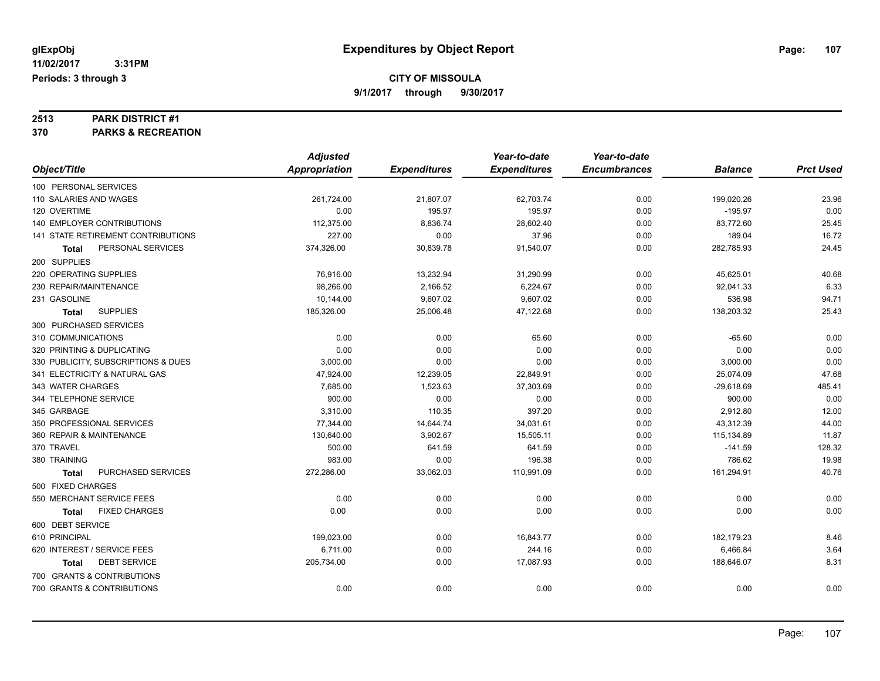# **2513 PARK DISTRICT #1**

**370 PARKS & RECREATION**

|                                           | <b>Adjusted</b>      |                     | Year-to-date        | Year-to-date        |                |                  |
|-------------------------------------------|----------------------|---------------------|---------------------|---------------------|----------------|------------------|
| Object/Title                              | <b>Appropriation</b> | <b>Expenditures</b> | <b>Expenditures</b> | <b>Encumbrances</b> | <b>Balance</b> | <b>Prct Used</b> |
| 100 PERSONAL SERVICES                     |                      |                     |                     |                     |                |                  |
| 110 SALARIES AND WAGES                    | 261,724.00           | 21,807.07           | 62,703.74           | 0.00                | 199,020.26     | 23.96            |
| 120 OVERTIME                              | 0.00                 | 195.97              | 195.97              | 0.00                | $-195.97$      | 0.00             |
| 140 EMPLOYER CONTRIBUTIONS                | 112,375.00           | 8,836.74            | 28,602.40           | 0.00                | 83,772.60      | 25.45            |
| <b>141 STATE RETIREMENT CONTRIBUTIONS</b> | 227.00               | 0.00                | 37.96               | 0.00                | 189.04         | 16.72            |
| PERSONAL SERVICES<br><b>Total</b>         | 374,326.00           | 30,839.78           | 91,540.07           | 0.00                | 282,785.93     | 24.45            |
| 200 SUPPLIES                              |                      |                     |                     |                     |                |                  |
| 220 OPERATING SUPPLIES                    | 76,916.00            | 13,232.94           | 31,290.99           | 0.00                | 45,625.01      | 40.68            |
| 230 REPAIR/MAINTENANCE                    | 98,266.00            | 2,166.52            | 6,224.67            | 0.00                | 92,041.33      | 6.33             |
| 231 GASOLINE                              | 10,144.00            | 9,607.02            | 9,607.02            | 0.00                | 536.98         | 94.71            |
| <b>SUPPLIES</b><br><b>Total</b>           | 185,326.00           | 25,006.48           | 47,122.68           | 0.00                | 138,203.32     | 25.43            |
| 300 PURCHASED SERVICES                    |                      |                     |                     |                     |                |                  |
| 310 COMMUNICATIONS                        | 0.00                 | 0.00                | 65.60               | 0.00                | $-65.60$       | 0.00             |
| 320 PRINTING & DUPLICATING                | 0.00                 | 0.00                | 0.00                | 0.00                | 0.00           | 0.00             |
| 330 PUBLICITY, SUBSCRIPTIONS & DUES       | 3,000.00             | 0.00                | 0.00                | 0.00                | 3,000.00       | 0.00             |
| 341 ELECTRICITY & NATURAL GAS             | 47,924.00            | 12,239.05           | 22,849.91           | 0.00                | 25,074.09      | 47.68            |
| 343 WATER CHARGES                         | 7,685.00             | 1,523.63            | 37,303.69           | 0.00                | $-29,618.69$   | 485.41           |
| 344 TELEPHONE SERVICE                     | 900.00               | 0.00                | 0.00                | 0.00                | 900.00         | 0.00             |
| 345 GARBAGE                               | 3,310.00             | 110.35              | 397.20              | 0.00                | 2,912.80       | 12.00            |
| 350 PROFESSIONAL SERVICES                 | 77,344.00            | 14,644.74           | 34,031.61           | 0.00                | 43,312.39      | 44.00            |
| 360 REPAIR & MAINTENANCE                  | 130,640.00           | 3,902.67            | 15,505.11           | 0.00                | 115,134.89     | 11.87            |
| 370 TRAVEL                                | 500.00               | 641.59              | 641.59              | 0.00                | $-141.59$      | 128.32           |
| 380 TRAINING                              | 983.00               | 0.00                | 196.38              | 0.00                | 786.62         | 19.98            |
| PURCHASED SERVICES<br>Total               | 272,286.00           | 33,062.03           | 110,991.09          | 0.00                | 161,294.91     | 40.76            |
| 500 FIXED CHARGES                         |                      |                     |                     |                     |                |                  |
| 550 MERCHANT SERVICE FEES                 | 0.00                 | 0.00                | 0.00                | 0.00                | 0.00           | 0.00             |
| <b>FIXED CHARGES</b><br><b>Total</b>      | 0.00                 | 0.00                | 0.00                | 0.00                | 0.00           | 0.00             |
| 600 DEBT SERVICE                          |                      |                     |                     |                     |                |                  |
| 610 PRINCIPAL                             | 199,023.00           | 0.00                | 16,843.77           | 0.00                | 182,179.23     | 8.46             |
| 620 INTEREST / SERVICE FEES               | 6,711.00             | 0.00                | 244.16              | 0.00                | 6,466.84       | 3.64             |
| <b>DEBT SERVICE</b><br><b>Total</b>       | 205,734.00           | 0.00                | 17,087.93           | 0.00                | 188,646.07     | 8.31             |
| 700 GRANTS & CONTRIBUTIONS                |                      |                     |                     |                     |                |                  |
| 700 GRANTS & CONTRIBUTIONS                | 0.00                 | 0.00                | 0.00                | 0.00                | 0.00           | 0.00             |
|                                           |                      |                     |                     |                     |                |                  |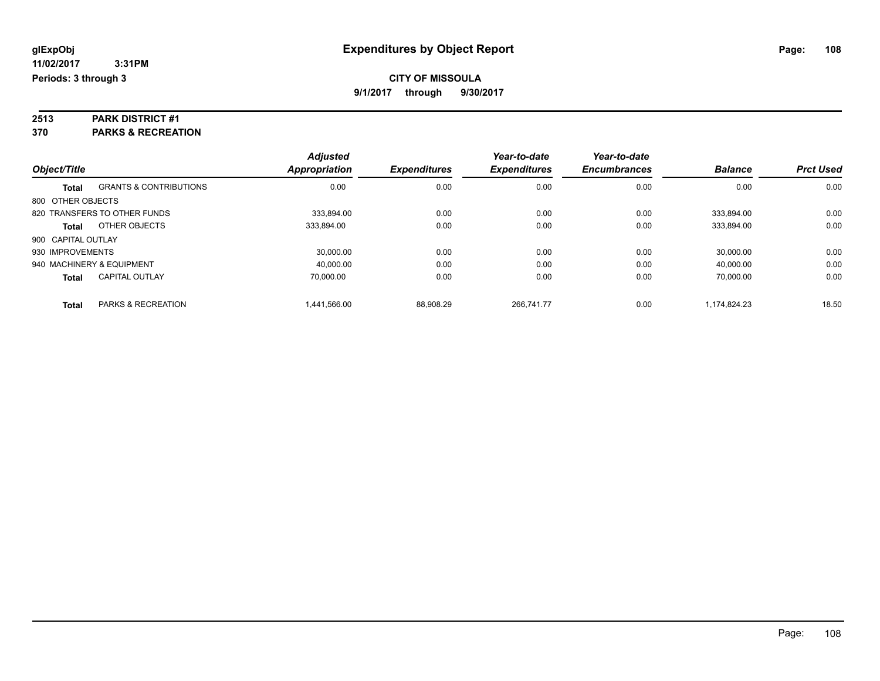# **2513 PARK DISTRICT #1**

**370 PARKS & RECREATION**

| Object/Title       |                                   | <b>Adjusted</b><br><b>Appropriation</b> | <b>Expenditures</b> | Year-to-date<br><b>Expenditures</b> | Year-to-date<br><b>Encumbrances</b> | <b>Balance</b> | <b>Prct Used</b> |
|--------------------|-----------------------------------|-----------------------------------------|---------------------|-------------------------------------|-------------------------------------|----------------|------------------|
|                    |                                   |                                         |                     |                                     |                                     |                |                  |
| <b>Total</b>       | <b>GRANTS &amp; CONTRIBUTIONS</b> | 0.00                                    | 0.00                | 0.00                                | 0.00                                | 0.00           | 0.00             |
| 800 OTHER OBJECTS  |                                   |                                         |                     |                                     |                                     |                |                  |
|                    | 820 TRANSFERS TO OTHER FUNDS      | 333.894.00                              | 0.00                | 0.00                                | 0.00                                | 333.894.00     | 0.00             |
| <b>Total</b>       | OTHER OBJECTS                     | 333,894.00                              | 0.00                | 0.00                                | 0.00                                | 333,894.00     | 0.00             |
| 900 CAPITAL OUTLAY |                                   |                                         |                     |                                     |                                     |                |                  |
| 930 IMPROVEMENTS   |                                   | 30,000.00                               | 0.00                | 0.00                                | 0.00                                | 30.000.00      | 0.00             |
|                    | 940 MACHINERY & EQUIPMENT         | 40,000.00                               | 0.00                | 0.00                                | 0.00                                | 40,000.00      | 0.00             |
| <b>Total</b>       | <b>CAPITAL OUTLAY</b>             | 70.000.00                               | 0.00                | 0.00                                | 0.00                                | 70.000.00      | 0.00             |
| <b>Total</b>       | <b>PARKS &amp; RECREATION</b>     | 1.441.566.00                            | 88.908.29           | 266.741.77                          | 0.00                                | 1.174.824.23   | 18.50            |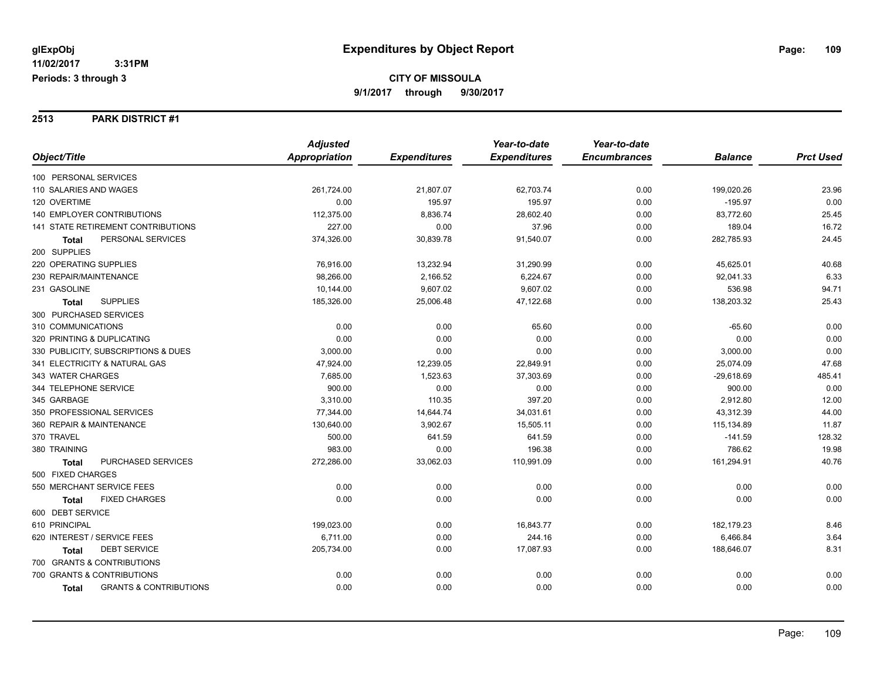#### **2513 PARK DISTRICT #1**

|                                            | <b>Adjusted</b> |                     | Year-to-date        | Year-to-date        |                |                  |
|--------------------------------------------|-----------------|---------------------|---------------------|---------------------|----------------|------------------|
| Object/Title                               | Appropriation   | <b>Expenditures</b> | <b>Expenditures</b> | <b>Encumbrances</b> | <b>Balance</b> | <b>Prct Used</b> |
| 100 PERSONAL SERVICES                      |                 |                     |                     |                     |                |                  |
| 110 SALARIES AND WAGES                     | 261,724.00      | 21,807.07           | 62,703.74           | 0.00                | 199,020.26     | 23.96            |
| 120 OVERTIME                               | 0.00            | 195.97              | 195.97              | 0.00                | $-195.97$      | 0.00             |
| <b>140 EMPLOYER CONTRIBUTIONS</b>          | 112,375.00      | 8,836.74            | 28,602.40           | 0.00                | 83,772.60      | 25.45            |
| 141 STATE RETIREMENT CONTRIBUTIONS         | 227.00          | 0.00                | 37.96               | 0.00                | 189.04         | 16.72            |
| PERSONAL SERVICES<br><b>Total</b>          | 374,326.00      | 30,839.78           | 91,540.07           | 0.00                | 282,785.93     | 24.45            |
| 200 SUPPLIES                               |                 |                     |                     |                     |                |                  |
| 220 OPERATING SUPPLIES                     | 76,916.00       | 13,232.94           | 31,290.99           | 0.00                | 45,625.01      | 40.68            |
| 230 REPAIR/MAINTENANCE                     | 98,266.00       | 2,166.52            | 6,224.67            | 0.00                | 92,041.33      | 6.33             |
| 231 GASOLINE                               | 10,144.00       | 9,607.02            | 9,607.02            | 0.00                | 536.98         | 94.71            |
| <b>SUPPLIES</b><br><b>Total</b>            | 185,326.00      | 25,006.48           | 47,122.68           | 0.00                | 138,203.32     | 25.43            |
| 300 PURCHASED SERVICES                     |                 |                     |                     |                     |                |                  |
| 310 COMMUNICATIONS                         | 0.00            | 0.00                | 65.60               | 0.00                | $-65.60$       | 0.00             |
| 320 PRINTING & DUPLICATING                 | 0.00            | 0.00                | 0.00                | 0.00                | 0.00           | 0.00             |
| 330 PUBLICITY, SUBSCRIPTIONS & DUES        | 3,000.00        | 0.00                | 0.00                | 0.00                | 3,000.00       | 0.00             |
| 341 ELECTRICITY & NATURAL GAS              | 47,924.00       | 12,239.05           | 22,849.91           | 0.00                | 25,074.09      | 47.68            |
| 343 WATER CHARGES                          | 7,685.00        | 1,523.63            | 37,303.69           | 0.00                | $-29,618.69$   | 485.41           |
| 344 TELEPHONE SERVICE                      | 900.00          | 0.00                | 0.00                | 0.00                | 900.00         | 0.00             |
| 345 GARBAGE                                | 3,310.00        | 110.35              | 397.20              | 0.00                | 2,912.80       | 12.00            |
| 350 PROFESSIONAL SERVICES                  | 77,344.00       | 14,644.74           | 34,031.61           | 0.00                | 43,312.39      | 44.00            |
| 360 REPAIR & MAINTENANCE                   | 130,640.00      | 3,902.67            | 15,505.11           | 0.00                | 115,134.89     | 11.87            |
| 370 TRAVEL                                 | 500.00          | 641.59              | 641.59              | 0.00                | $-141.59$      | 128.32           |
| 380 TRAINING                               | 983.00          | 0.00                | 196.38              | 0.00                | 786.62         | 19.98            |
| PURCHASED SERVICES<br><b>Total</b>         | 272,286.00      | 33,062.03           | 110,991.09          | 0.00                | 161,294.91     | 40.76            |
| 500 FIXED CHARGES                          |                 |                     |                     |                     |                |                  |
| 550 MERCHANT SERVICE FEES                  | 0.00            | 0.00                | 0.00                | 0.00                | 0.00           | 0.00             |
| <b>FIXED CHARGES</b><br><b>Total</b>       | 0.00            | 0.00                | 0.00                | 0.00                | 0.00           | 0.00             |
| 600 DEBT SERVICE                           |                 |                     |                     |                     |                |                  |
| 610 PRINCIPAL                              | 199,023.00      | 0.00                | 16,843.77           | 0.00                | 182,179.23     | 8.46             |
| 620 INTEREST / SERVICE FEES                | 6,711.00        | 0.00                | 244.16              | 0.00                | 6,466.84       | 3.64             |
| <b>DEBT SERVICE</b><br><b>Total</b>        | 205,734.00      | 0.00                | 17,087.93           | 0.00                | 188,646.07     | 8.31             |
| 700 GRANTS & CONTRIBUTIONS                 |                 |                     |                     |                     |                |                  |
| 700 GRANTS & CONTRIBUTIONS                 | 0.00            | 0.00                | 0.00                | 0.00                | 0.00           | 0.00             |
| <b>GRANTS &amp; CONTRIBUTIONS</b><br>Total | 0.00            | 0.00                | 0.00                | 0.00                | 0.00           | 0.00             |
|                                            |                 |                     |                     |                     |                |                  |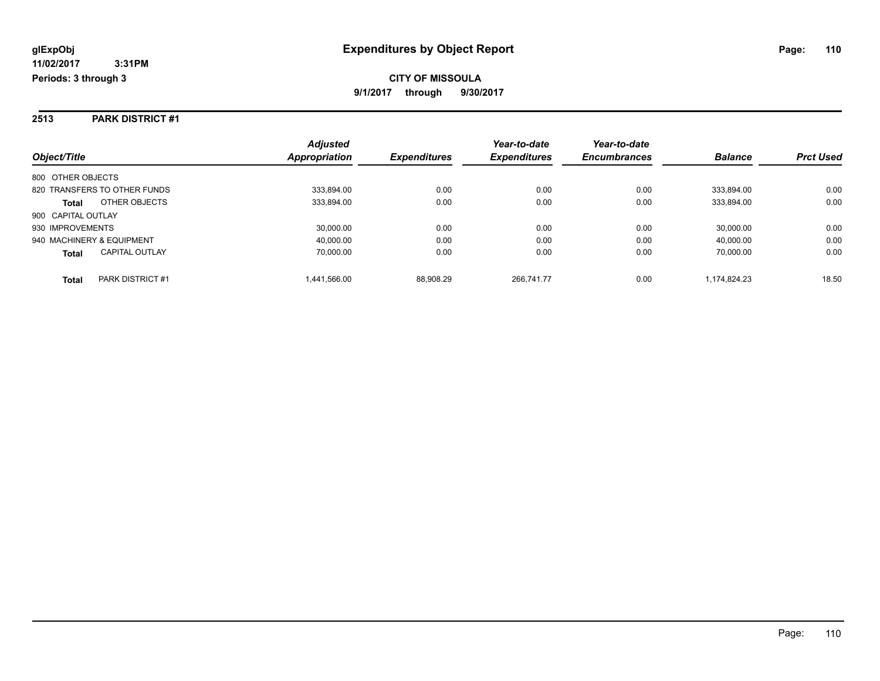#### **2513 PARK DISTRICT #1**

|                                       | <b>Adjusted</b> |                     | Year-to-date        | Year-to-date        |                |                  |
|---------------------------------------|-----------------|---------------------|---------------------|---------------------|----------------|------------------|
| Object/Title                          | Appropriation   | <b>Expenditures</b> | <b>Expenditures</b> | <b>Encumbrances</b> | <b>Balance</b> | <b>Prct Used</b> |
| 800 OTHER OBJECTS                     |                 |                     |                     |                     |                |                  |
| 820 TRANSFERS TO OTHER FUNDS          | 333.894.00      | 0.00                | 0.00                | 0.00                | 333.894.00     | 0.00             |
| OTHER OBJECTS<br><b>Total</b>         | 333,894.00      | 0.00                | 0.00                | 0.00                | 333.894.00     | 0.00             |
| 900 CAPITAL OUTLAY                    |                 |                     |                     |                     |                |                  |
| 930 IMPROVEMENTS                      | 30,000.00       | 0.00                | 0.00                | 0.00                | 30.000.00      | 0.00             |
| 940 MACHINERY & EQUIPMENT             | 40,000.00       | 0.00                | 0.00                | 0.00                | 40.000.00      | 0.00             |
| <b>CAPITAL OUTLAY</b><br><b>Total</b> | 70.000.00       | 0.00                | 0.00                | 0.00                | 70.000.00      | 0.00             |
| PARK DISTRICT #1<br><b>Total</b>      | 1.441.566.00    | 88.908.29           | 266.741.77          | 0.00                | 1.174.824.23   | 18.50            |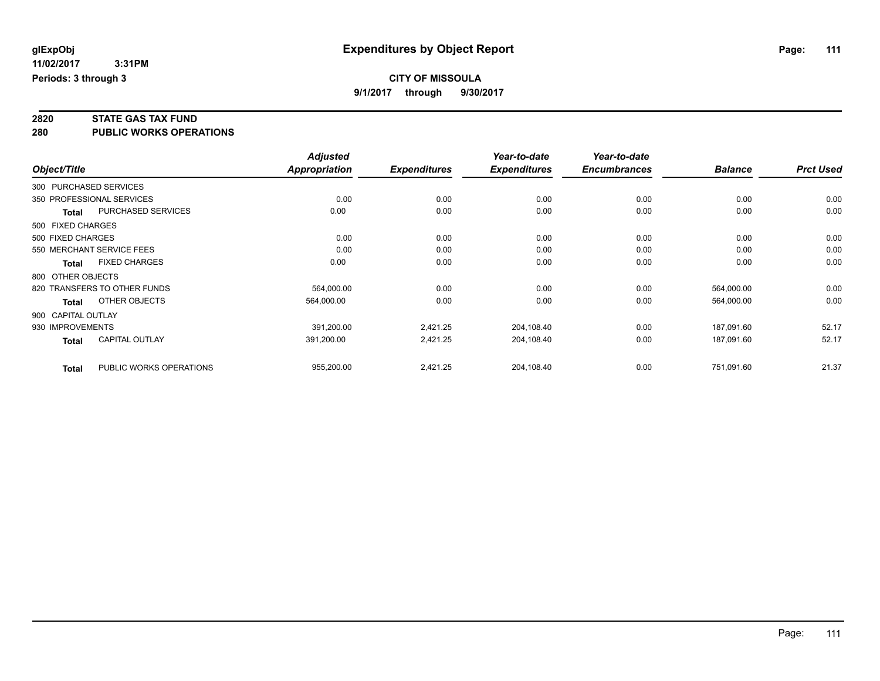**2820 STATE GAS TAX FUND**

**280 PUBLIC WORKS OPERATIONS**

|                    |                              | <b>Adjusted</b> |                     | Year-to-date        | Year-to-date        |                |                  |
|--------------------|------------------------------|-----------------|---------------------|---------------------|---------------------|----------------|------------------|
| Object/Title       |                              | Appropriation   | <b>Expenditures</b> | <b>Expenditures</b> | <b>Encumbrances</b> | <b>Balance</b> | <b>Prct Used</b> |
|                    | 300 PURCHASED SERVICES       |                 |                     |                     |                     |                |                  |
|                    | 350 PROFESSIONAL SERVICES    | 0.00            | 0.00                | 0.00                | 0.00                | 0.00           | 0.00             |
| <b>Total</b>       | PURCHASED SERVICES           | 0.00            | 0.00                | 0.00                | 0.00                | 0.00           | 0.00             |
| 500 FIXED CHARGES  |                              |                 |                     |                     |                     |                |                  |
| 500 FIXED CHARGES  |                              | 0.00            | 0.00                | 0.00                | 0.00                | 0.00           | 0.00             |
|                    | 550 MERCHANT SERVICE FEES    | 0.00            | 0.00                | 0.00                | 0.00                | 0.00           | 0.00             |
| Total              | <b>FIXED CHARGES</b>         | 0.00            | 0.00                | 0.00                | 0.00                | 0.00           | 0.00             |
| 800 OTHER OBJECTS  |                              |                 |                     |                     |                     |                |                  |
|                    | 820 TRANSFERS TO OTHER FUNDS | 564,000.00      | 0.00                | 0.00                | 0.00                | 564,000.00     | 0.00             |
| Total              | OTHER OBJECTS                | 564,000.00      | 0.00                | 0.00                | 0.00                | 564,000.00     | 0.00             |
| 900 CAPITAL OUTLAY |                              |                 |                     |                     |                     |                |                  |
| 930 IMPROVEMENTS   |                              | 391,200.00      | 2,421.25            | 204,108.40          | 0.00                | 187,091.60     | 52.17            |
| <b>Total</b>       | <b>CAPITAL OUTLAY</b>        | 391,200.00      | 2,421.25            | 204,108.40          | 0.00                | 187,091.60     | 52.17            |
| <b>Total</b>       | PUBLIC WORKS OPERATIONS      | 955,200.00      | 2,421.25            | 204,108.40          | 0.00                | 751,091.60     | 21.37            |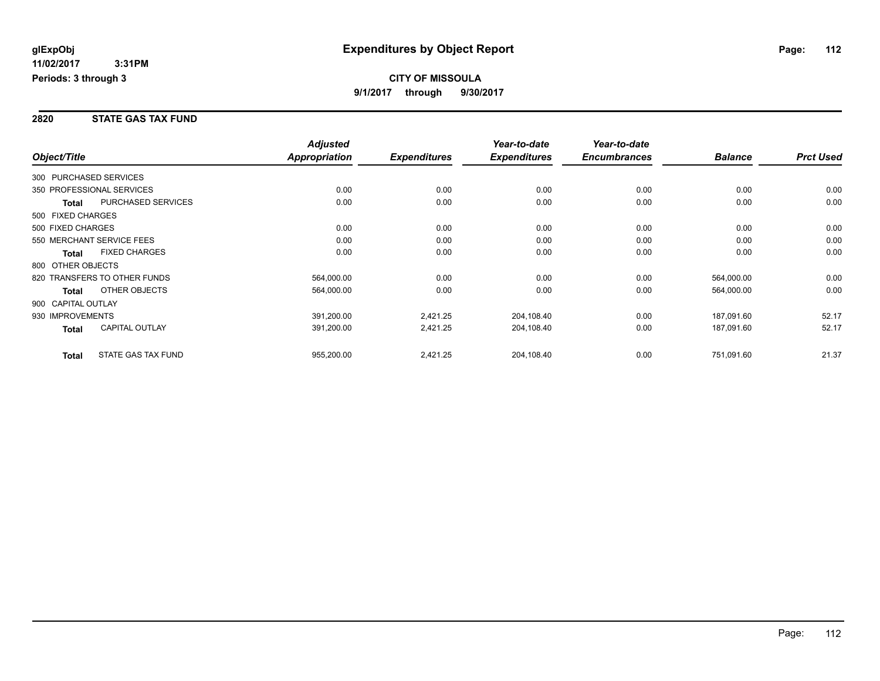#### **2820 STATE GAS TAX FUND**

|                           |                              | <b>Adjusted</b> |                     | Year-to-date        | Year-to-date        |                |                  |
|---------------------------|------------------------------|-----------------|---------------------|---------------------|---------------------|----------------|------------------|
| Object/Title              |                              | Appropriation   | <b>Expenditures</b> | <b>Expenditures</b> | <b>Encumbrances</b> | <b>Balance</b> | <b>Prct Used</b> |
| 300 PURCHASED SERVICES    |                              |                 |                     |                     |                     |                |                  |
| 350 PROFESSIONAL SERVICES |                              | 0.00            | 0.00                | 0.00                | 0.00                | 0.00           | 0.00             |
| Total                     | PURCHASED SERVICES           | 0.00            | 0.00                | 0.00                | 0.00                | 0.00           | 0.00             |
| 500 FIXED CHARGES         |                              |                 |                     |                     |                     |                |                  |
| 500 FIXED CHARGES         |                              | 0.00            | 0.00                | 0.00                | 0.00                | 0.00           | 0.00             |
|                           | 550 MERCHANT SERVICE FEES    | 0.00            | 0.00                | 0.00                | 0.00                | 0.00           | 0.00             |
| <b>Total</b>              | <b>FIXED CHARGES</b>         | 0.00            | 0.00                | 0.00                | 0.00                | 0.00           | 0.00             |
| 800 OTHER OBJECTS         |                              |                 |                     |                     |                     |                |                  |
|                           | 820 TRANSFERS TO OTHER FUNDS | 564,000.00      | 0.00                | 0.00                | 0.00                | 564,000.00     | 0.00             |
| <b>Total</b>              | OTHER OBJECTS                | 564,000.00      | 0.00                | 0.00                | 0.00                | 564,000.00     | 0.00             |
| 900 CAPITAL OUTLAY        |                              |                 |                     |                     |                     |                |                  |
| 930 IMPROVEMENTS          |                              | 391,200.00      | 2,421.25            | 204,108.40          | 0.00                | 187,091.60     | 52.17            |
| Total                     | <b>CAPITAL OUTLAY</b>        | 391,200.00      | 2,421.25            | 204,108.40          | 0.00                | 187,091.60     | 52.17            |
| <b>Total</b>              | STATE GAS TAX FUND           | 955,200.00      | 2,421.25            | 204,108.40          | 0.00                | 751,091.60     | 21.37            |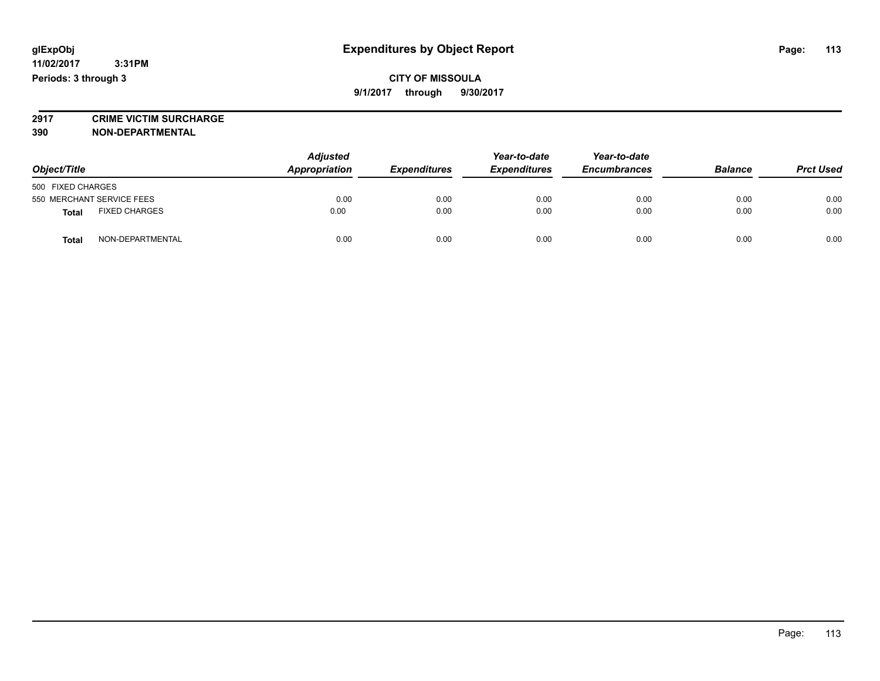**2917 CRIME VICTIM SURCHARGE**

**390 NON-DEPARTMENTAL**

| Object/Title              |                      | <b>Adjusted</b><br>Appropriation | Year-to-date<br><b>Expenditures</b><br><b>Expenditures</b> | Year-to-date<br><b>Encumbrances</b> | <b>Balance</b> | <b>Prct Used</b> |      |
|---------------------------|----------------------|----------------------------------|------------------------------------------------------------|-------------------------------------|----------------|------------------|------|
| 500 FIXED CHARGES         |                      |                                  |                                                            |                                     |                |                  |      |
| 550 MERCHANT SERVICE FEES |                      | 0.00                             | 0.00                                                       | 0.00                                | 0.00           | 0.00             | 0.00 |
| <b>Total</b>              | <b>FIXED CHARGES</b> | 0.00                             | 0.00                                                       | 0.00                                | 0.00           | 0.00             | 0.00 |
| <b>Total</b>              | NON-DEPARTMENTAL     | 0.00                             | 0.00                                                       | 0.00                                | 0.00           | 0.00             | 0.00 |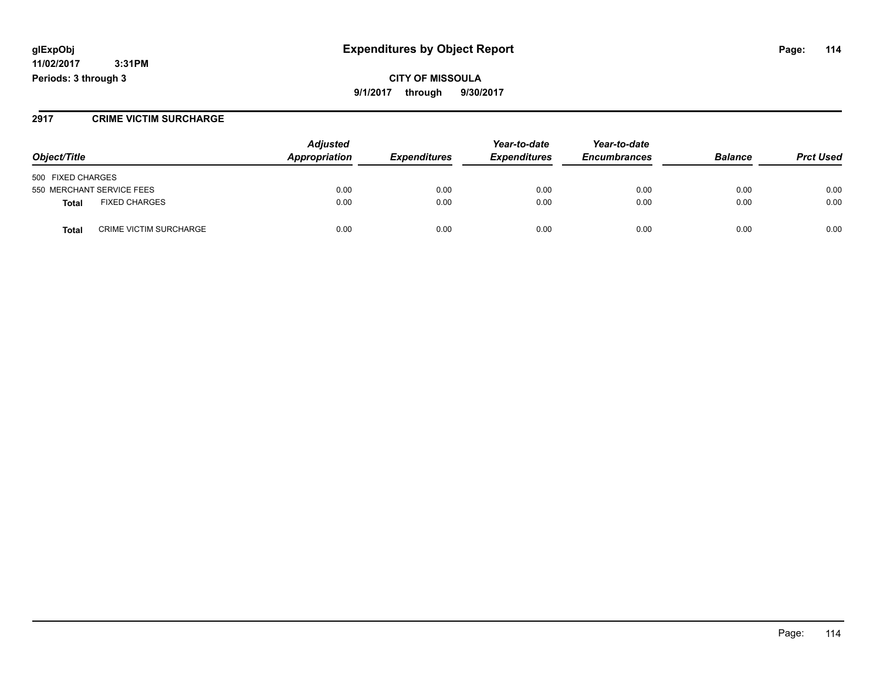### **glExpObj Expenditures by Object Report Page: 114**

**11/02/2017 3:31PM Periods: 3 through 3**

#### **2917 CRIME VICTIM SURCHARGE**

| Object/Title                           | <b>Adjusted</b><br>Appropriation<br><b>Expenditures</b> | Year-to-date<br><b>Expenditures</b> | Year-to-date<br><b>Encumbrances</b> | <b>Balance</b> | <b>Prct Used</b> |      |
|----------------------------------------|---------------------------------------------------------|-------------------------------------|-------------------------------------|----------------|------------------|------|
| 500 FIXED CHARGES                      |                                                         |                                     |                                     |                |                  |      |
| 550 MERCHANT SERVICE FEES              | 0.00                                                    | 0.00                                | 0.00                                | 0.00           | 0.00             | 0.00 |
| <b>FIXED CHARGES</b><br>Total          | 0.00                                                    | 0.00                                | 0.00                                | 0.00           | 0.00             | 0.00 |
| <b>CRIME VICTIM SURCHARGE</b><br>Total | 0.00                                                    | 0.00                                | 0.00                                | 0.00           | 0.00             | 0.00 |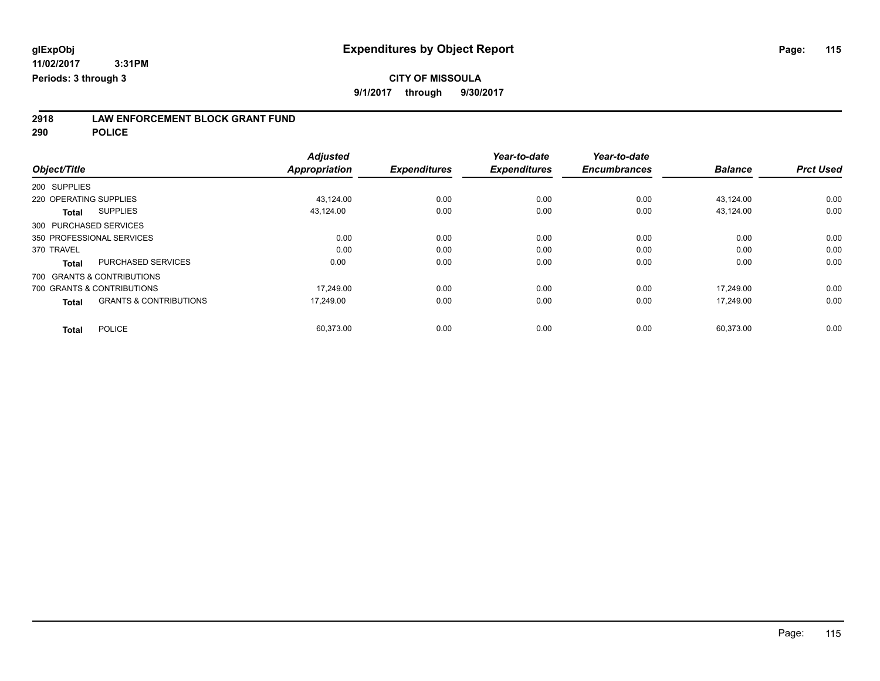### **CITY OF MISSOULA**

**9/1/2017 through 9/30/2017**

# **2918 LAW ENFORCEMENT BLOCK GRANT FUND**

**290 POLICE**

|                                                   | <b>Adjusted</b>      |                     | Year-to-date        | Year-to-date        |                |                  |
|---------------------------------------------------|----------------------|---------------------|---------------------|---------------------|----------------|------------------|
| Object/Title                                      | <b>Appropriation</b> | <b>Expenditures</b> | <b>Expenditures</b> | <b>Encumbrances</b> | <b>Balance</b> | <b>Prct Used</b> |
| 200 SUPPLIES                                      |                      |                     |                     |                     |                |                  |
| 220 OPERATING SUPPLIES                            | 43,124.00            | 0.00                | 0.00                | 0.00                | 43,124.00      | 0.00             |
| <b>SUPPLIES</b><br>Total                          | 43.124.00            | 0.00                | 0.00                | 0.00                | 43,124.00      | 0.00             |
| 300 PURCHASED SERVICES                            |                      |                     |                     |                     |                |                  |
| 350 PROFESSIONAL SERVICES                         | 0.00                 | 0.00                | 0.00                | 0.00                | 0.00           | 0.00             |
| 370 TRAVEL                                        | 0.00                 | 0.00                | 0.00                | 0.00                | 0.00           | 0.00             |
| <b>PURCHASED SERVICES</b><br><b>Total</b>         | 0.00                 | 0.00                | 0.00                | 0.00                | 0.00           | 0.00             |
| 700 GRANTS & CONTRIBUTIONS                        |                      |                     |                     |                     |                |                  |
| 700 GRANTS & CONTRIBUTIONS                        | 17,249.00            | 0.00                | 0.00                | 0.00                | 17.249.00      | 0.00             |
| <b>GRANTS &amp; CONTRIBUTIONS</b><br><b>Total</b> | 17.249.00            | 0.00                | 0.00                | 0.00                | 17.249.00      | 0.00             |
| <b>POLICE</b><br><b>Total</b>                     | 60,373.00            | 0.00                | 0.00                | 0.00                | 60,373.00      | 0.00             |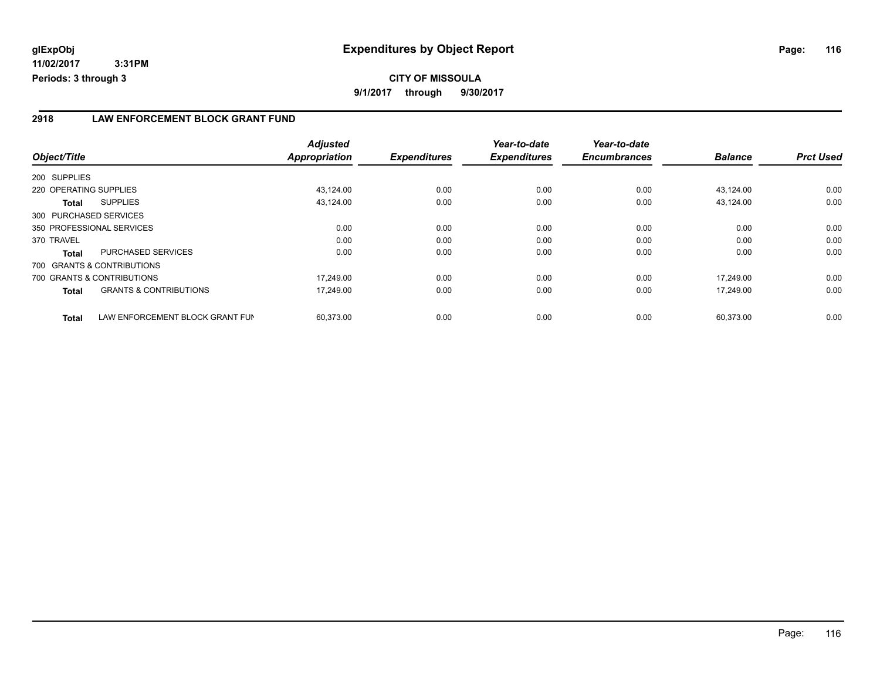#### **2918 LAW ENFORCEMENT BLOCK GRANT FUND**

| Object/Title                                    | <b>Adjusted</b><br><b>Appropriation</b> | <b>Expenditures</b> | Year-to-date<br><b>Expenditures</b> | Year-to-date<br><b>Encumbrances</b> | <b>Balance</b> | <b>Prct Used</b> |
|-------------------------------------------------|-----------------------------------------|---------------------|-------------------------------------|-------------------------------------|----------------|------------------|
| 200 SUPPLIES                                    |                                         |                     |                                     |                                     |                |                  |
|                                                 |                                         |                     |                                     |                                     |                |                  |
| 220 OPERATING SUPPLIES                          | 43,124.00                               | 0.00                | 0.00                                | 0.00                                | 43,124.00      | 0.00             |
| <b>SUPPLIES</b><br>Total                        | 43,124.00                               | 0.00                | 0.00                                | 0.00                                | 43,124.00      | 0.00             |
| 300 PURCHASED SERVICES                          |                                         |                     |                                     |                                     |                |                  |
| 350 PROFESSIONAL SERVICES                       | 0.00                                    | 0.00                | 0.00                                | 0.00                                | 0.00           | 0.00             |
| 370 TRAVEL                                      | 0.00                                    | 0.00                | 0.00                                | 0.00                                | 0.00           | 0.00             |
| <b>PURCHASED SERVICES</b><br><b>Total</b>       | 0.00                                    | 0.00                | 0.00                                | 0.00                                | 0.00           | 0.00             |
| 700 GRANTS & CONTRIBUTIONS                      |                                         |                     |                                     |                                     |                |                  |
| 700 GRANTS & CONTRIBUTIONS                      | 17.249.00                               | 0.00                | 0.00                                | 0.00                                | 17.249.00      | 0.00             |
| <b>GRANTS &amp; CONTRIBUTIONS</b><br>Total      | 17,249.00                               | 0.00                | 0.00                                | 0.00                                | 17.249.00      | 0.00             |
| LAW ENFORCEMENT BLOCK GRANT FUN<br><b>Total</b> | 60.373.00                               | 0.00                | 0.00                                | 0.00                                | 60.373.00      | 0.00             |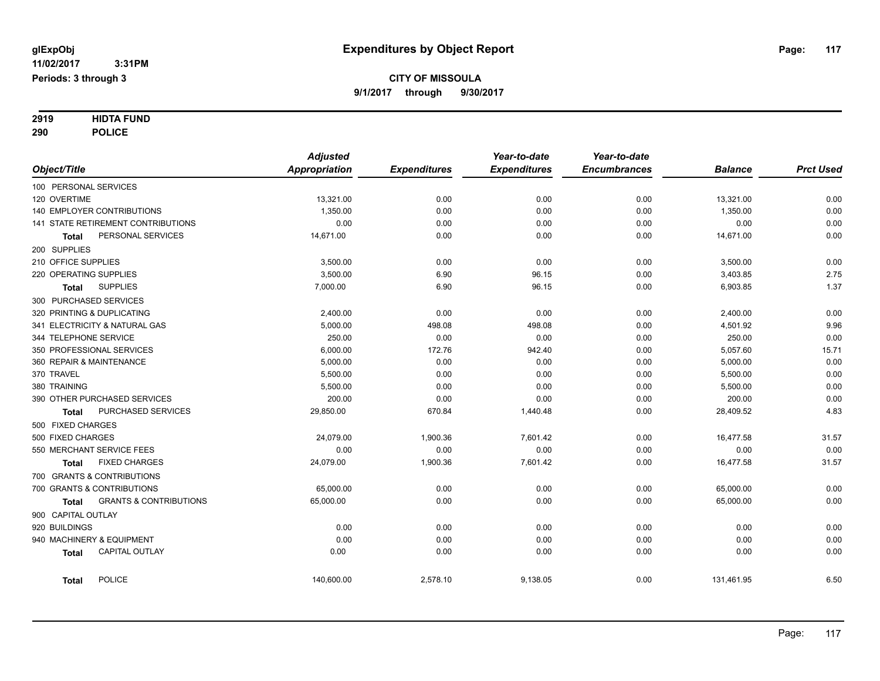**3:31PM Periods: 3 through 3**

#### **CITY OF MISSOULA 9/1/2017 through 9/30/2017**

# **2919 HIDTA FUND**

**290 POLICE**

|                        |                                    | <b>Adjusted</b> |                     | Year-to-date        | Year-to-date        |                |                  |
|------------------------|------------------------------------|-----------------|---------------------|---------------------|---------------------|----------------|------------------|
| Object/Title           |                                    | Appropriation   | <b>Expenditures</b> | <b>Expenditures</b> | <b>Encumbrances</b> | <b>Balance</b> | <b>Prct Used</b> |
| 100 PERSONAL SERVICES  |                                    |                 |                     |                     |                     |                |                  |
| 120 OVERTIME           |                                    | 13,321.00       | 0.00                | 0.00                | 0.00                | 13,321.00      | 0.00             |
|                        | <b>140 EMPLOYER CONTRIBUTIONS</b>  | 1,350.00        | 0.00                | 0.00                | 0.00                | 1,350.00       | 0.00             |
|                        | 141 STATE RETIREMENT CONTRIBUTIONS | 0.00            | 0.00                | 0.00                | 0.00                | 0.00           | 0.00             |
| Total                  | PERSONAL SERVICES                  | 14,671.00       | 0.00                | 0.00                | 0.00                | 14,671.00      | 0.00             |
| 200 SUPPLIES           |                                    |                 |                     |                     |                     |                |                  |
| 210 OFFICE SUPPLIES    |                                    | 3,500.00        | 0.00                | 0.00                | 0.00                | 3,500.00       | 0.00             |
| 220 OPERATING SUPPLIES |                                    | 3,500.00        | 6.90                | 96.15               | 0.00                | 3,403.85       | 2.75             |
| <b>Total</b>           | <b>SUPPLIES</b>                    | 7,000.00        | 6.90                | 96.15               | 0.00                | 6,903.85       | 1.37             |
| 300 PURCHASED SERVICES |                                    |                 |                     |                     |                     |                |                  |
|                        | 320 PRINTING & DUPLICATING         | 2,400.00        | 0.00                | 0.00                | 0.00                | 2,400.00       | 0.00             |
|                        | 341 ELECTRICITY & NATURAL GAS      | 5,000.00        | 498.08              | 498.08              | 0.00                | 4,501.92       | 9.96             |
| 344 TELEPHONE SERVICE  |                                    | 250.00          | 0.00                | 0.00                | 0.00                | 250.00         | 0.00             |
|                        | 350 PROFESSIONAL SERVICES          | 6,000.00        | 172.76              | 942.40              | 0.00                | 5,057.60       | 15.71            |
|                        | 360 REPAIR & MAINTENANCE           | 5,000.00        | 0.00                | 0.00                | 0.00                | 5,000.00       | 0.00             |
| 370 TRAVEL             |                                    | 5,500.00        | 0.00                | 0.00                | 0.00                | 5,500.00       | 0.00             |
| 380 TRAINING           |                                    | 5,500.00        | 0.00                | 0.00                | 0.00                | 5,500.00       | 0.00             |
|                        | 390 OTHER PURCHASED SERVICES       | 200.00          | 0.00                | 0.00                | 0.00                | 200.00         | 0.00             |
| Total                  | PURCHASED SERVICES                 | 29,850.00       | 670.84              | 1,440.48            | 0.00                | 28,409.52      | 4.83             |
| 500 FIXED CHARGES      |                                    |                 |                     |                     |                     |                |                  |
| 500 FIXED CHARGES      |                                    | 24,079.00       | 1,900.36            | 7,601.42            | 0.00                | 16,477.58      | 31.57            |
|                        | 550 MERCHANT SERVICE FEES          | 0.00            | 0.00                | 0.00                | 0.00                | 0.00           | 0.00             |
| <b>Total</b>           | <b>FIXED CHARGES</b>               | 24,079.00       | 1,900.36            | 7,601.42            | 0.00                | 16,477.58      | 31.57            |
|                        | 700 GRANTS & CONTRIBUTIONS         |                 |                     |                     |                     |                |                  |
|                        | 700 GRANTS & CONTRIBUTIONS         | 65,000.00       | 0.00                | 0.00                | 0.00                | 65,000.00      | 0.00             |
| Total                  | <b>GRANTS &amp; CONTRIBUTIONS</b>  | 65,000.00       | 0.00                | 0.00                | 0.00                | 65,000.00      | 0.00             |
| 900 CAPITAL OUTLAY     |                                    |                 |                     |                     |                     |                |                  |
| 920 BUILDINGS          |                                    | 0.00            | 0.00                | 0.00                | 0.00                | 0.00           | 0.00             |
|                        | 940 MACHINERY & EQUIPMENT          | 0.00            | 0.00                | 0.00                | 0.00                | 0.00           | 0.00             |
| <b>Total</b>           | <b>CAPITAL OUTLAY</b>              | 0.00            | 0.00                | 0.00                | 0.00                | 0.00           | 0.00             |
| <b>Total</b>           | <b>POLICE</b>                      | 140,600.00      | 2,578.10            | 9,138.05            | 0.00                | 131,461.95     | 6.50             |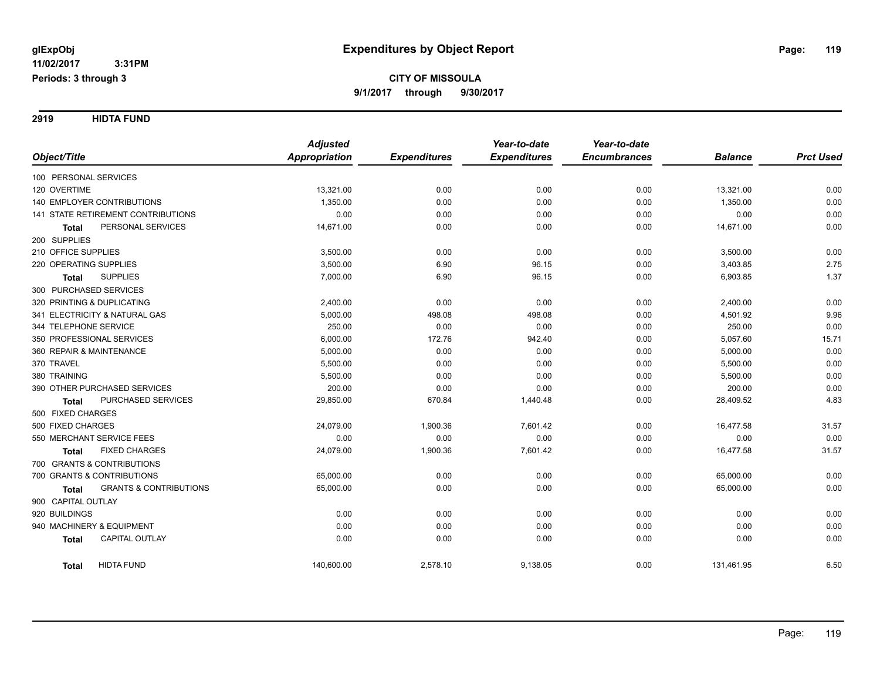**2919 HIDTA FUND**

|                                                   | <b>Adjusted</b>      |                     | Year-to-date        | Year-to-date        |                |                  |
|---------------------------------------------------|----------------------|---------------------|---------------------|---------------------|----------------|------------------|
| Object/Title                                      | <b>Appropriation</b> | <b>Expenditures</b> | <b>Expenditures</b> | <b>Encumbrances</b> | <b>Balance</b> | <b>Prct Used</b> |
| 100 PERSONAL SERVICES                             |                      |                     |                     |                     |                |                  |
| 120 OVERTIME                                      | 13,321.00            | 0.00                | 0.00                | 0.00                | 13,321.00      | 0.00             |
| <b>140 EMPLOYER CONTRIBUTIONS</b>                 | 1,350.00             | 0.00                | 0.00                | 0.00                | 1,350.00       | 0.00             |
| 141 STATE RETIREMENT CONTRIBUTIONS                | 0.00                 | 0.00                | 0.00                | 0.00                | 0.00           | 0.00             |
| PERSONAL SERVICES<br><b>Total</b>                 | 14,671.00            | 0.00                | 0.00                | 0.00                | 14,671.00      | 0.00             |
| 200 SUPPLIES                                      |                      |                     |                     |                     |                |                  |
| 210 OFFICE SUPPLIES                               | 3,500.00             | 0.00                | 0.00                | 0.00                | 3,500.00       | 0.00             |
| 220 OPERATING SUPPLIES                            | 3,500.00             | 6.90                | 96.15               | 0.00                | 3,403.85       | 2.75             |
| <b>SUPPLIES</b><br>Total                          | 7,000.00             | 6.90                | 96.15               | 0.00                | 6,903.85       | 1.37             |
| 300 PURCHASED SERVICES                            |                      |                     |                     |                     |                |                  |
| 320 PRINTING & DUPLICATING                        | 2,400.00             | 0.00                | 0.00                | 0.00                | 2,400.00       | 0.00             |
| 341 ELECTRICITY & NATURAL GAS                     | 5,000.00             | 498.08              | 498.08              | 0.00                | 4,501.92       | 9.96             |
| 344 TELEPHONE SERVICE                             | 250.00               | 0.00                | 0.00                | 0.00                | 250.00         | 0.00             |
| 350 PROFESSIONAL SERVICES                         | 6,000.00             | 172.76              | 942.40              | 0.00                | 5,057.60       | 15.71            |
| 360 REPAIR & MAINTENANCE                          | 5,000.00             | 0.00                | 0.00                | 0.00                | 5,000.00       | 0.00             |
| 370 TRAVEL                                        | 5,500.00             | 0.00                | 0.00                | 0.00                | 5,500.00       | 0.00             |
| 380 TRAINING                                      | 5,500.00             | 0.00                | 0.00                | 0.00                | 5,500.00       | 0.00             |
| 390 OTHER PURCHASED SERVICES                      | 200.00               | 0.00                | 0.00                | 0.00                | 200.00         | 0.00             |
| PURCHASED SERVICES<br><b>Total</b>                | 29,850.00            | 670.84              | 1,440.48            | 0.00                | 28,409.52      | 4.83             |
| 500 FIXED CHARGES                                 |                      |                     |                     |                     |                |                  |
| 500 FIXED CHARGES                                 | 24,079.00            | 1,900.36            | 7,601.42            | 0.00                | 16,477.58      | 31.57            |
| 550 MERCHANT SERVICE FEES                         | 0.00                 | 0.00                | 0.00                | 0.00                | 0.00           | 0.00             |
| <b>FIXED CHARGES</b><br><b>Total</b>              | 24,079.00            | 1,900.36            | 7,601.42            | 0.00                | 16,477.58      | 31.57            |
| 700 GRANTS & CONTRIBUTIONS                        |                      |                     |                     |                     |                |                  |
| 700 GRANTS & CONTRIBUTIONS                        | 65,000.00            | 0.00                | 0.00                | 0.00                | 65,000.00      | 0.00             |
| <b>GRANTS &amp; CONTRIBUTIONS</b><br><b>Total</b> | 65,000.00            | 0.00                | 0.00                | 0.00                | 65,000.00      | 0.00             |
| 900 CAPITAL OUTLAY                                |                      |                     |                     |                     |                |                  |
| 920 BUILDINGS                                     | 0.00                 | 0.00                | 0.00                | 0.00                | 0.00           | 0.00             |
| 940 MACHINERY & EQUIPMENT                         | 0.00                 | 0.00                | 0.00                | 0.00                | 0.00           | 0.00             |
| CAPITAL OUTLAY<br><b>Total</b>                    | 0.00                 | 0.00                | 0.00                | 0.00                | 0.00           | 0.00             |
| <b>HIDTA FUND</b><br><b>Total</b>                 | 140,600.00           | 2,578.10            | 9,138.05            | 0.00                | 131,461.95     | 6.50             |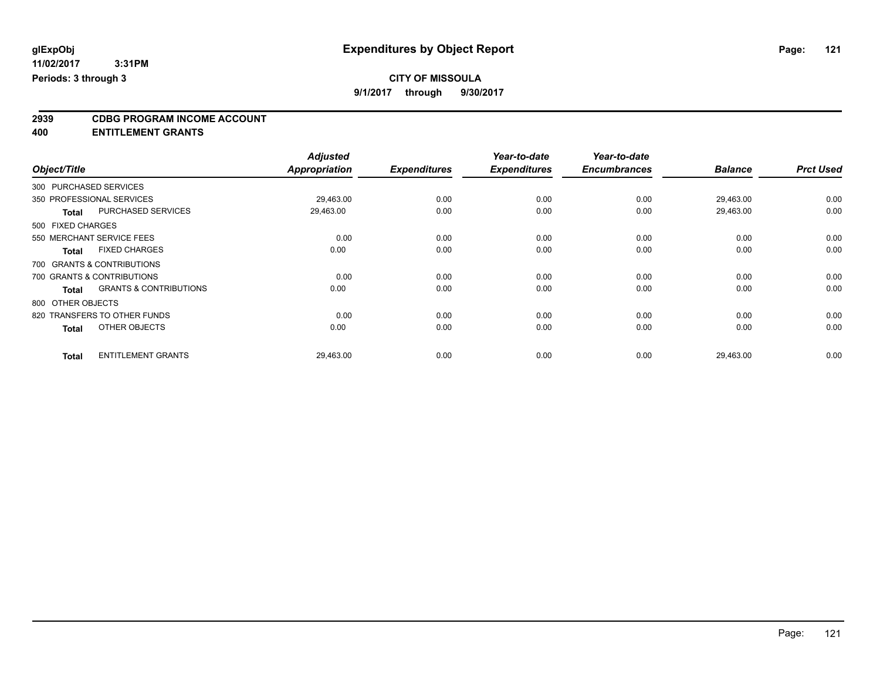### **CITY OF MISSOULA**

**9/1/2017 through 9/30/2017**

# **2939 CDBG PROGRAM INCOME ACCOUNT**

**400 ENTITLEMENT GRANTS**

|              |                   |                                   | <b>Adjusted</b>      |                     | Year-to-date        | Year-to-date        |                |                  |
|--------------|-------------------|-----------------------------------|----------------------|---------------------|---------------------|---------------------|----------------|------------------|
| Object/Title |                   |                                   | <b>Appropriation</b> | <b>Expenditures</b> | <b>Expenditures</b> | <b>Encumbrances</b> | <b>Balance</b> | <b>Prct Used</b> |
|              |                   | 300 PURCHASED SERVICES            |                      |                     |                     |                     |                |                  |
|              |                   | 350 PROFESSIONAL SERVICES         | 29,463.00            | 0.00                | 0.00                | 0.00                | 29,463.00      | 0.00             |
|              | <b>Total</b>      | PURCHASED SERVICES                | 29,463.00            | 0.00                | 0.00                | 0.00                | 29,463.00      | 0.00             |
|              | 500 FIXED CHARGES |                                   |                      |                     |                     |                     |                |                  |
|              |                   | 550 MERCHANT SERVICE FEES         | 0.00                 | 0.00                | 0.00                | 0.00                | 0.00           | 0.00             |
|              | <b>Total</b>      | <b>FIXED CHARGES</b>              | 0.00                 | 0.00                | 0.00                | 0.00                | 0.00           | 0.00             |
|              |                   | 700 GRANTS & CONTRIBUTIONS        |                      |                     |                     |                     |                |                  |
|              |                   | 700 GRANTS & CONTRIBUTIONS        | 0.00                 | 0.00                | 0.00                | 0.00                | 0.00           | 0.00             |
|              | <b>Total</b>      | <b>GRANTS &amp; CONTRIBUTIONS</b> | 0.00                 | 0.00                | 0.00                | 0.00                | 0.00           | 0.00             |
|              | 800 OTHER OBJECTS |                                   |                      |                     |                     |                     |                |                  |
|              |                   | 820 TRANSFERS TO OTHER FUNDS      | 0.00                 | 0.00                | 0.00                | 0.00                | 0.00           | 0.00             |
|              | <b>Total</b>      | OTHER OBJECTS                     | 0.00                 | 0.00                | 0.00                | 0.00                | 0.00           | 0.00             |
|              | <b>Total</b>      | <b>ENTITLEMENT GRANTS</b>         | 29,463.00            | 0.00                | 0.00                | 0.00                | 29,463.00      | 0.00             |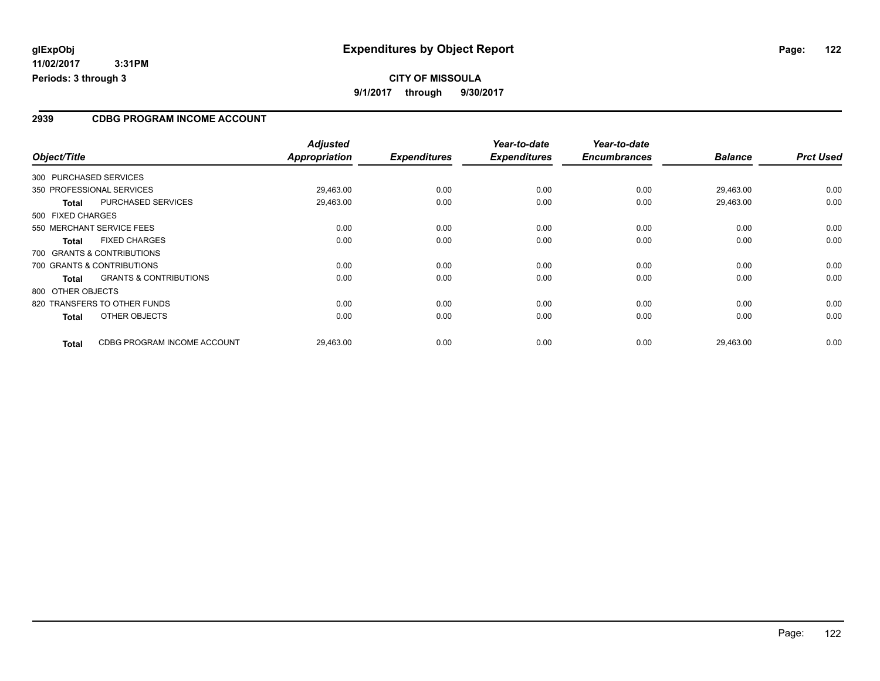#### **CITY OF MISSOULA 9/1/2017 through 9/30/2017**

#### **2939 CDBG PROGRAM INCOME ACCOUNT**

| Object/Title      |              |                                   | <b>Adjusted</b><br>Appropriation | <b>Expenditures</b> | Year-to-date<br><b>Expenditures</b> | Year-to-date<br><b>Encumbrances</b> | <b>Balance</b> | <b>Prct Used</b> |
|-------------------|--------------|-----------------------------------|----------------------------------|---------------------|-------------------------------------|-------------------------------------|----------------|------------------|
|                   |              |                                   |                                  |                     |                                     |                                     |                |                  |
|                   |              | 300 PURCHASED SERVICES            |                                  |                     |                                     |                                     |                |                  |
|                   |              | 350 PROFESSIONAL SERVICES         | 29,463.00                        | 0.00                | 0.00                                | 0.00                                | 29.463.00      | 0.00             |
|                   | <b>Total</b> | <b>PURCHASED SERVICES</b>         | 29,463.00                        | 0.00                | 0.00                                | 0.00                                | 29,463.00      | 0.00             |
| 500 FIXED CHARGES |              |                                   |                                  |                     |                                     |                                     |                |                  |
|                   |              | 550 MERCHANT SERVICE FEES         | 0.00                             | 0.00                | 0.00                                | 0.00                                | 0.00           | 0.00             |
|                   | <b>Total</b> | <b>FIXED CHARGES</b>              | 0.00                             | 0.00                | 0.00                                | 0.00                                | 0.00           | 0.00             |
|                   |              | 700 GRANTS & CONTRIBUTIONS        |                                  |                     |                                     |                                     |                |                  |
|                   |              | 700 GRANTS & CONTRIBUTIONS        | 0.00                             | 0.00                | 0.00                                | 0.00                                | 0.00           | 0.00             |
|                   | <b>Total</b> | <b>GRANTS &amp; CONTRIBUTIONS</b> | 0.00                             | 0.00                | 0.00                                | 0.00                                | 0.00           | 0.00             |
| 800 OTHER OBJECTS |              |                                   |                                  |                     |                                     |                                     |                |                  |
|                   |              | 820 TRANSFERS TO OTHER FUNDS      | 0.00                             | 0.00                | 0.00                                | 0.00                                | 0.00           | 0.00             |
|                   | <b>Total</b> | OTHER OBJECTS                     | 0.00                             | 0.00                | 0.00                                | 0.00                                | 0.00           | 0.00             |
|                   | <b>Total</b> | CDBG PROGRAM INCOME ACCOUNT       | 29,463.00                        | 0.00                | 0.00                                | 0.00                                | 29,463.00      | 0.00             |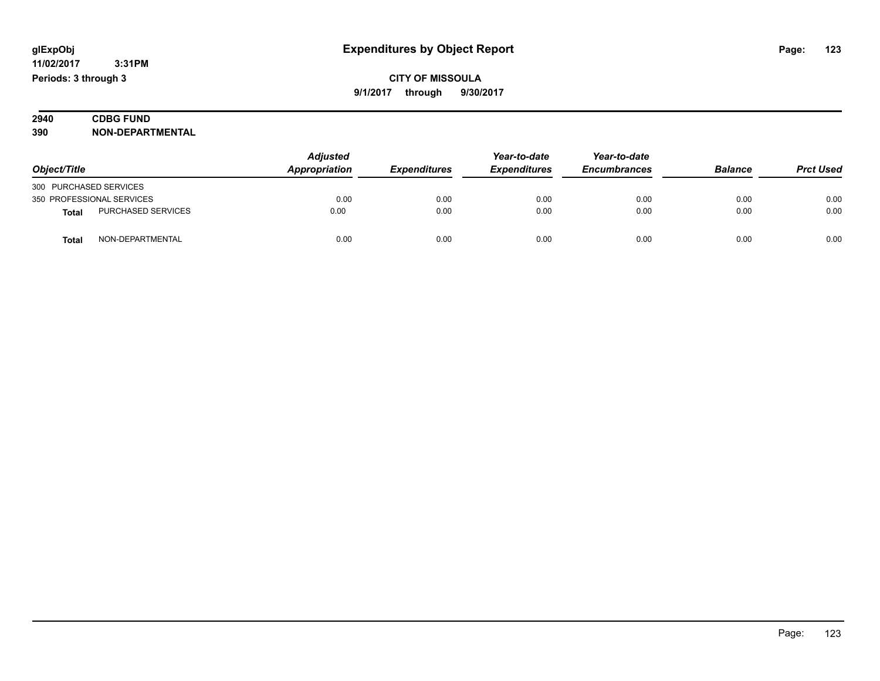| 2940 | <b>FUND</b><br>CDBG                       |  |
|------|-------------------------------------------|--|
| 390  | <b>'-DEPARTMENTAL</b><br>NON <sub>:</sub> |  |

|                        |                           | <b>Adjusted</b> | Year-to-date        | Year-to-date        |                     |                |                  |
|------------------------|---------------------------|-----------------|---------------------|---------------------|---------------------|----------------|------------------|
| Object/Title           |                           | Appropriation   | <b>Expenditures</b> | <b>Expenditures</b> | <b>Encumbrances</b> | <b>Balance</b> | <b>Prct Used</b> |
| 300 PURCHASED SERVICES |                           |                 |                     |                     |                     |                |                  |
|                        | 350 PROFESSIONAL SERVICES | 0.00            | 0.00                | 0.00                | 0.00                | 0.00           | 0.00             |
| <b>Total</b>           | <b>PURCHASED SERVICES</b> | 0.00            | 0.00                | 0.00                | 0.00                | 0.00           | 0.00             |
| <b>Total</b>           | NON-DEPARTMENTAL          | 0.00            | 0.00                | 0.00                | 0.00                | 0.00           | 0.00             |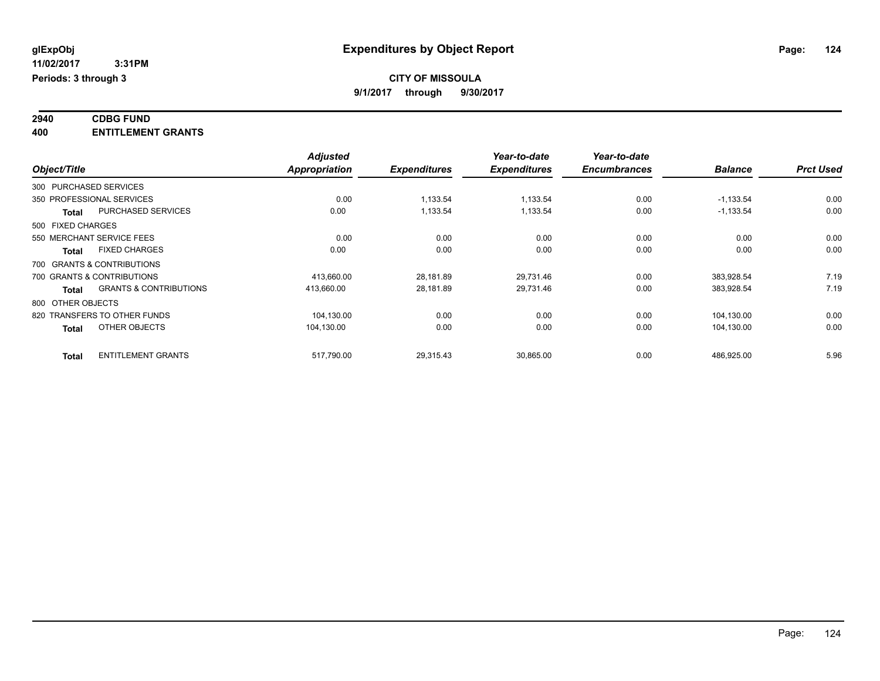#### **2940 CDBG FUND 400 ENTITLEMENT GRANTS**

|                                                   | <b>Adjusted</b>      |                     | Year-to-date        | Year-to-date        |                |                  |
|---------------------------------------------------|----------------------|---------------------|---------------------|---------------------|----------------|------------------|
| Object/Title                                      | <b>Appropriation</b> | <b>Expenditures</b> | <b>Expenditures</b> | <b>Encumbrances</b> | <b>Balance</b> | <b>Prct Used</b> |
| 300 PURCHASED SERVICES                            |                      |                     |                     |                     |                |                  |
| 350 PROFESSIONAL SERVICES                         | 0.00                 | 1,133.54            | 1,133.54            | 0.00                | $-1,133.54$    | 0.00             |
| <b>PURCHASED SERVICES</b><br>Total                | 0.00                 | 1,133.54            | 1,133.54            | 0.00                | $-1,133.54$    | 0.00             |
| 500 FIXED CHARGES                                 |                      |                     |                     |                     |                |                  |
| 550 MERCHANT SERVICE FEES                         | 0.00                 | 0.00                | 0.00                | 0.00                | 0.00           | 0.00             |
| <b>FIXED CHARGES</b><br>Total                     | 0.00                 | 0.00                | 0.00                | 0.00                | 0.00           | 0.00             |
| 700 GRANTS & CONTRIBUTIONS                        |                      |                     |                     |                     |                |                  |
| 700 GRANTS & CONTRIBUTIONS                        | 413,660.00           | 28,181.89           | 29,731.46           | 0.00                | 383,928.54     | 7.19             |
| <b>GRANTS &amp; CONTRIBUTIONS</b><br><b>Total</b> | 413.660.00           | 28,181.89           | 29,731.46           | 0.00                | 383,928.54     | 7.19             |
| 800 OTHER OBJECTS                                 |                      |                     |                     |                     |                |                  |
| 820 TRANSFERS TO OTHER FUNDS                      | 104,130.00           | 0.00                | 0.00                | 0.00                | 104.130.00     | 0.00             |
| OTHER OBJECTS<br><b>Total</b>                     | 104.130.00           | 0.00                | 0.00                | 0.00                | 104.130.00     | 0.00             |
| <b>ENTITLEMENT GRANTS</b><br><b>Total</b>         | 517,790.00           | 29,315.43           | 30,865.00           | 0.00                | 486,925.00     | 5.96             |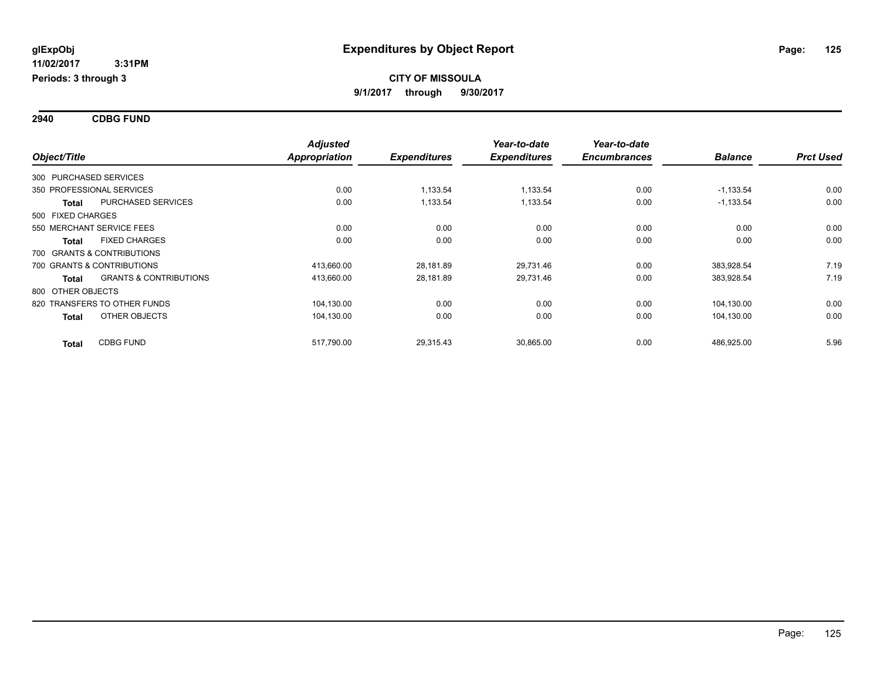**2940 CDBG FUND**

|                        |                                   | <b>Adjusted</b>      | Year-to-date        | Year-to-date        |                     |                |                  |
|------------------------|-----------------------------------|----------------------|---------------------|---------------------|---------------------|----------------|------------------|
| Object/Title           |                                   | <b>Appropriation</b> | <b>Expenditures</b> | <b>Expenditures</b> | <b>Encumbrances</b> | <b>Balance</b> | <b>Prct Used</b> |
| 300 PURCHASED SERVICES |                                   |                      |                     |                     |                     |                |                  |
|                        | 350 PROFESSIONAL SERVICES         | 0.00                 | 1,133.54            | 1,133.54            | 0.00                | $-1,133.54$    | 0.00             |
| <b>Total</b>           | <b>PURCHASED SERVICES</b>         | 0.00                 | 1,133.54            | 1,133.54            | 0.00                | $-1,133.54$    | 0.00             |
| 500 FIXED CHARGES      |                                   |                      |                     |                     |                     |                |                  |
|                        | 550 MERCHANT SERVICE FEES         | 0.00                 | 0.00                | 0.00                | 0.00                | 0.00           | 0.00             |
| <b>Total</b>           | <b>FIXED CHARGES</b>              | 0.00                 | 0.00                | 0.00                | 0.00                | 0.00           | 0.00             |
|                        | 700 GRANTS & CONTRIBUTIONS        |                      |                     |                     |                     |                |                  |
|                        | 700 GRANTS & CONTRIBUTIONS        | 413,660.00           | 28,181.89           | 29,731.46           | 0.00                | 383,928.54     | 7.19             |
| <b>Total</b>           | <b>GRANTS &amp; CONTRIBUTIONS</b> | 413,660.00           | 28,181.89           | 29,731.46           | 0.00                | 383,928.54     | 7.19             |
| 800 OTHER OBJECTS      |                                   |                      |                     |                     |                     |                |                  |
|                        | 820 TRANSFERS TO OTHER FUNDS      | 104,130.00           | 0.00                | 0.00                | 0.00                | 104,130.00     | 0.00             |
| <b>Total</b>           | OTHER OBJECTS                     | 104,130.00           | 0.00                | 0.00                | 0.00                | 104,130.00     | 0.00             |
| <b>Total</b>           | <b>CDBG FUND</b>                  | 517,790.00           | 29,315.43           | 30,865.00           | 0.00                | 486,925.00     | 5.96             |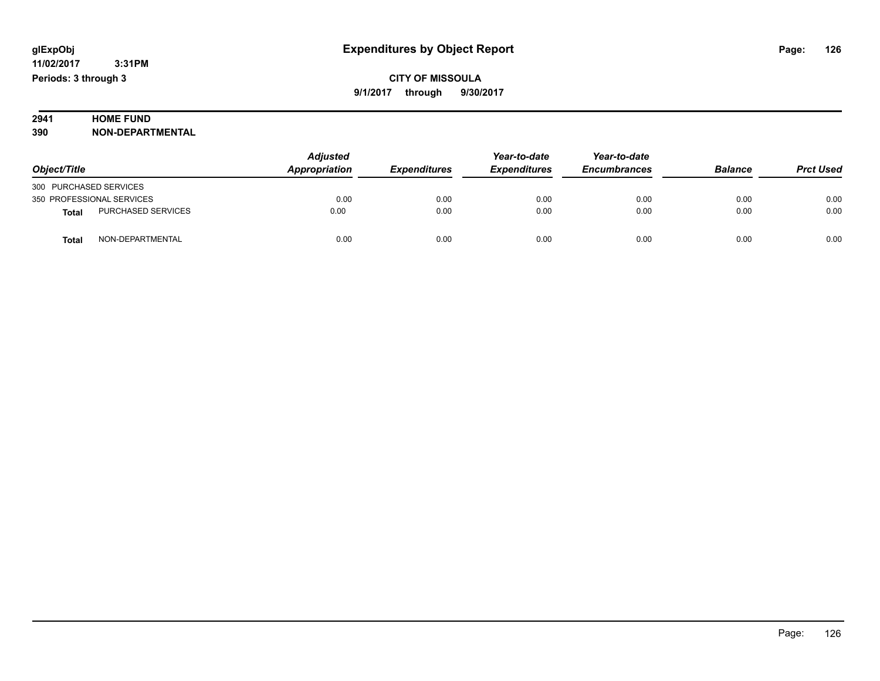# **2941 HOME FUND<br>390 NON-DEPART**

**390 NON-DEPARTMENTAL**

|                                           | <b>Adjusted</b><br>Appropriation<br><b>Expenditures</b> | Year-to-date | Year-to-date        |                     |                |                  |
|-------------------------------------------|---------------------------------------------------------|--------------|---------------------|---------------------|----------------|------------------|
| Object/Title                              |                                                         |              | <b>Expenditures</b> | <b>Encumbrances</b> | <b>Balance</b> | <b>Prct Used</b> |
| 300 PURCHASED SERVICES                    |                                                         |              |                     |                     |                |                  |
| 350 PROFESSIONAL SERVICES                 | 0.00                                                    | 0.00         | 0.00                | 0.00                | 0.00           | 0.00             |
| <b>PURCHASED SERVICES</b><br><b>Total</b> | 0.00                                                    | 0.00         | 0.00                | 0.00                | 0.00           | 0.00             |
| NON-DEPARTMENTAL<br>Total                 | 0.00                                                    | 0.00         | 0.00                | 0.00                | 0.00           | 0.00             |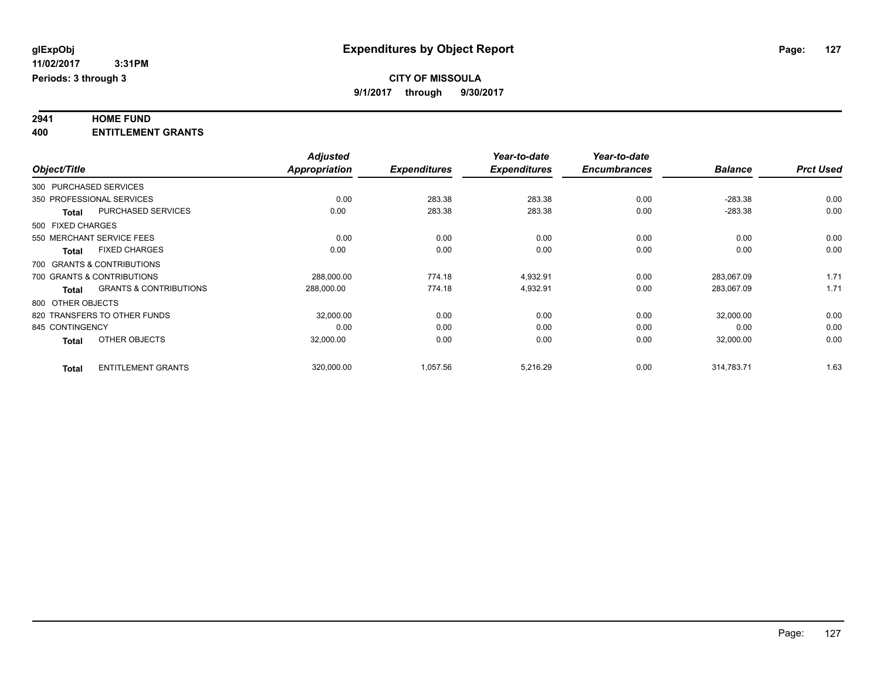# **2941 HOME FUND**

**400 ENTITLEMENT GRANTS**

|                   |                                   | <b>Adjusted</b>      |                     | Year-to-date        | Year-to-date        |                |                  |
|-------------------|-----------------------------------|----------------------|---------------------|---------------------|---------------------|----------------|------------------|
| Object/Title      |                                   | <b>Appropriation</b> | <b>Expenditures</b> | <b>Expenditures</b> | <b>Encumbrances</b> | <b>Balance</b> | <b>Prct Used</b> |
|                   | 300 PURCHASED SERVICES            |                      |                     |                     |                     |                |                  |
|                   | 350 PROFESSIONAL SERVICES         | 0.00                 | 283.38              | 283.38              | 0.00                | $-283.38$      | 0.00             |
| <b>Total</b>      | <b>PURCHASED SERVICES</b>         | 0.00                 | 283.38              | 283.38              | 0.00                | $-283.38$      | 0.00             |
| 500 FIXED CHARGES |                                   |                      |                     |                     |                     |                |                  |
|                   | 550 MERCHANT SERVICE FEES         | 0.00                 | 0.00                | 0.00                | 0.00                | 0.00           | 0.00             |
| <b>Total</b>      | <b>FIXED CHARGES</b>              | 0.00                 | 0.00                | 0.00                | 0.00                | 0.00           | 0.00             |
|                   | 700 GRANTS & CONTRIBUTIONS        |                      |                     |                     |                     |                |                  |
|                   | 700 GRANTS & CONTRIBUTIONS        | 288,000.00           | 774.18              | 4,932.91            | 0.00                | 283.067.09     | 1.71             |
| <b>Total</b>      | <b>GRANTS &amp; CONTRIBUTIONS</b> | 288,000.00           | 774.18              | 4,932.91            | 0.00                | 283,067.09     | 1.71             |
| 800 OTHER OBJECTS |                                   |                      |                     |                     |                     |                |                  |
|                   | 820 TRANSFERS TO OTHER FUNDS      | 32,000.00            | 0.00                | 0.00                | 0.00                | 32,000.00      | 0.00             |
| 845 CONTINGENCY   |                                   | 0.00                 | 0.00                | 0.00                | 0.00                | 0.00           | 0.00             |
| <b>Total</b>      | OTHER OBJECTS                     | 32,000.00            | 0.00                | 0.00                | 0.00                | 32,000.00      | 0.00             |
| <b>Total</b>      | <b>ENTITLEMENT GRANTS</b>         | 320,000.00           | 1,057.56            | 5,216.29            | 0.00                | 314.783.71     | 1.63             |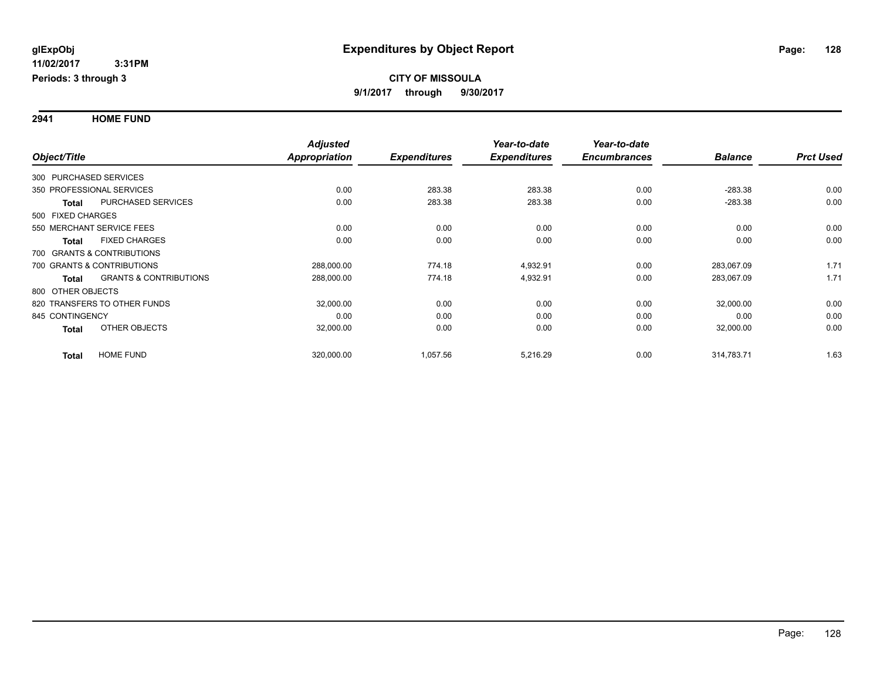**2941 HOME FUND**

|                        |                                   | <b>Adjusted</b> |                     | Year-to-date        | Year-to-date        |                |                  |
|------------------------|-----------------------------------|-----------------|---------------------|---------------------|---------------------|----------------|------------------|
| Object/Title           |                                   | Appropriation   | <b>Expenditures</b> | <b>Expenditures</b> | <b>Encumbrances</b> | <b>Balance</b> | <b>Prct Used</b> |
| 300 PURCHASED SERVICES |                                   |                 |                     |                     |                     |                |                  |
|                        | 350 PROFESSIONAL SERVICES         | 0.00            | 283.38              | 283.38              | 0.00                | $-283.38$      | 0.00             |
| <b>Total</b>           | PURCHASED SERVICES                | 0.00            | 283.38              | 283.38              | 0.00                | $-283.38$      | 0.00             |
| 500 FIXED CHARGES      |                                   |                 |                     |                     |                     |                |                  |
|                        | 550 MERCHANT SERVICE FEES         | 0.00            | 0.00                | 0.00                | 0.00                | 0.00           | 0.00             |
| <b>Total</b>           | <b>FIXED CHARGES</b>              | 0.00            | 0.00                | 0.00                | 0.00                | 0.00           | 0.00             |
|                        | 700 GRANTS & CONTRIBUTIONS        |                 |                     |                     |                     |                |                  |
|                        | 700 GRANTS & CONTRIBUTIONS        | 288,000.00      | 774.18              | 4,932.91            | 0.00                | 283,067.09     | 1.71             |
| Total                  | <b>GRANTS &amp; CONTRIBUTIONS</b> | 288,000.00      | 774.18              | 4,932.91            | 0.00                | 283,067.09     | 1.71             |
| 800 OTHER OBJECTS      |                                   |                 |                     |                     |                     |                |                  |
|                        | 820 TRANSFERS TO OTHER FUNDS      | 32,000.00       | 0.00                | 0.00                | 0.00                | 32,000.00      | 0.00             |
| 845 CONTINGENCY        |                                   | 0.00            | 0.00                | 0.00                | 0.00                | 0.00           | 0.00             |
| <b>Total</b>           | OTHER OBJECTS                     | 32,000.00       | 0.00                | 0.00                | 0.00                | 32,000.00      | 0.00             |
| <b>Total</b>           | <b>HOME FUND</b>                  | 320,000.00      | 1,057.56            | 5,216.29            | 0.00                | 314,783.71     | 1.63             |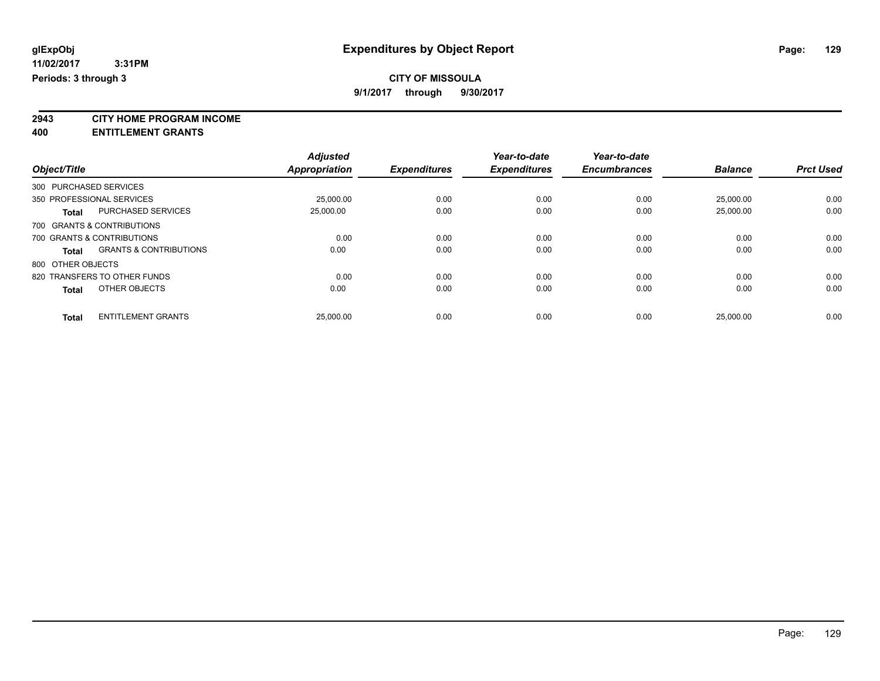### **CITY OF MISSOULA**

**9/1/2017 through 9/30/2017**

**2943 CITY HOME PROGRAM INCOME**

**400 ENTITLEMENT GRANTS**

|                               |                                   | <b>Adjusted</b> |                     | Year-to-date        | Year-to-date        |                |                  |
|-------------------------------|-----------------------------------|-----------------|---------------------|---------------------|---------------------|----------------|------------------|
| Object/Title                  |                                   | Appropriation   | <b>Expenditures</b> | <b>Expenditures</b> | <b>Encumbrances</b> | <b>Balance</b> | <b>Prct Used</b> |
| 300 PURCHASED SERVICES        |                                   |                 |                     |                     |                     |                |                  |
| 350 PROFESSIONAL SERVICES     |                                   | 25,000.00       | 0.00                | 0.00                | 0.00                | 25,000.00      | 0.00             |
| <b>Total</b>                  | <b>PURCHASED SERVICES</b>         | 25,000.00       | 0.00                | 0.00                | 0.00                | 25.000.00      | 0.00             |
| 700 GRANTS & CONTRIBUTIONS    |                                   |                 |                     |                     |                     |                |                  |
| 700 GRANTS & CONTRIBUTIONS    |                                   | 0.00            | 0.00                | 0.00                | 0.00                | 0.00           | 0.00             |
| Total                         | <b>GRANTS &amp; CONTRIBUTIONS</b> | 0.00            | 0.00                | 0.00                | 0.00                | 0.00           | 0.00             |
| 800 OTHER OBJECTS             |                                   |                 |                     |                     |                     |                |                  |
| 820 TRANSFERS TO OTHER FUNDS  |                                   | 0.00            | 0.00                | 0.00                | 0.00                | 0.00           | 0.00             |
| OTHER OBJECTS<br><b>Total</b> |                                   | 0.00            | 0.00                | 0.00                | 0.00                | 0.00           | 0.00             |
| <b>Total</b>                  | <b>ENTITLEMENT GRANTS</b>         | 25,000.00       | 0.00                | 0.00                | 0.00                | 25.000.00      | 0.00             |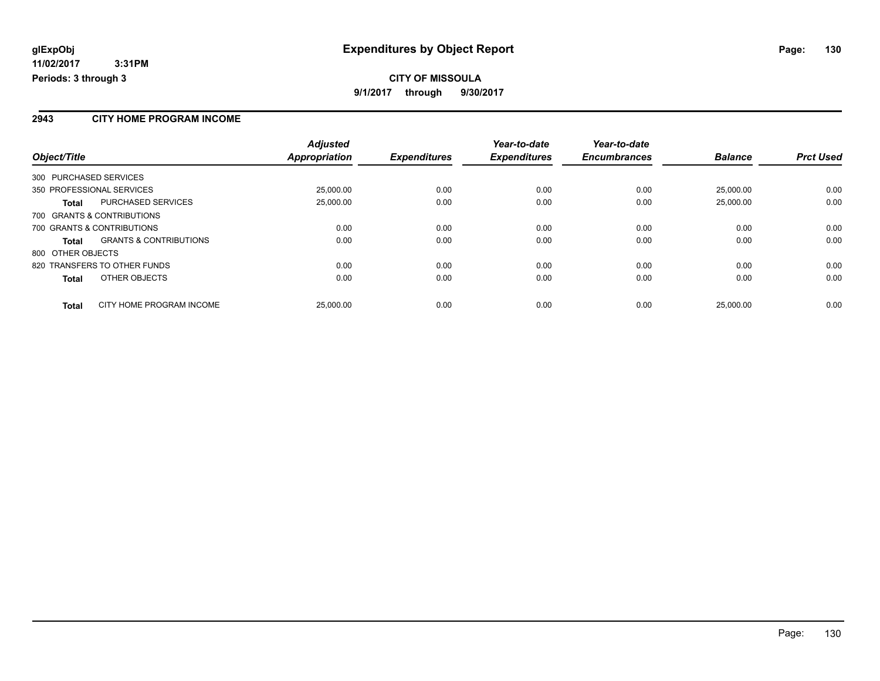#### **2943 CITY HOME PROGRAM INCOME**

|                                            | <b>Adjusted</b><br><b>Appropriation</b> |                     | Year-to-date<br><b>Expenditures</b> | Year-to-date<br><b>Encumbrances</b> | <b>Balance</b> | <b>Prct Used</b> |
|--------------------------------------------|-----------------------------------------|---------------------|-------------------------------------|-------------------------------------|----------------|------------------|
| Object/Title                               |                                         | <b>Expenditures</b> |                                     |                                     |                |                  |
| 300 PURCHASED SERVICES                     |                                         |                     |                                     |                                     |                |                  |
| 350 PROFESSIONAL SERVICES                  | 25,000.00                               | 0.00                | 0.00                                | 0.00                                | 25.000.00      | 0.00             |
| <b>PURCHASED SERVICES</b><br>Total         | 25,000.00                               | 0.00                | 0.00                                | 0.00                                | 25.000.00      | 0.00             |
| 700 GRANTS & CONTRIBUTIONS                 |                                         |                     |                                     |                                     |                |                  |
| 700 GRANTS & CONTRIBUTIONS                 | 0.00                                    | 0.00                | 0.00                                | 0.00                                | 0.00           | 0.00             |
| <b>GRANTS &amp; CONTRIBUTIONS</b><br>Total | 0.00                                    | 0.00                | 0.00                                | 0.00                                | 0.00           | 0.00             |
| 800 OTHER OBJECTS                          |                                         |                     |                                     |                                     |                |                  |
| 820 TRANSFERS TO OTHER FUNDS               | 0.00                                    | 0.00                | 0.00                                | 0.00                                | 0.00           | 0.00             |
| OTHER OBJECTS<br><b>Total</b>              | 0.00                                    | 0.00                | 0.00                                | 0.00                                | 0.00           | 0.00             |
| CITY HOME PROGRAM INCOME<br><b>Total</b>   | 25,000.00                               | 0.00                | 0.00                                | 0.00                                | 25.000.00      | 0.00             |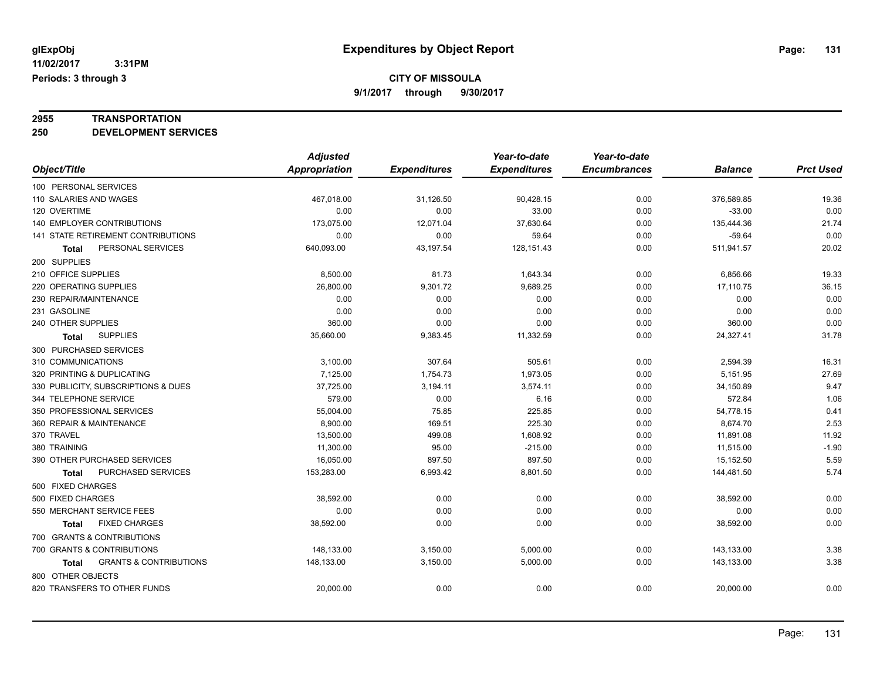# **2955 TRANSPORTATION**

**250 DEVELOPMENT SERVICES**

|                                                   | <b>Adjusted</b> |                     | Year-to-date        | Year-to-date        |                |                  |
|---------------------------------------------------|-----------------|---------------------|---------------------|---------------------|----------------|------------------|
| Object/Title                                      | Appropriation   | <b>Expenditures</b> | <b>Expenditures</b> | <b>Encumbrances</b> | <b>Balance</b> | <b>Prct Used</b> |
| 100 PERSONAL SERVICES                             |                 |                     |                     |                     |                |                  |
| 110 SALARIES AND WAGES                            | 467,018.00      | 31,126.50           | 90,428.15           | 0.00                | 376,589.85     | 19.36            |
| 120 OVERTIME                                      | 0.00            | 0.00                | 33.00               | 0.00                | $-33.00$       | 0.00             |
| 140 EMPLOYER CONTRIBUTIONS                        | 173,075.00      | 12,071.04           | 37,630.64           | 0.00                | 135,444.36     | 21.74            |
| 141 STATE RETIREMENT CONTRIBUTIONS                | 0.00            | 0.00                | 59.64               | 0.00                | $-59.64$       | 0.00             |
| PERSONAL SERVICES<br>Total                        | 640,093.00      | 43,197.54           | 128, 151.43         | 0.00                | 511,941.57     | 20.02            |
| 200 SUPPLIES                                      |                 |                     |                     |                     |                |                  |
| 210 OFFICE SUPPLIES                               | 8,500.00        | 81.73               | 1,643.34            | 0.00                | 6,856.66       | 19.33            |
| 220 OPERATING SUPPLIES                            | 26,800.00       | 9,301.72            | 9,689.25            | 0.00                | 17,110.75      | 36.15            |
| 230 REPAIR/MAINTENANCE                            | 0.00            | 0.00                | 0.00                | 0.00                | 0.00           | 0.00             |
| 231 GASOLINE                                      | 0.00            | 0.00                | 0.00                | 0.00                | 0.00           | 0.00             |
| 240 OTHER SUPPLIES                                | 360.00          | 0.00                | 0.00                | 0.00                | 360.00         | 0.00             |
| <b>SUPPLIES</b><br>Total                          | 35,660.00       | 9,383.45            | 11,332.59           | 0.00                | 24,327.41      | 31.78            |
| 300 PURCHASED SERVICES                            |                 |                     |                     |                     |                |                  |
| 310 COMMUNICATIONS                                | 3,100.00        | 307.64              | 505.61              | 0.00                | 2,594.39       | 16.31            |
| 320 PRINTING & DUPLICATING                        | 7,125.00        | 1,754.73            | 1,973.05            | 0.00                | 5,151.95       | 27.69            |
| 330 PUBLICITY, SUBSCRIPTIONS & DUES               | 37,725.00       | 3,194.11            | 3,574.11            | 0.00                | 34,150.89      | 9.47             |
| 344 TELEPHONE SERVICE                             | 579.00          | 0.00                | 6.16                | 0.00                | 572.84         | 1.06             |
| 350 PROFESSIONAL SERVICES                         | 55,004.00       | 75.85               | 225.85              | 0.00                | 54,778.15      | 0.41             |
| 360 REPAIR & MAINTENANCE                          | 8,900.00        | 169.51              | 225.30              | 0.00                | 8,674.70       | 2.53             |
| 370 TRAVEL                                        | 13,500.00       | 499.08              | 1,608.92            | 0.00                | 11,891.08      | 11.92            |
| 380 TRAINING                                      | 11,300.00       | 95.00               | $-215.00$           | 0.00                | 11,515.00      | $-1.90$          |
| 390 OTHER PURCHASED SERVICES                      | 16,050.00       | 897.50              | 897.50              | 0.00                | 15,152.50      | 5.59             |
| PURCHASED SERVICES<br><b>Total</b>                | 153,283.00      | 6,993.42            | 8,801.50            | 0.00                | 144,481.50     | 5.74             |
| 500 FIXED CHARGES                                 |                 |                     |                     |                     |                |                  |
| 500 FIXED CHARGES                                 | 38,592.00       | 0.00                | 0.00                | 0.00                | 38,592.00      | 0.00             |
| 550 MERCHANT SERVICE FEES                         | 0.00            | 0.00                | 0.00                | 0.00                | 0.00           | 0.00             |
| <b>FIXED CHARGES</b><br>Total                     | 38,592.00       | 0.00                | 0.00                | 0.00                | 38,592.00      | 0.00             |
| 700 GRANTS & CONTRIBUTIONS                        |                 |                     |                     |                     |                |                  |
| 700 GRANTS & CONTRIBUTIONS                        | 148,133.00      | 3,150.00            | 5,000.00            | 0.00                | 143,133.00     | 3.38             |
| <b>GRANTS &amp; CONTRIBUTIONS</b><br><b>Total</b> | 148,133.00      | 3,150.00            | 5,000.00            | 0.00                | 143,133.00     | 3.38             |
| 800 OTHER OBJECTS                                 |                 |                     |                     |                     |                |                  |
| 820 TRANSFERS TO OTHER FUNDS                      | 20,000.00       | 0.00                | 0.00                | 0.00                | 20,000.00      | 0.00             |
|                                                   |                 |                     |                     |                     |                |                  |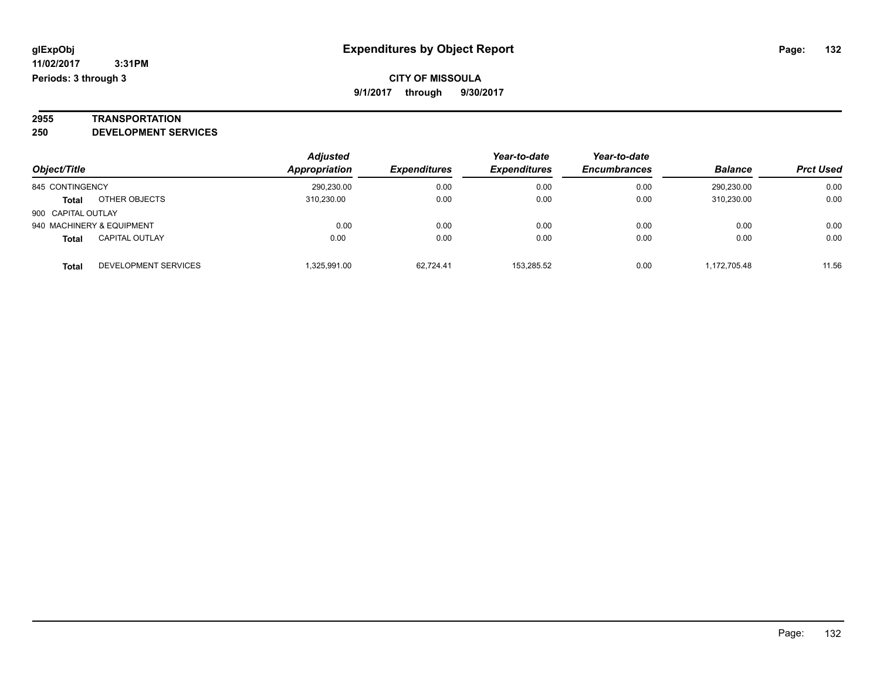# **2955 TRANSPORTATION**

**250 DEVELOPMENT SERVICES**

|                    |                           | <b>Adjusted</b> |                     | Year-to-date        | Year-to-date        |                |                  |
|--------------------|---------------------------|-----------------|---------------------|---------------------|---------------------|----------------|------------------|
| Object/Title       |                           | Appropriation   | <b>Expenditures</b> | <b>Expenditures</b> | <b>Encumbrances</b> | <b>Balance</b> | <b>Prct Used</b> |
| 845 CONTINGENCY    |                           | 290,230.00      | 0.00                | 0.00                | 0.00                | 290.230.00     | 0.00             |
| Total              | OTHER OBJECTS             | 310.230.00      | 0.00                | 0.00                | 0.00                | 310.230.00     | 0.00             |
| 900 CAPITAL OUTLAY |                           |                 |                     |                     |                     |                |                  |
|                    | 940 MACHINERY & EQUIPMENT | 0.00            | 0.00                | 0.00                | 0.00                | 0.00           | 0.00             |
| <b>Total</b>       | <b>CAPITAL OUTLAY</b>     | 0.00            | 0.00                | 0.00                | 0.00                | 0.00           | 0.00             |
| <b>Total</b>       | DEVELOPMENT SERVICES      | .325.991.00     | 62.724.41           | 153.285.52          | 0.00                | 1.172.705.48   | 11.56            |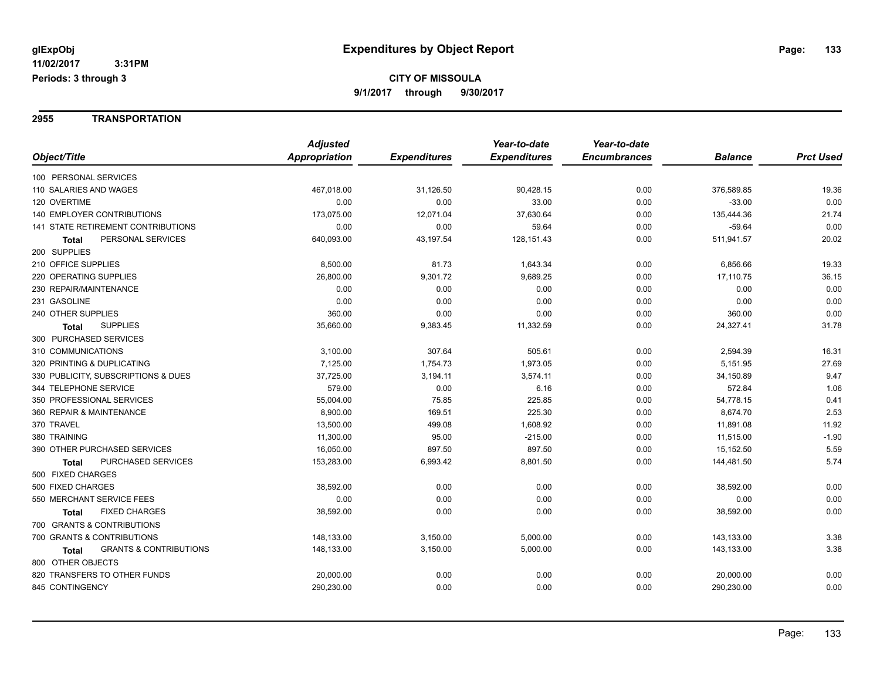#### **2955 TRANSPORTATION**

|                                                   | <b>Adjusted</b> |                     | Year-to-date        | Year-to-date        |                |                  |
|---------------------------------------------------|-----------------|---------------------|---------------------|---------------------|----------------|------------------|
| Object/Title                                      | Appropriation   | <b>Expenditures</b> | <b>Expenditures</b> | <b>Encumbrances</b> | <b>Balance</b> | <b>Prct Used</b> |
| 100 PERSONAL SERVICES                             |                 |                     |                     |                     |                |                  |
| 110 SALARIES AND WAGES                            | 467,018.00      | 31,126.50           | 90,428.15           | 0.00                | 376,589.85     | 19.36            |
| 120 OVERTIME                                      | 0.00            | 0.00                | 33.00               | 0.00                | $-33.00$       | 0.00             |
| <b>140 EMPLOYER CONTRIBUTIONS</b>                 | 173,075.00      | 12,071.04           | 37,630.64           | 0.00                | 135,444.36     | 21.74            |
| 141 STATE RETIREMENT CONTRIBUTIONS                | 0.00            | 0.00                | 59.64               | 0.00                | $-59.64$       | 0.00             |
| PERSONAL SERVICES<br>Total                        | 640,093.00      | 43,197.54           | 128, 151.43         | 0.00                | 511,941.57     | 20.02            |
| 200 SUPPLIES                                      |                 |                     |                     |                     |                |                  |
| 210 OFFICE SUPPLIES                               | 8,500.00        | 81.73               | 1,643.34            | 0.00                | 6,856.66       | 19.33            |
| 220 OPERATING SUPPLIES                            | 26,800.00       | 9,301.72            | 9,689.25            | 0.00                | 17,110.75      | 36.15            |
| 230 REPAIR/MAINTENANCE                            | 0.00            | 0.00                | 0.00                | 0.00                | 0.00           | 0.00             |
| 231 GASOLINE                                      | 0.00            | 0.00                | 0.00                | 0.00                | 0.00           | 0.00             |
| 240 OTHER SUPPLIES                                | 360.00          | 0.00                | 0.00                | 0.00                | 360.00         | 0.00             |
| <b>SUPPLIES</b><br><b>Total</b>                   | 35,660.00       | 9,383.45            | 11,332.59           | 0.00                | 24,327.41      | 31.78            |
| 300 PURCHASED SERVICES                            |                 |                     |                     |                     |                |                  |
| 310 COMMUNICATIONS                                | 3,100.00        | 307.64              | 505.61              | 0.00                | 2,594.39       | 16.31            |
| 320 PRINTING & DUPLICATING                        | 7,125.00        | 1,754.73            | 1,973.05            | 0.00                | 5,151.95       | 27.69            |
| 330 PUBLICITY, SUBSCRIPTIONS & DUES               | 37,725.00       | 3,194.11            | 3,574.11            | 0.00                | 34,150.89      | 9.47             |
| 344 TELEPHONE SERVICE                             | 579.00          | 0.00                | 6.16                | 0.00                | 572.84         | 1.06             |
| 350 PROFESSIONAL SERVICES                         | 55,004.00       | 75.85               | 225.85              | 0.00                | 54,778.15      | 0.41             |
| 360 REPAIR & MAINTENANCE                          | 8,900.00        | 169.51              | 225.30              | 0.00                | 8,674.70       | 2.53             |
| 370 TRAVEL                                        | 13,500.00       | 499.08              | 1,608.92            | 0.00                | 11,891.08      | 11.92            |
| 380 TRAINING                                      | 11,300.00       | 95.00               | $-215.00$           | 0.00                | 11,515.00      | $-1.90$          |
| 390 OTHER PURCHASED SERVICES                      | 16,050.00       | 897.50              | 897.50              | 0.00                | 15,152.50      | 5.59             |
| PURCHASED SERVICES<br>Total                       | 153,283.00      | 6,993.42            | 8,801.50            | 0.00                | 144,481.50     | 5.74             |
| 500 FIXED CHARGES                                 |                 |                     |                     |                     |                |                  |
| 500 FIXED CHARGES                                 | 38,592.00       | 0.00                | 0.00                | 0.00                | 38,592.00      | 0.00             |
| 550 MERCHANT SERVICE FEES                         | 0.00            | 0.00                | 0.00                | 0.00                | 0.00           | 0.00             |
| <b>FIXED CHARGES</b><br>Total                     | 38,592.00       | 0.00                | 0.00                | 0.00                | 38,592.00      | 0.00             |
| 700 GRANTS & CONTRIBUTIONS                        |                 |                     |                     |                     |                |                  |
| 700 GRANTS & CONTRIBUTIONS                        | 148,133.00      | 3,150.00            | 5,000.00            | 0.00                | 143,133.00     | 3.38             |
| <b>GRANTS &amp; CONTRIBUTIONS</b><br><b>Total</b> | 148,133.00      | 3,150.00            | 5,000.00            | 0.00                | 143,133.00     | 3.38             |
| 800 OTHER OBJECTS                                 |                 |                     |                     |                     |                |                  |
| 820 TRANSFERS TO OTHER FUNDS                      | 20,000.00       | 0.00                | 0.00                | 0.00                | 20,000.00      | 0.00             |
| 845 CONTINGENCY                                   | 290,230.00      | 0.00                | 0.00                | 0.00                | 290,230.00     | 0.00             |
|                                                   |                 |                     |                     |                     |                |                  |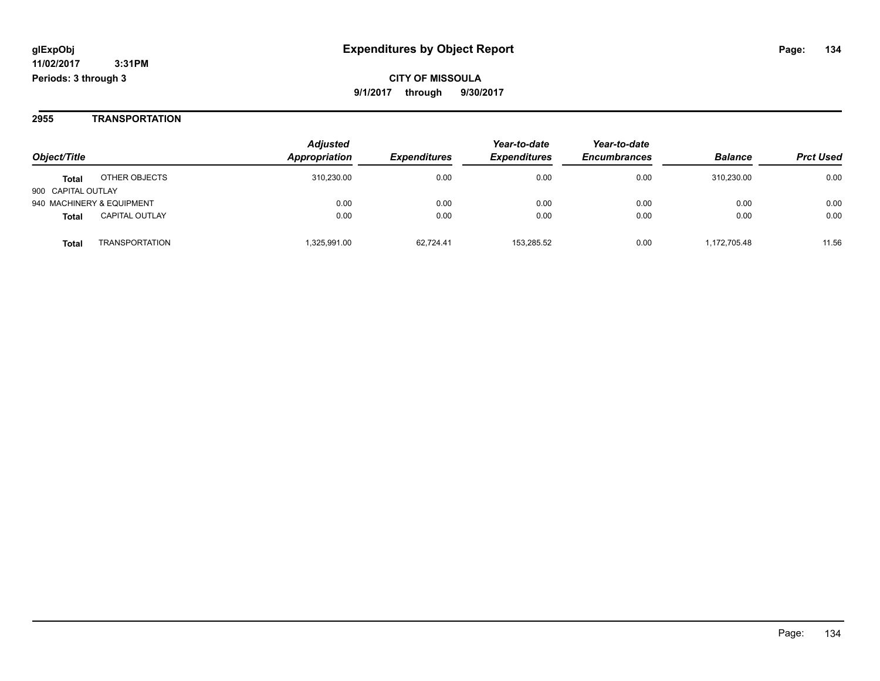#### **2955 TRANSPORTATION**

| Object/Title              |                       | <b>Adjusted</b> |                     | Year-to-date        | Year-to-date<br><b>Encumbrances</b> |                |                  |
|---------------------------|-----------------------|-----------------|---------------------|---------------------|-------------------------------------|----------------|------------------|
|                           |                       | Appropriation   | <b>Expenditures</b> | <b>Expenditures</b> |                                     | <b>Balance</b> | <b>Prct Used</b> |
| <b>Total</b>              | OTHER OBJECTS         | 310.230.00      | 0.00                | 0.00                | 0.00                                | 310.230.00     | 0.00             |
| 900 CAPITAL OUTLAY        |                       |                 |                     |                     |                                     |                |                  |
| 940 MACHINERY & EQUIPMENT |                       | 0.00            | 0.00                | 0.00                | 0.00                                | 0.00           | 0.00             |
| <b>Total</b>              | <b>CAPITAL OUTLAY</b> | 0.00            | 0.00                | 0.00                | 0.00                                | 0.00           | 0.00             |
| <b>Total</b>              | <b>TRANSPORTATION</b> | 1.325.991.00    | 62.724.41           | 153.285.52          | 0.00                                | 1,172,705.48   | 11.56            |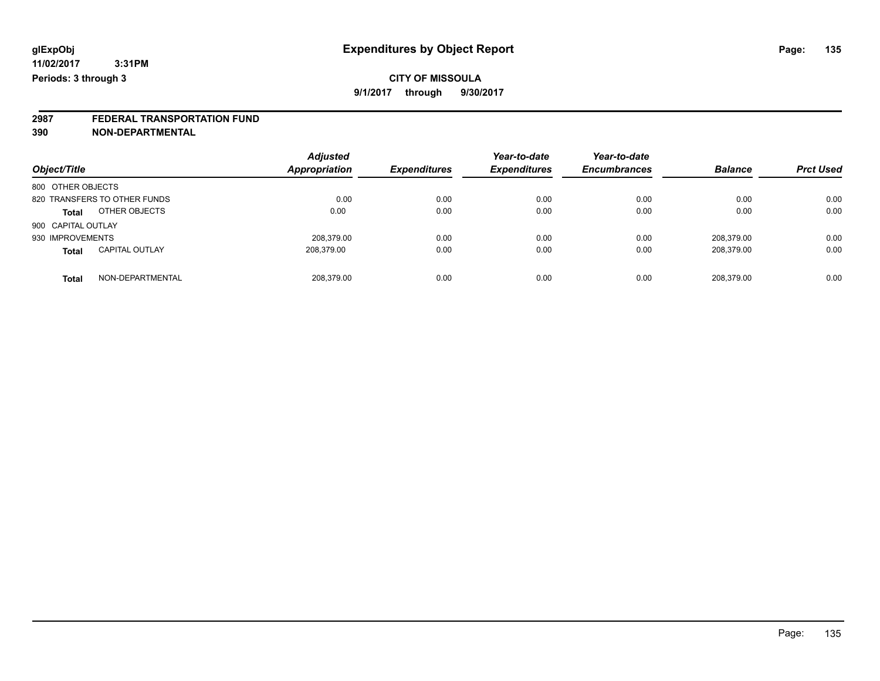# **2987 FEDERAL TRANSPORTATION FUND**

**390 NON-DEPARTMENTAL**

| Object/Title                          | <b>Adjusted</b><br><b>Appropriation</b> | <b>Expenditures</b> | Year-to-date<br><b>Expenditures</b> | Year-to-date<br><b>Encumbrances</b> | <b>Balance</b> | <b>Prct Used</b> |
|---------------------------------------|-----------------------------------------|---------------------|-------------------------------------|-------------------------------------|----------------|------------------|
| 800 OTHER OBJECTS                     |                                         |                     |                                     |                                     |                |                  |
| 820 TRANSFERS TO OTHER FUNDS          | 0.00                                    | 0.00                | 0.00                                | 0.00                                | 0.00           | 0.00             |
| OTHER OBJECTS<br><b>Total</b>         | 0.00                                    | 0.00                | 0.00                                | 0.00                                | 0.00           | 0.00             |
| 900 CAPITAL OUTLAY                    |                                         |                     |                                     |                                     |                |                  |
| 930 IMPROVEMENTS                      | 208.379.00                              | 0.00                | 0.00                                | 0.00                                | 208.379.00     | 0.00             |
| <b>CAPITAL OUTLAY</b><br><b>Total</b> | 208,379.00                              | 0.00                | 0.00                                | 0.00                                | 208,379.00     | 0.00             |
| NON-DEPARTMENTAL<br><b>Total</b>      | 208.379.00                              | 0.00                | 0.00                                | 0.00                                | 208.379.00     | 0.00             |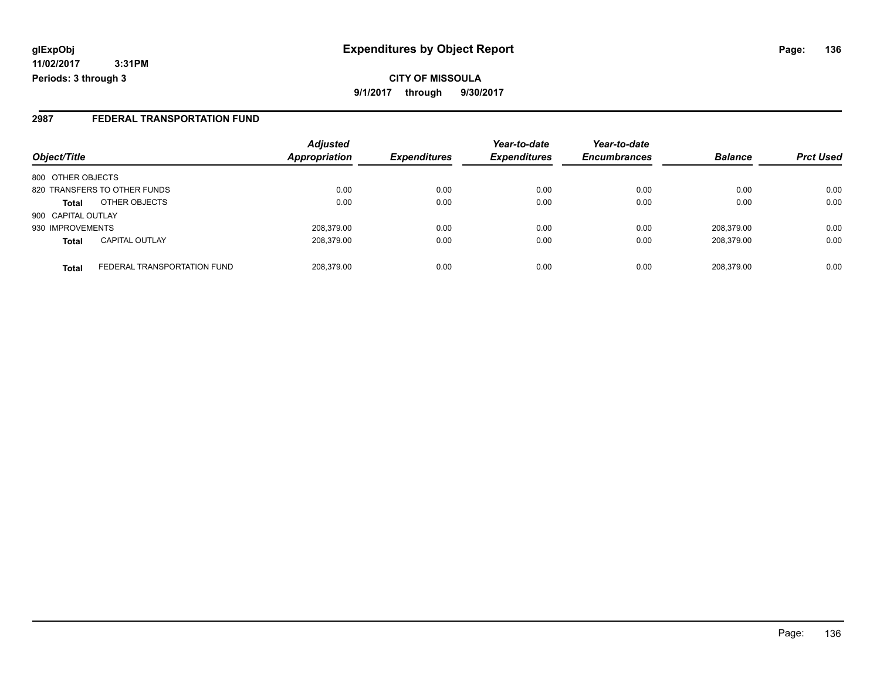**CITY OF MISSOULA 9/1/2017 through 9/30/2017**

#### **2987 FEDERAL TRANSPORTATION FUND**

| Object/Title       |                              | <b>Adjusted</b><br>Appropriation | <b>Expenditures</b> | Year-to-date<br><b>Expenditures</b> | Year-to-date<br><b>Encumbrances</b> | <b>Balance</b> | <b>Prct Used</b> |
|--------------------|------------------------------|----------------------------------|---------------------|-------------------------------------|-------------------------------------|----------------|------------------|
|                    |                              |                                  |                     |                                     |                                     |                |                  |
| 800 OTHER OBJECTS  |                              |                                  |                     |                                     |                                     |                |                  |
|                    | 820 TRANSFERS TO OTHER FUNDS | 0.00                             | 0.00                | 0.00                                | 0.00                                | 0.00           | 0.00             |
| <b>Total</b>       | OTHER OBJECTS                | 0.00                             | 0.00                | 0.00                                | 0.00                                | 0.00           | 0.00             |
| 900 CAPITAL OUTLAY |                              |                                  |                     |                                     |                                     |                |                  |
| 930 IMPROVEMENTS   |                              | 208.379.00                       | 0.00                | 0.00                                | 0.00                                | 208.379.00     | 0.00             |
| <b>Total</b>       | <b>CAPITAL OUTLAY</b>        | 208.379.00                       | 0.00                | 0.00                                | 0.00                                | 208,379.00     | 0.00             |
| <b>Total</b>       | FEDERAL TRANSPORTATION FUND  | 208,379.00                       | 0.00                | 0.00                                | 0.00                                | 208,379.00     | 0.00             |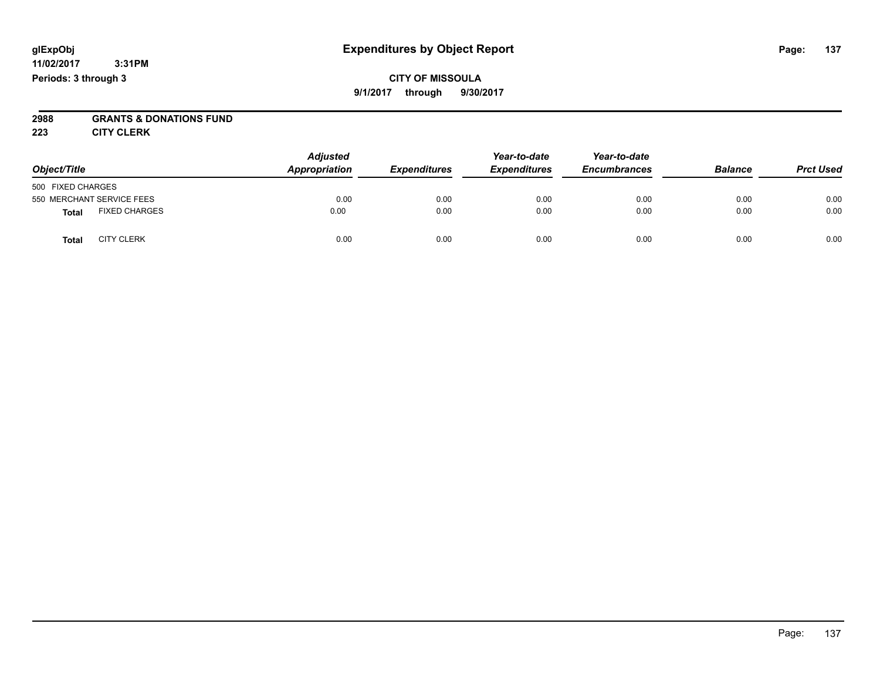#### **CITY OF MISSOULA 9/1/2017 through 9/30/2017**

# **2988 GRANTS & DONATIONS FUND**

**223 CITY CLERK**

| Object/Title                         | <b>Adjusted</b><br>Appropriation | <b>Expenditures</b> | Year-to-date<br><b>Expenditures</b> | Year-to-date<br><b>Encumbrances</b> | <b>Balance</b> | <b>Prct Used</b> |
|--------------------------------------|----------------------------------|---------------------|-------------------------------------|-------------------------------------|----------------|------------------|
| 500 FIXED CHARGES                    |                                  |                     |                                     |                                     |                |                  |
| 550 MERCHANT SERVICE FEES            | 0.00                             | 0.00                | 0.00                                | 0.00                                | 0.00           | 0.00             |
| <b>FIXED CHARGES</b><br><b>Total</b> | 0.00                             | 0.00                | 0.00                                | 0.00                                | 0.00           | 0.00             |
| <b>CITY CLERK</b><br><b>Total</b>    | 0.00                             | 0.00                | 0.00                                | 0.00                                | 0.00           | 0.00             |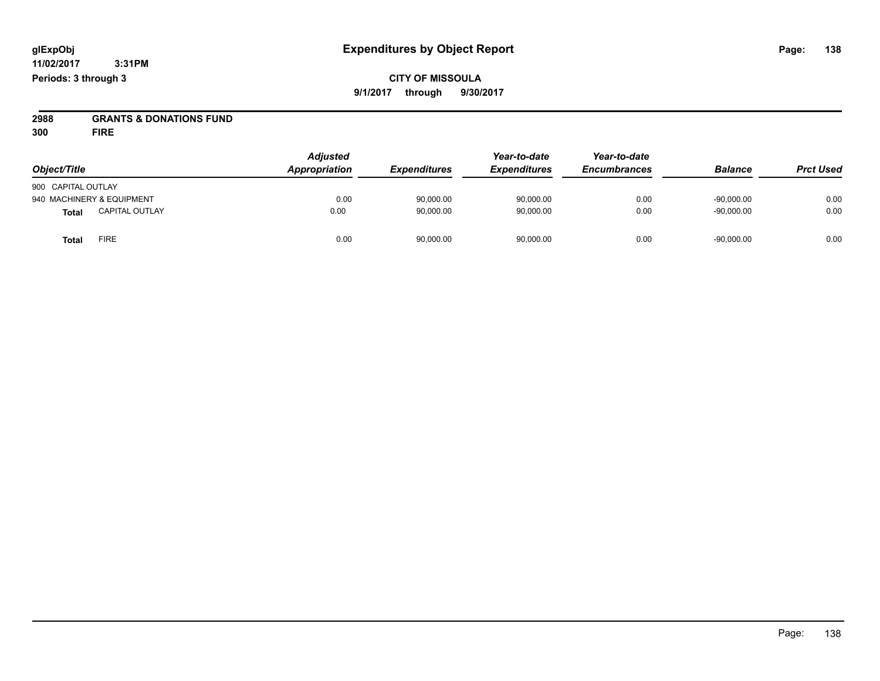**CITY OF MISSOULA 9/1/2017 through 9/30/2017**

**2988 GRANTS & DONATIONS FUND**

**300 FIRE**

| Object/Title       |                           | <b>Adjusted</b><br>Appropriation | <b>Expenditures</b> | Year-to-date<br><b>Expenditures</b> | Year-to-date<br><b>Encumbrances</b> | <b>Balance</b> | <b>Prct Used</b> |
|--------------------|---------------------------|----------------------------------|---------------------|-------------------------------------|-------------------------------------|----------------|------------------|
| 900 CAPITAL OUTLAY |                           |                                  |                     |                                     |                                     |                |                  |
|                    | 940 MACHINERY & EQUIPMENT | 0.00                             | 90,000.00           | 90.000.00                           | 0.00                                | $-90.000.00$   | 0.00             |
| <b>Total</b>       | <b>CAPITAL OUTLAY</b>     | 0.00                             | 90,000.00           | 90,000.00                           | 0.00                                | $-90,000.00$   | 0.00             |
| <b>Total</b>       | <b>FIRE</b>               | 0.00                             | 90,000.00           | 90,000.00                           | 0.00                                | $-90,000.00$   | 0.00             |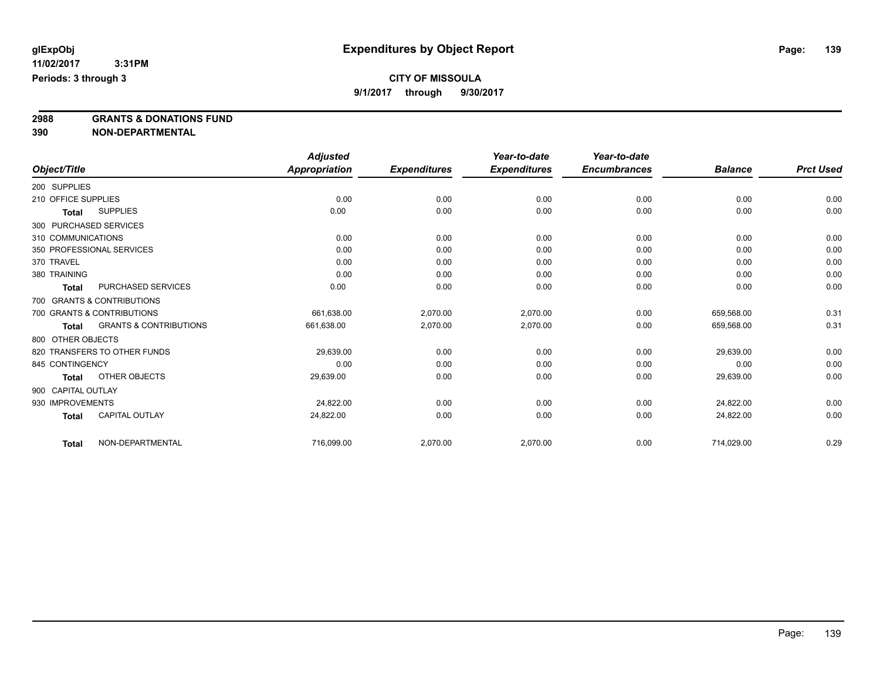### **CITY OF MISSOULA**

**9/1/2017 through 9/30/2017**

**2988 GRANTS & DONATIONS FUND**

**390 NON-DEPARTMENTAL**

|                        |                                   | <b>Adjusted</b> |                     | Year-to-date        | Year-to-date        |                |                  |
|------------------------|-----------------------------------|-----------------|---------------------|---------------------|---------------------|----------------|------------------|
| Object/Title           |                                   | Appropriation   | <b>Expenditures</b> | <b>Expenditures</b> | <b>Encumbrances</b> | <b>Balance</b> | <b>Prct Used</b> |
| 200 SUPPLIES           |                                   |                 |                     |                     |                     |                |                  |
| 210 OFFICE SUPPLIES    |                                   | 0.00            | 0.00                | 0.00                | 0.00                | 0.00           | 0.00             |
| <b>Total</b>           | <b>SUPPLIES</b>                   | 0.00            | 0.00                | 0.00                | 0.00                | 0.00           | 0.00             |
| 300 PURCHASED SERVICES |                                   |                 |                     |                     |                     |                |                  |
| 310 COMMUNICATIONS     |                                   | 0.00            | 0.00                | 0.00                | 0.00                | 0.00           | 0.00             |
|                        | 350 PROFESSIONAL SERVICES         | 0.00            | 0.00                | 0.00                | 0.00                | 0.00           | 0.00             |
| 370 TRAVEL             |                                   | 0.00            | 0.00                | 0.00                | 0.00                | 0.00           | 0.00             |
| 380 TRAINING           |                                   | 0.00            | 0.00                | 0.00                | 0.00                | 0.00           | 0.00             |
| <b>Total</b>           | PURCHASED SERVICES                | 0.00            | 0.00                | 0.00                | 0.00                | 0.00           | 0.00             |
|                        | 700 GRANTS & CONTRIBUTIONS        |                 |                     |                     |                     |                |                  |
|                        | 700 GRANTS & CONTRIBUTIONS        | 661,638.00      | 2,070.00            | 2,070.00            | 0.00                | 659,568.00     | 0.31             |
| <b>Total</b>           | <b>GRANTS &amp; CONTRIBUTIONS</b> | 661,638.00      | 2,070.00            | 2,070.00            | 0.00                | 659,568.00     | 0.31             |
| 800 OTHER OBJECTS      |                                   |                 |                     |                     |                     |                |                  |
|                        | 820 TRANSFERS TO OTHER FUNDS      | 29,639.00       | 0.00                | 0.00                | 0.00                | 29,639.00      | 0.00             |
| 845 CONTINGENCY        |                                   | 0.00            | 0.00                | 0.00                | 0.00                | 0.00           | 0.00             |
| <b>Total</b>           | OTHER OBJECTS                     | 29,639.00       | 0.00                | 0.00                | 0.00                | 29,639.00      | 0.00             |
| 900 CAPITAL OUTLAY     |                                   |                 |                     |                     |                     |                |                  |
| 930 IMPROVEMENTS       |                                   | 24,822.00       | 0.00                | 0.00                | 0.00                | 24.822.00      | 0.00             |
| <b>Total</b>           | <b>CAPITAL OUTLAY</b>             | 24,822.00       | 0.00                | 0.00                | 0.00                | 24,822.00      | 0.00             |
| <b>Total</b>           | NON-DEPARTMENTAL                  | 716,099.00      | 2,070.00            | 2,070.00            | 0.00                | 714,029.00     | 0.29             |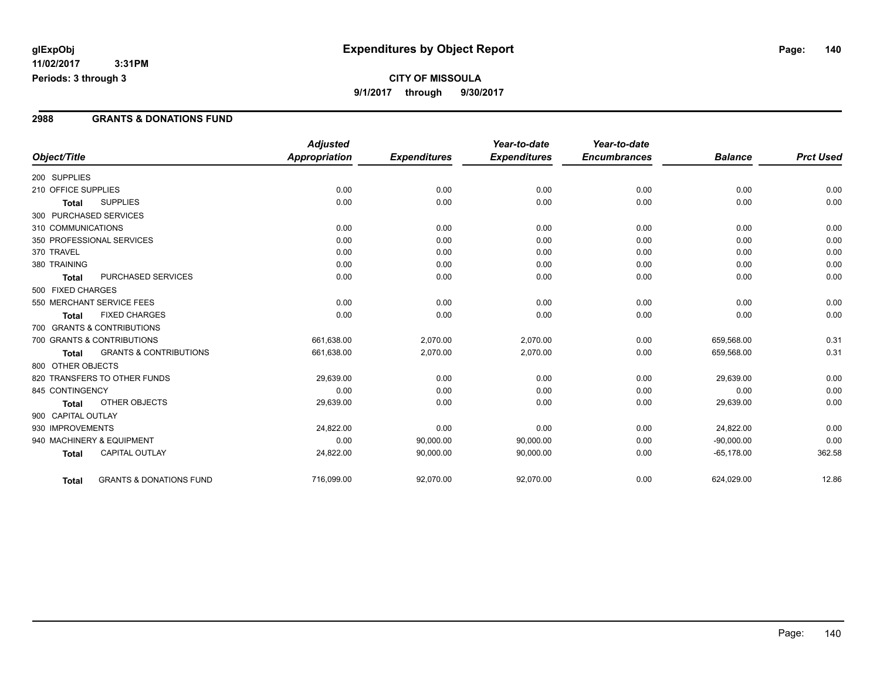### **CITY OF MISSOULA 9/1/2017 through 9/30/2017**

#### **2988 GRANTS & DONATIONS FUND**

|                        |                                    | <b>Adjusted</b>      |                     | Year-to-date        | Year-to-date        |                |                  |
|------------------------|------------------------------------|----------------------|---------------------|---------------------|---------------------|----------------|------------------|
| Object/Title           |                                    | <b>Appropriation</b> | <b>Expenditures</b> | <b>Expenditures</b> | <b>Encumbrances</b> | <b>Balance</b> | <b>Prct Used</b> |
| 200 SUPPLIES           |                                    |                      |                     |                     |                     |                |                  |
| 210 OFFICE SUPPLIES    |                                    | 0.00                 | 0.00                | 0.00                | 0.00                | 0.00           | 0.00             |
| <b>Total</b>           | <b>SUPPLIES</b>                    | 0.00                 | 0.00                | 0.00                | 0.00                | 0.00           | 0.00             |
| 300 PURCHASED SERVICES |                                    |                      |                     |                     |                     |                |                  |
| 310 COMMUNICATIONS     |                                    | 0.00                 | 0.00                | 0.00                | 0.00                | 0.00           | 0.00             |
|                        | 350 PROFESSIONAL SERVICES          | 0.00                 | 0.00                | 0.00                | 0.00                | 0.00           | 0.00             |
| 370 TRAVEL             |                                    | 0.00                 | 0.00                | 0.00                | 0.00                | 0.00           | 0.00             |
| 380 TRAINING           |                                    | 0.00                 | 0.00                | 0.00                | 0.00                | 0.00           | 0.00             |
| <b>Total</b>           | PURCHASED SERVICES                 | 0.00                 | 0.00                | 0.00                | 0.00                | 0.00           | 0.00             |
| 500 FIXED CHARGES      |                                    |                      |                     |                     |                     |                |                  |
|                        | 550 MERCHANT SERVICE FEES          | 0.00                 | 0.00                | 0.00                | 0.00                | 0.00           | 0.00             |
| Total                  | <b>FIXED CHARGES</b>               | 0.00                 | 0.00                | 0.00                | 0.00                | 0.00           | 0.00             |
|                        | 700 GRANTS & CONTRIBUTIONS         |                      |                     |                     |                     |                |                  |
|                        | 700 GRANTS & CONTRIBUTIONS         | 661,638.00           | 2,070.00            | 2,070.00            | 0.00                | 659,568.00     | 0.31             |
| <b>Total</b>           | <b>GRANTS &amp; CONTRIBUTIONS</b>  | 661,638.00           | 2,070.00            | 2,070.00            | 0.00                | 659,568.00     | 0.31             |
| 800 OTHER OBJECTS      |                                    |                      |                     |                     |                     |                |                  |
|                        | 820 TRANSFERS TO OTHER FUNDS       | 29,639.00            | 0.00                | 0.00                | 0.00                | 29,639.00      | 0.00             |
| 845 CONTINGENCY        |                                    | 0.00                 | 0.00                | 0.00                | 0.00                | 0.00           | 0.00             |
| <b>Total</b>           | <b>OTHER OBJECTS</b>               | 29,639.00            | 0.00                | 0.00                | 0.00                | 29,639.00      | 0.00             |
| 900 CAPITAL OUTLAY     |                                    |                      |                     |                     |                     |                |                  |
| 930 IMPROVEMENTS       |                                    | 24,822.00            | 0.00                | 0.00                | 0.00                | 24,822.00      | 0.00             |
|                        | 940 MACHINERY & EQUIPMENT          | 0.00                 | 90,000.00           | 90,000.00           | 0.00                | $-90,000.00$   | 0.00             |
| <b>Total</b>           | <b>CAPITAL OUTLAY</b>              | 24,822.00            | 90,000.00           | 90,000.00           | 0.00                | $-65,178.00$   | 362.58           |
| <b>Total</b>           | <b>GRANTS &amp; DONATIONS FUND</b> | 716,099.00           | 92,070.00           | 92,070.00           | 0.00                | 624,029.00     | 12.86            |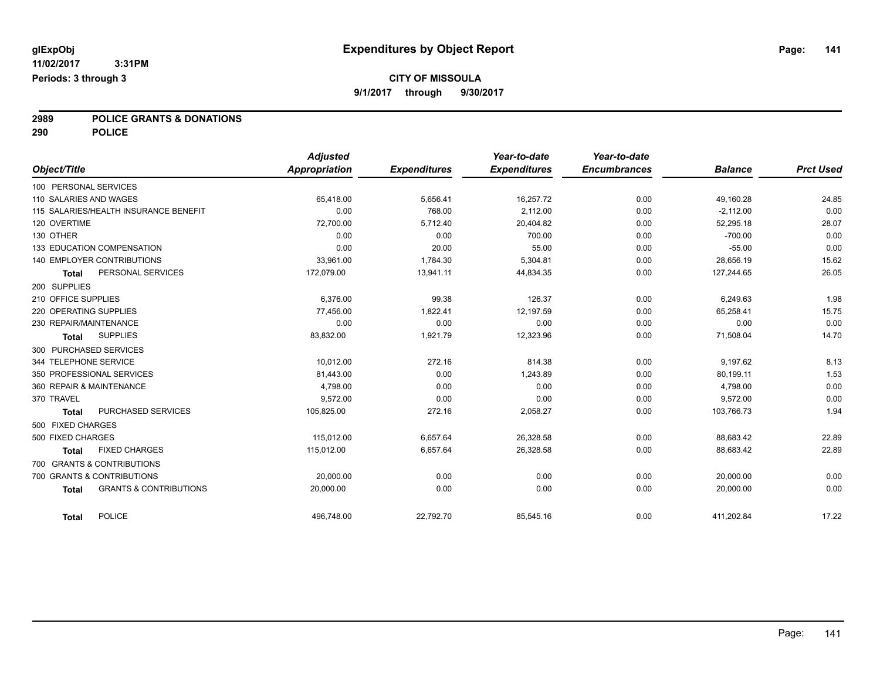# **2989 POLICE GRANTS & DONATIONS**

**290 POLICE**

| Object/Title                                      | <b>Adjusted</b><br>Appropriation | <b>Expenditures</b> | Year-to-date<br><b>Expenditures</b> | Year-to-date<br><b>Encumbrances</b> | <b>Balance</b> | <b>Prct Used</b> |
|---------------------------------------------------|----------------------------------|---------------------|-------------------------------------|-------------------------------------|----------------|------------------|
|                                                   |                                  |                     |                                     |                                     |                |                  |
| 100 PERSONAL SERVICES                             |                                  |                     |                                     |                                     |                |                  |
| 110 SALARIES AND WAGES                            | 65,418.00                        | 5,656.41            | 16,257.72                           | 0.00                                | 49,160.28      | 24.85            |
| 115 SALARIES/HEALTH INSURANCE BENEFIT             | 0.00                             | 768.00              | 2.112.00                            | 0.00                                | $-2,112.00$    | 0.00             |
| 120 OVERTIME                                      | 72,700.00                        | 5,712.40            | 20,404.82                           | 0.00                                | 52,295.18      | 28.07            |
| 130 OTHER                                         | 0.00                             | 0.00                | 700.00                              | 0.00                                | $-700.00$      | 0.00             |
| 133 EDUCATION COMPENSATION                        | 0.00                             | 20.00               | 55.00                               | 0.00                                | $-55.00$       | 0.00             |
| 140 EMPLOYER CONTRIBUTIONS                        | 33,961.00                        | 1,784.30            | 5,304.81                            | 0.00                                | 28,656.19      | 15.62            |
| PERSONAL SERVICES<br><b>Total</b>                 | 172,079.00                       | 13,941.11           | 44,834.35                           | 0.00                                | 127,244.65     | 26.05            |
| 200 SUPPLIES                                      |                                  |                     |                                     |                                     |                |                  |
| 210 OFFICE SUPPLIES                               | 6.376.00                         | 99.38               | 126.37                              | 0.00                                | 6,249.63       | 1.98             |
| 220 OPERATING SUPPLIES                            | 77,456.00                        | 1,822.41            | 12,197.59                           | 0.00                                | 65,258.41      | 15.75            |
| 230 REPAIR/MAINTENANCE                            | 0.00                             | 0.00                | 0.00                                | 0.00                                | 0.00           | 0.00             |
| <b>SUPPLIES</b><br><b>Total</b>                   | 83,832.00                        | 1,921.79            | 12,323.96                           | 0.00                                | 71,508.04      | 14.70            |
| 300 PURCHASED SERVICES                            |                                  |                     |                                     |                                     |                |                  |
| 344 TELEPHONE SERVICE                             | 10.012.00                        | 272.16              | 814.38                              | 0.00                                | 9,197.62       | 8.13             |
| 350 PROFESSIONAL SERVICES                         | 81,443.00                        | 0.00                | 1,243.89                            | 0.00                                | 80,199.11      | 1.53             |
| 360 REPAIR & MAINTENANCE                          | 4,798.00                         | 0.00                | 0.00                                | 0.00                                | 4,798.00       | 0.00             |
| 370 TRAVEL                                        | 9.572.00                         | 0.00                | 0.00                                | 0.00                                | 9.572.00       | 0.00             |
| PURCHASED SERVICES<br><b>Total</b>                | 105,825.00                       | 272.16              | 2,058.27                            | 0.00                                | 103,766.73     | 1.94             |
| 500 FIXED CHARGES                                 |                                  |                     |                                     |                                     |                |                  |
| 500 FIXED CHARGES                                 | 115,012.00                       | 6,657.64            | 26,328.58                           | 0.00                                | 88,683.42      | 22.89            |
| <b>FIXED CHARGES</b><br><b>Total</b>              | 115.012.00                       | 6,657.64            | 26,328.58                           | 0.00                                | 88,683.42      | 22.89            |
| 700 GRANTS & CONTRIBUTIONS                        |                                  |                     |                                     |                                     |                |                  |
| 700 GRANTS & CONTRIBUTIONS                        | 20,000.00                        | 0.00                | 0.00                                | 0.00                                | 20,000.00      | 0.00             |
| <b>GRANTS &amp; CONTRIBUTIONS</b><br><b>Total</b> | 20.000.00                        | 0.00                | 0.00                                | 0.00                                | 20.000.00      | 0.00             |
| <b>POLICE</b><br><b>Total</b>                     | 496,748.00                       | 22,792.70           | 85,545.16                           | 0.00                                | 411,202.84     | 17.22            |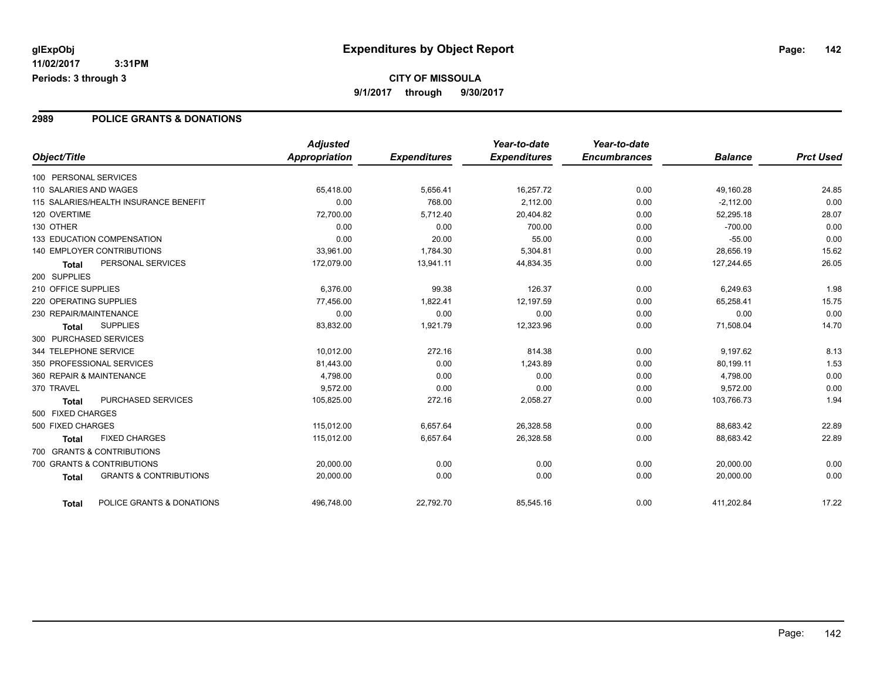#### **2989 POLICE GRANTS & DONATIONS**

|                                                   | <b>Adjusted</b>      |                     | Year-to-date        | Year-to-date        |                |                  |
|---------------------------------------------------|----------------------|---------------------|---------------------|---------------------|----------------|------------------|
| Object/Title                                      | <b>Appropriation</b> | <b>Expenditures</b> | <b>Expenditures</b> | <b>Encumbrances</b> | <b>Balance</b> | <b>Prct Used</b> |
| 100 PERSONAL SERVICES                             |                      |                     |                     |                     |                |                  |
| 110 SALARIES AND WAGES                            | 65,418.00            | 5,656.41            | 16,257.72           | 0.00                | 49,160.28      | 24.85            |
| 115 SALARIES/HEALTH INSURANCE BENEFIT             | 0.00                 | 768.00              | 2,112.00            | 0.00                | $-2,112.00$    | 0.00             |
| 120 OVERTIME                                      | 72,700.00            | 5,712.40            | 20,404.82           | 0.00                | 52,295.18      | 28.07            |
| 130 OTHER                                         | 0.00                 | 0.00                | 700.00              | 0.00                | $-700.00$      | 0.00             |
| 133 EDUCATION COMPENSATION                        | 0.00                 | 20.00               | 55.00               | 0.00                | $-55.00$       | 0.00             |
| <b>140 EMPLOYER CONTRIBUTIONS</b>                 | 33,961.00            | 1,784.30            | 5,304.81            | 0.00                | 28,656.19      | 15.62            |
| PERSONAL SERVICES<br><b>Total</b>                 | 172,079.00           | 13,941.11           | 44,834.35           | 0.00                | 127,244.65     | 26.05            |
| 200 SUPPLIES                                      |                      |                     |                     |                     |                |                  |
| 210 OFFICE SUPPLIES                               | 6,376.00             | 99.38               | 126.37              | 0.00                | 6,249.63       | 1.98             |
| 220 OPERATING SUPPLIES                            | 77,456.00            | 1,822.41            | 12,197.59           | 0.00                | 65,258.41      | 15.75            |
| 230 REPAIR/MAINTENANCE                            | 0.00                 | 0.00                | 0.00                | 0.00                | 0.00           | 0.00             |
| <b>SUPPLIES</b><br><b>Total</b>                   | 83,832.00            | 1,921.79            | 12,323.96           | 0.00                | 71,508.04      | 14.70            |
| 300 PURCHASED SERVICES                            |                      |                     |                     |                     |                |                  |
| 344 TELEPHONE SERVICE                             | 10,012.00            | 272.16              | 814.38              | 0.00                | 9,197.62       | 8.13             |
| 350 PROFESSIONAL SERVICES                         | 81,443.00            | 0.00                | 1,243.89            | 0.00                | 80,199.11      | 1.53             |
| 360 REPAIR & MAINTENANCE                          | 4,798.00             | 0.00                | 0.00                | 0.00                | 4,798.00       | 0.00             |
| 370 TRAVEL                                        | 9,572.00             | 0.00                | 0.00                | 0.00                | 9,572.00       | 0.00             |
| PURCHASED SERVICES<br><b>Total</b>                | 105,825.00           | 272.16              | 2,058.27            | 0.00                | 103,766.73     | 1.94             |
| 500 FIXED CHARGES                                 |                      |                     |                     |                     |                |                  |
| 500 FIXED CHARGES                                 | 115,012.00           | 6,657.64            | 26,328.58           | 0.00                | 88,683.42      | 22.89            |
| <b>FIXED CHARGES</b><br><b>Total</b>              | 115,012.00           | 6,657.64            | 26,328.58           | 0.00                | 88,683.42      | 22.89            |
| 700 GRANTS & CONTRIBUTIONS                        |                      |                     |                     |                     |                |                  |
| 700 GRANTS & CONTRIBUTIONS                        | 20,000.00            | 0.00                | 0.00                | 0.00                | 20,000.00      | 0.00             |
| <b>GRANTS &amp; CONTRIBUTIONS</b><br><b>Total</b> | 20,000.00            | 0.00                | 0.00                | 0.00                | 20,000.00      | 0.00             |
| POLICE GRANTS & DONATIONS<br>Total                | 496,748.00           | 22,792.70           | 85,545.16           | 0.00                | 411,202.84     | 17.22            |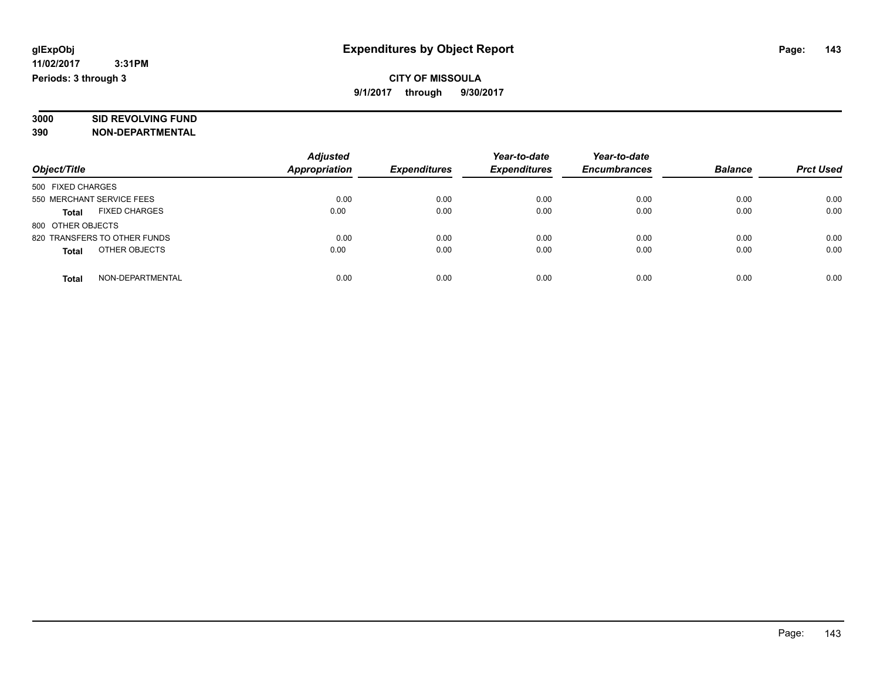# **3000 SID REVOLVING FUND**

**390 NON-DEPARTMENTAL**

|                                      | <b>Adjusted</b>      |                     | Year-to-date<br><b>Expenditures</b> | Year-to-date<br><b>Encumbrances</b> | <b>Balance</b> | <b>Prct Used</b> |
|--------------------------------------|----------------------|---------------------|-------------------------------------|-------------------------------------|----------------|------------------|
| Object/Title                         | <b>Appropriation</b> | <b>Expenditures</b> |                                     |                                     |                |                  |
| 500 FIXED CHARGES                    |                      |                     |                                     |                                     |                |                  |
| 550 MERCHANT SERVICE FEES            | 0.00                 | 0.00                | 0.00                                | 0.00                                | 0.00           | 0.00             |
| <b>FIXED CHARGES</b><br><b>Total</b> | 0.00                 | 0.00                | 0.00                                | 0.00                                | 0.00           | 0.00             |
| 800 OTHER OBJECTS                    |                      |                     |                                     |                                     |                |                  |
| 820 TRANSFERS TO OTHER FUNDS         | 0.00                 | 0.00                | 0.00                                | 0.00                                | 0.00           | 0.00             |
| OTHER OBJECTS<br><b>Total</b>        | 0.00                 | 0.00                | 0.00                                | 0.00                                | 0.00           | 0.00             |
| NON-DEPARTMENTAL<br><b>Total</b>     | 0.00                 | 0.00                | 0.00                                | 0.00                                | 0.00           | 0.00             |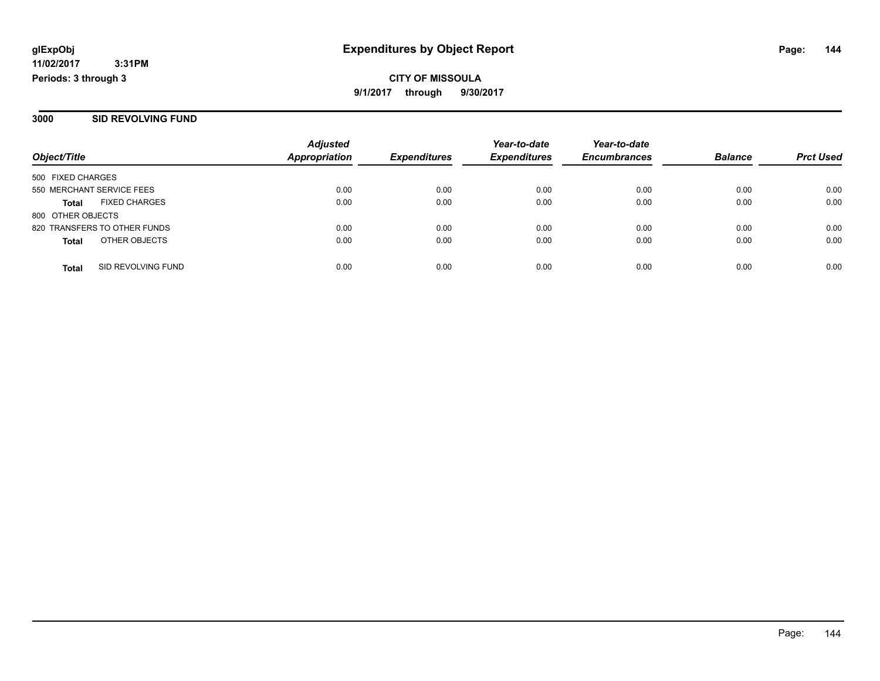**CITY OF MISSOULA 9/1/2017 through 9/30/2017**

#### **3000 SID REVOLVING FUND**

| Object/Title              |                              | <b>Adjusted</b><br><b>Appropriation</b> | <b>Expenditures</b> | Year-to-date<br><b>Expenditures</b> | Year-to-date<br><b>Encumbrances</b> | <b>Balance</b> | <b>Prct Used</b> |
|---------------------------|------------------------------|-----------------------------------------|---------------------|-------------------------------------|-------------------------------------|----------------|------------------|
|                           |                              |                                         |                     |                                     |                                     |                |                  |
| 500 FIXED CHARGES         |                              |                                         |                     |                                     |                                     |                |                  |
| 550 MERCHANT SERVICE FEES |                              | 0.00                                    | 0.00                | 0.00                                | 0.00                                | 0.00           | 0.00             |
| <b>Total</b>              | <b>FIXED CHARGES</b>         | 0.00                                    | 0.00                | 0.00                                | 0.00                                | 0.00           | 0.00             |
| 800 OTHER OBJECTS         |                              |                                         |                     |                                     |                                     |                |                  |
|                           | 820 TRANSFERS TO OTHER FUNDS | 0.00                                    | 0.00                | 0.00                                | 0.00                                | 0.00           | 0.00             |
| <b>Total</b>              | OTHER OBJECTS                | 0.00                                    | 0.00                | 0.00                                | 0.00                                | 0.00           | 0.00             |
| <b>Total</b>              | SID REVOLVING FUND           | 0.00                                    | 0.00                | 0.00                                | 0.00                                | 0.00           | 0.00             |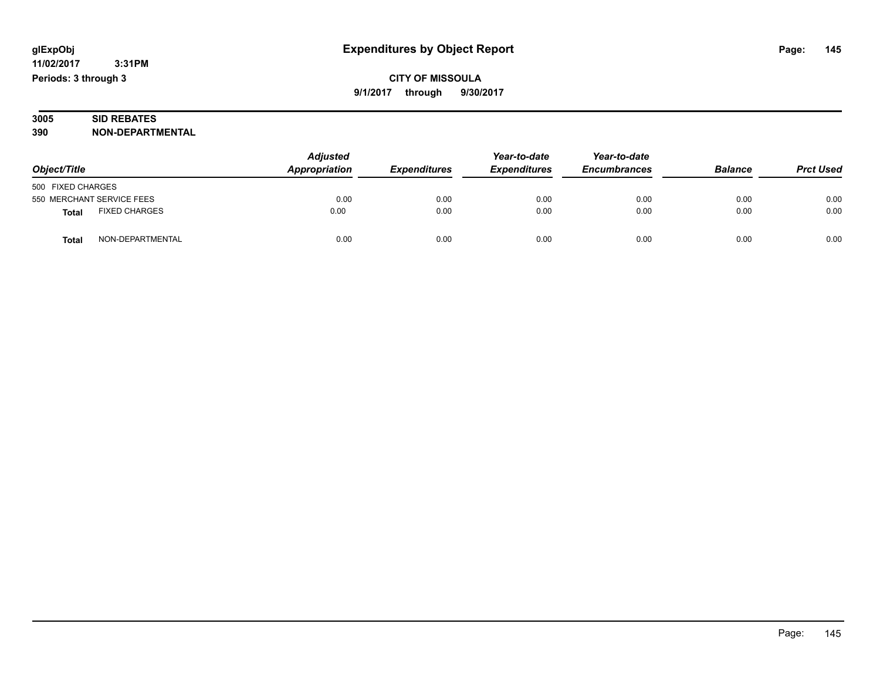**CITY OF MISSOULA 9/1/2017 through 9/30/2017**

|     | 3005 | <b>SID REBATES</b>      |
|-----|------|-------------------------|
| 390 |      | <b>NON-DEPARTMENTAL</b> |

| Object/Title                         | <b>Adjusted</b><br>Appropriation | Year-to-date<br><b>Expenditures</b><br><b>Expenditures</b> | Year-to-date<br><b>Encumbrances</b> | <b>Balance</b> | <b>Prct Used</b> |      |
|--------------------------------------|----------------------------------|------------------------------------------------------------|-------------------------------------|----------------|------------------|------|
| 500 FIXED CHARGES                    |                                  |                                                            |                                     |                |                  |      |
| 550 MERCHANT SERVICE FEES            | 0.00                             | 0.00                                                       | 0.00                                | 0.00           | 0.00             | 0.00 |
| <b>FIXED CHARGES</b><br><b>Total</b> | 0.00                             | 0.00                                                       | 0.00                                | 0.00           | 0.00             | 0.00 |
| NON-DEPARTMENTAL<br><b>Total</b>     | 0.00                             | 0.00                                                       | 0.00                                | 0.00           | 0.00             | 0.00 |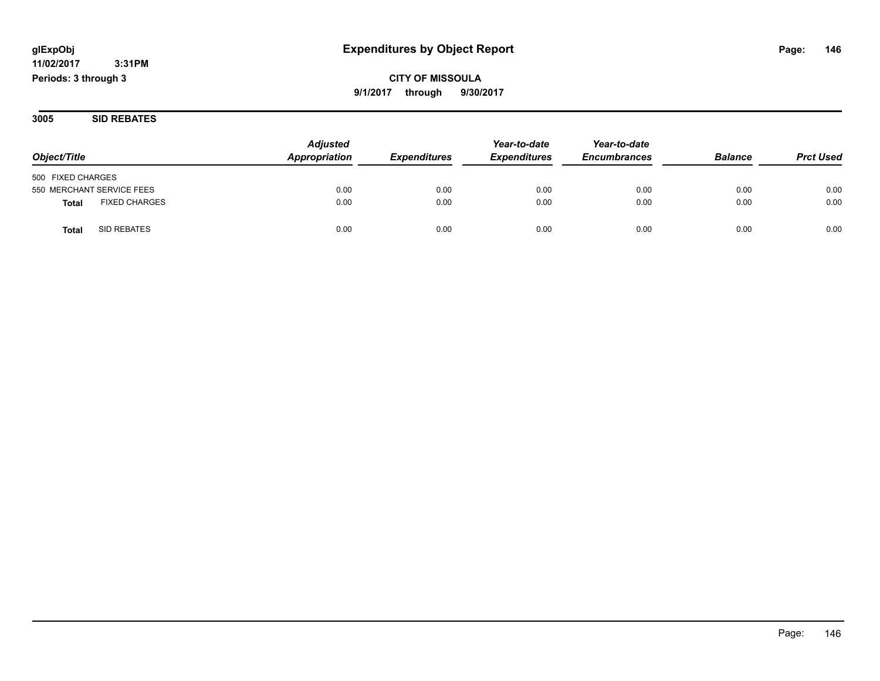**CITY OF MISSOULA 9/1/2017 through 9/30/2017**

**3005 SID REBATES**

| Object/Title                         | <b>Adjusted</b><br>Appropriation | <b>Expenditures</b> | Year-to-date<br><b>Expenditures</b> | Year-to-date<br><b>Encumbrances</b> | <b>Balance</b> | <b>Prct Used</b> |
|--------------------------------------|----------------------------------|---------------------|-------------------------------------|-------------------------------------|----------------|------------------|
|                                      |                                  |                     |                                     |                                     |                |                  |
| 500 FIXED CHARGES                    |                                  |                     |                                     |                                     |                |                  |
| 550 MERCHANT SERVICE FEES            | 0.00                             | 0.00                | 0.00                                | 0.00                                | 0.00           | 0.00             |
| <b>FIXED CHARGES</b><br><b>Total</b> | 0.00                             | 0.00                | 0.00                                | 0.00                                | 0.00           | 0.00             |
| SID REBATES<br>Total                 | 0.00                             | 0.00                | 0.00                                | 0.00                                | 0.00           | 0.00             |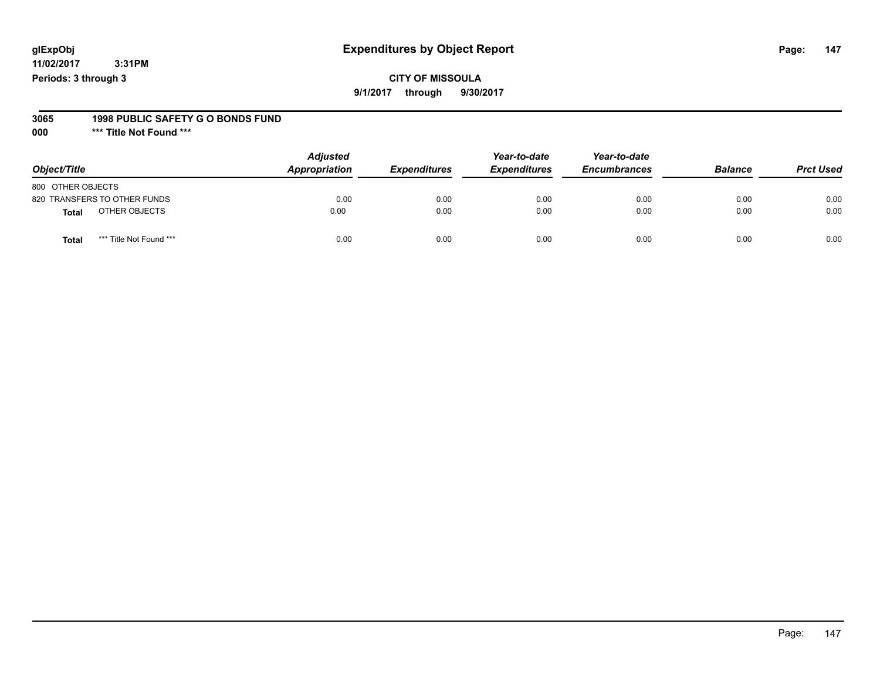### **CITY OF MISSOULA**

**9/1/2017 through 9/30/2017**

#### **3065 1998 PUBLIC SAFETY G O BONDS FUND**

**000 \*\*\* Title Not Found \*\*\***

| Object/Title                            | <b>Adjusted</b><br>Appropriation | <b>Expenditures</b> | Year-to-date<br><b>Expenditures</b> | Year-to-date<br><b>Encumbrances</b> | <b>Balance</b> | <b>Prct Used</b> |
|-----------------------------------------|----------------------------------|---------------------|-------------------------------------|-------------------------------------|----------------|------------------|
| 800 OTHER OBJECTS                       |                                  |                     |                                     |                                     |                |                  |
| 820 TRANSFERS TO OTHER FUNDS            | 0.00                             | 0.00                | 0.00                                | 0.00                                | 0.00           | 0.00             |
| OTHER OBJECTS<br>Total                  | 0.00                             | 0.00                | 0.00                                | 0.00                                | 0.00           | 0.00             |
| *** Title Not Found ***<br><b>Total</b> | 0.00                             | 0.00                | 0.00                                | 0.00                                | 0.00           | 0.00             |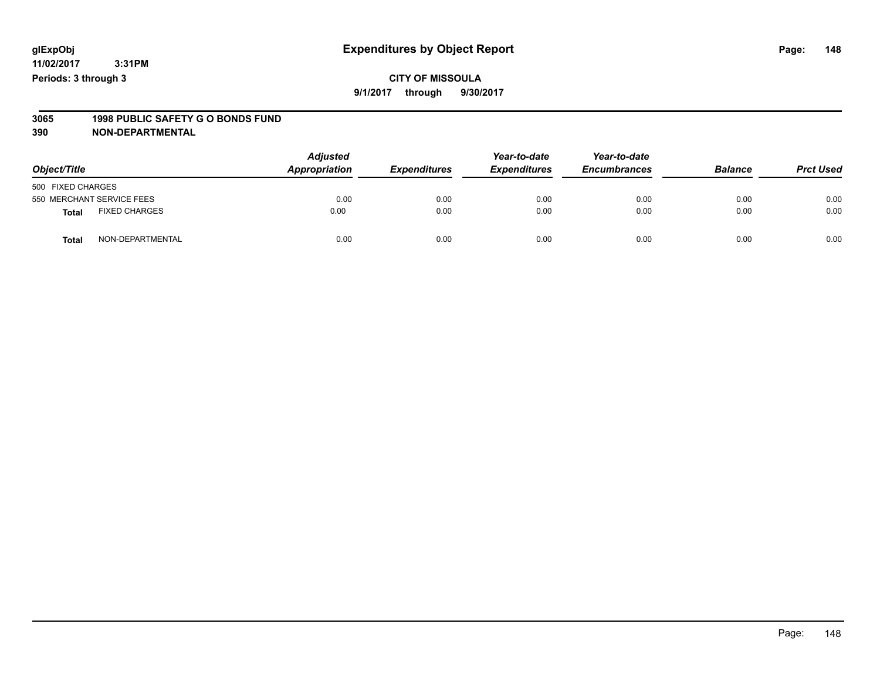#### **CITY OF MISSOULA 9/1/2017 through 9/30/2017**

# **3065 1998 PUBLIC SAFETY G O BONDS FUND**

| Object/Title              |                      | <b>Adjusted</b><br>Appropriation | <b>Expenditures</b> | Year-to-date<br><b>Expenditures</b> | Year-to-date<br><b>Encumbrances</b> | <b>Balance</b> | <b>Prct Used</b> |
|---------------------------|----------------------|----------------------------------|---------------------|-------------------------------------|-------------------------------------|----------------|------------------|
| 500 FIXED CHARGES         |                      |                                  |                     |                                     |                                     |                |                  |
| 550 MERCHANT SERVICE FEES |                      | 0.00                             | 0.00                | 0.00                                | 0.00                                | 0.00           | 0.00             |
| <b>Total</b>              | <b>FIXED CHARGES</b> | 0.00                             | 0.00                | 0.00                                | 0.00                                | 0.00           | 0.00             |
| <b>Total</b>              | NON-DEPARTMENTAL     | 0.00                             | 0.00                | 0.00                                | 0.00                                | 0.00           | 0.00             |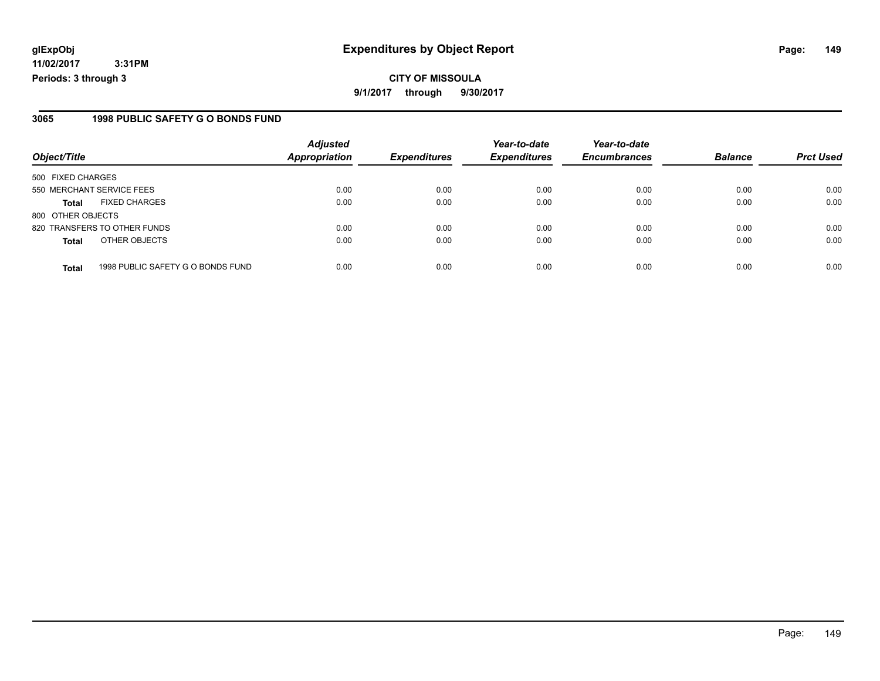**11/02/2017 3:31PM Periods: 3 through 3**

#### **3065 1998 PUBLIC SAFETY G O BONDS FUND**

|                           |                                   | <b>Adjusted</b>      |                     | Year-to-date        | Year-to-date        |                |                  |
|---------------------------|-----------------------------------|----------------------|---------------------|---------------------|---------------------|----------------|------------------|
| Object/Title              |                                   | <b>Appropriation</b> | <b>Expenditures</b> | <b>Expenditures</b> | <b>Encumbrances</b> | <b>Balance</b> | <b>Prct Used</b> |
| 500 FIXED CHARGES         |                                   |                      |                     |                     |                     |                |                  |
| 550 MERCHANT SERVICE FEES |                                   | 0.00                 | 0.00                | 0.00                | 0.00                | 0.00           | 0.00             |
| <b>Total</b>              | <b>FIXED CHARGES</b>              | 0.00                 | 0.00                | 0.00                | 0.00                | 0.00           | 0.00             |
| 800 OTHER OBJECTS         |                                   |                      |                     |                     |                     |                |                  |
|                           | 820 TRANSFERS TO OTHER FUNDS      | 0.00                 | 0.00                | 0.00                | 0.00                | 0.00           | 0.00             |
| <b>Total</b>              | OTHER OBJECTS                     | 0.00                 | 0.00                | 0.00                | 0.00                | 0.00           | 0.00             |
| <b>Total</b>              | 1998 PUBLIC SAFETY G O BONDS FUND | 0.00                 | 0.00                | 0.00                | 0.00                | 0.00           | 0.00             |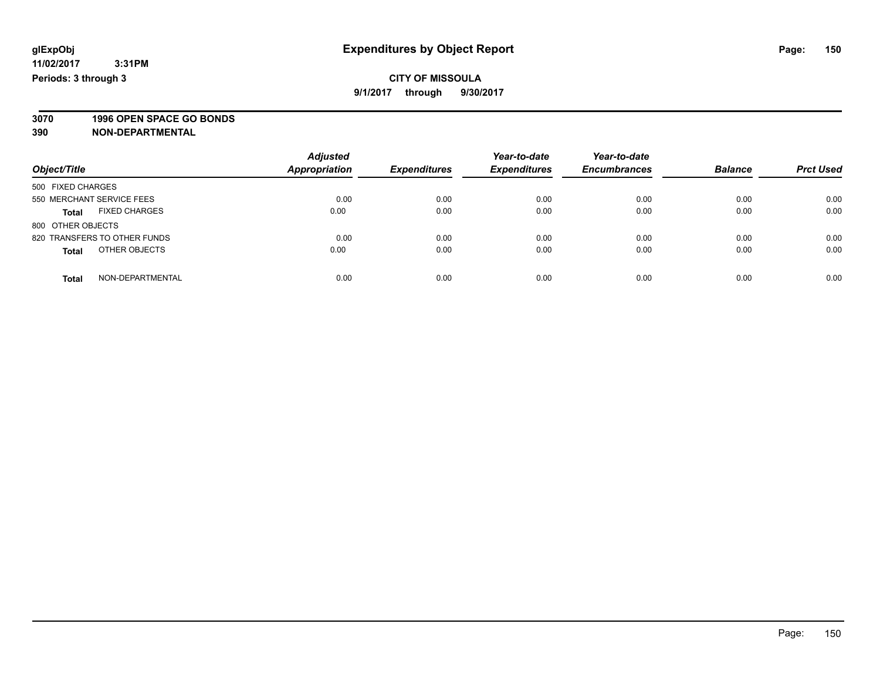#### **CITY OF MISSOULA 9/1/2017 through 9/30/2017**

**3070 1996 OPEN SPACE GO BONDS**

| Object/Title                         | <b>Adjusted</b><br><b>Appropriation</b> | <b>Expenditures</b> | Year-to-date<br><b>Expenditures</b> | Year-to-date<br><b>Encumbrances</b> | <b>Balance</b> | <b>Prct Used</b> |
|--------------------------------------|-----------------------------------------|---------------------|-------------------------------------|-------------------------------------|----------------|------------------|
| 500 FIXED CHARGES                    |                                         |                     |                                     |                                     |                |                  |
| 550 MERCHANT SERVICE FEES            | 0.00                                    | 0.00                | 0.00                                | 0.00                                | 0.00           | 0.00             |
| <b>FIXED CHARGES</b><br><b>Total</b> | 0.00                                    | 0.00                | 0.00                                | 0.00                                | 0.00           | 0.00             |
| 800 OTHER OBJECTS                    |                                         |                     |                                     |                                     |                |                  |
| 820 TRANSFERS TO OTHER FUNDS         | 0.00                                    | 0.00                | 0.00                                | 0.00                                | 0.00           | 0.00             |
| OTHER OBJECTS<br><b>Total</b>        | 0.00                                    | 0.00                | 0.00                                | 0.00                                | 0.00           | 0.00             |
| NON-DEPARTMENTAL<br>Total            | 0.00                                    | 0.00                | 0.00                                | 0.00                                | 0.00           | 0.00             |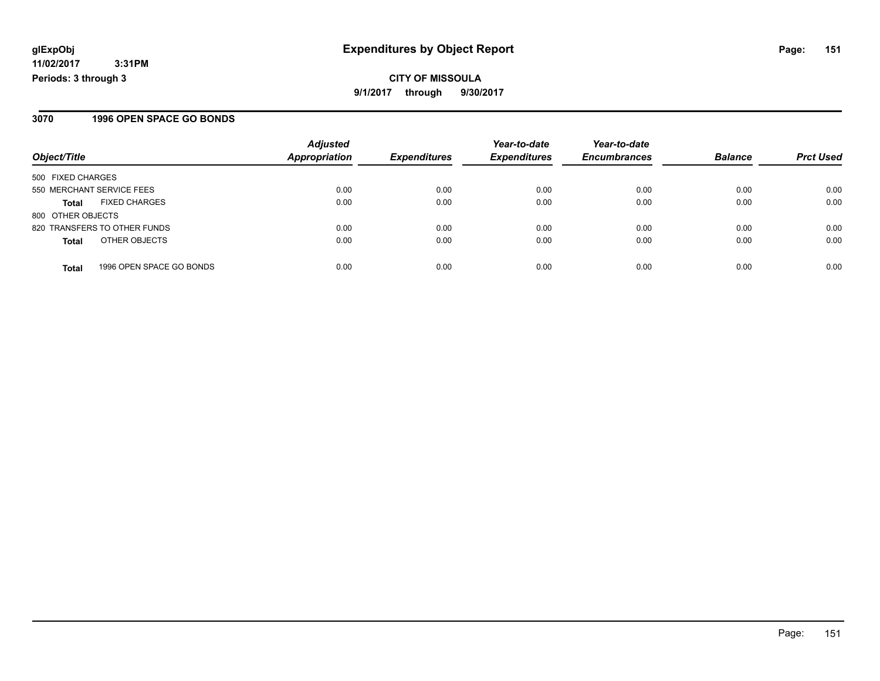#### **3070 1996 OPEN SPACE GO BONDS**

|                              |                          | <b>Adjusted</b>      |                     | Year-to-date        | Year-to-date        |                |                  |
|------------------------------|--------------------------|----------------------|---------------------|---------------------|---------------------|----------------|------------------|
| Object/Title                 |                          | <b>Appropriation</b> | <b>Expenditures</b> | <b>Expenditures</b> | <b>Encumbrances</b> | <b>Balance</b> | <b>Prct Used</b> |
| 500 FIXED CHARGES            |                          |                      |                     |                     |                     |                |                  |
| 550 MERCHANT SERVICE FEES    |                          | 0.00                 | 0.00                | 0.00                | 0.00                | 0.00           | 0.00             |
| Total                        | <b>FIXED CHARGES</b>     | 0.00                 | 0.00                | 0.00                | 0.00                | 0.00           | 0.00             |
| 800 OTHER OBJECTS            |                          |                      |                     |                     |                     |                |                  |
| 820 TRANSFERS TO OTHER FUNDS |                          | 0.00                 | 0.00                | 0.00                | 0.00                | 0.00           | 0.00             |
| <b>Total</b>                 | OTHER OBJECTS            | 0.00                 | 0.00                | 0.00                | 0.00                | 0.00           | 0.00             |
| <b>Total</b>                 | 1996 OPEN SPACE GO BONDS | 0.00                 | 0.00                | 0.00                | 0.00                | 0.00           | 0.00             |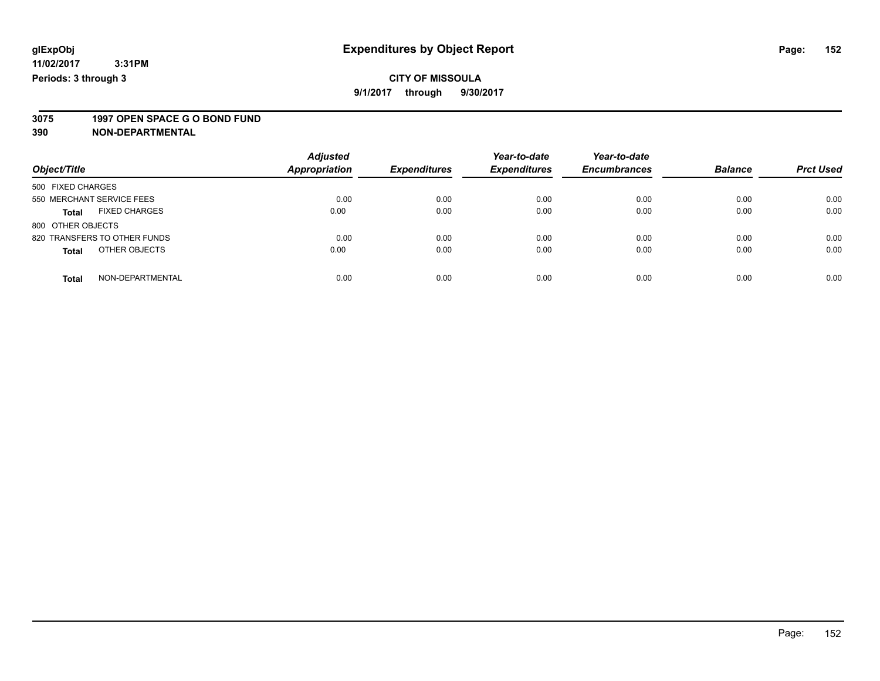**9/1/2017 through 9/30/2017**

# **3075 1997 OPEN SPACE G O BOND FUND**

| Object/Title                         | <b>Adjusted</b><br><b>Appropriation</b> | <b>Expenditures</b> | Year-to-date<br><b>Expenditures</b> | Year-to-date<br><b>Encumbrances</b> | <b>Balance</b> | <b>Prct Used</b> |
|--------------------------------------|-----------------------------------------|---------------------|-------------------------------------|-------------------------------------|----------------|------------------|
|                                      |                                         |                     |                                     |                                     |                |                  |
| 500 FIXED CHARGES                    |                                         |                     |                                     |                                     |                |                  |
| 550 MERCHANT SERVICE FEES            | 0.00                                    | 0.00                | 0.00                                | 0.00                                | 0.00           | 0.00             |
| <b>FIXED CHARGES</b><br><b>Total</b> | 0.00                                    | 0.00                | 0.00                                | 0.00                                | 0.00           | 0.00             |
| 800 OTHER OBJECTS                    |                                         |                     |                                     |                                     |                |                  |
| 820 TRANSFERS TO OTHER FUNDS         | 0.00                                    | 0.00                | 0.00                                | 0.00                                | 0.00           | 0.00             |
| OTHER OBJECTS<br><b>Total</b>        | 0.00                                    | 0.00                | 0.00                                | 0.00                                | 0.00           | 0.00             |
| NON-DEPARTMENTAL<br><b>Total</b>     | 0.00                                    | 0.00                | 0.00                                | 0.00                                | 0.00           | 0.00             |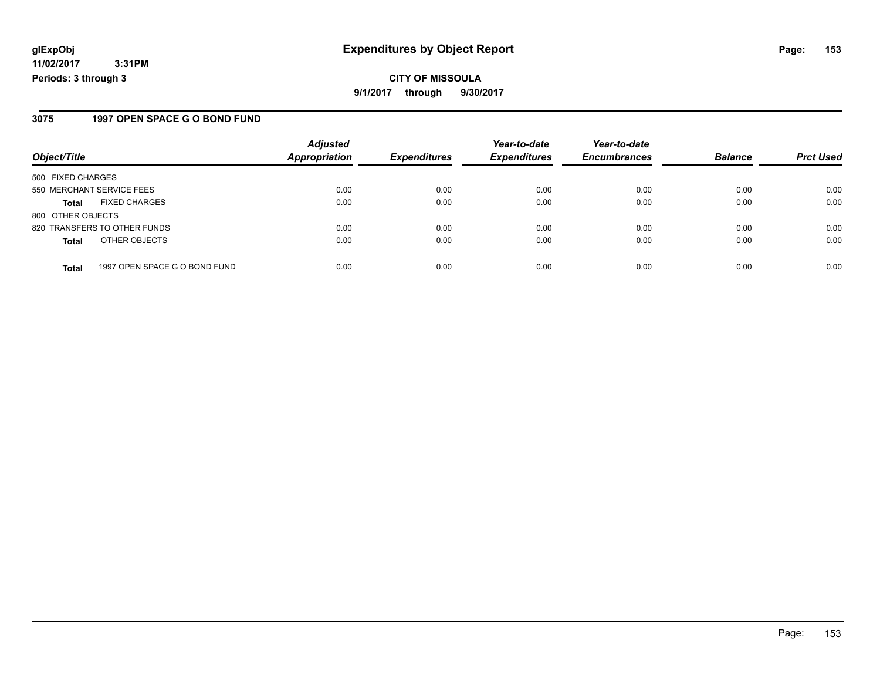#### **3075 1997 OPEN SPACE G O BOND FUND**

|                           |                               | <b>Adjusted</b>      |                     | Year-to-date        | Year-to-date        |                |                  |
|---------------------------|-------------------------------|----------------------|---------------------|---------------------|---------------------|----------------|------------------|
| Object/Title              |                               | <b>Appropriation</b> | <b>Expenditures</b> | <b>Expenditures</b> | <b>Encumbrances</b> | <b>Balance</b> | <b>Prct Used</b> |
| 500 FIXED CHARGES         |                               |                      |                     |                     |                     |                |                  |
| 550 MERCHANT SERVICE FEES |                               | 0.00                 | 0.00                | 0.00                | 0.00                | 0.00           | 0.00             |
| <b>Total</b>              | <b>FIXED CHARGES</b>          | 0.00                 | 0.00                | 0.00                | 0.00                | 0.00           | 0.00             |
| 800 OTHER OBJECTS         |                               |                      |                     |                     |                     |                |                  |
|                           | 820 TRANSFERS TO OTHER FUNDS  | 0.00                 | 0.00                | 0.00                | 0.00                | 0.00           | 0.00             |
| <b>Total</b>              | OTHER OBJECTS                 | 0.00                 | 0.00                | 0.00                | 0.00                | 0.00           | 0.00             |
| <b>Total</b>              | 1997 OPEN SPACE G O BOND FUND | 0.00                 | 0.00                | 0.00                | 0.00                | 0.00           | 0.00             |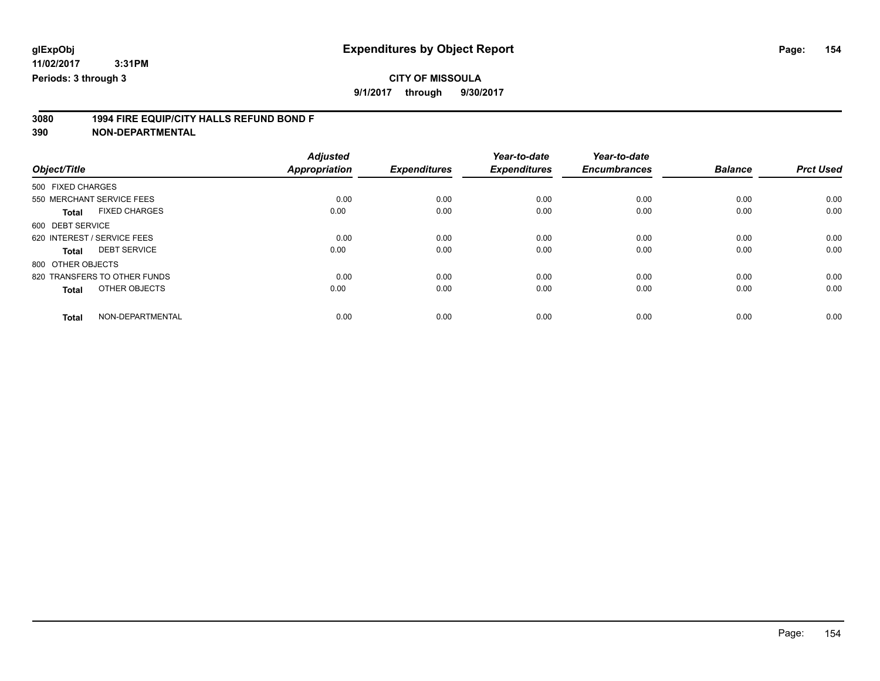**9/1/2017 through 9/30/2017**

# **3080 1994 FIRE EQUIP/CITY HALLS REFUND BOND F**

|                                      | <b>Adjusted</b>      |                     | Year-to-date        | Year-to-date        |                |                  |
|--------------------------------------|----------------------|---------------------|---------------------|---------------------|----------------|------------------|
| Object/Title                         | <b>Appropriation</b> | <b>Expenditures</b> | <b>Expenditures</b> | <b>Encumbrances</b> | <b>Balance</b> | <b>Prct Used</b> |
| 500 FIXED CHARGES                    |                      |                     |                     |                     |                |                  |
| 550 MERCHANT SERVICE FEES            | 0.00                 | 0.00                | 0.00                | 0.00                | 0.00           | 0.00             |
| <b>FIXED CHARGES</b><br><b>Total</b> | 0.00                 | 0.00                | 0.00                | 0.00                | 0.00           | 0.00             |
| 600 DEBT SERVICE                     |                      |                     |                     |                     |                |                  |
| 620 INTEREST / SERVICE FEES          | 0.00                 | 0.00                | 0.00                | 0.00                | 0.00           | 0.00             |
| <b>DEBT SERVICE</b><br><b>Total</b>  | 0.00                 | 0.00                | 0.00                | 0.00                | 0.00           | 0.00             |
| 800 OTHER OBJECTS                    |                      |                     |                     |                     |                |                  |
| 820 TRANSFERS TO OTHER FUNDS         | 0.00                 | 0.00                | 0.00                | 0.00                | 0.00           | 0.00             |
| OTHER OBJECTS<br><b>Total</b>        | 0.00                 | 0.00                | 0.00                | 0.00                | 0.00           | 0.00             |
|                                      |                      |                     |                     |                     |                |                  |
| NON-DEPARTMENTAL<br><b>Total</b>     | 0.00                 | 0.00                | 0.00                | 0.00                | 0.00           | 0.00             |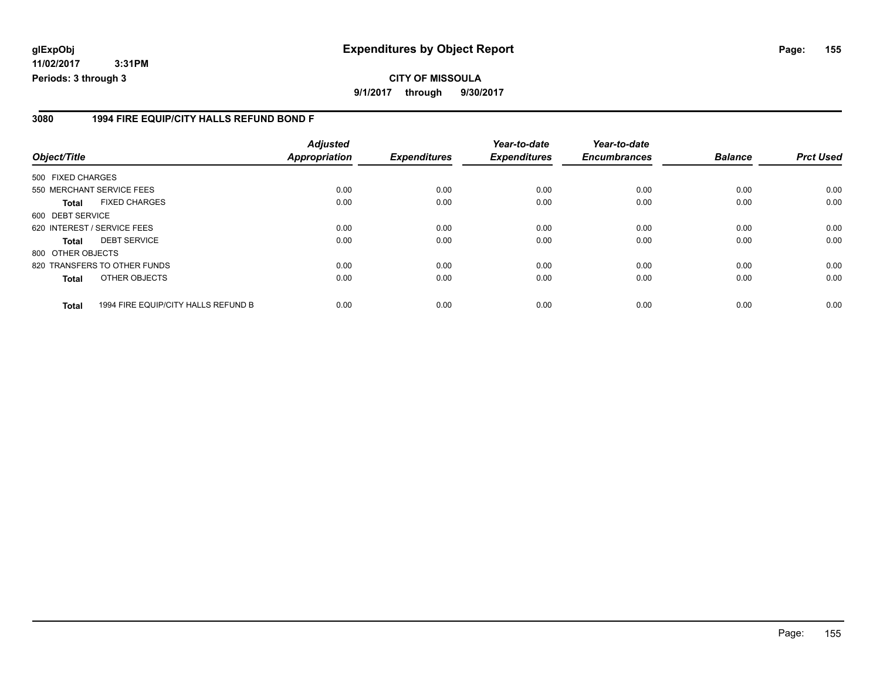**11/02/2017 3:31PM Periods: 3 through 3**

#### **3080 1994 FIRE EQUIP/CITY HALLS REFUND BOND F**

| Object/Title      |                                     | <b>Adjusted</b><br><b>Appropriation</b> | <b>Expenditures</b> | Year-to-date<br><b>Expenditures</b> | Year-to-date<br><b>Encumbrances</b> | <b>Balance</b> | <b>Prct Used</b> |
|-------------------|-------------------------------------|-----------------------------------------|---------------------|-------------------------------------|-------------------------------------|----------------|------------------|
| 500 FIXED CHARGES |                                     |                                         |                     |                                     |                                     |                |                  |
|                   | 550 MERCHANT SERVICE FEES           | 0.00                                    | 0.00                | 0.00                                | 0.00                                | 0.00           | 0.00             |
| <b>Total</b>      | <b>FIXED CHARGES</b>                | 0.00                                    | 0.00                | 0.00                                | 0.00                                | 0.00           | 0.00             |
| 600 DEBT SERVICE  |                                     |                                         |                     |                                     |                                     |                |                  |
|                   | 620 INTEREST / SERVICE FEES         | 0.00                                    | 0.00                | 0.00                                | 0.00                                | 0.00           | 0.00             |
| <b>Total</b>      | <b>DEBT SERVICE</b>                 | 0.00                                    | 0.00                | 0.00                                | 0.00                                | 0.00           | 0.00             |
| 800 OTHER OBJECTS |                                     |                                         |                     |                                     |                                     |                |                  |
|                   | 820 TRANSFERS TO OTHER FUNDS        | 0.00                                    | 0.00                | 0.00                                | 0.00                                | 0.00           | 0.00             |
| <b>Total</b>      | OTHER OBJECTS                       | 0.00                                    | 0.00                | 0.00                                | 0.00                                | 0.00           | 0.00             |
| <b>Total</b>      | 1994 FIRE EQUIP/CITY HALLS REFUND B | 0.00                                    | 0.00                | 0.00                                | 0.00                                | 0.00           | 0.00             |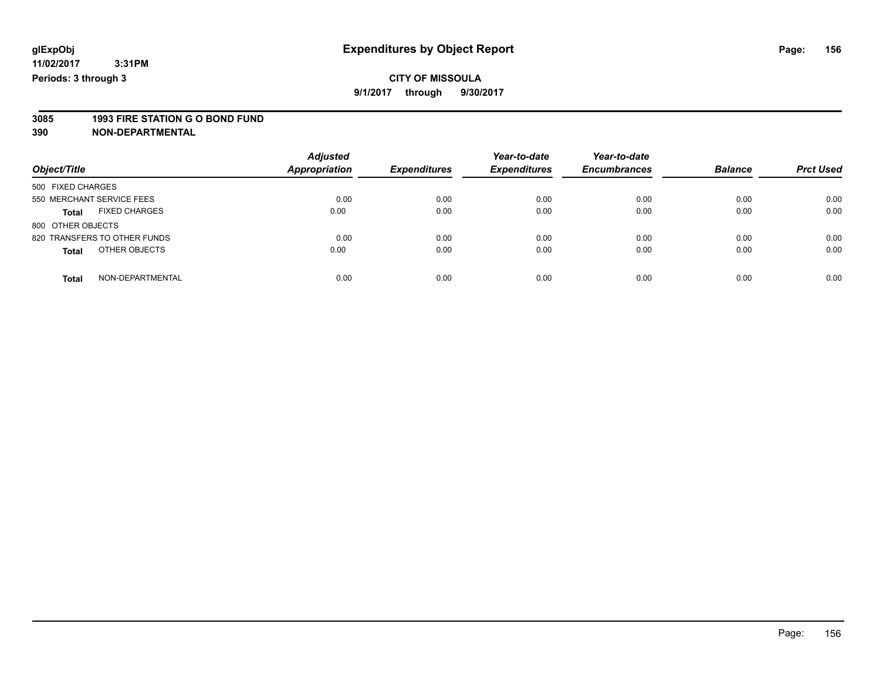**9/1/2017 through 9/30/2017**

# **3085 1993 FIRE STATION G O BOND FUND**

| Object/Title                         | <b>Adjusted</b><br>Appropriation | <b>Expenditures</b> | Year-to-date<br><b>Expenditures</b> | Year-to-date<br><b>Encumbrances</b> | <b>Balance</b> | <b>Prct Used</b> |
|--------------------------------------|----------------------------------|---------------------|-------------------------------------|-------------------------------------|----------------|------------------|
| 500 FIXED CHARGES                    |                                  |                     |                                     |                                     |                |                  |
| 550 MERCHANT SERVICE FEES            | 0.00                             | 0.00                | 0.00                                | 0.00                                | 0.00           | 0.00             |
| <b>FIXED CHARGES</b><br><b>Total</b> | 0.00                             | 0.00                | 0.00                                | 0.00                                | 0.00           | 0.00             |
| 800 OTHER OBJECTS                    |                                  |                     |                                     |                                     |                |                  |
| 820 TRANSFERS TO OTHER FUNDS         | 0.00                             | 0.00                | 0.00                                | 0.00                                | 0.00           | 0.00             |
| OTHER OBJECTS<br><b>Total</b>        | 0.00                             | 0.00                | 0.00                                | 0.00                                | 0.00           | 0.00             |
| NON-DEPARTMENTAL<br><b>Total</b>     | 0.00                             | 0.00                | 0.00                                | 0.00                                | 0.00           | 0.00             |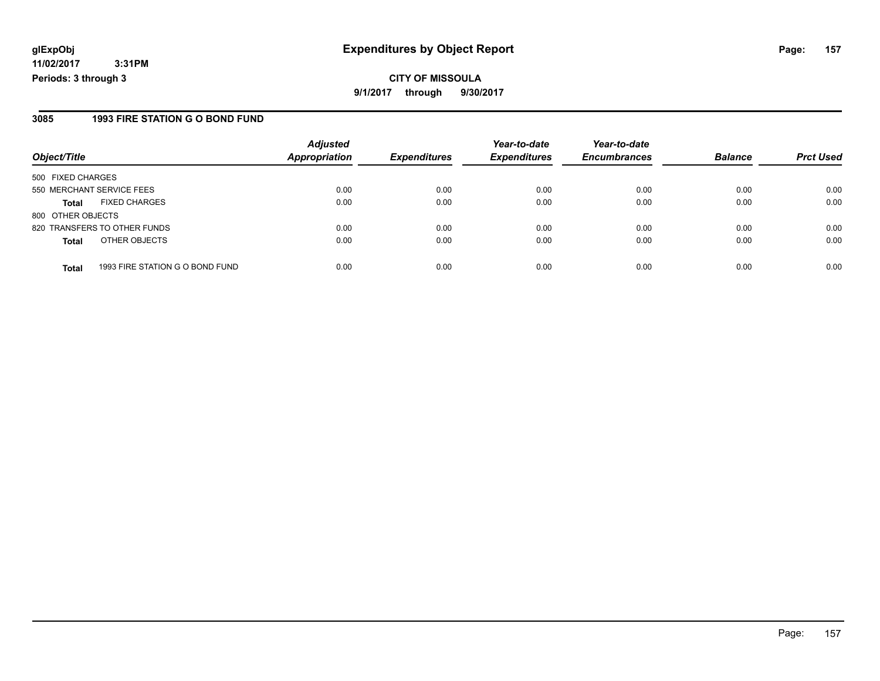**11/02/2017 3:31PM Periods: 3 through 3**

#### **3085 1993 FIRE STATION G O BOND FUND**

| Object/Title              |                                 | <b>Adjusted</b><br><b>Appropriation</b> | <b>Expenditures</b> | Year-to-date<br><b>Expenditures</b> | Year-to-date        | <b>Balance</b> | <b>Prct Used</b> |
|---------------------------|---------------------------------|-----------------------------------------|---------------------|-------------------------------------|---------------------|----------------|------------------|
|                           |                                 |                                         |                     |                                     | <b>Encumbrances</b> |                |                  |
| 500 FIXED CHARGES         |                                 |                                         |                     |                                     |                     |                |                  |
| 550 MERCHANT SERVICE FEES |                                 | 0.00                                    | 0.00                | 0.00                                | 0.00                | 0.00           | 0.00             |
| <b>Total</b>              | <b>FIXED CHARGES</b>            | 0.00                                    | 0.00                | 0.00                                | 0.00                | 0.00           | 0.00             |
| 800 OTHER OBJECTS         |                                 |                                         |                     |                                     |                     |                |                  |
|                           | 820 TRANSFERS TO OTHER FUNDS    | 0.00                                    | 0.00                | 0.00                                | 0.00                | 0.00           | 0.00             |
| <b>Total</b>              | OTHER OBJECTS                   | 0.00                                    | 0.00                | 0.00                                | 0.00                | 0.00           | 0.00             |
| <b>Total</b>              | 1993 FIRE STATION G O BOND FUND | 0.00                                    | 0.00                | 0.00                                | 0.00                | 0.00           | 0.00             |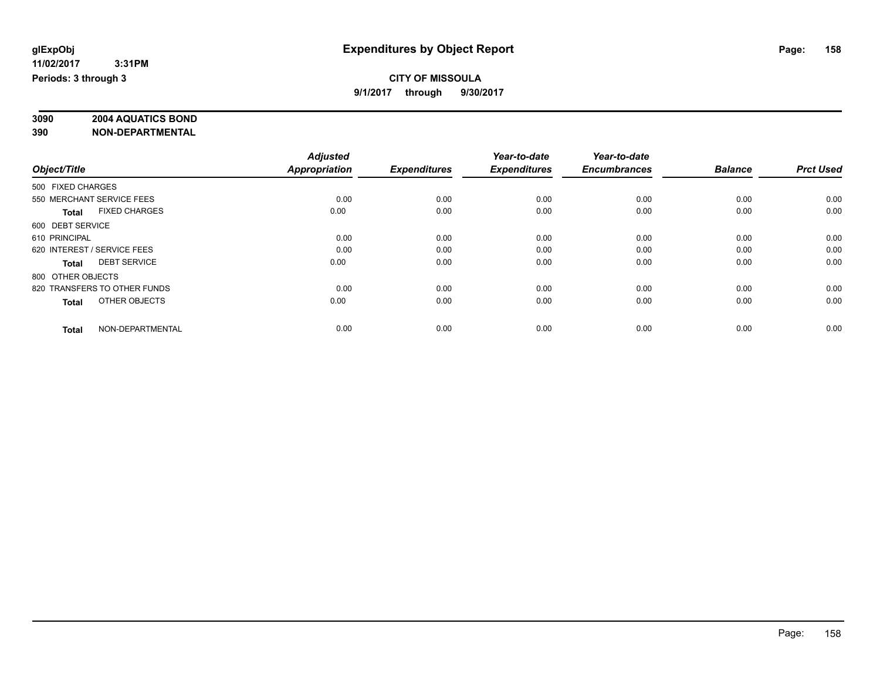#### **CITY OF MISSOULA 9/1/2017 through 9/30/2017**

# **3090 2004 AQUATICS BOND**

|                                      | <b>Adjusted</b>      | <b>Expenditures</b> | Year-to-date<br><b>Expenditures</b> | Year-to-date<br><b>Encumbrances</b> | <b>Balance</b> | <b>Prct Used</b> |
|--------------------------------------|----------------------|---------------------|-------------------------------------|-------------------------------------|----------------|------------------|
| Object/Title                         | <b>Appropriation</b> |                     |                                     |                                     |                |                  |
| 500 FIXED CHARGES                    |                      |                     |                                     |                                     |                |                  |
| 550 MERCHANT SERVICE FEES            | 0.00                 | 0.00                | 0.00                                | 0.00                                | 0.00           | 0.00             |
| <b>FIXED CHARGES</b><br><b>Total</b> | 0.00                 | 0.00                | 0.00                                | 0.00                                | 0.00           | 0.00             |
| 600 DEBT SERVICE                     |                      |                     |                                     |                                     |                |                  |
| 610 PRINCIPAL                        | 0.00                 | 0.00                | 0.00                                | 0.00                                | 0.00           | 0.00             |
| 620 INTEREST / SERVICE FEES          | 0.00                 | 0.00                | 0.00                                | 0.00                                | 0.00           | 0.00             |
| <b>DEBT SERVICE</b><br><b>Total</b>  | 0.00                 | 0.00                | 0.00                                | 0.00                                | 0.00           | 0.00             |
| 800 OTHER OBJECTS                    |                      |                     |                                     |                                     |                |                  |
| 820 TRANSFERS TO OTHER FUNDS         | 0.00                 | 0.00                | 0.00                                | 0.00                                | 0.00           | 0.00             |
| OTHER OBJECTS<br><b>Total</b>        | 0.00                 | 0.00                | 0.00                                | 0.00                                | 0.00           | 0.00             |
|                                      |                      |                     |                                     |                                     |                |                  |
| NON-DEPARTMENTAL<br><b>Total</b>     | 0.00                 | 0.00                | 0.00                                | 0.00                                | 0.00           | 0.00             |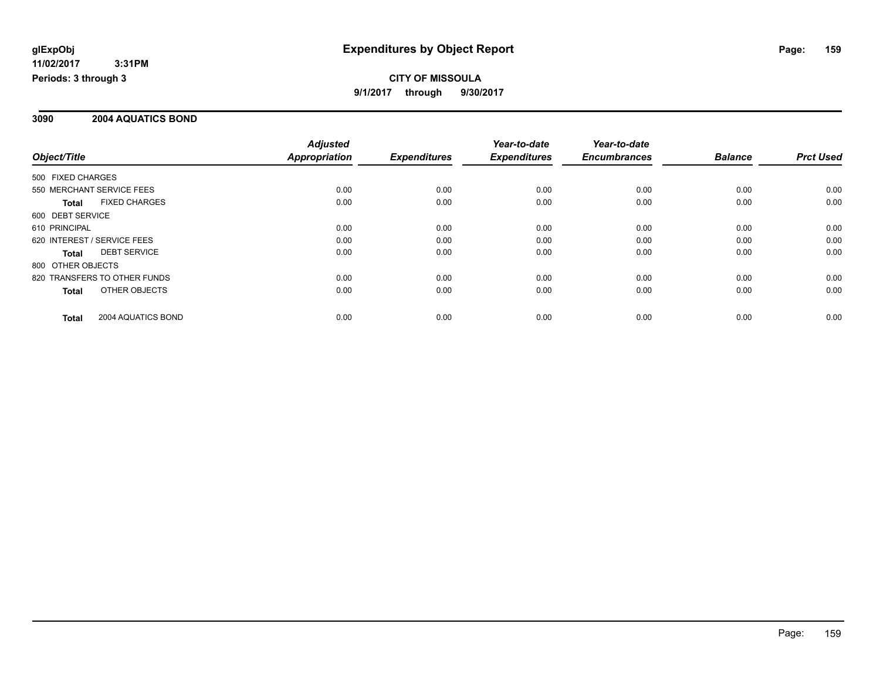**CITY OF MISSOULA 9/1/2017 through 9/30/2017**

#### **3090 2004 AQUATICS BOND**

|                                      |  | <b>Adjusted</b>      |                     | Year-to-date        | Year-to-date        |                |                  |
|--------------------------------------|--|----------------------|---------------------|---------------------|---------------------|----------------|------------------|
| Object/Title                         |  | <b>Appropriation</b> | <b>Expenditures</b> | <b>Expenditures</b> | <b>Encumbrances</b> | <b>Balance</b> | <b>Prct Used</b> |
| 500 FIXED CHARGES                    |  |                      |                     |                     |                     |                |                  |
| 550 MERCHANT SERVICE FEES            |  | 0.00                 | 0.00                | 0.00                | 0.00                | 0.00           | 0.00             |
| <b>FIXED CHARGES</b><br><b>Total</b> |  | 0.00                 | 0.00                | 0.00                | 0.00                | 0.00           | 0.00             |
| 600 DEBT SERVICE                     |  |                      |                     |                     |                     |                |                  |
| 610 PRINCIPAL                        |  | 0.00                 | 0.00                | 0.00                | 0.00                | 0.00           | 0.00             |
| 620 INTEREST / SERVICE FEES          |  | 0.00                 | 0.00                | 0.00                | 0.00                | 0.00           | 0.00             |
| <b>DEBT SERVICE</b><br>Total         |  | 0.00                 | 0.00                | 0.00                | 0.00                | 0.00           | 0.00             |
| 800 OTHER OBJECTS                    |  |                      |                     |                     |                     |                |                  |
| 820 TRANSFERS TO OTHER FUNDS         |  | 0.00                 | 0.00                | 0.00                | 0.00                | 0.00           | 0.00             |
| OTHER OBJECTS<br>Total               |  | 0.00                 | 0.00                | 0.00                | 0.00                | 0.00           | 0.00             |
| 2004 AQUATICS BOND<br><b>Total</b>   |  | 0.00                 | 0.00                | 0.00                | 0.00                | 0.00           | 0.00             |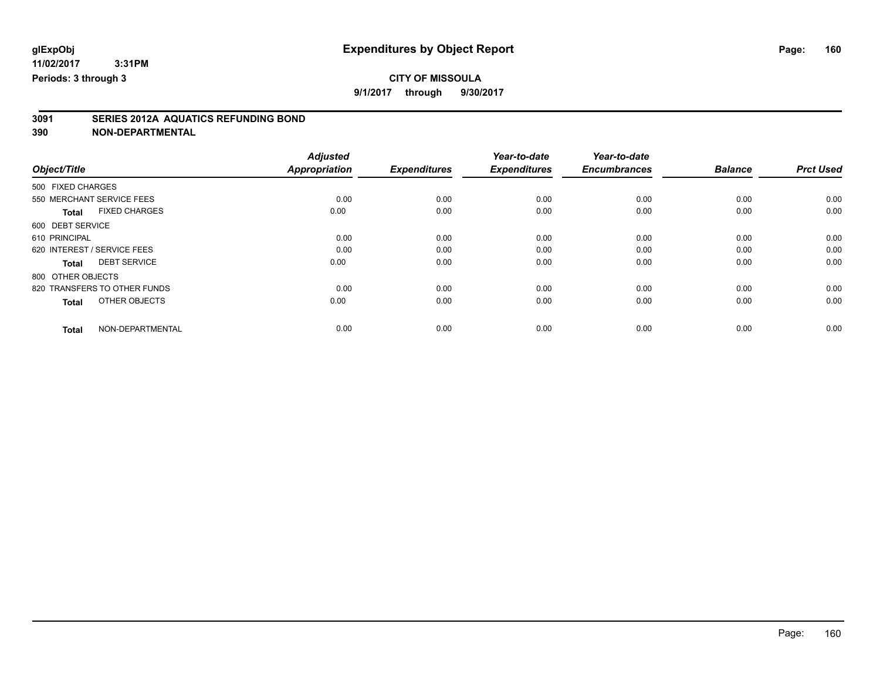**9/1/2017 through 9/30/2017**

# **3091 SERIES 2012A AQUATICS REFUNDING BOND**

|                                      | <b>Adjusted</b>      |                     | Year-to-date        | Year-to-date        |                |                  |
|--------------------------------------|----------------------|---------------------|---------------------|---------------------|----------------|------------------|
| Object/Title                         | <b>Appropriation</b> | <b>Expenditures</b> | <b>Expenditures</b> | <b>Encumbrances</b> | <b>Balance</b> | <b>Prct Used</b> |
| 500 FIXED CHARGES                    |                      |                     |                     |                     |                |                  |
| 550 MERCHANT SERVICE FEES            | 0.00                 | 0.00                | 0.00                | 0.00                | 0.00           | 0.00             |
| <b>FIXED CHARGES</b><br><b>Total</b> | 0.00                 | 0.00                | 0.00                | 0.00                | 0.00           | 0.00             |
| 600 DEBT SERVICE                     |                      |                     |                     |                     |                |                  |
| 610 PRINCIPAL                        | 0.00                 | 0.00                | 0.00                | 0.00                | 0.00           | 0.00             |
| 620 INTEREST / SERVICE FEES          | 0.00                 | 0.00                | 0.00                | 0.00                | 0.00           | 0.00             |
| <b>DEBT SERVICE</b><br><b>Total</b>  | 0.00                 | 0.00                | 0.00                | 0.00                | 0.00           | 0.00             |
| 800 OTHER OBJECTS                    |                      |                     |                     |                     |                |                  |
| 820 TRANSFERS TO OTHER FUNDS         | 0.00                 | 0.00                | 0.00                | 0.00                | 0.00           | 0.00             |
| OTHER OBJECTS<br><b>Total</b>        | 0.00                 | 0.00                | 0.00                | 0.00                | 0.00           | 0.00             |
|                                      |                      |                     |                     |                     |                |                  |
| NON-DEPARTMENTAL<br><b>Total</b>     | 0.00                 | 0.00                | 0.00                | 0.00                | 0.00           | 0.00             |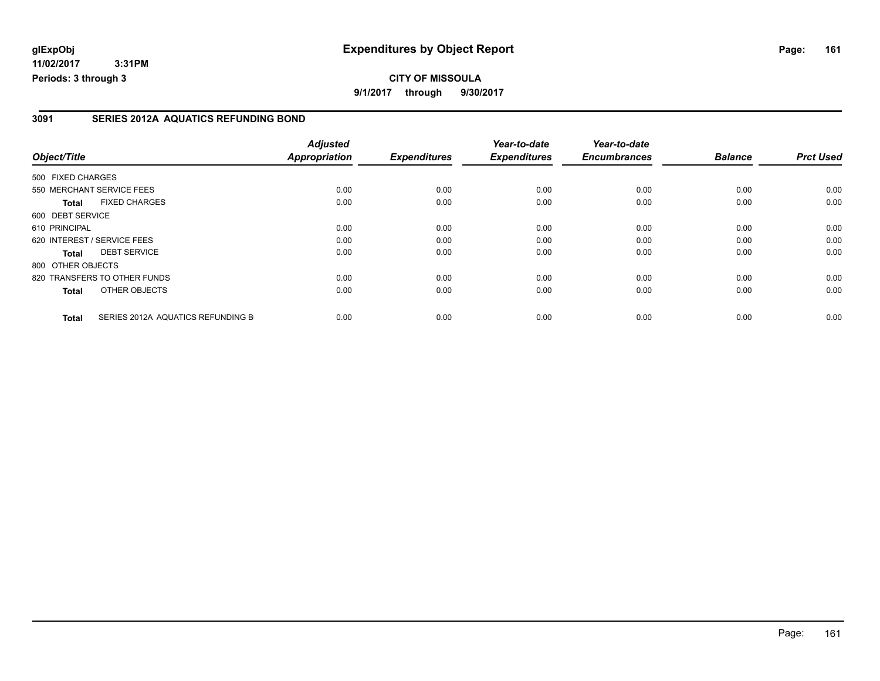**11/02/2017 3:31PM Periods: 3 through 3**

#### **3091 SERIES 2012A AQUATICS REFUNDING BOND**

| Object/Title      |                                   | <b>Adjusted</b><br><b>Appropriation</b> | <b>Expenditures</b> | Year-to-date<br><b>Expenditures</b> | Year-to-date<br><b>Encumbrances</b> | <b>Balance</b> | <b>Prct Used</b> |
|-------------------|-----------------------------------|-----------------------------------------|---------------------|-------------------------------------|-------------------------------------|----------------|------------------|
| 500 FIXED CHARGES |                                   |                                         |                     |                                     |                                     |                |                  |
|                   | 550 MERCHANT SERVICE FEES         | 0.00                                    | 0.00                | 0.00                                | 0.00                                | 0.00           | 0.00             |
| <b>Total</b>      | <b>FIXED CHARGES</b>              | 0.00                                    | 0.00                | 0.00                                | 0.00                                | 0.00           | 0.00             |
| 600 DEBT SERVICE  |                                   |                                         |                     |                                     |                                     |                |                  |
| 610 PRINCIPAL     |                                   | 0.00                                    | 0.00                | 0.00                                | 0.00                                | 0.00           | 0.00             |
|                   | 620 INTEREST / SERVICE FEES       | 0.00                                    | 0.00                | 0.00                                | 0.00                                | 0.00           | 0.00             |
| <b>Total</b>      | <b>DEBT SERVICE</b>               | 0.00                                    | 0.00                | 0.00                                | 0.00                                | 0.00           | 0.00             |
| 800 OTHER OBJECTS |                                   |                                         |                     |                                     |                                     |                |                  |
|                   | 820 TRANSFERS TO OTHER FUNDS      | 0.00                                    | 0.00                | 0.00                                | 0.00                                | 0.00           | 0.00             |
| <b>Total</b>      | OTHER OBJECTS                     | 0.00                                    | 0.00                | 0.00                                | 0.00                                | 0.00           | 0.00             |
| <b>Total</b>      | SERIES 2012A AQUATICS REFUNDING B | 0.00                                    | 0.00                | 0.00                                | 0.00                                | 0.00           | 0.00             |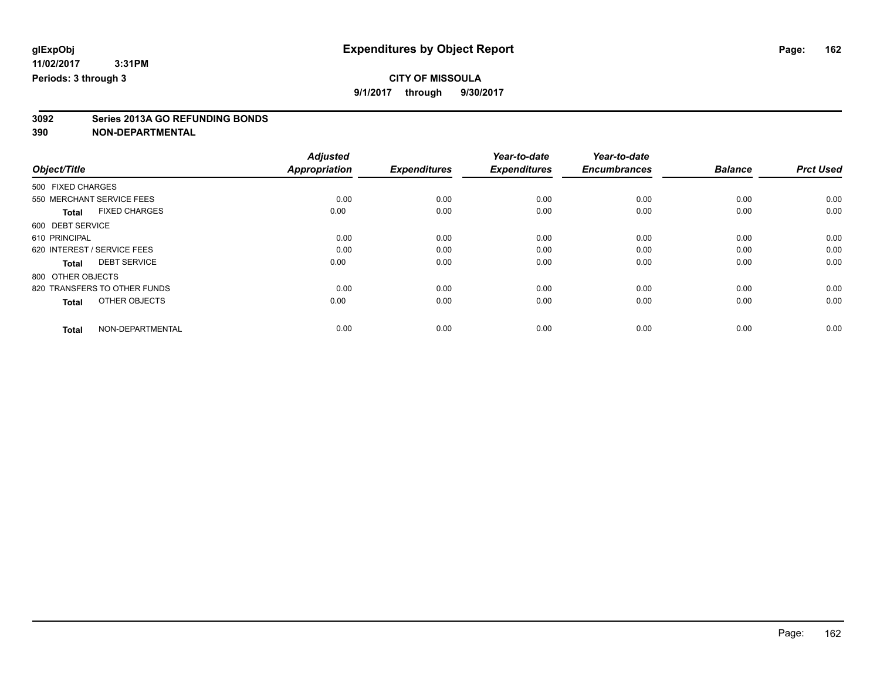**9/1/2017 through 9/30/2017**

# **3092 Series 2013A GO REFUNDING BONDS**

|                                      | <b>Adjusted</b>      |                     | Year-to-date<br><b>Expenditures</b> | Year-to-date        | <b>Balance</b> |                  |
|--------------------------------------|----------------------|---------------------|-------------------------------------|---------------------|----------------|------------------|
| Object/Title                         | <b>Appropriation</b> | <b>Expenditures</b> |                                     | <b>Encumbrances</b> |                | <b>Prct Used</b> |
| 500 FIXED CHARGES                    |                      |                     |                                     |                     |                |                  |
| 550 MERCHANT SERVICE FEES            | 0.00                 | 0.00                | 0.00                                | 0.00                | 0.00           | 0.00             |
| <b>FIXED CHARGES</b><br><b>Total</b> | 0.00                 | 0.00                | 0.00                                | 0.00                | 0.00           | 0.00             |
| 600 DEBT SERVICE                     |                      |                     |                                     |                     |                |                  |
| 610 PRINCIPAL                        | 0.00                 | 0.00                | 0.00                                | 0.00                | 0.00           | 0.00             |
| 620 INTEREST / SERVICE FEES          | 0.00                 | 0.00                | 0.00                                | 0.00                | 0.00           | 0.00             |
| <b>DEBT SERVICE</b><br><b>Total</b>  | 0.00                 | 0.00                | 0.00                                | 0.00                | 0.00           | 0.00             |
| 800 OTHER OBJECTS                    |                      |                     |                                     |                     |                |                  |
| 820 TRANSFERS TO OTHER FUNDS         | 0.00                 | 0.00                | 0.00                                | 0.00                | 0.00           | 0.00             |
| OTHER OBJECTS<br><b>Total</b>        | 0.00                 | 0.00                | 0.00                                | 0.00                | 0.00           | 0.00             |
|                                      |                      |                     |                                     |                     |                |                  |
| NON-DEPARTMENTAL<br><b>Total</b>     | 0.00                 | 0.00                | 0.00                                | 0.00                | 0.00           | 0.00             |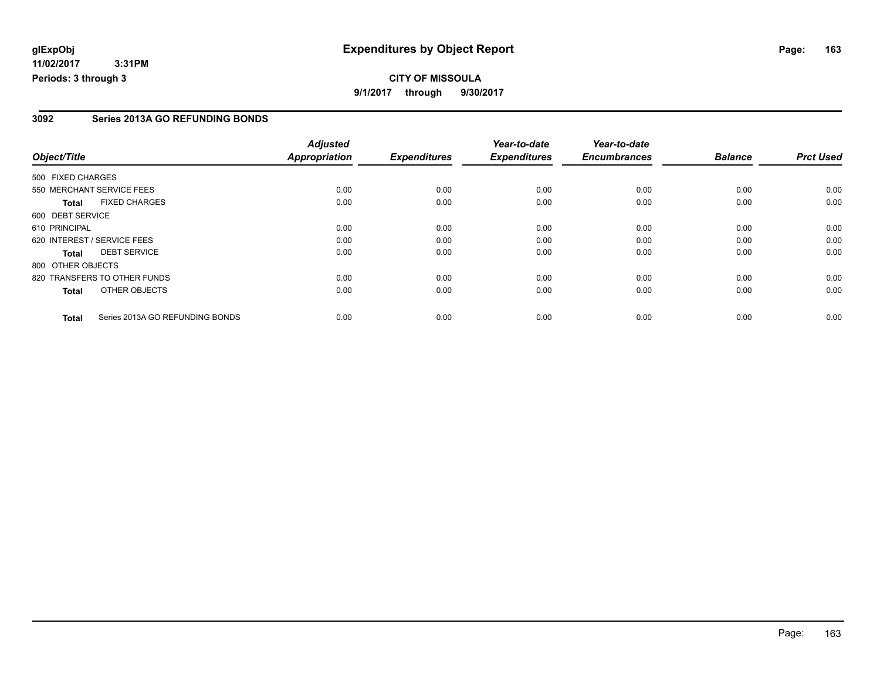**11/02/2017 3:31PM Periods: 3 through 3**

#### **3092 Series 2013A GO REFUNDING BONDS**

|                   |                                 | <b>Adjusted</b>      |                     | Year-to-date        | Year-to-date        |                |                  |
|-------------------|---------------------------------|----------------------|---------------------|---------------------|---------------------|----------------|------------------|
| Object/Title      |                                 | <b>Appropriation</b> | <b>Expenditures</b> | <b>Expenditures</b> | <b>Encumbrances</b> | <b>Balance</b> | <b>Prct Used</b> |
| 500 FIXED CHARGES |                                 |                      |                     |                     |                     |                |                  |
|                   | 550 MERCHANT SERVICE FEES       | 0.00                 | 0.00                | 0.00                | 0.00                | 0.00           | 0.00             |
| <b>Total</b>      | <b>FIXED CHARGES</b>            | 0.00                 | 0.00                | 0.00                | 0.00                | 0.00           | 0.00             |
| 600 DEBT SERVICE  |                                 |                      |                     |                     |                     |                |                  |
| 610 PRINCIPAL     |                                 | 0.00                 | 0.00                | 0.00                | 0.00                | 0.00           | 0.00             |
|                   | 620 INTEREST / SERVICE FEES     | 0.00                 | 0.00                | 0.00                | 0.00                | 0.00           | 0.00             |
| <b>Total</b>      | <b>DEBT SERVICE</b>             | 0.00                 | 0.00                | 0.00                | 0.00                | 0.00           | 0.00             |
| 800 OTHER OBJECTS |                                 |                      |                     |                     |                     |                |                  |
|                   | 820 TRANSFERS TO OTHER FUNDS    | 0.00                 | 0.00                | 0.00                | 0.00                | 0.00           | 0.00             |
| <b>Total</b>      | OTHER OBJECTS                   | 0.00                 | 0.00                | 0.00                | 0.00                | 0.00           | 0.00             |
| <b>Total</b>      | Series 2013A GO REFUNDING BONDS | 0.00                 | 0.00                | 0.00                | 0.00                | 0.00           | 0.00             |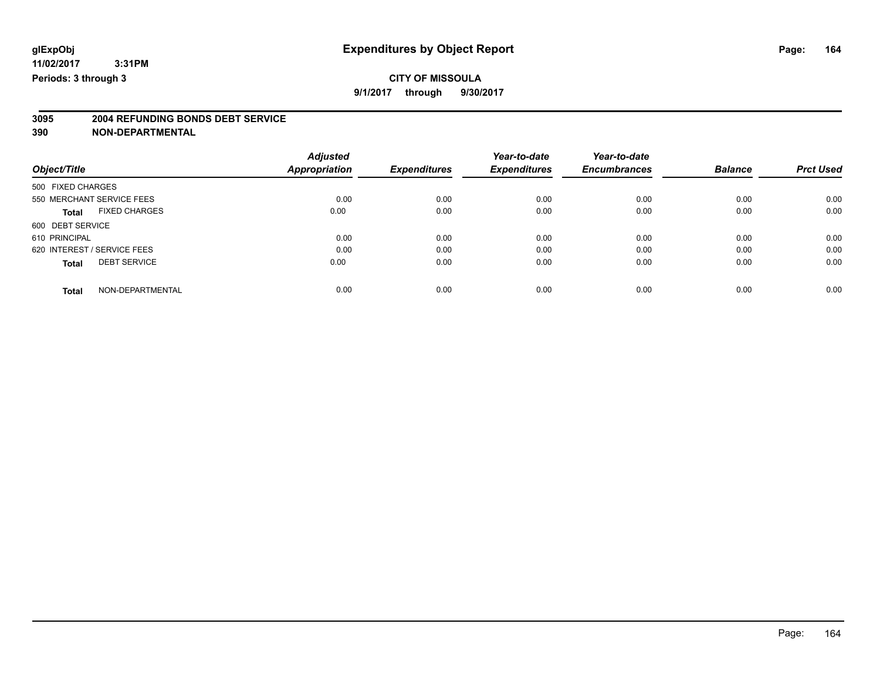**9/1/2017 through 9/30/2017**

# **3095 2004 REFUNDING BONDS DEBT SERVICE**

|                                      | <b>Adjusted</b>      | <b>Expenditures</b> | Year-to-date<br><b>Expenditures</b> | Year-to-date        | <b>Balance</b> | <b>Prct Used</b> |
|--------------------------------------|----------------------|---------------------|-------------------------------------|---------------------|----------------|------------------|
| Object/Title                         | <b>Appropriation</b> |                     |                                     | <b>Encumbrances</b> |                |                  |
| 500 FIXED CHARGES                    |                      |                     |                                     |                     |                |                  |
| 550 MERCHANT SERVICE FEES            | 0.00                 | 0.00                | 0.00                                | 0.00                | 0.00           | 0.00             |
| <b>FIXED CHARGES</b><br><b>Total</b> | 0.00                 | 0.00                | 0.00                                | 0.00                | 0.00           | 0.00             |
| 600 DEBT SERVICE                     |                      |                     |                                     |                     |                |                  |
| 610 PRINCIPAL                        | 0.00                 | 0.00                | 0.00                                | 0.00                | 0.00           | 0.00             |
| 620 INTEREST / SERVICE FEES          | 0.00                 | 0.00                | 0.00                                | 0.00                | 0.00           | 0.00             |
| <b>DEBT SERVICE</b><br><b>Total</b>  | 0.00                 | 0.00                | 0.00                                | 0.00                | 0.00           | 0.00             |
| NON-DEPARTMENTAL<br><b>Total</b>     | 0.00                 | 0.00                | 0.00                                | 0.00                | 0.00           | 0.00             |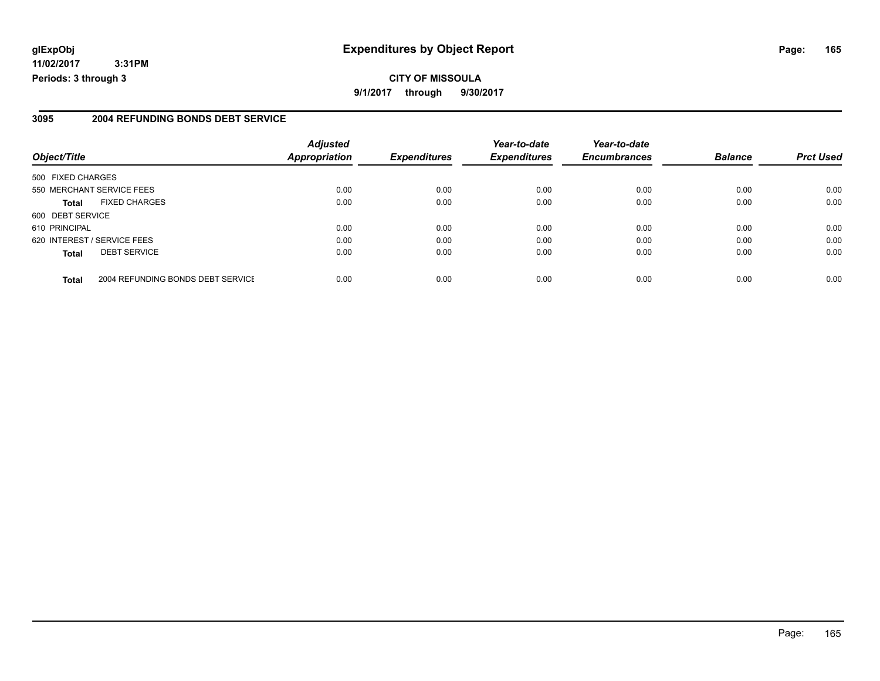**11/02/2017 3:31PM Periods: 3 through 3**

#### **3095 2004 REFUNDING BONDS DEBT SERVICE**

| Object/Title      |                                   | <b>Adjusted</b><br>Appropriation | <b>Expenditures</b> | Year-to-date<br><b>Expenditures</b> | Year-to-date<br><b>Encumbrances</b> | <b>Balance</b> | <b>Prct Used</b> |
|-------------------|-----------------------------------|----------------------------------|---------------------|-------------------------------------|-------------------------------------|----------------|------------------|
|                   |                                   |                                  |                     |                                     |                                     |                |                  |
| 500 FIXED CHARGES |                                   |                                  |                     |                                     |                                     |                |                  |
|                   | 550 MERCHANT SERVICE FEES         | 0.00                             | 0.00                | 0.00                                | 0.00                                | 0.00           | 0.00             |
| <b>Total</b>      | <b>FIXED CHARGES</b>              | 0.00                             | 0.00                | 0.00                                | 0.00                                | 0.00           | 0.00             |
| 600 DEBT SERVICE  |                                   |                                  |                     |                                     |                                     |                |                  |
| 610 PRINCIPAL     |                                   | 0.00                             | 0.00                | 0.00                                | 0.00                                | 0.00           | 0.00             |
|                   | 620 INTEREST / SERVICE FEES       | 0.00                             | 0.00                | 0.00                                | 0.00                                | 0.00           | 0.00             |
| <b>Total</b>      | <b>DEBT SERVICE</b>               | 0.00                             | 0.00                | 0.00                                | 0.00                                | 0.00           | 0.00             |
| <b>Total</b>      | 2004 REFUNDING BONDS DEBT SERVICE | 0.00                             | 0.00                | 0.00                                | 0.00                                | 0.00           | 0.00             |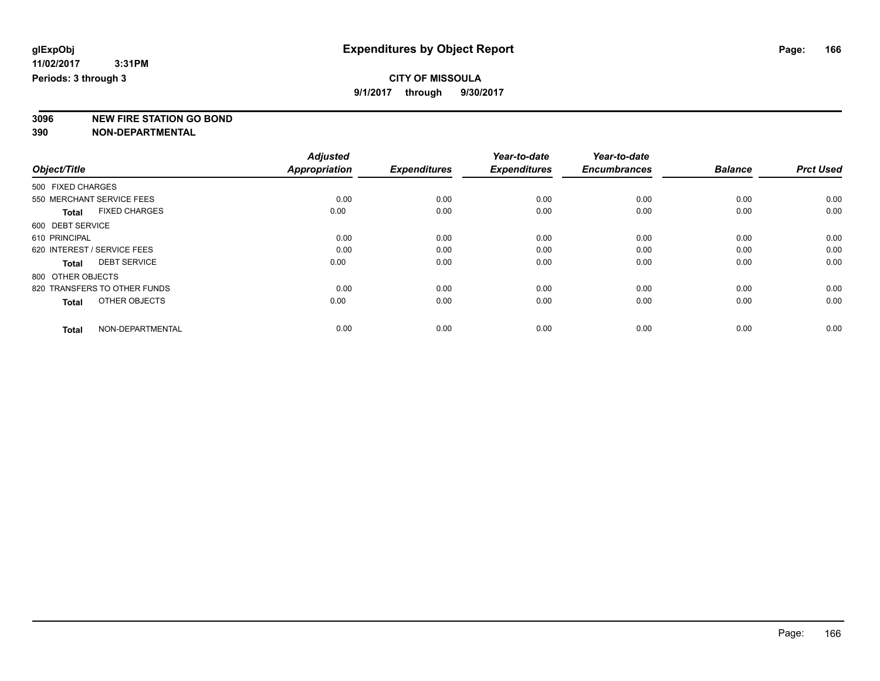**9/1/2017 through 9/30/2017**

**3096 NEW FIRE STATION GO BOND**

|                                      | <b>Adjusted</b> |                     | Year-to-date        | Year-to-date        |                |                  |
|--------------------------------------|-----------------|---------------------|---------------------|---------------------|----------------|------------------|
| Object/Title                         | Appropriation   | <b>Expenditures</b> | <b>Expenditures</b> | <b>Encumbrances</b> | <b>Balance</b> | <b>Prct Used</b> |
| 500 FIXED CHARGES                    |                 |                     |                     |                     |                |                  |
| 550 MERCHANT SERVICE FEES            | 0.00            | 0.00                | 0.00                | 0.00                | 0.00           | 0.00             |
| <b>FIXED CHARGES</b><br><b>Total</b> | 0.00            | 0.00                | 0.00                | 0.00                | 0.00           | 0.00             |
| 600 DEBT SERVICE                     |                 |                     |                     |                     |                |                  |
| 610 PRINCIPAL                        | 0.00            | 0.00                | 0.00                | 0.00                | 0.00           | 0.00             |
| 620 INTEREST / SERVICE FEES          | 0.00            | 0.00                | 0.00                | 0.00                | 0.00           | 0.00             |
| <b>DEBT SERVICE</b><br><b>Total</b>  | 0.00            | 0.00                | 0.00                | 0.00                | 0.00           | 0.00             |
| 800 OTHER OBJECTS                    |                 |                     |                     |                     |                |                  |
| 820 TRANSFERS TO OTHER FUNDS         | 0.00            | 0.00                | 0.00                | 0.00                | 0.00           | 0.00             |
| OTHER OBJECTS<br><b>Total</b>        | 0.00            | 0.00                | 0.00                | 0.00                | 0.00           | 0.00             |
|                                      |                 |                     |                     |                     |                |                  |
| NON-DEPARTMENTAL<br><b>Total</b>     | 0.00            | 0.00                | 0.00                | 0.00                | 0.00           | 0.00             |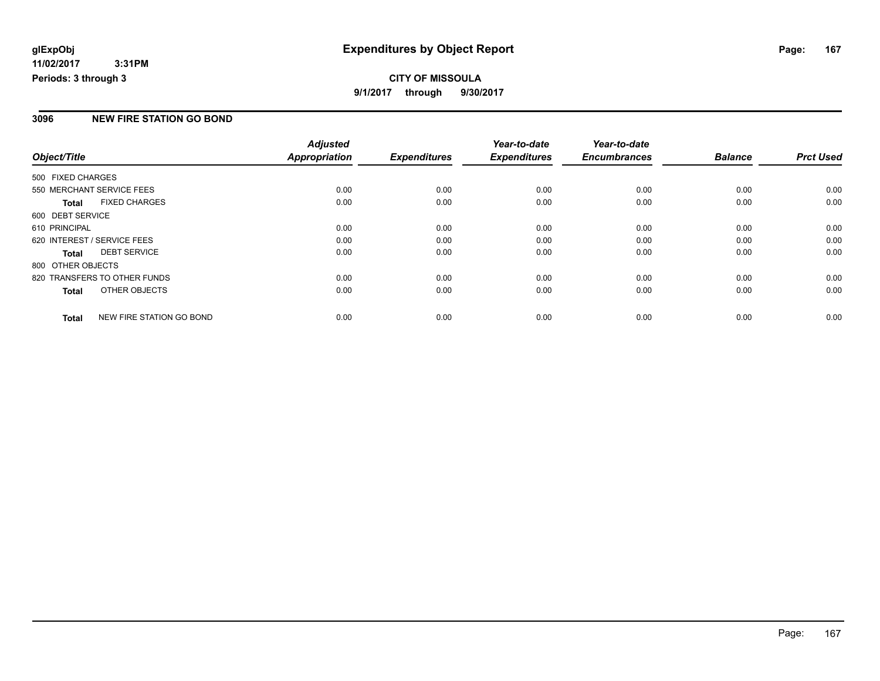#### **CITY OF MISSOULA 9/1/2017 through 9/30/2017**

#### **3096 NEW FIRE STATION GO BOND**

|                                          | <b>Adjusted</b>      | <b>Expenditures</b> | Year-to-date<br><b>Expenditures</b> | Year-to-date        | <b>Balance</b> | <b>Prct Used</b> |
|------------------------------------------|----------------------|---------------------|-------------------------------------|---------------------|----------------|------------------|
| Object/Title                             | <b>Appropriation</b> |                     |                                     | <b>Encumbrances</b> |                |                  |
| 500 FIXED CHARGES                        |                      |                     |                                     |                     |                |                  |
| 550 MERCHANT SERVICE FEES                | 0.00                 | 0.00                | 0.00                                | 0.00                | 0.00           | 0.00             |
| <b>FIXED CHARGES</b><br><b>Total</b>     | 0.00                 | 0.00                | 0.00                                | 0.00                | 0.00           | 0.00             |
| 600 DEBT SERVICE                         |                      |                     |                                     |                     |                |                  |
| 610 PRINCIPAL                            | 0.00                 | 0.00                | 0.00                                | 0.00                | 0.00           | 0.00             |
| 620 INTEREST / SERVICE FEES              | 0.00                 | 0.00                | 0.00                                | 0.00                | 0.00           | 0.00             |
| <b>DEBT SERVICE</b><br><b>Total</b>      | 0.00                 | 0.00                | 0.00                                | 0.00                | 0.00           | 0.00             |
| 800 OTHER OBJECTS                        |                      |                     |                                     |                     |                |                  |
| 820 TRANSFERS TO OTHER FUNDS             | 0.00                 | 0.00                | 0.00                                | 0.00                | 0.00           | 0.00             |
| OTHER OBJECTS<br><b>Total</b>            | 0.00                 | 0.00                | 0.00                                | 0.00                | 0.00           | 0.00             |
| NEW FIRE STATION GO BOND<br><b>Total</b> | 0.00                 | 0.00                | 0.00                                | 0.00                | 0.00           | 0.00             |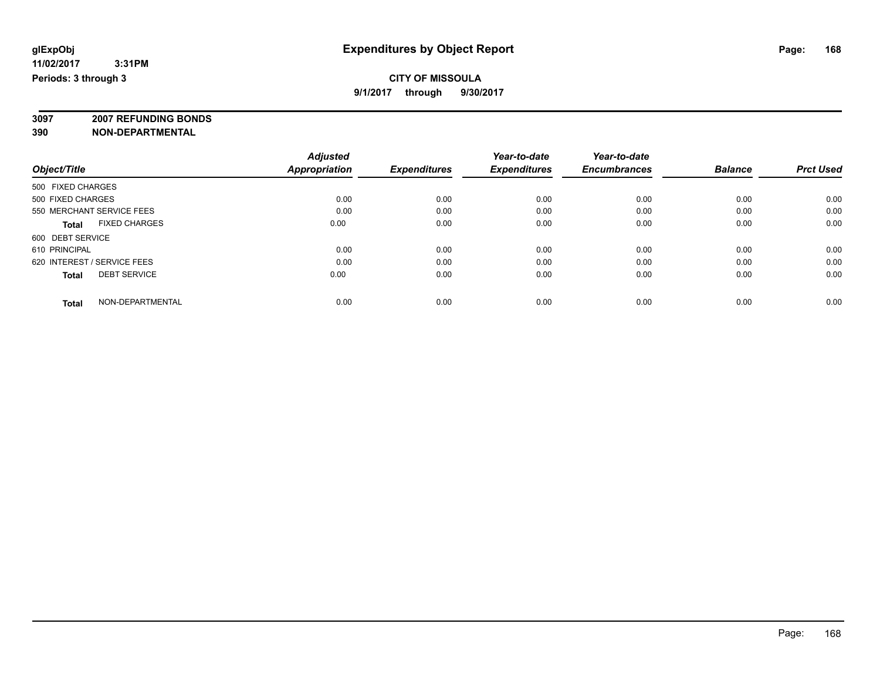#### **CITY OF MISSOULA 9/1/2017 through 9/30/2017**

**3097 2007 REFUNDING BONDS**

| Object/Title                         | <b>Adjusted</b><br><b>Appropriation</b> | <b>Expenditures</b> | Year-to-date<br><b>Expenditures</b> | Year-to-date<br><b>Encumbrances</b> | <b>Balance</b> | <b>Prct Used</b> |
|--------------------------------------|-----------------------------------------|---------------------|-------------------------------------|-------------------------------------|----------------|------------------|
| 500 FIXED CHARGES                    |                                         |                     |                                     |                                     |                |                  |
| 500 FIXED CHARGES                    | 0.00                                    | 0.00                | 0.00                                | 0.00                                | 0.00           | 0.00             |
| 550 MERCHANT SERVICE FEES            | 0.00                                    | 0.00                | 0.00                                | 0.00                                | 0.00           | 0.00             |
| <b>FIXED CHARGES</b><br><b>Total</b> | 0.00                                    | 0.00                | 0.00                                | 0.00                                | 0.00           | 0.00             |
| 600 DEBT SERVICE                     |                                         |                     |                                     |                                     |                |                  |
| 610 PRINCIPAL                        | 0.00                                    | 0.00                | 0.00                                | 0.00                                | 0.00           | 0.00             |
| 620 INTEREST / SERVICE FEES          | 0.00                                    | 0.00                | 0.00                                | 0.00                                | 0.00           | 0.00             |
| <b>DEBT SERVICE</b><br><b>Total</b>  | 0.00                                    | 0.00                | 0.00                                | 0.00                                | 0.00           | 0.00             |
| NON-DEPARTMENTAL<br><b>Total</b>     | 0.00                                    | 0.00                | 0.00                                | 0.00                                | 0.00           | 0.00             |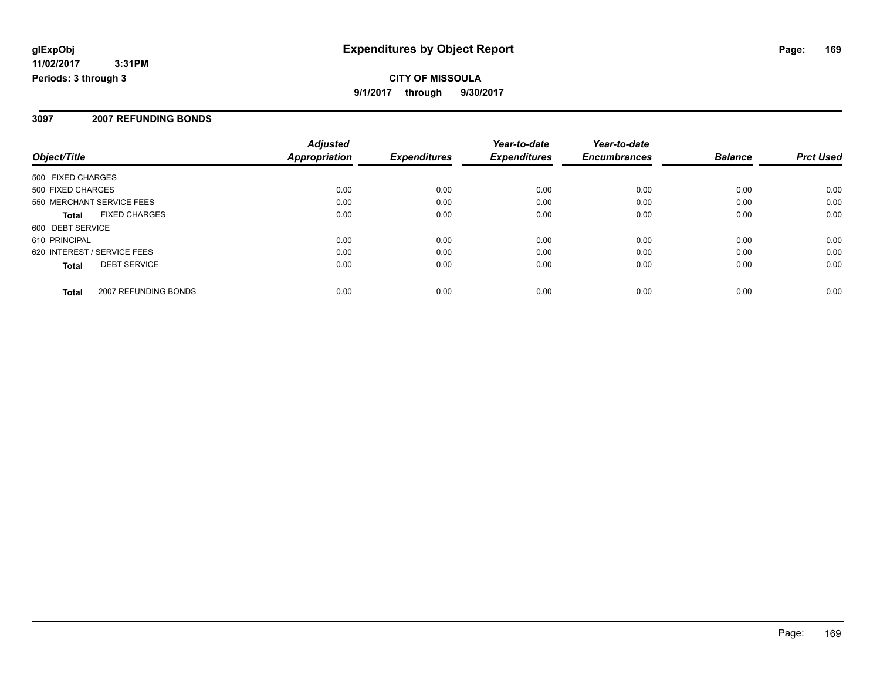#### **CITY OF MISSOULA 9/1/2017 through 9/30/2017**

#### **3097 2007 REFUNDING BONDS**

| Object/Title                         | <b>Adjusted</b><br>Appropriation | <b>Expenditures</b> | Year-to-date<br><b>Expenditures</b> | Year-to-date<br><b>Encumbrances</b> | <b>Balance</b> | <b>Prct Used</b> |
|--------------------------------------|----------------------------------|---------------------|-------------------------------------|-------------------------------------|----------------|------------------|
| 500 FIXED CHARGES                    |                                  |                     |                                     |                                     |                |                  |
| 500 FIXED CHARGES                    | 0.00                             | 0.00                | 0.00                                | 0.00                                | 0.00           | 0.00             |
| 550 MERCHANT SERVICE FEES            | 0.00                             | 0.00                | 0.00                                | 0.00                                | 0.00           | 0.00             |
| <b>FIXED CHARGES</b><br><b>Total</b> | 0.00                             | 0.00                | 0.00                                | 0.00                                | 0.00           | 0.00             |
| 600 DEBT SERVICE                     |                                  |                     |                                     |                                     |                |                  |
| 610 PRINCIPAL                        | 0.00                             | 0.00                | 0.00                                | 0.00                                | 0.00           | 0.00             |
| 620 INTEREST / SERVICE FEES          | 0.00                             | 0.00                | 0.00                                | 0.00                                | 0.00           | 0.00             |
| <b>DEBT SERVICE</b><br><b>Total</b>  | 0.00                             | 0.00                | 0.00                                | 0.00                                | 0.00           | 0.00             |
| 2007 REFUNDING BONDS<br>Total        | 0.00                             | 0.00                | 0.00                                | 0.00                                | 0.00           | 0.00             |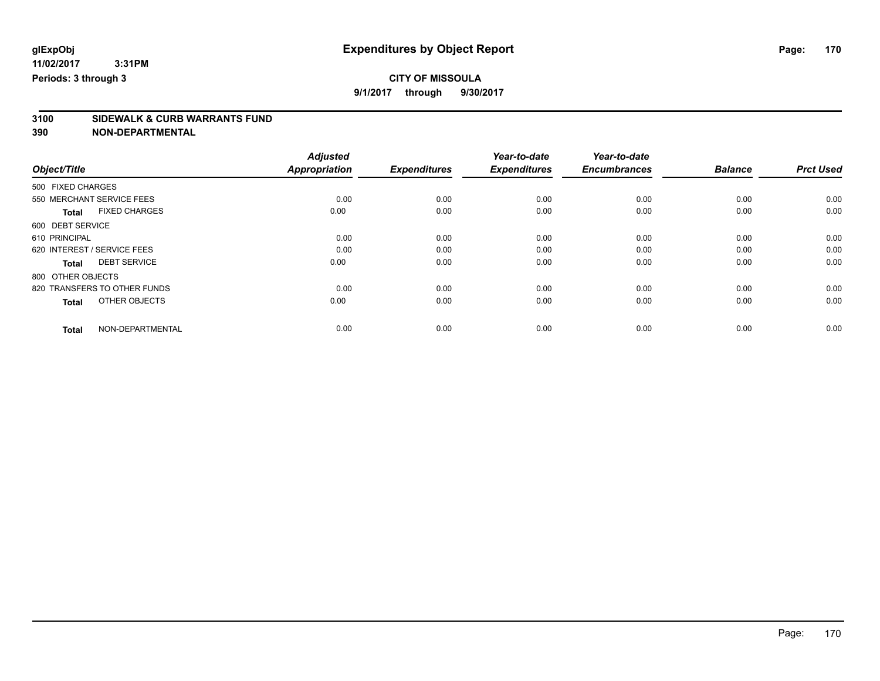**9/1/2017 through 9/30/2017**

# **3100 SIDEWALK & CURB WARRANTS FUND**

|                                      | <b>Adjusted</b>      |                     | Year-to-date        | Year-to-date        |                |                  |
|--------------------------------------|----------------------|---------------------|---------------------|---------------------|----------------|------------------|
| Object/Title                         | <b>Appropriation</b> | <b>Expenditures</b> | <b>Expenditures</b> | <b>Encumbrances</b> | <b>Balance</b> | <b>Prct Used</b> |
| 500 FIXED CHARGES                    |                      |                     |                     |                     |                |                  |
| 550 MERCHANT SERVICE FEES            | 0.00                 | 0.00                | 0.00                | 0.00                | 0.00           | 0.00             |
| <b>FIXED CHARGES</b><br><b>Total</b> | 0.00                 | 0.00                | 0.00                | 0.00                | 0.00           | 0.00             |
| 600 DEBT SERVICE                     |                      |                     |                     |                     |                |                  |
| 610 PRINCIPAL                        | 0.00                 | 0.00                | 0.00                | 0.00                | 0.00           | 0.00             |
| 620 INTEREST / SERVICE FEES          | 0.00                 | 0.00                | 0.00                | 0.00                | 0.00           | 0.00             |
| <b>DEBT SERVICE</b><br><b>Total</b>  | 0.00                 | 0.00                | 0.00                | 0.00                | 0.00           | 0.00             |
| 800 OTHER OBJECTS                    |                      |                     |                     |                     |                |                  |
| 820 TRANSFERS TO OTHER FUNDS         | 0.00                 | 0.00                | 0.00                | 0.00                | 0.00           | 0.00             |
| OTHER OBJECTS<br><b>Total</b>        | 0.00                 | 0.00                | 0.00                | 0.00                | 0.00           | 0.00             |
|                                      |                      |                     |                     |                     |                |                  |
| NON-DEPARTMENTAL<br><b>Total</b>     | 0.00                 | 0.00                | 0.00                | 0.00                | 0.00           | 0.00             |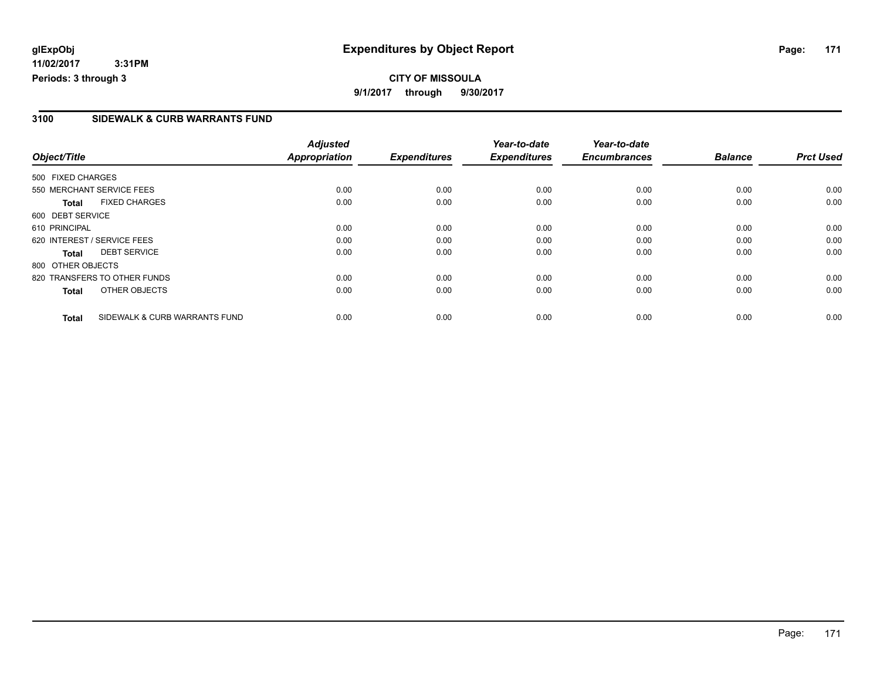#### **CITY OF MISSOULA 9/1/2017 through 9/30/2017**

#### **3100 SIDEWALK & CURB WARRANTS FUND**

|                   |                               | <b>Adjusted</b>      |                     | Year-to-date        | Year-to-date        |                |                  |
|-------------------|-------------------------------|----------------------|---------------------|---------------------|---------------------|----------------|------------------|
| Object/Title      |                               | <b>Appropriation</b> | <b>Expenditures</b> | <b>Expenditures</b> | <b>Encumbrances</b> | <b>Balance</b> | <b>Prct Used</b> |
| 500 FIXED CHARGES |                               |                      |                     |                     |                     |                |                  |
|                   | 550 MERCHANT SERVICE FEES     | 0.00                 | 0.00                | 0.00                | 0.00                | 0.00           | 0.00             |
| <b>Total</b>      | <b>FIXED CHARGES</b>          | 0.00                 | 0.00                | 0.00                | 0.00                | 0.00           | 0.00             |
| 600 DEBT SERVICE  |                               |                      |                     |                     |                     |                |                  |
| 610 PRINCIPAL     |                               | 0.00                 | 0.00                | 0.00                | 0.00                | 0.00           | 0.00             |
|                   | 620 INTEREST / SERVICE FEES   | 0.00                 | 0.00                | 0.00                | 0.00                | 0.00           | 0.00             |
| <b>Total</b>      | <b>DEBT SERVICE</b>           | 0.00                 | 0.00                | 0.00                | 0.00                | 0.00           | 0.00             |
| 800 OTHER OBJECTS |                               |                      |                     |                     |                     |                |                  |
|                   | 820 TRANSFERS TO OTHER FUNDS  | 0.00                 | 0.00                | 0.00                | 0.00                | 0.00           | 0.00             |
| <b>Total</b>      | OTHER OBJECTS                 | 0.00                 | 0.00                | 0.00                | 0.00                | 0.00           | 0.00             |
| <b>Total</b>      | SIDEWALK & CURB WARRANTS FUND | 0.00                 | 0.00                | 0.00                | 0.00                | 0.00           | 0.00             |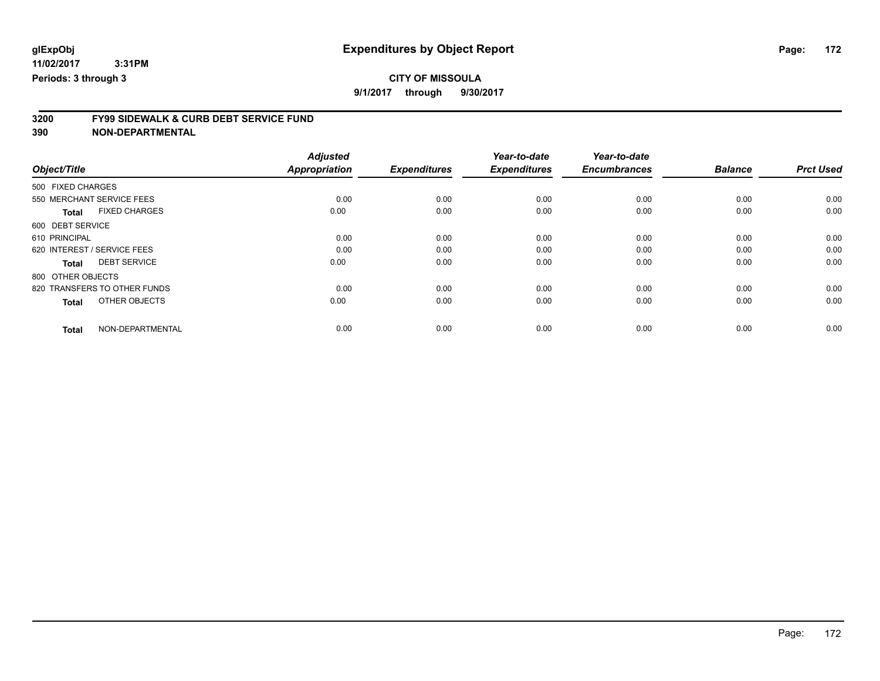**9/1/2017 through 9/30/2017**

# **3200 FY99 SIDEWALK & CURB DEBT SERVICE FUND**

|                                      | <b>Adjusted</b>      |                     | Year-to-date        | Year-to-date        |                |                  |
|--------------------------------------|----------------------|---------------------|---------------------|---------------------|----------------|------------------|
| Object/Title                         | <b>Appropriation</b> | <b>Expenditures</b> | <b>Expenditures</b> | <b>Encumbrances</b> | <b>Balance</b> | <b>Prct Used</b> |
| 500 FIXED CHARGES                    |                      |                     |                     |                     |                |                  |
| 550 MERCHANT SERVICE FEES            | 0.00                 | 0.00                | 0.00                | 0.00                | 0.00           | 0.00             |
| <b>FIXED CHARGES</b><br><b>Total</b> | 0.00                 | 0.00                | 0.00                | 0.00                | 0.00           | 0.00             |
| 600 DEBT SERVICE                     |                      |                     |                     |                     |                |                  |
| 610 PRINCIPAL                        | 0.00                 | 0.00                | 0.00                | 0.00                | 0.00           | 0.00             |
| 620 INTEREST / SERVICE FEES          | 0.00                 | 0.00                | 0.00                | 0.00                | 0.00           | 0.00             |
| <b>DEBT SERVICE</b><br><b>Total</b>  | 0.00                 | 0.00                | 0.00                | 0.00                | 0.00           | 0.00             |
| 800 OTHER OBJECTS                    |                      |                     |                     |                     |                |                  |
| 820 TRANSFERS TO OTHER FUNDS         | 0.00                 | 0.00                | 0.00                | 0.00                | 0.00           | 0.00             |
| OTHER OBJECTS<br><b>Total</b>        | 0.00                 | 0.00                | 0.00                | 0.00                | 0.00           | 0.00             |
|                                      |                      |                     |                     |                     |                |                  |
| NON-DEPARTMENTAL<br><b>Total</b>     | 0.00                 | 0.00                | 0.00                | 0.00                | 0.00           | 0.00             |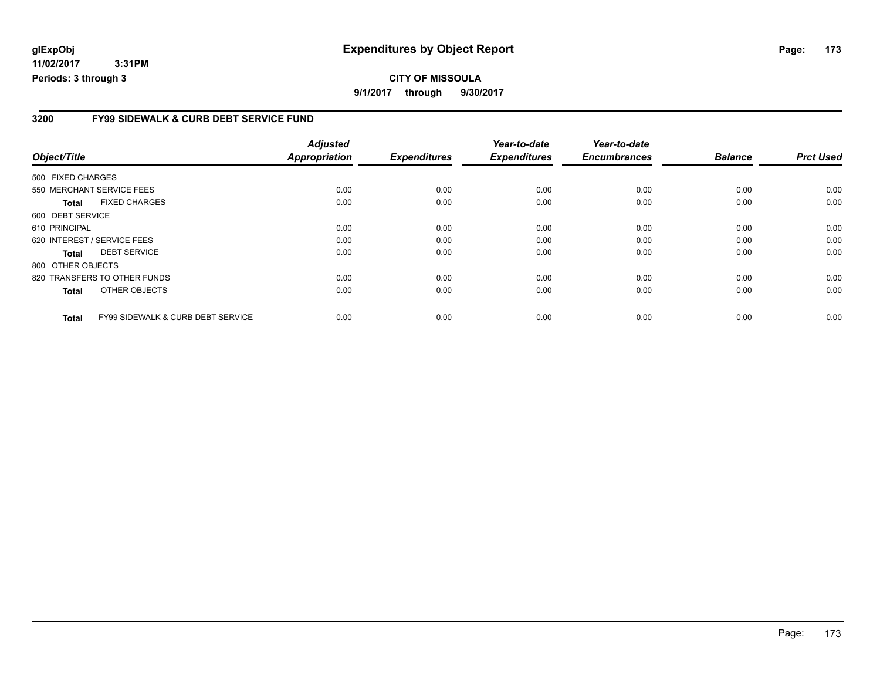**11/02/2017 3:31PM Periods: 3 through 3**

#### **3200 FY99 SIDEWALK & CURB DEBT SERVICE FUND**

| Object/Title      |                                              | <b>Adjusted</b><br><b>Appropriation</b> | <b>Expenditures</b> | Year-to-date<br><b>Expenditures</b> | Year-to-date<br><b>Encumbrances</b> | <b>Balance</b> | <b>Prct Used</b> |
|-------------------|----------------------------------------------|-----------------------------------------|---------------------|-------------------------------------|-------------------------------------|----------------|------------------|
| 500 FIXED CHARGES |                                              |                                         |                     |                                     |                                     |                |                  |
|                   | 550 MERCHANT SERVICE FEES                    | 0.00                                    | 0.00                | 0.00                                | 0.00                                | 0.00           | 0.00             |
| <b>Total</b>      | <b>FIXED CHARGES</b>                         | 0.00                                    | 0.00                | 0.00                                | 0.00                                | 0.00           | 0.00             |
| 600 DEBT SERVICE  |                                              |                                         |                     |                                     |                                     |                |                  |
| 610 PRINCIPAL     |                                              | 0.00                                    | 0.00                | 0.00                                | 0.00                                | 0.00           | 0.00             |
|                   | 620 INTEREST / SERVICE FEES                  | 0.00                                    | 0.00                | 0.00                                | 0.00                                | 0.00           | 0.00             |
| <b>Total</b>      | <b>DEBT SERVICE</b>                          | 0.00                                    | 0.00                | 0.00                                | 0.00                                | 0.00           | 0.00             |
| 800 OTHER OBJECTS |                                              |                                         |                     |                                     |                                     |                |                  |
|                   | 820 TRANSFERS TO OTHER FUNDS                 | 0.00                                    | 0.00                | 0.00                                | 0.00                                | 0.00           | 0.00             |
| <b>Total</b>      | OTHER OBJECTS                                | 0.00                                    | 0.00                | 0.00                                | 0.00                                | 0.00           | 0.00             |
| <b>Total</b>      | <b>FY99 SIDEWALK &amp; CURB DEBT SERVICE</b> | 0.00                                    | 0.00                | 0.00                                | 0.00                                | 0.00           | 0.00             |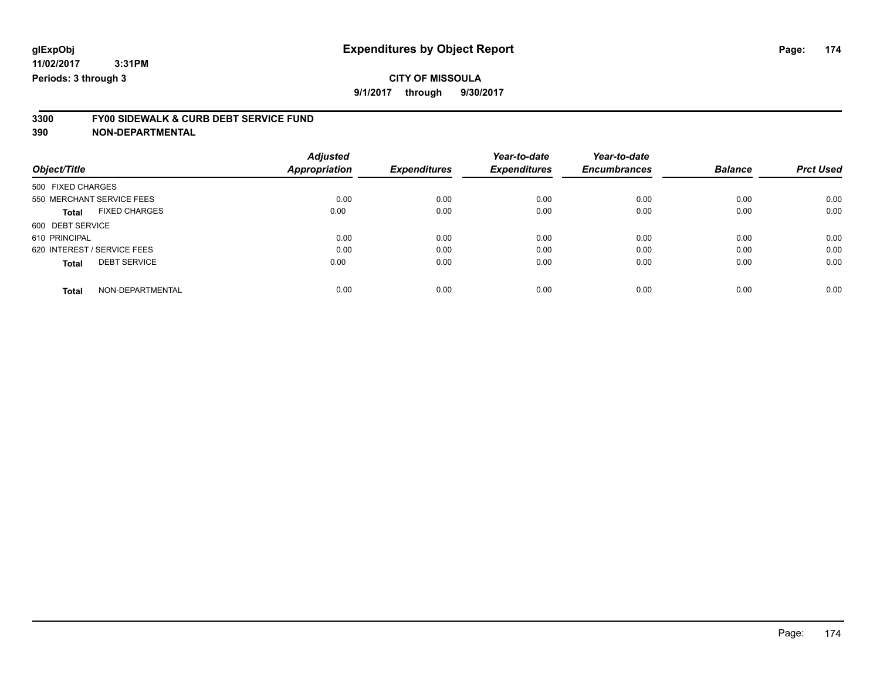### **CITY OF MISSOULA**

**9/1/2017 through 9/30/2017**

# **3300 FY00 SIDEWALK & CURB DEBT SERVICE FUND**

|                                      | <b>Adjusted</b> |                     | Year-to-date        | Year-to-date        |                |                  |
|--------------------------------------|-----------------|---------------------|---------------------|---------------------|----------------|------------------|
| Object/Title                         | Appropriation   | <b>Expenditures</b> | <b>Expenditures</b> | <b>Encumbrances</b> | <b>Balance</b> | <b>Prct Used</b> |
| 500 FIXED CHARGES                    |                 |                     |                     |                     |                |                  |
| 550 MERCHANT SERVICE FEES            | 0.00            | 0.00                | 0.00                | 0.00                | 0.00           | 0.00             |
| <b>FIXED CHARGES</b><br><b>Total</b> | 0.00            | 0.00                | 0.00                | 0.00                | 0.00           | 0.00             |
| 600 DEBT SERVICE                     |                 |                     |                     |                     |                |                  |
| 610 PRINCIPAL                        | 0.00            | 0.00                | 0.00                | 0.00                | 0.00           | 0.00             |
| 620 INTEREST / SERVICE FEES          | 0.00            | 0.00                | 0.00                | 0.00                | 0.00           | 0.00             |
| <b>DEBT SERVICE</b><br><b>Total</b>  | 0.00            | 0.00                | 0.00                | 0.00                | 0.00           | 0.00             |
| NON-DEPARTMENTAL<br><b>Total</b>     | 0.00            | 0.00                | 0.00                | 0.00                | 0.00           | 0.00             |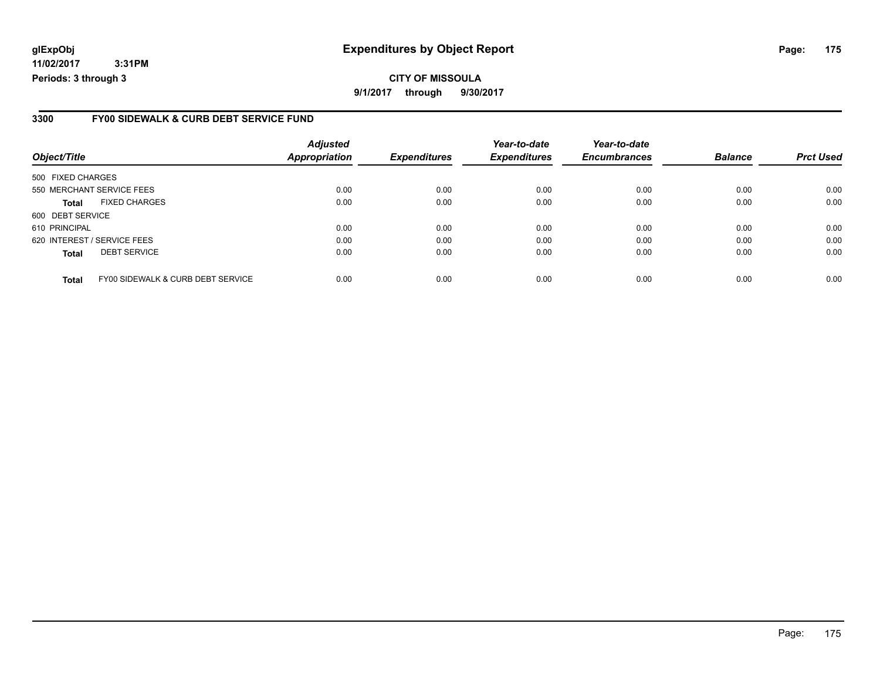**11/02/2017 3:31PM Periods: 3 through 3**

#### **3300 FY00 SIDEWALK & CURB DEBT SERVICE FUND**

| Object/Title                |                                   | <b>Adjusted</b><br>Appropriation | <b>Expenditures</b> | Year-to-date<br><b>Expenditures</b> | Year-to-date<br><b>Encumbrances</b> | <b>Balance</b> | <b>Prct Used</b> |
|-----------------------------|-----------------------------------|----------------------------------|---------------------|-------------------------------------|-------------------------------------|----------------|------------------|
| 500 FIXED CHARGES           |                                   |                                  |                     |                                     |                                     |                |                  |
|                             | 550 MERCHANT SERVICE FEES         | 0.00                             | 0.00                | 0.00                                | 0.00                                | 0.00           | 0.00             |
| <b>Total</b>                | <b>FIXED CHARGES</b>              | 0.00                             | 0.00                | 0.00                                | 0.00                                | 0.00           | 0.00             |
| 600 DEBT SERVICE            |                                   |                                  |                     |                                     |                                     |                |                  |
| 610 PRINCIPAL               |                                   | 0.00                             | 0.00                | 0.00                                | 0.00                                | 0.00           | 0.00             |
| 620 INTEREST / SERVICE FEES |                                   | 0.00                             | 0.00                | 0.00                                | 0.00                                | 0.00           | 0.00             |
| <b>Total</b>                | <b>DEBT SERVICE</b>               | 0.00                             | 0.00                | 0.00                                | 0.00                                | 0.00           | 0.00             |
| <b>Total</b>                | FY00 SIDEWALK & CURB DEBT SERVICE | 0.00                             | 0.00                | 0.00                                | 0.00                                | 0.00           | 0.00             |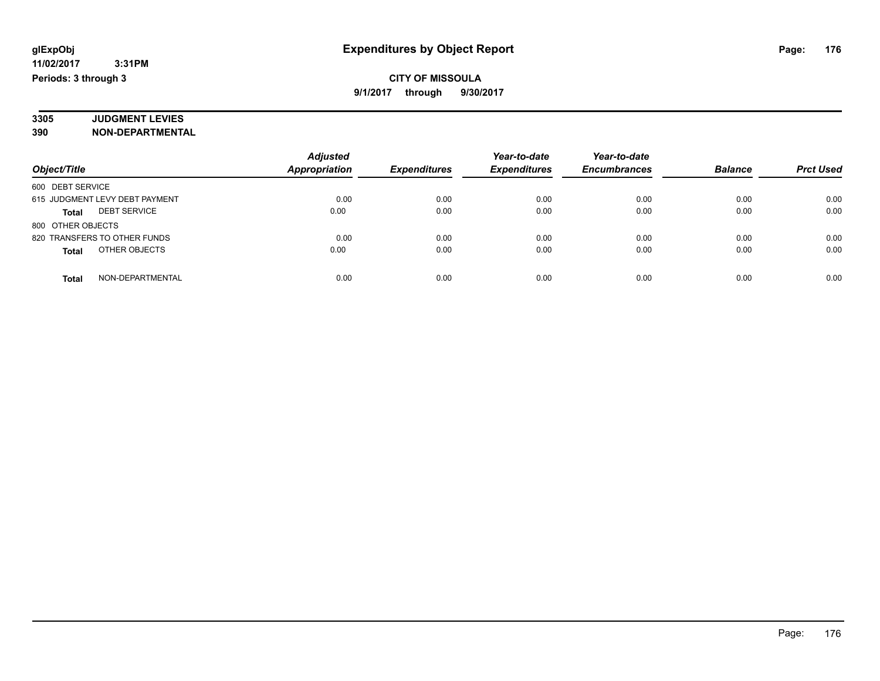#### **CITY OF MISSOULA 9/1/2017 through 9/30/2017**

#### **3305 JUDGMENT LEVIES 390 NON-DEPARTMENTAL**

|                                     | <b>Adjusted</b>      |                     | Year-to-date        | Year-to-date        |                |                  |
|-------------------------------------|----------------------|---------------------|---------------------|---------------------|----------------|------------------|
| Object/Title                        | <b>Appropriation</b> | <b>Expenditures</b> | <b>Expenditures</b> | <b>Encumbrances</b> | <b>Balance</b> | <b>Prct Used</b> |
| 600 DEBT SERVICE                    |                      |                     |                     |                     |                |                  |
| 615 JUDGMENT LEVY DEBT PAYMENT      | 0.00                 | 0.00                | 0.00                | 0.00                | 0.00           | 0.00             |
| <b>DEBT SERVICE</b><br><b>Total</b> | 0.00                 | 0.00                | 0.00                | 0.00                | 0.00           | 0.00             |
| 800 OTHER OBJECTS                   |                      |                     |                     |                     |                |                  |
| 820 TRANSFERS TO OTHER FUNDS        | 0.00                 | 0.00                | 0.00                | 0.00                | 0.00           | 0.00             |
| OTHER OBJECTS<br><b>Total</b>       | 0.00                 | 0.00                | 0.00                | 0.00                | 0.00           | 0.00             |
| NON-DEPARTMENTAL<br><b>Total</b>    | 0.00                 | 0.00                | 0.00                | 0.00                | 0.00           | 0.00             |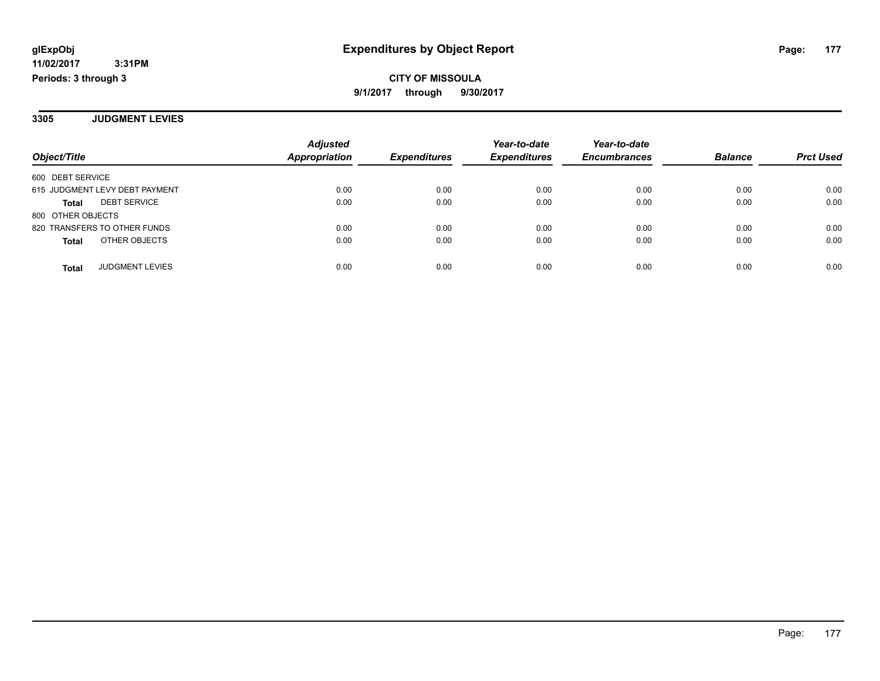**CITY OF MISSOULA 9/1/2017 through 9/30/2017**

**3305 JUDGMENT LEVIES**

|                                        | <b>Adjusted</b>      |                     | Year-to-date        | Year-to-date        |                |                  |
|----------------------------------------|----------------------|---------------------|---------------------|---------------------|----------------|------------------|
| Object/Title                           | <b>Appropriation</b> | <b>Expenditures</b> | <b>Expenditures</b> | <b>Encumbrances</b> | <b>Balance</b> | <b>Prct Used</b> |
| 600 DEBT SERVICE                       |                      |                     |                     |                     |                |                  |
| 615 JUDGMENT LEVY DEBT PAYMENT         | 0.00                 | 0.00                | 0.00                | 0.00                | 0.00           | 0.00             |
| <b>DEBT SERVICE</b><br><b>Total</b>    | 0.00                 | 0.00                | 0.00                | 0.00                | 0.00           | 0.00             |
| 800 OTHER OBJECTS                      |                      |                     |                     |                     |                |                  |
| 820 TRANSFERS TO OTHER FUNDS           | 0.00                 | 0.00                | 0.00                | 0.00                | 0.00           | 0.00             |
| OTHER OBJECTS<br><b>Total</b>          | 0.00                 | 0.00                | 0.00                | 0.00                | 0.00           | 0.00             |
| <b>JUDGMENT LEVIES</b><br><b>Total</b> | 0.00                 | 0.00                | 0.00                | 0.00                | 0.00           | 0.00             |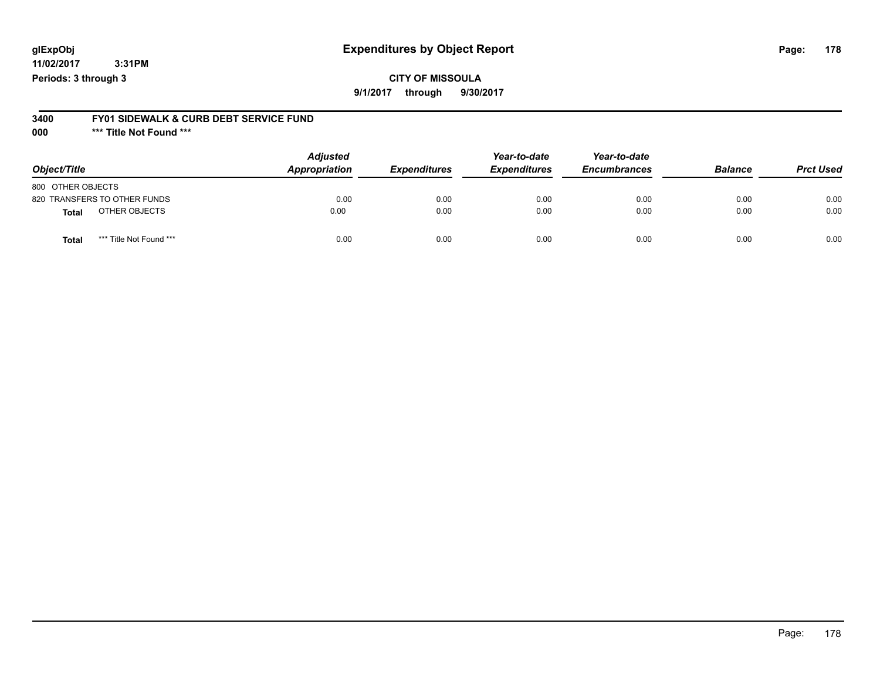**11/02/2017 3:31PM Periods: 3 through 3**

#### **CITY OF MISSOULA 9/1/2017 through 9/30/2017**

#### **3400 FY01 SIDEWALK & CURB DEBT SERVICE FUND**

**000 \*\*\* Title Not Found \*\*\***

| Object/Title                            | <b>Adjusted</b><br>Appropriation | <b>Expenditures</b> | Year-to-date<br><b>Expenditures</b> | Year-to-date<br><b>Encumbrances</b> | <b>Balance</b> | <b>Prct Used</b> |
|-----------------------------------------|----------------------------------|---------------------|-------------------------------------|-------------------------------------|----------------|------------------|
| 800 OTHER OBJECTS                       |                                  |                     |                                     |                                     |                |                  |
| 820 TRANSFERS TO OTHER FUNDS            | 0.00                             | 0.00                | 0.00                                | 0.00                                | 0.00           | 0.00             |
| OTHER OBJECTS<br><b>Total</b>           | 0.00                             | 0.00                | 0.00                                | 0.00                                | 0.00           | 0.00             |
| *** Title Not Found ***<br><b>Total</b> | 0.00                             | 0.00                | 0.00                                | 0.00                                | 0.00           | 0.00             |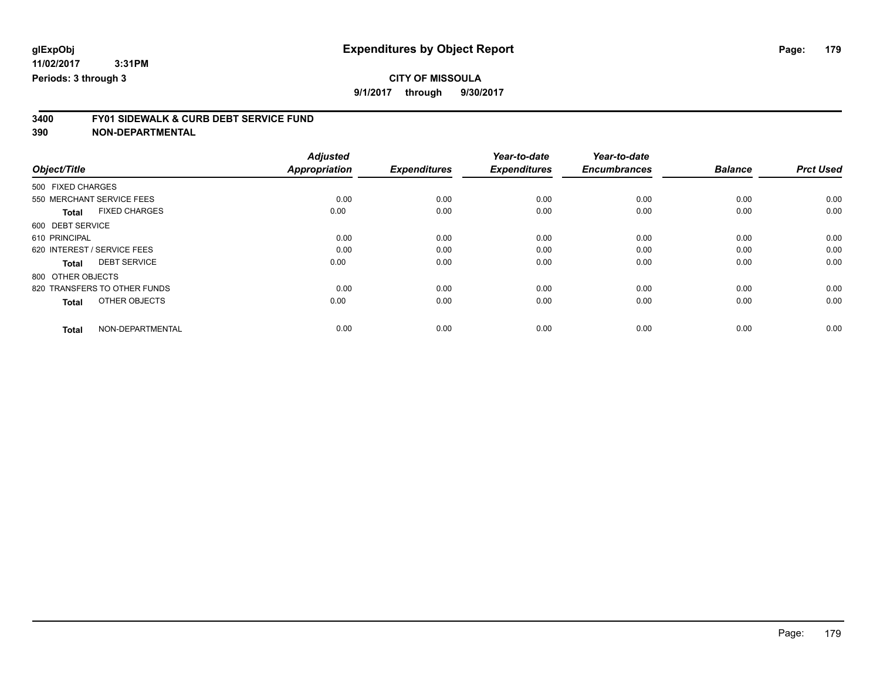**9/1/2017 through 9/30/2017**

# **3400 FY01 SIDEWALK & CURB DEBT SERVICE FUND**

| Object/Title                         | <b>Adjusted</b><br>Appropriation | <b>Expenditures</b> | Year-to-date<br><b>Expenditures</b> | Year-to-date<br><b>Encumbrances</b> | <b>Balance</b> | <b>Prct Used</b> |
|--------------------------------------|----------------------------------|---------------------|-------------------------------------|-------------------------------------|----------------|------------------|
|                                      |                                  |                     |                                     |                                     |                |                  |
| 500 FIXED CHARGES                    |                                  |                     |                                     |                                     |                |                  |
| 550 MERCHANT SERVICE FEES            | 0.00                             | 0.00                | 0.00                                | 0.00                                | 0.00           | 0.00             |
| <b>FIXED CHARGES</b><br><b>Total</b> | 0.00                             | 0.00                | 0.00                                | 0.00                                | 0.00           | 0.00             |
| 600 DEBT SERVICE                     |                                  |                     |                                     |                                     |                |                  |
| 610 PRINCIPAL                        | 0.00                             | 0.00                | 0.00                                | 0.00                                | 0.00           | 0.00             |
| 620 INTEREST / SERVICE FEES          | 0.00                             | 0.00                | 0.00                                | 0.00                                | 0.00           | 0.00             |
| <b>DEBT SERVICE</b><br><b>Total</b>  | 0.00                             | 0.00                | 0.00                                | 0.00                                | 0.00           | 0.00             |
| 800 OTHER OBJECTS                    |                                  |                     |                                     |                                     |                |                  |
| 820 TRANSFERS TO OTHER FUNDS         | 0.00                             | 0.00                | 0.00                                | 0.00                                | 0.00           | 0.00             |
| OTHER OBJECTS<br><b>Total</b>        | 0.00                             | 0.00                | 0.00                                | 0.00                                | 0.00           | 0.00             |
|                                      |                                  |                     |                                     |                                     |                |                  |
| NON-DEPARTMENTAL<br><b>Total</b>     | 0.00                             | 0.00                | 0.00                                | 0.00                                | 0.00           | 0.00             |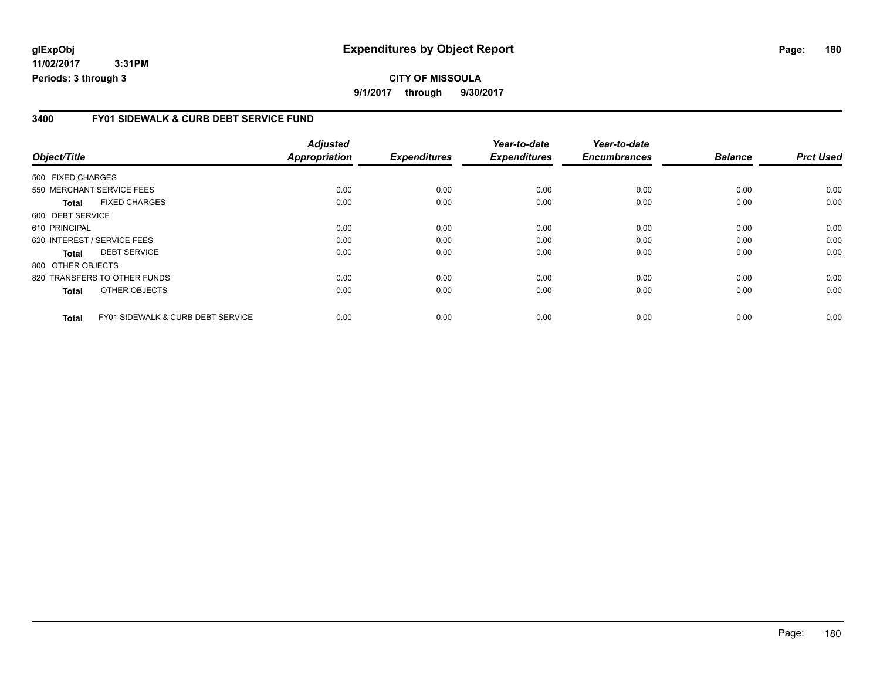**11/02/2017 3:31PM Periods: 3 through 3**

#### **3400 FY01 SIDEWALK & CURB DEBT SERVICE FUND**

| Object/Title                 |                                              | <b>Adjusted</b><br><b>Appropriation</b> | <b>Expenditures</b> | Year-to-date<br><b>Expenditures</b> | Year-to-date<br><b>Encumbrances</b> | <b>Balance</b> | <b>Prct Used</b> |
|------------------------------|----------------------------------------------|-----------------------------------------|---------------------|-------------------------------------|-------------------------------------|----------------|------------------|
|                              |                                              |                                         |                     |                                     |                                     |                |                  |
| 550 MERCHANT SERVICE FEES    |                                              | 0.00                                    | 0.00                | 0.00                                | 0.00                                | 0.00           | 0.00             |
| <b>Total</b>                 | <b>FIXED CHARGES</b>                         | 0.00                                    | 0.00                | 0.00                                | 0.00                                | 0.00           | 0.00             |
| 600 DEBT SERVICE             |                                              |                                         |                     |                                     |                                     |                |                  |
| 610 PRINCIPAL                |                                              | 0.00                                    | 0.00                | 0.00                                | 0.00                                | 0.00           | 0.00             |
|                              | 620 INTEREST / SERVICE FEES                  | 0.00                                    | 0.00                | 0.00                                | 0.00                                | 0.00           | 0.00             |
| <b>Total</b>                 | <b>DEBT SERVICE</b>                          | 0.00                                    | 0.00                | 0.00                                | 0.00                                | 0.00           | 0.00             |
| 800 OTHER OBJECTS            |                                              |                                         |                     |                                     |                                     |                |                  |
| 820 TRANSFERS TO OTHER FUNDS |                                              | 0.00                                    | 0.00                | 0.00                                | 0.00                                | 0.00           | 0.00             |
| <b>Total</b>                 | OTHER OBJECTS                                | 0.00                                    | 0.00                | 0.00                                | 0.00                                | 0.00           | 0.00             |
| <b>Total</b>                 | <b>FY01 SIDEWALK &amp; CURB DEBT SERVICE</b> | 0.00                                    | 0.00                | 0.00                                | 0.00                                | 0.00           | 0.00             |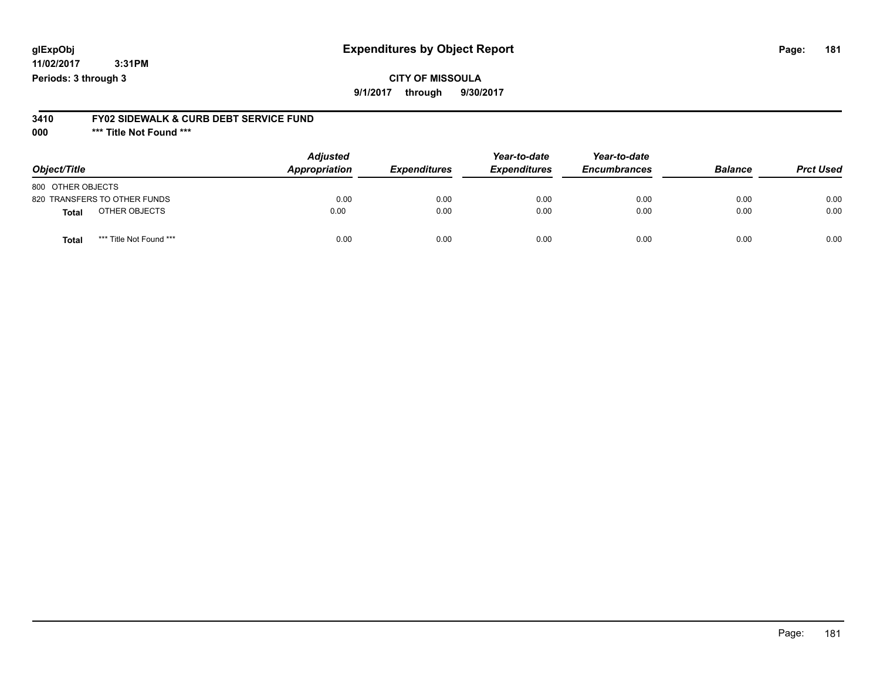## **glExpObj Expenditures by Object Report Page: 181**

**11/02/2017 3:31PM Periods: 3 through 3**

**9/1/2017 through 9/30/2017**

# **3410 FY02 SIDEWALK & CURB DEBT SERVICE FUND**

**000 \*\*\* Title Not Found \*\*\***

| Object/Title                     | <b>Adjusted</b><br>Appropriation | <b>Expenditures</b> | Year-to-date<br><b>Expenditures</b> | Year-to-date<br><b>Encumbrances</b> | <b>Balance</b> | <b>Prct Used</b> |
|----------------------------------|----------------------------------|---------------------|-------------------------------------|-------------------------------------|----------------|------------------|
| 800 OTHER OBJECTS                |                                  |                     |                                     |                                     |                |                  |
| 820 TRANSFERS TO OTHER FUNDS     | 0.00                             | 0.00                | 0.00                                | 0.00                                | 0.00           | 0.00             |
| OTHER OBJECTS<br><b>Total</b>    | 0.00                             | 0.00                | 0.00                                | 0.00                                | 0.00           | 0.00             |
| *** Title Not Found ***<br>Total | 0.00                             | 0.00                | 0.00                                | 0.00                                | 0.00           | 0.00             |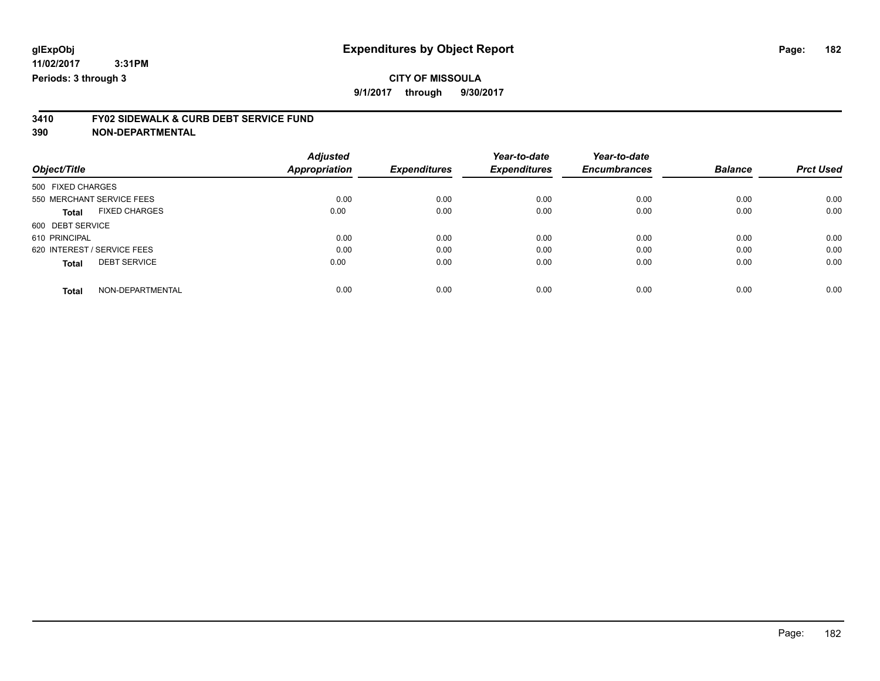# **CITY OF MISSOULA**

**9/1/2017 through 9/30/2017**

# **3410 FY02 SIDEWALK & CURB DEBT SERVICE FUND**

| Object/Title                         | <b>Adjusted</b><br>Appropriation | <b>Expenditures</b> | Year-to-date<br><b>Expenditures</b> | Year-to-date<br><b>Encumbrances</b> | <b>Balance</b> | <b>Prct Used</b> |
|--------------------------------------|----------------------------------|---------------------|-------------------------------------|-------------------------------------|----------------|------------------|
| 500 FIXED CHARGES                    |                                  |                     |                                     |                                     |                |                  |
| 550 MERCHANT SERVICE FEES            | 0.00                             | 0.00                | 0.00                                | 0.00                                | 0.00           | 0.00             |
| <b>FIXED CHARGES</b><br><b>Total</b> | 0.00                             | 0.00                | 0.00                                | 0.00                                | 0.00           | 0.00             |
| 600 DEBT SERVICE                     |                                  |                     |                                     |                                     |                |                  |
| 610 PRINCIPAL                        | 0.00                             | 0.00                | 0.00                                | 0.00                                | 0.00           | 0.00             |
| 620 INTEREST / SERVICE FEES          | 0.00                             | 0.00                | 0.00                                | 0.00                                | 0.00           | 0.00             |
| <b>DEBT SERVICE</b><br><b>Total</b>  | 0.00                             | 0.00                | 0.00                                | 0.00                                | 0.00           | 0.00             |
| NON-DEPARTMENTAL<br><b>Total</b>     | 0.00                             | 0.00                | 0.00                                | 0.00                                | 0.00           | 0.00             |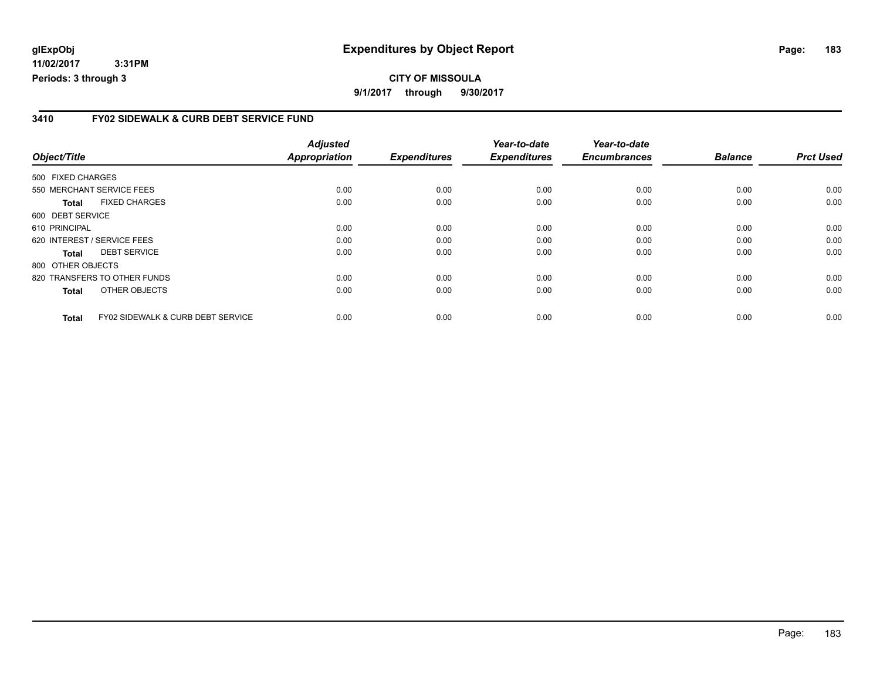## **glExpObj Expenditures by Object Report Page: 183**

**11/02/2017 3:31PM Periods: 3 through 3**

#### **3410 FY02 SIDEWALK & CURB DEBT SERVICE FUND**

|                   |                                              | <b>Adjusted</b>      |                     | Year-to-date        | Year-to-date        |                |                  |
|-------------------|----------------------------------------------|----------------------|---------------------|---------------------|---------------------|----------------|------------------|
| Object/Title      |                                              | <b>Appropriation</b> | <b>Expenditures</b> | <b>Expenditures</b> | <b>Encumbrances</b> | <b>Balance</b> | <b>Prct Used</b> |
| 500 FIXED CHARGES |                                              |                      |                     |                     |                     |                |                  |
|                   | 550 MERCHANT SERVICE FEES                    | 0.00                 | 0.00                | 0.00                | 0.00                | 0.00           | 0.00             |
| <b>Total</b>      | <b>FIXED CHARGES</b>                         | 0.00                 | 0.00                | 0.00                | 0.00                | 0.00           | 0.00             |
| 600 DEBT SERVICE  |                                              |                      |                     |                     |                     |                |                  |
| 610 PRINCIPAL     |                                              | 0.00                 | 0.00                | 0.00                | 0.00                | 0.00           | 0.00             |
|                   | 620 INTEREST / SERVICE FEES                  | 0.00                 | 0.00                | 0.00                | 0.00                | 0.00           | 0.00             |
| <b>Total</b>      | <b>DEBT SERVICE</b>                          | 0.00                 | 0.00                | 0.00                | 0.00                | 0.00           | 0.00             |
| 800 OTHER OBJECTS |                                              |                      |                     |                     |                     |                |                  |
|                   | 820 TRANSFERS TO OTHER FUNDS                 | 0.00                 | 0.00                | 0.00                | 0.00                | 0.00           | 0.00             |
| <b>Total</b>      | OTHER OBJECTS                                | 0.00                 | 0.00                | 0.00                | 0.00                | 0.00           | 0.00             |
| <b>Total</b>      | <b>FY02 SIDEWALK &amp; CURB DEBT SERVICE</b> | 0.00                 | 0.00                | 0.00                | 0.00                | 0.00           | 0.00             |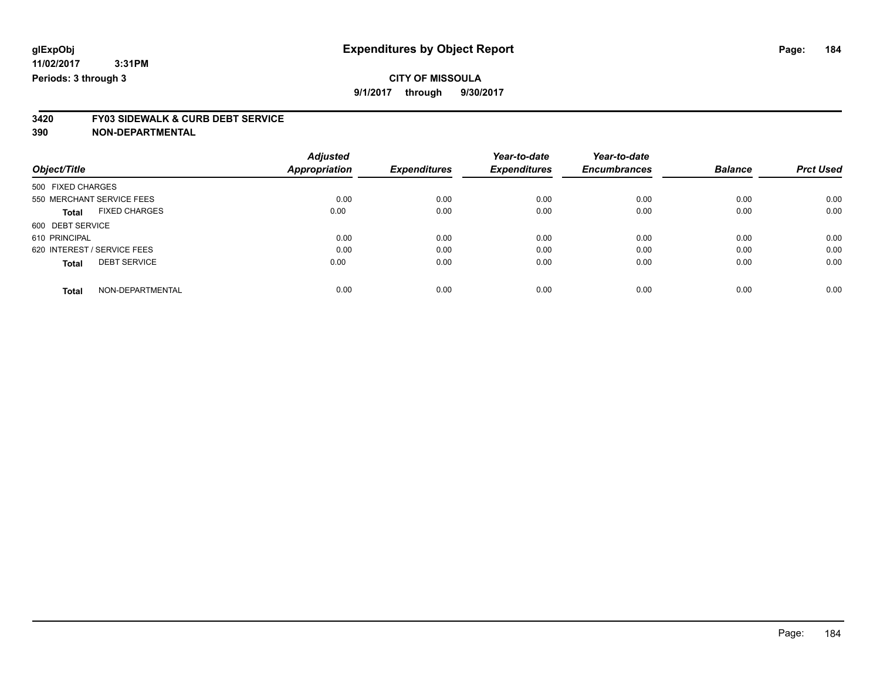## **CITY OF MISSOULA**

**9/1/2017 through 9/30/2017**

# **3420 FY03 SIDEWALK & CURB DEBT SERVICE**

|                             |                      | <b>Adjusted</b>      |                     | Year-to-date        | Year-to-date        |                |                  |
|-----------------------------|----------------------|----------------------|---------------------|---------------------|---------------------|----------------|------------------|
| Object/Title                |                      | <b>Appropriation</b> | <b>Expenditures</b> | <b>Expenditures</b> | <b>Encumbrances</b> | <b>Balance</b> | <b>Prct Used</b> |
| 500 FIXED CHARGES           |                      |                      |                     |                     |                     |                |                  |
| 550 MERCHANT SERVICE FEES   |                      | 0.00                 | 0.00                | 0.00                | 0.00                | 0.00           | 0.00             |
| <b>Total</b>                | <b>FIXED CHARGES</b> | 0.00                 | 0.00                | 0.00                | 0.00                | 0.00           | 0.00             |
| 600 DEBT SERVICE            |                      |                      |                     |                     |                     |                |                  |
| 610 PRINCIPAL               |                      | 0.00                 | 0.00                | 0.00                | 0.00                | 0.00           | 0.00             |
| 620 INTEREST / SERVICE FEES |                      | 0.00                 | 0.00                | 0.00                | 0.00                | 0.00           | 0.00             |
| <b>Total</b>                | <b>DEBT SERVICE</b>  | 0.00                 | 0.00                | 0.00                | 0.00                | 0.00           | 0.00             |
| <b>Total</b>                | NON-DEPARTMENTAL     | 0.00                 | 0.00                | 0.00                | 0.00                | 0.00           | 0.00             |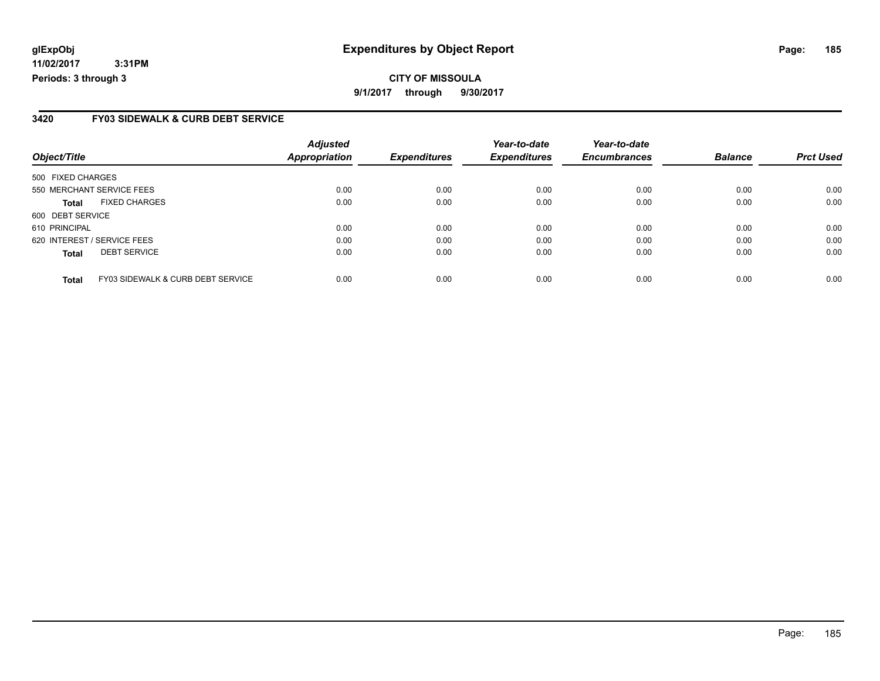## **glExpObj Expenditures by Object Report Page: 185**

**11/02/2017 3:31PM Periods: 3 through 3**

#### **3420 FY03 SIDEWALK & CURB DEBT SERVICE**

| Object/Title      |                                              | <b>Adjusted</b><br>Appropriation | <b>Expenditures</b> | Year-to-date<br><b>Expenditures</b> | Year-to-date<br><b>Encumbrances</b> | <b>Balance</b> | <b>Prct Used</b> |
|-------------------|----------------------------------------------|----------------------------------|---------------------|-------------------------------------|-------------------------------------|----------------|------------------|
| 500 FIXED CHARGES |                                              |                                  |                     |                                     |                                     |                |                  |
|                   | 550 MERCHANT SERVICE FEES                    | 0.00                             | 0.00                | 0.00                                | 0.00                                | 0.00           | 0.00             |
| <b>Total</b>      | <b>FIXED CHARGES</b>                         | 0.00                             | 0.00                | 0.00                                | 0.00                                | 0.00           | 0.00             |
| 600 DEBT SERVICE  |                                              |                                  |                     |                                     |                                     |                |                  |
| 610 PRINCIPAL     |                                              | 0.00                             | 0.00                | 0.00                                | 0.00                                | 0.00           | 0.00             |
|                   | 620 INTEREST / SERVICE FEES                  | 0.00                             | 0.00                | 0.00                                | 0.00                                | 0.00           | 0.00             |
| <b>Total</b>      | <b>DEBT SERVICE</b>                          | 0.00                             | 0.00                | 0.00                                | 0.00                                | 0.00           | 0.00             |
| <b>Total</b>      | <b>FY03 SIDEWALK &amp; CURB DEBT SERVICE</b> | 0.00                             | 0.00                | 0.00                                | 0.00                                | 0.00           | 0.00             |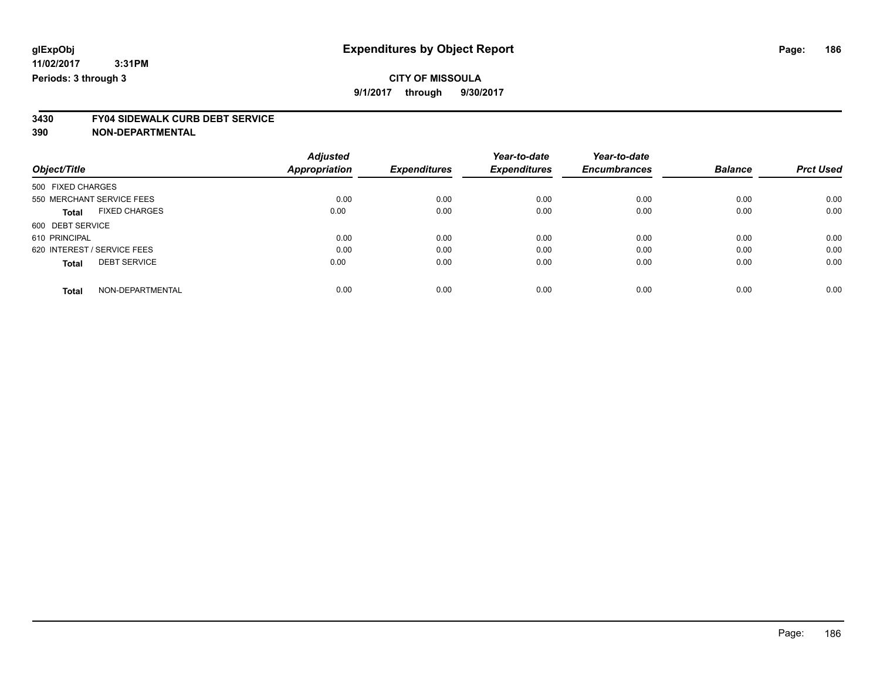# **CITY OF MISSOULA**

**9/1/2017 through 9/30/2017**

# **3430 FY04 SIDEWALK CURB DEBT SERVICE**

|                                      | <b>Adjusted</b>      |                     | Year-to-date        | Year-to-date        |                |                  |
|--------------------------------------|----------------------|---------------------|---------------------|---------------------|----------------|------------------|
| Object/Title                         | <b>Appropriation</b> | <b>Expenditures</b> | <b>Expenditures</b> | <b>Encumbrances</b> | <b>Balance</b> | <b>Prct Used</b> |
| 500 FIXED CHARGES                    |                      |                     |                     |                     |                |                  |
| 550 MERCHANT SERVICE FEES            | 0.00                 | 0.00                | 0.00                | 0.00                | 0.00           | 0.00             |
| <b>FIXED CHARGES</b><br><b>Total</b> | 0.00                 | 0.00                | 0.00                | 0.00                | 0.00           | 0.00             |
| 600 DEBT SERVICE                     |                      |                     |                     |                     |                |                  |
| 610 PRINCIPAL                        | 0.00                 | 0.00                | 0.00                | 0.00                | 0.00           | 0.00             |
| 620 INTEREST / SERVICE FEES          | 0.00                 | 0.00                | 0.00                | 0.00                | 0.00           | 0.00             |
| <b>DEBT SERVICE</b><br><b>Total</b>  | 0.00                 | 0.00                | 0.00                | 0.00                | 0.00           | 0.00             |
| NON-DEPARTMENTAL<br><b>Total</b>     | 0.00                 | 0.00                | 0.00                | 0.00                | 0.00           | 0.00             |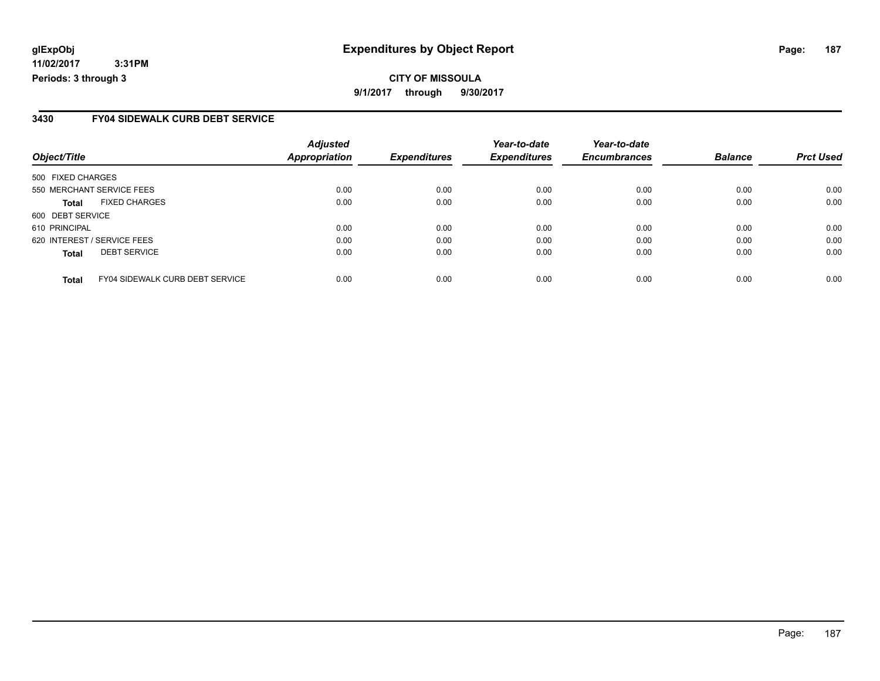## **glExpObj Expenditures by Object Report Page: 187**

**11/02/2017 3:31PM Periods: 3 through 3**

#### **3430 FY04 SIDEWALK CURB DEBT SERVICE**

| Object/Title                |                                        | <b>Adjusted</b><br>Appropriation | <b>Expenditures</b> | Year-to-date<br><b>Expenditures</b> | Year-to-date<br><b>Encumbrances</b> | <b>Balance</b> | <b>Prct Used</b> |
|-----------------------------|----------------------------------------|----------------------------------|---------------------|-------------------------------------|-------------------------------------|----------------|------------------|
| 500 FIXED CHARGES           |                                        |                                  |                     |                                     |                                     |                |                  |
|                             | 550 MERCHANT SERVICE FEES              | 0.00                             | 0.00                | 0.00                                | 0.00                                | 0.00           | 0.00             |
| <b>Total</b>                | <b>FIXED CHARGES</b>                   | 0.00                             | 0.00                | 0.00                                | 0.00                                | 0.00           | 0.00             |
| 600 DEBT SERVICE            |                                        |                                  |                     |                                     |                                     |                |                  |
| 610 PRINCIPAL               |                                        | 0.00                             | 0.00                | 0.00                                | 0.00                                | 0.00           | 0.00             |
| 620 INTEREST / SERVICE FEES |                                        | 0.00                             | 0.00                | 0.00                                | 0.00                                | 0.00           | 0.00             |
| <b>Total</b>                | <b>DEBT SERVICE</b>                    | 0.00                             | 0.00                | 0.00                                | 0.00                                | 0.00           | 0.00             |
| <b>Total</b>                | <b>FY04 SIDEWALK CURB DEBT SERVICE</b> | 0.00                             | 0.00                | 0.00                                | 0.00                                | 0.00           | 0.00             |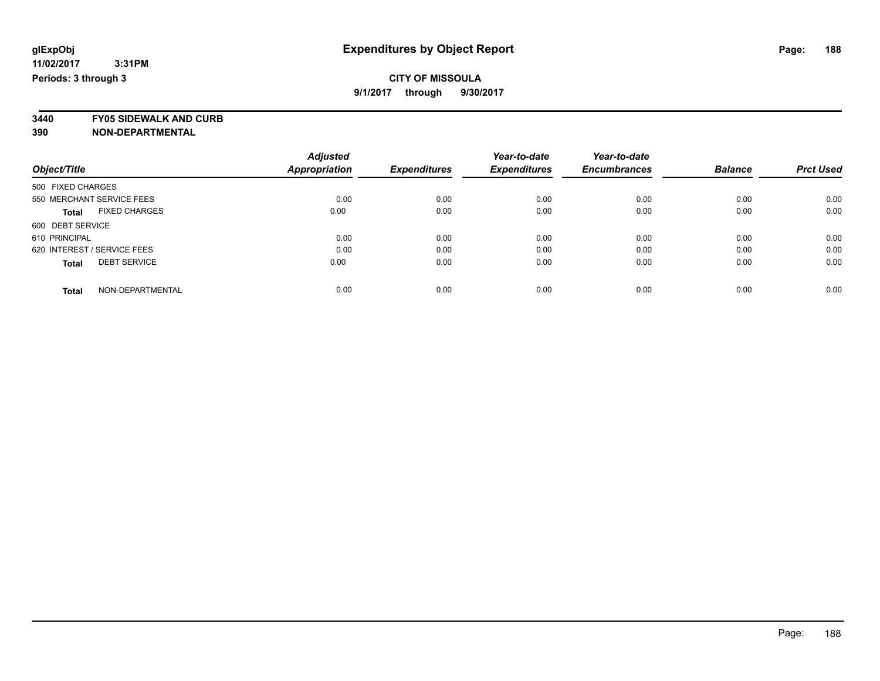**3440 FY05 SIDEWALK AND CURB**

|                             |                      | <b>Adjusted</b> |                     | Year-to-date        | Year-to-date        |                |                  |
|-----------------------------|----------------------|-----------------|---------------------|---------------------|---------------------|----------------|------------------|
| Object/Title                |                      | Appropriation   | <b>Expenditures</b> | <b>Expenditures</b> | <b>Encumbrances</b> | <b>Balance</b> | <b>Prct Used</b> |
| 500 FIXED CHARGES           |                      |                 |                     |                     |                     |                |                  |
| 550 MERCHANT SERVICE FEES   |                      | 0.00            | 0.00                | 0.00                | 0.00                | 0.00           | 0.00             |
| <b>Total</b>                | <b>FIXED CHARGES</b> | 0.00            | 0.00                | 0.00                | 0.00                | 0.00           | 0.00             |
| 600 DEBT SERVICE            |                      |                 |                     |                     |                     |                |                  |
| 610 PRINCIPAL               |                      | 0.00            | 0.00                | 0.00                | 0.00                | 0.00           | 0.00             |
| 620 INTEREST / SERVICE FEES |                      | 0.00            | 0.00                | 0.00                | 0.00                | 0.00           | 0.00             |
| <b>Total</b>                | <b>DEBT SERVICE</b>  | 0.00            | 0.00                | 0.00                | 0.00                | 0.00           | 0.00             |
| <b>Total</b>                | NON-DEPARTMENTAL     | 0.00            | 0.00                | 0.00                | 0.00                | 0.00           | 0.00             |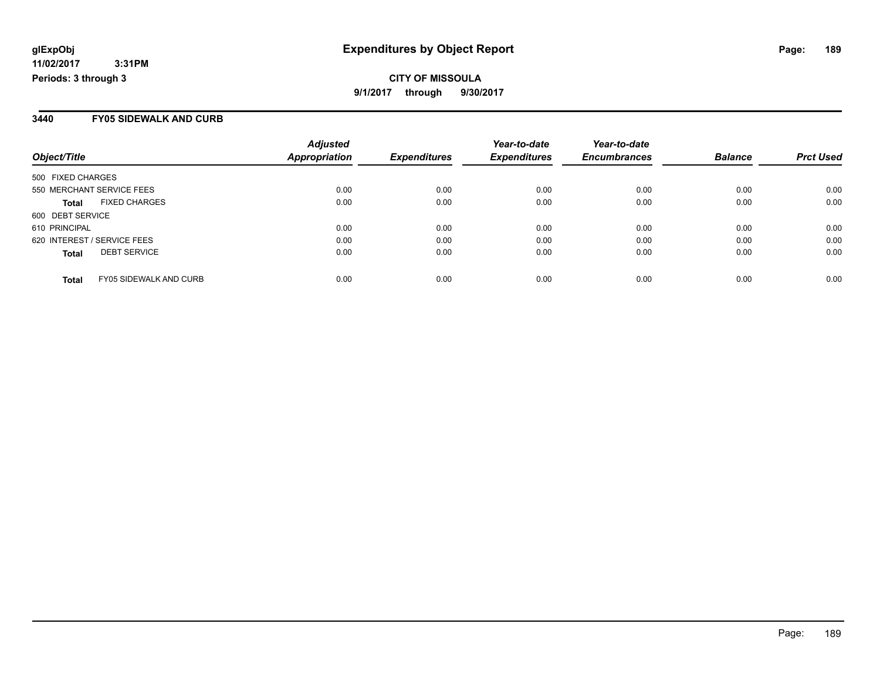#### **3440 FY05 SIDEWALK AND CURB**

| Object/Title                                  | <b>Adjusted</b><br><b>Appropriation</b> | <b>Expenditures</b> | Year-to-date<br><b>Expenditures</b> | Year-to-date<br><b>Encumbrances</b> | <b>Balance</b> | <b>Prct Used</b> |
|-----------------------------------------------|-----------------------------------------|---------------------|-------------------------------------|-------------------------------------|----------------|------------------|
| 500 FIXED CHARGES                             |                                         |                     |                                     |                                     |                |                  |
| 550 MERCHANT SERVICE FEES                     | 0.00                                    | 0.00                | 0.00                                | 0.00                                | 0.00           | 0.00             |
| <b>FIXED CHARGES</b><br><b>Total</b>          | 0.00                                    | 0.00                | 0.00                                | 0.00                                | 0.00           | 0.00             |
| 600 DEBT SERVICE                              |                                         |                     |                                     |                                     |                |                  |
| 610 PRINCIPAL                                 | 0.00                                    | 0.00                | 0.00                                | 0.00                                | 0.00           | 0.00             |
| 620 INTEREST / SERVICE FEES                   | 0.00                                    | 0.00                | 0.00                                | 0.00                                | 0.00           | 0.00             |
| <b>DEBT SERVICE</b><br><b>Total</b>           | 0.00                                    | 0.00                | 0.00                                | 0.00                                | 0.00           | 0.00             |
| <b>FY05 SIDEWALK AND CURB</b><br><b>Total</b> | 0.00                                    | 0.00                | 0.00                                | 0.00                                | 0.00           | 0.00             |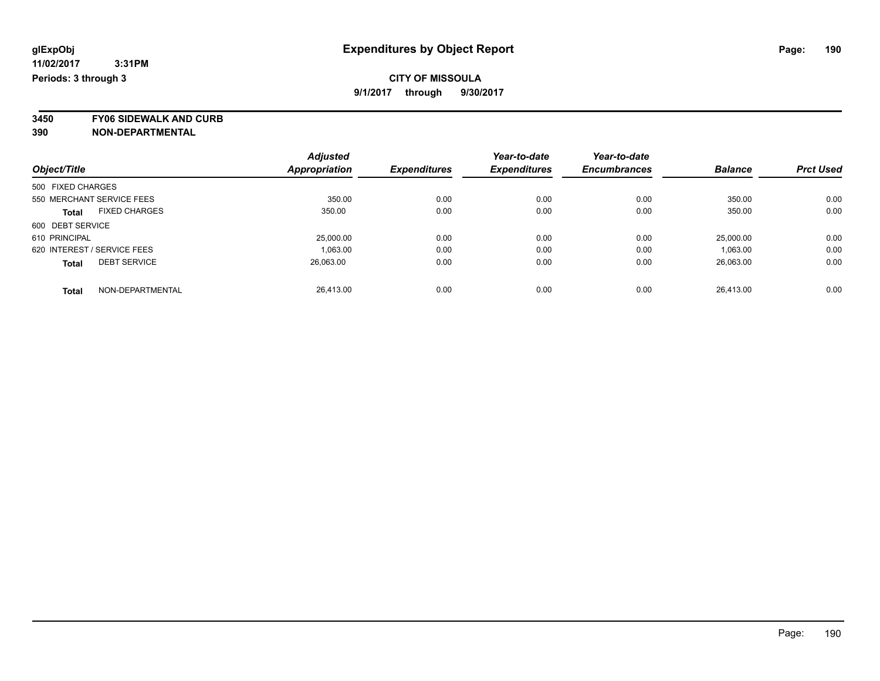**3450 FY06 SIDEWALK AND CURB**

|                             |                      | <b>Adjusted</b> |                     | Year-to-date        | Year-to-date        |                |                  |
|-----------------------------|----------------------|-----------------|---------------------|---------------------|---------------------|----------------|------------------|
| Object/Title                |                      | Appropriation   | <b>Expenditures</b> | <b>Expenditures</b> | <b>Encumbrances</b> | <b>Balance</b> | <b>Prct Used</b> |
| 500 FIXED CHARGES           |                      |                 |                     |                     |                     |                |                  |
| 550 MERCHANT SERVICE FEES   |                      | 350.00          | 0.00                | 0.00                | 0.00                | 350.00         | 0.00             |
| <b>Total</b>                | <b>FIXED CHARGES</b> | 350.00          | 0.00                | 0.00                | 0.00                | 350.00         | 0.00             |
| 600 DEBT SERVICE            |                      |                 |                     |                     |                     |                |                  |
| 610 PRINCIPAL               |                      | 25,000.00       | 0.00                | 0.00                | 0.00                | 25,000.00      | 0.00             |
| 620 INTEREST / SERVICE FEES |                      | 1,063.00        | 0.00                | 0.00                | 0.00                | 1,063.00       | 0.00             |
| <b>Total</b>                | <b>DEBT SERVICE</b>  | 26.063.00       | 0.00                | 0.00                | 0.00                | 26.063.00      | 0.00             |
| <b>Total</b>                | NON-DEPARTMENTAL     | 26.413.00       | 0.00                | 0.00                | 0.00                | 26.413.00      | 0.00             |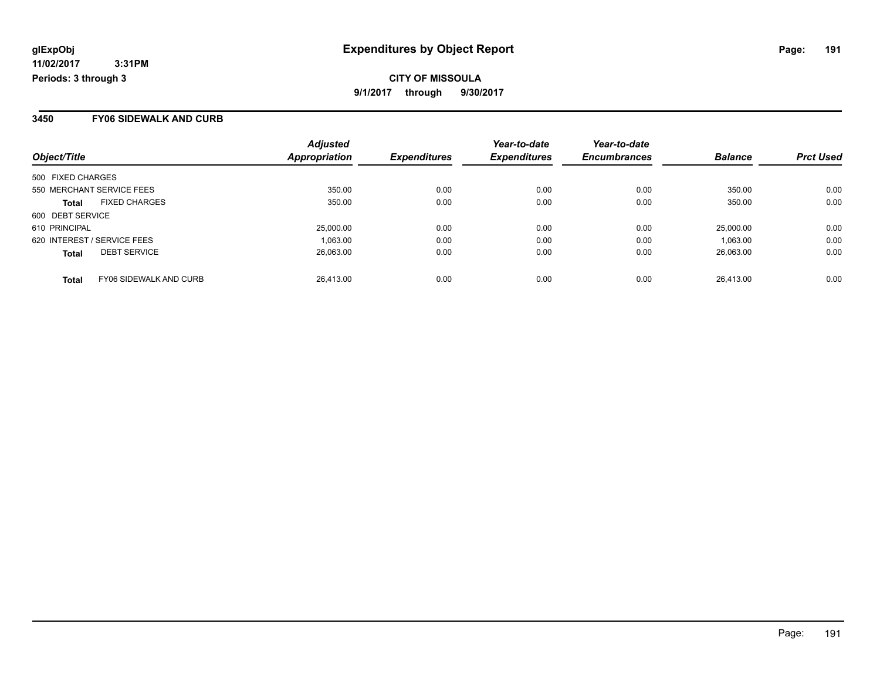#### **3450 FY06 SIDEWALK AND CURB**

| Object/Title                                  | <b>Adjusted</b><br><b>Appropriation</b> | <b>Expenditures</b> | Year-to-date<br><b>Expenditures</b> | Year-to-date<br><b>Encumbrances</b> | <b>Balance</b> | <b>Prct Used</b> |
|-----------------------------------------------|-----------------------------------------|---------------------|-------------------------------------|-------------------------------------|----------------|------------------|
| 500 FIXED CHARGES                             |                                         |                     |                                     |                                     |                |                  |
| 550 MERCHANT SERVICE FEES                     | 350.00                                  | 0.00                | 0.00                                | 0.00                                | 350.00         | 0.00             |
| <b>FIXED CHARGES</b><br><b>Total</b>          | 350.00                                  | 0.00                | 0.00                                | 0.00                                | 350.00         | 0.00             |
| 600 DEBT SERVICE                              |                                         |                     |                                     |                                     |                |                  |
| 610 PRINCIPAL                                 | 25,000.00                               | 0.00                | 0.00                                | 0.00                                | 25,000.00      | 0.00             |
| 620 INTEREST / SERVICE FEES                   | 1,063.00                                | 0.00                | 0.00                                | 0.00                                | 1.063.00       | 0.00             |
| <b>DEBT SERVICE</b><br><b>Total</b>           | 26.063.00                               | 0.00                | 0.00                                | 0.00                                | 26.063.00      | 0.00             |
| <b>FY06 SIDEWALK AND CURB</b><br><b>Total</b> | 26.413.00                               | 0.00                | 0.00                                | 0.00                                | 26.413.00      | 0.00             |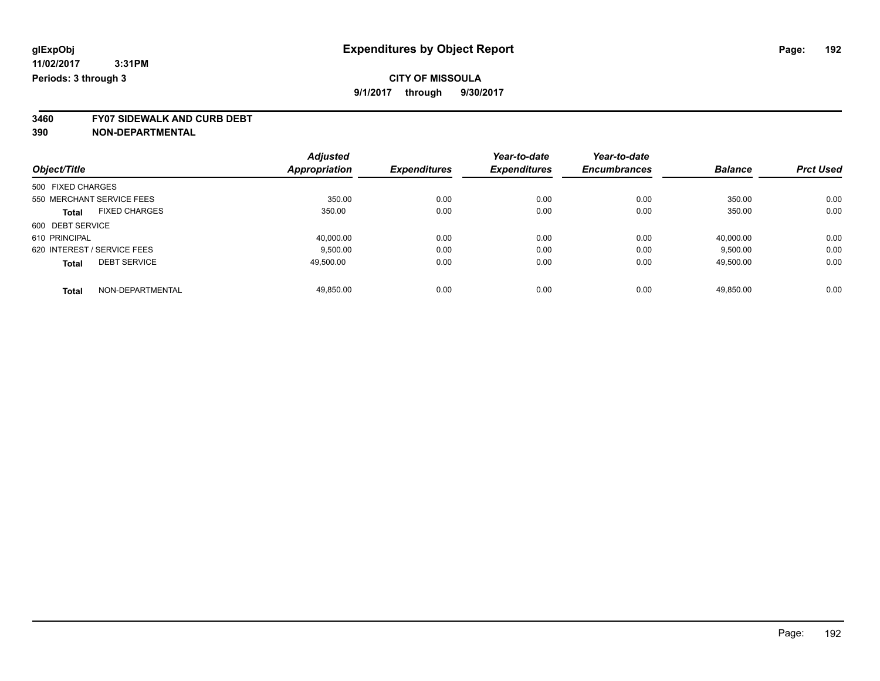**3460 FY07 SIDEWALK AND CURB DEBT**

|                             |                      | <b>Adjusted</b>      |                     | Year-to-date        | Year-to-date        |                |                  |
|-----------------------------|----------------------|----------------------|---------------------|---------------------|---------------------|----------------|------------------|
| Object/Title                |                      | <b>Appropriation</b> | <b>Expenditures</b> | <b>Expenditures</b> | <b>Encumbrances</b> | <b>Balance</b> | <b>Prct Used</b> |
| 500 FIXED CHARGES           |                      |                      |                     |                     |                     |                |                  |
| 550 MERCHANT SERVICE FEES   |                      | 350.00               | 0.00                | 0.00                | 0.00                | 350.00         | 0.00             |
| <b>Total</b>                | <b>FIXED CHARGES</b> | 350.00               | 0.00                | 0.00                | 0.00                | 350.00         | 0.00             |
| 600 DEBT SERVICE            |                      |                      |                     |                     |                     |                |                  |
| 610 PRINCIPAL               |                      | 40.000.00            | 0.00                | 0.00                | 0.00                | 40.000.00      | 0.00             |
| 620 INTEREST / SERVICE FEES |                      | 9,500.00             | 0.00                | 0.00                | 0.00                | 9,500.00       | 0.00             |
| <b>Total</b>                | <b>DEBT SERVICE</b>  | 49.500.00            | 0.00                | 0.00                | 0.00                | 49,500.00      | 0.00             |
| <b>Total</b>                | NON-DEPARTMENTAL     | 49.850.00            | 0.00                | 0.00                | 0.00                | 49.850.00      | 0.00             |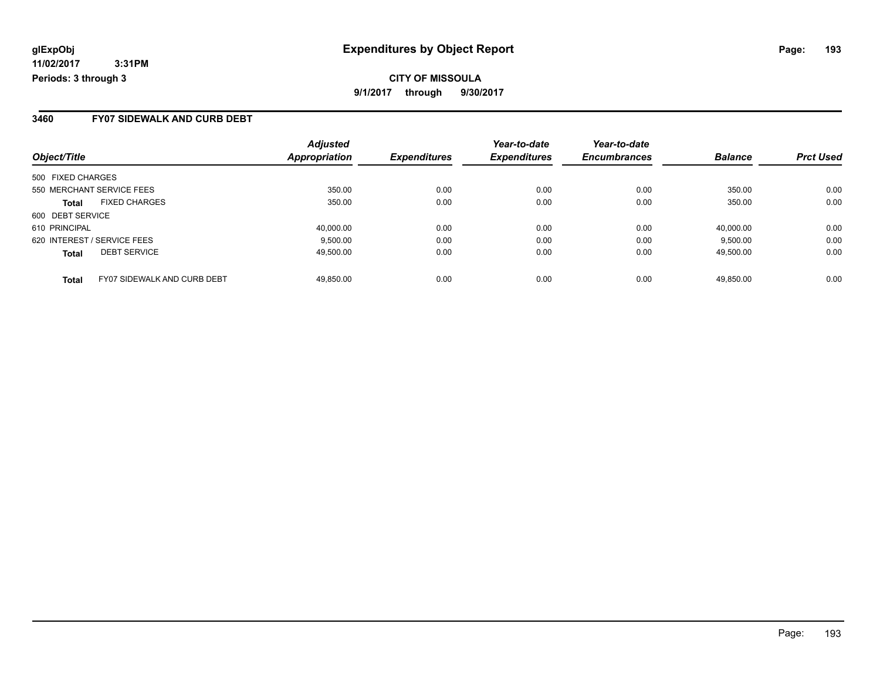#### **3460 FY07 SIDEWALK AND CURB DEBT**

| Object/Title                                       | <b>Adjusted</b><br><b>Appropriation</b> | <b>Expenditures</b> | Year-to-date<br><b>Expenditures</b> | Year-to-date<br><b>Encumbrances</b> | <b>Balance</b> | <b>Prct Used</b> |
|----------------------------------------------------|-----------------------------------------|---------------------|-------------------------------------|-------------------------------------|----------------|------------------|
| 500 FIXED CHARGES                                  |                                         |                     |                                     |                                     |                |                  |
| 550 MERCHANT SERVICE FEES                          | 350.00                                  | 0.00                | 0.00                                | 0.00                                | 350.00         | 0.00             |
| <b>FIXED CHARGES</b><br><b>Total</b>               | 350.00                                  | 0.00                | 0.00                                | 0.00                                | 350.00         | 0.00             |
| 600 DEBT SERVICE                                   |                                         |                     |                                     |                                     |                |                  |
| 610 PRINCIPAL                                      | 40,000.00                               | 0.00                | 0.00                                | 0.00                                | 40.000.00      | 0.00             |
| 620 INTEREST / SERVICE FEES                        | 9,500.00                                | 0.00                | 0.00                                | 0.00                                | 9,500.00       | 0.00             |
| <b>DEBT SERVICE</b><br><b>Total</b>                | 49.500.00                               | 0.00                | 0.00                                | 0.00                                | 49.500.00      | 0.00             |
| <b>FY07 SIDEWALK AND CURB DEBT</b><br><b>Total</b> | 49.850.00                               | 0.00                | 0.00                                | 0.00                                | 49.850.00      | 0.00             |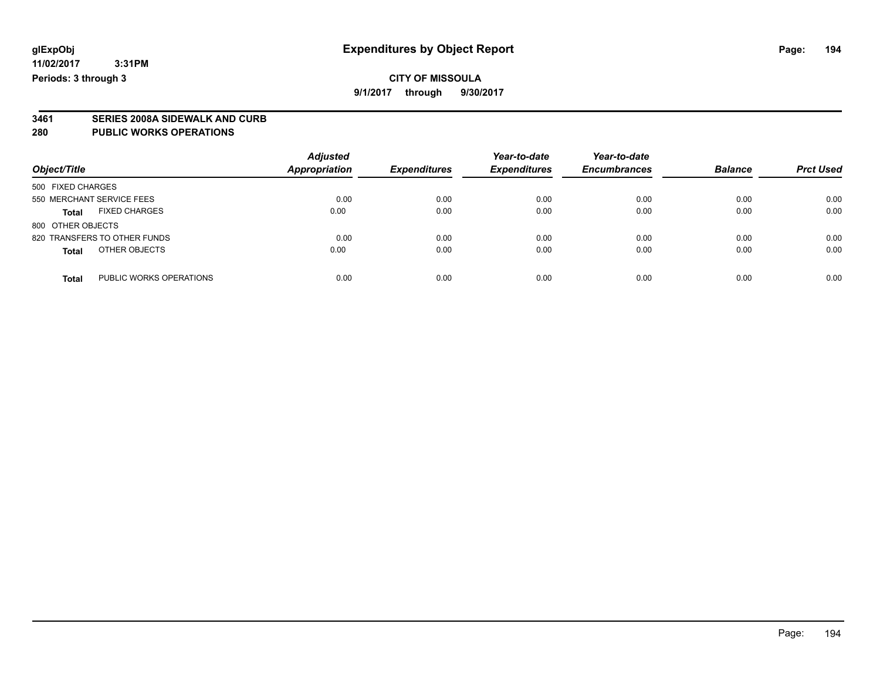**9/1/2017 through 9/30/2017**

# **3461 SERIES 2008A SIDEWALK AND CURB**

#### **280 PUBLIC WORKS OPERATIONS**

| Object/Title                            | <b>Adjusted</b><br>Appropriation | <b>Expenditures</b> | Year-to-date<br><b>Expenditures</b> | Year-to-date<br><b>Encumbrances</b> | <b>Balance</b> | <b>Prct Used</b> |
|-----------------------------------------|----------------------------------|---------------------|-------------------------------------|-------------------------------------|----------------|------------------|
| 500 FIXED CHARGES                       |                                  |                     |                                     |                                     |                |                  |
| 550 MERCHANT SERVICE FEES               | 0.00                             | 0.00                | 0.00                                | 0.00                                | 0.00           | 0.00             |
| <b>FIXED CHARGES</b><br><b>Total</b>    | 0.00                             | 0.00                | 0.00                                | 0.00                                | 0.00           | 0.00             |
| 800 OTHER OBJECTS                       |                                  |                     |                                     |                                     |                |                  |
| 820 TRANSFERS TO OTHER FUNDS            | 0.00                             | 0.00                | 0.00                                | 0.00                                | 0.00           | 0.00             |
| OTHER OBJECTS<br><b>Total</b>           | 0.00                             | 0.00                | 0.00                                | 0.00                                | 0.00           | 0.00             |
| PUBLIC WORKS OPERATIONS<br><b>Total</b> | 0.00                             | 0.00                | 0.00                                | 0.00                                | 0.00           | 0.00             |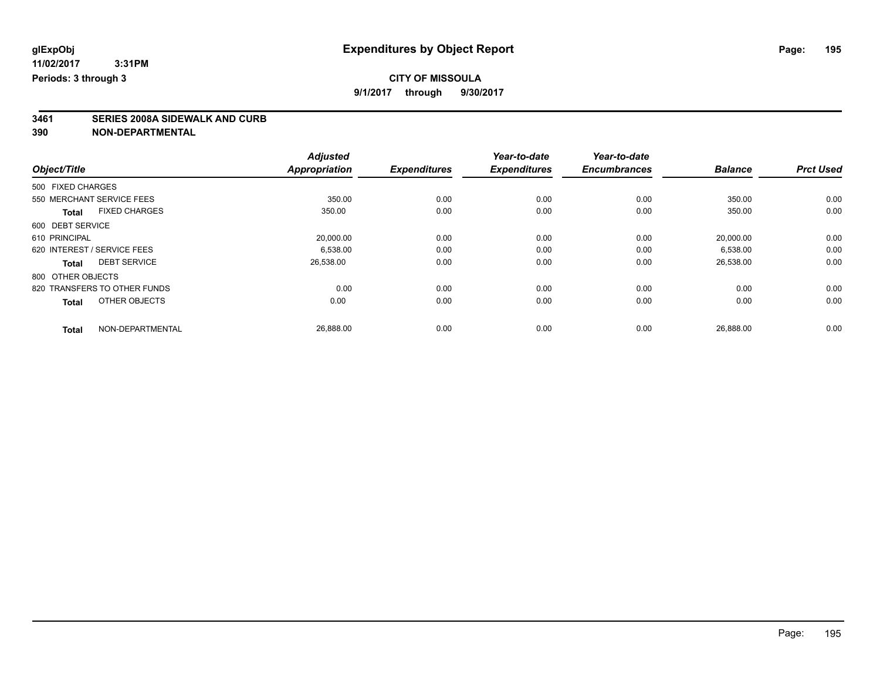## **CITY OF MISSOULA**

**9/1/2017 through 9/30/2017**

# **3461 SERIES 2008A SIDEWALK AND CURB**

| <b>Balance</b> | <b>Prct Used</b> |
|----------------|------------------|
|                |                  |
|                |                  |
| 350.00         | 0.00             |
| 350.00         | 0.00             |
|                |                  |
| 20,000.00      | 0.00             |
| 6,538.00       | 0.00             |
| 26,538.00      | 0.00             |
|                |                  |
| 0.00           | 0.00             |
| 0.00           | 0.00             |
|                | 0.00             |
|                | 26,888.00        |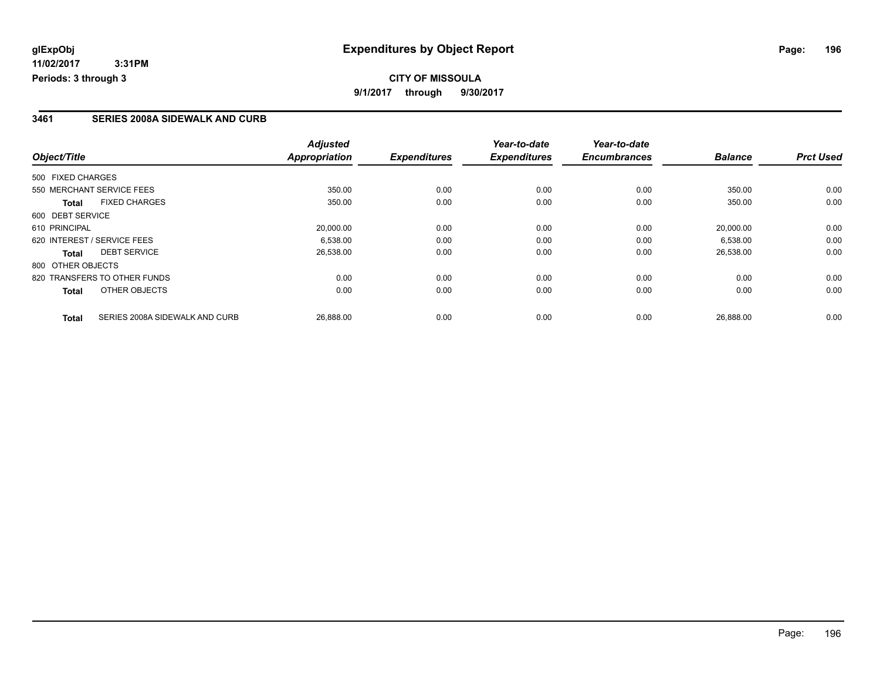## **CITY OF MISSOULA 9/1/2017 through 9/30/2017**

#### **3461 SERIES 2008A SIDEWALK AND CURB**

|                                                | <b>Adjusted</b>      |                     | Year-to-date        | Year-to-date        |                |                  |
|------------------------------------------------|----------------------|---------------------|---------------------|---------------------|----------------|------------------|
| Object/Title                                   | <b>Appropriation</b> | <b>Expenditures</b> | <b>Expenditures</b> | <b>Encumbrances</b> | <b>Balance</b> | <b>Prct Used</b> |
| 500 FIXED CHARGES                              |                      |                     |                     |                     |                |                  |
| 550 MERCHANT SERVICE FEES                      | 350.00               | 0.00                | 0.00                | 0.00                | 350.00         | 0.00             |
| <b>FIXED CHARGES</b><br><b>Total</b>           | 350.00               | 0.00                | 0.00                | 0.00                | 350.00         | 0.00             |
| 600 DEBT SERVICE                               |                      |                     |                     |                     |                |                  |
| 610 PRINCIPAL                                  | 20,000.00            | 0.00                | 0.00                | 0.00                | 20.000.00      | 0.00             |
| 620 INTEREST / SERVICE FEES                    | 6.538.00             | 0.00                | 0.00                | 0.00                | 6,538.00       | 0.00             |
| <b>DEBT SERVICE</b><br>Total                   | 26,538.00            | 0.00                | 0.00                | 0.00                | 26,538.00      | 0.00             |
| 800 OTHER OBJECTS                              |                      |                     |                     |                     |                |                  |
| 820 TRANSFERS TO OTHER FUNDS                   | 0.00                 | 0.00                | 0.00                | 0.00                | 0.00           | 0.00             |
| OTHER OBJECTS<br>Total                         | 0.00                 | 0.00                | 0.00                | 0.00                | 0.00           | 0.00             |
| SERIES 2008A SIDEWALK AND CURB<br><b>Total</b> | 26,888.00            | 0.00                | 0.00                | 0.00                | 26,888.00      | 0.00             |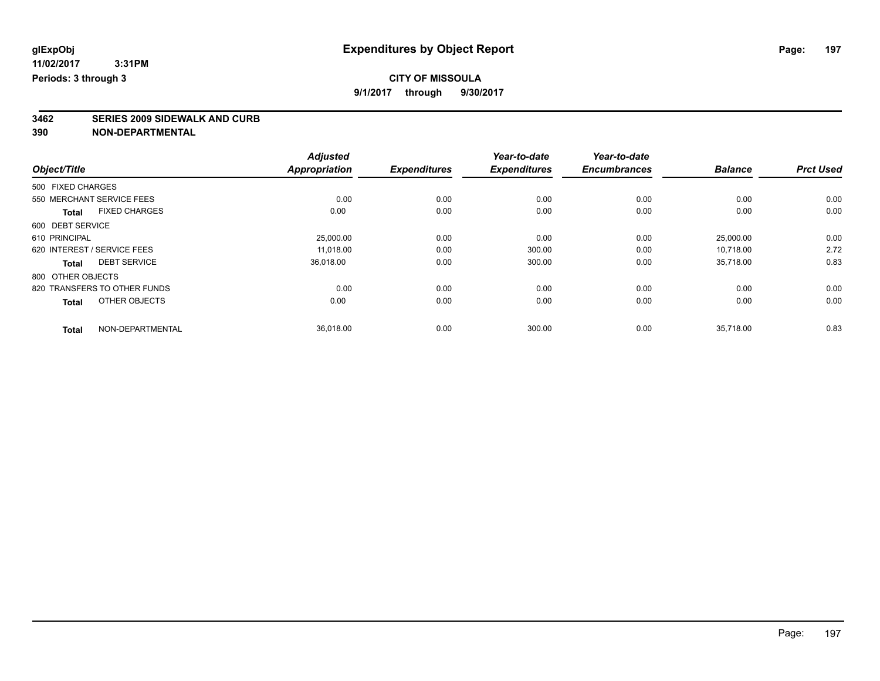# **3462 SERIES 2009 SIDEWALK AND CURB**

|                                     |                      | <b>Adjusted</b>      |                     | Year-to-date        | Year-to-date        |                |                  |
|-------------------------------------|----------------------|----------------------|---------------------|---------------------|---------------------|----------------|------------------|
| Object/Title                        |                      | <b>Appropriation</b> | <b>Expenditures</b> | <b>Expenditures</b> | <b>Encumbrances</b> | <b>Balance</b> | <b>Prct Used</b> |
| 500 FIXED CHARGES                   |                      |                      |                     |                     |                     |                |                  |
| 550 MERCHANT SERVICE FEES           |                      | 0.00                 | 0.00                | 0.00                | 0.00                | 0.00           | 0.00             |
| <b>Total</b>                        | <b>FIXED CHARGES</b> | 0.00                 | 0.00                | 0.00                | 0.00                | 0.00           | 0.00             |
| 600 DEBT SERVICE                    |                      |                      |                     |                     |                     |                |                  |
| 610 PRINCIPAL                       |                      | 25,000.00            | 0.00                | 0.00                | 0.00                | 25,000.00      | 0.00             |
| 620 INTEREST / SERVICE FEES         |                      | 11,018.00            | 0.00                | 300.00              | 0.00                | 10.718.00      | 2.72             |
| <b>DEBT SERVICE</b><br><b>Total</b> |                      | 36,018.00            | 0.00                | 300.00              | 0.00                | 35,718.00      | 0.83             |
| 800 OTHER OBJECTS                   |                      |                      |                     |                     |                     |                |                  |
| 820 TRANSFERS TO OTHER FUNDS        |                      | 0.00                 | 0.00                | 0.00                | 0.00                | 0.00           | 0.00             |
| <b>Total</b>                        | OTHER OBJECTS        | 0.00                 | 0.00                | 0.00                | 0.00                | 0.00           | 0.00             |
| <b>Total</b>                        | NON-DEPARTMENTAL     | 36,018.00            | 0.00                | 300.00              | 0.00                | 35,718.00      | 0.83             |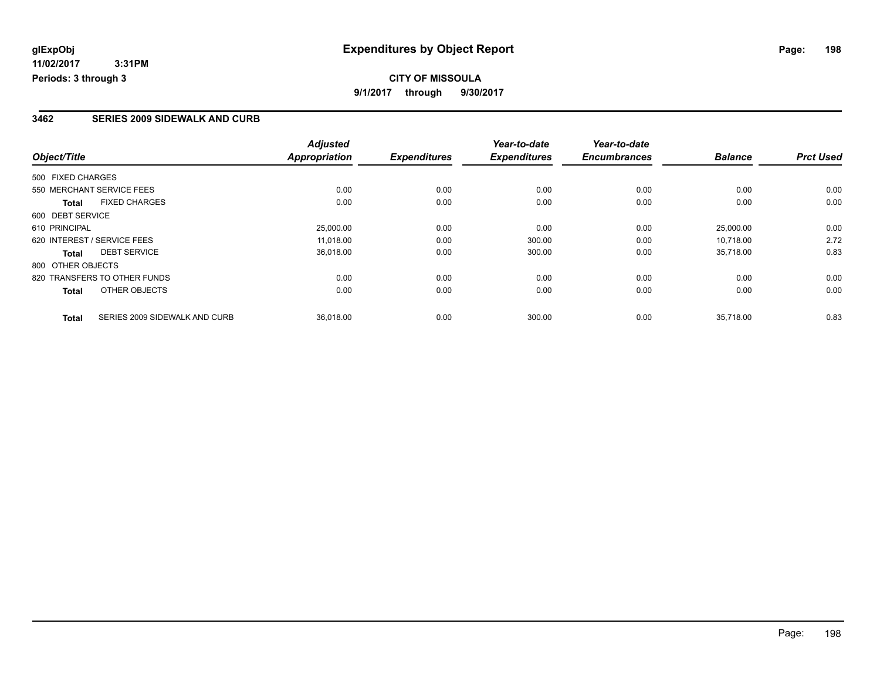## **CITY OF MISSOULA 9/1/2017 through 9/30/2017**

#### **3462 SERIES 2009 SIDEWALK AND CURB**

|                                               | <b>Adjusted</b>      |                     | Year-to-date        | Year-to-date        |                |                  |
|-----------------------------------------------|----------------------|---------------------|---------------------|---------------------|----------------|------------------|
| Object/Title                                  | <b>Appropriation</b> | <b>Expenditures</b> | <b>Expenditures</b> | <b>Encumbrances</b> | <b>Balance</b> | <b>Prct Used</b> |
| 500 FIXED CHARGES                             |                      |                     |                     |                     |                |                  |
| 550 MERCHANT SERVICE FEES                     | 0.00                 | 0.00                | 0.00                | 0.00                | 0.00           | 0.00             |
| <b>FIXED CHARGES</b><br><b>Total</b>          | 0.00                 | 0.00                | 0.00                | 0.00                | 0.00           | 0.00             |
| 600 DEBT SERVICE                              |                      |                     |                     |                     |                |                  |
| 610 PRINCIPAL                                 | 25,000.00            | 0.00                | 0.00                | 0.00                | 25,000.00      | 0.00             |
| 620 INTEREST / SERVICE FEES                   | 11.018.00            | 0.00                | 300.00              | 0.00                | 10.718.00      | 2.72             |
| <b>DEBT SERVICE</b><br><b>Total</b>           | 36,018.00            | 0.00                | 300.00              | 0.00                | 35,718.00      | 0.83             |
| 800 OTHER OBJECTS                             |                      |                     |                     |                     |                |                  |
| 820 TRANSFERS TO OTHER FUNDS                  | 0.00                 | 0.00                | 0.00                | 0.00                | 0.00           | 0.00             |
| OTHER OBJECTS<br>Total                        | 0.00                 | 0.00                | 0.00                | 0.00                | 0.00           | 0.00             |
| SERIES 2009 SIDEWALK AND CURB<br><b>Total</b> | 36,018.00            | 0.00                | 300.00              | 0.00                | 35.718.00      | 0.83             |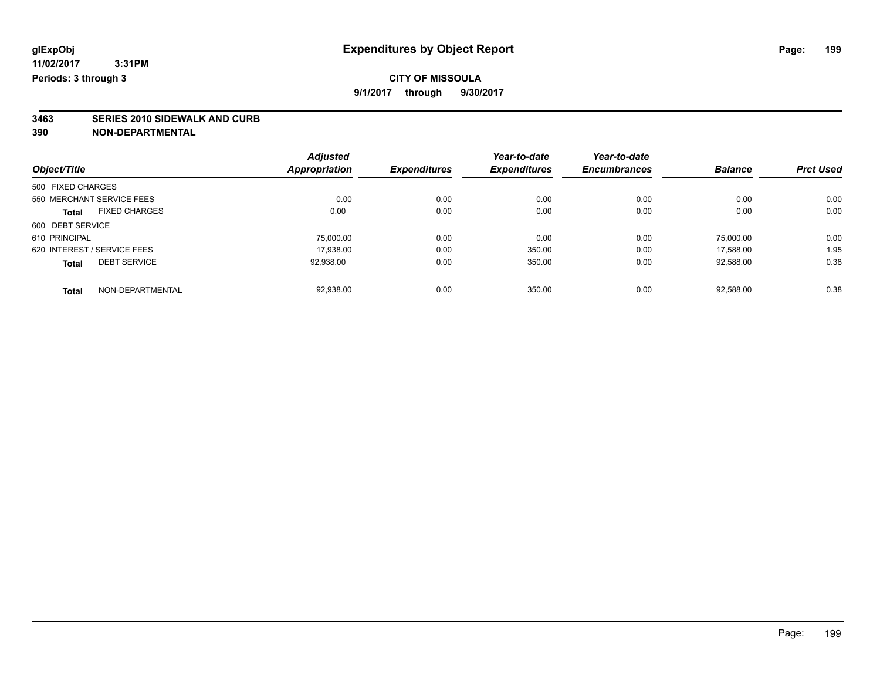**3463 SERIES 2010 SIDEWALK AND CURB 390 NON-DEPARTMENTAL**

|                                      | <b>Adjusted</b>      |                     | Year-to-date        | Year-to-date        |                |                  |
|--------------------------------------|----------------------|---------------------|---------------------|---------------------|----------------|------------------|
| Object/Title                         | <b>Appropriation</b> | <b>Expenditures</b> | <b>Expenditures</b> | <b>Encumbrances</b> | <b>Balance</b> | <b>Prct Used</b> |
| 500 FIXED CHARGES                    |                      |                     |                     |                     |                |                  |
| 550 MERCHANT SERVICE FEES            | 0.00                 | 0.00                | 0.00                | 0.00                | 0.00           | 0.00             |
| <b>FIXED CHARGES</b><br><b>Total</b> | 0.00                 | 0.00                | 0.00                | 0.00                | 0.00           | 0.00             |
| 600 DEBT SERVICE                     |                      |                     |                     |                     |                |                  |
| 610 PRINCIPAL                        | 75,000.00            | 0.00                | 0.00                | 0.00                | 75.000.00      | 0.00             |
| 620 INTEREST / SERVICE FEES          | 17,938.00            | 0.00                | 350.00              | 0.00                | 17.588.00      | 1.95             |
| <b>DEBT SERVICE</b><br><b>Total</b>  | 92,938.00            | 0.00                | 350.00              | 0.00                | 92,588.00      | 0.38             |
| NON-DEPARTMENTAL<br><b>Total</b>     | 92.938.00            | 0.00                | 350.00              | 0.00                | 92.588.00      | 0.38             |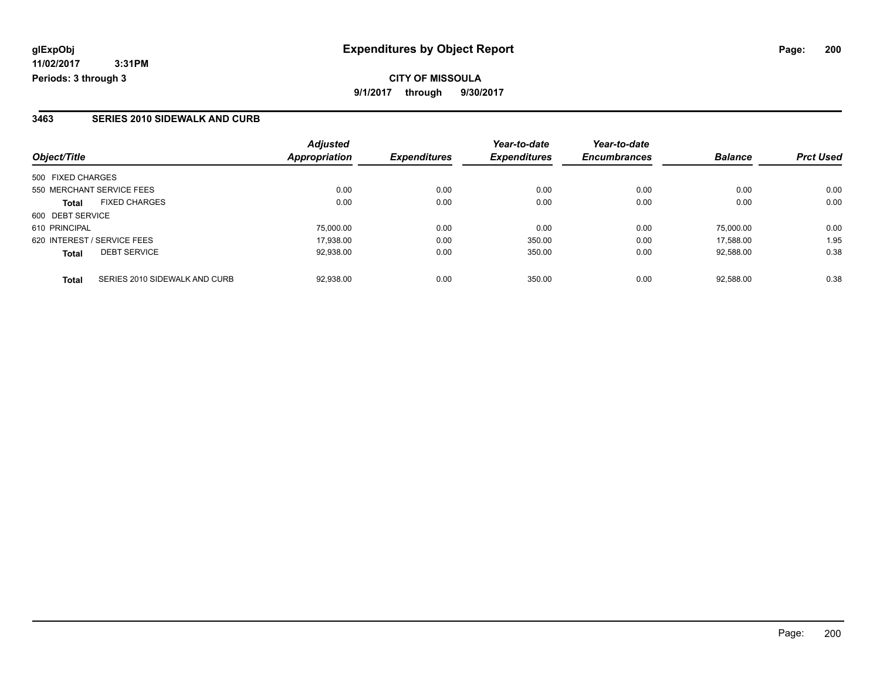#### **3463 SERIES 2010 SIDEWALK AND CURB**

| Object/Title                                  | <b>Adjusted</b><br><b>Appropriation</b> | <b>Expenditures</b> | Year-to-date<br><b>Expenditures</b> | Year-to-date<br><b>Encumbrances</b> | <b>Balance</b> | <b>Prct Used</b> |
|-----------------------------------------------|-----------------------------------------|---------------------|-------------------------------------|-------------------------------------|----------------|------------------|
| 500 FIXED CHARGES                             |                                         |                     |                                     |                                     |                |                  |
| 550 MERCHANT SERVICE FEES                     | 0.00                                    | 0.00                | 0.00                                | 0.00                                | 0.00           | 0.00             |
| <b>FIXED CHARGES</b><br><b>Total</b>          | 0.00                                    | 0.00                | 0.00                                | 0.00                                | 0.00           | 0.00             |
| 600 DEBT SERVICE                              |                                         |                     |                                     |                                     |                |                  |
| 610 PRINCIPAL                                 | 75,000.00                               | 0.00                | 0.00                                | 0.00                                | 75.000.00      | 0.00             |
| 620 INTEREST / SERVICE FEES                   | 17.938.00                               | 0.00                | 350.00                              | 0.00                                | 17.588.00      | 1.95             |
| <b>DEBT SERVICE</b><br><b>Total</b>           | 92.938.00                               | 0.00                | 350.00                              | 0.00                                | 92.588.00      | 0.38             |
|                                               |                                         |                     |                                     |                                     |                |                  |
| SERIES 2010 SIDEWALK AND CURB<br><b>Total</b> | 92.938.00                               | 0.00                | 350.00                              | 0.00                                | 92.588.00      | 0.38             |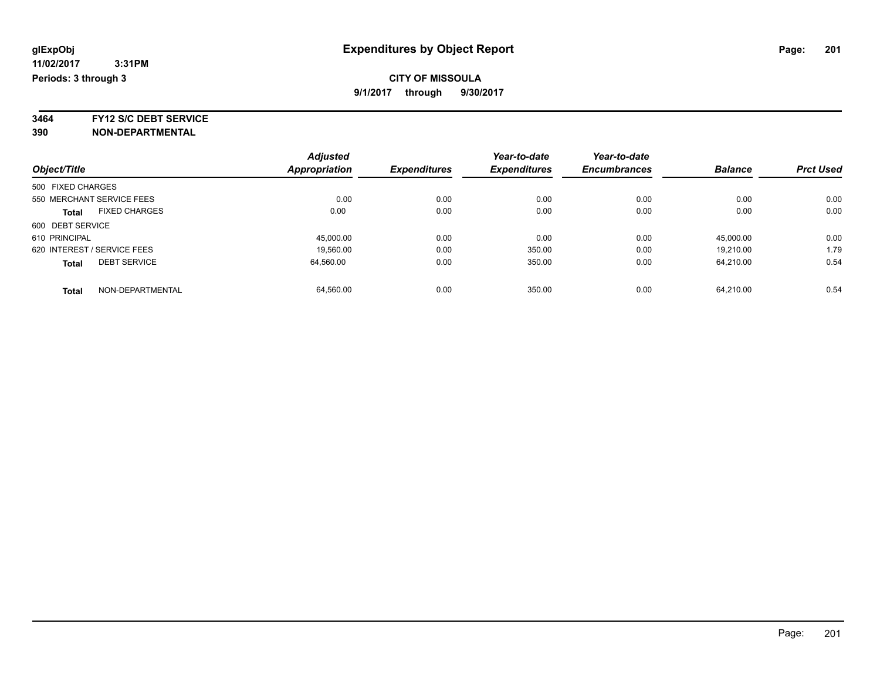**3464 FY12 S/C DEBT SERVICE**

|                             |                      | <b>Adjusted</b>      |                     | Year-to-date        | Year-to-date        |                |                  |
|-----------------------------|----------------------|----------------------|---------------------|---------------------|---------------------|----------------|------------------|
| Object/Title                |                      | <b>Appropriation</b> | <b>Expenditures</b> | <b>Expenditures</b> | <b>Encumbrances</b> | <b>Balance</b> | <b>Prct Used</b> |
| 500 FIXED CHARGES           |                      |                      |                     |                     |                     |                |                  |
| 550 MERCHANT SERVICE FEES   |                      | 0.00                 | 0.00                | 0.00                | 0.00                | 0.00           | 0.00             |
| <b>Total</b>                | <b>FIXED CHARGES</b> | 0.00                 | 0.00                | 0.00                | 0.00                | 0.00           | 0.00             |
| 600 DEBT SERVICE            |                      |                      |                     |                     |                     |                |                  |
| 610 PRINCIPAL               |                      | 45.000.00            | 0.00                | 0.00                | 0.00                | 45.000.00      | 0.00             |
| 620 INTEREST / SERVICE FEES |                      | 19.560.00            | 0.00                | 350.00              | 0.00                | 19.210.00      | 1.79             |
| <b>Total</b>                | <b>DEBT SERVICE</b>  | 64.560.00            | 0.00                | 350.00              | 0.00                | 64.210.00      | 0.54             |
| <b>Total</b>                | NON-DEPARTMENTAL     | 64.560.00            | 0.00                | 350.00              | 0.00                | 64.210.00      | 0.54             |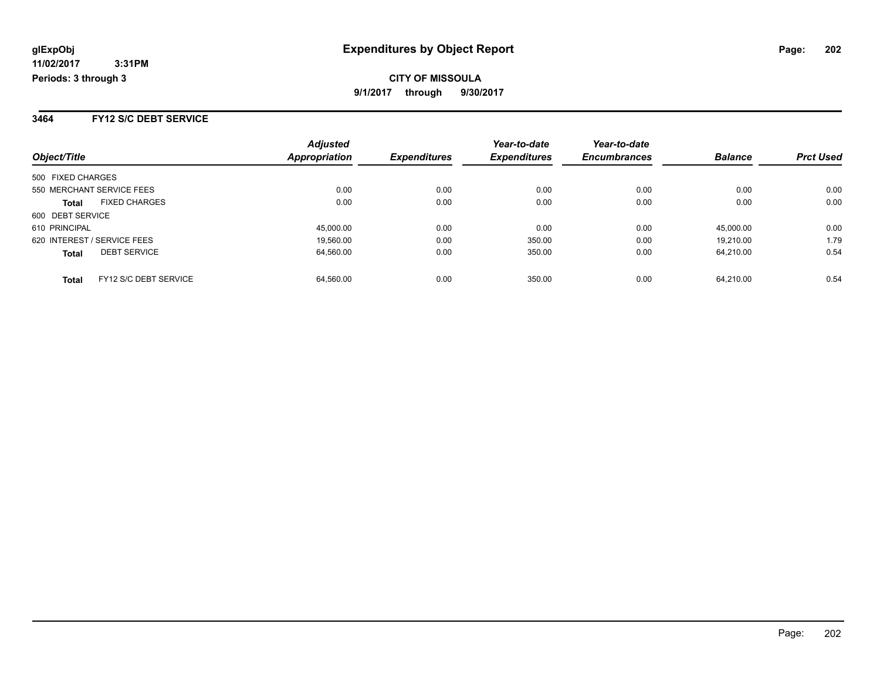#### **3464 FY12 S/C DEBT SERVICE**

| Object/Title                |                       | <b>Adjusted</b><br><b>Appropriation</b> | <b>Expenditures</b> | Year-to-date<br><b>Expenditures</b> | Year-to-date<br><b>Encumbrances</b> | <b>Balance</b> | <b>Prct Used</b> |
|-----------------------------|-----------------------|-----------------------------------------|---------------------|-------------------------------------|-------------------------------------|----------------|------------------|
|                             |                       |                                         |                     |                                     |                                     |                |                  |
| 500 FIXED CHARGES           |                       |                                         |                     |                                     |                                     |                |                  |
| 550 MERCHANT SERVICE FEES   |                       | 0.00                                    | 0.00                | 0.00                                | 0.00                                | 0.00           | 0.00             |
| <b>Total</b>                | <b>FIXED CHARGES</b>  | 0.00                                    | 0.00                | 0.00                                | 0.00                                | 0.00           | 0.00             |
| 600 DEBT SERVICE            |                       |                                         |                     |                                     |                                     |                |                  |
| 610 PRINCIPAL               |                       | 45,000.00                               | 0.00                | 0.00                                | 0.00                                | 45,000.00      | 0.00             |
| 620 INTEREST / SERVICE FEES |                       | 19.560.00                               | 0.00                | 350.00                              | 0.00                                | 19.210.00      | 1.79             |
| <b>Total</b>                | <b>DEBT SERVICE</b>   | 64.560.00                               | 0.00                | 350.00                              | 0.00                                | 64.210.00      | 0.54             |
| <b>Total</b>                | FY12 S/C DEBT SERVICE | 64.560.00                               | 0.00                | 350.00                              | 0.00                                | 64.210.00      | 0.54             |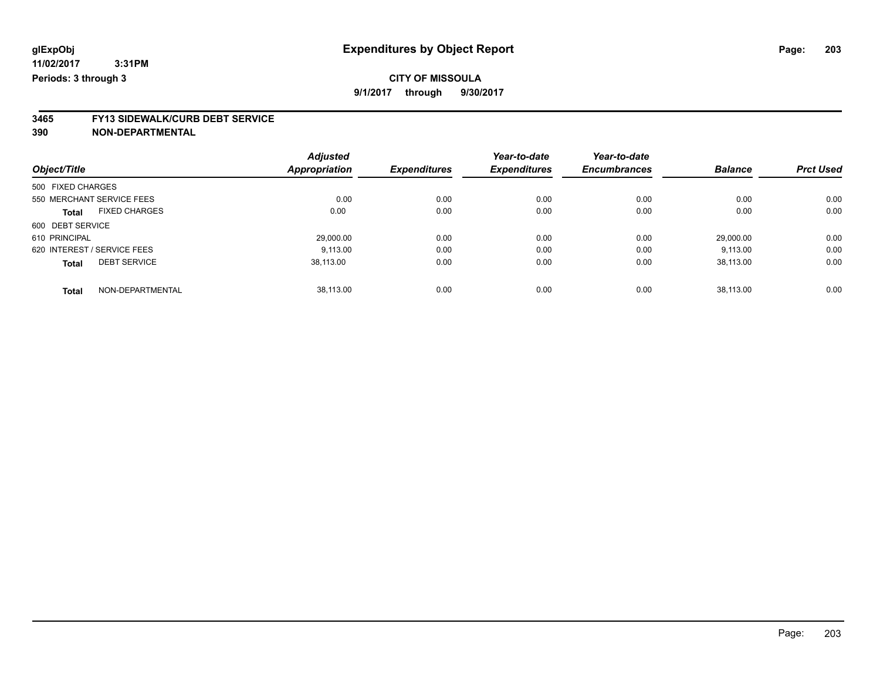# **CITY OF MISSOULA**

**9/1/2017 through 9/30/2017**

# **3465 FY13 SIDEWALK/CURB DEBT SERVICE**

|                                      | <b>Adjusted</b> |                     | Year-to-date        | Year-to-date        |                |                  |
|--------------------------------------|-----------------|---------------------|---------------------|---------------------|----------------|------------------|
| Object/Title                         | Appropriation   | <b>Expenditures</b> | <b>Expenditures</b> | <b>Encumbrances</b> | <b>Balance</b> | <b>Prct Used</b> |
| 500 FIXED CHARGES                    |                 |                     |                     |                     |                |                  |
| 550 MERCHANT SERVICE FEES            | 0.00            | 0.00                | 0.00                | 0.00                | 0.00           | 0.00             |
| <b>FIXED CHARGES</b><br><b>Total</b> | 0.00            | 0.00                | 0.00                | 0.00                | 0.00           | 0.00             |
| 600 DEBT SERVICE                     |                 |                     |                     |                     |                |                  |
| 610 PRINCIPAL                        | 29.000.00       | 0.00                | 0.00                | 0.00                | 29.000.00      | 0.00             |
| 620 INTEREST / SERVICE FEES          | 9.113.00        | 0.00                | 0.00                | 0.00                | 9,113.00       | 0.00             |
| <b>DEBT SERVICE</b><br><b>Total</b>  | 38.113.00       | 0.00                | 0.00                | 0.00                | 38.113.00      | 0.00             |
| NON-DEPARTMENTAL<br><b>Total</b>     | 38.113.00       | 0.00                | 0.00                | 0.00                | 38.113.00      | 0.00             |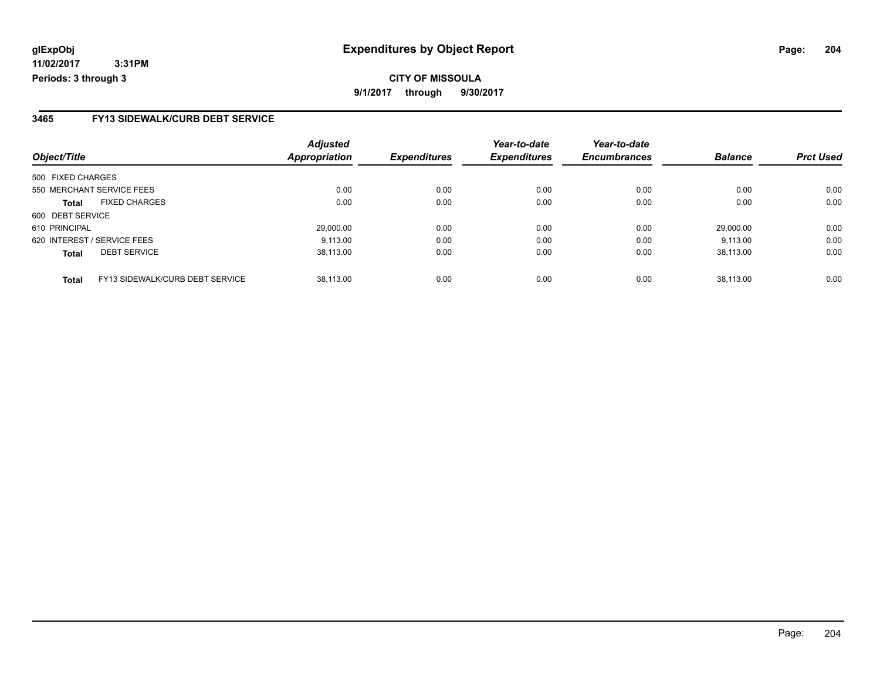#### **3465 FY13 SIDEWALK/CURB DEBT SERVICE**

|                                                        | <b>Adjusted</b>      |                     | Year-to-date        | Year-to-date        |                |                  |
|--------------------------------------------------------|----------------------|---------------------|---------------------|---------------------|----------------|------------------|
| Object/Title                                           | <b>Appropriation</b> | <b>Expenditures</b> | <b>Expenditures</b> | <b>Encumbrances</b> | <b>Balance</b> | <b>Prct Used</b> |
| 500 FIXED CHARGES                                      |                      |                     |                     |                     |                |                  |
| 550 MERCHANT SERVICE FEES                              | 0.00                 | 0.00                | 0.00                | 0.00                | 0.00           | 0.00             |
| <b>FIXED CHARGES</b><br><b>Total</b>                   | 0.00                 | 0.00                | 0.00                | 0.00                | 0.00           | 0.00             |
| 600 DEBT SERVICE                                       |                      |                     |                     |                     |                |                  |
| 610 PRINCIPAL                                          | 29,000.00            | 0.00                | 0.00                | 0.00                | 29,000.00      | 0.00             |
| 620 INTEREST / SERVICE FEES                            | 9.113.00             | 0.00                | 0.00                | 0.00                | 9.113.00       | 0.00             |
| <b>DEBT SERVICE</b><br><b>Total</b>                    | 38.113.00            | 0.00                | 0.00                | 0.00                | 38.113.00      | 0.00             |
| <b>FY13 SIDEWALK/CURB DEBT SERVICE</b><br><b>Total</b> | 38.113.00            | 0.00                | 0.00                | 0.00                | 38.113.00      | 0.00             |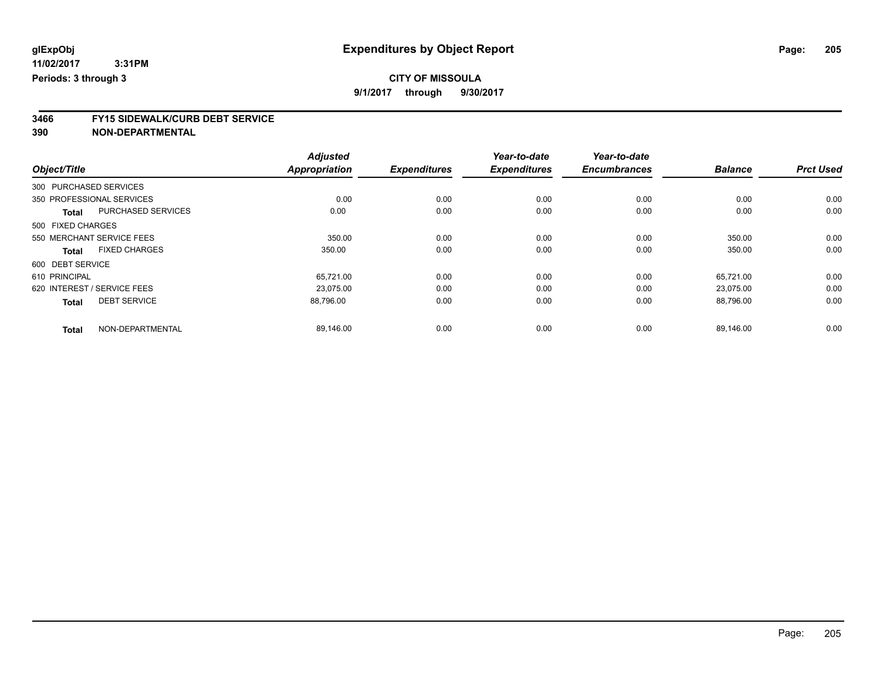# **CITY OF MISSOULA**

**9/1/2017 through 9/30/2017**

# **3466 FY15 SIDEWALK/CURB DEBT SERVICE**

|                             |                           | <b>Adjusted</b>      |                     | Year-to-date        | Year-to-date        |                |                  |
|-----------------------------|---------------------------|----------------------|---------------------|---------------------|---------------------|----------------|------------------|
| Object/Title                |                           | <b>Appropriation</b> | <b>Expenditures</b> | <b>Expenditures</b> | <b>Encumbrances</b> | <b>Balance</b> | <b>Prct Used</b> |
| 300 PURCHASED SERVICES      |                           |                      |                     |                     |                     |                |                  |
| 350 PROFESSIONAL SERVICES   |                           | 0.00                 | 0.00                | 0.00                | 0.00                | 0.00           | 0.00             |
| <b>Total</b>                | <b>PURCHASED SERVICES</b> | 0.00                 | 0.00                | 0.00                | 0.00                | 0.00           | 0.00             |
| 500 FIXED CHARGES           |                           |                      |                     |                     |                     |                |                  |
| 550 MERCHANT SERVICE FEES   |                           | 350.00               | 0.00                | 0.00                | 0.00                | 350.00         | 0.00             |
| <b>Total</b>                | <b>FIXED CHARGES</b>      | 350.00               | 0.00                | 0.00                | 0.00                | 350.00         | 0.00             |
| 600 DEBT SERVICE            |                           |                      |                     |                     |                     |                |                  |
| 610 PRINCIPAL               |                           | 65,721.00            | 0.00                | 0.00                | 0.00                | 65.721.00      | 0.00             |
| 620 INTEREST / SERVICE FEES |                           | 23.075.00            | 0.00                | 0.00                | 0.00                | 23,075.00      | 0.00             |
| <b>Total</b>                | <b>DEBT SERVICE</b>       | 88.796.00            | 0.00                | 0.00                | 0.00                | 88,796.00      | 0.00             |
|                             |                           |                      |                     |                     |                     |                |                  |
| <b>Total</b>                | NON-DEPARTMENTAL          | 89,146.00            | 0.00                | 0.00                | 0.00                | 89.146.00      | 0.00             |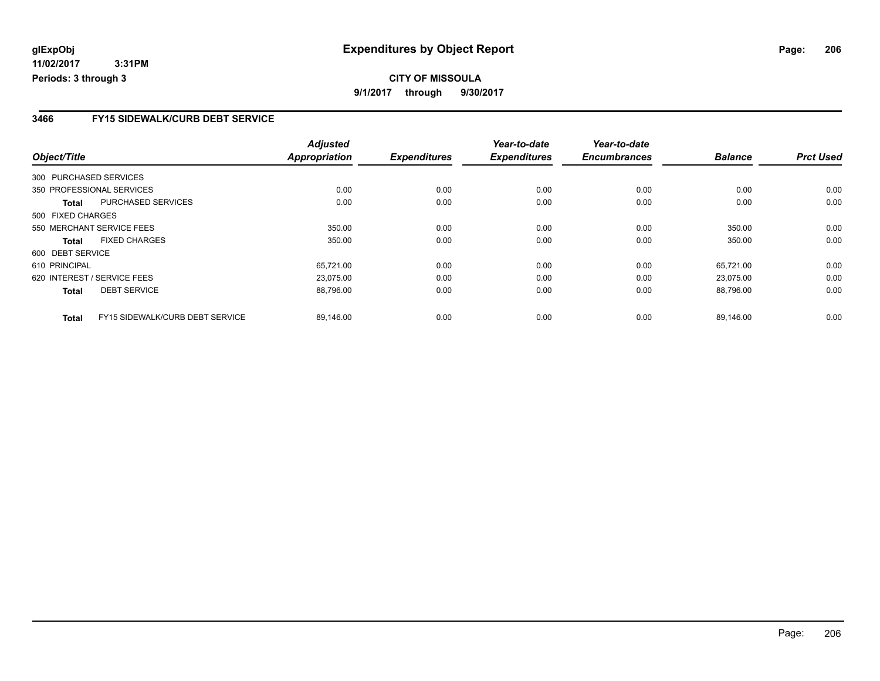#### **3466 FY15 SIDEWALK/CURB DEBT SERVICE**

|                        |                                 | <b>Adjusted</b>      |                     | Year-to-date        | Year-to-date        |                |                  |
|------------------------|---------------------------------|----------------------|---------------------|---------------------|---------------------|----------------|------------------|
| Object/Title           |                                 | <b>Appropriation</b> | <b>Expenditures</b> | <b>Expenditures</b> | <b>Encumbrances</b> | <b>Balance</b> | <b>Prct Used</b> |
| 300 PURCHASED SERVICES |                                 |                      |                     |                     |                     |                |                  |
|                        | 350 PROFESSIONAL SERVICES       | 0.00                 | 0.00                | 0.00                | 0.00                | 0.00           | 0.00             |
| Total                  | PURCHASED SERVICES              | 0.00                 | 0.00                | 0.00                | 0.00                | 0.00           | 0.00             |
| 500 FIXED CHARGES      |                                 |                      |                     |                     |                     |                |                  |
|                        | 550 MERCHANT SERVICE FEES       | 350.00               | 0.00                | 0.00                | 0.00                | 350.00         | 0.00             |
| Total                  | <b>FIXED CHARGES</b>            | 350.00               | 0.00                | 0.00                | 0.00                | 350.00         | 0.00             |
| 600 DEBT SERVICE       |                                 |                      |                     |                     |                     |                |                  |
| 610 PRINCIPAL          |                                 | 65,721.00            | 0.00                | 0.00                | 0.00                | 65.721.00      | 0.00             |
|                        | 620 INTEREST / SERVICE FEES     | 23.075.00            | 0.00                | 0.00                | 0.00                | 23,075.00      | 0.00             |
| <b>Total</b>           | <b>DEBT SERVICE</b>             | 88,796.00            | 0.00                | 0.00                | 0.00                | 88,796.00      | 0.00             |
| <b>Total</b>           | FY15 SIDEWALK/CURB DEBT SERVICE | 89.146.00            | 0.00                | 0.00                | 0.00                | 89.146.00      | 0.00             |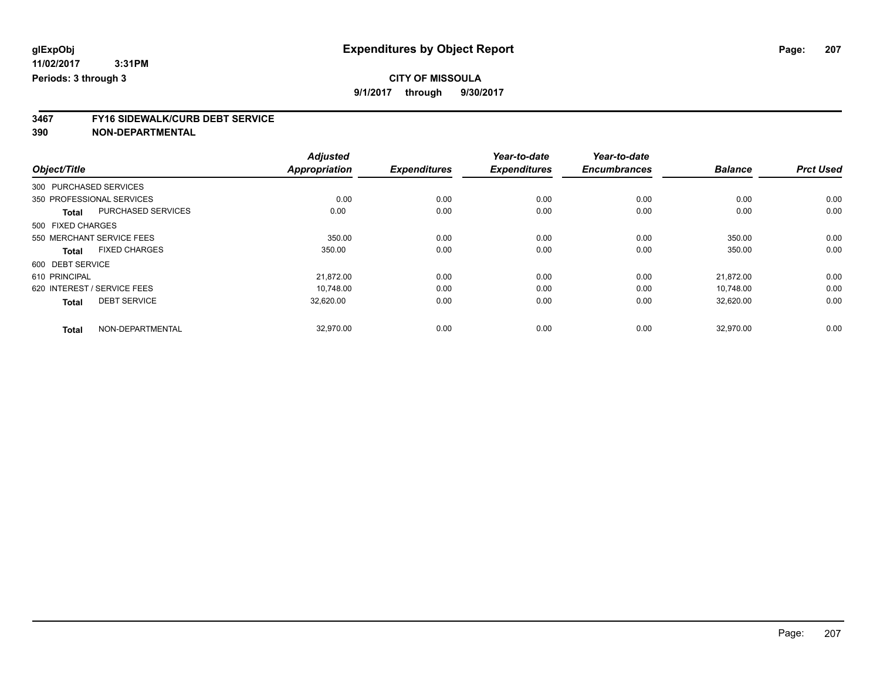## **CITY OF MISSOULA**

**9/1/2017 through 9/30/2017**

# **3467 FY16 SIDEWALK/CURB DEBT SERVICE**

|                             |                           | <b>Adjusted</b>      |                     | Year-to-date        | Year-to-date        |                |                  |
|-----------------------------|---------------------------|----------------------|---------------------|---------------------|---------------------|----------------|------------------|
| Object/Title                |                           | <b>Appropriation</b> | <b>Expenditures</b> | <b>Expenditures</b> | <b>Encumbrances</b> | <b>Balance</b> | <b>Prct Used</b> |
| 300 PURCHASED SERVICES      |                           |                      |                     |                     |                     |                |                  |
| 350 PROFESSIONAL SERVICES   |                           | 0.00                 | 0.00                | 0.00                | 0.00                | 0.00           | 0.00             |
| <b>Total</b>                | <b>PURCHASED SERVICES</b> | 0.00                 | 0.00                | 0.00                | 0.00                | 0.00           | 0.00             |
| 500 FIXED CHARGES           |                           |                      |                     |                     |                     |                |                  |
| 550 MERCHANT SERVICE FEES   |                           | 350.00               | 0.00                | 0.00                | 0.00                | 350.00         | 0.00             |
| <b>Total</b>                | <b>FIXED CHARGES</b>      | 350.00               | 0.00                | 0.00                | 0.00                | 350.00         | 0.00             |
| 600 DEBT SERVICE            |                           |                      |                     |                     |                     |                |                  |
| 610 PRINCIPAL               |                           | 21,872.00            | 0.00                | 0.00                | 0.00                | 21.872.00      | 0.00             |
| 620 INTEREST / SERVICE FEES |                           | 10.748.00            | 0.00                | 0.00                | 0.00                | 10,748.00      | 0.00             |
| <b>Total</b>                | <b>DEBT SERVICE</b>       | 32,620.00            | 0.00                | 0.00                | 0.00                | 32.620.00      | 0.00             |
|                             |                           |                      |                     |                     |                     |                |                  |
| <b>Total</b>                | NON-DEPARTMENTAL          | 32,970.00            | 0.00                | 0.00                | 0.00                | 32,970.00      | 0.00             |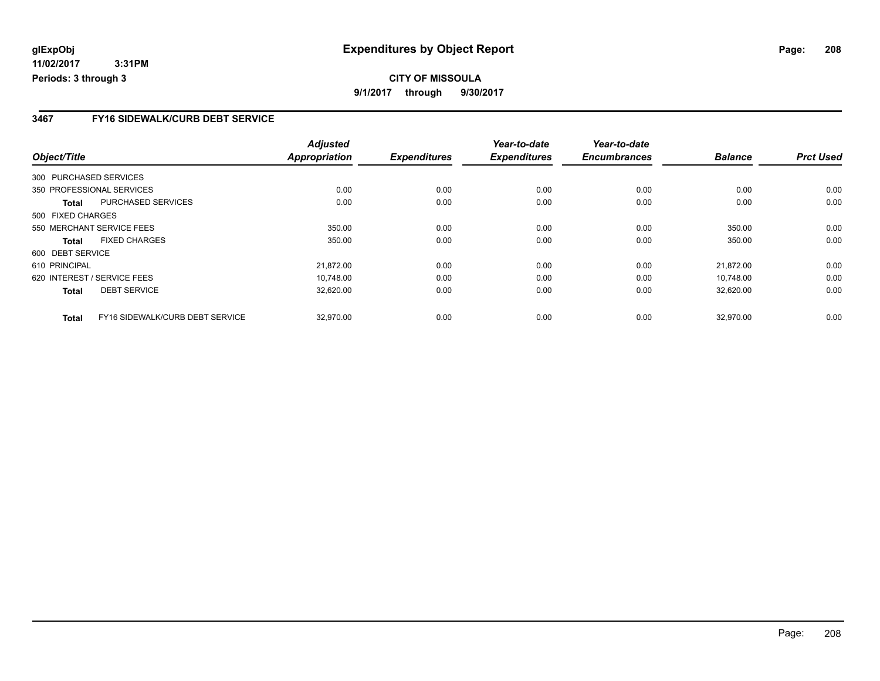#### **3467 FY16 SIDEWALK/CURB DEBT SERVICE**

|                        |                                 | <b>Adjusted</b>      |                     | Year-to-date        | Year-to-date        |                |                  |
|------------------------|---------------------------------|----------------------|---------------------|---------------------|---------------------|----------------|------------------|
| Object/Title           |                                 | <b>Appropriation</b> | <b>Expenditures</b> | <b>Expenditures</b> | <b>Encumbrances</b> | <b>Balance</b> | <b>Prct Used</b> |
| 300 PURCHASED SERVICES |                                 |                      |                     |                     |                     |                |                  |
|                        | 350 PROFESSIONAL SERVICES       | 0.00                 | 0.00                | 0.00                | 0.00                | 0.00           | 0.00             |
| Total                  | PURCHASED SERVICES              | 0.00                 | 0.00                | 0.00                | 0.00                | 0.00           | 0.00             |
| 500 FIXED CHARGES      |                                 |                      |                     |                     |                     |                |                  |
|                        | 550 MERCHANT SERVICE FEES       | 350.00               | 0.00                | 0.00                | 0.00                | 350.00         | 0.00             |
| Total                  | <b>FIXED CHARGES</b>            | 350.00               | 0.00                | 0.00                | 0.00                | 350.00         | 0.00             |
| 600 DEBT SERVICE       |                                 |                      |                     |                     |                     |                |                  |
| 610 PRINCIPAL          |                                 | 21,872.00            | 0.00                | 0.00                | 0.00                | 21.872.00      | 0.00             |
|                        | 620 INTEREST / SERVICE FEES     | 10.748.00            | 0.00                | 0.00                | 0.00                | 10.748.00      | 0.00             |
| <b>Total</b>           | <b>DEBT SERVICE</b>             | 32,620.00            | 0.00                | 0.00                | 0.00                | 32,620.00      | 0.00             |
| <b>Total</b>           | FY16 SIDEWALK/CURB DEBT SERVICE | 32.970.00            | 0.00                | 0.00                | 0.00                | 32.970.00      | 0.00             |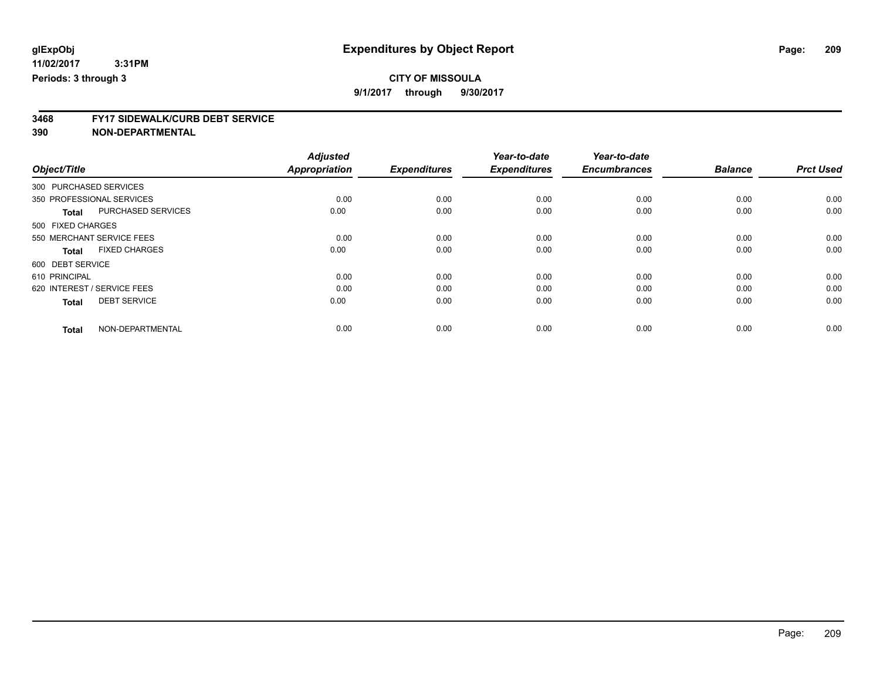## **CITY OF MISSOULA**

**9/1/2017 through 9/30/2017**

# **3468 FY17 SIDEWALK/CURB DEBT SERVICE**

|                                      | <b>Adjusted</b>      |                     | Year-to-date        | Year-to-date        |                |                  |
|--------------------------------------|----------------------|---------------------|---------------------|---------------------|----------------|------------------|
| Object/Title                         | <b>Appropriation</b> | <b>Expenditures</b> | <b>Expenditures</b> | <b>Encumbrances</b> | <b>Balance</b> | <b>Prct Used</b> |
| 300 PURCHASED SERVICES               |                      |                     |                     |                     |                |                  |
| 350 PROFESSIONAL SERVICES            | 0.00                 | 0.00                | 0.00                | 0.00                | 0.00           | 0.00             |
| PURCHASED SERVICES<br><b>Total</b>   | 0.00                 | 0.00                | 0.00                | 0.00                | 0.00           | 0.00             |
| 500 FIXED CHARGES                    |                      |                     |                     |                     |                |                  |
| 550 MERCHANT SERVICE FEES            | 0.00                 | 0.00                | 0.00                | 0.00                | 0.00           | 0.00             |
| <b>FIXED CHARGES</b><br><b>Total</b> | 0.00                 | 0.00                | 0.00                | 0.00                | 0.00           | 0.00             |
| 600 DEBT SERVICE                     |                      |                     |                     |                     |                |                  |
| 610 PRINCIPAL                        | 0.00                 | 0.00                | 0.00                | 0.00                | 0.00           | 0.00             |
| 620 INTEREST / SERVICE FEES          | 0.00                 | 0.00                | 0.00                | 0.00                | 0.00           | 0.00             |
| <b>DEBT SERVICE</b><br><b>Total</b>  | 0.00                 | 0.00                | 0.00                | 0.00                | 0.00           | 0.00             |
|                                      |                      |                     |                     |                     |                |                  |
| NON-DEPARTMENTAL<br><b>Total</b>     | 0.00                 | 0.00                | 0.00                | 0.00                | 0.00           | 0.00             |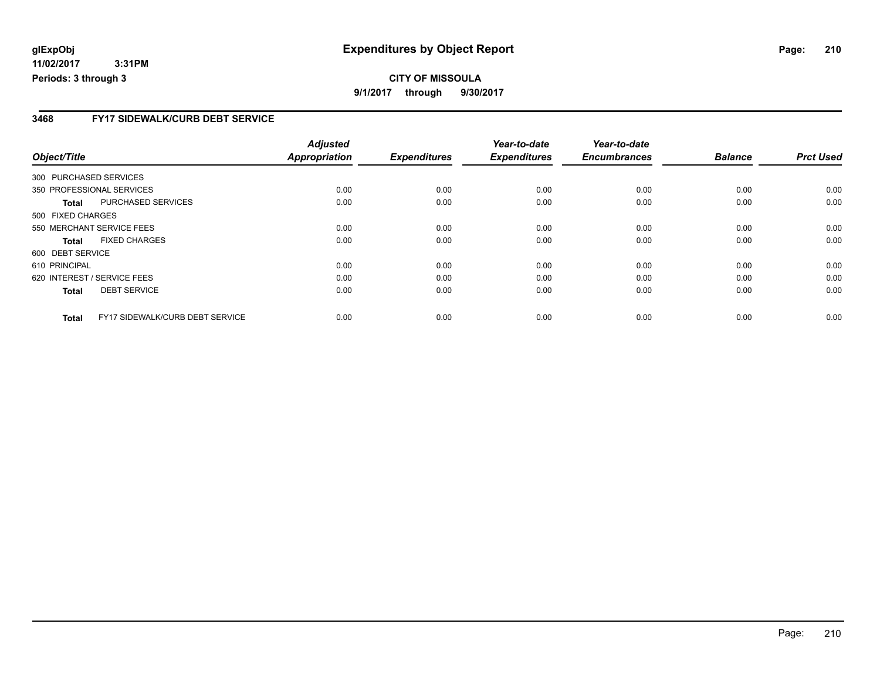#### **3468 FY17 SIDEWALK/CURB DEBT SERVICE**

|                        |                                 | <b>Adjusted</b>      |                     | Year-to-date        | Year-to-date        |                |                  |
|------------------------|---------------------------------|----------------------|---------------------|---------------------|---------------------|----------------|------------------|
| Object/Title           |                                 | <b>Appropriation</b> | <b>Expenditures</b> | <b>Expenditures</b> | <b>Encumbrances</b> | <b>Balance</b> | <b>Prct Used</b> |
| 300 PURCHASED SERVICES |                                 |                      |                     |                     |                     |                |                  |
|                        | 350 PROFESSIONAL SERVICES       | 0.00                 | 0.00                | 0.00                | 0.00                | 0.00           | 0.00             |
| Total                  | PURCHASED SERVICES              | 0.00                 | 0.00                | 0.00                | 0.00                | 0.00           | 0.00             |
| 500 FIXED CHARGES      |                                 |                      |                     |                     |                     |                |                  |
|                        | 550 MERCHANT SERVICE FEES       | 0.00                 | 0.00                | 0.00                | 0.00                | 0.00           | 0.00             |
| <b>Total</b>           | <b>FIXED CHARGES</b>            | 0.00                 | 0.00                | 0.00                | 0.00                | 0.00           | 0.00             |
| 600 DEBT SERVICE       |                                 |                      |                     |                     |                     |                |                  |
| 610 PRINCIPAL          |                                 | 0.00                 | 0.00                | 0.00                | 0.00                | 0.00           | 0.00             |
|                        | 620 INTEREST / SERVICE FEES     | 0.00                 | 0.00                | 0.00                | 0.00                | 0.00           | 0.00             |
| <b>Total</b>           | <b>DEBT SERVICE</b>             | 0.00                 | 0.00                | 0.00                | 0.00                | 0.00           | 0.00             |
| <b>Total</b>           | FY17 SIDEWALK/CURB DEBT SERVICE | 0.00                 | 0.00                | 0.00                | 0.00                | 0.00           | 0.00             |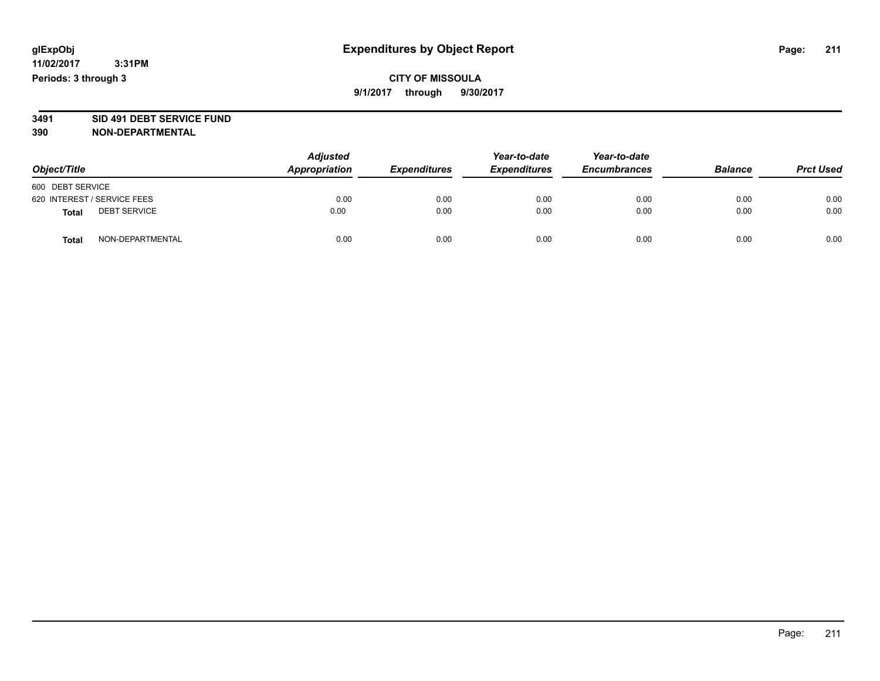## **CITY OF MISSOULA 9/1/2017 through 9/30/2017**

# **3491 SID 491 DEBT SERVICE FUND**

| Object/Title                        | <b>Adjusted</b><br><b>Appropriation</b> | <b>Expenditures</b> | Year-to-date<br><b>Expenditures</b> | Year-to-date<br><b>Encumbrances</b> | <b>Balance</b> | <b>Prct Used</b> |
|-------------------------------------|-----------------------------------------|---------------------|-------------------------------------|-------------------------------------|----------------|------------------|
| 600 DEBT SERVICE                    |                                         |                     |                                     |                                     |                |                  |
| 620 INTEREST / SERVICE FEES         | 0.00                                    | 0.00                | 0.00                                | 0.00                                | 0.00           | 0.00             |
| <b>DEBT SERVICE</b><br><b>Total</b> | 0.00                                    | 0.00                | 0.00                                | 0.00                                | 0.00           | 0.00             |
| NON-DEPARTMENTAL<br><b>Total</b>    | 0.00                                    | 0.00                | 0.00                                | 0.00                                | 0.00           | 0.00             |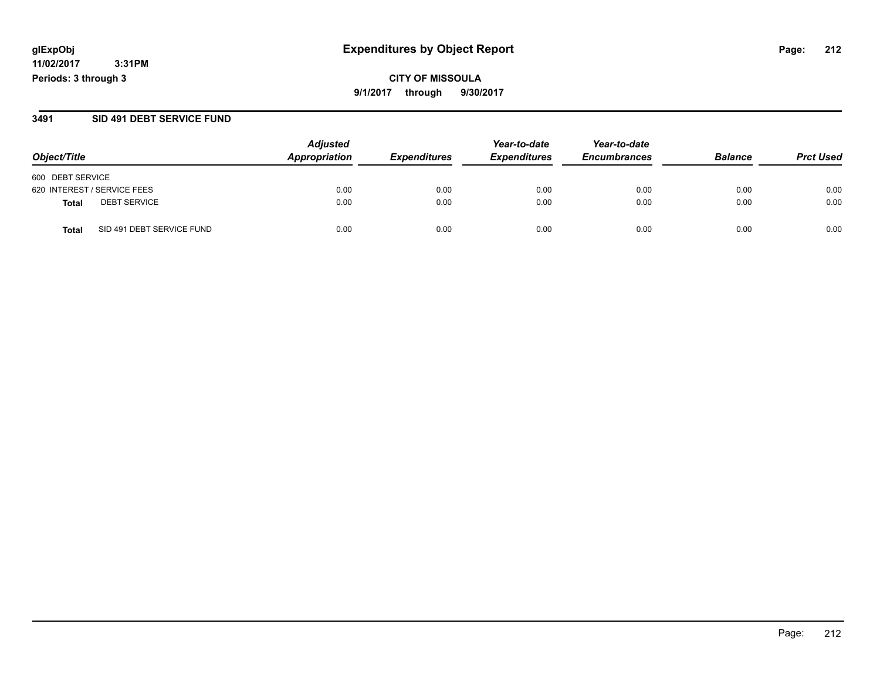**CITY OF MISSOULA 9/1/2017 through 9/30/2017**

#### **3491 SID 491 DEBT SERVICE FUND**

| Object/Title                       | <b>Adjusted</b><br>Appropriation | <b>Expenditures</b> | Year-to-date<br><b>Expenditures</b> | Year-to-date<br><b>Encumbrances</b> | <b>Balance</b> | <b>Prct Used</b> |
|------------------------------------|----------------------------------|---------------------|-------------------------------------|-------------------------------------|----------------|------------------|
|                                    |                                  |                     |                                     |                                     |                |                  |
| 600 DEBT SERVICE                   |                                  |                     |                                     |                                     |                |                  |
| 620 INTEREST / SERVICE FEES        | 0.00                             | 0.00                | 0.00                                | 0.00                                | 0.00           | 0.00             |
| <b>DEBT SERVICE</b><br>Total       | 0.00                             | 0.00                | 0.00                                | 0.00                                | 0.00           | 0.00             |
| SID 491 DEBT SERVICE FUND<br>Total | 0.00                             | 0.00                | 0.00                                | 0.00                                | 0.00           | 0.00             |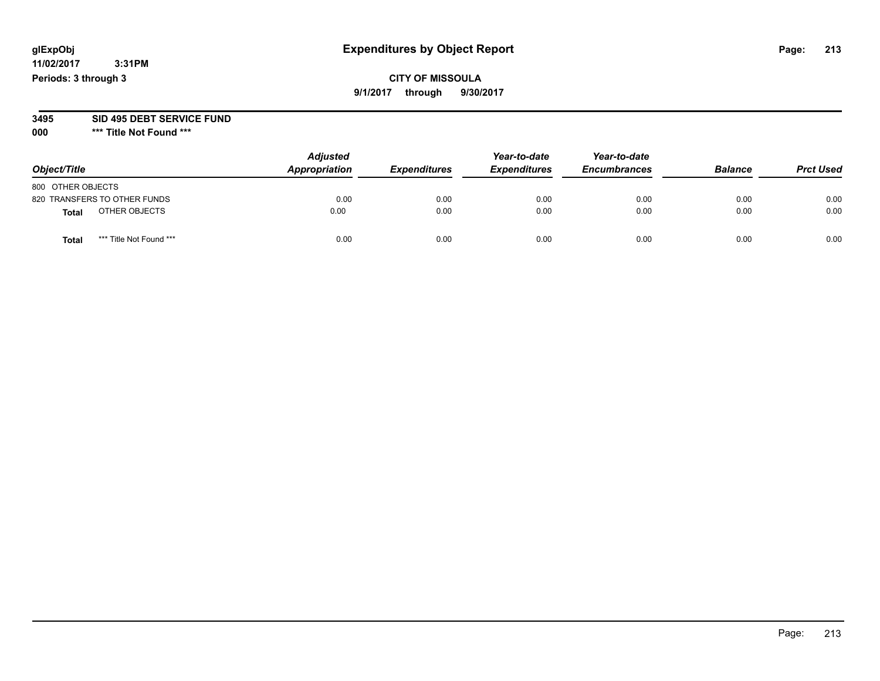## **CITY OF MISSOULA 9/1/2017 through 9/30/2017**

# **3495 SID 495 DEBT SERVICE FUND**

**000 \*\*\* Title Not Found \*\*\***

| Object/Title                            | <b>Adjusted</b><br>Appropriation | <b>Expenditures</b> | Year-to-date<br><b>Expenditures</b> | Year-to-date<br><b>Encumbrances</b> | <b>Balance</b> | <b>Prct Used</b> |
|-----------------------------------------|----------------------------------|---------------------|-------------------------------------|-------------------------------------|----------------|------------------|
| 800 OTHER OBJECTS                       |                                  |                     |                                     |                                     |                |                  |
| 820 TRANSFERS TO OTHER FUNDS            | 0.00                             | 0.00                | 0.00                                | 0.00                                | 0.00           | 0.00             |
| OTHER OBJECTS<br>Total                  | 0.00                             | 0.00                | 0.00                                | 0.00                                | 0.00           | 0.00             |
| *** Title Not Found ***<br><b>Total</b> | 0.00                             | 0.00                | 0.00                                | 0.00                                | 0.00           | 0.00             |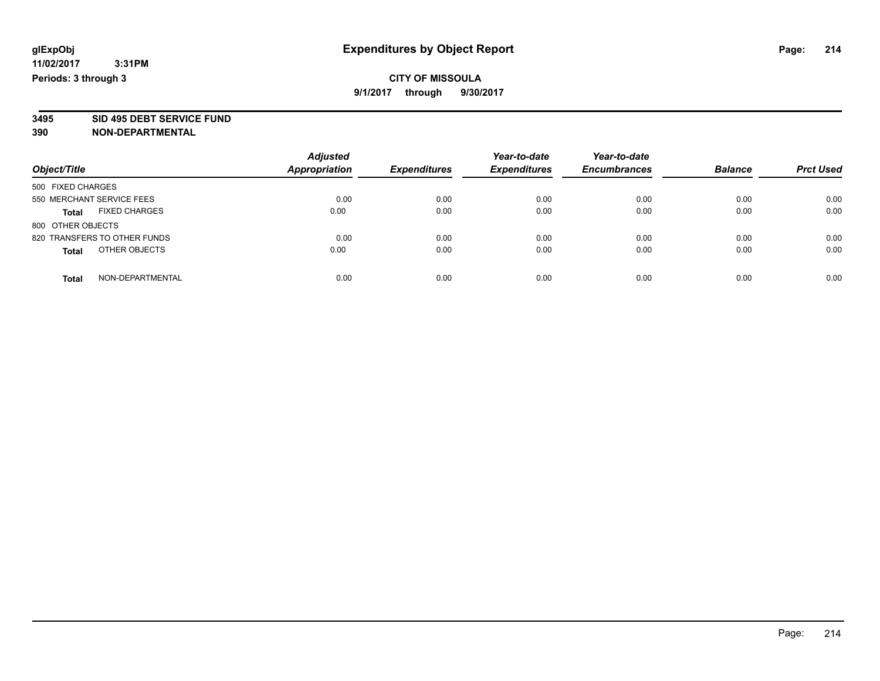**3495 SID 495 DEBT SERVICE FUND**

| Object/Title                         | <b>Adjusted</b><br><b>Appropriation</b> | <b>Expenditures</b> | Year-to-date<br><b>Expenditures</b> | Year-to-date<br><b>Encumbrances</b> | <b>Balance</b> | <b>Prct Used</b> |
|--------------------------------------|-----------------------------------------|---------------------|-------------------------------------|-------------------------------------|----------------|------------------|
| 500 FIXED CHARGES                    |                                         |                     |                                     |                                     |                |                  |
| 550 MERCHANT SERVICE FEES            | 0.00                                    | 0.00                | 0.00                                | 0.00                                | 0.00           | 0.00             |
| <b>FIXED CHARGES</b><br><b>Total</b> | 0.00                                    | 0.00                | 0.00                                | 0.00                                | 0.00           | 0.00             |
| 800 OTHER OBJECTS                    |                                         |                     |                                     |                                     |                |                  |
| 820 TRANSFERS TO OTHER FUNDS         | 0.00                                    | 0.00                | 0.00                                | 0.00                                | 0.00           | 0.00             |
| OTHER OBJECTS<br><b>Total</b>        | 0.00                                    | 0.00                | 0.00                                | 0.00                                | 0.00           | 0.00             |
| NON-DEPARTMENTAL<br>Total            | 0.00                                    | 0.00                | 0.00                                | 0.00                                | 0.00           | 0.00             |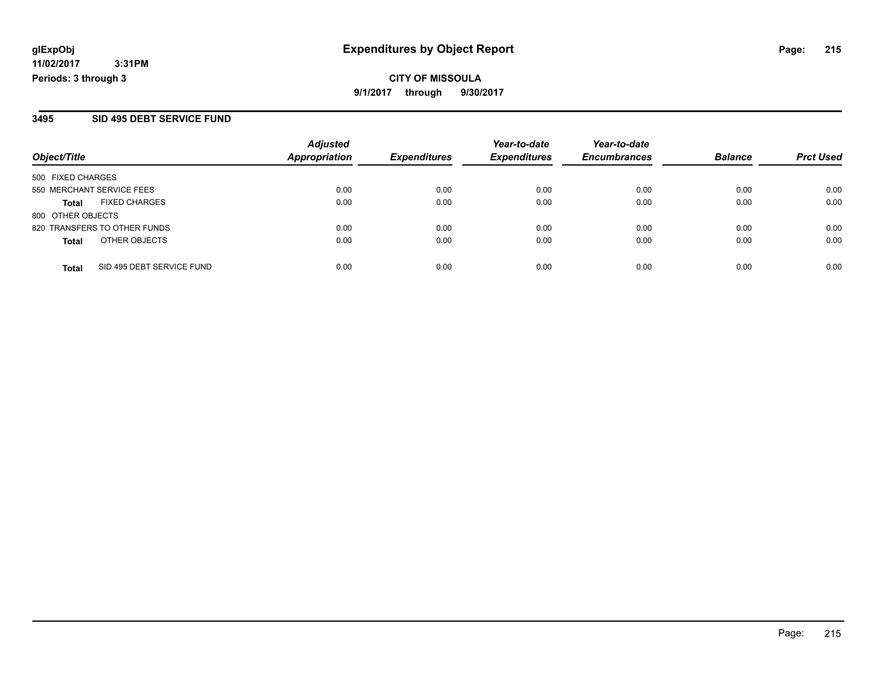#### **3495 SID 495 DEBT SERVICE FUND**

| Object/Title              |                              | <b>Adjusted</b><br><b>Appropriation</b> |                     | Year-to-date<br><b>Expenditures</b> | Year-to-date        | <b>Balance</b> | <b>Prct Used</b> |
|---------------------------|------------------------------|-----------------------------------------|---------------------|-------------------------------------|---------------------|----------------|------------------|
|                           |                              |                                         | <b>Expenditures</b> |                                     | <b>Encumbrances</b> |                |                  |
| 500 FIXED CHARGES         |                              |                                         |                     |                                     |                     |                |                  |
| 550 MERCHANT SERVICE FEES |                              | 0.00                                    | 0.00                | 0.00                                | 0.00                | 0.00           | 0.00             |
| Total                     | <b>FIXED CHARGES</b>         | 0.00                                    | 0.00                | 0.00                                | 0.00                | 0.00           | 0.00             |
| 800 OTHER OBJECTS         |                              |                                         |                     |                                     |                     |                |                  |
|                           | 820 TRANSFERS TO OTHER FUNDS | 0.00                                    | 0.00                | 0.00                                | 0.00                | 0.00           | 0.00             |
| <b>Total</b>              | OTHER OBJECTS                | 0.00                                    | 0.00                | 0.00                                | 0.00                | 0.00           | 0.00             |
| <b>Total</b>              | SID 495 DEBT SERVICE FUND    | 0.00                                    | 0.00                | 0.00                                | 0.00                | 0.00           | 0.00             |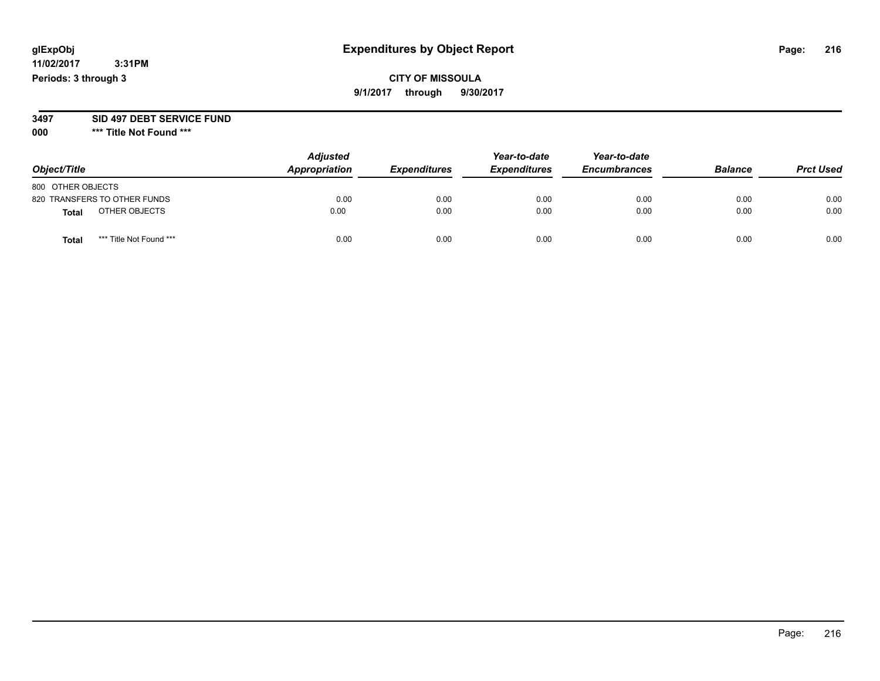## **CITY OF MISSOULA 9/1/2017 through 9/30/2017**

#### **3497 SID 497 DEBT SERVICE FUND**

**000 \*\*\* Title Not Found \*\*\***

| Object/Title                     | <b>Adjusted</b><br>Appropriation | <b>Expenditures</b> | Year-to-date<br><b>Expenditures</b> | Year-to-date<br><b>Encumbrances</b> | <b>Balance</b> | <b>Prct Used</b> |
|----------------------------------|----------------------------------|---------------------|-------------------------------------|-------------------------------------|----------------|------------------|
| 800 OTHER OBJECTS                |                                  |                     |                                     |                                     |                |                  |
| 820 TRANSFERS TO OTHER FUNDS     | 0.00                             | 0.00                | 0.00                                | 0.00                                | 0.00           | 0.00             |
| OTHER OBJECTS<br><b>Total</b>    | 0.00                             | 0.00                | 0.00                                | 0.00                                | 0.00           | 0.00             |
| *** Title Not Found ***<br>Total | 0.00                             | 0.00                | 0.00                                | 0.00                                | 0.00           | 0.00             |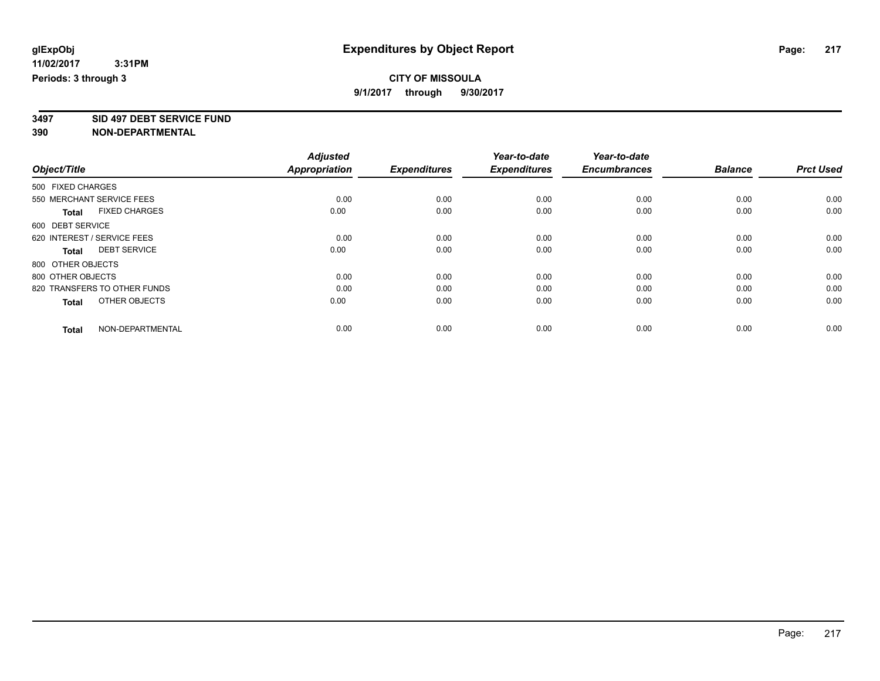**3497 SID 497 DEBT SERVICE FUND**

|                                      | <b>Adjusted</b>      | <b>Expenditures</b> | Year-to-date<br><b>Expenditures</b> | Year-to-date<br><b>Encumbrances</b> | <b>Balance</b> | <b>Prct Used</b> |
|--------------------------------------|----------------------|---------------------|-------------------------------------|-------------------------------------|----------------|------------------|
| Object/Title                         | <b>Appropriation</b> |                     |                                     |                                     |                |                  |
| 500 FIXED CHARGES                    |                      |                     |                                     |                                     |                |                  |
| 550 MERCHANT SERVICE FEES            | 0.00                 | 0.00                | 0.00                                | 0.00                                | 0.00           | 0.00             |
| <b>FIXED CHARGES</b><br><b>Total</b> | 0.00                 | 0.00                | 0.00                                | 0.00                                | 0.00           | 0.00             |
| 600 DEBT SERVICE                     |                      |                     |                                     |                                     |                |                  |
| 620 INTEREST / SERVICE FEES          | 0.00                 | 0.00                | 0.00                                | 0.00                                | 0.00           | 0.00             |
| <b>DEBT SERVICE</b><br><b>Total</b>  | 0.00                 | 0.00                | 0.00                                | 0.00                                | 0.00           | 0.00             |
| 800 OTHER OBJECTS                    |                      |                     |                                     |                                     |                |                  |
| 800 OTHER OBJECTS                    | 0.00                 | 0.00                | 0.00                                | 0.00                                | 0.00           | 0.00             |
| 820 TRANSFERS TO OTHER FUNDS         | 0.00                 | 0.00                | 0.00                                | 0.00                                | 0.00           | 0.00             |
| OTHER OBJECTS<br><b>Total</b>        | 0.00                 | 0.00                | 0.00                                | 0.00                                | 0.00           | 0.00             |
| NON-DEPARTMENTAL<br><b>Total</b>     | 0.00                 | 0.00                | 0.00                                | 0.00                                | 0.00           | 0.00             |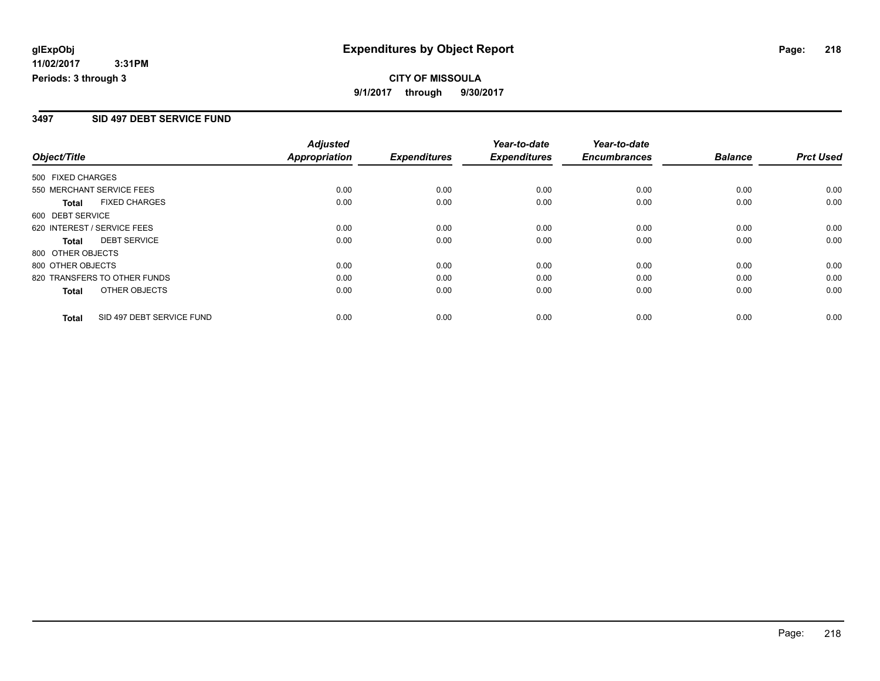# **CITY OF MISSOULA 9/1/2017 through 9/30/2017**

## **3497 SID 497 DEBT SERVICE FUND**

|                   |                              | <b>Adjusted</b>      |                     | Year-to-date        | Year-to-date        |                |                  |
|-------------------|------------------------------|----------------------|---------------------|---------------------|---------------------|----------------|------------------|
| Object/Title      |                              | <b>Appropriation</b> | <b>Expenditures</b> | <b>Expenditures</b> | <b>Encumbrances</b> | <b>Balance</b> | <b>Prct Used</b> |
| 500 FIXED CHARGES |                              |                      |                     |                     |                     |                |                  |
|                   | 550 MERCHANT SERVICE FEES    | 0.00                 | 0.00                | 0.00                | 0.00                | 0.00           | 0.00             |
| <b>Total</b>      | <b>FIXED CHARGES</b>         | 0.00                 | 0.00                | 0.00                | 0.00                | 0.00           | 0.00             |
| 600 DEBT SERVICE  |                              |                      |                     |                     |                     |                |                  |
|                   | 620 INTEREST / SERVICE FEES  | 0.00                 | 0.00                | 0.00                | 0.00                | 0.00           | 0.00             |
| Total             | <b>DEBT SERVICE</b>          | 0.00                 | 0.00                | 0.00                | 0.00                | 0.00           | 0.00             |
| 800 OTHER OBJECTS |                              |                      |                     |                     |                     |                |                  |
| 800 OTHER OBJECTS |                              | 0.00                 | 0.00                | 0.00                | 0.00                | 0.00           | 0.00             |
|                   | 820 TRANSFERS TO OTHER FUNDS | 0.00                 | 0.00                | 0.00                | 0.00                | 0.00           | 0.00             |
| <b>Total</b>      | OTHER OBJECTS                | 0.00                 | 0.00                | 0.00                | 0.00                | 0.00           | 0.00             |
| <b>Total</b>      | SID 497 DEBT SERVICE FUND    | 0.00                 | 0.00                | 0.00                | 0.00                | 0.00           | 0.00             |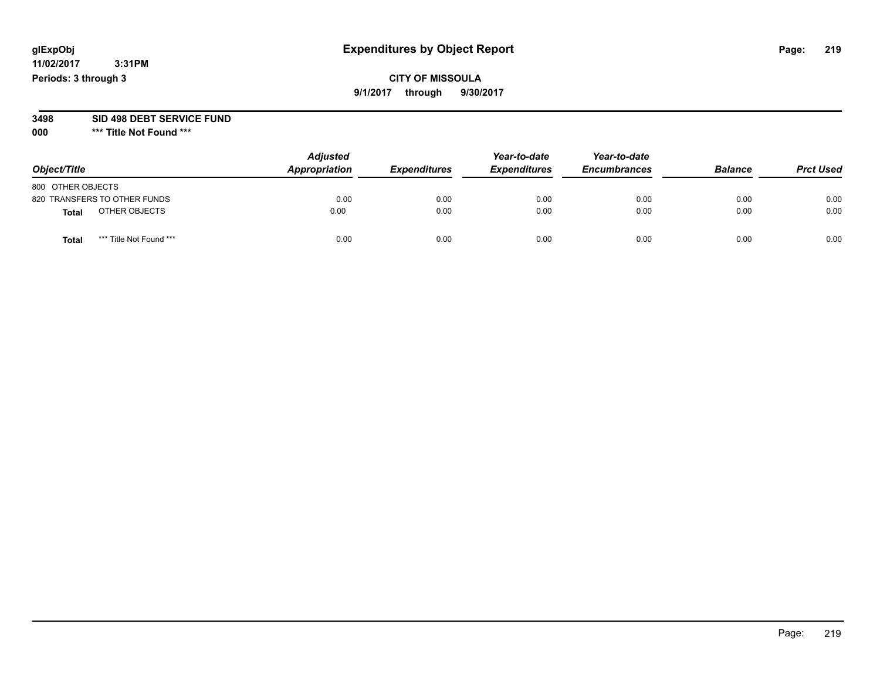## **CITY OF MISSOULA 9/1/2017 through 9/30/2017**

# **3498 SID 498 DEBT SERVICE FUND**

| Object/Title                 |                         | <b>Adjusted</b><br>Appropriation | <b>Expenditures</b> | Year-to-date<br><b>Expenditures</b> | Year-to-date<br><b>Encumbrances</b> | <b>Balance</b> | <b>Prct Used</b> |
|------------------------------|-------------------------|----------------------------------|---------------------|-------------------------------------|-------------------------------------|----------------|------------------|
| 800 OTHER OBJECTS            |                         |                                  |                     |                                     |                                     |                |                  |
| 820 TRANSFERS TO OTHER FUNDS |                         | 0.00                             | 0.00                | 0.00                                | 0.00                                | 0.00           | 0.00             |
| Total                        | OTHER OBJECTS           | 0.00                             | 0.00                | 0.00                                | 0.00                                | 0.00           | 0.00             |
| Tota                         | *** Title Not Found *** | 0.00                             | 0.00                | 0.00                                | 0.00                                | 0.00           | 0.00             |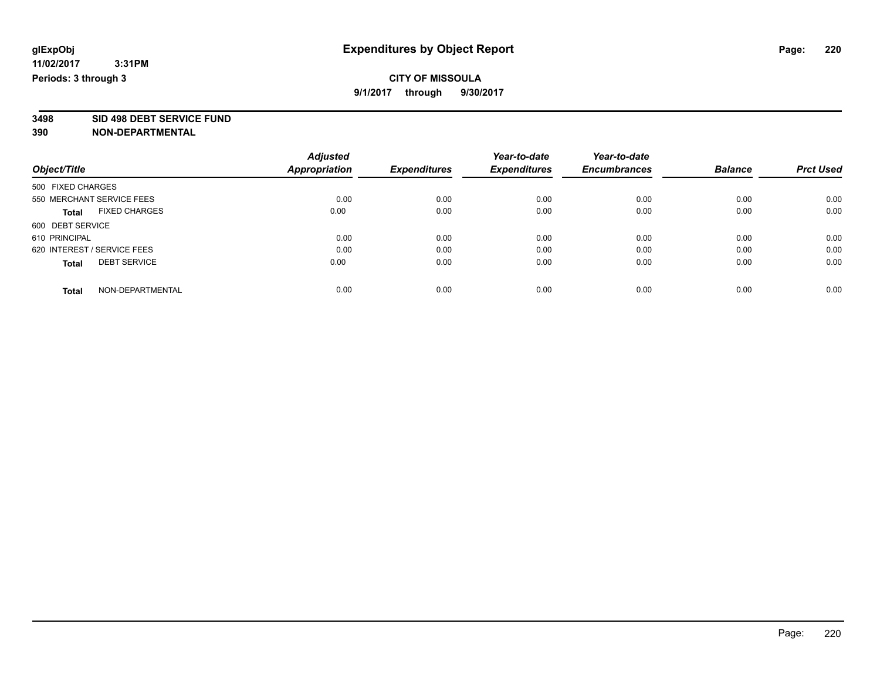**3498 SID 498 DEBT SERVICE FUND**

|                                      | <b>Adjusted</b>      |                     | Year-to-date        | Year-to-date        |                |                  |
|--------------------------------------|----------------------|---------------------|---------------------|---------------------|----------------|------------------|
| Object/Title                         | <b>Appropriation</b> | <b>Expenditures</b> | <b>Expenditures</b> | <b>Encumbrances</b> | <b>Balance</b> | <b>Prct Used</b> |
| 500 FIXED CHARGES                    |                      |                     |                     |                     |                |                  |
| 550 MERCHANT SERVICE FEES            | 0.00                 | 0.00                | 0.00                | 0.00                | 0.00           | 0.00             |
| <b>FIXED CHARGES</b><br><b>Total</b> | 0.00                 | 0.00                | 0.00                | 0.00                | 0.00           | 0.00             |
| 600 DEBT SERVICE                     |                      |                     |                     |                     |                |                  |
| 610 PRINCIPAL                        | 0.00                 | 0.00                | 0.00                | 0.00                | 0.00           | 0.00             |
| 620 INTEREST / SERVICE FEES          | 0.00                 | 0.00                | 0.00                | 0.00                | 0.00           | 0.00             |
| <b>DEBT SERVICE</b><br><b>Total</b>  | 0.00                 | 0.00                | 0.00                | 0.00                | 0.00           | 0.00             |
| NON-DEPARTMENTAL<br><b>Total</b>     | 0.00                 | 0.00                | 0.00                | 0.00                | 0.00           | 0.00             |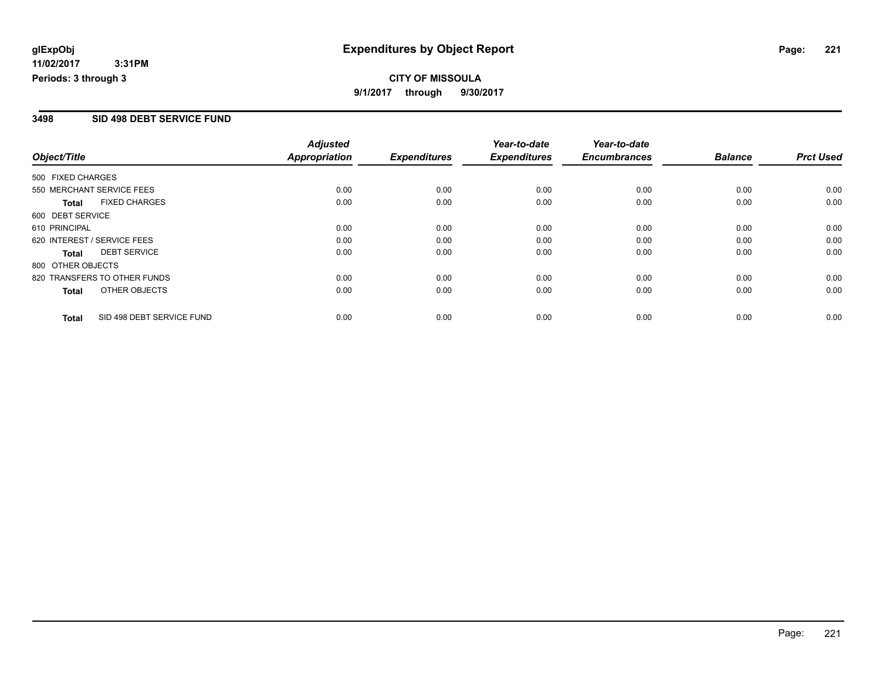# **CITY OF MISSOULA 9/1/2017 through 9/30/2017**

## **3498 SID 498 DEBT SERVICE FUND**

|                             |                              | <b>Adjusted</b>      |                     | Year-to-date        | Year-to-date        |                |                  |
|-----------------------------|------------------------------|----------------------|---------------------|---------------------|---------------------|----------------|------------------|
| Object/Title                |                              | <b>Appropriation</b> | <b>Expenditures</b> | <b>Expenditures</b> | <b>Encumbrances</b> | <b>Balance</b> | <b>Prct Used</b> |
| 500 FIXED CHARGES           |                              |                      |                     |                     |                     |                |                  |
| 550 MERCHANT SERVICE FEES   |                              | 0.00                 | 0.00                | 0.00                | 0.00                | 0.00           | 0.00             |
| Total                       | <b>FIXED CHARGES</b>         | 0.00                 | 0.00                | 0.00                | 0.00                | 0.00           | 0.00             |
| 600 DEBT SERVICE            |                              |                      |                     |                     |                     |                |                  |
| 610 PRINCIPAL               |                              | 0.00                 | 0.00                | 0.00                | 0.00                | 0.00           | 0.00             |
| 620 INTEREST / SERVICE FEES |                              | 0.00                 | 0.00                | 0.00                | 0.00                | 0.00           | 0.00             |
| Total                       | <b>DEBT SERVICE</b>          | 0.00                 | 0.00                | 0.00                | 0.00                | 0.00           | 0.00             |
| 800 OTHER OBJECTS           |                              |                      |                     |                     |                     |                |                  |
|                             | 820 TRANSFERS TO OTHER FUNDS | 0.00                 | 0.00                | 0.00                | 0.00                | 0.00           | 0.00             |
| Total                       | OTHER OBJECTS                | 0.00                 | 0.00                | 0.00                | 0.00                | 0.00           | 0.00             |
| <b>Total</b>                | SID 498 DEBT SERVICE FUND    | 0.00                 | 0.00                | 0.00                | 0.00                | 0.00           | 0.00             |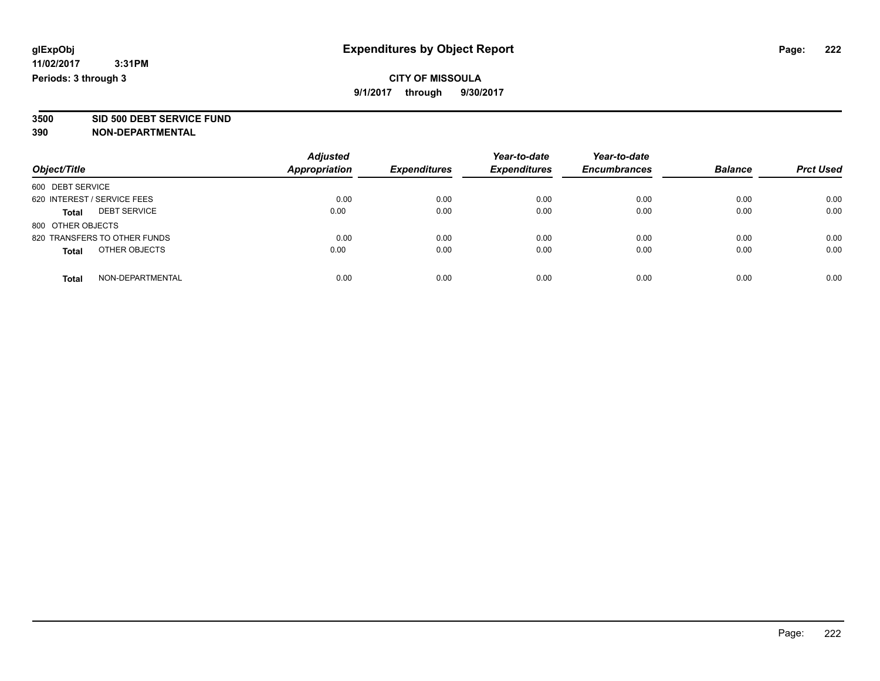**3500 SID 500 DEBT SERVICE FUND**

| Object/Title                  | <b>Adjusted</b><br>Appropriation | <b>Expenditures</b> | Year-to-date<br><b>Expenditures</b> | Year-to-date<br><b>Encumbrances</b> | <b>Balance</b> | <b>Prct Used</b> |
|-------------------------------|----------------------------------|---------------------|-------------------------------------|-------------------------------------|----------------|------------------|
| 600 DEBT SERVICE              |                                  |                     |                                     |                                     |                |                  |
| 620 INTEREST / SERVICE FEES   | 0.00                             | 0.00                | 0.00                                | 0.00                                | 0.00           | 0.00             |
| <b>DEBT SERVICE</b><br>Total  | 0.00                             | 0.00                | 0.00                                | 0.00                                | 0.00           | 0.00             |
| 800 OTHER OBJECTS             |                                  |                     |                                     |                                     |                |                  |
| 820 TRANSFERS TO OTHER FUNDS  | 0.00                             | 0.00                | 0.00                                | 0.00                                | 0.00           | 0.00             |
| OTHER OBJECTS<br><b>Total</b> | 0.00                             | 0.00                | 0.00                                | 0.00                                | 0.00           | 0.00             |
| NON-DEPARTMENTAL<br>Total     | 0.00                             | 0.00                | 0.00                                | 0.00                                | 0.00           | 0.00             |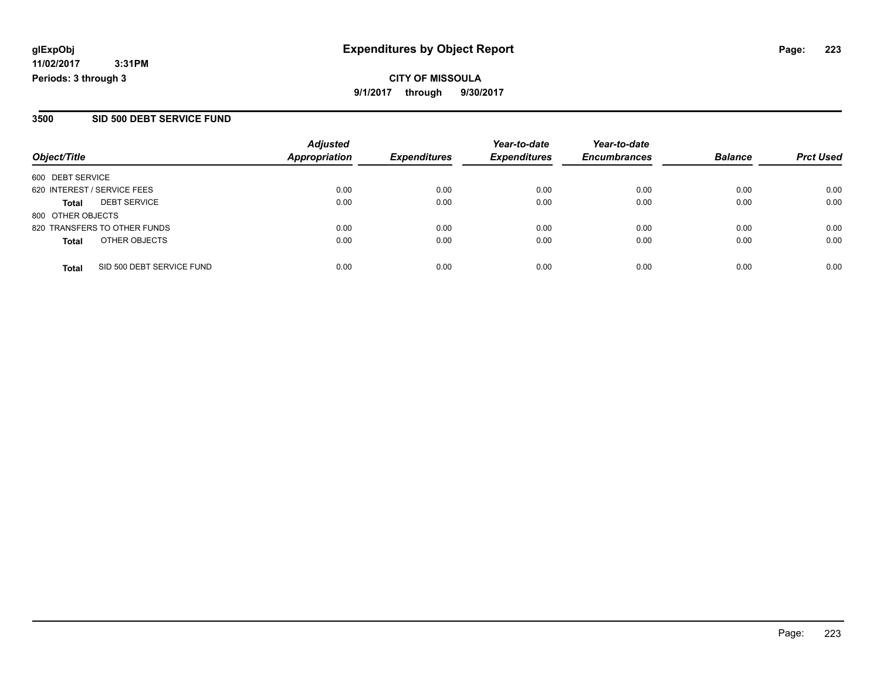## **3500 SID 500 DEBT SERVICE FUND**

| Object/Title                |                              | <b>Adjusted</b><br><b>Appropriation</b> | <b>Expenditures</b> | Year-to-date<br><b>Expenditures</b> | Year-to-date        | <b>Balance</b> |                  |
|-----------------------------|------------------------------|-----------------------------------------|---------------------|-------------------------------------|---------------------|----------------|------------------|
|                             |                              |                                         |                     |                                     | <b>Encumbrances</b> |                | <b>Prct Used</b> |
| 600 DEBT SERVICE            |                              |                                         |                     |                                     |                     |                |                  |
| 620 INTEREST / SERVICE FEES |                              | 0.00                                    | 0.00                | 0.00                                | 0.00                | 0.00           | 0.00             |
| Total                       | <b>DEBT SERVICE</b>          | 0.00                                    | 0.00                | 0.00                                | 0.00                | 0.00           | 0.00             |
| 800 OTHER OBJECTS           |                              |                                         |                     |                                     |                     |                |                  |
|                             | 820 TRANSFERS TO OTHER FUNDS | 0.00                                    | 0.00                | 0.00                                | 0.00                | 0.00           | 0.00             |
| <b>Total</b>                | OTHER OBJECTS                | 0.00                                    | 0.00                | 0.00                                | 0.00                | 0.00           | 0.00             |
| <b>Total</b>                | SID 500 DEBT SERVICE FUND    | 0.00                                    | 0.00                | 0.00                                | 0.00                | 0.00           | 0.00             |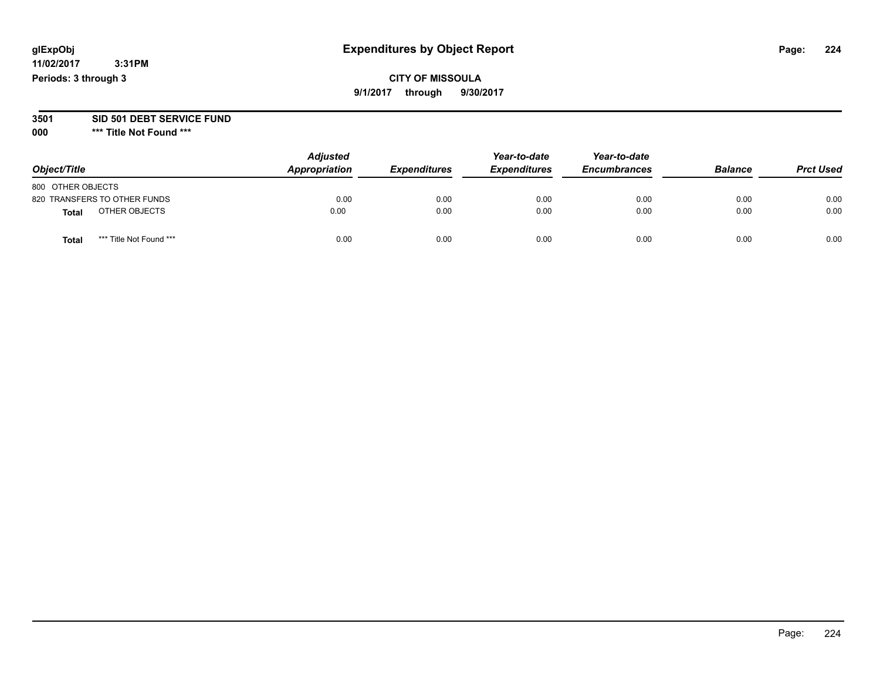## **CITY OF MISSOULA 9/1/2017 through 9/30/2017**

#### **3501 SID 501 DEBT SERVICE FUND**

| Object/Title                     | <b>Adjusted</b><br>Appropriation | <b>Expenditures</b> | Year-to-date<br><b>Expenditures</b> | Year-to-date<br><b>Encumbrances</b> | <b>Balance</b> | <b>Prct Used</b> |
|----------------------------------|----------------------------------|---------------------|-------------------------------------|-------------------------------------|----------------|------------------|
| 800 OTHER OBJECTS                |                                  |                     |                                     |                                     |                |                  |
| 820 TRANSFERS TO OTHER FUNDS     | 0.00                             | 0.00                | 0.00                                | 0.00                                | 0.00           | 0.00             |
| OTHER OBJECTS<br><b>Total</b>    | 0.00                             | 0.00                | 0.00                                | 0.00                                | 0.00           | 0.00             |
| *** Title Not Found ***<br>Total | 0.00                             | 0.00                | 0.00                                | 0.00                                | 0.00           | 0.00             |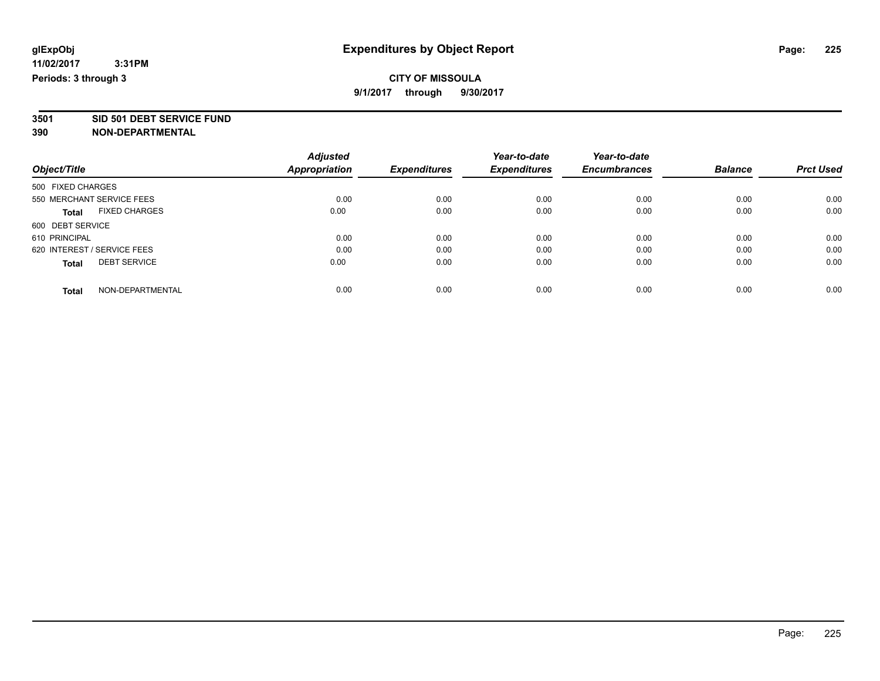**3501 SID 501 DEBT SERVICE FUND**

|                                      | <b>Adjusted</b> |                     | Year-to-date        | Year-to-date        |                |                  |
|--------------------------------------|-----------------|---------------------|---------------------|---------------------|----------------|------------------|
| Object/Title                         | Appropriation   | <b>Expenditures</b> | <b>Expenditures</b> | <b>Encumbrances</b> | <b>Balance</b> | <b>Prct Used</b> |
| 500 FIXED CHARGES                    |                 |                     |                     |                     |                |                  |
| 550 MERCHANT SERVICE FEES            | 0.00            | 0.00                | 0.00                | 0.00                | 0.00           | 0.00             |
| <b>FIXED CHARGES</b><br><b>Total</b> | 0.00            | 0.00                | 0.00                | 0.00                | 0.00           | 0.00             |
| 600 DEBT SERVICE                     |                 |                     |                     |                     |                |                  |
| 610 PRINCIPAL                        | 0.00            | 0.00                | 0.00                | 0.00                | 0.00           | 0.00             |
| 620 INTEREST / SERVICE FEES          | 0.00            | 0.00                | 0.00                | 0.00                | 0.00           | 0.00             |
| <b>DEBT SERVICE</b><br><b>Total</b>  | 0.00            | 0.00                | 0.00                | 0.00                | 0.00           | 0.00             |
| NON-DEPARTMENTAL<br><b>Total</b>     | 0.00            | 0.00                | 0.00                | 0.00                | 0.00           | 0.00             |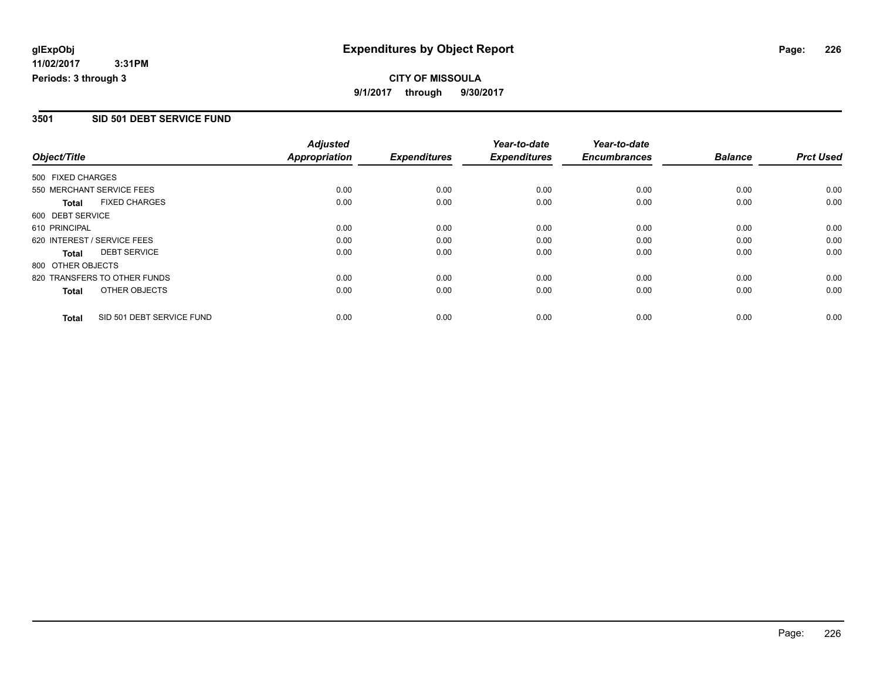# **CITY OF MISSOULA 9/1/2017 through 9/30/2017**

## **3501 SID 501 DEBT SERVICE FUND**

|                   |                              | <b>Adjusted</b>      |                     | Year-to-date        | Year-to-date        |                |                  |
|-------------------|------------------------------|----------------------|---------------------|---------------------|---------------------|----------------|------------------|
| Object/Title      |                              | <b>Appropriation</b> | <b>Expenditures</b> | <b>Expenditures</b> | <b>Encumbrances</b> | <b>Balance</b> | <b>Prct Used</b> |
| 500 FIXED CHARGES |                              |                      |                     |                     |                     |                |                  |
|                   | 550 MERCHANT SERVICE FEES    | 0.00                 | 0.00                | 0.00                | 0.00                | 0.00           | 0.00             |
| <b>Total</b>      | <b>FIXED CHARGES</b>         | 0.00                 | 0.00                | 0.00                | 0.00                | 0.00           | 0.00             |
| 600 DEBT SERVICE  |                              |                      |                     |                     |                     |                |                  |
| 610 PRINCIPAL     |                              | 0.00                 | 0.00                | 0.00                | 0.00                | 0.00           | 0.00             |
|                   | 620 INTEREST / SERVICE FEES  | 0.00                 | 0.00                | 0.00                | 0.00                | 0.00           | 0.00             |
| Total             | <b>DEBT SERVICE</b>          | 0.00                 | 0.00                | 0.00                | 0.00                | 0.00           | 0.00             |
| 800 OTHER OBJECTS |                              |                      |                     |                     |                     |                |                  |
|                   | 820 TRANSFERS TO OTHER FUNDS | 0.00                 | 0.00                | 0.00                | 0.00                | 0.00           | 0.00             |
| <b>Total</b>      | OTHER OBJECTS                | 0.00                 | 0.00                | 0.00                | 0.00                | 0.00           | 0.00             |
| <b>Total</b>      | SID 501 DEBT SERVICE FUND    | 0.00                 | 0.00                | 0.00                | 0.00                | 0.00           | 0.00             |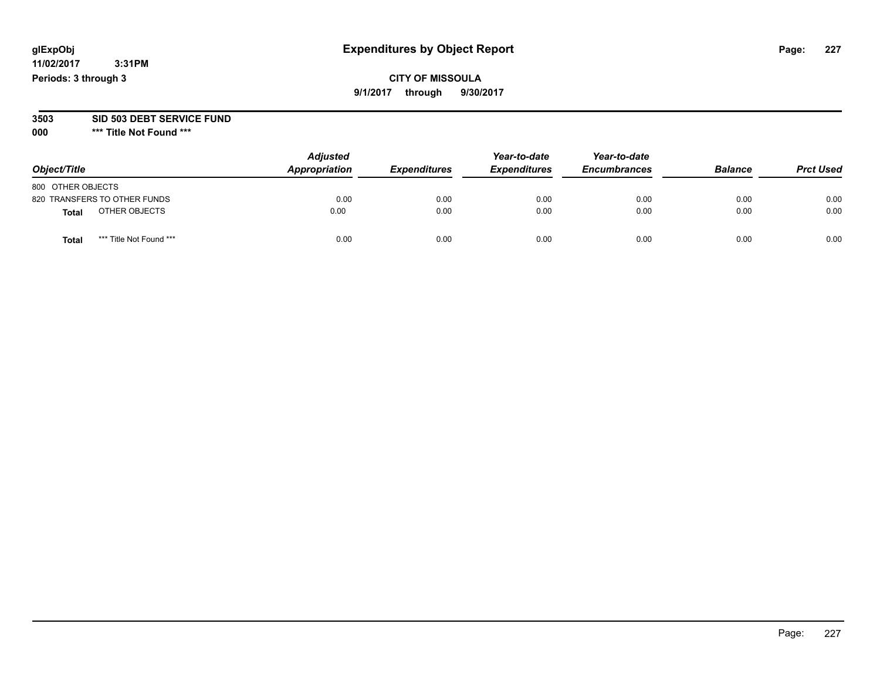## **CITY OF MISSOULA 9/1/2017 through 9/30/2017**

#### **3503 SID 503 DEBT SERVICE FUND**

| Object/Title                     | <b>Adjusted</b><br>Appropriation | <b>Expenditures</b> | Year-to-date<br><b>Expenditures</b> | Year-to-date<br><b>Encumbrances</b> | <b>Balance</b> | <b>Prct Used</b> |
|----------------------------------|----------------------------------|---------------------|-------------------------------------|-------------------------------------|----------------|------------------|
| 800 OTHER OBJECTS                |                                  |                     |                                     |                                     |                |                  |
| 820 TRANSFERS TO OTHER FUNDS     | 0.00                             | 0.00                | 0.00                                | 0.00                                | 0.00           | 0.00             |
| OTHER OBJECTS<br><b>Total</b>    | 0.00                             | 0.00                | 0.00                                | 0.00                                | 0.00           | 0.00             |
| *** Title Not Found ***<br>Total | 0.00                             | 0.00                | 0.00                                | 0.00                                | 0.00           | 0.00             |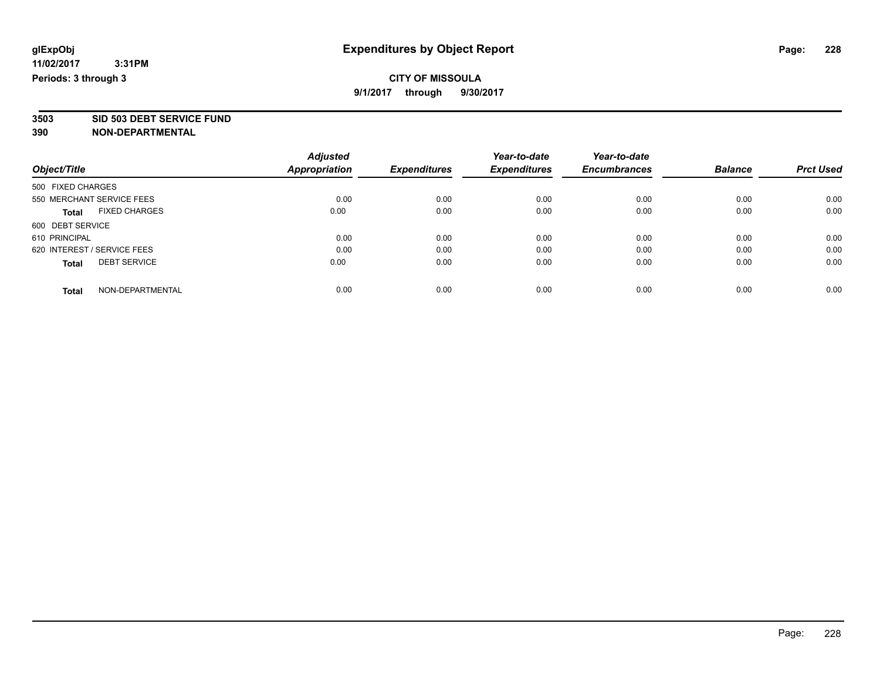**3503 SID 503 DEBT SERVICE FUND**

|                                      | <b>Adjusted</b>      | <b>Expenditures</b> | Year-to-date<br><b>Expenditures</b> | Year-to-date        | <b>Balance</b> | <b>Prct Used</b> |
|--------------------------------------|----------------------|---------------------|-------------------------------------|---------------------|----------------|------------------|
| Object/Title                         | <b>Appropriation</b> |                     |                                     | <b>Encumbrances</b> |                |                  |
| 500 FIXED CHARGES                    |                      |                     |                                     |                     |                |                  |
| 550 MERCHANT SERVICE FEES            | 0.00                 | 0.00                | 0.00                                | 0.00                | 0.00           | 0.00             |
| <b>FIXED CHARGES</b><br><b>Total</b> | 0.00                 | 0.00                | 0.00                                | 0.00                | 0.00           | 0.00             |
| 600 DEBT SERVICE                     |                      |                     |                                     |                     |                |                  |
| 610 PRINCIPAL                        | 0.00                 | 0.00                | 0.00                                | 0.00                | 0.00           | 0.00             |
| 620 INTEREST / SERVICE FEES          | 0.00                 | 0.00                | 0.00                                | 0.00                | 0.00           | 0.00             |
| <b>DEBT SERVICE</b><br><b>Total</b>  | 0.00                 | 0.00                | 0.00                                | 0.00                | 0.00           | 0.00             |
| NON-DEPARTMENTAL<br><b>Total</b>     | 0.00                 | 0.00                | 0.00                                | 0.00                | 0.00           | 0.00             |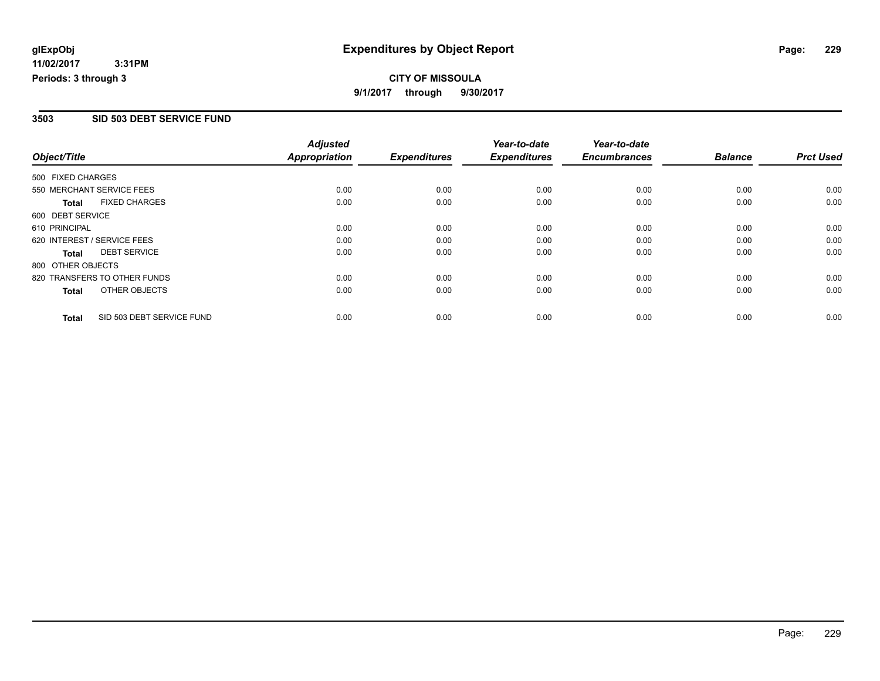# **CITY OF MISSOULA 9/1/2017 through 9/30/2017**

## **3503 SID 503 DEBT SERVICE FUND**

|                             |                              | <b>Adjusted</b>      |                     | Year-to-date        | Year-to-date        |                |                  |
|-----------------------------|------------------------------|----------------------|---------------------|---------------------|---------------------|----------------|------------------|
| Object/Title                |                              | <b>Appropriation</b> | <b>Expenditures</b> | <b>Expenditures</b> | <b>Encumbrances</b> | <b>Balance</b> | <b>Prct Used</b> |
| 500 FIXED CHARGES           |                              |                      |                     |                     |                     |                |                  |
|                             | 550 MERCHANT SERVICE FEES    | 0.00                 | 0.00                | 0.00                | 0.00                | 0.00           | 0.00             |
| Total                       | <b>FIXED CHARGES</b>         | 0.00                 | 0.00                | 0.00                | 0.00                | 0.00           | 0.00             |
| 600 DEBT SERVICE            |                              |                      |                     |                     |                     |                |                  |
| 610 PRINCIPAL               |                              | 0.00                 | 0.00                | 0.00                | 0.00                | 0.00           | 0.00             |
| 620 INTEREST / SERVICE FEES |                              | 0.00                 | 0.00                | 0.00                | 0.00                | 0.00           | 0.00             |
| Total                       | <b>DEBT SERVICE</b>          | 0.00                 | 0.00                | 0.00                | 0.00                | 0.00           | 0.00             |
| 800 OTHER OBJECTS           |                              |                      |                     |                     |                     |                |                  |
|                             | 820 TRANSFERS TO OTHER FUNDS | 0.00                 | 0.00                | 0.00                | 0.00                | 0.00           | 0.00             |
| Total                       | OTHER OBJECTS                | 0.00                 | 0.00                | 0.00                | 0.00                | 0.00           | 0.00             |
| <b>Total</b>                | SID 503 DEBT SERVICE FUND    | 0.00                 | 0.00                | 0.00                | 0.00                | 0.00           | 0.00             |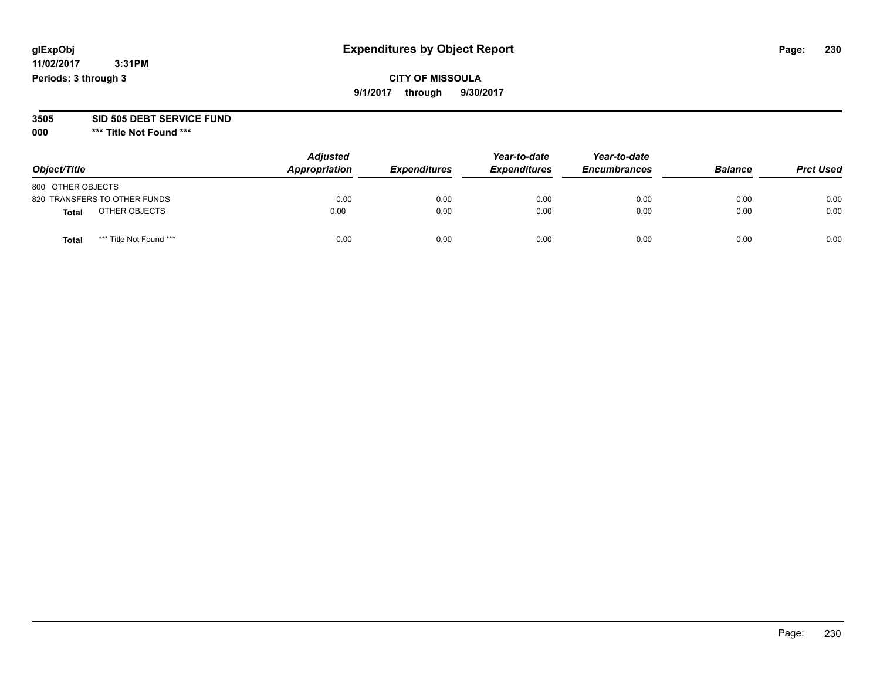## **CITY OF MISSOULA 9/1/2017 through 9/30/2017**

#### **3505 SID 505 DEBT SERVICE FUND**

| Object/Title                            | <b>Adjusted</b><br>Appropriation | <b>Expenditures</b> | Year-to-date<br><b>Expenditures</b> | Year-to-date<br><b>Encumbrances</b> | <b>Balance</b> | <b>Prct Used</b> |
|-----------------------------------------|----------------------------------|---------------------|-------------------------------------|-------------------------------------|----------------|------------------|
| 800 OTHER OBJECTS                       |                                  |                     |                                     |                                     |                |                  |
| 820 TRANSFERS TO OTHER FUNDS            | 0.00                             | 0.00                | 0.00                                | 0.00                                | 0.00           | 0.00             |
| OTHER OBJECTS<br>Total                  | 0.00                             | 0.00                | 0.00                                | 0.00                                | 0.00           | 0.00             |
| *** Title Not Found ***<br><b>Total</b> | 0.00                             | 0.00                | 0.00                                | 0.00                                | 0.00           | 0.00             |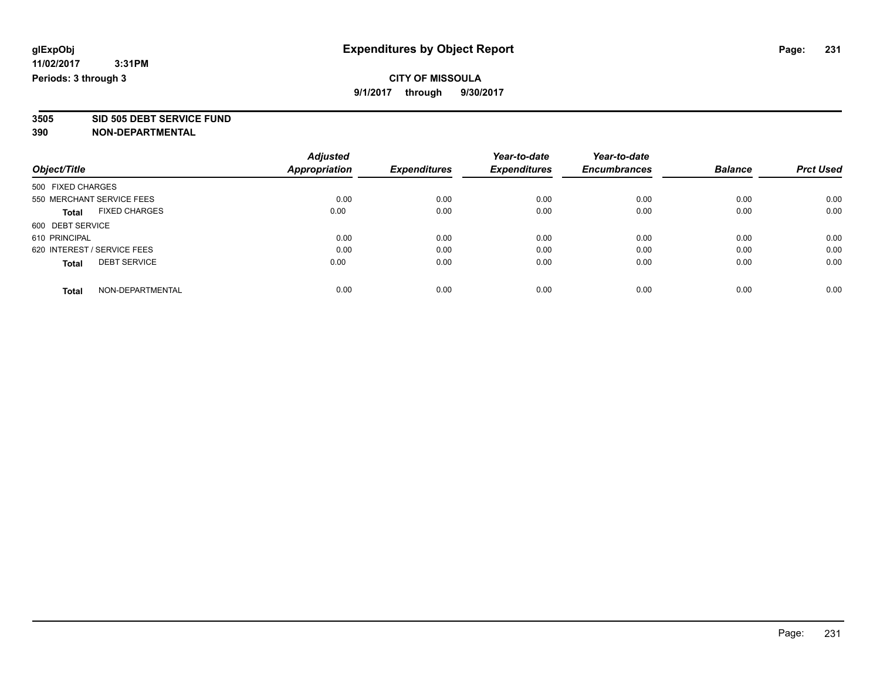**3505 SID 505 DEBT SERVICE FUND**

|                                      | <b>Adjusted</b> |                     | Year-to-date        | Year-to-date        |                |                  |
|--------------------------------------|-----------------|---------------------|---------------------|---------------------|----------------|------------------|
| Object/Title                         | Appropriation   | <b>Expenditures</b> | <b>Expenditures</b> | <b>Encumbrances</b> | <b>Balance</b> | <b>Prct Used</b> |
| 500 FIXED CHARGES                    |                 |                     |                     |                     |                |                  |
| 550 MERCHANT SERVICE FEES            | 0.00            | 0.00                | 0.00                | 0.00                | 0.00           | 0.00             |
| <b>FIXED CHARGES</b><br><b>Total</b> | 0.00            | 0.00                | 0.00                | 0.00                | 0.00           | 0.00             |
| 600 DEBT SERVICE                     |                 |                     |                     |                     |                |                  |
| 610 PRINCIPAL                        | 0.00            | 0.00                | 0.00                | 0.00                | 0.00           | 0.00             |
| 620 INTEREST / SERVICE FEES          | 0.00            | 0.00                | 0.00                | 0.00                | 0.00           | 0.00             |
| <b>DEBT SERVICE</b><br><b>Total</b>  | 0.00            | 0.00                | 0.00                | 0.00                | 0.00           | 0.00             |
| NON-DEPARTMENTAL<br><b>Total</b>     | 0.00            | 0.00                | 0.00                | 0.00                | 0.00           | 0.00             |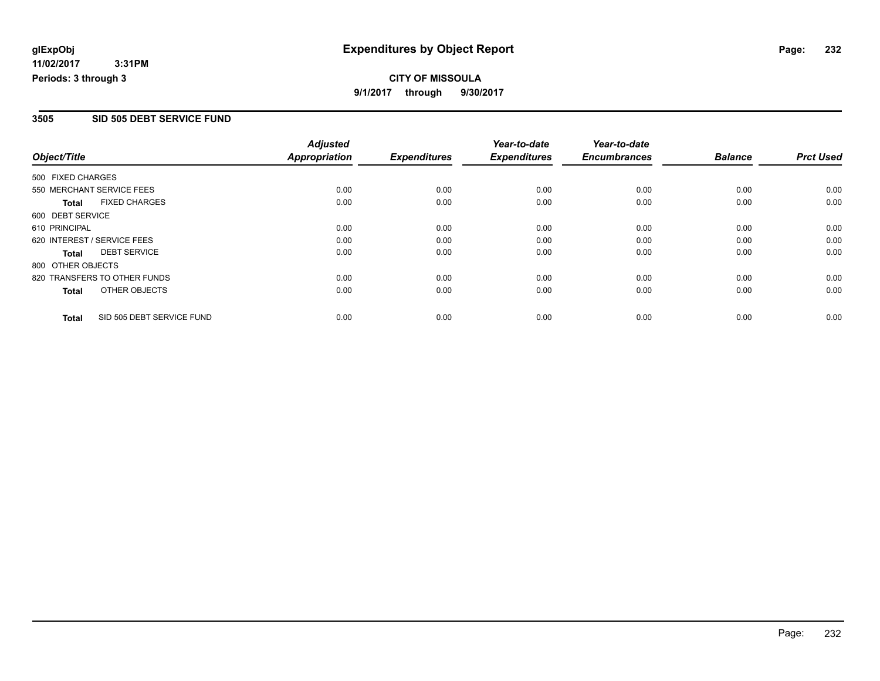# **CITY OF MISSOULA 9/1/2017 through 9/30/2017**

## **3505 SID 505 DEBT SERVICE FUND**

|                             |                              | <b>Adjusted</b>      |                     | Year-to-date        | Year-to-date        |                |                  |
|-----------------------------|------------------------------|----------------------|---------------------|---------------------|---------------------|----------------|------------------|
| Object/Title                |                              | <b>Appropriation</b> | <b>Expenditures</b> | <b>Expenditures</b> | <b>Encumbrances</b> | <b>Balance</b> | <b>Prct Used</b> |
| 500 FIXED CHARGES           |                              |                      |                     |                     |                     |                |                  |
| 550 MERCHANT SERVICE FEES   |                              | 0.00                 | 0.00                | 0.00                | 0.00                | 0.00           | 0.00             |
| <b>Total</b>                | <b>FIXED CHARGES</b>         | 0.00                 | 0.00                | 0.00                | 0.00                | 0.00           | 0.00             |
| 600 DEBT SERVICE            |                              |                      |                     |                     |                     |                |                  |
| 610 PRINCIPAL               |                              | 0.00                 | 0.00                | 0.00                | 0.00                | 0.00           | 0.00             |
| 620 INTEREST / SERVICE FEES |                              | 0.00                 | 0.00                | 0.00                | 0.00                | 0.00           | 0.00             |
| Total                       | <b>DEBT SERVICE</b>          | 0.00                 | 0.00                | 0.00                | 0.00                | 0.00           | 0.00             |
| 800 OTHER OBJECTS           |                              |                      |                     |                     |                     |                |                  |
|                             | 820 TRANSFERS TO OTHER FUNDS | 0.00                 | 0.00                | 0.00                | 0.00                | 0.00           | 0.00             |
| <b>Total</b>                | OTHER OBJECTS                | 0.00                 | 0.00                | 0.00                | 0.00                | 0.00           | 0.00             |
| <b>Total</b>                | SID 505 DEBT SERVICE FUND    | 0.00                 | 0.00                | 0.00                | 0.00                | 0.00           | 0.00             |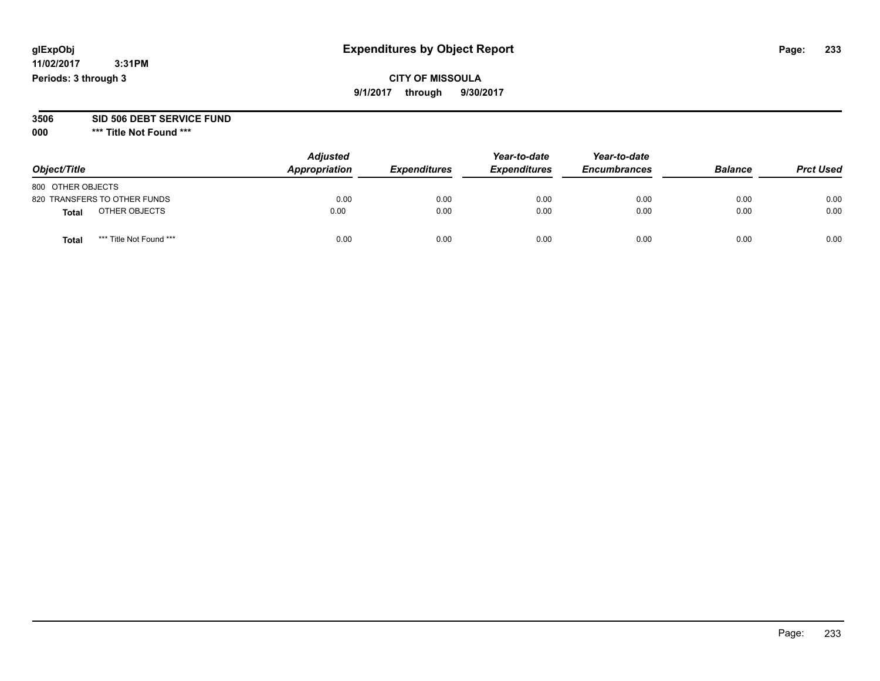## **CITY OF MISSOULA 9/1/2017 through 9/30/2017**

#### **3506 SID 506 DEBT SERVICE FUND**

| Object/Title                     | <b>Adjusted</b><br>Appropriation | <b>Expenditures</b> | Year-to-date<br><b>Expenditures</b> | Year-to-date<br><b>Encumbrances</b> | <b>Balance</b> | <b>Prct Used</b> |
|----------------------------------|----------------------------------|---------------------|-------------------------------------|-------------------------------------|----------------|------------------|
| 800 OTHER OBJECTS                |                                  |                     |                                     |                                     |                |                  |
| 820 TRANSFERS TO OTHER FUNDS     | 0.00                             | 0.00                | 0.00                                | 0.00                                | 0.00           | 0.00             |
| OTHER OBJECTS<br><b>Total</b>    | 0.00                             | 0.00                | 0.00                                | 0.00                                | 0.00           | 0.00             |
| *** Title Not Found ***<br>Total | 0.00                             | 0.00                | 0.00                                | 0.00                                | 0.00           | 0.00             |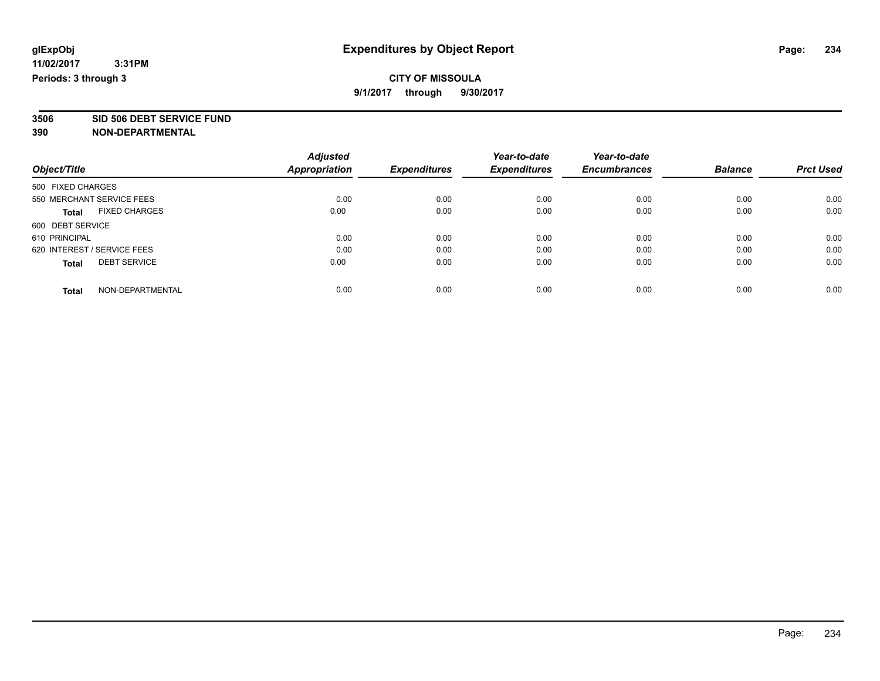**3506 SID 506 DEBT SERVICE FUND**

|                                      | <b>Adjusted</b> |                     | Year-to-date        | Year-to-date        |                |                  |
|--------------------------------------|-----------------|---------------------|---------------------|---------------------|----------------|------------------|
| Object/Title                         | Appropriation   | <b>Expenditures</b> | <b>Expenditures</b> | <b>Encumbrances</b> | <b>Balance</b> | <b>Prct Used</b> |
| 500 FIXED CHARGES                    |                 |                     |                     |                     |                |                  |
| 550 MERCHANT SERVICE FEES            | 0.00            | 0.00                | 0.00                | 0.00                | 0.00           | 0.00             |
| <b>FIXED CHARGES</b><br><b>Total</b> | 0.00            | 0.00                | 0.00                | 0.00                | 0.00           | 0.00             |
| 600 DEBT SERVICE                     |                 |                     |                     |                     |                |                  |
| 610 PRINCIPAL                        | 0.00            | 0.00                | 0.00                | 0.00                | 0.00           | 0.00             |
| 620 INTEREST / SERVICE FEES          | 0.00            | 0.00                | 0.00                | 0.00                | 0.00           | 0.00             |
| <b>DEBT SERVICE</b><br><b>Total</b>  | 0.00            | 0.00                | 0.00                | 0.00                | 0.00           | 0.00             |
| NON-DEPARTMENTAL<br><b>Total</b>     | 0.00            | 0.00                | 0.00                | 0.00                | 0.00           | 0.00             |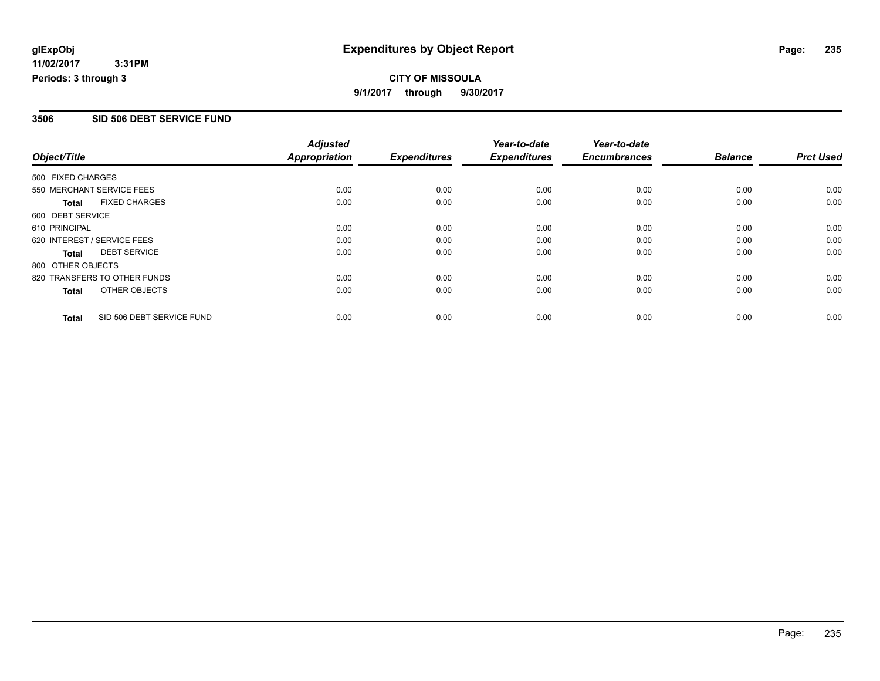# **CITY OF MISSOULA 9/1/2017 through 9/30/2017**

## **3506 SID 506 DEBT SERVICE FUND**

|                             |                              | <b>Adjusted</b>      |                     | Year-to-date        | Year-to-date        |                |                  |
|-----------------------------|------------------------------|----------------------|---------------------|---------------------|---------------------|----------------|------------------|
| Object/Title                |                              | <b>Appropriation</b> | <b>Expenditures</b> | <b>Expenditures</b> | <b>Encumbrances</b> | <b>Balance</b> | <b>Prct Used</b> |
| 500 FIXED CHARGES           |                              |                      |                     |                     |                     |                |                  |
| 550 MERCHANT SERVICE FEES   |                              | 0.00                 | 0.00                | 0.00                | 0.00                | 0.00           | 0.00             |
| <b>Total</b>                | <b>FIXED CHARGES</b>         | 0.00                 | 0.00                | 0.00                | 0.00                | 0.00           | 0.00             |
| 600 DEBT SERVICE            |                              |                      |                     |                     |                     |                |                  |
| 610 PRINCIPAL               |                              | 0.00                 | 0.00                | 0.00                | 0.00                | 0.00           | 0.00             |
| 620 INTEREST / SERVICE FEES |                              | 0.00                 | 0.00                | 0.00                | 0.00                | 0.00           | 0.00             |
| Total                       | <b>DEBT SERVICE</b>          | 0.00                 | 0.00                | 0.00                | 0.00                | 0.00           | 0.00             |
| 800 OTHER OBJECTS           |                              |                      |                     |                     |                     |                |                  |
|                             | 820 TRANSFERS TO OTHER FUNDS | 0.00                 | 0.00                | 0.00                | 0.00                | 0.00           | 0.00             |
| <b>Total</b>                | OTHER OBJECTS                | 0.00                 | 0.00                | 0.00                | 0.00                | 0.00           | 0.00             |
| <b>Total</b>                | SID 506 DEBT SERVICE FUND    | 0.00                 | 0.00                | 0.00                | 0.00                | 0.00           | 0.00             |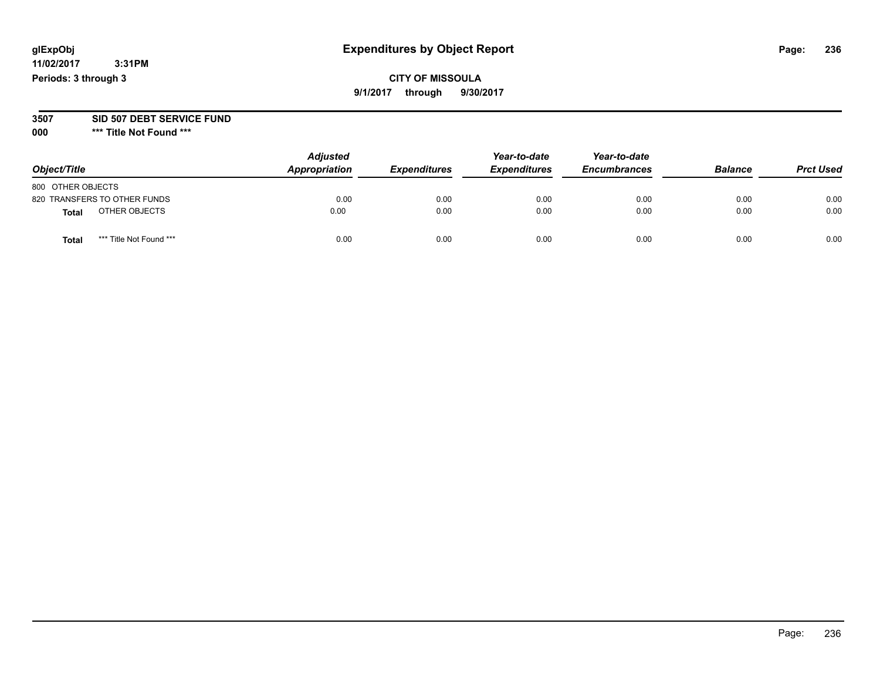## **CITY OF MISSOULA 9/1/2017 through 9/30/2017**

#### **3507 SID 507 DEBT SERVICE FUND**

| Object/Title                     | <b>Adjusted</b><br>Appropriation | <b>Expenditures</b> | Year-to-date<br><b>Expenditures</b> | Year-to-date<br><b>Encumbrances</b> | <b>Balance</b> | <b>Prct Used</b> |
|----------------------------------|----------------------------------|---------------------|-------------------------------------|-------------------------------------|----------------|------------------|
| 800 OTHER OBJECTS                |                                  |                     |                                     |                                     |                |                  |
| 820 TRANSFERS TO OTHER FUNDS     | 0.00                             | 0.00                | 0.00                                | 0.00                                | 0.00           | 0.00             |
| OTHER OBJECTS<br><b>Total</b>    | 0.00                             | 0.00                | 0.00                                | 0.00                                | 0.00           | 0.00             |
| *** Title Not Found ***<br>Total | 0.00                             | 0.00                | 0.00                                | 0.00                                | 0.00           | 0.00             |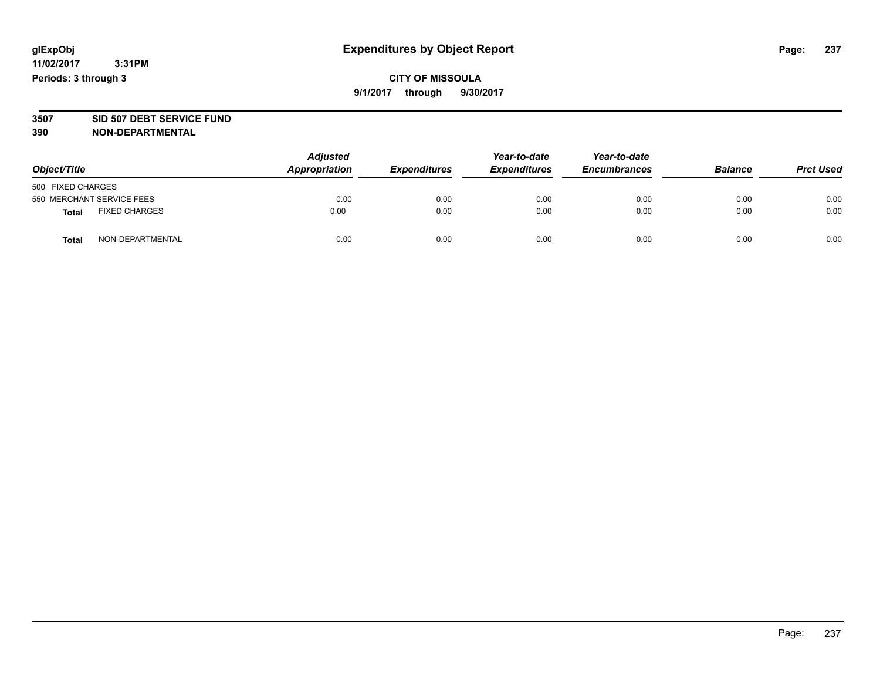**CITY OF MISSOULA 9/1/2017 through 9/30/2017**

# **3507 SID 507 DEBT SERVICE FUND**

| Object/Title              |                      | <b>Adjusted</b><br>Appropriation | <b>Expenditures</b> | Year-to-date<br><b>Expenditures</b> | Year-to-date<br><b>Encumbrances</b> | <b>Balance</b> | <b>Prct Used</b> |
|---------------------------|----------------------|----------------------------------|---------------------|-------------------------------------|-------------------------------------|----------------|------------------|
| 500 FIXED CHARGES         |                      |                                  |                     |                                     |                                     |                |                  |
| 550 MERCHANT SERVICE FEES |                      | 0.00                             | 0.00                | 0.00                                | 0.00                                | 0.00           | 0.00             |
| <b>Total</b>              | <b>FIXED CHARGES</b> | 0.00                             | 0.00                | 0.00                                | 0.00                                | 0.00           | 0.00             |
| <b>Total</b>              | NON-DEPARTMENTAL     | 0.00                             | 0.00                | 0.00                                | 0.00                                | 0.00           | 0.00             |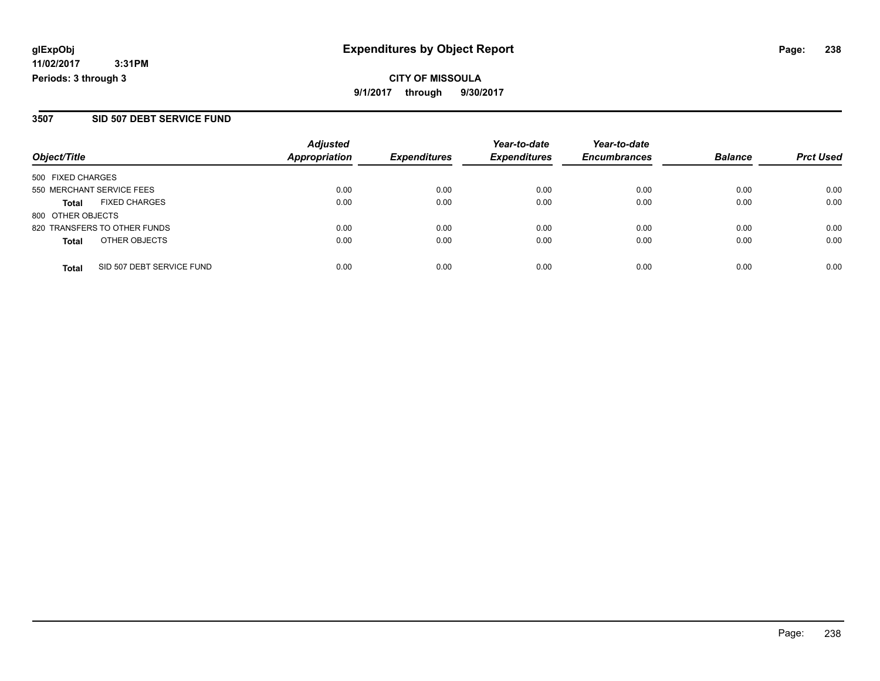## **3507 SID 507 DEBT SERVICE FUND**

| Object/Title      |                              | <b>Adjusted</b><br><b>Appropriation</b> | <b>Expenditures</b> | Year-to-date<br><b>Expenditures</b> | Year-to-date<br><b>Encumbrances</b> | <b>Balance</b> |                  |
|-------------------|------------------------------|-----------------------------------------|---------------------|-------------------------------------|-------------------------------------|----------------|------------------|
|                   |                              |                                         |                     |                                     |                                     |                | <b>Prct Used</b> |
| 500 FIXED CHARGES |                              |                                         |                     |                                     |                                     |                |                  |
|                   | 550 MERCHANT SERVICE FEES    | 0.00                                    | 0.00                | 0.00                                | 0.00                                | 0.00           | 0.00             |
| Total             | <b>FIXED CHARGES</b>         | 0.00                                    | 0.00                | 0.00                                | 0.00                                | 0.00           | 0.00             |
| 800 OTHER OBJECTS |                              |                                         |                     |                                     |                                     |                |                  |
|                   | 820 TRANSFERS TO OTHER FUNDS | 0.00                                    | 0.00                | 0.00                                | 0.00                                | 0.00           | 0.00             |
| <b>Total</b>      | OTHER OBJECTS                | 0.00                                    | 0.00                | 0.00                                | 0.00                                | 0.00           | 0.00             |
| <b>Total</b>      | SID 507 DEBT SERVICE FUND    | 0.00                                    | 0.00                | 0.00                                | 0.00                                | 0.00           | 0.00             |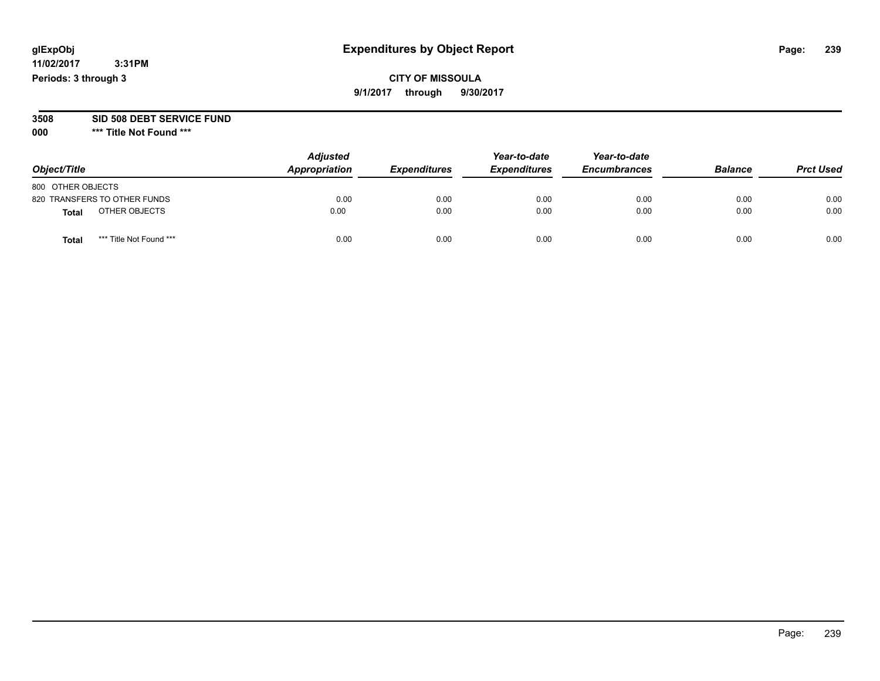## **CITY OF MISSOULA 9/1/2017 through 9/30/2017**

#### **3508 SID 508 DEBT SERVICE FUND**

| Object/Title                     | <b>Adjusted</b><br>Appropriation | <b>Expenditures</b> | Year-to-date<br><b>Expenditures</b> | Year-to-date<br><b>Encumbrances</b> | <b>Balance</b> | <b>Prct Used</b> |
|----------------------------------|----------------------------------|---------------------|-------------------------------------|-------------------------------------|----------------|------------------|
| 800 OTHER OBJECTS                |                                  |                     |                                     |                                     |                |                  |
| 820 TRANSFERS TO OTHER FUNDS     | 0.00                             | 0.00                | 0.00                                | 0.00                                | 0.00           | 0.00             |
| OTHER OBJECTS<br><b>Total</b>    | 0.00                             | 0.00                | 0.00                                | 0.00                                | 0.00           | 0.00             |
| *** Title Not Found ***<br>Total | 0.00                             | 0.00                | 0.00                                | 0.00                                | 0.00           | 0.00             |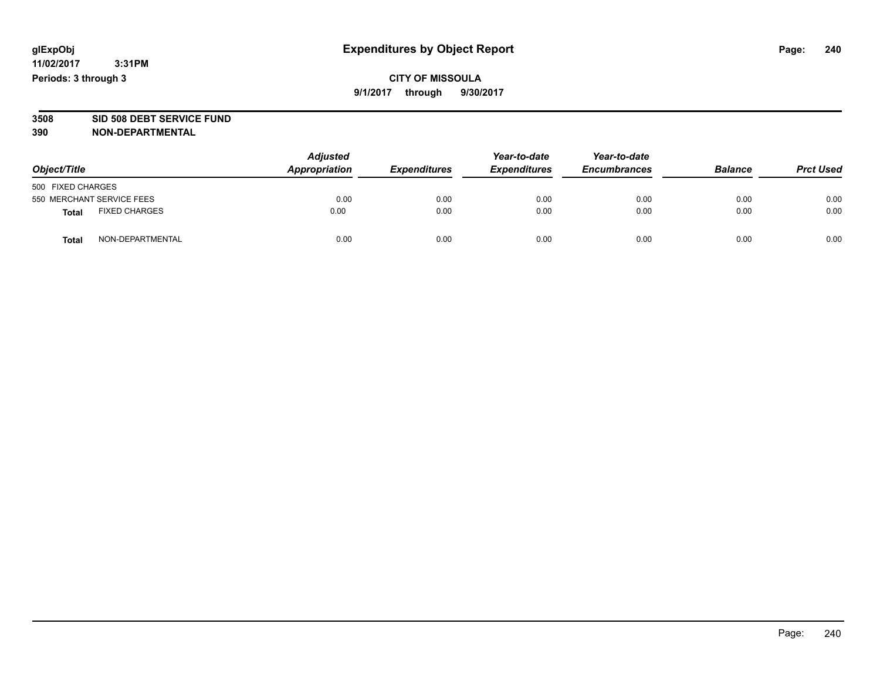## **CITY OF MISSOULA 9/1/2017 through 9/30/2017**

# **3508 SID 508 DEBT SERVICE FUND**

| Object/Title                         | <b>Adjusted</b><br>Appropriation | <b>Expenditures</b> | Year-to-date<br><b>Expenditures</b> | Year-to-date<br><b>Encumbrances</b> | <b>Balance</b> | <b>Prct Used</b> |
|--------------------------------------|----------------------------------|---------------------|-------------------------------------|-------------------------------------|----------------|------------------|
| 500 FIXED CHARGES                    |                                  |                     |                                     |                                     |                |                  |
| 550 MERCHANT SERVICE FEES            | 0.00                             | 0.00                | 0.00                                | 0.00                                | 0.00           | 0.00             |
| <b>FIXED CHARGES</b><br><b>Total</b> | 0.00                             | 0.00                | 0.00                                | 0.00                                | 0.00           | 0.00             |
| NON-DEPARTMENTAL<br>Total            | 0.00                             | 0.00                | 0.00                                | 0.00                                | 0.00           | 0.00             |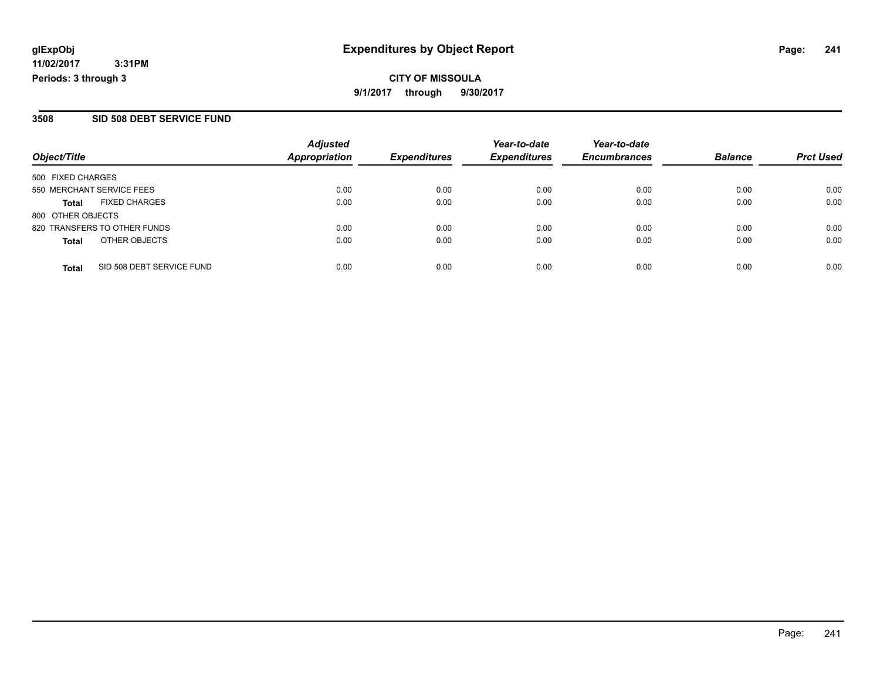## **3508 SID 508 DEBT SERVICE FUND**

| Object/Title      |                              | <b>Adjusted</b><br><b>Appropriation</b> | <b>Expenditures</b> | Year-to-date<br><b>Expenditures</b> | Year-to-date<br><b>Encumbrances</b> | <b>Balance</b> | <b>Prct Used</b> |
|-------------------|------------------------------|-----------------------------------------|---------------------|-------------------------------------|-------------------------------------|----------------|------------------|
|                   |                              |                                         |                     |                                     |                                     |                |                  |
|                   | 550 MERCHANT SERVICE FEES    | 0.00                                    | 0.00                | 0.00                                | 0.00                                | 0.00           | 0.00             |
| <b>Total</b>      | <b>FIXED CHARGES</b>         | 0.00                                    | 0.00                | 0.00                                | 0.00                                | 0.00           | 0.00             |
| 800 OTHER OBJECTS |                              |                                         |                     |                                     |                                     |                |                  |
|                   | 820 TRANSFERS TO OTHER FUNDS | 0.00                                    | 0.00                | 0.00                                | 0.00                                | 0.00           | 0.00             |
| <b>Total</b>      | OTHER OBJECTS                | 0.00                                    | 0.00                | 0.00                                | 0.00                                | 0.00           | 0.00             |
| <b>Total</b>      | SID 508 DEBT SERVICE FUND    | 0.00                                    | 0.00                | 0.00                                | 0.00                                | 0.00           | 0.00             |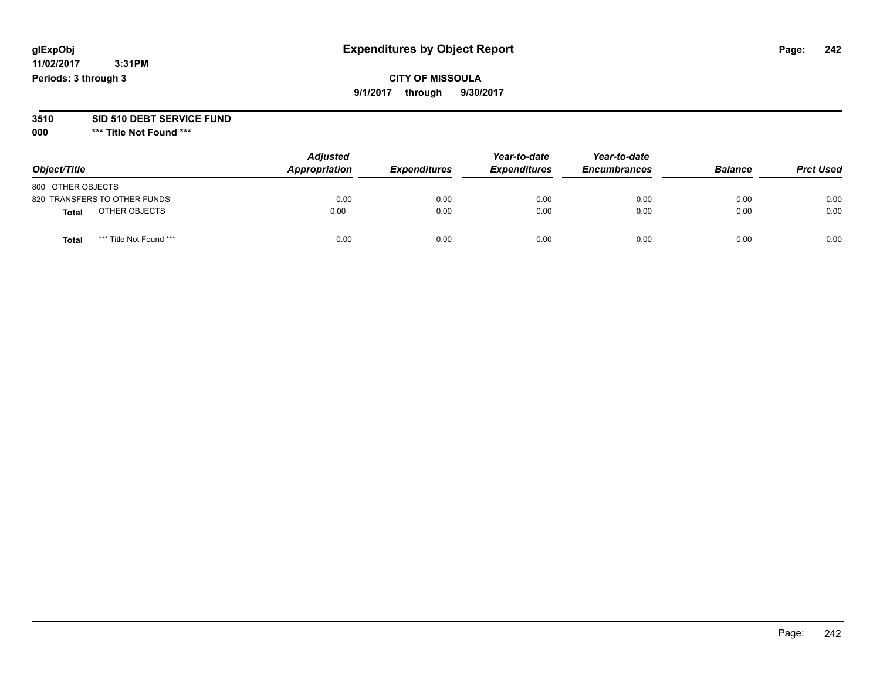## **CITY OF MISSOULA 9/1/2017 through 9/30/2017**

# **3510 SID 510 DEBT SERVICE FUND**

| Object/Title                            | <b>Adjusted</b><br>Appropriation | <b>Expenditures</b> | Year-to-date<br><b>Expenditures</b> | Year-to-date<br><b>Encumbrances</b> | <b>Balance</b> | <b>Prct Used</b> |
|-----------------------------------------|----------------------------------|---------------------|-------------------------------------|-------------------------------------|----------------|------------------|
| 800 OTHER OBJECTS                       |                                  |                     |                                     |                                     |                |                  |
| 820 TRANSFERS TO OTHER FUNDS            | 0.00                             | 0.00                | 0.00                                | 0.00                                | 0.00           | 0.00             |
| OTHER OBJECTS<br><b>Total</b>           | 0.00                             | 0.00                | 0.00                                | 0.00                                | 0.00           | 0.00             |
| *** Title Not Found ***<br><b>Total</b> | 0.00                             | 0.00                | 0.00                                | 0.00                                | 0.00           | 0.00             |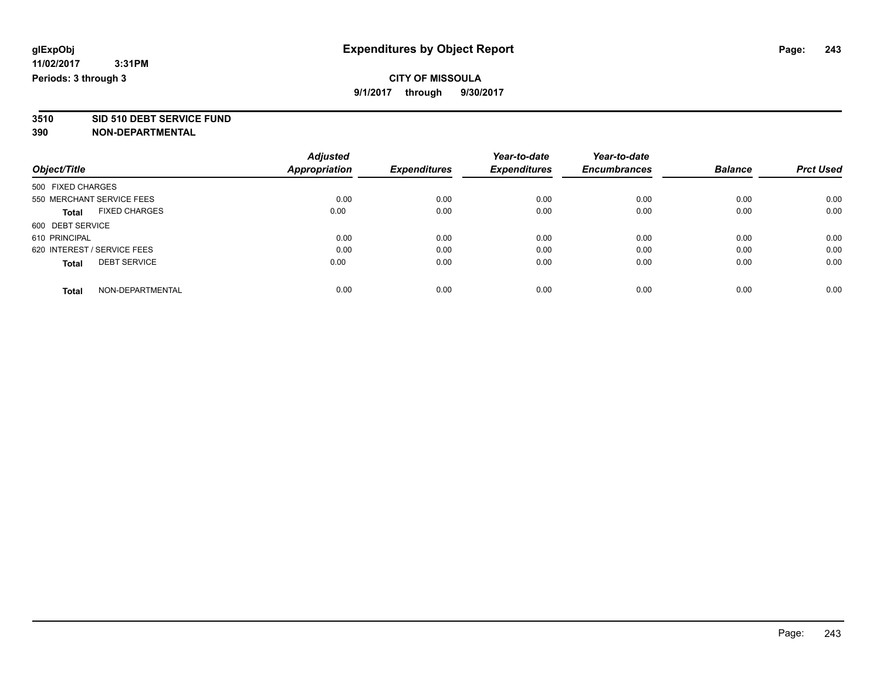**3510 SID 510 DEBT SERVICE FUND**

|                                      | <b>Adjusted</b> | <b>Expenditures</b> | Year-to-date<br><b>Expenditures</b> | Year-to-date<br><b>Encumbrances</b> | <b>Balance</b> | <b>Prct Used</b> |
|--------------------------------------|-----------------|---------------------|-------------------------------------|-------------------------------------|----------------|------------------|
| Object/Title                         | Appropriation   |                     |                                     |                                     |                |                  |
| 500 FIXED CHARGES                    |                 |                     |                                     |                                     |                |                  |
| 550 MERCHANT SERVICE FEES            | 0.00            | 0.00                | 0.00                                | 0.00                                | 0.00           | 0.00             |
| <b>FIXED CHARGES</b><br><b>Total</b> | 0.00            | 0.00                | 0.00                                | 0.00                                | 0.00           | 0.00             |
| 600 DEBT SERVICE                     |                 |                     |                                     |                                     |                |                  |
| 610 PRINCIPAL                        | 0.00            | 0.00                | 0.00                                | 0.00                                | 0.00           | 0.00             |
| 620 INTEREST / SERVICE FEES          | 0.00            | 0.00                | 0.00                                | 0.00                                | 0.00           | 0.00             |
| <b>DEBT SERVICE</b><br><b>Total</b>  | 0.00            | 0.00                | 0.00                                | 0.00                                | 0.00           | 0.00             |
| NON-DEPARTMENTAL<br><b>Total</b>     | 0.00            | 0.00                | 0.00                                | 0.00                                | 0.00           | 0.00             |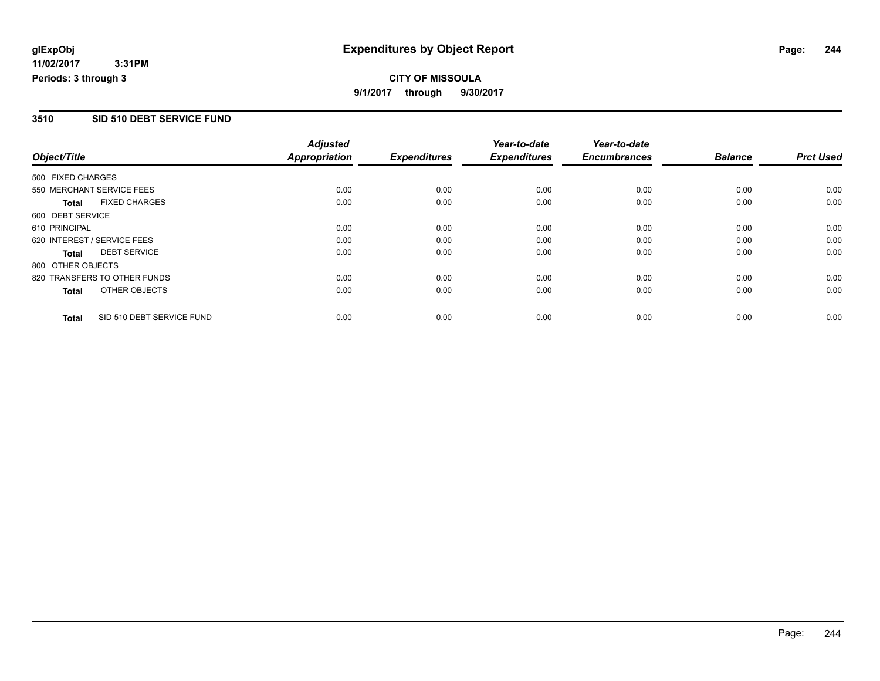# **CITY OF MISSOULA 9/1/2017 through 9/30/2017**

## **3510 SID 510 DEBT SERVICE FUND**

|                   |                              | <b>Adjusted</b>      |                     | Year-to-date        | Year-to-date        |                |                  |
|-------------------|------------------------------|----------------------|---------------------|---------------------|---------------------|----------------|------------------|
| Object/Title      |                              | <b>Appropriation</b> | <b>Expenditures</b> | <b>Expenditures</b> | <b>Encumbrances</b> | <b>Balance</b> | <b>Prct Used</b> |
| 500 FIXED CHARGES |                              |                      |                     |                     |                     |                |                  |
|                   | 550 MERCHANT SERVICE FEES    | 0.00                 | 0.00                | 0.00                | 0.00                | 0.00           | 0.00             |
| <b>Total</b>      | <b>FIXED CHARGES</b>         | 0.00                 | 0.00                | 0.00                | 0.00                | 0.00           | 0.00             |
| 600 DEBT SERVICE  |                              |                      |                     |                     |                     |                |                  |
| 610 PRINCIPAL     |                              | 0.00                 | 0.00                | 0.00                | 0.00                | 0.00           | 0.00             |
|                   | 620 INTEREST / SERVICE FEES  | 0.00                 | 0.00                | 0.00                | 0.00                | 0.00           | 0.00             |
| Total             | <b>DEBT SERVICE</b>          | 0.00                 | 0.00                | 0.00                | 0.00                | 0.00           | 0.00             |
| 800 OTHER OBJECTS |                              |                      |                     |                     |                     |                |                  |
|                   | 820 TRANSFERS TO OTHER FUNDS | 0.00                 | 0.00                | 0.00                | 0.00                | 0.00           | 0.00             |
| <b>Total</b>      | OTHER OBJECTS                | 0.00                 | 0.00                | 0.00                | 0.00                | 0.00           | 0.00             |
| <b>Total</b>      | SID 510 DEBT SERVICE FUND    | 0.00                 | 0.00                | 0.00                | 0.00                | 0.00           | 0.00             |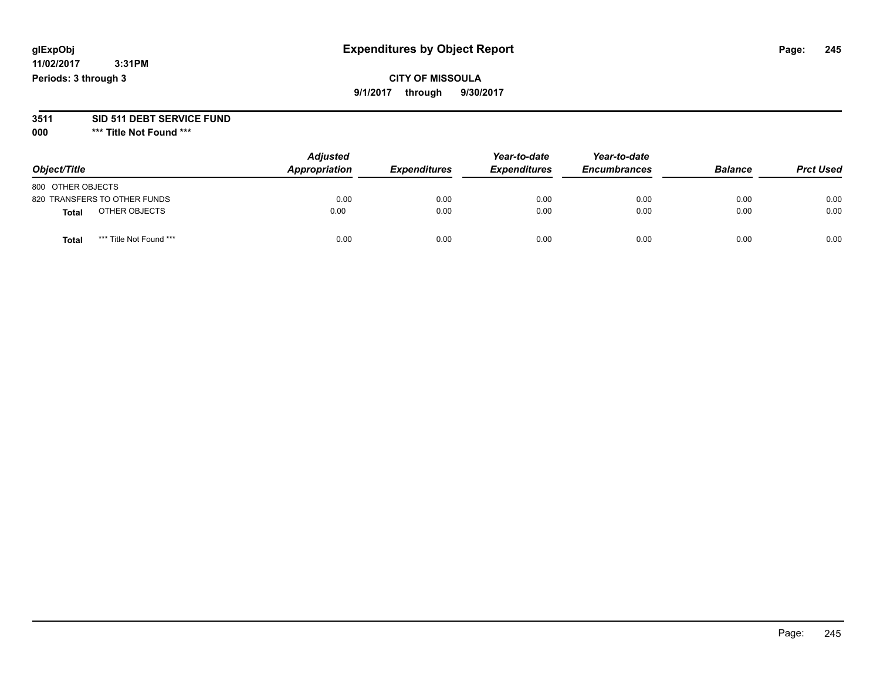## **CITY OF MISSOULA 9/1/2017 through 9/30/2017**

# **3511 SID 511 DEBT SERVICE FUND**

| Object/Title                            | <b>Adjusted</b><br>Appropriation | <b>Expenditures</b> | Year-to-date<br><b>Expenditures</b> | Year-to-date<br><b>Encumbrances</b> | <b>Balance</b> | <b>Prct Used</b> |
|-----------------------------------------|----------------------------------|---------------------|-------------------------------------|-------------------------------------|----------------|------------------|
| 800 OTHER OBJECTS                       |                                  |                     |                                     |                                     |                |                  |
| 820 TRANSFERS TO OTHER FUNDS            | 0.00                             | 0.00                | 0.00                                | 0.00                                | 0.00           | 0.00             |
| OTHER OBJECTS<br><b>Total</b>           | 0.00                             | 0.00                | 0.00                                | 0.00                                | 0.00           | 0.00             |
| *** Title Not Found ***<br><b>Total</b> | 0.00                             | 0.00                | 0.00                                | 0.00                                | 0.00           | 0.00             |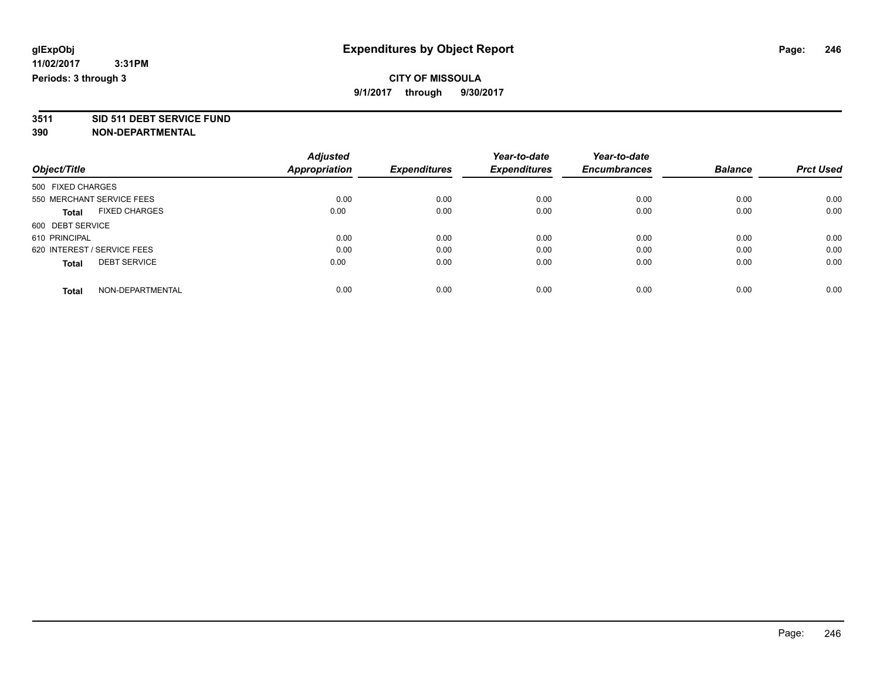**3511 SID 511 DEBT SERVICE FUND**

|                                      | <b>Adjusted</b>      | <b>Expenditures</b> | Year-to-date<br><b>Expenditures</b> | Year-to-date<br><b>Encumbrances</b> | <b>Balance</b> | <b>Prct Used</b> |
|--------------------------------------|----------------------|---------------------|-------------------------------------|-------------------------------------|----------------|------------------|
| Object/Title                         | <b>Appropriation</b> |                     |                                     |                                     |                |                  |
| 500 FIXED CHARGES                    |                      |                     |                                     |                                     |                |                  |
| 550 MERCHANT SERVICE FEES            | 0.00                 | 0.00                | 0.00                                | 0.00                                | 0.00           | 0.00             |
| <b>FIXED CHARGES</b><br><b>Total</b> | 0.00                 | 0.00                | 0.00                                | 0.00                                | 0.00           | 0.00             |
| 600 DEBT SERVICE                     |                      |                     |                                     |                                     |                |                  |
| 610 PRINCIPAL                        | 0.00                 | 0.00                | 0.00                                | 0.00                                | 0.00           | 0.00             |
| 620 INTEREST / SERVICE FEES          | 0.00                 | 0.00                | 0.00                                | 0.00                                | 0.00           | 0.00             |
| <b>DEBT SERVICE</b><br><b>Total</b>  | 0.00                 | 0.00                | 0.00                                | 0.00                                | 0.00           | 0.00             |
| NON-DEPARTMENTAL<br><b>Total</b>     | 0.00                 | 0.00                | 0.00                                | 0.00                                | 0.00           | 0.00             |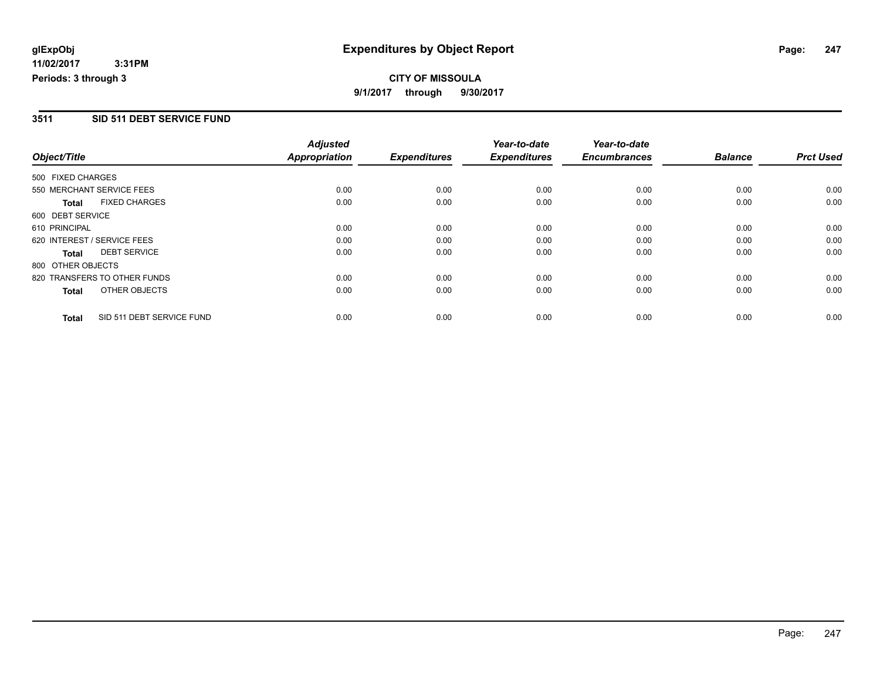# **CITY OF MISSOULA 9/1/2017 through 9/30/2017**

### **3511 SID 511 DEBT SERVICE FUND**

|                   |                              | <b>Adjusted</b>      |                     | Year-to-date        | Year-to-date        |                |                  |
|-------------------|------------------------------|----------------------|---------------------|---------------------|---------------------|----------------|------------------|
| Object/Title      |                              | <b>Appropriation</b> | <b>Expenditures</b> | <b>Expenditures</b> | <b>Encumbrances</b> | <b>Balance</b> | <b>Prct Used</b> |
| 500 FIXED CHARGES |                              |                      |                     |                     |                     |                |                  |
|                   | 550 MERCHANT SERVICE FEES    | 0.00                 | 0.00                | 0.00                | 0.00                | 0.00           | 0.00             |
| <b>Total</b>      | <b>FIXED CHARGES</b>         | 0.00                 | 0.00                | 0.00                | 0.00                | 0.00           | 0.00             |
| 600 DEBT SERVICE  |                              |                      |                     |                     |                     |                |                  |
| 610 PRINCIPAL     |                              | 0.00                 | 0.00                | 0.00                | 0.00                | 0.00           | 0.00             |
|                   | 620 INTEREST / SERVICE FEES  | 0.00                 | 0.00                | 0.00                | 0.00                | 0.00           | 0.00             |
| Total             | <b>DEBT SERVICE</b>          | 0.00                 | 0.00                | 0.00                | 0.00                | 0.00           | 0.00             |
| 800 OTHER OBJECTS |                              |                      |                     |                     |                     |                |                  |
|                   | 820 TRANSFERS TO OTHER FUNDS | 0.00                 | 0.00                | 0.00                | 0.00                | 0.00           | 0.00             |
| <b>Total</b>      | OTHER OBJECTS                | 0.00                 | 0.00                | 0.00                | 0.00                | 0.00           | 0.00             |
| <b>Total</b>      | SID 511 DEBT SERVICE FUND    | 0.00                 | 0.00                | 0.00                | 0.00                | 0.00           | 0.00             |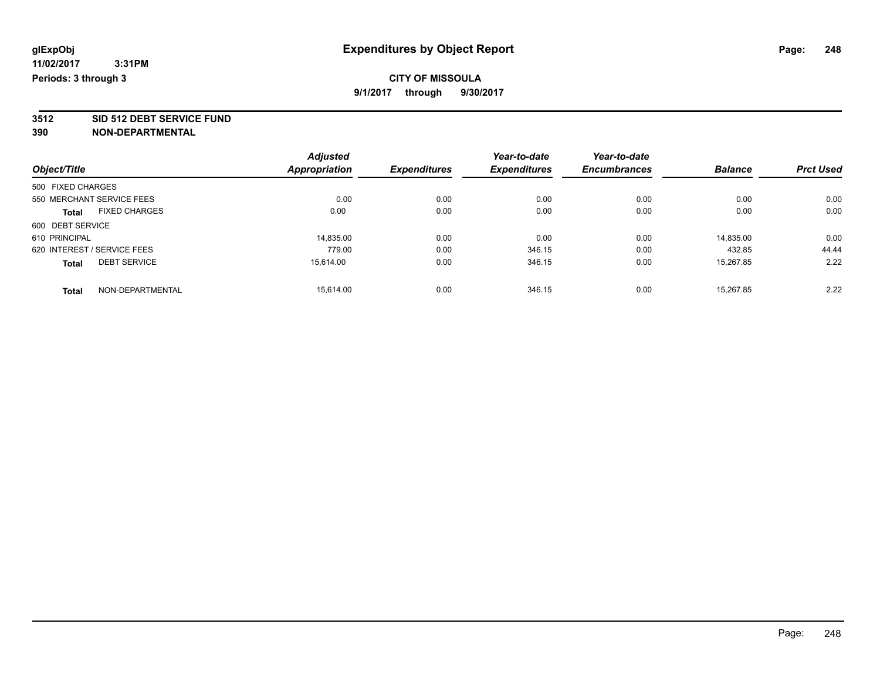**3512 SID 512 DEBT SERVICE FUND**

|                                      | <b>Adjusted</b>      |                     | Year-to-date        | Year-to-date        |                |                  |
|--------------------------------------|----------------------|---------------------|---------------------|---------------------|----------------|------------------|
| Object/Title                         | <b>Appropriation</b> | <b>Expenditures</b> | <b>Expenditures</b> | <b>Encumbrances</b> | <b>Balance</b> | <b>Prct Used</b> |
| 500 FIXED CHARGES                    |                      |                     |                     |                     |                |                  |
| 550 MERCHANT SERVICE FEES            | 0.00                 | 0.00                | 0.00                | 0.00                | 0.00           | 0.00             |
| <b>FIXED CHARGES</b><br><b>Total</b> | 0.00                 | 0.00                | 0.00                | 0.00                | 0.00           | 0.00             |
| 600 DEBT SERVICE                     |                      |                     |                     |                     |                |                  |
| 610 PRINCIPAL                        | 14.835.00            | 0.00                | 0.00                | 0.00                | 14.835.00      | 0.00             |
| 620 INTEREST / SERVICE FEES          | 779.00               | 0.00                | 346.15              | 0.00                | 432.85         | 44.44            |
| <b>DEBT SERVICE</b><br><b>Total</b>  | 15.614.00            | 0.00                | 346.15              | 0.00                | 15.267.85      | 2.22             |
| NON-DEPARTMENTAL<br><b>Total</b>     | 15.614.00            | 0.00                | 346.15              | 0.00                | 15.267.85      | 2.22             |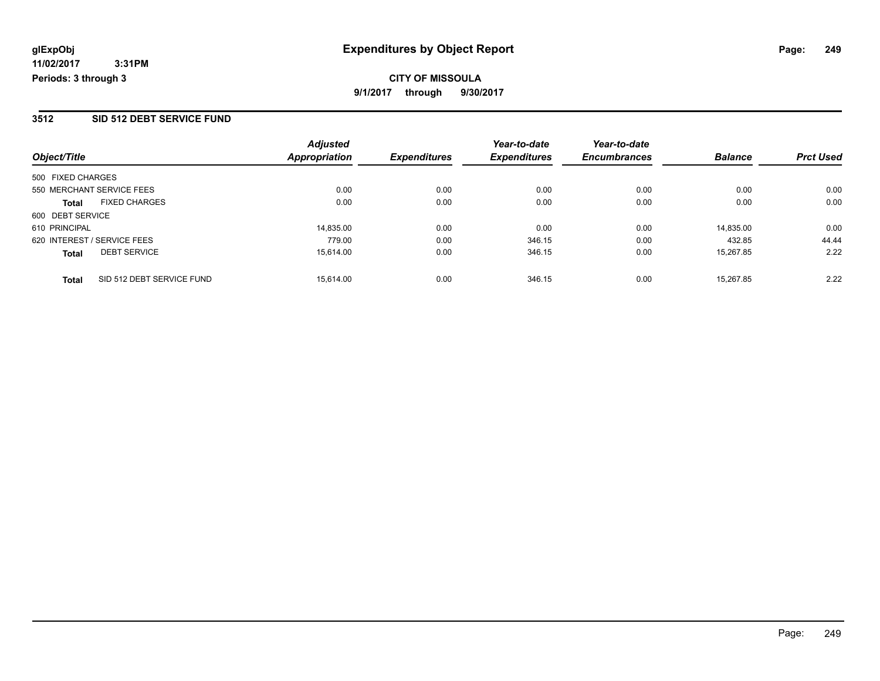### **3512 SID 512 DEBT SERVICE FUND**

|                                           | <b>Adjusted</b>      |                     | Year-to-date        | Year-to-date        |                |                  |
|-------------------------------------------|----------------------|---------------------|---------------------|---------------------|----------------|------------------|
| Object/Title                              | <b>Appropriation</b> | <b>Expenditures</b> | <b>Expenditures</b> | <b>Encumbrances</b> | <b>Balance</b> | <b>Prct Used</b> |
| 500 FIXED CHARGES                         |                      |                     |                     |                     |                |                  |
| 550 MERCHANT SERVICE FEES                 | 0.00                 | 0.00                | 0.00                | 0.00                | 0.00           | 0.00             |
| <b>FIXED CHARGES</b><br><b>Total</b>      | 0.00                 | 0.00                | 0.00                | 0.00                | 0.00           | 0.00             |
| 600 DEBT SERVICE                          |                      |                     |                     |                     |                |                  |
| 610 PRINCIPAL                             | 14.835.00            | 0.00                | 0.00                | 0.00                | 14.835.00      | 0.00             |
| 620 INTEREST / SERVICE FEES               | 779.00               | 0.00                | 346.15              | 0.00                | 432.85         | 44.44            |
| <b>DEBT SERVICE</b><br><b>Total</b>       | 15.614.00            | 0.00                | 346.15              | 0.00                | 15.267.85      | 2.22             |
| SID 512 DEBT SERVICE FUND<br><b>Total</b> | 15.614.00            | 0.00                | 346.15              | 0.00                | 15.267.85      | 2.22             |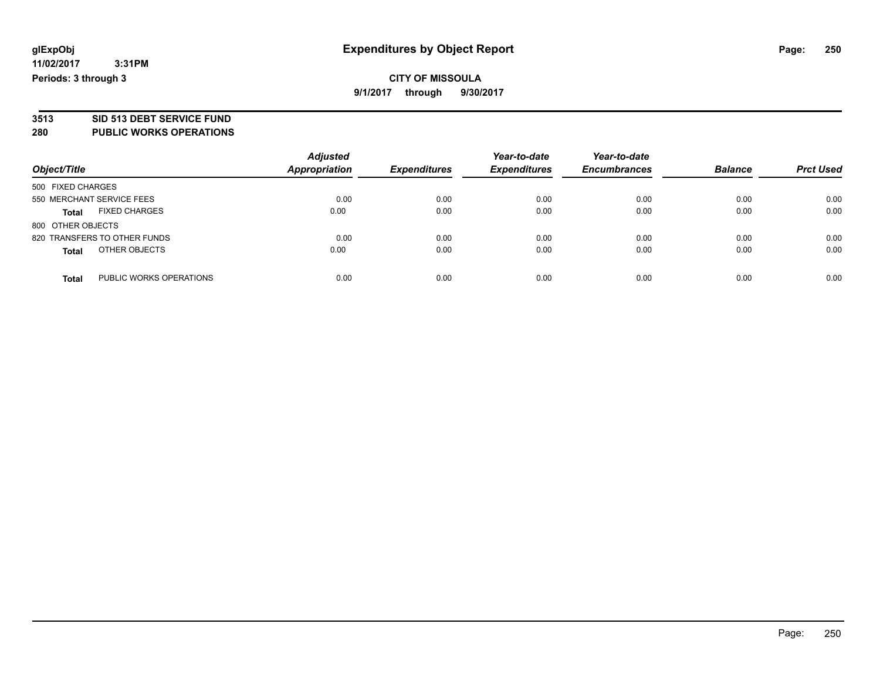## **CITY OF MISSOULA 9/1/2017 through 9/30/2017**

# **3513 SID 513 DEBT SERVICE FUND**

**280 PUBLIC WORKS OPERATIONS**

| Object/Title                            | <b>Adjusted</b><br><b>Appropriation</b> | <b>Expenditures</b> | Year-to-date<br><b>Expenditures</b> | Year-to-date<br><b>Encumbrances</b> | <b>Balance</b> | <b>Prct Used</b> |
|-----------------------------------------|-----------------------------------------|---------------------|-------------------------------------|-------------------------------------|----------------|------------------|
| 500 FIXED CHARGES                       |                                         |                     |                                     |                                     |                |                  |
| 550 MERCHANT SERVICE FEES               | 0.00                                    | 0.00                | 0.00                                | 0.00                                | 0.00           | 0.00             |
| <b>FIXED CHARGES</b><br><b>Total</b>    | 0.00                                    | 0.00                | 0.00                                | 0.00                                | 0.00           | 0.00             |
| 800 OTHER OBJECTS                       |                                         |                     |                                     |                                     |                |                  |
| 820 TRANSFERS TO OTHER FUNDS            | 0.00                                    | 0.00                | 0.00                                | 0.00                                | 0.00           | 0.00             |
| OTHER OBJECTS<br><b>Total</b>           | 0.00                                    | 0.00                | 0.00                                | 0.00                                | 0.00           | 0.00             |
| PUBLIC WORKS OPERATIONS<br><b>Total</b> | 0.00                                    | 0.00                | 0.00                                | 0.00                                | 0.00           | 0.00             |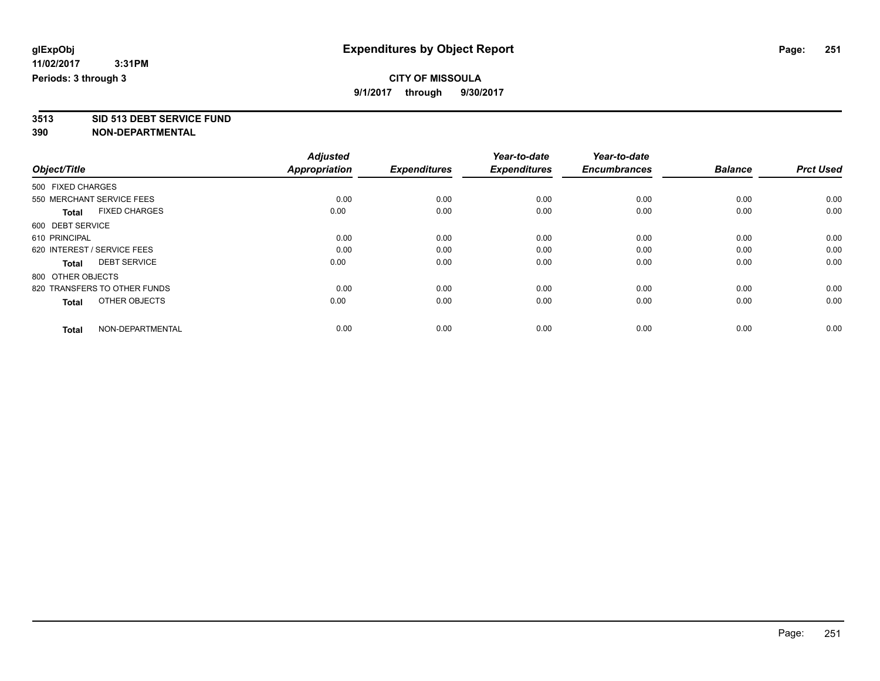**3513 SID 513 DEBT SERVICE FUND**

|                                      | <b>Adjusted</b>      |                     | Year-to-date        | Year-to-date        |                |                  |
|--------------------------------------|----------------------|---------------------|---------------------|---------------------|----------------|------------------|
| Object/Title                         | <b>Appropriation</b> | <b>Expenditures</b> | <b>Expenditures</b> | <b>Encumbrances</b> | <b>Balance</b> | <b>Prct Used</b> |
| 500 FIXED CHARGES                    |                      |                     |                     |                     |                |                  |
| 550 MERCHANT SERVICE FEES            | 0.00                 | 0.00                | 0.00                | 0.00                | 0.00           | 0.00             |
| <b>FIXED CHARGES</b><br><b>Total</b> | 0.00                 | 0.00                | 0.00                | 0.00                | 0.00           | 0.00             |
| 600 DEBT SERVICE                     |                      |                     |                     |                     |                |                  |
| 610 PRINCIPAL                        | 0.00                 | 0.00                | 0.00                | 0.00                | 0.00           | 0.00             |
| 620 INTEREST / SERVICE FEES          | 0.00                 | 0.00                | 0.00                | 0.00                | 0.00           | 0.00             |
| <b>DEBT SERVICE</b><br><b>Total</b>  | 0.00                 | 0.00                | 0.00                | 0.00                | 0.00           | 0.00             |
| 800 OTHER OBJECTS                    |                      |                     |                     |                     |                |                  |
| 820 TRANSFERS TO OTHER FUNDS         | 0.00                 | 0.00                | 0.00                | 0.00                | 0.00           | 0.00             |
| OTHER OBJECTS<br><b>Total</b>        | 0.00                 | 0.00                | 0.00                | 0.00                | 0.00           | 0.00             |
|                                      |                      |                     |                     |                     |                |                  |
| NON-DEPARTMENTAL<br><b>Total</b>     | 0.00                 | 0.00                | 0.00                | 0.00                | 0.00           | 0.00             |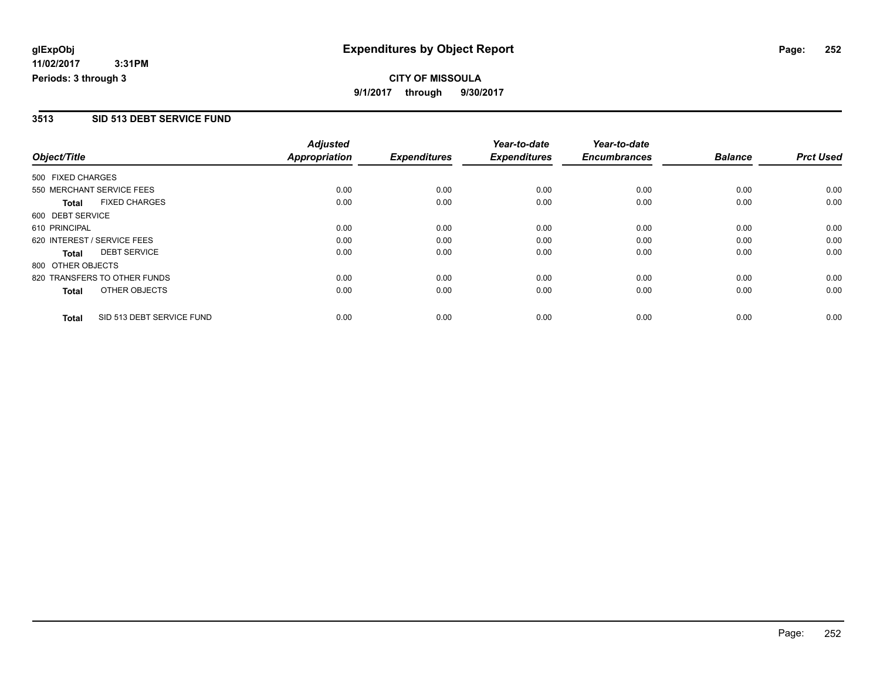# **CITY OF MISSOULA 9/1/2017 through 9/30/2017**

## **3513 SID 513 DEBT SERVICE FUND**

|                   |                              | <b>Adjusted</b>      |                     | Year-to-date        | Year-to-date        |                |                  |
|-------------------|------------------------------|----------------------|---------------------|---------------------|---------------------|----------------|------------------|
| Object/Title      |                              | <b>Appropriation</b> | <b>Expenditures</b> | <b>Expenditures</b> | <b>Encumbrances</b> | <b>Balance</b> | <b>Prct Used</b> |
| 500 FIXED CHARGES |                              |                      |                     |                     |                     |                |                  |
|                   | 550 MERCHANT SERVICE FEES    | 0.00                 | 0.00                | 0.00                | 0.00                | 0.00           | 0.00             |
| <b>Total</b>      | <b>FIXED CHARGES</b>         | 0.00                 | 0.00                | 0.00                | 0.00                | 0.00           | 0.00             |
| 600 DEBT SERVICE  |                              |                      |                     |                     |                     |                |                  |
| 610 PRINCIPAL     |                              | 0.00                 | 0.00                | 0.00                | 0.00                | 0.00           | 0.00             |
|                   | 620 INTEREST / SERVICE FEES  | 0.00                 | 0.00                | 0.00                | 0.00                | 0.00           | 0.00             |
| Total             | <b>DEBT SERVICE</b>          | 0.00                 | 0.00                | 0.00                | 0.00                | 0.00           | 0.00             |
| 800 OTHER OBJECTS |                              |                      |                     |                     |                     |                |                  |
|                   | 820 TRANSFERS TO OTHER FUNDS | 0.00                 | 0.00                | 0.00                | 0.00                | 0.00           | 0.00             |
| <b>Total</b>      | OTHER OBJECTS                | 0.00                 | 0.00                | 0.00                | 0.00                | 0.00           | 0.00             |
| <b>Total</b>      | SID 513 DEBT SERVICE FUND    | 0.00                 | 0.00                | 0.00                | 0.00                | 0.00           | 0.00             |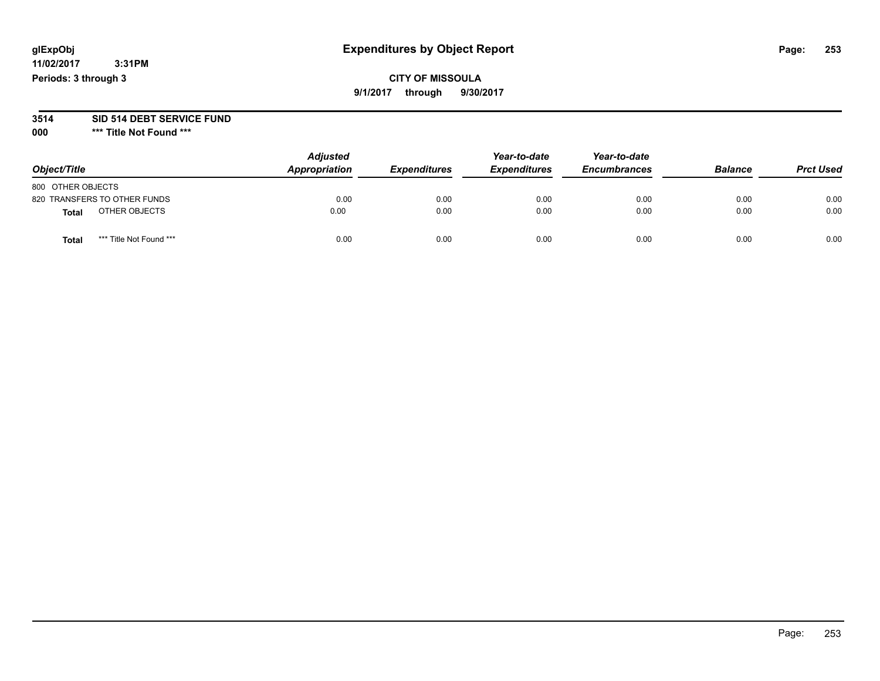## **CITY OF MISSOULA 9/1/2017 through 9/30/2017**

#### **3514 SID 514 DEBT SERVICE FUND**

**000 \*\*\* Title Not Found \*\*\***

| Object/Title                     | <b>Adjusted</b><br>Appropriation | <b>Expenditures</b> | Year-to-date<br><b>Expenditures</b> | Year-to-date<br><b>Encumbrances</b> | <b>Balance</b> | <b>Prct Used</b> |
|----------------------------------|----------------------------------|---------------------|-------------------------------------|-------------------------------------|----------------|------------------|
| 800 OTHER OBJECTS                |                                  |                     |                                     |                                     |                |                  |
| 820 TRANSFERS TO OTHER FUNDS     | 0.00                             | 0.00                | 0.00                                | 0.00                                | 0.00           | 0.00             |
| OTHER OBJECTS<br><b>Total</b>    | 0.00                             | 0.00                | 0.00                                | 0.00                                | 0.00           | 0.00             |
| *** Title Not Found ***<br>Total | 0.00                             | 0.00                | 0.00                                | 0.00                                | 0.00           | 0.00             |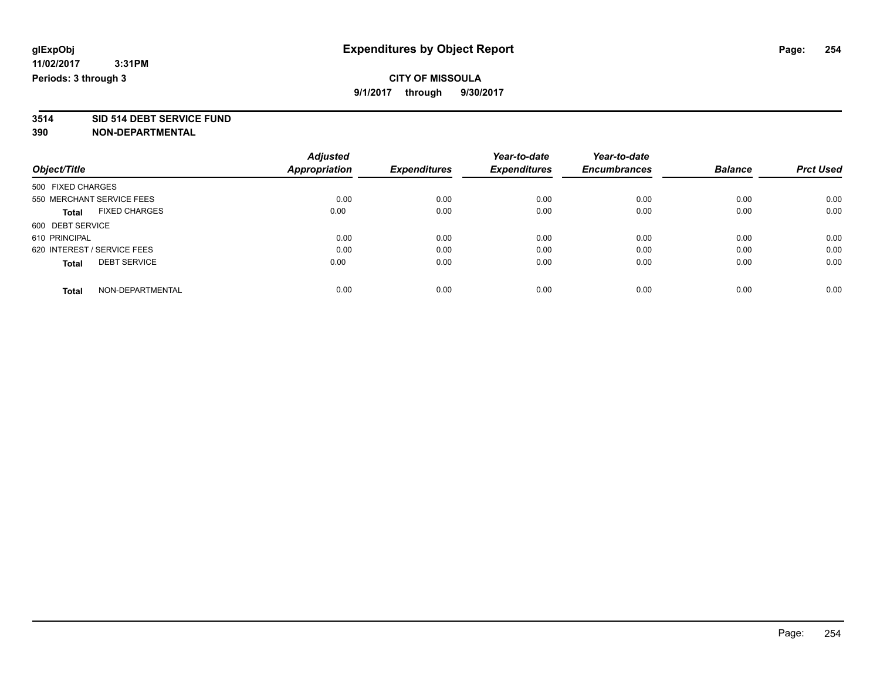**3514 SID 514 DEBT SERVICE FUND**

|                                      | <b>Adjusted</b>      | <b>Expenditures</b> | Year-to-date        | Year-to-date        | <b>Balance</b> | <b>Prct Used</b> |
|--------------------------------------|----------------------|---------------------|---------------------|---------------------|----------------|------------------|
| Object/Title                         | <b>Appropriation</b> |                     | <b>Expenditures</b> | <b>Encumbrances</b> |                |                  |
| 500 FIXED CHARGES                    |                      |                     |                     |                     |                |                  |
| 550 MERCHANT SERVICE FEES            | 0.00                 | 0.00                | 0.00                | 0.00                | 0.00           | 0.00             |
| <b>FIXED CHARGES</b><br><b>Total</b> | 0.00                 | 0.00                | 0.00                | 0.00                | 0.00           | 0.00             |
| 600 DEBT SERVICE                     |                      |                     |                     |                     |                |                  |
| 610 PRINCIPAL                        | 0.00                 | 0.00                | 0.00                | 0.00                | 0.00           | 0.00             |
| 620 INTEREST / SERVICE FEES          | 0.00                 | 0.00                | 0.00                | 0.00                | 0.00           | 0.00             |
| <b>DEBT SERVICE</b><br><b>Total</b>  | 0.00                 | 0.00                | 0.00                | 0.00                | 0.00           | 0.00             |
| NON-DEPARTMENTAL<br><b>Total</b>     | 0.00                 | 0.00                | 0.00                | 0.00                | 0.00           | 0.00             |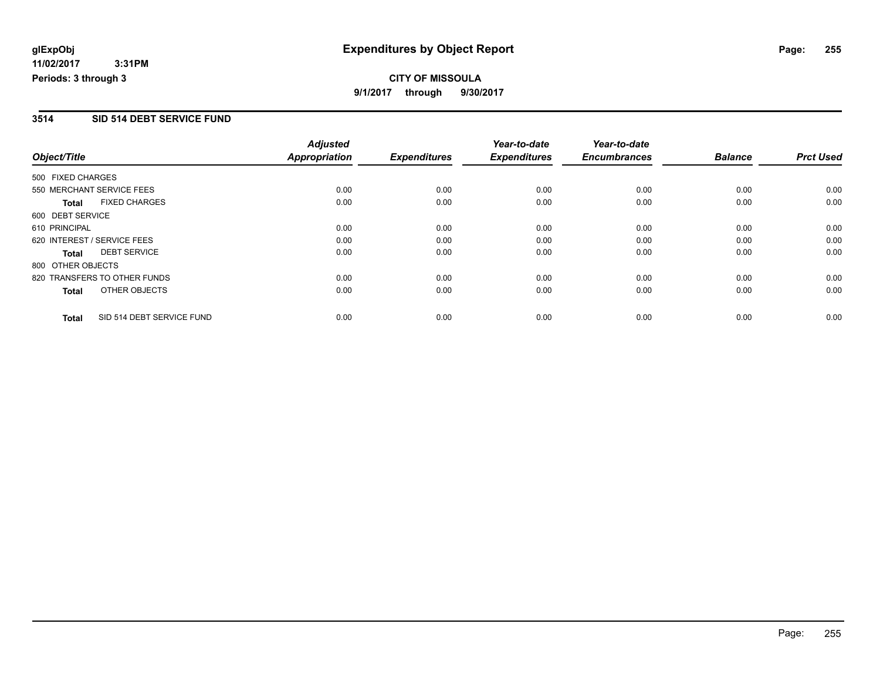## **CITY OF MISSOULA 9/1/2017 through 9/30/2017**

#### **3514 SID 514 DEBT SERVICE FUND**

|                   |                              | <b>Adjusted</b>      |                     | Year-to-date        | Year-to-date        |                |                  |
|-------------------|------------------------------|----------------------|---------------------|---------------------|---------------------|----------------|------------------|
| Object/Title      |                              | <b>Appropriation</b> | <b>Expenditures</b> | <b>Expenditures</b> | <b>Encumbrances</b> | <b>Balance</b> | <b>Prct Used</b> |
| 500 FIXED CHARGES |                              |                      |                     |                     |                     |                |                  |
|                   | 550 MERCHANT SERVICE FEES    | 0.00                 | 0.00                | 0.00                | 0.00                | 0.00           | 0.00             |
| <b>Total</b>      | <b>FIXED CHARGES</b>         | 0.00                 | 0.00                | 0.00                | 0.00                | 0.00           | 0.00             |
| 600 DEBT SERVICE  |                              |                      |                     |                     |                     |                |                  |
| 610 PRINCIPAL     |                              | 0.00                 | 0.00                | 0.00                | 0.00                | 0.00           | 0.00             |
|                   | 620 INTEREST / SERVICE FEES  | 0.00                 | 0.00                | 0.00                | 0.00                | 0.00           | 0.00             |
| Total             | <b>DEBT SERVICE</b>          | 0.00                 | 0.00                | 0.00                | 0.00                | 0.00           | 0.00             |
| 800 OTHER OBJECTS |                              |                      |                     |                     |                     |                |                  |
|                   | 820 TRANSFERS TO OTHER FUNDS | 0.00                 | 0.00                | 0.00                | 0.00                | 0.00           | 0.00             |
| <b>Total</b>      | OTHER OBJECTS                | 0.00                 | 0.00                | 0.00                | 0.00                | 0.00           | 0.00             |
| <b>Total</b>      | SID 514 DEBT SERVICE FUND    | 0.00                 | 0.00                | 0.00                | 0.00                | 0.00           | 0.00             |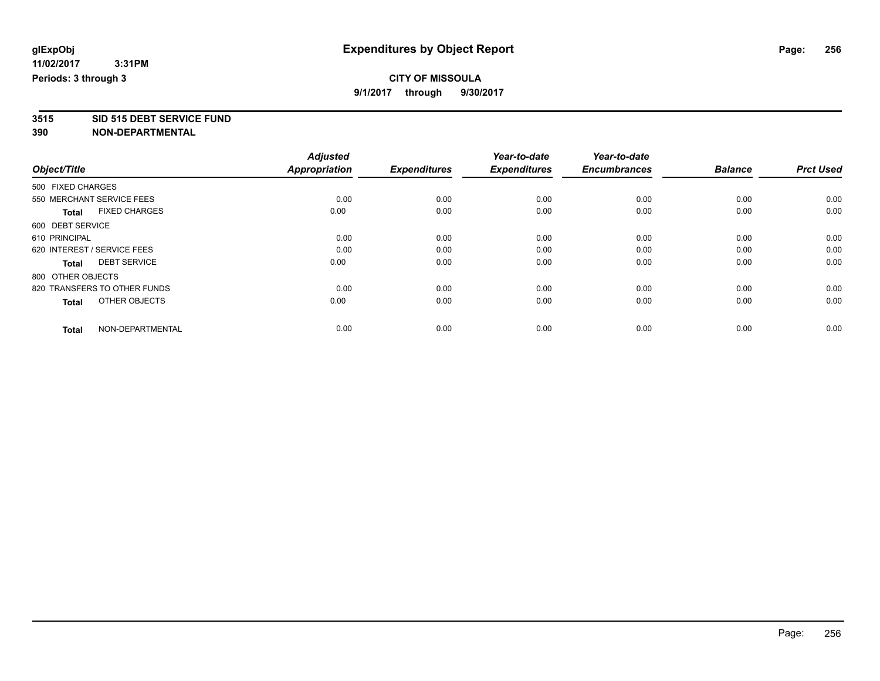**3515 SID 515 DEBT SERVICE FUND**

|                                      | <b>Adjusted</b>      |                     | Year-to-date        | Year-to-date        |                |                  |
|--------------------------------------|----------------------|---------------------|---------------------|---------------------|----------------|------------------|
| Object/Title                         | <b>Appropriation</b> | <b>Expenditures</b> | <b>Expenditures</b> | <b>Encumbrances</b> | <b>Balance</b> | <b>Prct Used</b> |
| 500 FIXED CHARGES                    |                      |                     |                     |                     |                |                  |
| 550 MERCHANT SERVICE FEES            | 0.00                 | 0.00                | 0.00                | 0.00                | 0.00           | 0.00             |
| <b>FIXED CHARGES</b><br><b>Total</b> | 0.00                 | 0.00                | 0.00                | 0.00                | 0.00           | 0.00             |
| 600 DEBT SERVICE                     |                      |                     |                     |                     |                |                  |
| 610 PRINCIPAL                        | 0.00                 | 0.00                | 0.00                | 0.00                | 0.00           | 0.00             |
| 620 INTEREST / SERVICE FEES          | 0.00                 | 0.00                | 0.00                | 0.00                | 0.00           | 0.00             |
| <b>DEBT SERVICE</b><br><b>Total</b>  | 0.00                 | 0.00                | 0.00                | 0.00                | 0.00           | 0.00             |
| 800 OTHER OBJECTS                    |                      |                     |                     |                     |                |                  |
| 820 TRANSFERS TO OTHER FUNDS         | 0.00                 | 0.00                | 0.00                | 0.00                | 0.00           | 0.00             |
| OTHER OBJECTS<br><b>Total</b>        | 0.00                 | 0.00                | 0.00                | 0.00                | 0.00           | 0.00             |
|                                      |                      |                     |                     |                     |                |                  |
| NON-DEPARTMENTAL<br><b>Total</b>     | 0.00                 | 0.00                | 0.00                | 0.00                | 0.00           | 0.00             |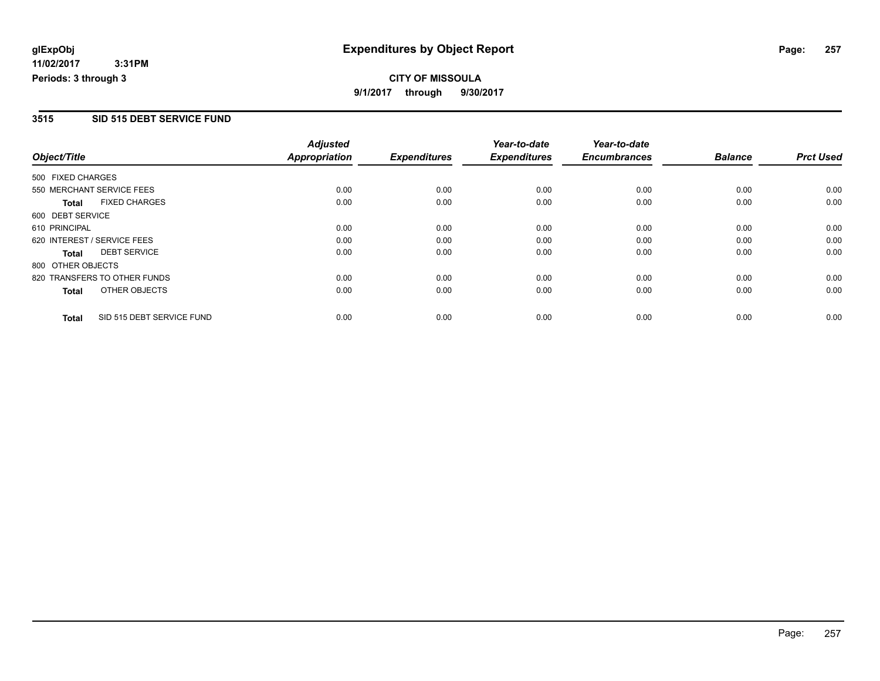## **CITY OF MISSOULA 9/1/2017 through 9/30/2017**

#### **3515 SID 515 DEBT SERVICE FUND**

|                   |                              | <b>Adjusted</b>      |                     | Year-to-date        | Year-to-date        |                |                  |
|-------------------|------------------------------|----------------------|---------------------|---------------------|---------------------|----------------|------------------|
| Object/Title      |                              | <b>Appropriation</b> | <b>Expenditures</b> | <b>Expenditures</b> | <b>Encumbrances</b> | <b>Balance</b> | <b>Prct Used</b> |
| 500 FIXED CHARGES |                              |                      |                     |                     |                     |                |                  |
|                   | 550 MERCHANT SERVICE FEES    | 0.00                 | 0.00                | 0.00                | 0.00                | 0.00           | 0.00             |
| <b>Total</b>      | <b>FIXED CHARGES</b>         | 0.00                 | 0.00                | 0.00                | 0.00                | 0.00           | 0.00             |
| 600 DEBT SERVICE  |                              |                      |                     |                     |                     |                |                  |
| 610 PRINCIPAL     |                              | 0.00                 | 0.00                | 0.00                | 0.00                | 0.00           | 0.00             |
|                   | 620 INTEREST / SERVICE FEES  | 0.00                 | 0.00                | 0.00                | 0.00                | 0.00           | 0.00             |
| Total             | <b>DEBT SERVICE</b>          | 0.00                 | 0.00                | 0.00                | 0.00                | 0.00           | 0.00             |
| 800 OTHER OBJECTS |                              |                      |                     |                     |                     |                |                  |
|                   | 820 TRANSFERS TO OTHER FUNDS | 0.00                 | 0.00                | 0.00                | 0.00                | 0.00           | 0.00             |
| <b>Total</b>      | OTHER OBJECTS                | 0.00                 | 0.00                | 0.00                | 0.00                | 0.00           | 0.00             |
| <b>Total</b>      | SID 515 DEBT SERVICE FUND    | 0.00                 | 0.00                | 0.00                | 0.00                | 0.00           | 0.00             |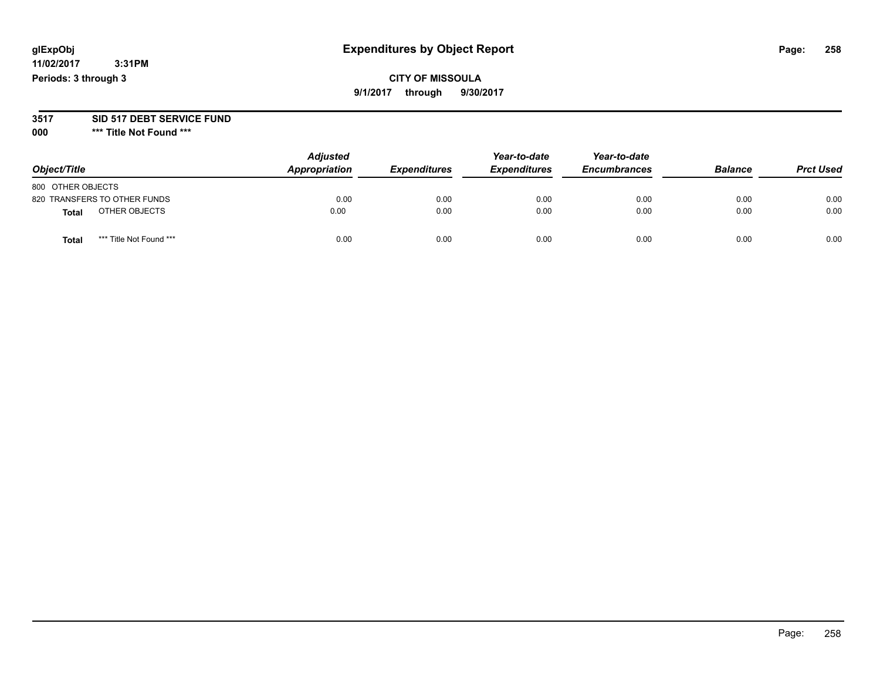## **CITY OF MISSOULA 9/1/2017 through 9/30/2017**

#### **3517 SID 517 DEBT SERVICE FUND**

**000 \*\*\* Title Not Found \*\*\***

| Object/Title                            | <b>Adjusted</b><br>Appropriation | <b>Expenditures</b> | Year-to-date<br><b>Expenditures</b> | Year-to-date<br><b>Encumbrances</b> | <b>Balance</b> | <b>Prct Used</b> |
|-----------------------------------------|----------------------------------|---------------------|-------------------------------------|-------------------------------------|----------------|------------------|
| 800 OTHER OBJECTS                       |                                  |                     |                                     |                                     |                |                  |
| 820 TRANSFERS TO OTHER FUNDS            | 0.00                             | 0.00                | 0.00                                | 0.00                                | 0.00           | 0.00             |
| OTHER OBJECTS<br>Total                  | 0.00                             | 0.00                | 0.00                                | 0.00                                | 0.00           | 0.00             |
| *** Title Not Found ***<br><b>Total</b> | 0.00                             | 0.00                | 0.00                                | 0.00                                | 0.00           | 0.00             |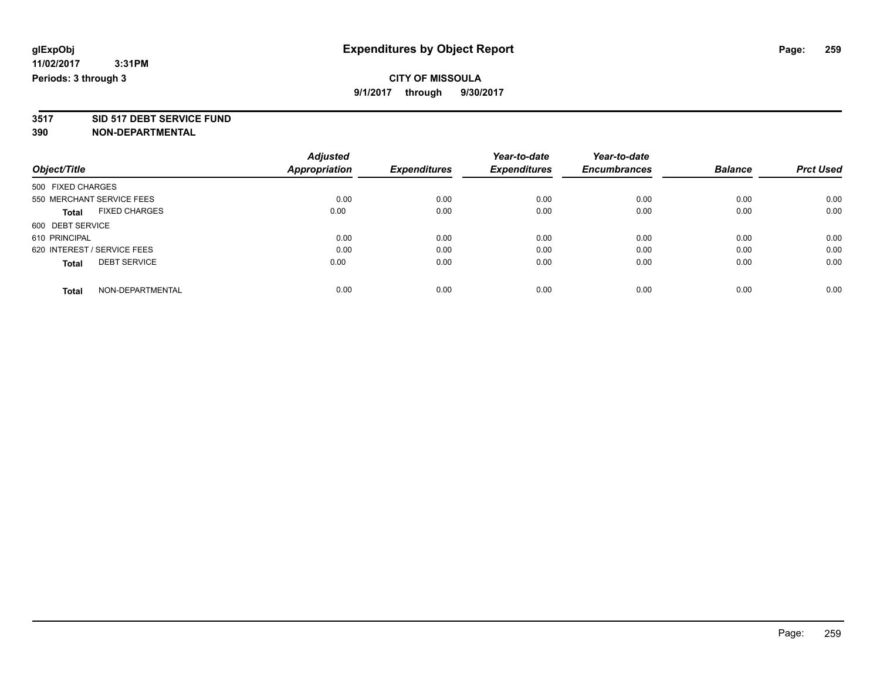**3517 SID 517 DEBT SERVICE FUND**

|                                      | <b>Adjusted</b> |                     | Year-to-date        | Year-to-date        |                |                  |
|--------------------------------------|-----------------|---------------------|---------------------|---------------------|----------------|------------------|
| Object/Title                         | Appropriation   | <b>Expenditures</b> | <b>Expenditures</b> | <b>Encumbrances</b> | <b>Balance</b> | <b>Prct Used</b> |
| 500 FIXED CHARGES                    |                 |                     |                     |                     |                |                  |
| 550 MERCHANT SERVICE FEES            | 0.00            | 0.00                | 0.00                | 0.00                | 0.00           | 0.00             |
| <b>FIXED CHARGES</b><br><b>Total</b> | 0.00            | 0.00                | 0.00                | 0.00                | 0.00           | 0.00             |
| 600 DEBT SERVICE                     |                 |                     |                     |                     |                |                  |
| 610 PRINCIPAL                        | 0.00            | 0.00                | 0.00                | 0.00                | 0.00           | 0.00             |
| 620 INTEREST / SERVICE FEES          | 0.00            | 0.00                | 0.00                | 0.00                | 0.00           | 0.00             |
| <b>DEBT SERVICE</b><br><b>Total</b>  | 0.00            | 0.00                | 0.00                | 0.00                | 0.00           | 0.00             |
| NON-DEPARTMENTAL<br><b>Total</b>     | 0.00            | 0.00                | 0.00                | 0.00                | 0.00           | 0.00             |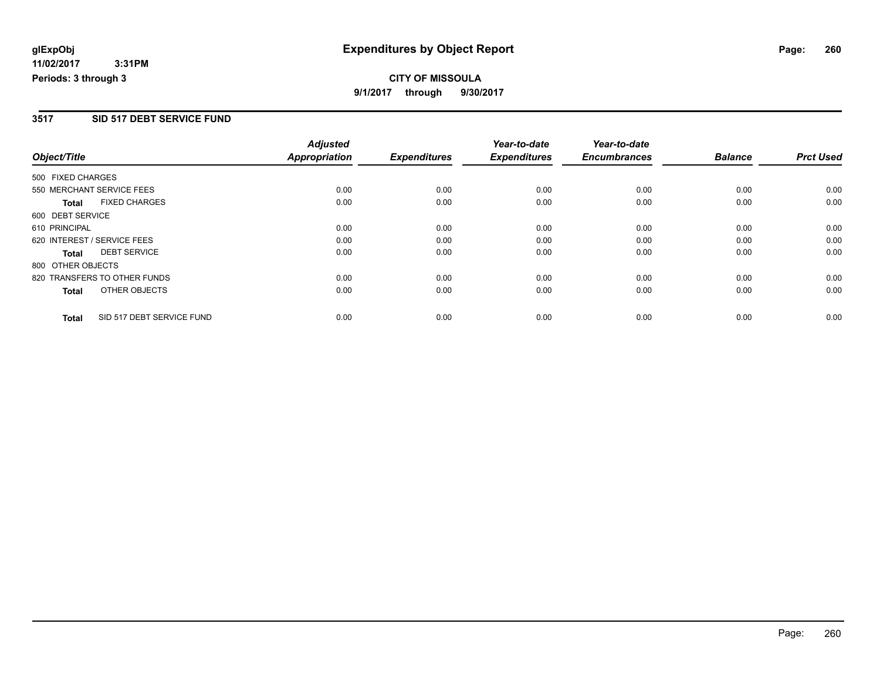## **CITY OF MISSOULA 9/1/2017 through 9/30/2017**

#### **3517 SID 517 DEBT SERVICE FUND**

|                   |                              | <b>Adjusted</b>      |                     | Year-to-date        | Year-to-date        |                |                  |
|-------------------|------------------------------|----------------------|---------------------|---------------------|---------------------|----------------|------------------|
| Object/Title      |                              | <b>Appropriation</b> | <b>Expenditures</b> | <b>Expenditures</b> | <b>Encumbrances</b> | <b>Balance</b> | <b>Prct Used</b> |
| 500 FIXED CHARGES |                              |                      |                     |                     |                     |                |                  |
|                   | 550 MERCHANT SERVICE FEES    | 0.00                 | 0.00                | 0.00                | 0.00                | 0.00           | 0.00             |
| <b>Total</b>      | <b>FIXED CHARGES</b>         | 0.00                 | 0.00                | 0.00                | 0.00                | 0.00           | 0.00             |
| 600 DEBT SERVICE  |                              |                      |                     |                     |                     |                |                  |
| 610 PRINCIPAL     |                              | 0.00                 | 0.00                | 0.00                | 0.00                | 0.00           | 0.00             |
|                   | 620 INTEREST / SERVICE FEES  | 0.00                 | 0.00                | 0.00                | 0.00                | 0.00           | 0.00             |
| <b>Total</b>      | <b>DEBT SERVICE</b>          | 0.00                 | 0.00                | 0.00                | 0.00                | 0.00           | 0.00             |
| 800 OTHER OBJECTS |                              |                      |                     |                     |                     |                |                  |
|                   | 820 TRANSFERS TO OTHER FUNDS | 0.00                 | 0.00                | 0.00                | 0.00                | 0.00           | 0.00             |
| <b>Total</b>      | OTHER OBJECTS                | 0.00                 | 0.00                | 0.00                | 0.00                | 0.00           | 0.00             |
| <b>Total</b>      | SID 517 DEBT SERVICE FUND    | 0.00                 | 0.00                | 0.00                | 0.00                | 0.00           | 0.00             |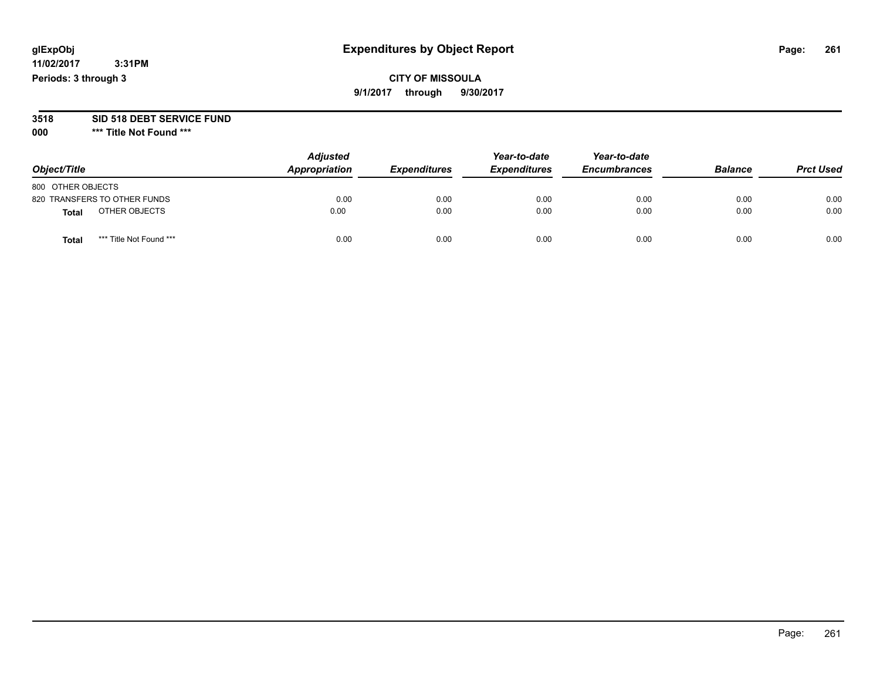## **CITY OF MISSOULA 9/1/2017 through 9/30/2017**

# **3518 SID 518 DEBT SERVICE FUND**

**000 \*\*\* Title Not Found \*\*\***

| Object/Title                     | <b>Adjusted</b><br>Appropriation | <b>Expenditures</b> | Year-to-date<br><b>Expenditures</b> | Year-to-date<br><b>Encumbrances</b> | <b>Balance</b> | <b>Prct Used</b> |
|----------------------------------|----------------------------------|---------------------|-------------------------------------|-------------------------------------|----------------|------------------|
| 800 OTHER OBJECTS                |                                  |                     |                                     |                                     |                |                  |
| 820 TRANSFERS TO OTHER FUNDS     | 0.00                             | 0.00                | 0.00                                | 0.00                                | 0.00           | 0.00             |
| OTHER OBJECTS<br><b>Total</b>    | 0.00                             | 0.00                | 0.00                                | 0.00                                | 0.00           | 0.00             |
| *** Title Not Found ***<br>Total | 0.00                             | 0.00                | 0.00                                | 0.00                                | 0.00           | 0.00             |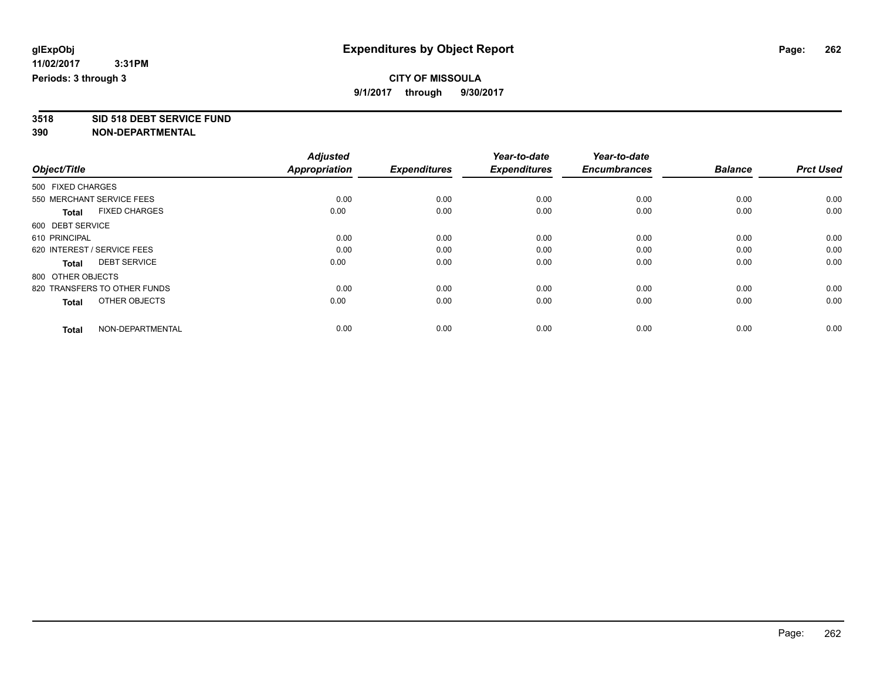**3518 SID 518 DEBT SERVICE FUND**

|                                      | <b>Adjusted</b>      |                     | Year-to-date        | Year-to-date        |                |                  |
|--------------------------------------|----------------------|---------------------|---------------------|---------------------|----------------|------------------|
| Object/Title                         | <b>Appropriation</b> | <b>Expenditures</b> | <b>Expenditures</b> | <b>Encumbrances</b> | <b>Balance</b> | <b>Prct Used</b> |
| 500 FIXED CHARGES                    |                      |                     |                     |                     |                |                  |
| 550 MERCHANT SERVICE FEES            | 0.00                 | 0.00                | 0.00                | 0.00                | 0.00           | 0.00             |
| <b>FIXED CHARGES</b><br><b>Total</b> | 0.00                 | 0.00                | 0.00                | 0.00                | 0.00           | 0.00             |
| 600 DEBT SERVICE                     |                      |                     |                     |                     |                |                  |
| 610 PRINCIPAL                        | 0.00                 | 0.00                | 0.00                | 0.00                | 0.00           | 0.00             |
| 620 INTEREST / SERVICE FEES          | 0.00                 | 0.00                | 0.00                | 0.00                | 0.00           | 0.00             |
| <b>DEBT SERVICE</b><br><b>Total</b>  | 0.00                 | 0.00                | 0.00                | 0.00                | 0.00           | 0.00             |
| 800 OTHER OBJECTS                    |                      |                     |                     |                     |                |                  |
| 820 TRANSFERS TO OTHER FUNDS         | 0.00                 | 0.00                | 0.00                | 0.00                | 0.00           | 0.00             |
| OTHER OBJECTS<br><b>Total</b>        | 0.00                 | 0.00                | 0.00                | 0.00                | 0.00           | 0.00             |
|                                      |                      |                     |                     |                     |                |                  |
| NON-DEPARTMENTAL<br><b>Total</b>     | 0.00                 | 0.00                | 0.00                | 0.00                | 0.00           | 0.00             |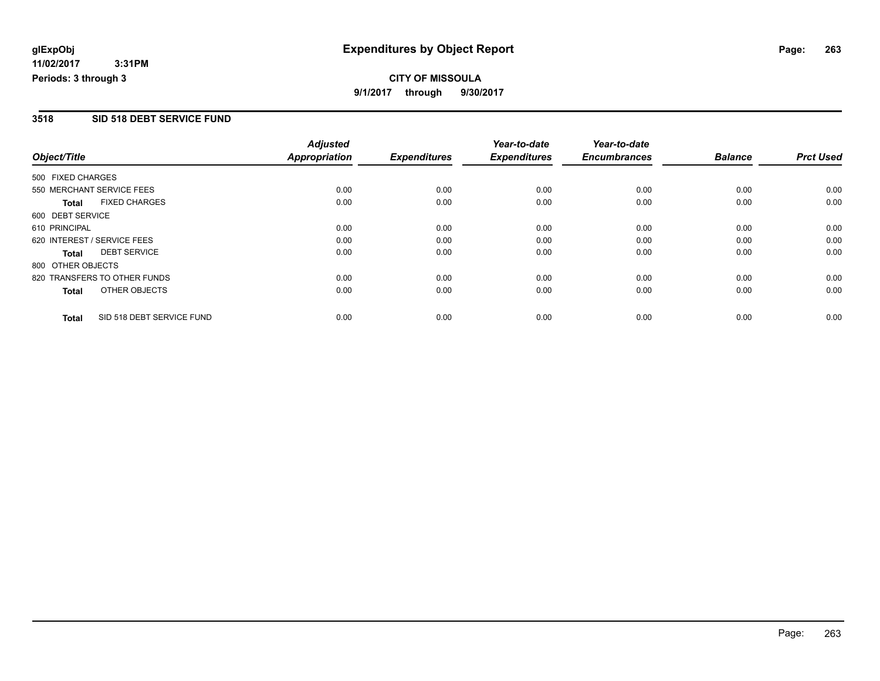## **CITY OF MISSOULA 9/1/2017 through 9/30/2017**

#### **3518 SID 518 DEBT SERVICE FUND**

|                   |                              | <b>Adjusted</b>      |                     | Year-to-date        | Year-to-date        |                |                  |
|-------------------|------------------------------|----------------------|---------------------|---------------------|---------------------|----------------|------------------|
| Object/Title      |                              | <b>Appropriation</b> | <b>Expenditures</b> | <b>Expenditures</b> | <b>Encumbrances</b> | <b>Balance</b> | <b>Prct Used</b> |
| 500 FIXED CHARGES |                              |                      |                     |                     |                     |                |                  |
|                   | 550 MERCHANT SERVICE FEES    | 0.00                 | 0.00                | 0.00                | 0.00                | 0.00           | 0.00             |
| <b>Total</b>      | <b>FIXED CHARGES</b>         | 0.00                 | 0.00                | 0.00                | 0.00                | 0.00           | 0.00             |
| 600 DEBT SERVICE  |                              |                      |                     |                     |                     |                |                  |
| 610 PRINCIPAL     |                              | 0.00                 | 0.00                | 0.00                | 0.00                | 0.00           | 0.00             |
|                   | 620 INTEREST / SERVICE FEES  | 0.00                 | 0.00                | 0.00                | 0.00                | 0.00           | 0.00             |
| Total             | <b>DEBT SERVICE</b>          | 0.00                 | 0.00                | 0.00                | 0.00                | 0.00           | 0.00             |
| 800 OTHER OBJECTS |                              |                      |                     |                     |                     |                |                  |
|                   | 820 TRANSFERS TO OTHER FUNDS | 0.00                 | 0.00                | 0.00                | 0.00                | 0.00           | 0.00             |
| <b>Total</b>      | OTHER OBJECTS                | 0.00                 | 0.00                | 0.00                | 0.00                | 0.00           | 0.00             |
| <b>Total</b>      | SID 518 DEBT SERVICE FUND    | 0.00                 | 0.00                | 0.00                | 0.00                | 0.00           | 0.00             |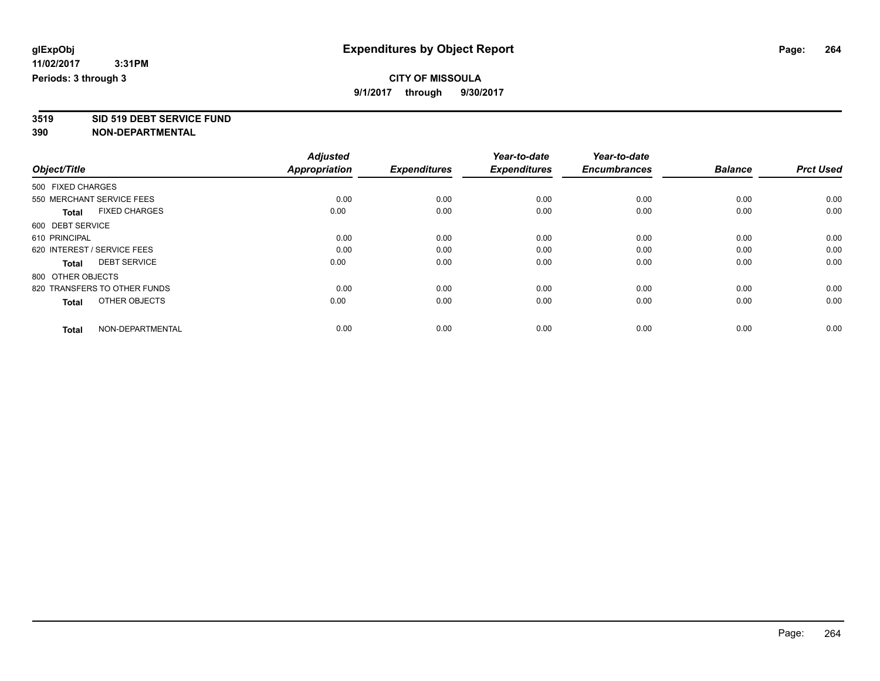# **3519 SID 519 DEBT SERVICE FUND**

| Object/Title                         | <b>Adjusted</b><br><b>Appropriation</b> | <b>Expenditures</b> | Year-to-date<br><b>Expenditures</b> | Year-to-date<br><b>Encumbrances</b> | <b>Balance</b> | <b>Prct Used</b> |
|--------------------------------------|-----------------------------------------|---------------------|-------------------------------------|-------------------------------------|----------------|------------------|
| 500 FIXED CHARGES                    |                                         |                     |                                     |                                     |                |                  |
| 550 MERCHANT SERVICE FEES            | 0.00                                    | 0.00                | 0.00                                | 0.00                                | 0.00           | 0.00             |
| <b>FIXED CHARGES</b><br><b>Total</b> | 0.00                                    | 0.00                | 0.00                                | 0.00                                | 0.00           | 0.00             |
| 600 DEBT SERVICE                     |                                         |                     |                                     |                                     |                |                  |
| 610 PRINCIPAL                        | 0.00                                    | 0.00                | 0.00                                | 0.00                                | 0.00           | 0.00             |
| 620 INTEREST / SERVICE FEES          | 0.00                                    | 0.00                | 0.00                                | 0.00                                | 0.00           | 0.00             |
| <b>DEBT SERVICE</b><br><b>Total</b>  | 0.00                                    | 0.00                | 0.00                                | 0.00                                | 0.00           | 0.00             |
| 800 OTHER OBJECTS                    |                                         |                     |                                     |                                     |                |                  |
| 820 TRANSFERS TO OTHER FUNDS         | 0.00                                    | 0.00                | 0.00                                | 0.00                                | 0.00           | 0.00             |
| OTHER OBJECTS<br><b>Total</b>        | 0.00                                    | 0.00                | 0.00                                | 0.00                                | 0.00           | 0.00             |
|                                      |                                         |                     |                                     |                                     |                |                  |
| NON-DEPARTMENTAL<br><b>Total</b>     | 0.00                                    | 0.00                | 0.00                                | 0.00                                | 0.00           | 0.00             |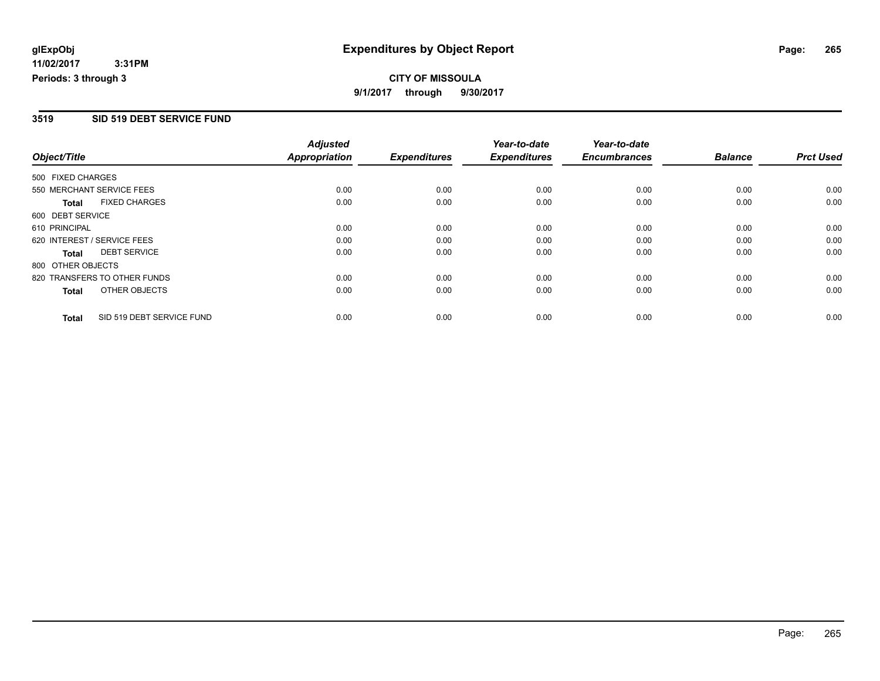## **CITY OF MISSOULA 9/1/2017 through 9/30/2017**

#### **3519 SID 519 DEBT SERVICE FUND**

|                   |                              | <b>Adjusted</b>      |                     | Year-to-date        | Year-to-date        |                |                  |
|-------------------|------------------------------|----------------------|---------------------|---------------------|---------------------|----------------|------------------|
| Object/Title      |                              | <b>Appropriation</b> | <b>Expenditures</b> | <b>Expenditures</b> | <b>Encumbrances</b> | <b>Balance</b> | <b>Prct Used</b> |
| 500 FIXED CHARGES |                              |                      |                     |                     |                     |                |                  |
|                   | 550 MERCHANT SERVICE FEES    | 0.00                 | 0.00                | 0.00                | 0.00                | 0.00           | 0.00             |
| <b>Total</b>      | <b>FIXED CHARGES</b>         | 0.00                 | 0.00                | 0.00                | 0.00                | 0.00           | 0.00             |
| 600 DEBT SERVICE  |                              |                      |                     |                     |                     |                |                  |
| 610 PRINCIPAL     |                              | 0.00                 | 0.00                | 0.00                | 0.00                | 0.00           | 0.00             |
|                   | 620 INTEREST / SERVICE FEES  | 0.00                 | 0.00                | 0.00                | 0.00                | 0.00           | 0.00             |
| Total             | <b>DEBT SERVICE</b>          | 0.00                 | 0.00                | 0.00                | 0.00                | 0.00           | 0.00             |
| 800 OTHER OBJECTS |                              |                      |                     |                     |                     |                |                  |
|                   | 820 TRANSFERS TO OTHER FUNDS | 0.00                 | 0.00                | 0.00                | 0.00                | 0.00           | 0.00             |
| <b>Total</b>      | OTHER OBJECTS                | 0.00                 | 0.00                | 0.00                | 0.00                | 0.00           | 0.00             |
| <b>Total</b>      | SID 519 DEBT SERVICE FUND    | 0.00                 | 0.00                | 0.00                | 0.00                | 0.00           | 0.00             |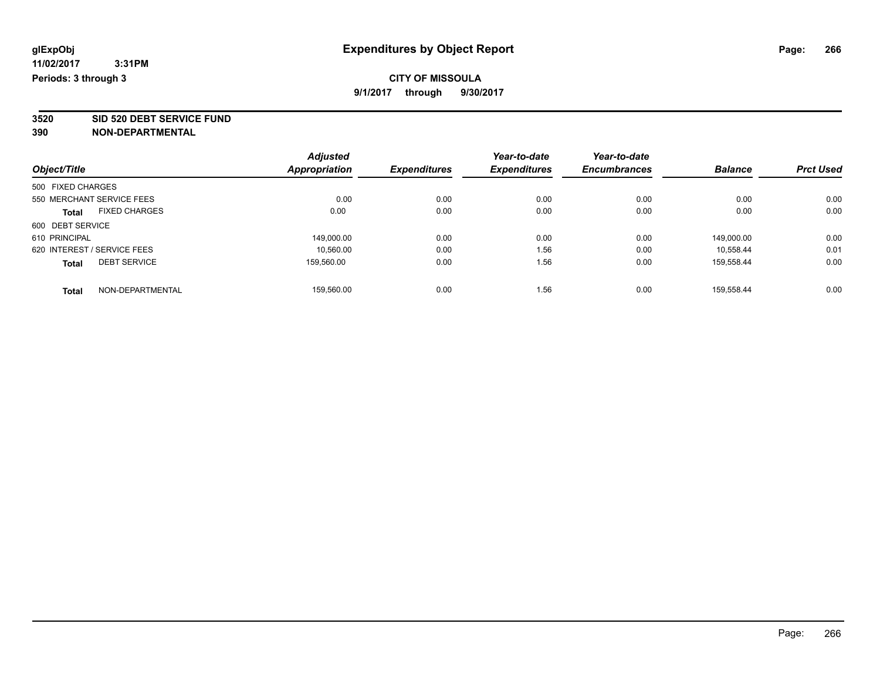**3520 SID 520 DEBT SERVICE FUND**

|                                      | <b>Adjusted</b>      |                     | Year-to-date        | Year-to-date        |                |                  |
|--------------------------------------|----------------------|---------------------|---------------------|---------------------|----------------|------------------|
| Object/Title                         | <b>Appropriation</b> | <b>Expenditures</b> | <b>Expenditures</b> | <b>Encumbrances</b> | <b>Balance</b> | <b>Prct Used</b> |
| 500 FIXED CHARGES                    |                      |                     |                     |                     |                |                  |
| 550 MERCHANT SERVICE FEES            | 0.00                 | 0.00                | 0.00                | 0.00                | 0.00           | 0.00             |
| <b>FIXED CHARGES</b><br><b>Total</b> | 0.00                 | 0.00                | 0.00                | 0.00                | 0.00           | 0.00             |
| 600 DEBT SERVICE                     |                      |                     |                     |                     |                |                  |
| 610 PRINCIPAL                        | 149.000.00           | 0.00                | 0.00                | 0.00                | 149.000.00     | 0.00             |
| 620 INTEREST / SERVICE FEES          | 10.560.00            | 0.00                | 1.56                | 0.00                | 10.558.44      | 0.01             |
| <b>DEBT SERVICE</b><br><b>Total</b>  | 159.560.00           | 0.00                | 1.56                | 0.00                | 159.558.44     | 0.00             |
| NON-DEPARTMENTAL<br><b>Total</b>     | 159.560.00           | 0.00                | 1.56                | 0.00                | 159.558.44     | 0.00             |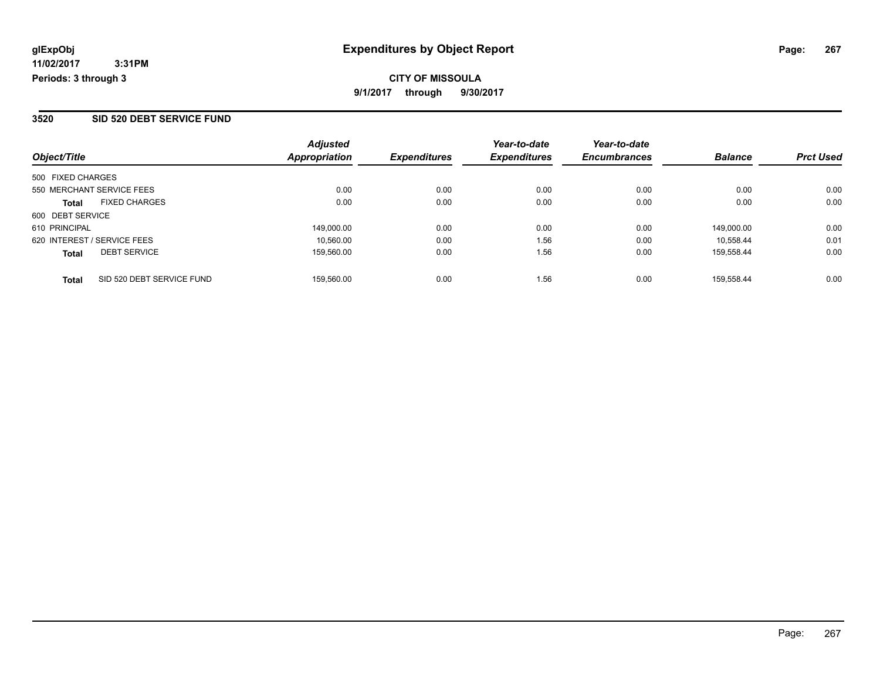**CITY OF MISSOULA 9/1/2017 through 9/30/2017**

#### **3520 SID 520 DEBT SERVICE FUND**

| Object/Title                              | <b>Adjusted</b><br><b>Appropriation</b> | <b>Expenditures</b> | Year-to-date<br><b>Expenditures</b> | Year-to-date<br><b>Encumbrances</b> | <b>Balance</b> | <b>Prct Used</b> |
|-------------------------------------------|-----------------------------------------|---------------------|-------------------------------------|-------------------------------------|----------------|------------------|
| 500 FIXED CHARGES                         |                                         |                     |                                     |                                     |                |                  |
| 550 MERCHANT SERVICE FEES                 | 0.00                                    | 0.00                | 0.00                                | 0.00                                | 0.00           | 0.00             |
| <b>FIXED CHARGES</b><br><b>Total</b>      | 0.00                                    | 0.00                | 0.00                                | 0.00                                | 0.00           | 0.00             |
| 600 DEBT SERVICE                          |                                         |                     |                                     |                                     |                |                  |
| 610 PRINCIPAL                             | 149,000.00                              | 0.00                | 0.00                                | 0.00                                | 149.000.00     | 0.00             |
| 620 INTEREST / SERVICE FEES               | 10.560.00                               | 0.00                | 1.56                                | 0.00                                | 10.558.44      | 0.01             |
| <b>DEBT SERVICE</b><br><b>Total</b>       | 159.560.00                              | 0.00                | 1.56                                | 0.00                                | 159.558.44     | 0.00             |
| SID 520 DEBT SERVICE FUND<br><b>Total</b> | 159.560.00                              | 0.00                | 1.56                                | 0.00                                | 159.558.44     | 0.00             |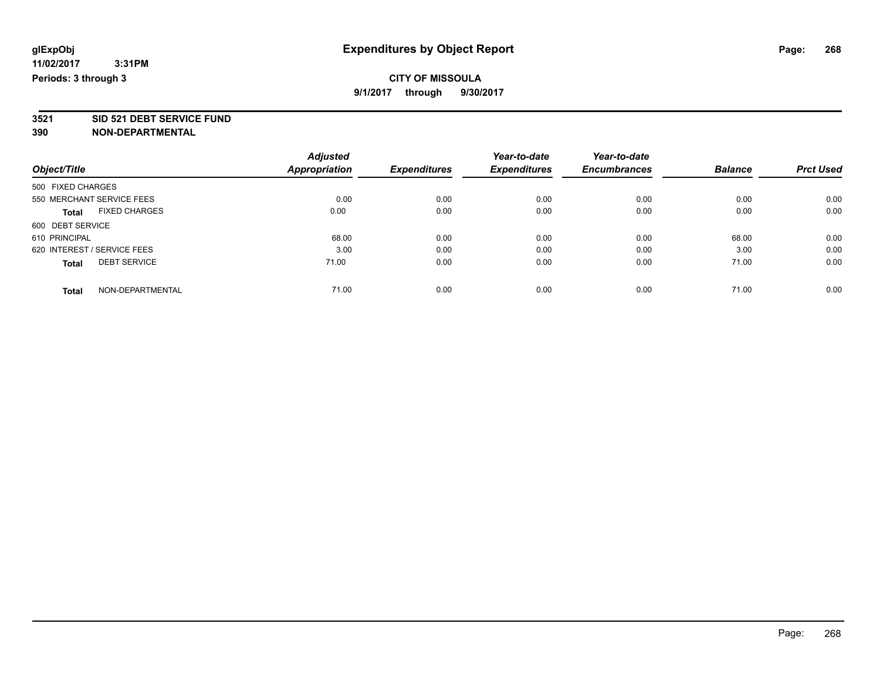**3521 SID 521 DEBT SERVICE FUND**

|                                      | <b>Adjusted</b> |                     | Year-to-date        | Year-to-date        |                |                  |
|--------------------------------------|-----------------|---------------------|---------------------|---------------------|----------------|------------------|
| Object/Title                         | Appropriation   | <b>Expenditures</b> | <b>Expenditures</b> | <b>Encumbrances</b> | <b>Balance</b> | <b>Prct Used</b> |
| 500 FIXED CHARGES                    |                 |                     |                     |                     |                |                  |
| 550 MERCHANT SERVICE FEES            | 0.00            | 0.00                | 0.00                | 0.00                | 0.00           | 0.00             |
| <b>FIXED CHARGES</b><br><b>Total</b> | 0.00            | 0.00                | 0.00                | 0.00                | 0.00           | 0.00             |
| 600 DEBT SERVICE                     |                 |                     |                     |                     |                |                  |
| 610 PRINCIPAL                        | 68.00           | 0.00                | 0.00                | 0.00                | 68.00          | 0.00             |
| 620 INTEREST / SERVICE FEES          | 3.00            | 0.00                | 0.00                | 0.00                | 3.00           | 0.00             |
| <b>DEBT SERVICE</b><br><b>Total</b>  | 71.00           | 0.00                | 0.00                | 0.00                | 71.00          | 0.00             |
| NON-DEPARTMENTAL<br><b>Total</b>     | 71.00           | 0.00                | 0.00                | 0.00                | 71.00          | 0.00             |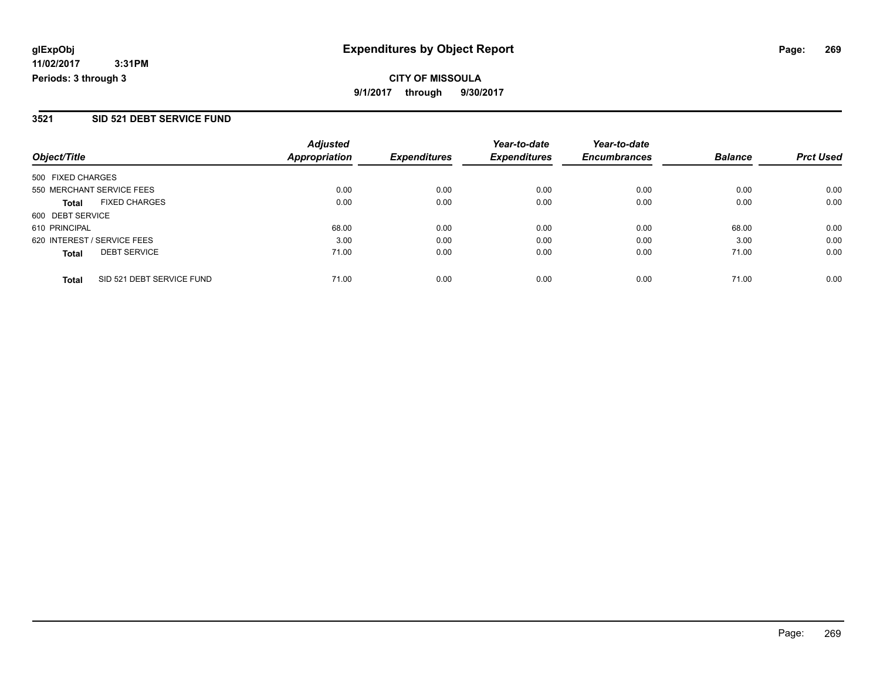## **CITY OF MISSOULA 9/1/2017 through 9/30/2017**

#### **3521 SID 521 DEBT SERVICE FUND**

| Object/Title                        |                           | <b>Adjusted</b><br><b>Appropriation</b> | <b>Expenditures</b> | Year-to-date<br><b>Expenditures</b> | Year-to-date<br><b>Encumbrances</b> | <b>Balance</b> | <b>Prct Used</b> |
|-------------------------------------|---------------------------|-----------------------------------------|---------------------|-------------------------------------|-------------------------------------|----------------|------------------|
| 500 FIXED CHARGES                   |                           |                                         |                     |                                     |                                     |                |                  |
| 550 MERCHANT SERVICE FEES           |                           | 0.00                                    | 0.00                | 0.00                                | 0.00                                | 0.00           | 0.00             |
| <b>FIXED CHARGES</b><br>Total       |                           | 0.00                                    | 0.00                | 0.00                                | 0.00                                | 0.00           | 0.00             |
| 600 DEBT SERVICE                    |                           |                                         |                     |                                     |                                     |                |                  |
| 610 PRINCIPAL                       |                           | 68.00                                   | 0.00                | 0.00                                | 0.00                                | 68.00          | 0.00             |
| 620 INTEREST / SERVICE FEES         |                           | 3.00                                    | 0.00                | 0.00                                | 0.00                                | 3.00           | 0.00             |
| <b>DEBT SERVICE</b><br><b>Total</b> |                           | 71.00                                   | 0.00                | 0.00                                | 0.00                                | 71.00          | 0.00             |
| <b>Total</b>                        | SID 521 DEBT SERVICE FUND | 71.00                                   | 0.00                | 0.00                                | 0.00                                | 71.00          | 0.00             |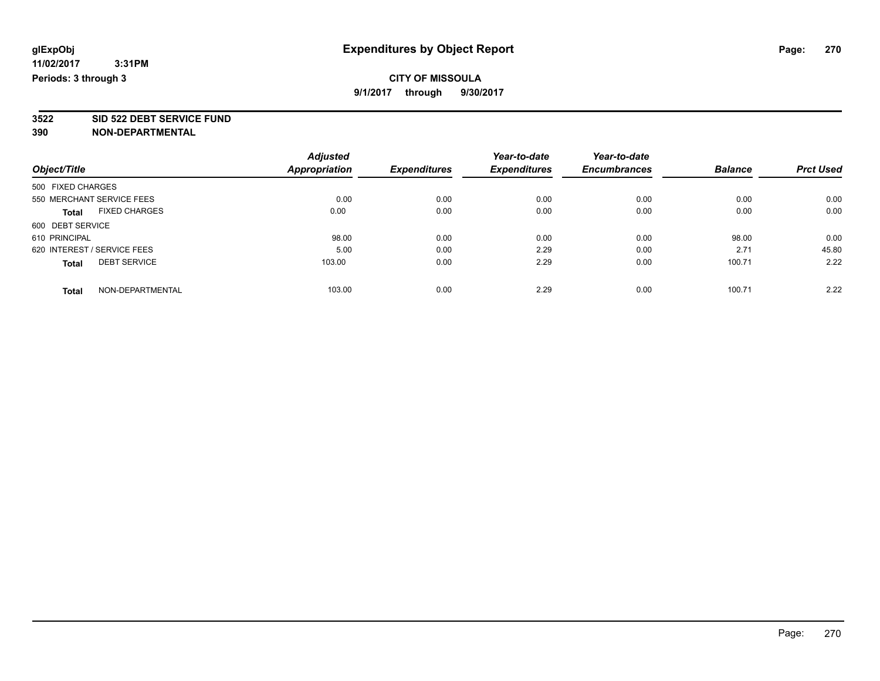**3522 SID 522 DEBT SERVICE FUND**

|                                      | <b>Adjusted</b>      |                     | Year-to-date        | Year-to-date        |                |                  |
|--------------------------------------|----------------------|---------------------|---------------------|---------------------|----------------|------------------|
| Object/Title                         | <b>Appropriation</b> | <b>Expenditures</b> | <b>Expenditures</b> | <b>Encumbrances</b> | <b>Balance</b> | <b>Prct Used</b> |
| 500 FIXED CHARGES                    |                      |                     |                     |                     |                |                  |
| 550 MERCHANT SERVICE FEES            | 0.00                 | 0.00                | 0.00                | 0.00                | 0.00           | 0.00             |
| <b>FIXED CHARGES</b><br><b>Total</b> | 0.00                 | 0.00                | 0.00                | 0.00                | 0.00           | 0.00             |
| 600 DEBT SERVICE                     |                      |                     |                     |                     |                |                  |
| 610 PRINCIPAL                        | 98.00                | 0.00                | 0.00                | 0.00                | 98.00          | 0.00             |
| 620 INTEREST / SERVICE FEES          | 5.00                 | 0.00                | 2.29                | 0.00                | 2.71           | 45.80            |
| <b>DEBT SERVICE</b><br><b>Total</b>  | 103.00               | 0.00                | 2.29                | 0.00                | 100.71         | 2.22             |
| NON-DEPARTMENTAL<br><b>Total</b>     | 103.00               | 0.00                | 2.29                | 0.00                | 100.71         | 2.22             |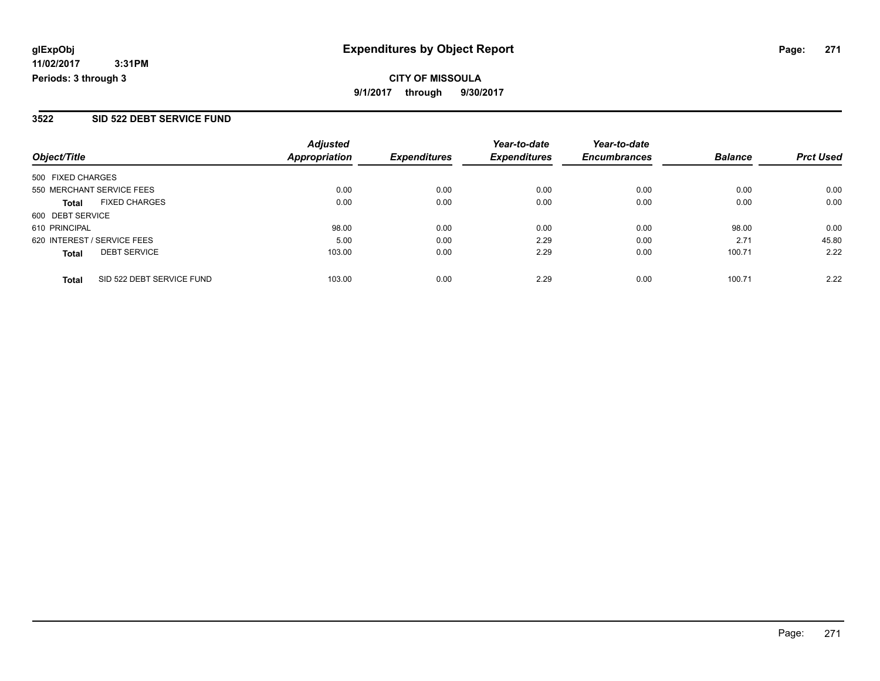## **CITY OF MISSOULA 9/1/2017 through 9/30/2017**

#### **3522 SID 522 DEBT SERVICE FUND**

|                                           | <b>Adjusted</b>      |                     | Year-to-date        | Year-to-date        |                |                  |
|-------------------------------------------|----------------------|---------------------|---------------------|---------------------|----------------|------------------|
| Object/Title                              | <b>Appropriation</b> | <b>Expenditures</b> | <b>Expenditures</b> | <b>Encumbrances</b> | <b>Balance</b> | <b>Prct Used</b> |
| 500 FIXED CHARGES                         |                      |                     |                     |                     |                |                  |
| 550 MERCHANT SERVICE FEES                 | 0.00                 | 0.00                | 0.00                | 0.00                | 0.00           | 0.00             |
| <b>FIXED CHARGES</b><br><b>Total</b>      | 0.00                 | 0.00                | 0.00                | 0.00                | 0.00           | 0.00             |
| 600 DEBT SERVICE                          |                      |                     |                     |                     |                |                  |
| 610 PRINCIPAL                             | 98.00                | 0.00                | 0.00                | 0.00                | 98.00          | 0.00             |
| 620 INTEREST / SERVICE FEES               | 5.00                 | 0.00                | 2.29                | 0.00                | 2.71           | 45.80            |
| <b>DEBT SERVICE</b><br><b>Total</b>       | 103.00               | 0.00                | 2.29                | 0.00                | 100.71         | 2.22             |
| SID 522 DEBT SERVICE FUND<br><b>Total</b> | 103.00               | 0.00                | 2.29                | 0.00                | 100.71         | 2.22             |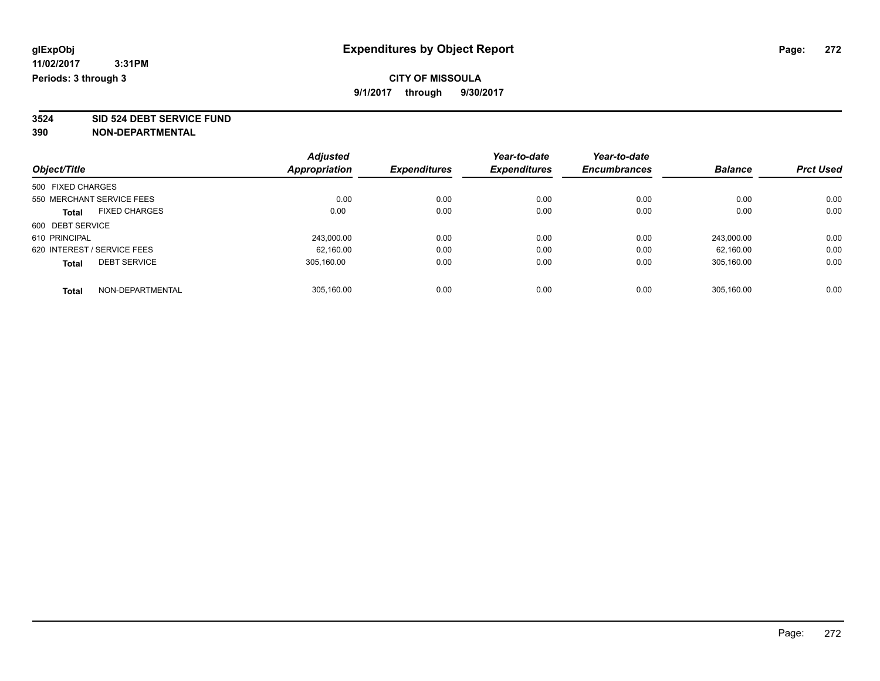**3524 SID 524 DEBT SERVICE FUND**

|                             |                      | <b>Adjusted</b> |                     | Year-to-date        | Year-to-date        |                |                  |
|-----------------------------|----------------------|-----------------|---------------------|---------------------|---------------------|----------------|------------------|
| Object/Title                |                      | Appropriation   | <b>Expenditures</b> | <b>Expenditures</b> | <b>Encumbrances</b> | <b>Balance</b> | <b>Prct Used</b> |
| 500 FIXED CHARGES           |                      |                 |                     |                     |                     |                |                  |
| 550 MERCHANT SERVICE FEES   |                      | 0.00            | 0.00                | 0.00                | 0.00                | 0.00           | 0.00             |
| <b>Total</b>                | <b>FIXED CHARGES</b> | 0.00            | 0.00                | 0.00                | 0.00                | 0.00           | 0.00             |
| 600 DEBT SERVICE            |                      |                 |                     |                     |                     |                |                  |
| 610 PRINCIPAL               |                      | 243,000.00      | 0.00                | 0.00                | 0.00                | 243.000.00     | 0.00             |
| 620 INTEREST / SERVICE FEES |                      | 62.160.00       | 0.00                | 0.00                | 0.00                | 62.160.00      | 0.00             |
| <b>Total</b>                | <b>DEBT SERVICE</b>  | 305.160.00      | 0.00                | 0.00                | 0.00                | 305.160.00     | 0.00             |
| <b>Total</b>                | NON-DEPARTMENTAL     | 305.160.00      | 0.00                | 0.00                | 0.00                | 305.160.00     | 0.00             |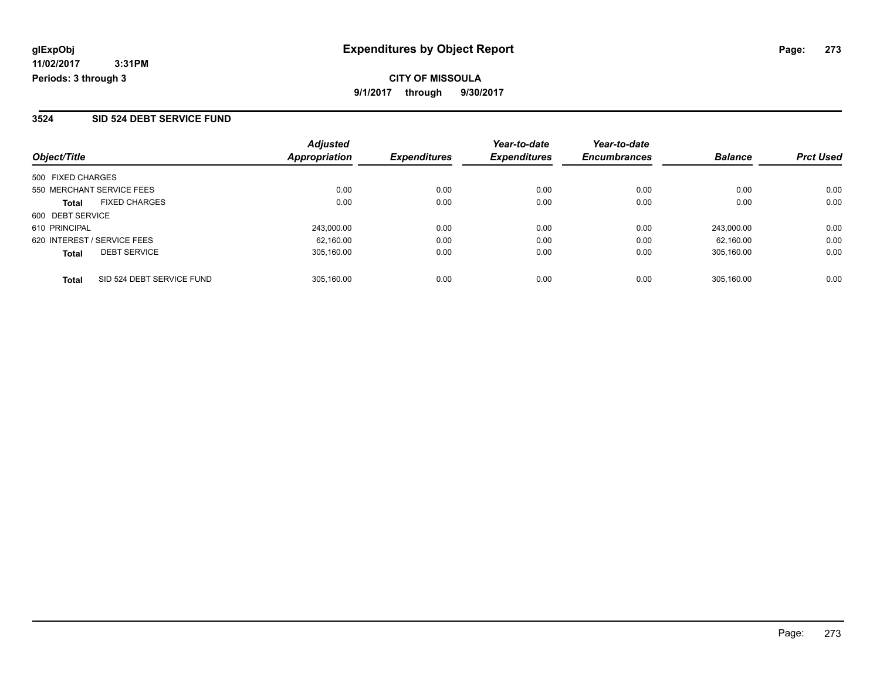#### **3524 SID 524 DEBT SERVICE FUND**

| Object/Title                |                           | <b>Adjusted</b><br><b>Appropriation</b> | <b>Expenditures</b> | Year-to-date<br><b>Expenditures</b> | Year-to-date<br><b>Encumbrances</b> | <b>Balance</b> | <b>Prct Used</b> |
|-----------------------------|---------------------------|-----------------------------------------|---------------------|-------------------------------------|-------------------------------------|----------------|------------------|
|                             |                           |                                         |                     |                                     |                                     |                |                  |
| 500 FIXED CHARGES           |                           |                                         |                     |                                     |                                     |                |                  |
| 550 MERCHANT SERVICE FEES   |                           | 0.00                                    | 0.00                | 0.00                                | 0.00                                | 0.00           | 0.00             |
| <b>Total</b>                | <b>FIXED CHARGES</b>      | 0.00                                    | 0.00                | 0.00                                | 0.00                                | 0.00           | 0.00             |
| 600 DEBT SERVICE            |                           |                                         |                     |                                     |                                     |                |                  |
| 610 PRINCIPAL               |                           | 243,000.00                              | 0.00                | 0.00                                | 0.00                                | 243.000.00     | 0.00             |
| 620 INTEREST / SERVICE FEES |                           | 62.160.00                               | 0.00                | 0.00                                | 0.00                                | 62.160.00      | 0.00             |
| <b>Total</b>                | <b>DEBT SERVICE</b>       | 305.160.00                              | 0.00                | 0.00                                | 0.00                                | 305.160.00     | 0.00             |
| <b>Total</b>                | SID 524 DEBT SERVICE FUND | 305.160.00                              | 0.00                | 0.00                                | 0.00                                | 305.160.00     | 0.00             |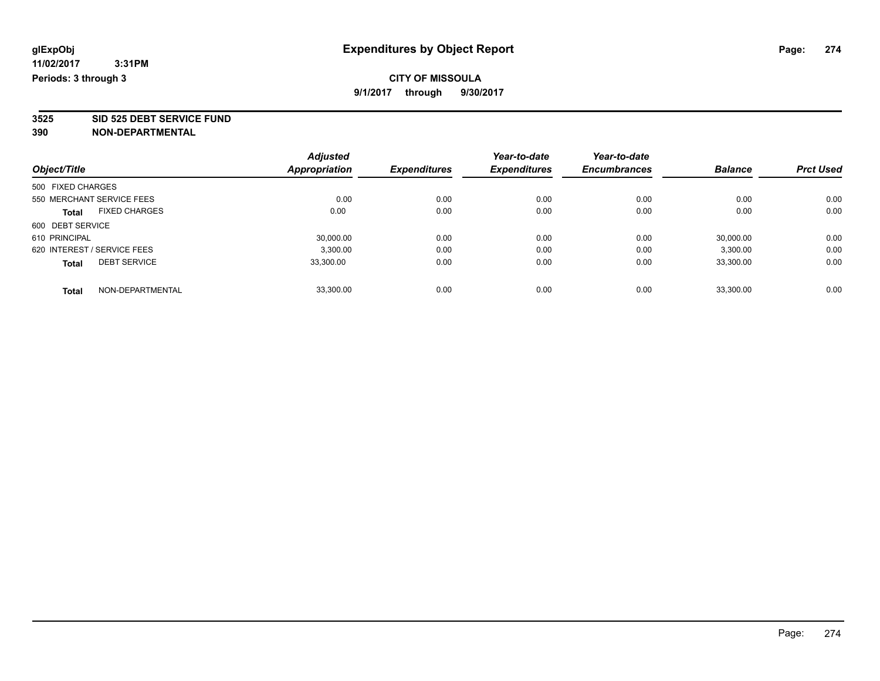**3525 SID 525 DEBT SERVICE FUND**

|                             |                      | <b>Adjusted</b> |                     | Year-to-date        | Year-to-date        |                |                  |
|-----------------------------|----------------------|-----------------|---------------------|---------------------|---------------------|----------------|------------------|
| Object/Title                |                      | Appropriation   | <b>Expenditures</b> | <b>Expenditures</b> | <b>Encumbrances</b> | <b>Balance</b> | <b>Prct Used</b> |
| 500 FIXED CHARGES           |                      |                 |                     |                     |                     |                |                  |
| 550 MERCHANT SERVICE FEES   |                      | 0.00            | 0.00                | 0.00                | 0.00                | 0.00           | 0.00             |
| <b>Total</b>                | <b>FIXED CHARGES</b> | 0.00            | 0.00                | 0.00                | 0.00                | 0.00           | 0.00             |
| 600 DEBT SERVICE            |                      |                 |                     |                     |                     |                |                  |
| 610 PRINCIPAL               |                      | 30,000.00       | 0.00                | 0.00                | 0.00                | 30,000.00      | 0.00             |
| 620 INTEREST / SERVICE FEES |                      | 3,300.00        | 0.00                | 0.00                | 0.00                | 3,300.00       | 0.00             |
| <b>Total</b>                | <b>DEBT SERVICE</b>  | 33.300.00       | 0.00                | 0.00                | 0.00                | 33,300.00      | 0.00             |
| <b>Total</b>                | NON-DEPARTMENTAL     | 33.300.00       | 0.00                | 0.00                | 0.00                | 33.300.00      | 0.00             |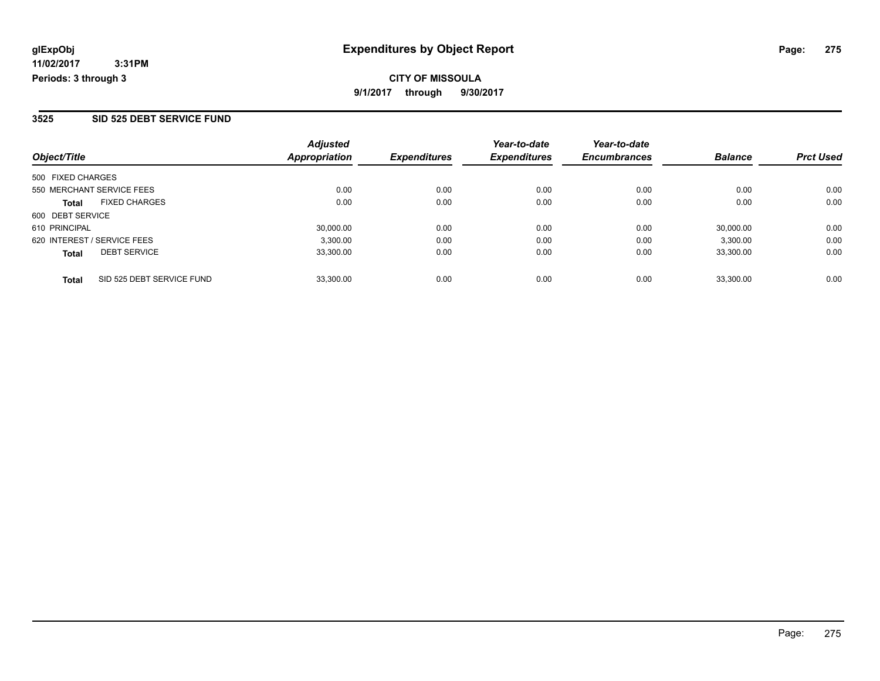#### **3525 SID 525 DEBT SERVICE FUND**

| Object/Title                              | <b>Adjusted</b><br>Appropriation | <b>Expenditures</b> | Year-to-date<br><b>Expenditures</b> | Year-to-date<br><b>Encumbrances</b> | <b>Balance</b> | <b>Prct Used</b> |
|-------------------------------------------|----------------------------------|---------------------|-------------------------------------|-------------------------------------|----------------|------------------|
| 500 FIXED CHARGES                         |                                  |                     |                                     |                                     |                |                  |
| 550 MERCHANT SERVICE FEES                 | 0.00                             | 0.00                | 0.00                                | 0.00                                | 0.00           | 0.00             |
| <b>FIXED CHARGES</b><br><b>Total</b>      | 0.00                             | 0.00                | 0.00                                | 0.00                                | 0.00           | 0.00             |
| 600 DEBT SERVICE                          |                                  |                     |                                     |                                     |                |                  |
| 610 PRINCIPAL                             | 30,000.00                        | 0.00                | 0.00                                | 0.00                                | 30,000.00      | 0.00             |
| 620 INTEREST / SERVICE FEES               | 3,300.00                         | 0.00                | 0.00                                | 0.00                                | 3,300.00       | 0.00             |
| <b>DEBT SERVICE</b><br><b>Total</b>       | 33,300.00                        | 0.00                | 0.00                                | 0.00                                | 33.300.00      | 0.00             |
| SID 525 DEBT SERVICE FUND<br><b>Total</b> | 33.300.00                        | 0.00                | 0.00                                | 0.00                                | 33,300.00      | 0.00             |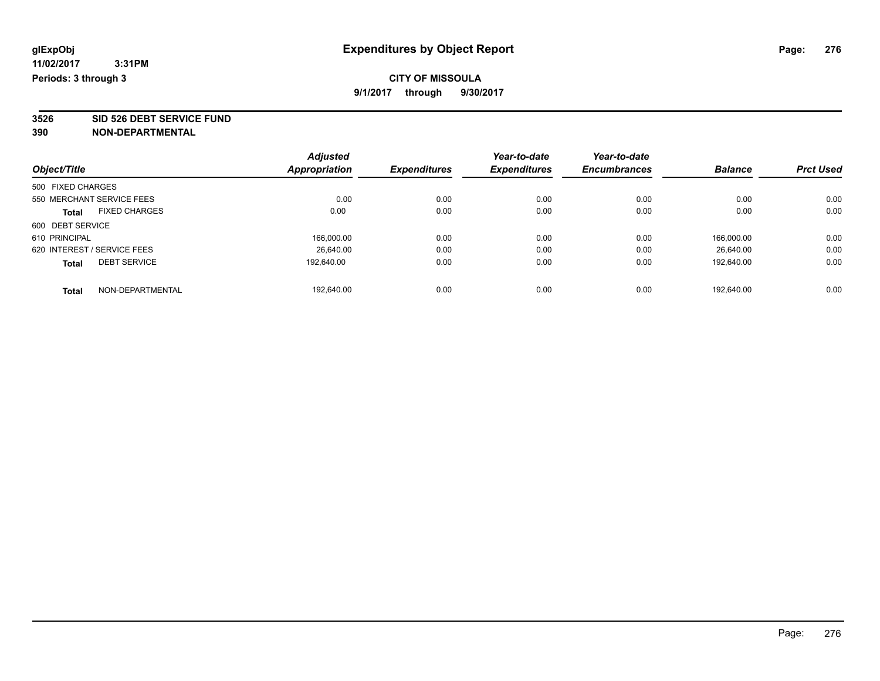**3526 SID 526 DEBT SERVICE FUND**

|                             |                      | <b>Adjusted</b>      |                     | Year-to-date        | Year-to-date        |                |                  |
|-----------------------------|----------------------|----------------------|---------------------|---------------------|---------------------|----------------|------------------|
| Object/Title                |                      | <b>Appropriation</b> | <b>Expenditures</b> | <b>Expenditures</b> | <b>Encumbrances</b> | <b>Balance</b> | <b>Prct Used</b> |
| 500 FIXED CHARGES           |                      |                      |                     |                     |                     |                |                  |
| 550 MERCHANT SERVICE FEES   |                      | 0.00                 | 0.00                | 0.00                | 0.00                | 0.00           | 0.00             |
| Total                       | <b>FIXED CHARGES</b> | 0.00                 | 0.00                | 0.00                | 0.00                | 0.00           | 0.00             |
| 600 DEBT SERVICE            |                      |                      |                     |                     |                     |                |                  |
| 610 PRINCIPAL               |                      | 166,000.00           | 0.00                | 0.00                | 0.00                | 166.000.00     | 0.00             |
| 620 INTEREST / SERVICE FEES |                      | 26.640.00            | 0.00                | 0.00                | 0.00                | 26.640.00      | 0.00             |
| <b>Total</b>                | <b>DEBT SERVICE</b>  | 192.640.00           | 0.00                | 0.00                | 0.00                | 192,640.00     | 0.00             |
| <b>Total</b>                | NON-DEPARTMENTAL     | 192.640.00           | 0.00                | 0.00                | 0.00                | 192.640.00     | 0.00             |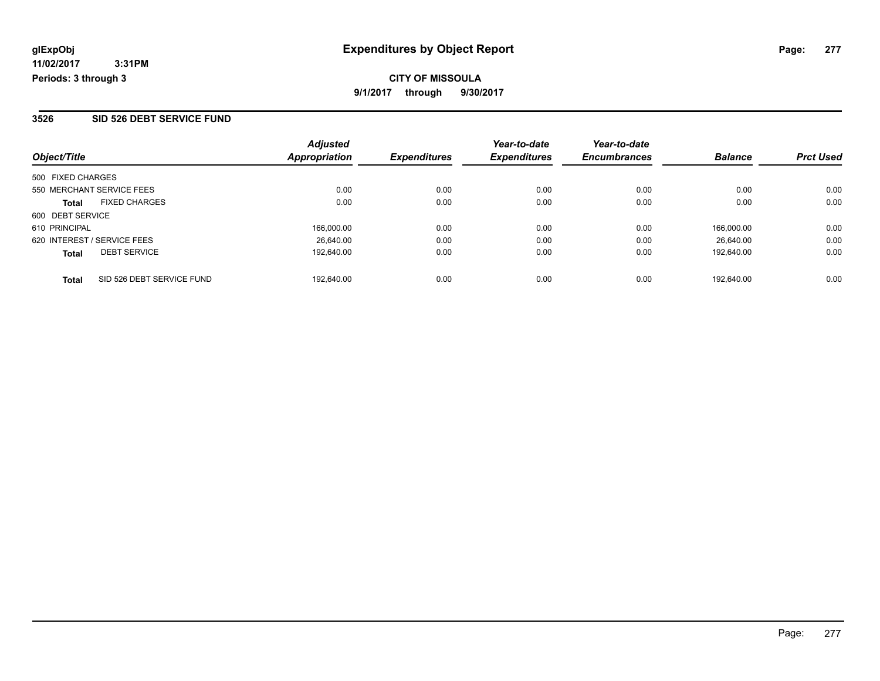#### **3526 SID 526 DEBT SERVICE FUND**

| Object/Title                              | <b>Adjusted</b><br>Appropriation | <b>Expenditures</b> | Year-to-date<br><b>Expenditures</b> | Year-to-date<br><b>Encumbrances</b> | <b>Balance</b> | <b>Prct Used</b> |
|-------------------------------------------|----------------------------------|---------------------|-------------------------------------|-------------------------------------|----------------|------------------|
| 500 FIXED CHARGES                         |                                  |                     |                                     |                                     |                |                  |
| 550 MERCHANT SERVICE FEES                 | 0.00                             | 0.00                | 0.00                                | 0.00                                | 0.00           | 0.00             |
| <b>FIXED CHARGES</b><br>Total             | 0.00                             | 0.00                | 0.00                                | 0.00                                | 0.00           | 0.00             |
| 600 DEBT SERVICE                          |                                  |                     |                                     |                                     |                |                  |
| 610 PRINCIPAL                             | 166.000.00                       | 0.00                | 0.00                                | 0.00                                | 166.000.00     | 0.00             |
| 620 INTEREST / SERVICE FEES               | 26.640.00                        | 0.00                | 0.00                                | 0.00                                | 26.640.00      | 0.00             |
| <b>DEBT SERVICE</b><br><b>Total</b>       | 192,640.00                       | 0.00                | 0.00                                | 0.00                                | 192,640.00     | 0.00             |
| SID 526 DEBT SERVICE FUND<br><b>Total</b> | 192.640.00                       | 0.00                | 0.00                                | 0.00                                | 192.640.00     | 0.00             |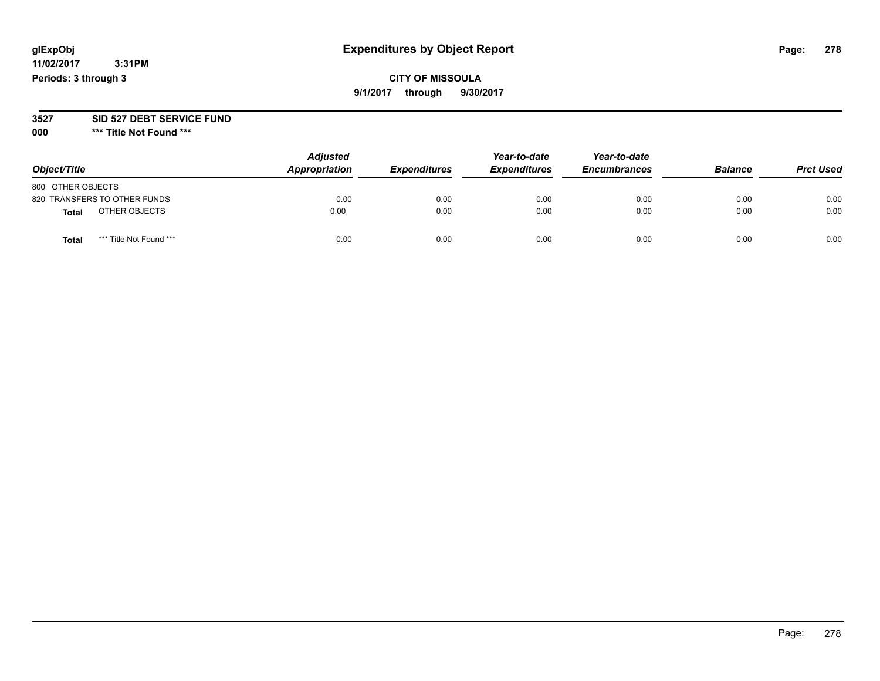## **CITY OF MISSOULA 9/1/2017 through 9/30/2017**

#### **3527 SID 527 DEBT SERVICE FUND**

**000 \*\*\* Title Not Found \*\*\***

| Object/Title                            | <b>Adjusted</b><br>Appropriation | <b>Expenditures</b> | Year-to-date<br><b>Expenditures</b> | Year-to-date<br><b>Encumbrances</b> | <b>Balance</b> | <b>Prct Used</b> |
|-----------------------------------------|----------------------------------|---------------------|-------------------------------------|-------------------------------------|----------------|------------------|
| 800 OTHER OBJECTS                       |                                  |                     |                                     |                                     |                |                  |
| 820 TRANSFERS TO OTHER FUNDS            | 0.00                             | 0.00                | 0.00                                | 0.00                                | 0.00           | 0.00             |
| OTHER OBJECTS<br><b>Total</b>           | 0.00                             | 0.00                | 0.00                                | 0.00                                | 0.00           | 0.00             |
| *** Title Not Found ***<br><b>Total</b> | 0.00                             | 0.00                | 0.00                                | 0.00                                | 0.00           | 0.00             |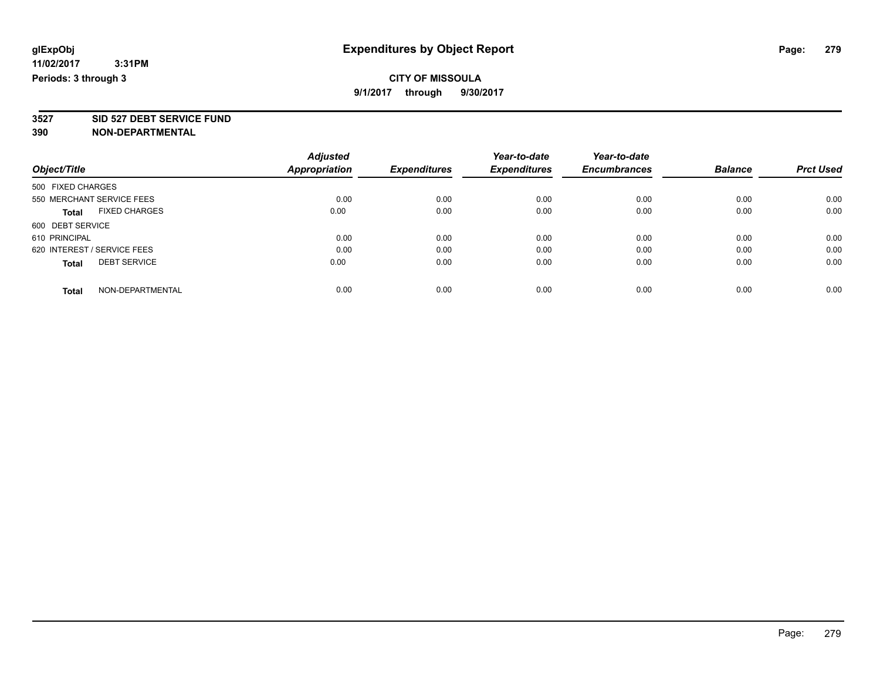**3527 SID 527 DEBT SERVICE FUND**

|                                      | <b>Adjusted</b> |                     | Year-to-date        | Year-to-date        |                |                  |
|--------------------------------------|-----------------|---------------------|---------------------|---------------------|----------------|------------------|
| Object/Title                         | Appropriation   | <b>Expenditures</b> | <b>Expenditures</b> | <b>Encumbrances</b> | <b>Balance</b> | <b>Prct Used</b> |
| 500 FIXED CHARGES                    |                 |                     |                     |                     |                |                  |
| 550 MERCHANT SERVICE FEES            | 0.00            | 0.00                | 0.00                | 0.00                | 0.00           | 0.00             |
| <b>FIXED CHARGES</b><br><b>Total</b> | 0.00            | 0.00                | 0.00                | 0.00                | 0.00           | 0.00             |
| 600 DEBT SERVICE                     |                 |                     |                     |                     |                |                  |
| 610 PRINCIPAL                        | 0.00            | 0.00                | 0.00                | 0.00                | 0.00           | 0.00             |
| 620 INTEREST / SERVICE FEES          | 0.00            | 0.00                | 0.00                | 0.00                | 0.00           | 0.00             |
| <b>DEBT SERVICE</b><br><b>Total</b>  | 0.00            | 0.00                | 0.00                | 0.00                | 0.00           | 0.00             |
| NON-DEPARTMENTAL<br><b>Total</b>     | 0.00            | 0.00                | 0.00                | 0.00                | 0.00           | 0.00             |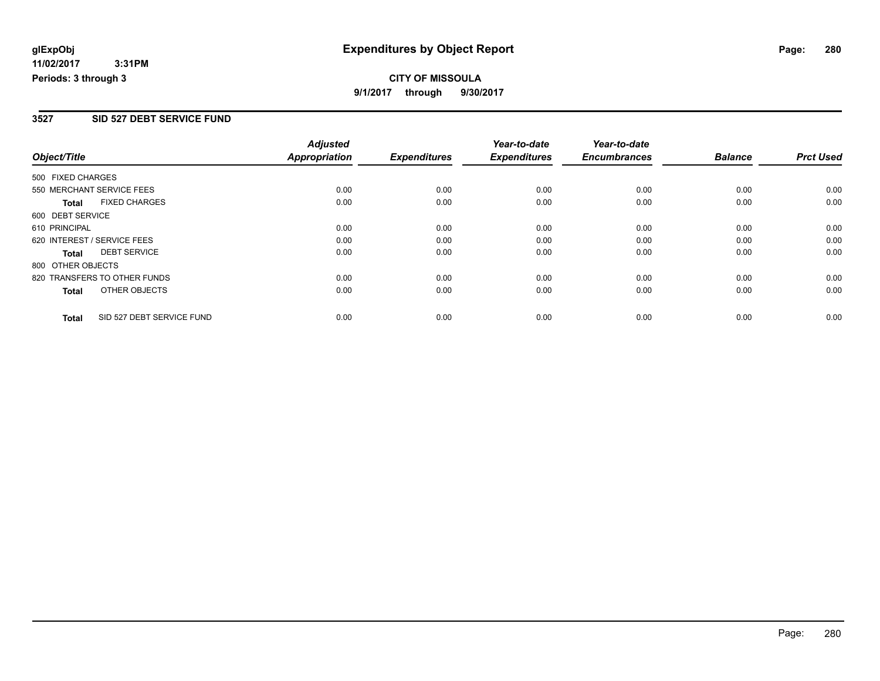## **CITY OF MISSOULA 9/1/2017 through 9/30/2017**

#### **3527 SID 527 DEBT SERVICE FUND**

|                   |                              | <b>Adjusted</b>      |                     | Year-to-date        | Year-to-date        |                |                  |
|-------------------|------------------------------|----------------------|---------------------|---------------------|---------------------|----------------|------------------|
| Object/Title      |                              | <b>Appropriation</b> | <b>Expenditures</b> | <b>Expenditures</b> | <b>Encumbrances</b> | <b>Balance</b> | <b>Prct Used</b> |
| 500 FIXED CHARGES |                              |                      |                     |                     |                     |                |                  |
|                   | 550 MERCHANT SERVICE FEES    | 0.00                 | 0.00                | 0.00                | 0.00                | 0.00           | 0.00             |
| <b>Total</b>      | <b>FIXED CHARGES</b>         | 0.00                 | 0.00                | 0.00                | 0.00                | 0.00           | 0.00             |
| 600 DEBT SERVICE  |                              |                      |                     |                     |                     |                |                  |
| 610 PRINCIPAL     |                              | 0.00                 | 0.00                | 0.00                | 0.00                | 0.00           | 0.00             |
|                   | 620 INTEREST / SERVICE FEES  | 0.00                 | 0.00                | 0.00                | 0.00                | 0.00           | 0.00             |
| Total             | <b>DEBT SERVICE</b>          | 0.00                 | 0.00                | 0.00                | 0.00                | 0.00           | 0.00             |
| 800 OTHER OBJECTS |                              |                      |                     |                     |                     |                |                  |
|                   | 820 TRANSFERS TO OTHER FUNDS | 0.00                 | 0.00                | 0.00                | 0.00                | 0.00           | 0.00             |
| <b>Total</b>      | OTHER OBJECTS                | 0.00                 | 0.00                | 0.00                | 0.00                | 0.00           | 0.00             |
| <b>Total</b>      | SID 527 DEBT SERVICE FUND    | 0.00                 | 0.00                | 0.00                | 0.00                | 0.00           | 0.00             |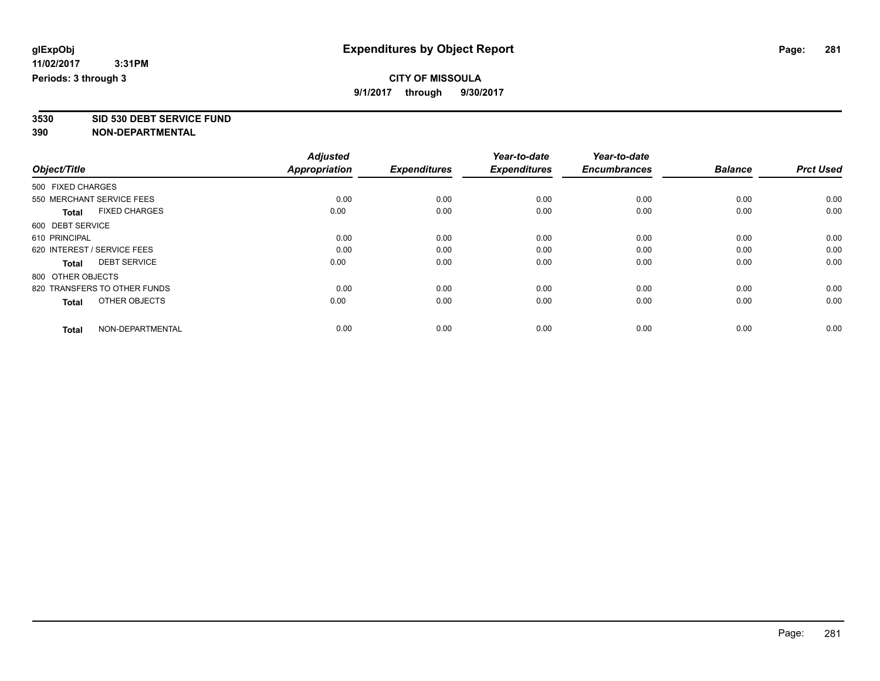**3530 SID 530 DEBT SERVICE FUND**

|                                      | <b>Adjusted</b>      |                     | Year-to-date        | Year-to-date        |                |                  |
|--------------------------------------|----------------------|---------------------|---------------------|---------------------|----------------|------------------|
| Object/Title                         | <b>Appropriation</b> | <b>Expenditures</b> | <b>Expenditures</b> | <b>Encumbrances</b> | <b>Balance</b> | <b>Prct Used</b> |
| 500 FIXED CHARGES                    |                      |                     |                     |                     |                |                  |
| 550 MERCHANT SERVICE FEES            | 0.00                 | 0.00                | 0.00                | 0.00                | 0.00           | 0.00             |
| <b>FIXED CHARGES</b><br><b>Total</b> | 0.00                 | 0.00                | 0.00                | 0.00                | 0.00           | 0.00             |
| 600 DEBT SERVICE                     |                      |                     |                     |                     |                |                  |
| 610 PRINCIPAL                        | 0.00                 | 0.00                | 0.00                | 0.00                | 0.00           | 0.00             |
| 620 INTEREST / SERVICE FEES          | 0.00                 | 0.00                | 0.00                | 0.00                | 0.00           | 0.00             |
| <b>DEBT SERVICE</b><br><b>Total</b>  | 0.00                 | 0.00                | 0.00                | 0.00                | 0.00           | 0.00             |
| 800 OTHER OBJECTS                    |                      |                     |                     |                     |                |                  |
| 820 TRANSFERS TO OTHER FUNDS         | 0.00                 | 0.00                | 0.00                | 0.00                | 0.00           | 0.00             |
| OTHER OBJECTS<br><b>Total</b>        | 0.00                 | 0.00                | 0.00                | 0.00                | 0.00           | 0.00             |
|                                      |                      |                     |                     |                     |                |                  |
| NON-DEPARTMENTAL<br><b>Total</b>     | 0.00                 | 0.00                | 0.00                | 0.00                | 0.00           | 0.00             |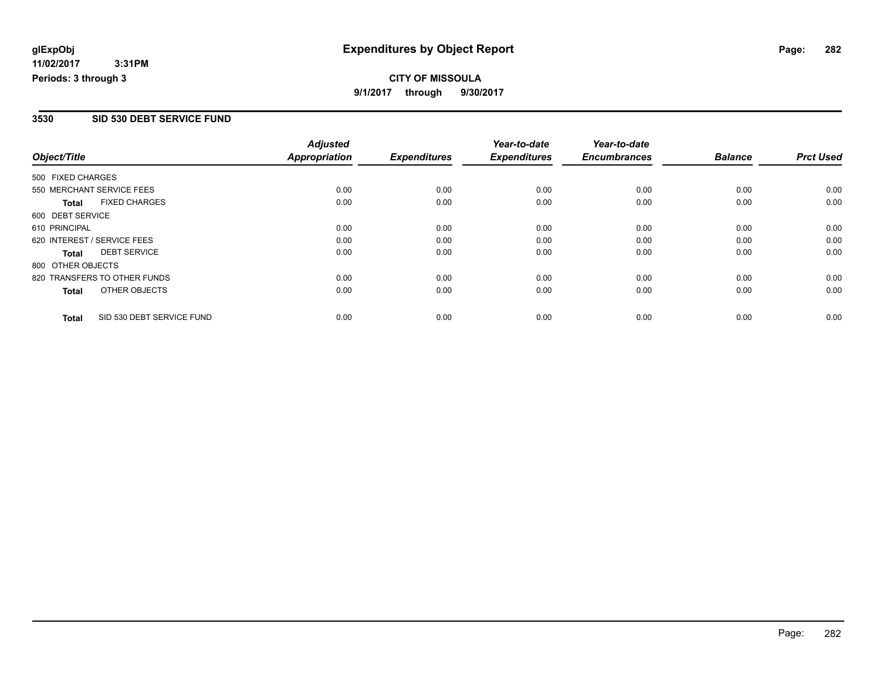## **CITY OF MISSOULA 9/1/2017 through 9/30/2017**

#### **3530 SID 530 DEBT SERVICE FUND**

|                   |                              | <b>Adjusted</b>      |                     | Year-to-date        | Year-to-date        |                |                  |
|-------------------|------------------------------|----------------------|---------------------|---------------------|---------------------|----------------|------------------|
| Object/Title      |                              | <b>Appropriation</b> | <b>Expenditures</b> | <b>Expenditures</b> | <b>Encumbrances</b> | <b>Balance</b> | <b>Prct Used</b> |
| 500 FIXED CHARGES |                              |                      |                     |                     |                     |                |                  |
|                   | 550 MERCHANT SERVICE FEES    | 0.00                 | 0.00                | 0.00                | 0.00                | 0.00           | 0.00             |
| <b>Total</b>      | <b>FIXED CHARGES</b>         | 0.00                 | 0.00                | 0.00                | 0.00                | 0.00           | 0.00             |
| 600 DEBT SERVICE  |                              |                      |                     |                     |                     |                |                  |
| 610 PRINCIPAL     |                              | 0.00                 | 0.00                | 0.00                | 0.00                | 0.00           | 0.00             |
|                   | 620 INTEREST / SERVICE FEES  | 0.00                 | 0.00                | 0.00                | 0.00                | 0.00           | 0.00             |
| Total             | <b>DEBT SERVICE</b>          | 0.00                 | 0.00                | 0.00                | 0.00                | 0.00           | 0.00             |
| 800 OTHER OBJECTS |                              |                      |                     |                     |                     |                |                  |
|                   | 820 TRANSFERS TO OTHER FUNDS | 0.00                 | 0.00                | 0.00                | 0.00                | 0.00           | 0.00             |
| <b>Total</b>      | OTHER OBJECTS                | 0.00                 | 0.00                | 0.00                | 0.00                | 0.00           | 0.00             |
| <b>Total</b>      | SID 530 DEBT SERVICE FUND    | 0.00                 | 0.00                | 0.00                | 0.00                | 0.00           | 0.00             |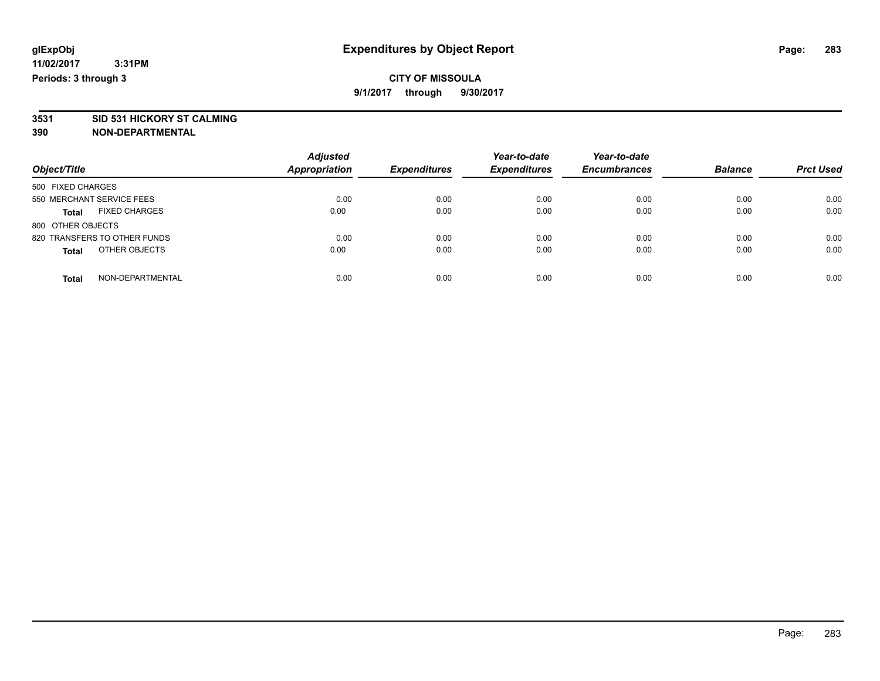**3531 SID 531 HICKORY ST CALMING**

| Object/Title                         | <b>Adjusted</b><br><b>Appropriation</b> | <b>Expenditures</b> | Year-to-date<br><b>Expenditures</b> | Year-to-date<br><b>Encumbrances</b> | <b>Balance</b> | <b>Prct Used</b> |
|--------------------------------------|-----------------------------------------|---------------------|-------------------------------------|-------------------------------------|----------------|------------------|
| 500 FIXED CHARGES                    |                                         |                     |                                     |                                     |                |                  |
| 550 MERCHANT SERVICE FEES            | 0.00                                    | 0.00                | 0.00                                | 0.00                                | 0.00           | 0.00             |
| <b>FIXED CHARGES</b><br><b>Total</b> | 0.00                                    | 0.00                | 0.00                                | 0.00                                | 0.00           | 0.00             |
| 800 OTHER OBJECTS                    |                                         |                     |                                     |                                     |                |                  |
| 820 TRANSFERS TO OTHER FUNDS         | 0.00                                    | 0.00                | 0.00                                | 0.00                                | 0.00           | 0.00             |
| OTHER OBJECTS<br><b>Total</b>        | 0.00                                    | 0.00                | 0.00                                | 0.00                                | 0.00           | 0.00             |
| NON-DEPARTMENTAL<br><b>Total</b>     | 0.00                                    | 0.00                | 0.00                                | 0.00                                | 0.00           | 0.00             |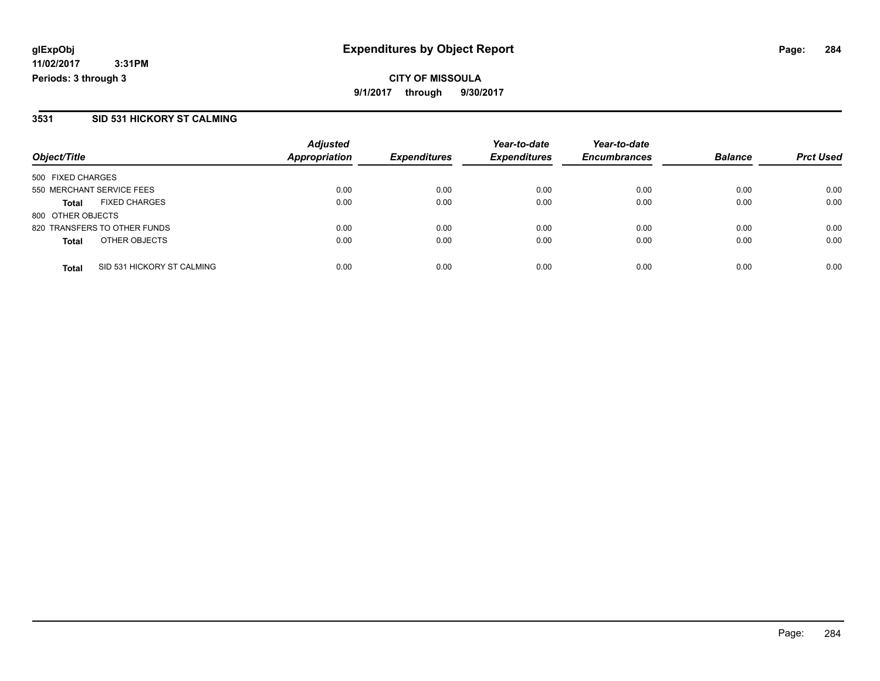**CITY OF MISSOULA 9/1/2017 through 9/30/2017**

#### **3531 SID 531 HICKORY ST CALMING**

|                                            | <b>Adjusted</b>      |                     | Year-to-date        | Year-to-date        |                |                  |
|--------------------------------------------|----------------------|---------------------|---------------------|---------------------|----------------|------------------|
| Object/Title                               | <b>Appropriation</b> | <b>Expenditures</b> | <b>Expenditures</b> | <b>Encumbrances</b> | <b>Balance</b> | <b>Prct Used</b> |
| 500 FIXED CHARGES                          |                      |                     |                     |                     |                |                  |
| 550 MERCHANT SERVICE FEES                  | 0.00                 | 0.00                | 0.00                | 0.00                | 0.00           | 0.00             |
| <b>FIXED CHARGES</b><br><b>Total</b>       | 0.00                 | 0.00                | 0.00                | 0.00                | 0.00           | 0.00             |
| 800 OTHER OBJECTS                          |                      |                     |                     |                     |                |                  |
| 820 TRANSFERS TO OTHER FUNDS               | 0.00                 | 0.00                | 0.00                | 0.00                | 0.00           | 0.00             |
| OTHER OBJECTS<br><b>Total</b>              | 0.00                 | 0.00                | 0.00                | 0.00                | 0.00           | 0.00             |
| SID 531 HICKORY ST CALMING<br><b>Total</b> | 0.00                 | 0.00                | 0.00                | 0.00                | 0.00           | 0.00             |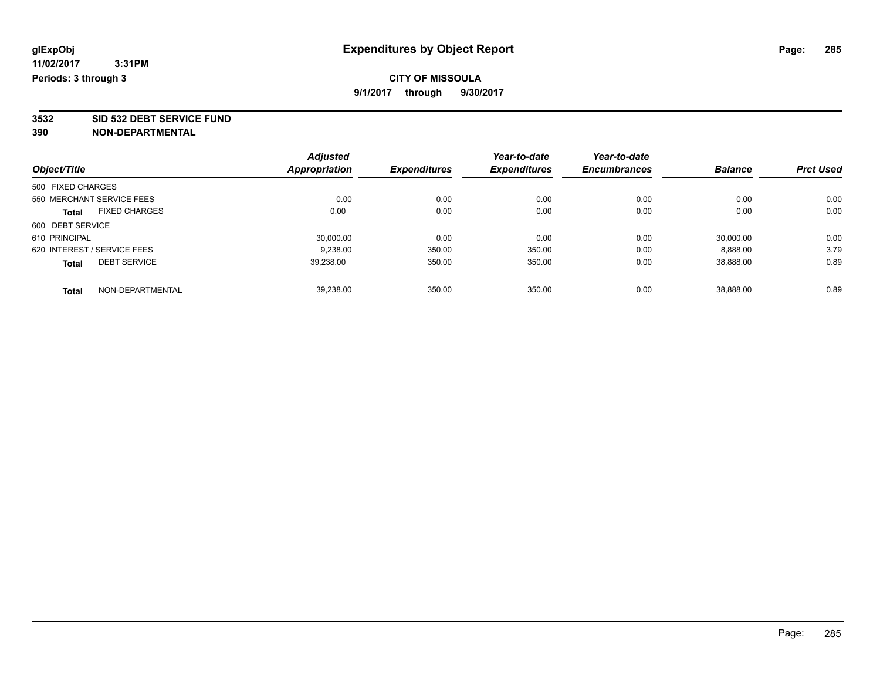**3532 SID 532 DEBT SERVICE FUND**

|                                     | <b>Adjusted</b> | <b>Expenditures</b> | Year-to-date<br><b>Expenditures</b> | Year-to-date<br><b>Encumbrances</b> | <b>Balance</b> |                  |
|-------------------------------------|-----------------|---------------------|-------------------------------------|-------------------------------------|----------------|------------------|
| Object/Title                        | Appropriation   |                     |                                     |                                     |                | <b>Prct Used</b> |
| 500 FIXED CHARGES                   |                 |                     |                                     |                                     |                |                  |
| 550 MERCHANT SERVICE FEES           | 0.00            | 0.00                | 0.00                                | 0.00                                | 0.00           | 0.00             |
| <b>FIXED CHARGES</b><br>Total       | 0.00            | 0.00                | 0.00                                | 0.00                                | 0.00           | 0.00             |
| 600 DEBT SERVICE                    |                 |                     |                                     |                                     |                |                  |
| 610 PRINCIPAL                       | 30,000.00       | 0.00                | 0.00                                | 0.00                                | 30,000.00      | 0.00             |
| 620 INTEREST / SERVICE FEES         | 9.238.00        | 350.00              | 350.00                              | 0.00                                | 8.888.00       | 3.79             |
| <b>DEBT SERVICE</b><br><b>Total</b> | 39,238.00       | 350.00              | 350.00                              | 0.00                                | 38,888.00      | 0.89             |
| NON-DEPARTMENTAL<br><b>Total</b>    | 39.238.00       | 350.00              | 350.00                              | 0.00                                | 38.888.00      | 0.89             |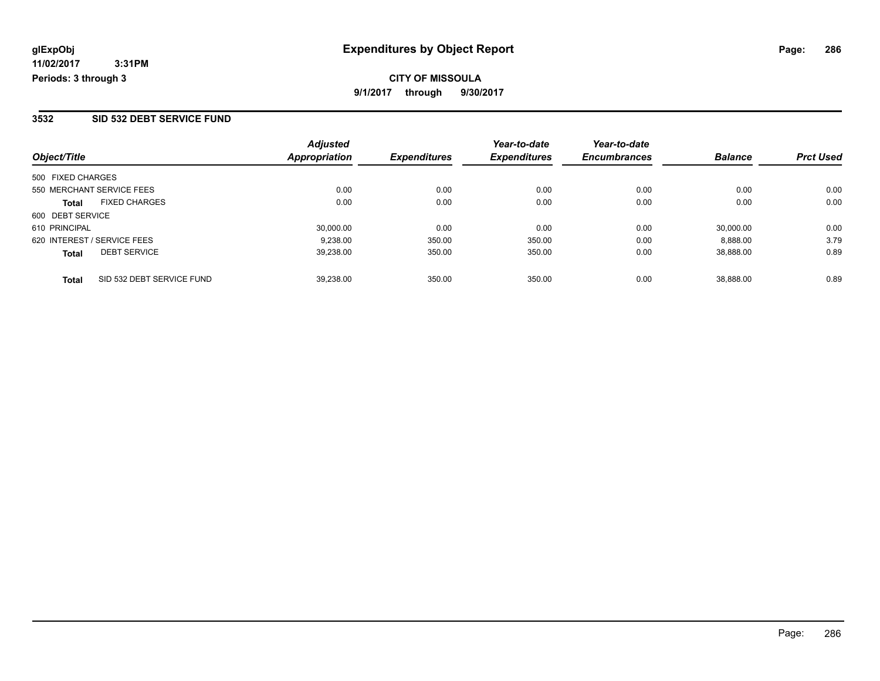#### **3532 SID 532 DEBT SERVICE FUND**

|                             | <b>Adjusted</b>           |                                   | Year-to-date                  | Year-to-date                  |                             | <b>Prct Used</b>            |
|-----------------------------|---------------------------|-----------------------------------|-------------------------------|-------------------------------|-----------------------------|-----------------------------|
|                             |                           |                                   |                               |                               |                             |                             |
| 500 FIXED CHARGES           |                           |                                   |                               |                               |                             |                             |
| 550 MERCHANT SERVICE FEES   | 0.00                      | 0.00                              | 0.00                          | 0.00                          | 0.00                        | 0.00                        |
| <b>FIXED CHARGES</b>        | 0.00                      | 0.00                              | 0.00                          | 0.00                          | 0.00                        | 0.00                        |
| 600 DEBT SERVICE            |                           |                                   |                               |                               |                             |                             |
|                             | 30,000.00                 | 0.00                              | 0.00                          | 0.00                          | 30.000.00                   | 0.00                        |
| 620 INTEREST / SERVICE FEES | 9.238.00                  | 350.00                            | 350.00                        | 0.00                          | 8.888.00                    | 3.79                        |
| <b>DEBT SERVICE</b>         | 39.238.00                 | 350.00                            | 350.00                        | 0.00                          | 38.888.00                   | 0.89                        |
|                             |                           |                                   |                               |                               |                             | 0.89                        |
|                             | SID 532 DEBT SERVICE FUND | <b>Appropriation</b><br>39.238.00 | <b>Expenditures</b><br>350.00 | <b>Expenditures</b><br>350.00 | <b>Encumbrances</b><br>0.00 | <b>Balance</b><br>38.888.00 |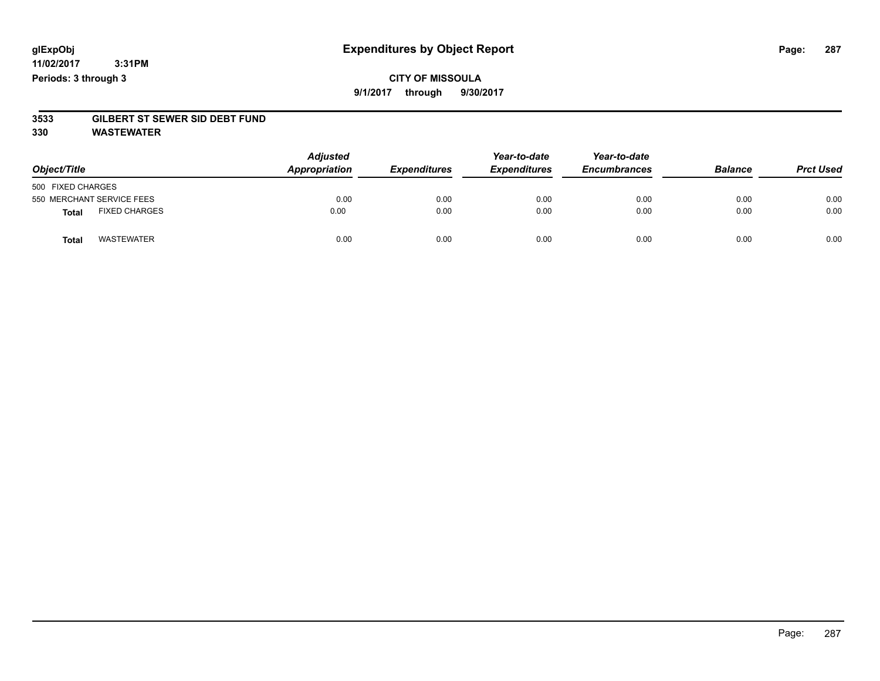## **CITY OF MISSOULA 9/1/2017 through 9/30/2017**

# **3533 GILBERT ST SEWER SID DEBT FUND**

**330 WASTEWATER**

| Object/Title                         | <b>Adjusted</b><br>Appropriation | <b>Expenditures</b> | Year-to-date<br><b>Expenditures</b> | Year-to-date<br><b>Encumbrances</b> | <b>Balance</b> | <b>Prct Used</b> |
|--------------------------------------|----------------------------------|---------------------|-------------------------------------|-------------------------------------|----------------|------------------|
| 500 FIXED CHARGES                    |                                  |                     |                                     |                                     |                |                  |
| 550 MERCHANT SERVICE FEES            | 0.00                             | 0.00                | 0.00                                | 0.00                                | 0.00           | 0.00             |
| <b>FIXED CHARGES</b><br><b>Total</b> | 0.00                             | 0.00                | 0.00                                | 0.00                                | 0.00           | 0.00             |
| <b>WASTEWATER</b><br><b>Total</b>    | 0.00                             | 0.00                | 0.00                                | 0.00                                | 0.00           | 0.00             |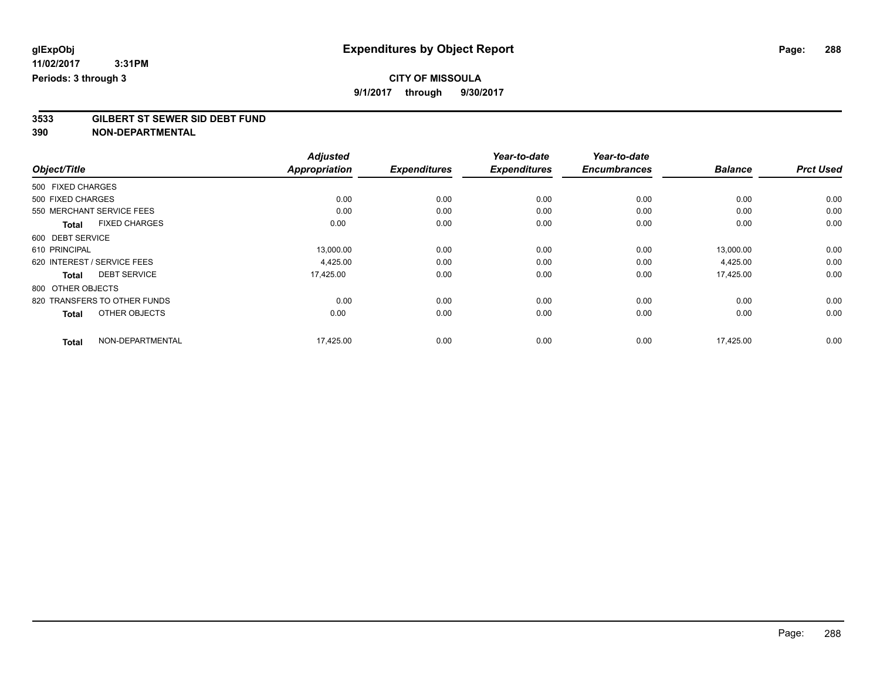## **CITY OF MISSOULA**

**9/1/2017 through 9/30/2017**

# **3533 GILBERT ST SEWER SID DEBT FUND**

|                                      | <b>Adjusted</b><br><b>Appropriation</b> |                     | Year-to-date<br><b>Expenditures</b> | Year-to-date<br><b>Encumbrances</b> | <b>Balance</b> |                  |
|--------------------------------------|-----------------------------------------|---------------------|-------------------------------------|-------------------------------------|----------------|------------------|
| Object/Title                         |                                         | <b>Expenditures</b> |                                     |                                     |                | <b>Prct Used</b> |
| 500 FIXED CHARGES                    |                                         |                     |                                     |                                     |                |                  |
| 500 FIXED CHARGES                    | 0.00                                    | 0.00                | 0.00                                | 0.00                                | 0.00           | 0.00             |
| 550 MERCHANT SERVICE FEES            | 0.00                                    | 0.00                | 0.00                                | 0.00                                | 0.00           | 0.00             |
| <b>FIXED CHARGES</b><br><b>Total</b> | 0.00                                    | 0.00                | 0.00                                | 0.00                                | 0.00           | 0.00             |
| 600 DEBT SERVICE                     |                                         |                     |                                     |                                     |                |                  |
| 610 PRINCIPAL                        | 13,000.00                               | 0.00                | 0.00                                | 0.00                                | 13,000.00      | 0.00             |
| 620 INTEREST / SERVICE FEES          | 4,425.00                                | 0.00                | 0.00                                | 0.00                                | 4,425.00       | 0.00             |
| <b>DEBT SERVICE</b><br><b>Total</b>  | 17,425.00                               | 0.00                | 0.00                                | 0.00                                | 17,425.00      | 0.00             |
| 800 OTHER OBJECTS                    |                                         |                     |                                     |                                     |                |                  |
| 820 TRANSFERS TO OTHER FUNDS         | 0.00                                    | 0.00                | 0.00                                | 0.00                                | 0.00           | 0.00             |
| OTHER OBJECTS<br><b>Total</b>        | 0.00                                    | 0.00                | 0.00                                | 0.00                                | 0.00           | 0.00             |
| NON-DEPARTMENTAL<br><b>Total</b>     | 17,425.00                               | 0.00                | 0.00                                | 0.00                                | 17,425.00      | 0.00             |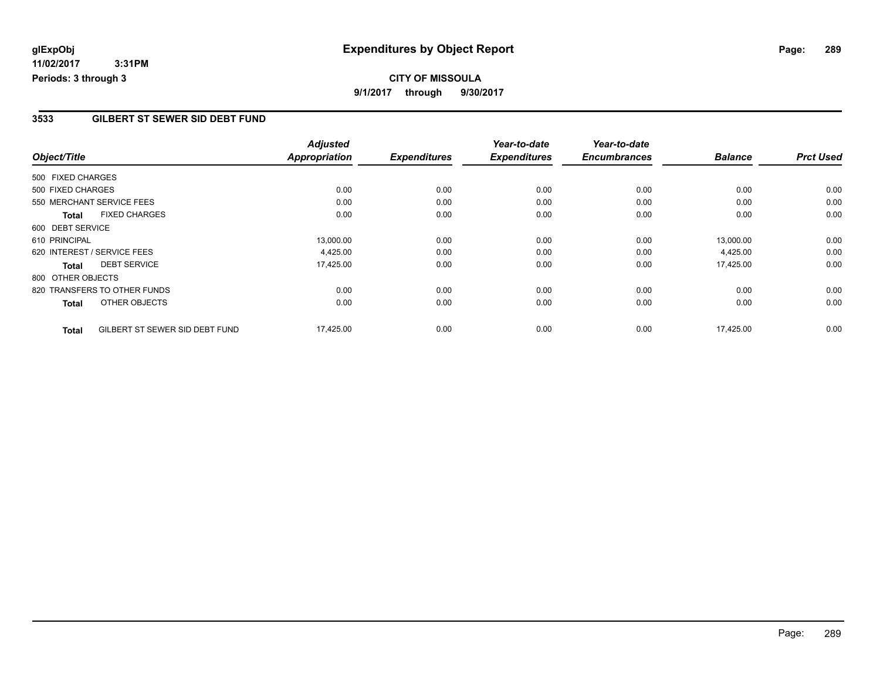### **3533 GILBERT ST SEWER SID DEBT FUND**

| Object/Title      |                                | <b>Adjusted</b>      | <b>Expenditures</b> | Year-to-date<br><b>Expenditures</b> | Year-to-date<br><b>Encumbrances</b> | <b>Balance</b> | <b>Prct Used</b> |
|-------------------|--------------------------------|----------------------|---------------------|-------------------------------------|-------------------------------------|----------------|------------------|
|                   |                                | <b>Appropriation</b> |                     |                                     |                                     |                |                  |
| 500 FIXED CHARGES |                                |                      |                     |                                     |                                     |                |                  |
| 500 FIXED CHARGES |                                | 0.00                 | 0.00                | 0.00                                | 0.00                                | 0.00           | 0.00             |
|                   | 550 MERCHANT SERVICE FEES      | 0.00                 | 0.00                | 0.00                                | 0.00                                | 0.00           | 0.00             |
| <b>Total</b>      | <b>FIXED CHARGES</b>           | 0.00                 | 0.00                | 0.00                                | 0.00                                | 0.00           | 0.00             |
| 600 DEBT SERVICE  |                                |                      |                     |                                     |                                     |                |                  |
| 610 PRINCIPAL     |                                | 13,000.00            | 0.00                | 0.00                                | 0.00                                | 13,000.00      | 0.00             |
|                   | 620 INTEREST / SERVICE FEES    | 4,425.00             | 0.00                | 0.00                                | 0.00                                | 4,425.00       | 0.00             |
| <b>Total</b>      | <b>DEBT SERVICE</b>            | 17,425.00            | 0.00                | 0.00                                | 0.00                                | 17,425.00      | 0.00             |
| 800 OTHER OBJECTS |                                |                      |                     |                                     |                                     |                |                  |
|                   | 820 TRANSFERS TO OTHER FUNDS   | 0.00                 | 0.00                | 0.00                                | 0.00                                | 0.00           | 0.00             |
| <b>Total</b>      | OTHER OBJECTS                  | 0.00                 | 0.00                | 0.00                                | 0.00                                | 0.00           | 0.00             |
| <b>Total</b>      | GILBERT ST SEWER SID DEBT FUND | 17,425.00            | 0.00                | 0.00                                | 0.00                                | 17,425.00      | 0.00             |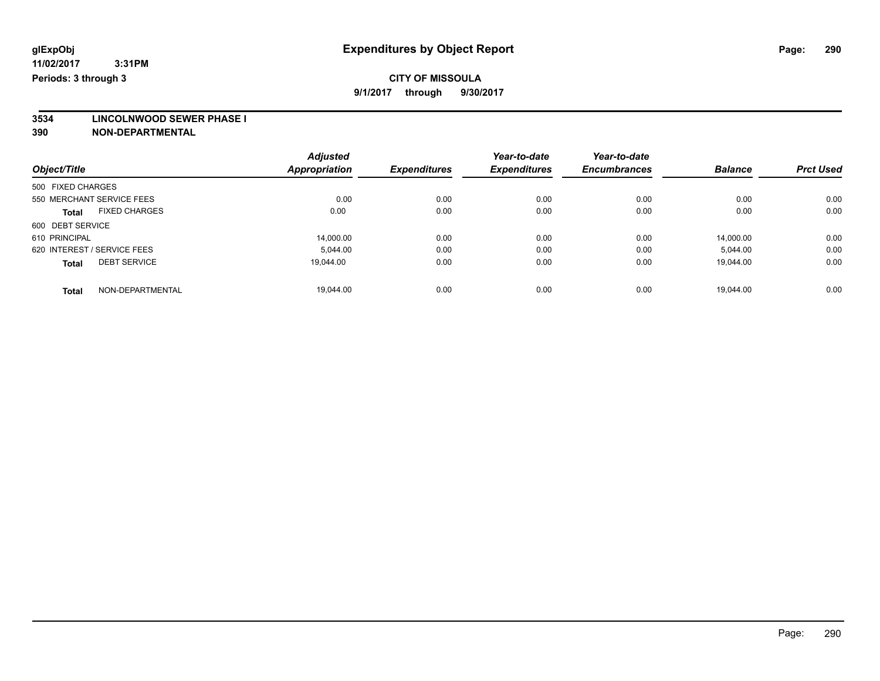# **CITY OF MISSOULA**

**9/1/2017 through 9/30/2017**

**3534 LINCOLNWOOD SEWER PHASE I**

|                                      | <b>Adjusted</b>      |                     | Year-to-date        | Year-to-date        |                |                  |
|--------------------------------------|----------------------|---------------------|---------------------|---------------------|----------------|------------------|
| Object/Title                         | <b>Appropriation</b> | <b>Expenditures</b> | <b>Expenditures</b> | <b>Encumbrances</b> | <b>Balance</b> | <b>Prct Used</b> |
| 500 FIXED CHARGES                    |                      |                     |                     |                     |                |                  |
| 550 MERCHANT SERVICE FEES            | 0.00                 | 0.00                | 0.00                | 0.00                | 0.00           | 0.00             |
| <b>FIXED CHARGES</b><br><b>Total</b> | 0.00                 | 0.00                | 0.00                | 0.00                | 0.00           | 0.00             |
| 600 DEBT SERVICE                     |                      |                     |                     |                     |                |                  |
| 610 PRINCIPAL                        | 14.000.00            | 0.00                | 0.00                | 0.00                | 14.000.00      | 0.00             |
| 620 INTEREST / SERVICE FEES          | 5.044.00             | 0.00                | 0.00                | 0.00                | 5,044.00       | 0.00             |
| <b>DEBT SERVICE</b><br><b>Total</b>  | 19.044.00            | 0.00                | 0.00                | 0.00                | 19.044.00      | 0.00             |
| NON-DEPARTMENTAL<br><b>Total</b>     | 19.044.00            | 0.00                | 0.00                | 0.00                | 19.044.00      | 0.00             |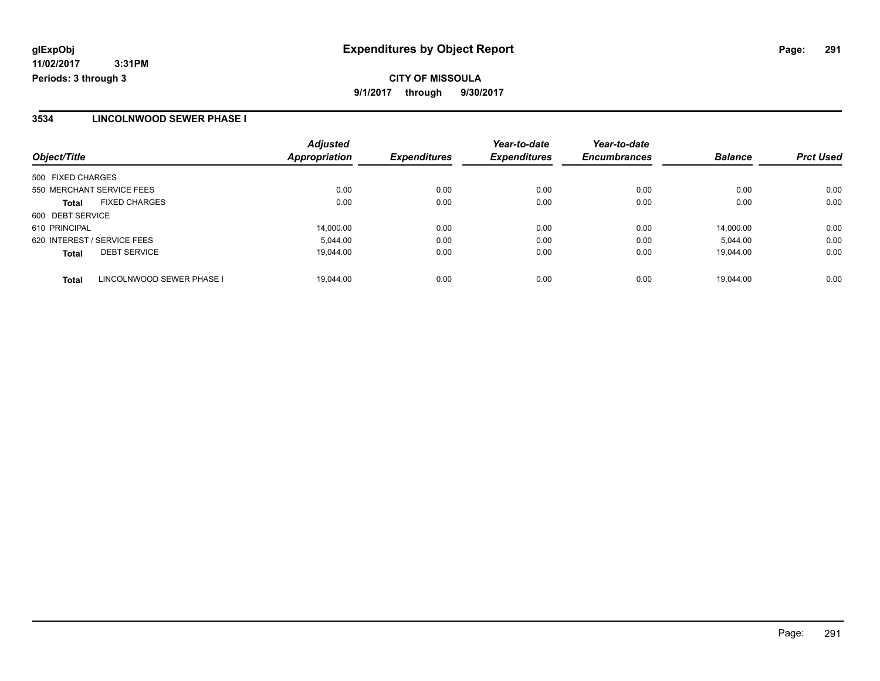### **3534 LINCOLNWOOD SEWER PHASE I**

| Object/Title      |                             | <b>Adjusted</b><br><b>Appropriation</b> | <b>Expenditures</b> | Year-to-date<br><b>Expenditures</b> | Year-to-date<br><b>Encumbrances</b> | <b>Balance</b> | <b>Prct Used</b> |
|-------------------|-----------------------------|-----------------------------------------|---------------------|-------------------------------------|-------------------------------------|----------------|------------------|
|                   |                             |                                         |                     |                                     |                                     |                |                  |
| 500 FIXED CHARGES |                             |                                         |                     |                                     |                                     |                |                  |
|                   | 550 MERCHANT SERVICE FEES   | 0.00                                    | 0.00                | 0.00                                | 0.00                                | 0.00           | 0.00             |
| <b>Total</b>      | <b>FIXED CHARGES</b>        | 0.00                                    | 0.00                | 0.00                                | 0.00                                | 0.00           | 0.00             |
| 600 DEBT SERVICE  |                             |                                         |                     |                                     |                                     |                |                  |
| 610 PRINCIPAL     |                             | 14,000.00                               | 0.00                | 0.00                                | 0.00                                | 14.000.00      | 0.00             |
|                   | 620 INTEREST / SERVICE FEES | 5.044.00                                | 0.00                | 0.00                                | 0.00                                | 5.044.00       | 0.00             |
| <b>Total</b>      | <b>DEBT SERVICE</b>         | 19.044.00                               | 0.00                | 0.00                                | 0.00                                | 19.044.00      | 0.00             |
| <b>Total</b>      | LINCOLNWOOD SEWER PHASE I   | 19.044.00                               | 0.00                | 0.00                                | 0.00                                | 19.044.00      | 0.00             |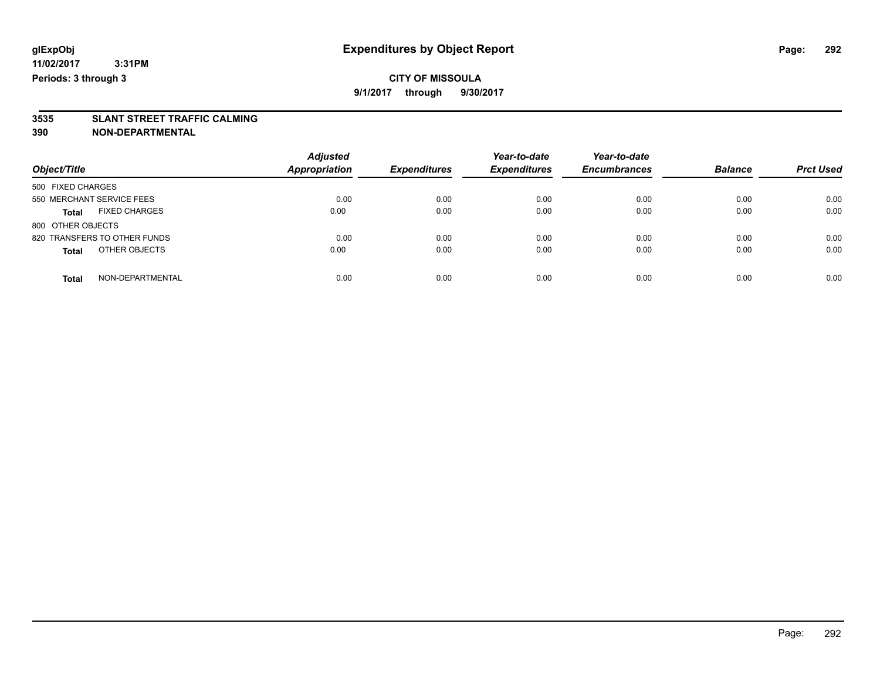**3535 SLANT STREET TRAFFIC CALMING**

| Object/Title                         | <b>Adjusted</b><br>Appropriation | <b>Expenditures</b> | Year-to-date<br><b>Expenditures</b> | Year-to-date<br><b>Encumbrances</b> | <b>Balance</b> | <b>Prct Used</b> |
|--------------------------------------|----------------------------------|---------------------|-------------------------------------|-------------------------------------|----------------|------------------|
| 500 FIXED CHARGES                    |                                  |                     |                                     |                                     |                |                  |
| 550 MERCHANT SERVICE FEES            | 0.00                             | 0.00                | 0.00                                | 0.00                                | 0.00           | 0.00             |
| <b>FIXED CHARGES</b><br><b>Total</b> | 0.00                             | 0.00                | 0.00                                | 0.00                                | 0.00           | 0.00             |
| 800 OTHER OBJECTS                    |                                  |                     |                                     |                                     |                |                  |
| 820 TRANSFERS TO OTHER FUNDS         | 0.00                             | 0.00                | 0.00                                | 0.00                                | 0.00           | 0.00             |
| OTHER OBJECTS<br><b>Total</b>        | 0.00                             | 0.00                | 0.00                                | 0.00                                | 0.00           | 0.00             |
| NON-DEPARTMENTAL<br><b>Total</b>     | 0.00                             | 0.00                | 0.00                                | 0.00                                | 0.00           | 0.00             |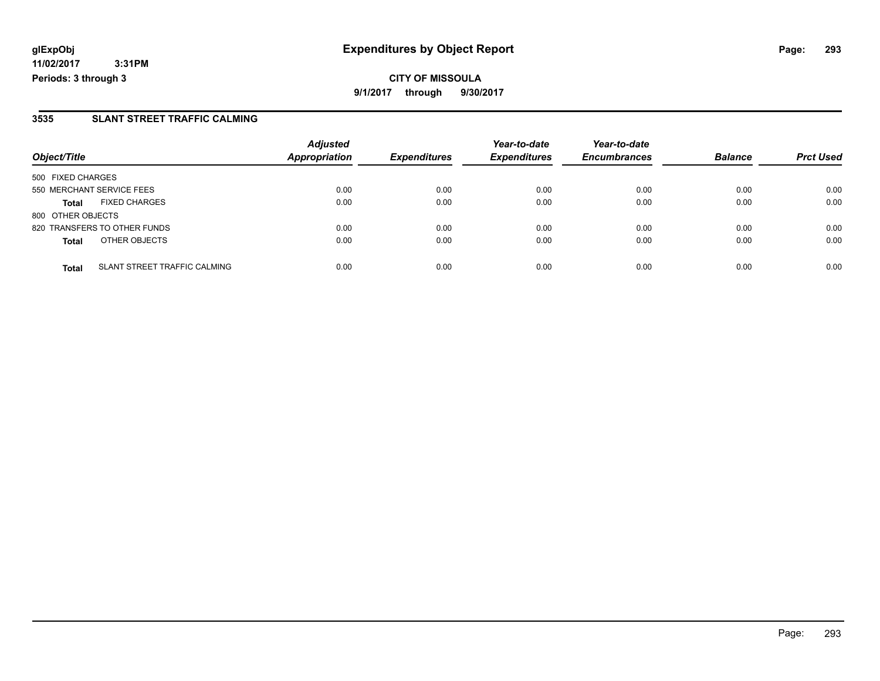### **3535 SLANT STREET TRAFFIC CALMING**

| Object/Title              |                              | <b>Adjusted</b><br><b>Appropriation</b> | <b>Expenditures</b> | Year-to-date        | Year-to-date        | <b>Balance</b> |                  |
|---------------------------|------------------------------|-----------------------------------------|---------------------|---------------------|---------------------|----------------|------------------|
|                           |                              |                                         |                     | <b>Expenditures</b> | <b>Encumbrances</b> |                | <b>Prct Used</b> |
| 500 FIXED CHARGES         |                              |                                         |                     |                     |                     |                |                  |
| 550 MERCHANT SERVICE FEES |                              | 0.00                                    | 0.00                | 0.00                | 0.00                | 0.00           | 0.00             |
| <b>Total</b>              | <b>FIXED CHARGES</b>         | 0.00                                    | 0.00                | 0.00                | 0.00                | 0.00           | 0.00             |
| 800 OTHER OBJECTS         |                              |                                         |                     |                     |                     |                |                  |
|                           | 820 TRANSFERS TO OTHER FUNDS | 0.00                                    | 0.00                | 0.00                | 0.00                | 0.00           | 0.00             |
| <b>Total</b>              | OTHER OBJECTS                | 0.00                                    | 0.00                | 0.00                | 0.00                | 0.00           | 0.00             |
| <b>Total</b>              | SLANT STREET TRAFFIC CALMING | 0.00                                    | 0.00                | 0.00                | 0.00                | 0.00           | 0.00             |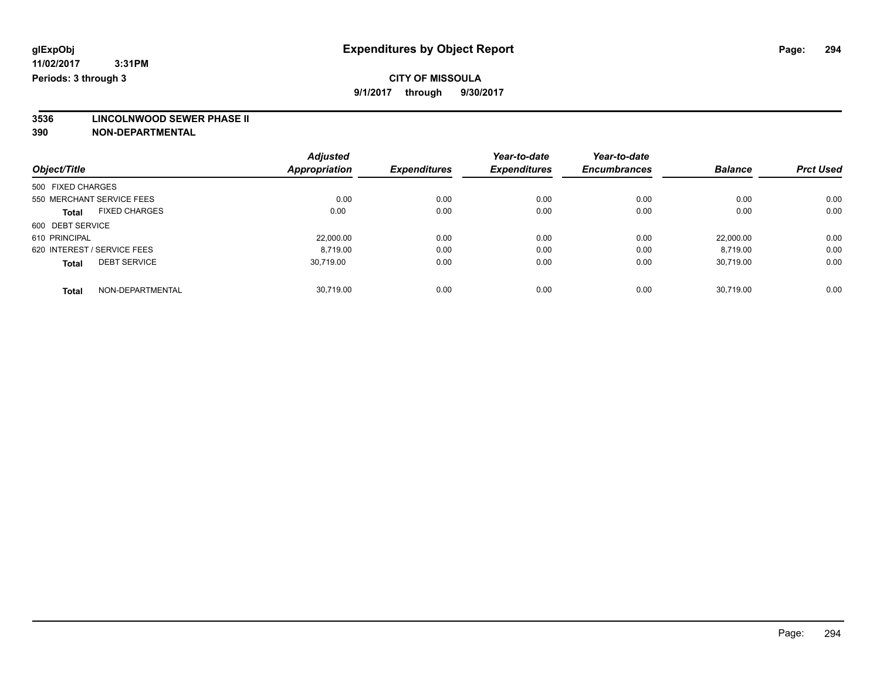# **CITY OF MISSOULA**

**9/1/2017 through 9/30/2017**

# **3536 LINCOLNWOOD SEWER PHASE II**

|                                      | <b>Adjusted</b>      |                     | Year-to-date        | Year-to-date        |                |                  |
|--------------------------------------|----------------------|---------------------|---------------------|---------------------|----------------|------------------|
| Object/Title                         | <b>Appropriation</b> | <b>Expenditures</b> | <b>Expenditures</b> | <b>Encumbrances</b> | <b>Balance</b> | <b>Prct Used</b> |
| 500 FIXED CHARGES                    |                      |                     |                     |                     |                |                  |
| 550 MERCHANT SERVICE FEES            | 0.00                 | 0.00                | 0.00                | 0.00                | 0.00           | 0.00             |
| <b>FIXED CHARGES</b><br><b>Total</b> | 0.00                 | 0.00                | 0.00                | 0.00                | 0.00           | 0.00             |
| 600 DEBT SERVICE                     |                      |                     |                     |                     |                |                  |
| 610 PRINCIPAL                        | 22,000.00            | 0.00                | 0.00                | 0.00                | 22,000.00      | 0.00             |
| 620 INTEREST / SERVICE FEES          | 8.719.00             | 0.00                | 0.00                | 0.00                | 8.719.00       | 0.00             |
| <b>DEBT SERVICE</b><br><b>Total</b>  | 30.719.00            | 0.00                | 0.00                | 0.00                | 30.719.00      | 0.00             |
| NON-DEPARTMENTAL<br><b>Total</b>     | 30.719.00            | 0.00                | 0.00                | 0.00                | 30.719.00      | 0.00             |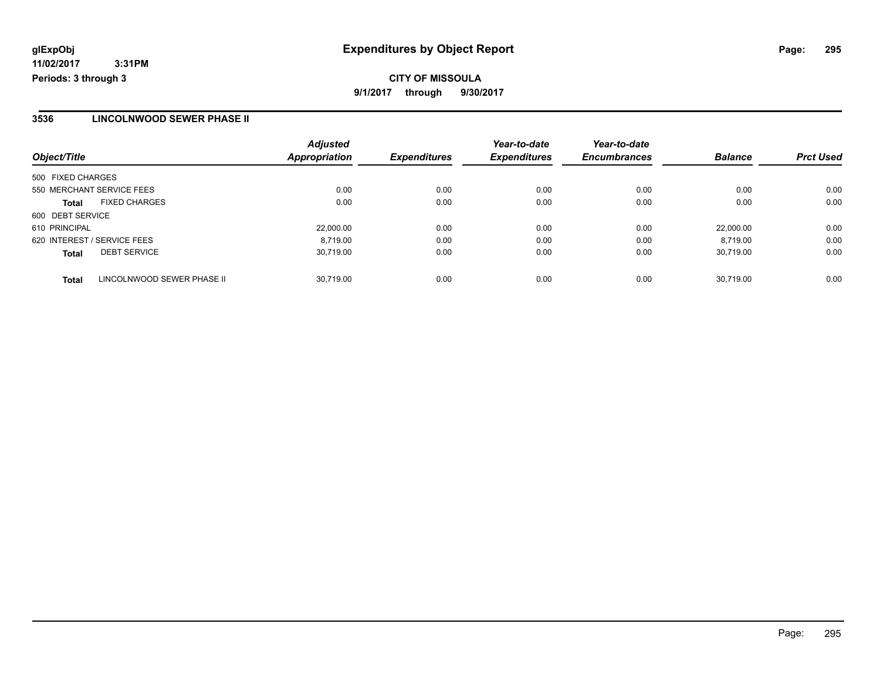### **3536 LINCOLNWOOD SEWER PHASE II**

| Object/Title                               | <b>Adjusted</b><br><b>Appropriation</b> | <b>Expenditures</b> | Year-to-date<br><b>Expenditures</b> | Year-to-date<br><b>Encumbrances</b> | <b>Balance</b> | <b>Prct Used</b> |
|--------------------------------------------|-----------------------------------------|---------------------|-------------------------------------|-------------------------------------|----------------|------------------|
| 500 FIXED CHARGES                          |                                         |                     |                                     |                                     |                |                  |
| 550 MERCHANT SERVICE FEES                  | 0.00                                    | 0.00                | 0.00                                | 0.00                                | 0.00           | 0.00             |
| <b>FIXED CHARGES</b><br><b>Total</b>       | 0.00                                    | 0.00                | 0.00                                | 0.00                                | 0.00           | 0.00             |
| 600 DEBT SERVICE                           |                                         |                     |                                     |                                     |                |                  |
| 610 PRINCIPAL                              | 22,000.00                               | 0.00                | 0.00                                | 0.00                                | 22.000.00      | 0.00             |
| 620 INTEREST / SERVICE FEES                | 8.719.00                                | 0.00                | 0.00                                | 0.00                                | 8.719.00       | 0.00             |
| <b>DEBT SERVICE</b><br><b>Total</b>        | 30.719.00                               | 0.00                | 0.00                                | 0.00                                | 30.719.00      | 0.00             |
| LINCOLNWOOD SEWER PHASE II<br><b>Total</b> | 30.719.00                               | 0.00                | 0.00                                | 0.00                                | 30.719.00      | 0.00             |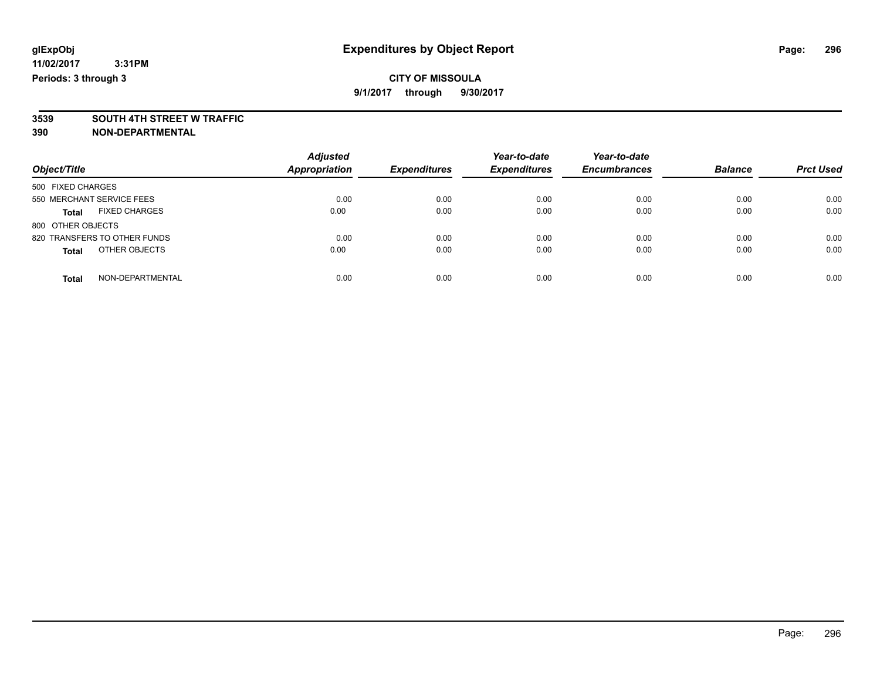**3539 SOUTH 4TH STREET W TRAFFIC**

| Object/Title                         | <b>Adjusted</b><br><b>Appropriation</b> | <b>Expenditures</b> | Year-to-date<br><b>Expenditures</b> | Year-to-date<br><b>Encumbrances</b> | <b>Balance</b> | <b>Prct Used</b> |
|--------------------------------------|-----------------------------------------|---------------------|-------------------------------------|-------------------------------------|----------------|------------------|
| 500 FIXED CHARGES                    |                                         |                     |                                     |                                     |                |                  |
| 550 MERCHANT SERVICE FEES            | 0.00                                    | 0.00                | 0.00                                | 0.00                                | 0.00           | 0.00             |
| <b>FIXED CHARGES</b><br><b>Total</b> | 0.00                                    | 0.00                | 0.00                                | 0.00                                | 0.00           | 0.00             |
| 800 OTHER OBJECTS                    |                                         |                     |                                     |                                     |                |                  |
| 820 TRANSFERS TO OTHER FUNDS         | 0.00                                    | 0.00                | 0.00                                | 0.00                                | 0.00           | 0.00             |
| OTHER OBJECTS<br><b>Total</b>        | 0.00                                    | 0.00                | 0.00                                | 0.00                                | 0.00           | 0.00             |
| NON-DEPARTMENTAL<br>Total            | 0.00                                    | 0.00                | 0.00                                | 0.00                                | 0.00           | 0.00             |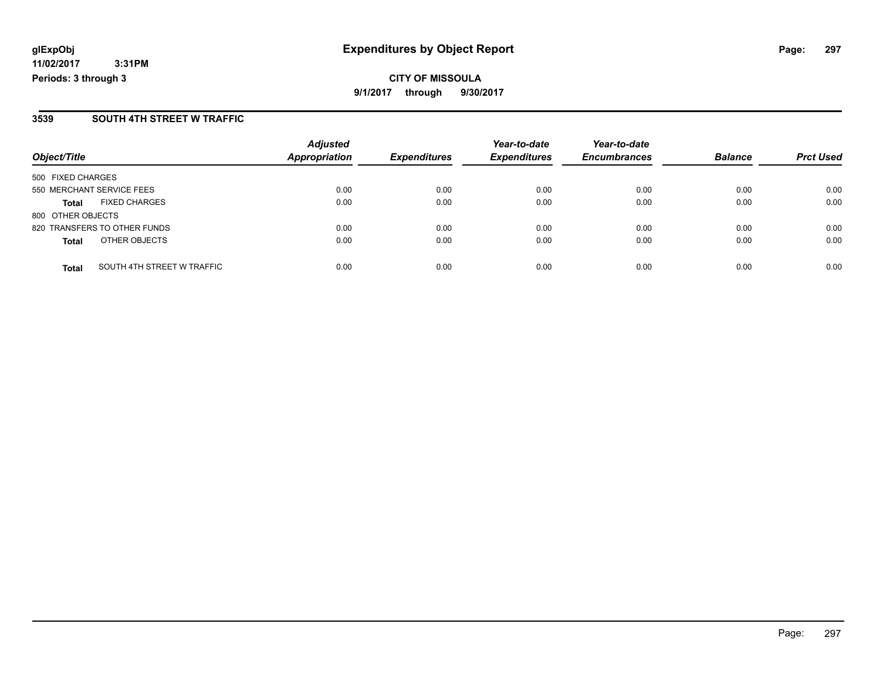**CITY OF MISSOULA 9/1/2017 through 9/30/2017**

#### **3539 SOUTH 4TH STREET W TRAFFIC**

|                                            | <b>Adjusted</b><br>Appropriation | <b>Expenditures</b> | Year-to-date<br><b>Expenditures</b> | Year-to-date<br><b>Encumbrances</b> | <b>Balance</b> | <b>Prct Used</b> |
|--------------------------------------------|----------------------------------|---------------------|-------------------------------------|-------------------------------------|----------------|------------------|
| Object/Title                               |                                  |                     |                                     |                                     |                |                  |
| 500 FIXED CHARGES                          |                                  |                     |                                     |                                     |                |                  |
| 550 MERCHANT SERVICE FEES                  | 0.00                             | 0.00                | 0.00                                | 0.00                                | 0.00           | 0.00             |
| <b>FIXED CHARGES</b><br><b>Total</b>       | 0.00                             | 0.00                | 0.00                                | 0.00                                | 0.00           | 0.00             |
| 800 OTHER OBJECTS                          |                                  |                     |                                     |                                     |                |                  |
| 820 TRANSFERS TO OTHER FUNDS               | 0.00                             | 0.00                | 0.00                                | 0.00                                | 0.00           | 0.00             |
| OTHER OBJECTS<br><b>Total</b>              | 0.00                             | 0.00                | 0.00                                | 0.00                                | 0.00           | 0.00             |
| SOUTH 4TH STREET W TRAFFIC<br><b>Total</b> | 0.00                             | 0.00                | 0.00                                | 0.00                                | 0.00           | 0.00             |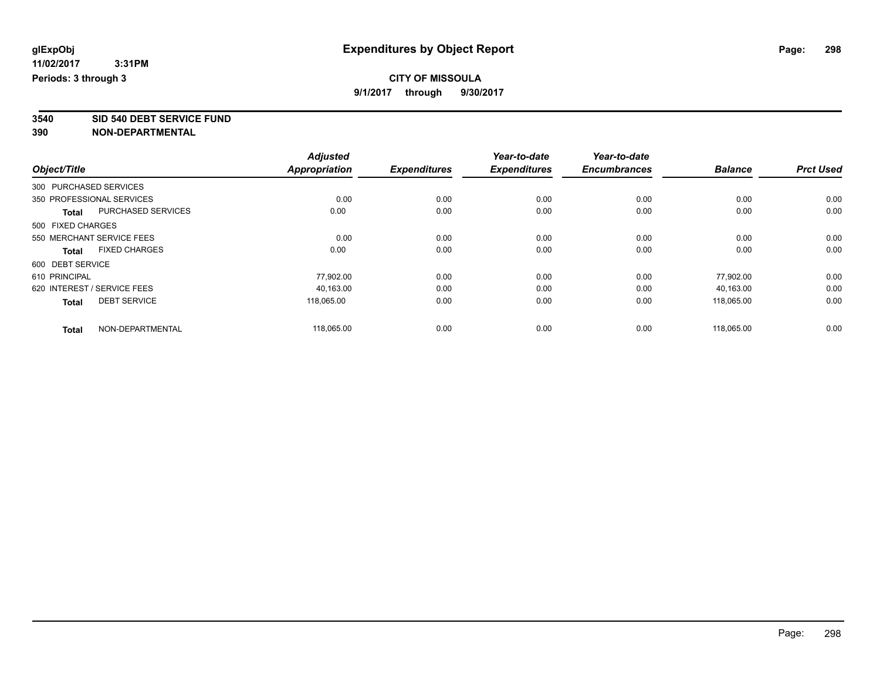**3540 SID 540 DEBT SERVICE FUND**

|                             |                           | <b>Adjusted</b>      |                     | Year-to-date        | Year-to-date        |                |                  |
|-----------------------------|---------------------------|----------------------|---------------------|---------------------|---------------------|----------------|------------------|
| Object/Title                |                           | <b>Appropriation</b> | <b>Expenditures</b> | <b>Expenditures</b> | <b>Encumbrances</b> | <b>Balance</b> | <b>Prct Used</b> |
| 300 PURCHASED SERVICES      |                           |                      |                     |                     |                     |                |                  |
| 350 PROFESSIONAL SERVICES   |                           | 0.00                 | 0.00                | 0.00                | 0.00                | 0.00           | 0.00             |
| <b>Total</b>                | <b>PURCHASED SERVICES</b> | 0.00                 | 0.00                | 0.00                | 0.00                | 0.00           | 0.00             |
| 500 FIXED CHARGES           |                           |                      |                     |                     |                     |                |                  |
|                             | 550 MERCHANT SERVICE FEES | 0.00                 | 0.00                | 0.00                | 0.00                | 0.00           | 0.00             |
| <b>Total</b>                | <b>FIXED CHARGES</b>      | 0.00                 | 0.00                | 0.00                | 0.00                | 0.00           | 0.00             |
| 600 DEBT SERVICE            |                           |                      |                     |                     |                     |                |                  |
| 610 PRINCIPAL               |                           | 77.902.00            | 0.00                | 0.00                | 0.00                | 77.902.00      | 0.00             |
| 620 INTEREST / SERVICE FEES |                           | 40,163.00            | 0.00                | 0.00                | 0.00                | 40,163.00      | 0.00             |
| <b>Total</b>                | <b>DEBT SERVICE</b>       | 118.065.00           | 0.00                | 0.00                | 0.00                | 118,065.00     | 0.00             |
| <b>Total</b>                | NON-DEPARTMENTAL          | 118,065.00           | 0.00                | 0.00                | 0.00                | 118.065.00     | 0.00             |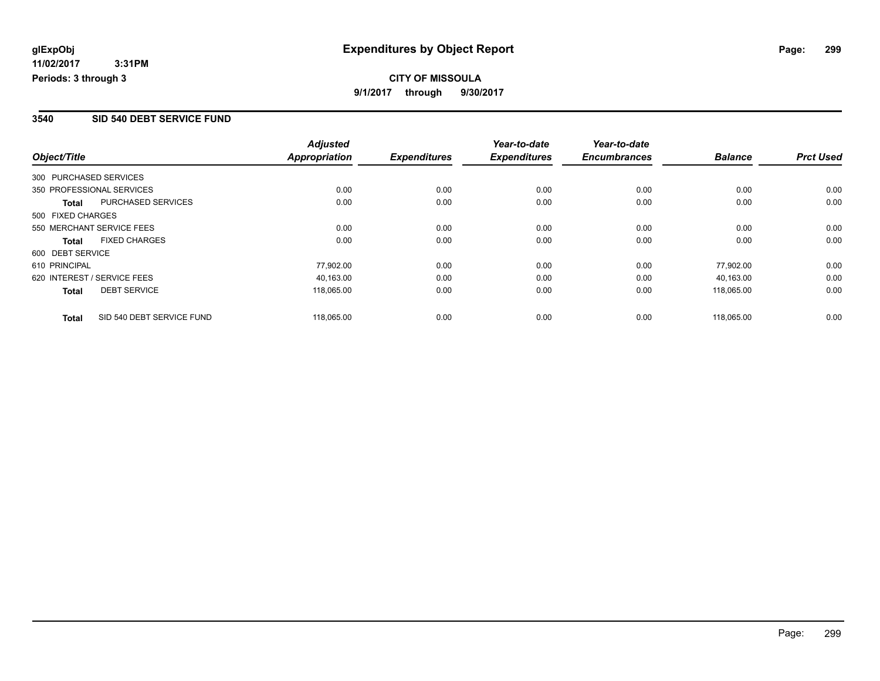# **CITY OF MISSOULA 9/1/2017 through 9/30/2017**

### **3540 SID 540 DEBT SERVICE FUND**

|                   |                             | <b>Adjusted</b>      |                     | Year-to-date        | Year-to-date        |                |                  |
|-------------------|-----------------------------|----------------------|---------------------|---------------------|---------------------|----------------|------------------|
| Object/Title      |                             | <b>Appropriation</b> | <b>Expenditures</b> | <b>Expenditures</b> | <b>Encumbrances</b> | <b>Balance</b> | <b>Prct Used</b> |
|                   | 300 PURCHASED SERVICES      |                      |                     |                     |                     |                |                  |
|                   | 350 PROFESSIONAL SERVICES   | 0.00                 | 0.00                | 0.00                | 0.00                | 0.00           | 0.00             |
| Total             | PURCHASED SERVICES          | 0.00                 | 0.00                | 0.00                | 0.00                | 0.00           | 0.00             |
| 500 FIXED CHARGES |                             |                      |                     |                     |                     |                |                  |
|                   | 550 MERCHANT SERVICE FEES   | 0.00                 | 0.00                | 0.00                | 0.00                | 0.00           | 0.00             |
| <b>Total</b>      | <b>FIXED CHARGES</b>        | 0.00                 | 0.00                | 0.00                | 0.00                | 0.00           | 0.00             |
| 600 DEBT SERVICE  |                             |                      |                     |                     |                     |                |                  |
| 610 PRINCIPAL     |                             | 77,902.00            | 0.00                | 0.00                | 0.00                | 77.902.00      | 0.00             |
|                   | 620 INTEREST / SERVICE FEES | 40.163.00            | 0.00                | 0.00                | 0.00                | 40.163.00      | 0.00             |
| <b>Total</b>      | <b>DEBT SERVICE</b>         | 118,065.00           | 0.00                | 0.00                | 0.00                | 118,065.00     | 0.00             |
| <b>Total</b>      | SID 540 DEBT SERVICE FUND   | 118.065.00           | 0.00                | 0.00                | 0.00                | 118.065.00     | 0.00             |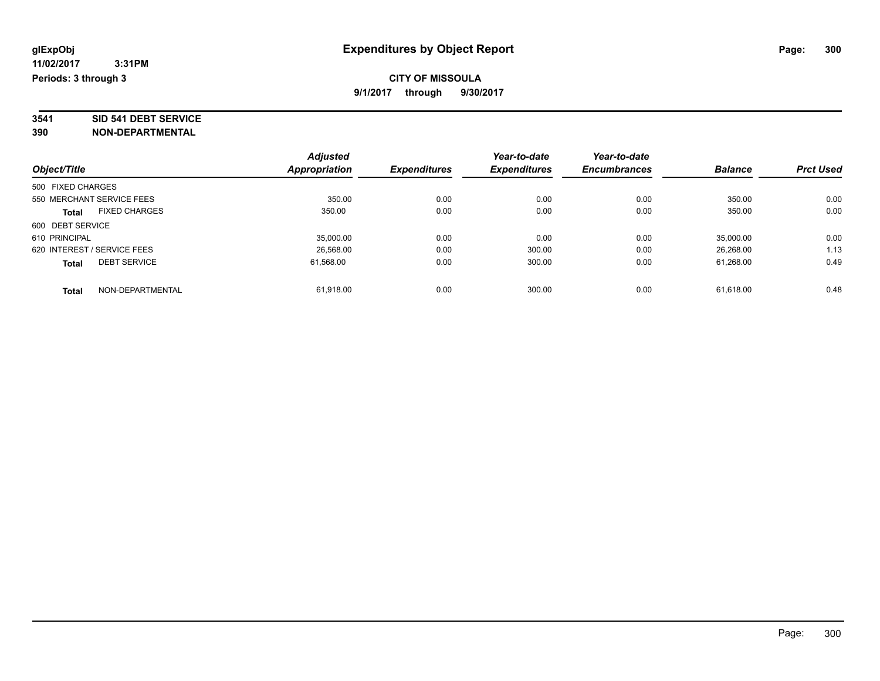# **3541 SID 541 DEBT SERVICE**

|                                     | <b>Adjusted</b> |                     | Year-to-date        | Year-to-date        |                |                  |
|-------------------------------------|-----------------|---------------------|---------------------|---------------------|----------------|------------------|
| Object/Title                        | Appropriation   | <b>Expenditures</b> | <b>Expenditures</b> | <b>Encumbrances</b> | <b>Balance</b> | <b>Prct Used</b> |
| 500 FIXED CHARGES                   |                 |                     |                     |                     |                |                  |
| 550 MERCHANT SERVICE FEES           | 350.00          | 0.00                | 0.00                | 0.00                | 350.00         | 0.00             |
| <b>FIXED CHARGES</b><br>Total       | 350.00          | 0.00                | 0.00                | 0.00                | 350.00         | 0.00             |
| 600 DEBT SERVICE                    |                 |                     |                     |                     |                |                  |
| 610 PRINCIPAL                       | 35,000.00       | 0.00                | 0.00                | 0.00                | 35,000.00      | 0.00             |
| 620 INTEREST / SERVICE FEES         | 26.568.00       | 0.00                | 300.00              | 0.00                | 26.268.00      | 1.13             |
| <b>DEBT SERVICE</b><br><b>Total</b> | 61.568.00       | 0.00                | 300.00              | 0.00                | 61.268.00      | 0.49             |
| NON-DEPARTMENTAL<br><b>Total</b>    | 61.918.00       | 0.00                | 300.00              | 0.00                | 61.618.00      | 0.48             |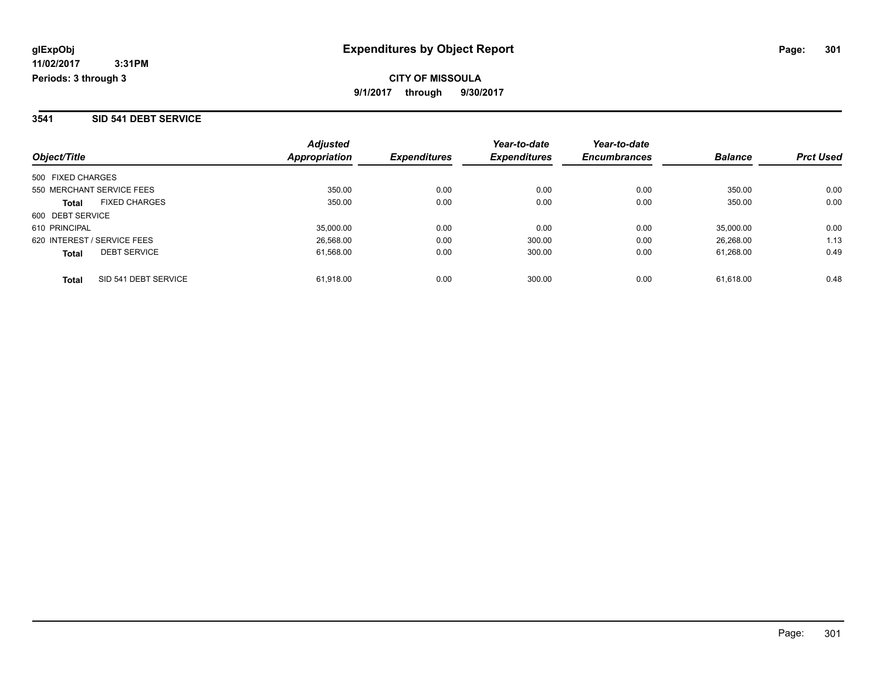#### **3541 SID 541 DEBT SERVICE**

| Object/Title                         | <b>Adjusted</b><br>Appropriation | <b>Expenditures</b> | Year-to-date<br><b>Expenditures</b> | Year-to-date<br><b>Encumbrances</b> | <b>Balance</b> | <b>Prct Used</b> |
|--------------------------------------|----------------------------------|---------------------|-------------------------------------|-------------------------------------|----------------|------------------|
| 500 FIXED CHARGES                    |                                  |                     |                                     |                                     |                |                  |
| 550 MERCHANT SERVICE FEES            | 350.00                           | 0.00                | 0.00                                | 0.00                                | 350.00         | 0.00             |
| <b>FIXED CHARGES</b><br><b>Total</b> | 350.00                           | 0.00                | 0.00                                | 0.00                                | 350.00         | 0.00             |
| 600 DEBT SERVICE                     |                                  |                     |                                     |                                     |                |                  |
| 610 PRINCIPAL                        | 35,000.00                        | 0.00                | 0.00                                | 0.00                                | 35,000.00      | 0.00             |
| 620 INTEREST / SERVICE FEES          | 26.568.00                        | 0.00                | 300.00                              | 0.00                                | 26.268.00      | 1.13             |
| <b>DEBT SERVICE</b><br><b>Total</b>  | 61.568.00                        | 0.00                | 300.00                              | 0.00                                | 61.268.00      | 0.49             |
| SID 541 DEBT SERVICE<br><b>Total</b> | 61.918.00                        | 0.00                | 300.00                              | 0.00                                | 61.618.00      | 0.48             |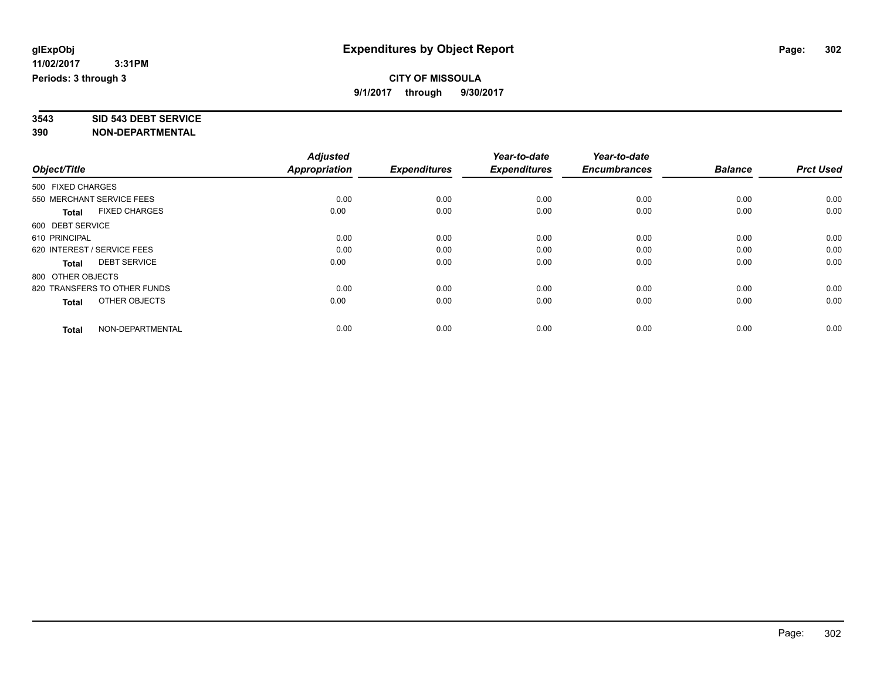# **3543 SID 543 DEBT SERVICE**

|                                      | <b>Adjusted</b>      | <b>Expenditures</b> | Year-to-date<br><b>Expenditures</b> | Year-to-date<br><b>Encumbrances</b> | <b>Balance</b> | <b>Prct Used</b> |
|--------------------------------------|----------------------|---------------------|-------------------------------------|-------------------------------------|----------------|------------------|
| Object/Title                         | <b>Appropriation</b> |                     |                                     |                                     |                |                  |
| 500 FIXED CHARGES                    |                      |                     |                                     |                                     |                |                  |
| 550 MERCHANT SERVICE FEES            | 0.00                 | 0.00                | 0.00                                | 0.00                                | 0.00           | 0.00             |
| <b>FIXED CHARGES</b><br><b>Total</b> | 0.00                 | 0.00                | 0.00                                | 0.00                                | 0.00           | 0.00             |
| 600 DEBT SERVICE                     |                      |                     |                                     |                                     |                |                  |
| 610 PRINCIPAL                        | 0.00                 | 0.00                | 0.00                                | 0.00                                | 0.00           | 0.00             |
| 620 INTEREST / SERVICE FEES          | 0.00                 | 0.00                | 0.00                                | 0.00                                | 0.00           | 0.00             |
| <b>DEBT SERVICE</b><br><b>Total</b>  | 0.00                 | 0.00                | 0.00                                | 0.00                                | 0.00           | 0.00             |
| 800 OTHER OBJECTS                    |                      |                     |                                     |                                     |                |                  |
| 820 TRANSFERS TO OTHER FUNDS         | 0.00                 | 0.00                | 0.00                                | 0.00                                | 0.00           | 0.00             |
| OTHER OBJECTS<br><b>Total</b>        | 0.00                 | 0.00                | 0.00                                | 0.00                                | 0.00           | 0.00             |
|                                      |                      |                     |                                     |                                     |                |                  |
| NON-DEPARTMENTAL<br><b>Total</b>     | 0.00                 | 0.00                | 0.00                                | 0.00                                | 0.00           | 0.00             |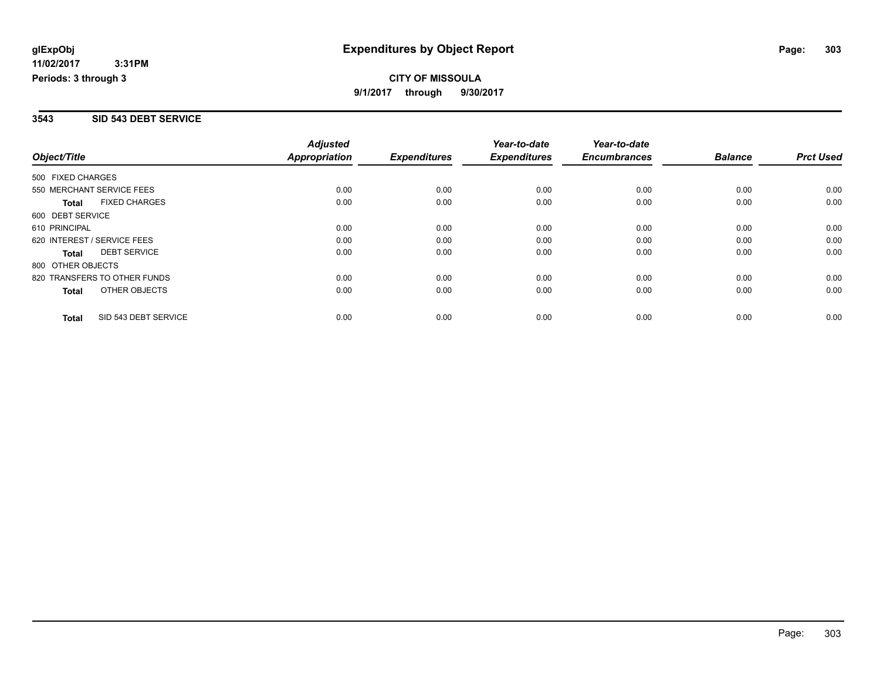#### **3543 SID 543 DEBT SERVICE**

| Object/Title      |                              | <b>Adjusted</b>      |                     | Year-to-date        | Year-to-date        |                |                  |
|-------------------|------------------------------|----------------------|---------------------|---------------------|---------------------|----------------|------------------|
|                   |                              | <b>Appropriation</b> | <b>Expenditures</b> | <b>Expenditures</b> | <b>Encumbrances</b> | <b>Balance</b> | <b>Prct Used</b> |
| 500 FIXED CHARGES |                              |                      |                     |                     |                     |                |                  |
|                   | 550 MERCHANT SERVICE FEES    | 0.00                 | 0.00                | 0.00                | 0.00                | 0.00           | 0.00             |
| <b>Total</b>      | <b>FIXED CHARGES</b>         | 0.00                 | 0.00                | 0.00                | 0.00                | 0.00           | 0.00             |
| 600 DEBT SERVICE  |                              |                      |                     |                     |                     |                |                  |
| 610 PRINCIPAL     |                              | 0.00                 | 0.00                | 0.00                | 0.00                | 0.00           | 0.00             |
|                   | 620 INTEREST / SERVICE FEES  | 0.00                 | 0.00                | 0.00                | 0.00                | 0.00           | 0.00             |
| Total             | <b>DEBT SERVICE</b>          | 0.00                 | 0.00                | 0.00                | 0.00                | 0.00           | 0.00             |
| 800 OTHER OBJECTS |                              |                      |                     |                     |                     |                |                  |
|                   | 820 TRANSFERS TO OTHER FUNDS | 0.00                 | 0.00                | 0.00                | 0.00                | 0.00           | 0.00             |
| <b>Total</b>      | OTHER OBJECTS                | 0.00                 | 0.00                | 0.00                | 0.00                | 0.00           | 0.00             |
| <b>Total</b>      | SID 543 DEBT SERVICE         | 0.00                 | 0.00                | 0.00                | 0.00                | 0.00           | 0.00             |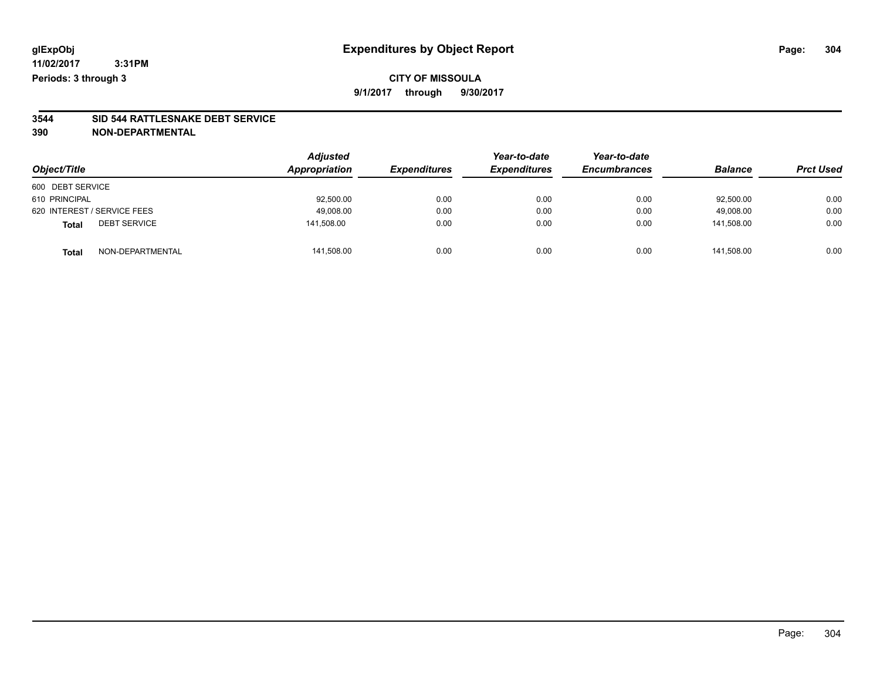## **CITY OF MISSOULA 9/1/2017 through 9/30/2017**

# **3544 SID 544 RATTLESNAKE DEBT SERVICE**

|                                     | <b>Adjusted</b> |                     | Year-to-date        | Year-to-date<br><b>Encumbrances</b> | <b>Balance</b> |                  |
|-------------------------------------|-----------------|---------------------|---------------------|-------------------------------------|----------------|------------------|
| Object/Title                        | Appropriation   | <b>Expenditures</b> | <b>Expenditures</b> |                                     |                | <b>Prct Used</b> |
| 600 DEBT SERVICE                    |                 |                     |                     |                                     |                |                  |
| 610 PRINCIPAL                       | 92,500.00       | 0.00                | 0.00                | 0.00                                | 92,500.00      | 0.00             |
| 620 INTEREST / SERVICE FEES         | 49,008.00       | 0.00                | 0.00                | 0.00                                | 49.008.00      | 0.00             |
| <b>DEBT SERVICE</b><br><b>Total</b> | 141,508.00      | 0.00                | 0.00                | 0.00                                | 141.508.00     | 0.00             |
| NON-DEPARTMENTAL<br><b>Total</b>    | 141,508.00      | 0.00                | 0.00                | 0.00                                | 141.508.00     | 0.00             |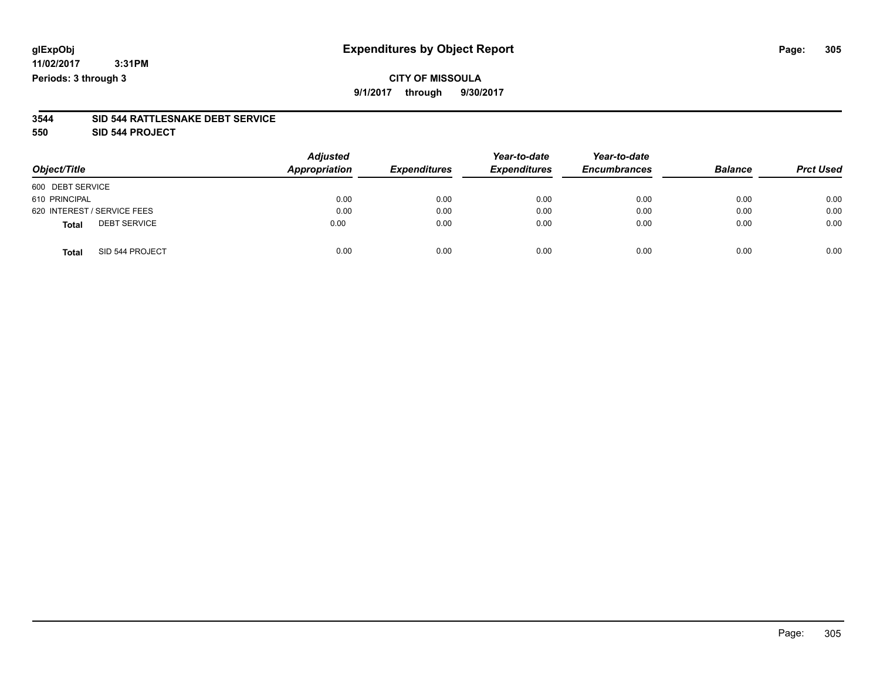## **CITY OF MISSOULA 9/1/2017 through 9/30/2017**

#### **3544 SID 544 RATTLESNAKE DEBT SERVICE**

**550 SID 544 PROJECT**

| Object/Title                        | <b>Adjusted</b><br>Appropriation | <b>Expenditures</b> | Year-to-date<br><b>Expenditures</b> | Year-to-date<br><b>Encumbrances</b> | <b>Balance</b> | <b>Prct Used</b> |
|-------------------------------------|----------------------------------|---------------------|-------------------------------------|-------------------------------------|----------------|------------------|
| 600 DEBT SERVICE                    |                                  |                     |                                     |                                     |                |                  |
| 610 PRINCIPAL                       | 0.00                             | 0.00                | 0.00                                | 0.00                                | 0.00           | 0.00             |
| 620 INTEREST / SERVICE FEES         | 0.00                             | 0.00                | 0.00                                | 0.00                                | 0.00           | 0.00             |
| <b>DEBT SERVICE</b><br><b>Total</b> | 0.00                             | 0.00                | 0.00                                | 0.00                                | 0.00           | 0.00             |
| SID 544 PROJECT<br><b>Total</b>     | 0.00                             | 0.00                | 0.00                                | 0.00                                | 0.00           | 0.00             |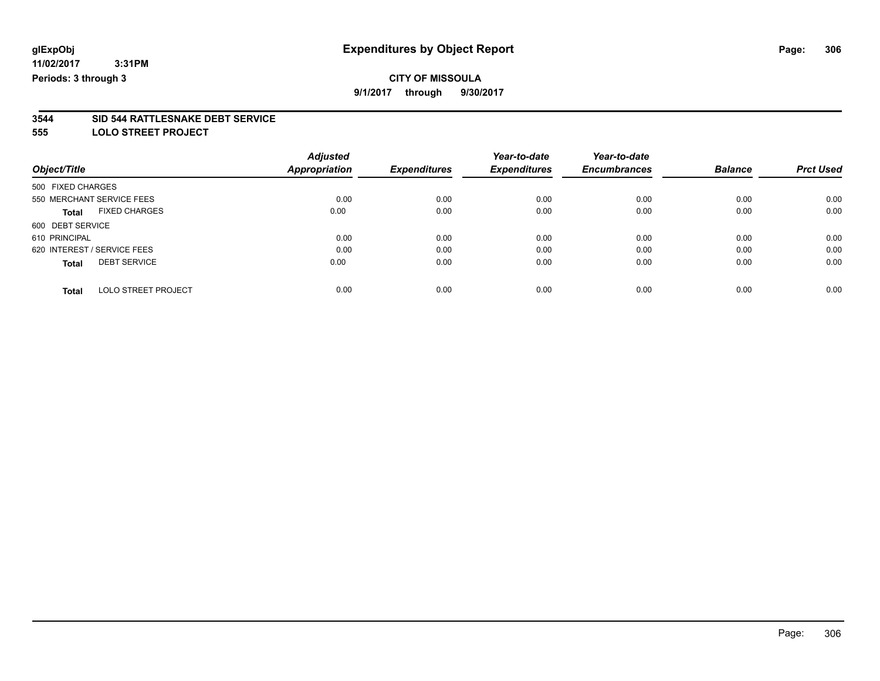# **CITY OF MISSOULA**

**9/1/2017 through 9/30/2017**

# **3544 SID 544 RATTLESNAKE DEBT SERVICE**

**555 LOLO STREET PROJECT**

|                                            | <b>Adjusted</b>      |                     | Year-to-date        | Year-to-date        |                |                  |
|--------------------------------------------|----------------------|---------------------|---------------------|---------------------|----------------|------------------|
| Object/Title                               | <b>Appropriation</b> | <b>Expenditures</b> | <b>Expenditures</b> | <b>Encumbrances</b> | <b>Balance</b> | <b>Prct Used</b> |
| 500 FIXED CHARGES                          |                      |                     |                     |                     |                |                  |
| 550 MERCHANT SERVICE FEES                  | 0.00                 | 0.00                | 0.00                | 0.00                | 0.00           | 0.00             |
| <b>FIXED CHARGES</b><br><b>Total</b>       | 0.00                 | 0.00                | 0.00                | 0.00                | 0.00           | 0.00             |
| 600 DEBT SERVICE                           |                      |                     |                     |                     |                |                  |
| 610 PRINCIPAL                              | 0.00                 | 0.00                | 0.00                | 0.00                | 0.00           | 0.00             |
| 620 INTEREST / SERVICE FEES                | 0.00                 | 0.00                | 0.00                | 0.00                | 0.00           | 0.00             |
| <b>DEBT SERVICE</b><br><b>Total</b>        | 0.00                 | 0.00                | 0.00                | 0.00                | 0.00           | 0.00             |
| <b>LOLO STREET PROJECT</b><br><b>Total</b> | 0.00                 | 0.00                | 0.00                | 0.00                | 0.00           | 0.00             |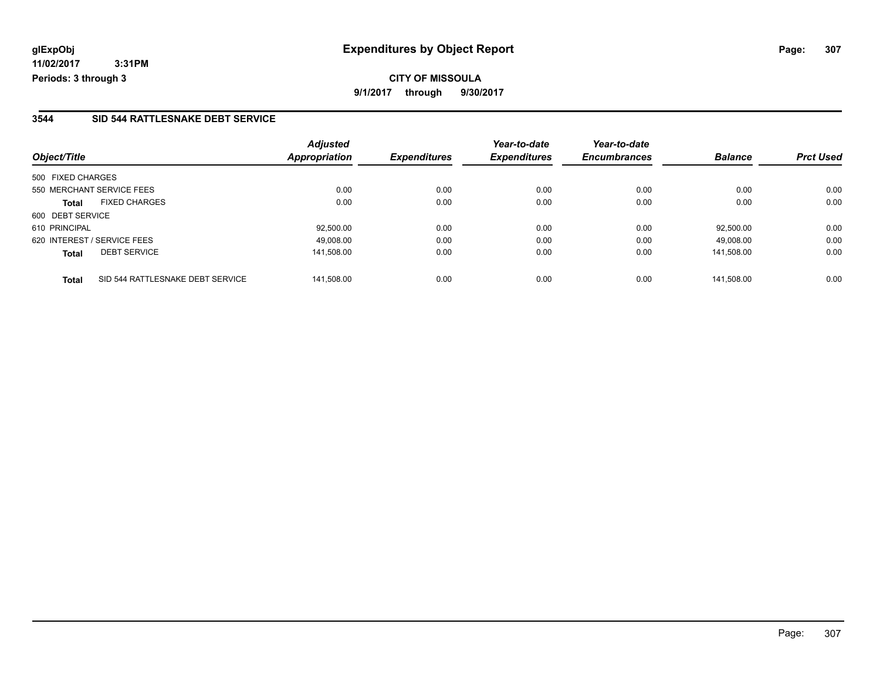### **3544 SID 544 RATTLESNAKE DEBT SERVICE**

| Object/Title                                     | <b>Adjusted</b><br><b>Appropriation</b> | <b>Expenditures</b> | Year-to-date<br><b>Expenditures</b> | Year-to-date<br><b>Encumbrances</b> | <b>Balance</b> | <b>Prct Used</b> |
|--------------------------------------------------|-----------------------------------------|---------------------|-------------------------------------|-------------------------------------|----------------|------------------|
|                                                  |                                         |                     |                                     |                                     |                |                  |
| 500 FIXED CHARGES                                |                                         |                     |                                     |                                     |                |                  |
| 550 MERCHANT SERVICE FEES                        | 0.00                                    | 0.00                | 0.00                                | 0.00                                | 0.00           | 0.00             |
| <b>FIXED CHARGES</b><br><b>Total</b>             | 0.00                                    | 0.00                | 0.00                                | 0.00                                | 0.00           | 0.00             |
| 600 DEBT SERVICE                                 |                                         |                     |                                     |                                     |                |                  |
| 610 PRINCIPAL                                    | 92,500.00                               | 0.00                | 0.00                                | 0.00                                | 92,500.00      | 0.00             |
| 620 INTEREST / SERVICE FEES                      | 49.008.00                               | 0.00                | 0.00                                | 0.00                                | 49.008.00      | 0.00             |
| <b>DEBT SERVICE</b><br><b>Total</b>              | 141.508.00                              | 0.00                | 0.00                                | 0.00                                | 141.508.00     | 0.00             |
| SID 544 RATTLESNAKE DEBT SERVICE<br><b>Total</b> | 141.508.00                              | 0.00                | 0.00                                | 0.00                                | 141.508.00     | 0.00             |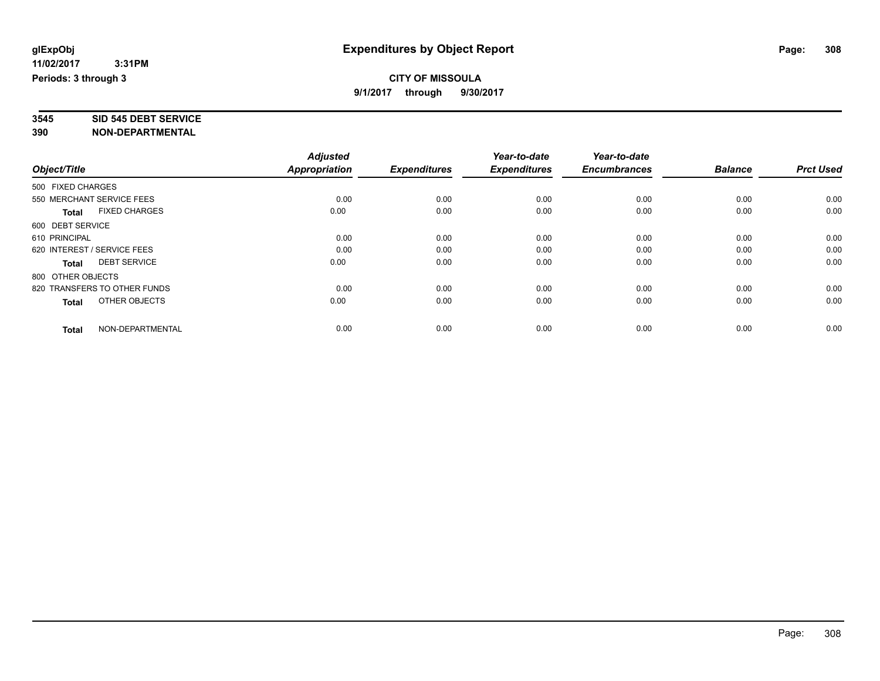# **3545 SID 545 DEBT SERVICE**

|                                      | <b>Adjusted</b>      | <b>Expenditures</b> | Year-to-date<br><b>Expenditures</b> | Year-to-date<br><b>Encumbrances</b> | <b>Balance</b> | <b>Prct Used</b> |
|--------------------------------------|----------------------|---------------------|-------------------------------------|-------------------------------------|----------------|------------------|
| Object/Title                         | <b>Appropriation</b> |                     |                                     |                                     |                |                  |
| 500 FIXED CHARGES                    |                      |                     |                                     |                                     |                |                  |
| 550 MERCHANT SERVICE FEES            | 0.00                 | 0.00                | 0.00                                | 0.00                                | 0.00           | 0.00             |
| <b>FIXED CHARGES</b><br><b>Total</b> | 0.00                 | 0.00                | 0.00                                | 0.00                                | 0.00           | 0.00             |
| 600 DEBT SERVICE                     |                      |                     |                                     |                                     |                |                  |
| 610 PRINCIPAL                        | 0.00                 | 0.00                | 0.00                                | 0.00                                | 0.00           | 0.00             |
| 620 INTEREST / SERVICE FEES          | 0.00                 | 0.00                | 0.00                                | 0.00                                | 0.00           | 0.00             |
| <b>DEBT SERVICE</b><br><b>Total</b>  | 0.00                 | 0.00                | 0.00                                | 0.00                                | 0.00           | 0.00             |
| 800 OTHER OBJECTS                    |                      |                     |                                     |                                     |                |                  |
| 820 TRANSFERS TO OTHER FUNDS         | 0.00                 | 0.00                | 0.00                                | 0.00                                | 0.00           | 0.00             |
| OTHER OBJECTS<br><b>Total</b>        | 0.00                 | 0.00                | 0.00                                | 0.00                                | 0.00           | 0.00             |
|                                      |                      |                     |                                     |                                     |                |                  |
| NON-DEPARTMENTAL<br><b>Total</b>     | 0.00                 | 0.00                | 0.00                                | 0.00                                | 0.00           | 0.00             |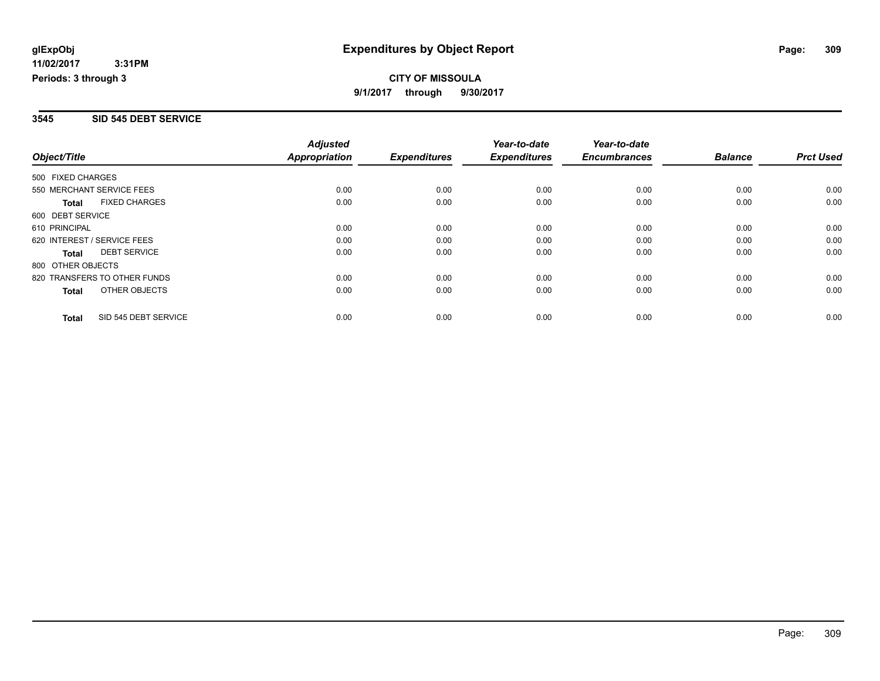#### **3545 SID 545 DEBT SERVICE**

| Object/Title      |                              | <b>Adjusted</b> |                     | Year-to-date        | Year-to-date        |                |                  |
|-------------------|------------------------------|-----------------|---------------------|---------------------|---------------------|----------------|------------------|
|                   |                              | Appropriation   | <b>Expenditures</b> | <b>Expenditures</b> | <b>Encumbrances</b> | <b>Balance</b> | <b>Prct Used</b> |
| 500 FIXED CHARGES |                              |                 |                     |                     |                     |                |                  |
|                   | 550 MERCHANT SERVICE FEES    | 0.00            | 0.00                | 0.00                | 0.00                | 0.00           | 0.00             |
| Total             | <b>FIXED CHARGES</b>         | 0.00            | 0.00                | 0.00                | 0.00                | 0.00           | 0.00             |
| 600 DEBT SERVICE  |                              |                 |                     |                     |                     |                |                  |
| 610 PRINCIPAL     |                              | 0.00            | 0.00                | 0.00                | 0.00                | 0.00           | 0.00             |
|                   | 620 INTEREST / SERVICE FEES  | 0.00            | 0.00                | 0.00                | 0.00                | 0.00           | 0.00             |
| Total             | <b>DEBT SERVICE</b>          | 0.00            | 0.00                | 0.00                | 0.00                | 0.00           | 0.00             |
| 800 OTHER OBJECTS |                              |                 |                     |                     |                     |                |                  |
|                   | 820 TRANSFERS TO OTHER FUNDS | 0.00            | 0.00                | 0.00                | 0.00                | 0.00           | 0.00             |
| Total             | OTHER OBJECTS                | 0.00            | 0.00                | 0.00                | 0.00                | 0.00           | 0.00             |
| <b>Total</b>      | SID 545 DEBT SERVICE         | 0.00            | 0.00                | 0.00                | 0.00                | 0.00           | 0.00             |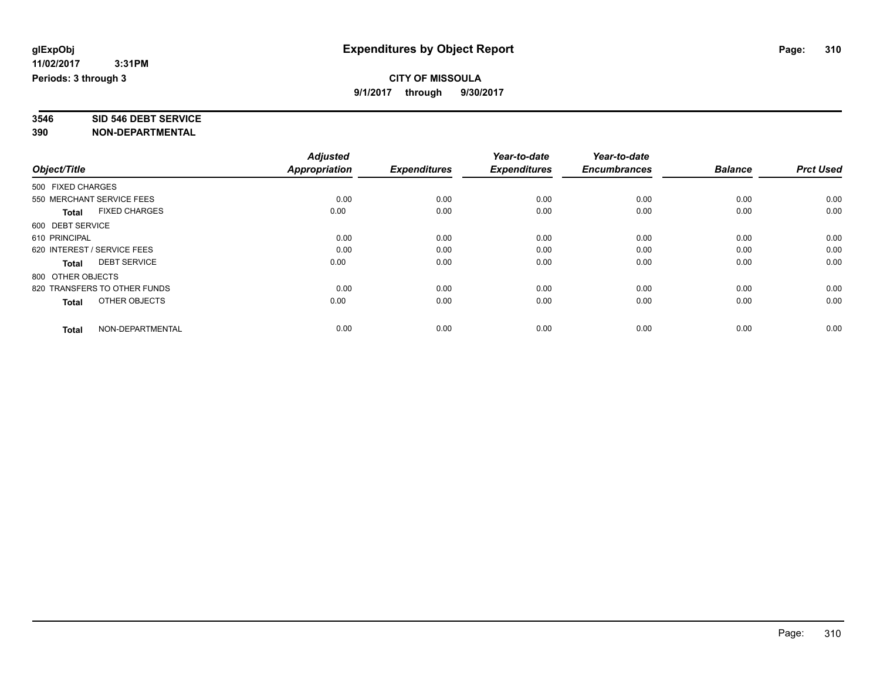# **3546 SID 546 DEBT SERVICE**

|                                      | <b>Adjusted</b> |                     | Year-to-date<br><b>Expenditures</b> | Year-to-date<br><b>Encumbrances</b> | <b>Balance</b> | <b>Prct Used</b> |
|--------------------------------------|-----------------|---------------------|-------------------------------------|-------------------------------------|----------------|------------------|
| Object/Title                         | Appropriation   | <b>Expenditures</b> |                                     |                                     |                |                  |
| 500 FIXED CHARGES                    |                 |                     |                                     |                                     |                |                  |
| 550 MERCHANT SERVICE FEES            | 0.00            | 0.00                | 0.00                                | 0.00                                | 0.00           | 0.00             |
| <b>FIXED CHARGES</b><br><b>Total</b> | 0.00            | 0.00                | 0.00                                | 0.00                                | 0.00           | 0.00             |
| 600 DEBT SERVICE                     |                 |                     |                                     |                                     |                |                  |
| 610 PRINCIPAL                        | 0.00            | 0.00                | 0.00                                | 0.00                                | 0.00           | 0.00             |
| 620 INTEREST / SERVICE FEES          | 0.00            | 0.00                | 0.00                                | 0.00                                | 0.00           | 0.00             |
| <b>DEBT SERVICE</b><br><b>Total</b>  | 0.00            | 0.00                | 0.00                                | 0.00                                | 0.00           | 0.00             |
| 800 OTHER OBJECTS                    |                 |                     |                                     |                                     |                |                  |
| 820 TRANSFERS TO OTHER FUNDS         | 0.00            | 0.00                | 0.00                                | 0.00                                | 0.00           | 0.00             |
| OTHER OBJECTS<br><b>Total</b>        | 0.00            | 0.00                | 0.00                                | 0.00                                | 0.00           | 0.00             |
|                                      |                 |                     |                                     |                                     |                |                  |
| NON-DEPARTMENTAL<br><b>Total</b>     | 0.00            | 0.00                | 0.00                                | 0.00                                | 0.00           | 0.00             |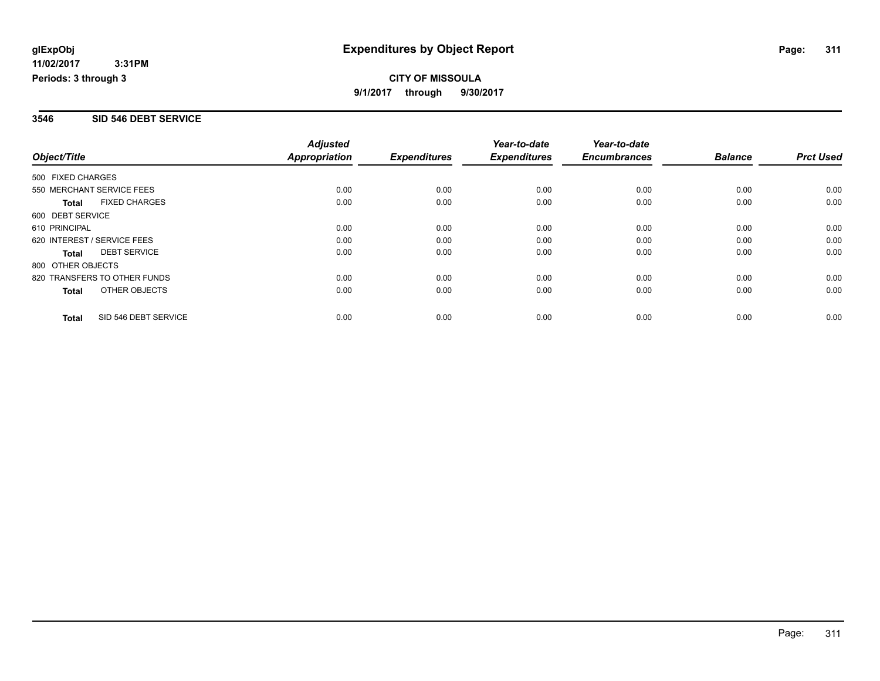#### **3546 SID 546 DEBT SERVICE**

| Object/Title      |                              | <b>Adjusted</b> |                     | Year-to-date        | Year-to-date        |                |                  |
|-------------------|------------------------------|-----------------|---------------------|---------------------|---------------------|----------------|------------------|
|                   |                              | Appropriation   | <b>Expenditures</b> | <b>Expenditures</b> | <b>Encumbrances</b> | <b>Balance</b> | <b>Prct Used</b> |
| 500 FIXED CHARGES |                              |                 |                     |                     |                     |                |                  |
|                   | 550 MERCHANT SERVICE FEES    | 0.00            | 0.00                | 0.00                | 0.00                | 0.00           | 0.00             |
| Total             | <b>FIXED CHARGES</b>         | 0.00            | 0.00                | 0.00                | 0.00                | 0.00           | 0.00             |
| 600 DEBT SERVICE  |                              |                 |                     |                     |                     |                |                  |
| 610 PRINCIPAL     |                              | 0.00            | 0.00                | 0.00                | 0.00                | 0.00           | 0.00             |
|                   | 620 INTEREST / SERVICE FEES  | 0.00            | 0.00                | 0.00                | 0.00                | 0.00           | 0.00             |
| Total             | <b>DEBT SERVICE</b>          | 0.00            | 0.00                | 0.00                | 0.00                | 0.00           | 0.00             |
| 800 OTHER OBJECTS |                              |                 |                     |                     |                     |                |                  |
|                   | 820 TRANSFERS TO OTHER FUNDS | 0.00            | 0.00                | 0.00                | 0.00                | 0.00           | 0.00             |
| Total             | OTHER OBJECTS                | 0.00            | 0.00                | 0.00                | 0.00                | 0.00           | 0.00             |
| <b>Total</b>      | SID 546 DEBT SERVICE         | 0.00            | 0.00                | 0.00                | 0.00                | 0.00           | 0.00             |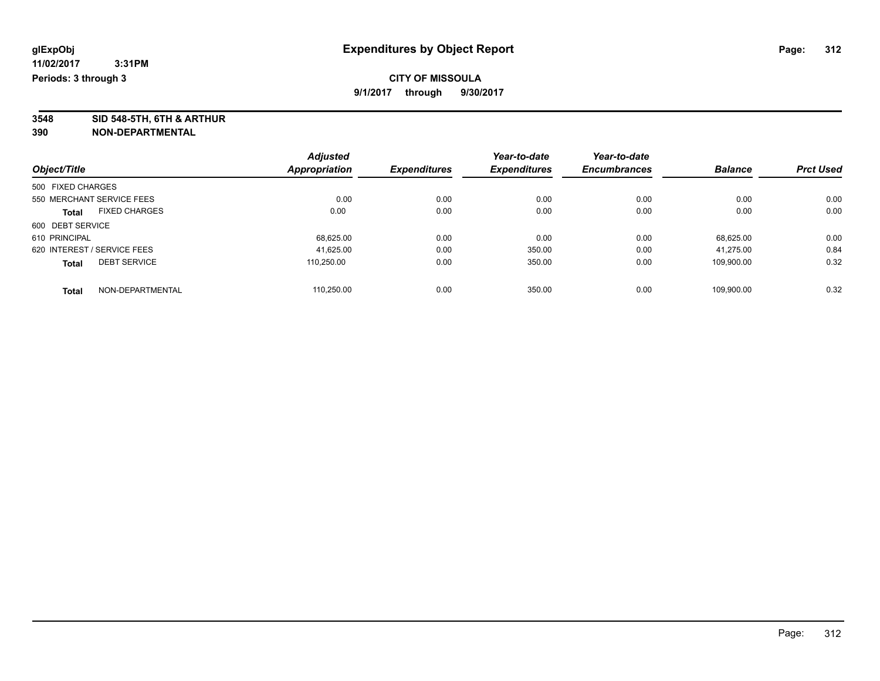**3548 SID 548-5TH, 6TH & ARTHUR**

| Object/Title                        |                      | <b>Adjusted</b> |                     | Year-to-date        | Year-to-date        |                |                  |
|-------------------------------------|----------------------|-----------------|---------------------|---------------------|---------------------|----------------|------------------|
|                                     |                      | Appropriation   | <b>Expenditures</b> | <b>Expenditures</b> | <b>Encumbrances</b> | <b>Balance</b> | <b>Prct Used</b> |
| 500 FIXED CHARGES                   |                      |                 |                     |                     |                     |                |                  |
| 550 MERCHANT SERVICE FEES           |                      | 0.00            | 0.00                | 0.00                | 0.00                | 0.00           | 0.00             |
| <b>Total</b>                        | <b>FIXED CHARGES</b> | 0.00            | 0.00                | 0.00                | 0.00                | 0.00           | 0.00             |
| 600 DEBT SERVICE                    |                      |                 |                     |                     |                     |                |                  |
| 610 PRINCIPAL                       |                      | 68,625.00       | 0.00                | 0.00                | 0.00                | 68.625.00      | 0.00             |
| 620 INTEREST / SERVICE FEES         |                      | 41.625.00       | 0.00                | 350.00              | 0.00                | 41.275.00      | 0.84             |
| <b>DEBT SERVICE</b><br><b>Total</b> |                      | 110.250.00      | 0.00                | 350.00              | 0.00                | 109.900.00     | 0.32             |
| <b>Total</b>                        | NON-DEPARTMENTAL     | 110.250.00      | 0.00                | 350.00              | 0.00                | 109.900.00     | 0.32             |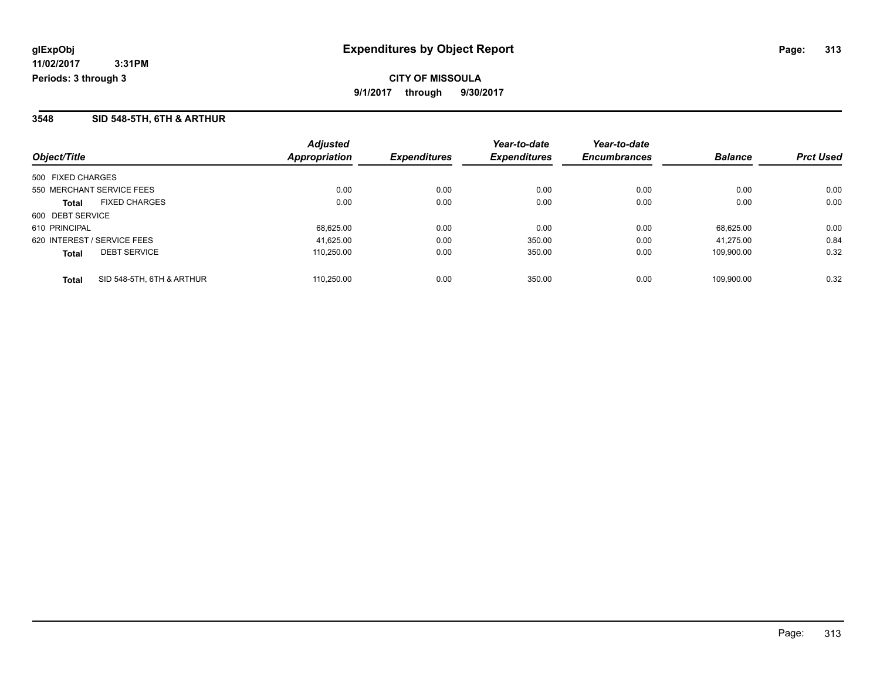## **3548 SID 548-5TH, 6TH & ARTHUR**

| Object/Title                              | <b>Adjusted</b><br>Appropriation | <b>Expenditures</b> | Year-to-date<br><b>Expenditures</b> | Year-to-date<br><b>Encumbrances</b> | <b>Balance</b> | <b>Prct Used</b> |
|-------------------------------------------|----------------------------------|---------------------|-------------------------------------|-------------------------------------|----------------|------------------|
| 500 FIXED CHARGES                         |                                  |                     |                                     |                                     |                |                  |
| 550 MERCHANT SERVICE FEES                 | 0.00                             | 0.00                | 0.00                                | 0.00                                | 0.00           | 0.00             |
| <b>FIXED CHARGES</b><br><b>Total</b>      | 0.00                             | 0.00                | 0.00                                | 0.00                                | 0.00           | 0.00             |
| 600 DEBT SERVICE                          |                                  |                     |                                     |                                     |                |                  |
| 610 PRINCIPAL                             | 68,625.00                        | 0.00                | 0.00                                | 0.00                                | 68.625.00      | 0.00             |
| 620 INTEREST / SERVICE FEES               | 41,625.00                        | 0.00                | 350.00                              | 0.00                                | 41.275.00      | 0.84             |
| <b>DEBT SERVICE</b><br><b>Total</b>       | 110.250.00                       | 0.00                | 350.00                              | 0.00                                | 109.900.00     | 0.32             |
| SID 548-5TH, 6TH & ARTHUR<br><b>Total</b> | 110.250.00                       | 0.00                | 350.00                              | 0.00                                | 109.900.00     | 0.32             |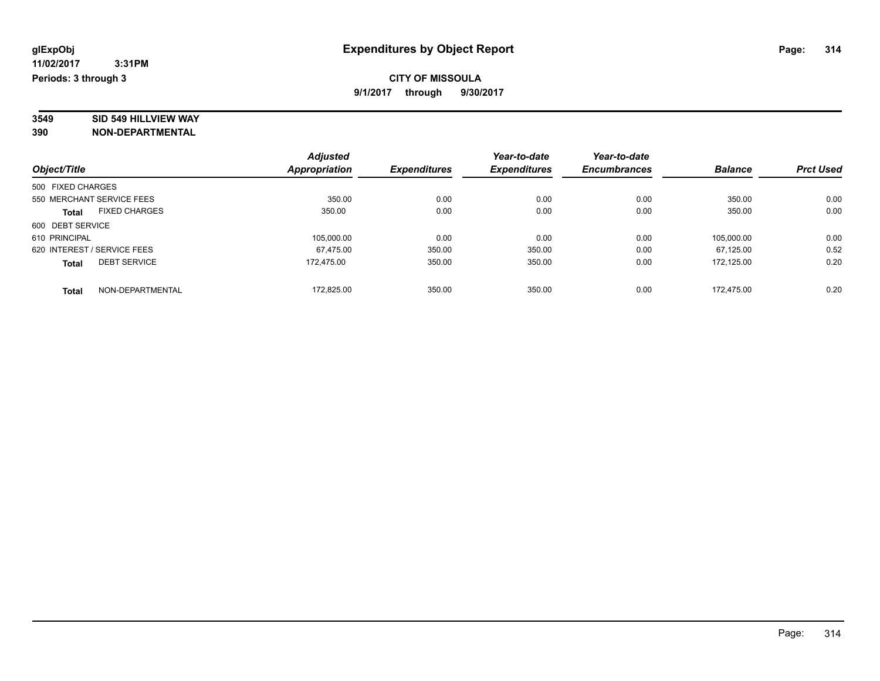# **3549 SID 549 HILLVIEW WAY**

|                             |                      | <b>Adjusted</b> |                     | Year-to-date        | Year-to-date        |                |                  |
|-----------------------------|----------------------|-----------------|---------------------|---------------------|---------------------|----------------|------------------|
| Object/Title                |                      | Appropriation   | <b>Expenditures</b> | <b>Expenditures</b> | <b>Encumbrances</b> | <b>Balance</b> | <b>Prct Used</b> |
| 500 FIXED CHARGES           |                      |                 |                     |                     |                     |                |                  |
| 550 MERCHANT SERVICE FEES   |                      | 350.00          | 0.00                | 0.00                | 0.00                | 350.00         | 0.00             |
| <b>Total</b>                | <b>FIXED CHARGES</b> | 350.00          | 0.00                | 0.00                | 0.00                | 350.00         | 0.00             |
| 600 DEBT SERVICE            |                      |                 |                     |                     |                     |                |                  |
| 610 PRINCIPAL               |                      | 105.000.00      | 0.00                | 0.00                | 0.00                | 105.000.00     | 0.00             |
| 620 INTEREST / SERVICE FEES |                      | 67.475.00       | 350.00              | 350.00              | 0.00                | 67.125.00      | 0.52             |
| <b>Total</b>                | <b>DEBT SERVICE</b>  | 172.475.00      | 350.00              | 350.00              | 0.00                | 172.125.00     | 0.20             |
| <b>Total</b>                | NON-DEPARTMENTAL     | 172.825.00      | 350.00              | 350.00              | 0.00                | 172.475.00     | 0.20             |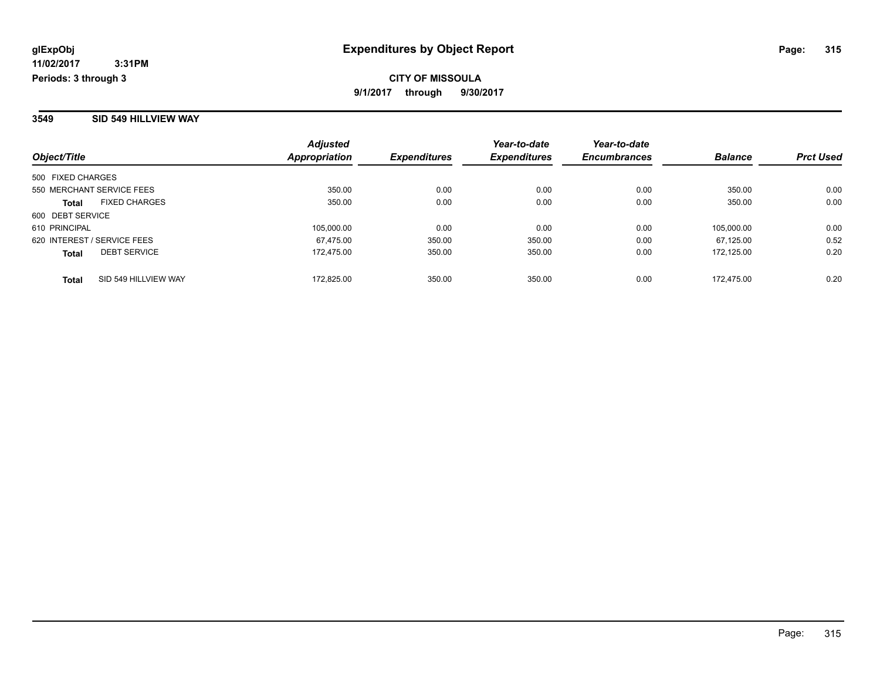#### **3549 SID 549 HILLVIEW WAY**

| Object/Title                         | <b>Adjusted</b><br>Appropriation | <b>Expenditures</b> | Year-to-date<br><b>Expenditures</b> | Year-to-date<br><b>Encumbrances</b> | <b>Balance</b> | <b>Prct Used</b> |
|--------------------------------------|----------------------------------|---------------------|-------------------------------------|-------------------------------------|----------------|------------------|
| 500 FIXED CHARGES                    |                                  |                     |                                     |                                     |                |                  |
| 550 MERCHANT SERVICE FEES            | 350.00                           | 0.00                | 0.00                                | 0.00                                | 350.00         | 0.00             |
| <b>FIXED CHARGES</b><br><b>Total</b> | 350.00                           | 0.00                | 0.00                                | 0.00                                | 350.00         | 0.00             |
| 600 DEBT SERVICE                     |                                  |                     |                                     |                                     |                |                  |
| 610 PRINCIPAL                        | 105.000.00                       | 0.00                | 0.00                                | 0.00                                | 105.000.00     | 0.00             |
| 620 INTEREST / SERVICE FEES          | 67.475.00                        | 350.00              | 350.00                              | 0.00                                | 67.125.00      | 0.52             |
| <b>DEBT SERVICE</b><br><b>Total</b>  | 172.475.00                       | 350.00              | 350.00                              | 0.00                                | 172.125.00     | 0.20             |
| SID 549 HILLVIEW WAY<br><b>Total</b> | 172.825.00                       | 350.00              | 350.00                              | 0.00                                | 172.475.00     | 0.20             |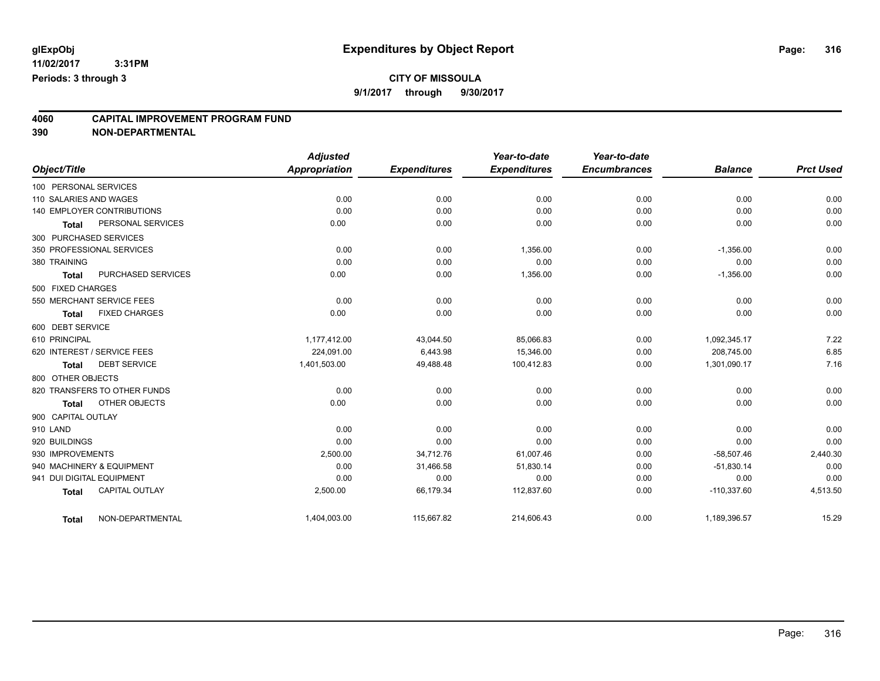# **CITY OF MISSOULA**

**9/1/2017 through 9/30/2017**

# **4060 CAPITAL IMPROVEMENT PROGRAM FUND**

|                           |                                   | <b>Adjusted</b> |                     | Year-to-date        | Year-to-date        |                |                  |
|---------------------------|-----------------------------------|-----------------|---------------------|---------------------|---------------------|----------------|------------------|
| Object/Title              |                                   | Appropriation   | <b>Expenditures</b> | <b>Expenditures</b> | <b>Encumbrances</b> | <b>Balance</b> | <b>Prct Used</b> |
| 100 PERSONAL SERVICES     |                                   |                 |                     |                     |                     |                |                  |
| 110 SALARIES AND WAGES    |                                   | 0.00            | 0.00                | 0.00                | 0.00                | 0.00           | 0.00             |
|                           | <b>140 EMPLOYER CONTRIBUTIONS</b> | 0.00            | 0.00                | 0.00                | 0.00                | 0.00           | 0.00             |
| <b>Total</b>              | PERSONAL SERVICES                 | 0.00            | 0.00                | 0.00                | 0.00                | 0.00           | 0.00             |
| 300 PURCHASED SERVICES    |                                   |                 |                     |                     |                     |                |                  |
|                           | 350 PROFESSIONAL SERVICES         | 0.00            | 0.00                | 1,356.00            | 0.00                | $-1,356.00$    | 0.00             |
| 380 TRAINING              |                                   | 0.00            | 0.00                | 0.00                | 0.00                | 0.00           | 0.00             |
| <b>Total</b>              | PURCHASED SERVICES                | 0.00            | 0.00                | 1,356.00            | 0.00                | $-1,356.00$    | 0.00             |
| 500 FIXED CHARGES         |                                   |                 |                     |                     |                     |                |                  |
|                           | 550 MERCHANT SERVICE FEES         | 0.00            | 0.00                | 0.00                | 0.00                | 0.00           | 0.00             |
| <b>Total</b>              | <b>FIXED CHARGES</b>              | 0.00            | 0.00                | 0.00                | 0.00                | 0.00           | 0.00             |
| 600 DEBT SERVICE          |                                   |                 |                     |                     |                     |                |                  |
| 610 PRINCIPAL             |                                   | 1,177,412.00    | 43,044.50           | 85,066.83           | 0.00                | 1.092.345.17   | 7.22             |
|                           | 620 INTEREST / SERVICE FEES       | 224,091.00      | 6,443.98            | 15,346.00           | 0.00                | 208,745.00     | 6.85             |
| <b>Total</b>              | <b>DEBT SERVICE</b>               | 1,401,503.00    | 49,488.48           | 100,412.83          | 0.00                | 1,301,090.17   | 7.16             |
| 800 OTHER OBJECTS         |                                   |                 |                     |                     |                     |                |                  |
|                           | 820 TRANSFERS TO OTHER FUNDS      | 0.00            | 0.00                | 0.00                | 0.00                | 0.00           | 0.00             |
| <b>Total</b>              | OTHER OBJECTS                     | 0.00            | 0.00                | 0.00                | 0.00                | 0.00           | 0.00             |
| 900 CAPITAL OUTLAY        |                                   |                 |                     |                     |                     |                |                  |
| 910 LAND                  |                                   | 0.00            | 0.00                | 0.00                | 0.00                | 0.00           | 0.00             |
| 920 BUILDINGS             |                                   | 0.00            | 0.00                | 0.00                | 0.00                | 0.00           | 0.00             |
| 930 IMPROVEMENTS          |                                   | 2,500.00        | 34,712.76           | 61,007.46           | 0.00                | $-58,507.46$   | 2,440.30         |
|                           | 940 MACHINERY & EQUIPMENT         | 0.00            | 31,466.58           | 51,830.14           | 0.00                | $-51,830.14$   | 0.00             |
| 941 DUI DIGITAL EQUIPMENT |                                   | 0.00            | 0.00                | 0.00                | 0.00                | 0.00           | 0.00             |
| <b>Total</b>              | <b>CAPITAL OUTLAY</b>             | 2,500.00        | 66,179.34           | 112,837.60          | 0.00                | $-110,337.60$  | 4,513.50         |
| <b>Total</b>              | NON-DEPARTMENTAL                  | 1,404,003.00    | 115,667.82          | 214,606.43          | 0.00                | 1,189,396.57   | 15.29            |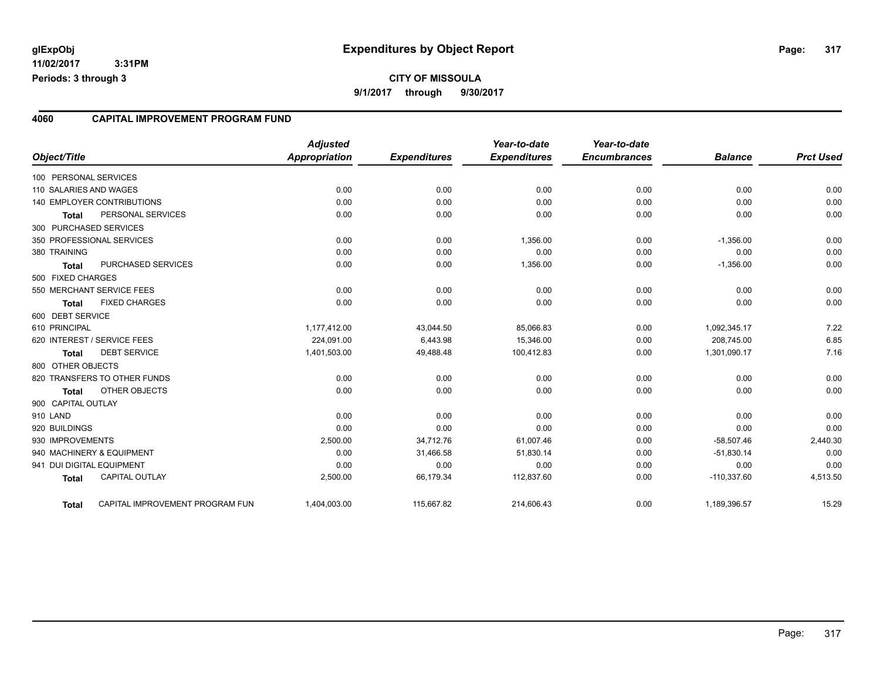#### **4060 CAPITAL IMPROVEMENT PROGRAM FUND**

| Object/Title              |                                 | <b>Adjusted</b><br><b>Appropriation</b> | <b>Expenditures</b> | Year-to-date<br><b>Expenditures</b> | Year-to-date<br><b>Encumbrances</b> | <b>Balance</b> | <b>Prct Used</b> |
|---------------------------|---------------------------------|-----------------------------------------|---------------------|-------------------------------------|-------------------------------------|----------------|------------------|
| 100 PERSONAL SERVICES     |                                 |                                         |                     |                                     |                                     |                |                  |
| 110 SALARIES AND WAGES    |                                 | 0.00                                    | 0.00                | 0.00                                | 0.00                                | 0.00           | 0.00             |
|                           | 140 EMPLOYER CONTRIBUTIONS      | 0.00                                    | 0.00                | 0.00                                | 0.00                                | 0.00           | 0.00             |
| <b>Total</b>              | PERSONAL SERVICES               | 0.00                                    | 0.00                | 0.00                                | 0.00                                | 0.00           | 0.00             |
| 300 PURCHASED SERVICES    |                                 |                                         |                     |                                     |                                     |                |                  |
|                           | 350 PROFESSIONAL SERVICES       | 0.00                                    | 0.00                | 1,356.00                            | 0.00                                | $-1,356.00$    | 0.00             |
| 380 TRAINING              |                                 | 0.00                                    | 0.00                | 0.00                                | 0.00                                | 0.00           | 0.00             |
|                           | PURCHASED SERVICES              | 0.00                                    | 0.00                | 1,356.00                            | 0.00                                | $-1,356.00$    | 0.00             |
| <b>Total</b>              |                                 |                                         |                     |                                     |                                     |                |                  |
| 500 FIXED CHARGES         |                                 |                                         |                     |                                     |                                     |                |                  |
|                           | 550 MERCHANT SERVICE FEES       | 0.00                                    | 0.00                | 0.00                                | 0.00                                | 0.00           | 0.00             |
| <b>Total</b>              | <b>FIXED CHARGES</b>            | 0.00                                    | 0.00                | 0.00                                | 0.00                                | 0.00           | 0.00             |
| 600 DEBT SERVICE          |                                 |                                         |                     |                                     |                                     |                |                  |
| 610 PRINCIPAL             |                                 | 1,177,412.00                            | 43,044.50           | 85,066.83                           | 0.00                                | 1,092,345.17   | 7.22             |
|                           | 620 INTEREST / SERVICE FEES     | 224,091.00                              | 6,443.98            | 15,346.00                           | 0.00                                | 208,745.00     | 6.85             |
| Total                     | <b>DEBT SERVICE</b>             | 1,401,503.00                            | 49,488.48           | 100,412.83                          | 0.00                                | 1,301,090.17   | 7.16             |
| 800 OTHER OBJECTS         |                                 |                                         |                     |                                     |                                     |                |                  |
|                           | 820 TRANSFERS TO OTHER FUNDS    | 0.00                                    | 0.00                | 0.00                                | 0.00                                | 0.00           | 0.00             |
| <b>Total</b>              | OTHER OBJECTS                   | 0.00                                    | 0.00                | 0.00                                | 0.00                                | 0.00           | 0.00             |
| 900 CAPITAL OUTLAY        |                                 |                                         |                     |                                     |                                     |                |                  |
| 910 LAND                  |                                 | 0.00                                    | 0.00                | 0.00                                | 0.00                                | 0.00           | 0.00             |
| 920 BUILDINGS             |                                 | 0.00                                    | 0.00                | 0.00                                | 0.00                                | 0.00           | 0.00             |
| 930 IMPROVEMENTS          |                                 | 2,500.00                                | 34,712.76           | 61,007.46                           | 0.00                                | $-58,507.46$   | 2,440.30         |
|                           | 940 MACHINERY & EQUIPMENT       | 0.00                                    | 31,466.58           | 51,830.14                           | 0.00                                | $-51,830.14$   | 0.00             |
| 941 DUI DIGITAL EQUIPMENT |                                 | 0.00                                    | 0.00                | 0.00                                | 0.00                                | 0.00           | 0.00             |
| <b>Total</b>              | <b>CAPITAL OUTLAY</b>           | 2,500.00                                | 66,179.34           | 112,837.60                          | 0.00                                | $-110,337.60$  | 4,513.50         |
| Total                     | CAPITAL IMPROVEMENT PROGRAM FUN | 1,404,003.00                            | 115,667.82          | 214,606.43                          | 0.00                                | 1,189,396.57   | 15.29            |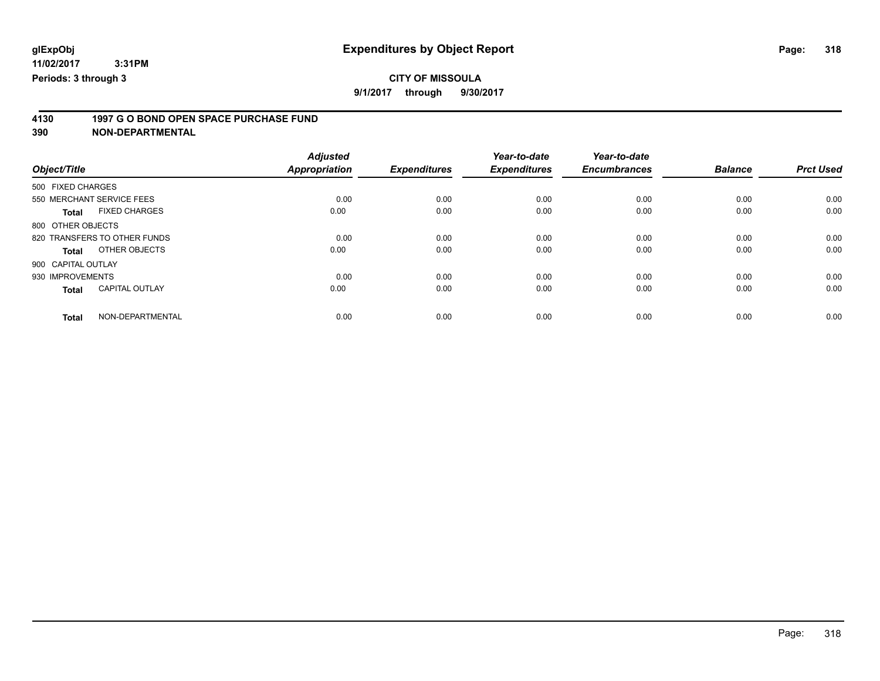# **CITY OF MISSOULA**

**9/1/2017 through 9/30/2017**

# **4130 1997 G O BOND OPEN SPACE PURCHASE FUND**

|                                       | <b>Adjusted</b>      |                     | Year-to-date        | Year-to-date        |                |                  |
|---------------------------------------|----------------------|---------------------|---------------------|---------------------|----------------|------------------|
| Object/Title                          | <b>Appropriation</b> | <b>Expenditures</b> | <b>Expenditures</b> | <b>Encumbrances</b> | <b>Balance</b> | <b>Prct Used</b> |
| 500 FIXED CHARGES                     |                      |                     |                     |                     |                |                  |
| 550 MERCHANT SERVICE FEES             | 0.00                 | 0.00                | 0.00                | 0.00                | 0.00           | 0.00             |
| <b>FIXED CHARGES</b><br><b>Total</b>  | 0.00                 | 0.00                | 0.00                | 0.00                | 0.00           | 0.00             |
| 800 OTHER OBJECTS                     |                      |                     |                     |                     |                |                  |
| 820 TRANSFERS TO OTHER FUNDS          | 0.00                 | 0.00                | 0.00                | 0.00                | 0.00           | 0.00             |
| OTHER OBJECTS<br>Total                | 0.00                 | 0.00                | 0.00                | 0.00                | 0.00           | 0.00             |
| 900 CAPITAL OUTLAY                    |                      |                     |                     |                     |                |                  |
| 930 IMPROVEMENTS                      | 0.00                 | 0.00                | 0.00                | 0.00                | 0.00           | 0.00             |
| <b>CAPITAL OUTLAY</b><br><b>Total</b> | 0.00                 | 0.00                | 0.00                | 0.00                | 0.00           | 0.00             |
| NON-DEPARTMENTAL<br><b>Total</b>      | 0.00                 | 0.00                | 0.00                | 0.00                | 0.00           | 0.00             |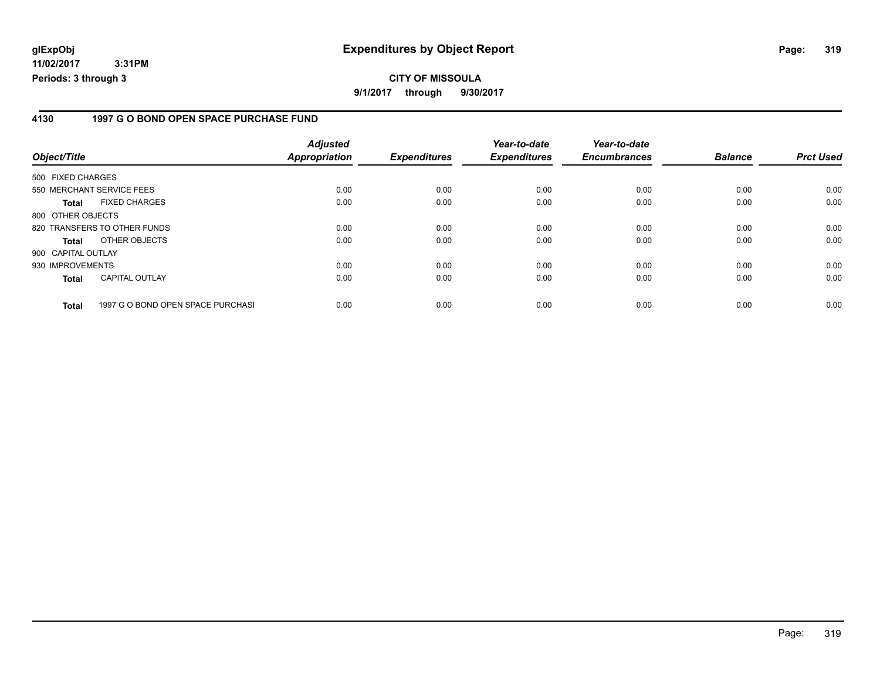#### **4130 1997 G O BOND OPEN SPACE PURCHASE FUND**

| Object/Title       |                                   | <b>Adjusted</b><br>Appropriation | <b>Expenditures</b> | Year-to-date<br><b>Expenditures</b> | Year-to-date<br><b>Encumbrances</b> | <b>Balance</b> | <b>Prct Used</b> |
|--------------------|-----------------------------------|----------------------------------|---------------------|-------------------------------------|-------------------------------------|----------------|------------------|
| 500 FIXED CHARGES  |                                   |                                  |                     |                                     |                                     |                |                  |
|                    | 550 MERCHANT SERVICE FEES         | 0.00                             | 0.00                | 0.00                                | 0.00                                | 0.00           | 0.00             |
| <b>Total</b>       | <b>FIXED CHARGES</b>              | 0.00                             | 0.00                | 0.00                                | 0.00                                | 0.00           | 0.00             |
| 800 OTHER OBJECTS  |                                   |                                  |                     |                                     |                                     |                |                  |
|                    | 820 TRANSFERS TO OTHER FUNDS      | 0.00                             | 0.00                | 0.00                                | 0.00                                | 0.00           | 0.00             |
| <b>Total</b>       | OTHER OBJECTS                     | 0.00                             | 0.00                | 0.00                                | 0.00                                | 0.00           | 0.00             |
| 900 CAPITAL OUTLAY |                                   |                                  |                     |                                     |                                     |                |                  |
| 930 IMPROVEMENTS   |                                   | 0.00                             | 0.00                | 0.00                                | 0.00                                | 0.00           | 0.00             |
| <b>Total</b>       | <b>CAPITAL OUTLAY</b>             | 0.00                             | 0.00                | 0.00                                | 0.00                                | 0.00           | 0.00             |
| <b>Total</b>       | 1997 G O BOND OPEN SPACE PURCHASI | 0.00                             | 0.00                | 0.00                                | 0.00                                | 0.00           | 0.00             |

Page: 319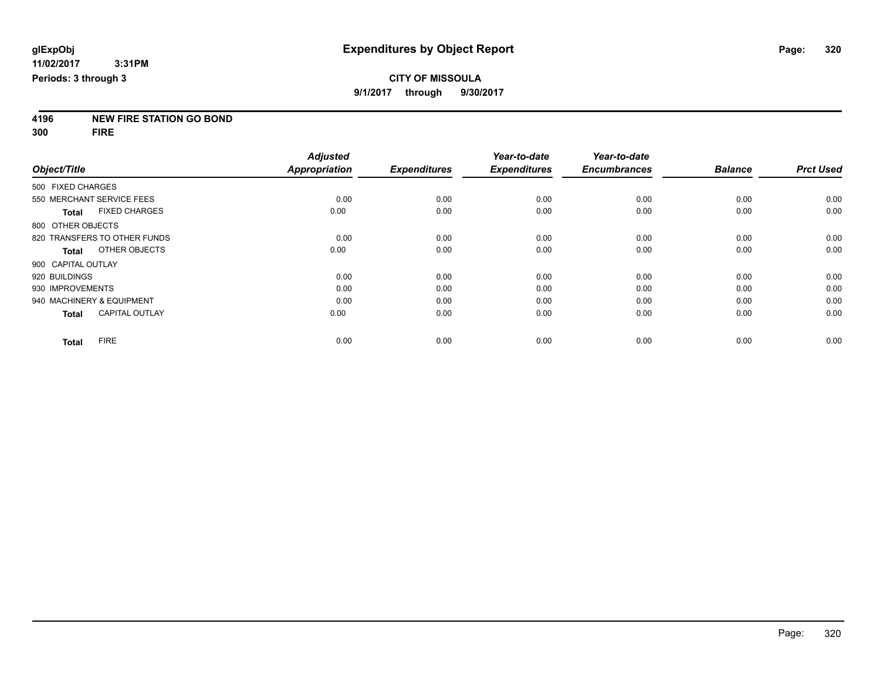**4196 NEW FIRE STATION GO BOND**

**300 FIRE**

|                    |                              | <b>Adjusted</b>      |                     | Year-to-date        | Year-to-date        |                |                  |
|--------------------|------------------------------|----------------------|---------------------|---------------------|---------------------|----------------|------------------|
| Object/Title       |                              | <b>Appropriation</b> | <b>Expenditures</b> | <b>Expenditures</b> | <b>Encumbrances</b> | <b>Balance</b> | <b>Prct Used</b> |
| 500 FIXED CHARGES  |                              |                      |                     |                     |                     |                |                  |
|                    | 550 MERCHANT SERVICE FEES    | 0.00                 | 0.00                | 0.00                | 0.00                | 0.00           | 0.00             |
| <b>Total</b>       | <b>FIXED CHARGES</b>         | 0.00                 | 0.00                | 0.00                | 0.00                | 0.00           | 0.00             |
| 800 OTHER OBJECTS  |                              |                      |                     |                     |                     |                |                  |
|                    | 820 TRANSFERS TO OTHER FUNDS | 0.00                 | 0.00                | 0.00                | 0.00                | 0.00           | 0.00             |
| Total              | OTHER OBJECTS                | 0.00                 | 0.00                | 0.00                | 0.00                | 0.00           | 0.00             |
| 900 CAPITAL OUTLAY |                              |                      |                     |                     |                     |                |                  |
| 920 BUILDINGS      |                              | 0.00                 | 0.00                | 0.00                | 0.00                | 0.00           | 0.00             |
| 930 IMPROVEMENTS   |                              | 0.00                 | 0.00                | 0.00                | 0.00                | 0.00           | 0.00             |
|                    | 940 MACHINERY & EQUIPMENT    | 0.00                 | 0.00                | 0.00                | 0.00                | 0.00           | 0.00             |
| <b>Total</b>       | <b>CAPITAL OUTLAY</b>        | 0.00                 | 0.00                | 0.00                | 0.00                | 0.00           | 0.00             |
| Total              | <b>FIRE</b>                  | 0.00                 | 0.00                | 0.00                | 0.00                | 0.00           | 0.00             |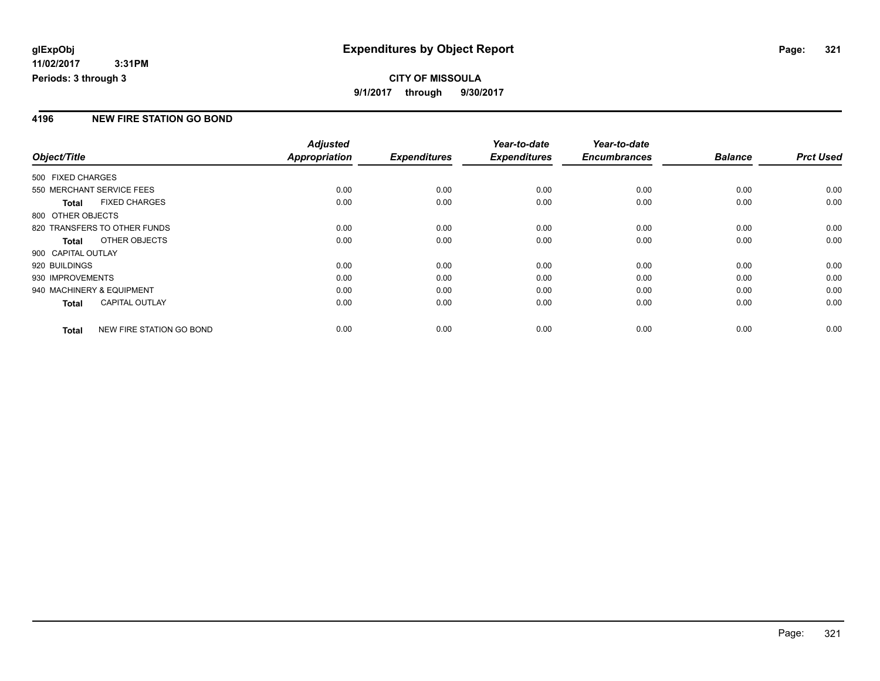## **CITY OF MISSOULA 9/1/2017 through 9/30/2017**

### **4196 NEW FIRE STATION GO BOND**

|                           |                              | <b>Adjusted</b>      |                     | Year-to-date        | Year-to-date        |                |                  |
|---------------------------|------------------------------|----------------------|---------------------|---------------------|---------------------|----------------|------------------|
| Object/Title              |                              | <b>Appropriation</b> | <b>Expenditures</b> | <b>Expenditures</b> | <b>Encumbrances</b> | <b>Balance</b> | <b>Prct Used</b> |
| 500 FIXED CHARGES         |                              |                      |                     |                     |                     |                |                  |
| 550 MERCHANT SERVICE FEES |                              | 0.00                 | 0.00                | 0.00                | 0.00                | 0.00           | 0.00             |
| <b>Total</b>              | <b>FIXED CHARGES</b>         | 0.00                 | 0.00                | 0.00                | 0.00                | 0.00           | 0.00             |
| 800 OTHER OBJECTS         |                              |                      |                     |                     |                     |                |                  |
|                           | 820 TRANSFERS TO OTHER FUNDS | 0.00                 | 0.00                | 0.00                | 0.00                | 0.00           | 0.00             |
| <b>Total</b>              | OTHER OBJECTS                | 0.00                 | 0.00                | 0.00                | 0.00                | 0.00           | 0.00             |
| 900 CAPITAL OUTLAY        |                              |                      |                     |                     |                     |                |                  |
| 920 BUILDINGS             |                              | 0.00                 | 0.00                | 0.00                | 0.00                | 0.00           | 0.00             |
| 930 IMPROVEMENTS          |                              | 0.00                 | 0.00                | 0.00                | 0.00                | 0.00           | 0.00             |
| 940 MACHINERY & EQUIPMENT |                              | 0.00                 | 0.00                | 0.00                | 0.00                | 0.00           | 0.00             |
| <b>Total</b>              | <b>CAPITAL OUTLAY</b>        | 0.00                 | 0.00                | 0.00                | 0.00                | 0.00           | 0.00             |
| <b>Total</b>              | NEW FIRE STATION GO BOND     | 0.00                 | 0.00                | 0.00                | 0.00                | 0.00           | 0.00             |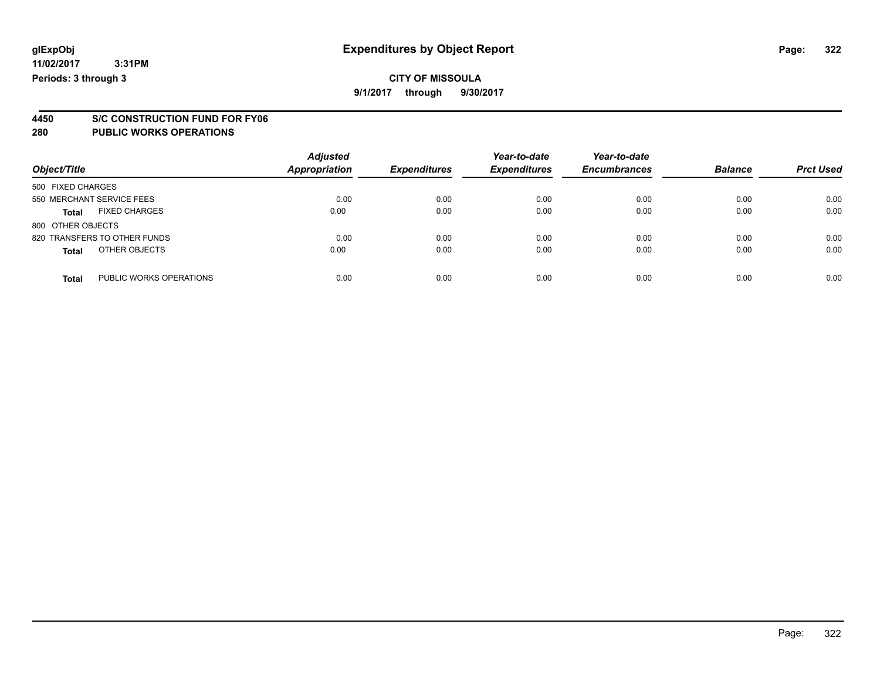**9/1/2017 through 9/30/2017**

# **4450 S/C CONSTRUCTION FUND FOR FY06**

#### **280 PUBLIC WORKS OPERATIONS**

| Object/Title                            | <b>Adjusted</b><br><b>Appropriation</b> | <b>Expenditures</b> | Year-to-date<br><b>Expenditures</b> | Year-to-date<br><b>Encumbrances</b> | <b>Balance</b> | <b>Prct Used</b> |
|-----------------------------------------|-----------------------------------------|---------------------|-------------------------------------|-------------------------------------|----------------|------------------|
| 500 FIXED CHARGES                       |                                         |                     |                                     |                                     |                |                  |
| 550 MERCHANT SERVICE FEES               | 0.00                                    | 0.00                | 0.00                                | 0.00                                | 0.00           | 0.00             |
| <b>FIXED CHARGES</b><br><b>Total</b>    | 0.00                                    | 0.00                | 0.00                                | 0.00                                | 0.00           | 0.00             |
| 800 OTHER OBJECTS                       |                                         |                     |                                     |                                     |                |                  |
| 820 TRANSFERS TO OTHER FUNDS            | 0.00                                    | 0.00                | 0.00                                | 0.00                                | 0.00           | 0.00             |
| OTHER OBJECTS<br><b>Total</b>           | 0.00                                    | 0.00                | 0.00                                | 0.00                                | 0.00           | 0.00             |
| PUBLIC WORKS OPERATIONS<br><b>Total</b> | 0.00                                    | 0.00                | 0.00                                | 0.00                                | 0.00           | 0.00             |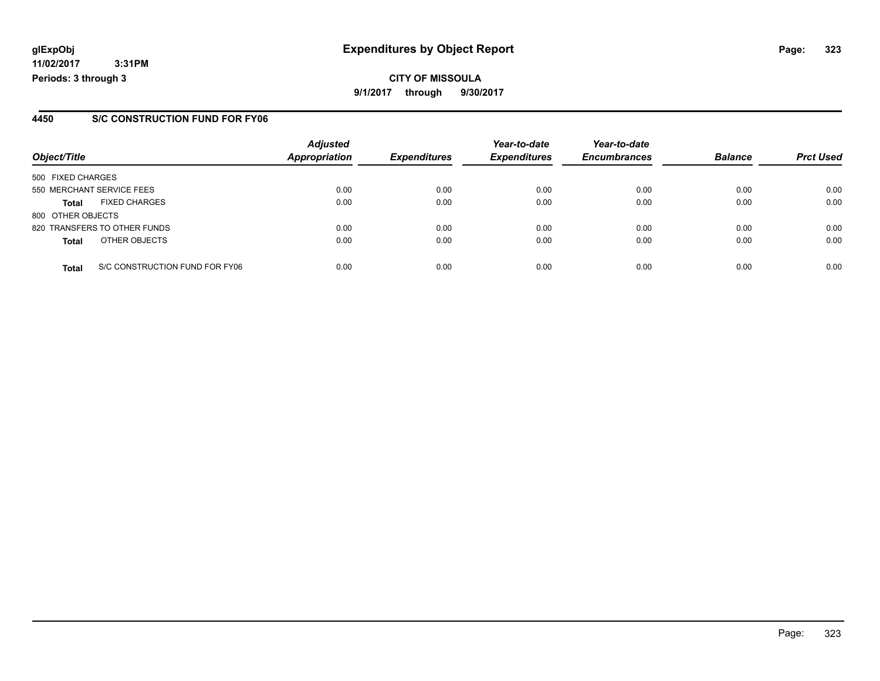# **glExpObj Expenditures by Object Report Page: 323**

**11/02/2017 3:31PM Periods: 3 through 3**

### **4450 S/C CONSTRUCTION FUND FOR FY06**

| Object/Title      |                                | <b>Adjusted</b><br><b>Appropriation</b> | <b>Expenditures</b> | Year-to-date<br><b>Expenditures</b> | Year-to-date<br><b>Encumbrances</b> | <b>Balance</b> | <b>Prct Used</b> |
|-------------------|--------------------------------|-----------------------------------------|---------------------|-------------------------------------|-------------------------------------|----------------|------------------|
| 500 FIXED CHARGES |                                |                                         |                     |                                     |                                     |                |                  |
|                   | 550 MERCHANT SERVICE FEES      | 0.00                                    | 0.00                | 0.00                                | 0.00                                | 0.00           | 0.00             |
| <b>Total</b>      | <b>FIXED CHARGES</b>           | 0.00                                    | 0.00                | 0.00                                | 0.00                                | 0.00           | 0.00             |
| 800 OTHER OBJECTS |                                |                                         |                     |                                     |                                     |                |                  |
|                   | 820 TRANSFERS TO OTHER FUNDS   | 0.00                                    | 0.00                | 0.00                                | 0.00                                | 0.00           | 0.00             |
| <b>Total</b>      | OTHER OBJECTS                  | 0.00                                    | 0.00                | 0.00                                | 0.00                                | 0.00           | 0.00             |
| <b>Total</b>      | S/C CONSTRUCTION FUND FOR FY06 | 0.00                                    | 0.00                | 0.00                                | 0.00                                | 0.00           | 0.00             |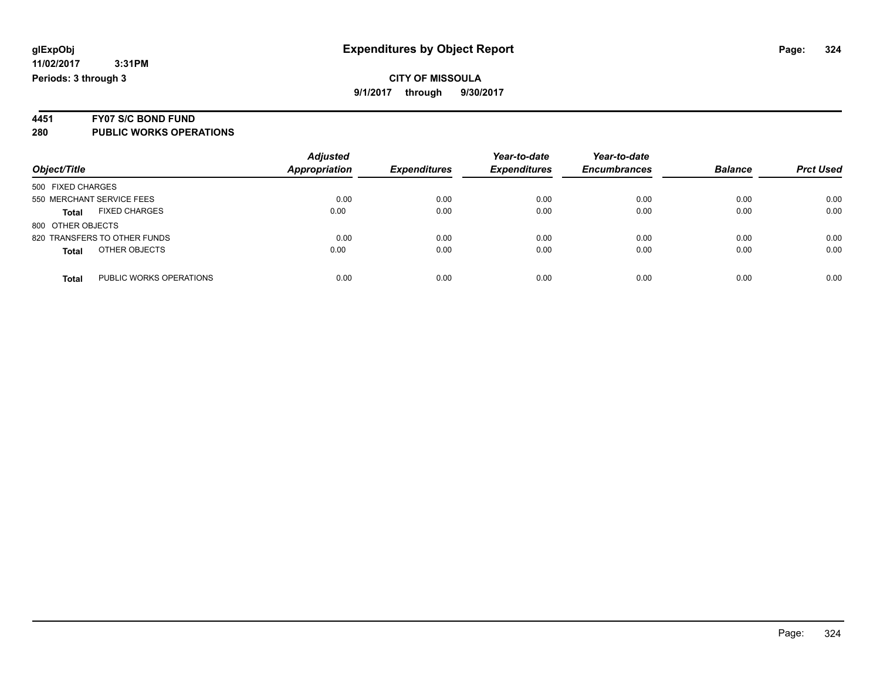**9/1/2017 through 9/30/2017**

# **4451 FY07 S/C BOND FUND**

**280 PUBLIC WORKS OPERATIONS**

| Object/Title                            | <b>Adjusted</b><br>Appropriation | <b>Expenditures</b> | Year-to-date<br><b>Expenditures</b> | Year-to-date<br><b>Encumbrances</b> | <b>Balance</b> | <b>Prct Used</b> |
|-----------------------------------------|----------------------------------|---------------------|-------------------------------------|-------------------------------------|----------------|------------------|
| 500 FIXED CHARGES                       |                                  |                     |                                     |                                     |                |                  |
| 550 MERCHANT SERVICE FEES               | 0.00                             | 0.00                | 0.00                                | 0.00                                | 0.00           | 0.00             |
| <b>FIXED CHARGES</b><br><b>Total</b>    | 0.00                             | 0.00                | 0.00                                | 0.00                                | 0.00           | 0.00             |
| 800 OTHER OBJECTS                       |                                  |                     |                                     |                                     |                |                  |
| 820 TRANSFERS TO OTHER FUNDS            | 0.00                             | 0.00                | 0.00                                | 0.00                                | 0.00           | 0.00             |
| OTHER OBJECTS<br><b>Total</b>           | 0.00                             | 0.00                | 0.00                                | 0.00                                | 0.00           | 0.00             |
|                                         |                                  |                     |                                     |                                     |                |                  |
| PUBLIC WORKS OPERATIONS<br><b>Total</b> | 0.00                             | 0.00                | 0.00                                | 0.00                                | 0.00           | 0.00             |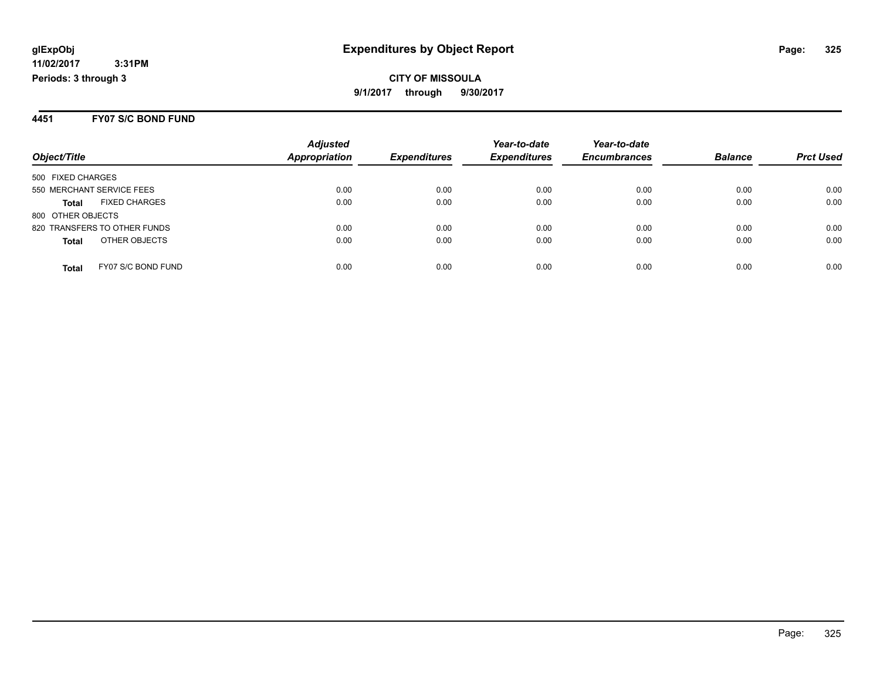#### **4451 FY07 S/C BOND FUND**

|                              |                      | <b>Adjusted</b> |                     | Year-to-date        | Year-to-date        |                |                  |
|------------------------------|----------------------|-----------------|---------------------|---------------------|---------------------|----------------|------------------|
| Object/Title                 |                      | Appropriation   | <b>Expenditures</b> | <b>Expenditures</b> | <b>Encumbrances</b> | <b>Balance</b> | <b>Prct Used</b> |
| 500 FIXED CHARGES            |                      |                 |                     |                     |                     |                |                  |
| 550 MERCHANT SERVICE FEES    |                      | 0.00            | 0.00                | 0.00                | 0.00                | 0.00           | 0.00             |
| <b>Total</b>                 | <b>FIXED CHARGES</b> | 0.00            | 0.00                | 0.00                | 0.00                | 0.00           | 0.00             |
| 800 OTHER OBJECTS            |                      |                 |                     |                     |                     |                |                  |
| 820 TRANSFERS TO OTHER FUNDS |                      | 0.00            | 0.00                | 0.00                | 0.00                | 0.00           | 0.00             |
| <b>Total</b>                 | OTHER OBJECTS        | 0.00            | 0.00                | 0.00                | 0.00                | 0.00           | 0.00             |
| Total                        | FY07 S/C BOND FUND   | 0.00            | 0.00                | 0.00                | 0.00                | 0.00           | 0.00             |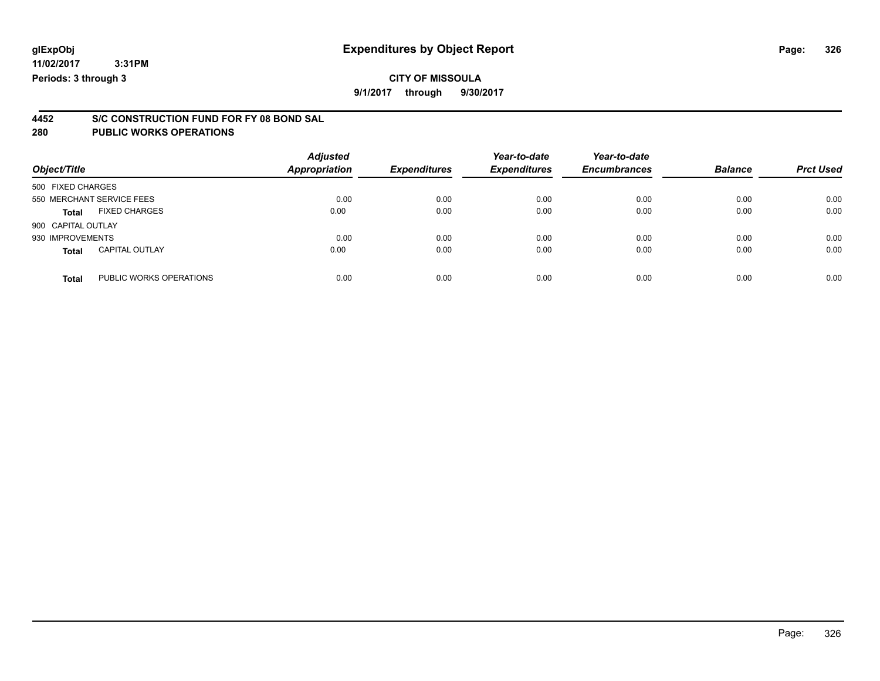# **CITY OF MISSOULA**

**9/1/2017 through 9/30/2017**

# **4452 S/C CONSTRUCTION FUND FOR FY 08 BOND SAL**

| Object/Title                          |                         | <b>Adjusted</b><br>Appropriation | <b>Expenditures</b> | Year-to-date<br><b>Expenditures</b> | Year-to-date<br><b>Encumbrances</b> | <b>Balance</b> | <b>Prct Used</b> |
|---------------------------------------|-------------------------|----------------------------------|---------------------|-------------------------------------|-------------------------------------|----------------|------------------|
| 500 FIXED CHARGES                     |                         |                                  |                     |                                     |                                     |                |                  |
| 550 MERCHANT SERVICE FEES             |                         | 0.00                             | 0.00                | 0.00                                | 0.00                                | 0.00           | 0.00             |
| <b>FIXED CHARGES</b><br><b>Total</b>  |                         | 0.00                             | 0.00                | 0.00                                | 0.00                                | 0.00           | 0.00             |
| 900 CAPITAL OUTLAY                    |                         |                                  |                     |                                     |                                     |                |                  |
| 930 IMPROVEMENTS                      |                         | 0.00                             | 0.00                | 0.00                                | 0.00                                | 0.00           | 0.00             |
| <b>CAPITAL OUTLAY</b><br><b>Total</b> |                         | 0.00                             | 0.00                | 0.00                                | 0.00                                | 0.00           | 0.00             |
| <b>Total</b>                          | PUBLIC WORKS OPERATIONS | 0.00                             | 0.00                | 0.00                                | 0.00                                | 0.00           | 0.00             |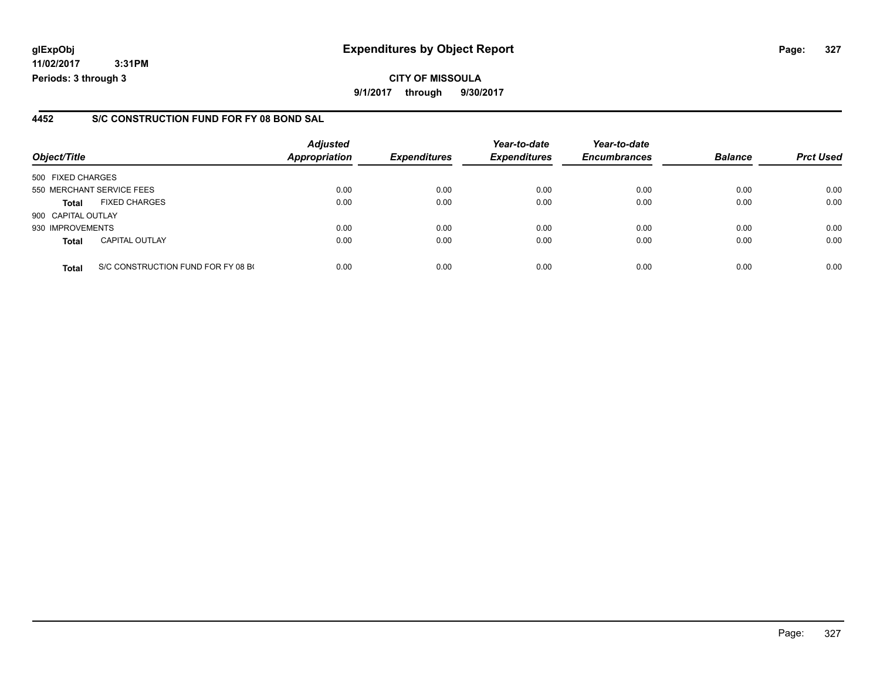**11/02/2017 3:31PM Periods: 3 through 3**

#### **4452 S/C CONSTRUCTION FUND FOR FY 08 BOND SAL**

| Object/Title       |                                    | <b>Adjusted</b><br><b>Appropriation</b> | <b>Expenditures</b> | Year-to-date<br><b>Expenditures</b> | Year-to-date<br><b>Encumbrances</b> | <b>Balance</b> | <b>Prct Used</b> |
|--------------------|------------------------------------|-----------------------------------------|---------------------|-------------------------------------|-------------------------------------|----------------|------------------|
| 500 FIXED CHARGES  |                                    |                                         |                     |                                     |                                     |                |                  |
|                    | 550 MERCHANT SERVICE FEES          | 0.00                                    | 0.00                | 0.00                                | 0.00                                | 0.00           | 0.00             |
| <b>Total</b>       | <b>FIXED CHARGES</b>               | 0.00                                    | 0.00                | 0.00                                | 0.00                                | 0.00           | 0.00             |
| 900 CAPITAL OUTLAY |                                    |                                         |                     |                                     |                                     |                |                  |
| 930 IMPROVEMENTS   |                                    | 0.00                                    | 0.00                | 0.00                                | 0.00                                | 0.00           | 0.00             |
| <b>Total</b>       | <b>CAPITAL OUTLAY</b>              | 0.00                                    | 0.00                | 0.00                                | 0.00                                | 0.00           | 0.00             |
| <b>Total</b>       | S/C CONSTRUCTION FUND FOR FY 08 BO | 0.00                                    | 0.00                | 0.00                                | 0.00                                | 0.00           | 0.00             |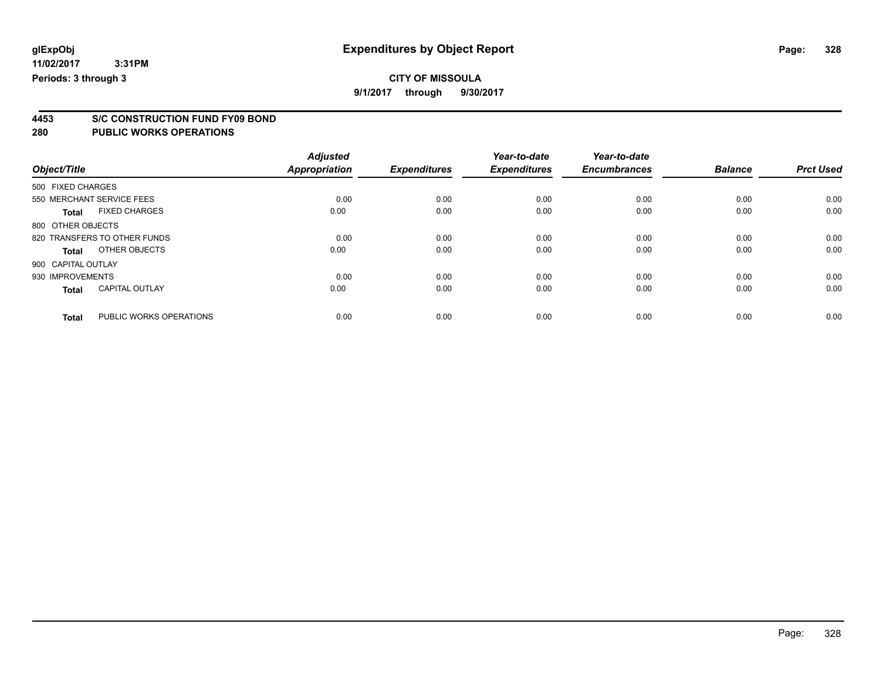**9/1/2017 through 9/30/2017**

# **4453 S/C CONSTRUCTION FUND FY09 BOND**

|                    |                              | <b>Adjusted</b>      |                     | Year-to-date        | Year-to-date        |                |                  |
|--------------------|------------------------------|----------------------|---------------------|---------------------|---------------------|----------------|------------------|
| Object/Title       |                              | <b>Appropriation</b> | <b>Expenditures</b> | <b>Expenditures</b> | <b>Encumbrances</b> | <b>Balance</b> | <b>Prct Used</b> |
| 500 FIXED CHARGES  |                              |                      |                     |                     |                     |                |                  |
|                    | 550 MERCHANT SERVICE FEES    | 0.00                 | 0.00                | 0.00                | 0.00                | 0.00           | 0.00             |
| <b>Total</b>       | <b>FIXED CHARGES</b>         | 0.00                 | 0.00                | 0.00                | 0.00                | 0.00           | 0.00             |
| 800 OTHER OBJECTS  |                              |                      |                     |                     |                     |                |                  |
|                    | 820 TRANSFERS TO OTHER FUNDS | 0.00                 | 0.00                | 0.00                | 0.00                | 0.00           | 0.00             |
| Total              | OTHER OBJECTS                | 0.00                 | 0.00                | 0.00                | 0.00                | 0.00           | 0.00             |
| 900 CAPITAL OUTLAY |                              |                      |                     |                     |                     |                |                  |
| 930 IMPROVEMENTS   |                              | 0.00                 | 0.00                | 0.00                | 0.00                | 0.00           | 0.00             |
| <b>Total</b>       | <b>CAPITAL OUTLAY</b>        | 0.00                 | 0.00                | 0.00                | 0.00                | 0.00           | 0.00             |
| <b>Total</b>       | PUBLIC WORKS OPERATIONS      | 0.00                 | 0.00                | 0.00                | 0.00                | 0.00           | 0.00             |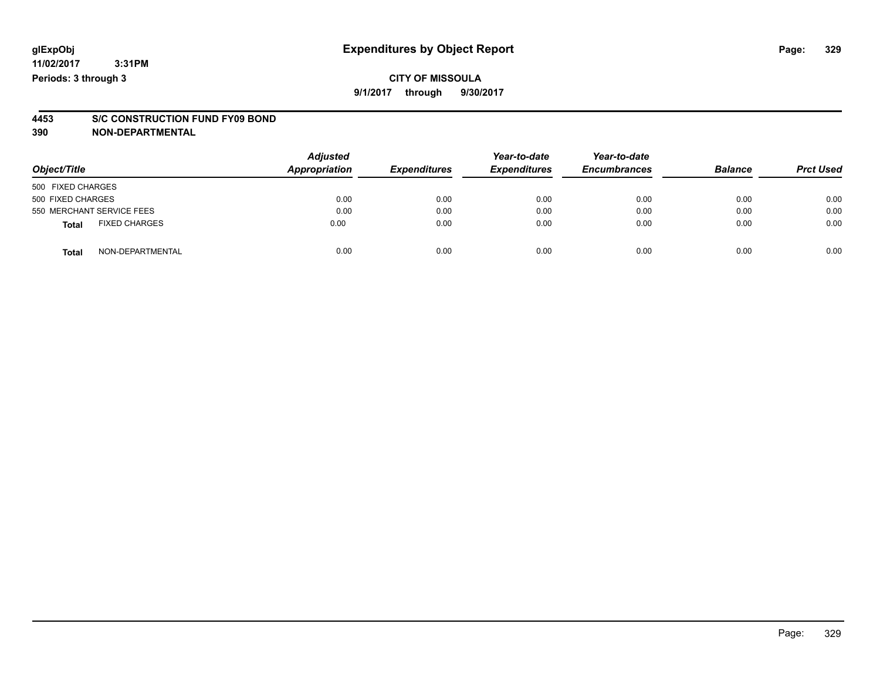### **CITY OF MISSOULA 9/1/2017 through 9/30/2017**

# **4453 S/C CONSTRUCTION FUND FY09 BOND**

**390 NON-DEPARTMENTAL**

| Object/Title                         | <b>Adjusted</b><br>Appropriation | <b>Expenditures</b> | Year-to-date<br><b>Expenditures</b> | Year-to-date<br><b>Encumbrances</b> | <b>Balance</b> | <b>Prct Used</b> |
|--------------------------------------|----------------------------------|---------------------|-------------------------------------|-------------------------------------|----------------|------------------|
| 500 FIXED CHARGES                    |                                  |                     |                                     |                                     |                |                  |
| 500 FIXED CHARGES                    | 0.00                             | 0.00                | 0.00                                | 0.00                                | 0.00           | 0.00             |
| 550 MERCHANT SERVICE FEES            | 0.00                             | 0.00                | 0.00                                | 0.00                                | 0.00           | 0.00             |
| <b>FIXED CHARGES</b><br><b>Total</b> | 0.00                             | 0.00                | 0.00                                | 0.00                                | 0.00           | 0.00             |
| NON-DEPARTMENTAL<br><b>Total</b>     | 0.00                             | 0.00                | 0.00                                | 0.00                                | 0.00           | 0.00             |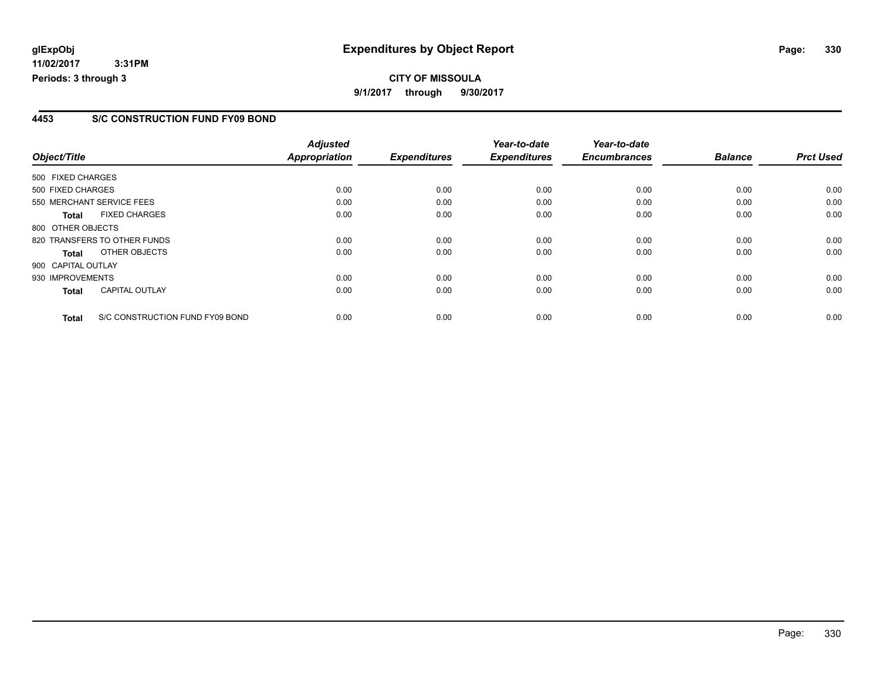**11/02/2017 3:31PM Periods: 3 through 3**

#### **4453 S/C CONSTRUCTION FUND FY09 BOND**

|                    |                                 | <b>Adjusted</b>      |                     | Year-to-date        | Year-to-date        |                |                  |
|--------------------|---------------------------------|----------------------|---------------------|---------------------|---------------------|----------------|------------------|
| Object/Title       |                                 | <b>Appropriation</b> | <b>Expenditures</b> | <b>Expenditures</b> | <b>Encumbrances</b> | <b>Balance</b> | <b>Prct Used</b> |
| 500 FIXED CHARGES  |                                 |                      |                     |                     |                     |                |                  |
| 500 FIXED CHARGES  |                                 | 0.00                 | 0.00                | 0.00                | 0.00                | 0.00           | 0.00             |
|                    | 550 MERCHANT SERVICE FEES       | 0.00                 | 0.00                | 0.00                | 0.00                | 0.00           | 0.00             |
| <b>Total</b>       | <b>FIXED CHARGES</b>            | 0.00                 | 0.00                | 0.00                | 0.00                | 0.00           | 0.00             |
| 800 OTHER OBJECTS  |                                 |                      |                     |                     |                     |                |                  |
|                    | 820 TRANSFERS TO OTHER FUNDS    | 0.00                 | 0.00                | 0.00                | 0.00                | 0.00           | 0.00             |
| Total              | OTHER OBJECTS                   | 0.00                 | 0.00                | 0.00                | 0.00                | 0.00           | 0.00             |
| 900 CAPITAL OUTLAY |                                 |                      |                     |                     |                     |                |                  |
| 930 IMPROVEMENTS   |                                 | 0.00                 | 0.00                | 0.00                | 0.00                | 0.00           | 0.00             |
| <b>Total</b>       | <b>CAPITAL OUTLAY</b>           | 0.00                 | 0.00                | 0.00                | 0.00                | 0.00           | 0.00             |
| <b>Total</b>       | S/C CONSTRUCTION FUND FY09 BOND | 0.00                 | 0.00                | 0.00                | 0.00                | 0.00           | 0.00             |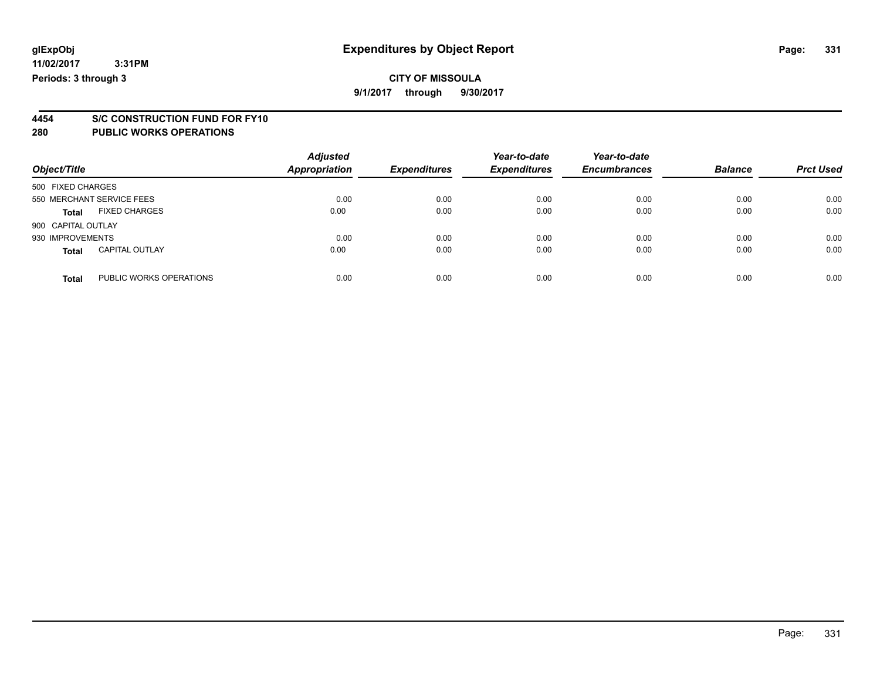# **4454 S/C CONSTRUCTION FUND FOR FY10**

| Object/Title              |                         | <b>Adjusted</b><br><b>Appropriation</b> | <b>Expenditures</b> | Year-to-date<br><b>Expenditures</b> | Year-to-date<br><b>Encumbrances</b> | <b>Balance</b> | <b>Prct Used</b> |
|---------------------------|-------------------------|-----------------------------------------|---------------------|-------------------------------------|-------------------------------------|----------------|------------------|
| 500 FIXED CHARGES         |                         |                                         |                     |                                     |                                     |                |                  |
| 550 MERCHANT SERVICE FEES |                         | 0.00                                    | 0.00                | 0.00                                | 0.00                                | 0.00           | 0.00             |
| <b>Total</b>              | <b>FIXED CHARGES</b>    | 0.00                                    | 0.00                | 0.00                                | 0.00                                | 0.00           | 0.00             |
| 900 CAPITAL OUTLAY        |                         |                                         |                     |                                     |                                     |                |                  |
| 930 IMPROVEMENTS          |                         | 0.00                                    | 0.00                | 0.00                                | 0.00                                | 0.00           | 0.00             |
| <b>Total</b>              | <b>CAPITAL OUTLAY</b>   | 0.00                                    | 0.00                | 0.00                                | 0.00                                | 0.00           | 0.00             |
| <b>Total</b>              | PUBLIC WORKS OPERATIONS | 0.00                                    | 0.00                | 0.00                                | 0.00                                | 0.00           | 0.00             |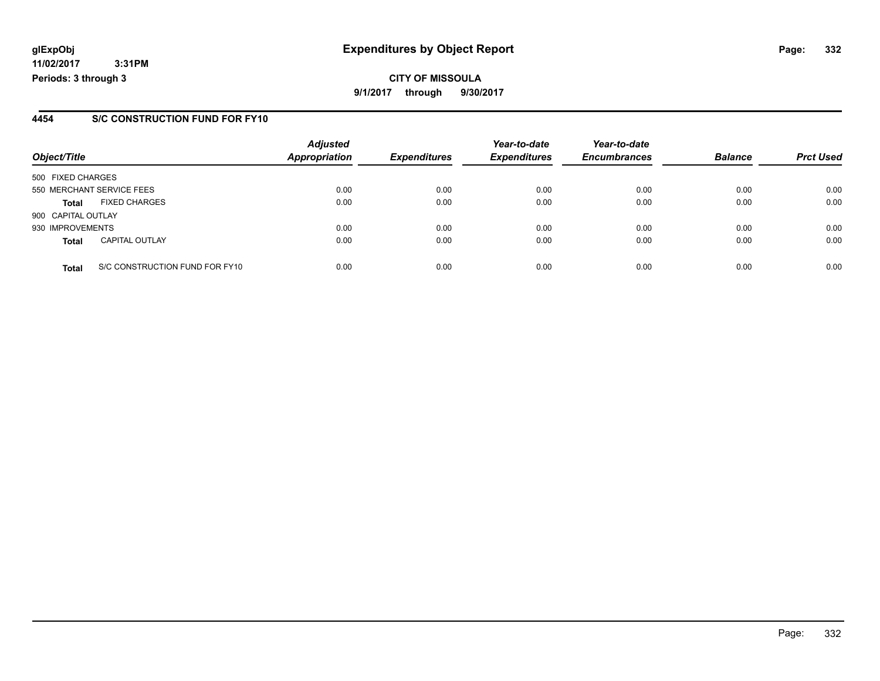**11/02/2017 3:31PM Periods: 3 through 3**

#### **4454 S/C CONSTRUCTION FUND FOR FY10**

| Object/Title       |                                | <b>Adjusted</b><br><b>Appropriation</b> | <b>Expenditures</b> | Year-to-date<br><b>Expenditures</b> | Year-to-date<br><b>Encumbrances</b> | <b>Balance</b> | <b>Prct Used</b> |
|--------------------|--------------------------------|-----------------------------------------|---------------------|-------------------------------------|-------------------------------------|----------------|------------------|
| 500 FIXED CHARGES  |                                |                                         |                     |                                     |                                     |                |                  |
|                    | 550 MERCHANT SERVICE FEES      | 0.00                                    | 0.00                | 0.00                                | 0.00                                | 0.00           | 0.00             |
| <b>Total</b>       | <b>FIXED CHARGES</b>           | 0.00                                    | 0.00                | 0.00                                | 0.00                                | 0.00           | 0.00             |
| 900 CAPITAL OUTLAY |                                |                                         |                     |                                     |                                     |                |                  |
| 930 IMPROVEMENTS   |                                | 0.00                                    | 0.00                | 0.00                                | 0.00                                | 0.00           | 0.00             |
| <b>Total</b>       | <b>CAPITAL OUTLAY</b>          | 0.00                                    | 0.00                | 0.00                                | 0.00                                | 0.00           | 0.00             |
| <b>Total</b>       | S/C CONSTRUCTION FUND FOR FY10 | 0.00                                    | 0.00                | 0.00                                | 0.00                                | 0.00           | 0.00             |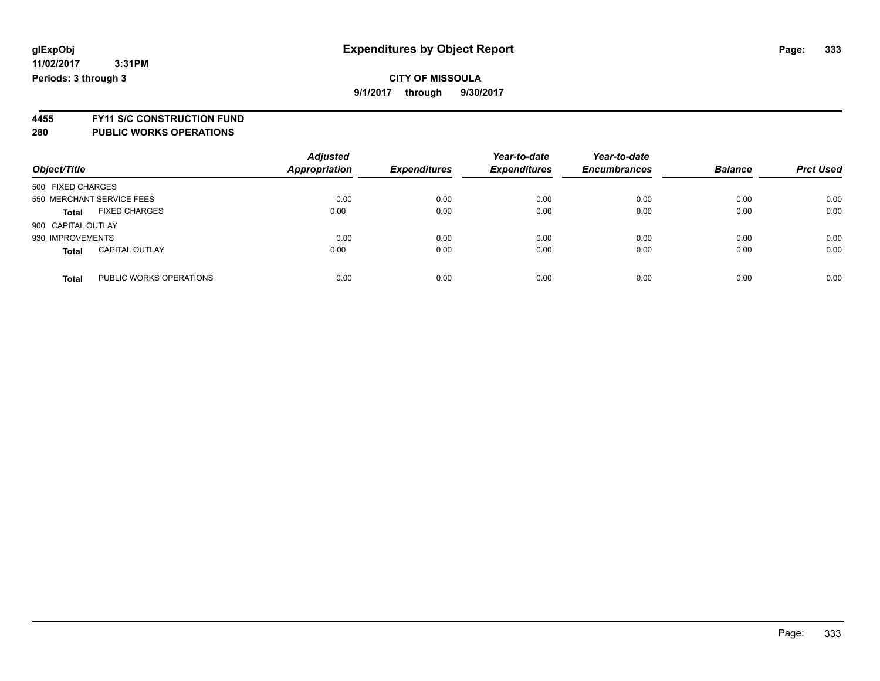### **CITY OF MISSOULA 9/1/2017 through 9/30/2017**

**4455 FY11 S/C CONSTRUCTION FUND 280 PUBLIC WORKS OPERATIONS**

| Object/Title                            | <b>Adjusted</b><br><b>Appropriation</b> | <b>Expenditures</b> | Year-to-date<br><b>Expenditures</b> | Year-to-date<br><b>Encumbrances</b> | <b>Balance</b> | <b>Prct Used</b> |
|-----------------------------------------|-----------------------------------------|---------------------|-------------------------------------|-------------------------------------|----------------|------------------|
| 500 FIXED CHARGES                       |                                         |                     |                                     |                                     |                |                  |
| 550 MERCHANT SERVICE FEES               | 0.00                                    | 0.00                | 0.00                                | 0.00                                | 0.00           | 0.00             |
| <b>FIXED CHARGES</b><br><b>Total</b>    | 0.00                                    | 0.00                | 0.00                                | 0.00                                | 0.00           | 0.00             |
| 900 CAPITAL OUTLAY                      |                                         |                     |                                     |                                     |                |                  |
| 930 IMPROVEMENTS                        | 0.00                                    | 0.00                | 0.00                                | 0.00                                | 0.00           | 0.00             |
| <b>CAPITAL OUTLAY</b><br><b>Total</b>   | 0.00                                    | 0.00                | 0.00                                | 0.00                                | 0.00           | 0.00             |
| PUBLIC WORKS OPERATIONS<br><b>Total</b> | 0.00                                    | 0.00                | 0.00                                | 0.00                                | 0.00           | 0.00             |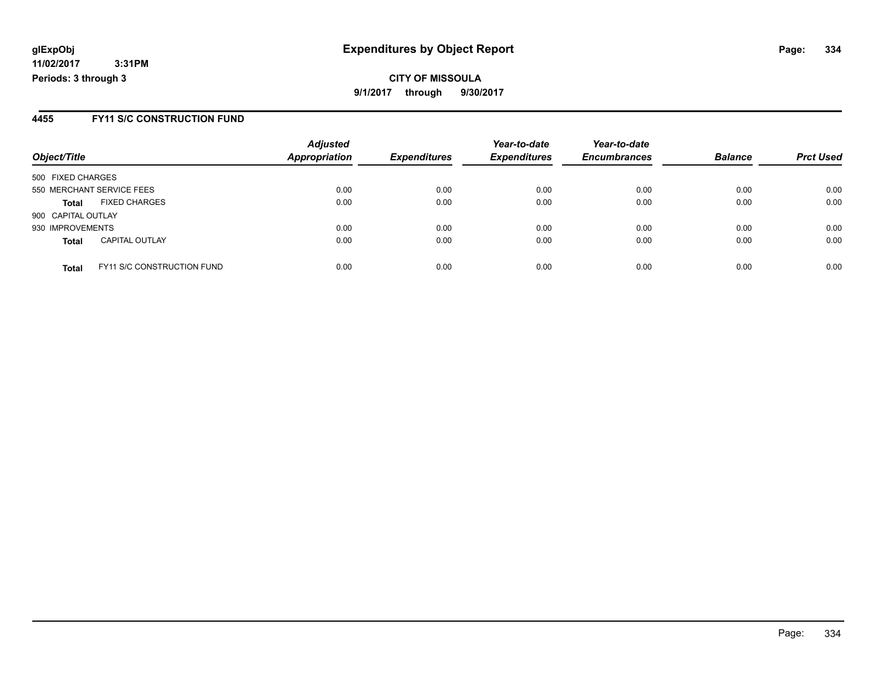**CITY OF MISSOULA 9/1/2017 through 9/30/2017**

#### **4455 FY11 S/C CONSTRUCTION FUND**

| Object/Title       |                                   | <b>Adjusted</b><br><b>Appropriation</b> | <b>Expenditures</b> | Year-to-date<br><b>Expenditures</b> | Year-to-date<br><b>Encumbrances</b> | <b>Balance</b> | <b>Prct Used</b> |
|--------------------|-----------------------------------|-----------------------------------------|---------------------|-------------------------------------|-------------------------------------|----------------|------------------|
| 500 FIXED CHARGES  |                                   |                                         |                     |                                     |                                     |                |                  |
|                    | 550 MERCHANT SERVICE FEES         | 0.00                                    | 0.00                | 0.00                                | 0.00                                | 0.00           | 0.00             |
| <b>Total</b>       | <b>FIXED CHARGES</b>              | 0.00                                    | 0.00                | 0.00                                | 0.00                                | 0.00           | 0.00             |
| 900 CAPITAL OUTLAY |                                   |                                         |                     |                                     |                                     |                |                  |
| 930 IMPROVEMENTS   |                                   | 0.00                                    | 0.00                | 0.00                                | 0.00                                | 0.00           | 0.00             |
| <b>Total</b>       | <b>CAPITAL OUTLAY</b>             | 0.00                                    | 0.00                | 0.00                                | 0.00                                | 0.00           | 0.00             |
| <b>Total</b>       | <b>FY11 S/C CONSTRUCTION FUND</b> | 0.00                                    | 0.00                | 0.00                                | 0.00                                | 0.00           | 0.00             |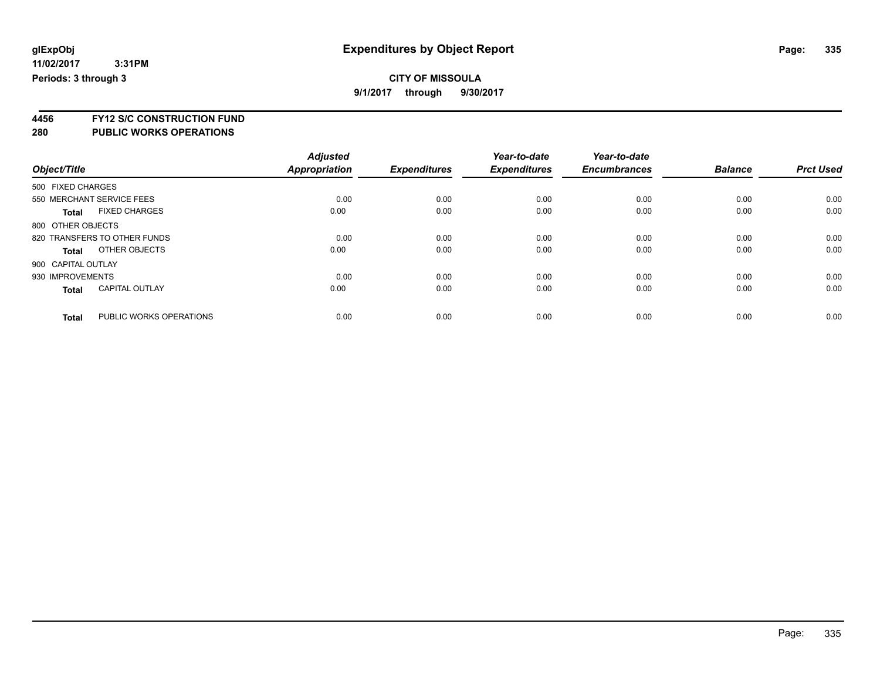**4456 FY12 S/C CONSTRUCTION FUND**

|                    |                              | <b>Adjusted</b> |                     | Year-to-date        | Year-to-date        |                |                  |
|--------------------|------------------------------|-----------------|---------------------|---------------------|---------------------|----------------|------------------|
| Object/Title       |                              | Appropriation   | <b>Expenditures</b> | <b>Expenditures</b> | <b>Encumbrances</b> | <b>Balance</b> | <b>Prct Used</b> |
| 500 FIXED CHARGES  |                              |                 |                     |                     |                     |                |                  |
|                    | 550 MERCHANT SERVICE FEES    | 0.00            | 0.00                | 0.00                | 0.00                | 0.00           | 0.00             |
| <b>Total</b>       | <b>FIXED CHARGES</b>         | 0.00            | 0.00                | 0.00                | 0.00                | 0.00           | 0.00             |
| 800 OTHER OBJECTS  |                              |                 |                     |                     |                     |                |                  |
|                    | 820 TRANSFERS TO OTHER FUNDS | 0.00            | 0.00                | 0.00                | 0.00                | 0.00           | 0.00             |
| Total              | OTHER OBJECTS                | 0.00            | 0.00                | 0.00                | 0.00                | 0.00           | 0.00             |
| 900 CAPITAL OUTLAY |                              |                 |                     |                     |                     |                |                  |
| 930 IMPROVEMENTS   |                              | 0.00            | 0.00                | 0.00                | 0.00                | 0.00           | 0.00             |
| <b>Total</b>       | <b>CAPITAL OUTLAY</b>        | 0.00            | 0.00                | 0.00                | 0.00                | 0.00           | 0.00             |
|                    |                              |                 |                     |                     |                     |                |                  |
| <b>Total</b>       | PUBLIC WORKS OPERATIONS      | 0.00            | 0.00                | 0.00                | 0.00                | 0.00           | 0.00             |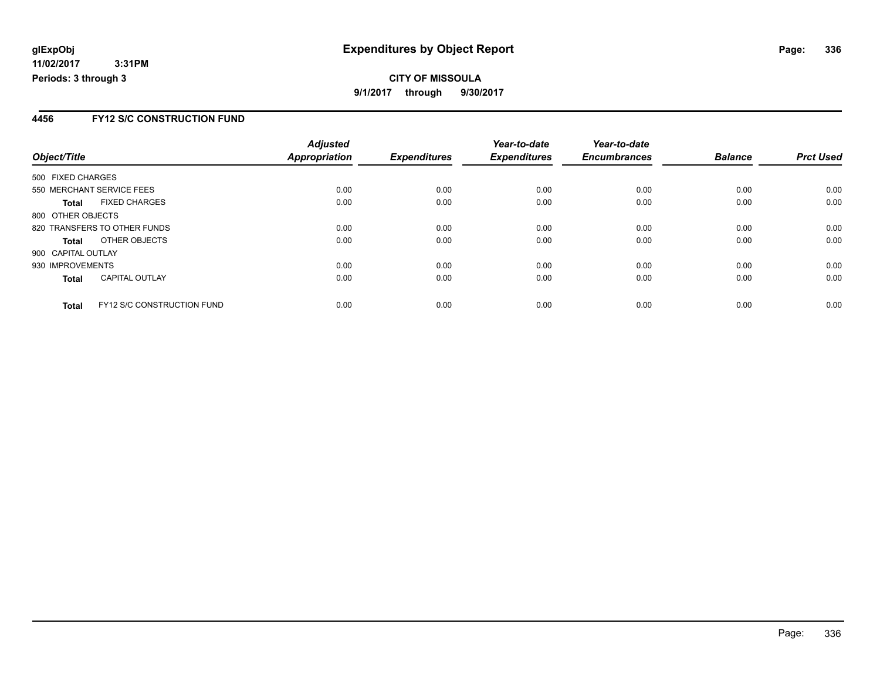#### **4456 FY12 S/C CONSTRUCTION FUND**

|                           |                                   | <b>Adjusted</b> |                     | Year-to-date        | Year-to-date        |                |                  |
|---------------------------|-----------------------------------|-----------------|---------------------|---------------------|---------------------|----------------|------------------|
| Object/Title              |                                   | Appropriation   | <b>Expenditures</b> | <b>Expenditures</b> | <b>Encumbrances</b> | <b>Balance</b> | <b>Prct Used</b> |
| 500 FIXED CHARGES         |                                   |                 |                     |                     |                     |                |                  |
| 550 MERCHANT SERVICE FEES |                                   | 0.00            | 0.00                | 0.00                | 0.00                | 0.00           | 0.00             |
| Total                     | <b>FIXED CHARGES</b>              | 0.00            | 0.00                | 0.00                | 0.00                | 0.00           | 0.00             |
| 800 OTHER OBJECTS         |                                   |                 |                     |                     |                     |                |                  |
|                           | 820 TRANSFERS TO OTHER FUNDS      | 0.00            | 0.00                | 0.00                | 0.00                | 0.00           | 0.00             |
| <b>Total</b>              | OTHER OBJECTS                     | 0.00            | 0.00                | 0.00                | 0.00                | 0.00           | 0.00             |
| 900 CAPITAL OUTLAY        |                                   |                 |                     |                     |                     |                |                  |
| 930 IMPROVEMENTS          |                                   | 0.00            | 0.00                | 0.00                | 0.00                | 0.00           | 0.00             |
| <b>Total</b>              | <b>CAPITAL OUTLAY</b>             | 0.00            | 0.00                | 0.00                | 0.00                | 0.00           | 0.00             |
| <b>Total</b>              | <b>FY12 S/C CONSTRUCTION FUND</b> | 0.00            | 0.00                | 0.00                | 0.00                | 0.00           | 0.00             |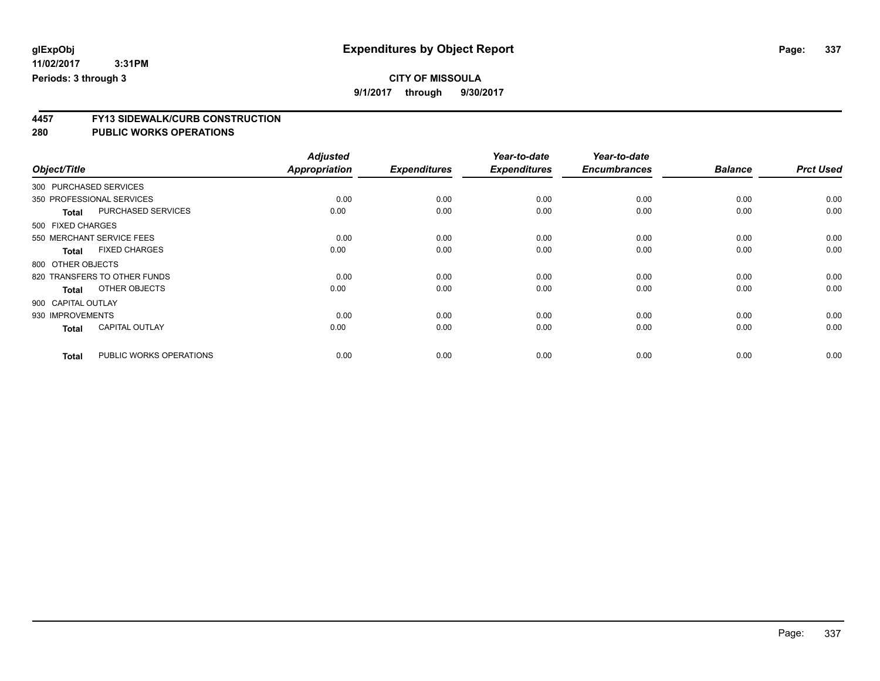# **CITY OF MISSOULA**

**9/1/2017 through 9/30/2017**

# **4457 FY13 SIDEWALK/CURB CONSTRUCTION**

|                    |                              | <b>Adjusted</b>      |                     | Year-to-date        | Year-to-date        |                |                  |
|--------------------|------------------------------|----------------------|---------------------|---------------------|---------------------|----------------|------------------|
| Object/Title       |                              | <b>Appropriation</b> | <b>Expenditures</b> | <b>Expenditures</b> | <b>Encumbrances</b> | <b>Balance</b> | <b>Prct Used</b> |
|                    | 300 PURCHASED SERVICES       |                      |                     |                     |                     |                |                  |
|                    | 350 PROFESSIONAL SERVICES    | 0.00                 | 0.00                | 0.00                | 0.00                | 0.00           | 0.00             |
| <b>Total</b>       | <b>PURCHASED SERVICES</b>    | 0.00                 | 0.00                | 0.00                | 0.00                | 0.00           | 0.00             |
| 500 FIXED CHARGES  |                              |                      |                     |                     |                     |                |                  |
|                    | 550 MERCHANT SERVICE FEES    | 0.00                 | 0.00                | 0.00                | 0.00                | 0.00           | 0.00             |
| <b>Total</b>       | <b>FIXED CHARGES</b>         | 0.00                 | 0.00                | 0.00                | 0.00                | 0.00           | 0.00             |
| 800 OTHER OBJECTS  |                              |                      |                     |                     |                     |                |                  |
|                    | 820 TRANSFERS TO OTHER FUNDS | 0.00                 | 0.00                | 0.00                | 0.00                | 0.00           | 0.00             |
| <b>Total</b>       | OTHER OBJECTS                | 0.00                 | 0.00                | 0.00                | 0.00                | 0.00           | 0.00             |
| 900 CAPITAL OUTLAY |                              |                      |                     |                     |                     |                |                  |
| 930 IMPROVEMENTS   |                              | 0.00                 | 0.00                | 0.00                | 0.00                | 0.00           | 0.00             |
| <b>Total</b>       | <b>CAPITAL OUTLAY</b>        | 0.00                 | 0.00                | 0.00                | 0.00                | 0.00           | 0.00             |
| <b>Total</b>       | PUBLIC WORKS OPERATIONS      | 0.00                 | 0.00                | 0.00                | 0.00                | 0.00           | 0.00             |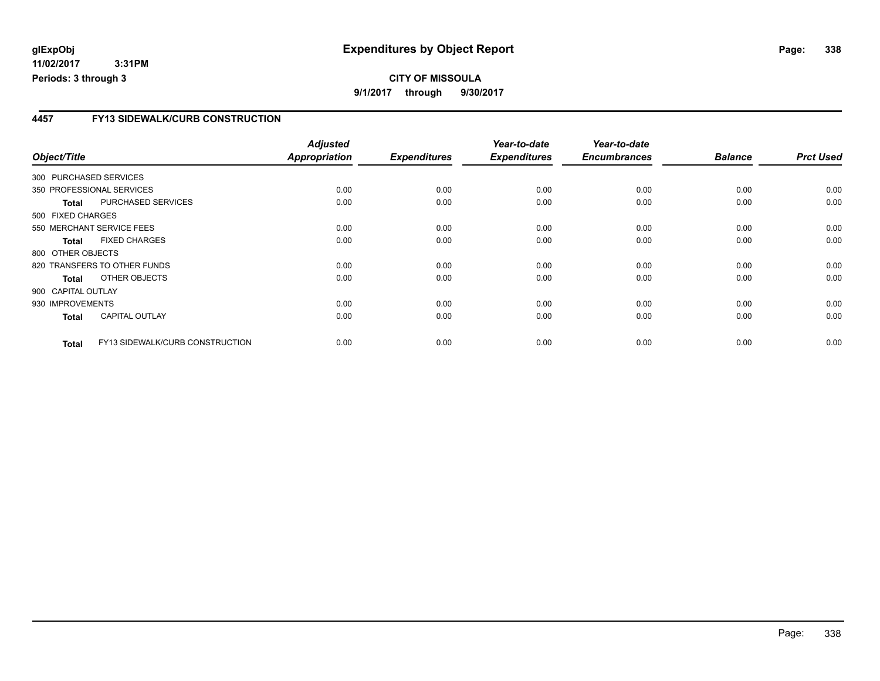**11/02/2017 3:31PM Periods: 3 through 3**

#### **4457 FY13 SIDEWALK/CURB CONSTRUCTION**

| Object/Title       |                                 | <b>Adjusted</b><br>Appropriation | <b>Expenditures</b> | Year-to-date<br><b>Expenditures</b> | Year-to-date<br><b>Encumbrances</b> | <b>Balance</b> | <b>Prct Used</b> |
|--------------------|---------------------------------|----------------------------------|---------------------|-------------------------------------|-------------------------------------|----------------|------------------|
|                    | 300 PURCHASED SERVICES          |                                  |                     |                                     |                                     |                |                  |
|                    | 350 PROFESSIONAL SERVICES       | 0.00                             | 0.00                | 0.00                                | 0.00                                | 0.00           | 0.00             |
| <b>Total</b>       | PURCHASED SERVICES              | 0.00                             | 0.00                | 0.00                                | 0.00                                | 0.00           | 0.00             |
| 500 FIXED CHARGES  |                                 |                                  |                     |                                     |                                     |                |                  |
|                    | 550 MERCHANT SERVICE FEES       | 0.00                             | 0.00                | 0.00                                | 0.00                                | 0.00           | 0.00             |
| <b>Total</b>       | <b>FIXED CHARGES</b>            | 0.00                             | 0.00                | 0.00                                | 0.00                                | 0.00           | 0.00             |
| 800 OTHER OBJECTS  |                                 |                                  |                     |                                     |                                     |                |                  |
|                    | 820 TRANSFERS TO OTHER FUNDS    | 0.00                             | 0.00                | 0.00                                | 0.00                                | 0.00           | 0.00             |
| Total              | OTHER OBJECTS                   | 0.00                             | 0.00                | 0.00                                | 0.00                                | 0.00           | 0.00             |
| 900 CAPITAL OUTLAY |                                 |                                  |                     |                                     |                                     |                |                  |
| 930 IMPROVEMENTS   |                                 | 0.00                             | 0.00                | 0.00                                | 0.00                                | 0.00           | 0.00             |
| <b>Total</b>       | <b>CAPITAL OUTLAY</b>           | 0.00                             | 0.00                | 0.00                                | 0.00                                | 0.00           | 0.00             |
| <b>Total</b>       | FY13 SIDEWALK/CURB CONSTRUCTION | 0.00                             | 0.00                | 0.00                                | 0.00                                | 0.00           | 0.00             |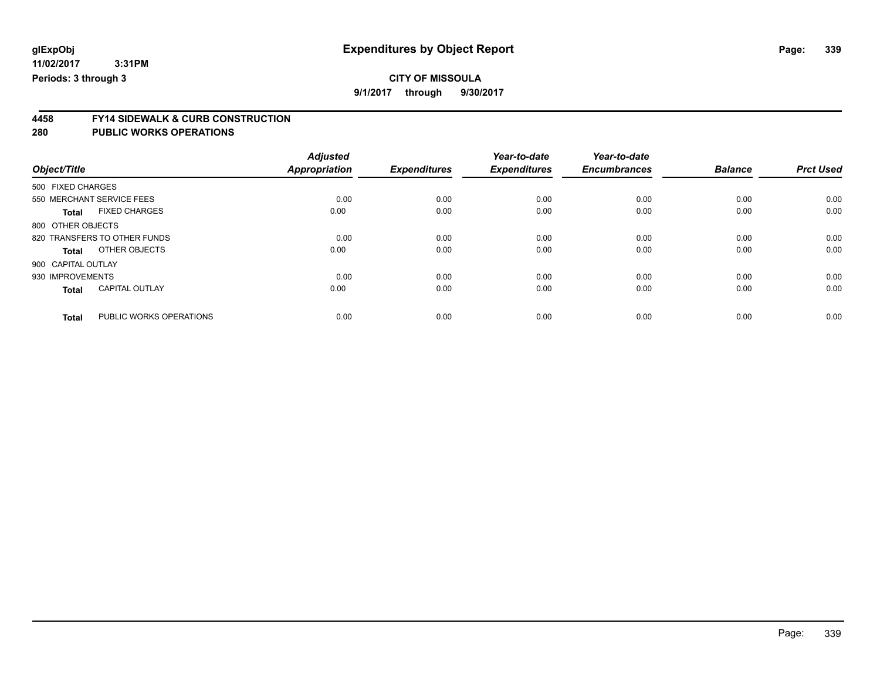**9/1/2017 through 9/30/2017**

# **4458 FY14 SIDEWALK & CURB CONSTRUCTION**

| Object/Title       |                              | <b>Adjusted</b><br><b>Appropriation</b> | <b>Expenditures</b> | Year-to-date<br><b>Expenditures</b> | Year-to-date<br><b>Encumbrances</b> | <b>Balance</b> | <b>Prct Used</b> |
|--------------------|------------------------------|-----------------------------------------|---------------------|-------------------------------------|-------------------------------------|----------------|------------------|
| 500 FIXED CHARGES  |                              |                                         |                     |                                     |                                     |                |                  |
|                    | 550 MERCHANT SERVICE FEES    | 0.00                                    | 0.00                | 0.00                                | 0.00                                | 0.00           | 0.00             |
| <b>Total</b>       | <b>FIXED CHARGES</b>         | 0.00                                    | 0.00                | 0.00                                | 0.00                                | 0.00           | 0.00             |
| 800 OTHER OBJECTS  |                              |                                         |                     |                                     |                                     |                |                  |
|                    | 820 TRANSFERS TO OTHER FUNDS | 0.00                                    | 0.00                | 0.00                                | 0.00                                | 0.00           | 0.00             |
| <b>Total</b>       | OTHER OBJECTS                | 0.00                                    | 0.00                | 0.00                                | 0.00                                | 0.00           | 0.00             |
| 900 CAPITAL OUTLAY |                              |                                         |                     |                                     |                                     |                |                  |
| 930 IMPROVEMENTS   |                              | 0.00                                    | 0.00                | 0.00                                | 0.00                                | 0.00           | 0.00             |
| <b>Total</b>       | <b>CAPITAL OUTLAY</b>        | 0.00                                    | 0.00                | 0.00                                | 0.00                                | 0.00           | 0.00             |
| <b>Total</b>       | PUBLIC WORKS OPERATIONS      | 0.00                                    | 0.00                | 0.00                                | 0.00                                | 0.00           | 0.00             |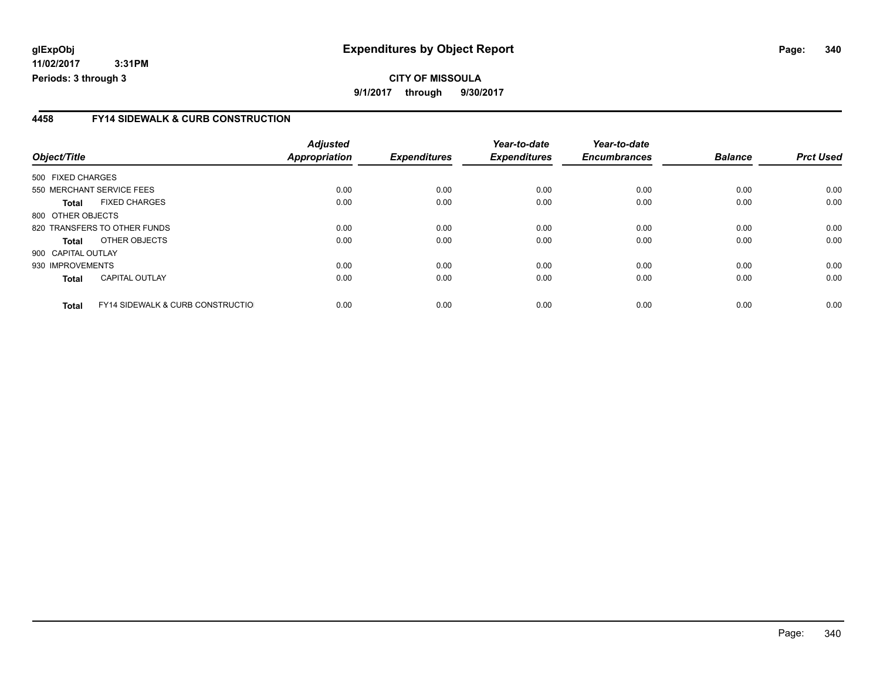#### **4458 FY14 SIDEWALK & CURB CONSTRUCTION**

| Object/Title       |                                              | <b>Adjusted</b><br><b>Appropriation</b> | <b>Expenditures</b> | Year-to-date<br><b>Expenditures</b> | Year-to-date<br><b>Encumbrances</b> | <b>Balance</b> | <b>Prct Used</b> |
|--------------------|----------------------------------------------|-----------------------------------------|---------------------|-------------------------------------|-------------------------------------|----------------|------------------|
| 500 FIXED CHARGES  |                                              |                                         |                     |                                     |                                     |                |                  |
|                    | 550 MERCHANT SERVICE FEES                    | 0.00                                    | 0.00                | 0.00                                | 0.00                                | 0.00           | 0.00             |
| <b>Total</b>       | <b>FIXED CHARGES</b>                         | 0.00                                    | 0.00                | 0.00                                | 0.00                                | 0.00           | 0.00             |
| 800 OTHER OBJECTS  |                                              |                                         |                     |                                     |                                     |                |                  |
|                    | 820 TRANSFERS TO OTHER FUNDS                 | 0.00                                    | 0.00                | 0.00                                | 0.00                                | 0.00           | 0.00             |
| <b>Total</b>       | OTHER OBJECTS                                | 0.00                                    | 0.00                | 0.00                                | 0.00                                | 0.00           | 0.00             |
| 900 CAPITAL OUTLAY |                                              |                                         |                     |                                     |                                     |                |                  |
| 930 IMPROVEMENTS   |                                              | 0.00                                    | 0.00                | 0.00                                | 0.00                                | 0.00           | 0.00             |
| <b>Total</b>       | <b>CAPITAL OUTLAY</b>                        | 0.00                                    | 0.00                | 0.00                                | 0.00                                | 0.00           | 0.00             |
| <b>Total</b>       | <b>FY14 SIDEWALK &amp; CURB CONSTRUCTIOL</b> | 0.00                                    | 0.00                | 0.00                                | 0.00                                | 0.00           | 0.00             |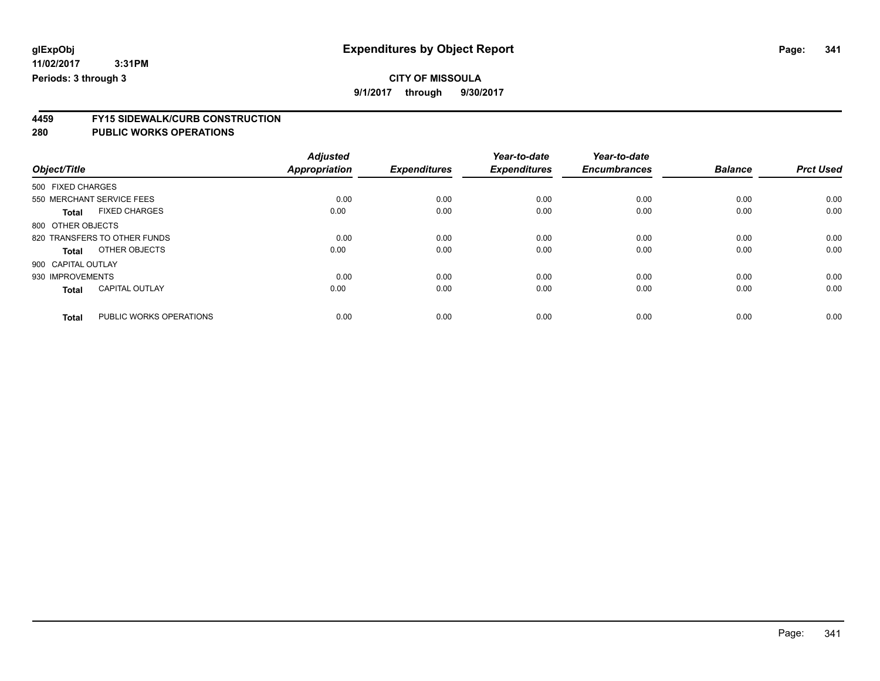# **CITY OF MISSOULA**

**9/1/2017 through 9/30/2017**

# **4459 FY15 SIDEWALK/CURB CONSTRUCTION**

| Object/Title       |                              | <b>Adjusted</b><br><b>Appropriation</b> | <b>Expenditures</b> | Year-to-date<br><b>Expenditures</b> | Year-to-date<br><b>Encumbrances</b> | <b>Balance</b> | <b>Prct Used</b> |
|--------------------|------------------------------|-----------------------------------------|---------------------|-------------------------------------|-------------------------------------|----------------|------------------|
| 500 FIXED CHARGES  |                              |                                         |                     |                                     |                                     |                |                  |
|                    | 550 MERCHANT SERVICE FEES    | 0.00                                    | 0.00                | 0.00                                | 0.00                                | 0.00           | 0.00             |
| <b>Total</b>       | <b>FIXED CHARGES</b>         | 0.00                                    | 0.00                | 0.00                                | 0.00                                | 0.00           | 0.00             |
| 800 OTHER OBJECTS  |                              |                                         |                     |                                     |                                     |                |                  |
|                    | 820 TRANSFERS TO OTHER FUNDS | 0.00                                    | 0.00                | 0.00                                | 0.00                                | 0.00           | 0.00             |
| Total              | OTHER OBJECTS                | 0.00                                    | 0.00                | 0.00                                | 0.00                                | 0.00           | 0.00             |
| 900 CAPITAL OUTLAY |                              |                                         |                     |                                     |                                     |                |                  |
| 930 IMPROVEMENTS   |                              | 0.00                                    | 0.00                | 0.00                                | 0.00                                | 0.00           | 0.00             |
| <b>Total</b>       | <b>CAPITAL OUTLAY</b>        | 0.00                                    | 0.00                | 0.00                                | 0.00                                | 0.00           | 0.00             |
|                    |                              |                                         |                     |                                     |                                     |                |                  |
| <b>Total</b>       | PUBLIC WORKS OPERATIONS      | 0.00                                    | 0.00                | 0.00                                | 0.00                                | 0.00           | 0.00             |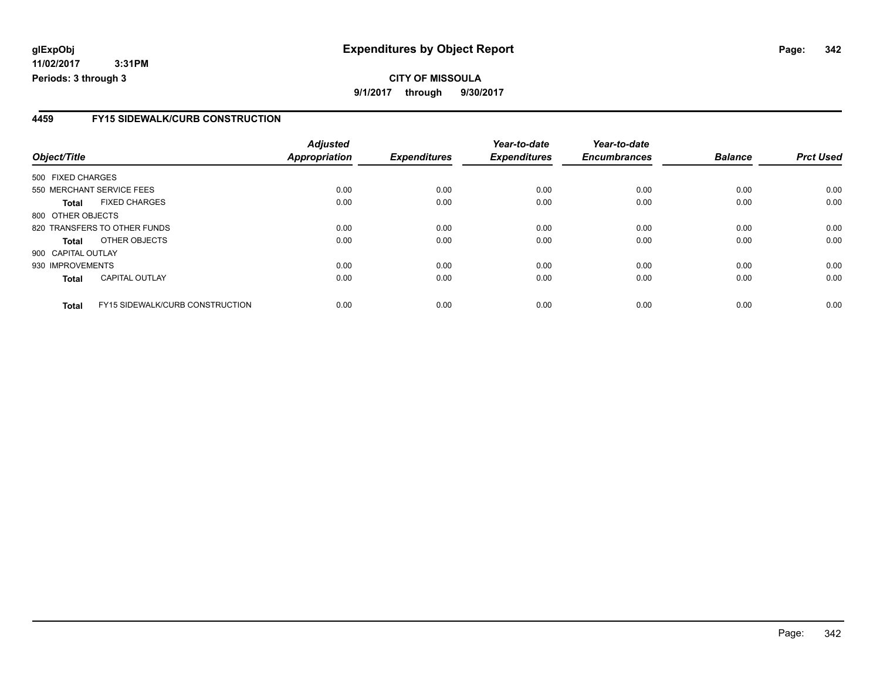**11/02/2017 3:31PM Periods: 3 through 3**

#### **4459 FY15 SIDEWALK/CURB CONSTRUCTION**

| Object/Title       |                                        | <b>Adjusted</b><br><b>Appropriation</b> | <b>Expenditures</b> | Year-to-date<br><b>Expenditures</b> | Year-to-date<br><b>Encumbrances</b> | <b>Balance</b> | <b>Prct Used</b> |
|--------------------|----------------------------------------|-----------------------------------------|---------------------|-------------------------------------|-------------------------------------|----------------|------------------|
|                    |                                        |                                         |                     |                                     |                                     |                |                  |
| 500 FIXED CHARGES  |                                        |                                         |                     |                                     |                                     |                |                  |
|                    | 550 MERCHANT SERVICE FEES              | 0.00                                    | 0.00                | 0.00                                | 0.00                                | 0.00           | 0.00             |
| Total              | <b>FIXED CHARGES</b>                   | 0.00                                    | 0.00                | 0.00                                | 0.00                                | 0.00           | 0.00             |
| 800 OTHER OBJECTS  |                                        |                                         |                     |                                     |                                     |                |                  |
|                    | 820 TRANSFERS TO OTHER FUNDS           | 0.00                                    | 0.00                | 0.00                                | 0.00                                | 0.00           | 0.00             |
| Total              | OTHER OBJECTS                          | 0.00                                    | 0.00                | 0.00                                | 0.00                                | 0.00           | 0.00             |
| 900 CAPITAL OUTLAY |                                        |                                         |                     |                                     |                                     |                |                  |
| 930 IMPROVEMENTS   |                                        | 0.00                                    | 0.00                | 0.00                                | 0.00                                | 0.00           | 0.00             |
| <b>Total</b>       | <b>CAPITAL OUTLAY</b>                  | 0.00                                    | 0.00                | 0.00                                | 0.00                                | 0.00           | 0.00             |
| <b>Total</b>       | <b>FY15 SIDEWALK/CURB CONSTRUCTION</b> | 0.00                                    | 0.00                | 0.00                                | 0.00                                | 0.00           | 0.00             |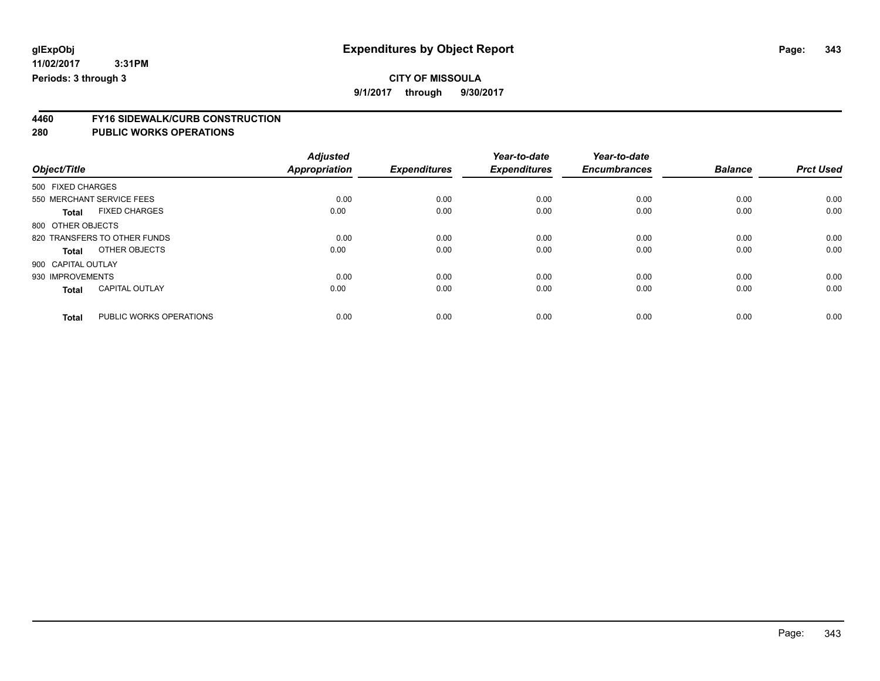# **CITY OF MISSOULA**

**9/1/2017 through 9/30/2017**

# **4460 FY16 SIDEWALK/CURB CONSTRUCTION**

| Object/Title       |                              | <b>Adjusted</b><br><b>Appropriation</b> | <b>Expenditures</b> | Year-to-date<br><b>Expenditures</b> | Year-to-date<br><b>Encumbrances</b> | <b>Balance</b> | <b>Prct Used</b> |
|--------------------|------------------------------|-----------------------------------------|---------------------|-------------------------------------|-------------------------------------|----------------|------------------|
| 500 FIXED CHARGES  |                              |                                         |                     |                                     |                                     |                |                  |
|                    |                              |                                         |                     |                                     |                                     |                |                  |
|                    | 550 MERCHANT SERVICE FEES    | 0.00                                    | 0.00                | 0.00                                | 0.00                                | 0.00           | 0.00             |
| <b>Total</b>       | <b>FIXED CHARGES</b>         | 0.00                                    | 0.00                | 0.00                                | 0.00                                | 0.00           | 0.00             |
| 800 OTHER OBJECTS  |                              |                                         |                     |                                     |                                     |                |                  |
|                    | 820 TRANSFERS TO OTHER FUNDS | 0.00                                    | 0.00                | 0.00                                | 0.00                                | 0.00           | 0.00             |
| Total              | OTHER OBJECTS                | 0.00                                    | 0.00                | 0.00                                | 0.00                                | 0.00           | 0.00             |
| 900 CAPITAL OUTLAY |                              |                                         |                     |                                     |                                     |                |                  |
| 930 IMPROVEMENTS   |                              | 0.00                                    | 0.00                | 0.00                                | 0.00                                | 0.00           | 0.00             |
| <b>Total</b>       | <b>CAPITAL OUTLAY</b>        | 0.00                                    | 0.00                | 0.00                                | 0.00                                | 0.00           | 0.00             |
|                    |                              |                                         |                     |                                     |                                     |                |                  |
| <b>Total</b>       | PUBLIC WORKS OPERATIONS      | 0.00                                    | 0.00                | 0.00                                | 0.00                                | 0.00           | 0.00             |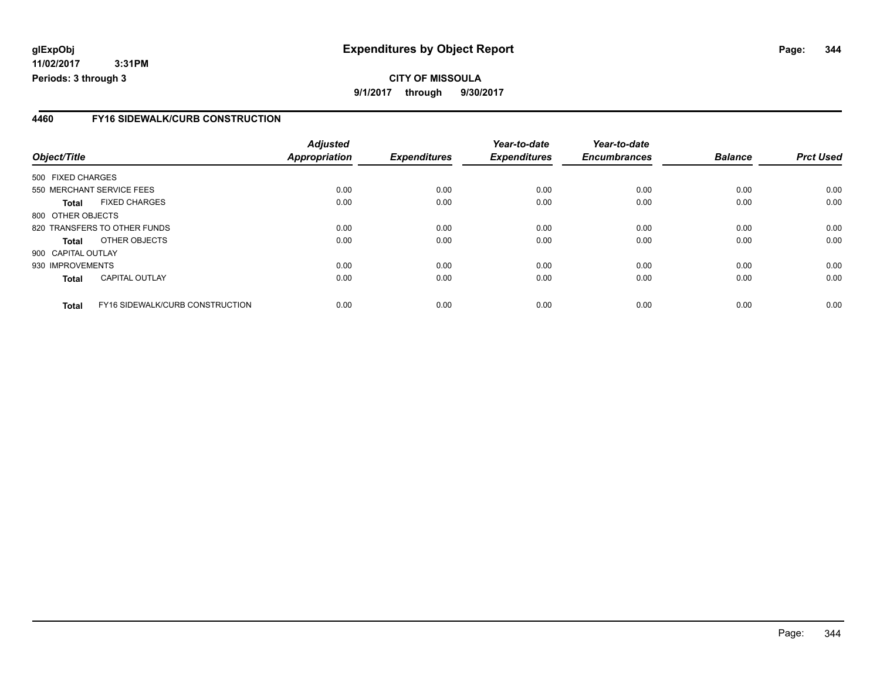**11/02/2017 3:31PM Periods: 3 through 3**

#### **4460 FY16 SIDEWALK/CURB CONSTRUCTION**

| Object/Title       |                                 | <b>Adjusted</b><br><b>Appropriation</b> | <b>Expenditures</b> | Year-to-date<br><b>Expenditures</b> | Year-to-date<br><b>Encumbrances</b> | <b>Balance</b> | <b>Prct Used</b> |
|--------------------|---------------------------------|-----------------------------------------|---------------------|-------------------------------------|-------------------------------------|----------------|------------------|
| 500 FIXED CHARGES  |                                 |                                         |                     |                                     |                                     |                |                  |
|                    |                                 |                                         |                     |                                     |                                     |                |                  |
|                    | 550 MERCHANT SERVICE FEES       | 0.00                                    | 0.00                | 0.00                                | 0.00                                | 0.00           | 0.00             |
| Total              | <b>FIXED CHARGES</b>            | 0.00                                    | 0.00                | 0.00                                | 0.00                                | 0.00           | 0.00             |
| 800 OTHER OBJECTS  |                                 |                                         |                     |                                     |                                     |                |                  |
|                    | 820 TRANSFERS TO OTHER FUNDS    | 0.00                                    | 0.00                | 0.00                                | 0.00                                | 0.00           | 0.00             |
| Total              | OTHER OBJECTS                   | 0.00                                    | 0.00                | 0.00                                | 0.00                                | 0.00           | 0.00             |
| 900 CAPITAL OUTLAY |                                 |                                         |                     |                                     |                                     |                |                  |
| 930 IMPROVEMENTS   |                                 | 0.00                                    | 0.00                | 0.00                                | 0.00                                | 0.00           | 0.00             |
| <b>Total</b>       | <b>CAPITAL OUTLAY</b>           | 0.00                                    | 0.00                | 0.00                                | 0.00                                | 0.00           | 0.00             |
| <b>Total</b>       | FY16 SIDEWALK/CURB CONSTRUCTION | 0.00                                    | 0.00                | 0.00                                | 0.00                                | 0.00           | 0.00             |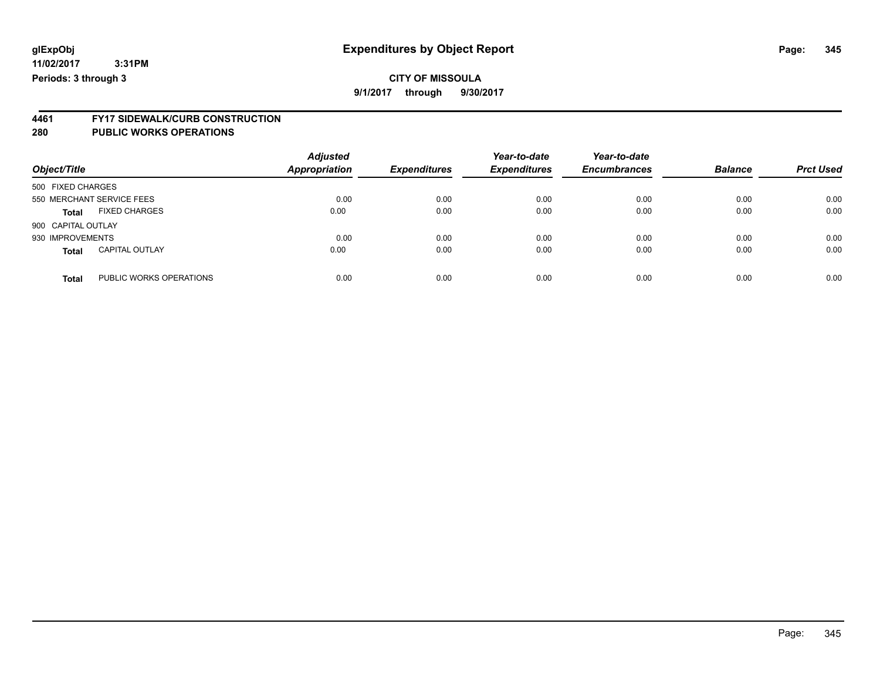# **4461 FY17 SIDEWALK/CURB CONSTRUCTION**

| Object/Title       |                           | <b>Adjusted</b><br><b>Appropriation</b> | <b>Expenditures</b> | Year-to-date<br><b>Expenditures</b> | Year-to-date<br><b>Encumbrances</b> | <b>Balance</b> | <b>Prct Used</b> |
|--------------------|---------------------------|-----------------------------------------|---------------------|-------------------------------------|-------------------------------------|----------------|------------------|
| 500 FIXED CHARGES  |                           |                                         |                     |                                     |                                     |                |                  |
|                    | 550 MERCHANT SERVICE FEES | 0.00                                    | 0.00                | 0.00                                | 0.00                                | 0.00           | 0.00             |
| <b>Total</b>       | <b>FIXED CHARGES</b>      | 0.00                                    | 0.00                | 0.00                                | 0.00                                | 0.00           | 0.00             |
| 900 CAPITAL OUTLAY |                           |                                         |                     |                                     |                                     |                |                  |
| 930 IMPROVEMENTS   |                           | 0.00                                    | 0.00                | 0.00                                | 0.00                                | 0.00           | 0.00             |
| <b>Total</b>       | <b>CAPITAL OUTLAY</b>     | 0.00                                    | 0.00                | 0.00                                | 0.00                                | 0.00           | 0.00             |
| <b>Total</b>       | PUBLIC WORKS OPERATIONS   | 0.00                                    | 0.00                | 0.00                                | 0.00                                | 0.00           | 0.00             |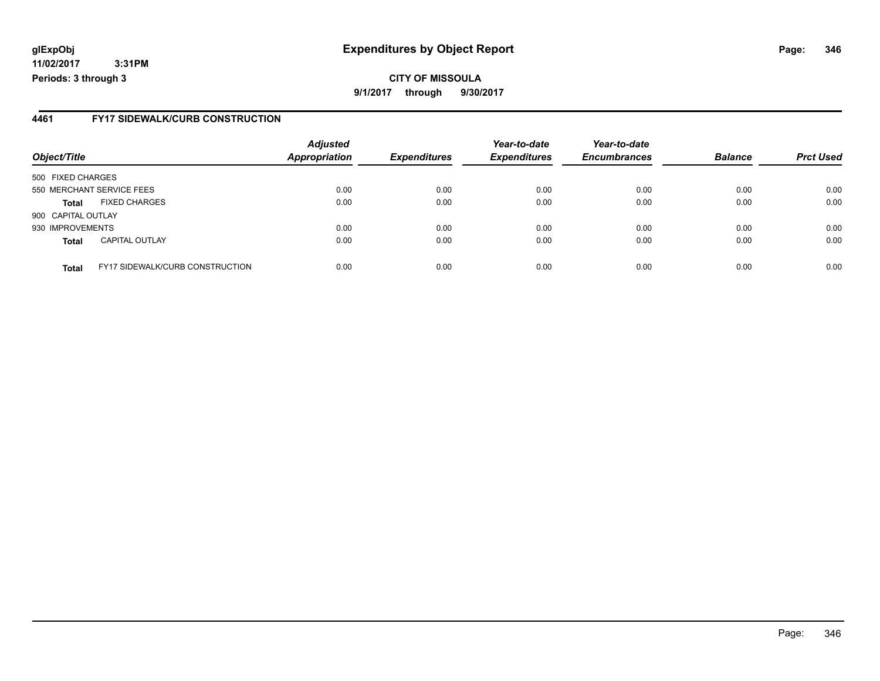**11/02/2017 3:31PM Periods: 3 through 3**

#### **4461 FY17 SIDEWALK/CURB CONSTRUCTION**

| Object/Title       |                                        | <b>Adjusted</b><br><b>Appropriation</b> | <b>Expenditures</b> | Year-to-date<br><b>Expenditures</b> | Year-to-date<br><b>Encumbrances</b> | <b>Balance</b> | <b>Prct Used</b> |
|--------------------|----------------------------------------|-----------------------------------------|---------------------|-------------------------------------|-------------------------------------|----------------|------------------|
| 500 FIXED CHARGES  |                                        |                                         |                     |                                     |                                     |                |                  |
|                    | 550 MERCHANT SERVICE FEES              | 0.00                                    | 0.00                | 0.00                                | 0.00                                | 0.00           | 0.00             |
| <b>Total</b>       | <b>FIXED CHARGES</b>                   | 0.00                                    | 0.00                | 0.00                                | 0.00                                | 0.00           | 0.00             |
| 900 CAPITAL OUTLAY |                                        |                                         |                     |                                     |                                     |                |                  |
| 930 IMPROVEMENTS   |                                        | 0.00                                    | 0.00                | 0.00                                | 0.00                                | 0.00           | 0.00             |
| <b>Total</b>       | <b>CAPITAL OUTLAY</b>                  | 0.00                                    | 0.00                | 0.00                                | 0.00                                | 0.00           | 0.00             |
| <b>Total</b>       | <b>FY17 SIDEWALK/CURB CONSTRUCTION</b> | 0.00                                    | 0.00                | 0.00                                | 0.00                                | 0.00           | 0.00             |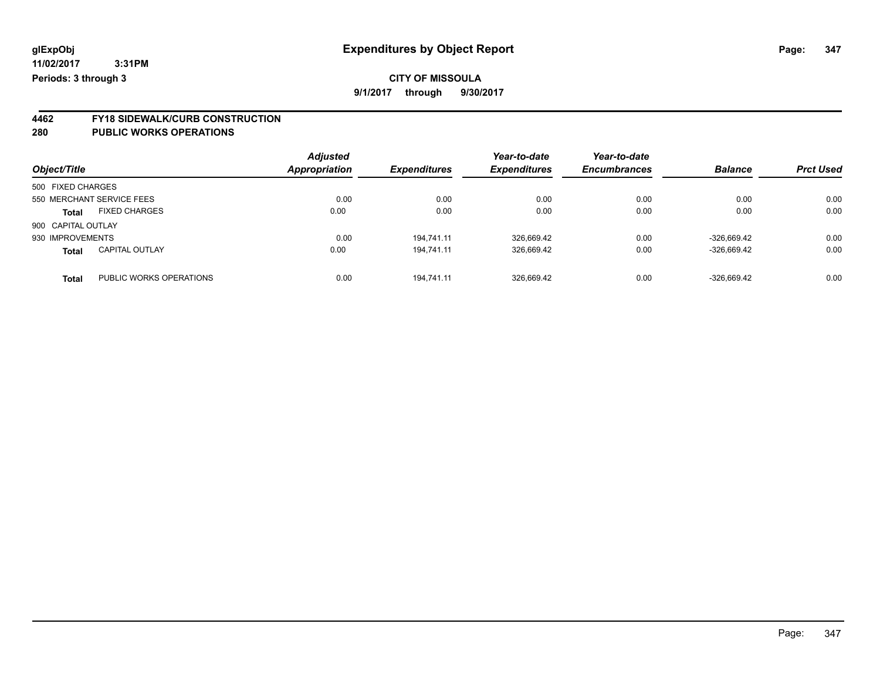**4462 FY18 SIDEWALK/CURB CONSTRUCTION 280 PUBLIC WORKS OPERATIONS**

| Object/Title       |                           | <b>Adjusted</b><br><b>Appropriation</b> | <b>Expenditures</b> | Year-to-date<br><b>Expenditures</b> | Year-to-date<br><b>Encumbrances</b> | <b>Balance</b> | <b>Prct Used</b> |
|--------------------|---------------------------|-----------------------------------------|---------------------|-------------------------------------|-------------------------------------|----------------|------------------|
| 500 FIXED CHARGES  |                           |                                         |                     |                                     |                                     |                |                  |
|                    | 550 MERCHANT SERVICE FEES | 0.00                                    | 0.00                | 0.00                                | 0.00                                | 0.00           | 0.00             |
| <b>Total</b>       | <b>FIXED CHARGES</b>      | 0.00                                    | 0.00                | 0.00                                | 0.00                                | 0.00           | 0.00             |
| 900 CAPITAL OUTLAY |                           |                                         |                     |                                     |                                     |                |                  |
| 930 IMPROVEMENTS   |                           | 0.00                                    | 194.741.11          | 326.669.42                          | 0.00                                | $-326.669.42$  | 0.00             |
| <b>Total</b>       | <b>CAPITAL OUTLAY</b>     | 0.00                                    | 194.741.11          | 326.669.42                          | 0.00                                | $-326.669.42$  | 0.00             |
| <b>Total</b>       | PUBLIC WORKS OPERATIONS   | 0.00                                    | 194.741.11          | 326.669.42                          | 0.00                                | $-326.669.42$  | 0.00             |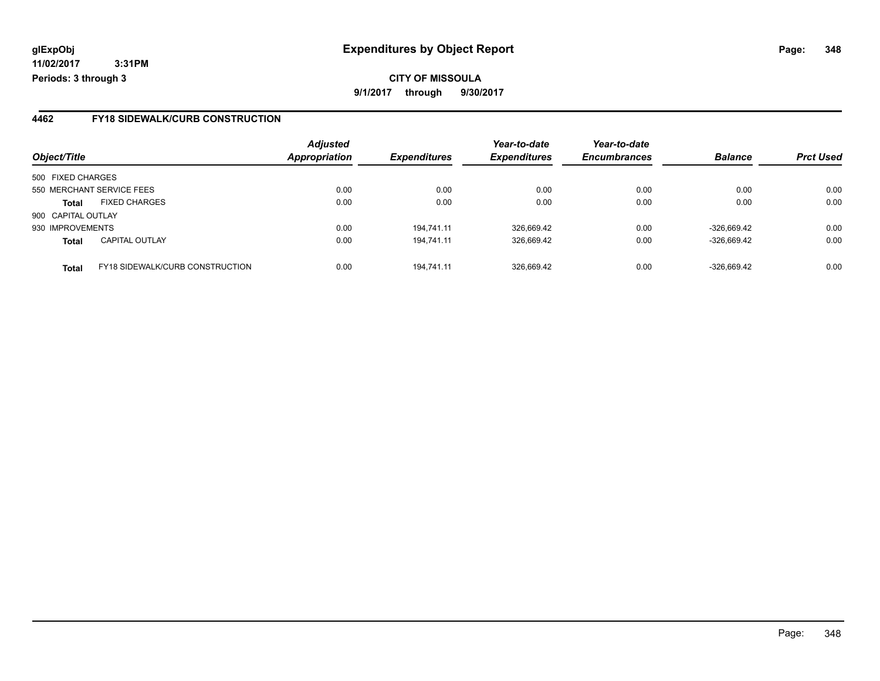**11/02/2017 3:31PM Periods: 3 through 3**

#### **4462 FY18 SIDEWALK/CURB CONSTRUCTION**

| Object/Title       |                                        | <b>Adjusted</b><br><b>Appropriation</b> | <b>Expenditures</b> | Year-to-date<br><b>Expenditures</b> | Year-to-date<br><b>Encumbrances</b> | <b>Balance</b> | <b>Prct Used</b> |
|--------------------|----------------------------------------|-----------------------------------------|---------------------|-------------------------------------|-------------------------------------|----------------|------------------|
|                    |                                        |                                         |                     |                                     |                                     |                |                  |
| 500 FIXED CHARGES  |                                        |                                         |                     |                                     |                                     |                |                  |
|                    | 550 MERCHANT SERVICE FEES              | 0.00                                    | 0.00                | 0.00                                | 0.00                                | 0.00           | 0.00             |
| <b>Total</b>       | <b>FIXED CHARGES</b>                   | 0.00                                    | 0.00                | 0.00                                | 0.00                                | 0.00           | 0.00             |
| 900 CAPITAL OUTLAY |                                        |                                         |                     |                                     |                                     |                |                  |
| 930 IMPROVEMENTS   |                                        | 0.00                                    | 194.741.11          | 326,669.42                          | 0.00                                | $-326.669.42$  | 0.00             |
| <b>Total</b>       | <b>CAPITAL OUTLAY</b>                  | 0.00                                    | 194,741.11          | 326,669.42                          | 0.00                                | $-326,669.42$  | 0.00             |
| <b>Total</b>       | <b>FY18 SIDEWALK/CURB CONSTRUCTION</b> | 0.00                                    | 194.741.11          | 326.669.42                          | 0.00                                | $-326.669.42$  | 0.00             |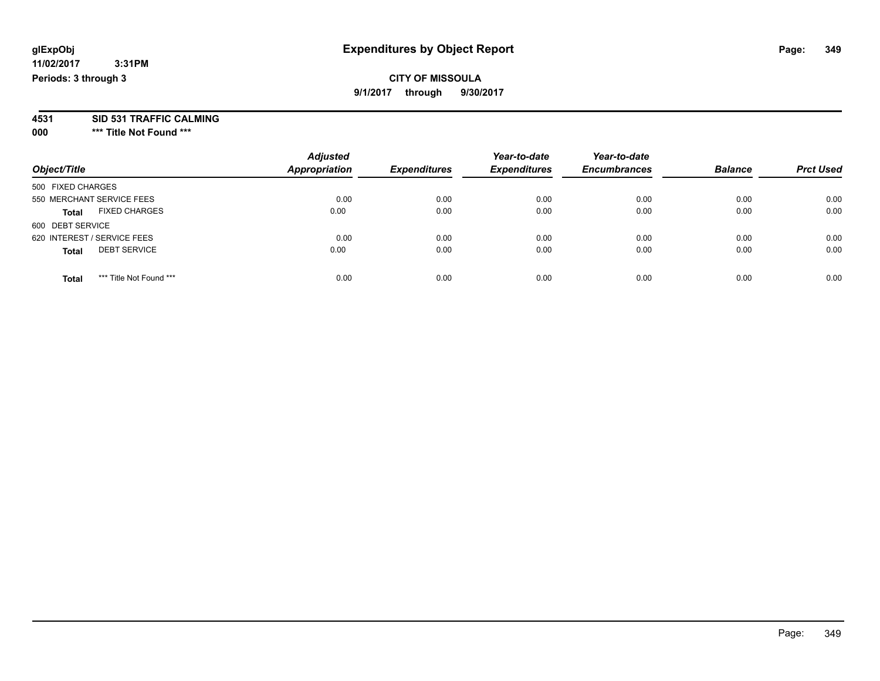### **CITY OF MISSOULA 9/1/2017 through 9/30/2017**

**4531 SID 531 TRAFFIC CALMING**

**000 \*\*\* Title Not Found \*\*\***

| Object/Title                            | <b>Adjusted</b><br><b>Appropriation</b> | <b>Expenditures</b> | Year-to-date<br><b>Expenditures</b> | Year-to-date<br><b>Encumbrances</b> | <b>Balance</b> | <b>Prct Used</b> |
|-----------------------------------------|-----------------------------------------|---------------------|-------------------------------------|-------------------------------------|----------------|------------------|
| 500 FIXED CHARGES                       |                                         |                     |                                     |                                     |                |                  |
| 550 MERCHANT SERVICE FEES               | 0.00                                    | 0.00                | 0.00                                | 0.00                                | 0.00           | 0.00             |
| <b>FIXED CHARGES</b><br><b>Total</b>    | 0.00                                    | 0.00                | 0.00                                | 0.00                                | 0.00           | 0.00             |
| 600 DEBT SERVICE                        |                                         |                     |                                     |                                     |                |                  |
| 620 INTEREST / SERVICE FEES             | 0.00                                    | 0.00                | 0.00                                | 0.00                                | 0.00           | 0.00             |
| <b>DEBT SERVICE</b><br><b>Total</b>     | 0.00                                    | 0.00                | 0.00                                | 0.00                                | 0.00           | 0.00             |
| *** Title Not Found ***<br><b>Total</b> | 0.00                                    | 0.00                | 0.00                                | 0.00                                | 0.00           | 0.00             |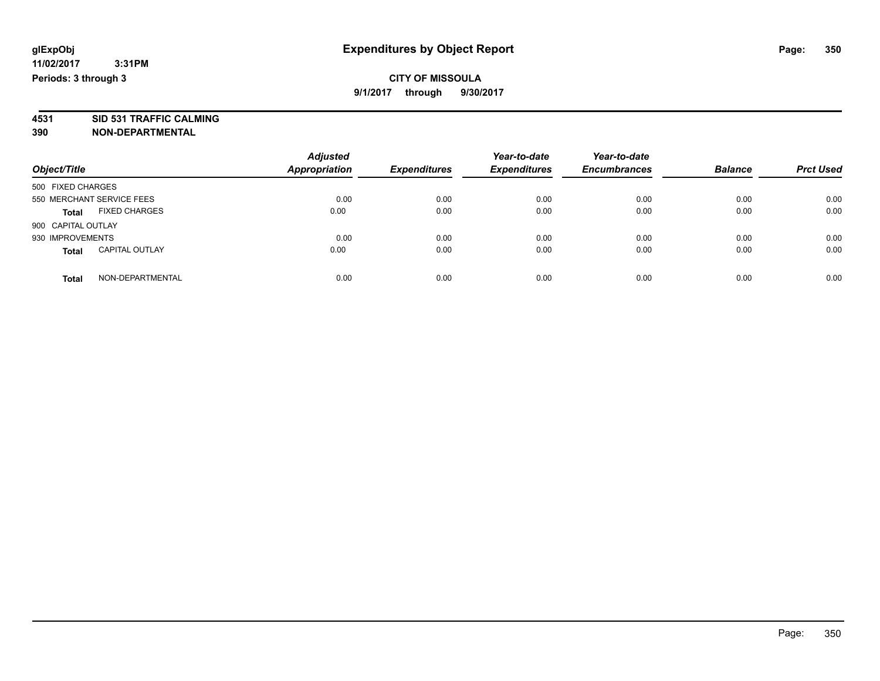**4531 SID 531 TRAFFIC CALMING 390 NON-DEPARTMENTAL**

| Object/Title                          | <b>Adjusted</b><br><b>Appropriation</b> | <b>Expenditures</b> | Year-to-date<br><b>Expenditures</b> | Year-to-date<br><b>Encumbrances</b> | <b>Balance</b> | <b>Prct Used</b> |
|---------------------------------------|-----------------------------------------|---------------------|-------------------------------------|-------------------------------------|----------------|------------------|
| 500 FIXED CHARGES                     |                                         |                     |                                     |                                     |                |                  |
| 550 MERCHANT SERVICE FEES             | 0.00                                    | 0.00                | 0.00                                | 0.00                                | 0.00           | 0.00             |
| <b>FIXED CHARGES</b><br><b>Total</b>  | 0.00                                    | 0.00                | 0.00                                | 0.00                                | 0.00           | 0.00             |
| 900 CAPITAL OUTLAY                    |                                         |                     |                                     |                                     |                |                  |
| 930 IMPROVEMENTS                      | 0.00                                    | 0.00                | 0.00                                | 0.00                                | 0.00           | 0.00             |
| <b>CAPITAL OUTLAY</b><br><b>Total</b> | 0.00                                    | 0.00                | 0.00                                | 0.00                                | 0.00           | 0.00             |
| NON-DEPARTMENTAL<br>Total             | 0.00                                    | 0.00                | 0.00                                | 0.00                                | 0.00           | 0.00             |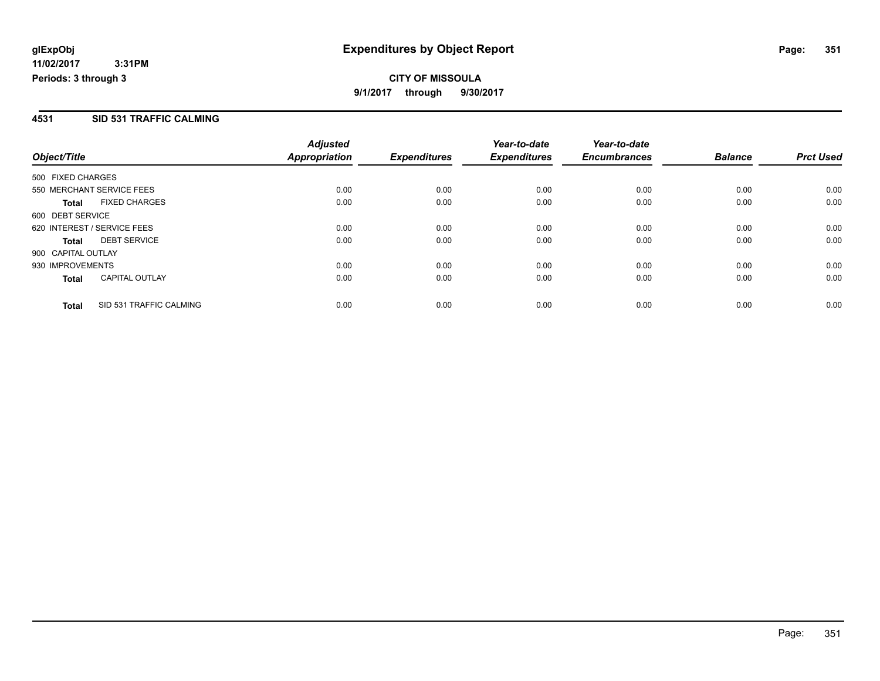#### **4531 SID 531 TRAFFIC CALMING**

|                             |                         | <b>Adjusted</b>      |                     | Year-to-date        | Year-to-date        |                |                  |
|-----------------------------|-------------------------|----------------------|---------------------|---------------------|---------------------|----------------|------------------|
| Object/Title                |                         | <b>Appropriation</b> | <b>Expenditures</b> | <b>Expenditures</b> | <b>Encumbrances</b> | <b>Balance</b> | <b>Prct Used</b> |
| 500 FIXED CHARGES           |                         |                      |                     |                     |                     |                |                  |
| 550 MERCHANT SERVICE FEES   |                         | 0.00                 | 0.00                | 0.00                | 0.00                | 0.00           | 0.00             |
| <b>Total</b>                | <b>FIXED CHARGES</b>    | 0.00                 | 0.00                | 0.00                | 0.00                | 0.00           | 0.00             |
| 600 DEBT SERVICE            |                         |                      |                     |                     |                     |                |                  |
| 620 INTEREST / SERVICE FEES |                         | 0.00                 | 0.00                | 0.00                | 0.00                | 0.00           | 0.00             |
| <b>Total</b>                | <b>DEBT SERVICE</b>     | 0.00                 | 0.00                | 0.00                | 0.00                | 0.00           | 0.00             |
| 900 CAPITAL OUTLAY          |                         |                      |                     |                     |                     |                |                  |
| 930 IMPROVEMENTS            |                         | 0.00                 | 0.00                | 0.00                | 0.00                | 0.00           | 0.00             |
| <b>Total</b>                | <b>CAPITAL OUTLAY</b>   | 0.00                 | 0.00                | 0.00                | 0.00                | 0.00           | 0.00             |
| <b>Total</b>                | SID 531 TRAFFIC CALMING | 0.00                 | 0.00                | 0.00                | 0.00                | 0.00           | 0.00             |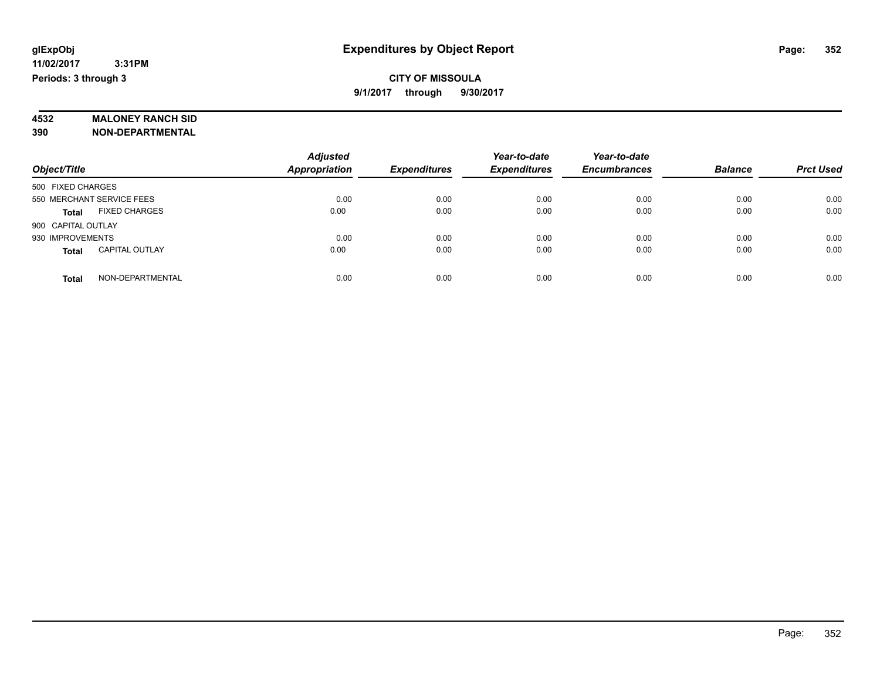# **4532 MALONEY RANCH SID**

**390 NON-DEPARTMENTAL**

|                                       | <b>Adjusted</b>      |                     | Year-to-date        | Year-to-date        |                |                  |
|---------------------------------------|----------------------|---------------------|---------------------|---------------------|----------------|------------------|
| Object/Title                          | <b>Appropriation</b> | <b>Expenditures</b> | <b>Expenditures</b> | <b>Encumbrances</b> | <b>Balance</b> | <b>Prct Used</b> |
| 500 FIXED CHARGES                     |                      |                     |                     |                     |                |                  |
| 550 MERCHANT SERVICE FEES             | 0.00                 | 0.00                | 0.00                | 0.00                | 0.00           | 0.00             |
| <b>FIXED CHARGES</b><br><b>Total</b>  | 0.00                 | 0.00                | 0.00                | 0.00                | 0.00           | 0.00             |
| 900 CAPITAL OUTLAY                    |                      |                     |                     |                     |                |                  |
| 930 IMPROVEMENTS                      | 0.00                 | 0.00                | 0.00                | 0.00                | 0.00           | 0.00             |
| <b>CAPITAL OUTLAY</b><br><b>Total</b> | 0.00                 | 0.00                | 0.00                | 0.00                | 0.00           | 0.00             |
| NON-DEPARTMENTAL<br><b>Total</b>      | 0.00                 | 0.00                | 0.00                | 0.00                | 0.00           | 0.00             |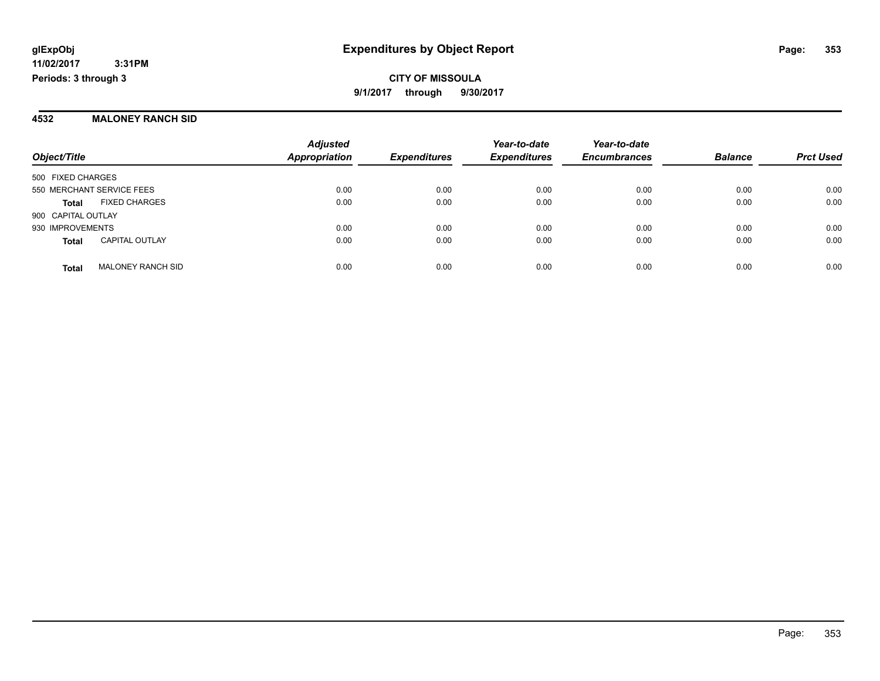#### **4532 MALONEY RANCH SID**

|                           |                          | <b>Adjusted</b>      |                     | Year-to-date        | Year-to-date        |                |                  |
|---------------------------|--------------------------|----------------------|---------------------|---------------------|---------------------|----------------|------------------|
| Object/Title              |                          | <b>Appropriation</b> | <b>Expenditures</b> | <b>Expenditures</b> | <b>Encumbrances</b> | <b>Balance</b> | <b>Prct Used</b> |
| 500 FIXED CHARGES         |                          |                      |                     |                     |                     |                |                  |
| 550 MERCHANT SERVICE FEES |                          | 0.00                 | 0.00                | 0.00                | 0.00                | 0.00           | 0.00             |
| <b>Total</b>              | <b>FIXED CHARGES</b>     | 0.00                 | 0.00                | 0.00                | 0.00                | 0.00           | 0.00             |
| 900 CAPITAL OUTLAY        |                          |                      |                     |                     |                     |                |                  |
| 930 IMPROVEMENTS          |                          | 0.00                 | 0.00                | 0.00                | 0.00                | 0.00           | 0.00             |
| <b>Total</b>              | <b>CAPITAL OUTLAY</b>    | 0.00                 | 0.00                | 0.00                | 0.00                | 0.00           | 0.00             |
| <b>Total</b>              | <b>MALONEY RANCH SID</b> | 0.00                 | 0.00                | 0.00                | 0.00                | 0.00           | 0.00             |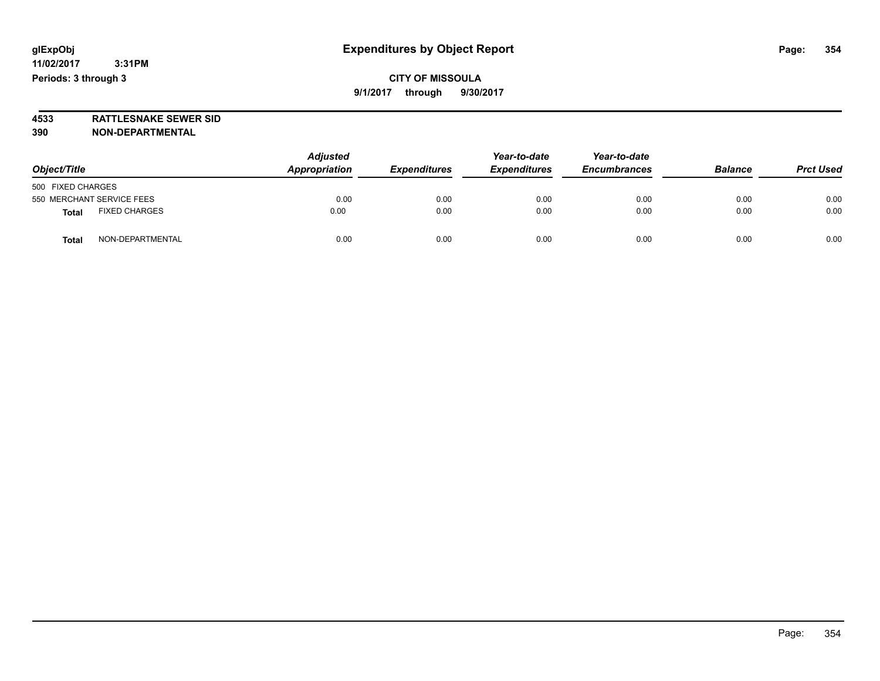**4533 RATTLESNAKE SEWER SID 390 NON-DEPARTMENTAL**

| Object/Title                         | <b>Adjusted</b><br>Appropriation | <b>Expenditures</b> | Year-to-date<br><b>Expenditures</b> | Year-to-date<br><b>Encumbrances</b> | <b>Balance</b> | <b>Prct Used</b> |
|--------------------------------------|----------------------------------|---------------------|-------------------------------------|-------------------------------------|----------------|------------------|
| 500 FIXED CHARGES                    |                                  |                     |                                     |                                     |                |                  |
| 550 MERCHANT SERVICE FEES            | 0.00                             | 0.00                | 0.00                                | 0.00                                | 0.00           | 0.00             |
| <b>FIXED CHARGES</b><br><b>Total</b> | 0.00                             | 0.00                | 0.00                                | 0.00                                | 0.00           | 0.00             |
| NON-DEPARTMENTAL<br><b>Total</b>     | 0.00                             | 0.00                | 0.00                                | 0.00                                | 0.00           | 0.00             |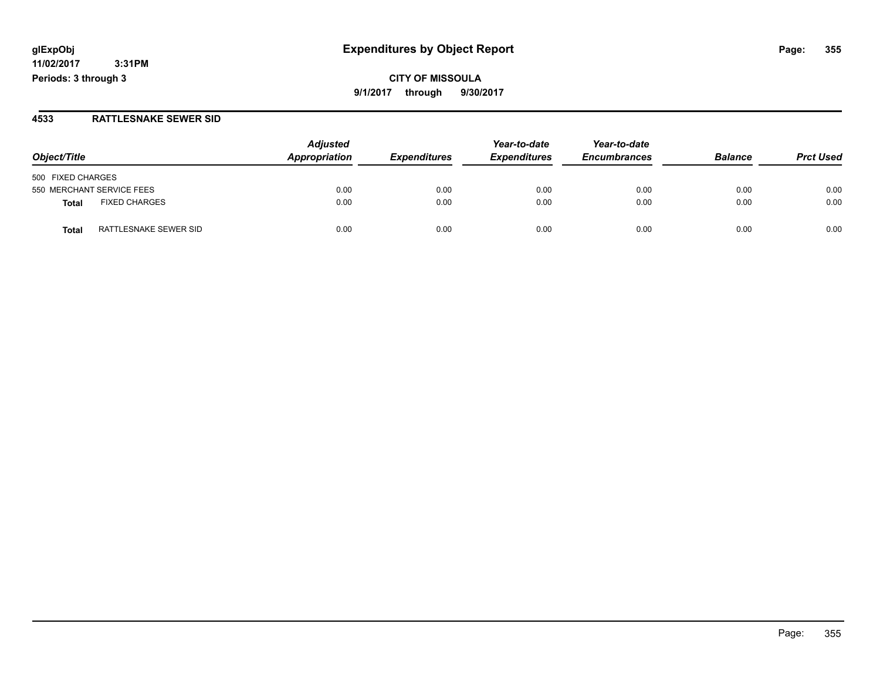**11/02/2017 3:31PM Periods: 3 through 3**

#### **4533 RATTLESNAKE SEWER SID**

| Object/Title                          | <b>Adjusted</b> | <b>Expenditures</b> | Year-to-date<br><b>Expenditures</b> | Year-to-date<br><b>Encumbrances</b> | <b>Balance</b> | <b>Prct Used</b> |
|---------------------------------------|-----------------|---------------------|-------------------------------------|-------------------------------------|----------------|------------------|
|                                       | Appropriation   |                     |                                     |                                     |                |                  |
| 500 FIXED CHARGES                     |                 |                     |                                     |                                     |                |                  |
| 550 MERCHANT SERVICE FEES             | 0.00            | 0.00                | 0.00                                | 0.00                                | 0.00           | 0.00             |
| <b>FIXED CHARGES</b><br>Total         | 0.00            | 0.00                | 0.00                                | 0.00                                | 0.00           | 0.00             |
| RATTLESNAKE SEWER SID<br><b>Total</b> | 0.00            | 0.00                | 0.00                                | 0.00                                | 0.00           | 0.00             |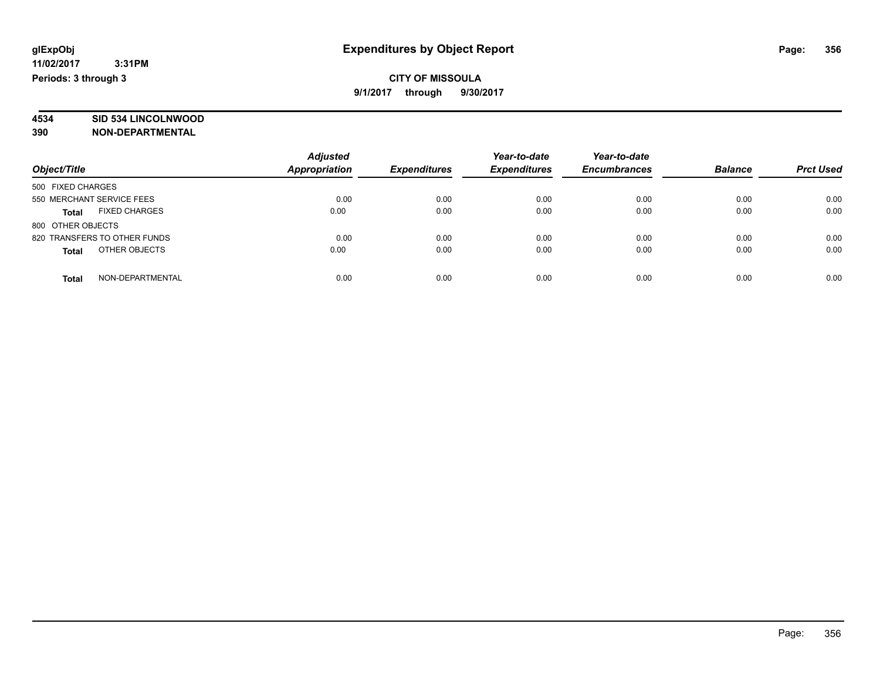# **4534 SID 534 LINCOLNWOOD**

**390 NON-DEPARTMENTAL**

| Object/Title                  | <b>Adjusted</b><br>Appropriation | <b>Expenditures</b> | Year-to-date<br><b>Expenditures</b> | Year-to-date<br><b>Encumbrances</b> | <b>Balance</b> | <b>Prct Used</b> |
|-------------------------------|----------------------------------|---------------------|-------------------------------------|-------------------------------------|----------------|------------------|
| 500 FIXED CHARGES             |                                  |                     |                                     |                                     |                |                  |
| 550 MERCHANT SERVICE FEES     | 0.00                             | 0.00                | 0.00                                | 0.00                                | 0.00           | 0.00             |
| <b>FIXED CHARGES</b><br>Total | 0.00                             | 0.00                | 0.00                                | 0.00                                | 0.00           | 0.00             |
| 800 OTHER OBJECTS             |                                  |                     |                                     |                                     |                |                  |
| 820 TRANSFERS TO OTHER FUNDS  | 0.00                             | 0.00                | 0.00                                | 0.00                                | 0.00           | 0.00             |
| OTHER OBJECTS<br><b>Total</b> | 0.00                             | 0.00                | 0.00                                | 0.00                                | 0.00           | 0.00             |
| NON-DEPARTMENTAL<br>Total     | 0.00                             | 0.00                | 0.00                                | 0.00                                | 0.00           | 0.00             |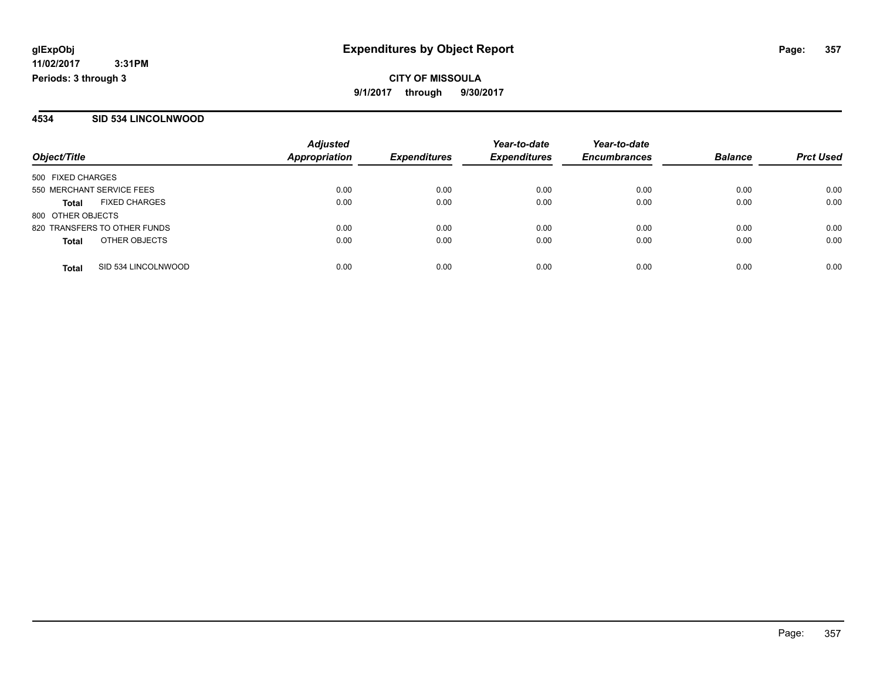#### **4534 SID 534 LINCOLNWOOD**

|                                      | <b>Adjusted</b>      |                     | Year-to-date        | Year-to-date        |                |                  |
|--------------------------------------|----------------------|---------------------|---------------------|---------------------|----------------|------------------|
| Object/Title                         | <b>Appropriation</b> | <b>Expenditures</b> | <b>Expenditures</b> | <b>Encumbrances</b> | <b>Balance</b> | <b>Prct Used</b> |
| 500 FIXED CHARGES                    |                      |                     |                     |                     |                |                  |
| 550 MERCHANT SERVICE FEES            | 0.00                 | 0.00                | 0.00                | 0.00                | 0.00           | 0.00             |
| <b>FIXED CHARGES</b><br><b>Total</b> | 0.00                 | 0.00                | 0.00                | 0.00                | 0.00           | 0.00             |
| 800 OTHER OBJECTS                    |                      |                     |                     |                     |                |                  |
| 820 TRANSFERS TO OTHER FUNDS         | 0.00                 | 0.00                | 0.00                | 0.00                | 0.00           | 0.00             |
| OTHER OBJECTS<br><b>Total</b>        | 0.00                 | 0.00                | 0.00                | 0.00                | 0.00           | 0.00             |
| SID 534 LINCOLNWOOD<br><b>Total</b>  | 0.00                 | 0.00                | 0.00                | 0.00                | 0.00           | 0.00             |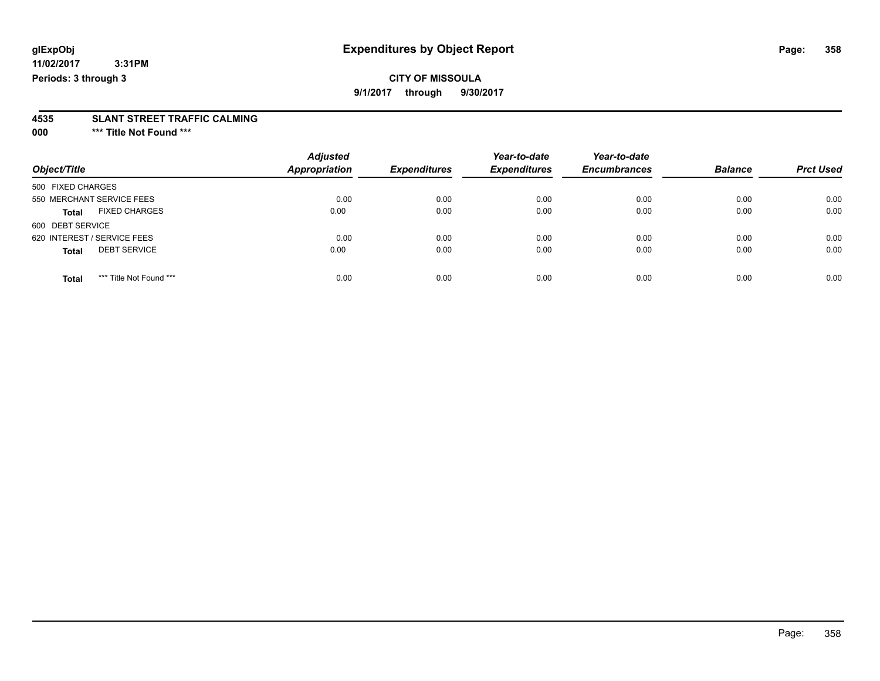# **CITY OF MISSOULA**

**9/1/2017 through 9/30/2017**

# **4535 SLANT STREET TRAFFIC CALMING**

**000 \*\*\* Title Not Found \*\*\***

| Object/Title                            | <b>Adjusted</b><br><b>Appropriation</b> | <b>Expenditures</b> | Year-to-date<br><b>Expenditures</b> | Year-to-date<br><b>Encumbrances</b> | <b>Balance</b> | <b>Prct Used</b> |
|-----------------------------------------|-----------------------------------------|---------------------|-------------------------------------|-------------------------------------|----------------|------------------|
| 500 FIXED CHARGES                       |                                         |                     |                                     |                                     |                |                  |
| 550 MERCHANT SERVICE FEES               | 0.00                                    | 0.00                | 0.00                                | 0.00                                | 0.00           | 0.00             |
| <b>FIXED CHARGES</b><br><b>Total</b>    | 0.00                                    | 0.00                | 0.00                                | 0.00                                | 0.00           | 0.00             |
| 600 DEBT SERVICE                        |                                         |                     |                                     |                                     |                |                  |
| 620 INTEREST / SERVICE FEES             | 0.00                                    | 0.00                | 0.00                                | 0.00                                | 0.00           | 0.00             |
| <b>DEBT SERVICE</b><br><b>Total</b>     | 0.00                                    | 0.00                | 0.00                                | 0.00                                | 0.00           | 0.00             |
|                                         |                                         |                     |                                     |                                     |                |                  |
| *** Title Not Found ***<br><b>Total</b> | 0.00                                    | 0.00                | 0.00                                | 0.00                                | 0.00           | 0.00             |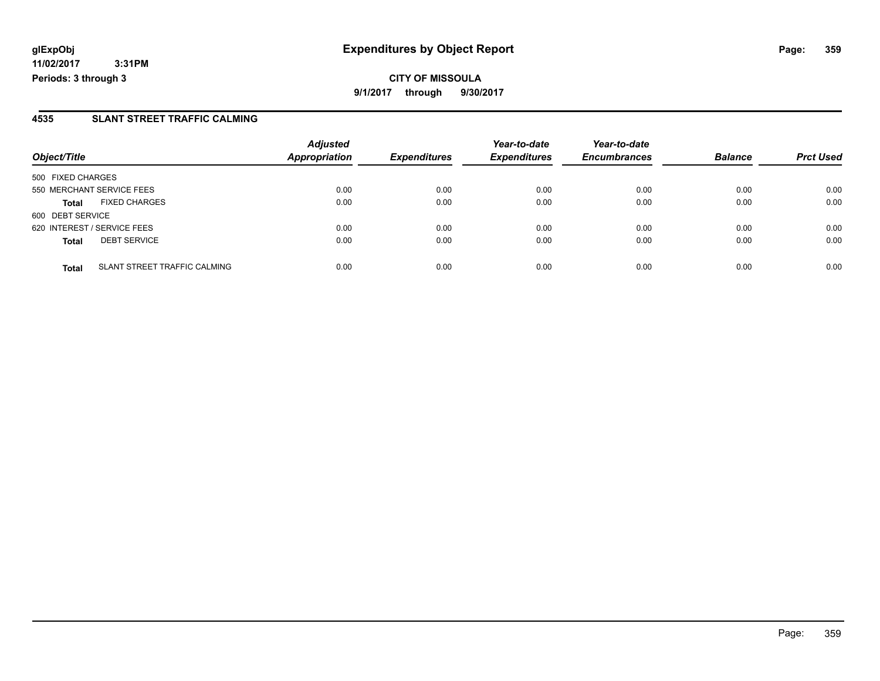#### **4535 SLANT STREET TRAFFIC CALMING**

|                                                     | <b>Adjusted</b>      |                     | Year-to-date        | Year-to-date        |                |                  |
|-----------------------------------------------------|----------------------|---------------------|---------------------|---------------------|----------------|------------------|
| Object/Title                                        | <b>Appropriation</b> | <b>Expenditures</b> | <b>Expenditures</b> | <b>Encumbrances</b> | <b>Balance</b> | <b>Prct Used</b> |
| 500 FIXED CHARGES                                   |                      |                     |                     |                     |                |                  |
| 550 MERCHANT SERVICE FEES                           | 0.00                 | 0.00                | 0.00                | 0.00                | 0.00           | 0.00             |
| <b>FIXED CHARGES</b><br><b>Total</b>                | 0.00                 | 0.00                | 0.00                | 0.00                | 0.00           | 0.00             |
| 600 DEBT SERVICE                                    |                      |                     |                     |                     |                |                  |
| 620 INTEREST / SERVICE FEES                         | 0.00                 | 0.00                | 0.00                | 0.00                | 0.00           | 0.00             |
| <b>DEBT SERVICE</b><br><b>Total</b>                 | 0.00                 | 0.00                | 0.00                | 0.00                | 0.00           | 0.00             |
| <b>SLANT STREET TRAFFIC CALMING</b><br><b>Total</b> | 0.00                 | 0.00                | 0.00                | 0.00                | 0.00           | 0.00             |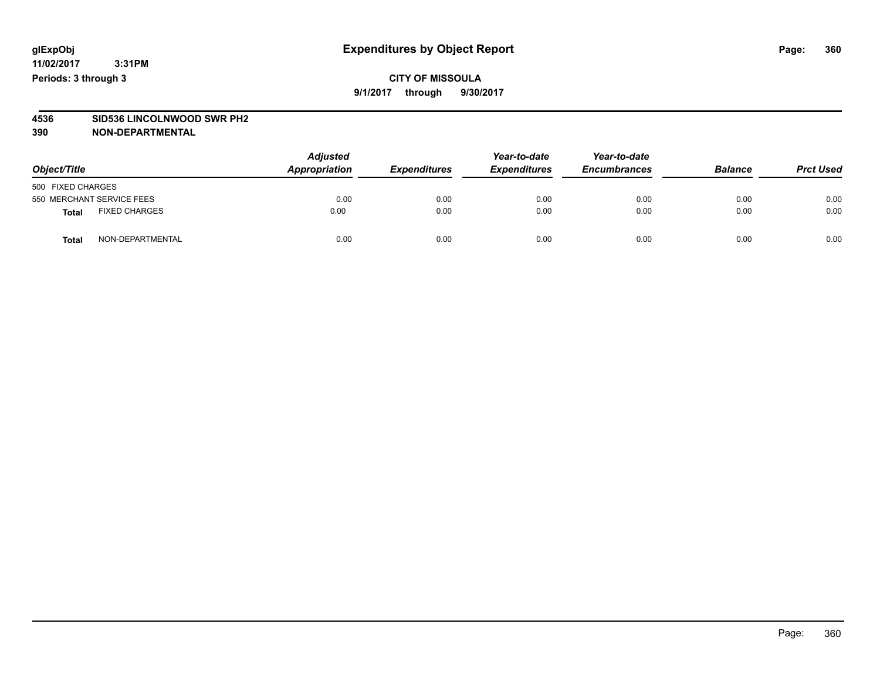**CITY OF MISSOULA 9/1/2017 through 9/30/2017**

# **4536 SID536 LINCOLNWOOD SWR PH2**

**390 NON-DEPARTMENTAL**

| Object/Title              |                      | <b>Adjusted</b><br>Appropriation | <b>Expenditures</b> | Year-to-date<br><b>Expenditures</b> | Year-to-date<br><b>Encumbrances</b> | <b>Balance</b> | <b>Prct Used</b> |
|---------------------------|----------------------|----------------------------------|---------------------|-------------------------------------|-------------------------------------|----------------|------------------|
| 500 FIXED CHARGES         |                      |                                  |                     |                                     |                                     |                |                  |
| 550 MERCHANT SERVICE FEES |                      | 0.00                             | 0.00                | 0.00                                | 0.00                                | 0.00           | 0.00             |
| <b>Total</b>              | <b>FIXED CHARGES</b> | 0.00                             | 0.00                | 0.00                                | 0.00                                | 0.00           | 0.00             |
| <b>Total</b>              | NON-DEPARTMENTAL     | 0.00                             | 0.00                | 0.00                                | 0.00                                | 0.00           | 0.00             |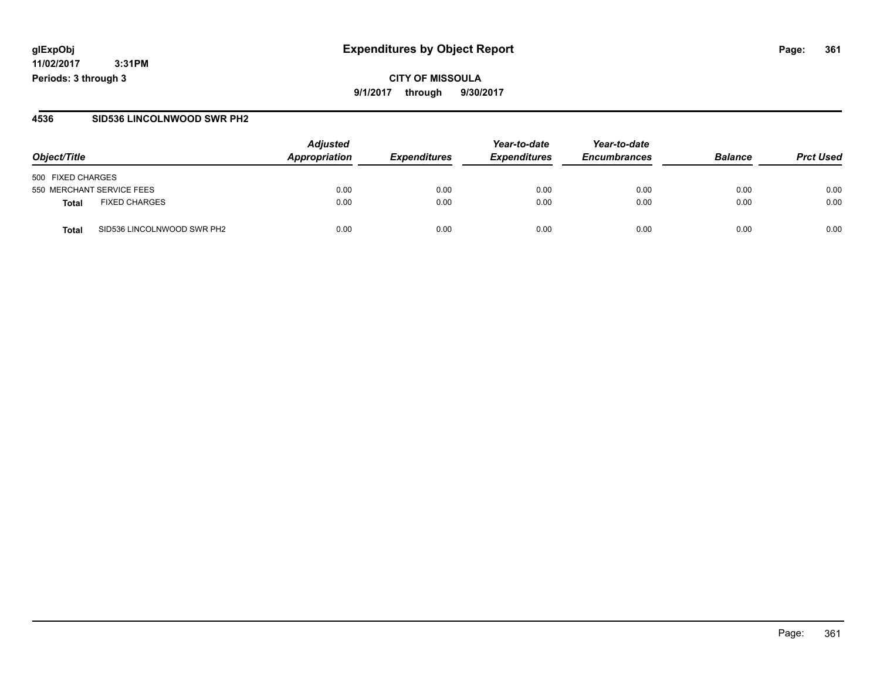## **glExpObj Expenditures by Object Report Page: 361**

**11/02/2017 3:31PM Periods: 3 through 3**

### **4536 SID536 LINCOLNWOOD SWR PH2**

| Object/Title                               | <b>Adjusted</b><br>Appropriation | <b>Expenditures</b> | Year-to-date<br><b>Expenditures</b> | Year-to-date<br><b>Encumbrances</b> | <b>Balance</b> | <b>Prct Used</b> |
|--------------------------------------------|----------------------------------|---------------------|-------------------------------------|-------------------------------------|----------------|------------------|
| 500 FIXED CHARGES                          |                                  |                     |                                     |                                     |                |                  |
| 550 MERCHANT SERVICE FEES                  | 0.00                             | 0.00                | 0.00                                | 0.00                                | 0.00           | 0.00             |
| <b>FIXED CHARGES</b><br>Total              | 0.00                             | 0.00                | 0.00                                | 0.00                                | 0.00           | 0.00             |
| SID536 LINCOLNWOOD SWR PH2<br><b>Total</b> | 0.00                             | 0.00                | 0.00                                | 0.00                                | 0.00           | 0.00             |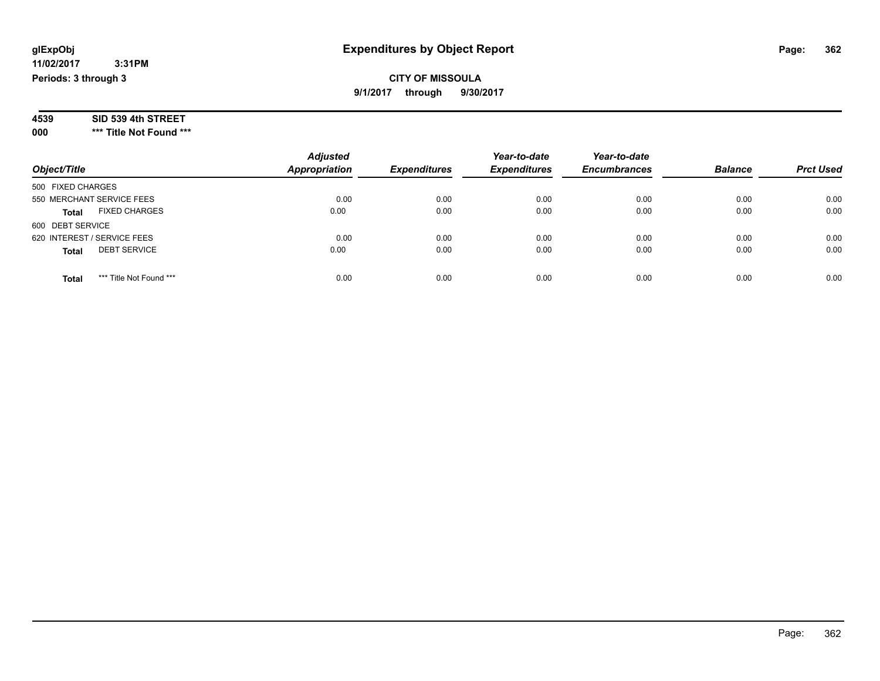## **11/02/2017 3:31PM**

**Periods: 3 through 3**

**CITY OF MISSOULA 9/1/2017 through 9/30/2017**

| 4539 | SID 539 4th STREET |  |
|------|--------------------|--|
|------|--------------------|--|

**000 \*\*\* Title Not Found \*\*\***

| Object/Title                            | <b>Adjusted</b><br><b>Appropriation</b> | <b>Expenditures</b> | Year-to-date<br><b>Expenditures</b> | Year-to-date<br><b>Encumbrances</b> | <b>Balance</b> | <b>Prct Used</b> |
|-----------------------------------------|-----------------------------------------|---------------------|-------------------------------------|-------------------------------------|----------------|------------------|
| 500 FIXED CHARGES                       |                                         |                     |                                     |                                     |                |                  |
| 550 MERCHANT SERVICE FEES               | 0.00                                    | 0.00                | 0.00                                | 0.00                                | 0.00           | 0.00             |
| <b>FIXED CHARGES</b><br><b>Total</b>    | 0.00                                    | 0.00                | 0.00                                | 0.00                                | 0.00           | 0.00             |
| 600 DEBT SERVICE                        |                                         |                     |                                     |                                     |                |                  |
| 620 INTEREST / SERVICE FEES             | 0.00                                    | 0.00                | 0.00                                | 0.00                                | 0.00           | 0.00             |
| <b>DEBT SERVICE</b><br><b>Total</b>     | 0.00                                    | 0.00                | 0.00                                | 0.00                                | 0.00           | 0.00             |
| *** Title Not Found ***<br><b>Total</b> | 0.00                                    | 0.00                | 0.00                                | 0.00                                | 0.00           | 0.00             |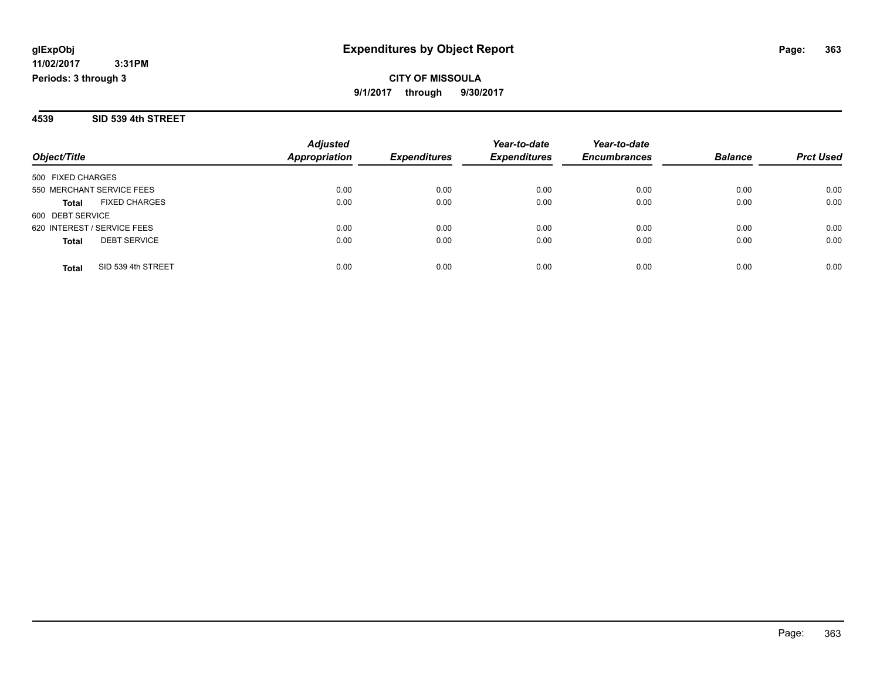**3:31PM Periods: 3 through 3**

## **CITY OF MISSOULA 9/1/2017 through 9/30/2017**

### **4539 SID 539 4th STREET**

|                                      | <b>Adjusted</b><br><b>Appropriation</b><br><b>Expenditures</b> | Year-to-date | Year-to-date        |                     |                |                  |
|--------------------------------------|----------------------------------------------------------------|--------------|---------------------|---------------------|----------------|------------------|
| Object/Title                         |                                                                |              | <b>Expenditures</b> | <b>Encumbrances</b> | <b>Balance</b> | <b>Prct Used</b> |
| 500 FIXED CHARGES                    |                                                                |              |                     |                     |                |                  |
| 550 MERCHANT SERVICE FEES            | 0.00                                                           | 0.00         | 0.00                | 0.00                | 0.00           | 0.00             |
| <b>FIXED CHARGES</b><br><b>Total</b> | 0.00                                                           | 0.00         | 0.00                | 0.00                | 0.00           | 0.00             |
| 600 DEBT SERVICE                     |                                                                |              |                     |                     |                |                  |
| 620 INTEREST / SERVICE FEES          | 0.00                                                           | 0.00         | 0.00                | 0.00                | 0.00           | 0.00             |
| <b>DEBT SERVICE</b><br><b>Total</b>  | 0.00                                                           | 0.00         | 0.00                | 0.00                | 0.00           | 0.00             |
| SID 539 4th STREET<br>Total          | 0.00                                                           | 0.00         | 0.00                | 0.00                | 0.00           | 0.00             |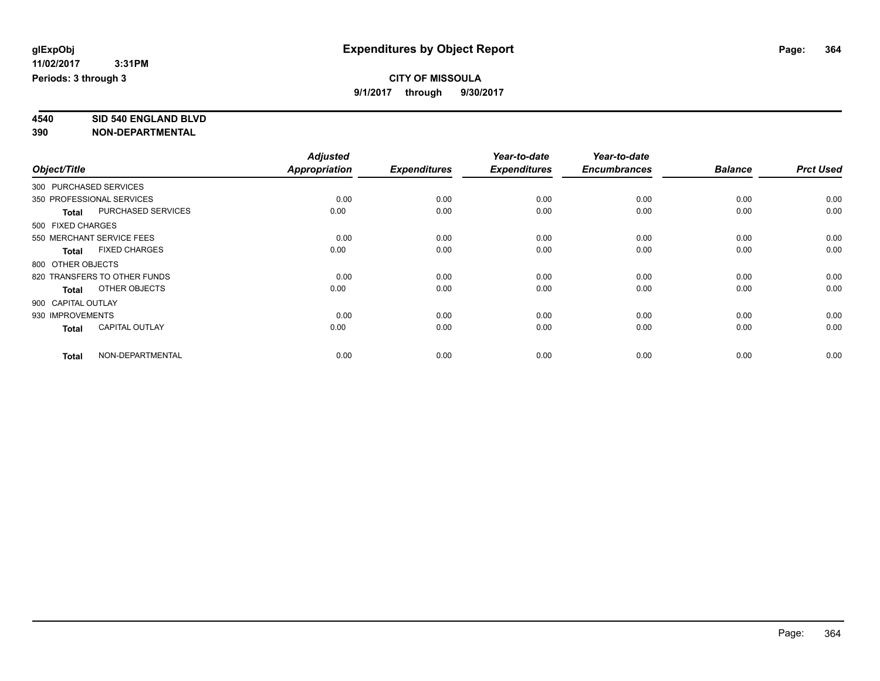**4540 SID 540 ENGLAND BLVD**

|                    |                              | <b>Adjusted</b>      |                     | Year-to-date        | Year-to-date        |                |                  |
|--------------------|------------------------------|----------------------|---------------------|---------------------|---------------------|----------------|------------------|
| Object/Title       |                              | <b>Appropriation</b> | <b>Expenditures</b> | <b>Expenditures</b> | <b>Encumbrances</b> | <b>Balance</b> | <b>Prct Used</b> |
|                    | 300 PURCHASED SERVICES       |                      |                     |                     |                     |                |                  |
|                    | 350 PROFESSIONAL SERVICES    | 0.00                 | 0.00                | 0.00                | 0.00                | 0.00           | 0.00             |
| <b>Total</b>       | PURCHASED SERVICES           | 0.00                 | 0.00                | 0.00                | 0.00                | 0.00           | 0.00             |
| 500 FIXED CHARGES  |                              |                      |                     |                     |                     |                |                  |
|                    | 550 MERCHANT SERVICE FEES    | 0.00                 | 0.00                | 0.00                | 0.00                | 0.00           | 0.00             |
| <b>Total</b>       | <b>FIXED CHARGES</b>         | 0.00                 | 0.00                | 0.00                | 0.00                | 0.00           | 0.00             |
| 800 OTHER OBJECTS  |                              |                      |                     |                     |                     |                |                  |
|                    | 820 TRANSFERS TO OTHER FUNDS | 0.00                 | 0.00                | 0.00                | 0.00                | 0.00           | 0.00             |
| <b>Total</b>       | OTHER OBJECTS                | 0.00                 | 0.00                | 0.00                | 0.00                | 0.00           | 0.00             |
| 900 CAPITAL OUTLAY |                              |                      |                     |                     |                     |                |                  |
| 930 IMPROVEMENTS   |                              | 0.00                 | 0.00                | 0.00                | 0.00                | 0.00           | 0.00             |
| <b>Total</b>       | <b>CAPITAL OUTLAY</b>        | 0.00                 | 0.00                | 0.00                | 0.00                | 0.00           | 0.00             |
| <b>Total</b>       | NON-DEPARTMENTAL             | 0.00                 | 0.00                | 0.00                | 0.00                | 0.00           | 0.00             |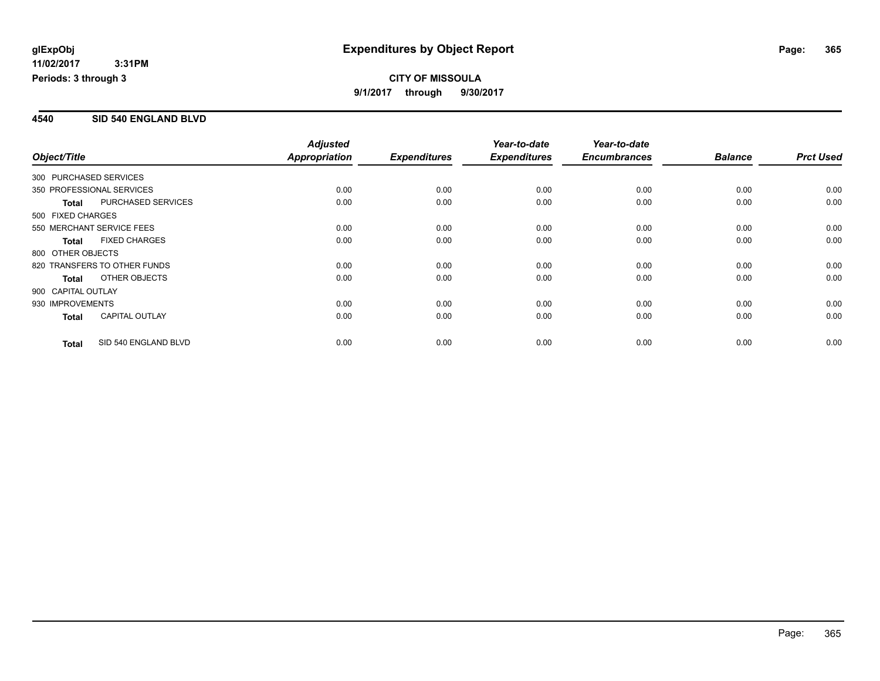### **4540 SID 540 ENGLAND BLVD**

|                                           | <b>Adjusted</b>      |                     | Year-to-date        | Year-to-date        |                |                  |
|-------------------------------------------|----------------------|---------------------|---------------------|---------------------|----------------|------------------|
| Object/Title                              | <b>Appropriation</b> | <b>Expenditures</b> | <b>Expenditures</b> | <b>Encumbrances</b> | <b>Balance</b> | <b>Prct Used</b> |
| 300 PURCHASED SERVICES                    |                      |                     |                     |                     |                |                  |
| 350 PROFESSIONAL SERVICES                 | 0.00                 | 0.00                | 0.00                | 0.00                | 0.00           | 0.00             |
| <b>PURCHASED SERVICES</b><br><b>Total</b> | 0.00                 | 0.00                | 0.00                | 0.00                | 0.00           | 0.00             |
| 500 FIXED CHARGES                         |                      |                     |                     |                     |                |                  |
| 550 MERCHANT SERVICE FEES                 | 0.00                 | 0.00                | 0.00                | 0.00                | 0.00           | 0.00             |
| <b>FIXED CHARGES</b><br><b>Total</b>      | 0.00                 | 0.00                | 0.00                | 0.00                | 0.00           | 0.00             |
| 800 OTHER OBJECTS                         |                      |                     |                     |                     |                |                  |
| 820 TRANSFERS TO OTHER FUNDS              | 0.00                 | 0.00                | 0.00                | 0.00                | 0.00           | 0.00             |
| OTHER OBJECTS<br><b>Total</b>             | 0.00                 | 0.00                | 0.00                | 0.00                | 0.00           | 0.00             |
| 900 CAPITAL OUTLAY                        |                      |                     |                     |                     |                |                  |
| 930 IMPROVEMENTS                          | 0.00                 | 0.00                | 0.00                | 0.00                | 0.00           | 0.00             |
| <b>CAPITAL OUTLAY</b><br><b>Total</b>     | 0.00                 | 0.00                | 0.00                | 0.00                | 0.00           | 0.00             |
| SID 540 ENGLAND BLVD<br><b>Total</b>      | 0.00                 | 0.00                | 0.00                | 0.00                | 0.00           | 0.00             |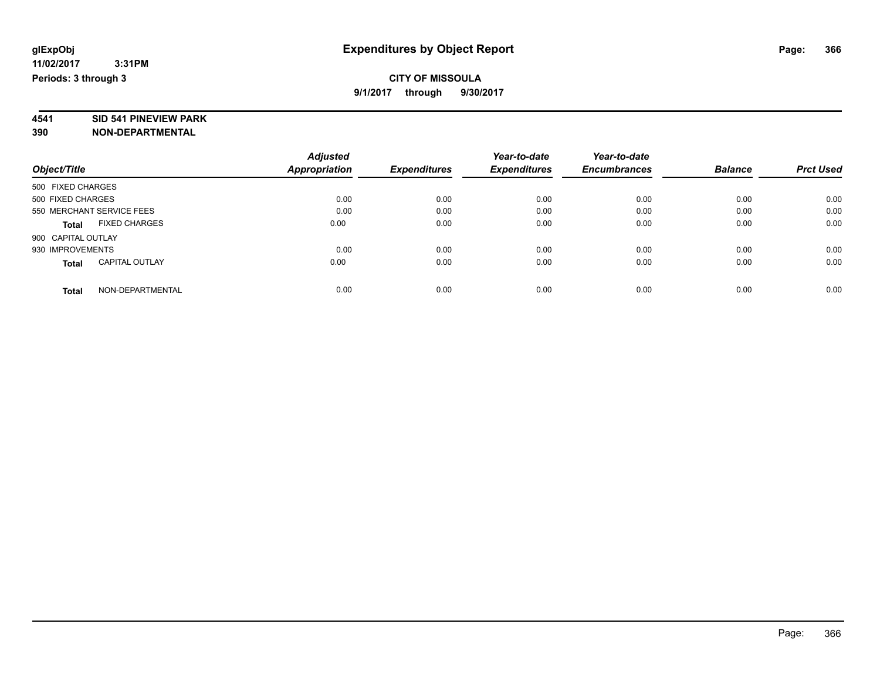**4541 SID 541 PINEVIEW PARK**

|                                       | <b>Adjusted</b>      |                     | Year-to-date        | Year-to-date        |                |                  |
|---------------------------------------|----------------------|---------------------|---------------------|---------------------|----------------|------------------|
| Object/Title                          | <b>Appropriation</b> | <b>Expenditures</b> | <b>Expenditures</b> | <b>Encumbrances</b> | <b>Balance</b> | <b>Prct Used</b> |
| 500 FIXED CHARGES                     |                      |                     |                     |                     |                |                  |
| 500 FIXED CHARGES                     | 0.00                 | 0.00                | 0.00                | 0.00                | 0.00           | 0.00             |
| 550 MERCHANT SERVICE FEES             | 0.00                 | 0.00                | 0.00                | 0.00                | 0.00           | 0.00             |
| <b>FIXED CHARGES</b><br><b>Total</b>  | 0.00                 | 0.00                | 0.00                | 0.00                | 0.00           | 0.00             |
| 900 CAPITAL OUTLAY                    |                      |                     |                     |                     |                |                  |
| 930 IMPROVEMENTS                      | 0.00                 | 0.00                | 0.00                | 0.00                | 0.00           | 0.00             |
| <b>CAPITAL OUTLAY</b><br><b>Total</b> | 0.00                 | 0.00                | 0.00                | 0.00                | 0.00           | 0.00             |
| NON-DEPARTMENTAL<br><b>Total</b>      | 0.00                 | 0.00                | 0.00                | 0.00                | 0.00           | 0.00             |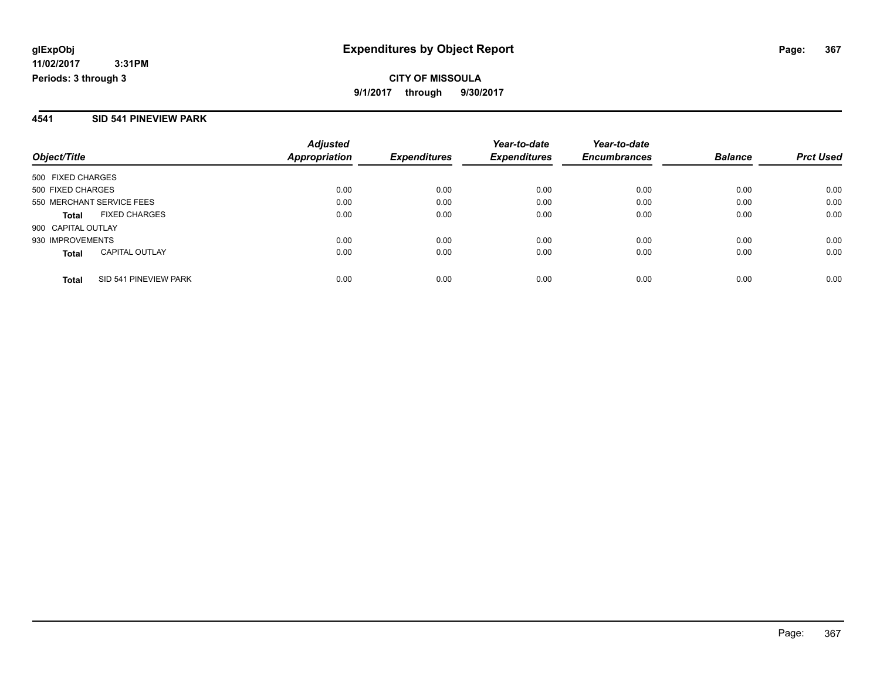## **11/02/2017 3:31PM**

**Periods: 3 through 3**

## **CITY OF MISSOULA 9/1/2017 through 9/30/2017**

## **4541 SID 541 PINEVIEW PARK**

| Object/Title                          | <b>Adjusted</b><br><b>Appropriation</b> | <b>Expenditures</b> | Year-to-date<br><b>Expenditures</b> | Year-to-date<br><b>Encumbrances</b> | <b>Balance</b> | <b>Prct Used</b> |
|---------------------------------------|-----------------------------------------|---------------------|-------------------------------------|-------------------------------------|----------------|------------------|
|                                       |                                         |                     |                                     |                                     |                |                  |
| 500 FIXED CHARGES                     |                                         |                     |                                     |                                     |                |                  |
| 500 FIXED CHARGES                     | 0.00                                    | 0.00                | 0.00                                | 0.00                                | 0.00           | 0.00             |
| 550 MERCHANT SERVICE FEES             | 0.00                                    | 0.00                | 0.00                                | 0.00                                | 0.00           | 0.00             |
| <b>FIXED CHARGES</b><br><b>Total</b>  | 0.00                                    | 0.00                | 0.00                                | 0.00                                | 0.00           | 0.00             |
| 900 CAPITAL OUTLAY                    |                                         |                     |                                     |                                     |                |                  |
| 930 IMPROVEMENTS                      | 0.00                                    | 0.00                | 0.00                                | 0.00                                | 0.00           | 0.00             |
| <b>CAPITAL OUTLAY</b><br><b>Total</b> | 0.00                                    | 0.00                | 0.00                                | 0.00                                | 0.00           | 0.00             |
| SID 541 PINEVIEW PARK<br><b>Total</b> | 0.00                                    | 0.00                | 0.00                                | 0.00                                | 0.00           | 0.00             |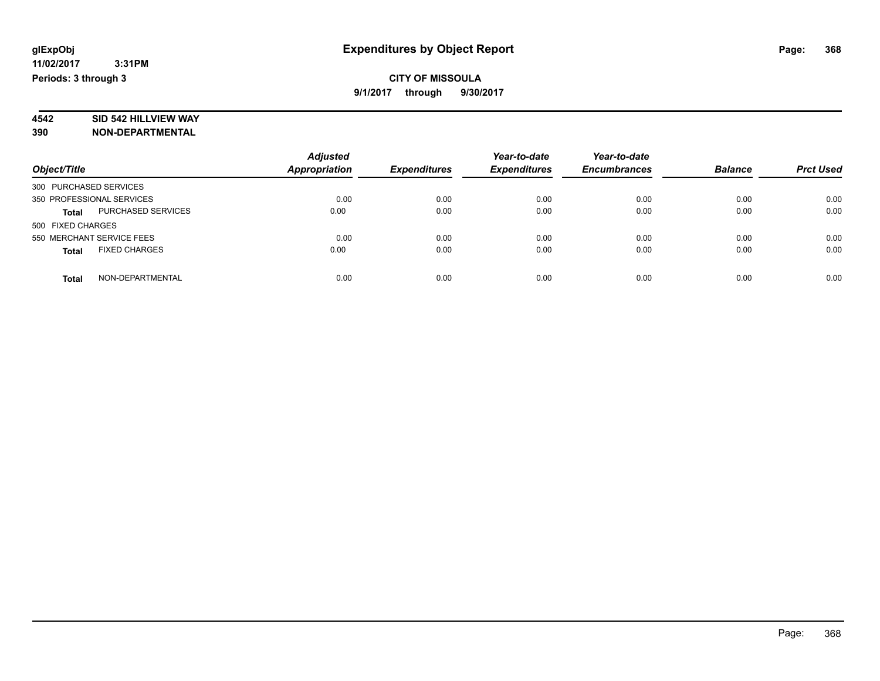# **4542 SID 542 HILLVIEW WAY**

| Object/Title                              | <b>Adjusted</b><br>Appropriation | <b>Expenditures</b> | Year-to-date<br><b>Expenditures</b> | Year-to-date<br><b>Encumbrances</b> | <b>Balance</b> | <b>Prct Used</b> |
|-------------------------------------------|----------------------------------|---------------------|-------------------------------------|-------------------------------------|----------------|------------------|
| 300 PURCHASED SERVICES                    |                                  |                     |                                     |                                     |                |                  |
| 350 PROFESSIONAL SERVICES                 | 0.00                             | 0.00                | 0.00                                | 0.00                                | 0.00           | 0.00             |
| <b>PURCHASED SERVICES</b><br><b>Total</b> | 0.00                             | 0.00                | 0.00                                | 0.00                                | 0.00           | 0.00             |
| 500 FIXED CHARGES                         |                                  |                     |                                     |                                     |                |                  |
| 550 MERCHANT SERVICE FEES                 | 0.00                             | 0.00                | 0.00                                | 0.00                                | 0.00           | 0.00             |
| <b>FIXED CHARGES</b><br><b>Total</b>      | 0.00                             | 0.00                | 0.00                                | 0.00                                | 0.00           | 0.00             |
| NON-DEPARTMENTAL<br><b>Total</b>          | 0.00                             | 0.00                | 0.00                                | 0.00                                | 0.00           | 0.00             |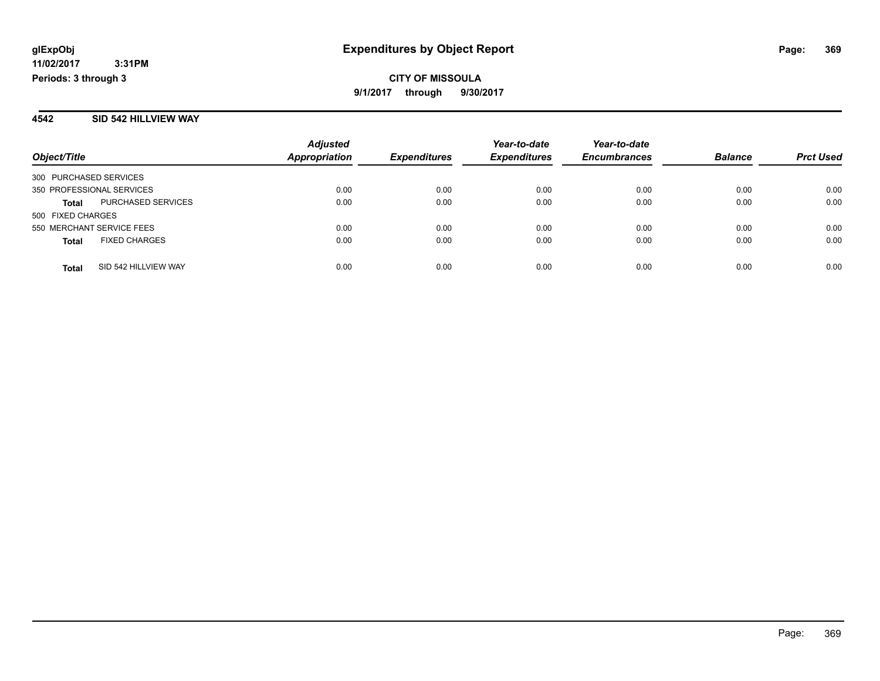### **4542 SID 542 HILLVIEW WAY**

|                                           | <b>Adjusted</b>      |                     | Year-to-date        | Year-to-date        |                |                  |
|-------------------------------------------|----------------------|---------------------|---------------------|---------------------|----------------|------------------|
| Object/Title                              | <b>Appropriation</b> | <b>Expenditures</b> | <b>Expenditures</b> | <b>Encumbrances</b> | <b>Balance</b> | <b>Prct Used</b> |
| 300 PURCHASED SERVICES                    |                      |                     |                     |                     |                |                  |
| 350 PROFESSIONAL SERVICES                 | 0.00                 | 0.00                | 0.00                | 0.00                | 0.00           | 0.00             |
| <b>PURCHASED SERVICES</b><br><b>Total</b> | 0.00                 | 0.00                | 0.00                | 0.00                | 0.00           | 0.00             |
| 500 FIXED CHARGES                         |                      |                     |                     |                     |                |                  |
| 550 MERCHANT SERVICE FEES                 | 0.00                 | 0.00                | 0.00                | 0.00                | 0.00           | 0.00             |
| <b>FIXED CHARGES</b><br><b>Total</b>      | 0.00                 | 0.00                | 0.00                | 0.00                | 0.00           | 0.00             |
| SID 542 HILLVIEW WAY<br><b>Total</b>      | 0.00                 | 0.00                | 0.00                | 0.00                | 0.00           | 0.00             |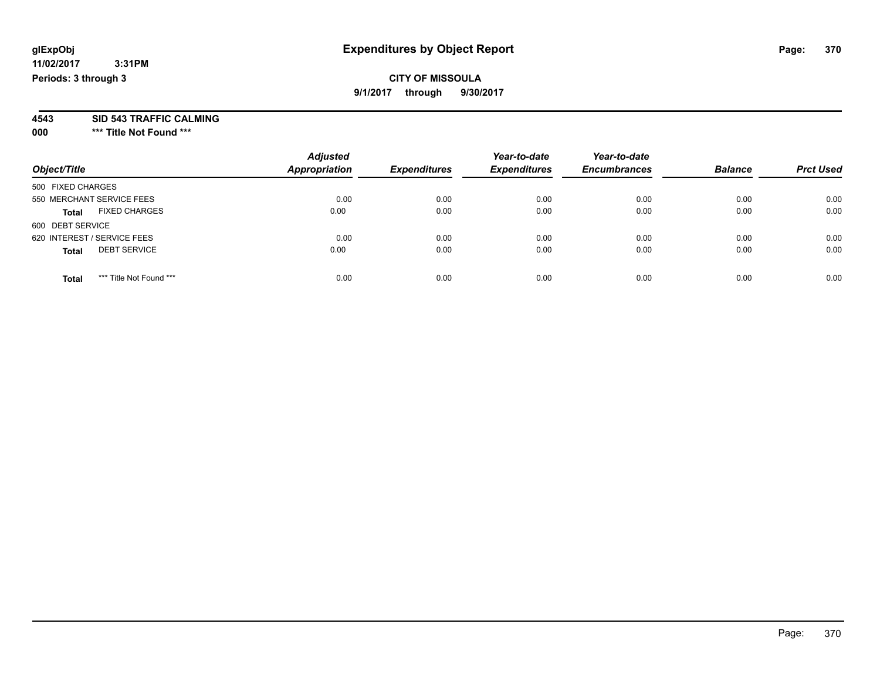## **CITY OF MISSOULA 9/1/2017 through 9/30/2017**

**4543 SID 543 TRAFFIC CALMING**

**000 \*\*\* Title Not Found \*\*\***

| Object/Title                            | <b>Adjusted</b><br><b>Appropriation</b> | <b>Expenditures</b> | Year-to-date<br><b>Expenditures</b> | Year-to-date<br><b>Encumbrances</b> | <b>Balance</b> | <b>Prct Used</b> |
|-----------------------------------------|-----------------------------------------|---------------------|-------------------------------------|-------------------------------------|----------------|------------------|
| 500 FIXED CHARGES                       |                                         |                     |                                     |                                     |                |                  |
| 550 MERCHANT SERVICE FEES               | 0.00                                    | 0.00                | 0.00                                | 0.00                                | 0.00           | 0.00             |
| <b>FIXED CHARGES</b><br><b>Total</b>    | 0.00                                    | 0.00                | 0.00                                | 0.00                                | 0.00           | 0.00             |
| 600 DEBT SERVICE                        |                                         |                     |                                     |                                     |                |                  |
| 620 INTEREST / SERVICE FEES             | 0.00                                    | 0.00                | 0.00                                | 0.00                                | 0.00           | 0.00             |
| <b>DEBT SERVICE</b><br><b>Total</b>     | 0.00                                    | 0.00                | 0.00                                | 0.00                                | 0.00           | 0.00             |
| *** Title Not Found ***<br><b>Total</b> | 0.00                                    | 0.00                | 0.00                                | 0.00                                | 0.00           | 0.00             |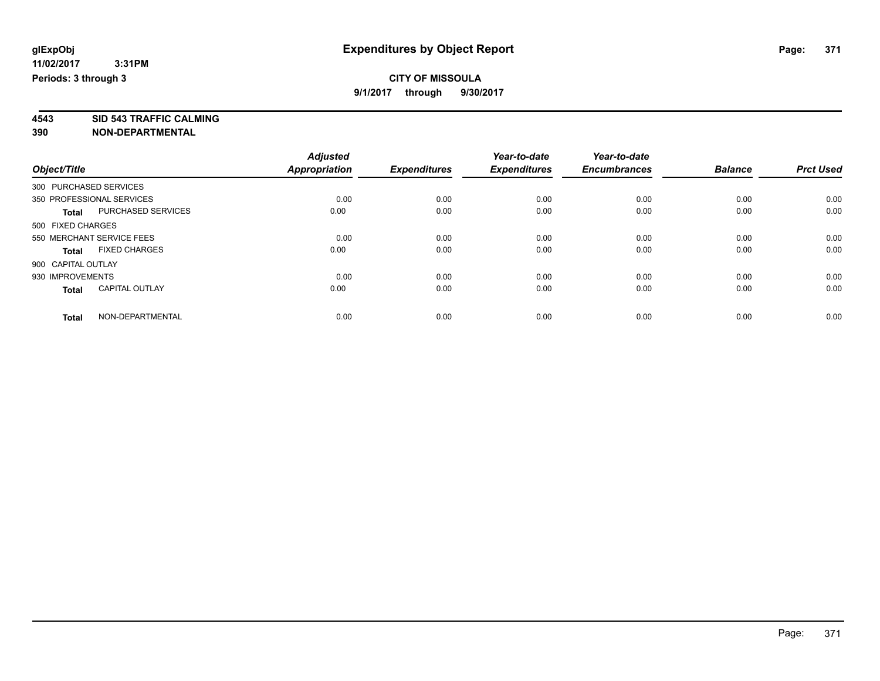**4543 SID 543 TRAFFIC CALMING**

|                        |                           | <b>Adjusted</b>      |                     | Year-to-date        | Year-to-date        |                |                  |
|------------------------|---------------------------|----------------------|---------------------|---------------------|---------------------|----------------|------------------|
| Object/Title           |                           | <b>Appropriation</b> | <b>Expenditures</b> | <b>Expenditures</b> | <b>Encumbrances</b> | <b>Balance</b> | <b>Prct Used</b> |
| 300 PURCHASED SERVICES |                           |                      |                     |                     |                     |                |                  |
|                        | 350 PROFESSIONAL SERVICES | 0.00                 | 0.00                | 0.00                | 0.00                | 0.00           | 0.00             |
| <b>Total</b>           | <b>PURCHASED SERVICES</b> | 0.00                 | 0.00                | 0.00                | 0.00                | 0.00           | 0.00             |
| 500 FIXED CHARGES      |                           |                      |                     |                     |                     |                |                  |
|                        | 550 MERCHANT SERVICE FEES | 0.00                 | 0.00                | 0.00                | 0.00                | 0.00           | 0.00             |
| <b>Total</b>           | <b>FIXED CHARGES</b>      | 0.00                 | 0.00                | 0.00                | 0.00                | 0.00           | 0.00             |
| 900 CAPITAL OUTLAY     |                           |                      |                     |                     |                     |                |                  |
| 930 IMPROVEMENTS       |                           | 0.00                 | 0.00                | 0.00                | 0.00                | 0.00           | 0.00             |
| <b>Total</b>           | <b>CAPITAL OUTLAY</b>     | 0.00                 | 0.00                | 0.00                | 0.00                | 0.00           | 0.00             |
| <b>Total</b>           | NON-DEPARTMENTAL          | 0.00                 | 0.00                | 0.00                | 0.00                | 0.00           | 0.00             |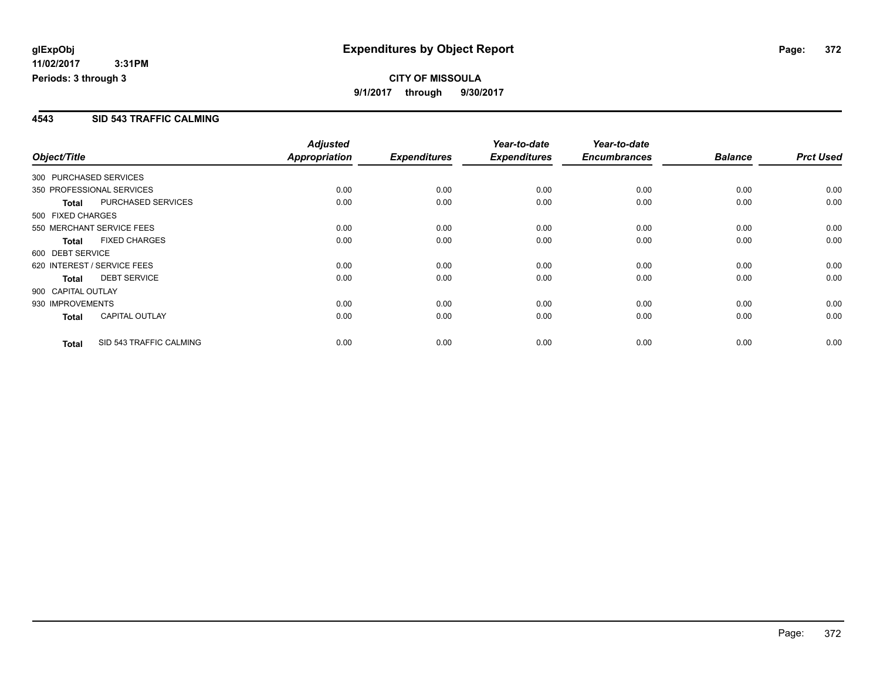## **4543 SID 543 TRAFFIC CALMING**

|                        |                             | <b>Adjusted</b> |                     | Year-to-date        | Year-to-date        |                |                  |
|------------------------|-----------------------------|-----------------|---------------------|---------------------|---------------------|----------------|------------------|
| Object/Title           |                             | Appropriation   | <b>Expenditures</b> | <b>Expenditures</b> | <b>Encumbrances</b> | <b>Balance</b> | <b>Prct Used</b> |
| 300 PURCHASED SERVICES |                             |                 |                     |                     |                     |                |                  |
|                        | 350 PROFESSIONAL SERVICES   | 0.00            | 0.00                | 0.00                | 0.00                | 0.00           | 0.00             |
| <b>Total</b>           | PURCHASED SERVICES          | 0.00            | 0.00                | 0.00                | 0.00                | 0.00           | 0.00             |
| 500 FIXED CHARGES      |                             |                 |                     |                     |                     |                |                  |
|                        | 550 MERCHANT SERVICE FEES   | 0.00            | 0.00                | 0.00                | 0.00                | 0.00           | 0.00             |
| <b>Total</b>           | <b>FIXED CHARGES</b>        | 0.00            | 0.00                | 0.00                | 0.00                | 0.00           | 0.00             |
| 600 DEBT SERVICE       |                             |                 |                     |                     |                     |                |                  |
|                        | 620 INTEREST / SERVICE FEES | 0.00            | 0.00                | 0.00                | 0.00                | 0.00           | 0.00             |
| <b>Total</b>           | <b>DEBT SERVICE</b>         | 0.00            | 0.00                | 0.00                | 0.00                | 0.00           | 0.00             |
| 900 CAPITAL OUTLAY     |                             |                 |                     |                     |                     |                |                  |
| 930 IMPROVEMENTS       |                             | 0.00            | 0.00                | 0.00                | 0.00                | 0.00           | 0.00             |
| <b>Total</b>           | <b>CAPITAL OUTLAY</b>       | 0.00            | 0.00                | 0.00                | 0.00                | 0.00           | 0.00             |
| <b>Total</b>           | SID 543 TRAFFIC CALMING     | 0.00            | 0.00                | 0.00                | 0.00                | 0.00           | 0.00             |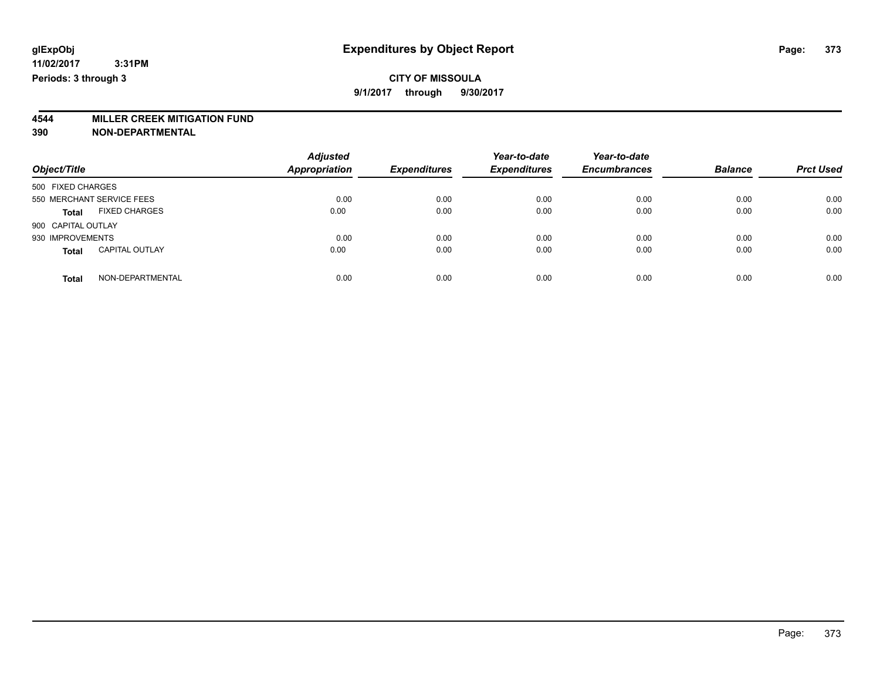# **4544 MILLER CREEK MITIGATION FUND**

| Object/Title                          | <b>Adjusted</b><br>Appropriation | <b>Expenditures</b> | Year-to-date<br><b>Expenditures</b> | Year-to-date<br><b>Encumbrances</b> | <b>Balance</b> | <b>Prct Used</b> |
|---------------------------------------|----------------------------------|---------------------|-------------------------------------|-------------------------------------|----------------|------------------|
| 500 FIXED CHARGES                     |                                  |                     |                                     |                                     |                |                  |
| 550 MERCHANT SERVICE FEES             | 0.00                             | 0.00                | 0.00                                | 0.00                                | 0.00           | 0.00             |
| <b>FIXED CHARGES</b><br><b>Total</b>  | 0.00                             | 0.00                | 0.00                                | 0.00                                | 0.00           | 0.00             |
| 900 CAPITAL OUTLAY                    |                                  |                     |                                     |                                     |                |                  |
| 930 IMPROVEMENTS                      | 0.00                             | 0.00                | 0.00                                | 0.00                                | 0.00           | 0.00             |
| <b>CAPITAL OUTLAY</b><br><b>Total</b> | 0.00                             | 0.00                | 0.00                                | 0.00                                | 0.00           | 0.00             |
| NON-DEPARTMENTAL<br>Total             | 0.00                             | 0.00                | 0.00                                | 0.00                                | 0.00           | 0.00             |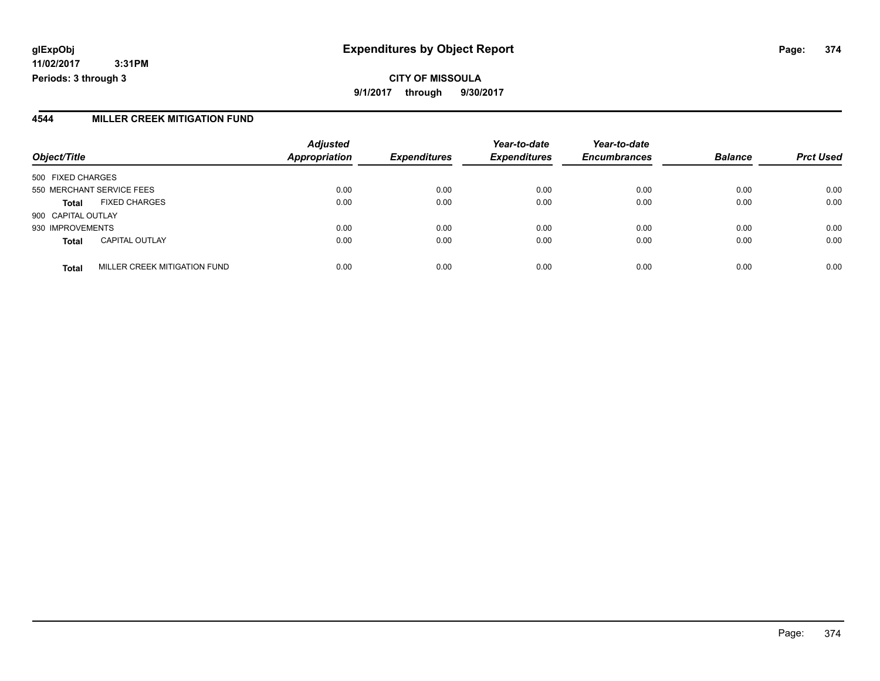## **glExpObj Expenditures by Object Report Page: 374**

**11/02/2017 3:31PM Periods: 3 through 3**

### **4544 MILLER CREEK MITIGATION FUND**

|                           |                              | <b>Adjusted</b>      |                     | Year-to-date        | Year-to-date        |                |                  |
|---------------------------|------------------------------|----------------------|---------------------|---------------------|---------------------|----------------|------------------|
| Object/Title              |                              | <b>Appropriation</b> | <b>Expenditures</b> | <b>Expenditures</b> | <b>Encumbrances</b> | <b>Balance</b> | <b>Prct Used</b> |
| 500 FIXED CHARGES         |                              |                      |                     |                     |                     |                |                  |
| 550 MERCHANT SERVICE FEES |                              | 0.00                 | 0.00                | 0.00                | 0.00                | 0.00           | 0.00             |
| <b>Total</b>              | <b>FIXED CHARGES</b>         | 0.00                 | 0.00                | 0.00                | 0.00                | 0.00           | 0.00             |
| 900 CAPITAL OUTLAY        |                              |                      |                     |                     |                     |                |                  |
| 930 IMPROVEMENTS          |                              | 0.00                 | 0.00                | 0.00                | 0.00                | 0.00           | 0.00             |
| <b>Total</b>              | <b>CAPITAL OUTLAY</b>        | 0.00                 | 0.00                | 0.00                | 0.00                | 0.00           | 0.00             |
| <b>Total</b>              | MILLER CREEK MITIGATION FUND | 0.00                 | 0.00                | 0.00                | 0.00                | 0.00           | 0.00             |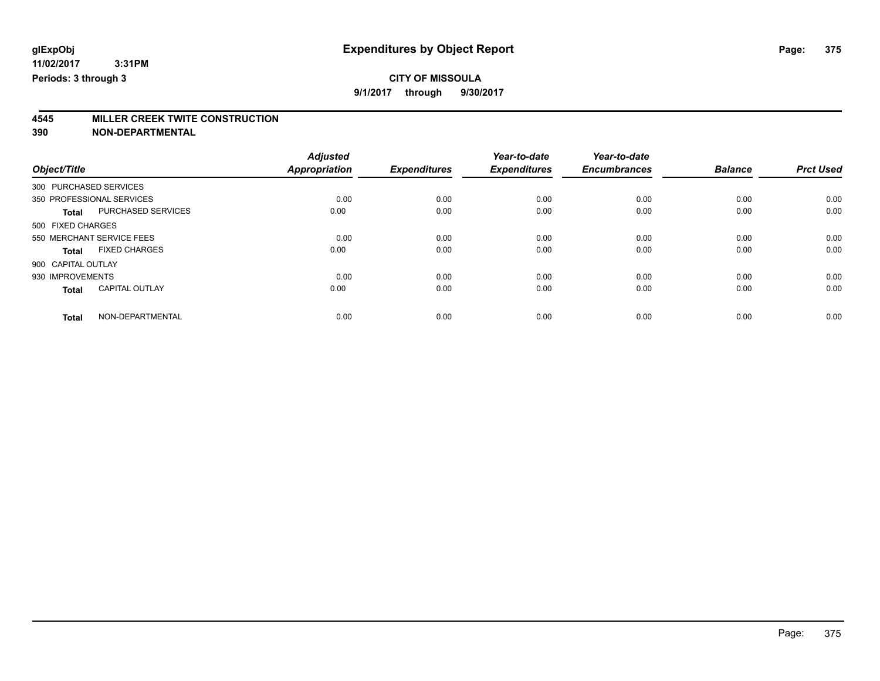## **CITY OF MISSOULA**

**9/1/2017 through 9/30/2017**

# **4545 MILLER CREEK TWITE CONSTRUCTION**

|                        |                           | <b>Adjusted</b>      |                     | Year-to-date        | Year-to-date        |                |                  |
|------------------------|---------------------------|----------------------|---------------------|---------------------|---------------------|----------------|------------------|
| Object/Title           |                           | <b>Appropriation</b> | <b>Expenditures</b> | <b>Expenditures</b> | <b>Encumbrances</b> | <b>Balance</b> | <b>Prct Used</b> |
| 300 PURCHASED SERVICES |                           |                      |                     |                     |                     |                |                  |
|                        | 350 PROFESSIONAL SERVICES | 0.00                 | 0.00                | 0.00                | 0.00                | 0.00           | 0.00             |
| <b>Total</b>           | PURCHASED SERVICES        | 0.00                 | 0.00                | 0.00                | 0.00                | 0.00           | 0.00             |
| 500 FIXED CHARGES      |                           |                      |                     |                     |                     |                |                  |
|                        | 550 MERCHANT SERVICE FEES | 0.00                 | 0.00                | 0.00                | 0.00                | 0.00           | 0.00             |
| <b>Total</b>           | <b>FIXED CHARGES</b>      | 0.00                 | 0.00                | 0.00                | 0.00                | 0.00           | 0.00             |
| 900 CAPITAL OUTLAY     |                           |                      |                     |                     |                     |                |                  |
| 930 IMPROVEMENTS       |                           | 0.00                 | 0.00                | 0.00                | 0.00                | 0.00           | 0.00             |
| <b>Total</b>           | <b>CAPITAL OUTLAY</b>     | 0.00                 | 0.00                | 0.00                | 0.00                | 0.00           | 0.00             |
| <b>Total</b>           | NON-DEPARTMENTAL          | 0.00                 | 0.00                | 0.00                | 0.00                | 0.00           | 0.00             |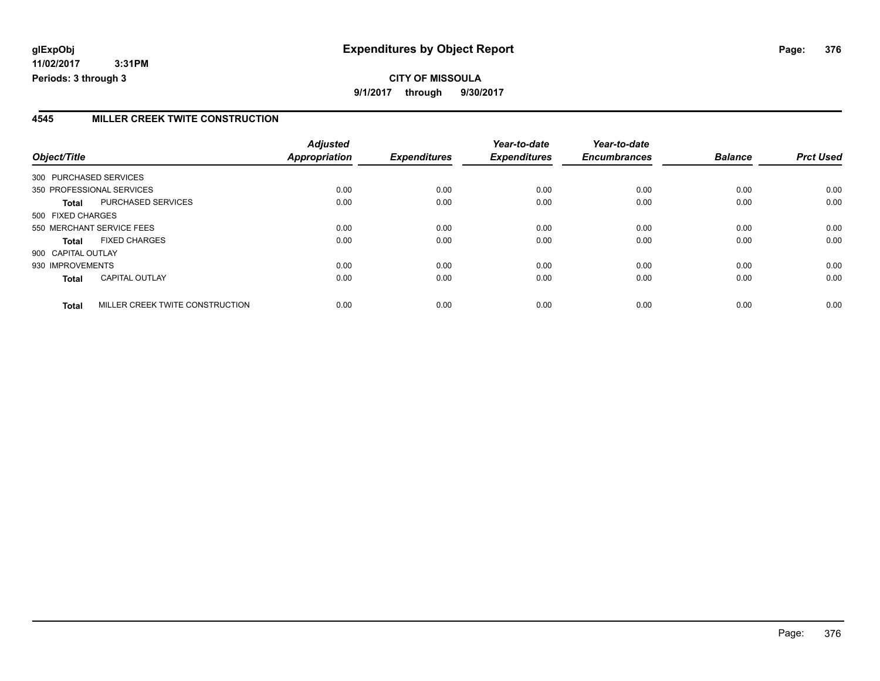## **4545 MILLER CREEK TWITE CONSTRUCTION**

|                           |                                 | <b>Adjusted</b> |                     | Year-to-date        | Year-to-date        |                |                  |
|---------------------------|---------------------------------|-----------------|---------------------|---------------------|---------------------|----------------|------------------|
| Object/Title              |                                 | Appropriation   | <b>Expenditures</b> | <b>Expenditures</b> | <b>Encumbrances</b> | <b>Balance</b> | <b>Prct Used</b> |
| 300 PURCHASED SERVICES    |                                 |                 |                     |                     |                     |                |                  |
| 350 PROFESSIONAL SERVICES |                                 | 0.00            | 0.00                | 0.00                | 0.00                | 0.00           | 0.00             |
| <b>Total</b>              | PURCHASED SERVICES              | 0.00            | 0.00                | 0.00                | 0.00                | 0.00           | 0.00             |
| 500 FIXED CHARGES         |                                 |                 |                     |                     |                     |                |                  |
| 550 MERCHANT SERVICE FEES |                                 | 0.00            | 0.00                | 0.00                | 0.00                | 0.00           | 0.00             |
| <b>Total</b>              | <b>FIXED CHARGES</b>            | 0.00            | 0.00                | 0.00                | 0.00                | 0.00           | 0.00             |
| 900 CAPITAL OUTLAY        |                                 |                 |                     |                     |                     |                |                  |
| 930 IMPROVEMENTS          |                                 | 0.00            | 0.00                | 0.00                | 0.00                | 0.00           | 0.00             |
| <b>Total</b>              | <b>CAPITAL OUTLAY</b>           | 0.00            | 0.00                | 0.00                | 0.00                | 0.00           | 0.00             |
| <b>Total</b>              | MILLER CREEK TWITE CONSTRUCTION | 0.00            | 0.00                | 0.00                | 0.00                | 0.00           | 0.00             |

Page: 376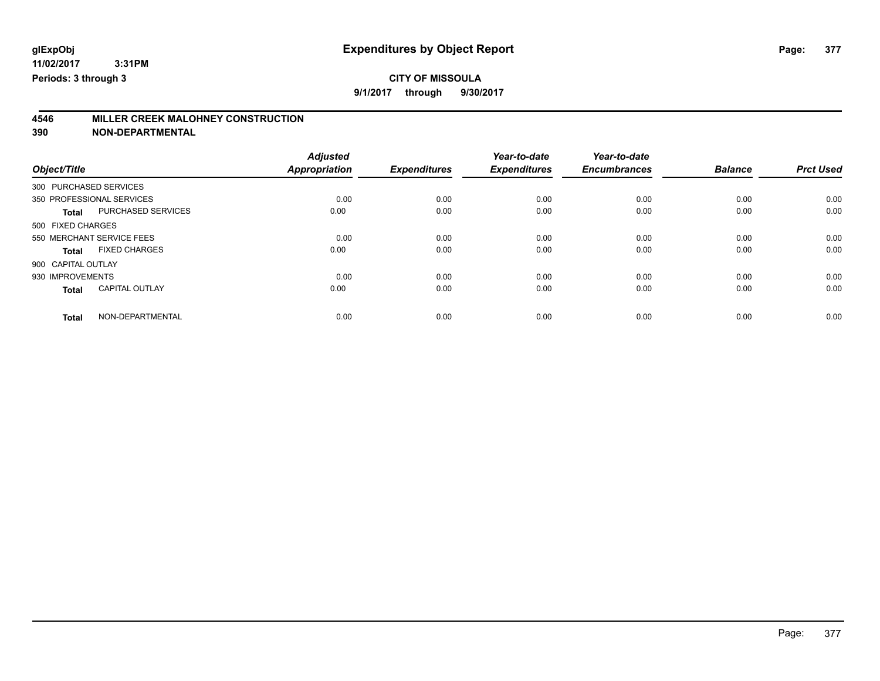**9/1/2017 through 9/30/2017**

# **4546 MILLER CREEK MALOHNEY CONSTRUCTION**

|                           | <b>Adjusted</b>                                                         |                                      | Year-to-date                        | Year-to-date                        |                                     | <b>Prct Used</b>               |
|---------------------------|-------------------------------------------------------------------------|--------------------------------------|-------------------------------------|-------------------------------------|-------------------------------------|--------------------------------|
|                           |                                                                         |                                      |                                     |                                     |                                     |                                |
|                           |                                                                         |                                      |                                     |                                     |                                     |                                |
|                           |                                                                         |                                      |                                     |                                     |                                     | 0.00                           |
| PURCHASED SERVICES        | 0.00                                                                    | 0.00                                 | 0.00                                | 0.00                                | 0.00                                | 0.00                           |
|                           |                                                                         |                                      |                                     |                                     |                                     |                                |
| 550 MERCHANT SERVICE FEES | 0.00                                                                    | 0.00                                 | 0.00                                | 0.00                                | 0.00                                | 0.00                           |
| <b>FIXED CHARGES</b>      | 0.00                                                                    | 0.00                                 | 0.00                                | 0.00                                | 0.00                                | 0.00                           |
|                           |                                                                         |                                      |                                     |                                     |                                     |                                |
|                           | 0.00                                                                    | 0.00                                 | 0.00                                | 0.00                                | 0.00                                | 0.00                           |
| <b>CAPITAL OUTLAY</b>     | 0.00                                                                    | 0.00                                 | 0.00                                | 0.00                                | 0.00                                | 0.00                           |
|                           |                                                                         |                                      |                                     |                                     |                                     | 0.00                           |
|                           | 300 PURCHASED SERVICES<br>350 PROFESSIONAL SERVICES<br>NON-DEPARTMENTAL | <b>Appropriation</b><br>0.00<br>0.00 | <b>Expenditures</b><br>0.00<br>0.00 | <b>Expenditures</b><br>0.00<br>0.00 | <b>Encumbrances</b><br>0.00<br>0.00 | <b>Balance</b><br>0.00<br>0.00 |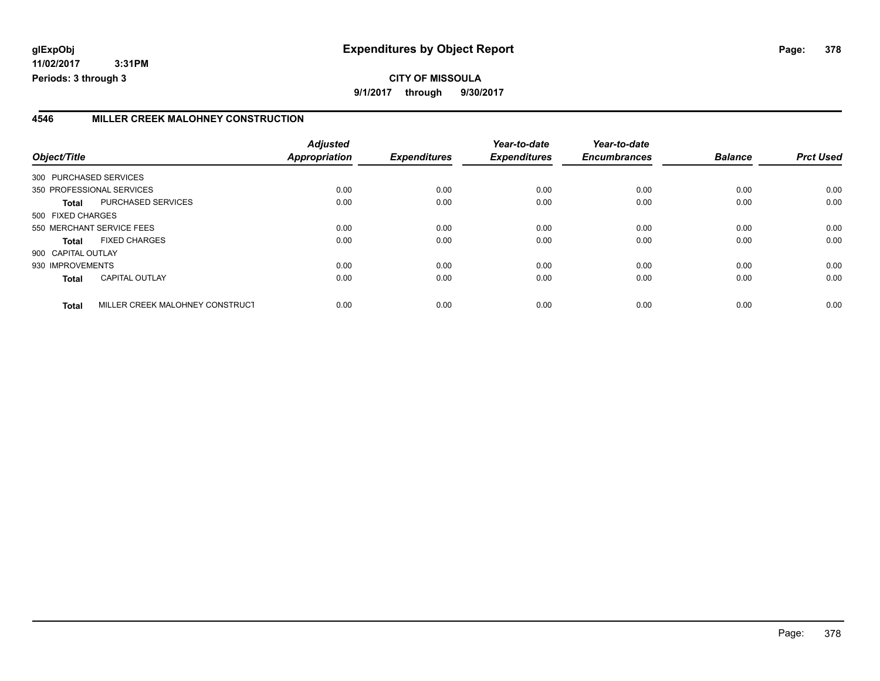## **4546 MILLER CREEK MALOHNEY CONSTRUCTION**

| Object/Title       |                                 | <b>Adjusted</b><br>Appropriation | <b>Expenditures</b> | Year-to-date<br><b>Expenditures</b> | Year-to-date<br><b>Encumbrances</b> | <b>Balance</b> | <b>Prct Used</b> |
|--------------------|---------------------------------|----------------------------------|---------------------|-------------------------------------|-------------------------------------|----------------|------------------|
|                    |                                 |                                  |                     |                                     |                                     |                |                  |
|                    | 300 PURCHASED SERVICES          |                                  |                     |                                     |                                     |                |                  |
|                    | 350 PROFESSIONAL SERVICES       | 0.00                             | 0.00                | 0.00                                | 0.00                                | 0.00           | 0.00             |
| Total              | PURCHASED SERVICES              | 0.00                             | 0.00                | 0.00                                | 0.00                                | 0.00           | 0.00             |
| 500 FIXED CHARGES  |                                 |                                  |                     |                                     |                                     |                |                  |
|                    | 550 MERCHANT SERVICE FEES       | 0.00                             | 0.00                | 0.00                                | 0.00                                | 0.00           | 0.00             |
| <b>Total</b>       | <b>FIXED CHARGES</b>            | 0.00                             | 0.00                | 0.00                                | 0.00                                | 0.00           | 0.00             |
| 900 CAPITAL OUTLAY |                                 |                                  |                     |                                     |                                     |                |                  |
| 930 IMPROVEMENTS   |                                 | 0.00                             | 0.00                | 0.00                                | 0.00                                | 0.00           | 0.00             |
| <b>Total</b>       | <b>CAPITAL OUTLAY</b>           | 0.00                             | 0.00                | 0.00                                | 0.00                                | 0.00           | 0.00             |
| <b>Total</b>       | MILLER CREEK MALOHNEY CONSTRUCT | 0.00                             | 0.00                | 0.00                                | 0.00                                | 0.00           | 0.00             |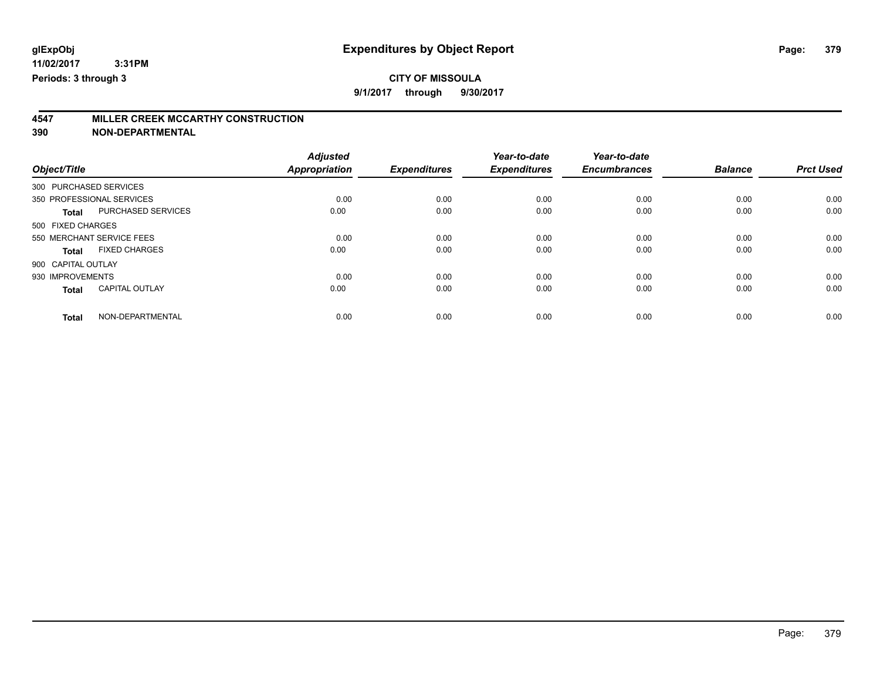## **CITY OF MISSOULA**

**9/1/2017 through 9/30/2017**

## **4547 MILLER CREEK MCCARTHY CONSTRUCTION**

|                           |                       | <b>Adjusted</b>      |                     | Year-to-date        | Year-to-date        |                |                  |
|---------------------------|-----------------------|----------------------|---------------------|---------------------|---------------------|----------------|------------------|
| Object/Title              |                       | <b>Appropriation</b> | <b>Expenditures</b> | <b>Expenditures</b> | <b>Encumbrances</b> | <b>Balance</b> | <b>Prct Used</b> |
| 300 PURCHASED SERVICES    |                       |                      |                     |                     |                     |                |                  |
| 350 PROFESSIONAL SERVICES |                       | 0.00                 | 0.00                | 0.00                | 0.00                | 0.00           | 0.00             |
| <b>Total</b>              | PURCHASED SERVICES    | 0.00                 | 0.00                | 0.00                | 0.00                | 0.00           | 0.00             |
| 500 FIXED CHARGES         |                       |                      |                     |                     |                     |                |                  |
| 550 MERCHANT SERVICE FEES |                       | 0.00                 | 0.00                | 0.00                | 0.00                | 0.00           | 0.00             |
| Total                     | <b>FIXED CHARGES</b>  | 0.00                 | 0.00                | 0.00                | 0.00                | 0.00           | 0.00             |
| 900 CAPITAL OUTLAY        |                       |                      |                     |                     |                     |                |                  |
| 930 IMPROVEMENTS          |                       | 0.00                 | 0.00                | 0.00                | 0.00                | 0.00           | 0.00             |
| <b>Total</b>              | <b>CAPITAL OUTLAY</b> | 0.00                 | 0.00                | 0.00                | 0.00                | 0.00           | 0.00             |
| <b>Total</b>              | NON-DEPARTMENTAL      | 0.00                 | 0.00                | 0.00                | 0.00                | 0.00           | 0.00             |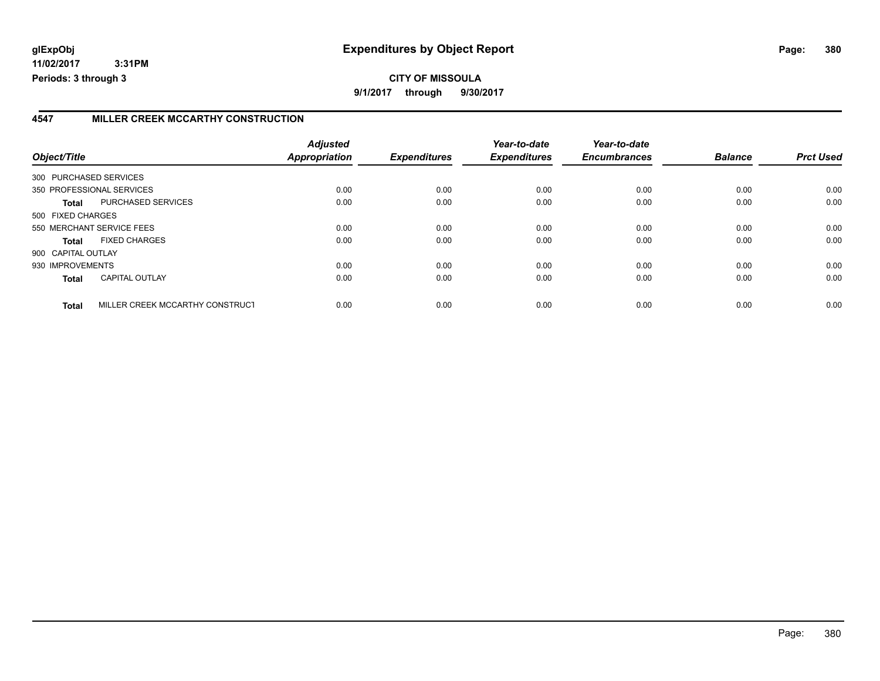## **4547 MILLER CREEK MCCARTHY CONSTRUCTION**

| Object/Title           |                                 | <b>Adjusted</b><br><b>Appropriation</b> | <b>Expenditures</b> | Year-to-date<br><b>Expenditures</b> | Year-to-date<br><b>Encumbrances</b> | <b>Balance</b> | <b>Prct Used</b> |
|------------------------|---------------------------------|-----------------------------------------|---------------------|-------------------------------------|-------------------------------------|----------------|------------------|
| 300 PURCHASED SERVICES |                                 |                                         |                     |                                     |                                     |                |                  |
|                        | 350 PROFESSIONAL SERVICES       | 0.00                                    | 0.00                | 0.00                                | 0.00                                | 0.00           | 0.00             |
| Total                  | PURCHASED SERVICES              | 0.00                                    | 0.00                | 0.00                                | 0.00                                | 0.00           | 0.00             |
| 500 FIXED CHARGES      |                                 |                                         |                     |                                     |                                     |                |                  |
|                        | 550 MERCHANT SERVICE FEES       | 0.00                                    | 0.00                | 0.00                                | 0.00                                | 0.00           | 0.00             |
| <b>Total</b>           | <b>FIXED CHARGES</b>            | 0.00                                    | 0.00                | 0.00                                | 0.00                                | 0.00           | 0.00             |
| 900 CAPITAL OUTLAY     |                                 |                                         |                     |                                     |                                     |                |                  |
| 930 IMPROVEMENTS       |                                 | 0.00                                    | 0.00                | 0.00                                | 0.00                                | 0.00           | 0.00             |
| <b>Total</b>           | <b>CAPITAL OUTLAY</b>           | 0.00                                    | 0.00                | 0.00                                | 0.00                                | 0.00           | 0.00             |
| <b>Total</b>           | MILLER CREEK MCCARTHY CONSTRUCT | 0.00                                    | 0.00                | 0.00                                | 0.00                                | 0.00           | 0.00             |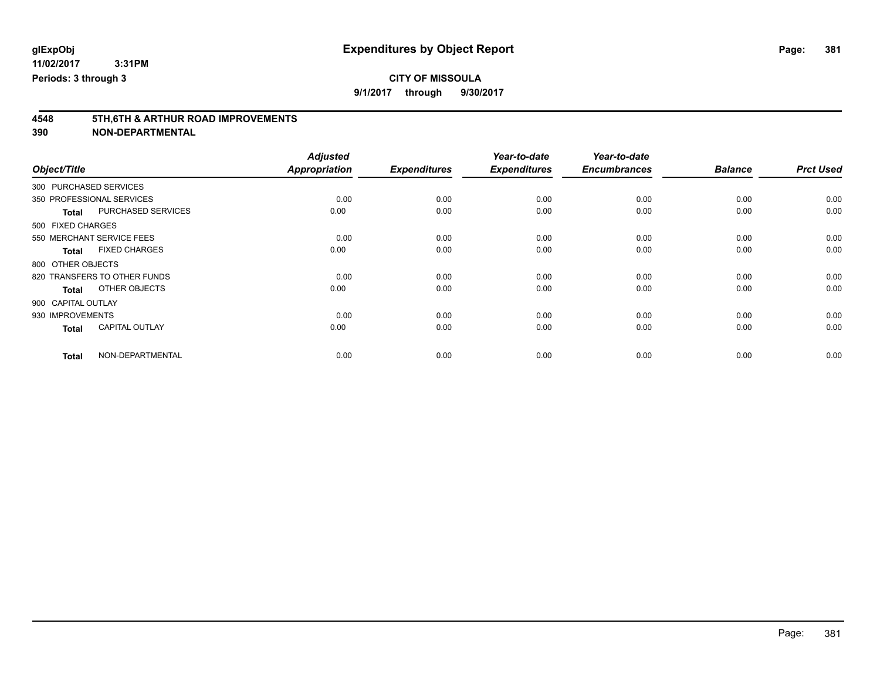## **CITY OF MISSOULA**

**9/1/2017 through 9/30/2017**

# **4548 5TH,6TH & ARTHUR ROAD IMPROVEMENTS**

|                        |                              | <b>Adjusted</b>      |                     | Year-to-date        | Year-to-date        |                |                  |
|------------------------|------------------------------|----------------------|---------------------|---------------------|---------------------|----------------|------------------|
| Object/Title           |                              | <b>Appropriation</b> | <b>Expenditures</b> | <b>Expenditures</b> | <b>Encumbrances</b> | <b>Balance</b> | <b>Prct Used</b> |
| 300 PURCHASED SERVICES |                              |                      |                     |                     |                     |                |                  |
|                        | 350 PROFESSIONAL SERVICES    | 0.00                 | 0.00                | 0.00                | 0.00                | 0.00           | 0.00             |
| <b>Total</b>           | <b>PURCHASED SERVICES</b>    | 0.00                 | 0.00                | 0.00                | 0.00                | 0.00           | 0.00             |
| 500 FIXED CHARGES      |                              |                      |                     |                     |                     |                |                  |
|                        | 550 MERCHANT SERVICE FEES    | 0.00                 | 0.00                | 0.00                | 0.00                | 0.00           | 0.00             |
| <b>Total</b>           | <b>FIXED CHARGES</b>         | 0.00                 | 0.00                | 0.00                | 0.00                | 0.00           | 0.00             |
| 800 OTHER OBJECTS      |                              |                      |                     |                     |                     |                |                  |
|                        | 820 TRANSFERS TO OTHER FUNDS | 0.00                 | 0.00                | 0.00                | 0.00                | 0.00           | 0.00             |
| <b>Total</b>           | OTHER OBJECTS                | 0.00                 | 0.00                | 0.00                | 0.00                | 0.00           | 0.00             |
| 900 CAPITAL OUTLAY     |                              |                      |                     |                     |                     |                |                  |
| 930 IMPROVEMENTS       |                              | 0.00                 | 0.00                | 0.00                | 0.00                | 0.00           | 0.00             |
| <b>Total</b>           | <b>CAPITAL OUTLAY</b>        | 0.00                 | 0.00                | 0.00                | 0.00                | 0.00           | 0.00             |
| <b>Total</b>           | NON-DEPARTMENTAL             | 0.00                 | 0.00                | 0.00                | 0.00                | 0.00           | 0.00             |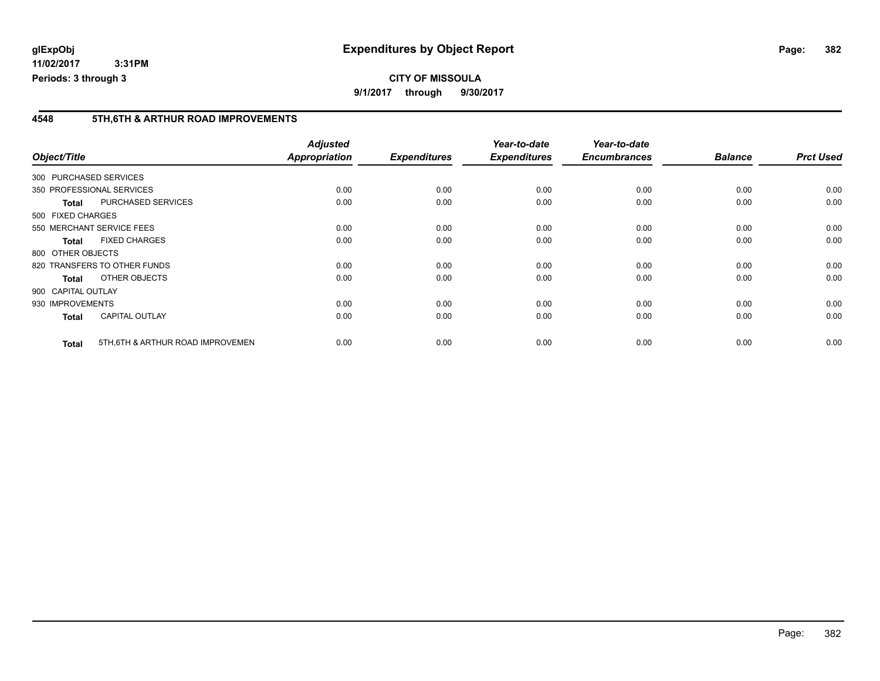## **4548 5TH,6TH & ARTHUR ROAD IMPROVEMENTS**

| Object/Title |                                                   | <b>Adjusted</b><br><b>Appropriation</b> | <b>Expenditures</b> | Year-to-date<br><b>Expenditures</b> | Year-to-date<br><b>Encumbrances</b> | <b>Balance</b> | <b>Prct Used</b> |
|--------------|---------------------------------------------------|-----------------------------------------|---------------------|-------------------------------------|-------------------------------------|----------------|------------------|
|              |                                                   |                                         |                     |                                     |                                     |                |                  |
|              | 300 PURCHASED SERVICES                            |                                         |                     |                                     |                                     |                |                  |
|              | 350 PROFESSIONAL SERVICES                         | 0.00                                    | 0.00                | 0.00                                | 0.00                                | 0.00           | 0.00             |
|              | PURCHASED SERVICES<br><b>Total</b>                | 0.00                                    | 0.00                | 0.00                                | 0.00                                | 0.00           | 0.00             |
|              | 500 FIXED CHARGES                                 |                                         |                     |                                     |                                     |                |                  |
|              | 550 MERCHANT SERVICE FEES                         | 0.00                                    | 0.00                | 0.00                                | 0.00                                | 0.00           | 0.00             |
|              | <b>FIXED CHARGES</b><br><b>Total</b>              | 0.00                                    | 0.00                | 0.00                                | 0.00                                | 0.00           | 0.00             |
|              | 800 OTHER OBJECTS                                 |                                         |                     |                                     |                                     |                |                  |
|              | 820 TRANSFERS TO OTHER FUNDS                      | 0.00                                    | 0.00                | 0.00                                | 0.00                                | 0.00           | 0.00             |
|              | OTHER OBJECTS<br><b>Total</b>                     | 0.00                                    | 0.00                | 0.00                                | 0.00                                | 0.00           | 0.00             |
|              | 900 CAPITAL OUTLAY                                |                                         |                     |                                     |                                     |                |                  |
|              | 930 IMPROVEMENTS                                  | 0.00                                    | 0.00                | 0.00                                | 0.00                                | 0.00           | 0.00             |
|              | <b>CAPITAL OUTLAY</b><br><b>Total</b>             | 0.00                                    | 0.00                | 0.00                                | 0.00                                | 0.00           | 0.00             |
|              | 5TH, 6TH & ARTHUR ROAD IMPROVEMEN<br><b>Total</b> | 0.00                                    | 0.00                | 0.00                                | 0.00                                | 0.00           | 0.00             |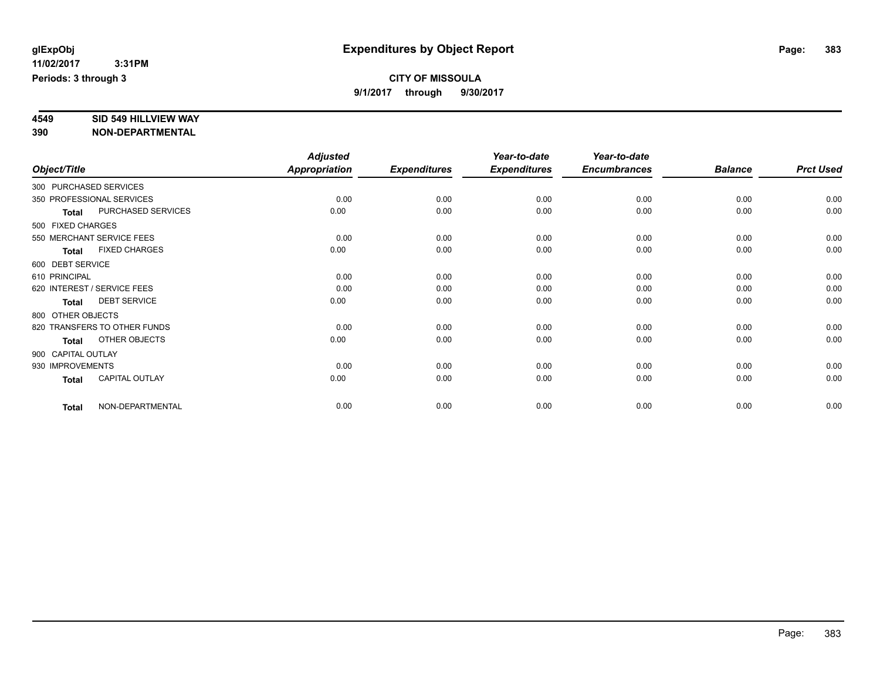# **4549 SID 549 HILLVIEW WAY**

|                        |                              | <b>Adjusted</b>      |                     | Year-to-date        | Year-to-date        |                |                  |
|------------------------|------------------------------|----------------------|---------------------|---------------------|---------------------|----------------|------------------|
| Object/Title           |                              | <b>Appropriation</b> | <b>Expenditures</b> | <b>Expenditures</b> | <b>Encumbrances</b> | <b>Balance</b> | <b>Prct Used</b> |
| 300 PURCHASED SERVICES |                              |                      |                     |                     |                     |                |                  |
|                        | 350 PROFESSIONAL SERVICES    | 0.00                 | 0.00                | 0.00                | 0.00                | 0.00           | 0.00             |
| <b>Total</b>           | PURCHASED SERVICES           | 0.00                 | 0.00                | 0.00                | 0.00                | 0.00           | 0.00             |
| 500 FIXED CHARGES      |                              |                      |                     |                     |                     |                |                  |
|                        | 550 MERCHANT SERVICE FEES    | 0.00                 | 0.00                | 0.00                | 0.00                | 0.00           | 0.00             |
| <b>Total</b>           | <b>FIXED CHARGES</b>         | 0.00                 | 0.00                | 0.00                | 0.00                | 0.00           | 0.00             |
| 600 DEBT SERVICE       |                              |                      |                     |                     |                     |                |                  |
| 610 PRINCIPAL          |                              | 0.00                 | 0.00                | 0.00                | 0.00                | 0.00           | 0.00             |
|                        | 620 INTEREST / SERVICE FEES  | 0.00                 | 0.00                | 0.00                | 0.00                | 0.00           | 0.00             |
| <b>Total</b>           | <b>DEBT SERVICE</b>          | 0.00                 | 0.00                | 0.00                | 0.00                | 0.00           | 0.00             |
| 800 OTHER OBJECTS      |                              |                      |                     |                     |                     |                |                  |
|                        | 820 TRANSFERS TO OTHER FUNDS | 0.00                 | 0.00                | 0.00                | 0.00                | 0.00           | 0.00             |
| <b>Total</b>           | OTHER OBJECTS                | 0.00                 | 0.00                | 0.00                | 0.00                | 0.00           | 0.00             |
| 900 CAPITAL OUTLAY     |                              |                      |                     |                     |                     |                |                  |
| 930 IMPROVEMENTS       |                              | 0.00                 | 0.00                | 0.00                | 0.00                | 0.00           | 0.00             |
| <b>Total</b>           | <b>CAPITAL OUTLAY</b>        | 0.00                 | 0.00                | 0.00                | 0.00                | 0.00           | 0.00             |
| <b>Total</b>           | NON-DEPARTMENTAL             | 0.00                 | 0.00                | 0.00                | 0.00                | 0.00           | 0.00             |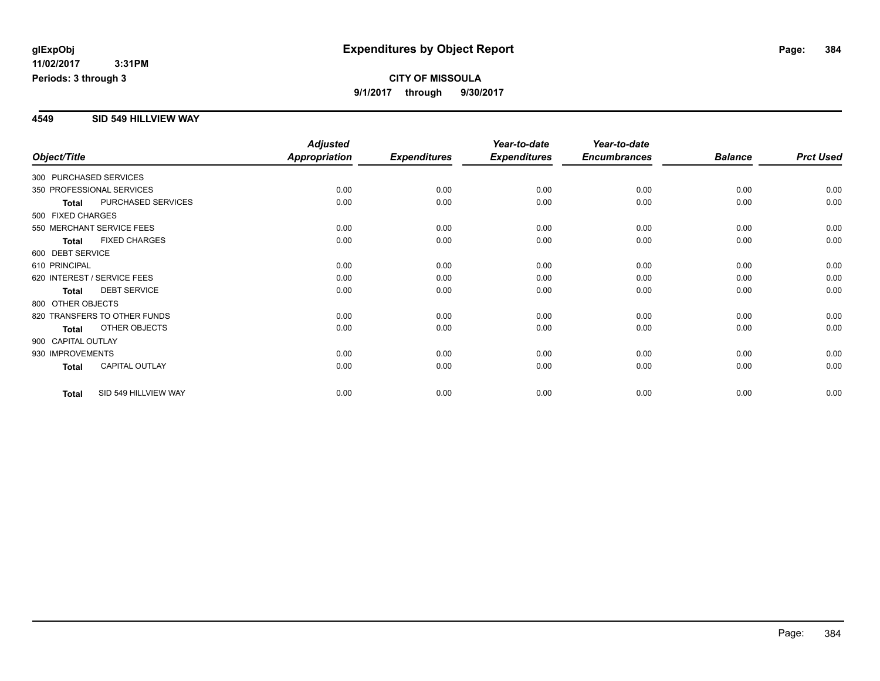### **4549 SID 549 HILLVIEW WAY**

|                    |                              | <b>Adjusted</b>      |                     | Year-to-date        | Year-to-date        |                |                  |
|--------------------|------------------------------|----------------------|---------------------|---------------------|---------------------|----------------|------------------|
| Object/Title       |                              | <b>Appropriation</b> | <b>Expenditures</b> | <b>Expenditures</b> | <b>Encumbrances</b> | <b>Balance</b> | <b>Prct Used</b> |
|                    | 300 PURCHASED SERVICES       |                      |                     |                     |                     |                |                  |
|                    | 350 PROFESSIONAL SERVICES    | 0.00                 | 0.00                | 0.00                | 0.00                | 0.00           | 0.00             |
| <b>Total</b>       | PURCHASED SERVICES           | 0.00                 | 0.00                | 0.00                | 0.00                | 0.00           | 0.00             |
| 500 FIXED CHARGES  |                              |                      |                     |                     |                     |                |                  |
|                    | 550 MERCHANT SERVICE FEES    | 0.00                 | 0.00                | 0.00                | 0.00                | 0.00           | 0.00             |
| Total              | <b>FIXED CHARGES</b>         | 0.00                 | 0.00                | 0.00                | 0.00                | 0.00           | 0.00             |
| 600 DEBT SERVICE   |                              |                      |                     |                     |                     |                |                  |
| 610 PRINCIPAL      |                              | 0.00                 | 0.00                | 0.00                | 0.00                | 0.00           | 0.00             |
|                    | 620 INTEREST / SERVICE FEES  | 0.00                 | 0.00                | 0.00                | 0.00                | 0.00           | 0.00             |
| <b>Total</b>       | <b>DEBT SERVICE</b>          | 0.00                 | 0.00                | 0.00                | 0.00                | 0.00           | 0.00             |
| 800 OTHER OBJECTS  |                              |                      |                     |                     |                     |                |                  |
|                    | 820 TRANSFERS TO OTHER FUNDS | 0.00                 | 0.00                | 0.00                | 0.00                | 0.00           | 0.00             |
| <b>Total</b>       | OTHER OBJECTS                | 0.00                 | 0.00                | 0.00                | 0.00                | 0.00           | 0.00             |
| 900 CAPITAL OUTLAY |                              |                      |                     |                     |                     |                |                  |
| 930 IMPROVEMENTS   |                              | 0.00                 | 0.00                | 0.00                | 0.00                | 0.00           | 0.00             |
| <b>Total</b>       | <b>CAPITAL OUTLAY</b>        | 0.00                 | 0.00                | 0.00                | 0.00                | 0.00           | 0.00             |
| <b>Total</b>       | SID 549 HILLVIEW WAY         | 0.00                 | 0.00                | 0.00                | 0.00                | 0.00           | 0.00             |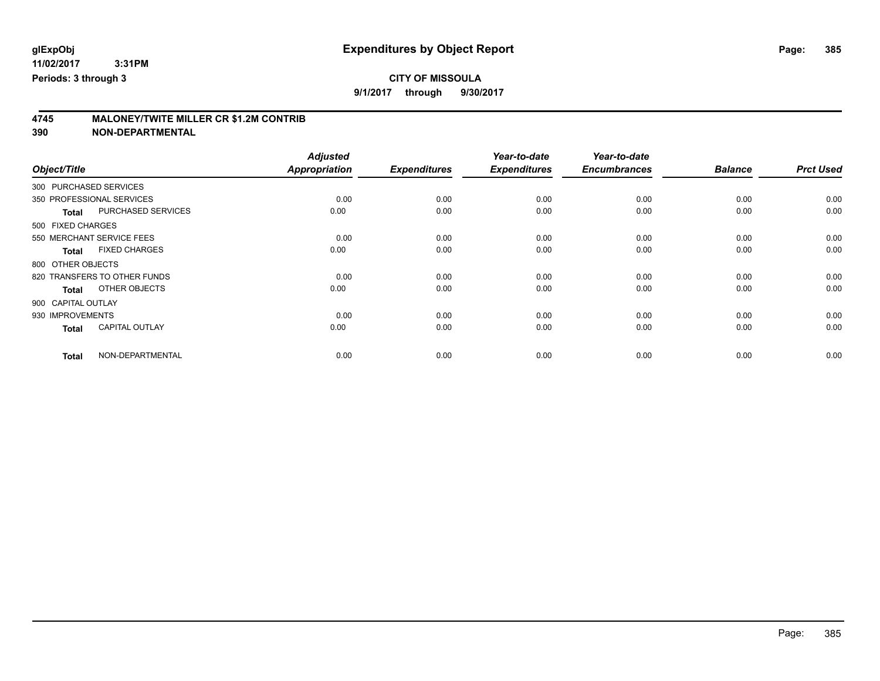## **CITY OF MISSOULA**

**9/1/2017 through 9/30/2017**

# **4745 MALONEY/TWITE MILLER CR \$1.2M CONTRIB**

|                        |                              | <b>Adjusted</b>      |                     | Year-to-date        | Year-to-date        |                |                  |
|------------------------|------------------------------|----------------------|---------------------|---------------------|---------------------|----------------|------------------|
| Object/Title           |                              | <b>Appropriation</b> | <b>Expenditures</b> | <b>Expenditures</b> | <b>Encumbrances</b> | <b>Balance</b> | <b>Prct Used</b> |
| 300 PURCHASED SERVICES |                              |                      |                     |                     |                     |                |                  |
|                        | 350 PROFESSIONAL SERVICES    | 0.00                 | 0.00                | 0.00                | 0.00                | 0.00           | 0.00             |
| <b>Total</b>           | <b>PURCHASED SERVICES</b>    | 0.00                 | 0.00                | 0.00                | 0.00                | 0.00           | 0.00             |
| 500 FIXED CHARGES      |                              |                      |                     |                     |                     |                |                  |
|                        | 550 MERCHANT SERVICE FEES    | 0.00                 | 0.00                | 0.00                | 0.00                | 0.00           | 0.00             |
| <b>Total</b>           | <b>FIXED CHARGES</b>         | 0.00                 | 0.00                | 0.00                | 0.00                | 0.00           | 0.00             |
| 800 OTHER OBJECTS      |                              |                      |                     |                     |                     |                |                  |
|                        | 820 TRANSFERS TO OTHER FUNDS | 0.00                 | 0.00                | 0.00                | 0.00                | 0.00           | 0.00             |
| <b>Total</b>           | OTHER OBJECTS                | 0.00                 | 0.00                | 0.00                | 0.00                | 0.00           | 0.00             |
| 900 CAPITAL OUTLAY     |                              |                      |                     |                     |                     |                |                  |
| 930 IMPROVEMENTS       |                              | 0.00                 | 0.00                | 0.00                | 0.00                | 0.00           | 0.00             |
| <b>Total</b>           | <b>CAPITAL OUTLAY</b>        | 0.00                 | 0.00                | 0.00                | 0.00                | 0.00           | 0.00             |
| <b>Total</b>           | NON-DEPARTMENTAL             | 0.00                 | 0.00                | 0.00                | 0.00                | 0.00           | 0.00             |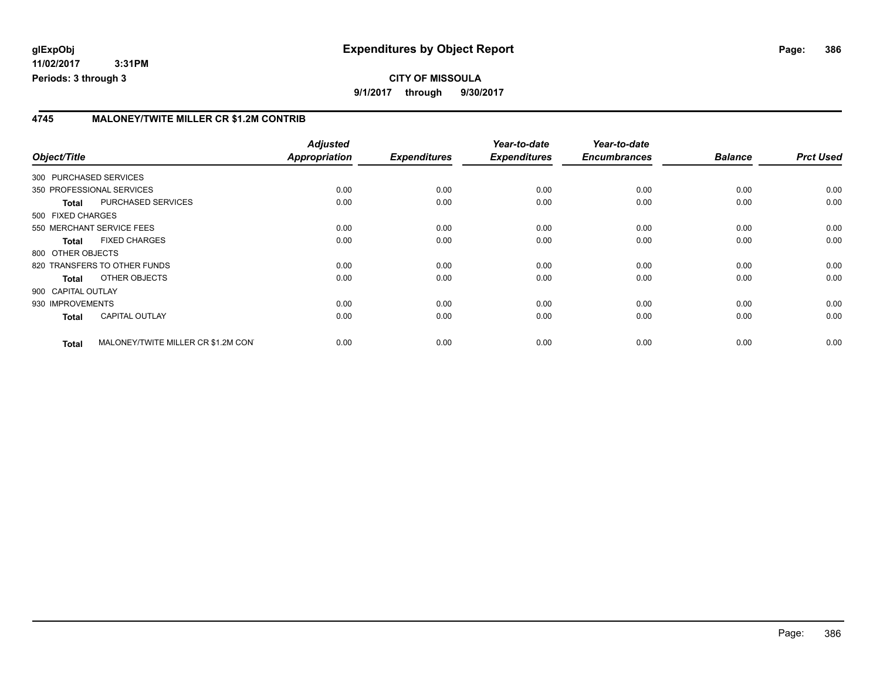## **4745 MALONEY/TWITE MILLER CR \$1.2M CONTRIB**

| Object/Title       |                                     | <b>Adjusted</b><br>Appropriation | <b>Expenditures</b> | Year-to-date<br><b>Expenditures</b> | Year-to-date<br><b>Encumbrances</b> | <b>Balance</b> | <b>Prct Used</b> |
|--------------------|-------------------------------------|----------------------------------|---------------------|-------------------------------------|-------------------------------------|----------------|------------------|
|                    | 300 PURCHASED SERVICES              |                                  |                     |                                     |                                     |                |                  |
|                    | 350 PROFESSIONAL SERVICES           | 0.00                             | 0.00                | 0.00                                | 0.00                                | 0.00           | 0.00             |
| <b>Total</b>       | PURCHASED SERVICES                  | 0.00                             | 0.00                | 0.00                                | 0.00                                | 0.00           | 0.00             |
| 500 FIXED CHARGES  |                                     |                                  |                     |                                     |                                     |                |                  |
|                    | 550 MERCHANT SERVICE FEES           | 0.00                             | 0.00                | 0.00                                | 0.00                                | 0.00           | 0.00             |
| <b>Total</b>       | <b>FIXED CHARGES</b>                | 0.00                             | 0.00                | 0.00                                | 0.00                                | 0.00           | 0.00             |
| 800 OTHER OBJECTS  |                                     |                                  |                     |                                     |                                     |                |                  |
|                    | 820 TRANSFERS TO OTHER FUNDS        | 0.00                             | 0.00                | 0.00                                | 0.00                                | 0.00           | 0.00             |
| <b>Total</b>       | OTHER OBJECTS                       | 0.00                             | 0.00                | 0.00                                | 0.00                                | 0.00           | 0.00             |
| 900 CAPITAL OUTLAY |                                     |                                  |                     |                                     |                                     |                |                  |
| 930 IMPROVEMENTS   |                                     | 0.00                             | 0.00                | 0.00                                | 0.00                                | 0.00           | 0.00             |
| <b>Total</b>       | <b>CAPITAL OUTLAY</b>               | 0.00                             | 0.00                | 0.00                                | 0.00                                | 0.00           | 0.00             |
| <b>Total</b>       | MALONEY/TWITE MILLER CR \$1.2M CON' | 0.00                             | 0.00                | 0.00                                | 0.00                                | 0.00           | 0.00             |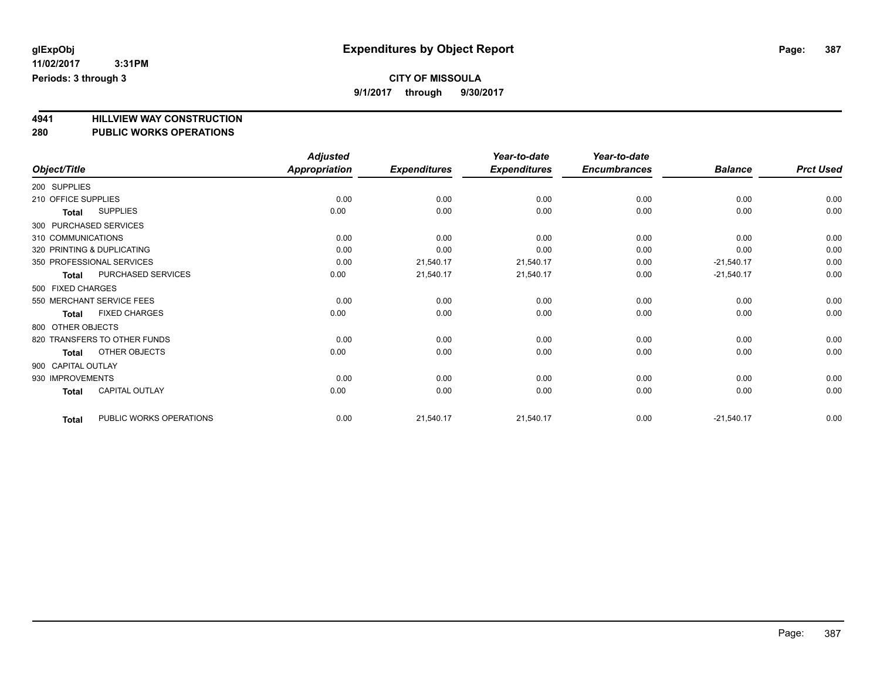## **CITY OF MISSOULA**

**9/1/2017 through 9/30/2017**

## **4941 HILLVIEW WAY CONSTRUCTION**

| 280 | <b>PUBLIC WORKS OPERATIONS</b> |  |
|-----|--------------------------------|--|
|     |                                |  |

|                            |                              | <b>Adjusted</b> |                     | Year-to-date        | Year-to-date        |                |                  |
|----------------------------|------------------------------|-----------------|---------------------|---------------------|---------------------|----------------|------------------|
| Object/Title               |                              | Appropriation   | <b>Expenditures</b> | <b>Expenditures</b> | <b>Encumbrances</b> | <b>Balance</b> | <b>Prct Used</b> |
| 200 SUPPLIES               |                              |                 |                     |                     |                     |                |                  |
| 210 OFFICE SUPPLIES        |                              | 0.00            | 0.00                | 0.00                | 0.00                | 0.00           | 0.00             |
| Total                      | <b>SUPPLIES</b>              | 0.00            | 0.00                | 0.00                | 0.00                | 0.00           | 0.00             |
| 300 PURCHASED SERVICES     |                              |                 |                     |                     |                     |                |                  |
| 310 COMMUNICATIONS         |                              | 0.00            | 0.00                | 0.00                | 0.00                | 0.00           | 0.00             |
| 320 PRINTING & DUPLICATING |                              | 0.00            | 0.00                | 0.00                | 0.00                | 0.00           | 0.00             |
| 350 PROFESSIONAL SERVICES  |                              | 0.00            | 21,540.17           | 21,540.17           | 0.00                | $-21,540.17$   | 0.00             |
| <b>Total</b>               | PURCHASED SERVICES           | 0.00            | 21,540.17           | 21,540.17           | 0.00                | $-21,540.17$   | 0.00             |
| 500 FIXED CHARGES          |                              |                 |                     |                     |                     |                |                  |
| 550 MERCHANT SERVICE FEES  |                              | 0.00            | 0.00                | 0.00                | 0.00                | 0.00           | 0.00             |
| <b>Total</b>               | <b>FIXED CHARGES</b>         | 0.00            | 0.00                | 0.00                | 0.00                | 0.00           | 0.00             |
| 800 OTHER OBJECTS          |                              |                 |                     |                     |                     |                |                  |
|                            | 820 TRANSFERS TO OTHER FUNDS | 0.00            | 0.00                | 0.00                | 0.00                | 0.00           | 0.00             |
| <b>Total</b>               | OTHER OBJECTS                | 0.00            | 0.00                | 0.00                | 0.00                | 0.00           | 0.00             |
| 900 CAPITAL OUTLAY         |                              |                 |                     |                     |                     |                |                  |
| 930 IMPROVEMENTS           |                              | 0.00            | 0.00                | 0.00                | 0.00                | 0.00           | 0.00             |
| <b>Total</b>               | <b>CAPITAL OUTLAY</b>        | 0.00            | 0.00                | 0.00                | 0.00                | 0.00           | 0.00             |
| <b>Total</b>               | PUBLIC WORKS OPERATIONS      | 0.00            | 21,540.17           | 21,540.17           | 0.00                | $-21,540.17$   | 0.00             |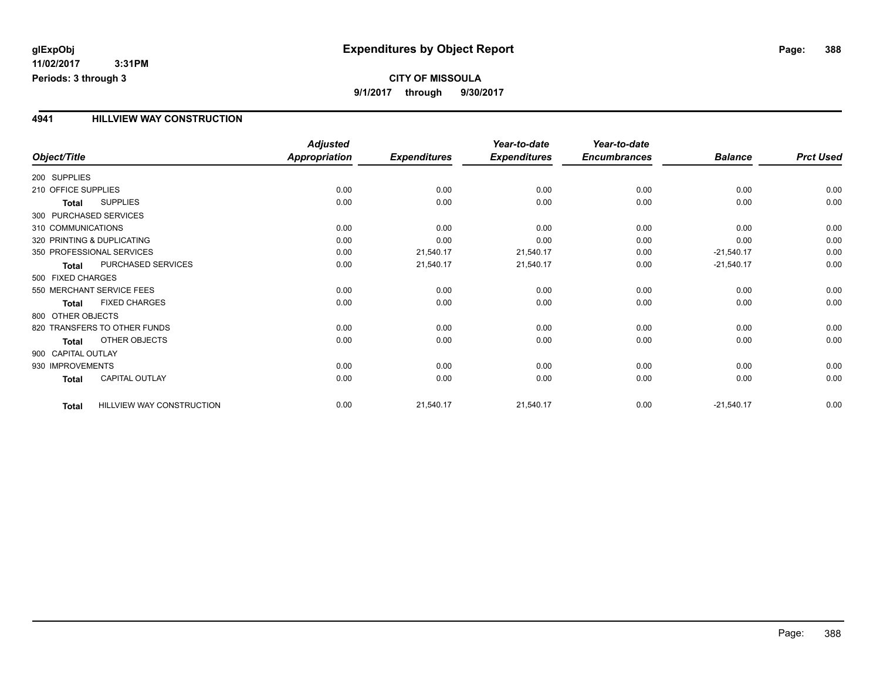## **CITY OF MISSOULA 9/1/2017 through 9/30/2017**

## **4941 HILLVIEW WAY CONSTRUCTION**

|                        |                              | <b>Adjusted</b>      |                     | Year-to-date        | Year-to-date        |                |                  |
|------------------------|------------------------------|----------------------|---------------------|---------------------|---------------------|----------------|------------------|
| Object/Title           |                              | <b>Appropriation</b> | <b>Expenditures</b> | <b>Expenditures</b> | <b>Encumbrances</b> | <b>Balance</b> | <b>Prct Used</b> |
| 200 SUPPLIES           |                              |                      |                     |                     |                     |                |                  |
| 210 OFFICE SUPPLIES    |                              | 0.00                 | 0.00                | 0.00                | 0.00                | 0.00           | 0.00             |
| <b>Total</b>           | <b>SUPPLIES</b>              | 0.00                 | 0.00                | 0.00                | 0.00                | 0.00           | 0.00             |
| 300 PURCHASED SERVICES |                              |                      |                     |                     |                     |                |                  |
| 310 COMMUNICATIONS     |                              | 0.00                 | 0.00                | 0.00                | 0.00                | 0.00           | 0.00             |
|                        | 320 PRINTING & DUPLICATING   | 0.00                 | 0.00                | 0.00                | 0.00                | 0.00           | 0.00             |
|                        | 350 PROFESSIONAL SERVICES    | 0.00                 | 21,540.17           | 21,540.17           | 0.00                | $-21,540.17$   | 0.00             |
| Total                  | PURCHASED SERVICES           | 0.00                 | 21,540.17           | 21,540.17           | 0.00                | $-21,540.17$   | 0.00             |
| 500 FIXED CHARGES      |                              |                      |                     |                     |                     |                |                  |
|                        | 550 MERCHANT SERVICE FEES    | 0.00                 | 0.00                | 0.00                | 0.00                | 0.00           | 0.00             |
| <b>Total</b>           | <b>FIXED CHARGES</b>         | 0.00                 | 0.00                | 0.00                | 0.00                | 0.00           | 0.00             |
| 800 OTHER OBJECTS      |                              |                      |                     |                     |                     |                |                  |
|                        | 820 TRANSFERS TO OTHER FUNDS | 0.00                 | 0.00                | 0.00                | 0.00                | 0.00           | 0.00             |
| <b>Total</b>           | <b>OTHER OBJECTS</b>         | 0.00                 | 0.00                | 0.00                | 0.00                | 0.00           | 0.00             |
| 900 CAPITAL OUTLAY     |                              |                      |                     |                     |                     |                |                  |
| 930 IMPROVEMENTS       |                              | 0.00                 | 0.00                | 0.00                | 0.00                | 0.00           | 0.00             |
| <b>Total</b>           | <b>CAPITAL OUTLAY</b>        | 0.00                 | 0.00                | 0.00                | 0.00                | 0.00           | 0.00             |
| <b>Total</b>           | HILLVIEW WAY CONSTRUCTION    | 0.00                 | 21,540.17           | 21,540.17           | 0.00                | $-21,540.17$   | 0.00             |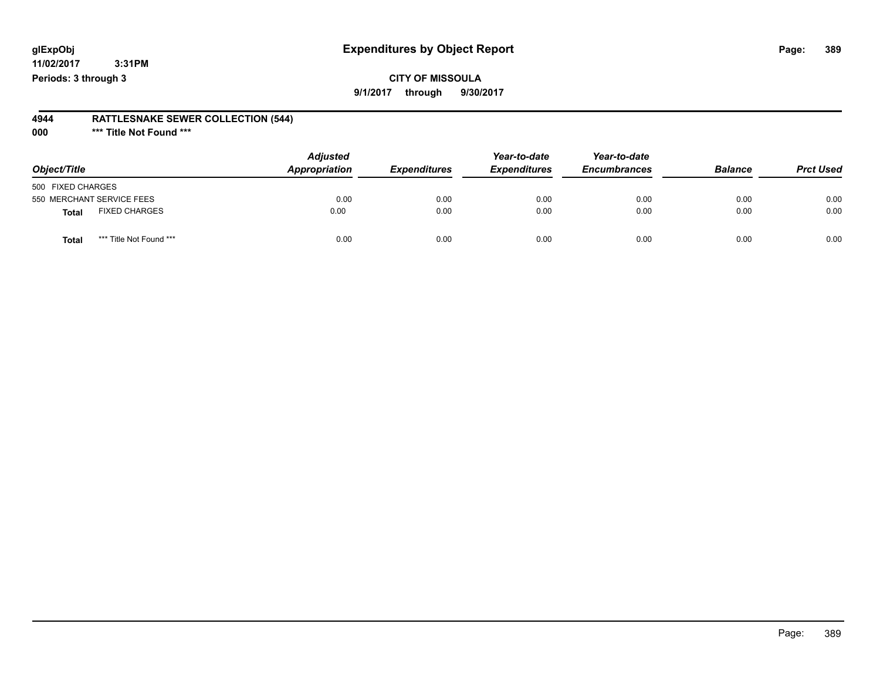## **CITY OF MISSOULA**

**9/1/2017 through 9/30/2017**

### **4944 RATTLESNAKE SEWER COLLECTION (544)**

**000 \*\*\* Title Not Found \*\*\***

| Object/Title                            | <b>Adjusted</b><br>Appropriation | <b>Expenditures</b> | Year-to-date<br><b>Expenditures</b> | Year-to-date<br><b>Encumbrances</b> | <b>Balance</b> | <b>Prct Used</b> |
|-----------------------------------------|----------------------------------|---------------------|-------------------------------------|-------------------------------------|----------------|------------------|
| 500 FIXED CHARGES                       |                                  |                     |                                     |                                     |                |                  |
| 550 MERCHANT SERVICE FEES               | 0.00                             | 0.00                | 0.00                                | 0.00                                | 0.00           | 0.00             |
| <b>FIXED CHARGES</b><br><b>Total</b>    | 0.00                             | 0.00                | 0.00                                | 0.00                                | 0.00           | 0.00             |
| *** Title Not Found ***<br><b>Total</b> | 0.00                             | 0.00                | 0.00                                | 0.00                                | 0.00           | 0.00             |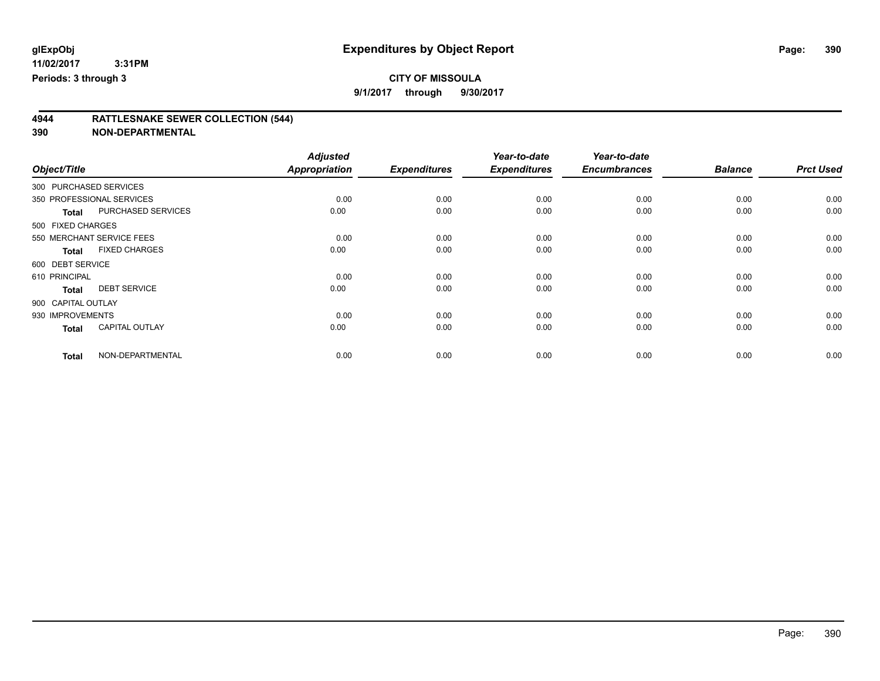**9/1/2017 through 9/30/2017**

## **4944 RATTLESNAKE SEWER COLLECTION (544)**

| Object/Title           |                           | <b>Adjusted</b><br>Appropriation | <b>Expenditures</b> | Year-to-date        | Year-to-date<br><b>Encumbrances</b> | <b>Balance</b> | <b>Prct Used</b> |
|------------------------|---------------------------|----------------------------------|---------------------|---------------------|-------------------------------------|----------------|------------------|
|                        |                           |                                  |                     | <b>Expenditures</b> |                                     |                |                  |
| 300 PURCHASED SERVICES |                           |                                  |                     |                     |                                     |                |                  |
|                        | 350 PROFESSIONAL SERVICES | 0.00                             | 0.00                | 0.00                | 0.00                                | 0.00           | 0.00             |
| <b>Total</b>           | PURCHASED SERVICES        | 0.00                             | 0.00                | 0.00                | 0.00                                | 0.00           | 0.00             |
| 500 FIXED CHARGES      |                           |                                  |                     |                     |                                     |                |                  |
|                        | 550 MERCHANT SERVICE FEES | 0.00                             | 0.00                | 0.00                | 0.00                                | 0.00           | 0.00             |
| <b>Total</b>           | <b>FIXED CHARGES</b>      | 0.00                             | 0.00                | 0.00                | 0.00                                | 0.00           | 0.00             |
| 600 DEBT SERVICE       |                           |                                  |                     |                     |                                     |                |                  |
| 610 PRINCIPAL          |                           | 0.00                             | 0.00                | 0.00                | 0.00                                | 0.00           | 0.00             |
| <b>Total</b>           | <b>DEBT SERVICE</b>       | 0.00                             | 0.00                | 0.00                | 0.00                                | 0.00           | 0.00             |
| 900 CAPITAL OUTLAY     |                           |                                  |                     |                     |                                     |                |                  |
| 930 IMPROVEMENTS       |                           | 0.00                             | 0.00                | 0.00                | 0.00                                | 0.00           | 0.00             |
| <b>Total</b>           | <b>CAPITAL OUTLAY</b>     | 0.00                             | 0.00                | 0.00                | 0.00                                | 0.00           | 0.00             |
| <b>Total</b>           | NON-DEPARTMENTAL          | 0.00                             | 0.00                | 0.00                | 0.00                                | 0.00           | 0.00             |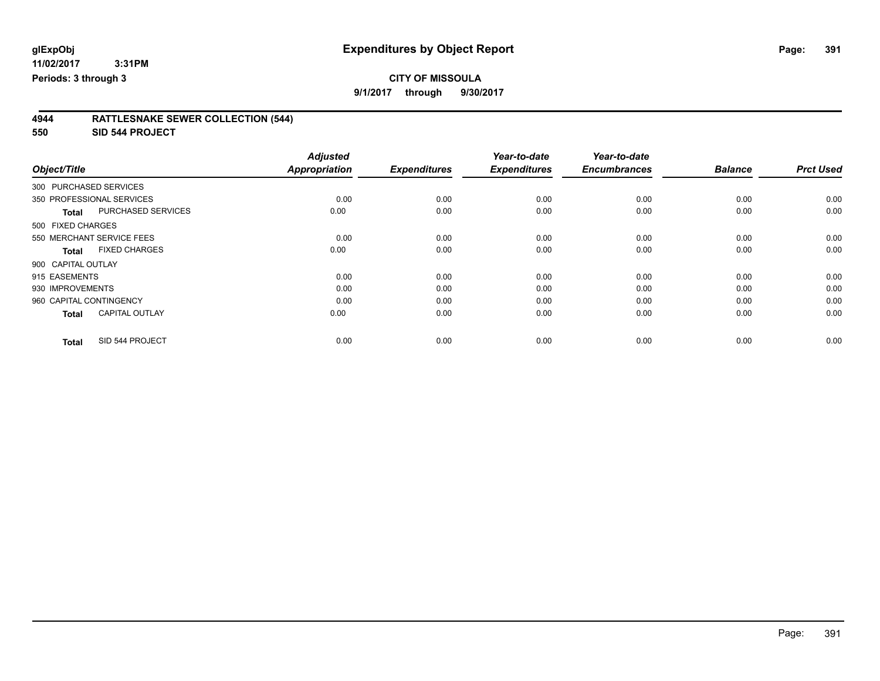## **CITY OF MISSOULA**

**9/1/2017 through 9/30/2017**

| 4944 | <b>RATTLESNAKE SEWER COLLECTION (544)</b> |
|------|-------------------------------------------|
|      |                                           |

**550 SID 544 PROJECT**

|                         |                           | <b>Adjusted</b>      |                     | Year-to-date        | Year-to-date        |                |                  |
|-------------------------|---------------------------|----------------------|---------------------|---------------------|---------------------|----------------|------------------|
| Object/Title            |                           | <b>Appropriation</b> | <b>Expenditures</b> | <b>Expenditures</b> | <b>Encumbrances</b> | <b>Balance</b> | <b>Prct Used</b> |
| 300 PURCHASED SERVICES  |                           |                      |                     |                     |                     |                |                  |
|                         | 350 PROFESSIONAL SERVICES | 0.00                 | 0.00                | 0.00                | 0.00                | 0.00           | 0.00             |
| <b>Total</b>            | <b>PURCHASED SERVICES</b> | 0.00                 | 0.00                | 0.00                | 0.00                | 0.00           | 0.00             |
| 500 FIXED CHARGES       |                           |                      |                     |                     |                     |                |                  |
|                         | 550 MERCHANT SERVICE FEES | 0.00                 | 0.00                | 0.00                | 0.00                | 0.00           | 0.00             |
| <b>Total</b>            | <b>FIXED CHARGES</b>      | 0.00                 | 0.00                | 0.00                | 0.00                | 0.00           | 0.00             |
| 900 CAPITAL OUTLAY      |                           |                      |                     |                     |                     |                |                  |
| 915 EASEMENTS           |                           | 0.00                 | 0.00                | 0.00                | 0.00                | 0.00           | 0.00             |
| 930 IMPROVEMENTS        |                           | 0.00                 | 0.00                | 0.00                | 0.00                | 0.00           | 0.00             |
| 960 CAPITAL CONTINGENCY |                           | 0.00                 | 0.00                | 0.00                | 0.00                | 0.00           | 0.00             |
| <b>Total</b>            | <b>CAPITAL OUTLAY</b>     | 0.00                 | 0.00                | 0.00                | 0.00                | 0.00           | 0.00             |
| <b>Total</b>            | SID 544 PROJECT           | 0.00                 | 0.00                | 0.00                | 0.00                | 0.00           | 0.00             |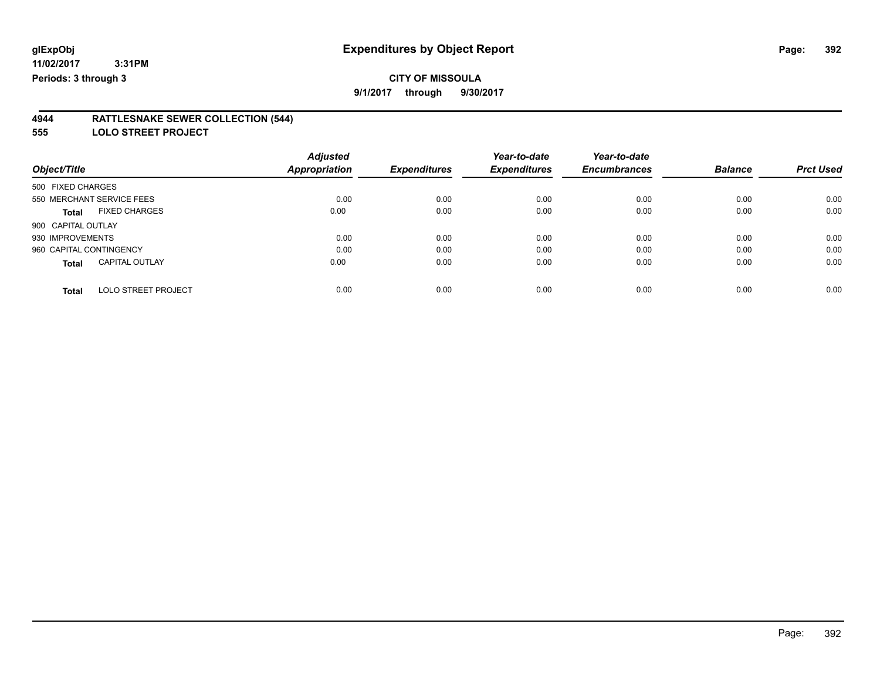**9/1/2017 through 9/30/2017**

### **4944 RATTLESNAKE SEWER COLLECTION (544)**

**555 LOLO STREET PROJECT**

| Object/Title                               | <b>Adjusted</b><br><b>Appropriation</b> | <b>Expenditures</b> | Year-to-date<br><b>Expenditures</b> | Year-to-date<br><b>Encumbrances</b> | <b>Balance</b> | <b>Prct Used</b> |
|--------------------------------------------|-----------------------------------------|---------------------|-------------------------------------|-------------------------------------|----------------|------------------|
|                                            |                                         |                     |                                     |                                     |                |                  |
| 500 FIXED CHARGES                          |                                         |                     |                                     |                                     |                |                  |
| 550 MERCHANT SERVICE FEES                  | 0.00                                    | 0.00                | 0.00                                | 0.00                                | 0.00           | 0.00             |
| <b>FIXED CHARGES</b><br><b>Total</b>       | 0.00                                    | 0.00                | 0.00                                | 0.00                                | 0.00           | 0.00             |
| 900 CAPITAL OUTLAY                         |                                         |                     |                                     |                                     |                |                  |
| 930 IMPROVEMENTS                           | 0.00                                    | 0.00                | 0.00                                | 0.00                                | 0.00           | 0.00             |
| 960 CAPITAL CONTINGENCY                    | 0.00                                    | 0.00                | 0.00                                | 0.00                                | 0.00           | 0.00             |
| <b>CAPITAL OUTLAY</b><br><b>Total</b>      | 0.00                                    | 0.00                | 0.00                                | 0.00                                | 0.00           | 0.00             |
| <b>LOLO STREET PROJECT</b><br><b>Total</b> | 0.00                                    | 0.00                | 0.00                                | 0.00                                | 0.00           | 0.00             |

Page: 392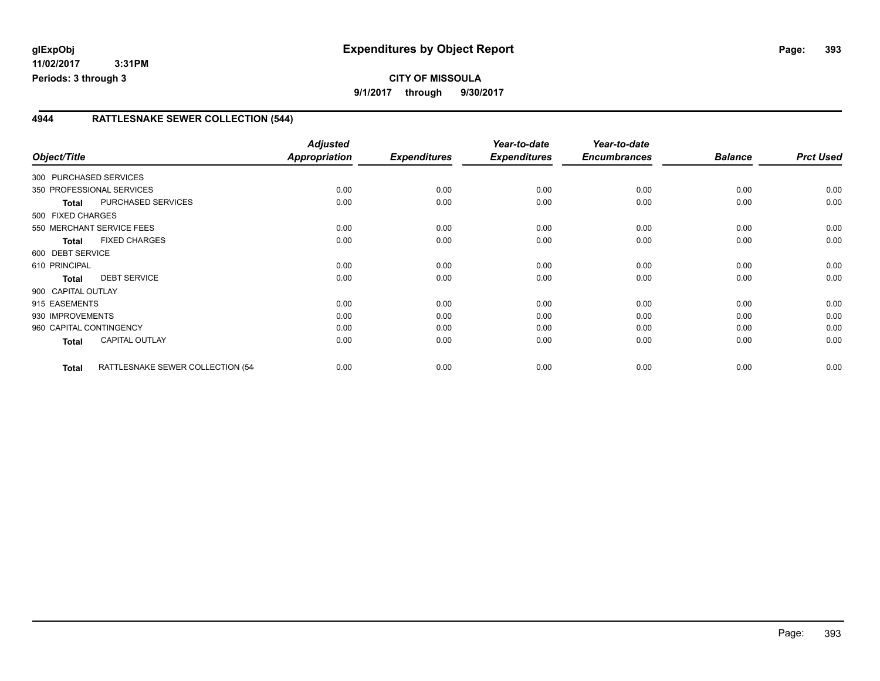## **4944 RATTLESNAKE SEWER COLLECTION (544)**

| Object/Title            |                                  | <b>Adjusted</b><br><b>Appropriation</b> | <b>Expenditures</b> | Year-to-date<br><b>Expenditures</b> | Year-to-date<br><b>Encumbrances</b> | <b>Balance</b> | <b>Prct Used</b> |
|-------------------------|----------------------------------|-----------------------------------------|---------------------|-------------------------------------|-------------------------------------|----------------|------------------|
| 300 PURCHASED SERVICES  |                                  |                                         |                     |                                     |                                     |                |                  |
|                         | 350 PROFESSIONAL SERVICES        | 0.00                                    | 0.00                | 0.00                                | 0.00                                | 0.00           | 0.00             |
| <b>Total</b>            | <b>PURCHASED SERVICES</b>        | 0.00                                    | 0.00                | 0.00                                | 0.00                                | 0.00           | 0.00             |
| 500 FIXED CHARGES       |                                  |                                         |                     |                                     |                                     |                |                  |
|                         | 550 MERCHANT SERVICE FEES        | 0.00                                    | 0.00                | 0.00                                | 0.00                                | 0.00           | 0.00             |
| <b>Total</b>            | <b>FIXED CHARGES</b>             | 0.00                                    | 0.00                | 0.00                                | 0.00                                | 0.00           | 0.00             |
| 600 DEBT SERVICE        |                                  |                                         |                     |                                     |                                     |                |                  |
| 610 PRINCIPAL           |                                  | 0.00                                    | 0.00                | 0.00                                | 0.00                                | 0.00           | 0.00             |
| <b>Total</b>            | <b>DEBT SERVICE</b>              | 0.00                                    | 0.00                | 0.00                                | 0.00                                | 0.00           | 0.00             |
| 900 CAPITAL OUTLAY      |                                  |                                         |                     |                                     |                                     |                |                  |
| 915 EASEMENTS           |                                  | 0.00                                    | 0.00                | 0.00                                | 0.00                                | 0.00           | 0.00             |
| 930 IMPROVEMENTS        |                                  | 0.00                                    | 0.00                | 0.00                                | 0.00                                | 0.00           | 0.00             |
| 960 CAPITAL CONTINGENCY |                                  | 0.00                                    | 0.00                | 0.00                                | 0.00                                | 0.00           | 0.00             |
| Total                   | <b>CAPITAL OUTLAY</b>            | 0.00                                    | 0.00                | 0.00                                | 0.00                                | 0.00           | 0.00             |
| <b>Total</b>            | RATTLESNAKE SEWER COLLECTION (54 | 0.00                                    | 0.00                | 0.00                                | 0.00                                | 0.00           | 0.00             |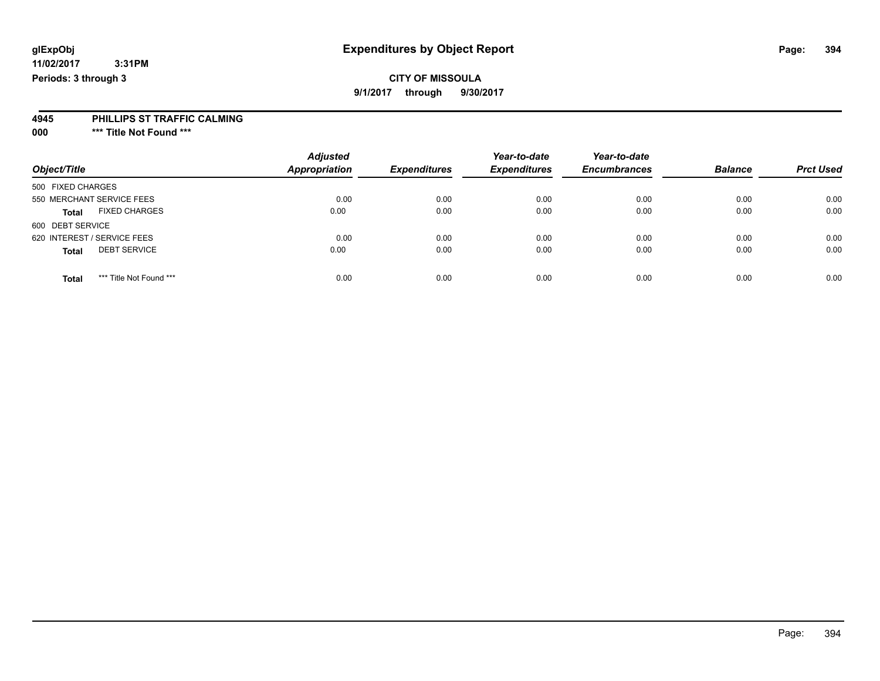## **CITY OF MISSOULA**

**9/1/2017 through 9/30/2017**

### **4945 PHILLIPS ST TRAFFIC CALMING**

**000 \*\*\* Title Not Found \*\*\***

| Object/Title                            | <b>Adjusted</b><br>Appropriation | <b>Expenditures</b> | Year-to-date<br><b>Expenditures</b> | Year-to-date<br><b>Encumbrances</b> | <b>Balance</b> | <b>Prct Used</b> |
|-----------------------------------------|----------------------------------|---------------------|-------------------------------------|-------------------------------------|----------------|------------------|
| 500 FIXED CHARGES                       |                                  |                     |                                     |                                     |                |                  |
| 550 MERCHANT SERVICE FEES               | 0.00                             | 0.00                | 0.00                                | 0.00                                | 0.00           | 0.00             |
| <b>FIXED CHARGES</b><br><b>Total</b>    | 0.00                             | 0.00                | 0.00                                | 0.00                                | 0.00           | 0.00             |
| 600 DEBT SERVICE                        |                                  |                     |                                     |                                     |                |                  |
| 620 INTEREST / SERVICE FEES             | 0.00                             | 0.00                | 0.00                                | 0.00                                | 0.00           | 0.00             |
| <b>DEBT SERVICE</b><br><b>Total</b>     | 0.00                             | 0.00                | 0.00                                | 0.00                                | 0.00           | 0.00             |
| *** Title Not Found ***<br><b>Total</b> | 0.00                             | 0.00                | 0.00                                | 0.00                                | 0.00           | 0.00             |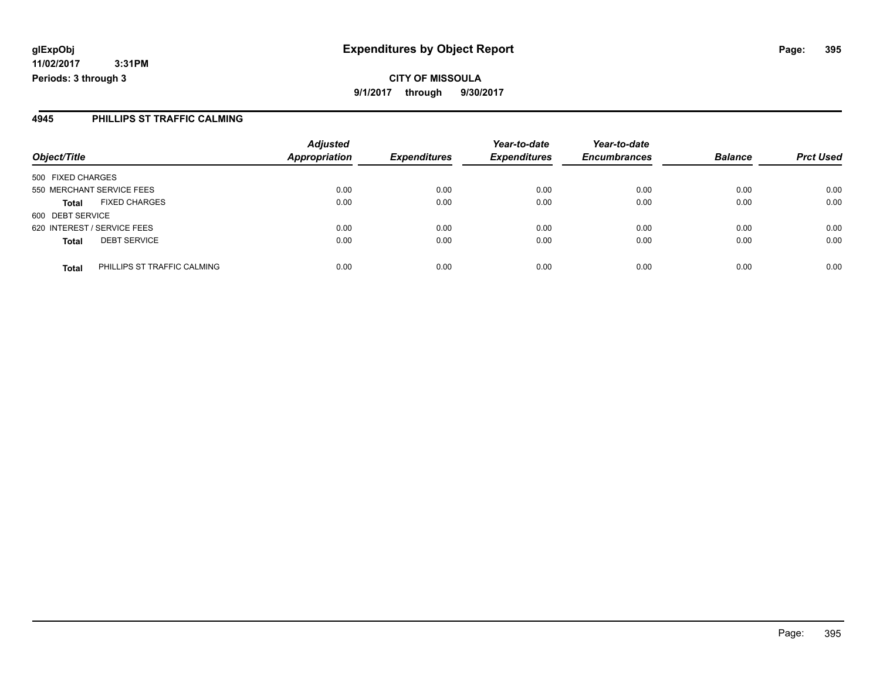**CITY OF MISSOULA 9/1/2017 through 9/30/2017**

## **4945 PHILLIPS ST TRAFFIC CALMING**

|                             |                             | <b>Adjusted</b>      |                     | Year-to-date        | Year-to-date        |                |                  |
|-----------------------------|-----------------------------|----------------------|---------------------|---------------------|---------------------|----------------|------------------|
| Object/Title                |                             | <b>Appropriation</b> | <b>Expenditures</b> | <b>Expenditures</b> | <b>Encumbrances</b> | <b>Balance</b> | <b>Prct Used</b> |
| 500 FIXED CHARGES           |                             |                      |                     |                     |                     |                |                  |
| 550 MERCHANT SERVICE FEES   |                             | 0.00                 | 0.00                | 0.00                | 0.00                | 0.00           | 0.00             |
| <b>Total</b>                | <b>FIXED CHARGES</b>        | 0.00                 | 0.00                | 0.00                | 0.00                | 0.00           | 0.00             |
| 600 DEBT SERVICE            |                             |                      |                     |                     |                     |                |                  |
| 620 INTEREST / SERVICE FEES |                             | 0.00                 | 0.00                | 0.00                | 0.00                | 0.00           | 0.00             |
| <b>Total</b>                | <b>DEBT SERVICE</b>         | 0.00                 | 0.00                | 0.00                | 0.00                | 0.00           | 0.00             |
| <b>Total</b>                | PHILLIPS ST TRAFFIC CALMING | 0.00                 | 0.00                | 0.00                | 0.00                | 0.00           | 0.00             |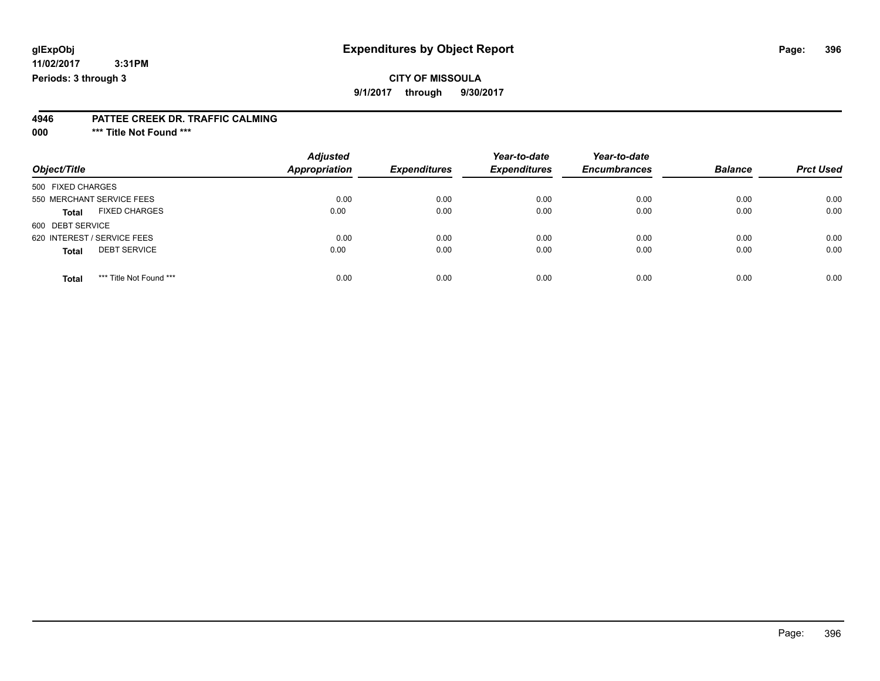## **CITY OF MISSOULA**

**9/1/2017 through 9/30/2017**

#### **4946 PATTEE CREEK DR. TRAFFIC CALMING**

**000 \*\*\* Title Not Found \*\*\***

| Object/Title                            | <b>Adjusted</b><br><b>Appropriation</b> | <b>Expenditures</b> | Year-to-date<br><b>Expenditures</b> | Year-to-date<br><b>Encumbrances</b> | <b>Balance</b> | <b>Prct Used</b> |
|-----------------------------------------|-----------------------------------------|---------------------|-------------------------------------|-------------------------------------|----------------|------------------|
| 500 FIXED CHARGES                       |                                         |                     |                                     |                                     |                |                  |
| 550 MERCHANT SERVICE FEES               | 0.00                                    | 0.00                | 0.00                                | 0.00                                | 0.00           | 0.00             |
| <b>FIXED CHARGES</b><br><b>Total</b>    | 0.00                                    | 0.00                | 0.00                                | 0.00                                | 0.00           | 0.00             |
| 600 DEBT SERVICE                        |                                         |                     |                                     |                                     |                |                  |
| 620 INTEREST / SERVICE FEES             | 0.00                                    | 0.00                | 0.00                                | 0.00                                | 0.00           | 0.00             |
| <b>DEBT SERVICE</b><br><b>Total</b>     | 0.00                                    | 0.00                | 0.00                                | 0.00                                | 0.00           | 0.00             |
| *** Title Not Found ***<br><b>Total</b> | 0.00                                    | 0.00                | 0.00                                | 0.00                                | 0.00           | 0.00             |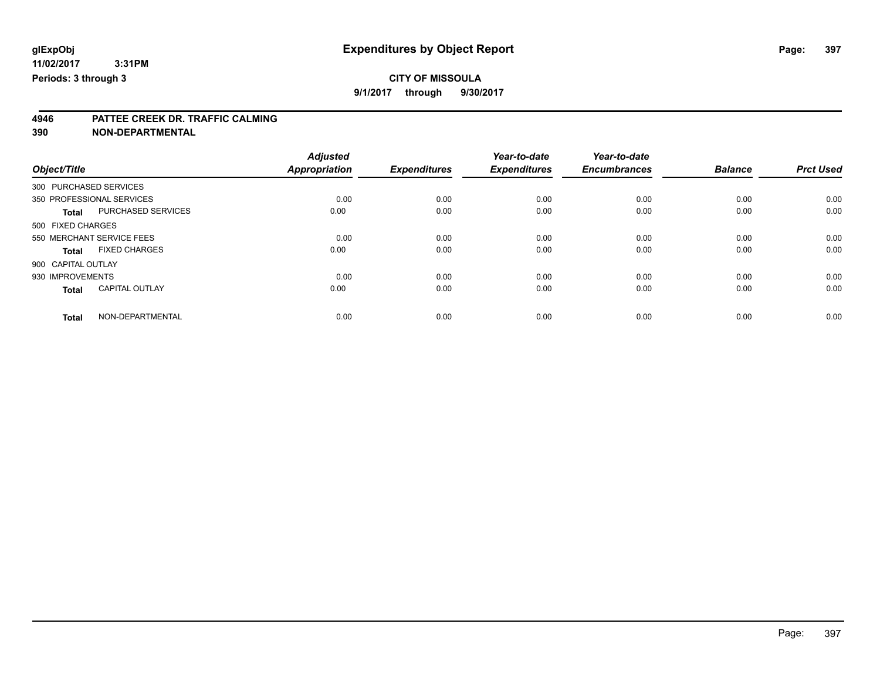### **CITY OF MISSOULA**

**9/1/2017 through 9/30/2017**

# **4946 PATTEE CREEK DR. TRAFFIC CALMING**

**390 NON-DEPARTMENTAL**

|                        |                           | <b>Adjusted</b>      |                     | Year-to-date        | Year-to-date        |                |                  |
|------------------------|---------------------------|----------------------|---------------------|---------------------|---------------------|----------------|------------------|
| Object/Title           |                           | <b>Appropriation</b> | <b>Expenditures</b> | <b>Expenditures</b> | <b>Encumbrances</b> | <b>Balance</b> | <b>Prct Used</b> |
| 300 PURCHASED SERVICES |                           |                      |                     |                     |                     |                |                  |
|                        | 350 PROFESSIONAL SERVICES | 0.00                 | 0.00                | 0.00                | 0.00                | 0.00           | 0.00             |
| <b>Total</b>           | PURCHASED SERVICES        | 0.00                 | 0.00                | 0.00                | 0.00                | 0.00           | 0.00             |
| 500 FIXED CHARGES      |                           |                      |                     |                     |                     |                |                  |
|                        | 550 MERCHANT SERVICE FEES | 0.00                 | 0.00                | 0.00                | 0.00                | 0.00           | 0.00             |
| <b>Total</b>           | <b>FIXED CHARGES</b>      | 0.00                 | 0.00                | 0.00                | 0.00                | 0.00           | 0.00             |
| 900 CAPITAL OUTLAY     |                           |                      |                     |                     |                     |                |                  |
| 930 IMPROVEMENTS       |                           | 0.00                 | 0.00                | 0.00                | 0.00                | 0.00           | 0.00             |
| <b>Total</b>           | <b>CAPITAL OUTLAY</b>     | 0.00                 | 0.00                | 0.00                | 0.00                | 0.00           | 0.00             |
| <b>Total</b>           | NON-DEPARTMENTAL          | 0.00                 | 0.00                | 0.00                | 0.00                | 0.00           | 0.00             |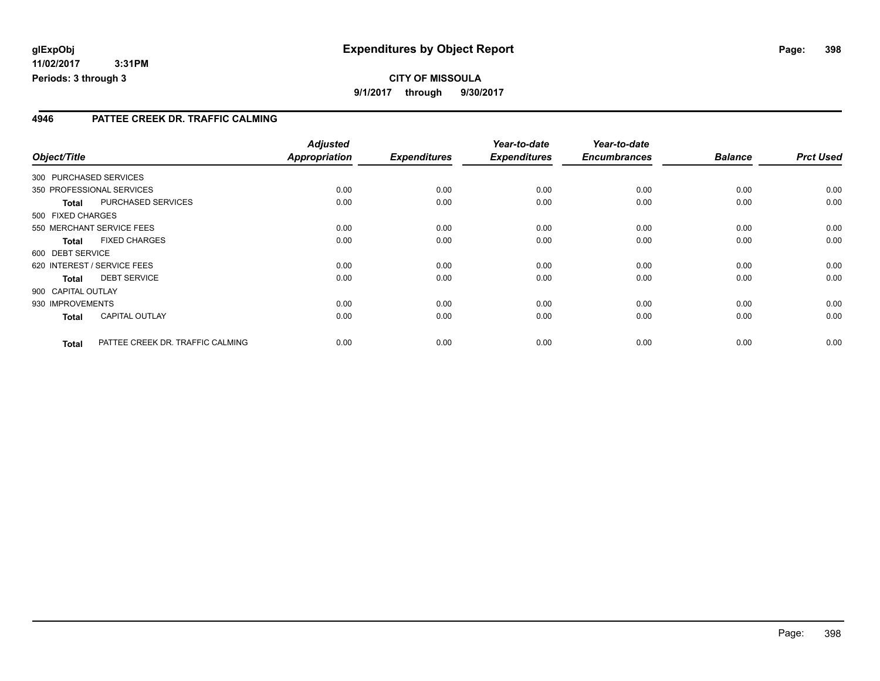### **4946 PATTEE CREEK DR. TRAFFIC CALMING**

|                    |                                  | <b>Adjusted</b>      |                     | Year-to-date        | Year-to-date        |                |                  |
|--------------------|----------------------------------|----------------------|---------------------|---------------------|---------------------|----------------|------------------|
| Object/Title       |                                  | <b>Appropriation</b> | <b>Expenditures</b> | <b>Expenditures</b> | <b>Encumbrances</b> | <b>Balance</b> | <b>Prct Used</b> |
|                    | 300 PURCHASED SERVICES           |                      |                     |                     |                     |                |                  |
|                    | 350 PROFESSIONAL SERVICES        | 0.00                 | 0.00                | 0.00                | 0.00                | 0.00           | 0.00             |
| <b>Total</b>       | PURCHASED SERVICES               | 0.00                 | 0.00                | 0.00                | 0.00                | 0.00           | 0.00             |
| 500 FIXED CHARGES  |                                  |                      |                     |                     |                     |                |                  |
|                    | 550 MERCHANT SERVICE FEES        | 0.00                 | 0.00                | 0.00                | 0.00                | 0.00           | 0.00             |
| <b>Total</b>       | <b>FIXED CHARGES</b>             | 0.00                 | 0.00                | 0.00                | 0.00                | 0.00           | 0.00             |
| 600 DEBT SERVICE   |                                  |                      |                     |                     |                     |                |                  |
|                    | 620 INTEREST / SERVICE FEES      | 0.00                 | 0.00                | 0.00                | 0.00                | 0.00           | 0.00             |
| <b>Total</b>       | <b>DEBT SERVICE</b>              | 0.00                 | 0.00                | 0.00                | 0.00                | 0.00           | 0.00             |
| 900 CAPITAL OUTLAY |                                  |                      |                     |                     |                     |                |                  |
| 930 IMPROVEMENTS   |                                  | 0.00                 | 0.00                | 0.00                | 0.00                | 0.00           | 0.00             |
| <b>Total</b>       | <b>CAPITAL OUTLAY</b>            | 0.00                 | 0.00                | 0.00                | 0.00                | 0.00           | 0.00             |
| <b>Total</b>       | PATTEE CREEK DR. TRAFFIC CALMING | 0.00                 | 0.00                | 0.00                | 0.00                | 0.00           | 0.00             |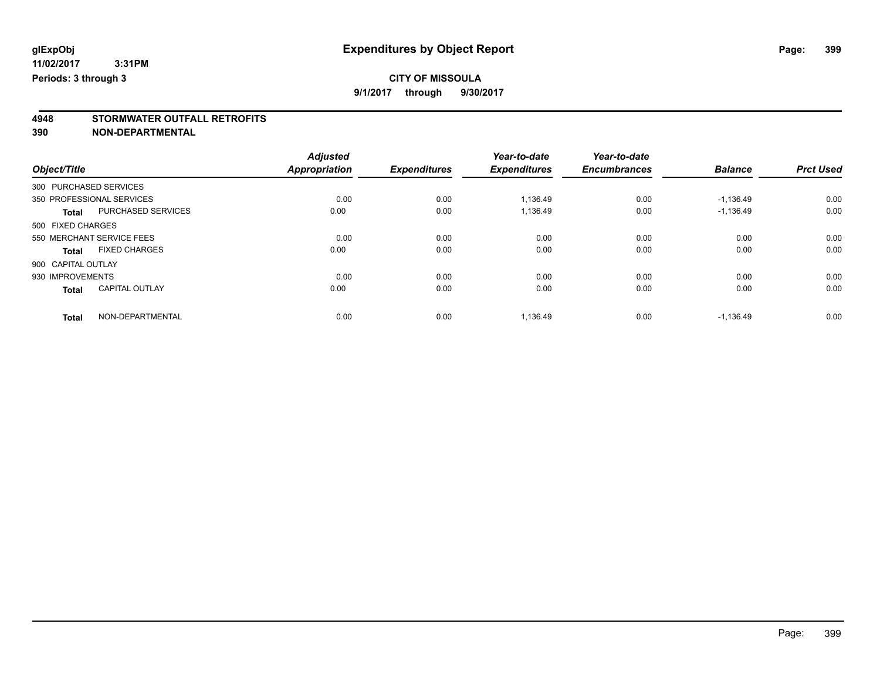### **CITY OF MISSOULA**

**9/1/2017 through 9/30/2017**

# **4948 STORMWATER OUTFALL RETROFITS**

**390 NON-DEPARTMENTAL**

|                        |                           | <b>Adjusted</b> |                     | Year-to-date        | Year-to-date        |                |                  |
|------------------------|---------------------------|-----------------|---------------------|---------------------|---------------------|----------------|------------------|
| Object/Title           |                           | Appropriation   | <b>Expenditures</b> | <b>Expenditures</b> | <b>Encumbrances</b> | <b>Balance</b> | <b>Prct Used</b> |
| 300 PURCHASED SERVICES |                           |                 |                     |                     |                     |                |                  |
|                        | 350 PROFESSIONAL SERVICES | 0.00            | 0.00                | 1,136.49            | 0.00                | $-1,136.49$    | 0.00             |
| <b>Total</b>           | PURCHASED SERVICES        | 0.00            | 0.00                | 1.136.49            | 0.00                | $-1,136.49$    | 0.00             |
| 500 FIXED CHARGES      |                           |                 |                     |                     |                     |                |                  |
|                        | 550 MERCHANT SERVICE FEES | 0.00            | 0.00                | 0.00                | 0.00                | 0.00           | 0.00             |
| <b>Total</b>           | <b>FIXED CHARGES</b>      | 0.00            | 0.00                | 0.00                | 0.00                | 0.00           | 0.00             |
| 900 CAPITAL OUTLAY     |                           |                 |                     |                     |                     |                |                  |
| 930 IMPROVEMENTS       |                           | 0.00            | 0.00                | 0.00                | 0.00                | 0.00           | 0.00             |
| <b>Total</b>           | <b>CAPITAL OUTLAY</b>     | 0.00            | 0.00                | 0.00                | 0.00                | 0.00           | 0.00             |
| <b>Total</b>           | NON-DEPARTMENTAL          | 0.00            | 0.00                | 1,136.49            | 0.00                | $-1,136.49$    | 0.00             |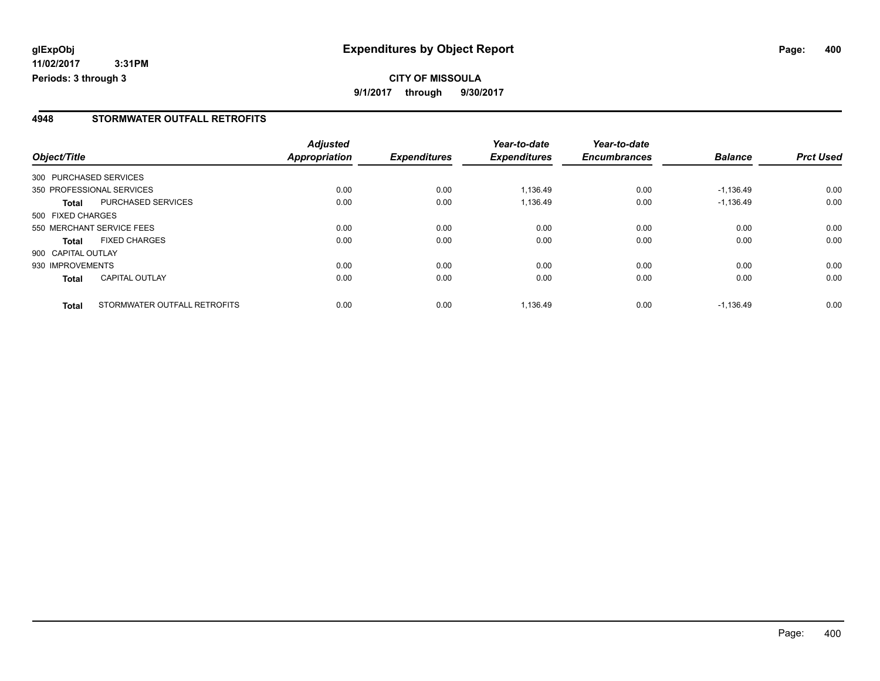### **4948 STORMWATER OUTFALL RETROFITS**

|                    |                              | <b>Adjusted</b> |                     | Year-to-date        | Year-to-date        |                |                  |
|--------------------|------------------------------|-----------------|---------------------|---------------------|---------------------|----------------|------------------|
| Object/Title       |                              | Appropriation   | <b>Expenditures</b> | <b>Expenditures</b> | <b>Encumbrances</b> | <b>Balance</b> | <b>Prct Used</b> |
|                    | 300 PURCHASED SERVICES       |                 |                     |                     |                     |                |                  |
|                    | 350 PROFESSIONAL SERVICES    | 0.00            | 0.00                | 1.136.49            | 0.00                | $-1,136.49$    | 0.00             |
| <b>Total</b>       | PURCHASED SERVICES           | 0.00            | 0.00                | 1,136.49            | 0.00                | $-1,136.49$    | 0.00             |
| 500 FIXED CHARGES  |                              |                 |                     |                     |                     |                |                  |
|                    | 550 MERCHANT SERVICE FEES    | 0.00            | 0.00                | 0.00                | 0.00                | 0.00           | 0.00             |
| <b>Total</b>       | <b>FIXED CHARGES</b>         | 0.00            | 0.00                | 0.00                | 0.00                | 0.00           | 0.00             |
| 900 CAPITAL OUTLAY |                              |                 |                     |                     |                     |                |                  |
| 930 IMPROVEMENTS   |                              | 0.00            | 0.00                | 0.00                | 0.00                | 0.00           | 0.00             |
| <b>Total</b>       | <b>CAPITAL OUTLAY</b>        | 0.00            | 0.00                | 0.00                | 0.00                | 0.00           | 0.00             |
| <b>Total</b>       | STORMWATER OUTFALL RETROFITS | 0.00            | 0.00                | 1.136.49            | 0.00                | $-1.136.49$    | 0.00             |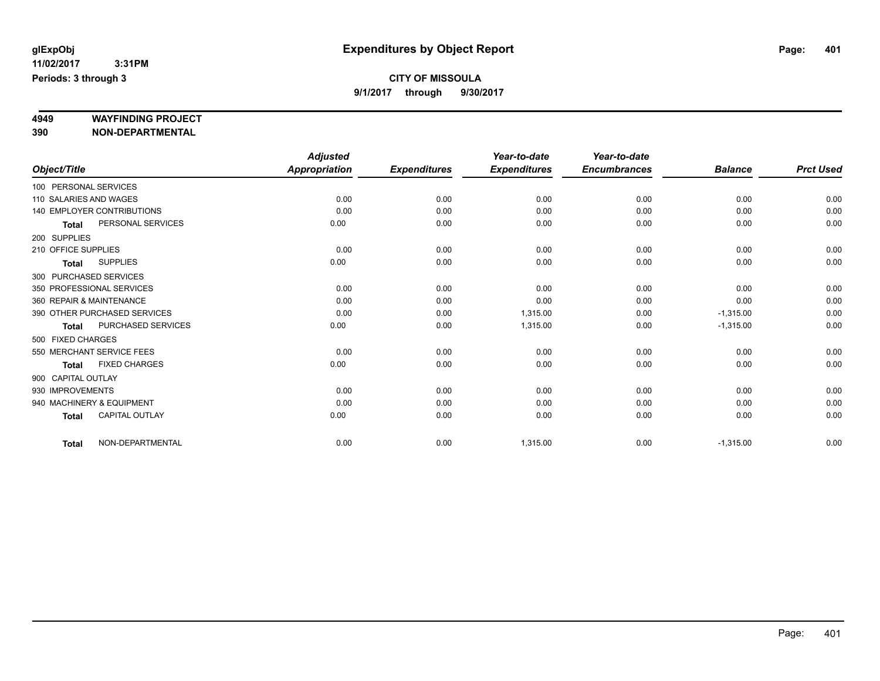# **4949 WAYFINDING PROJECT**

**390 NON-DEPARTMENTAL**

|                     |                                   | <b>Adjusted</b>      |                     | Year-to-date        | Year-to-date        |                |                  |
|---------------------|-----------------------------------|----------------------|---------------------|---------------------|---------------------|----------------|------------------|
| Object/Title        |                                   | <b>Appropriation</b> | <b>Expenditures</b> | <b>Expenditures</b> | <b>Encumbrances</b> | <b>Balance</b> | <b>Prct Used</b> |
|                     | 100 PERSONAL SERVICES             |                      |                     |                     |                     |                |                  |
|                     | 110 SALARIES AND WAGES            | 0.00                 | 0.00                | 0.00                | 0.00                | 0.00           | 0.00             |
|                     | <b>140 EMPLOYER CONTRIBUTIONS</b> | 0.00                 | 0.00                | 0.00                | 0.00                | 0.00           | 0.00             |
| <b>Total</b>        | PERSONAL SERVICES                 | 0.00                 | 0.00                | 0.00                | 0.00                | 0.00           | 0.00             |
| 200 SUPPLIES        |                                   |                      |                     |                     |                     |                |                  |
| 210 OFFICE SUPPLIES |                                   | 0.00                 | 0.00                | 0.00                | 0.00                | 0.00           | 0.00             |
| <b>Total</b>        | <b>SUPPLIES</b>                   | 0.00                 | 0.00                | 0.00                | 0.00                | 0.00           | 0.00             |
|                     | 300 PURCHASED SERVICES            |                      |                     |                     |                     |                |                  |
|                     | 350 PROFESSIONAL SERVICES         | 0.00                 | 0.00                | 0.00                | 0.00                | 0.00           | 0.00             |
|                     | 360 REPAIR & MAINTENANCE          | 0.00                 | 0.00                | 0.00                | 0.00                | 0.00           | 0.00             |
|                     | 390 OTHER PURCHASED SERVICES      | 0.00                 | 0.00                | 1,315.00            | 0.00                | $-1,315.00$    | 0.00             |
| <b>Total</b>        | PURCHASED SERVICES                | 0.00                 | 0.00                | 1,315.00            | 0.00                | $-1,315.00$    | 0.00             |
| 500 FIXED CHARGES   |                                   |                      |                     |                     |                     |                |                  |
|                     | 550 MERCHANT SERVICE FEES         | 0.00                 | 0.00                | 0.00                | 0.00                | 0.00           | 0.00             |
| <b>Total</b>        | <b>FIXED CHARGES</b>              | 0.00                 | 0.00                | 0.00                | 0.00                | 0.00           | 0.00             |
| 900 CAPITAL OUTLAY  |                                   |                      |                     |                     |                     |                |                  |
| 930 IMPROVEMENTS    |                                   | 0.00                 | 0.00                | 0.00                | 0.00                | 0.00           | 0.00             |
|                     | 940 MACHINERY & EQUIPMENT         | 0.00                 | 0.00                | 0.00                | 0.00                | 0.00           | 0.00             |
| <b>Total</b>        | <b>CAPITAL OUTLAY</b>             | 0.00                 | 0.00                | 0.00                | 0.00                | 0.00           | 0.00             |
| <b>Total</b>        | NON-DEPARTMENTAL                  | 0.00                 | 0.00                | 1,315.00            | 0.00                | $-1,315.00$    | 0.00             |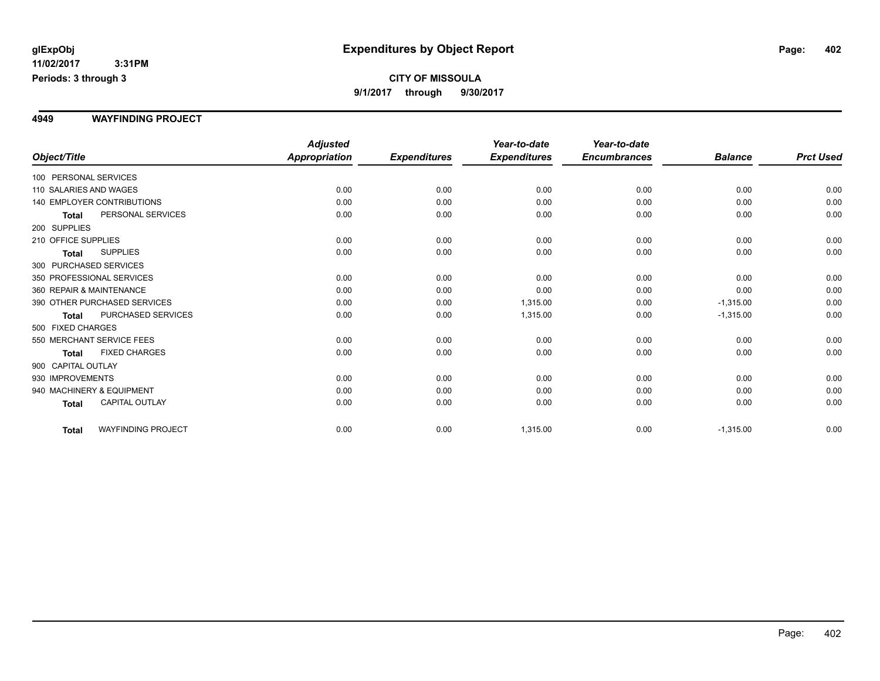#### **4949 WAYFINDING PROJECT**

|                                           | <b>Adjusted</b>              |                     | Year-to-date        | Year-to-date        |                |                  |
|-------------------------------------------|------------------------------|---------------------|---------------------|---------------------|----------------|------------------|
| Object/Title                              | Appropriation                | <b>Expenditures</b> | <b>Expenditures</b> | <b>Encumbrances</b> | <b>Balance</b> | <b>Prct Used</b> |
| 100 PERSONAL SERVICES                     |                              |                     |                     |                     |                |                  |
| 110 SALARIES AND WAGES                    | 0.00                         | 0.00                | 0.00                | 0.00                | 0.00           | 0.00             |
| <b>140 EMPLOYER CONTRIBUTIONS</b>         | 0.00                         | 0.00                | 0.00                | 0.00                | 0.00           | 0.00             |
| PERSONAL SERVICES<br><b>Total</b>         | 0.00                         | 0.00                | 0.00                | 0.00                | 0.00           | 0.00             |
| 200 SUPPLIES                              |                              |                     |                     |                     |                |                  |
| 210 OFFICE SUPPLIES                       | 0.00                         | 0.00                | 0.00                | 0.00                | 0.00           | 0.00             |
| <b>SUPPLIES</b><br><b>Total</b>           | 0.00                         | 0.00                | 0.00                | 0.00                | 0.00           | 0.00             |
| 300 PURCHASED SERVICES                    |                              |                     |                     |                     |                |                  |
| 350 PROFESSIONAL SERVICES                 | 0.00                         | 0.00                | 0.00                | 0.00                | 0.00           | 0.00             |
| 360 REPAIR & MAINTENANCE                  | 0.00                         | 0.00                | 0.00                | 0.00                | 0.00           | 0.00             |
| 390 OTHER PURCHASED SERVICES              | 0.00                         | 0.00                | 1,315.00            | 0.00                | $-1,315.00$    | 0.00             |
| <b>PURCHASED SERVICES</b><br><b>Total</b> | 0.00                         | 0.00                | 1,315.00            | 0.00                | $-1,315.00$    | 0.00             |
| 500 FIXED CHARGES                         |                              |                     |                     |                     |                |                  |
| 550 MERCHANT SERVICE FEES                 | 0.00                         | 0.00                | 0.00                | 0.00                | 0.00           | 0.00             |
| <b>FIXED CHARGES</b>                      | 0.00                         | 0.00                | 0.00                | 0.00                | 0.00           | 0.00             |
| 900 CAPITAL OUTLAY                        |                              |                     |                     |                     |                |                  |
| 930 IMPROVEMENTS                          |                              |                     |                     | 0.00                |                | 0.00             |
| 940 MACHINERY & EQUIPMENT                 | 0.00                         | 0.00                | 0.00                | 0.00                | 0.00           | 0.00             |
| CAPITAL OUTLAY<br><b>Total</b>            | 0.00                         | 0.00                | 0.00                | 0.00                | 0.00           | 0.00             |
| <b>WAYFINDING PROJECT</b>                 | 0.00                         | 0.00                |                     | 0.00                | $-1,315.00$    | 0.00             |
|                                           | <b>Total</b><br><b>Total</b> | 0.00                | 0.00                | 0.00<br>1,315.00    |                | 0.00             |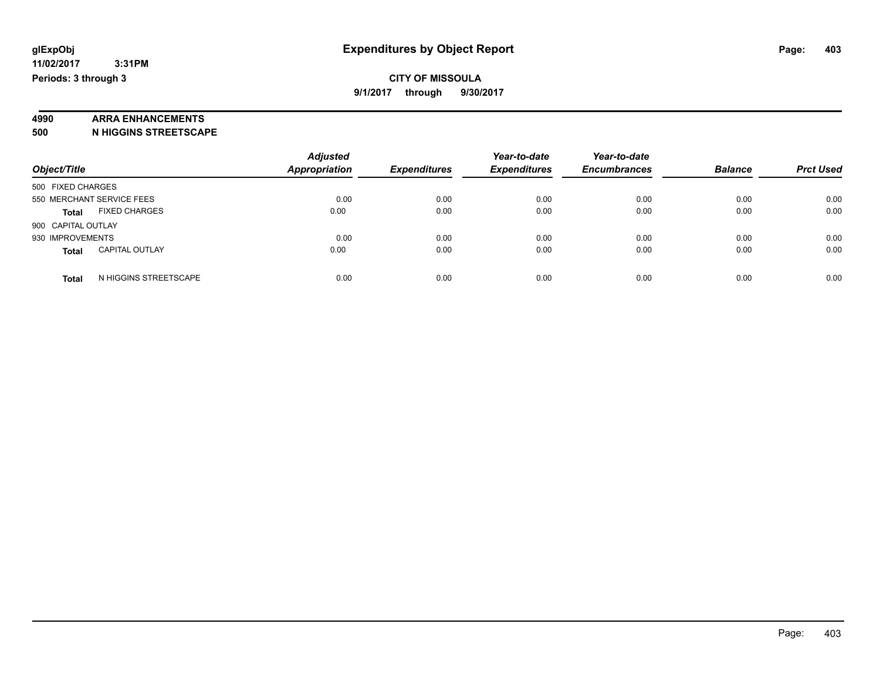# **4990 ARRA ENHANCEMENTS**

**500 N HIGGINS STREETSCAPE**

| Object/Title                          | <b>Adjusted</b><br>Appropriation | <b>Expenditures</b> | Year-to-date<br><b>Expenditures</b> | Year-to-date<br><b>Encumbrances</b> | <b>Balance</b> | <b>Prct Used</b> |
|---------------------------------------|----------------------------------|---------------------|-------------------------------------|-------------------------------------|----------------|------------------|
| 500 FIXED CHARGES                     |                                  |                     |                                     |                                     |                |                  |
| 550 MERCHANT SERVICE FEES             | 0.00                             | 0.00                | 0.00                                | 0.00                                | 0.00           | 0.00             |
| <b>FIXED CHARGES</b><br><b>Total</b>  | 0.00                             | 0.00                | 0.00                                | 0.00                                | 0.00           | 0.00             |
| 900 CAPITAL OUTLAY                    |                                  |                     |                                     |                                     |                |                  |
| 930 IMPROVEMENTS                      | 0.00                             | 0.00                | 0.00                                | 0.00                                | 0.00           | 0.00             |
| <b>CAPITAL OUTLAY</b><br><b>Total</b> | 0.00                             | 0.00                | 0.00                                | 0.00                                | 0.00           | 0.00             |
| N HIGGINS STREETSCAPE<br><b>Total</b> | 0.00                             | 0.00                | 0.00                                | 0.00                                | 0.00           | 0.00             |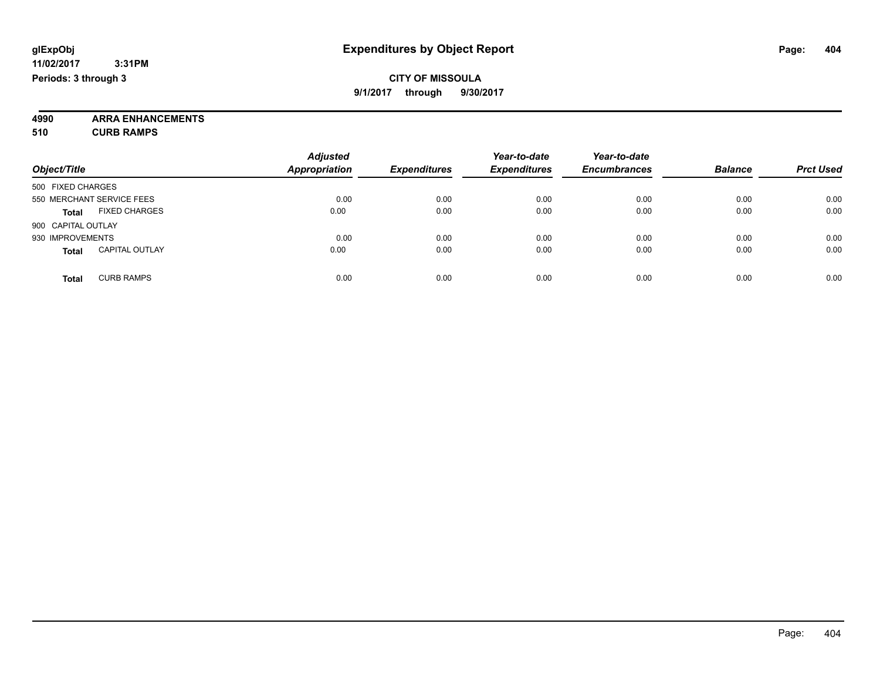**4990 ARRA ENHANCEMENTS 510 CURB RAMPS**

| Object/Title                          | <b>Adjusted</b><br><b>Appropriation</b> | <b>Expenditures</b> | Year-to-date<br><b>Expenditures</b> | Year-to-date<br><b>Encumbrances</b> | <b>Balance</b> | <b>Prct Used</b> |
|---------------------------------------|-----------------------------------------|---------------------|-------------------------------------|-------------------------------------|----------------|------------------|
| 500 FIXED CHARGES                     |                                         |                     |                                     |                                     |                |                  |
| 550 MERCHANT SERVICE FEES             | 0.00                                    | 0.00                | 0.00                                | 0.00                                | 0.00           | 0.00             |
| <b>FIXED CHARGES</b><br><b>Total</b>  | 0.00                                    | 0.00                | 0.00                                | 0.00                                | 0.00           | 0.00             |
| 900 CAPITAL OUTLAY                    |                                         |                     |                                     |                                     |                |                  |
| 930 IMPROVEMENTS                      | 0.00                                    | 0.00                | 0.00                                | 0.00                                | 0.00           | 0.00             |
| <b>CAPITAL OUTLAY</b><br><b>Total</b> | 0.00                                    | 0.00                | 0.00                                | 0.00                                | 0.00           | 0.00             |
| <b>CURB RAMPS</b><br><b>Total</b>     | 0.00                                    | 0.00                | 0.00                                | 0.00                                | 0.00           | 0.00             |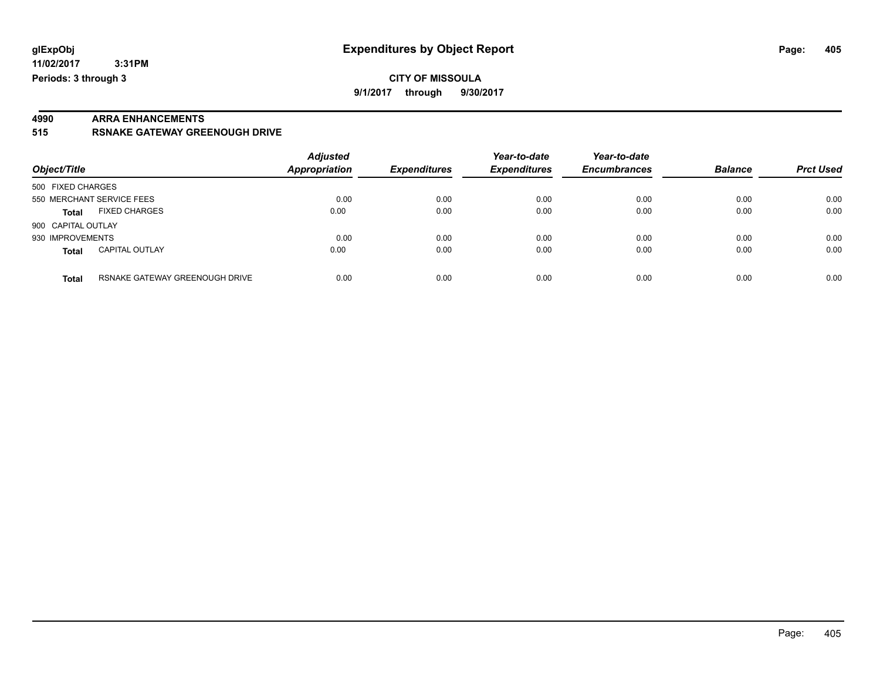**9/1/2017 through 9/30/2017**

# **4990 ARRA ENHANCEMENTS**

**515 RSNAKE GATEWAY GREENOUGH DRIVE**

| Object/Title                          |                                | <b>Adjusted</b><br><b>Appropriation</b> | <b>Expenditures</b> | Year-to-date<br><b>Expenditures</b> | Year-to-date<br><b>Encumbrances</b> | <b>Balance</b> | <b>Prct Used</b> |
|---------------------------------------|--------------------------------|-----------------------------------------|---------------------|-------------------------------------|-------------------------------------|----------------|------------------|
| 500 FIXED CHARGES                     |                                |                                         |                     |                                     |                                     |                |                  |
| 550 MERCHANT SERVICE FEES             |                                | 0.00                                    | 0.00                | 0.00                                | 0.00                                | 0.00           | 0.00             |
| <b>FIXED CHARGES</b><br><b>Total</b>  |                                | 0.00                                    | 0.00                | 0.00                                | 0.00                                | 0.00           | 0.00             |
| 900 CAPITAL OUTLAY                    |                                |                                         |                     |                                     |                                     |                |                  |
| 930 IMPROVEMENTS                      |                                | 0.00                                    | 0.00                | 0.00                                | 0.00                                | 0.00           | 0.00             |
| <b>CAPITAL OUTLAY</b><br><b>Total</b> |                                | 0.00                                    | 0.00                | 0.00                                | 0.00                                | 0.00           | 0.00             |
| <b>Total</b>                          | RSNAKE GATEWAY GREENOUGH DRIVE | 0.00                                    | 0.00                | 0.00                                | 0.00                                | 0.00           | 0.00             |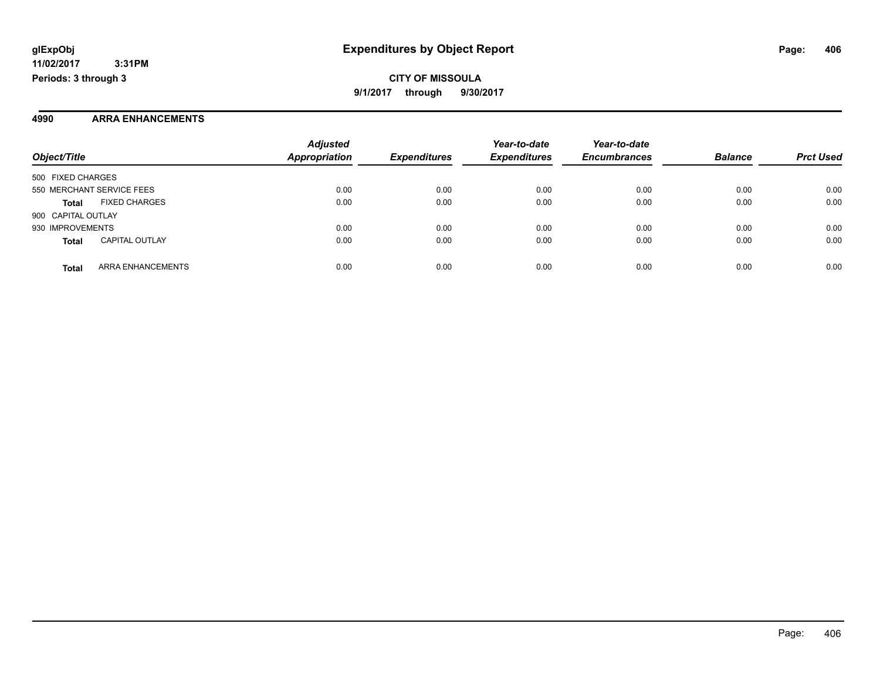#### **4990 ARRA ENHANCEMENTS**

| Object/Title                          | <b>Adjusted</b><br>Appropriation | <b>Expenditures</b> | Year-to-date<br><b>Expenditures</b> | Year-to-date<br><b>Encumbrances</b> | <b>Balance</b> | <b>Prct Used</b> |
|---------------------------------------|----------------------------------|---------------------|-------------------------------------|-------------------------------------|----------------|------------------|
| 500 FIXED CHARGES                     |                                  |                     |                                     |                                     |                |                  |
| 550 MERCHANT SERVICE FEES             | 0.00                             | 0.00                | 0.00                                | 0.00                                | 0.00           | 0.00             |
| <b>FIXED CHARGES</b><br><b>Total</b>  | 0.00                             | 0.00                | 0.00                                | 0.00                                | 0.00           | 0.00             |
| 900 CAPITAL OUTLAY                    |                                  |                     |                                     |                                     |                |                  |
| 930 IMPROVEMENTS                      | 0.00                             | 0.00                | 0.00                                | 0.00                                | 0.00           | 0.00             |
| <b>CAPITAL OUTLAY</b><br><b>Total</b> | 0.00                             | 0.00                | 0.00                                | 0.00                                | 0.00           | 0.00             |
| ARRA ENHANCEMENTS<br><b>Total</b>     | 0.00                             | 0.00                | 0.00                                | 0.00                                | 0.00           | 0.00             |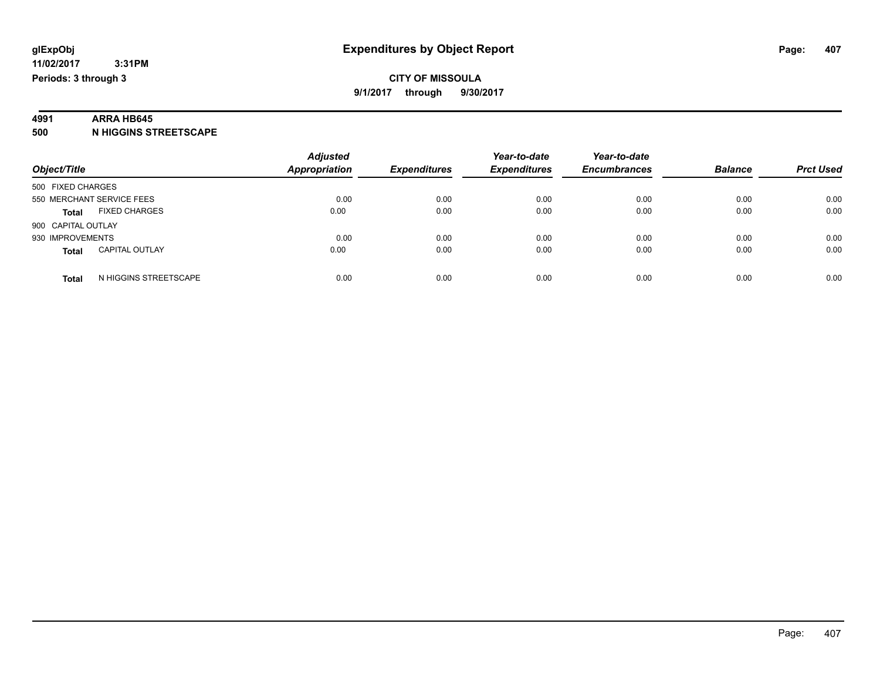### **4991 ARRA HB645**

**500 N HIGGINS STREETSCAPE**

| Object/Title                          | <b>Adjusted</b><br><b>Appropriation</b> | <b>Expenditures</b> | Year-to-date<br><b>Expenditures</b> | Year-to-date<br><b>Encumbrances</b> | <b>Balance</b> | <b>Prct Used</b> |
|---------------------------------------|-----------------------------------------|---------------------|-------------------------------------|-------------------------------------|----------------|------------------|
| 500 FIXED CHARGES                     |                                         |                     |                                     |                                     |                |                  |
| 550 MERCHANT SERVICE FEES             | 0.00                                    | 0.00                | 0.00                                | 0.00                                | 0.00           | 0.00             |
| <b>FIXED CHARGES</b><br><b>Total</b>  | 0.00                                    | 0.00                | 0.00                                | 0.00                                | 0.00           | 0.00             |
| 900 CAPITAL OUTLAY                    |                                         |                     |                                     |                                     |                |                  |
| 930 IMPROVEMENTS                      | 0.00                                    | 0.00                | 0.00                                | 0.00                                | 0.00           | 0.00             |
| <b>CAPITAL OUTLAY</b><br><b>Total</b> | 0.00                                    | 0.00                | 0.00                                | 0.00                                | 0.00           | 0.00             |
| N HIGGINS STREETSCAPE<br>Total        | 0.00                                    | 0.00                | 0.00                                | 0.00                                | 0.00           | 0.00             |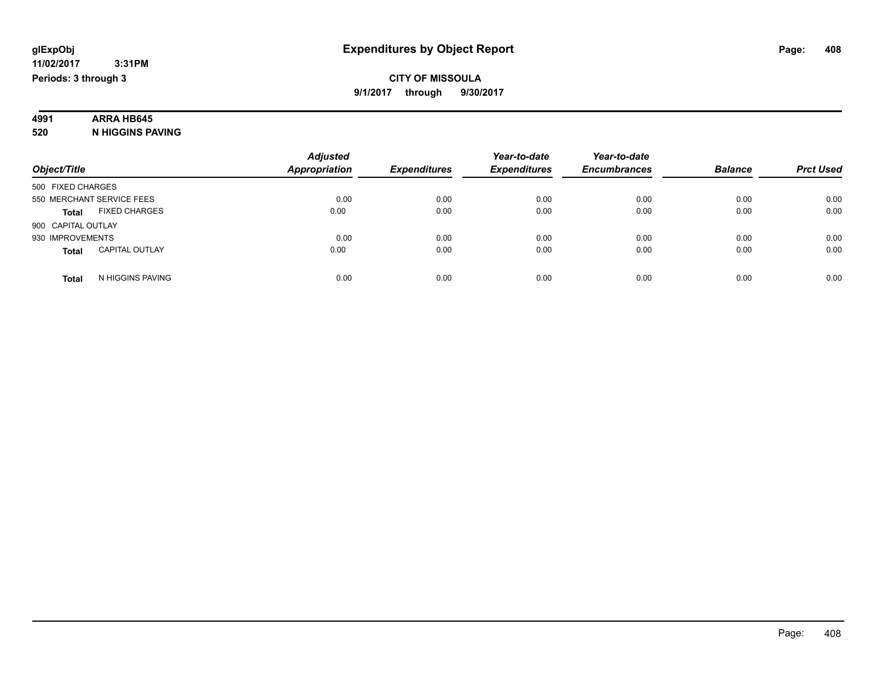# **4991 ARRA HB645**

**520 N HIGGINS PAVING**

|                                       | <b>Adjusted</b>      |                     | Year-to-date        | Year-to-date        |                |                  |
|---------------------------------------|----------------------|---------------------|---------------------|---------------------|----------------|------------------|
| Object/Title                          | <b>Appropriation</b> | <b>Expenditures</b> | <b>Expenditures</b> | <b>Encumbrances</b> | <b>Balance</b> | <b>Prct Used</b> |
| 500 FIXED CHARGES                     |                      |                     |                     |                     |                |                  |
| 550 MERCHANT SERVICE FEES             | 0.00                 | 0.00                | 0.00                | 0.00                | 0.00           | 0.00             |
| <b>FIXED CHARGES</b><br><b>Total</b>  | 0.00                 | 0.00                | 0.00                | 0.00                | 0.00           | 0.00             |
| 900 CAPITAL OUTLAY                    |                      |                     |                     |                     |                |                  |
| 930 IMPROVEMENTS                      | 0.00                 | 0.00                | 0.00                | 0.00                | 0.00           | 0.00             |
| <b>CAPITAL OUTLAY</b><br><b>Total</b> | 0.00                 | 0.00                | 0.00                | 0.00                | 0.00           | 0.00             |
| N HIGGINS PAVING<br>Total             | 0.00                 | 0.00                | 0.00                | 0.00                | 0.00           | 0.00             |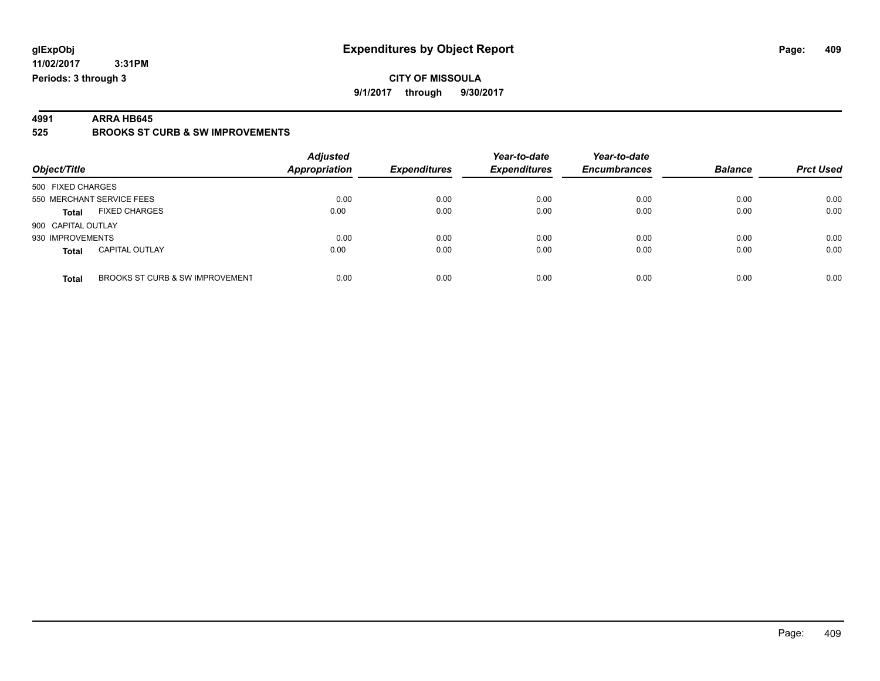### **CITY OF MISSOULA 9/1/2017 through 9/30/2017**

**4991 ARRA HB645 525 BROOKS ST CURB & SW IMPROVEMENTS**

| Object/Title                             | <b>Adjusted</b><br>Appropriation | <b>Expenditures</b> | Year-to-date<br><b>Expenditures</b> | Year-to-date<br><b>Encumbrances</b> | <b>Balance</b> | <b>Prct Used</b> |
|------------------------------------------|----------------------------------|---------------------|-------------------------------------|-------------------------------------|----------------|------------------|
| 500 FIXED CHARGES                        |                                  |                     |                                     |                                     |                |                  |
| 550 MERCHANT SERVICE FEES                | 0.00                             | 0.00                | 0.00                                | 0.00                                | 0.00           | 0.00             |
| <b>FIXED CHARGES</b><br><b>Total</b>     | 0.00                             | 0.00                | 0.00                                | 0.00                                | 0.00           | 0.00             |
| 900 CAPITAL OUTLAY                       |                                  |                     |                                     |                                     |                |                  |
| 930 IMPROVEMENTS                         | 0.00                             | 0.00                | 0.00                                | 0.00                                | 0.00           | 0.00             |
| <b>CAPITAL OUTLAY</b><br><b>Total</b>    | 0.00                             | 0.00                | 0.00                                | 0.00                                | 0.00           | 0.00             |
| BROOKS ST CURB & SW IMPROVEMENT<br>Total | 0.00                             | 0.00                | 0.00                                | 0.00                                | 0.00           | 0.00             |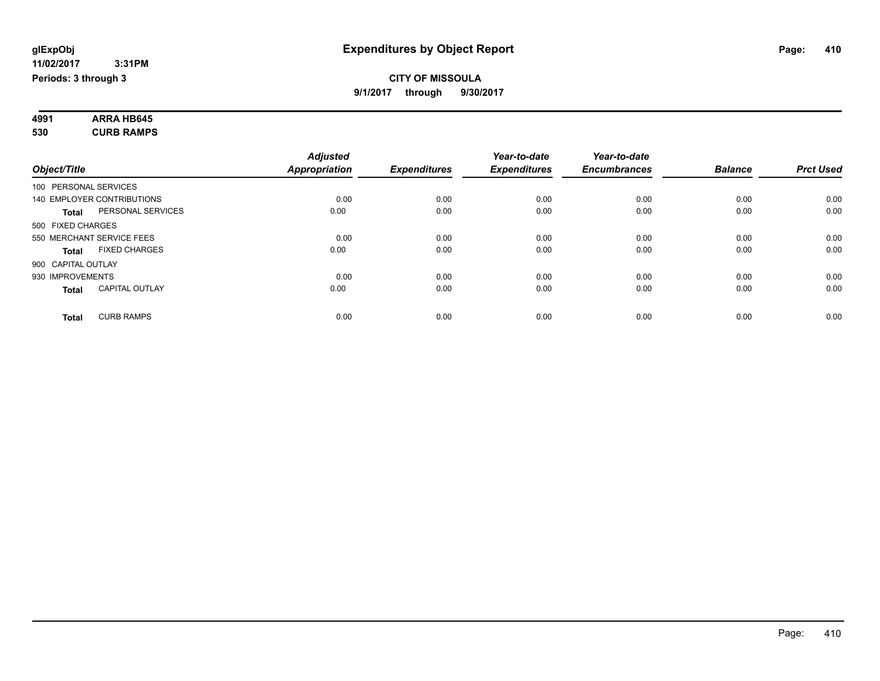| 4991 | <b>ARRA HB645</b> |  |
|------|-------------------|--|
| 530  | <b>CURB RAMPS</b> |  |

|                                       | <b>Adjusted</b>      |                     | Year-to-date        | Year-to-date        |                |                  |
|---------------------------------------|----------------------|---------------------|---------------------|---------------------|----------------|------------------|
| Object/Title                          | <b>Appropriation</b> | <b>Expenditures</b> | <b>Expenditures</b> | <b>Encumbrances</b> | <b>Balance</b> | <b>Prct Used</b> |
| 100 PERSONAL SERVICES                 |                      |                     |                     |                     |                |                  |
| 140 EMPLOYER CONTRIBUTIONS            | 0.00                 | 0.00                | 0.00                | 0.00                | 0.00           | 0.00             |
| PERSONAL SERVICES<br><b>Total</b>     | 0.00                 | 0.00                | 0.00                | 0.00                | 0.00           | 0.00             |
| 500 FIXED CHARGES                     |                      |                     |                     |                     |                |                  |
| 550 MERCHANT SERVICE FEES             | 0.00                 | 0.00                | 0.00                | 0.00                | 0.00           | 0.00             |
| <b>FIXED CHARGES</b><br><b>Total</b>  | 0.00                 | 0.00                | 0.00                | 0.00                | 0.00           | 0.00             |
| 900 CAPITAL OUTLAY                    |                      |                     |                     |                     |                |                  |
| 930 IMPROVEMENTS                      | 0.00                 | 0.00                | 0.00                | 0.00                | 0.00           | 0.00             |
| <b>CAPITAL OUTLAY</b><br><b>Total</b> | 0.00                 | 0.00                | 0.00                | 0.00                | 0.00           | 0.00             |
|                                       |                      |                     |                     |                     |                |                  |
| <b>CURB RAMPS</b><br><b>Total</b>     | 0.00                 | 0.00                | 0.00                | 0.00                | 0.00           | 0.00             |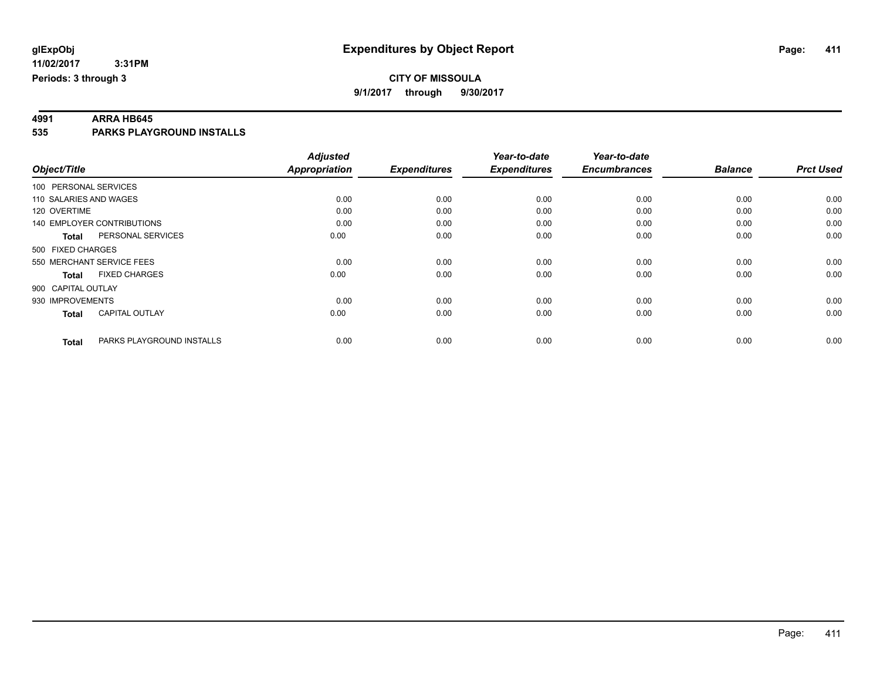**4991 ARRA HB645 535 PARKS PLAYGROUND INSTALLS**

|                        |                                   | <b>Adjusted</b>      |                     | Year-to-date        | Year-to-date        |                |                  |
|------------------------|-----------------------------------|----------------------|---------------------|---------------------|---------------------|----------------|------------------|
| Object/Title           |                                   | <b>Appropriation</b> | <b>Expenditures</b> | <b>Expenditures</b> | <b>Encumbrances</b> | <b>Balance</b> | <b>Prct Used</b> |
| 100 PERSONAL SERVICES  |                                   |                      |                     |                     |                     |                |                  |
| 110 SALARIES AND WAGES |                                   | 0.00                 | 0.00                | 0.00                | 0.00                | 0.00           | 0.00             |
| 120 OVERTIME           |                                   | 0.00                 | 0.00                | 0.00                | 0.00                | 0.00           | 0.00             |
|                        | <b>140 EMPLOYER CONTRIBUTIONS</b> | 0.00                 | 0.00                | 0.00                | 0.00                | 0.00           | 0.00             |
| <b>Total</b>           | PERSONAL SERVICES                 | 0.00                 | 0.00                | 0.00                | 0.00                | 0.00           | 0.00             |
| 500 FIXED CHARGES      |                                   |                      |                     |                     |                     |                |                  |
|                        | 550 MERCHANT SERVICE FEES         | 0.00                 | 0.00                | 0.00                | 0.00                | 0.00           | 0.00             |
| <b>Total</b>           | <b>FIXED CHARGES</b>              | 0.00                 | 0.00                | 0.00                | 0.00                | 0.00           | 0.00             |
| 900 CAPITAL OUTLAY     |                                   |                      |                     |                     |                     |                |                  |
| 930 IMPROVEMENTS       |                                   | 0.00                 | 0.00                | 0.00                | 0.00                | 0.00           | 0.00             |
| <b>Total</b>           | <b>CAPITAL OUTLAY</b>             | 0.00                 | 0.00                | 0.00                | 0.00                | 0.00           | 0.00             |
| <b>Total</b>           | PARKS PLAYGROUND INSTALLS         | 0.00                 | 0.00                | 0.00                | 0.00                | 0.00           | 0.00             |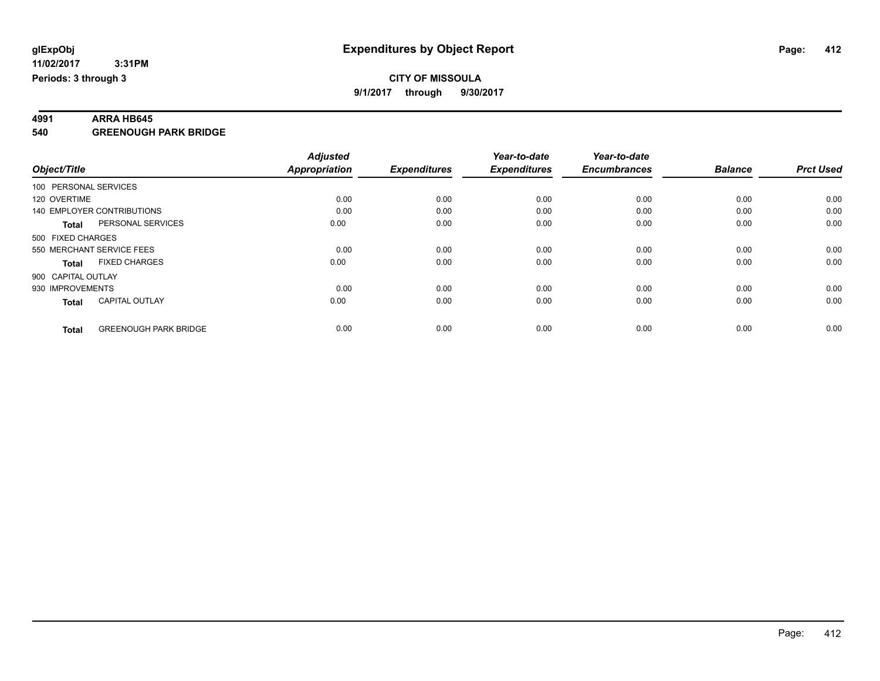**4991 ARRA HB645 540 GREENOUGH PARK BRIDGE**

|                                              | <b>Adjusted</b>      |                     | Year-to-date        | Year-to-date        |                |                  |
|----------------------------------------------|----------------------|---------------------|---------------------|---------------------|----------------|------------------|
| Object/Title                                 | <b>Appropriation</b> | <b>Expenditures</b> | <b>Expenditures</b> | <b>Encumbrances</b> | <b>Balance</b> | <b>Prct Used</b> |
| 100 PERSONAL SERVICES                        |                      |                     |                     |                     |                |                  |
| 120 OVERTIME                                 | 0.00                 | 0.00                | 0.00                | 0.00                | 0.00           | 0.00             |
| 140 EMPLOYER CONTRIBUTIONS                   | 0.00                 | 0.00                | 0.00                | 0.00                | 0.00           | 0.00             |
| PERSONAL SERVICES<br><b>Total</b>            | 0.00                 | 0.00                | 0.00                | 0.00                | 0.00           | 0.00             |
| 500 FIXED CHARGES                            |                      |                     |                     |                     |                |                  |
| 550 MERCHANT SERVICE FEES                    | 0.00                 | 0.00                | 0.00                | 0.00                | 0.00           | 0.00             |
| <b>FIXED CHARGES</b><br><b>Total</b>         | 0.00                 | 0.00                | 0.00                | 0.00                | 0.00           | 0.00             |
| 900 CAPITAL OUTLAY                           |                      |                     |                     |                     |                |                  |
| 930 IMPROVEMENTS                             | 0.00                 | 0.00                | 0.00                | 0.00                | 0.00           | 0.00             |
| <b>CAPITAL OUTLAY</b><br><b>Total</b>        | 0.00                 | 0.00                | 0.00                | 0.00                | 0.00           | 0.00             |
| <b>GREENOUGH PARK BRIDGE</b><br><b>Total</b> | 0.00                 | 0.00                | 0.00                | 0.00                | 0.00           | 0.00             |
|                                              |                      |                     |                     |                     |                |                  |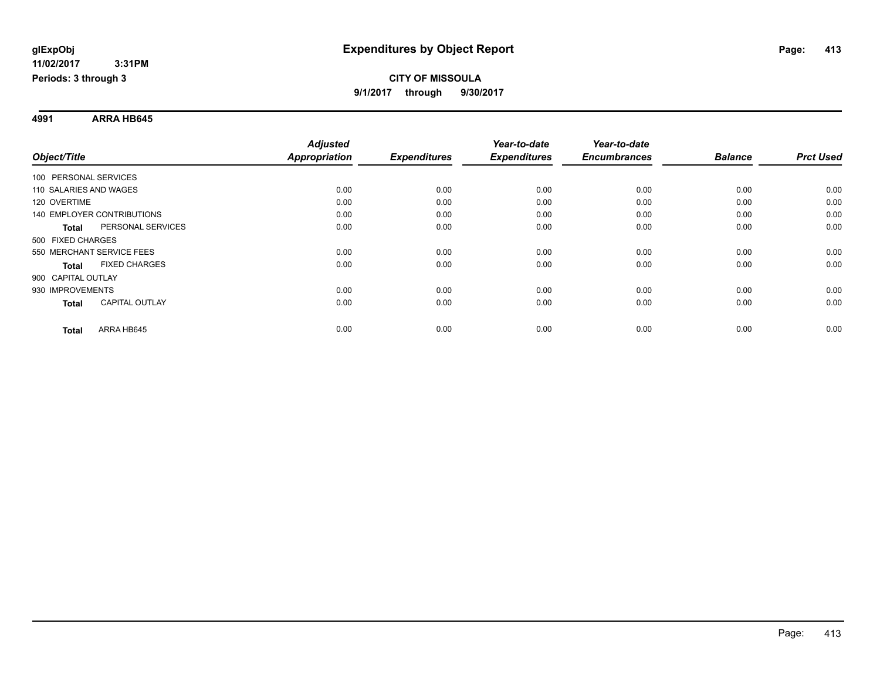**Periods: 3 through 3**

### **CITY OF MISSOULA 9/1/2017 through 9/30/2017**

**4991 ARRA HB645**

 **3:31PM**

|                                   |                       | <b>Adjusted</b>      |                     | Year-to-date        | Year-to-date        |                |                  |
|-----------------------------------|-----------------------|----------------------|---------------------|---------------------|---------------------|----------------|------------------|
| Object/Title                      |                       | <b>Appropriation</b> | <b>Expenditures</b> | <b>Expenditures</b> | <b>Encumbrances</b> | <b>Balance</b> | <b>Prct Used</b> |
| 100 PERSONAL SERVICES             |                       |                      |                     |                     |                     |                |                  |
| 110 SALARIES AND WAGES            |                       | 0.00                 | 0.00                | 0.00                | 0.00                | 0.00           | 0.00             |
| 120 OVERTIME                      |                       | 0.00                 | 0.00                | 0.00                | 0.00                | 0.00           | 0.00             |
| <b>140 EMPLOYER CONTRIBUTIONS</b> |                       | 0.00                 | 0.00                | 0.00                | 0.00                | 0.00           | 0.00             |
| <b>Total</b>                      | PERSONAL SERVICES     | 0.00                 | 0.00                | 0.00                | 0.00                | 0.00           | 0.00             |
| 500 FIXED CHARGES                 |                       |                      |                     |                     |                     |                |                  |
| 550 MERCHANT SERVICE FEES         |                       | 0.00                 | 0.00                | 0.00                | 0.00                | 0.00           | 0.00             |
| <b>Total</b>                      | <b>FIXED CHARGES</b>  | 0.00                 | 0.00                | 0.00                | 0.00                | 0.00           | 0.00             |
| 900 CAPITAL OUTLAY                |                       |                      |                     |                     |                     |                |                  |
| 930 IMPROVEMENTS                  |                       | 0.00                 | 0.00                | 0.00                | 0.00                | 0.00           | 0.00             |
| <b>Total</b>                      | <b>CAPITAL OUTLAY</b> | 0.00                 | 0.00                | 0.00                | 0.00                | 0.00           | 0.00             |
| <b>Total</b>                      | ARRA HB645            | 0.00                 | 0.00                | 0.00                | 0.00                | 0.00           | 0.00             |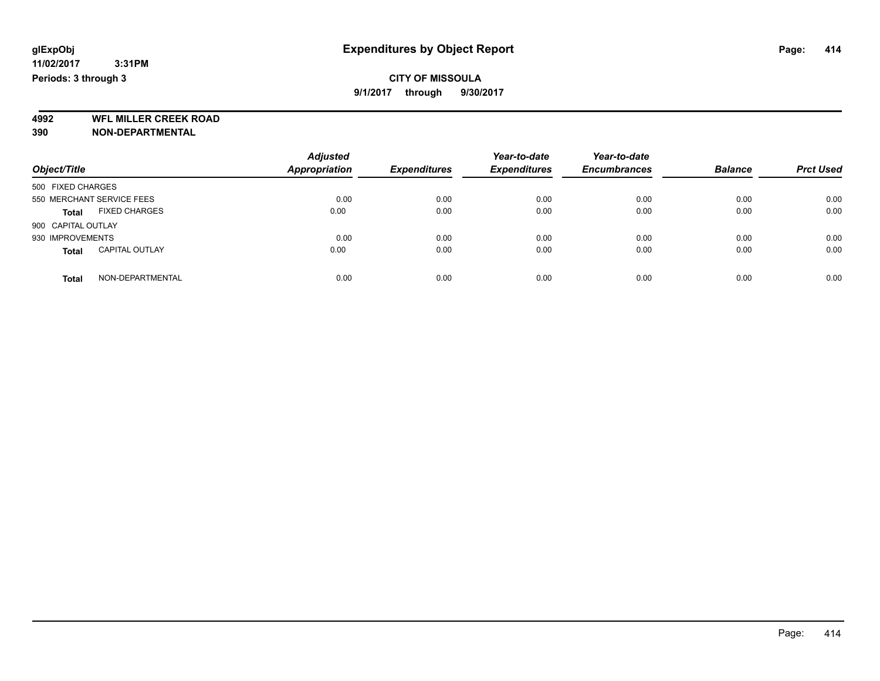**4992 WFL MILLER CREEK ROAD 390 NON-DEPARTMENTAL**

| Object/Title                          | <b>Adjusted</b><br><b>Appropriation</b> | <b>Expenditures</b> | Year-to-date<br><b>Expenditures</b> | Year-to-date<br><b>Encumbrances</b> | <b>Balance</b> | <b>Prct Used</b> |
|---------------------------------------|-----------------------------------------|---------------------|-------------------------------------|-------------------------------------|----------------|------------------|
| 500 FIXED CHARGES                     |                                         |                     |                                     |                                     |                |                  |
| 550 MERCHANT SERVICE FEES             | 0.00                                    | 0.00                | 0.00                                | 0.00                                | 0.00           | 0.00             |
| <b>FIXED CHARGES</b><br><b>Total</b>  | 0.00                                    | 0.00                | 0.00                                | 0.00                                | 0.00           | 0.00             |
| 900 CAPITAL OUTLAY                    |                                         |                     |                                     |                                     |                |                  |
| 930 IMPROVEMENTS                      | 0.00                                    | 0.00                | 0.00                                | 0.00                                | 0.00           | 0.00             |
| <b>CAPITAL OUTLAY</b><br><b>Total</b> | 0.00                                    | 0.00                | 0.00                                | 0.00                                | 0.00           | 0.00             |
| NON-DEPARTMENTAL<br>Total             | 0.00                                    | 0.00                | 0.00                                | 0.00                                | 0.00           | 0.00             |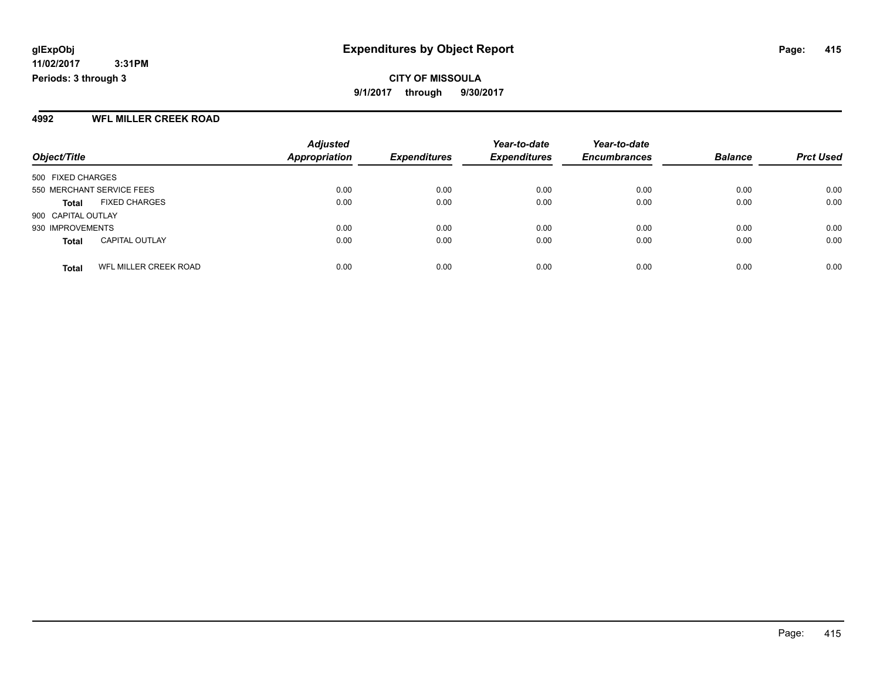**CITY OF MISSOULA 9/1/2017 through 9/30/2017**

### **4992 WFL MILLER CREEK ROAD**

|                                       | <b>Adjusted</b>      |                     | Year-to-date        | Year-to-date<br><b>Encumbrances</b> | <b>Balance</b> | <b>Prct Used</b> |
|---------------------------------------|----------------------|---------------------|---------------------|-------------------------------------|----------------|------------------|
| Object/Title                          | <b>Appropriation</b> | <b>Expenditures</b> | <b>Expenditures</b> |                                     |                |                  |
| 500 FIXED CHARGES                     |                      |                     |                     |                                     |                |                  |
| 550 MERCHANT SERVICE FEES             | 0.00                 | 0.00                | 0.00                | 0.00                                | 0.00           | 0.00             |
| <b>FIXED CHARGES</b><br><b>Total</b>  | 0.00                 | 0.00                | 0.00                | 0.00                                | 0.00           | 0.00             |
| 900 CAPITAL OUTLAY                    |                      |                     |                     |                                     |                |                  |
| 930 IMPROVEMENTS                      | 0.00                 | 0.00                | 0.00                | 0.00                                | 0.00           | 0.00             |
| <b>CAPITAL OUTLAY</b><br><b>Total</b> | 0.00                 | 0.00                | 0.00                | 0.00                                | 0.00           | 0.00             |
| WFL MILLER CREEK ROAD<br><b>Total</b> | 0.00                 | 0.00                | 0.00                | 0.00                                | 0.00           | 0.00             |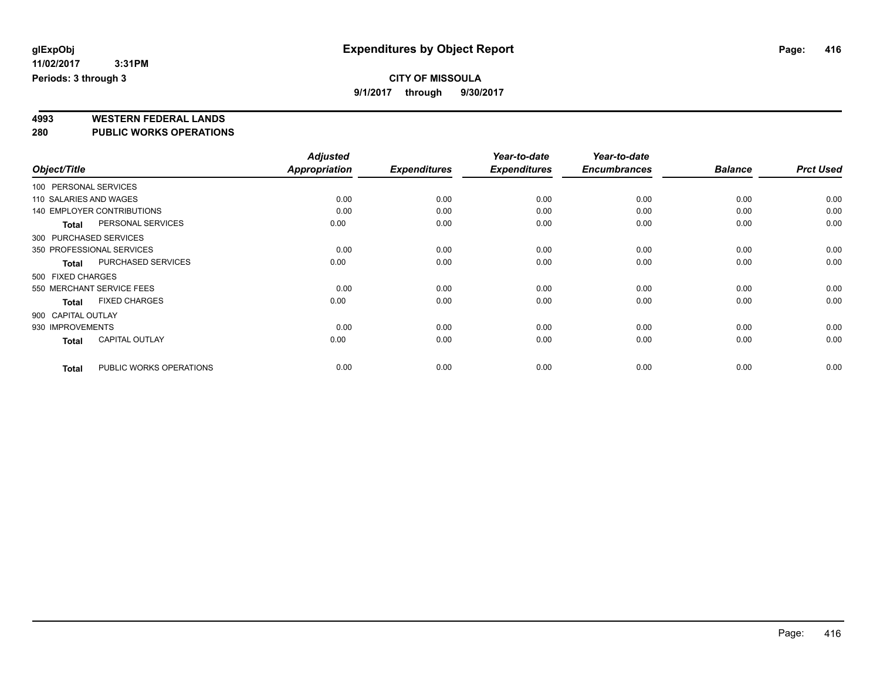### **CITY OF MISSOULA**

**9/1/2017 through 9/30/2017**

# **4993 WESTERN FEDERAL LANDS**

**280 PUBLIC WORKS OPERATIONS**

|                        |                                   | <b>Adjusted</b> |                     | Year-to-date        | Year-to-date        |                |                  |
|------------------------|-----------------------------------|-----------------|---------------------|---------------------|---------------------|----------------|------------------|
| Object/Title           |                                   | Appropriation   | <b>Expenditures</b> | <b>Expenditures</b> | <b>Encumbrances</b> | <b>Balance</b> | <b>Prct Used</b> |
| 100 PERSONAL SERVICES  |                                   |                 |                     |                     |                     |                |                  |
| 110 SALARIES AND WAGES |                                   | 0.00            | 0.00                | 0.00                | 0.00                | 0.00           | 0.00             |
|                        | <b>140 EMPLOYER CONTRIBUTIONS</b> | 0.00            | 0.00                | 0.00                | 0.00                | 0.00           | 0.00             |
| <b>Total</b>           | PERSONAL SERVICES                 | 0.00            | 0.00                | 0.00                | 0.00                | 0.00           | 0.00             |
| 300 PURCHASED SERVICES |                                   |                 |                     |                     |                     |                |                  |
|                        | 350 PROFESSIONAL SERVICES         | 0.00            | 0.00                | 0.00                | 0.00                | 0.00           | 0.00             |
| <b>Total</b>           | PURCHASED SERVICES                | 0.00            | 0.00                | 0.00                | 0.00                | 0.00           | 0.00             |
| 500 FIXED CHARGES      |                                   |                 |                     |                     |                     |                |                  |
|                        | 550 MERCHANT SERVICE FEES         | 0.00            | 0.00                | 0.00                | 0.00                | 0.00           | 0.00             |
| <b>Total</b>           | <b>FIXED CHARGES</b>              | 0.00            | 0.00                | 0.00                | 0.00                | 0.00           | 0.00             |
| 900 CAPITAL OUTLAY     |                                   |                 |                     |                     |                     |                |                  |
| 930 IMPROVEMENTS       |                                   | 0.00            | 0.00                | 0.00                | 0.00                | 0.00           | 0.00             |
| <b>Total</b>           | CAPITAL OUTLAY                    | 0.00            | 0.00                | 0.00                | 0.00                | 0.00           | 0.00             |
| <b>Total</b>           | PUBLIC WORKS OPERATIONS           | 0.00            | 0.00                | 0.00                | 0.00                | 0.00           | 0.00             |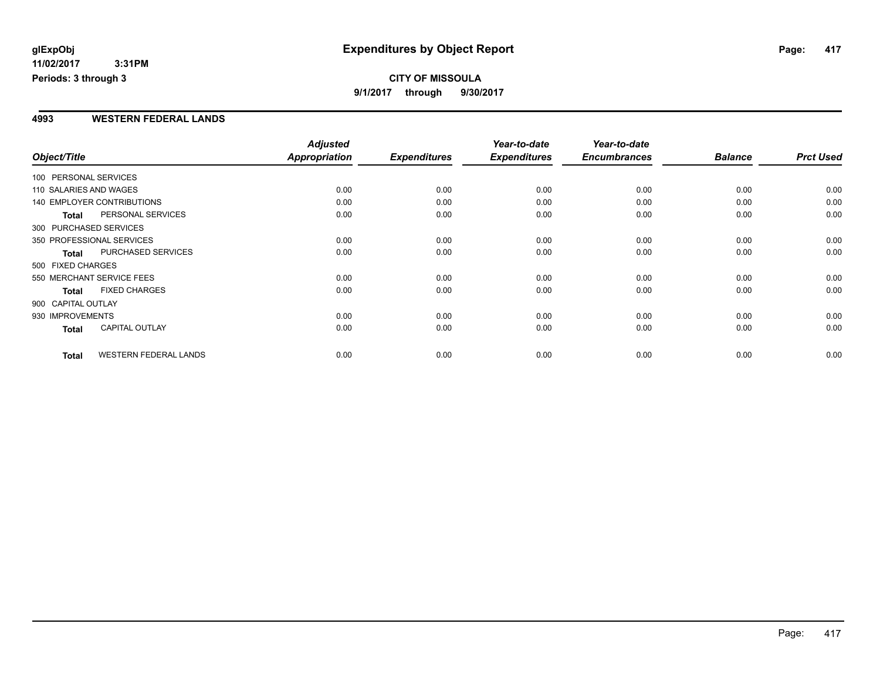### **CITY OF MISSOULA 9/1/2017 through 9/30/2017**

### **4993 WESTERN FEDERAL LANDS**

|                        |                                   | <b>Adjusted</b> |                     | Year-to-date        | Year-to-date        |                |                  |
|------------------------|-----------------------------------|-----------------|---------------------|---------------------|---------------------|----------------|------------------|
| Object/Title           |                                   | Appropriation   | <b>Expenditures</b> | <b>Expenditures</b> | <b>Encumbrances</b> | <b>Balance</b> | <b>Prct Used</b> |
| 100 PERSONAL SERVICES  |                                   |                 |                     |                     |                     |                |                  |
| 110 SALARIES AND WAGES |                                   | 0.00            | 0.00                | 0.00                | 0.00                | 0.00           | 0.00             |
|                        | <b>140 EMPLOYER CONTRIBUTIONS</b> | 0.00            | 0.00                | 0.00                | 0.00                | 0.00           | 0.00             |
| <b>Total</b>           | PERSONAL SERVICES                 | 0.00            | 0.00                | 0.00                | 0.00                | 0.00           | 0.00             |
| 300 PURCHASED SERVICES |                                   |                 |                     |                     |                     |                |                  |
|                        | 350 PROFESSIONAL SERVICES         | 0.00            | 0.00                | 0.00                | 0.00                | 0.00           | 0.00             |
| <b>Total</b>           | <b>PURCHASED SERVICES</b>         | 0.00            | 0.00                | 0.00                | 0.00                | 0.00           | 0.00             |
| 500 FIXED CHARGES      |                                   |                 |                     |                     |                     |                |                  |
|                        | 550 MERCHANT SERVICE FEES         | 0.00            | 0.00                | 0.00                | 0.00                | 0.00           | 0.00             |
| <b>Total</b>           | <b>FIXED CHARGES</b>              | 0.00            | 0.00                | 0.00                | 0.00                | 0.00           | 0.00             |
| 900 CAPITAL OUTLAY     |                                   |                 |                     |                     |                     |                |                  |
| 930 IMPROVEMENTS       |                                   | 0.00            | 0.00                | 0.00                | 0.00                | 0.00           | 0.00             |
| Total                  | <b>CAPITAL OUTLAY</b>             | 0.00            | 0.00                | 0.00                | 0.00                | 0.00           | 0.00             |
| <b>Total</b>           | <b>WESTERN FEDERAL LANDS</b>      | 0.00            | 0.00                | 0.00                | 0.00                | 0.00           | 0.00             |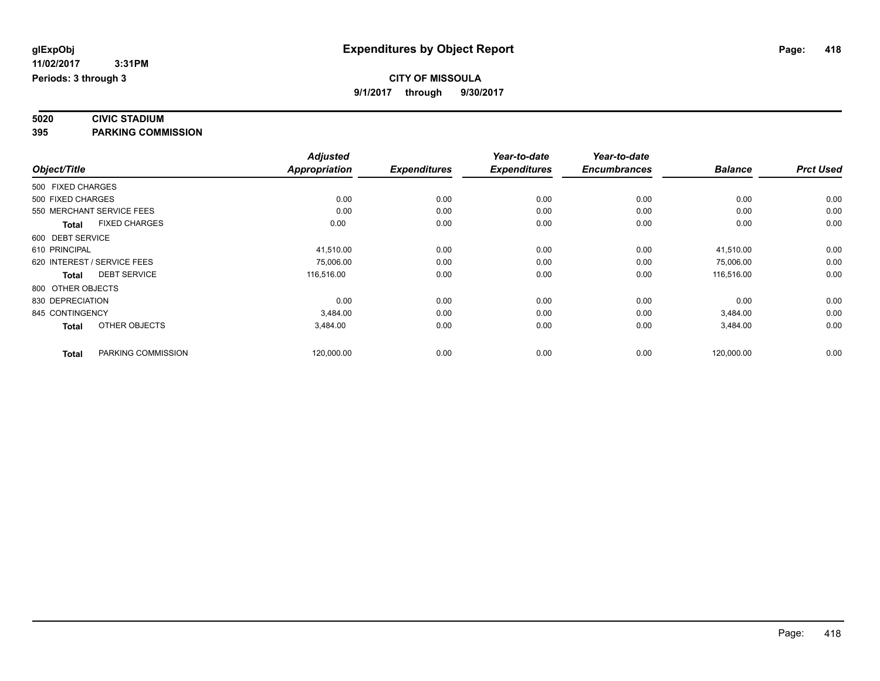# **5020 CIVIC STADIUM**

**395 PARKING COMMISSION**

|                   |                             | <b>Adjusted</b>      |                     | Year-to-date        | Year-to-date        |                |                  |
|-------------------|-----------------------------|----------------------|---------------------|---------------------|---------------------|----------------|------------------|
| Object/Title      |                             | <b>Appropriation</b> | <b>Expenditures</b> | <b>Expenditures</b> | <b>Encumbrances</b> | <b>Balance</b> | <b>Prct Used</b> |
| 500 FIXED CHARGES |                             |                      |                     |                     |                     |                |                  |
| 500 FIXED CHARGES |                             | 0.00                 | 0.00                | 0.00                | 0.00                | 0.00           | 0.00             |
|                   | 550 MERCHANT SERVICE FEES   | 0.00                 | 0.00                | 0.00                | 0.00                | 0.00           | 0.00             |
| <b>Total</b>      | <b>FIXED CHARGES</b>        | 0.00                 | 0.00                | 0.00                | 0.00                | 0.00           | 0.00             |
| 600 DEBT SERVICE  |                             |                      |                     |                     |                     |                |                  |
| 610 PRINCIPAL     |                             | 41,510.00            | 0.00                | 0.00                | 0.00                | 41,510.00      | 0.00             |
|                   | 620 INTEREST / SERVICE FEES | 75,006.00            | 0.00                | 0.00                | 0.00                | 75,006.00      | 0.00             |
| Total             | <b>DEBT SERVICE</b>         | 116,516.00           | 0.00                | 0.00                | 0.00                | 116,516.00     | 0.00             |
| 800 OTHER OBJECTS |                             |                      |                     |                     |                     |                |                  |
| 830 DEPRECIATION  |                             | 0.00                 | 0.00                | 0.00                | 0.00                | 0.00           | 0.00             |
| 845 CONTINGENCY   |                             | 3,484.00             | 0.00                | 0.00                | 0.00                | 3,484.00       | 0.00             |
| <b>Total</b>      | OTHER OBJECTS               | 3,484.00             | 0.00                | 0.00                | 0.00                | 3,484.00       | 0.00             |
| <b>Total</b>      | PARKING COMMISSION          | 120,000.00           | 0.00                | 0.00                | 0.00                | 120,000.00     | 0.00             |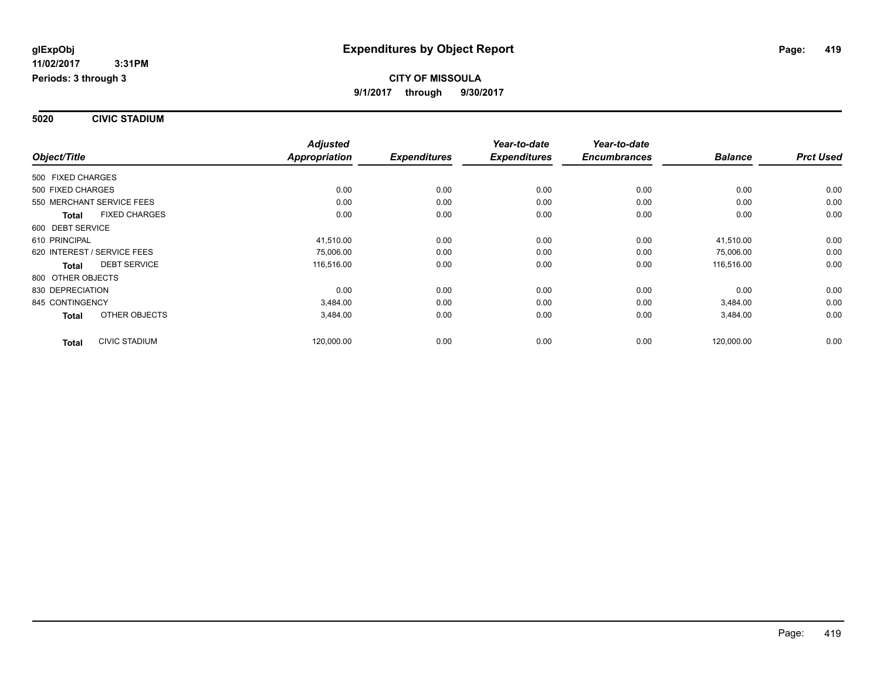**5020 CIVIC STADIUM**

|                                      | <b>Adjusted</b>      |                     | Year-to-date        | Year-to-date        |                |                  |
|--------------------------------------|----------------------|---------------------|---------------------|---------------------|----------------|------------------|
| Object/Title                         | <b>Appropriation</b> | <b>Expenditures</b> | <b>Expenditures</b> | <b>Encumbrances</b> | <b>Balance</b> | <b>Prct Used</b> |
| 500 FIXED CHARGES                    |                      |                     |                     |                     |                |                  |
| 500 FIXED CHARGES                    | 0.00                 | 0.00                | 0.00                | 0.00                | 0.00           | 0.00             |
| 550 MERCHANT SERVICE FEES            | 0.00                 | 0.00                | 0.00                | 0.00                | 0.00           | 0.00             |
| <b>FIXED CHARGES</b><br><b>Total</b> | 0.00                 | 0.00                | 0.00                | 0.00                | 0.00           | 0.00             |
| 600 DEBT SERVICE                     |                      |                     |                     |                     |                |                  |
| 610 PRINCIPAL                        | 41,510.00            | 0.00                | 0.00                | 0.00                | 41,510.00      | 0.00             |
| 620 INTEREST / SERVICE FEES          | 75,006.00            | 0.00                | 0.00                | 0.00                | 75,006.00      | 0.00             |
| <b>DEBT SERVICE</b><br><b>Total</b>  | 116,516.00           | 0.00                | 0.00                | 0.00                | 116,516.00     | 0.00             |
| 800 OTHER OBJECTS                    |                      |                     |                     |                     |                |                  |
| 830 DEPRECIATION                     | 0.00                 | 0.00                | 0.00                | 0.00                | 0.00           | 0.00             |
| 845 CONTINGENCY                      | 3,484.00             | 0.00                | 0.00                | 0.00                | 3,484.00       | 0.00             |
| OTHER OBJECTS<br><b>Total</b>        | 3,484.00             | 0.00                | 0.00                | 0.00                | 3,484.00       | 0.00             |
| <b>CIVIC STADIUM</b><br><b>Total</b> | 120,000.00           | 0.00                | 0.00                | 0.00                | 120,000.00     | 0.00             |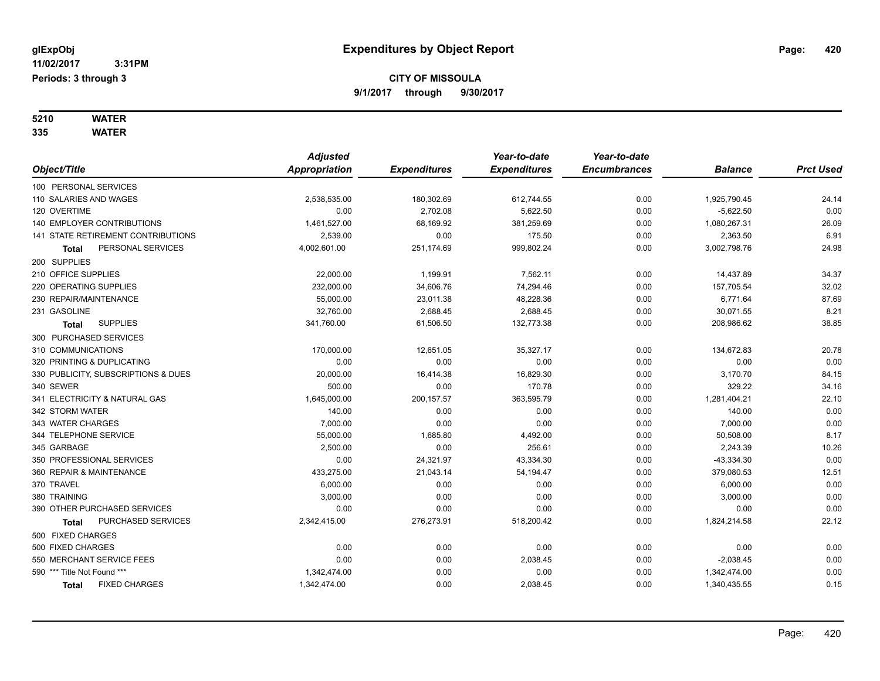# **5210 WATER**

|                                      | <b>Adjusted</b> |                     | Year-to-date        | Year-to-date        |                |                  |
|--------------------------------------|-----------------|---------------------|---------------------|---------------------|----------------|------------------|
| Object/Title                         | Appropriation   | <b>Expenditures</b> | <b>Expenditures</b> | <b>Encumbrances</b> | <b>Balance</b> | <b>Prct Used</b> |
| 100 PERSONAL SERVICES                |                 |                     |                     |                     |                |                  |
| 110 SALARIES AND WAGES               | 2,538,535.00    | 180,302.69          | 612,744.55          | 0.00                | 1,925,790.45   | 24.14            |
| 120 OVERTIME                         | 0.00            | 2,702.08            | 5,622.50            | 0.00                | $-5,622.50$    | 0.00             |
| <b>140 EMPLOYER CONTRIBUTIONS</b>    | 1,461,527.00    | 68,169.92           | 381,259.69          | 0.00                | 1,080,267.31   | 26.09            |
| 141 STATE RETIREMENT CONTRIBUTIONS   | 2,539.00        | 0.00                | 175.50              | 0.00                | 2,363.50       | 6.91             |
| PERSONAL SERVICES<br><b>Total</b>    | 4,002,601.00    | 251,174.69          | 999,802.24          | 0.00                | 3,002,798.76   | 24.98            |
| 200 SUPPLIES                         |                 |                     |                     |                     |                |                  |
| 210 OFFICE SUPPLIES                  | 22,000.00       | 1,199.91            | 7,562.11            | 0.00                | 14,437.89      | 34.37            |
| 220 OPERATING SUPPLIES               | 232,000.00      | 34,606.76           | 74,294.46           | 0.00                | 157,705.54     | 32.02            |
| 230 REPAIR/MAINTENANCE               | 55,000.00       | 23,011.38           | 48,228.36           | 0.00                | 6,771.64       | 87.69            |
| 231 GASOLINE                         | 32,760.00       | 2,688.45            | 2,688.45            | 0.00                | 30,071.55      | 8.21             |
| <b>SUPPLIES</b><br><b>Total</b>      | 341,760.00      | 61,506.50           | 132,773.38          | 0.00                | 208,986.62     | 38.85            |
| 300 PURCHASED SERVICES               |                 |                     |                     |                     |                |                  |
| 310 COMMUNICATIONS                   | 170,000.00      | 12,651.05           | 35,327.17           | 0.00                | 134,672.83     | 20.78            |
| 320 PRINTING & DUPLICATING           | 0.00            | 0.00                | 0.00                | 0.00                | 0.00           | 0.00             |
| 330 PUBLICITY, SUBSCRIPTIONS & DUES  | 20,000.00       | 16,414.38           | 16,829.30           | 0.00                | 3,170.70       | 84.15            |
| 340 SEWER                            | 500.00          | 0.00                | 170.78              | 0.00                | 329.22         | 34.16            |
| 341 ELECTRICITY & NATURAL GAS        | 1,645,000.00    | 200, 157.57         | 363,595.79          | 0.00                | 1,281,404.21   | 22.10            |
| 342 STORM WATER                      | 140.00          | 0.00                | 0.00                | 0.00                | 140.00         | 0.00             |
| 343 WATER CHARGES                    | 7,000.00        | 0.00                | 0.00                | 0.00                | 7,000.00       | 0.00             |
| 344 TELEPHONE SERVICE                | 55,000.00       | 1,685.80            | 4,492.00            | 0.00                | 50,508.00      | 8.17             |
| 345 GARBAGE                          | 2,500.00        | 0.00                | 256.61              | 0.00                | 2,243.39       | 10.26            |
| 350 PROFESSIONAL SERVICES            | 0.00            | 24,321.97           | 43,334.30           | 0.00                | $-43,334.30$   | 0.00             |
| 360 REPAIR & MAINTENANCE             | 433,275.00      | 21,043.14           | 54,194.47           | 0.00                | 379,080.53     | 12.51            |
| 370 TRAVEL                           | 6,000.00        | 0.00                | 0.00                | 0.00                | 6,000.00       | 0.00             |
| 380 TRAINING                         | 3,000.00        | 0.00                | 0.00                | 0.00                | 3,000.00       | 0.00             |
| 390 OTHER PURCHASED SERVICES         | 0.00            | 0.00                | 0.00                | 0.00                | 0.00           | 0.00             |
| PURCHASED SERVICES<br><b>Total</b>   | 2,342,415.00    | 276,273.91          | 518,200.42          | 0.00                | 1,824,214.58   | 22.12            |
| 500 FIXED CHARGES                    |                 |                     |                     |                     |                |                  |
| 500 FIXED CHARGES                    | 0.00            | 0.00                | 0.00                | 0.00                | 0.00           | 0.00             |
| 550 MERCHANT SERVICE FEES            | 0.00            | 0.00                | 2,038.45            | 0.00                | $-2,038.45$    | 0.00             |
| 590 *** Title Not Found ***          | 1,342,474.00    | 0.00                | 0.00                | 0.00                | 1,342,474.00   | 0.00             |
| <b>FIXED CHARGES</b><br><b>Total</b> | 1,342,474.00    | 0.00                | 2,038.45            | 0.00                | 1,340,435.55   | 0.15             |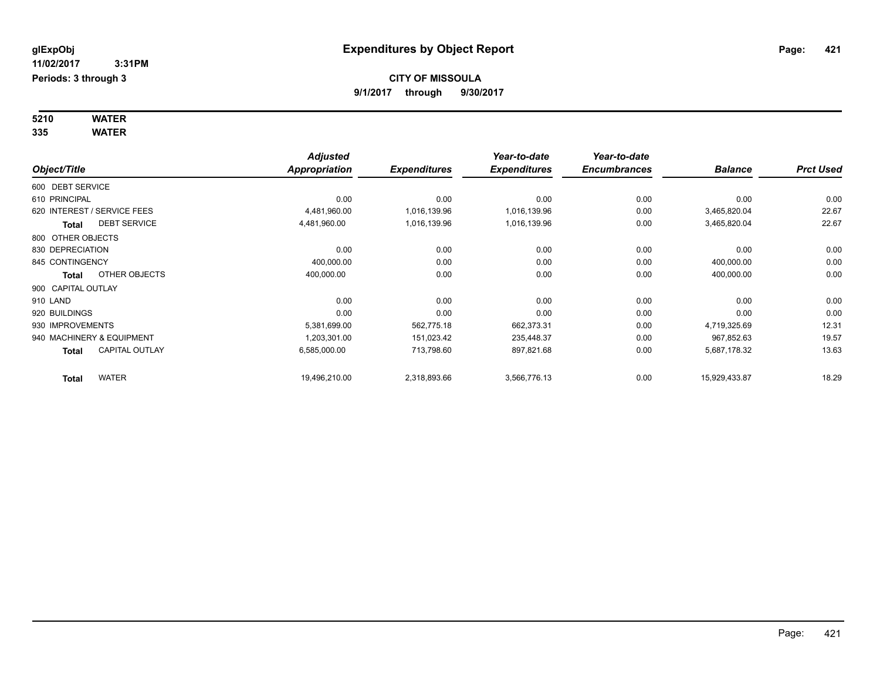**Periods: 3 through 3**

**5210 WATER**

|                    |                             | <b>Adjusted</b>      |                     | Year-to-date        | Year-to-date        |                |                  |
|--------------------|-----------------------------|----------------------|---------------------|---------------------|---------------------|----------------|------------------|
| Object/Title       |                             | <b>Appropriation</b> | <b>Expenditures</b> | <b>Expenditures</b> | <b>Encumbrances</b> | <b>Balance</b> | <b>Prct Used</b> |
| 600 DEBT SERVICE   |                             |                      |                     |                     |                     |                |                  |
| 610 PRINCIPAL      |                             | 0.00                 | 0.00                | 0.00                | 0.00                | 0.00           | 0.00             |
|                    | 620 INTEREST / SERVICE FEES | 4,481,960.00         | 1,016,139.96        | 1,016,139.96        | 0.00                | 3,465,820.04   | 22.67            |
| Total              | <b>DEBT SERVICE</b>         | 4,481,960.00         | 1,016,139.96        | 1,016,139.96        | 0.00                | 3,465,820.04   | 22.67            |
| 800 OTHER OBJECTS  |                             |                      |                     |                     |                     |                |                  |
| 830 DEPRECIATION   |                             | 0.00                 | 0.00                | 0.00                | 0.00                | 0.00           | 0.00             |
| 845 CONTINGENCY    |                             | 400,000.00           | 0.00                | 0.00                | 0.00                | 400,000.00     | 0.00             |
| <b>Total</b>       | OTHER OBJECTS               | 400,000.00           | 0.00                | 0.00                | 0.00                | 400,000.00     | 0.00             |
| 900 CAPITAL OUTLAY |                             |                      |                     |                     |                     |                |                  |
| 910 LAND           |                             | 0.00                 | 0.00                | 0.00                | 0.00                | 0.00           | 0.00             |
| 920 BUILDINGS      |                             | 0.00                 | 0.00                | 0.00                | 0.00                | 0.00           | 0.00             |
| 930 IMPROVEMENTS   |                             | 5,381,699.00         | 562,775.18          | 662,373.31          | 0.00                | 4,719,325.69   | 12.31            |
|                    | 940 MACHINERY & EQUIPMENT   | 1,203,301.00         | 151,023.42          | 235,448.37          | 0.00                | 967,852.63     | 19.57            |
| <b>Total</b>       | <b>CAPITAL OUTLAY</b>       | 6,585,000.00         | 713,798.60          | 897,821.68          | 0.00                | 5,687,178.32   | 13.63            |
| <b>Total</b>       | <b>WATER</b>                | 19,496,210.00        | 2,318,893.66        | 3,566,776.13        | 0.00                | 15,929,433.87  | 18.29            |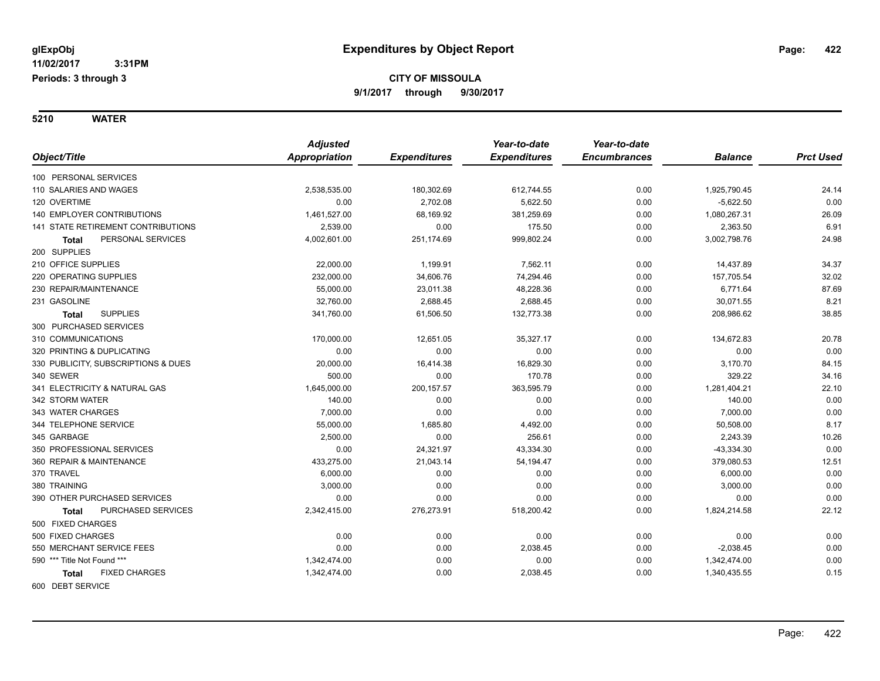|                                           | <b>Adjusted</b> |                     | Year-to-date        | Year-to-date        |                |                  |
|-------------------------------------------|-----------------|---------------------|---------------------|---------------------|----------------|------------------|
| Object/Title                              | Appropriation   | <b>Expenditures</b> | <b>Expenditures</b> | <b>Encumbrances</b> | <b>Balance</b> | <b>Prct Used</b> |
| 100 PERSONAL SERVICES                     |                 |                     |                     |                     |                |                  |
| 110 SALARIES AND WAGES                    | 2,538,535.00    | 180,302.69          | 612,744.55          | 0.00                | 1,925,790.45   | 24.14            |
| 120 OVERTIME                              | 0.00            | 2,702.08            | 5,622.50            | 0.00                | $-5,622.50$    | 0.00             |
| <b>140 EMPLOYER CONTRIBUTIONS</b>         | 1,461,527.00    | 68.169.92           | 381,259.69          | 0.00                | 1,080,267.31   | 26.09            |
| <b>141 STATE RETIREMENT CONTRIBUTIONS</b> | 2,539.00        | 0.00                | 175.50              | 0.00                | 2,363.50       | 6.91             |
| PERSONAL SERVICES<br><b>Total</b>         | 4,002,601.00    | 251,174.69          | 999,802.24          | 0.00                | 3,002,798.76   | 24.98            |
| 200 SUPPLIES                              |                 |                     |                     |                     |                |                  |
| 210 OFFICE SUPPLIES                       | 22,000.00       | 1,199.91            | 7,562.11            | 0.00                | 14,437.89      | 34.37            |
| 220 OPERATING SUPPLIES                    | 232,000.00      | 34,606.76           | 74,294.46           | 0.00                | 157,705.54     | 32.02            |
| 230 REPAIR/MAINTENANCE                    | 55,000.00       | 23,011.38           | 48,228.36           | 0.00                | 6,771.64       | 87.69            |
| 231 GASOLINE                              | 32,760.00       | 2,688.45            | 2,688.45            | 0.00                | 30,071.55      | 8.21             |
| <b>SUPPLIES</b><br>Total                  | 341,760.00      | 61,506.50           | 132,773.38          | 0.00                | 208,986.62     | 38.85            |
| 300 PURCHASED SERVICES                    |                 |                     |                     |                     |                |                  |
| 310 COMMUNICATIONS                        | 170,000.00      | 12,651.05           | 35,327.17           | 0.00                | 134,672.83     | 20.78            |
| 320 PRINTING & DUPLICATING                | 0.00            | 0.00                | 0.00                | 0.00                | 0.00           | 0.00             |
| 330 PUBLICITY, SUBSCRIPTIONS & DUES       | 20,000.00       | 16,414.38           | 16,829.30           | 0.00                | 3,170.70       | 84.15            |
| 340 SEWER                                 | 500.00          | 0.00                | 170.78              | 0.00                | 329.22         | 34.16            |
| 341 ELECTRICITY & NATURAL GAS             | 1,645,000.00    | 200, 157.57         | 363,595.79          | 0.00                | 1,281,404.21   | 22.10            |
| 342 STORM WATER                           | 140.00          | 0.00                | 0.00                | 0.00                | 140.00         | 0.00             |
| 343 WATER CHARGES                         | 7,000.00        | 0.00                | 0.00                | 0.00                | 7,000.00       | 0.00             |
| 344 TELEPHONE SERVICE                     | 55,000.00       | 1,685.80            | 4,492.00            | 0.00                | 50,508.00      | 8.17             |
| 345 GARBAGE                               | 2,500.00        | 0.00                | 256.61              | 0.00                | 2,243.39       | 10.26            |
| 350 PROFESSIONAL SERVICES                 | 0.00            | 24,321.97           | 43,334.30           | 0.00                | $-43,334.30$   | 0.00             |
| 360 REPAIR & MAINTENANCE                  | 433,275.00      | 21,043.14           | 54,194.47           | 0.00                | 379,080.53     | 12.51            |
| 370 TRAVEL                                | 6,000.00        | 0.00                | 0.00                | 0.00                | 6,000.00       | 0.00             |
| 380 TRAINING                              | 3,000.00        | 0.00                | 0.00                | 0.00                | 3,000.00       | 0.00             |
| 390 OTHER PURCHASED SERVICES              | 0.00            | 0.00                | 0.00                | 0.00                | 0.00           | 0.00             |
| PURCHASED SERVICES<br>Total               | 2,342,415.00    | 276,273.91          | 518,200.42          | 0.00                | 1,824,214.58   | 22.12            |
| 500 FIXED CHARGES                         |                 |                     |                     |                     |                |                  |
| 500 FIXED CHARGES                         | 0.00            | 0.00                | 0.00                | 0.00                | 0.00           | 0.00             |
| 550 MERCHANT SERVICE FEES                 | 0.00            | 0.00                | 2,038.45            | 0.00                | $-2,038.45$    | 0.00             |
| 590 *** Title Not Found ***               | 1,342,474.00    | 0.00                | 0.00                | 0.00                | 1,342,474.00   | 0.00             |
| <b>FIXED CHARGES</b><br>Total             | 1,342,474.00    | 0.00                | 2,038.45            | 0.00                | 1,340,435.55   | 0.15             |
| 600 DEBT SERVICE                          |                 |                     |                     |                     |                |                  |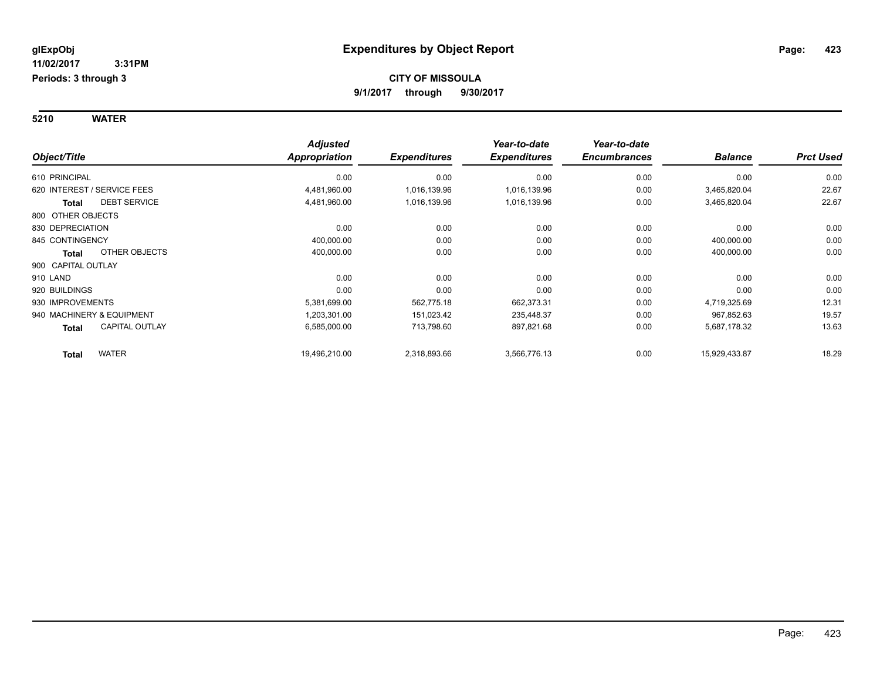|                                | <b>Adjusted</b> |                     | Year-to-date        | Year-to-date<br><b>Encumbrances</b> | <b>Balance</b> |                  |
|--------------------------------|-----------------|---------------------|---------------------|-------------------------------------|----------------|------------------|
| Object/Title                   | Appropriation   | <b>Expenditures</b> | <b>Expenditures</b> |                                     |                | <b>Prct Used</b> |
| 610 PRINCIPAL                  | 0.00            | 0.00                | 0.00                | 0.00                                | 0.00           | 0.00             |
| 620 INTEREST / SERVICE FEES    | 4,481,960.00    | 1,016,139.96        | 1,016,139.96        | 0.00                                | 3,465,820.04   | 22.67            |
| <b>DEBT SERVICE</b><br>Total   | 4,481,960.00    | 1,016,139.96        | 1,016,139.96        | 0.00                                | 3,465,820.04   | 22.67            |
| 800 OTHER OBJECTS              |                 |                     |                     |                                     |                |                  |
| 830 DEPRECIATION               | 0.00            | 0.00                | 0.00                | 0.00                                | 0.00           | 0.00             |
| 845 CONTINGENCY                | 400,000.00      | 0.00                | 0.00                | 0.00                                | 400,000.00     | 0.00             |
| OTHER OBJECTS<br>Total         | 400,000.00      | 0.00                | 0.00                | 0.00                                | 400,000.00     | 0.00             |
| 900 CAPITAL OUTLAY             |                 |                     |                     |                                     |                |                  |
| 910 LAND                       | 0.00            | 0.00                | 0.00                | 0.00                                | 0.00           | 0.00             |
| 920 BUILDINGS                  | 0.00            | 0.00                | 0.00                | 0.00                                | 0.00           | 0.00             |
| 930 IMPROVEMENTS               | 5,381,699.00    | 562,775.18          | 662,373.31          | 0.00                                | 4,719,325.69   | 12.31            |
| 940 MACHINERY & EQUIPMENT      | 1,203,301.00    | 151,023.42          | 235,448.37          | 0.00                                | 967,852.63     | 19.57            |
| <b>CAPITAL OUTLAY</b><br>Total | 6,585,000.00    | 713,798.60          | 897,821.68          | 0.00                                | 5,687,178.32   | 13.63            |
| <b>WATER</b><br><b>Total</b>   | 19.496.210.00   | 2,318,893.66        | 3,566,776.13        | 0.00                                | 15,929,433.87  | 18.29            |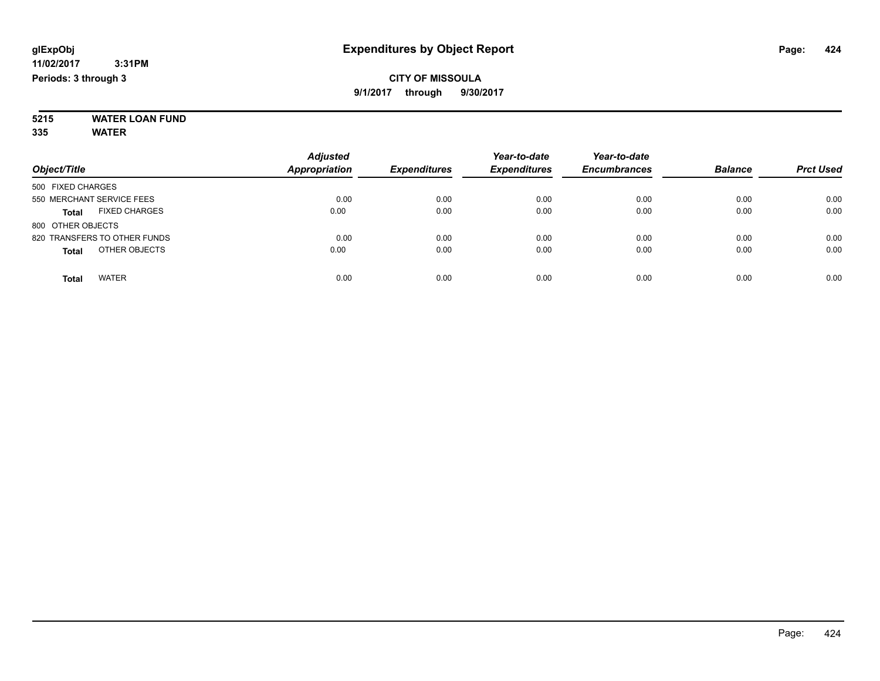### **5215 WATER LOAN FUND 335 WATER**

|                                      | <b>Adjusted</b>      |                     | Year-to-date        | Year-to-date        |                |                  |
|--------------------------------------|----------------------|---------------------|---------------------|---------------------|----------------|------------------|
| Object/Title                         | <b>Appropriation</b> | <b>Expenditures</b> | <b>Expenditures</b> | <b>Encumbrances</b> | <b>Balance</b> | <b>Prct Used</b> |
| 500 FIXED CHARGES                    |                      |                     |                     |                     |                |                  |
| 550 MERCHANT SERVICE FEES            | 0.00                 | 0.00                | 0.00                | 0.00                | 0.00           | 0.00             |
| <b>FIXED CHARGES</b><br><b>Total</b> | 0.00                 | 0.00                | 0.00                | 0.00                | 0.00           | 0.00             |
| 800 OTHER OBJECTS                    |                      |                     |                     |                     |                |                  |
| 820 TRANSFERS TO OTHER FUNDS         | 0.00                 | 0.00                | 0.00                | 0.00                | 0.00           | 0.00             |
| OTHER OBJECTS<br><b>Total</b>        | 0.00                 | 0.00                | 0.00                | 0.00                | 0.00           | 0.00             |
| <b>WATER</b><br><b>Total</b>         | 0.00                 | 0.00                | 0.00                | 0.00                | 0.00           | 0.00             |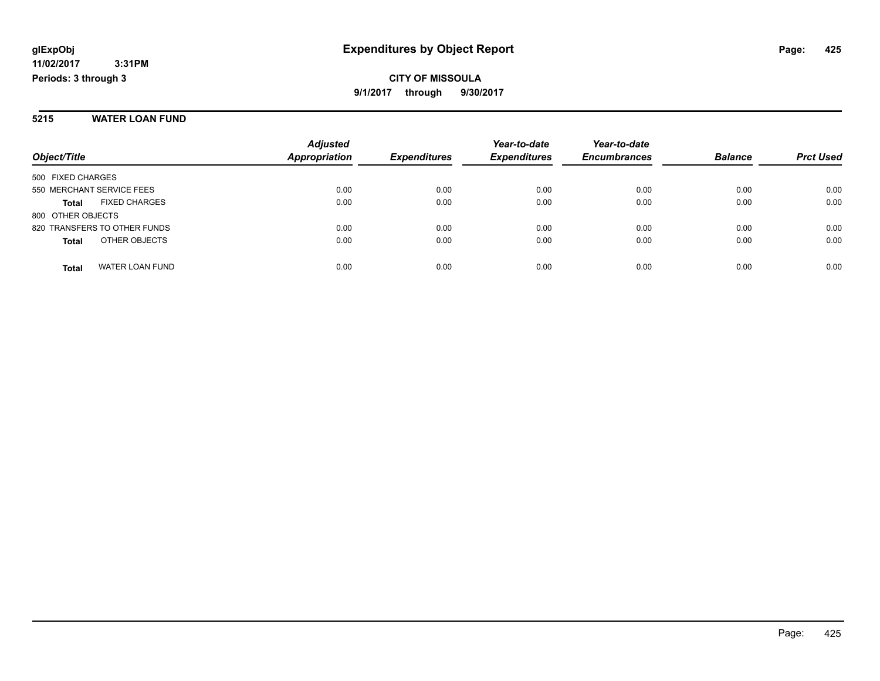#### **5215 WATER LOAN FUND**

|                               | <b>Adjusted</b><br><b>Appropriation</b> |                     | Year-to-date        | Year-to-date        | <b>Balance</b> |                  |
|-------------------------------|-----------------------------------------|---------------------|---------------------|---------------------|----------------|------------------|
| Object/Title                  |                                         | <b>Expenditures</b> | <b>Expenditures</b> | <b>Encumbrances</b> |                | <b>Prct Used</b> |
| 500 FIXED CHARGES             |                                         |                     |                     |                     |                |                  |
| 550 MERCHANT SERVICE FEES     | 0.00                                    | 0.00                | 0.00                | 0.00                | 0.00           | 0.00             |
| <b>FIXED CHARGES</b><br>Total | 0.00                                    | 0.00                | 0.00                | 0.00                | 0.00           | 0.00             |
| 800 OTHER OBJECTS             |                                         |                     |                     |                     |                |                  |
| 820 TRANSFERS TO OTHER FUNDS  | 0.00                                    | 0.00                | 0.00                | 0.00                | 0.00           | 0.00             |
| OTHER OBJECTS<br><b>Total</b> | 0.00                                    | 0.00                | 0.00                | 0.00                | 0.00           | 0.00             |
| WATER LOAN FUND<br>Total      | 0.00                                    | 0.00                | 0.00                | 0.00                | 0.00           | 0.00             |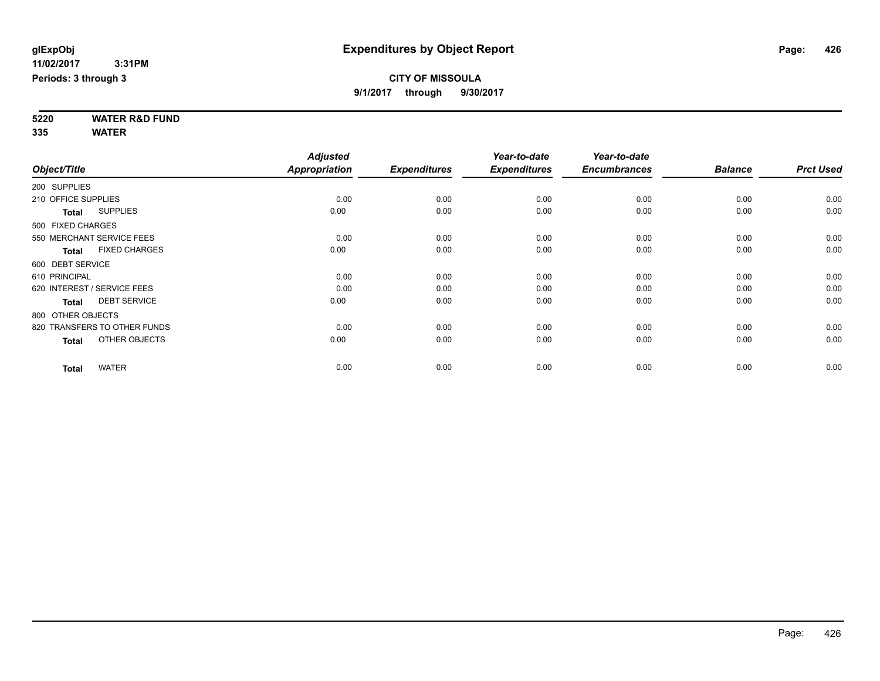**5220 WATER R&D FUND 335 WATER**

|                     |                              | <b>Adjusted</b>      |                     | Year-to-date        | Year-to-date        |                |                  |
|---------------------|------------------------------|----------------------|---------------------|---------------------|---------------------|----------------|------------------|
| Object/Title        |                              | <b>Appropriation</b> | <b>Expenditures</b> | <b>Expenditures</b> | <b>Encumbrances</b> | <b>Balance</b> | <b>Prct Used</b> |
| 200 SUPPLIES        |                              |                      |                     |                     |                     |                |                  |
| 210 OFFICE SUPPLIES |                              | 0.00                 | 0.00                | 0.00                | 0.00                | 0.00           | 0.00             |
| <b>Total</b>        | <b>SUPPLIES</b>              | 0.00                 | 0.00                | 0.00                | 0.00                | 0.00           | 0.00             |
| 500 FIXED CHARGES   |                              |                      |                     |                     |                     |                |                  |
|                     | 550 MERCHANT SERVICE FEES    | 0.00                 | 0.00                | 0.00                | 0.00                | 0.00           | 0.00             |
| <b>Total</b>        | <b>FIXED CHARGES</b>         | 0.00                 | 0.00                | 0.00                | 0.00                | 0.00           | 0.00             |
| 600 DEBT SERVICE    |                              |                      |                     |                     |                     |                |                  |
| 610 PRINCIPAL       |                              | 0.00                 | 0.00                | 0.00                | 0.00                | 0.00           | 0.00             |
|                     | 620 INTEREST / SERVICE FEES  | 0.00                 | 0.00                | 0.00                | 0.00                | 0.00           | 0.00             |
| <b>Total</b>        | <b>DEBT SERVICE</b>          | 0.00                 | 0.00                | 0.00                | 0.00                | 0.00           | 0.00             |
| 800 OTHER OBJECTS   |                              |                      |                     |                     |                     |                |                  |
|                     | 820 TRANSFERS TO OTHER FUNDS | 0.00                 | 0.00                | 0.00                | 0.00                | 0.00           | 0.00             |
| <b>Total</b>        | OTHER OBJECTS                | 0.00                 | 0.00                | 0.00                | 0.00                | 0.00           | 0.00             |
| <b>Total</b>        | <b>WATER</b>                 | 0.00                 | 0.00                | 0.00                | 0.00                | 0.00           | 0.00             |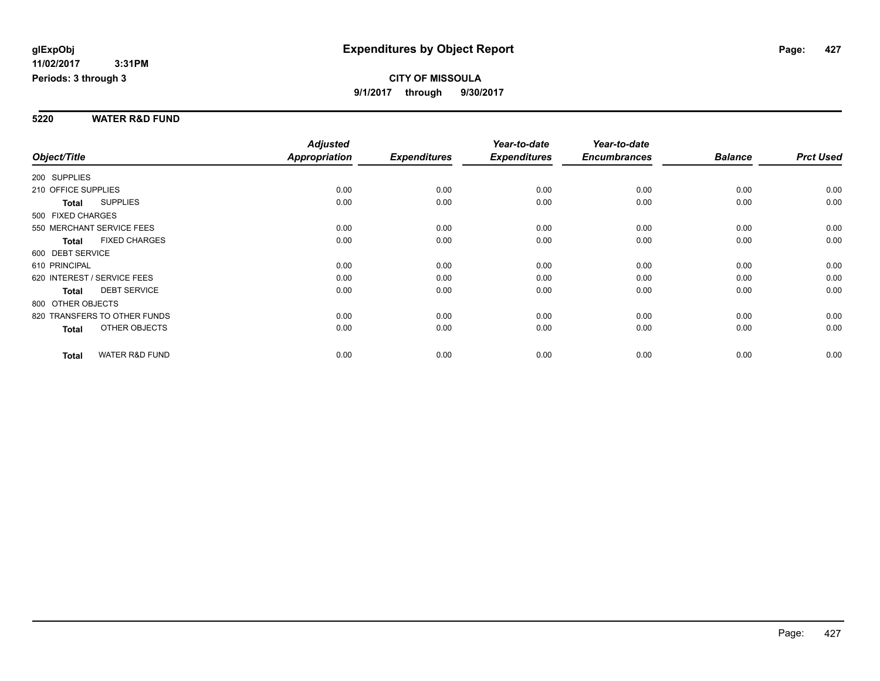**Periods: 3 through 3**

### **CITY OF MISSOULA 9/1/2017 through 9/30/2017**

#### **5220 WATER R&D FUND**

|                     |                              | <b>Adjusted</b> |                     | Year-to-date        | Year-to-date        |                |                  |
|---------------------|------------------------------|-----------------|---------------------|---------------------|---------------------|----------------|------------------|
| Object/Title        |                              | Appropriation   | <b>Expenditures</b> | <b>Expenditures</b> | <b>Encumbrances</b> | <b>Balance</b> | <b>Prct Used</b> |
| 200 SUPPLIES        |                              |                 |                     |                     |                     |                |                  |
| 210 OFFICE SUPPLIES |                              | 0.00            | 0.00                | 0.00                | 0.00                | 0.00           | 0.00             |
| Total               | <b>SUPPLIES</b>              | 0.00            | 0.00                | 0.00                | 0.00                | 0.00           | 0.00             |
| 500 FIXED CHARGES   |                              |                 |                     |                     |                     |                |                  |
|                     | 550 MERCHANT SERVICE FEES    | 0.00            | 0.00                | 0.00                | 0.00                | 0.00           | 0.00             |
| <b>Total</b>        | <b>FIXED CHARGES</b>         | 0.00            | 0.00                | 0.00                | 0.00                | 0.00           | 0.00             |
| 600 DEBT SERVICE    |                              |                 |                     |                     |                     |                |                  |
| 610 PRINCIPAL       |                              | 0.00            | 0.00                | 0.00                | 0.00                | 0.00           | 0.00             |
|                     | 620 INTEREST / SERVICE FEES  | 0.00            | 0.00                | 0.00                | 0.00                | 0.00           | 0.00             |
| <b>Total</b>        | <b>DEBT SERVICE</b>          | 0.00            | 0.00                | 0.00                | 0.00                | 0.00           | 0.00             |
| 800 OTHER OBJECTS   |                              |                 |                     |                     |                     |                |                  |
|                     | 820 TRANSFERS TO OTHER FUNDS | 0.00            | 0.00                | 0.00                | 0.00                | 0.00           | 0.00             |
| <b>Total</b>        | OTHER OBJECTS                | 0.00            | 0.00                | 0.00                | 0.00                | 0.00           | 0.00             |
| <b>Total</b>        | <b>WATER R&amp;D FUND</b>    | 0.00            | 0.00                | 0.00                | 0.00                | 0.00           | 0.00             |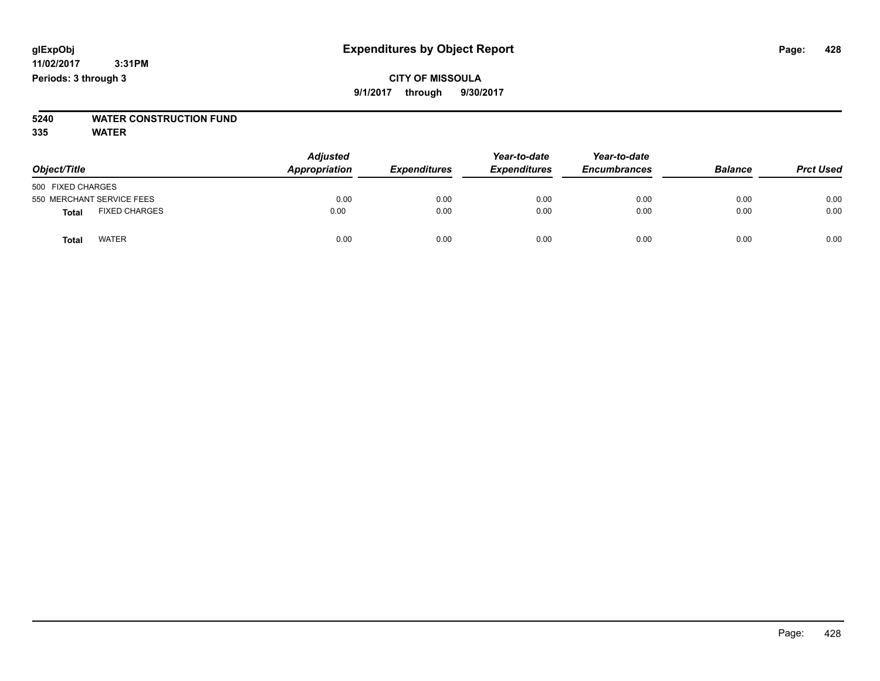# **5240 WATER CONSTRUCTION FUND**

| Object/Title                         | <b>Adjusted</b><br>Appropriation | <b>Expenditures</b> | Year-to-date<br><b>Expenditures</b> | Year-to-date<br><b>Encumbrances</b> | <b>Balance</b> | <b>Prct Used</b> |
|--------------------------------------|----------------------------------|---------------------|-------------------------------------|-------------------------------------|----------------|------------------|
| 500 FIXED CHARGES                    |                                  |                     |                                     |                                     |                |                  |
| 550 MERCHANT SERVICE FEES            | 0.00                             | 0.00                | 0.00                                | 0.00                                | 0.00           | 0.00             |
| <b>FIXED CHARGES</b><br><b>Total</b> | 0.00                             | 0.00                | 0.00                                | 0.00                                | 0.00           | 0.00             |
| <b>WATER</b><br>Total                | 0.00                             | 0.00                | 0.00                                | 0.00                                | 0.00           | 0.00             |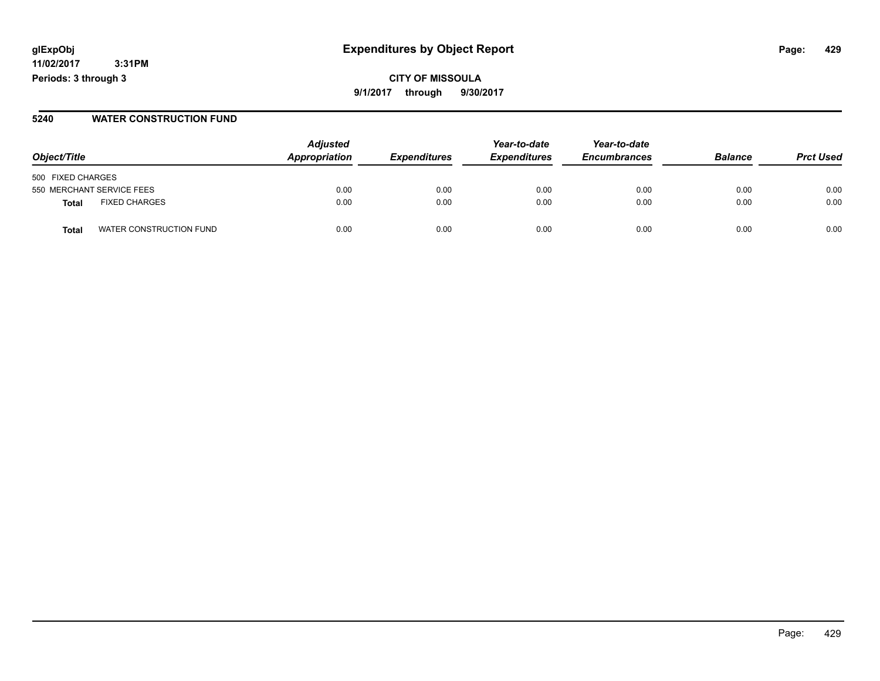**CITY OF MISSOULA 9/1/2017 through 9/30/2017**

### **5240 WATER CONSTRUCTION FUND**

|                                      | <b>Adjusted</b><br>Appropriation |                            | Year-to-date        | Year-to-date        | <b>Balance</b> |                  |
|--------------------------------------|----------------------------------|----------------------------|---------------------|---------------------|----------------|------------------|
| Object/Title                         |                                  | <i><b>Expenditures</b></i> | <b>Expenditures</b> | <b>Encumbrances</b> |                | <b>Prct Used</b> |
| 500 FIXED CHARGES                    |                                  |                            |                     |                     |                |                  |
| 550 MERCHANT SERVICE FEES            | 0.00                             | 0.00                       | 0.00                | 0.00                | 0.00           | 0.00             |
| <b>FIXED CHARGES</b><br><b>Total</b> | 0.00                             | 0.00                       | 0.00                | 0.00                | 0.00           | 0.00             |
| WATER CONSTRUCTION FUND<br>Tota      | 0.00                             | 0.00                       | 0.00                | 0.00                | 0.00           | 0.00             |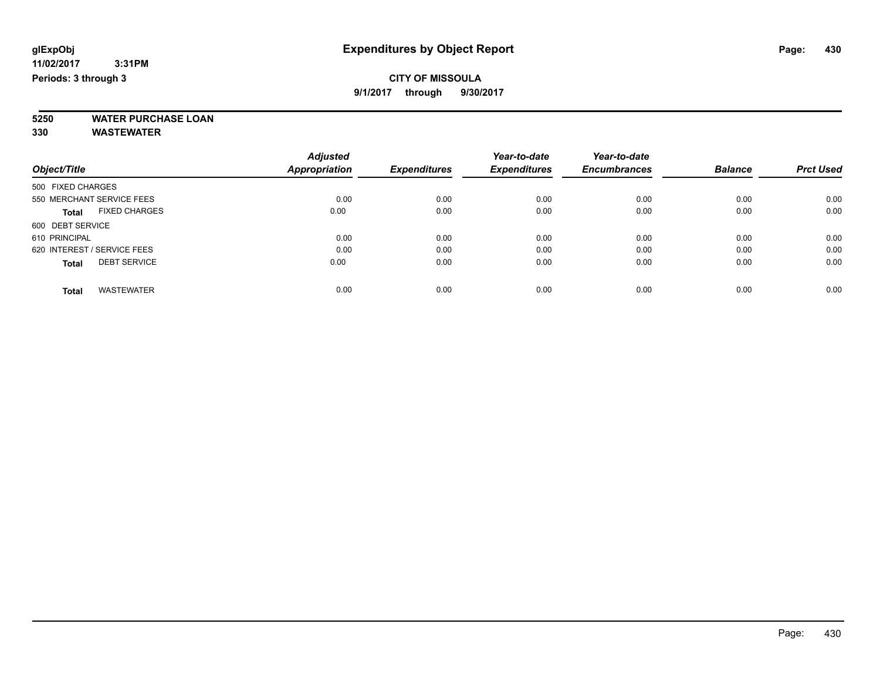### **CITY OF MISSOULA**

**9/1/2017 through 9/30/2017**

**5250 WATER PURCHASE LOAN**

**330 WASTEWATER**

|                                      | <b>Adjusted</b>      |                     | Year-to-date        | Year-to-date        |                |                  |
|--------------------------------------|----------------------|---------------------|---------------------|---------------------|----------------|------------------|
| Object/Title                         | <b>Appropriation</b> | <b>Expenditures</b> | <b>Expenditures</b> | <b>Encumbrances</b> | <b>Balance</b> | <b>Prct Used</b> |
| 500 FIXED CHARGES                    |                      |                     |                     |                     |                |                  |
| 550 MERCHANT SERVICE FEES            | 0.00                 | 0.00                | 0.00                | 0.00                | 0.00           | 0.00             |
| <b>FIXED CHARGES</b><br><b>Total</b> | 0.00                 | 0.00                | 0.00                | 0.00                | 0.00           | 0.00             |
| 600 DEBT SERVICE                     |                      |                     |                     |                     |                |                  |
| 610 PRINCIPAL                        | 0.00                 | 0.00                | 0.00                | 0.00                | 0.00           | 0.00             |
| 620 INTEREST / SERVICE FEES          | 0.00                 | 0.00                | 0.00                | 0.00                | 0.00           | 0.00             |
| <b>DEBT SERVICE</b><br><b>Total</b>  | 0.00                 | 0.00                | 0.00                | 0.00                | 0.00           | 0.00             |
| <b>WASTEWATER</b><br>Total           | 0.00                 | 0.00                | 0.00                | 0.00                | 0.00           | 0.00             |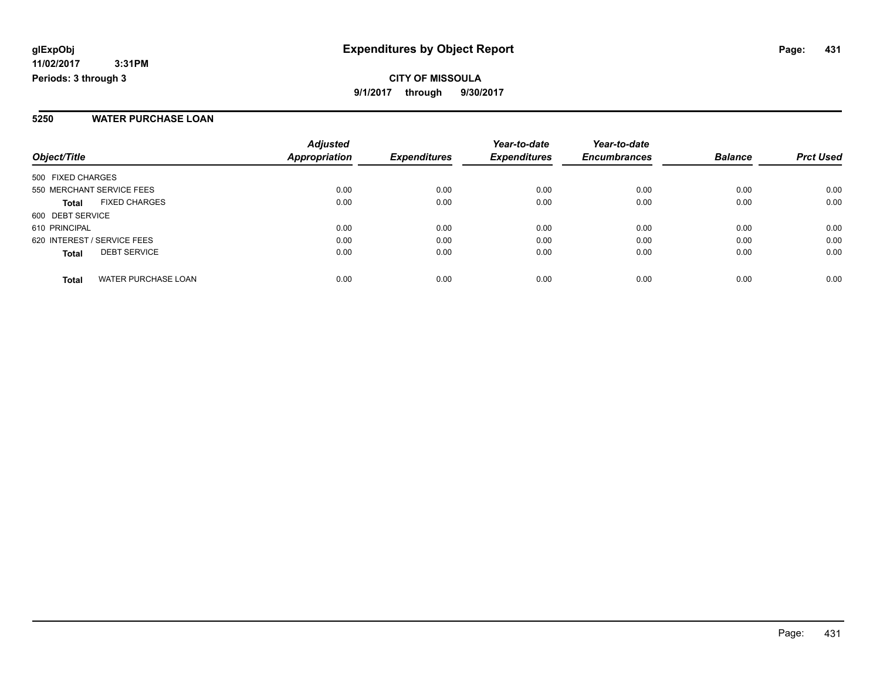**CITY OF MISSOULA 9/1/2017 through 9/30/2017**

#### **5250 WATER PURCHASE LOAN**

| Object/Title                               | <b>Adjusted</b><br><b>Appropriation</b> | <b>Expenditures</b> | Year-to-date<br><b>Expenditures</b> | Year-to-date<br><b>Encumbrances</b> | <b>Balance</b> | <b>Prct Used</b> |
|--------------------------------------------|-----------------------------------------|---------------------|-------------------------------------|-------------------------------------|----------------|------------------|
| 500 FIXED CHARGES                          |                                         |                     |                                     |                                     |                |                  |
| 550 MERCHANT SERVICE FEES                  | 0.00                                    | 0.00                | 0.00                                | 0.00                                | 0.00           | 0.00             |
| <b>FIXED CHARGES</b><br><b>Total</b>       | 0.00                                    | 0.00                | 0.00                                | 0.00                                | 0.00           | 0.00             |
| 600 DEBT SERVICE                           |                                         |                     |                                     |                                     |                |                  |
| 610 PRINCIPAL                              | 0.00                                    | 0.00                | 0.00                                | 0.00                                | 0.00           | 0.00             |
| 620 INTEREST / SERVICE FEES                | 0.00                                    | 0.00                | 0.00                                | 0.00                                | 0.00           | 0.00             |
| <b>DEBT SERVICE</b><br><b>Total</b>        | 0.00                                    | 0.00                | 0.00                                | 0.00                                | 0.00           | 0.00             |
| <b>WATER PURCHASE LOAN</b><br><b>Total</b> | 0.00                                    | 0.00                | 0.00                                | 0.00                                | 0.00           | 0.00             |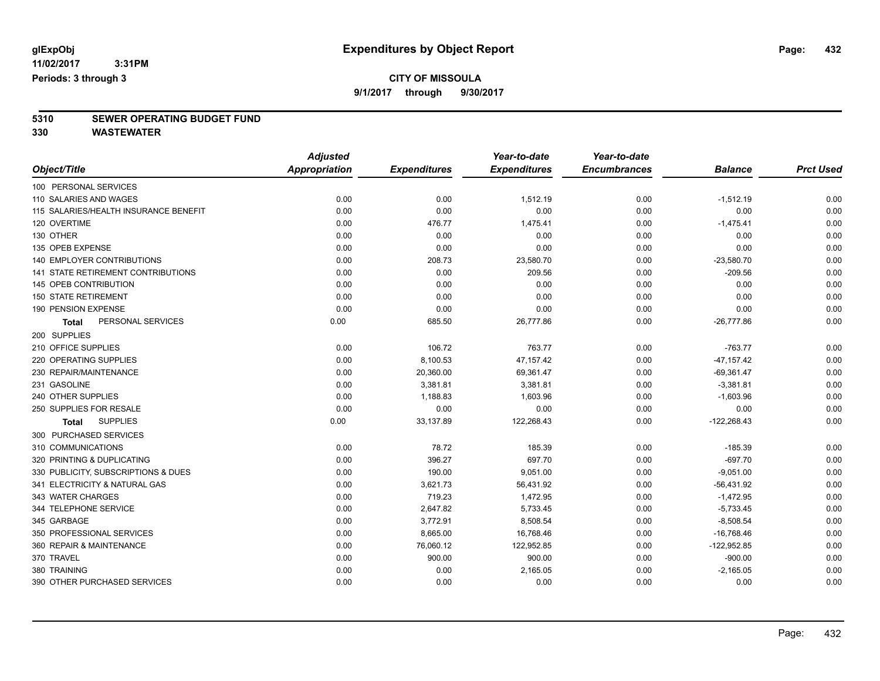### **CITY OF MISSOULA**

**9/1/2017 through 9/30/2017**

# **5310 SEWER OPERATING BUDGET FUND**

**330 WASTEWATER**

| Object/Title                              | <b>Adjusted</b>      |                     | Year-to-date        | Year-to-date        |                |                  |
|-------------------------------------------|----------------------|---------------------|---------------------|---------------------|----------------|------------------|
|                                           | <b>Appropriation</b> | <b>Expenditures</b> | <b>Expenditures</b> | <b>Encumbrances</b> | <b>Balance</b> | <b>Prct Used</b> |
| 100 PERSONAL SERVICES                     |                      |                     |                     |                     |                |                  |
| 110 SALARIES AND WAGES                    | 0.00                 | 0.00                | 1,512.19            | 0.00                | $-1,512.19$    | 0.00             |
| 115 SALARIES/HEALTH INSURANCE BENEFIT     | 0.00                 | 0.00                | 0.00                | 0.00                | 0.00           | 0.00             |
| 120 OVERTIME                              | 0.00                 | 476.77              | 1,475.41            | 0.00                | $-1,475.41$    | 0.00             |
| 130 OTHER                                 | 0.00                 | 0.00                | 0.00                | 0.00                | 0.00           | 0.00             |
| 135 OPEB EXPENSE                          | 0.00                 | 0.00                | 0.00                | 0.00                | 0.00           | 0.00             |
| <b>140 EMPLOYER CONTRIBUTIONS</b>         | 0.00                 | 208.73              | 23,580.70           | 0.00                | $-23,580.70$   | 0.00             |
| <b>141 STATE RETIREMENT CONTRIBUTIONS</b> | 0.00                 | 0.00                | 209.56              | 0.00                | $-209.56$      | 0.00             |
| 145 OPEB CONTRIBUTION                     | 0.00                 | 0.00                | 0.00                | 0.00                | 0.00           | 0.00             |
| <b>150 STATE RETIREMENT</b>               | 0.00                 | 0.00                | 0.00                | 0.00                | 0.00           | 0.00             |
| 190 PENSION EXPENSE                       | 0.00                 | 0.00                | 0.00                | 0.00                | 0.00           | 0.00             |
| PERSONAL SERVICES<br><b>Total</b>         | 0.00                 | 685.50              | 26,777.86           | 0.00                | $-26,777.86$   | 0.00             |
| 200 SUPPLIES                              |                      |                     |                     |                     |                |                  |
| 210 OFFICE SUPPLIES                       | 0.00                 | 106.72              | 763.77              | 0.00                | $-763.77$      | 0.00             |
| 220 OPERATING SUPPLIES                    | 0.00                 | 8,100.53            | 47, 157. 42         | 0.00                | $-47, 157.42$  | 0.00             |
| 230 REPAIR/MAINTENANCE                    | 0.00                 | 20,360.00           | 69,361.47           | 0.00                | $-69,361.47$   | 0.00             |
| 231 GASOLINE                              | 0.00                 | 3,381.81            | 3,381.81            | 0.00                | $-3,381.81$    | 0.00             |
| 240 OTHER SUPPLIES                        | 0.00                 | 1,188.83            | 1,603.96            | 0.00                | $-1,603.96$    | 0.00             |
| 250 SUPPLIES FOR RESALE                   | 0.00                 | 0.00                | 0.00                | 0.00                | 0.00           | 0.00             |
| <b>SUPPLIES</b><br><b>Total</b>           | 0.00                 | 33,137.89           | 122,268.43          | 0.00                | $-122,268.43$  | 0.00             |
| 300 PURCHASED SERVICES                    |                      |                     |                     |                     |                |                  |
| 310 COMMUNICATIONS                        | 0.00                 | 78.72               | 185.39              | 0.00                | $-185.39$      | 0.00             |
| 320 PRINTING & DUPLICATING                | 0.00                 | 396.27              | 697.70              | 0.00                | $-697.70$      | 0.00             |
| 330 PUBLICITY, SUBSCRIPTIONS & DUES       | 0.00                 | 190.00              | 9,051.00            | 0.00                | $-9,051.00$    | 0.00             |
| 341 ELECTRICITY & NATURAL GAS             | 0.00                 | 3,621.73            | 56,431.92           | 0.00                | $-56,431.92$   | 0.00             |
| 343 WATER CHARGES                         | 0.00                 | 719.23              | 1,472.95            | 0.00                | $-1,472.95$    | 0.00             |
| 344 TELEPHONE SERVICE                     | 0.00                 | 2,647.82            | 5,733.45            | 0.00                | $-5,733.45$    | 0.00             |
| 345 GARBAGE                               | 0.00                 | 3,772.91            | 8,508.54            | 0.00                | $-8,508.54$    | 0.00             |
| 350 PROFESSIONAL SERVICES                 | 0.00                 | 8,665.00            | 16,768.46           | 0.00                | $-16,768.46$   | 0.00             |
| 360 REPAIR & MAINTENANCE                  | 0.00                 | 76,060.12           | 122,952.85          | 0.00                | $-122,952.85$  | 0.00             |
| 370 TRAVEL                                | 0.00                 | 900.00              | 900.00              | 0.00                | $-900.00$      | 0.00             |
| 380 TRAINING                              | 0.00                 | 0.00                | 2,165.05            | 0.00                | $-2,165.05$    | 0.00             |
| 390 OTHER PURCHASED SERVICES              | 0.00                 | 0.00                | 0.00                | 0.00                | 0.00           | 0.00             |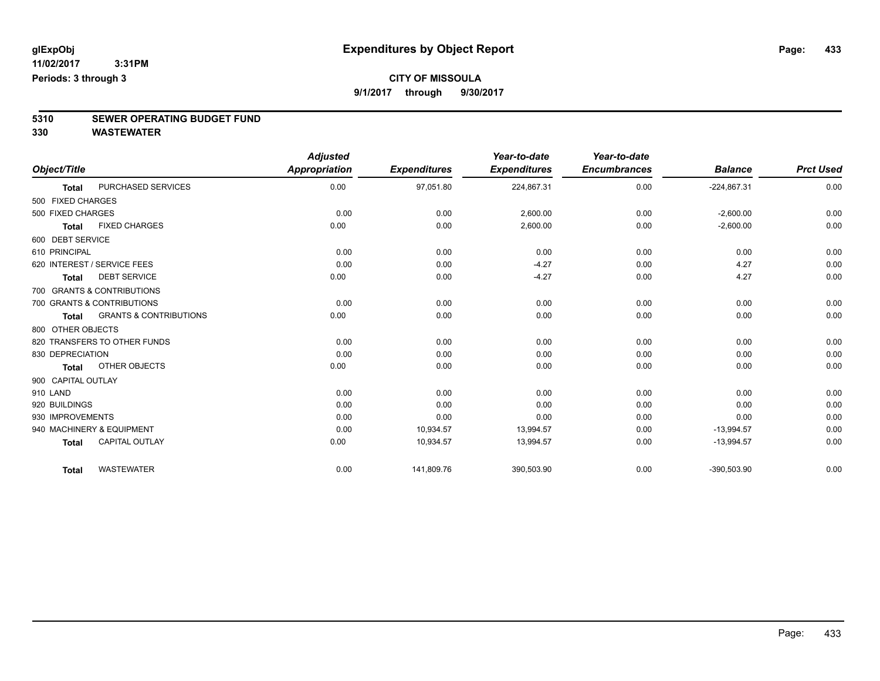### **CITY OF MISSOULA**

**9/1/2017 through 9/30/2017**

# **5310 SEWER OPERATING BUDGET FUND**

|                    |                                   | <b>Adjusted</b>      |                     | Year-to-date        | Year-to-date        |                |                  |
|--------------------|-----------------------------------|----------------------|---------------------|---------------------|---------------------|----------------|------------------|
| Object/Title       |                                   | <b>Appropriation</b> | <b>Expenditures</b> | <b>Expenditures</b> | <b>Encumbrances</b> | <b>Balance</b> | <b>Prct Used</b> |
| <b>Total</b>       | PURCHASED SERVICES                | 0.00                 | 97,051.80           | 224,867.31          | 0.00                | $-224,867.31$  | 0.00             |
| 500 FIXED CHARGES  |                                   |                      |                     |                     |                     |                |                  |
| 500 FIXED CHARGES  |                                   | 0.00                 | 0.00                | 2,600.00            | 0.00                | $-2,600.00$    | 0.00             |
| <b>Total</b>       | <b>FIXED CHARGES</b>              | 0.00                 | 0.00                | 2,600.00            | 0.00                | $-2,600.00$    | 0.00             |
| 600 DEBT SERVICE   |                                   |                      |                     |                     |                     |                |                  |
| 610 PRINCIPAL      |                                   | 0.00                 | 0.00                | 0.00                | 0.00                | 0.00           | 0.00             |
|                    | 620 INTEREST / SERVICE FEES       | 0.00                 | 0.00                | $-4.27$             | 0.00                | 4.27           | 0.00             |
| Total              | <b>DEBT SERVICE</b>               | 0.00                 | 0.00                | $-4.27$             | 0.00                | 4.27           | 0.00             |
|                    | 700 GRANTS & CONTRIBUTIONS        |                      |                     |                     |                     |                |                  |
|                    | 700 GRANTS & CONTRIBUTIONS        | 0.00                 | 0.00                | 0.00                | 0.00                | 0.00           | 0.00             |
| <b>Total</b>       | <b>GRANTS &amp; CONTRIBUTIONS</b> | 0.00                 | 0.00                | 0.00                | 0.00                | 0.00           | 0.00             |
| 800 OTHER OBJECTS  |                                   |                      |                     |                     |                     |                |                  |
|                    | 820 TRANSFERS TO OTHER FUNDS      | 0.00                 | 0.00                | 0.00                | 0.00                | 0.00           | 0.00             |
| 830 DEPRECIATION   |                                   | 0.00                 | 0.00                | 0.00                | 0.00                | 0.00           | 0.00             |
| <b>Total</b>       | OTHER OBJECTS                     | 0.00                 | 0.00                | 0.00                | 0.00                | 0.00           | 0.00             |
| 900 CAPITAL OUTLAY |                                   |                      |                     |                     |                     |                |                  |
| 910 LAND           |                                   | 0.00                 | 0.00                | 0.00                | 0.00                | 0.00           | 0.00             |
| 920 BUILDINGS      |                                   | 0.00                 | 0.00                | 0.00                | 0.00                | 0.00           | 0.00             |
| 930 IMPROVEMENTS   |                                   | 0.00                 | 0.00                | 0.00                | 0.00                | 0.00           | 0.00             |
|                    | 940 MACHINERY & EQUIPMENT         | 0.00                 | 10,934.57           | 13,994.57           | 0.00                | $-13,994.57$   | 0.00             |
| <b>Total</b>       | <b>CAPITAL OUTLAY</b>             | 0.00                 | 10,934.57           | 13,994.57           | 0.00                | $-13,994.57$   | 0.00             |
| <b>Total</b>       | <b>WASTEWATER</b>                 | 0.00                 | 141,809.76          | 390,503.90          | 0.00                | -390,503.90    | 0.00             |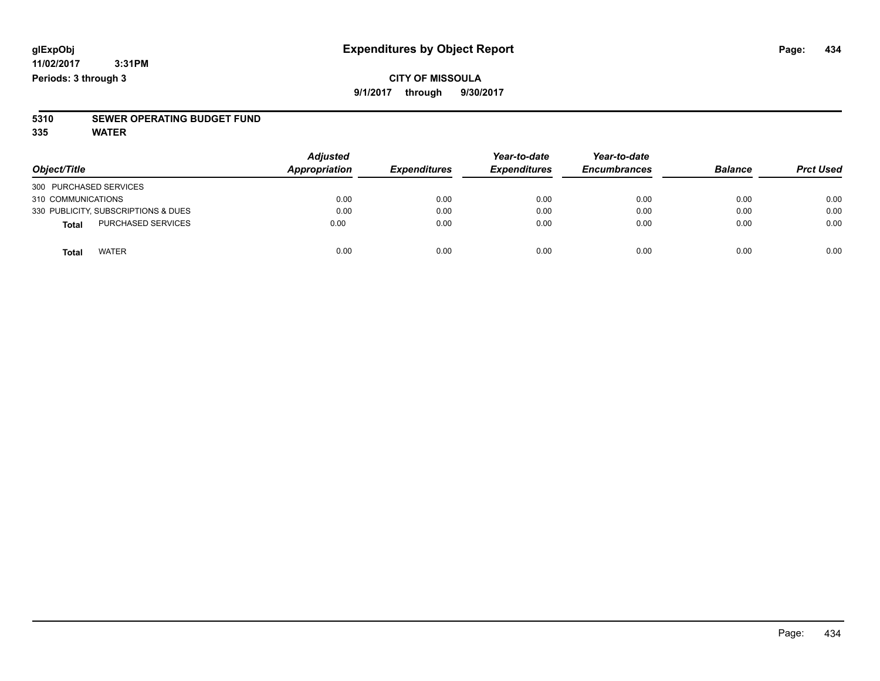#### **CITY OF MISSOULA 9/1/2017 through 9/30/2017**

# **5310 SEWER OPERATING BUDGET FUND**

**335 WATER**

| Object/Title                        | <b>Adjusted</b><br>Appropriation | <b>Expenditures</b> | Year-to-date<br><b>Expenditures</b> | Year-to-date<br><b>Encumbrances</b> | <b>Balance</b> | <b>Prct Used</b> |
|-------------------------------------|----------------------------------|---------------------|-------------------------------------|-------------------------------------|----------------|------------------|
| 300 PURCHASED SERVICES              |                                  |                     |                                     |                                     |                |                  |
| 310 COMMUNICATIONS                  | 0.00                             | 0.00                | 0.00                                | 0.00                                | 0.00           | 0.00             |
| 330 PUBLICITY, SUBSCRIPTIONS & DUES | 0.00                             | 0.00                | 0.00                                | 0.00                                | 0.00           | 0.00             |
| <b>PURCHASED SERVICES</b><br>Total  | 0.00                             | 0.00                | 0.00                                | 0.00                                | 0.00           | 0.00             |
| <b>WATER</b><br>Total               | 0.00                             | 0.00                | 0.00                                | 0.00                                | 0.00           | 0.00             |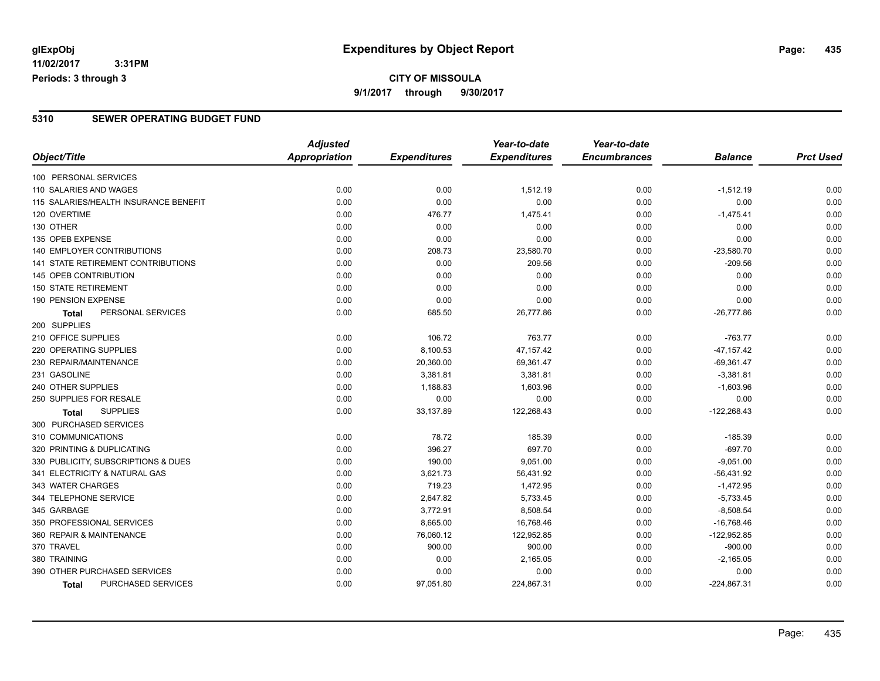**11/02/2017 3:31PM Periods: 3 through 3**

#### **5310 SEWER OPERATING BUDGET FUND**

|                                           | <b>Adjusted</b> |                     | Year-to-date        | Year-to-date        |                |                  |
|-------------------------------------------|-----------------|---------------------|---------------------|---------------------|----------------|------------------|
| Object/Title                              | Appropriation   | <b>Expenditures</b> | <b>Expenditures</b> | <b>Encumbrances</b> | <b>Balance</b> | <b>Prct Used</b> |
| 100 PERSONAL SERVICES                     |                 |                     |                     |                     |                |                  |
| 110 SALARIES AND WAGES                    | 0.00            | 0.00                | 1,512.19            | 0.00                | $-1,512.19$    | 0.00             |
| 115 SALARIES/HEALTH INSURANCE BENEFIT     | 0.00            | 0.00                | 0.00                | 0.00                | 0.00           | 0.00             |
| 120 OVERTIME                              | 0.00            | 476.77              | 1,475.41            | 0.00                | $-1,475.41$    | 0.00             |
| 130 OTHER                                 | 0.00            | 0.00                | 0.00                | 0.00                | 0.00           | 0.00             |
| 135 OPEB EXPENSE                          | 0.00            | 0.00                | 0.00                | 0.00                | 0.00           | 0.00             |
| <b>140 EMPLOYER CONTRIBUTIONS</b>         | 0.00            | 208.73              | 23,580.70           | 0.00                | $-23,580.70$   | 0.00             |
| <b>141 STATE RETIREMENT CONTRIBUTIONS</b> | 0.00            | 0.00                | 209.56              | 0.00                | $-209.56$      | 0.00             |
| 145 OPEB CONTRIBUTION                     | 0.00            | 0.00                | 0.00                | 0.00                | 0.00           | 0.00             |
| <b>150 STATE RETIREMENT</b>               | 0.00            | 0.00                | 0.00                | 0.00                | 0.00           | 0.00             |
| 190 PENSION EXPENSE                       | 0.00            | 0.00                | 0.00                | 0.00                | 0.00           | 0.00             |
| PERSONAL SERVICES<br><b>Total</b>         | 0.00            | 685.50              | 26,777.86           | 0.00                | $-26,777.86$   | 0.00             |
| 200 SUPPLIES                              |                 |                     |                     |                     |                |                  |
| 210 OFFICE SUPPLIES                       | 0.00            | 106.72              | 763.77              | 0.00                | $-763.77$      | 0.00             |
| 220 OPERATING SUPPLIES                    | 0.00            | 8,100.53            | 47,157.42           | 0.00                | $-47, 157.42$  | 0.00             |
| 230 REPAIR/MAINTENANCE                    | 0.00            | 20,360.00           | 69,361.47           | 0.00                | $-69,361.47$   | 0.00             |
| 231 GASOLINE                              | 0.00            | 3,381.81            | 3,381.81            | 0.00                | $-3,381.81$    | 0.00             |
| 240 OTHER SUPPLIES                        | 0.00            | 1,188.83            | 1,603.96            | 0.00                | $-1,603.96$    | 0.00             |
| 250 SUPPLIES FOR RESALE                   | 0.00            | 0.00                | 0.00                | 0.00                | 0.00           | 0.00             |
| <b>SUPPLIES</b><br><b>Total</b>           | 0.00            | 33,137.89           | 122,268.43          | 0.00                | $-122,268.43$  | 0.00             |
| 300 PURCHASED SERVICES                    |                 |                     |                     |                     |                |                  |
| 310 COMMUNICATIONS                        | 0.00            | 78.72               | 185.39              | 0.00                | $-185.39$      | 0.00             |
| 320 PRINTING & DUPLICATING                | 0.00            | 396.27              | 697.70              | 0.00                | $-697.70$      | 0.00             |
| 330 PUBLICITY, SUBSCRIPTIONS & DUES       | 0.00            | 190.00              | 9,051.00            | 0.00                | $-9,051.00$    | 0.00             |
| 341 ELECTRICITY & NATURAL GAS             | 0.00            | 3,621.73            | 56,431.92           | 0.00                | $-56,431.92$   | 0.00             |
| 343 WATER CHARGES                         | 0.00            | 719.23              | 1,472.95            | 0.00                | $-1,472.95$    | 0.00             |
| 344 TELEPHONE SERVICE                     | 0.00            | 2,647.82            | 5,733.45            | 0.00                | $-5,733.45$    | 0.00             |
| 345 GARBAGE                               | 0.00            | 3,772.91            | 8,508.54            | 0.00                | $-8,508.54$    | 0.00             |
| 350 PROFESSIONAL SERVICES                 | 0.00            | 8,665.00            | 16,768.46           | 0.00                | $-16,768.46$   | 0.00             |
| 360 REPAIR & MAINTENANCE                  | 0.00            | 76,060.12           | 122,952.85          | 0.00                | $-122,952.85$  | 0.00             |
| 370 TRAVEL                                | 0.00            | 900.00              | 900.00              | 0.00                | $-900.00$      | 0.00             |
| 380 TRAINING                              | 0.00            | 0.00                | 2,165.05            | 0.00                | $-2,165.05$    | 0.00             |
| 390 OTHER PURCHASED SERVICES              | 0.00            | 0.00                | 0.00                | 0.00                | 0.00           | 0.00             |
| PURCHASED SERVICES<br>Total               | 0.00            | 97,051.80           | 224,867.31          | 0.00                | $-224,867.31$  | 0.00             |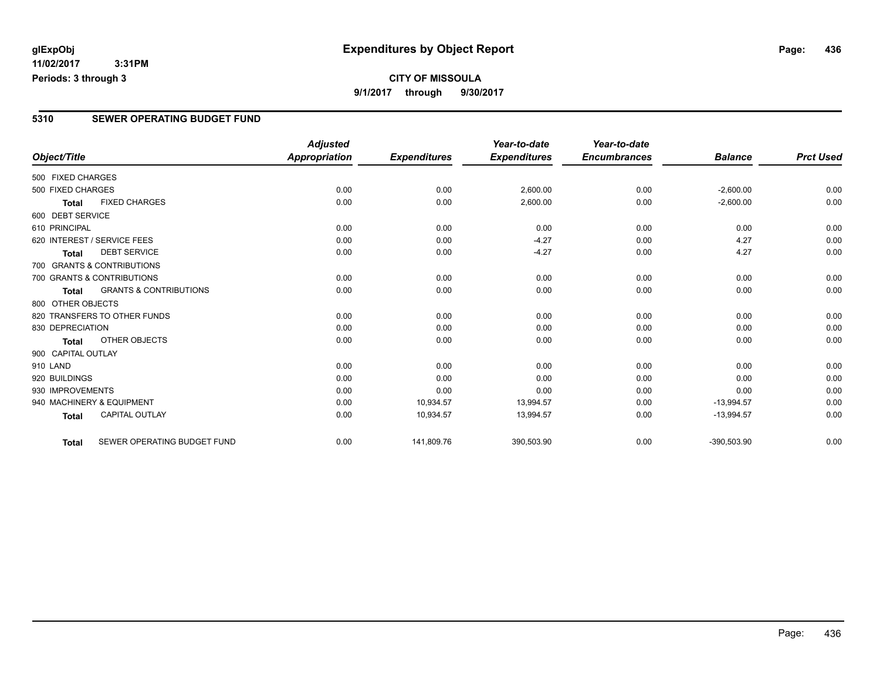**11/02/2017 3:31PM Periods: 3 through 3**

#### **5310 SEWER OPERATING BUDGET FUND**

|                    |                                   | <b>Adjusted</b>      |                     | Year-to-date        | Year-to-date        |                |                  |
|--------------------|-----------------------------------|----------------------|---------------------|---------------------|---------------------|----------------|------------------|
| Object/Title       |                                   | <b>Appropriation</b> | <b>Expenditures</b> | <b>Expenditures</b> | <b>Encumbrances</b> | <b>Balance</b> | <b>Prct Used</b> |
| 500 FIXED CHARGES  |                                   |                      |                     |                     |                     |                |                  |
| 500 FIXED CHARGES  |                                   | 0.00                 | 0.00                | 2,600.00            | 0.00                | $-2,600.00$    | 0.00             |
| Total              | <b>FIXED CHARGES</b>              | 0.00                 | 0.00                | 2,600.00            | 0.00                | $-2,600.00$    | 0.00             |
| 600 DEBT SERVICE   |                                   |                      |                     |                     |                     |                |                  |
| 610 PRINCIPAL      |                                   | 0.00                 | 0.00                | 0.00                | 0.00                | 0.00           | 0.00             |
|                    | 620 INTEREST / SERVICE FEES       | 0.00                 | 0.00                | $-4.27$             | 0.00                | 4.27           | 0.00             |
| <b>Total</b>       | <b>DEBT SERVICE</b>               | 0.00                 | 0.00                | $-4.27$             | 0.00                | 4.27           | 0.00             |
|                    | 700 GRANTS & CONTRIBUTIONS        |                      |                     |                     |                     |                |                  |
|                    | 700 GRANTS & CONTRIBUTIONS        | 0.00                 | 0.00                | 0.00                | 0.00                | 0.00           | 0.00             |
| Total              | <b>GRANTS &amp; CONTRIBUTIONS</b> | 0.00                 | 0.00                | 0.00                | 0.00                | 0.00           | 0.00             |
| 800 OTHER OBJECTS  |                                   |                      |                     |                     |                     |                |                  |
|                    | 820 TRANSFERS TO OTHER FUNDS      | 0.00                 | 0.00                | 0.00                | 0.00                | 0.00           | 0.00             |
| 830 DEPRECIATION   |                                   | 0.00                 | 0.00                | 0.00                | 0.00                | 0.00           | 0.00             |
| <b>Total</b>       | <b>OTHER OBJECTS</b>              | 0.00                 | 0.00                | 0.00                | 0.00                | 0.00           | 0.00             |
| 900 CAPITAL OUTLAY |                                   |                      |                     |                     |                     |                |                  |
| 910 LAND           |                                   | 0.00                 | 0.00                | 0.00                | 0.00                | 0.00           | 0.00             |
| 920 BUILDINGS      |                                   | 0.00                 | 0.00                | 0.00                | 0.00                | 0.00           | 0.00             |
| 930 IMPROVEMENTS   |                                   | 0.00                 | 0.00                | 0.00                | 0.00                | 0.00           | 0.00             |
|                    | 940 MACHINERY & EQUIPMENT         | 0.00                 | 10,934.57           | 13,994.57           | 0.00                | $-13,994.57$   | 0.00             |
| <b>Total</b>       | <b>CAPITAL OUTLAY</b>             | 0.00                 | 10,934.57           | 13,994.57           | 0.00                | $-13,994.57$   | 0.00             |
| <b>Total</b>       | SEWER OPERATING BUDGET FUND       | 0.00                 | 141,809.76          | 390,503.90          | 0.00                | $-390,503.90$  | 0.00             |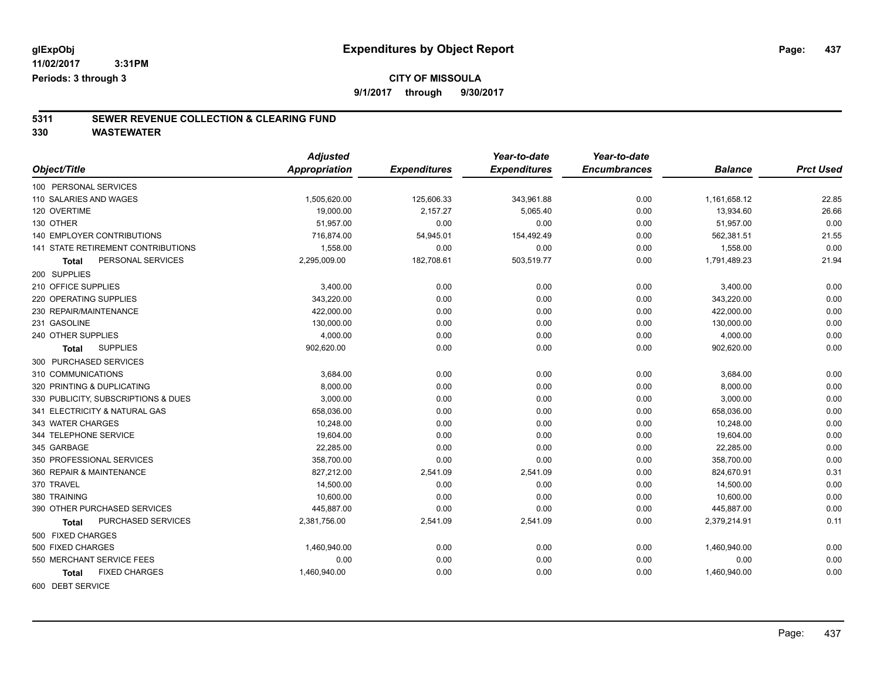**CITY OF MISSOULA 9/1/2017 through 9/30/2017**

### **5311 SEWER REVENUE COLLECTION & CLEARING FUND**

**330 WASTEWATER**

|                                           | <b>Adjusted</b>      |                     | Year-to-date        | Year-to-date        |                |                  |
|-------------------------------------------|----------------------|---------------------|---------------------|---------------------|----------------|------------------|
| Object/Title                              | <b>Appropriation</b> | <b>Expenditures</b> | <b>Expenditures</b> | <b>Encumbrances</b> | <b>Balance</b> | <b>Prct Used</b> |
| 100 PERSONAL SERVICES                     |                      |                     |                     |                     |                |                  |
| 110 SALARIES AND WAGES                    | 1,505,620.00         | 125,606.33          | 343,961.88          | 0.00                | 1,161,658.12   | 22.85            |
| 120 OVERTIME                              | 19,000.00            | 2,157.27            | 5,065.40            | 0.00                | 13,934.60      | 26.66            |
| 130 OTHER                                 | 51,957.00            | 0.00                | 0.00                | 0.00                | 51,957.00      | 0.00             |
| <b>140 EMPLOYER CONTRIBUTIONS</b>         | 716,874.00           | 54,945.01           | 154,492.49          | 0.00                | 562,381.51     | 21.55            |
| <b>141 STATE RETIREMENT CONTRIBUTIONS</b> | 1,558.00             | 0.00                | 0.00                | 0.00                | 1,558.00       | 0.00             |
| PERSONAL SERVICES<br><b>Total</b>         | 2,295,009.00         | 182,708.61          | 503,519.77          | 0.00                | 1,791,489.23   | 21.94            |
| 200 SUPPLIES                              |                      |                     |                     |                     |                |                  |
| 210 OFFICE SUPPLIES                       | 3,400.00             | 0.00                | 0.00                | 0.00                | 3,400.00       | 0.00             |
| 220 OPERATING SUPPLIES                    | 343.220.00           | 0.00                | 0.00                | 0.00                | 343,220.00     | 0.00             |
| 230 REPAIR/MAINTENANCE                    | 422,000.00           | 0.00                | 0.00                | 0.00                | 422,000.00     | 0.00             |
| 231 GASOLINE                              | 130,000.00           | 0.00                | 0.00                | 0.00                | 130,000.00     | 0.00             |
| 240 OTHER SUPPLIES                        | 4,000.00             | 0.00                | 0.00                | 0.00                | 4,000.00       | 0.00             |
| <b>SUPPLIES</b><br><b>Total</b>           | 902,620.00           | 0.00                | 0.00                | 0.00                | 902,620.00     | 0.00             |
| 300 PURCHASED SERVICES                    |                      |                     |                     |                     |                |                  |
| 310 COMMUNICATIONS                        | 3,684.00             | 0.00                | 0.00                | 0.00                | 3,684.00       | 0.00             |
| 320 PRINTING & DUPLICATING                | 8,000.00             | 0.00                | 0.00                | 0.00                | 8,000.00       | 0.00             |
| 330 PUBLICITY, SUBSCRIPTIONS & DUES       | 3,000.00             | 0.00                | 0.00                | 0.00                | 3,000.00       | 0.00             |
| 341 ELECTRICITY & NATURAL GAS             | 658,036.00           | 0.00                | 0.00                | 0.00                | 658,036.00     | 0.00             |
| 343 WATER CHARGES                         | 10,248.00            | 0.00                | 0.00                | 0.00                | 10,248.00      | 0.00             |
| 344 TELEPHONE SERVICE                     | 19,604.00            | 0.00                | 0.00                | 0.00                | 19,604.00      | 0.00             |
| 345 GARBAGE                               | 22,285.00            | 0.00                | 0.00                | 0.00                | 22,285.00      | 0.00             |
| 350 PROFESSIONAL SERVICES                 | 358,700.00           | 0.00                | 0.00                | 0.00                | 358,700.00     | 0.00             |
| 360 REPAIR & MAINTENANCE                  | 827,212.00           | 2,541.09            | 2,541.09            | 0.00                | 824,670.91     | 0.31             |
| 370 TRAVEL                                | 14,500.00            | 0.00                | 0.00                | 0.00                | 14,500.00      | 0.00             |
| 380 TRAINING                              | 10,600.00            | 0.00                | 0.00                | 0.00                | 10,600.00      | 0.00             |
| 390 OTHER PURCHASED SERVICES              | 445,887.00           | 0.00                | 0.00                | 0.00                | 445,887.00     | 0.00             |
| PURCHASED SERVICES<br>Total               | 2,381,756.00         | 2,541.09            | 2,541.09            | 0.00                | 2,379,214.91   | 0.11             |
| 500 FIXED CHARGES                         |                      |                     |                     |                     |                |                  |
| 500 FIXED CHARGES                         | 1,460,940.00         | 0.00                | 0.00                | 0.00                | 1,460,940.00   | 0.00             |
| 550 MERCHANT SERVICE FEES                 | 0.00                 | 0.00                | 0.00                | 0.00                | 0.00           | 0.00             |
| <b>FIXED CHARGES</b><br><b>Total</b>      | 1,460,940.00         | 0.00                | 0.00                | 0.00                | 1,460,940.00   | 0.00             |
| COO DEDIT CEDVICE                         |                      |                     |                     |                     |                |                  |

600 DEBT SERVICE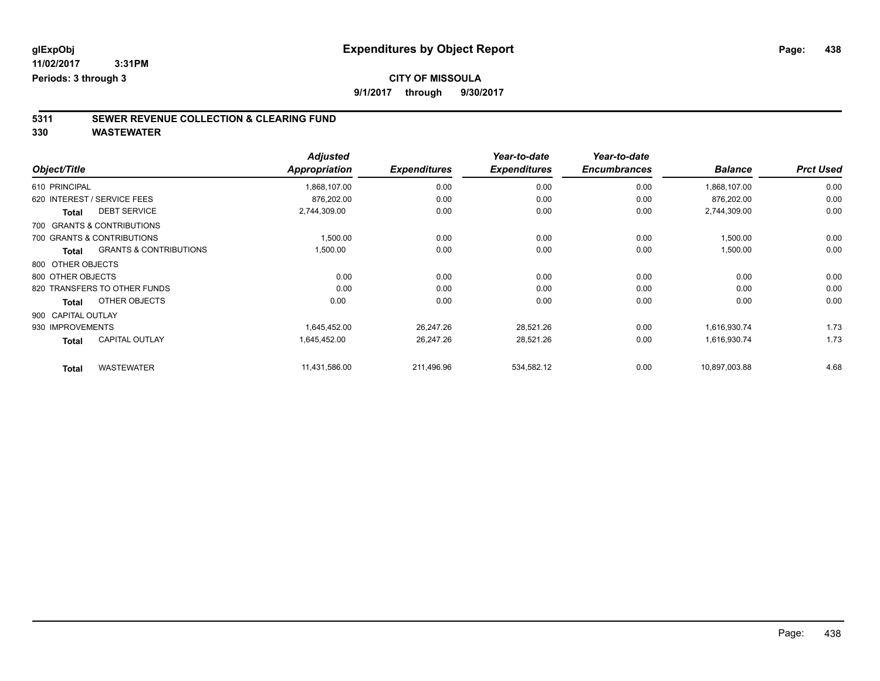**9/1/2017 through 9/30/2017**

# **5311 SEWER REVENUE COLLECTION & CLEARING FUND**

| Object/Title       |                                   | <b>Adjusted</b><br><b>Appropriation</b> | <b>Expenditures</b> | Year-to-date<br><b>Expenditures</b> | Year-to-date<br><b>Encumbrances</b> | <b>Balance</b> | <b>Prct Used</b> |
|--------------------|-----------------------------------|-----------------------------------------|---------------------|-------------------------------------|-------------------------------------|----------------|------------------|
| 610 PRINCIPAL      |                                   |                                         | 0.00                | 0.00                                | 0.00                                |                | 0.00             |
|                    |                                   | 1,868,107.00                            |                     |                                     |                                     | 1,868,107.00   |                  |
|                    | 620 INTEREST / SERVICE FEES       | 876,202.00                              | 0.00                | 0.00                                | 0.00                                | 876,202.00     | 0.00             |
| <b>Total</b>       | <b>DEBT SERVICE</b>               | 2,744,309.00                            | 0.00                | 0.00                                | 0.00                                | 2,744,309.00   | 0.00             |
|                    | 700 GRANTS & CONTRIBUTIONS        |                                         |                     |                                     |                                     |                |                  |
|                    | 700 GRANTS & CONTRIBUTIONS        | 1,500.00                                | 0.00                | 0.00                                | 0.00                                | 1,500.00       | 0.00             |
| Total              | <b>GRANTS &amp; CONTRIBUTIONS</b> | 1,500.00                                | 0.00                | 0.00                                | 0.00                                | 1,500.00       | 0.00             |
| 800 OTHER OBJECTS  |                                   |                                         |                     |                                     |                                     |                |                  |
| 800 OTHER OBJECTS  |                                   | 0.00                                    | 0.00                | 0.00                                | 0.00                                | 0.00           | 0.00             |
|                    | 820 TRANSFERS TO OTHER FUNDS      | 0.00                                    | 0.00                | 0.00                                | 0.00                                | 0.00           | 0.00             |
| <b>Total</b>       | OTHER OBJECTS                     | 0.00                                    | 0.00                | 0.00                                | 0.00                                | 0.00           | 0.00             |
| 900 CAPITAL OUTLAY |                                   |                                         |                     |                                     |                                     |                |                  |
| 930 IMPROVEMENTS   |                                   | 1,645,452.00                            | 26,247.26           | 28,521.26                           | 0.00                                | 1,616,930.74   | 1.73             |
| <b>Total</b>       | <b>CAPITAL OUTLAY</b>             | 1,645,452.00                            | 26,247.26           | 28,521.26                           | 0.00                                | 1,616,930.74   | 1.73             |
| <b>Total</b>       | <b>WASTEWATER</b>                 | 11,431,586.00                           | 211,496.96          | 534,582.12                          | 0.00                                | 10,897,003.88  | 4.68             |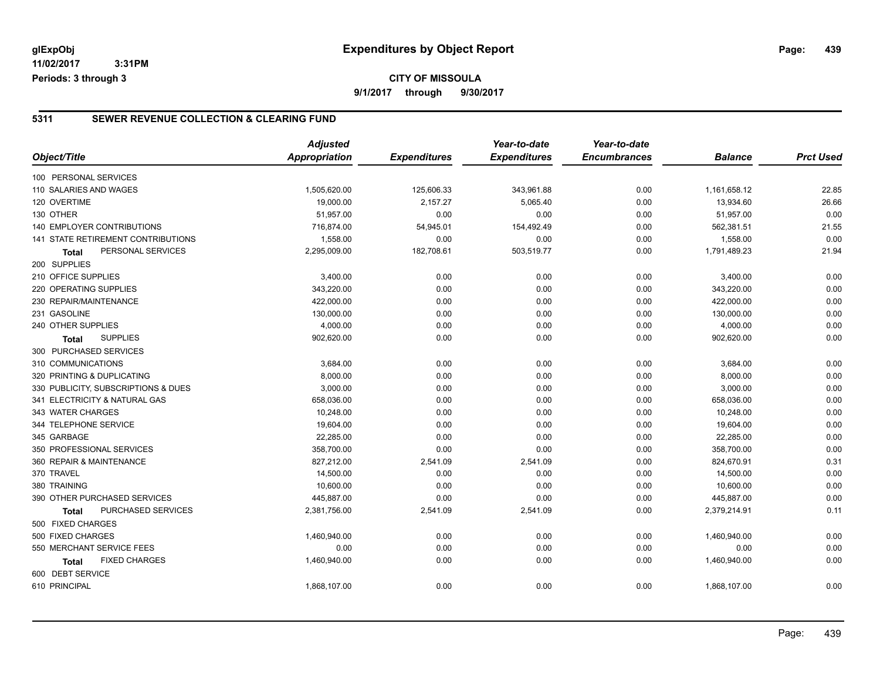**11/02/2017 3:31PM Periods: 3 through 3**

#### **CITY OF MISSOULA 9/1/2017 through 9/30/2017**

#### **5311 SEWER REVENUE COLLECTION & CLEARING FUND**

|                                     | <b>Adjusted</b>      |                     | Year-to-date        | Year-to-date        |                |                  |
|-------------------------------------|----------------------|---------------------|---------------------|---------------------|----------------|------------------|
| Object/Title                        | <b>Appropriation</b> | <b>Expenditures</b> | <b>Expenditures</b> | <b>Encumbrances</b> | <b>Balance</b> | <b>Prct Used</b> |
| 100 PERSONAL SERVICES               |                      |                     |                     |                     |                |                  |
| 110 SALARIES AND WAGES              | 1,505,620.00         | 125,606.33          | 343,961.88          | 0.00                | 1,161,658.12   | 22.85            |
| 120 OVERTIME                        | 19,000.00            | 2,157.27            | 5,065.40            | 0.00                | 13,934.60      | 26.66            |
| 130 OTHER                           | 51,957.00            | 0.00                | 0.00                | 0.00                | 51,957.00      | 0.00             |
| 140 EMPLOYER CONTRIBUTIONS          | 716,874.00           | 54,945.01           | 154,492.49          | 0.00                | 562,381.51     | 21.55            |
| 141 STATE RETIREMENT CONTRIBUTIONS  | 1,558.00             | 0.00                | 0.00                | 0.00                | 1,558.00       | 0.00             |
| PERSONAL SERVICES<br><b>Total</b>   | 2,295,009.00         | 182,708.61          | 503,519.77          | 0.00                | 1,791,489.23   | 21.94            |
| 200 SUPPLIES                        |                      |                     |                     |                     |                |                  |
| 210 OFFICE SUPPLIES                 | 3,400.00             | 0.00                | 0.00                | 0.00                | 3,400.00       | 0.00             |
| 220 OPERATING SUPPLIES              | 343,220.00           | 0.00                | 0.00                | 0.00                | 343,220.00     | 0.00             |
| 230 REPAIR/MAINTENANCE              | 422,000.00           | 0.00                | 0.00                | 0.00                | 422,000.00     | 0.00             |
| 231 GASOLINE                        | 130,000.00           | 0.00                | 0.00                | 0.00                | 130,000.00     | 0.00             |
| 240 OTHER SUPPLIES                  | 4,000.00             | 0.00                | 0.00                | 0.00                | 4,000.00       | 0.00             |
| <b>SUPPLIES</b><br>Total            | 902,620.00           | 0.00                | 0.00                | 0.00                | 902,620.00     | 0.00             |
| 300 PURCHASED SERVICES              |                      |                     |                     |                     |                |                  |
| 310 COMMUNICATIONS                  | 3,684.00             | 0.00                | 0.00                | 0.00                | 3,684.00       | 0.00             |
| 320 PRINTING & DUPLICATING          | 8,000.00             | 0.00                | 0.00                | 0.00                | 8,000.00       | 0.00             |
| 330 PUBLICITY, SUBSCRIPTIONS & DUES | 3,000.00             | 0.00                | 0.00                | 0.00                | 3,000.00       | 0.00             |
| 341 ELECTRICITY & NATURAL GAS       | 658,036.00           | 0.00                | 0.00                | 0.00                | 658,036.00     | 0.00             |
| 343 WATER CHARGES                   | 10,248.00            | 0.00                | 0.00                | 0.00                | 10,248.00      | 0.00             |
| 344 TELEPHONE SERVICE               | 19,604.00            | 0.00                | 0.00                | 0.00                | 19,604.00      | 0.00             |
| 345 GARBAGE                         | 22,285.00            | 0.00                | 0.00                | 0.00                | 22,285.00      | 0.00             |
| 350 PROFESSIONAL SERVICES           | 358,700.00           | 0.00                | 0.00                | 0.00                | 358,700.00     | 0.00             |
| 360 REPAIR & MAINTENANCE            | 827,212.00           | 2,541.09            | 2,541.09            | 0.00                | 824,670.91     | 0.31             |
| 370 TRAVEL                          | 14,500.00            | 0.00                | 0.00                | 0.00                | 14,500.00      | 0.00             |
| 380 TRAINING                        | 10,600.00            | 0.00                | 0.00                | 0.00                | 10,600.00      | 0.00             |
| 390 OTHER PURCHASED SERVICES        | 445,887.00           | 0.00                | 0.00                | 0.00                | 445,887.00     | 0.00             |
| PURCHASED SERVICES<br><b>Total</b>  | 2,381,756.00         | 2,541.09            | 2,541.09            | 0.00                | 2,379,214.91   | 0.11             |
| 500 FIXED CHARGES                   |                      |                     |                     |                     |                |                  |
| 500 FIXED CHARGES                   | 1,460,940.00         | 0.00                | 0.00                | 0.00                | 1,460,940.00   | 0.00             |
| 550 MERCHANT SERVICE FEES           | 0.00                 | 0.00                | 0.00                | 0.00                | 0.00           | 0.00             |
| <b>FIXED CHARGES</b><br>Total       | 1,460,940.00         | 0.00                | 0.00                | 0.00                | 1,460,940.00   | 0.00             |
| 600 DEBT SERVICE                    |                      |                     |                     |                     |                |                  |
| 610 PRINCIPAL                       | 1,868,107.00         | 0.00                | 0.00                | 0.00                | 1,868,107.00   | 0.00             |
|                                     |                      |                     |                     |                     |                |                  |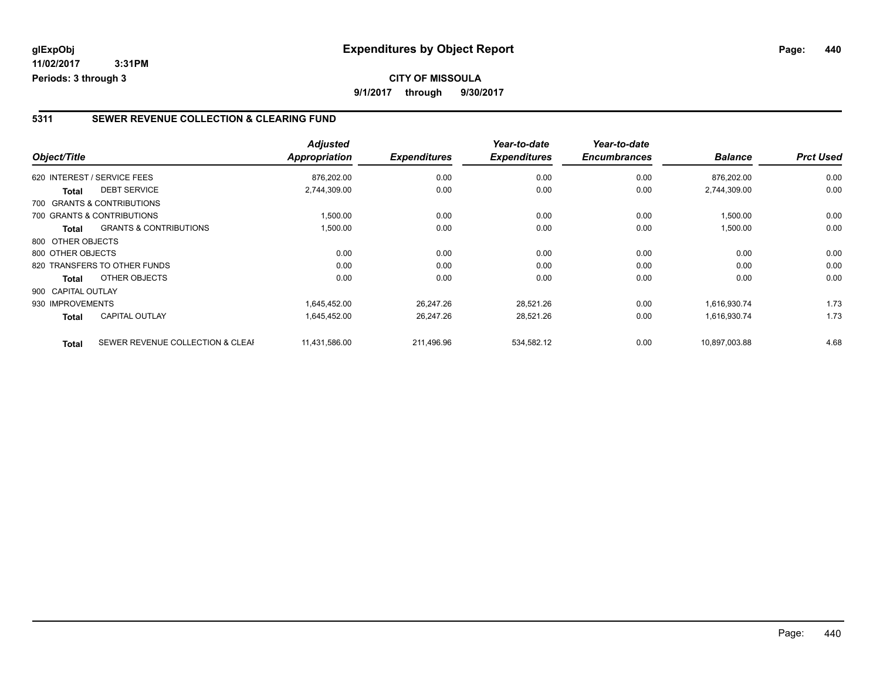#### **5311 SEWER REVENUE COLLECTION & CLEARING FUND**

| Object/Title       |                                   | <b>Adjusted</b><br><b>Appropriation</b> | <b>Expenditures</b> | Year-to-date<br><b>Expenditures</b> | Year-to-date<br><b>Encumbrances</b> | <b>Balance</b> | <b>Prct Used</b> |
|--------------------|-----------------------------------|-----------------------------------------|---------------------|-------------------------------------|-------------------------------------|----------------|------------------|
|                    | 620 INTEREST / SERVICE FEES       | 876,202.00                              | 0.00                | 0.00                                | 0.00                                | 876,202.00     | 0.00             |
|                    |                                   |                                         |                     |                                     |                                     |                |                  |
| Total              | <b>DEBT SERVICE</b>               | 2,744,309.00                            | 0.00                | 0.00                                | 0.00                                | 2,744,309.00   | 0.00             |
|                    | 700 GRANTS & CONTRIBUTIONS        |                                         |                     |                                     |                                     |                |                  |
|                    | 700 GRANTS & CONTRIBUTIONS        | 1,500.00                                | 0.00                | 0.00                                | 0.00                                | 1,500.00       | 0.00             |
| <b>Total</b>       | <b>GRANTS &amp; CONTRIBUTIONS</b> | 1,500.00                                | 0.00                | 0.00                                | 0.00                                | 1,500.00       | 0.00             |
| 800 OTHER OBJECTS  |                                   |                                         |                     |                                     |                                     |                |                  |
| 800 OTHER OBJECTS  |                                   | 0.00                                    | 0.00                | 0.00                                | 0.00                                | 0.00           | 0.00             |
|                    | 820 TRANSFERS TO OTHER FUNDS      | 0.00                                    | 0.00                | 0.00                                | 0.00                                | 0.00           | 0.00             |
| <b>Total</b>       | OTHER OBJECTS                     | 0.00                                    | 0.00                | 0.00                                | 0.00                                | 0.00           | 0.00             |
| 900 CAPITAL OUTLAY |                                   |                                         |                     |                                     |                                     |                |                  |
| 930 IMPROVEMENTS   |                                   | 1,645,452.00                            | 26,247.26           | 28,521.26                           | 0.00                                | 1,616,930.74   | 1.73             |
| <b>Total</b>       | <b>CAPITAL OUTLAY</b>             | 1,645,452.00                            | 26,247.26           | 28,521.26                           | 0.00                                | 1,616,930.74   | 1.73             |
| <b>Total</b>       | SEWER REVENUE COLLECTION & CLEAF  | 11,431,586.00                           | 211.496.96          | 534,582.12                          | 0.00                                | 10,897,003.88  | 4.68             |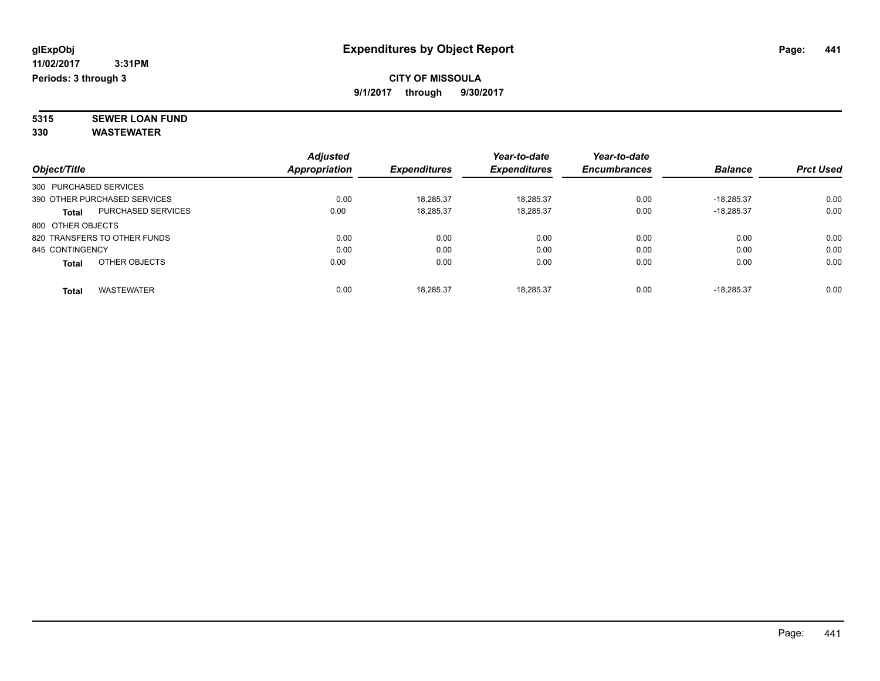#### **CITY OF MISSOULA 9/1/2017 through 9/30/2017**

**5315 SEWER LOAN FUND 330 WASTEWATER**

|                                   |                           | <b>Adjusted</b> |                     | Year-to-date        | Year-to-date        |                |                  |
|-----------------------------------|---------------------------|-----------------|---------------------|---------------------|---------------------|----------------|------------------|
| Object/Title                      |                           | Appropriation   | <b>Expenditures</b> | <b>Expenditures</b> | <b>Encumbrances</b> | <b>Balance</b> | <b>Prct Used</b> |
| 300 PURCHASED SERVICES            |                           |                 |                     |                     |                     |                |                  |
| 390 OTHER PURCHASED SERVICES      |                           | 0.00            | 18.285.37           | 18.285.37           | 0.00                | $-18.285.37$   | 0.00             |
| <b>Total</b>                      | <b>PURCHASED SERVICES</b> | 0.00            | 18,285.37           | 18,285.37           | 0.00                | $-18.285.37$   | 0.00             |
| 800 OTHER OBJECTS                 |                           |                 |                     |                     |                     |                |                  |
| 820 TRANSFERS TO OTHER FUNDS      |                           | 0.00            | 0.00                | 0.00                | 0.00                | 0.00           | 0.00             |
| 845 CONTINGENCY                   |                           | 0.00            | 0.00                | 0.00                | 0.00                | 0.00           | 0.00             |
| OTHER OBJECTS<br><b>Total</b>     |                           | 0.00            | 0.00                | 0.00                | 0.00                | 0.00           | 0.00             |
| <b>WASTEWATER</b><br><b>Total</b> |                           | 0.00            | 18.285.37           | 18.285.37           | 0.00                | $-18.285.37$   | 0.00             |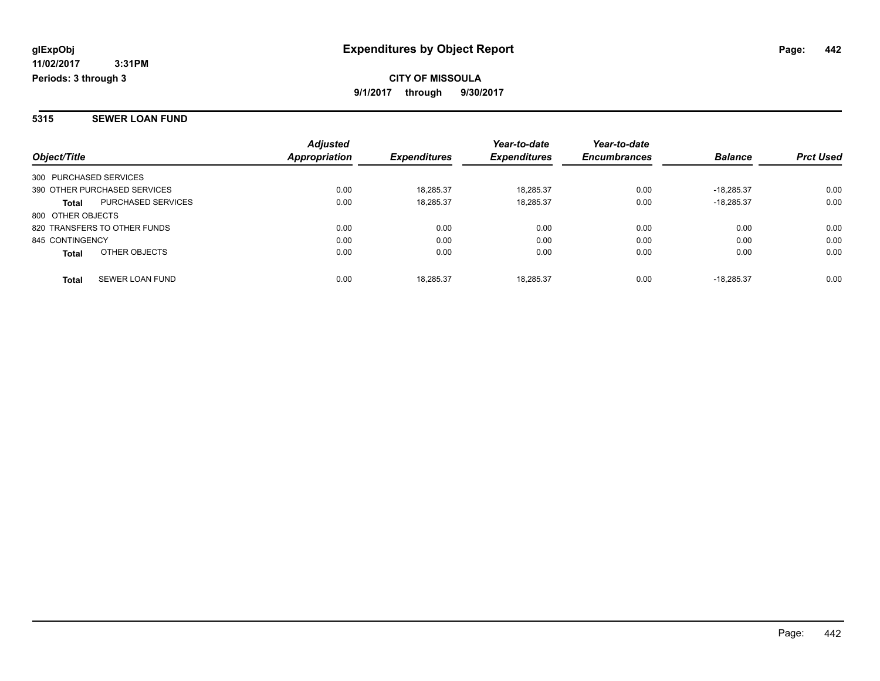**CITY OF MISSOULA 9/1/2017 through 9/30/2017**

#### **5315 SEWER LOAN FUND**

| Object/Title           |                              | <b>Adjusted</b><br>Appropriation | <b>Expenditures</b> | Year-to-date<br><b>Expenditures</b> | Year-to-date<br><b>Encumbrances</b> | <b>Balance</b> | <b>Prct Used</b> |
|------------------------|------------------------------|----------------------------------|---------------------|-------------------------------------|-------------------------------------|----------------|------------------|
|                        |                              |                                  |                     |                                     |                                     |                |                  |
| 300 PURCHASED SERVICES |                              |                                  |                     |                                     |                                     |                |                  |
|                        | 390 OTHER PURCHASED SERVICES | 0.00                             | 18.285.37           | 18.285.37                           | 0.00                                | $-18.285.37$   | 0.00             |
| <b>Total</b>           | PURCHASED SERVICES           | 0.00                             | 18,285.37           | 18.285.37                           | 0.00                                | $-18.285.37$   | 0.00             |
| 800 OTHER OBJECTS      |                              |                                  |                     |                                     |                                     |                |                  |
|                        | 820 TRANSFERS TO OTHER FUNDS | 0.00                             | 0.00                | 0.00                                | 0.00                                | 0.00           | 0.00             |
| 845 CONTINGENCY        |                              | 0.00                             | 0.00                | 0.00                                | 0.00                                | 0.00           | 0.00             |
| <b>Total</b>           | OTHER OBJECTS                | 0.00                             | 0.00                | 0.00                                | 0.00                                | 0.00           | 0.00             |
| <b>Total</b>           | SEWER LOAN FUND              | 0.00                             | 18.285.37           | 18.285.37                           | 0.00                                | $-18.285.37$   | 0.00             |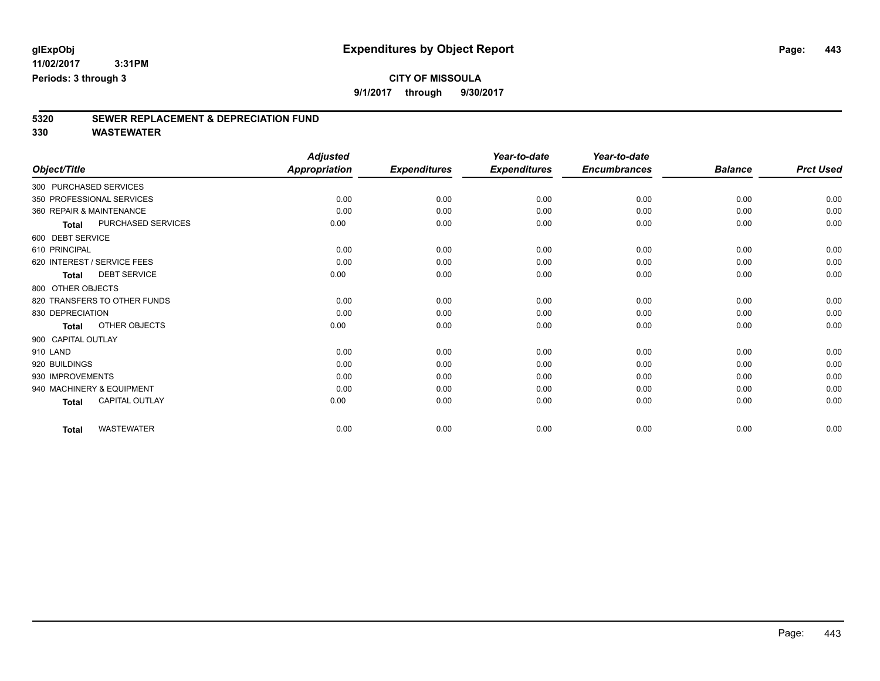### **CITY OF MISSOULA**

**9/1/2017 through 9/30/2017**

# **5320 SEWER REPLACEMENT & DEPRECIATION FUND**

|                          |                              | <b>Adjusted</b>      |                     | Year-to-date        | Year-to-date        |                |                  |
|--------------------------|------------------------------|----------------------|---------------------|---------------------|---------------------|----------------|------------------|
| Object/Title             |                              | <b>Appropriation</b> | <b>Expenditures</b> | <b>Expenditures</b> | <b>Encumbrances</b> | <b>Balance</b> | <b>Prct Used</b> |
| 300 PURCHASED SERVICES   |                              |                      |                     |                     |                     |                |                  |
|                          | 350 PROFESSIONAL SERVICES    | 0.00                 | 0.00                | 0.00                | 0.00                | 0.00           | 0.00             |
| 360 REPAIR & MAINTENANCE |                              | 0.00                 | 0.00                | 0.00                | 0.00                | 0.00           | 0.00             |
| <b>Total</b>             | PURCHASED SERVICES           | 0.00                 | 0.00                | 0.00                | 0.00                | 0.00           | 0.00             |
| 600 DEBT SERVICE         |                              |                      |                     |                     |                     |                |                  |
| 610 PRINCIPAL            |                              | 0.00                 | 0.00                | 0.00                | 0.00                | 0.00           | 0.00             |
|                          | 620 INTEREST / SERVICE FEES  | 0.00                 | 0.00                | 0.00                | 0.00                | 0.00           | 0.00             |
| <b>Total</b>             | <b>DEBT SERVICE</b>          | 0.00                 | 0.00                | 0.00                | 0.00                | 0.00           | 0.00             |
| 800 OTHER OBJECTS        |                              |                      |                     |                     |                     |                |                  |
|                          | 820 TRANSFERS TO OTHER FUNDS | 0.00                 | 0.00                | 0.00                | 0.00                | 0.00           | 0.00             |
| 830 DEPRECIATION         |                              | 0.00                 | 0.00                | 0.00                | 0.00                | 0.00           | 0.00             |
| <b>Total</b>             | OTHER OBJECTS                | 0.00                 | 0.00                | 0.00                | 0.00                | 0.00           | 0.00             |
| 900 CAPITAL OUTLAY       |                              |                      |                     |                     |                     |                |                  |
| 910 LAND                 |                              | 0.00                 | 0.00                | 0.00                | 0.00                | 0.00           | 0.00             |
| 920 BUILDINGS            |                              | 0.00                 | 0.00                | 0.00                | 0.00                | 0.00           | 0.00             |
| 930 IMPROVEMENTS         |                              | 0.00                 | 0.00                | 0.00                | 0.00                | 0.00           | 0.00             |
|                          | 940 MACHINERY & EQUIPMENT    | 0.00                 | 0.00                | 0.00                | 0.00                | 0.00           | 0.00             |
| Total                    | <b>CAPITAL OUTLAY</b>        | 0.00                 | 0.00                | 0.00                | 0.00                | 0.00           | 0.00             |
| <b>Total</b>             | <b>WASTEWATER</b>            | 0.00                 | 0.00                | 0.00                | 0.00                | 0.00           | 0.00             |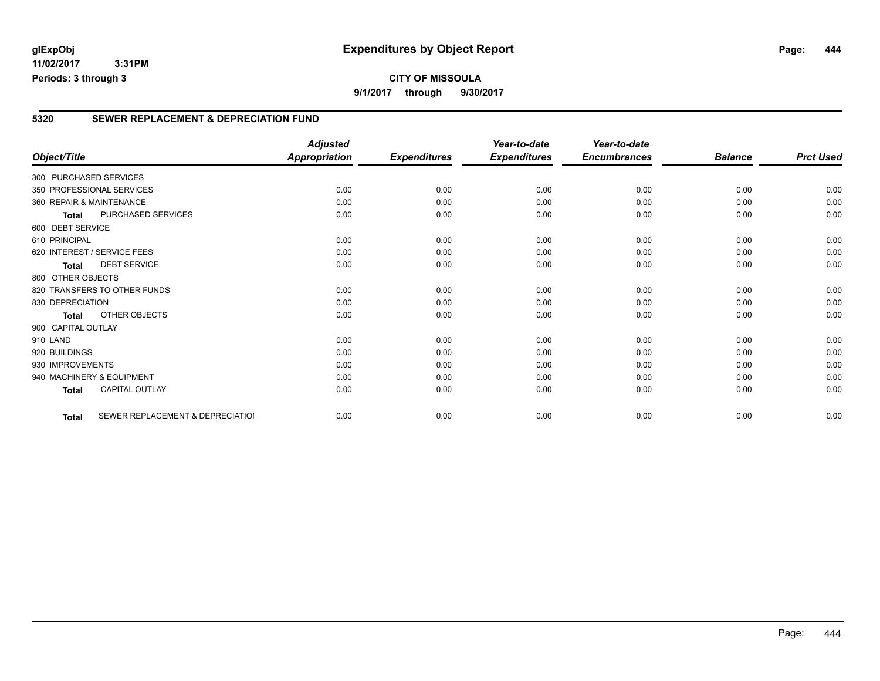**11/02/2017 3:31PM Periods: 3 through 3**

#### **5320 SEWER REPLACEMENT & DEPRECIATION FUND**

|                        |                                  | <b>Adjusted</b>      |                     | Year-to-date        | Year-to-date        |                |                  |
|------------------------|----------------------------------|----------------------|---------------------|---------------------|---------------------|----------------|------------------|
| Object/Title           |                                  | <b>Appropriation</b> | <b>Expenditures</b> | <b>Expenditures</b> | <b>Encumbrances</b> | <b>Balance</b> | <b>Prct Used</b> |
| 300 PURCHASED SERVICES |                                  |                      |                     |                     |                     |                |                  |
|                        | 350 PROFESSIONAL SERVICES        | 0.00                 | 0.00                | 0.00                | 0.00                | 0.00           | 0.00             |
|                        | 360 REPAIR & MAINTENANCE         | 0.00                 | 0.00                | 0.00                | 0.00                | 0.00           | 0.00             |
| Total                  | PURCHASED SERVICES               | 0.00                 | 0.00                | 0.00                | 0.00                | 0.00           | 0.00             |
| 600 DEBT SERVICE       |                                  |                      |                     |                     |                     |                |                  |
| 610 PRINCIPAL          |                                  | 0.00                 | 0.00                | 0.00                | 0.00                | 0.00           | 0.00             |
|                        | 620 INTEREST / SERVICE FEES      | 0.00                 | 0.00                | 0.00                | 0.00                | 0.00           | 0.00             |
| <b>Total</b>           | <b>DEBT SERVICE</b>              | 0.00                 | 0.00                | 0.00                | 0.00                | 0.00           | 0.00             |
| 800 OTHER OBJECTS      |                                  |                      |                     |                     |                     |                |                  |
|                        | 820 TRANSFERS TO OTHER FUNDS     | 0.00                 | 0.00                | 0.00                | 0.00                | 0.00           | 0.00             |
| 830 DEPRECIATION       |                                  | 0.00                 | 0.00                | 0.00                | 0.00                | 0.00           | 0.00             |
| Total                  | OTHER OBJECTS                    | 0.00                 | 0.00                | 0.00                | 0.00                | 0.00           | 0.00             |
| 900 CAPITAL OUTLAY     |                                  |                      |                     |                     |                     |                |                  |
| 910 LAND               |                                  | 0.00                 | 0.00                | 0.00                | 0.00                | 0.00           | 0.00             |
| 920 BUILDINGS          |                                  | 0.00                 | 0.00                | 0.00                | 0.00                | 0.00           | 0.00             |
| 930 IMPROVEMENTS       |                                  | 0.00                 | 0.00                | 0.00                | 0.00                | 0.00           | 0.00             |
|                        | 940 MACHINERY & EQUIPMENT        | 0.00                 | 0.00                | 0.00                | 0.00                | 0.00           | 0.00             |
| <b>Total</b>           | CAPITAL OUTLAY                   | 0.00                 | 0.00                | 0.00                | 0.00                | 0.00           | 0.00             |
| Total                  | SEWER REPLACEMENT & DEPRECIATION | 0.00                 | 0.00                | 0.00                | 0.00                | 0.00           | 0.00             |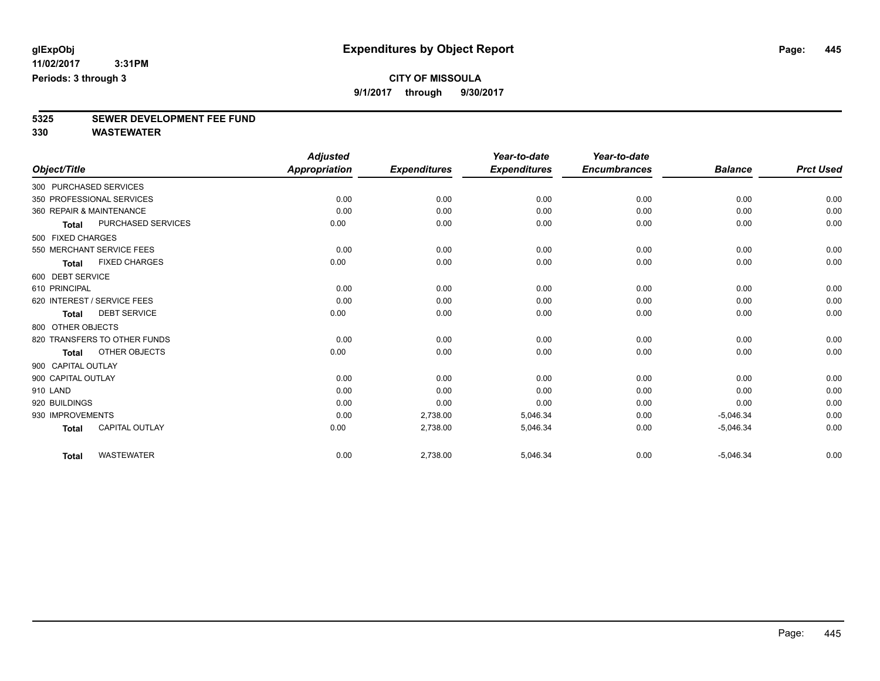### **CITY OF MISSOULA**

**9/1/2017 through 9/30/2017**

# **5325 SEWER DEVELOPMENT FEE FUND**

|                          |                              | <b>Adjusted</b>      |                     | Year-to-date        | Year-to-date        |                |                  |
|--------------------------|------------------------------|----------------------|---------------------|---------------------|---------------------|----------------|------------------|
| Object/Title             |                              | <b>Appropriation</b> | <b>Expenditures</b> | <b>Expenditures</b> | <b>Encumbrances</b> | <b>Balance</b> | <b>Prct Used</b> |
| 300 PURCHASED SERVICES   |                              |                      |                     |                     |                     |                |                  |
|                          | 350 PROFESSIONAL SERVICES    | 0.00                 | 0.00                | 0.00                | 0.00                | 0.00           | 0.00             |
| 360 REPAIR & MAINTENANCE |                              | 0.00                 | 0.00                | 0.00                | 0.00                | 0.00           | 0.00             |
| <b>Total</b>             | PURCHASED SERVICES           | 0.00                 | 0.00                | 0.00                | 0.00                | 0.00           | 0.00             |
| 500 FIXED CHARGES        |                              |                      |                     |                     |                     |                |                  |
|                          | 550 MERCHANT SERVICE FEES    | 0.00                 | 0.00                | 0.00                | 0.00                | 0.00           | 0.00             |
| <b>Total</b>             | <b>FIXED CHARGES</b>         | 0.00                 | 0.00                | 0.00                | 0.00                | 0.00           | 0.00             |
| 600 DEBT SERVICE         |                              |                      |                     |                     |                     |                |                  |
| 610 PRINCIPAL            |                              | 0.00                 | 0.00                | 0.00                | 0.00                | 0.00           | 0.00             |
|                          | 620 INTEREST / SERVICE FEES  | 0.00                 | 0.00                | 0.00                | 0.00                | 0.00           | 0.00             |
| <b>Total</b>             | <b>DEBT SERVICE</b>          | 0.00                 | 0.00                | 0.00                | 0.00                | 0.00           | 0.00             |
| 800 OTHER OBJECTS        |                              |                      |                     |                     |                     |                |                  |
|                          | 820 TRANSFERS TO OTHER FUNDS | 0.00                 | 0.00                | 0.00                | 0.00                | 0.00           | 0.00             |
| <b>Total</b>             | OTHER OBJECTS                | 0.00                 | 0.00                | 0.00                | 0.00                | 0.00           | 0.00             |
| 900 CAPITAL OUTLAY       |                              |                      |                     |                     |                     |                |                  |
| 900 CAPITAL OUTLAY       |                              | 0.00                 | 0.00                | 0.00                | 0.00                | 0.00           | 0.00             |
| 910 LAND                 |                              | 0.00                 | 0.00                | 0.00                | 0.00                | 0.00           | 0.00             |
| 920 BUILDINGS            |                              | 0.00                 | 0.00                | 0.00                | 0.00                | 0.00           | 0.00             |
| 930 IMPROVEMENTS         |                              | 0.00                 | 2,738.00            | 5,046.34            | 0.00                | $-5,046.34$    | 0.00             |
| <b>Total</b>             | <b>CAPITAL OUTLAY</b>        | 0.00                 | 2,738.00            | 5,046.34            | 0.00                | $-5,046.34$    | 0.00             |
| <b>Total</b>             | <b>WASTEWATER</b>            | 0.00                 | 2,738.00            | 5,046.34            | 0.00                | $-5,046.34$    | 0.00             |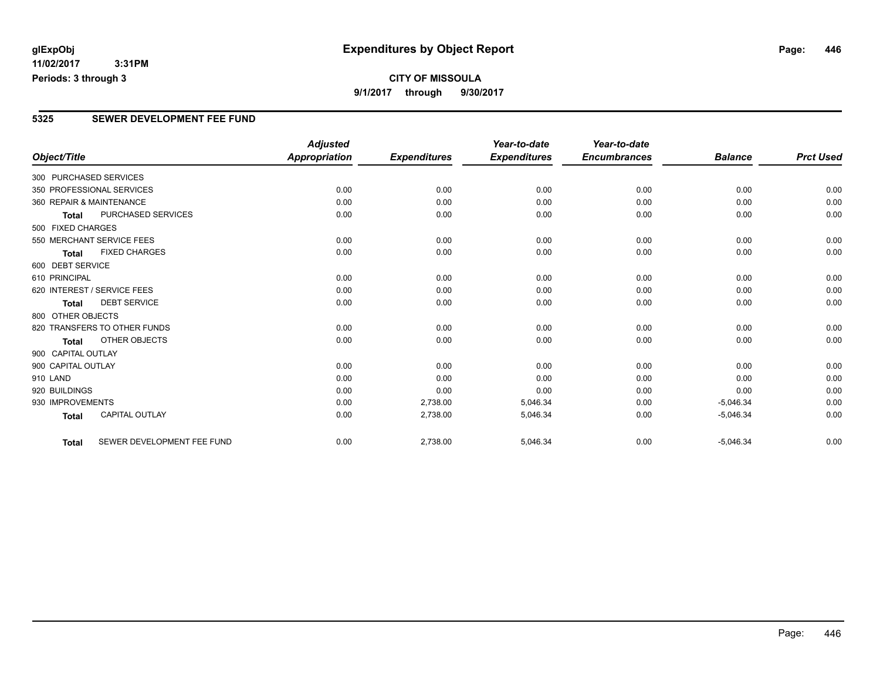### **CITY OF MISSOULA 9/1/2017 through 9/30/2017**

#### **5325 SEWER DEVELOPMENT FEE FUND**

|                        |                              | <b>Adjusted</b>      |                     | Year-to-date        | Year-to-date        |                |                  |
|------------------------|------------------------------|----------------------|---------------------|---------------------|---------------------|----------------|------------------|
| Object/Title           |                              | <b>Appropriation</b> | <b>Expenditures</b> | <b>Expenditures</b> | <b>Encumbrances</b> | <b>Balance</b> | <b>Prct Used</b> |
| 300 PURCHASED SERVICES |                              |                      |                     |                     |                     |                |                  |
|                        | 350 PROFESSIONAL SERVICES    | 0.00                 | 0.00                | 0.00                | 0.00                | 0.00           | 0.00             |
|                        | 360 REPAIR & MAINTENANCE     | 0.00                 | 0.00                | 0.00                | 0.00                | 0.00           | 0.00             |
| Total                  | PURCHASED SERVICES           | 0.00                 | 0.00                | 0.00                | 0.00                | 0.00           | 0.00             |
| 500 FIXED CHARGES      |                              |                      |                     |                     |                     |                |                  |
|                        | 550 MERCHANT SERVICE FEES    | 0.00                 | 0.00                | 0.00                | 0.00                | 0.00           | 0.00             |
| <b>Total</b>           | <b>FIXED CHARGES</b>         | 0.00                 | 0.00                | 0.00                | 0.00                | 0.00           | 0.00             |
| 600 DEBT SERVICE       |                              |                      |                     |                     |                     |                |                  |
| 610 PRINCIPAL          |                              | 0.00                 | 0.00                | 0.00                | 0.00                | 0.00           | 0.00             |
|                        | 620 INTEREST / SERVICE FEES  | 0.00                 | 0.00                | 0.00                | 0.00                | 0.00           | 0.00             |
| <b>Total</b>           | <b>DEBT SERVICE</b>          | 0.00                 | 0.00                | 0.00                | 0.00                | 0.00           | 0.00             |
| 800 OTHER OBJECTS      |                              |                      |                     |                     |                     |                |                  |
|                        | 820 TRANSFERS TO OTHER FUNDS | 0.00                 | 0.00                | 0.00                | 0.00                | 0.00           | 0.00             |
| <b>Total</b>           | OTHER OBJECTS                | 0.00                 | 0.00                | 0.00                | 0.00                | 0.00           | 0.00             |
| 900 CAPITAL OUTLAY     |                              |                      |                     |                     |                     |                |                  |
| 900 CAPITAL OUTLAY     |                              | 0.00                 | 0.00                | 0.00                | 0.00                | 0.00           | 0.00             |
| 910 LAND               |                              | 0.00                 | 0.00                | 0.00                | 0.00                | 0.00           | 0.00             |
| 920 BUILDINGS          |                              | 0.00                 | 0.00                | 0.00                | 0.00                | 0.00           | 0.00             |
| 930 IMPROVEMENTS       |                              | 0.00                 | 2,738.00            | 5,046.34            | 0.00                | $-5,046.34$    | 0.00             |
| <b>Total</b>           | <b>CAPITAL OUTLAY</b>        | 0.00                 | 2,738.00            | 5,046.34            | 0.00                | $-5,046.34$    | 0.00             |
| <b>Total</b>           | SEWER DEVELOPMENT FEE FUND   | 0.00                 | 2,738.00            | 5,046.34            | 0.00                | $-5,046.34$    | 0.00             |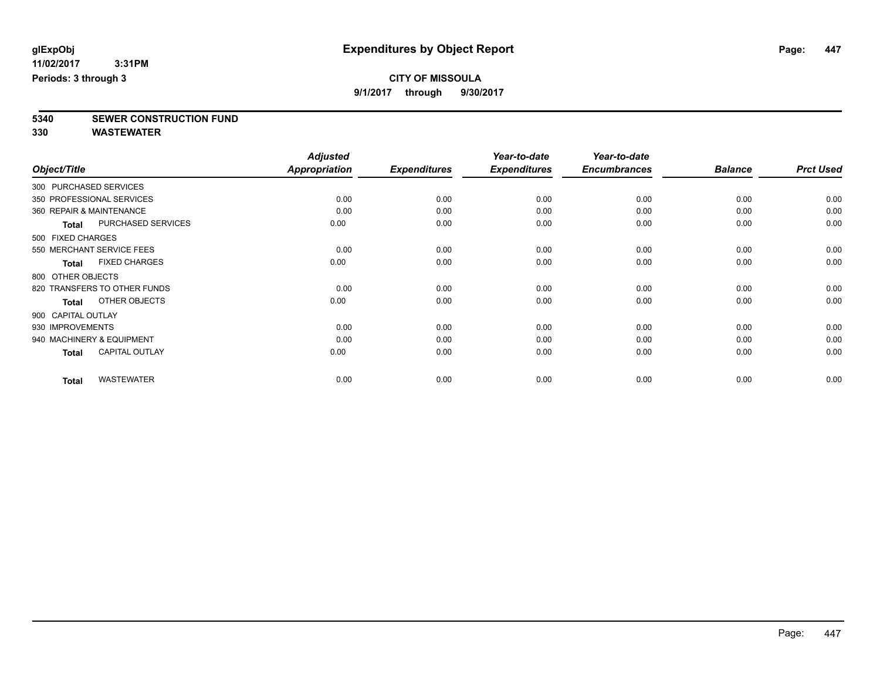### **CITY OF MISSOULA**

**9/1/2017 through 9/30/2017**

**5340 SEWER CONSTRUCTION FUND**

|                          |                              | <b>Adjusted</b>      |                     | Year-to-date        | Year-to-date        |                |                  |
|--------------------------|------------------------------|----------------------|---------------------|---------------------|---------------------|----------------|------------------|
| Object/Title             |                              | <b>Appropriation</b> | <b>Expenditures</b> | <b>Expenditures</b> | <b>Encumbrances</b> | <b>Balance</b> | <b>Prct Used</b> |
| 300 PURCHASED SERVICES   |                              |                      |                     |                     |                     |                |                  |
|                          | 350 PROFESSIONAL SERVICES    | 0.00                 | 0.00                | 0.00                | 0.00                | 0.00           | 0.00             |
| 360 REPAIR & MAINTENANCE |                              | 0.00                 | 0.00                | 0.00                | 0.00                | 0.00           | 0.00             |
| <b>Total</b>             | PURCHASED SERVICES           | 0.00                 | 0.00                | 0.00                | 0.00                | 0.00           | 0.00             |
| 500 FIXED CHARGES        |                              |                      |                     |                     |                     |                |                  |
|                          | 550 MERCHANT SERVICE FEES    | 0.00                 | 0.00                | 0.00                | 0.00                | 0.00           | 0.00             |
| <b>Total</b>             | <b>FIXED CHARGES</b>         | 0.00                 | 0.00                | 0.00                | 0.00                | 0.00           | 0.00             |
| 800 OTHER OBJECTS        |                              |                      |                     |                     |                     |                |                  |
|                          | 820 TRANSFERS TO OTHER FUNDS | 0.00                 | 0.00                | 0.00                | 0.00                | 0.00           | 0.00             |
| Total                    | OTHER OBJECTS                | 0.00                 | 0.00                | 0.00                | 0.00                | 0.00           | 0.00             |
| 900 CAPITAL OUTLAY       |                              |                      |                     |                     |                     |                |                  |
| 930 IMPROVEMENTS         |                              | 0.00                 | 0.00                | 0.00                | 0.00                | 0.00           | 0.00             |
|                          | 940 MACHINERY & EQUIPMENT    | 0.00                 | 0.00                | 0.00                | 0.00                | 0.00           | 0.00             |
| <b>Total</b>             | <b>CAPITAL OUTLAY</b>        | 0.00                 | 0.00                | 0.00                | 0.00                | 0.00           | 0.00             |
| <b>Total</b>             | <b>WASTEWATER</b>            | 0.00                 | 0.00                | 0.00                | 0.00                | 0.00           | 0.00             |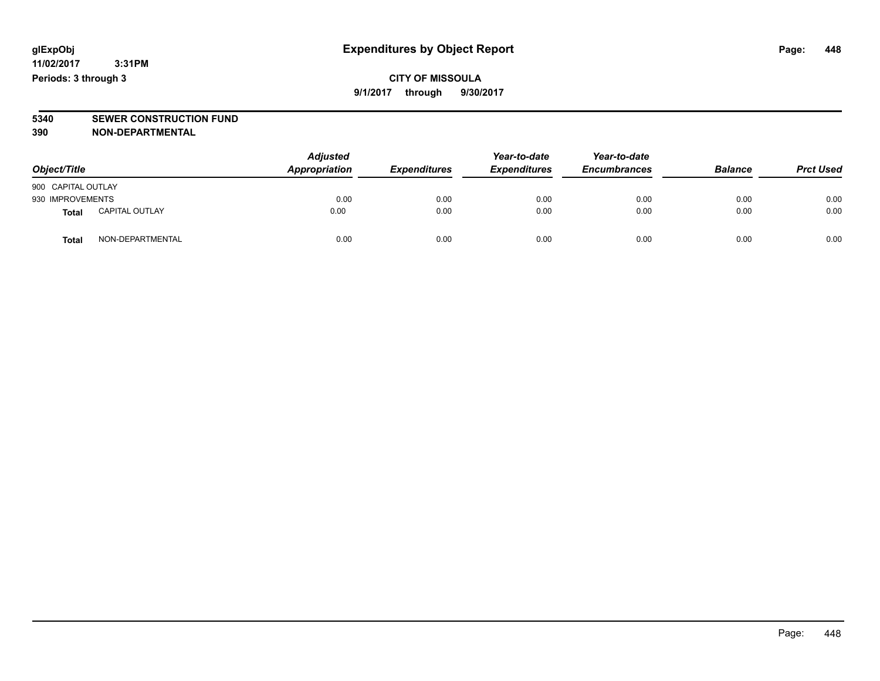**CITY OF MISSOULA 9/1/2017 through 9/30/2017**

**5340 SEWER CONSTRUCTION FUND**

**390 NON-DEPARTMENTAL**

| Object/Title       |                       | <b>Adjusted</b><br>Appropriation | <b>Expenditures</b> | Year-to-date<br><b>Expenditures</b> | Year-to-date<br><b>Encumbrances</b> | <b>Balance</b> | <b>Prct Used</b> |
|--------------------|-----------------------|----------------------------------|---------------------|-------------------------------------|-------------------------------------|----------------|------------------|
| 900 CAPITAL OUTLAY |                       |                                  |                     |                                     |                                     |                |                  |
| 930 IMPROVEMENTS   |                       | 0.00                             | 0.00                | 0.00                                | 0.00                                | 0.00           | 0.00             |
| <b>Total</b>       | <b>CAPITAL OUTLAY</b> | 0.00                             | 0.00                | 0.00                                | 0.00                                | 0.00           | 0.00             |
| <b>Total</b>       | NON-DEPARTMENTAL      | 0.00                             | 0.00                | 0.00                                | 0.00                                | 0.00           | 0.00             |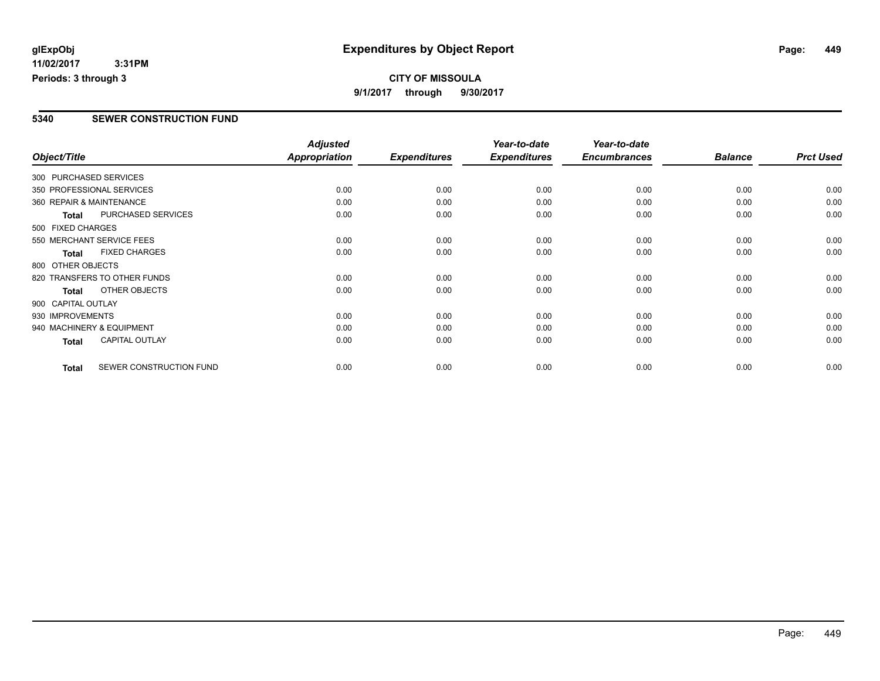#### **CITY OF MISSOULA 9/1/2017 through 9/30/2017**

#### **5340 SEWER CONSTRUCTION FUND**

|                           |                              | <b>Adjusted</b>      |                     | Year-to-date        | Year-to-date        |                |                  |
|---------------------------|------------------------------|----------------------|---------------------|---------------------|---------------------|----------------|------------------|
| Object/Title              |                              | <b>Appropriation</b> | <b>Expenditures</b> | <b>Expenditures</b> | <b>Encumbrances</b> | <b>Balance</b> | <b>Prct Used</b> |
| 300 PURCHASED SERVICES    |                              |                      |                     |                     |                     |                |                  |
|                           | 350 PROFESSIONAL SERVICES    | 0.00                 | 0.00                | 0.00                | 0.00                | 0.00           | 0.00             |
| 360 REPAIR & MAINTENANCE  |                              | 0.00                 | 0.00                | 0.00                | 0.00                | 0.00           | 0.00             |
| <b>Total</b>              | PURCHASED SERVICES           | 0.00                 | 0.00                | 0.00                | 0.00                | 0.00           | 0.00             |
| 500 FIXED CHARGES         |                              |                      |                     |                     |                     |                |                  |
|                           | 550 MERCHANT SERVICE FEES    | 0.00                 | 0.00                | 0.00                | 0.00                | 0.00           | 0.00             |
| <b>Total</b>              | <b>FIXED CHARGES</b>         | 0.00                 | 0.00                | 0.00                | 0.00                | 0.00           | 0.00             |
| 800 OTHER OBJECTS         |                              |                      |                     |                     |                     |                |                  |
|                           | 820 TRANSFERS TO OTHER FUNDS | 0.00                 | 0.00                | 0.00                | 0.00                | 0.00           | 0.00             |
| <b>Total</b>              | OTHER OBJECTS                | 0.00                 | 0.00                | 0.00                | 0.00                | 0.00           | 0.00             |
| 900 CAPITAL OUTLAY        |                              |                      |                     |                     |                     |                |                  |
| 930 IMPROVEMENTS          |                              | 0.00                 | 0.00                | 0.00                | 0.00                | 0.00           | 0.00             |
| 940 MACHINERY & EQUIPMENT |                              | 0.00                 | 0.00                | 0.00                | 0.00                | 0.00           | 0.00             |
| <b>Total</b>              | <b>CAPITAL OUTLAY</b>        | 0.00                 | 0.00                | 0.00                | 0.00                | 0.00           | 0.00             |
| <b>Total</b>              | SEWER CONSTRUCTION FUND      | 0.00                 | 0.00                | 0.00                | 0.00                | 0.00           | 0.00             |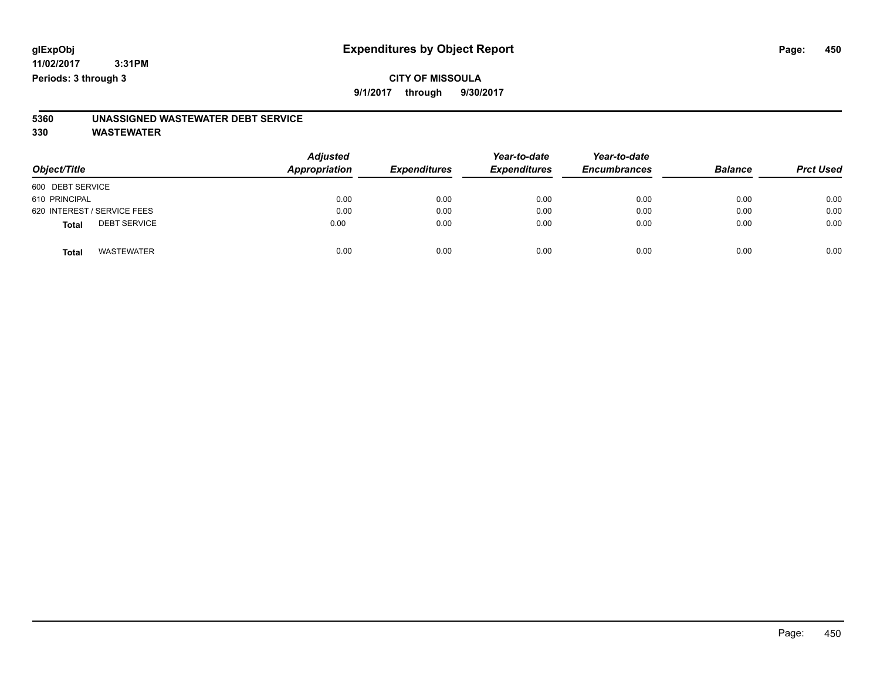#### **CITY OF MISSOULA 9/1/2017 through 9/30/2017**

# **5360 UNASSIGNED WASTEWATER DEBT SERVICE**

| Object/Title                        | <b>Adjusted</b><br>Appropriation | <b>Expenditures</b> | Year-to-date<br><b>Expenditures</b> | Year-to-date<br><b>Encumbrances</b> | <b>Balance</b> | <b>Prct Used</b> |
|-------------------------------------|----------------------------------|---------------------|-------------------------------------|-------------------------------------|----------------|------------------|
| 600 DEBT SERVICE                    |                                  |                     |                                     |                                     |                |                  |
| 610 PRINCIPAL                       | 0.00                             | 0.00                | 0.00                                | 0.00                                | 0.00           | 0.00             |
| 620 INTEREST / SERVICE FEES         | 0.00                             | 0.00                | 0.00                                | 0.00                                | 0.00           | 0.00             |
| <b>DEBT SERVICE</b><br><b>Total</b> | 0.00                             | 0.00                | 0.00                                | 0.00                                | 0.00           | 0.00             |
| <b>WASTEWATER</b><br><b>Total</b>   | 0.00                             | 0.00                | 0.00                                | 0.00                                | 0.00           | 0.00             |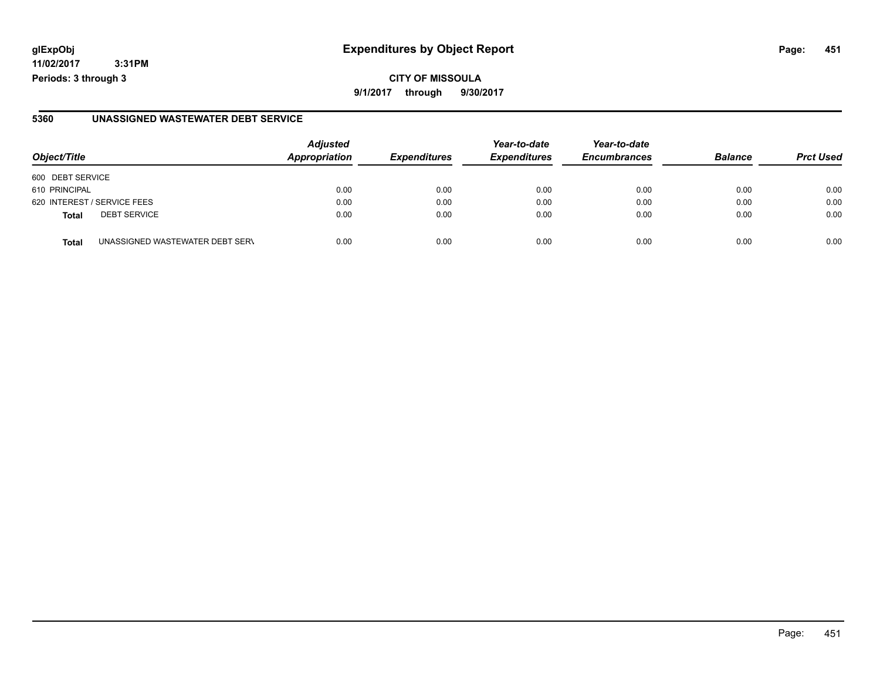**11/02/2017 3:31PM Periods: 3 through 3**

**9/1/2017 through 9/30/2017**

#### **5360 UNASSIGNED WASTEWATER DEBT SERVICE**

| Object/Title     |                                 | <b>Adjusted</b><br>Appropriation | <b>Expenditures</b> | Year-to-date<br><b>Expenditures</b> | Year-to-date<br><b>Encumbrances</b> | <b>Balance</b> | <b>Prct Used</b> |
|------------------|---------------------------------|----------------------------------|---------------------|-------------------------------------|-------------------------------------|----------------|------------------|
| 600 DEBT SERVICE |                                 |                                  |                     |                                     |                                     |                |                  |
| 610 PRINCIPAL    |                                 | 0.00                             | 0.00                | 0.00                                | 0.00                                | 0.00           | 0.00             |
|                  | 620 INTEREST / SERVICE FEES     | 0.00                             | 0.00                | 0.00                                | 0.00                                | 0.00           | 0.00             |
| <b>Total</b>     | <b>DEBT SERVICE</b>             | 0.00                             | 0.00                | 0.00                                | 0.00                                | 0.00           | 0.00             |
| <b>Total</b>     | UNASSIGNED WASTEWATER DEBT SERV | 0.00                             | 0.00                | 0.00                                | 0.00                                | 0.00           | 0.00             |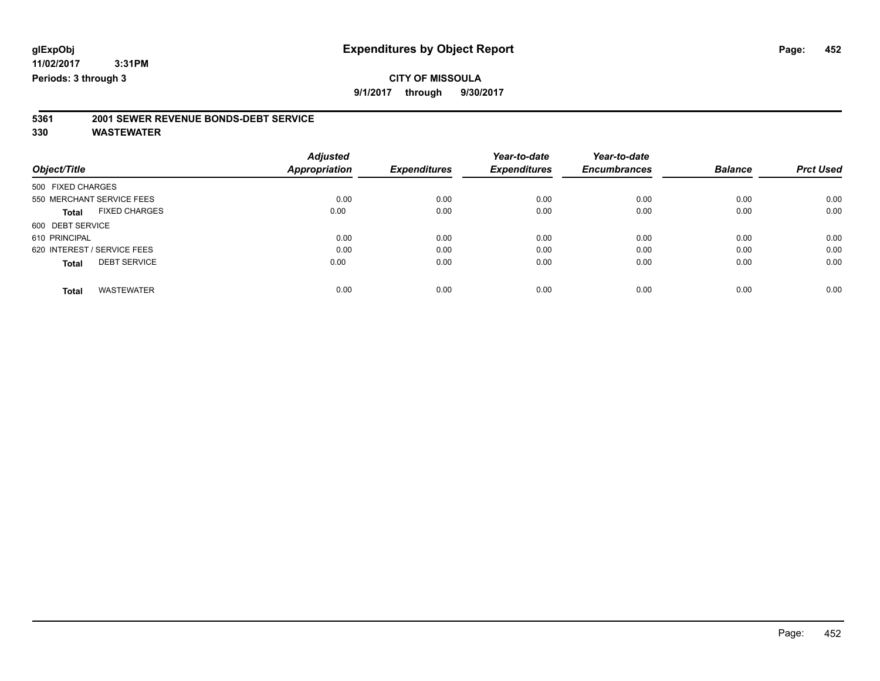### **CITY OF MISSOULA**

**9/1/2017 through 9/30/2017**

# **5361 2001 SEWER REVENUE BONDS-DEBT SERVICE**

|                                      | <b>Adjusted</b>      |                     | Year-to-date        | Year-to-date        |                |                  |
|--------------------------------------|----------------------|---------------------|---------------------|---------------------|----------------|------------------|
| Object/Title                         | <b>Appropriation</b> | <b>Expenditures</b> | <b>Expenditures</b> | <b>Encumbrances</b> | <b>Balance</b> | <b>Prct Used</b> |
| 500 FIXED CHARGES                    |                      |                     |                     |                     |                |                  |
| 550 MERCHANT SERVICE FEES            | 0.00                 | 0.00                | 0.00                | 0.00                | 0.00           | 0.00             |
| <b>FIXED CHARGES</b><br><b>Total</b> | 0.00                 | 0.00                | 0.00                | 0.00                | 0.00           | 0.00             |
| 600 DEBT SERVICE                     |                      |                     |                     |                     |                |                  |
| 610 PRINCIPAL                        | 0.00                 | 0.00                | 0.00                | 0.00                | 0.00           | 0.00             |
| 620 INTEREST / SERVICE FEES          | 0.00                 | 0.00                | 0.00                | 0.00                | 0.00           | 0.00             |
| <b>DEBT SERVICE</b><br><b>Total</b>  | 0.00                 | 0.00                | 0.00                | 0.00                | 0.00           | 0.00             |
|                                      |                      |                     |                     |                     |                |                  |
| <b>WASTEWATER</b><br>Total           | 0.00                 | 0.00                | 0.00                | 0.00                | 0.00           | 0.00             |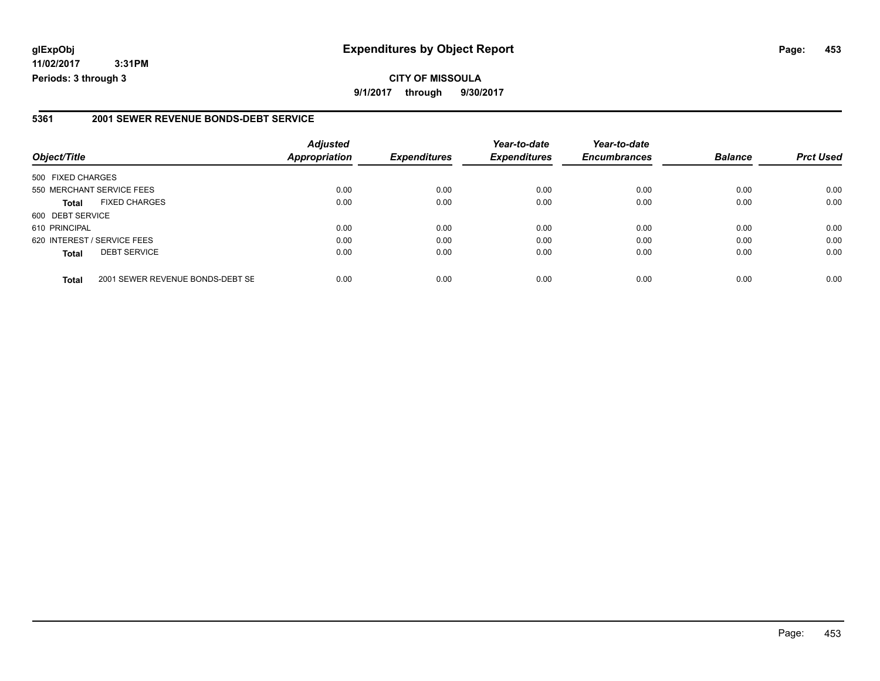**11/02/2017 3:31PM Periods: 3 through 3**

#### **5361 2001 SEWER REVENUE BONDS-DEBT SERVICE**

| Object/Title                |                                  | <b>Adjusted</b><br>Appropriation | <b>Expenditures</b> | Year-to-date<br><b>Expenditures</b> | Year-to-date<br><b>Encumbrances</b> | <b>Balance</b> | <b>Prct Used</b> |
|-----------------------------|----------------------------------|----------------------------------|---------------------|-------------------------------------|-------------------------------------|----------------|------------------|
| 500 FIXED CHARGES           |                                  |                                  |                     |                                     |                                     |                |                  |
|                             | 550 MERCHANT SERVICE FEES        | 0.00                             | 0.00                | 0.00                                | 0.00                                | 0.00           | 0.00             |
| <b>Total</b>                | <b>FIXED CHARGES</b>             | 0.00                             | 0.00                | 0.00                                | 0.00                                | 0.00           | 0.00             |
| 600 DEBT SERVICE            |                                  |                                  |                     |                                     |                                     |                |                  |
| 610 PRINCIPAL               |                                  | 0.00                             | 0.00                | 0.00                                | 0.00                                | 0.00           | 0.00             |
| 620 INTEREST / SERVICE FEES |                                  | 0.00                             | 0.00                | 0.00                                | 0.00                                | 0.00           | 0.00             |
| <b>Total</b>                | <b>DEBT SERVICE</b>              | 0.00                             | 0.00                | 0.00                                | 0.00                                | 0.00           | 0.00             |
| <b>Total</b>                | 2001 SEWER REVENUE BONDS-DEBT SE | 0.00                             | 0.00                | 0.00                                | 0.00                                | 0.00           | 0.00             |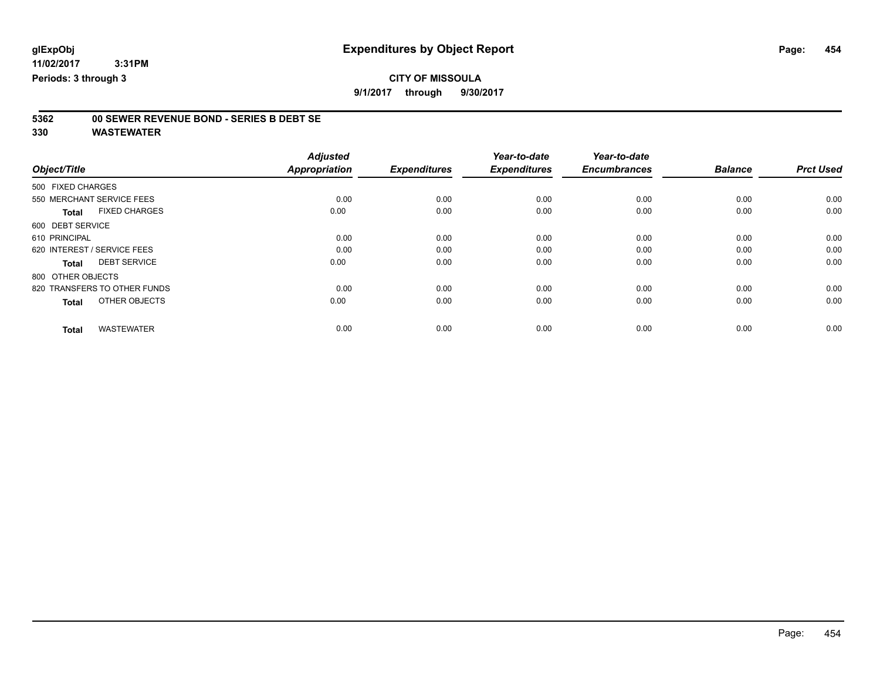# **5362 00 SEWER REVENUE BOND - SERIES B DEBT SE**

| Object/Title                         | <b>Adjusted</b><br><b>Appropriation</b> | <b>Expenditures</b> | Year-to-date<br><b>Expenditures</b> | Year-to-date<br><b>Encumbrances</b> | <b>Balance</b> | <b>Prct Used</b> |
|--------------------------------------|-----------------------------------------|---------------------|-------------------------------------|-------------------------------------|----------------|------------------|
| 500 FIXED CHARGES                    |                                         |                     |                                     |                                     |                |                  |
| 550 MERCHANT SERVICE FEES            | 0.00                                    | 0.00                | 0.00                                | 0.00                                | 0.00           | 0.00             |
| <b>FIXED CHARGES</b><br><b>Total</b> | 0.00                                    | 0.00                | 0.00                                | 0.00                                | 0.00           | 0.00             |
| 600 DEBT SERVICE                     |                                         |                     |                                     |                                     |                |                  |
| 610 PRINCIPAL                        | 0.00                                    | 0.00                | 0.00                                | 0.00                                | 0.00           | 0.00             |
| 620 INTEREST / SERVICE FEES          | 0.00                                    | 0.00                | 0.00                                | 0.00                                | 0.00           | 0.00             |
| <b>DEBT SERVICE</b><br><b>Total</b>  | 0.00                                    | 0.00                | 0.00                                | 0.00                                | 0.00           | 0.00             |
| 800 OTHER OBJECTS                    |                                         |                     |                                     |                                     |                |                  |
| 820 TRANSFERS TO OTHER FUNDS         | 0.00                                    | 0.00                | 0.00                                | 0.00                                | 0.00           | 0.00             |
| OTHER OBJECTS<br><b>Total</b>        | 0.00                                    | 0.00                | 0.00                                | 0.00                                | 0.00           | 0.00             |
|                                      |                                         |                     |                                     |                                     |                |                  |
| <b>WASTEWATER</b><br><b>Total</b>    | 0.00                                    | 0.00                | 0.00                                | 0.00                                | 0.00           | 0.00             |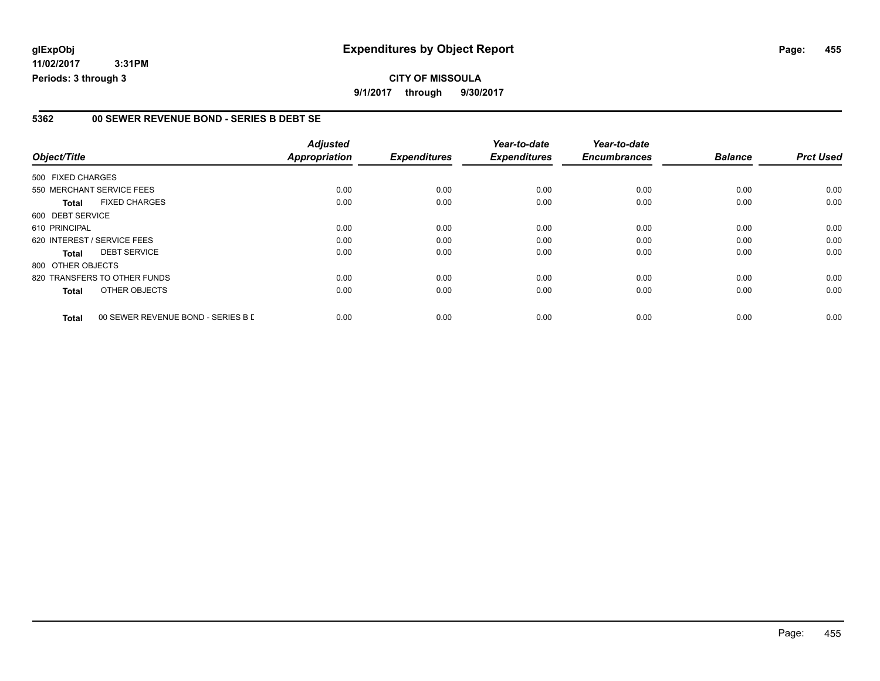**11/02/2017 3:31PM Periods: 3 through 3**

#### **5362 00 SEWER REVENUE BOND - SERIES B DEBT SE**

|                   |                                    | <b>Adjusted</b>      |                     | Year-to-date        | Year-to-date        |                |                  |
|-------------------|------------------------------------|----------------------|---------------------|---------------------|---------------------|----------------|------------------|
| Object/Title      |                                    | <b>Appropriation</b> | <b>Expenditures</b> | <b>Expenditures</b> | <b>Encumbrances</b> | <b>Balance</b> | <b>Prct Used</b> |
| 500 FIXED CHARGES |                                    |                      |                     |                     |                     |                |                  |
|                   | 550 MERCHANT SERVICE FEES          | 0.00                 | 0.00                | 0.00                | 0.00                | 0.00           | 0.00             |
| <b>Total</b>      | <b>FIXED CHARGES</b>               | 0.00                 | 0.00                | 0.00                | 0.00                | 0.00           | 0.00             |
| 600 DEBT SERVICE  |                                    |                      |                     |                     |                     |                |                  |
| 610 PRINCIPAL     |                                    | 0.00                 | 0.00                | 0.00                | 0.00                | 0.00           | 0.00             |
|                   | 620 INTEREST / SERVICE FEES        | 0.00                 | 0.00                | 0.00                | 0.00                | 0.00           | 0.00             |
| <b>Total</b>      | <b>DEBT SERVICE</b>                | 0.00                 | 0.00                | 0.00                | 0.00                | 0.00           | 0.00             |
| 800 OTHER OBJECTS |                                    |                      |                     |                     |                     |                |                  |
|                   | 820 TRANSFERS TO OTHER FUNDS       | 0.00                 | 0.00                | 0.00                | 0.00                | 0.00           | 0.00             |
| <b>Total</b>      | OTHER OBJECTS                      | 0.00                 | 0.00                | 0.00                | 0.00                | 0.00           | 0.00             |
| <b>Total</b>      | 00 SEWER REVENUE BOND - SERIES B D | 0.00                 | 0.00                | 0.00                | 0.00                | 0.00           | 0.00             |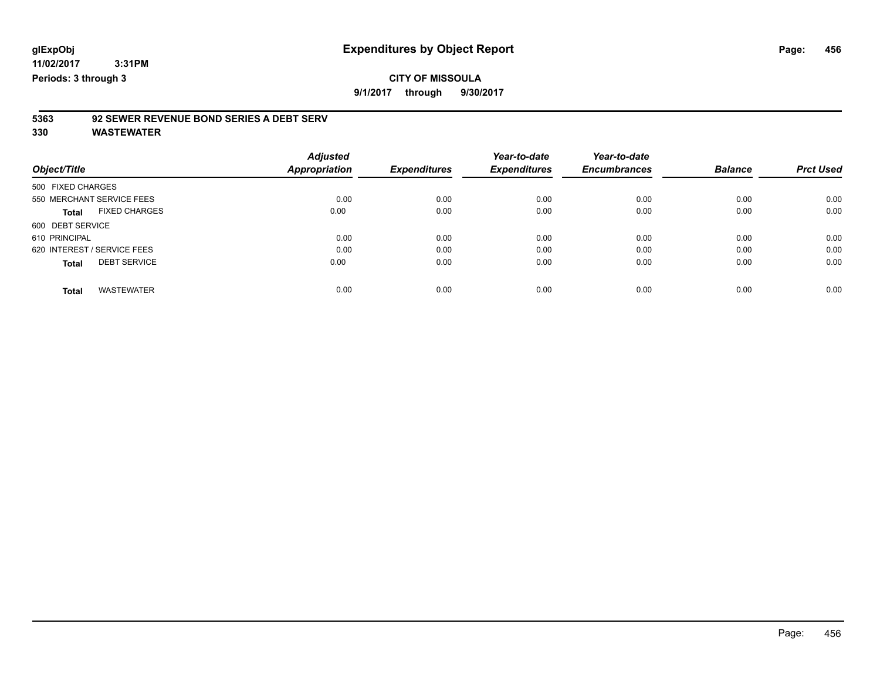**9/1/2017 through 9/30/2017**

### **5363 92 SEWER REVENUE BOND SERIES A DEBT SERV**

|                                      | <b>Adjusted</b> |                     | Year-to-date        | Year-to-date        |                |                  |
|--------------------------------------|-----------------|---------------------|---------------------|---------------------|----------------|------------------|
| Object/Title                         | Appropriation   | <b>Expenditures</b> | <b>Expenditures</b> | <b>Encumbrances</b> | <b>Balance</b> | <b>Prct Used</b> |
| 500 FIXED CHARGES                    |                 |                     |                     |                     |                |                  |
| 550 MERCHANT SERVICE FEES            | 0.00            | 0.00                | 0.00                | 0.00                | 0.00           | 0.00             |
| <b>FIXED CHARGES</b><br><b>Total</b> | 0.00            | 0.00                | 0.00                | 0.00                | 0.00           | 0.00             |
| 600 DEBT SERVICE                     |                 |                     |                     |                     |                |                  |
| 610 PRINCIPAL                        | 0.00            | 0.00                | 0.00                | 0.00                | 0.00           | 0.00             |
| 620 INTEREST / SERVICE FEES          | 0.00            | 0.00                | 0.00                | 0.00                | 0.00           | 0.00             |
| <b>DEBT SERVICE</b><br><b>Total</b>  | 0.00            | 0.00                | 0.00                | 0.00                | 0.00           | 0.00             |
| <b>WASTEWATER</b><br><b>Total</b>    | 0.00            | 0.00                | 0.00                | 0.00                | 0.00           | 0.00             |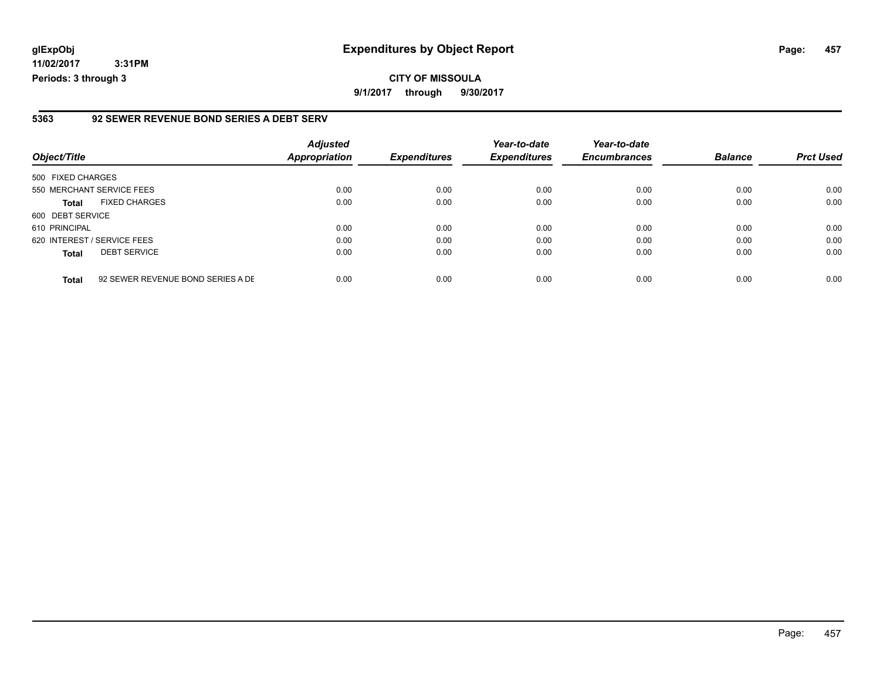**11/02/2017 3:31PM Periods: 3 through 3**

#### **5363 92 SEWER REVENUE BOND SERIES A DEBT SERV**

| Object/Title                |                                   | <b>Adjusted</b><br><b>Appropriation</b> | <b>Expenditures</b> | Year-to-date<br><b>Expenditures</b> | Year-to-date<br><b>Encumbrances</b> | <b>Balance</b> | <b>Prct Used</b> |
|-----------------------------|-----------------------------------|-----------------------------------------|---------------------|-------------------------------------|-------------------------------------|----------------|------------------|
| 500 FIXED CHARGES           |                                   |                                         |                     |                                     |                                     |                |                  |
| 550 MERCHANT SERVICE FEES   |                                   | 0.00                                    | 0.00                | 0.00                                | 0.00                                | 0.00           | 0.00             |
| <b>Total</b>                | <b>FIXED CHARGES</b>              | 0.00                                    | 0.00                | 0.00                                | 0.00                                | 0.00           | 0.00             |
| 600 DEBT SERVICE            |                                   |                                         |                     |                                     |                                     |                |                  |
| 610 PRINCIPAL               |                                   | 0.00                                    | 0.00                | 0.00                                | 0.00                                | 0.00           | 0.00             |
| 620 INTEREST / SERVICE FEES |                                   | 0.00                                    | 0.00                | 0.00                                | 0.00                                | 0.00           | 0.00             |
| <b>Total</b>                | <b>DEBT SERVICE</b>               | 0.00                                    | 0.00                | 0.00                                | 0.00                                | 0.00           | 0.00             |
| <b>Total</b>                | 92 SEWER REVENUE BOND SERIES A DE | 0.00                                    | 0.00                | 0.00                                | 0.00                                | 0.00           | 0.00             |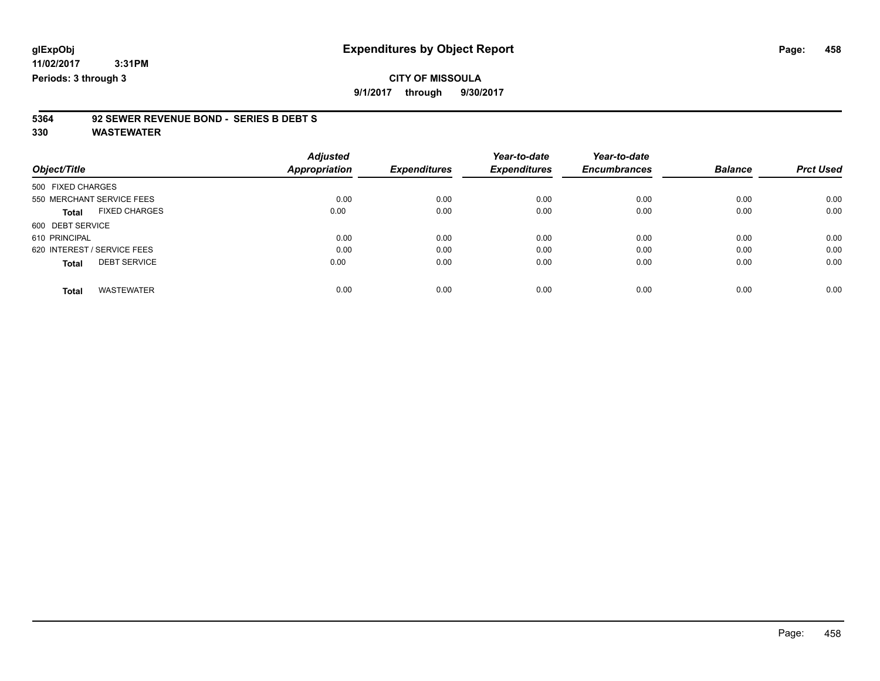**9/1/2017 through 9/30/2017**

# **5364 92 SEWER REVENUE BOND - SERIES B DEBT S**

|                                      | <b>Adjusted</b> |                     | Year-to-date        | Year-to-date        |                |                  |
|--------------------------------------|-----------------|---------------------|---------------------|---------------------|----------------|------------------|
| Object/Title                         | Appropriation   | <b>Expenditures</b> | <b>Expenditures</b> | <b>Encumbrances</b> | <b>Balance</b> | <b>Prct Used</b> |
| 500 FIXED CHARGES                    |                 |                     |                     |                     |                |                  |
| 550 MERCHANT SERVICE FEES            | 0.00            | 0.00                | 0.00                | 0.00                | 0.00           | 0.00             |
| <b>FIXED CHARGES</b><br><b>Total</b> | 0.00            | 0.00                | 0.00                | 0.00                | 0.00           | 0.00             |
| 600 DEBT SERVICE                     |                 |                     |                     |                     |                |                  |
| 610 PRINCIPAL                        | 0.00            | 0.00                | 0.00                | 0.00                | 0.00           | 0.00             |
| 620 INTEREST / SERVICE FEES          | 0.00            | 0.00                | 0.00                | 0.00                | 0.00           | 0.00             |
| <b>DEBT SERVICE</b><br><b>Total</b>  | 0.00            | 0.00                | 0.00                | 0.00                | 0.00           | 0.00             |
| <b>WASTEWATER</b><br><b>Total</b>    | 0.00            | 0.00                | 0.00                | 0.00                | 0.00           | 0.00             |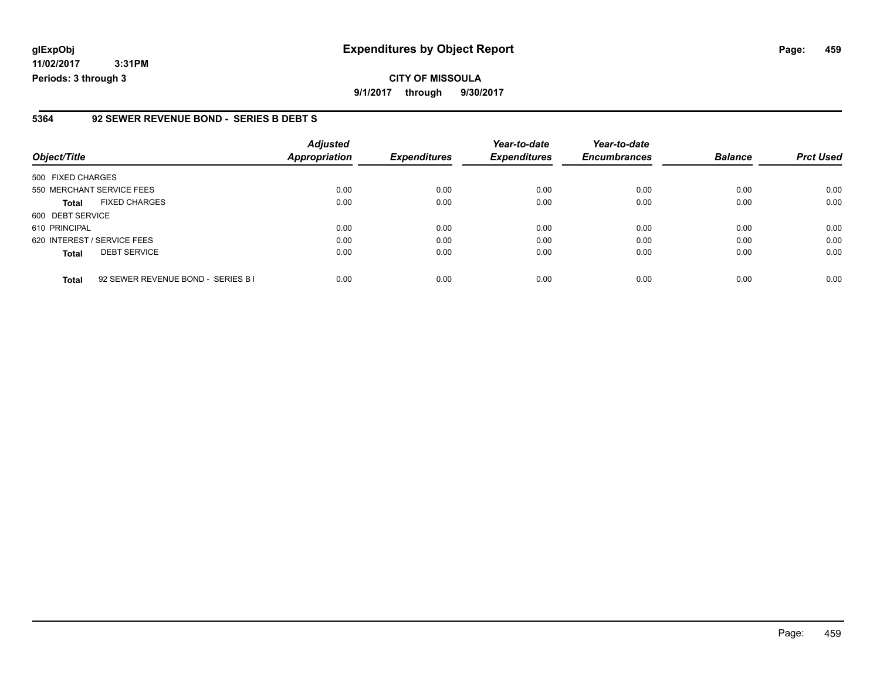**11/02/2017 3:31PM Periods: 3 through 3**

**CITY OF MISSOULA 9/1/2017 through 9/30/2017**

#### **5364 92 SEWER REVENUE BOND - SERIES B DEBT S**

| Object/Title                         | <b>Adjusted</b><br>Appropriation           | <b>Expenditures</b> | Year-to-date<br><b>Expenditures</b> | Year-to-date<br><b>Encumbrances</b> | <b>Balance</b> | <b>Prct Used</b> |
|--------------------------------------|--------------------------------------------|---------------------|-------------------------------------|-------------------------------------|----------------|------------------|
| 500 FIXED CHARGES                    |                                            |                     |                                     |                                     |                |                  |
| 550 MERCHANT SERVICE FEES            | 0.00                                       | 0.00                | 0.00                                | 0.00                                | 0.00           | 0.00             |
| <b>FIXED CHARGES</b><br><b>Total</b> | 0.00                                       | 0.00                | 0.00                                | 0.00                                | 0.00           | 0.00             |
| 600 DEBT SERVICE                     |                                            |                     |                                     |                                     |                |                  |
| 610 PRINCIPAL                        | 0.00                                       | 0.00                | 0.00                                | 0.00                                | 0.00           | 0.00             |
| 620 INTEREST / SERVICE FEES          | 0.00                                       | 0.00                | 0.00                                | 0.00                                | 0.00           | 0.00             |
| <b>DEBT SERVICE</b><br><b>Total</b>  | 0.00                                       | 0.00                | 0.00                                | 0.00                                | 0.00           | 0.00             |
| <b>Total</b>                         | 0.00<br>92 SEWER REVENUE BOND - SERIES B I | 0.00                | 0.00                                | 0.00                                | 0.00           | 0.00             |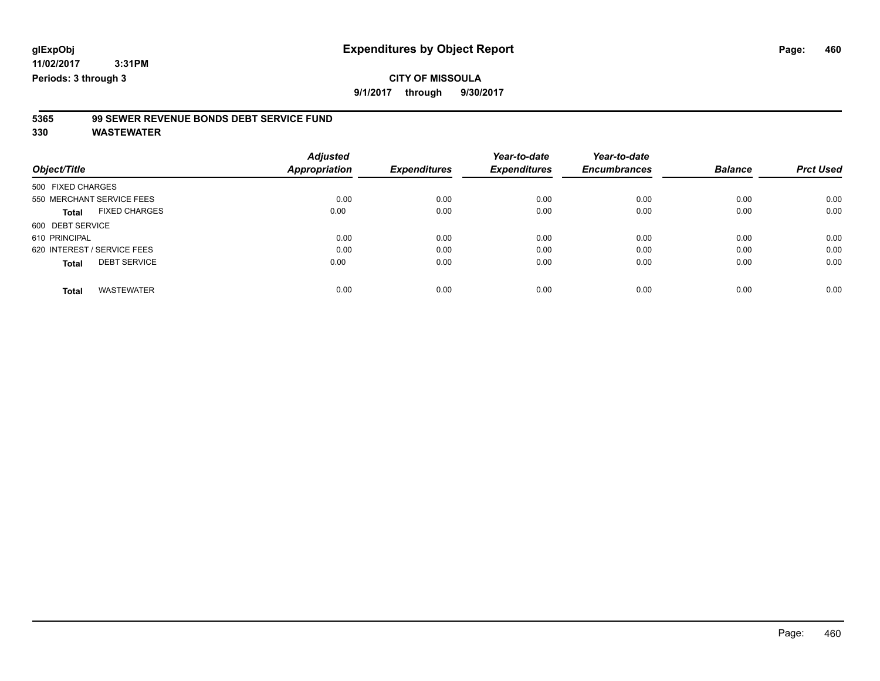### **CITY OF MISSOULA**

**9/1/2017 through 9/30/2017**

### **5365 99 SEWER REVENUE BONDS DEBT SERVICE FUND**

| Object/Title                         | <b>Adjusted</b><br>Appropriation | <b>Expenditures</b> | Year-to-date<br><b>Expenditures</b> | Year-to-date<br><b>Encumbrances</b> | <b>Balance</b> | <b>Prct Used</b> |
|--------------------------------------|----------------------------------|---------------------|-------------------------------------|-------------------------------------|----------------|------------------|
| 500 FIXED CHARGES                    |                                  |                     |                                     |                                     |                |                  |
| 550 MERCHANT SERVICE FEES            | 0.00                             | 0.00                | 0.00                                | 0.00                                | 0.00           | 0.00             |
| <b>FIXED CHARGES</b><br><b>Total</b> | 0.00                             | 0.00                | 0.00                                | 0.00                                | 0.00           | 0.00             |
| 600 DEBT SERVICE                     |                                  |                     |                                     |                                     |                |                  |
| 610 PRINCIPAL                        | 0.00                             | 0.00                | 0.00                                | 0.00                                | 0.00           | 0.00             |
| 620 INTEREST / SERVICE FEES          | 0.00                             | 0.00                | 0.00                                | 0.00                                | 0.00           | 0.00             |
| <b>DEBT SERVICE</b><br><b>Total</b>  | 0.00                             | 0.00                | 0.00                                | 0.00                                | 0.00           | 0.00             |
| <b>WASTEWATER</b><br><b>Total</b>    | 0.00                             | 0.00                | 0.00                                | 0.00                                | 0.00           | 0.00             |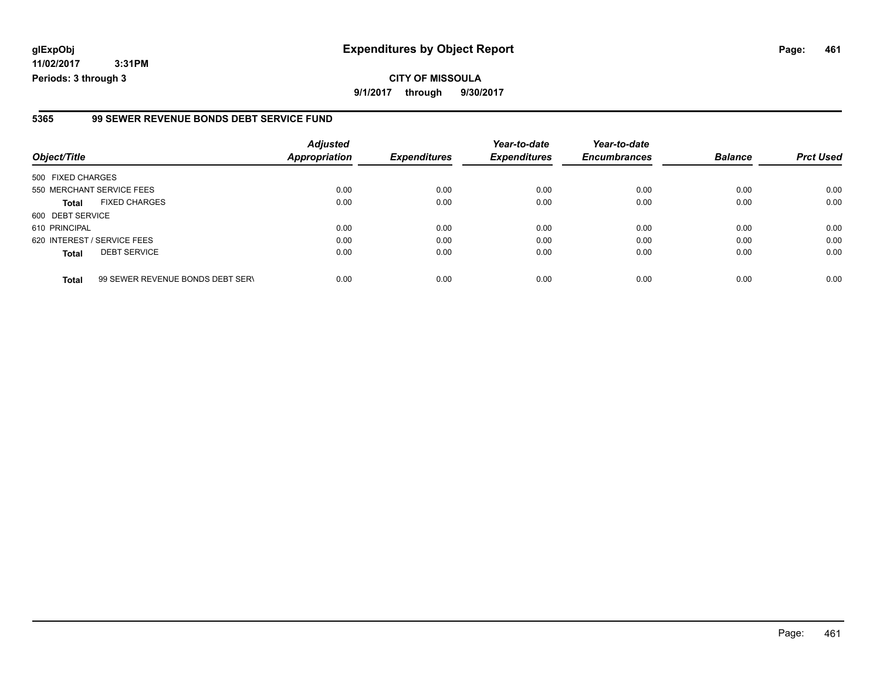**11/02/2017 3:31PM Periods: 3 through 3**

#### **5365 99 SEWER REVENUE BONDS DEBT SERVICE FUND**

| Object/Title                         |                                  | <b>Adjusted</b><br><b>Appropriation</b> | <b>Expenditures</b> | Year-to-date<br><b>Expenditures</b> | Year-to-date<br><b>Encumbrances</b> | <b>Balance</b> | <b>Prct Used</b> |
|--------------------------------------|----------------------------------|-----------------------------------------|---------------------|-------------------------------------|-------------------------------------|----------------|------------------|
| 500 FIXED CHARGES                    |                                  |                                         |                     |                                     |                                     |                |                  |
| 550 MERCHANT SERVICE FEES            |                                  | 0.00                                    | 0.00                | 0.00                                | 0.00                                | 0.00           | 0.00             |
| <b>FIXED CHARGES</b><br><b>Total</b> |                                  | 0.00                                    | 0.00                | 0.00                                | 0.00                                | 0.00           | 0.00             |
| 600 DEBT SERVICE                     |                                  |                                         |                     |                                     |                                     |                |                  |
| 610 PRINCIPAL                        |                                  | 0.00                                    | 0.00                | 0.00                                | 0.00                                | 0.00           | 0.00             |
| 620 INTEREST / SERVICE FEES          |                                  | 0.00                                    | 0.00                | 0.00                                | 0.00                                | 0.00           | 0.00             |
| <b>DEBT SERVICE</b><br><b>Total</b>  |                                  | 0.00                                    | 0.00                | 0.00                                | 0.00                                | 0.00           | 0.00             |
| <b>Total</b>                         | 99 SEWER REVENUE BONDS DEBT SERV | 0.00                                    | 0.00                | 0.00                                | 0.00                                | 0.00           | 0.00             |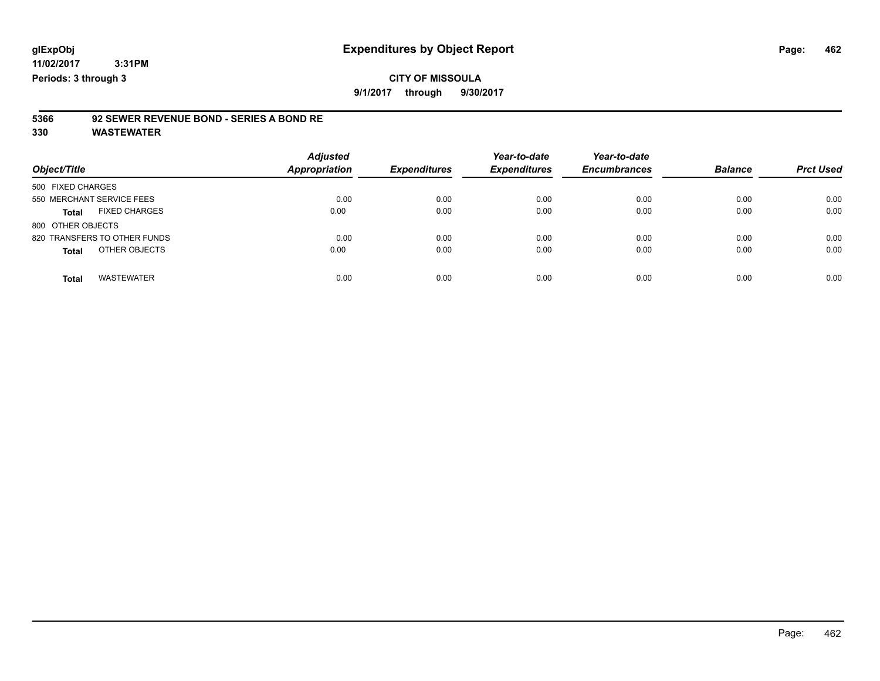#### **CITY OF MISSOULA 9/1/2017 through 9/30/2017**

### **5366 92 SEWER REVENUE BOND - SERIES A BOND RE**

| Object/Title                         | <b>Adjusted</b><br><b>Appropriation</b> | <b>Expenditures</b> | Year-to-date<br><b>Expenditures</b> | Year-to-date<br><b>Encumbrances</b> | <b>Balance</b> | <b>Prct Used</b> |
|--------------------------------------|-----------------------------------------|---------------------|-------------------------------------|-------------------------------------|----------------|------------------|
| 500 FIXED CHARGES                    |                                         |                     |                                     |                                     |                |                  |
| 550 MERCHANT SERVICE FEES            | 0.00                                    | 0.00                | 0.00                                | 0.00                                | 0.00           | 0.00             |
| <b>FIXED CHARGES</b><br><b>Total</b> | 0.00                                    | 0.00                | 0.00                                | 0.00                                | 0.00           | 0.00             |
| 800 OTHER OBJECTS                    |                                         |                     |                                     |                                     |                |                  |
| 820 TRANSFERS TO OTHER FUNDS         | 0.00                                    | 0.00                | 0.00                                | 0.00                                | 0.00           | 0.00             |
| OTHER OBJECTS<br><b>Total</b>        | 0.00                                    | 0.00                | 0.00                                | 0.00                                | 0.00           | 0.00             |
| <b>WASTEWATER</b><br><b>Total</b>    | 0.00                                    | 0.00                | 0.00                                | 0.00                                | 0.00           | 0.00             |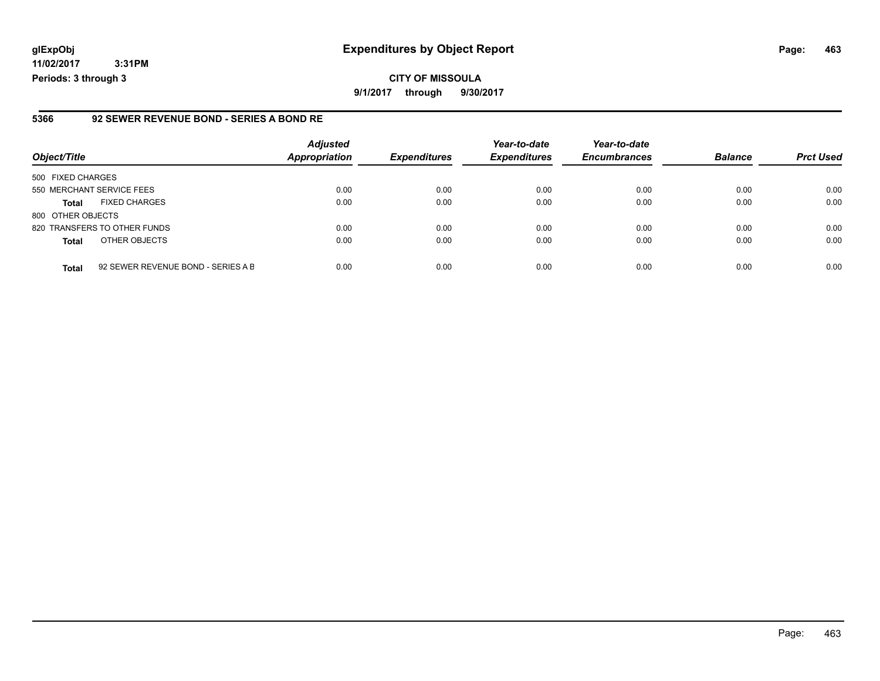**11/02/2017 3:31PM Periods: 3 through 3**

#### **5366 92 SEWER REVENUE BOND - SERIES A BOND RE**

| Object/Title                 |                                    | <b>Adjusted</b><br><b>Appropriation</b> | <b>Expenditures</b> | Year-to-date<br><b>Expenditures</b> | Year-to-date<br><b>Encumbrances</b> | <b>Balance</b> | <b>Prct Used</b> |
|------------------------------|------------------------------------|-----------------------------------------|---------------------|-------------------------------------|-------------------------------------|----------------|------------------|
| 500 FIXED CHARGES            |                                    |                                         |                     |                                     |                                     |                |                  |
| 550 MERCHANT SERVICE FEES    |                                    | 0.00                                    | 0.00                | 0.00                                | 0.00                                | 0.00           | 0.00             |
| <b>Total</b>                 | <b>FIXED CHARGES</b>               | 0.00                                    | 0.00                | 0.00                                | 0.00                                | 0.00           | 0.00             |
| 800 OTHER OBJECTS            |                                    |                                         |                     |                                     |                                     |                |                  |
| 820 TRANSFERS TO OTHER FUNDS |                                    | 0.00                                    | 0.00                | 0.00                                | 0.00                                | 0.00           | 0.00             |
| <b>Total</b>                 | OTHER OBJECTS                      | 0.00                                    | 0.00                | 0.00                                | 0.00                                | 0.00           | 0.00             |
| <b>Total</b>                 | 92 SEWER REVENUE BOND - SERIES A B | 0.00                                    | 0.00                | 0.00                                | 0.00                                | 0.00           | 0.00             |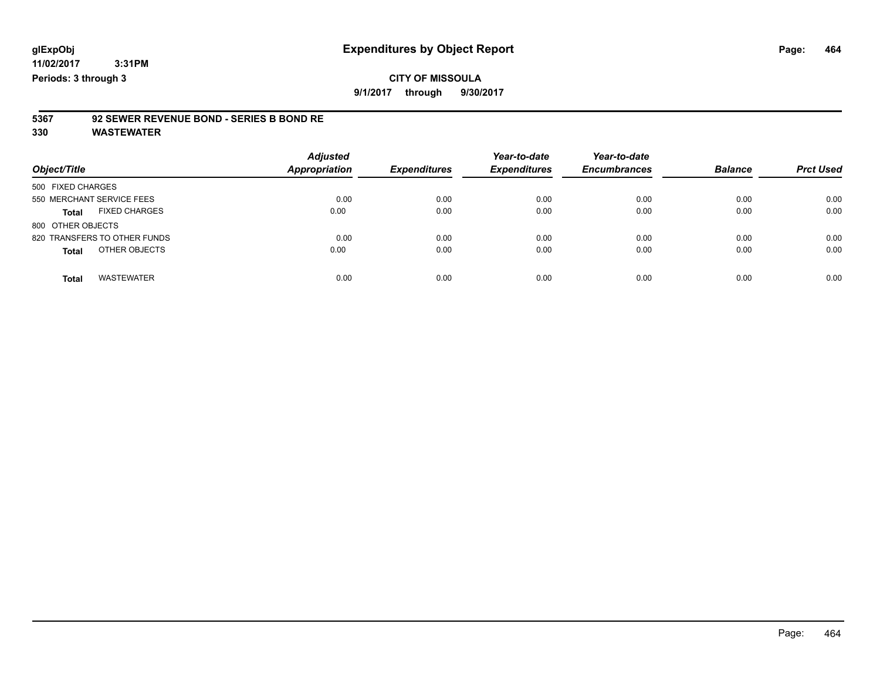# **5367 92 SEWER REVENUE BOND - SERIES B BOND RE**

| Object/Title                         | <b>Adjusted</b><br><b>Appropriation</b> | <b>Expenditures</b> | Year-to-date<br><b>Expenditures</b> | Year-to-date<br><b>Encumbrances</b> | <b>Balance</b> | <b>Prct Used</b> |
|--------------------------------------|-----------------------------------------|---------------------|-------------------------------------|-------------------------------------|----------------|------------------|
| 500 FIXED CHARGES                    |                                         |                     |                                     |                                     |                |                  |
| 550 MERCHANT SERVICE FEES            | 0.00                                    | 0.00                | 0.00                                | 0.00                                | 0.00           | 0.00             |
| <b>FIXED CHARGES</b><br><b>Total</b> | 0.00                                    | 0.00                | 0.00                                | 0.00                                | 0.00           | 0.00             |
| 800 OTHER OBJECTS                    |                                         |                     |                                     |                                     |                |                  |
| 820 TRANSFERS TO OTHER FUNDS         | 0.00                                    | 0.00                | 0.00                                | 0.00                                | 0.00           | 0.00             |
| OTHER OBJECTS<br><b>Total</b>        | 0.00                                    | 0.00                | 0.00                                | 0.00                                | 0.00           | 0.00             |
| <b>WASTEWATER</b><br><b>Total</b>    | 0.00                                    | 0.00                | 0.00                                | 0.00                                | 0.00           | 0.00             |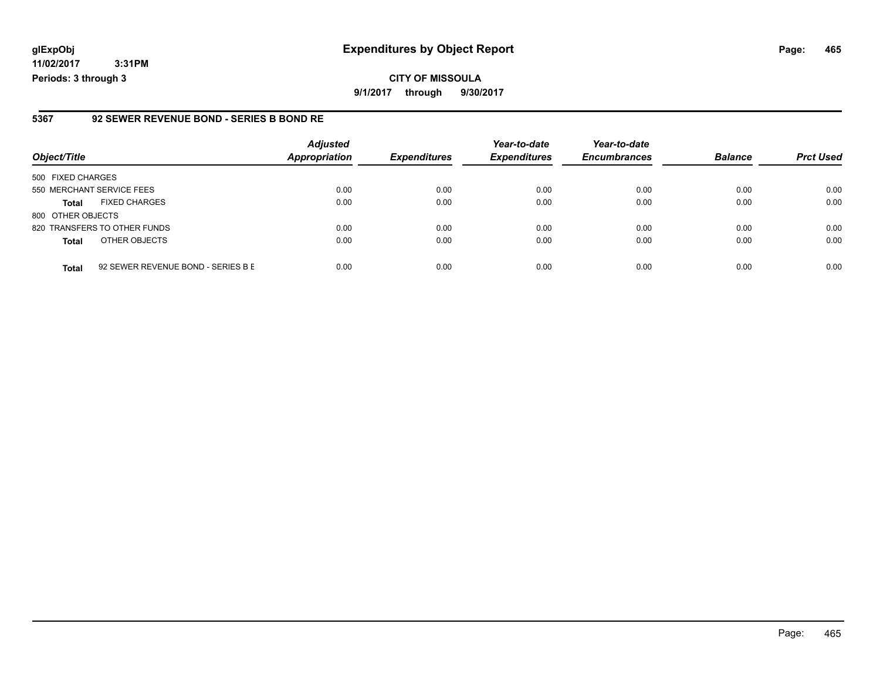**11/02/2017 3:31PM Periods: 3 through 3**

#### **5367 92 SEWER REVENUE BOND - SERIES B BOND RE**

| Object/Title              |                                    | <b>Adjusted</b><br><b>Appropriation</b> | <b>Expenditures</b> | Year-to-date<br><b>Expenditures</b> | Year-to-date<br><b>Encumbrances</b> | <b>Balance</b> | <b>Prct Used</b> |
|---------------------------|------------------------------------|-----------------------------------------|---------------------|-------------------------------------|-------------------------------------|----------------|------------------|
| 500 FIXED CHARGES         |                                    |                                         |                     |                                     |                                     |                |                  |
| 550 MERCHANT SERVICE FEES |                                    | 0.00                                    | 0.00                | 0.00                                | 0.00                                | 0.00           | 0.00             |
| <b>Total</b>              | <b>FIXED CHARGES</b>               | 0.00                                    | 0.00                | 0.00                                | 0.00                                | 0.00           | 0.00             |
| 800 OTHER OBJECTS         |                                    |                                         |                     |                                     |                                     |                |                  |
|                           | 820 TRANSFERS TO OTHER FUNDS       | 0.00                                    | 0.00                | 0.00                                | 0.00                                | 0.00           | 0.00             |
| <b>Total</b>              | OTHER OBJECTS                      | 0.00                                    | 0.00                | 0.00                                | 0.00                                | 0.00           | 0.00             |
| <b>Total</b>              | 92 SEWER REVENUE BOND - SERIES B E | 0.00                                    | 0.00                | 0.00                                | 0.00                                | 0.00           | 0.00             |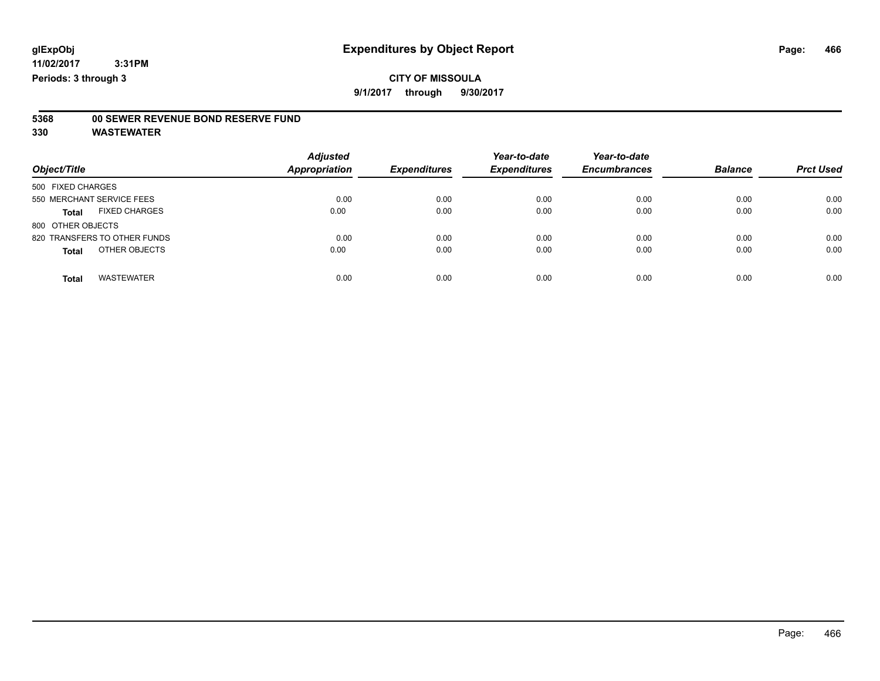### **CITY OF MISSOULA**

**9/1/2017 through 9/30/2017**

### **5368 00 SEWER REVENUE BOND RESERVE FUND**

| Object/Title                         | <b>Adjusted</b><br>Appropriation | <b>Expenditures</b> | Year-to-date<br><b>Expenditures</b> | Year-to-date<br><b>Encumbrances</b> | <b>Balance</b> | <b>Prct Used</b> |
|--------------------------------------|----------------------------------|---------------------|-------------------------------------|-------------------------------------|----------------|------------------|
| 500 FIXED CHARGES                    |                                  |                     |                                     |                                     |                |                  |
| 550 MERCHANT SERVICE FEES            | 0.00                             | 0.00                | 0.00                                | 0.00                                | 0.00           | 0.00             |
| <b>FIXED CHARGES</b><br><b>Total</b> | 0.00                             | 0.00                | 0.00                                | 0.00                                | 0.00           | 0.00             |
| 800 OTHER OBJECTS                    |                                  |                     |                                     |                                     |                |                  |
| 820 TRANSFERS TO OTHER FUNDS         | 0.00                             | 0.00                | 0.00                                | 0.00                                | 0.00           | 0.00             |
| OTHER OBJECTS<br><b>Total</b>        | 0.00                             | 0.00                | 0.00                                | 0.00                                | 0.00           | 0.00             |
| <b>WASTEWATER</b><br><b>Total</b>    | 0.00                             | 0.00                | 0.00                                | 0.00                                | 0.00           | 0.00             |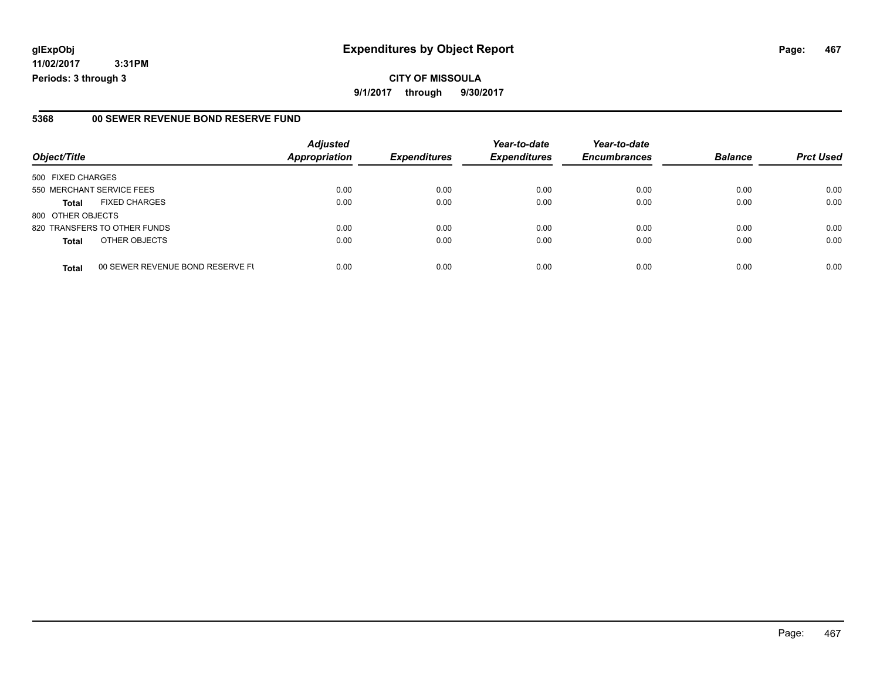**11/02/2017 3:31PM Periods: 3 through 3**

#### **5368 00 SEWER REVENUE BOND RESERVE FUND**

| Object/Title              |                                  | <b>Adjusted</b><br><b>Appropriation</b> | <b>Expenditures</b> | Year-to-date<br><b>Expenditures</b> | Year-to-date<br><b>Encumbrances</b> | <b>Balance</b> |                  |
|---------------------------|----------------------------------|-----------------------------------------|---------------------|-------------------------------------|-------------------------------------|----------------|------------------|
|                           |                                  |                                         |                     |                                     |                                     |                | <b>Prct Used</b> |
| 500 FIXED CHARGES         |                                  |                                         |                     |                                     |                                     |                |                  |
| 550 MERCHANT SERVICE FEES |                                  | 0.00                                    | 0.00                | 0.00                                | 0.00                                | 0.00           | 0.00             |
| <b>Total</b>              | <b>FIXED CHARGES</b>             | 0.00                                    | 0.00                | 0.00                                | 0.00                                | 0.00           | 0.00             |
| 800 OTHER OBJECTS         |                                  |                                         |                     |                                     |                                     |                |                  |
|                           | 820 TRANSFERS TO OTHER FUNDS     | 0.00                                    | 0.00                | 0.00                                | 0.00                                | 0.00           | 0.00             |
| <b>Total</b>              | OTHER OBJECTS                    | 0.00                                    | 0.00                | 0.00                                | 0.00                                | 0.00           | 0.00             |
| <b>Total</b>              | 00 SEWER REVENUE BOND RESERVE FU | 0.00                                    | 0.00                | 0.00                                | 0.00                                | 0.00           | 0.00             |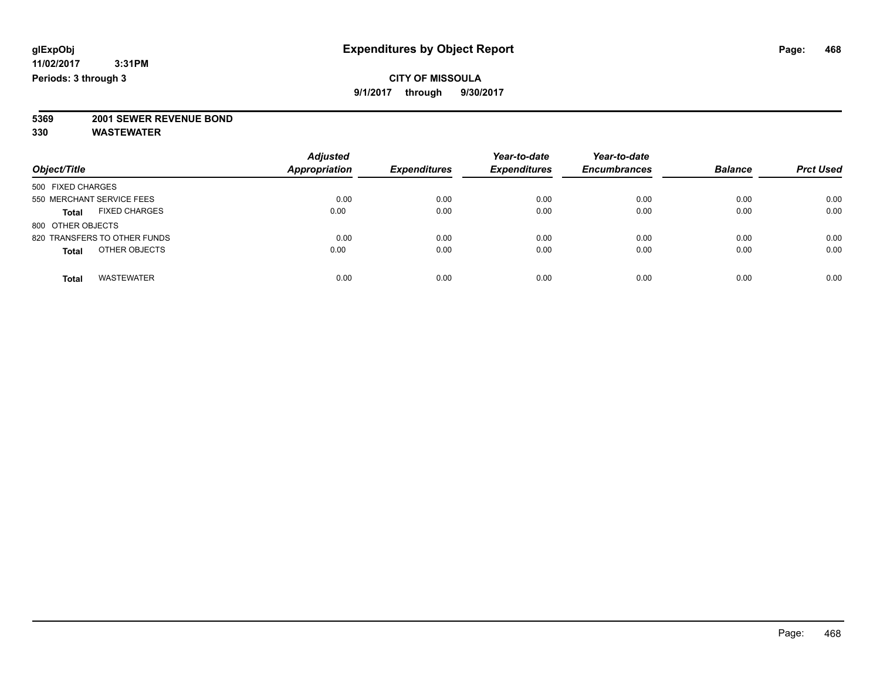### **CITY OF MISSOULA**

**9/1/2017 through 9/30/2017**

# **5369 2001 SEWER REVENUE BOND**

| <b>Adjusted</b> |                              | Year-to-date                | Year-to-date                |                             | <b>Prct Used</b>       |
|-----------------|------------------------------|-----------------------------|-----------------------------|-----------------------------|------------------------|
|                 |                              |                             |                             |                             |                        |
|                 |                              |                             |                             |                             |                        |
| 0.00            | 0.00                         | 0.00                        | 0.00                        | 0.00                        | 0.00                   |
| 0.00            | 0.00                         | 0.00                        | 0.00                        | 0.00                        | 0.00                   |
|                 |                              |                             |                             |                             |                        |
| 0.00            | 0.00                         | 0.00                        | 0.00                        | 0.00                        | 0.00                   |
| 0.00            | 0.00                         | 0.00                        | 0.00                        | 0.00                        | 0.00                   |
|                 |                              |                             |                             |                             | 0.00                   |
|                 | <b>Appropriation</b><br>0.00 | <b>Expenditures</b><br>0.00 | <b>Expenditures</b><br>0.00 | <b>Encumbrances</b><br>0.00 | <b>Balance</b><br>0.00 |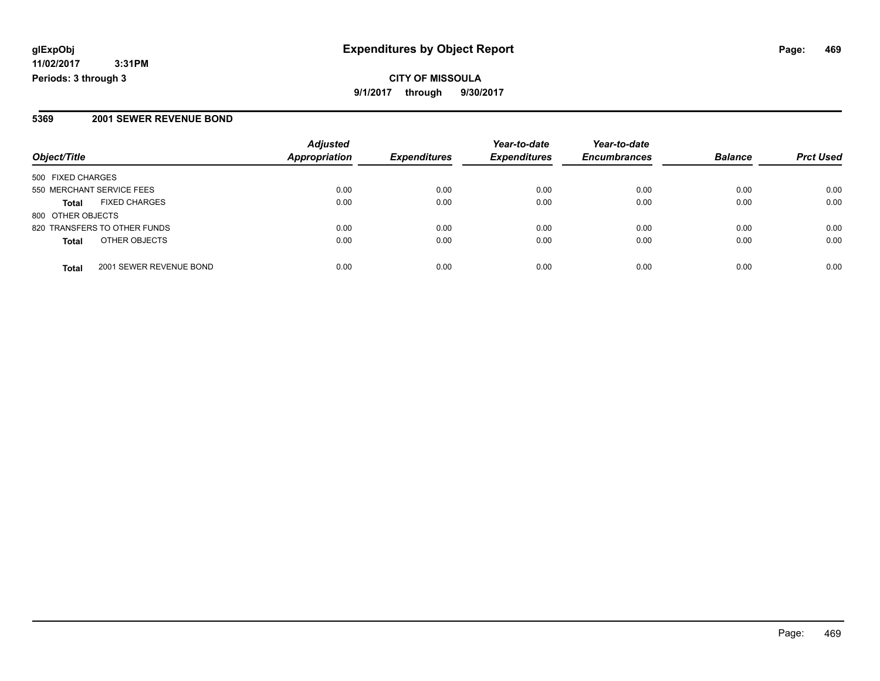**11/02/2017 3:31PM Periods: 3 through 3**

### **5369 2001 SEWER REVENUE BOND**

|                                         | <b>Adjusted</b>      |                     | Year-to-date        | Year-to-date        |                |                  |
|-----------------------------------------|----------------------|---------------------|---------------------|---------------------|----------------|------------------|
| Object/Title                            | <b>Appropriation</b> | <b>Expenditures</b> | <b>Expenditures</b> | <b>Encumbrances</b> | <b>Balance</b> | <b>Prct Used</b> |
| 500 FIXED CHARGES                       |                      |                     |                     |                     |                |                  |
| 550 MERCHANT SERVICE FEES               | 0.00                 | 0.00                | 0.00                | 0.00                | 0.00           | 0.00             |
| <b>FIXED CHARGES</b><br>Total           | 0.00                 | 0.00                | 0.00                | 0.00                | 0.00           | 0.00             |
| 800 OTHER OBJECTS                       |                      |                     |                     |                     |                |                  |
| 820 TRANSFERS TO OTHER FUNDS            | 0.00                 | 0.00                | 0.00                | 0.00                | 0.00           | 0.00             |
| OTHER OBJECTS<br><b>Total</b>           | 0.00                 | 0.00                | 0.00                | 0.00                | 0.00           | 0.00             |
| 2001 SEWER REVENUE BOND<br><b>Total</b> | 0.00                 | 0.00                | 0.00                | 0.00                | 0.00           | 0.00             |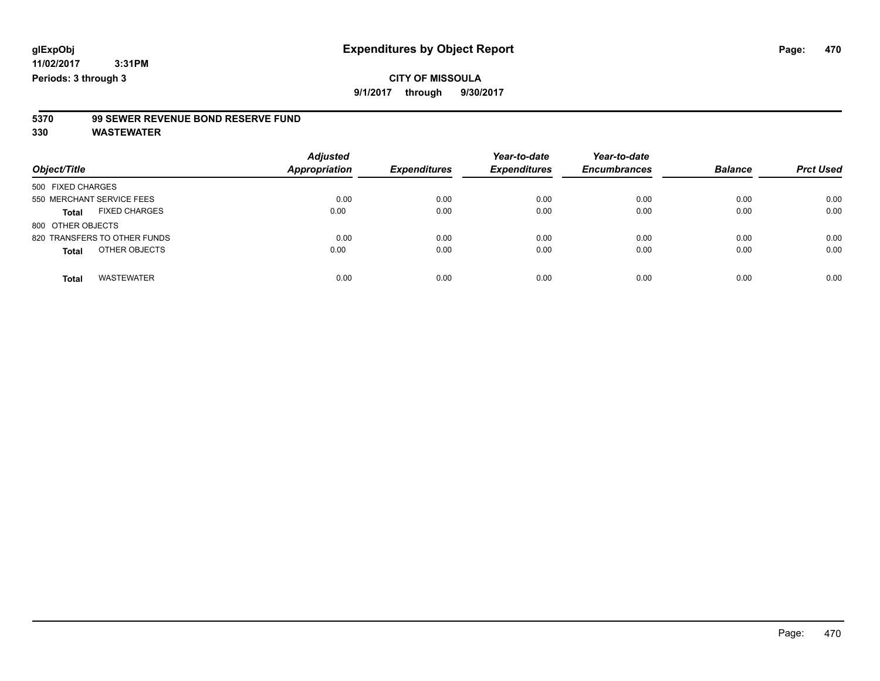**9/1/2017 through 9/30/2017**

# **5370 99 SEWER REVENUE BOND RESERVE FUND**

| Object/Title                         | <b>Adjusted</b><br>Appropriation | <b>Expenditures</b> | Year-to-date<br><b>Expenditures</b> | Year-to-date<br><b>Encumbrances</b> | <b>Balance</b> | <b>Prct Used</b> |
|--------------------------------------|----------------------------------|---------------------|-------------------------------------|-------------------------------------|----------------|------------------|
| 500 FIXED CHARGES                    |                                  |                     |                                     |                                     |                |                  |
| 550 MERCHANT SERVICE FEES            | 0.00                             | 0.00                | 0.00                                | 0.00                                | 0.00           | 0.00             |
| <b>FIXED CHARGES</b><br><b>Total</b> | 0.00                             | 0.00                | 0.00                                | 0.00                                | 0.00           | 0.00             |
| 800 OTHER OBJECTS                    |                                  |                     |                                     |                                     |                |                  |
| 820 TRANSFERS TO OTHER FUNDS         | 0.00                             | 0.00                | 0.00                                | 0.00                                | 0.00           | 0.00             |
| OTHER OBJECTS<br><b>Total</b>        | 0.00                             | 0.00                | 0.00                                | 0.00                                | 0.00           | 0.00             |
| <b>WASTEWATER</b><br><b>Total</b>    | 0.00                             | 0.00                | 0.00                                | 0.00                                | 0.00           | 0.00             |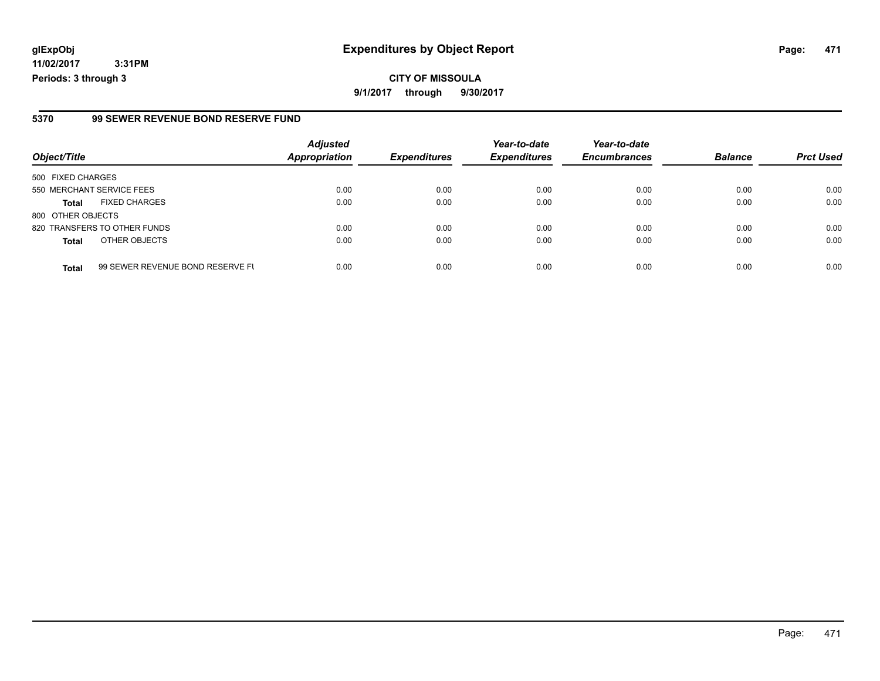**11/02/2017 3:31PM Periods: 3 through 3**

### **5370 99 SEWER REVENUE BOND RESERVE FUND**

|                              | <b>Adjusted</b>                  |                              | Year-to-date                | Year-to-date                |                             | <b>Prct Used</b>       |
|------------------------------|----------------------------------|------------------------------|-----------------------------|-----------------------------|-----------------------------|------------------------|
|                              |                                  |                              |                             |                             |                             |                        |
| 500 FIXED CHARGES            |                                  |                              |                             |                             |                             |                        |
| 550 MERCHANT SERVICE FEES    | 0.00                             | 0.00                         | 0.00                        | 0.00                        | 0.00                        | 0.00                   |
| <b>FIXED CHARGES</b>         | 0.00                             | 0.00                         | 0.00                        | 0.00                        | 0.00                        | 0.00                   |
| 800 OTHER OBJECTS            |                                  |                              |                             |                             |                             |                        |
| 820 TRANSFERS TO OTHER FUNDS | 0.00                             | 0.00                         | 0.00                        | 0.00                        | 0.00                        | 0.00                   |
| OTHER OBJECTS                | 0.00                             | 0.00                         | 0.00                        | 0.00                        | 0.00                        | 0.00                   |
|                              |                                  |                              |                             |                             |                             | 0.00                   |
|                              | 99 SEWER REVENUE BOND RESERVE FL | <b>Appropriation</b><br>0.00 | <b>Expenditures</b><br>0.00 | <b>Expenditures</b><br>0.00 | <b>Encumbrances</b><br>0.00 | <b>Balance</b><br>0.00 |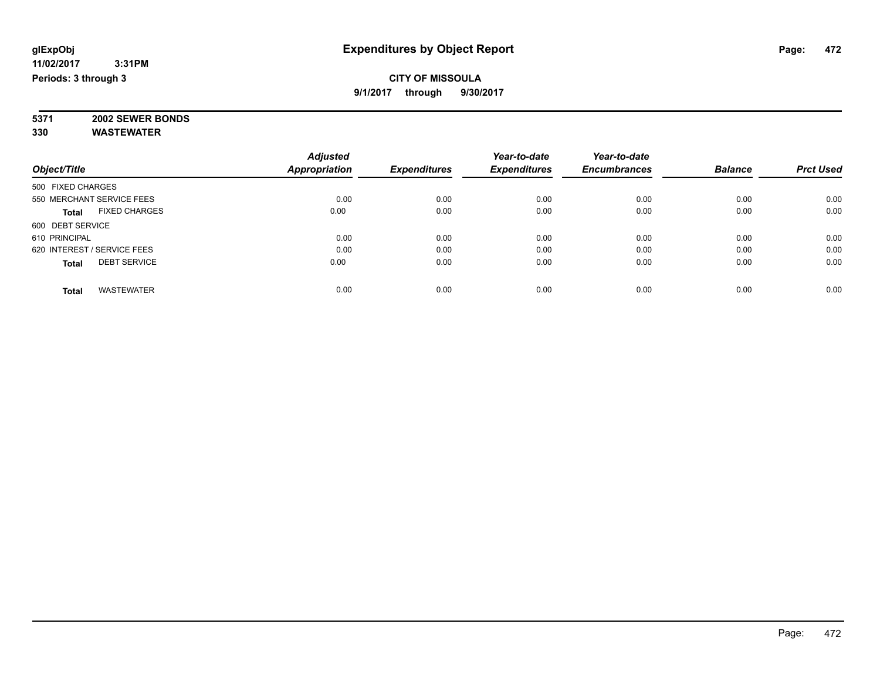### **CITY OF MISSOULA 9/1/2017 through 9/30/2017**

**5371 2002 SEWER BONDS 330 WASTEWATER**

|                                      | <b>Adjusted</b>      |                     | Year-to-date        | Year-to-date        |                |                  |
|--------------------------------------|----------------------|---------------------|---------------------|---------------------|----------------|------------------|
| Object/Title                         | <b>Appropriation</b> | <b>Expenditures</b> | <b>Expenditures</b> | <b>Encumbrances</b> | <b>Balance</b> | <b>Prct Used</b> |
| 500 FIXED CHARGES                    |                      |                     |                     |                     |                |                  |
| 550 MERCHANT SERVICE FEES            | 0.00                 | 0.00                | 0.00                | 0.00                | 0.00           | 0.00             |
| <b>FIXED CHARGES</b><br><b>Total</b> | 0.00                 | 0.00                | 0.00                | 0.00                | 0.00           | 0.00             |
| 600 DEBT SERVICE                     |                      |                     |                     |                     |                |                  |
| 610 PRINCIPAL                        | 0.00                 | 0.00                | 0.00                | 0.00                | 0.00           | 0.00             |
| 620 INTEREST / SERVICE FEES          | 0.00                 | 0.00                | 0.00                | 0.00                | 0.00           | 0.00             |
| <b>DEBT SERVICE</b><br><b>Total</b>  | 0.00                 | 0.00                | 0.00                | 0.00                | 0.00           | 0.00             |
| <b>WASTEWATER</b><br><b>Total</b>    | 0.00                 | 0.00                | 0.00                | 0.00                | 0.00           | 0.00             |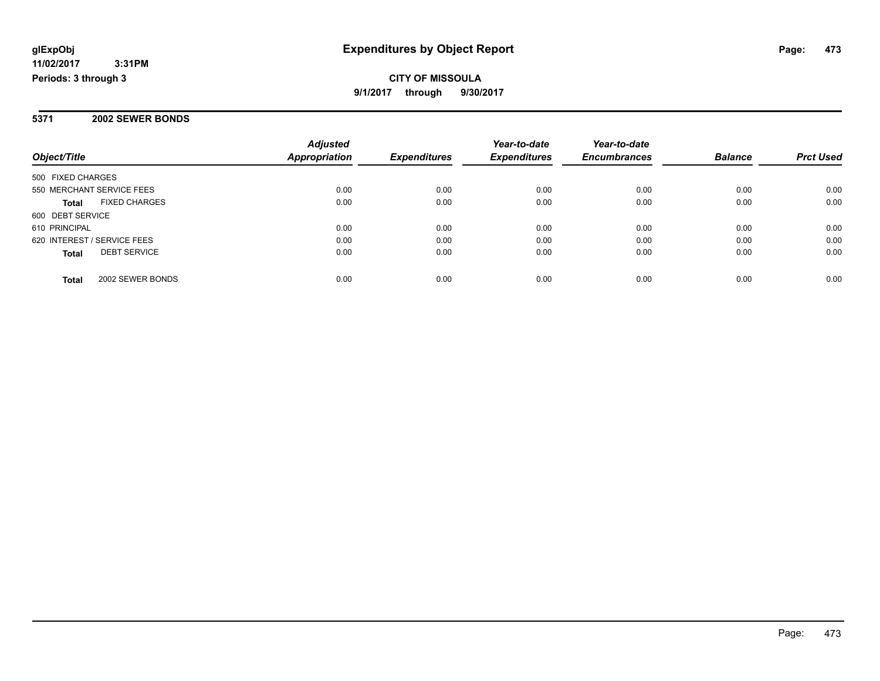**11/02/2017 3:31PM Periods: 3 through 3**

### **CITY OF MISSOULA 9/1/2017 through 9/30/2017**

### **5371 2002 SEWER BONDS**

|                                      | <b>Adjusted</b>      |                     | Year-to-date        | Year-to-date        |                |                  |
|--------------------------------------|----------------------|---------------------|---------------------|---------------------|----------------|------------------|
| Object/Title                         | <b>Appropriation</b> | <b>Expenditures</b> | <b>Expenditures</b> | <b>Encumbrances</b> | <b>Balance</b> | <b>Prct Used</b> |
| 500 FIXED CHARGES                    |                      |                     |                     |                     |                |                  |
| 550 MERCHANT SERVICE FEES            | 0.00                 | 0.00                | 0.00                | 0.00                | 0.00           | 0.00             |
| <b>FIXED CHARGES</b><br><b>Total</b> | 0.00                 | 0.00                | 0.00                | 0.00                | 0.00           | 0.00             |
| 600 DEBT SERVICE                     |                      |                     |                     |                     |                |                  |
| 610 PRINCIPAL                        | 0.00                 | 0.00                | 0.00                | 0.00                | 0.00           | 0.00             |
| 620 INTEREST / SERVICE FEES          | 0.00                 | 0.00                | 0.00                | 0.00                | 0.00           | 0.00             |
| <b>DEBT SERVICE</b><br><b>Total</b>  | 0.00                 | 0.00                | 0.00                | 0.00                | 0.00           | 0.00             |
| 2002 SEWER BONDS<br>Total            | 0.00                 | 0.00                | 0.00                | 0.00                | 0.00           | 0.00             |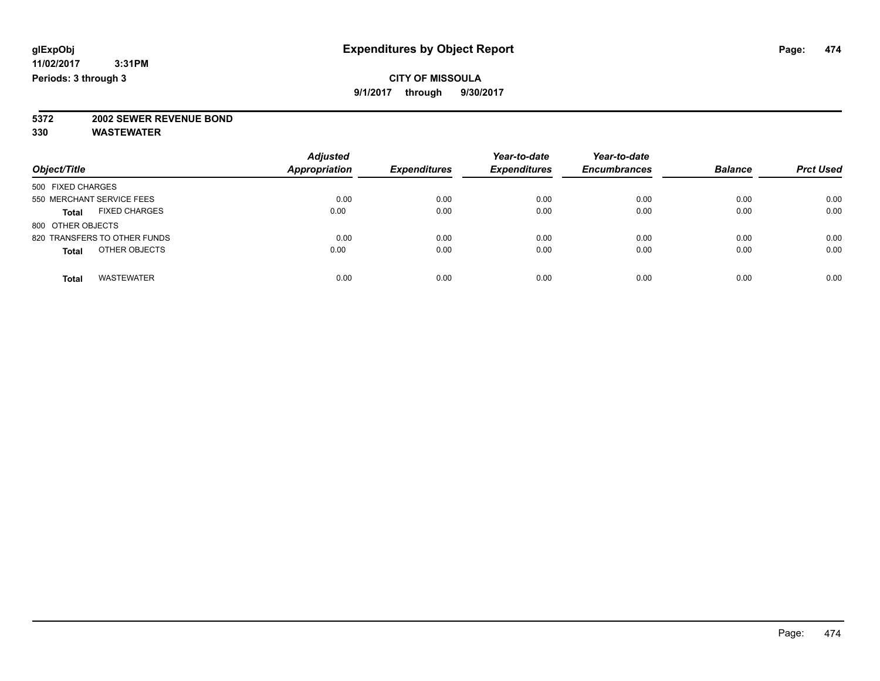**9/1/2017 through 9/30/2017**

# **5372 2002 SEWER REVENUE BOND**

| Object/Title                         | <b>Adjusted</b><br><b>Appropriation</b> | <b>Expenditures</b> | Year-to-date<br><b>Expenditures</b> | Year-to-date<br><b>Encumbrances</b> | <b>Balance</b> | <b>Prct Used</b> |
|--------------------------------------|-----------------------------------------|---------------------|-------------------------------------|-------------------------------------|----------------|------------------|
|                                      |                                         |                     |                                     |                                     |                |                  |
| 500 FIXED CHARGES                    |                                         |                     |                                     |                                     |                |                  |
| 550 MERCHANT SERVICE FEES            | 0.00                                    | 0.00                | 0.00                                | 0.00                                | 0.00           | 0.00             |
| <b>FIXED CHARGES</b><br><b>Total</b> | 0.00                                    | 0.00                | 0.00                                | 0.00                                | 0.00           | 0.00             |
| 800 OTHER OBJECTS                    |                                         |                     |                                     |                                     |                |                  |
| 820 TRANSFERS TO OTHER FUNDS         | 0.00                                    | 0.00                | 0.00                                | 0.00                                | 0.00           | 0.00             |
| OTHER OBJECTS<br><b>Total</b>        | 0.00                                    | 0.00                | 0.00                                | 0.00                                | 0.00           | 0.00             |
| <b>WASTEWATER</b><br><b>Total</b>    | 0.00                                    | 0.00                | 0.00                                | 0.00                                | 0.00           | 0.00             |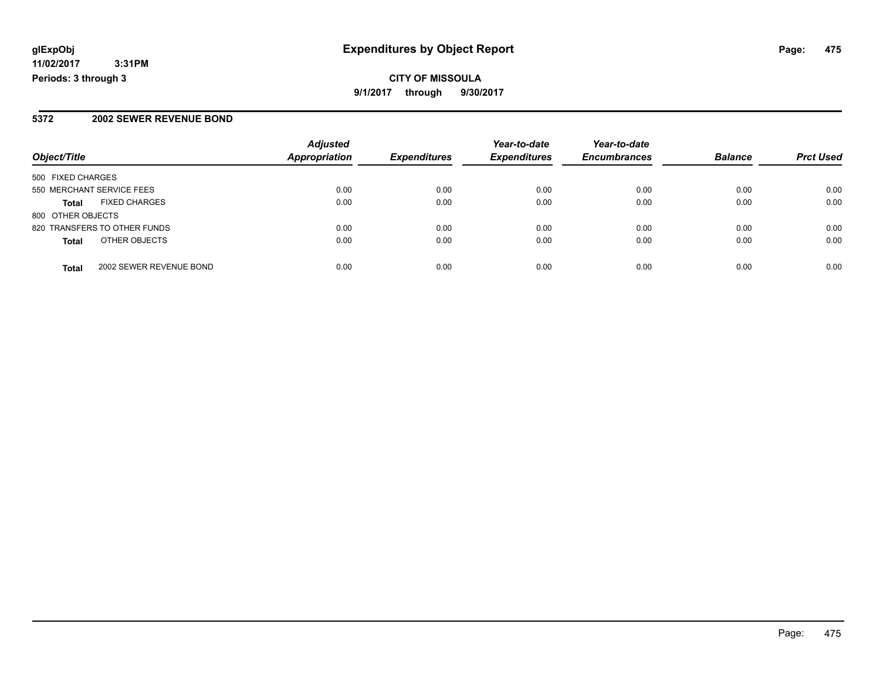**11/02/2017 3:31PM Periods: 3 through 3**

### **5372 2002 SEWER REVENUE BOND**

|                              |                         | <b>Adjusted</b> |                     | Year-to-date        | Year-to-date        |                |                  |
|------------------------------|-------------------------|-----------------|---------------------|---------------------|---------------------|----------------|------------------|
| Object/Title                 |                         | Appropriation   | <b>Expenditures</b> | <b>Expenditures</b> | <b>Encumbrances</b> | <b>Balance</b> | <b>Prct Used</b> |
| 500 FIXED CHARGES            |                         |                 |                     |                     |                     |                |                  |
| 550 MERCHANT SERVICE FEES    |                         | 0.00            | 0.00                | 0.00                | 0.00                | 0.00           | 0.00             |
| <b>Total</b>                 | <b>FIXED CHARGES</b>    | 0.00            | 0.00                | 0.00                | 0.00                | 0.00           | 0.00             |
| 800 OTHER OBJECTS            |                         |                 |                     |                     |                     |                |                  |
| 820 TRANSFERS TO OTHER FUNDS |                         | 0.00            | 0.00                | 0.00                | 0.00                | 0.00           | 0.00             |
| <b>Total</b>                 | OTHER OBJECTS           | 0.00            | 0.00                | 0.00                | 0.00                | 0.00           | 0.00             |
| <b>Total</b>                 | 2002 SEWER REVENUE BOND | 0.00            | 0.00                | 0.00                | 0.00                | 0.00           | 0.00             |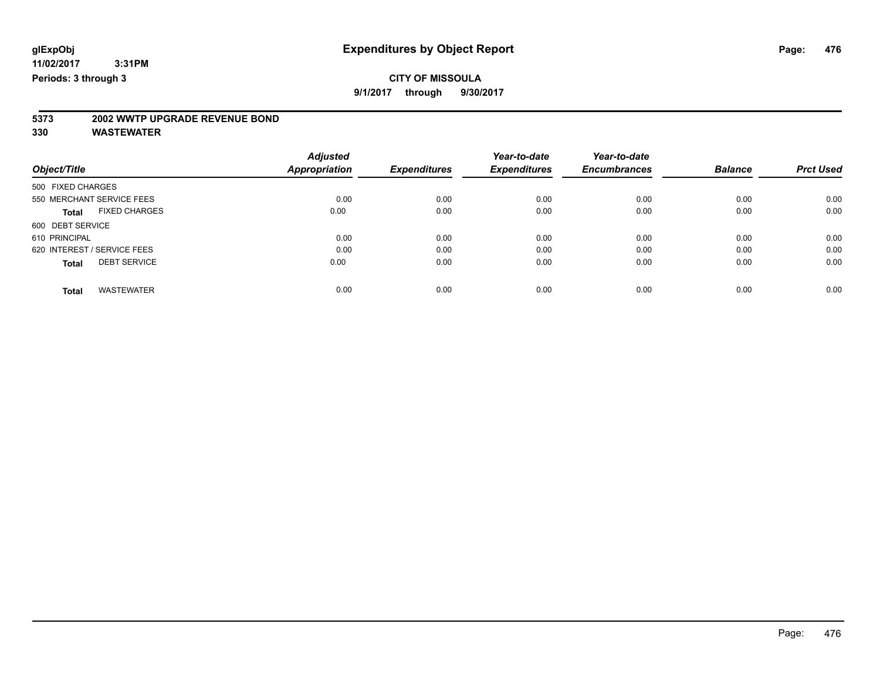**9/1/2017 through 9/30/2017**

# **5373 2002 WWTP UPGRADE REVENUE BOND**

|                   |                             | <b>Adjusted</b>      |                     | Year-to-date        | Year-to-date        |                |                  |
|-------------------|-----------------------------|----------------------|---------------------|---------------------|---------------------|----------------|------------------|
| Object/Title      |                             | <b>Appropriation</b> | <b>Expenditures</b> | <b>Expenditures</b> | <b>Encumbrances</b> | <b>Balance</b> | <b>Prct Used</b> |
| 500 FIXED CHARGES |                             |                      |                     |                     |                     |                |                  |
|                   | 550 MERCHANT SERVICE FEES   | 0.00                 | 0.00                | 0.00                | 0.00                | 0.00           | 0.00             |
| <b>Total</b>      | <b>FIXED CHARGES</b>        | 0.00                 | 0.00                | 0.00                | 0.00                | 0.00           | 0.00             |
| 600 DEBT SERVICE  |                             |                      |                     |                     |                     |                |                  |
| 610 PRINCIPAL     |                             | 0.00                 | 0.00                | 0.00                | 0.00                | 0.00           | 0.00             |
|                   | 620 INTEREST / SERVICE FEES | 0.00                 | 0.00                | 0.00                | 0.00                | 0.00           | 0.00             |
| <b>Total</b>      | <b>DEBT SERVICE</b>         | 0.00                 | 0.00                | 0.00                | 0.00                | 0.00           | 0.00             |
|                   |                             |                      |                     |                     |                     |                |                  |
| <b>Total</b>      | <b>WASTEWATER</b>           | 0.00                 | 0.00                | 0.00                | 0.00                | 0.00           | 0.00             |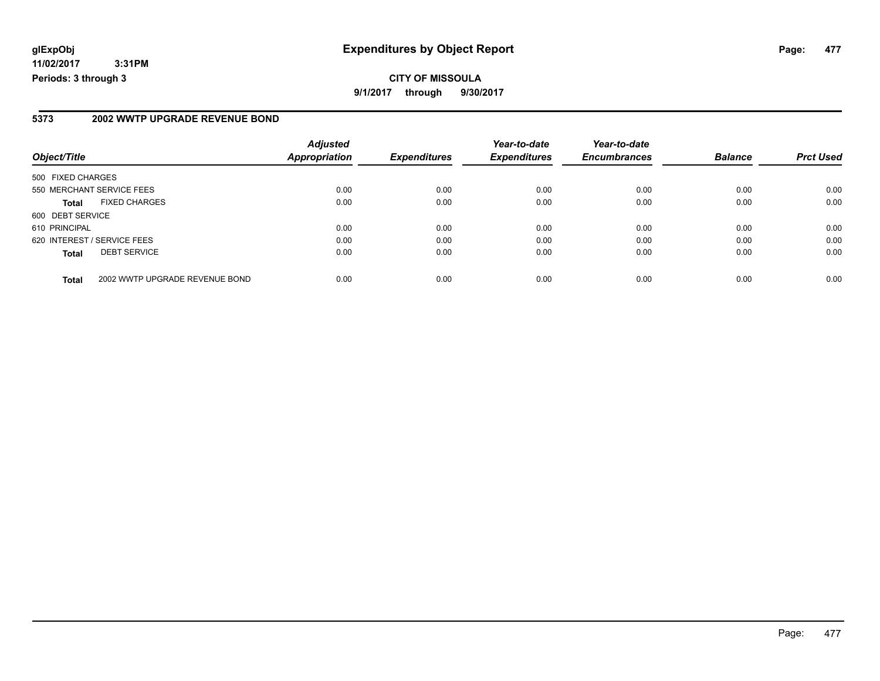**11/02/2017 3:31PM Periods: 3 through 3**

#### **5373 2002 WWTP UPGRADE REVENUE BOND**

| Object/Title                |                                | <b>Adjusted</b><br><b>Appropriation</b> | <b>Expenditures</b> | Year-to-date<br><b>Expenditures</b> | Year-to-date<br><b>Encumbrances</b> | <b>Balance</b> | <b>Prct Used</b> |
|-----------------------------|--------------------------------|-----------------------------------------|---------------------|-------------------------------------|-------------------------------------|----------------|------------------|
| 500 FIXED CHARGES           |                                |                                         |                     |                                     |                                     |                |                  |
| 550 MERCHANT SERVICE FEES   |                                | 0.00                                    | 0.00                | 0.00                                | 0.00                                | 0.00           | 0.00             |
| <b>Total</b>                | <b>FIXED CHARGES</b>           | 0.00                                    | 0.00                | 0.00                                | 0.00                                | 0.00           | 0.00             |
| 600 DEBT SERVICE            |                                |                                         |                     |                                     |                                     |                |                  |
| 610 PRINCIPAL               |                                | 0.00                                    | 0.00                | 0.00                                | 0.00                                | 0.00           | 0.00             |
| 620 INTEREST / SERVICE FEES |                                | 0.00                                    | 0.00                | 0.00                                | 0.00                                | 0.00           | 0.00             |
| <b>Total</b>                | <b>DEBT SERVICE</b>            | 0.00                                    | 0.00                | 0.00                                | 0.00                                | 0.00           | 0.00             |
| <b>Total</b>                | 2002 WWTP UPGRADE REVENUE BOND | 0.00                                    | 0.00                | 0.00                                | 0.00                                | 0.00           | 0.00             |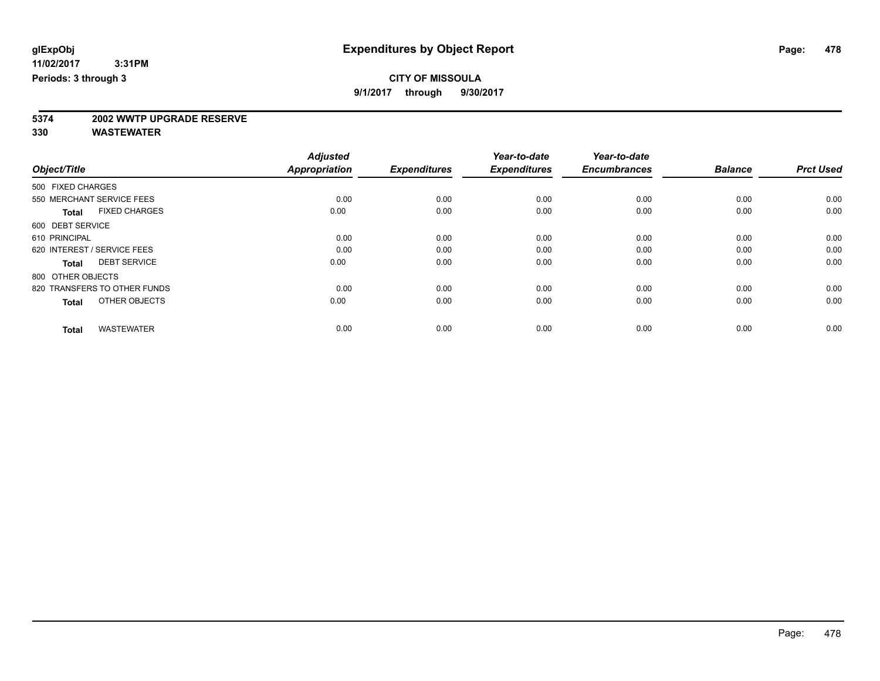**9/1/2017 through 9/30/2017**

# **5374 2002 WWTP UPGRADE RESERVE**

|                                      | <b>Adjusted</b>      |                     | Year-to-date        | Year-to-date        |                |                  |
|--------------------------------------|----------------------|---------------------|---------------------|---------------------|----------------|------------------|
| Object/Title                         | <b>Appropriation</b> | <b>Expenditures</b> | <b>Expenditures</b> | <b>Encumbrances</b> | <b>Balance</b> | <b>Prct Used</b> |
| 500 FIXED CHARGES                    |                      |                     |                     |                     |                |                  |
| 550 MERCHANT SERVICE FEES            | 0.00                 | 0.00                | 0.00                | 0.00                | 0.00           | 0.00             |
| <b>FIXED CHARGES</b><br><b>Total</b> | 0.00                 | 0.00                | 0.00                | 0.00                | 0.00           | 0.00             |
| 600 DEBT SERVICE                     |                      |                     |                     |                     |                |                  |
| 610 PRINCIPAL                        | 0.00                 | 0.00                | 0.00                | 0.00                | 0.00           | 0.00             |
| 620 INTEREST / SERVICE FEES          | 0.00                 | 0.00                | 0.00                | 0.00                | 0.00           | 0.00             |
| <b>DEBT SERVICE</b><br><b>Total</b>  | 0.00                 | 0.00                | 0.00                | 0.00                | 0.00           | 0.00             |
| 800 OTHER OBJECTS                    |                      |                     |                     |                     |                |                  |
| 820 TRANSFERS TO OTHER FUNDS         | 0.00                 | 0.00                | 0.00                | 0.00                | 0.00           | 0.00             |
| OTHER OBJECTS<br><b>Total</b>        | 0.00                 | 0.00                | 0.00                | 0.00                | 0.00           | 0.00             |
|                                      |                      |                     |                     |                     |                |                  |
| <b>WASTEWATER</b><br><b>Total</b>    | 0.00                 | 0.00                | 0.00                | 0.00                | 0.00           | 0.00             |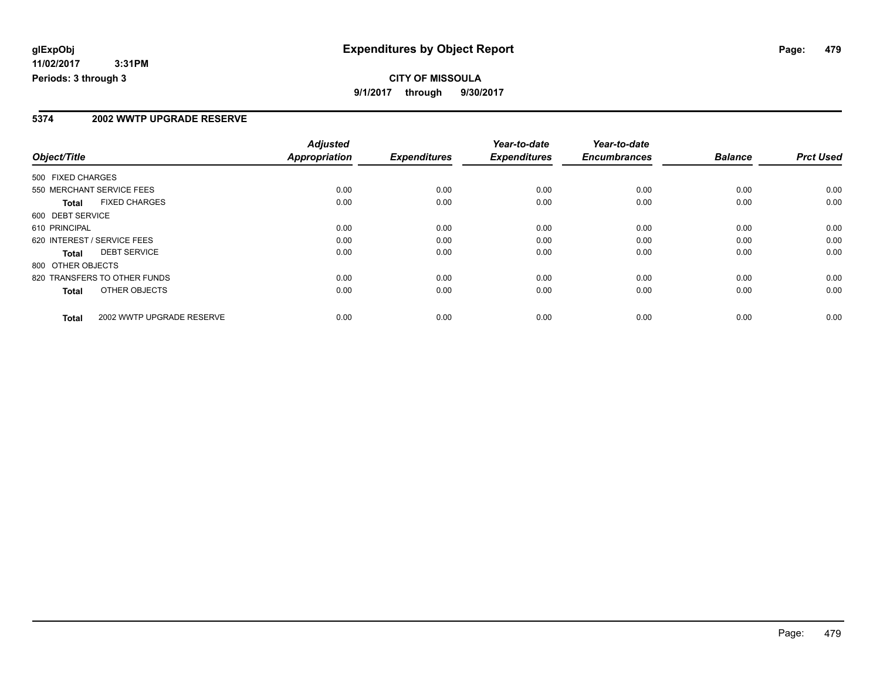**11/02/2017 3:31PM Periods: 3 through 3**

### **CITY OF MISSOULA 9/1/2017 through 9/30/2017**

### **5374 2002 WWTP UPGRADE RESERVE**

|                             |                              | <b>Adjusted</b>      |                     | Year-to-date        | Year-to-date        |                |                  |
|-----------------------------|------------------------------|----------------------|---------------------|---------------------|---------------------|----------------|------------------|
| Object/Title                |                              | <b>Appropriation</b> | <b>Expenditures</b> | <b>Expenditures</b> | <b>Encumbrances</b> | <b>Balance</b> | <b>Prct Used</b> |
| 500 FIXED CHARGES           |                              |                      |                     |                     |                     |                |                  |
| 550 MERCHANT SERVICE FEES   |                              | 0.00                 | 0.00                | 0.00                | 0.00                | 0.00           | 0.00             |
| <b>Total</b>                | <b>FIXED CHARGES</b>         | 0.00                 | 0.00                | 0.00                | 0.00                | 0.00           | 0.00             |
| 600 DEBT SERVICE            |                              |                      |                     |                     |                     |                |                  |
| 610 PRINCIPAL               |                              | 0.00                 | 0.00                | 0.00                | 0.00                | 0.00           | 0.00             |
| 620 INTEREST / SERVICE FEES |                              | 0.00                 | 0.00                | 0.00                | 0.00                | 0.00           | 0.00             |
| Total                       | <b>DEBT SERVICE</b>          | 0.00                 | 0.00                | 0.00                | 0.00                | 0.00           | 0.00             |
| 800 OTHER OBJECTS           |                              |                      |                     |                     |                     |                |                  |
|                             | 820 TRANSFERS TO OTHER FUNDS | 0.00                 | 0.00                | 0.00                | 0.00                | 0.00           | 0.00             |
| <b>Total</b>                | OTHER OBJECTS                | 0.00                 | 0.00                | 0.00                | 0.00                | 0.00           | 0.00             |
| <b>Total</b>                | 2002 WWTP UPGRADE RESERVE    | 0.00                 | 0.00                | 0.00                | 0.00                | 0.00           | 0.00             |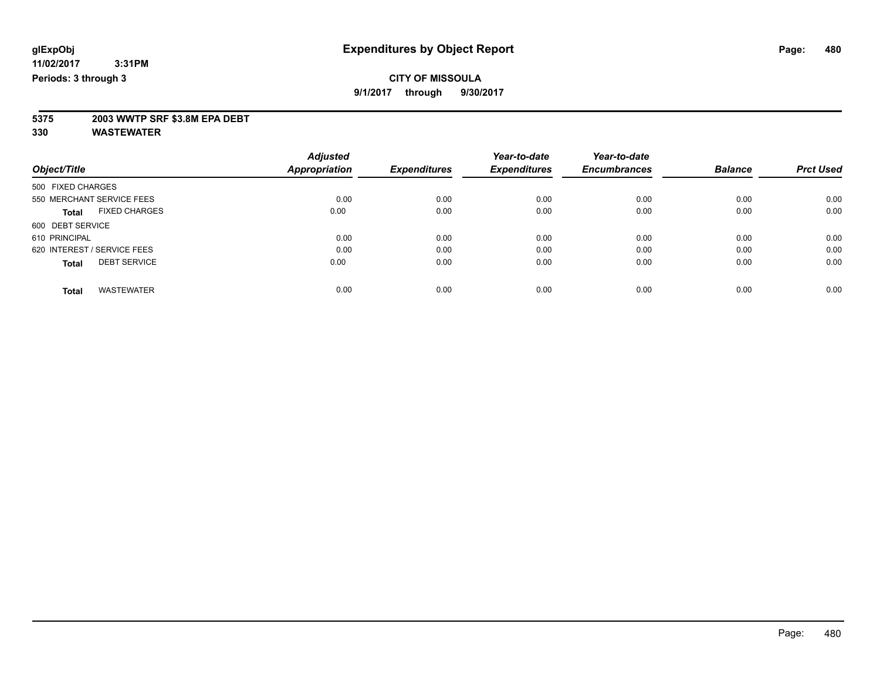**9/1/2017 through 9/30/2017**

# **5375 2003 WWTP SRF \$3.8M EPA DEBT**

|                                      | <b>Adjusted</b>      |                     | Year-to-date        | Year-to-date        |                |                  |
|--------------------------------------|----------------------|---------------------|---------------------|---------------------|----------------|------------------|
| Object/Title                         | <b>Appropriation</b> | <b>Expenditures</b> | <b>Expenditures</b> | <b>Encumbrances</b> | <b>Balance</b> | <b>Prct Used</b> |
| 500 FIXED CHARGES                    |                      |                     |                     |                     |                |                  |
| 550 MERCHANT SERVICE FEES            | 0.00                 | 0.00                | 0.00                | 0.00                | 0.00           | 0.00             |
| <b>FIXED CHARGES</b><br><b>Total</b> | 0.00                 | 0.00                | 0.00                | 0.00                | 0.00           | 0.00             |
| 600 DEBT SERVICE                     |                      |                     |                     |                     |                |                  |
| 610 PRINCIPAL                        | 0.00                 | 0.00                | 0.00                | 0.00                | 0.00           | 0.00             |
| 620 INTEREST / SERVICE FEES          | 0.00                 | 0.00                | 0.00                | 0.00                | 0.00           | 0.00             |
| <b>DEBT SERVICE</b><br><b>Total</b>  | 0.00                 | 0.00                | 0.00                | 0.00                | 0.00           | 0.00             |
| <b>WASTEWATER</b><br><b>Total</b>    | 0.00                 | 0.00                | 0.00                | 0.00                | 0.00           | 0.00             |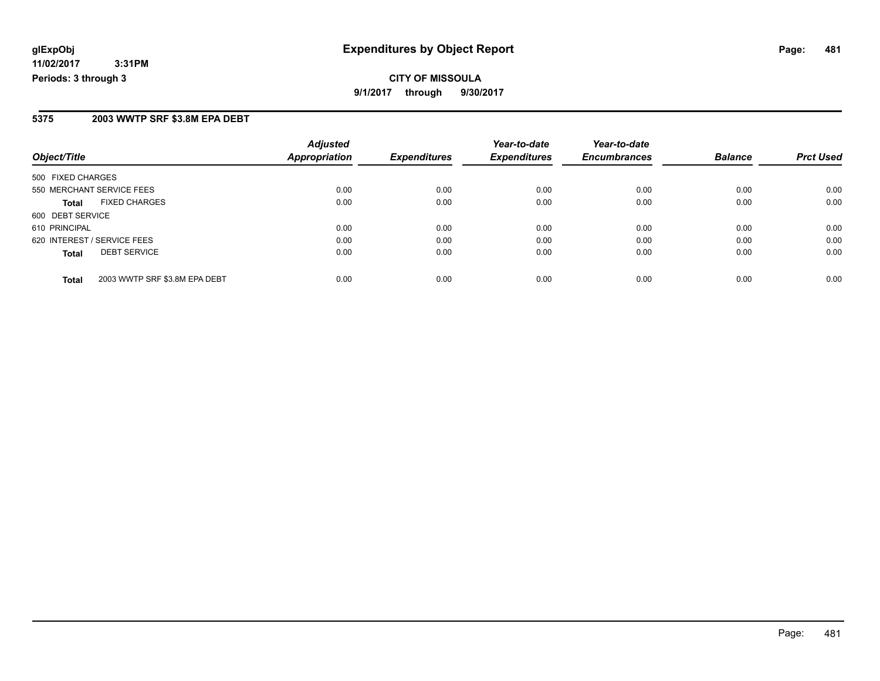**11/02/2017 3:31PM Periods: 3 through 3**

#### **5375 2003 WWTP SRF \$3.8M EPA DEBT**

| Object/Title                                  | <b>Adjusted</b><br><b>Appropriation</b> | <b>Expenditures</b> | Year-to-date<br><b>Expenditures</b> | Year-to-date<br><b>Encumbrances</b> | <b>Balance</b> | <b>Prct Used</b> |
|-----------------------------------------------|-----------------------------------------|---------------------|-------------------------------------|-------------------------------------|----------------|------------------|
|                                               |                                         |                     |                                     |                                     |                |                  |
| 500 FIXED CHARGES                             |                                         |                     |                                     |                                     |                |                  |
| 550 MERCHANT SERVICE FEES                     | 0.00                                    | 0.00                | 0.00                                | 0.00                                | 0.00           | 0.00             |
| <b>FIXED CHARGES</b><br><b>Total</b>          | 0.00                                    | 0.00                | 0.00                                | 0.00                                | 0.00           | 0.00             |
| 600 DEBT SERVICE                              |                                         |                     |                                     |                                     |                |                  |
| 610 PRINCIPAL                                 | 0.00                                    | 0.00                | 0.00                                | 0.00                                | 0.00           | 0.00             |
| 620 INTEREST / SERVICE FEES                   | 0.00                                    | 0.00                | 0.00                                | 0.00                                | 0.00           | 0.00             |
| <b>DEBT SERVICE</b><br><b>Total</b>           | 0.00                                    | 0.00                | 0.00                                | 0.00                                | 0.00           | 0.00             |
| 2003 WWTP SRF \$3.8M EPA DEBT<br><b>Total</b> | 0.00                                    | 0.00                | 0.00                                | 0.00                                | 0.00           | 0.00             |

Page: 481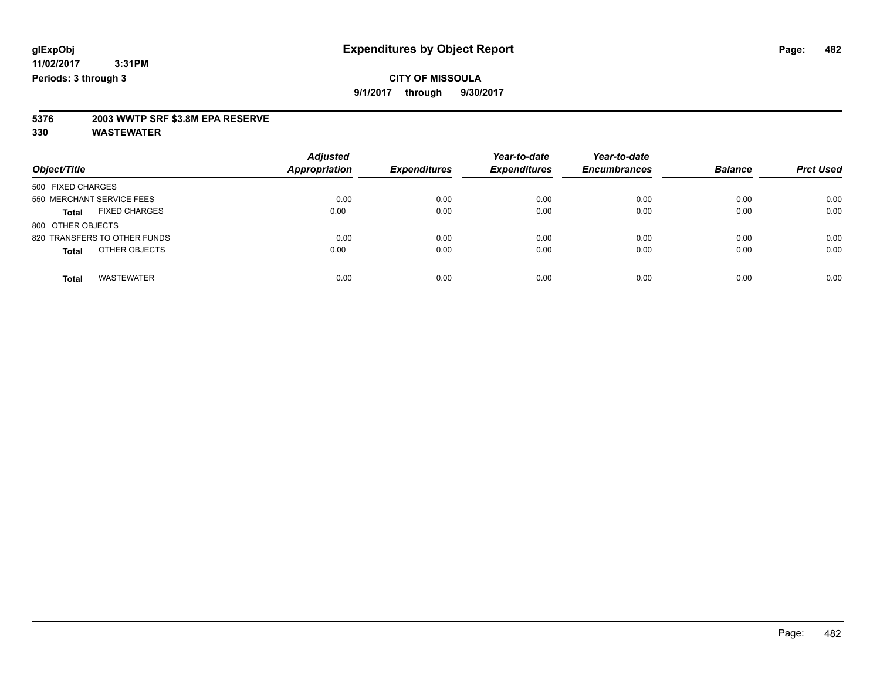**9/1/2017 through 9/30/2017**

# **5376 2003 WWTP SRF \$3.8M EPA RESERVE**

| Object/Title                         | <b>Adjusted</b><br><b>Appropriation</b> | <b>Expenditures</b> | Year-to-date<br><b>Expenditures</b> | Year-to-date<br><b>Encumbrances</b> | <b>Balance</b> | <b>Prct Used</b> |
|--------------------------------------|-----------------------------------------|---------------------|-------------------------------------|-------------------------------------|----------------|------------------|
| 500 FIXED CHARGES                    |                                         |                     |                                     |                                     |                |                  |
| 550 MERCHANT SERVICE FEES            | 0.00                                    | 0.00                | 0.00                                | 0.00                                | 0.00           | 0.00             |
| <b>FIXED CHARGES</b><br><b>Total</b> | 0.00                                    | 0.00                | 0.00                                | 0.00                                | 0.00           | 0.00             |
| 800 OTHER OBJECTS                    |                                         |                     |                                     |                                     |                |                  |
| 820 TRANSFERS TO OTHER FUNDS         | 0.00                                    | 0.00                | 0.00                                | 0.00                                | 0.00           | 0.00             |
| OTHER OBJECTS<br><b>Total</b>        | 0.00                                    | 0.00                | 0.00                                | 0.00                                | 0.00           | 0.00             |
| <b>WASTEWATER</b><br><b>Total</b>    | 0.00                                    | 0.00                | 0.00                                | 0.00                                | 0.00           | 0.00             |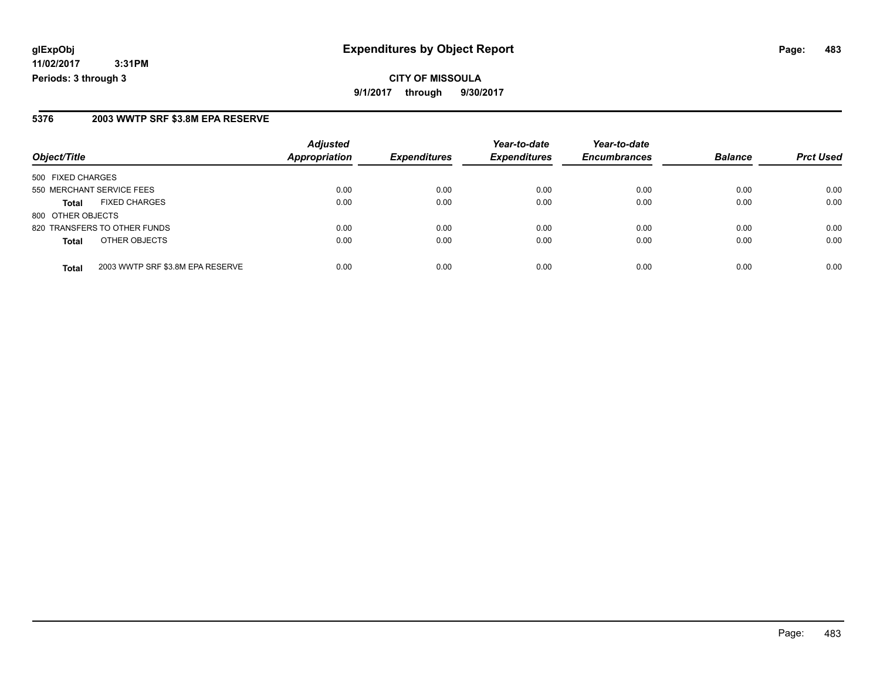**11/02/2017 3:31PM Periods: 3 through 3**

#### **5376 2003 WWTP SRF \$3.8M EPA RESERVE**

| Object/Title              |                                  | <b>Adjusted</b><br><b>Appropriation</b> | <b>Expenditures</b> | Year-to-date<br><b>Expenditures</b> | Year-to-date<br><b>Encumbrances</b> | <b>Balance</b> | <b>Prct Used</b> |
|---------------------------|----------------------------------|-----------------------------------------|---------------------|-------------------------------------|-------------------------------------|----------------|------------------|
|                           |                                  |                                         |                     |                                     |                                     |                |                  |
| 500 FIXED CHARGES         |                                  |                                         |                     |                                     |                                     |                |                  |
| 550 MERCHANT SERVICE FEES |                                  | 0.00                                    | 0.00                | 0.00                                | 0.00                                | 0.00           | 0.00             |
| <b>Total</b>              | <b>FIXED CHARGES</b>             | 0.00                                    | 0.00                | 0.00                                | 0.00                                | 0.00           | 0.00             |
| 800 OTHER OBJECTS         |                                  |                                         |                     |                                     |                                     |                |                  |
|                           | 820 TRANSFERS TO OTHER FUNDS     | 0.00                                    | 0.00                | 0.00                                | 0.00                                | 0.00           | 0.00             |
| <b>Total</b>              | OTHER OBJECTS                    | 0.00                                    | 0.00                | 0.00                                | 0.00                                | 0.00           | 0.00             |
| <b>Total</b>              | 2003 WWTP SRF \$3.8M EPA RESERVE | 0.00                                    | 0.00                | 0.00                                | 0.00                                | 0.00           | 0.00             |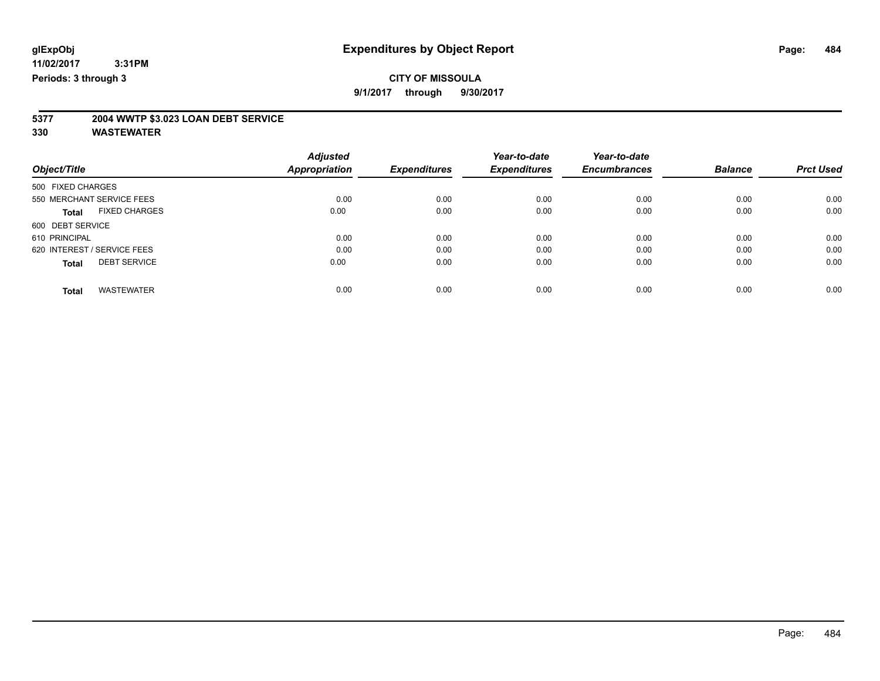**9/1/2017 through 9/30/2017**

# **5377 2004 WWTP \$3.023 LOAN DEBT SERVICE**

|                                      |               | <b>Adjusted</b> |                     | Year-to-date        | Year-to-date        |                |                  |
|--------------------------------------|---------------|-----------------|---------------------|---------------------|---------------------|----------------|------------------|
| Object/Title                         | Appropriation |                 | <b>Expenditures</b> | <b>Expenditures</b> | <b>Encumbrances</b> | <b>Balance</b> | <b>Prct Used</b> |
| 500 FIXED CHARGES                    |               |                 |                     |                     |                     |                |                  |
| 550 MERCHANT SERVICE FEES            |               | 0.00            | 0.00                | 0.00                | 0.00                | 0.00           | 0.00             |
| <b>FIXED CHARGES</b><br><b>Total</b> |               | 0.00            | 0.00                | 0.00                | 0.00                | 0.00           | 0.00             |
| 600 DEBT SERVICE                     |               |                 |                     |                     |                     |                |                  |
| 610 PRINCIPAL                        |               | 0.00            | 0.00                | 0.00                | 0.00                | 0.00           | 0.00             |
| 620 INTEREST / SERVICE FEES          |               | 0.00            | 0.00                | 0.00                | 0.00                | 0.00           | 0.00             |
| <b>DEBT SERVICE</b><br><b>Total</b>  |               | 0.00            | 0.00                | 0.00                | 0.00                | 0.00           | 0.00             |
| <b>WASTEWATER</b><br><b>Total</b>    |               | 0.00            | 0.00                | 0.00                | 0.00                | 0.00           | 0.00             |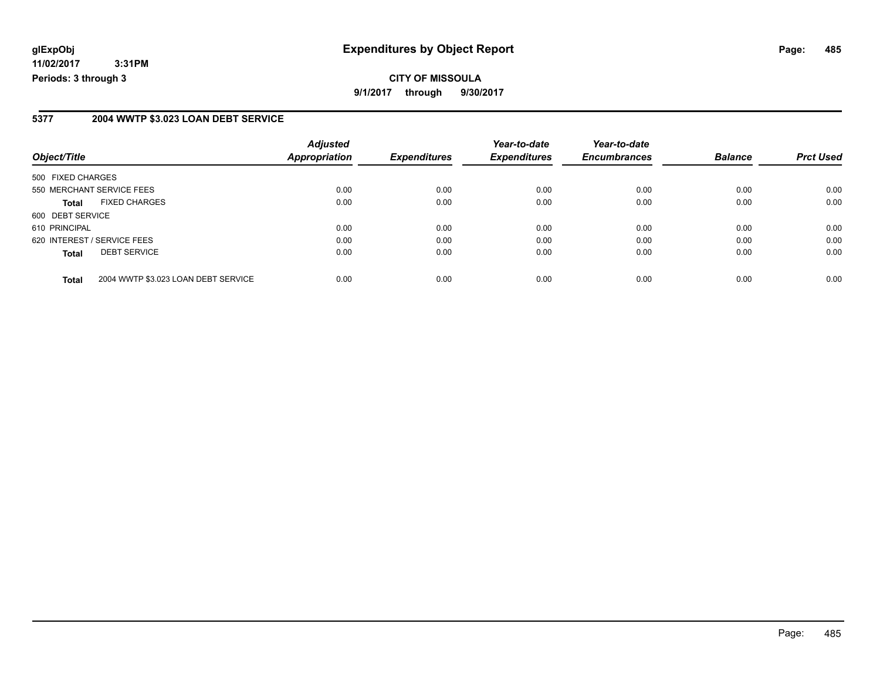**11/02/2017 3:31PM Periods: 3 through 3**

#### **5377 2004 WWTP \$3.023 LOAN DEBT SERVICE**

| Object/Title                |                                     | <b>Adjusted</b><br>Appropriation | <b>Expenditures</b> | Year-to-date<br><b>Expenditures</b> | Year-to-date<br><b>Encumbrances</b> | <b>Balance</b> | <b>Prct Used</b> |
|-----------------------------|-------------------------------------|----------------------------------|---------------------|-------------------------------------|-------------------------------------|----------------|------------------|
|                             |                                     |                                  |                     |                                     |                                     |                |                  |
| 500 FIXED CHARGES           |                                     |                                  |                     |                                     |                                     |                |                  |
|                             | 550 MERCHANT SERVICE FEES           | 0.00                             | 0.00                | 0.00                                | 0.00                                | 0.00           | 0.00             |
| <b>Total</b>                | <b>FIXED CHARGES</b>                | 0.00                             | 0.00                | 0.00                                | 0.00                                | 0.00           | 0.00             |
| 600 DEBT SERVICE            |                                     |                                  |                     |                                     |                                     |                |                  |
| 610 PRINCIPAL               |                                     | 0.00                             | 0.00                | 0.00                                | 0.00                                | 0.00           | 0.00             |
| 620 INTEREST / SERVICE FEES |                                     | 0.00                             | 0.00                | 0.00                                | 0.00                                | 0.00           | 0.00             |
| <b>Total</b>                | <b>DEBT SERVICE</b>                 | 0.00                             | 0.00                | 0.00                                | 0.00                                | 0.00           | 0.00             |
| <b>Total</b>                | 2004 WWTP \$3.023 LOAN DEBT SERVICE | 0.00                             | 0.00                | 0.00                                | 0.00                                | 0.00           | 0.00             |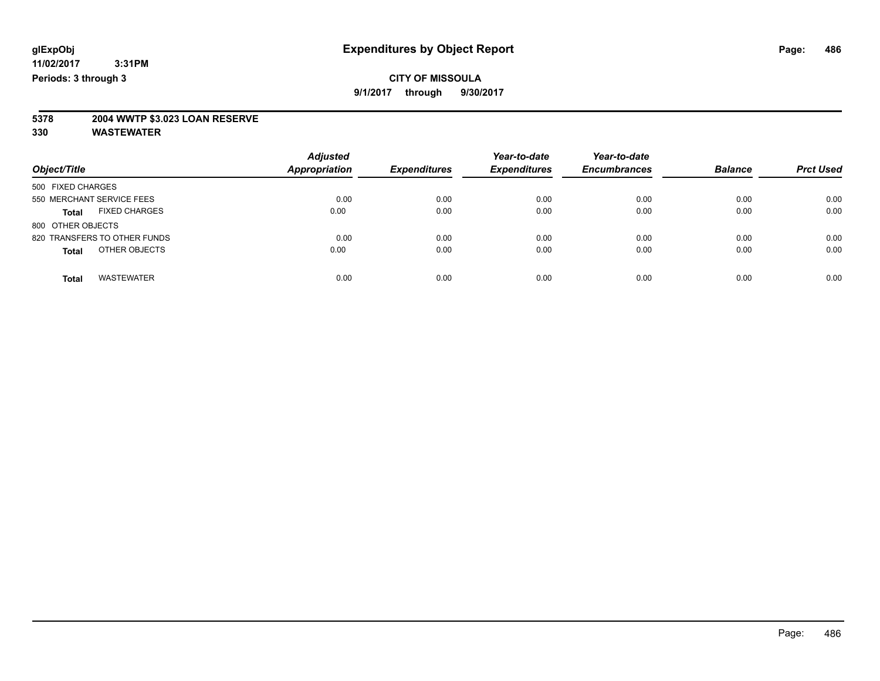### **CITY OF MISSOULA 9/1/2017 through 9/30/2017**

# **5378 2004 WWTP \$3.023 LOAN RESERVE**

| Object/Title                         | <b>Adjusted</b><br><b>Appropriation</b> | <b>Expenditures</b> | Year-to-date<br><b>Expenditures</b> | Year-to-date<br><b>Encumbrances</b> | <b>Balance</b> | <b>Prct Used</b> |
|--------------------------------------|-----------------------------------------|---------------------|-------------------------------------|-------------------------------------|----------------|------------------|
| 500 FIXED CHARGES                    |                                         |                     |                                     |                                     |                |                  |
| 550 MERCHANT SERVICE FEES            | 0.00                                    | 0.00                | 0.00                                | 0.00                                | 0.00           | 0.00             |
| <b>FIXED CHARGES</b><br><b>Total</b> | 0.00                                    | 0.00                | 0.00                                | 0.00                                | 0.00           | 0.00             |
| 800 OTHER OBJECTS                    |                                         |                     |                                     |                                     |                |                  |
| 820 TRANSFERS TO OTHER FUNDS         | 0.00                                    | 0.00                | 0.00                                | 0.00                                | 0.00           | 0.00             |
| OTHER OBJECTS<br><b>Total</b>        | 0.00                                    | 0.00                | 0.00                                | 0.00                                | 0.00           | 0.00             |
| <b>WASTEWATER</b><br><b>Total</b>    | 0.00                                    | 0.00                | 0.00                                | 0.00                                | 0.00           | 0.00             |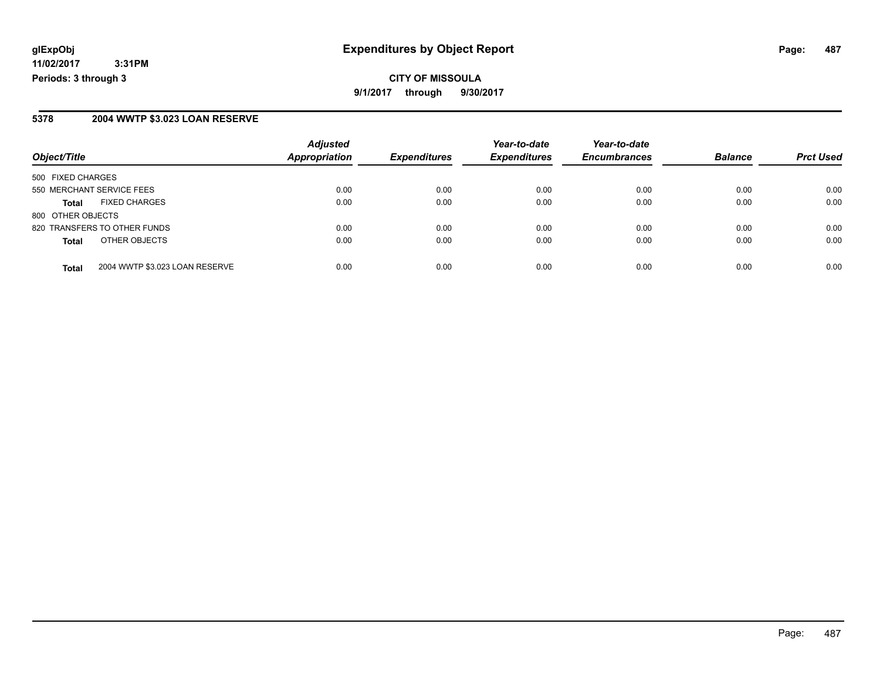**11/02/2017 3:31PM Periods: 3 through 3**

#### **5378 2004 WWTP \$3.023 LOAN RESERVE**

|                                                | <b>Adjusted</b>      |                     | Year-to-date        | Year-to-date        |                |                  |
|------------------------------------------------|----------------------|---------------------|---------------------|---------------------|----------------|------------------|
| Object/Title                                   | <b>Appropriation</b> | <b>Expenditures</b> | <b>Expenditures</b> | <b>Encumbrances</b> | <b>Balance</b> | <b>Prct Used</b> |
| 500 FIXED CHARGES                              |                      |                     |                     |                     |                |                  |
| 550 MERCHANT SERVICE FEES                      | 0.00                 | 0.00                | 0.00                | 0.00                | 0.00           | 0.00             |
| <b>FIXED CHARGES</b><br><b>Total</b>           | 0.00                 | 0.00                | 0.00                | 0.00                | 0.00           | 0.00             |
| 800 OTHER OBJECTS                              |                      |                     |                     |                     |                |                  |
| 820 TRANSFERS TO OTHER FUNDS                   | 0.00                 | 0.00                | 0.00                | 0.00                | 0.00           | 0.00             |
| OTHER OBJECTS<br><b>Total</b>                  | 0.00                 | 0.00                | 0.00                | 0.00                | 0.00           | 0.00             |
| 2004 WWTP \$3.023 LOAN RESERVE<br><b>Total</b> | 0.00                 | 0.00                | 0.00                | 0.00                | 0.00           | 0.00             |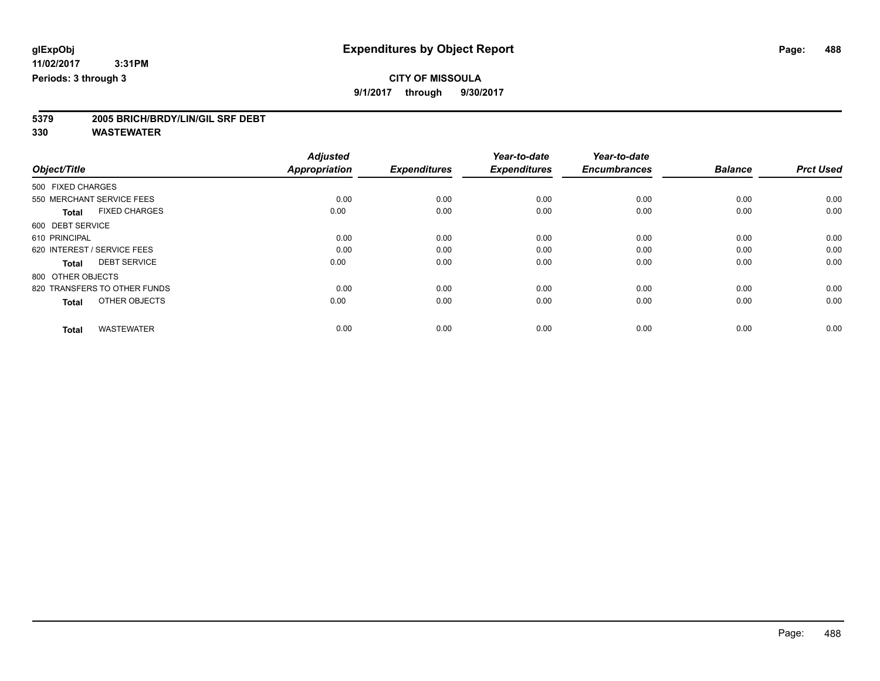**9/1/2017 through 9/30/2017**

# **5379 2005 BRICH/BRDY/LIN/GIL SRF DEBT**

|                                      | <b>Adjusted</b>      |                     | Year-to-date        | Year-to-date        |                |                  |
|--------------------------------------|----------------------|---------------------|---------------------|---------------------|----------------|------------------|
| Object/Title                         | <b>Appropriation</b> | <b>Expenditures</b> | <b>Expenditures</b> | <b>Encumbrances</b> | <b>Balance</b> | <b>Prct Used</b> |
| 500 FIXED CHARGES                    |                      |                     |                     |                     |                |                  |
| 550 MERCHANT SERVICE FEES            | 0.00                 | 0.00                | 0.00                | 0.00                | 0.00           | 0.00             |
| <b>FIXED CHARGES</b><br><b>Total</b> | 0.00                 | 0.00                | 0.00                | 0.00                | 0.00           | 0.00             |
| 600 DEBT SERVICE                     |                      |                     |                     |                     |                |                  |
| 610 PRINCIPAL                        | 0.00                 | 0.00                | 0.00                | 0.00                | 0.00           | 0.00             |
| 620 INTEREST / SERVICE FEES          | 0.00                 | 0.00                | 0.00                | 0.00                | 0.00           | 0.00             |
| <b>DEBT SERVICE</b><br><b>Total</b>  | 0.00                 | 0.00                | 0.00                | 0.00                | 0.00           | 0.00             |
| 800 OTHER OBJECTS                    |                      |                     |                     |                     |                |                  |
| 820 TRANSFERS TO OTHER FUNDS         | 0.00                 | 0.00                | 0.00                | 0.00                | 0.00           | 0.00             |
| OTHER OBJECTS<br><b>Total</b>        | 0.00                 | 0.00                | 0.00                | 0.00                | 0.00           | 0.00             |
|                                      |                      |                     |                     |                     |                |                  |
| <b>WASTEWATER</b><br><b>Total</b>    | 0.00                 | 0.00                | 0.00                | 0.00                | 0.00           | 0.00             |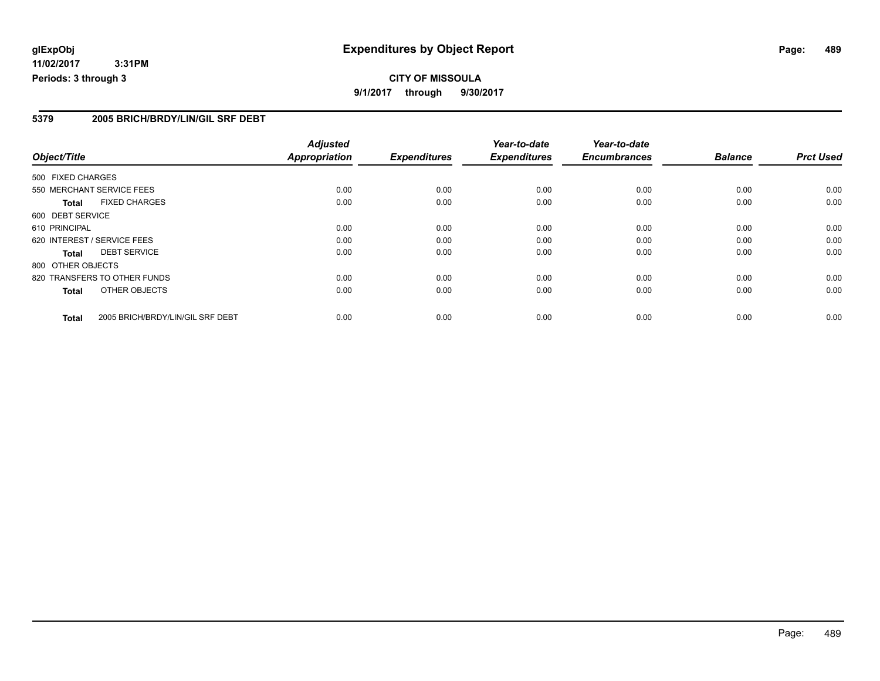**11/02/2017 3:31PM Periods: 3 through 3**

#### **5379 2005 BRICH/BRDY/LIN/GIL SRF DEBT**

|                   |                                  | <b>Adjusted</b>      |                     | Year-to-date        | Year-to-date        |                |                  |
|-------------------|----------------------------------|----------------------|---------------------|---------------------|---------------------|----------------|------------------|
| Object/Title      |                                  | <b>Appropriation</b> | <b>Expenditures</b> | <b>Expenditures</b> | <b>Encumbrances</b> | <b>Balance</b> | <b>Prct Used</b> |
| 500 FIXED CHARGES |                                  |                      |                     |                     |                     |                |                  |
|                   | 550 MERCHANT SERVICE FEES        | 0.00                 | 0.00                | 0.00                | 0.00                | 0.00           | 0.00             |
| Total             | <b>FIXED CHARGES</b>             | 0.00                 | 0.00                | 0.00                | 0.00                | 0.00           | 0.00             |
| 600 DEBT SERVICE  |                                  |                      |                     |                     |                     |                |                  |
| 610 PRINCIPAL     |                                  | 0.00                 | 0.00                | 0.00                | 0.00                | 0.00           | 0.00             |
|                   | 620 INTEREST / SERVICE FEES      | 0.00                 | 0.00                | 0.00                | 0.00                | 0.00           | 0.00             |
| Total             | <b>DEBT SERVICE</b>              | 0.00                 | 0.00                | 0.00                | 0.00                | 0.00           | 0.00             |
| 800 OTHER OBJECTS |                                  |                      |                     |                     |                     |                |                  |
|                   | 820 TRANSFERS TO OTHER FUNDS     | 0.00                 | 0.00                | 0.00                | 0.00                | 0.00           | 0.00             |
| Total             | OTHER OBJECTS                    | 0.00                 | 0.00                | 0.00                | 0.00                | 0.00           | 0.00             |
| <b>Total</b>      | 2005 BRICH/BRDY/LIN/GIL SRF DEBT | 0.00                 | 0.00                | 0.00                | 0.00                | 0.00           | 0.00             |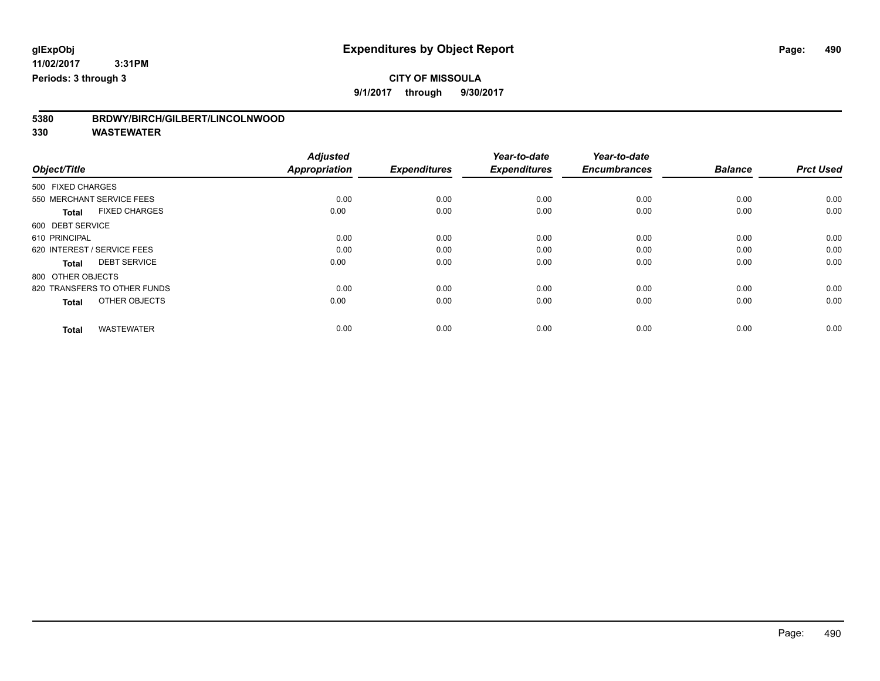**9/1/2017 through 9/30/2017**

| BRDWY/BIRCH/GILBERT/LINCOLNWOOD<br>5380 |  |
|-----------------------------------------|--|
|-----------------------------------------|--|

|                                      | <b>Adjusted</b> |                     | Year-to-date        | Year-to-date        |                |                  |
|--------------------------------------|-----------------|---------------------|---------------------|---------------------|----------------|------------------|
| Object/Title                         | Appropriation   | <b>Expenditures</b> | <b>Expenditures</b> | <b>Encumbrances</b> | <b>Balance</b> | <b>Prct Used</b> |
| 500 FIXED CHARGES                    |                 |                     |                     |                     |                |                  |
| 550 MERCHANT SERVICE FEES            | 0.00            | 0.00                | 0.00                | 0.00                | 0.00           | 0.00             |
| <b>FIXED CHARGES</b><br><b>Total</b> | 0.00            | 0.00                | 0.00                | 0.00                | 0.00           | 0.00             |
| 600 DEBT SERVICE                     |                 |                     |                     |                     |                |                  |
| 610 PRINCIPAL                        | 0.00            | 0.00                | 0.00                | 0.00                | 0.00           | 0.00             |
| 620 INTEREST / SERVICE FEES          | 0.00            | 0.00                | 0.00                | 0.00                | 0.00           | 0.00             |
| <b>DEBT SERVICE</b><br><b>Total</b>  | 0.00            | 0.00                | 0.00                | 0.00                | 0.00           | 0.00             |
| 800 OTHER OBJECTS                    |                 |                     |                     |                     |                |                  |
| 820 TRANSFERS TO OTHER FUNDS         | 0.00            | 0.00                | 0.00                | 0.00                | 0.00           | 0.00             |
| OTHER OBJECTS<br><b>Total</b>        | 0.00            | 0.00                | 0.00                | 0.00                | 0.00           | 0.00             |
|                                      |                 |                     |                     |                     |                |                  |
| <b>WASTEWATER</b><br><b>Total</b>    | 0.00            | 0.00                | 0.00                | 0.00                | 0.00           | 0.00             |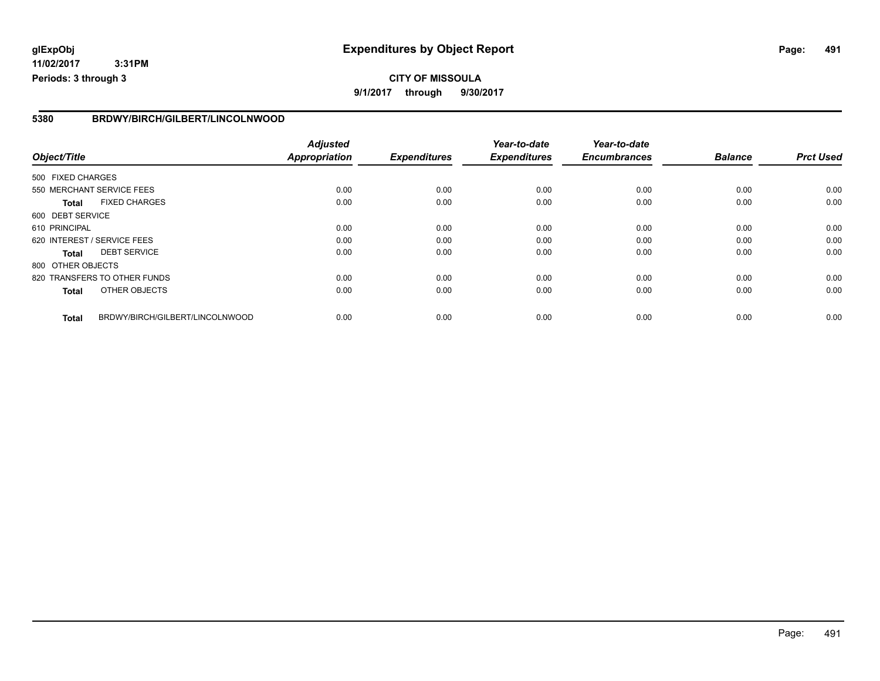**11/02/2017 3:31PM Periods: 3 through 3**

#### **5380 BRDWY/BIRCH/GILBERT/LINCOLNWOOD**

|                   |                                 | <b>Adjusted</b>      |                     | Year-to-date        | Year-to-date        |                |                  |
|-------------------|---------------------------------|----------------------|---------------------|---------------------|---------------------|----------------|------------------|
| Object/Title      |                                 | <b>Appropriation</b> | <b>Expenditures</b> | <b>Expenditures</b> | <b>Encumbrances</b> | <b>Balance</b> | <b>Prct Used</b> |
| 500 FIXED CHARGES |                                 |                      |                     |                     |                     |                |                  |
|                   | 550 MERCHANT SERVICE FEES       | 0.00                 | 0.00                | 0.00                | 0.00                | 0.00           | 0.00             |
| <b>Total</b>      | <b>FIXED CHARGES</b>            | 0.00                 | 0.00                | 0.00                | 0.00                | 0.00           | 0.00             |
| 600 DEBT SERVICE  |                                 |                      |                     |                     |                     |                |                  |
| 610 PRINCIPAL     |                                 | 0.00                 | 0.00                | 0.00                | 0.00                | 0.00           | 0.00             |
|                   | 620 INTEREST / SERVICE FEES     | 0.00                 | 0.00                | 0.00                | 0.00                | 0.00           | 0.00             |
| Total             | <b>DEBT SERVICE</b>             | 0.00                 | 0.00                | 0.00                | 0.00                | 0.00           | 0.00             |
| 800 OTHER OBJECTS |                                 |                      |                     |                     |                     |                |                  |
|                   | 820 TRANSFERS TO OTHER FUNDS    | 0.00                 | 0.00                | 0.00                | 0.00                | 0.00           | 0.00             |
| <b>Total</b>      | OTHER OBJECTS                   | 0.00                 | 0.00                | 0.00                | 0.00                | 0.00           | 0.00             |
| <b>Total</b>      | BRDWY/BIRCH/GILBERT/LINCOLNWOOD | 0.00                 | 0.00                | 0.00                | 0.00                | 0.00           | 0.00             |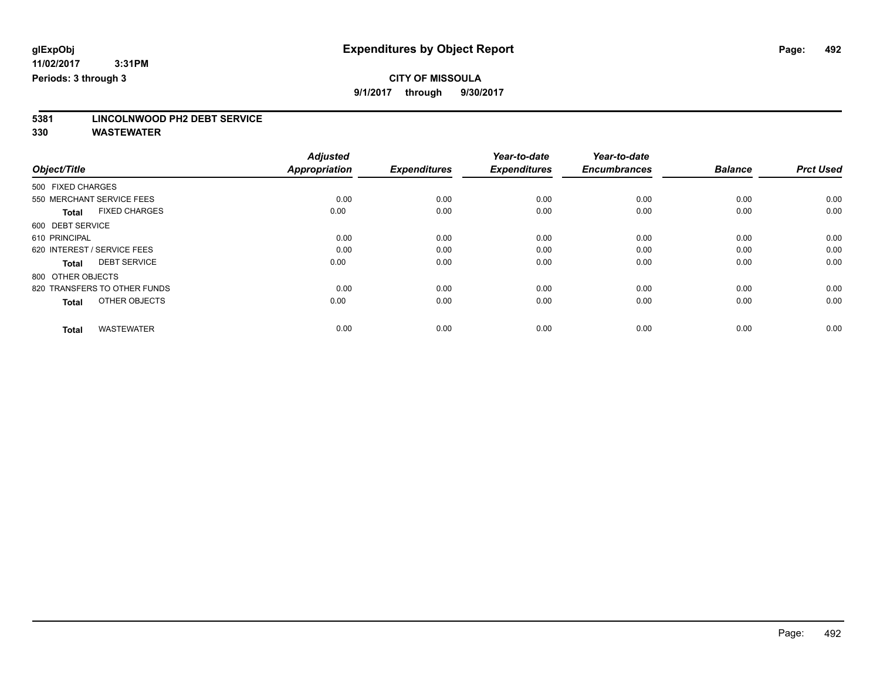**9/1/2017 through 9/30/2017**

# **5381 LINCOLNWOOD PH2 DEBT SERVICE**

|                                      | <b>Adjusted</b>      |                     | Year-to-date        | Year-to-date        |                |                  |
|--------------------------------------|----------------------|---------------------|---------------------|---------------------|----------------|------------------|
| Object/Title                         | <b>Appropriation</b> | <b>Expenditures</b> | <b>Expenditures</b> | <b>Encumbrances</b> | <b>Balance</b> | <b>Prct Used</b> |
| 500 FIXED CHARGES                    |                      |                     |                     |                     |                |                  |
| 550 MERCHANT SERVICE FEES            | 0.00                 | 0.00                | 0.00                | 0.00                | 0.00           | 0.00             |
| <b>FIXED CHARGES</b><br><b>Total</b> | 0.00                 | 0.00                | 0.00                | 0.00                | 0.00           | 0.00             |
| 600 DEBT SERVICE                     |                      |                     |                     |                     |                |                  |
| 610 PRINCIPAL                        | 0.00                 | 0.00                | 0.00                | 0.00                | 0.00           | 0.00             |
| 620 INTEREST / SERVICE FEES          | 0.00                 | 0.00                | 0.00                | 0.00                | 0.00           | 0.00             |
| <b>DEBT SERVICE</b><br><b>Total</b>  | 0.00                 | 0.00                | 0.00                | 0.00                | 0.00           | 0.00             |
| 800 OTHER OBJECTS                    |                      |                     |                     |                     |                |                  |
| 820 TRANSFERS TO OTHER FUNDS         | 0.00                 | 0.00                | 0.00                | 0.00                | 0.00           | 0.00             |
| OTHER OBJECTS<br>Total               | 0.00                 | 0.00                | 0.00                | 0.00                | 0.00           | 0.00             |
|                                      |                      |                     |                     |                     |                |                  |
| <b>WASTEWATER</b><br><b>Total</b>    | 0.00                 | 0.00                | 0.00                | 0.00                | 0.00           | 0.00             |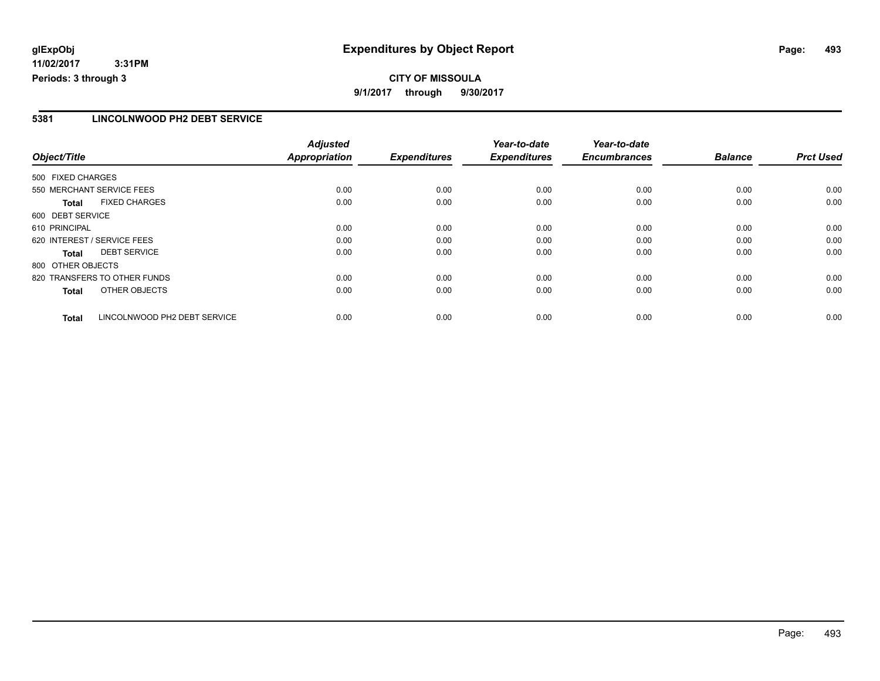**11/02/2017 3:31PM Periods: 3 through 3**

### **5381 LINCOLNWOOD PH2 DEBT SERVICE**

|                             |                              | <b>Adjusted</b>      |                     | Year-to-date        | Year-to-date        |                |                  |
|-----------------------------|------------------------------|----------------------|---------------------|---------------------|---------------------|----------------|------------------|
| Object/Title                |                              | <b>Appropriation</b> | <b>Expenditures</b> | <b>Expenditures</b> | <b>Encumbrances</b> | <b>Balance</b> | <b>Prct Used</b> |
| 500 FIXED CHARGES           |                              |                      |                     |                     |                     |                |                  |
| 550 MERCHANT SERVICE FEES   |                              | 0.00                 | 0.00                | 0.00                | 0.00                | 0.00           | 0.00             |
| <b>Total</b>                | <b>FIXED CHARGES</b>         | 0.00                 | 0.00                | 0.00                | 0.00                | 0.00           | 0.00             |
| 600 DEBT SERVICE            |                              |                      |                     |                     |                     |                |                  |
| 610 PRINCIPAL               |                              | 0.00                 | 0.00                | 0.00                | 0.00                | 0.00           | 0.00             |
| 620 INTEREST / SERVICE FEES |                              | 0.00                 | 0.00                | 0.00                | 0.00                | 0.00           | 0.00             |
| Total                       | <b>DEBT SERVICE</b>          | 0.00                 | 0.00                | 0.00                | 0.00                | 0.00           | 0.00             |
| 800 OTHER OBJECTS           |                              |                      |                     |                     |                     |                |                  |
|                             | 820 TRANSFERS TO OTHER FUNDS | 0.00                 | 0.00                | 0.00                | 0.00                | 0.00           | 0.00             |
| Total                       | OTHER OBJECTS                | 0.00                 | 0.00                | 0.00                | 0.00                | 0.00           | 0.00             |
| <b>Total</b>                | LINCOLNWOOD PH2 DEBT SERVICE | 0.00                 | 0.00                | 0.00                | 0.00                | 0.00           | 0.00             |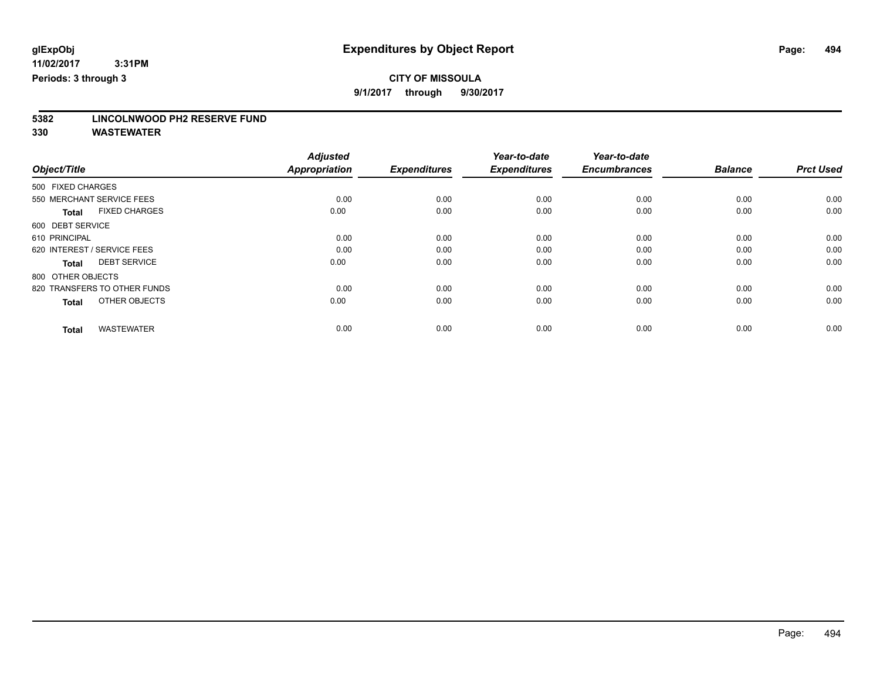**9/1/2017 through 9/30/2017**

# **5382 LINCOLNWOOD PH2 RESERVE FUND**

|                                      | <b>Adjusted</b>      |                     | Year-to-date        | Year-to-date        |                |                  |
|--------------------------------------|----------------------|---------------------|---------------------|---------------------|----------------|------------------|
| Object/Title                         | <b>Appropriation</b> | <b>Expenditures</b> | <b>Expenditures</b> | <b>Encumbrances</b> | <b>Balance</b> | <b>Prct Used</b> |
| 500 FIXED CHARGES                    |                      |                     |                     |                     |                |                  |
| 550 MERCHANT SERVICE FEES            | 0.00                 | 0.00                | 0.00                | 0.00                | 0.00           | 0.00             |
| <b>FIXED CHARGES</b><br><b>Total</b> | 0.00                 | 0.00                | 0.00                | 0.00                | 0.00           | 0.00             |
| 600 DEBT SERVICE                     |                      |                     |                     |                     |                |                  |
| 610 PRINCIPAL                        | 0.00                 | 0.00                | 0.00                | 0.00                | 0.00           | 0.00             |
| 620 INTEREST / SERVICE FEES          | 0.00                 | 0.00                | 0.00                | 0.00                | 0.00           | 0.00             |
| <b>DEBT SERVICE</b><br><b>Total</b>  | 0.00                 | 0.00                | 0.00                | 0.00                | 0.00           | 0.00             |
| 800 OTHER OBJECTS                    |                      |                     |                     |                     |                |                  |
| 820 TRANSFERS TO OTHER FUNDS         | 0.00                 | 0.00                | 0.00                | 0.00                | 0.00           | 0.00             |
| OTHER OBJECTS<br><b>Total</b>        | 0.00                 | 0.00                | 0.00                | 0.00                | 0.00           | 0.00             |
|                                      |                      |                     |                     |                     |                |                  |
| <b>WASTEWATER</b><br><b>Total</b>    | 0.00                 | 0.00                | 0.00                | 0.00                | 0.00           | 0.00             |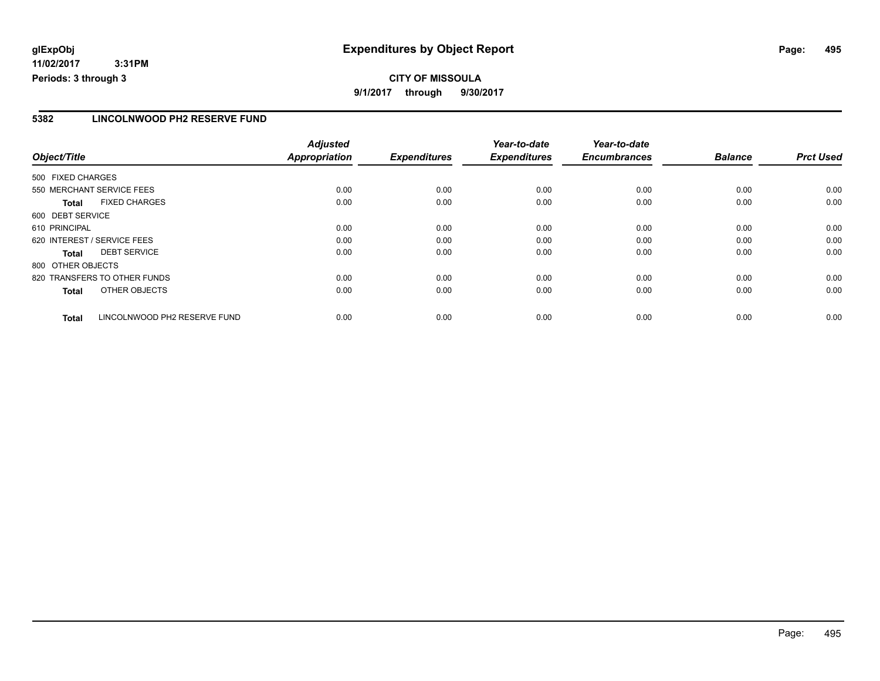**11/02/2017 3:31PM Periods: 3 through 3**

#### **5382 LINCOLNWOOD PH2 RESERVE FUND**

|                             |                              | <b>Adjusted</b>      |                     | Year-to-date        | Year-to-date        |                |                  |
|-----------------------------|------------------------------|----------------------|---------------------|---------------------|---------------------|----------------|------------------|
| Object/Title                |                              | <b>Appropriation</b> | <b>Expenditures</b> | <b>Expenditures</b> | <b>Encumbrances</b> | <b>Balance</b> | <b>Prct Used</b> |
| 500 FIXED CHARGES           |                              |                      |                     |                     |                     |                |                  |
| 550 MERCHANT SERVICE FEES   |                              | 0.00                 | 0.00                | 0.00                | 0.00                | 0.00           | 0.00             |
| <b>Total</b>                | <b>FIXED CHARGES</b>         | 0.00                 | 0.00                | 0.00                | 0.00                | 0.00           | 0.00             |
| 600 DEBT SERVICE            |                              |                      |                     |                     |                     |                |                  |
| 610 PRINCIPAL               |                              | 0.00                 | 0.00                | 0.00                | 0.00                | 0.00           | 0.00             |
| 620 INTEREST / SERVICE FEES |                              | 0.00                 | 0.00                | 0.00                | 0.00                | 0.00           | 0.00             |
| Total                       | <b>DEBT SERVICE</b>          | 0.00                 | 0.00                | 0.00                | 0.00                | 0.00           | 0.00             |
| 800 OTHER OBJECTS           |                              |                      |                     |                     |                     |                |                  |
|                             | 820 TRANSFERS TO OTHER FUNDS | 0.00                 | 0.00                | 0.00                | 0.00                | 0.00           | 0.00             |
| <b>Total</b>                | OTHER OBJECTS                | 0.00                 | 0.00                | 0.00                | 0.00                | 0.00           | 0.00             |
| <b>Total</b>                | LINCOLNWOOD PH2 RESERVE FUND | 0.00                 | 0.00                | 0.00                | 0.00                | 0.00           | 0.00             |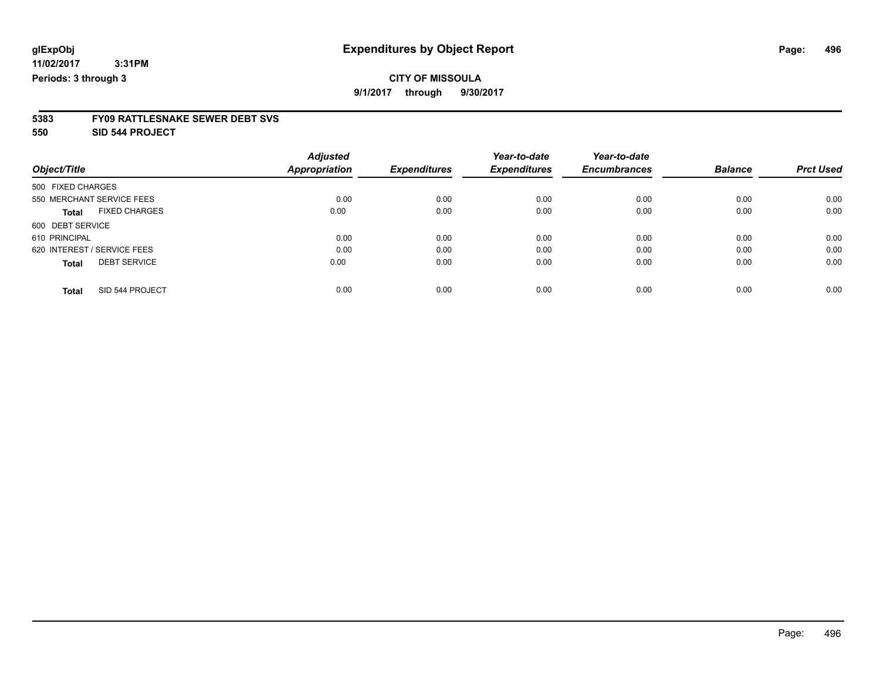**9/1/2017 through 9/30/2017**

# **5383 FY09 RATTLESNAKE SEWER DEBT SVS**

**550 SID 544 PROJECT**

|                                      | <b>Adjusted</b>      |                     | Year-to-date        | Year-to-date        |                |                  |
|--------------------------------------|----------------------|---------------------|---------------------|---------------------|----------------|------------------|
| Object/Title                         | <b>Appropriation</b> | <b>Expenditures</b> | <b>Expenditures</b> | <b>Encumbrances</b> | <b>Balance</b> | <b>Prct Used</b> |
| 500 FIXED CHARGES                    |                      |                     |                     |                     |                |                  |
| 550 MERCHANT SERVICE FEES            | 0.00                 | 0.00                | 0.00                | 0.00                | 0.00           | 0.00             |
| <b>FIXED CHARGES</b><br><b>Total</b> | 0.00                 | 0.00                | 0.00                | 0.00                | 0.00           | 0.00             |
| 600 DEBT SERVICE                     |                      |                     |                     |                     |                |                  |
| 610 PRINCIPAL                        | 0.00                 | 0.00                | 0.00                | 0.00                | 0.00           | 0.00             |
| 620 INTEREST / SERVICE FEES          | 0.00                 | 0.00                | 0.00                | 0.00                | 0.00           | 0.00             |
| <b>DEBT SERVICE</b><br><b>Total</b>  | 0.00                 | 0.00                | 0.00                | 0.00                | 0.00           | 0.00             |
| SID 544 PROJECT<br><b>Total</b>      | 0.00                 | 0.00                | 0.00                | 0.00                | 0.00           | 0.00             |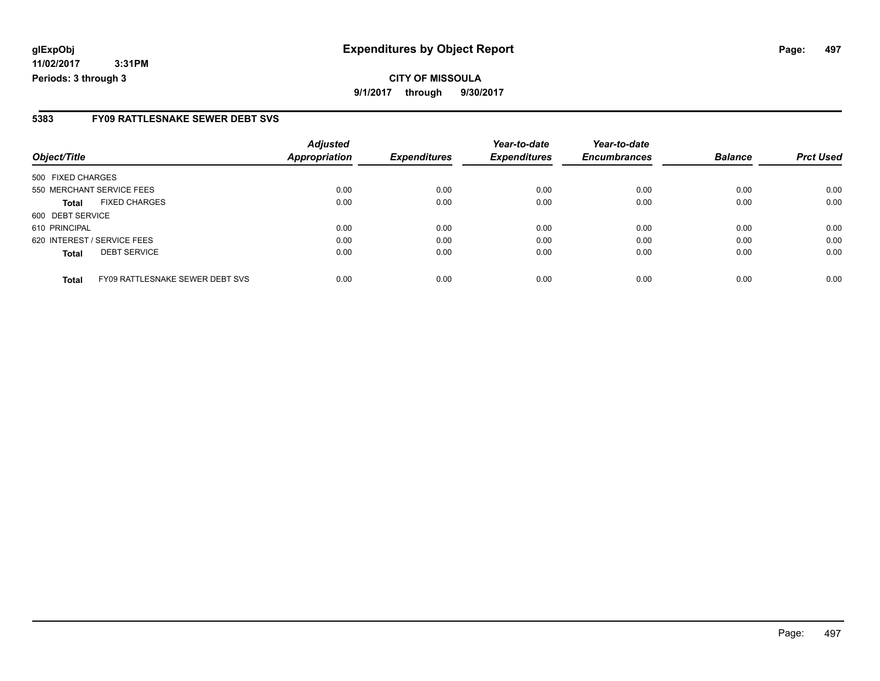**11/02/2017 3:31PM Periods: 3 through 3**

### **5383 FY09 RATTLESNAKE SEWER DEBT SVS**

| Object/Title                                    | <b>Adjusted</b><br><b>Appropriation</b> | <b>Expenditures</b> | Year-to-date<br><b>Expenditures</b> | Year-to-date<br><b>Encumbrances</b> | <b>Balance</b> | <b>Prct Used</b> |
|-------------------------------------------------|-----------------------------------------|---------------------|-------------------------------------|-------------------------------------|----------------|------------------|
|                                                 |                                         |                     |                                     |                                     |                |                  |
| 500 FIXED CHARGES                               |                                         |                     |                                     |                                     |                |                  |
| 550 MERCHANT SERVICE FEES                       | 0.00                                    | 0.00                | 0.00                                | 0.00                                | 0.00           | 0.00             |
| <b>FIXED CHARGES</b><br>Total                   | 0.00                                    | 0.00                | 0.00                                | 0.00                                | 0.00           | 0.00             |
| 600 DEBT SERVICE                                |                                         |                     |                                     |                                     |                |                  |
| 610 PRINCIPAL                                   | 0.00                                    | 0.00                | 0.00                                | 0.00                                | 0.00           | 0.00             |
| 620 INTEREST / SERVICE FEES                     | 0.00                                    | 0.00                | 0.00                                | 0.00                                | 0.00           | 0.00             |
| <b>DEBT SERVICE</b><br><b>Total</b>             | 0.00                                    | 0.00                | 0.00                                | 0.00                                | 0.00           | 0.00             |
|                                                 |                                         |                     |                                     |                                     |                |                  |
| FY09 RATTLESNAKE SEWER DEBT SVS<br><b>Total</b> | 0.00                                    | 0.00                | 0.00                                | 0.00                                | 0.00           | 0.00             |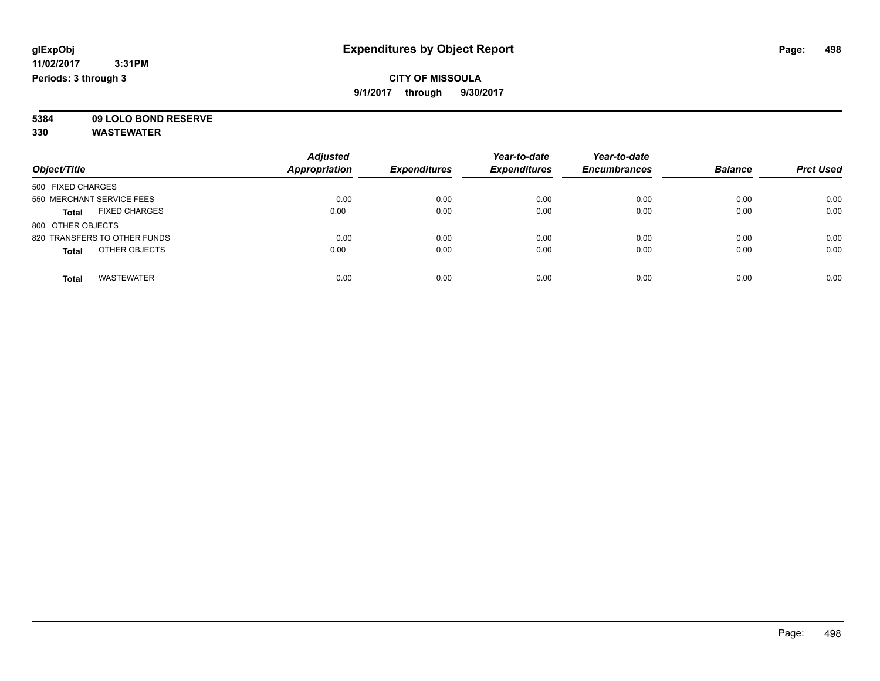### **CITY OF MISSOULA 9/1/2017 through 9/30/2017**

**5384 09 LOLO BOND RESERVE**

| Object/Title                         | <b>Adjusted</b><br><b>Appropriation</b> | <b>Expenditures</b> | Year-to-date<br><b>Expenditures</b> | Year-to-date<br><b>Encumbrances</b> | <b>Balance</b> | <b>Prct Used</b> |
|--------------------------------------|-----------------------------------------|---------------------|-------------------------------------|-------------------------------------|----------------|------------------|
| 500 FIXED CHARGES                    |                                         |                     |                                     |                                     |                |                  |
| 550 MERCHANT SERVICE FEES            | 0.00                                    | 0.00                | 0.00                                | 0.00                                | 0.00           | 0.00             |
| <b>FIXED CHARGES</b><br><b>Total</b> | 0.00                                    | 0.00                | 0.00                                | 0.00                                | 0.00           | 0.00             |
| 800 OTHER OBJECTS                    |                                         |                     |                                     |                                     |                |                  |
| 820 TRANSFERS TO OTHER FUNDS         | 0.00                                    | 0.00                | 0.00                                | 0.00                                | 0.00           | 0.00             |
| OTHER OBJECTS<br><b>Total</b>        | 0.00                                    | 0.00                | 0.00                                | 0.00                                | 0.00           | 0.00             |
| <b>WASTEWATER</b><br>Total           | 0.00                                    | 0.00                | 0.00                                | 0.00                                | 0.00           | 0.00             |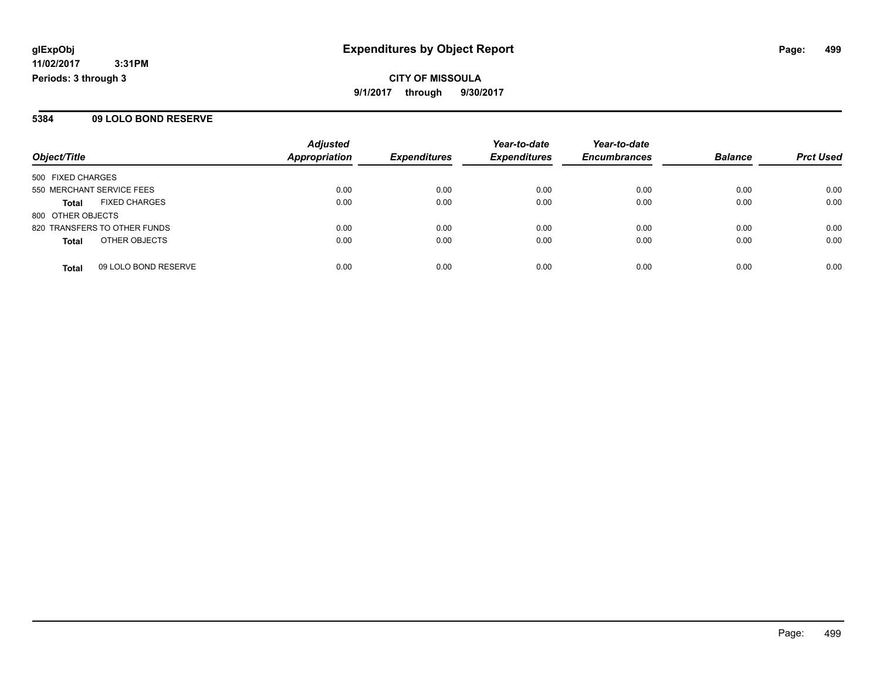**CITY OF MISSOULA 9/1/2017 through 9/30/2017**

#### **5384 09 LOLO BOND RESERVE**

| Object/Title                 |                      | <b>Adjusted</b><br><b>Appropriation</b> |                     | Year-to-date        | Year-to-date        |                |                  |
|------------------------------|----------------------|-----------------------------------------|---------------------|---------------------|---------------------|----------------|------------------|
|                              |                      |                                         | <b>Expenditures</b> | <b>Expenditures</b> | <b>Encumbrances</b> | <b>Balance</b> | <b>Prct Used</b> |
| 500 FIXED CHARGES            |                      |                                         |                     |                     |                     |                |                  |
| 550 MERCHANT SERVICE FEES    |                      | 0.00                                    | 0.00                | 0.00                | 0.00                | 0.00           | 0.00             |
| Total                        | <b>FIXED CHARGES</b> | 0.00                                    | 0.00                | 0.00                | 0.00                | 0.00           | 0.00             |
| 800 OTHER OBJECTS            |                      |                                         |                     |                     |                     |                |                  |
| 820 TRANSFERS TO OTHER FUNDS |                      | 0.00                                    | 0.00                | 0.00                | 0.00                | 0.00           | 0.00             |
| <b>Total</b>                 | OTHER OBJECTS        | 0.00                                    | 0.00                | 0.00                | 0.00                | 0.00           | 0.00             |
| <b>Total</b>                 | 09 LOLO BOND RESERVE | 0.00                                    | 0.00                | 0.00                | 0.00                | 0.00           | 0.00             |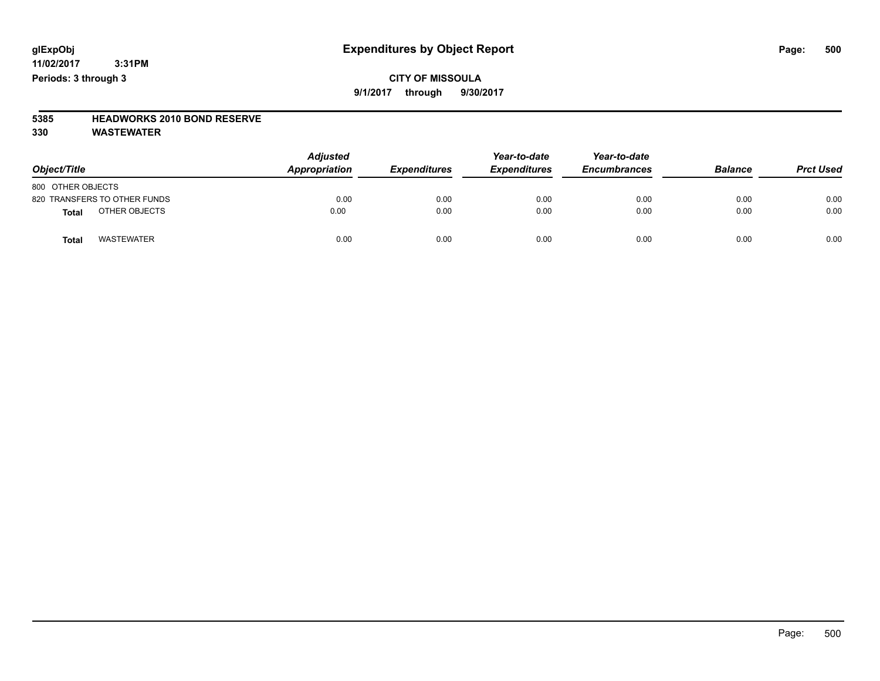#### **11/02/2017 3:31PM Periods: 3 through 3**

### **CITY OF MISSOULA 9/1/2017 through 9/30/2017**

### **5385 HEADWORKS 2010 BOND RESERVE**

| Object/Title                      | <b>Adjusted</b><br>Appropriation | <b>Expenditures</b> | Year-to-date<br><b>Expenditures</b> | Year-to-date<br><b>Encumbrances</b> | <b>Balance</b> | <b>Prct Used</b> |
|-----------------------------------|----------------------------------|---------------------|-------------------------------------|-------------------------------------|----------------|------------------|
| 800 OTHER OBJECTS                 |                                  |                     |                                     |                                     |                |                  |
| 820 TRANSFERS TO OTHER FUNDS      | 0.00                             | 0.00                | 0.00                                | 0.00                                | 0.00           | 0.00             |
| OTHER OBJECTS<br><b>Total</b>     | 0.00                             | 0.00                | 0.00                                | 0.00                                | 0.00           | 0.00             |
| <b>WASTEWATER</b><br><b>Total</b> | 0.00                             | 0.00                | 0.00                                | 0.00                                | 0.00           | 0.00             |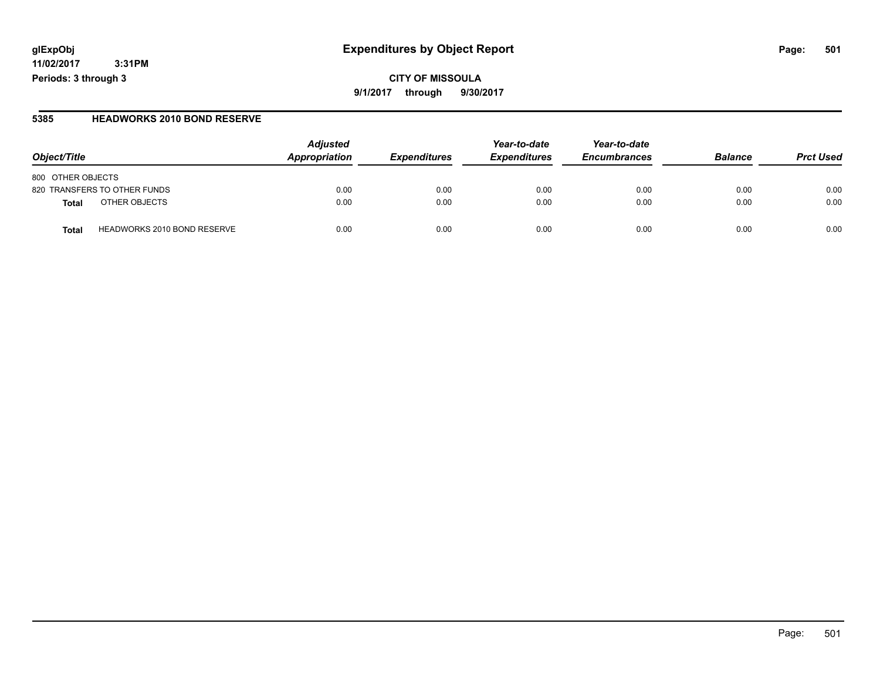**11/02/2017 3:31PM Periods: 3 through 3**

#### **5385 HEADWORKS 2010 BOND RESERVE**

| Object/Title                                | <b>Adjusted</b><br>Appropriation | <b>Expenditures</b> | Year-to-date<br><b>Expenditures</b> | Year-to-date<br><b>Encumbrances</b> | <b>Balance</b> | <b>Prct Used</b> |
|---------------------------------------------|----------------------------------|---------------------|-------------------------------------|-------------------------------------|----------------|------------------|
| 800 OTHER OBJECTS                           |                                  |                     |                                     |                                     |                |                  |
| 820 TRANSFERS TO OTHER FUNDS                | 0.00                             | 0.00                | 0.00                                | 0.00                                | 0.00           | 0.00             |
| OTHER OBJECTS<br>Total                      | 0.00                             | 0.00                | 0.00                                | 0.00                                | 0.00           | 0.00             |
| <b>HEADWORKS 2010 BOND RESERVE</b><br>Total | 0.00                             | 0.00                | 0.00                                | 0.00                                | 0.00           | 0.00             |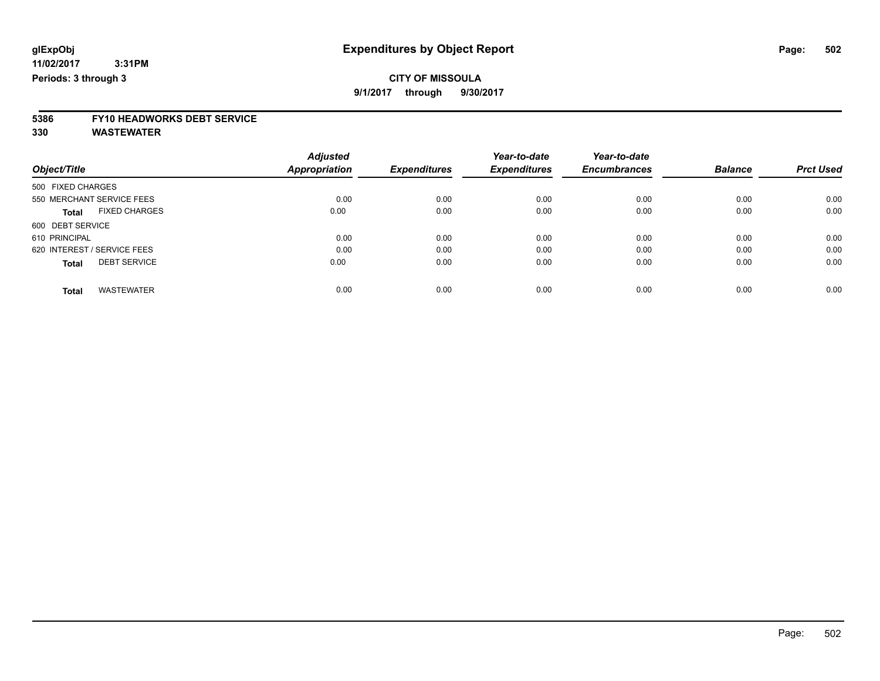**9/1/2017 through 9/30/2017**

# **5386 FY10 HEADWORKS DEBT SERVICE**

|                                      | <b>Adjusted</b>      |                     | Year-to-date        | Year-to-date        |                |                  |
|--------------------------------------|----------------------|---------------------|---------------------|---------------------|----------------|------------------|
| Object/Title                         | <b>Appropriation</b> | <b>Expenditures</b> | <b>Expenditures</b> | <b>Encumbrances</b> | <b>Balance</b> | <b>Prct Used</b> |
| 500 FIXED CHARGES                    |                      |                     |                     |                     |                |                  |
| 550 MERCHANT SERVICE FEES            | 0.00                 | 0.00                | 0.00                | 0.00                | 0.00           | 0.00             |
| <b>FIXED CHARGES</b><br><b>Total</b> | 0.00                 | 0.00                | 0.00                | 0.00                | 0.00           | 0.00             |
| 600 DEBT SERVICE                     |                      |                     |                     |                     |                |                  |
| 610 PRINCIPAL                        | 0.00                 | 0.00                | 0.00                | 0.00                | 0.00           | 0.00             |
| 620 INTEREST / SERVICE FEES          | 0.00                 | 0.00                | 0.00                | 0.00                | 0.00           | 0.00             |
| <b>DEBT SERVICE</b><br><b>Total</b>  | 0.00                 | 0.00                | 0.00                | 0.00                | 0.00           | 0.00             |
| <b>WASTEWATER</b><br>Total           | 0.00                 | 0.00                | 0.00                | 0.00                | 0.00           | 0.00             |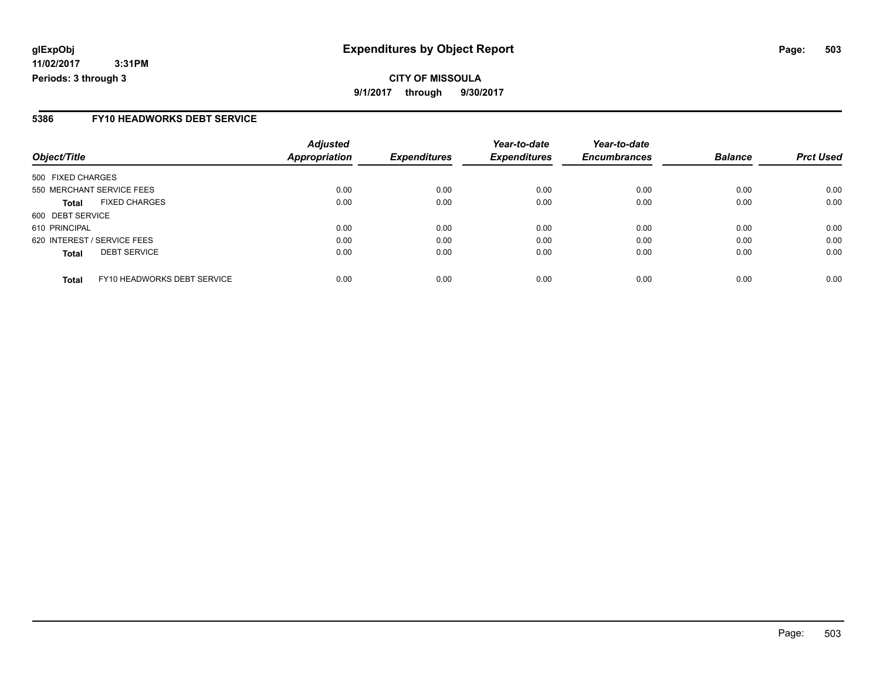**11/02/2017 3:31PM Periods: 3 through 3**

#### **5386 FY10 HEADWORKS DEBT SERVICE**

|                                             | <b>Adjusted</b> |                     | Year-to-date        | Year-to-date        |                |                  |
|---------------------------------------------|-----------------|---------------------|---------------------|---------------------|----------------|------------------|
| Object/Title                                | Appropriation   | <b>Expenditures</b> | <b>Expenditures</b> | <b>Encumbrances</b> | <b>Balance</b> | <b>Prct Used</b> |
| 500 FIXED CHARGES                           |                 |                     |                     |                     |                |                  |
| 550 MERCHANT SERVICE FEES                   | 0.00            | 0.00                | 0.00                | 0.00                | 0.00           | 0.00             |
| <b>FIXED CHARGES</b><br><b>Total</b>        | 0.00            | 0.00                | 0.00                | 0.00                | 0.00           | 0.00             |
| 600 DEBT SERVICE                            |                 |                     |                     |                     |                |                  |
| 610 PRINCIPAL                               | 0.00            | 0.00                | 0.00                | 0.00                | 0.00           | 0.00             |
| 620 INTEREST / SERVICE FEES                 | 0.00            | 0.00                | 0.00                | 0.00                | 0.00           | 0.00             |
| <b>DEBT SERVICE</b><br><b>Total</b>         | 0.00            | 0.00                | 0.00                | 0.00                | 0.00           | 0.00             |
| FY10 HEADWORKS DEBT SERVICE<br><b>Total</b> | 0.00            | 0.00                | 0.00                | 0.00                | 0.00           | 0.00             |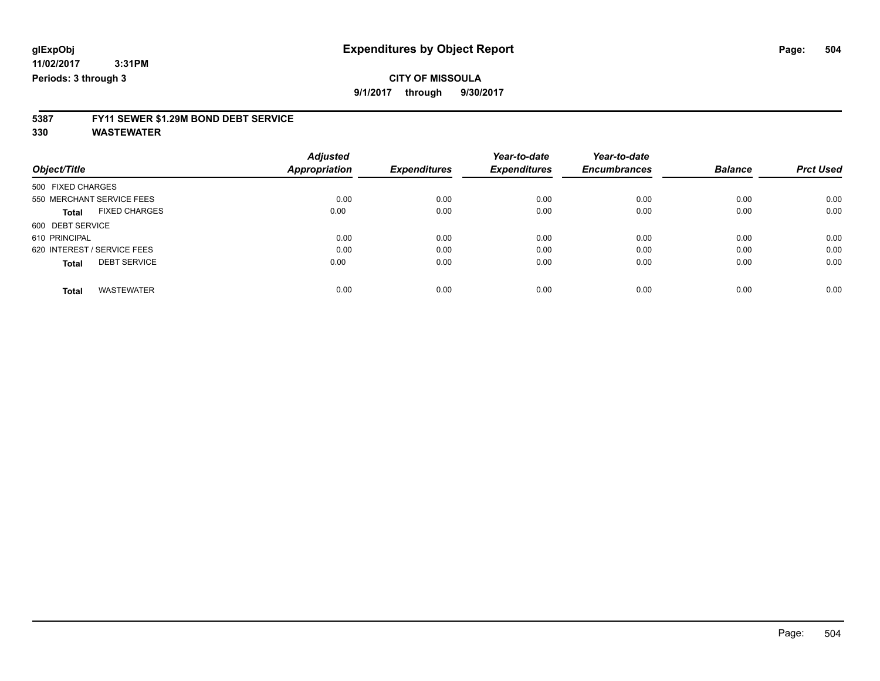**9/1/2017 through 9/30/2017**

# **5387 FY11 SEWER \$1.29M BOND DEBT SERVICE**

|                                     |  | <b>Adjusted</b> |                     | Year-to-date        | Year-to-date        |                |                  |
|-------------------------------------|--|-----------------|---------------------|---------------------|---------------------|----------------|------------------|
| Object/Title                        |  | Appropriation   | <b>Expenditures</b> | <b>Expenditures</b> | <b>Encumbrances</b> | <b>Balance</b> | <b>Prct Used</b> |
| 500 FIXED CHARGES                   |  |                 |                     |                     |                     |                |                  |
| 550 MERCHANT SERVICE FEES           |  | 0.00            | 0.00                | 0.00                | 0.00                | 0.00           | 0.00             |
| <b>FIXED CHARGES</b><br>Total       |  | 0.00            | 0.00                | 0.00                | 0.00                | 0.00           | 0.00             |
| 600 DEBT SERVICE                    |  |                 |                     |                     |                     |                |                  |
| 610 PRINCIPAL                       |  | 0.00            | 0.00                | 0.00                | 0.00                | 0.00           | 0.00             |
| 620 INTEREST / SERVICE FEES         |  | 0.00            | 0.00                | 0.00                | 0.00                | 0.00           | 0.00             |
| <b>DEBT SERVICE</b><br><b>Total</b> |  | 0.00            | 0.00                | 0.00                | 0.00                | 0.00           | 0.00             |
| <b>WASTEWATER</b><br><b>Total</b>   |  | 0.00            | 0.00                | 0.00                | 0.00                | 0.00           | 0.00             |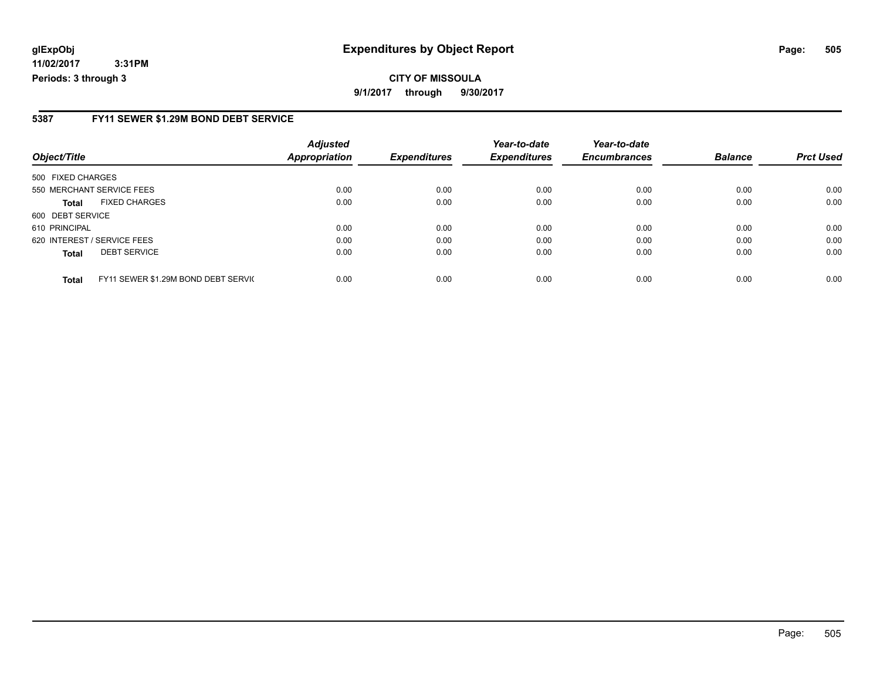#### **glExpObj Expenditures by Object Report Page: 505**

**11/02/2017 3:31PM Periods: 3 through 3**

#### **5387 FY11 SEWER \$1.29M BOND DEBT SERVICE**

| Object/Title      |                                     | <b>Adjusted</b><br><b>Appropriation</b> | <b>Expenditures</b> | Year-to-date<br><b>Expenditures</b> | Year-to-date<br><b>Encumbrances</b> | <b>Balance</b> | <b>Prct Used</b> |
|-------------------|-------------------------------------|-----------------------------------------|---------------------|-------------------------------------|-------------------------------------|----------------|------------------|
|                   |                                     |                                         |                     |                                     |                                     |                |                  |
| 500 FIXED CHARGES |                                     |                                         |                     |                                     |                                     |                |                  |
|                   | 550 MERCHANT SERVICE FEES           | 0.00                                    | 0.00                | 0.00                                | 0.00                                | 0.00           | 0.00             |
| Total             | <b>FIXED CHARGES</b>                | 0.00                                    | 0.00                | 0.00                                | 0.00                                | 0.00           | 0.00             |
| 600 DEBT SERVICE  |                                     |                                         |                     |                                     |                                     |                |                  |
| 610 PRINCIPAL     |                                     | 0.00                                    | 0.00                | 0.00                                | 0.00                                | 0.00           | 0.00             |
|                   | 620 INTEREST / SERVICE FEES         | 0.00                                    | 0.00                | 0.00                                | 0.00                                | 0.00           | 0.00             |
| <b>Total</b>      | <b>DEBT SERVICE</b>                 | 0.00                                    | 0.00                | 0.00                                | 0.00                                | 0.00           | 0.00             |
| <b>Total</b>      | FY11 SEWER \$1.29M BOND DEBT SERVIC | 0.00                                    | 0.00                | 0.00                                | 0.00                                | 0.00           | 0.00             |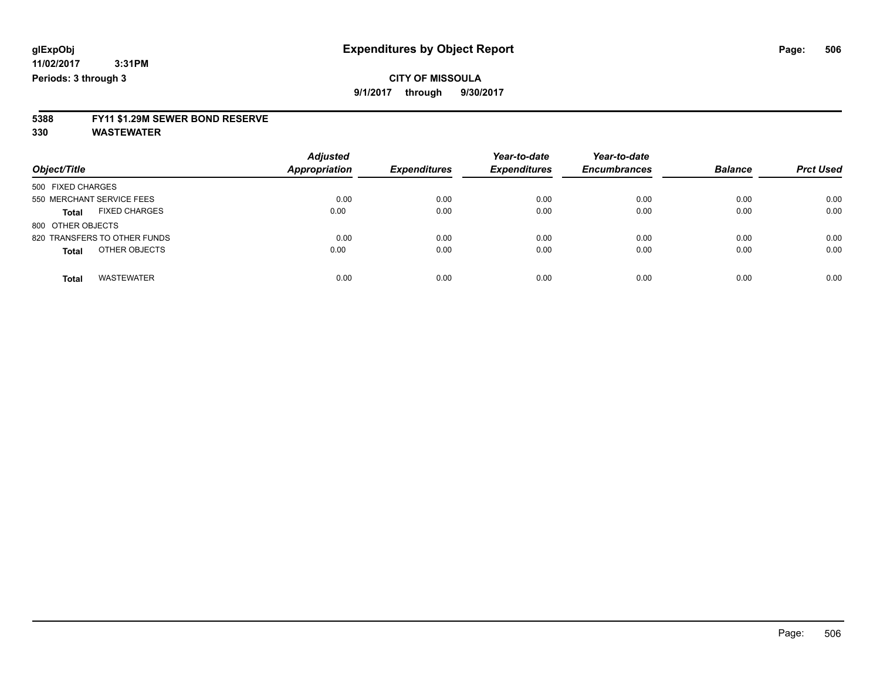### **CITY OF MISSOULA**

**9/1/2017 through 9/30/2017**

# **5388 FY11 \$1.29M SEWER BOND RESERVE**

**330 WASTEWATER**

| Object/Title                         | <b>Adjusted</b><br><b>Appropriation</b> | <b>Expenditures</b> | Year-to-date<br><b>Expenditures</b> | Year-to-date<br><b>Encumbrances</b> | <b>Balance</b> | <b>Prct Used</b> |
|--------------------------------------|-----------------------------------------|---------------------|-------------------------------------|-------------------------------------|----------------|------------------|
| 500 FIXED CHARGES                    |                                         |                     |                                     |                                     |                |                  |
| 550 MERCHANT SERVICE FEES            | 0.00                                    | 0.00                | 0.00                                | 0.00                                | 0.00           | 0.00             |
| <b>FIXED CHARGES</b><br><b>Total</b> | 0.00                                    | 0.00                | 0.00                                | 0.00                                | 0.00           | 0.00             |
| 800 OTHER OBJECTS                    |                                         |                     |                                     |                                     |                |                  |
| 820 TRANSFERS TO OTHER FUNDS         | 0.00                                    | 0.00                | 0.00                                | 0.00                                | 0.00           | 0.00             |
| OTHER OBJECTS<br><b>Total</b>        | 0.00                                    | 0.00                | 0.00                                | 0.00                                | 0.00           | 0.00             |
| <b>WASTEWATER</b><br><b>Total</b>    | 0.00                                    | 0.00                | 0.00                                | 0.00                                | 0.00           | 0.00             |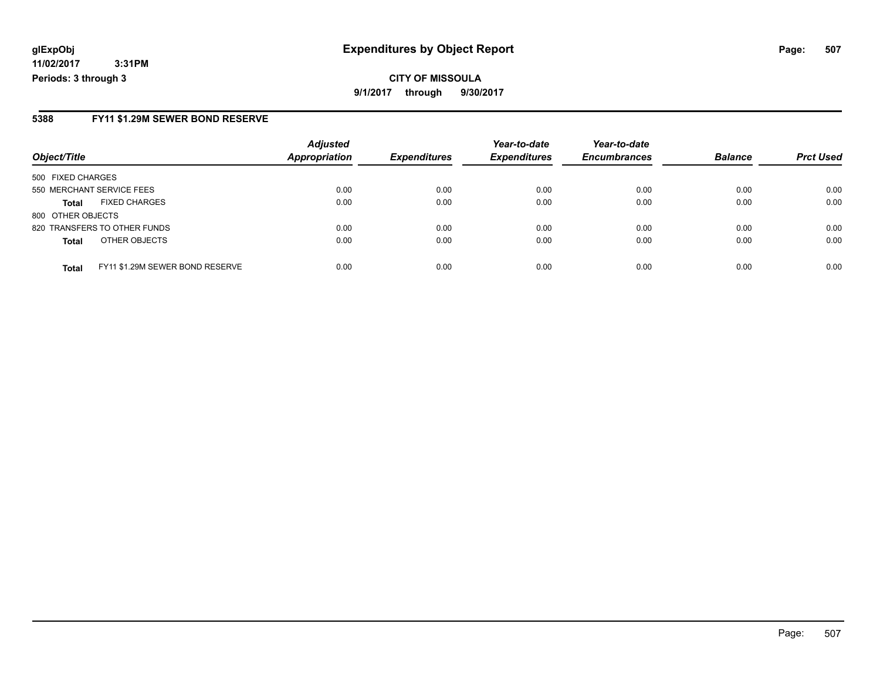#### **glExpObj Expenditures by Object Report Page: 507**

**11/02/2017 3:31PM Periods: 3 through 3**

#### **5388 FY11 \$1.29M SEWER BOND RESERVE**

| Object/Title              |                                 | <b>Adjusted</b><br><b>Appropriation</b> | <b>Expenditures</b> | Year-to-date<br><b>Expenditures</b> | Year-to-date<br><b>Encumbrances</b> | <b>Balance</b> | <b>Prct Used</b> |
|---------------------------|---------------------------------|-----------------------------------------|---------------------|-------------------------------------|-------------------------------------|----------------|------------------|
|                           |                                 |                                         |                     |                                     |                                     |                |                  |
| 500 FIXED CHARGES         |                                 |                                         |                     |                                     |                                     |                |                  |
| 550 MERCHANT SERVICE FEES |                                 | 0.00                                    | 0.00                | 0.00                                | 0.00                                | 0.00           | 0.00             |
| <b>Total</b>              | <b>FIXED CHARGES</b>            | 0.00                                    | 0.00                | 0.00                                | 0.00                                | 0.00           | 0.00             |
| 800 OTHER OBJECTS         |                                 |                                         |                     |                                     |                                     |                |                  |
|                           | 820 TRANSFERS TO OTHER FUNDS    | 0.00                                    | 0.00                | 0.00                                | 0.00                                | 0.00           | 0.00             |
| <b>Total</b>              | OTHER OBJECTS                   | 0.00                                    | 0.00                | 0.00                                | 0.00                                | 0.00           | 0.00             |
| <b>Total</b>              | FY11 \$1.29M SEWER BOND RESERVE | 0.00                                    | 0.00                | 0.00                                | 0.00                                | 0.00           | 0.00             |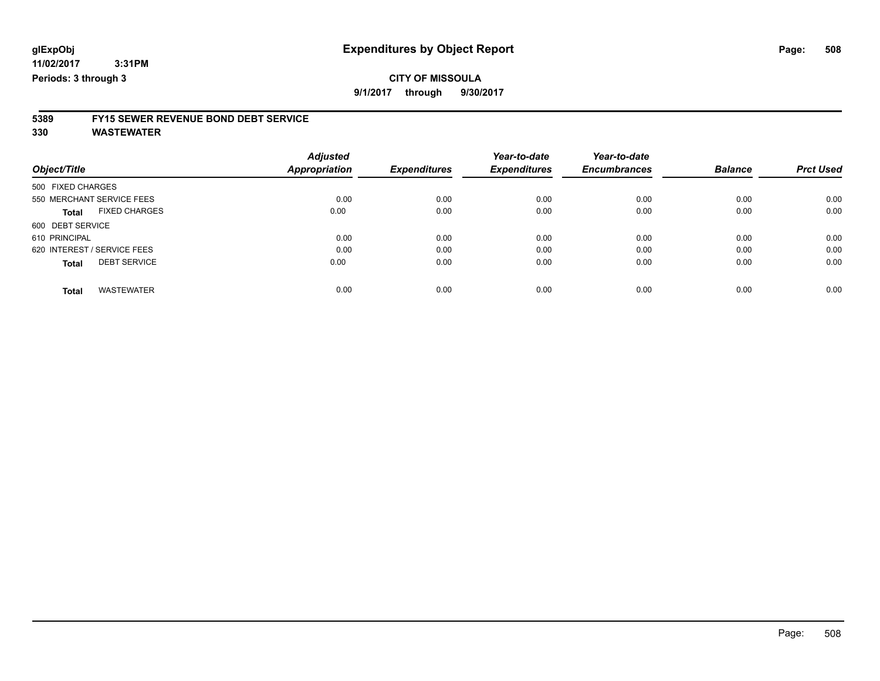### **CITY OF MISSOULA**

**9/1/2017 through 9/30/2017**

# **5389 FY15 SEWER REVENUE BOND DEBT SERVICE**

**330 WASTEWATER**

|                                      | <b>Adjusted</b> |                     | Year-to-date        | Year-to-date        |                |                  |
|--------------------------------------|-----------------|---------------------|---------------------|---------------------|----------------|------------------|
| Object/Title                         | Appropriation   | <b>Expenditures</b> | <b>Expenditures</b> | <b>Encumbrances</b> | <b>Balance</b> | <b>Prct Used</b> |
| 500 FIXED CHARGES                    |                 |                     |                     |                     |                |                  |
| 550 MERCHANT SERVICE FEES            | 0.00            | 0.00                | 0.00                | 0.00                | 0.00           | 0.00             |
| <b>FIXED CHARGES</b><br><b>Total</b> | 0.00            | 0.00                | 0.00                | 0.00                | 0.00           | 0.00             |
| 600 DEBT SERVICE                     |                 |                     |                     |                     |                |                  |
| 610 PRINCIPAL                        | 0.00            | 0.00                | 0.00                | 0.00                | 0.00           | 0.00             |
| 620 INTEREST / SERVICE FEES          | 0.00            | 0.00                | 0.00                | 0.00                | 0.00           | 0.00             |
| <b>DEBT SERVICE</b><br><b>Total</b>  | 0.00            | 0.00                | 0.00                | 0.00                | 0.00           | 0.00             |
| <b>WASTEWATER</b><br>Total           | 0.00            | 0.00                | 0.00                | 0.00                | 0.00           | 0.00             |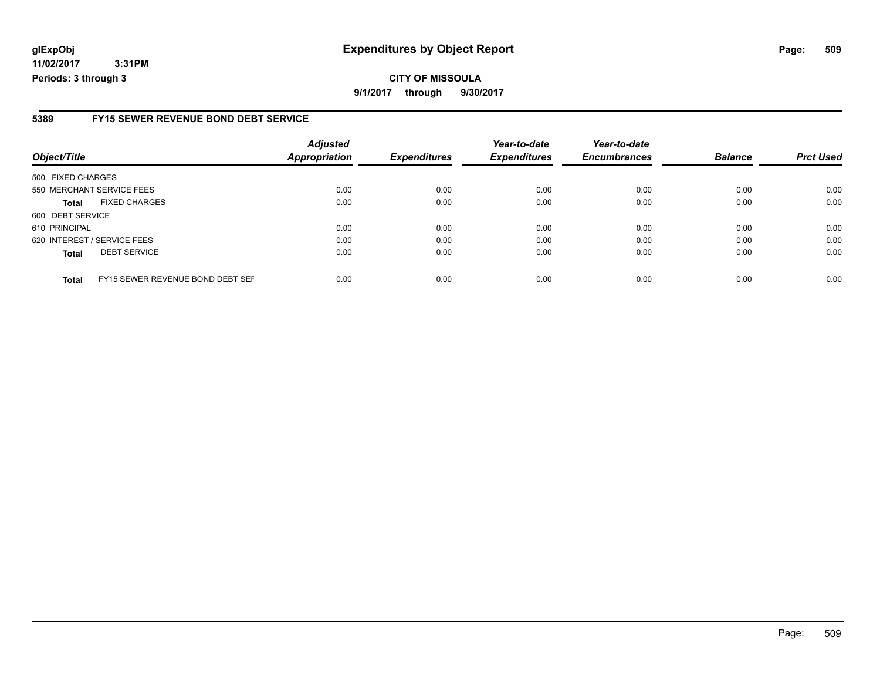#### **glExpObj Expenditures by Object Report Page: 509**

**11/02/2017 3:31PM Periods: 3 through 3**

#### **5389 FY15 SEWER REVENUE BOND DEBT SERVICE**

| Object/Title                |                                  | <b>Adjusted</b><br><b>Appropriation</b> | <b>Expenditures</b> | Year-to-date<br><b>Expenditures</b> | Year-to-date<br><b>Encumbrances</b> | <b>Balance</b> | <b>Prct Used</b> |
|-----------------------------|----------------------------------|-----------------------------------------|---------------------|-------------------------------------|-------------------------------------|----------------|------------------|
| 500 FIXED CHARGES           |                                  |                                         |                     |                                     |                                     |                |                  |
| 550 MERCHANT SERVICE FEES   |                                  | 0.00                                    | 0.00                | 0.00                                | 0.00                                | 0.00           | 0.00             |
| <b>Total</b>                | <b>FIXED CHARGES</b>             | 0.00                                    | 0.00                | 0.00                                | 0.00                                | 0.00           | 0.00             |
| 600 DEBT SERVICE            |                                  |                                         |                     |                                     |                                     |                |                  |
| 610 PRINCIPAL               |                                  | 0.00                                    | 0.00                | 0.00                                | 0.00                                | 0.00           | 0.00             |
| 620 INTEREST / SERVICE FEES |                                  | 0.00                                    | 0.00                | 0.00                                | 0.00                                | 0.00           | 0.00             |
| <b>Total</b>                | <b>DEBT SERVICE</b>              | 0.00                                    | 0.00                | 0.00                                | 0.00                                | 0.00           | 0.00             |
| <b>Total</b>                | FY15 SEWER REVENUE BOND DEBT SEF | 0.00                                    | 0.00                | 0.00                                | 0.00                                | 0.00           | 0.00             |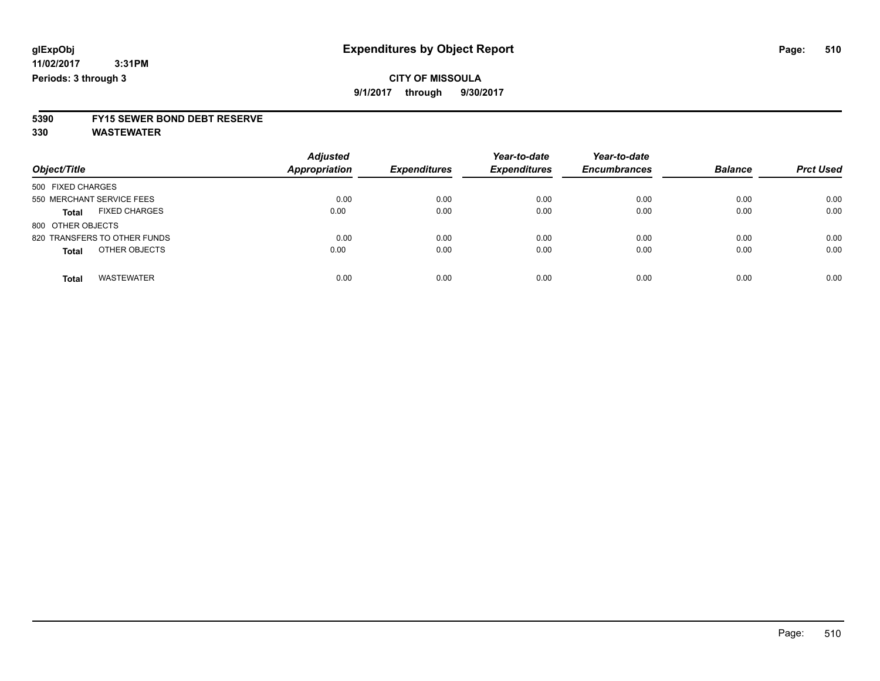### **CITY OF MISSOULA**

**9/1/2017 through 9/30/2017**

# **5390 FY15 SEWER BOND DEBT RESERVE**

**330 WASTEWATER**

|                                      | <b>Adjusted</b><br><b>Appropriation</b> | <b>Expenditures</b> | Year-to-date<br><b>Expenditures</b> | Year-to-date<br><b>Encumbrances</b> | <b>Balance</b> | <b>Prct Used</b> |
|--------------------------------------|-----------------------------------------|---------------------|-------------------------------------|-------------------------------------|----------------|------------------|
| Object/Title                         |                                         |                     |                                     |                                     |                |                  |
| 500 FIXED CHARGES                    |                                         |                     |                                     |                                     |                |                  |
| 550 MERCHANT SERVICE FEES            | 0.00                                    | 0.00                | 0.00                                | 0.00                                | 0.00           | 0.00             |
| <b>FIXED CHARGES</b><br><b>Total</b> | 0.00                                    | 0.00                | 0.00                                | 0.00                                | 0.00           | 0.00             |
| 800 OTHER OBJECTS                    |                                         |                     |                                     |                                     |                |                  |
| 820 TRANSFERS TO OTHER FUNDS         | 0.00                                    | 0.00                | 0.00                                | 0.00                                | 0.00           | 0.00             |
| OTHER OBJECTS<br><b>Total</b>        | 0.00                                    | 0.00                | 0.00                                | 0.00                                | 0.00           | 0.00             |
| <b>WASTEWATER</b><br><b>Total</b>    | 0.00                                    | 0.00                | 0.00                                | 0.00                                | 0.00           | 0.00             |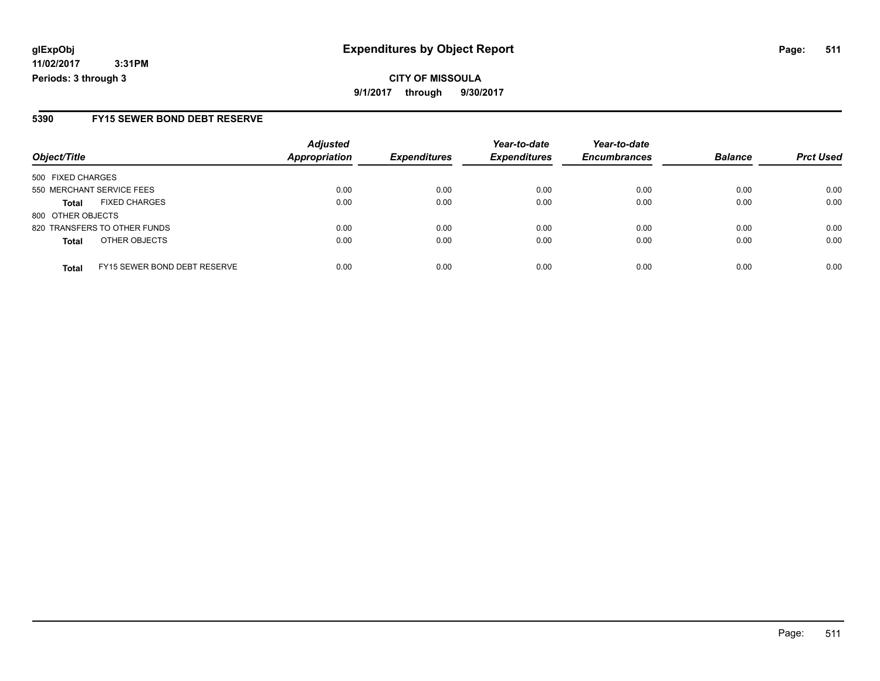#### **5390 FY15 SEWER BOND DEBT RESERVE**

|                           |                              | <b>Adjusted</b>      |                     | Year-to-date        | Year-to-date        |                |                  |
|---------------------------|------------------------------|----------------------|---------------------|---------------------|---------------------|----------------|------------------|
| Object/Title              |                              | <b>Appropriation</b> | <b>Expenditures</b> | <b>Expenditures</b> | <b>Encumbrances</b> | <b>Balance</b> | <b>Prct Used</b> |
| 500 FIXED CHARGES         |                              |                      |                     |                     |                     |                |                  |
| 550 MERCHANT SERVICE FEES |                              | 0.00                 | 0.00                | 0.00                | 0.00                | 0.00           | 0.00             |
| <b>Total</b>              | <b>FIXED CHARGES</b>         | 0.00                 | 0.00                | 0.00                | 0.00                | 0.00           | 0.00             |
| 800 OTHER OBJECTS         |                              |                      |                     |                     |                     |                |                  |
|                           | 820 TRANSFERS TO OTHER FUNDS | 0.00                 | 0.00                | 0.00                | 0.00                | 0.00           | 0.00             |
| <b>Total</b>              | OTHER OBJECTS                | 0.00                 | 0.00                | 0.00                | 0.00                | 0.00           | 0.00             |
| <b>Total</b>              | FY15 SEWER BOND DEBT RESERVE | 0.00                 | 0.00                | 0.00                | 0.00                | 0.00           | 0.00             |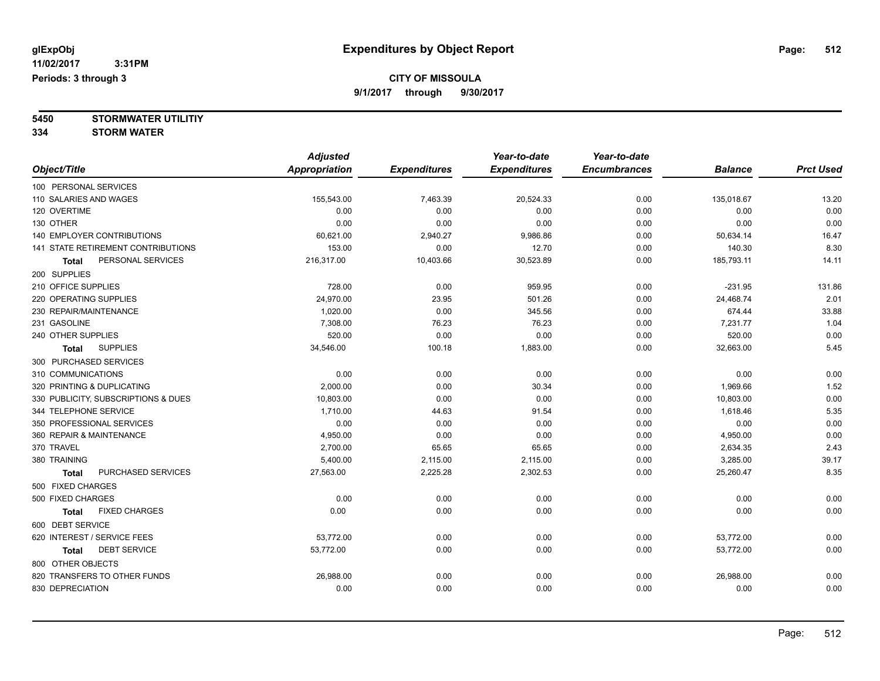**5450 STORMWATER UTILITIY**

**334 STORM WATER**

|                                      | <b>Adjusted</b>      |                     | Year-to-date        | Year-to-date        |                |                  |
|--------------------------------------|----------------------|---------------------|---------------------|---------------------|----------------|------------------|
| Object/Title                         | <b>Appropriation</b> | <b>Expenditures</b> | <b>Expenditures</b> | <b>Encumbrances</b> | <b>Balance</b> | <b>Prct Used</b> |
| 100 PERSONAL SERVICES                |                      |                     |                     |                     |                |                  |
| 110 SALARIES AND WAGES               | 155,543.00           | 7,463.39            | 20,524.33           | 0.00                | 135,018.67     | 13.20            |
| 120 OVERTIME                         | 0.00                 | 0.00                | 0.00                | 0.00                | 0.00           | 0.00             |
| 130 OTHER                            | 0.00                 | 0.00                | 0.00                | 0.00                | 0.00           | 0.00             |
| <b>140 EMPLOYER CONTRIBUTIONS</b>    | 60,621.00            | 2,940.27            | 9,986.86            | 0.00                | 50,634.14      | 16.47            |
| 141 STATE RETIREMENT CONTRIBUTIONS   | 153.00               | 0.00                | 12.70               | 0.00                | 140.30         | 8.30             |
| PERSONAL SERVICES<br>Total           | 216,317.00           | 10,403.66           | 30,523.89           | 0.00                | 185,793.11     | 14.11            |
| 200 SUPPLIES                         |                      |                     |                     |                     |                |                  |
| 210 OFFICE SUPPLIES                  | 728.00               | 0.00                | 959.95              | 0.00                | $-231.95$      | 131.86           |
| 220 OPERATING SUPPLIES               | 24,970.00            | 23.95               | 501.26              | 0.00                | 24,468.74      | 2.01             |
| 230 REPAIR/MAINTENANCE               | 1,020.00             | 0.00                | 345.56              | 0.00                | 674.44         | 33.88            |
| 231 GASOLINE                         | 7,308.00             | 76.23               | 76.23               | 0.00                | 7,231.77       | 1.04             |
| 240 OTHER SUPPLIES                   | 520.00               | 0.00                | 0.00                | 0.00                | 520.00         | 0.00             |
| <b>SUPPLIES</b><br><b>Total</b>      | 34,546.00            | 100.18              | 1,883.00            | 0.00                | 32,663.00      | 5.45             |
| 300 PURCHASED SERVICES               |                      |                     |                     |                     |                |                  |
| 310 COMMUNICATIONS                   | 0.00                 | 0.00                | 0.00                | 0.00                | 0.00           | 0.00             |
| 320 PRINTING & DUPLICATING           | 2,000.00             | 0.00                | 30.34               | 0.00                | 1,969.66       | 1.52             |
| 330 PUBLICITY, SUBSCRIPTIONS & DUES  | 10,803.00            | 0.00                | 0.00                | 0.00                | 10,803.00      | 0.00             |
| 344 TELEPHONE SERVICE                | 1,710.00             | 44.63               | 91.54               | 0.00                | 1,618.46       | 5.35             |
| 350 PROFESSIONAL SERVICES            | 0.00                 | 0.00                | 0.00                | 0.00                | 0.00           | 0.00             |
| 360 REPAIR & MAINTENANCE             | 4,950.00             | 0.00                | 0.00                | 0.00                | 4,950.00       | 0.00             |
| 370 TRAVEL                           | 2,700.00             | 65.65               | 65.65               | 0.00                | 2,634.35       | 2.43             |
| 380 TRAINING                         | 5,400.00             | 2,115.00            | 2,115.00            | 0.00                | 3,285.00       | 39.17            |
| PURCHASED SERVICES<br>Total          | 27,563.00            | 2,225.28            | 2,302.53            | 0.00                | 25,260.47      | 8.35             |
| 500 FIXED CHARGES                    |                      |                     |                     |                     |                |                  |
| 500 FIXED CHARGES                    | 0.00                 | 0.00                | 0.00                | 0.00                | 0.00           | 0.00             |
| <b>FIXED CHARGES</b><br><b>Total</b> | 0.00                 | 0.00                | 0.00                | 0.00                | 0.00           | 0.00             |
| 600 DEBT SERVICE                     |                      |                     |                     |                     |                |                  |
| 620 INTEREST / SERVICE FEES          | 53,772.00            | 0.00                | 0.00                | 0.00                | 53,772.00      | 0.00             |
| <b>DEBT SERVICE</b><br>Total         | 53,772.00            | 0.00                | 0.00                | 0.00                | 53,772.00      | 0.00             |
| 800 OTHER OBJECTS                    |                      |                     |                     |                     |                |                  |
| 820 TRANSFERS TO OTHER FUNDS         | 26,988.00            | 0.00                | 0.00                | 0.00                | 26,988.00      | 0.00             |
| 830 DEPRECIATION                     | 0.00                 | 0.00                | 0.00                | 0.00                | 0.00           | 0.00             |
|                                      |                      |                     |                     |                     |                |                  |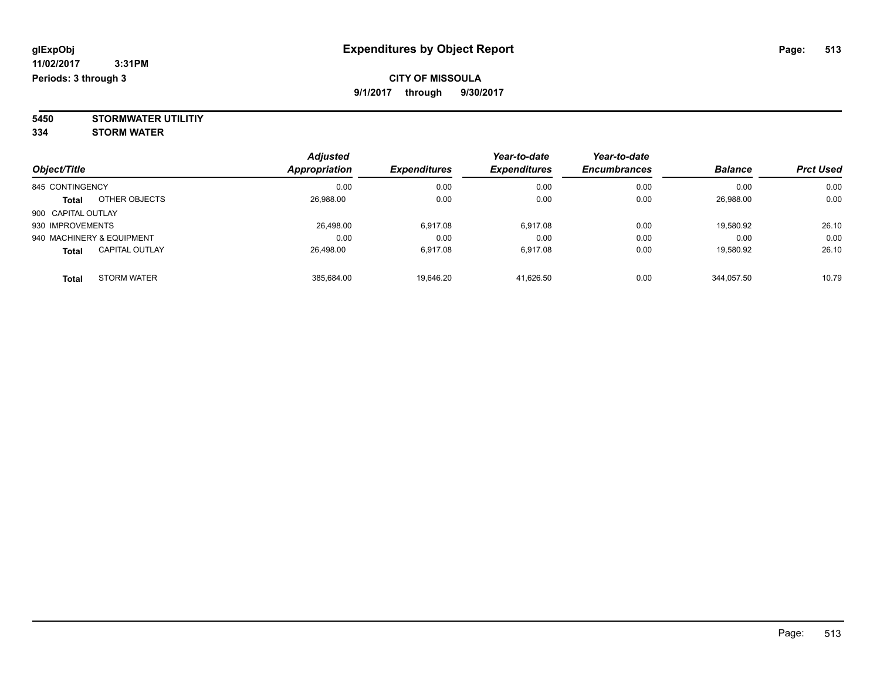**5450 STORMWATER UTILITIY 334 STORM WATER**

*Object/Title Adjusted Appropriation Expenditures Year-to-date Expenditures Year-to-date Encumbrances Balance Prct Used* 845 CONTINGENCY 0.00 0.00 0.00 0.00 0.00 0.00 **Total** OTHER OBJECTS 26,988.00 0.00 0.00 0.00 26,988.00 0.00 900 CAPITAL OUTLAY 930 IMPROVEMENTS 26,498.00 6,917.08 6,917.08 0.00 19,580.92 26.10 940 MACHINERY & EQUIPMENT 0.00 0.00 0.00 0.00 0.00 0.00 **Total** CAPITAL OUTLAY 26,498.00 6,917.08 6,917.08 0.00 19,580.92 26.10 **Total** STORM WATER 385,684.00 19,646.20 41,626.50 0.00 344,057.50 10.79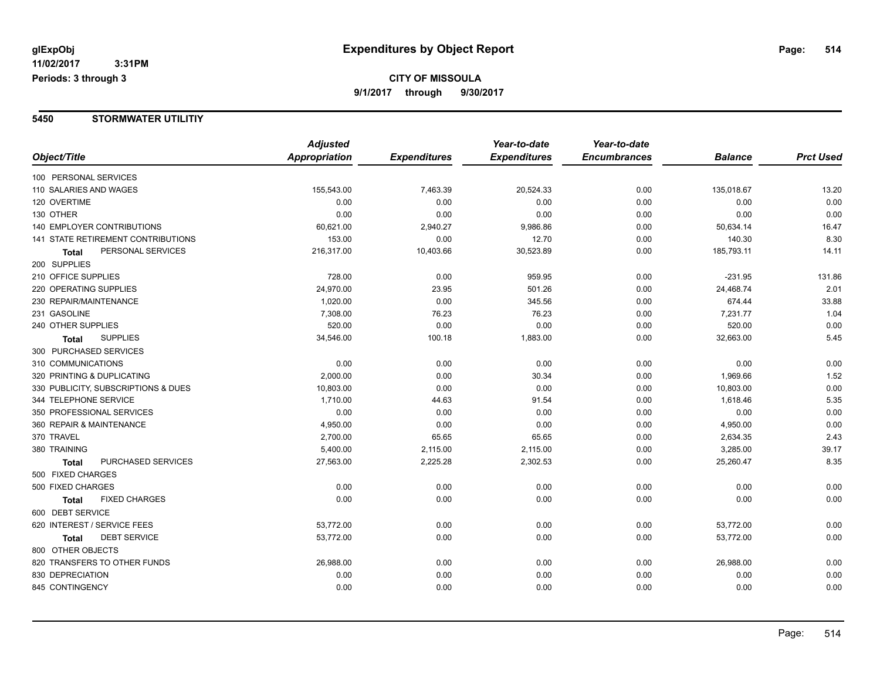#### **5450 STORMWATER UTILITIY**

|                                     | <b>Adjusted</b>      |                     | Year-to-date        | Year-to-date        |                |                  |
|-------------------------------------|----------------------|---------------------|---------------------|---------------------|----------------|------------------|
| Object/Title                        | <b>Appropriation</b> | <b>Expenditures</b> | <b>Expenditures</b> | <b>Encumbrances</b> | <b>Balance</b> | <b>Prct Used</b> |
| 100 PERSONAL SERVICES               |                      |                     |                     |                     |                |                  |
| 110 SALARIES AND WAGES              | 155,543.00           | 7,463.39            | 20,524.33           | 0.00                | 135,018.67     | 13.20            |
| 120 OVERTIME                        | 0.00                 | 0.00                | 0.00                | 0.00                | 0.00           | 0.00             |
| 130 OTHER                           | 0.00                 | 0.00                | 0.00                | 0.00                | 0.00           | 0.00             |
| <b>140 EMPLOYER CONTRIBUTIONS</b>   | 60,621.00            | 2,940.27            | 9,986.86            | 0.00                | 50,634.14      | 16.47            |
| 141 STATE RETIREMENT CONTRIBUTIONS  | 153.00               | 0.00                | 12.70               | 0.00                | 140.30         | 8.30             |
| PERSONAL SERVICES<br><b>Total</b>   | 216,317.00           | 10,403.66           | 30,523.89           | 0.00                | 185,793.11     | 14.11            |
| 200 SUPPLIES                        |                      |                     |                     |                     |                |                  |
| 210 OFFICE SUPPLIES                 | 728.00               | 0.00                | 959.95              | 0.00                | $-231.95$      | 131.86           |
| 220 OPERATING SUPPLIES              | 24,970.00            | 23.95               | 501.26              | 0.00                | 24,468.74      | 2.01             |
| 230 REPAIR/MAINTENANCE              | 1,020.00             | 0.00                | 345.56              | 0.00                | 674.44         | 33.88            |
| 231 GASOLINE                        | 7,308.00             | 76.23               | 76.23               | 0.00                | 7,231.77       | 1.04             |
| 240 OTHER SUPPLIES                  | 520.00               | 0.00                | 0.00                | 0.00                | 520.00         | 0.00             |
| <b>SUPPLIES</b><br><b>Total</b>     | 34,546.00            | 100.18              | 1,883.00            | 0.00                | 32,663.00      | 5.45             |
| 300 PURCHASED SERVICES              |                      |                     |                     |                     |                |                  |
| 310 COMMUNICATIONS                  | 0.00                 | 0.00                | 0.00                | 0.00                | 0.00           | 0.00             |
| 320 PRINTING & DUPLICATING          | 2,000.00             | 0.00                | 30.34               | 0.00                | 1,969.66       | 1.52             |
| 330 PUBLICITY, SUBSCRIPTIONS & DUES | 10,803.00            | 0.00                | 0.00                | 0.00                | 10,803.00      | 0.00             |
| 344 TELEPHONE SERVICE               | 1,710.00             | 44.63               | 91.54               | 0.00                | 1,618.46       | 5.35             |
| 350 PROFESSIONAL SERVICES           | 0.00                 | 0.00                | 0.00                | 0.00                | 0.00           | 0.00             |
| 360 REPAIR & MAINTENANCE            | 4,950.00             | 0.00                | 0.00                | 0.00                | 4,950.00       | 0.00             |
| 370 TRAVEL                          | 2,700.00             | 65.65               | 65.65               | 0.00                | 2,634.35       | 2.43             |
| 380 TRAINING                        | 5,400.00             | 2,115.00            | 2,115.00            | 0.00                | 3,285.00       | 39.17            |
| PURCHASED SERVICES<br><b>Total</b>  | 27,563.00            | 2,225.28            | 2,302.53            | 0.00                | 25,260.47      | 8.35             |
| 500 FIXED CHARGES                   |                      |                     |                     |                     |                |                  |
| 500 FIXED CHARGES                   | 0.00                 | 0.00                | 0.00                | 0.00                | 0.00           | 0.00             |
| <b>FIXED CHARGES</b><br>Total       | 0.00                 | 0.00                | 0.00                | 0.00                | 0.00           | 0.00             |
| 600 DEBT SERVICE                    |                      |                     |                     |                     |                |                  |
| 620 INTEREST / SERVICE FEES         | 53,772.00            | 0.00                | 0.00                | 0.00                | 53,772.00      | 0.00             |
| <b>DEBT SERVICE</b><br><b>Total</b> | 53,772.00            | 0.00                | 0.00                | 0.00                | 53,772.00      | 0.00             |
| 800 OTHER OBJECTS                   |                      |                     |                     |                     |                |                  |
| 820 TRANSFERS TO OTHER FUNDS        | 26,988.00            | 0.00                | 0.00                | 0.00                | 26,988.00      | 0.00             |
| 830 DEPRECIATION                    | 0.00                 | 0.00                | 0.00                | 0.00                | 0.00           | 0.00             |
| 845 CONTINGENCY                     | 0.00                 | 0.00                | 0.00                | 0.00                | 0.00           | 0.00             |
|                                     |                      |                     |                     |                     |                |                  |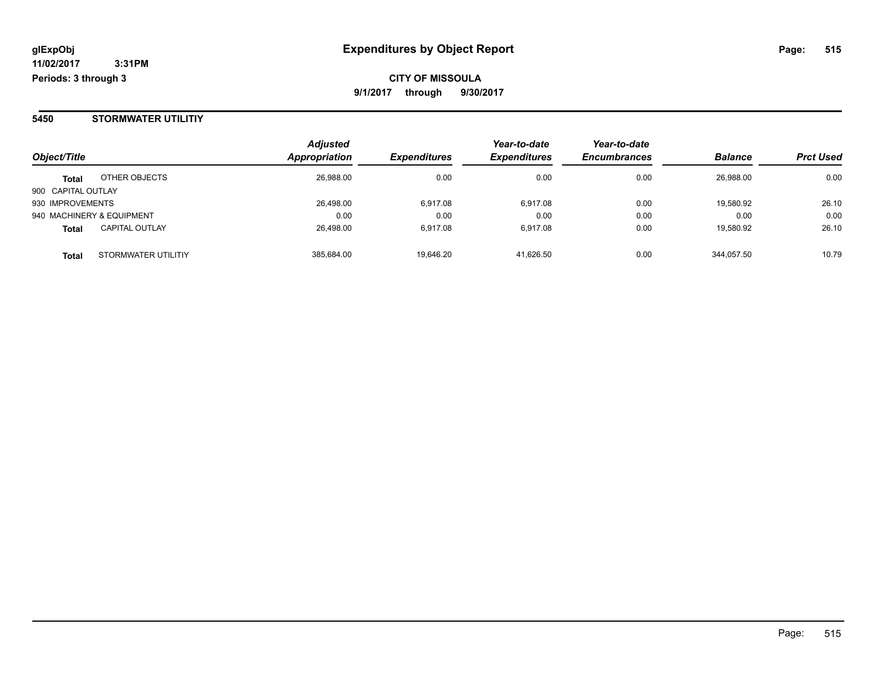#### **5450 STORMWATER UTILITIY**

| Object/Title       |                           | <b>Adjusted</b><br><b>Appropriation</b> | <b>Expenditures</b> | Year-to-date<br><b>Expenditures</b> | Year-to-date<br><b>Encumbrances</b> | <b>Balance</b> | <b>Prct Used</b> |
|--------------------|---------------------------|-----------------------------------------|---------------------|-------------------------------------|-------------------------------------|----------------|------------------|
| <b>Total</b>       | OTHER OBJECTS             | 26,988.00                               | 0.00                | 0.00                                | 0.00                                | 26.988.00      | 0.00             |
| 900 CAPITAL OUTLAY |                           |                                         |                     |                                     |                                     |                |                  |
| 930 IMPROVEMENTS   |                           | 26,498.00                               | 6,917.08            | 6.917.08                            | 0.00                                | 19,580.92      | 26.10            |
|                    | 940 MACHINERY & EQUIPMENT | 0.00                                    | 0.00                | 0.00                                | 0.00                                | 0.00           | 0.00             |
| <b>Total</b>       | <b>CAPITAL OUTLAY</b>     | 26,498.00                               | 6,917.08            | 6.917.08                            | 0.00                                | 19,580.92      | 26.10            |
| <b>Total</b>       | STORMWATER UTILITIY       | 385,684.00                              | 19,646.20           | 41,626.50                           | 0.00                                | 344.057.50     | 10.79            |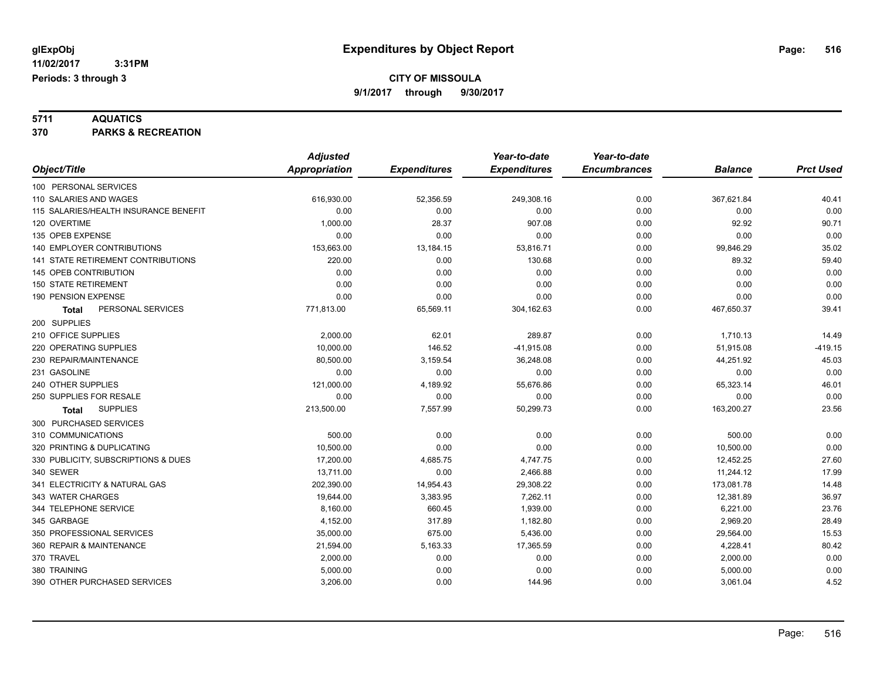**5711 AQUATICS 370 PARKS & RECREATION**

|                                       | <b>Adjusted</b>      |                     | Year-to-date        | Year-to-date        |                |                  |
|---------------------------------------|----------------------|---------------------|---------------------|---------------------|----------------|------------------|
| Object/Title                          | <b>Appropriation</b> | <b>Expenditures</b> | <b>Expenditures</b> | <b>Encumbrances</b> | <b>Balance</b> | <b>Prct Used</b> |
| 100 PERSONAL SERVICES                 |                      |                     |                     |                     |                |                  |
| 110 SALARIES AND WAGES                | 616,930.00           | 52,356.59           | 249,308.16          | 0.00                | 367,621.84     | 40.41            |
| 115 SALARIES/HEALTH INSURANCE BENEFIT | 0.00                 | 0.00                | 0.00                | 0.00                | 0.00           | 0.00             |
| 120 OVERTIME                          | 1,000.00             | 28.37               | 907.08              | 0.00                | 92.92          | 90.71            |
| 135 OPEB EXPENSE                      | 0.00                 | 0.00                | 0.00                | 0.00                | 0.00           | 0.00             |
| 140 EMPLOYER CONTRIBUTIONS            | 153,663.00           | 13,184.15           | 53,816.71           | 0.00                | 99,846.29      | 35.02            |
| 141 STATE RETIREMENT CONTRIBUTIONS    | 220.00               | 0.00                | 130.68              | 0.00                | 89.32          | 59.40            |
| <b>145 OPEB CONTRIBUTION</b>          | 0.00                 | 0.00                | 0.00                | 0.00                | 0.00           | 0.00             |
| <b>150 STATE RETIREMENT</b>           | 0.00                 | 0.00                | 0.00                | 0.00                | 0.00           | 0.00             |
| 190 PENSION EXPENSE                   | 0.00                 | 0.00                | 0.00                | 0.00                | 0.00           | 0.00             |
| PERSONAL SERVICES<br>Total            | 771,813.00           | 65,569.11           | 304,162.63          | 0.00                | 467,650.37     | 39.41            |
| 200 SUPPLIES                          |                      |                     |                     |                     |                |                  |
| 210 OFFICE SUPPLIES                   | 2,000.00             | 62.01               | 289.87              | 0.00                | 1,710.13       | 14.49            |
| 220 OPERATING SUPPLIES                | 10,000.00            | 146.52              | $-41,915.08$        | 0.00                | 51,915.08      | $-419.15$        |
| 230 REPAIR/MAINTENANCE                | 80,500.00            | 3,159.54            | 36,248.08           | 0.00                | 44,251.92      | 45.03            |
| 231 GASOLINE                          | 0.00                 | 0.00                | 0.00                | 0.00                | 0.00           | 0.00             |
| 240 OTHER SUPPLIES                    | 121,000.00           | 4,189.92            | 55,676.86           | 0.00                | 65,323.14      | 46.01            |
| 250 SUPPLIES FOR RESALE               | 0.00                 | 0.00                | 0.00                | 0.00                | 0.00           | 0.00             |
| <b>SUPPLIES</b><br>Total              | 213,500.00           | 7,557.99            | 50,299.73           | 0.00                | 163,200.27     | 23.56            |
| 300 PURCHASED SERVICES                |                      |                     |                     |                     |                |                  |
| 310 COMMUNICATIONS                    | 500.00               | 0.00                | 0.00                | 0.00                | 500.00         | 0.00             |
| 320 PRINTING & DUPLICATING            | 10,500.00            | 0.00                | 0.00                | 0.00                | 10,500.00      | 0.00             |
| 330 PUBLICITY, SUBSCRIPTIONS & DUES   | 17,200.00            | 4,685.75            | 4,747.75            | 0.00                | 12,452.25      | 27.60            |
| 340 SEWER                             | 13,711.00            | 0.00                | 2,466.88            | 0.00                | 11,244.12      | 17.99            |
| 341 ELECTRICITY & NATURAL GAS         | 202,390.00           | 14,954.43           | 29,308.22           | 0.00                | 173,081.78     | 14.48            |
| 343 WATER CHARGES                     | 19,644.00            | 3,383.95            | 7,262.11            | 0.00                | 12,381.89      | 36.97            |
| 344 TELEPHONE SERVICE                 | 8,160.00             | 660.45              | 1,939.00            | 0.00                | 6,221.00       | 23.76            |
| 345 GARBAGE                           | 4,152.00             | 317.89              | 1,182.80            | 0.00                | 2,969.20       | 28.49            |
| 350 PROFESSIONAL SERVICES             | 35,000.00            | 675.00              | 5,436.00            | 0.00                | 29,564.00      | 15.53            |
| 360 REPAIR & MAINTENANCE              | 21,594.00            | 5,163.33            | 17,365.59           | 0.00                | 4,228.41       | 80.42            |
| 370 TRAVEL                            | 2,000.00             | 0.00                | 0.00                | 0.00                | 2,000.00       | 0.00             |
| 380 TRAINING                          | 5,000.00             | 0.00                | 0.00                | 0.00                | 5,000.00       | 0.00             |
| 390 OTHER PURCHASED SERVICES          | 3,206.00             | 0.00                | 144.96              | 0.00                | 3,061.04       | 4.52             |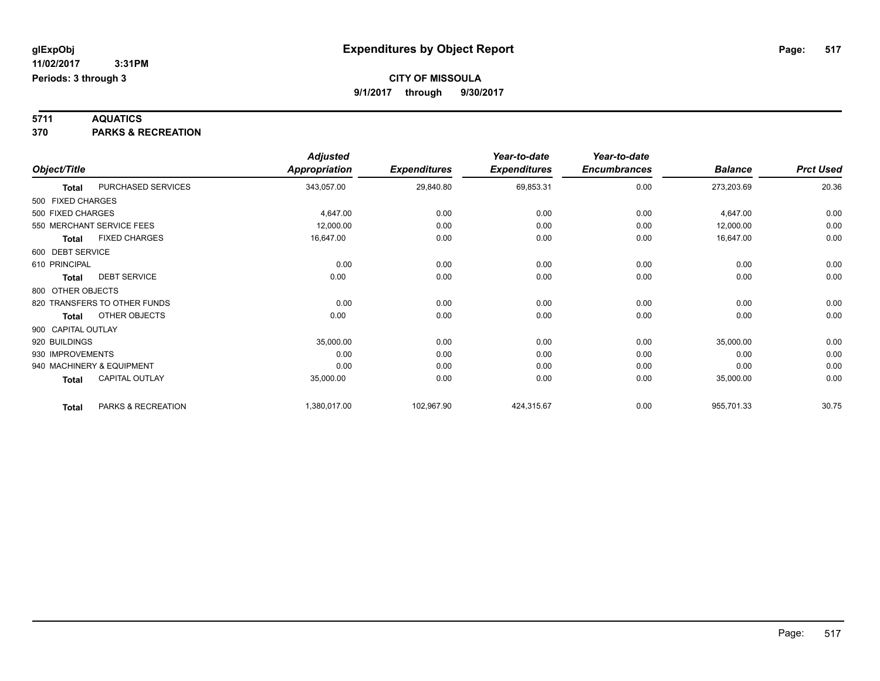**5711 AQUATICS 370 PARKS & RECREATION**

|                    |                              | <b>Adjusted</b>      |                     | Year-to-date        | Year-to-date        |                |                  |
|--------------------|------------------------------|----------------------|---------------------|---------------------|---------------------|----------------|------------------|
| Object/Title       |                              | <b>Appropriation</b> | <b>Expenditures</b> | <b>Expenditures</b> | <b>Encumbrances</b> | <b>Balance</b> | <b>Prct Used</b> |
| <b>Total</b>       | PURCHASED SERVICES           | 343,057.00           | 29,840.80           | 69,853.31           | 0.00                | 273,203.69     | 20.36            |
| 500 FIXED CHARGES  |                              |                      |                     |                     |                     |                |                  |
| 500 FIXED CHARGES  |                              | 4,647.00             | 0.00                | 0.00                | 0.00                | 4,647.00       | 0.00             |
|                    | 550 MERCHANT SERVICE FEES    | 12,000.00            | 0.00                | 0.00                | 0.00                | 12,000.00      | 0.00             |
| <b>Total</b>       | <b>FIXED CHARGES</b>         | 16,647.00            | 0.00                | 0.00                | 0.00                | 16,647.00      | 0.00             |
| 600 DEBT SERVICE   |                              |                      |                     |                     |                     |                |                  |
| 610 PRINCIPAL      |                              | 0.00                 | 0.00                | 0.00                | 0.00                | 0.00           | 0.00             |
| <b>Total</b>       | <b>DEBT SERVICE</b>          | 0.00                 | 0.00                | 0.00                | 0.00                | 0.00           | 0.00             |
| 800 OTHER OBJECTS  |                              |                      |                     |                     |                     |                |                  |
|                    | 820 TRANSFERS TO OTHER FUNDS | 0.00                 | 0.00                | 0.00                | 0.00                | 0.00           | 0.00             |
| <b>Total</b>       | OTHER OBJECTS                | 0.00                 | 0.00                | 0.00                | 0.00                | 0.00           | 0.00             |
| 900 CAPITAL OUTLAY |                              |                      |                     |                     |                     |                |                  |
| 920 BUILDINGS      |                              | 35,000.00            | 0.00                | 0.00                | 0.00                | 35,000.00      | 0.00             |
| 930 IMPROVEMENTS   |                              | 0.00                 | 0.00                | 0.00                | 0.00                | 0.00           | 0.00             |
|                    | 940 MACHINERY & EQUIPMENT    | 0.00                 | 0.00                | 0.00                | 0.00                | 0.00           | 0.00             |
| <b>Total</b>       | <b>CAPITAL OUTLAY</b>        | 35,000.00            | 0.00                | 0.00                | 0.00                | 35,000.00      | 0.00             |
| <b>Total</b>       | PARKS & RECREATION           | 1,380,017.00         | 102,967.90          | 424,315.67          | 0.00                | 955,701.33     | 30.75            |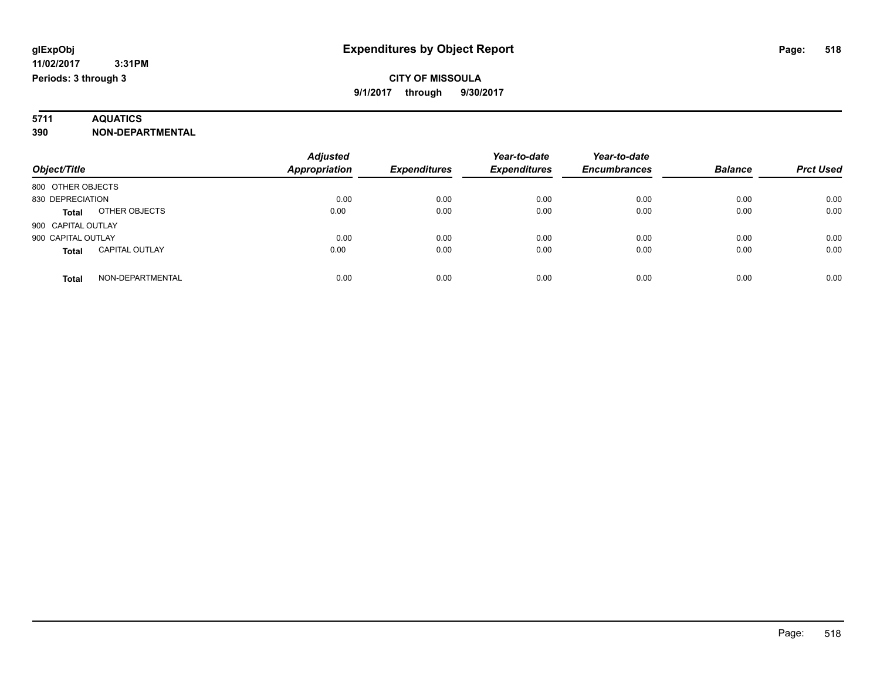# **5711 AQUATICS**

#### **390 NON-DEPARTMENTAL**

| Object/Title                          | <b>Adjusted</b><br>Appropriation | <b>Expenditures</b> | Year-to-date<br><b>Expenditures</b> | Year-to-date<br><b>Encumbrances</b> | <b>Balance</b> | <b>Prct Used</b> |
|---------------------------------------|----------------------------------|---------------------|-------------------------------------|-------------------------------------|----------------|------------------|
| 800 OTHER OBJECTS                     |                                  |                     |                                     |                                     |                |                  |
| 830 DEPRECIATION                      | 0.00                             | 0.00                | 0.00                                | 0.00                                | 0.00           | 0.00             |
| OTHER OBJECTS<br><b>Total</b>         | 0.00                             | 0.00                | 0.00                                | 0.00                                | 0.00           | 0.00             |
| 900 CAPITAL OUTLAY                    |                                  |                     |                                     |                                     |                |                  |
| 900 CAPITAL OUTLAY                    | 0.00                             | 0.00                | 0.00                                | 0.00                                | 0.00           | 0.00             |
| <b>CAPITAL OUTLAY</b><br><b>Total</b> | 0.00                             | 0.00                | 0.00                                | 0.00                                | 0.00           | 0.00             |
| NON-DEPARTMENTAL<br><b>Total</b>      | 0.00                             | 0.00                | 0.00                                | 0.00                                | 0.00           | 0.00             |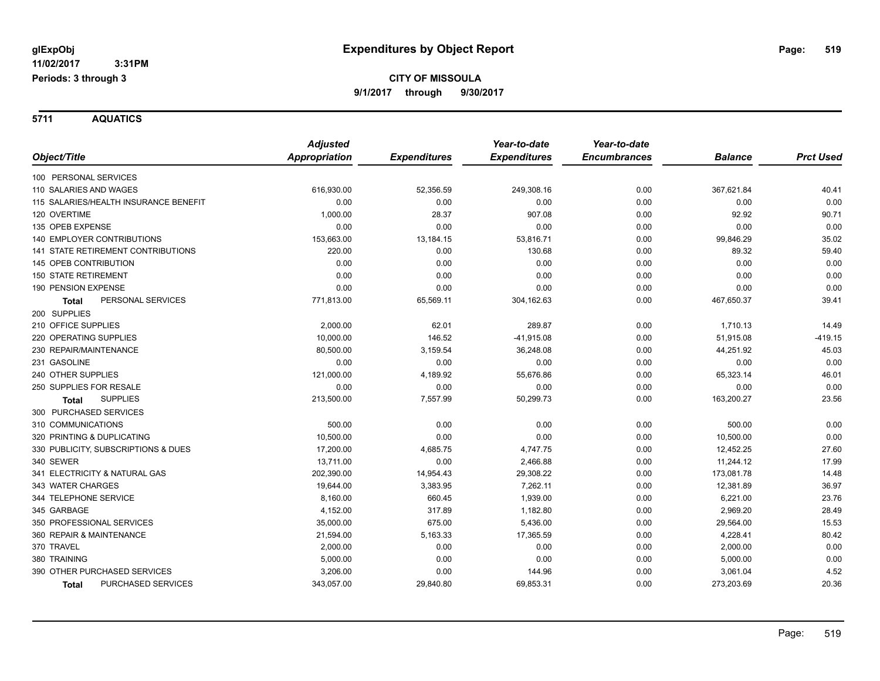**3:31PM Periods: 3 through 3**

**CITY OF MISSOULA 9/1/2017 through 9/30/2017**

**5711 AQUATICS**

|                                           | <b>Adjusted</b> |                     | Year-to-date        | Year-to-date        |                |                  |
|-------------------------------------------|-----------------|---------------------|---------------------|---------------------|----------------|------------------|
| Object/Title                              | Appropriation   | <b>Expenditures</b> | <b>Expenditures</b> | <b>Encumbrances</b> | <b>Balance</b> | <b>Prct Used</b> |
| 100 PERSONAL SERVICES                     |                 |                     |                     |                     |                |                  |
| 110 SALARIES AND WAGES                    | 616,930.00      | 52,356.59           | 249,308.16          | 0.00                | 367,621.84     | 40.41            |
| 115 SALARIES/HEALTH INSURANCE BENEFIT     | 0.00            | 0.00                | 0.00                | 0.00                | 0.00           | 0.00             |
| 120 OVERTIME                              | 1,000.00        | 28.37               | 907.08              | 0.00                | 92.92          | 90.71            |
| 135 OPEB EXPENSE                          | 0.00            | 0.00                | 0.00                | 0.00                | 0.00           | 0.00             |
| <b>140 EMPLOYER CONTRIBUTIONS</b>         | 153,663.00      | 13,184.15           | 53,816.71           | 0.00                | 99,846.29      | 35.02            |
| <b>141 STATE RETIREMENT CONTRIBUTIONS</b> | 220.00          | 0.00                | 130.68              | 0.00                | 89.32          | 59.40            |
| 145 OPEB CONTRIBUTION                     | 0.00            | 0.00                | 0.00                | 0.00                | 0.00           | 0.00             |
| <b>150 STATE RETIREMENT</b>               | 0.00            | 0.00                | 0.00                | 0.00                | 0.00           | 0.00             |
| 190 PENSION EXPENSE                       | 0.00            | 0.00                | 0.00                | 0.00                | 0.00           | 0.00             |
| PERSONAL SERVICES<br><b>Total</b>         | 771,813.00      | 65,569.11           | 304,162.63          | 0.00                | 467,650.37     | 39.41            |
| 200 SUPPLIES                              |                 |                     |                     |                     |                |                  |
| 210 OFFICE SUPPLIES                       | 2,000.00        | 62.01               | 289.87              | 0.00                | 1,710.13       | 14.49            |
| 220 OPERATING SUPPLIES                    | 10,000.00       | 146.52              | $-41,915.08$        | 0.00                | 51,915.08      | $-419.15$        |
| 230 REPAIR/MAINTENANCE                    | 80,500.00       | 3,159.54            | 36,248.08           | 0.00                | 44,251.92      | 45.03            |
| 231 GASOLINE                              | 0.00            | 0.00                | 0.00                | 0.00                | 0.00           | 0.00             |
| 240 OTHER SUPPLIES                        | 121,000.00      | 4,189.92            | 55,676.86           | 0.00                | 65,323.14      | 46.01            |
| 250 SUPPLIES FOR RESALE                   | 0.00            | 0.00                | 0.00                | 0.00                | 0.00           | 0.00             |
| <b>SUPPLIES</b><br><b>Total</b>           | 213,500.00      | 7,557.99            | 50,299.73           | 0.00                | 163,200.27     | 23.56            |
| 300 PURCHASED SERVICES                    |                 |                     |                     |                     |                |                  |
| 310 COMMUNICATIONS                        | 500.00          | 0.00                | 0.00                | 0.00                | 500.00         | 0.00             |
| 320 PRINTING & DUPLICATING                | 10,500.00       | 0.00                | 0.00                | 0.00                | 10,500.00      | 0.00             |
| 330 PUBLICITY, SUBSCRIPTIONS & DUES       | 17,200.00       | 4,685.75            | 4,747.75            | 0.00                | 12,452.25      | 27.60            |
| 340 SEWER                                 | 13,711.00       | 0.00                | 2,466.88            | 0.00                | 11,244.12      | 17.99            |
| 341 ELECTRICITY & NATURAL GAS             | 202,390.00      | 14,954.43           | 29,308.22           | 0.00                | 173,081.78     | 14.48            |
| 343 WATER CHARGES                         | 19,644.00       | 3,383.95            | 7,262.11            | 0.00                | 12,381.89      | 36.97            |
| 344 TELEPHONE SERVICE                     | 8,160.00        | 660.45              | 1,939.00            | 0.00                | 6,221.00       | 23.76            |
| 345 GARBAGE                               | 4,152.00        | 317.89              | 1,182.80            | 0.00                | 2,969.20       | 28.49            |
| 350 PROFESSIONAL SERVICES                 | 35,000.00       | 675.00              | 5,436.00            | 0.00                | 29,564.00      | 15.53            |
| 360 REPAIR & MAINTENANCE                  | 21,594.00       | 5,163.33            | 17,365.59           | 0.00                | 4,228.41       | 80.42            |
| 370 TRAVEL                                | 2,000.00        | 0.00                | 0.00                | 0.00                | 2,000.00       | 0.00             |
| 380 TRAINING                              | 5,000.00        | 0.00                | 0.00                | 0.00                | 5,000.00       | 0.00             |
| 390 OTHER PURCHASED SERVICES              | 3,206.00        | 0.00                | 144.96              | 0.00                | 3,061.04       | 4.52             |
| PURCHASED SERVICES<br><b>Total</b>        | 343,057.00      | 29,840.80           | 69,853.31           | 0.00                | 273,203.69     | 20.36            |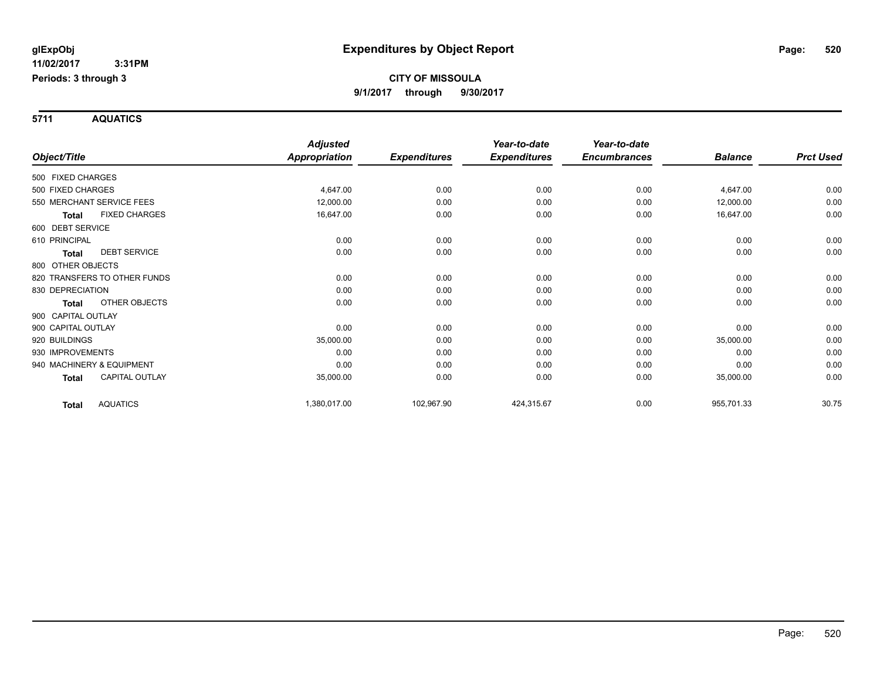**Periods: 3 through 3**

 **3:31PM**

**CITY OF MISSOULA 9/1/2017 through 9/30/2017**

**5711 AQUATICS**

|                    |                              | <b>Adjusted</b>      |                     | Year-to-date        | Year-to-date        |                |                  |
|--------------------|------------------------------|----------------------|---------------------|---------------------|---------------------|----------------|------------------|
| Object/Title       |                              | <b>Appropriation</b> | <b>Expenditures</b> | <b>Expenditures</b> | <b>Encumbrances</b> | <b>Balance</b> | <b>Prct Used</b> |
| 500 FIXED CHARGES  |                              |                      |                     |                     |                     |                |                  |
| 500 FIXED CHARGES  |                              | 4,647.00             | 0.00                | 0.00                | 0.00                | 4,647.00       | 0.00             |
|                    | 550 MERCHANT SERVICE FEES    | 12,000.00            | 0.00                | 0.00                | 0.00                | 12,000.00      | 0.00             |
| Total              | <b>FIXED CHARGES</b>         | 16,647.00            | 0.00                | 0.00                | 0.00                | 16,647.00      | 0.00             |
| 600 DEBT SERVICE   |                              |                      |                     |                     |                     |                |                  |
| 610 PRINCIPAL      |                              | 0.00                 | 0.00                | 0.00                | 0.00                | 0.00           | 0.00             |
| <b>Total</b>       | <b>DEBT SERVICE</b>          | 0.00                 | 0.00                | 0.00                | 0.00                | 0.00           | 0.00             |
| 800 OTHER OBJECTS  |                              |                      |                     |                     |                     |                |                  |
|                    | 820 TRANSFERS TO OTHER FUNDS | 0.00                 | 0.00                | 0.00                | 0.00                | 0.00           | 0.00             |
| 830 DEPRECIATION   |                              | 0.00                 | 0.00                | 0.00                | 0.00                | 0.00           | 0.00             |
| <b>Total</b>       | OTHER OBJECTS                | 0.00                 | 0.00                | 0.00                | 0.00                | 0.00           | 0.00             |
| 900 CAPITAL OUTLAY |                              |                      |                     |                     |                     |                |                  |
| 900 CAPITAL OUTLAY |                              | 0.00                 | 0.00                | 0.00                | 0.00                | 0.00           | 0.00             |
| 920 BUILDINGS      |                              | 35,000.00            | 0.00                | 0.00                | 0.00                | 35,000.00      | 0.00             |
| 930 IMPROVEMENTS   |                              | 0.00                 | 0.00                | 0.00                | 0.00                | 0.00           | 0.00             |
|                    | 940 MACHINERY & EQUIPMENT    | 0.00                 | 0.00                | 0.00                | 0.00                | 0.00           | 0.00             |
| Total              | <b>CAPITAL OUTLAY</b>        | 35,000.00            | 0.00                | 0.00                | 0.00                | 35,000.00      | 0.00             |
| Total              | <b>AQUATICS</b>              | 1,380,017.00         | 102,967.90          | 424,315.67          | 0.00                | 955,701.33     | 30.75            |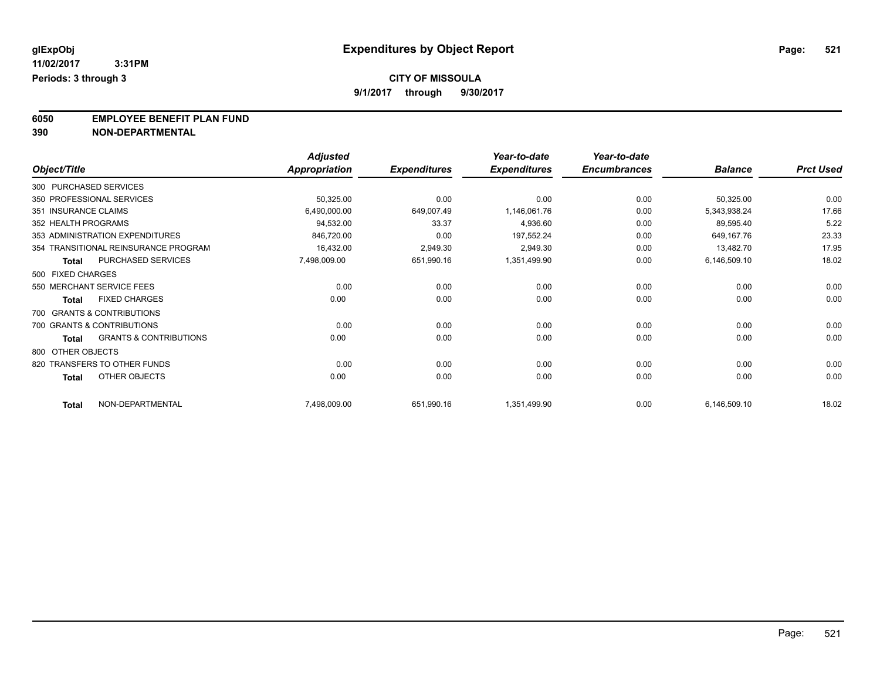### **CITY OF MISSOULA**

**9/1/2017 through 9/30/2017**

**6050 EMPLOYEE BENEFIT PLAN FUND**<br>390 NON-DEPARTMENTAL

**390 NON-DEPARTMENTAL**

|                        |                                      | <b>Adjusted</b>      |                     | Year-to-date        | Year-to-date        |                |                  |
|------------------------|--------------------------------------|----------------------|---------------------|---------------------|---------------------|----------------|------------------|
| Object/Title           |                                      | <b>Appropriation</b> | <b>Expenditures</b> | <b>Expenditures</b> | <b>Encumbrances</b> | <b>Balance</b> | <b>Prct Used</b> |
| 300 PURCHASED SERVICES |                                      |                      |                     |                     |                     |                |                  |
|                        | 350 PROFESSIONAL SERVICES            | 50,325.00            | 0.00                | 0.00                | 0.00                | 50,325.00      | 0.00             |
| 351 INSURANCE CLAIMS   |                                      | 6,490,000.00         | 649,007.49          | 1,146,061.76        | 0.00                | 5,343,938.24   | 17.66            |
| 352 HEALTH PROGRAMS    |                                      | 94,532.00            | 33.37               | 4,936.60            | 0.00                | 89,595.40      | 5.22             |
|                        | 353 ADMINISTRATION EXPENDITURES      | 846,720.00           | 0.00                | 197,552.24          | 0.00                | 649,167.76     | 23.33            |
|                        | 354 TRANSITIONAL REINSURANCE PROGRAM | 16,432.00            | 2,949.30            | 2,949.30            | 0.00                | 13,482.70      | 17.95            |
| <b>Total</b>           | PURCHASED SERVICES                   | 7,498,009.00         | 651,990.16          | 1,351,499.90        | 0.00                | 6,146,509.10   | 18.02            |
| 500 FIXED CHARGES      |                                      |                      |                     |                     |                     |                |                  |
|                        | 550 MERCHANT SERVICE FEES            | 0.00                 | 0.00                | 0.00                | 0.00                | 0.00           | 0.00             |
| <b>Total</b>           | <b>FIXED CHARGES</b>                 | 0.00                 | 0.00                | 0.00                | 0.00                | 0.00           | 0.00             |
|                        | 700 GRANTS & CONTRIBUTIONS           |                      |                     |                     |                     |                |                  |
|                        | 700 GRANTS & CONTRIBUTIONS           | 0.00                 | 0.00                | 0.00                | 0.00                | 0.00           | 0.00             |
| <b>Total</b>           | <b>GRANTS &amp; CONTRIBUTIONS</b>    | 0.00                 | 0.00                | 0.00                | 0.00                | 0.00           | 0.00             |
| 800 OTHER OBJECTS      |                                      |                      |                     |                     |                     |                |                  |
|                        | 820 TRANSFERS TO OTHER FUNDS         | 0.00                 | 0.00                | 0.00                | 0.00                | 0.00           | 0.00             |
| <b>Total</b>           | <b>OTHER OBJECTS</b>                 | 0.00                 | 0.00                | 0.00                | 0.00                | 0.00           | 0.00             |
| <b>Total</b>           | NON-DEPARTMENTAL                     | 7,498,009.00         | 651,990.16          | 1,351,499.90        | 0.00                | 6,146,509.10   | 18.02            |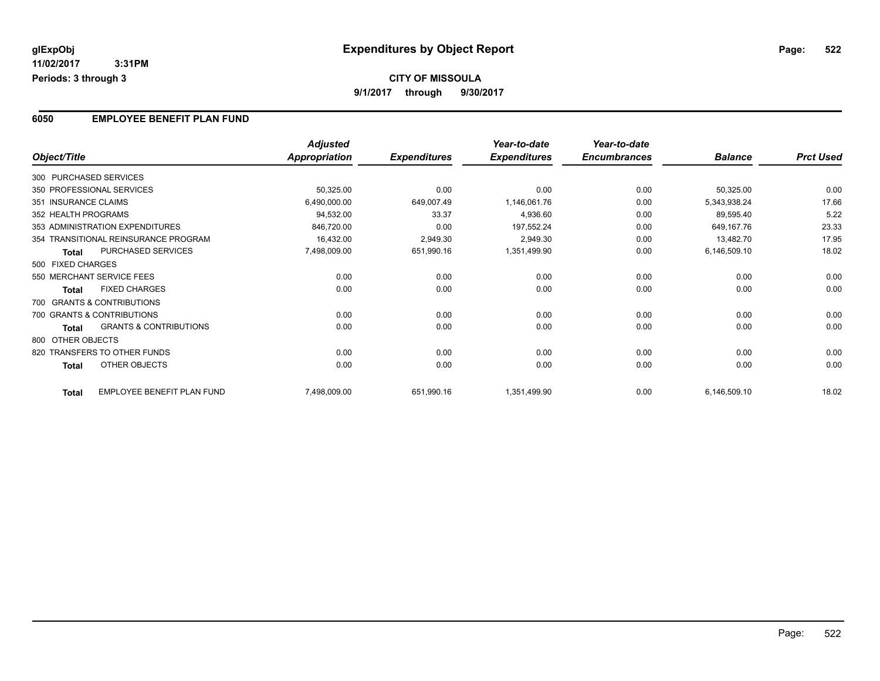#### **6050 EMPLOYEE BENEFIT PLAN FUND**

|              |                                            | <b>Adjusted</b>      |                     | Year-to-date        | Year-to-date        |                |                  |
|--------------|--------------------------------------------|----------------------|---------------------|---------------------|---------------------|----------------|------------------|
| Object/Title |                                            | <b>Appropriation</b> | <b>Expenditures</b> | <b>Expenditures</b> | <b>Encumbrances</b> | <b>Balance</b> | <b>Prct Used</b> |
|              | 300 PURCHASED SERVICES                     |                      |                     |                     |                     |                |                  |
|              | 350 PROFESSIONAL SERVICES                  | 50,325.00            | 0.00                | 0.00                | 0.00                | 50,325.00      | 0.00             |
|              | 351 INSURANCE CLAIMS                       | 6,490,000.00         | 649,007.49          | 1,146,061.76        | 0.00                | 5,343,938.24   | 17.66            |
|              | 352 HEALTH PROGRAMS                        | 94,532.00            | 33.37               | 4,936.60            | 0.00                | 89,595.40      | 5.22             |
|              | 353 ADMINISTRATION EXPENDITURES            | 846,720.00           | 0.00                | 197,552.24          | 0.00                | 649,167.76     | 23.33            |
|              | 354 TRANSITIONAL REINSURANCE PROGRAM       | 16,432.00            | 2,949.30            | 2,949.30            | 0.00                | 13,482.70      | 17.95            |
|              | PURCHASED SERVICES<br><b>Total</b>         | 7,498,009.00         | 651,990.16          | 1,351,499.90        | 0.00                | 6,146,509.10   | 18.02            |
|              | 500 FIXED CHARGES                          |                      |                     |                     |                     |                |                  |
|              | 550 MERCHANT SERVICE FEES                  | 0.00                 | 0.00                | 0.00                | 0.00                | 0.00           | 0.00             |
|              | <b>FIXED CHARGES</b><br><b>Total</b>       | 0.00                 | 0.00                | 0.00                | 0.00                | 0.00           | 0.00             |
|              | 700 GRANTS & CONTRIBUTIONS                 |                      |                     |                     |                     |                |                  |
|              | 700 GRANTS & CONTRIBUTIONS                 | 0.00                 | 0.00                | 0.00                | 0.00                | 0.00           | 0.00             |
|              | <b>GRANTS &amp; CONTRIBUTIONS</b><br>Total | 0.00                 | 0.00                | 0.00                | 0.00                | 0.00           | 0.00             |
|              | 800 OTHER OBJECTS                          |                      |                     |                     |                     |                |                  |
|              | 820 TRANSFERS TO OTHER FUNDS               | 0.00                 | 0.00                | 0.00                | 0.00                | 0.00           | 0.00             |
|              | OTHER OBJECTS<br><b>Total</b>              | 0.00                 | 0.00                | 0.00                | 0.00                | 0.00           | 0.00             |
|              | EMPLOYEE BENEFIT PLAN FUND<br><b>Total</b> | 7,498,009.00         | 651,990.16          | 1,351,499.90        | 0.00                | 6,146,509.10   | 18.02            |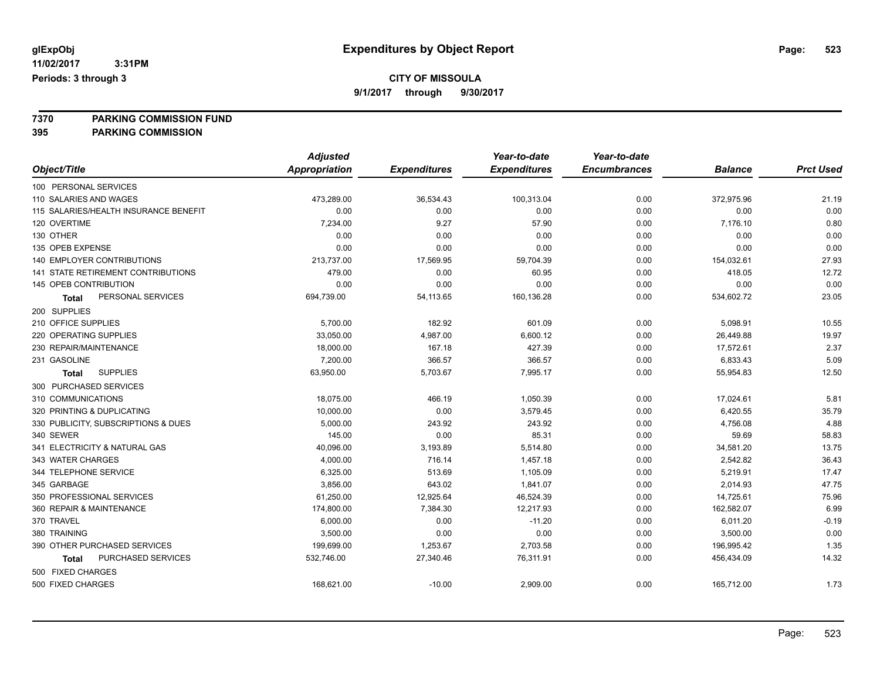### **CITY OF MISSOULA**

**9/1/2017 through 9/30/2017**

**7370 PARKING COMMISSION FUND**

**395 PARKING COMMISSION**

|                                       | <b>Adjusted</b>      |                     | Year-to-date        | Year-to-date        |                |                  |
|---------------------------------------|----------------------|---------------------|---------------------|---------------------|----------------|------------------|
| Object/Title                          | <b>Appropriation</b> | <b>Expenditures</b> | <b>Expenditures</b> | <b>Encumbrances</b> | <b>Balance</b> | <b>Prct Used</b> |
| 100 PERSONAL SERVICES                 |                      |                     |                     |                     |                |                  |
| 110 SALARIES AND WAGES                | 473,289.00           | 36,534.43           | 100,313.04          | 0.00                | 372,975.96     | 21.19            |
| 115 SALARIES/HEALTH INSURANCE BENEFIT | 0.00                 | 0.00                | 0.00                | 0.00                | 0.00           | 0.00             |
| 120 OVERTIME                          | 7,234.00             | 9.27                | 57.90               | 0.00                | 7,176.10       | 0.80             |
| 130 OTHER                             | 0.00                 | 0.00                | 0.00                | 0.00                | 0.00           | 0.00             |
| 135 OPEB EXPENSE                      | 0.00                 | 0.00                | 0.00                | 0.00                | 0.00           | 0.00             |
| 140 EMPLOYER CONTRIBUTIONS            | 213,737.00           | 17,569.95           | 59,704.39           | 0.00                | 154,032.61     | 27.93            |
| 141 STATE RETIREMENT CONTRIBUTIONS    | 479.00               | 0.00                | 60.95               | 0.00                | 418.05         | 12.72            |
| 145 OPEB CONTRIBUTION                 | 0.00                 | 0.00                | 0.00                | 0.00                | 0.00           | 0.00             |
| PERSONAL SERVICES<br>Total            | 694,739.00           | 54,113.65           | 160,136.28          | 0.00                | 534,602.72     | 23.05            |
| 200 SUPPLIES                          |                      |                     |                     |                     |                |                  |
| 210 OFFICE SUPPLIES                   | 5,700.00             | 182.92              | 601.09              | 0.00                | 5,098.91       | 10.55            |
| 220 OPERATING SUPPLIES                | 33,050.00            | 4,987.00            | 6,600.12            | 0.00                | 26,449.88      | 19.97            |
| 230 REPAIR/MAINTENANCE                | 18,000.00            | 167.18              | 427.39              | 0.00                | 17,572.61      | 2.37             |
| 231 GASOLINE                          | 7,200.00             | 366.57              | 366.57              | 0.00                | 6,833.43       | 5.09             |
| <b>SUPPLIES</b><br>Total              | 63,950.00            | 5,703.67            | 7,995.17            | 0.00                | 55,954.83      | 12.50            |
| 300 PURCHASED SERVICES                |                      |                     |                     |                     |                |                  |
| 310 COMMUNICATIONS                    | 18,075.00            | 466.19              | 1,050.39            | 0.00                | 17,024.61      | 5.81             |
| 320 PRINTING & DUPLICATING            | 10,000.00            | 0.00                | 3,579.45            | 0.00                | 6,420.55       | 35.79            |
| 330 PUBLICITY, SUBSCRIPTIONS & DUES   | 5,000.00             | 243.92              | 243.92              | 0.00                | 4,756.08       | 4.88             |
| 340 SEWER                             | 145.00               | 0.00                | 85.31               | 0.00                | 59.69          | 58.83            |
| 341 ELECTRICITY & NATURAL GAS         | 40,096.00            | 3,193.89            | 5,514.80            | 0.00                | 34,581.20      | 13.75            |
| 343 WATER CHARGES                     | 4,000.00             | 716.14              | 1,457.18            | 0.00                | 2,542.82       | 36.43            |
| 344 TELEPHONE SERVICE                 | 6,325.00             | 513.69              | 1,105.09            | 0.00                | 5,219.91       | 17.47            |
| 345 GARBAGE                           | 3,856.00             | 643.02              | 1,841.07            | 0.00                | 2,014.93       | 47.75            |
| 350 PROFESSIONAL SERVICES             | 61,250.00            | 12,925.64           | 46,524.39           | 0.00                | 14,725.61      | 75.96            |
| 360 REPAIR & MAINTENANCE              | 174,800.00           | 7,384.30            | 12,217.93           | 0.00                | 162,582.07     | 6.99             |
| 370 TRAVEL                            | 6,000.00             | 0.00                | $-11.20$            | 0.00                | 6,011.20       | $-0.19$          |
| 380 TRAINING                          | 3,500.00             | 0.00                | 0.00                | 0.00                | 3,500.00       | 0.00             |
| 390 OTHER PURCHASED SERVICES          | 199,699.00           | 1,253.67            | 2,703.58            | 0.00                | 196,995.42     | 1.35             |
| PURCHASED SERVICES<br>Total           | 532,746.00           | 27,340.46           | 76,311.91           | 0.00                | 456,434.09     | 14.32            |
| 500 FIXED CHARGES                     |                      |                     |                     |                     |                |                  |
| 500 FIXED CHARGES                     | 168,621.00           | $-10.00$            | 2,909.00            | 0.00                | 165,712.00     | 1.73             |
|                                       |                      |                     |                     |                     |                |                  |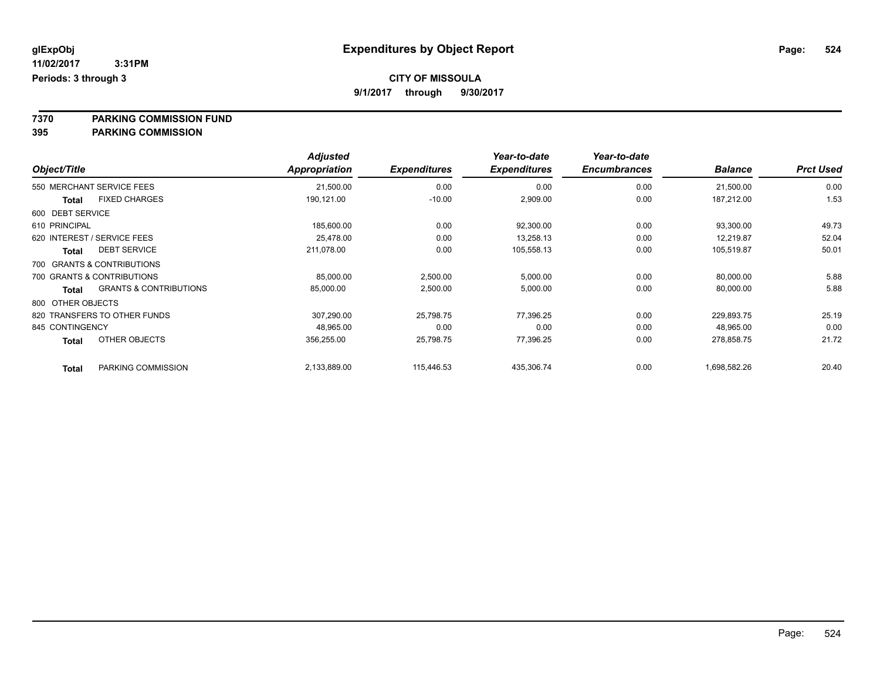### **CITY OF MISSOULA**

**9/1/2017 through 9/30/2017**

**7370 PARKING COMMISSION FUND**

**395 PARKING COMMISSION**

|                                                   | <b>Adjusted</b>      |                     | Year-to-date        | Year-to-date        |                |                  |
|---------------------------------------------------|----------------------|---------------------|---------------------|---------------------|----------------|------------------|
| Object/Title                                      | <b>Appropriation</b> | <b>Expenditures</b> | <b>Expenditures</b> | <b>Encumbrances</b> | <b>Balance</b> | <b>Prct Used</b> |
| 550 MERCHANT SERVICE FEES                         | 21,500.00            | 0.00                | 0.00                | 0.00                | 21,500.00      | 0.00             |
| <b>FIXED CHARGES</b><br>Total                     | 190,121.00           | $-10.00$            | 2,909.00            | 0.00                | 187,212.00     | 1.53             |
| 600 DEBT SERVICE                                  |                      |                     |                     |                     |                |                  |
| 610 PRINCIPAL                                     | 185,600.00           | 0.00                | 92,300.00           | 0.00                | 93,300.00      | 49.73            |
| 620 INTEREST / SERVICE FEES                       | 25.478.00            | 0.00                | 13,258.13           | 0.00                | 12,219.87      | 52.04            |
| <b>DEBT SERVICE</b><br><b>Total</b>               | 211,078.00           | 0.00                | 105,558.13          | 0.00                | 105,519.87     | 50.01            |
| 700 GRANTS & CONTRIBUTIONS                        |                      |                     |                     |                     |                |                  |
| 700 GRANTS & CONTRIBUTIONS                        | 85,000.00            | 2,500.00            | 5,000.00            | 0.00                | 80,000.00      | 5.88             |
| <b>GRANTS &amp; CONTRIBUTIONS</b><br><b>Total</b> | 85,000.00            | 2,500.00            | 5,000.00            | 0.00                | 80,000.00      | 5.88             |
| 800 OTHER OBJECTS                                 |                      |                     |                     |                     |                |                  |
| 820 TRANSFERS TO OTHER FUNDS                      | 307,290.00           | 25,798.75           | 77,396.25           | 0.00                | 229,893.75     | 25.19            |
| 845 CONTINGENCY                                   | 48,965.00            | 0.00                | 0.00                | 0.00                | 48,965.00      | 0.00             |
| OTHER OBJECTS<br><b>Total</b>                     | 356,255.00           | 25,798.75           | 77,396.25           | 0.00                | 278,858.75     | 21.72            |
| PARKING COMMISSION<br><b>Total</b>                | 2,133,889.00         | 115.446.53          | 435,306.74          | 0.00                | 1,698,582.26   | 20.40            |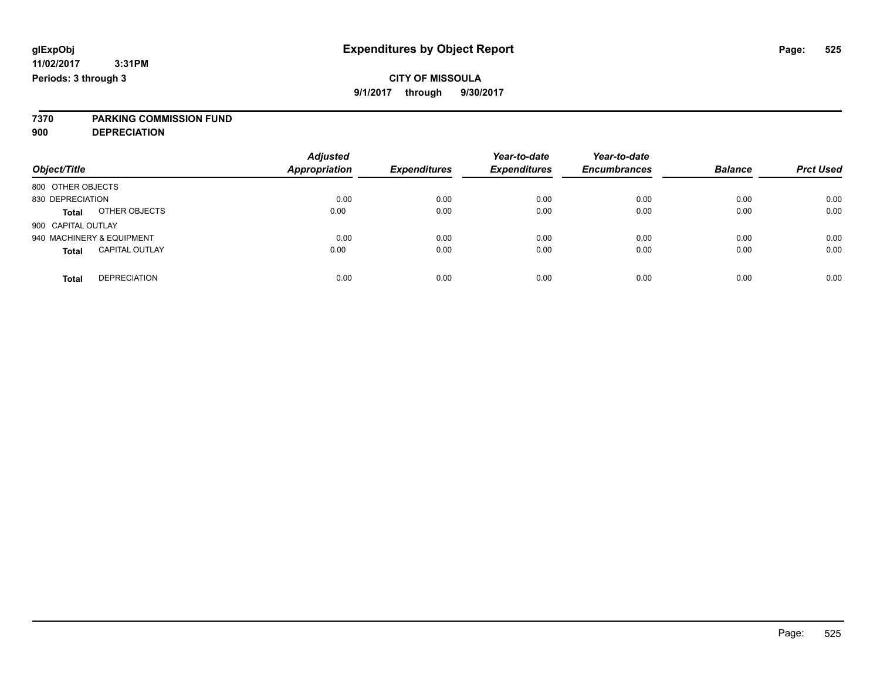**7370 PARKING COMMISSION FUND**

**900 DEPRECIATION**

| Object/Title                          | <b>Adjusted</b><br><b>Appropriation</b> | <b>Expenditures</b> | Year-to-date<br><b>Expenditures</b> | Year-to-date<br><b>Encumbrances</b> | <b>Balance</b> | <b>Prct Used</b> |
|---------------------------------------|-----------------------------------------|---------------------|-------------------------------------|-------------------------------------|----------------|------------------|
| 800 OTHER OBJECTS                     |                                         |                     |                                     |                                     |                |                  |
| 830 DEPRECIATION                      | 0.00                                    | 0.00                | 0.00                                | 0.00                                | 0.00           | 0.00             |
| OTHER OBJECTS<br><b>Total</b>         | 0.00                                    | 0.00                | 0.00                                | 0.00                                | 0.00           | 0.00             |
| 900 CAPITAL OUTLAY                    |                                         |                     |                                     |                                     |                |                  |
| 940 MACHINERY & EQUIPMENT             | 0.00                                    | 0.00                | 0.00                                | 0.00                                | 0.00           | 0.00             |
| <b>CAPITAL OUTLAY</b><br><b>Total</b> | 0.00                                    | 0.00                | 0.00                                | 0.00                                | 0.00           | 0.00             |
|                                       |                                         |                     |                                     |                                     |                |                  |
| <b>DEPRECIATION</b><br>Total          | 0.00                                    | 0.00                | 0.00                                | 0.00                                | 0.00           | 0.00             |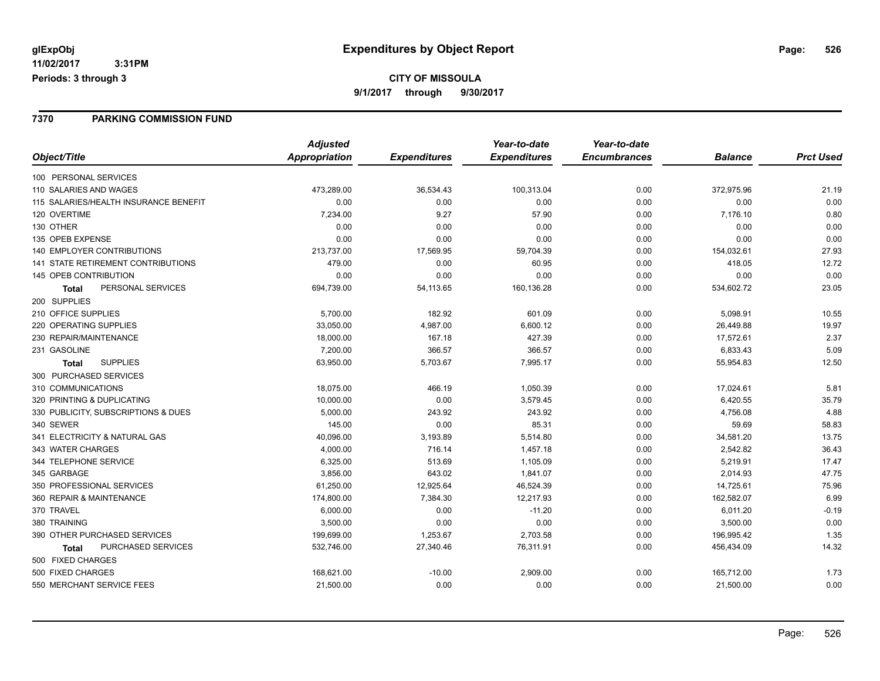#### **7370 PARKING COMMISSION FUND**

|                                       | <b>Adjusted</b> |                     | Year-to-date        | Year-to-date        |                |                  |
|---------------------------------------|-----------------|---------------------|---------------------|---------------------|----------------|------------------|
| Object/Title                          | Appropriation   | <b>Expenditures</b> | <b>Expenditures</b> | <b>Encumbrances</b> | <b>Balance</b> | <b>Prct Used</b> |
| 100 PERSONAL SERVICES                 |                 |                     |                     |                     |                |                  |
| 110 SALARIES AND WAGES                | 473,289.00      | 36,534.43           | 100,313.04          | 0.00                | 372,975.96     | 21.19            |
| 115 SALARIES/HEALTH INSURANCE BENEFIT | 0.00            | 0.00                | 0.00                | 0.00                | 0.00           | 0.00             |
| 120 OVERTIME                          | 7,234.00        | 9.27                | 57.90               | 0.00                | 7,176.10       | 0.80             |
| 130 OTHER                             | 0.00            | 0.00                | 0.00                | 0.00                | 0.00           | 0.00             |
| 135 OPEB EXPENSE                      | 0.00            | 0.00                | 0.00                | 0.00                | 0.00           | 0.00             |
| <b>140 EMPLOYER CONTRIBUTIONS</b>     | 213,737.00      | 17,569.95           | 59,704.39           | 0.00                | 154,032.61     | 27.93            |
| 141 STATE RETIREMENT CONTRIBUTIONS    | 479.00          | 0.00                | 60.95               | 0.00                | 418.05         | 12.72            |
| 145 OPEB CONTRIBUTION                 | 0.00            | 0.00                | 0.00                | 0.00                | 0.00           | 0.00             |
| PERSONAL SERVICES<br><b>Total</b>     | 694,739.00      | 54,113.65           | 160,136.28          | 0.00                | 534,602.72     | 23.05            |
| 200 SUPPLIES                          |                 |                     |                     |                     |                |                  |
| 210 OFFICE SUPPLIES                   | 5,700.00        | 182.92              | 601.09              | 0.00                | 5,098.91       | 10.55            |
| 220 OPERATING SUPPLIES                | 33,050.00       | 4,987.00            | 6,600.12            | 0.00                | 26,449.88      | 19.97            |
| 230 REPAIR/MAINTENANCE                | 18,000.00       | 167.18              | 427.39              | 0.00                | 17,572.61      | 2.37             |
| 231 GASOLINE                          | 7,200.00        | 366.57              | 366.57              | 0.00                | 6,833.43       | 5.09             |
| <b>SUPPLIES</b><br>Total              | 63,950.00       | 5,703.67            | 7,995.17            | 0.00                | 55,954.83      | 12.50            |
| 300 PURCHASED SERVICES                |                 |                     |                     |                     |                |                  |
| 310 COMMUNICATIONS                    | 18,075.00       | 466.19              | 1,050.39            | 0.00                | 17,024.61      | 5.81             |
| 320 PRINTING & DUPLICATING            | 10,000.00       | 0.00                | 3,579.45            | 0.00                | 6,420.55       | 35.79            |
| 330 PUBLICITY, SUBSCRIPTIONS & DUES   | 5,000.00        | 243.92              | 243.92              | 0.00                | 4,756.08       | 4.88             |
| 340 SEWER                             | 145.00          | 0.00                | 85.31               | 0.00                | 59.69          | 58.83            |
| 341 ELECTRICITY & NATURAL GAS         | 40,096.00       | 3,193.89            | 5,514.80            | 0.00                | 34,581.20      | 13.75            |
| 343 WATER CHARGES                     | 4,000.00        | 716.14              | 1,457.18            | 0.00                | 2,542.82       | 36.43            |
| 344 TELEPHONE SERVICE                 | 6,325.00        | 513.69              | 1,105.09            | 0.00                | 5,219.91       | 17.47            |
| 345 GARBAGE                           | 3,856.00        | 643.02              | 1,841.07            | 0.00                | 2,014.93       | 47.75            |
| 350 PROFESSIONAL SERVICES             | 61,250.00       | 12,925.64           | 46,524.39           | 0.00                | 14,725.61      | 75.96            |
| 360 REPAIR & MAINTENANCE              | 174,800.00      | 7,384.30            | 12,217.93           | 0.00                | 162,582.07     | 6.99             |
| 370 TRAVEL                            | 6,000.00        | 0.00                | $-11.20$            | 0.00                | 6,011.20       | $-0.19$          |
| 380 TRAINING                          | 3,500.00        | 0.00                | 0.00                | 0.00                | 3,500.00       | 0.00             |
| 390 OTHER PURCHASED SERVICES          | 199,699.00      | 1,253.67            | 2,703.58            | 0.00                | 196,995.42     | 1.35             |
| PURCHASED SERVICES<br>Total           | 532,746.00      | 27,340.46           | 76,311.91           | 0.00                | 456,434.09     | 14.32            |
| 500 FIXED CHARGES                     |                 |                     |                     |                     |                |                  |
| 500 FIXED CHARGES                     | 168,621.00      | $-10.00$            | 2,909.00            | 0.00                | 165,712.00     | 1.73             |
| 550 MERCHANT SERVICE FEES             | 21,500.00       | 0.00                | 0.00                | 0.00                | 21,500.00      | 0.00             |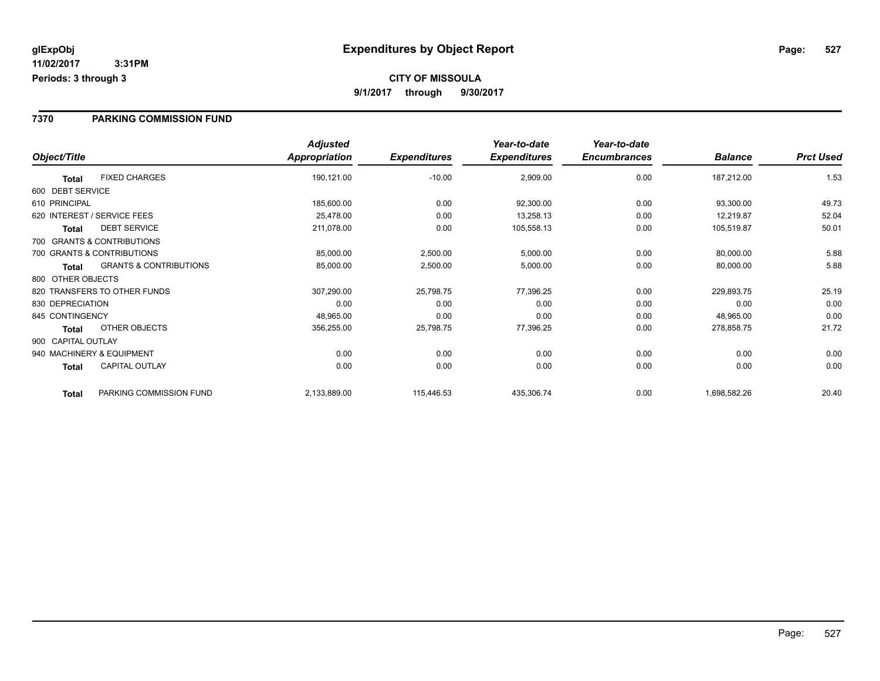#### **7370 PARKING COMMISSION FUND**

|                    |                                   | <b>Adjusted</b> |                     | Year-to-date        | Year-to-date        |                |                  |
|--------------------|-----------------------------------|-----------------|---------------------|---------------------|---------------------|----------------|------------------|
| Object/Title       |                                   | Appropriation   | <b>Expenditures</b> | <b>Expenditures</b> | <b>Encumbrances</b> | <b>Balance</b> | <b>Prct Used</b> |
| Total              | <b>FIXED CHARGES</b>              | 190,121.00      | $-10.00$            | 2,909.00            | 0.00                | 187,212.00     | 1.53             |
| 600 DEBT SERVICE   |                                   |                 |                     |                     |                     |                |                  |
| 610 PRINCIPAL      |                                   | 185,600.00      | 0.00                | 92,300.00           | 0.00                | 93,300.00      | 49.73            |
|                    | 620 INTEREST / SERVICE FEES       | 25,478.00       | 0.00                | 13,258.13           | 0.00                | 12,219.87      | 52.04            |
| <b>Total</b>       | <b>DEBT SERVICE</b>               | 211,078.00      | 0.00                | 105,558.13          | 0.00                | 105,519.87     | 50.01            |
|                    | 700 GRANTS & CONTRIBUTIONS        |                 |                     |                     |                     |                |                  |
|                    | 700 GRANTS & CONTRIBUTIONS        | 85,000.00       | 2,500.00            | 5,000.00            | 0.00                | 80,000.00      | 5.88             |
| <b>Total</b>       | <b>GRANTS &amp; CONTRIBUTIONS</b> | 85,000.00       | 2,500.00            | 5,000.00            | 0.00                | 80,000.00      | 5.88             |
| 800 OTHER OBJECTS  |                                   |                 |                     |                     |                     |                |                  |
|                    | 820 TRANSFERS TO OTHER FUNDS      | 307,290.00      | 25,798.75           | 77,396.25           | 0.00                | 229,893.75     | 25.19            |
| 830 DEPRECIATION   |                                   | 0.00            | 0.00                | 0.00                | 0.00                | 0.00           | 0.00             |
| 845 CONTINGENCY    |                                   | 48,965.00       | 0.00                | 0.00                | 0.00                | 48,965.00      | 0.00             |
| Total              | OTHER OBJECTS                     | 356,255.00      | 25,798.75           | 77,396.25           | 0.00                | 278,858.75     | 21.72            |
| 900 CAPITAL OUTLAY |                                   |                 |                     |                     |                     |                |                  |
|                    | 940 MACHINERY & EQUIPMENT         | 0.00            | 0.00                | 0.00                | 0.00                | 0.00           | 0.00             |
| Total              | <b>CAPITAL OUTLAY</b>             | 0.00            | 0.00                | 0.00                | 0.00                | 0.00           | 0.00             |
| <b>Total</b>       | PARKING COMMISSION FUND           | 2,133,889.00    | 115,446.53          | 435,306.74          | 0.00                | 1,698,582.26   | 20.40            |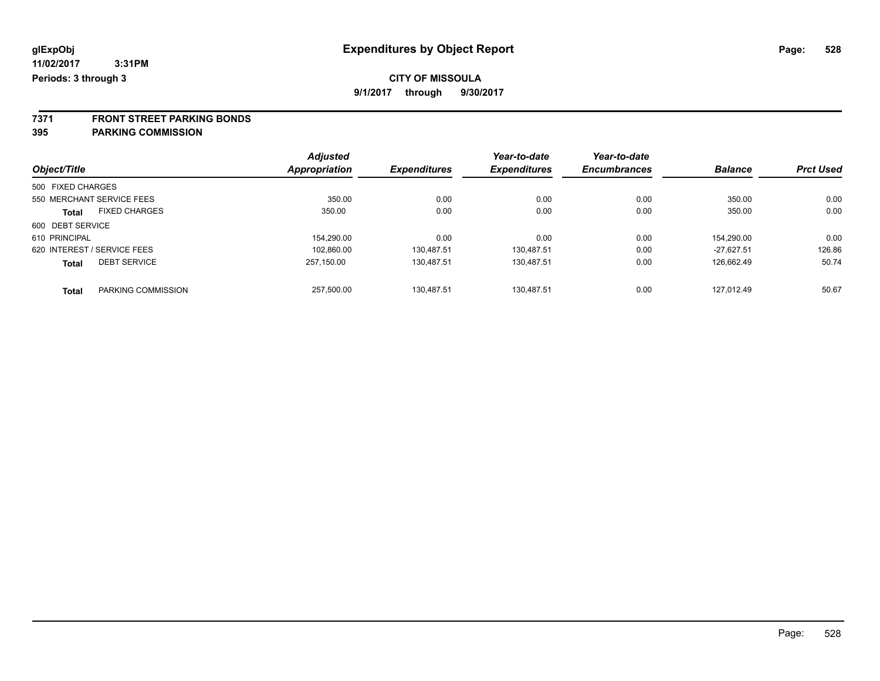### **CITY OF MISSOULA**

**9/1/2017 through 9/30/2017**

**7371 FRONT STREET PARKING BONDS**

**395 PARKING COMMISSION**

|                   |                             | <b>Adjusted</b> |                     | Year-to-date        | Year-to-date        |                |                  |
|-------------------|-----------------------------|-----------------|---------------------|---------------------|---------------------|----------------|------------------|
| Object/Title      |                             | Appropriation   | <b>Expenditures</b> | <b>Expenditures</b> | <b>Encumbrances</b> | <b>Balance</b> | <b>Prct Used</b> |
| 500 FIXED CHARGES |                             |                 |                     |                     |                     |                |                  |
|                   | 550 MERCHANT SERVICE FEES   | 350.00          | 0.00                | 0.00                | 0.00                | 350.00         | 0.00             |
| <b>Total</b>      | <b>FIXED CHARGES</b>        | 350.00          | 0.00                | 0.00                | 0.00                | 350.00         | 0.00             |
| 600 DEBT SERVICE  |                             |                 |                     |                     |                     |                |                  |
| 610 PRINCIPAL     |                             | 154,290.00      | 0.00                | 0.00                | 0.00                | 154.290.00     | 0.00             |
|                   | 620 INTEREST / SERVICE FEES | 102.860.00      | 130.487.51          | 130.487.51          | 0.00                | $-27.627.51$   | 126.86           |
| <b>Total</b>      | <b>DEBT SERVICE</b>         | 257.150.00      | 130.487.51          | 130.487.51          | 0.00                | 126.662.49     | 50.74            |
| <b>Total</b>      | PARKING COMMISSION          | 257.500.00      | 130.487.51          | 130.487.51          | 0.00                | 127.012.49     | 50.67            |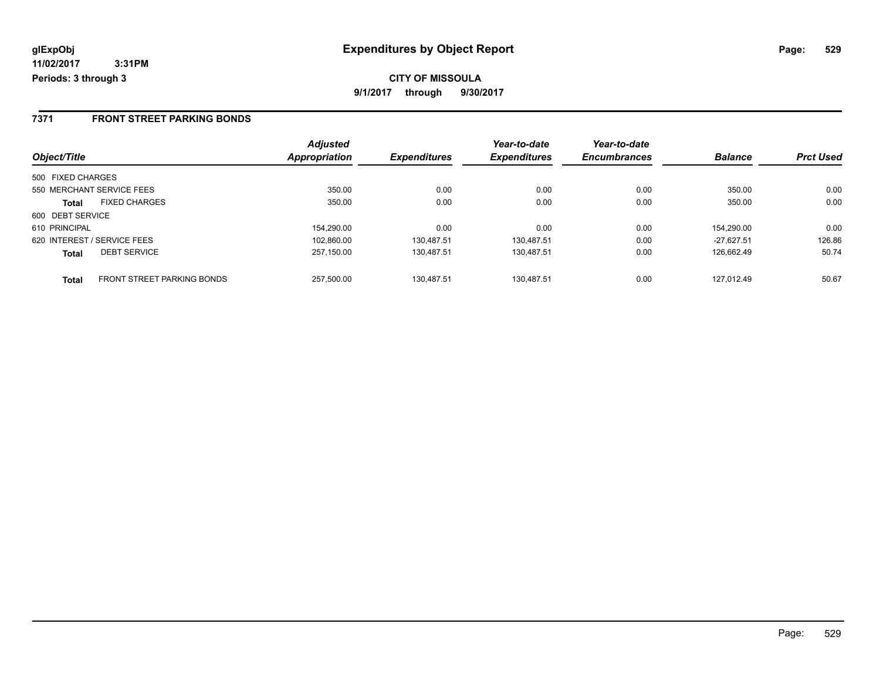**9/1/2017 through 9/30/2017**

#### **7371 FRONT STREET PARKING BONDS**

|                                                   | <b>Adjusted</b>      |                     | Year-to-date        | Year-to-date        |                |                  |
|---------------------------------------------------|----------------------|---------------------|---------------------|---------------------|----------------|------------------|
| Object/Title                                      | <b>Appropriation</b> | <b>Expenditures</b> | <b>Expenditures</b> | <b>Encumbrances</b> | <b>Balance</b> | <b>Prct Used</b> |
| 500 FIXED CHARGES                                 |                      |                     |                     |                     |                |                  |
| 550 MERCHANT SERVICE FEES                         | 350.00               | 0.00                | 0.00                | 0.00                | 350.00         | 0.00             |
| <b>FIXED CHARGES</b><br><b>Total</b>              | 350.00               | 0.00                | 0.00                | 0.00                | 350.00         | 0.00             |
| 600 DEBT SERVICE                                  |                      |                     |                     |                     |                |                  |
| 610 PRINCIPAL                                     | 154.290.00           | 0.00                | 0.00                | 0.00                | 154.290.00     | 0.00             |
| 620 INTEREST / SERVICE FEES                       | 102.860.00           | 130.487.51          | 130.487.51          | 0.00                | $-27.627.51$   | 126.86           |
| <b>DEBT SERVICE</b><br><b>Total</b>               | 257.150.00           | 130.487.51          | 130.487.51          | 0.00                | 126.662.49     | 50.74            |
| <b>FRONT STREET PARKING BONDS</b><br><b>Total</b> | 257.500.00           | 130.487.51          | 130.487.51          | 0.00                | 127.012.49     | 50.67            |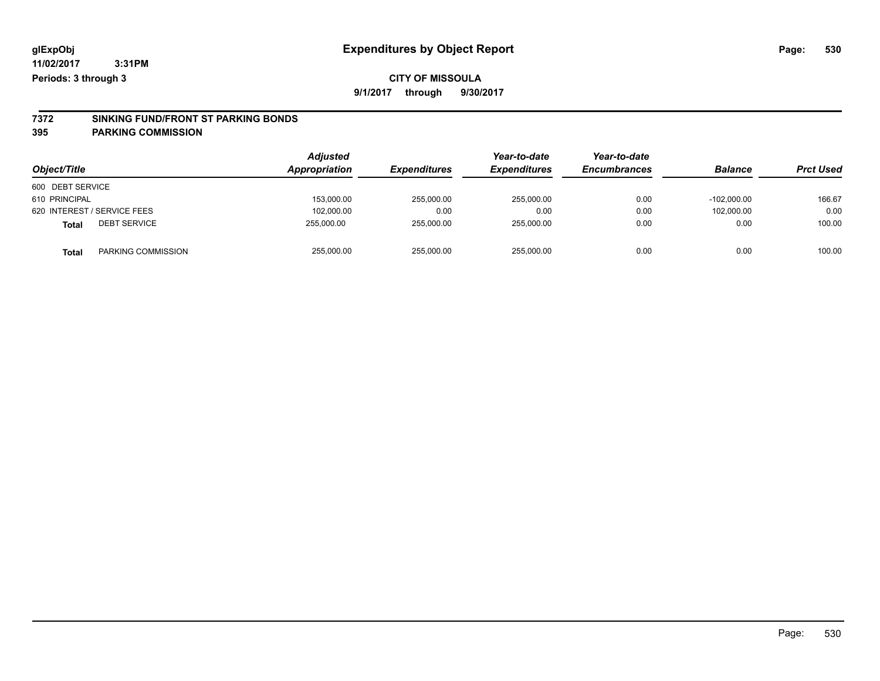#### **CITY OF MISSOULA**

**9/1/2017 through 9/30/2017**

# **7372 SINKING FUND/FRONT ST PARKING BONDS**

**395 PARKING COMMISSION**

| Object/Title                        | <b>Adjusted</b><br>Appropriation | <b>Expenditures</b> | Year-to-date<br><b>Expenditures</b> | Year-to-date<br><b>Encumbrances</b> | <b>Balance</b> | <b>Prct Used</b> |
|-------------------------------------|----------------------------------|---------------------|-------------------------------------|-------------------------------------|----------------|------------------|
| 600 DEBT SERVICE                    |                                  |                     |                                     |                                     |                |                  |
| 610 PRINCIPAL                       | 153.000.00                       | 255,000.00          | 255,000.00                          | 0.00                                | $-102.000.00$  | 166.67           |
| 620 INTEREST / SERVICE FEES         | 102,000.00                       | 0.00                | 0.00                                | 0.00                                | 102,000.00     | 0.00             |
| <b>DEBT SERVICE</b><br><b>Total</b> | 255.000.00                       | 255,000.00          | 255,000.00                          | 0.00                                | 0.00           | 100.00           |
| PARKING COMMISSION<br><b>Total</b>  | 255,000.00                       | 255,000.00          | 255,000.00                          | 0.00                                | 0.00           | 100.00           |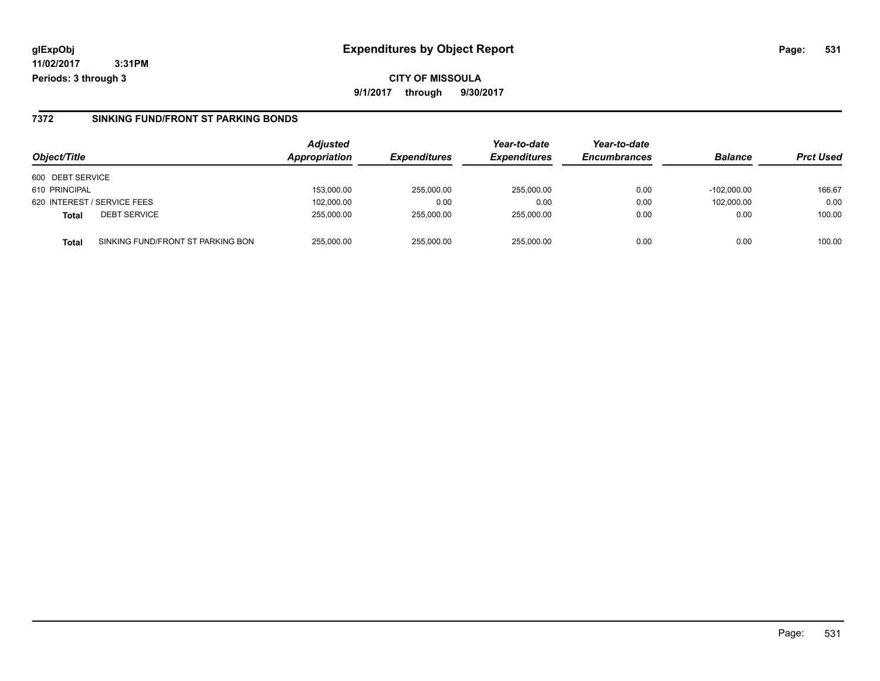#### **glExpObj Expenditures by Object Report Page: 531**

**11/02/2017 3:31PM Periods: 3 through 3**

#### **7372 SINKING FUND/FRONT ST PARKING BONDS**

| Object/Title     |                                   | <b>Adjusted</b><br><b>Appropriation</b> | <b>Expenditures</b> | Year-to-date<br><b>Expenditures</b> | Year-to-date<br><b>Encumbrances</b> | <b>Balance</b> | <b>Prct Used</b> |
|------------------|-----------------------------------|-----------------------------------------|---------------------|-------------------------------------|-------------------------------------|----------------|------------------|
| 600 DEBT SERVICE |                                   |                                         |                     |                                     |                                     |                |                  |
| 610 PRINCIPAL    |                                   | 153,000.00                              | 255.000.00          | 255,000.00                          | 0.00                                | $-102.000.00$  | 166.67           |
|                  | 620 INTEREST / SERVICE FEES       | 102,000.00                              | 0.00                | 0.00                                | 0.00                                | 102,000.00     | 0.00             |
| <b>Total</b>     | <b>DEBT SERVICE</b>               | 255.000.00                              | 255.000.00          | 255.000.00                          | 0.00                                | 0.00           | 100.00           |
| <b>Total</b>     | SINKING FUND/FRONT ST PARKING BON | 255.000.00                              | 255.000.00          | 255.000.00                          | 0.00                                | 0.00           | 100.00           |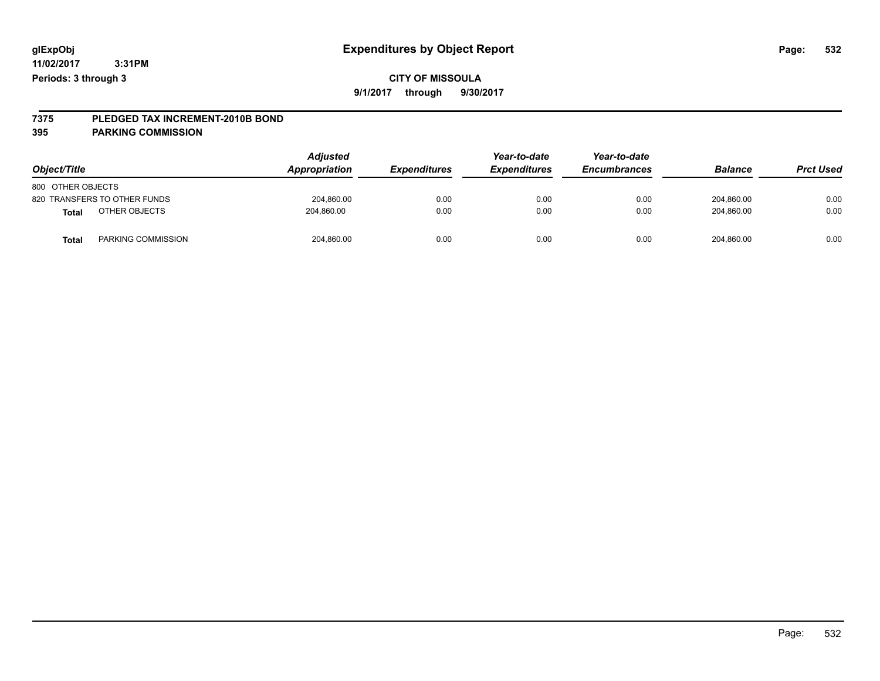### **CITY OF MISSOULA**

**9/1/2017 through 9/30/2017**

# **7375 PLEDGED TAX INCREMENT-2010B BOND**

#### **395 PARKING COMMISSION**

| Object/Title                       | <b>Adjusted</b><br>Appropriation | <b>Expenditures</b> | Year-to-date<br><b>Expenditures</b> | Year-to-date<br><b>Encumbrances</b> | <b>Balance</b> | <b>Prct Used</b> |
|------------------------------------|----------------------------------|---------------------|-------------------------------------|-------------------------------------|----------------|------------------|
| 800 OTHER OBJECTS                  |                                  |                     |                                     |                                     |                |                  |
| 820 TRANSFERS TO OTHER FUNDS       | 204,860.00                       | 0.00                | 0.00                                | 0.00                                | 204,860.00     | 0.00             |
| OTHER OBJECTS<br>Total             | 204,860.00                       | 0.00                | 0.00                                | 0.00                                | 204.860.00     | 0.00             |
| PARKING COMMISSION<br><b>Total</b> | 204,860.00                       | 0.00                | 0.00                                | 0.00                                | 204,860.00     | 0.00             |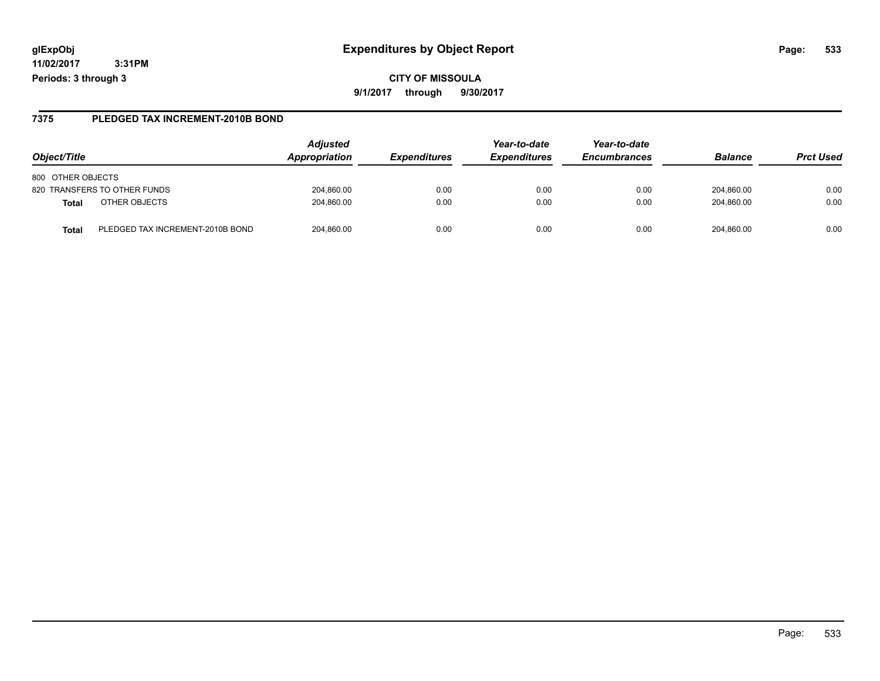#### **glExpObj Expenditures by Object Report Page: 533**

**11/02/2017 3:31PM Periods: 3 through 3**

**9/1/2017 through 9/30/2017**

#### **7375 PLEDGED TAX INCREMENT-2010B BOND**

| Object/Title                              | <b>Adjusted</b><br>Appropriation | <b>Expenditures</b> | Year-to-date<br><b>Expenditures</b> | Year-to-date<br><b>Encumbrances</b> | <b>Balance</b> | <b>Prct Used</b> |
|-------------------------------------------|----------------------------------|---------------------|-------------------------------------|-------------------------------------|----------------|------------------|
| 800 OTHER OBJECTS                         |                                  |                     |                                     |                                     |                |                  |
| 820 TRANSFERS TO OTHER FUNDS              | 204.860.00                       | 0.00                | 0.00                                | 0.00                                | 204.860.00     | 0.00             |
| OTHER OBJECTS<br><b>Total</b>             | 204,860.00                       | 0.00                | 0.00                                | 0.00                                | 204.860.00     | 0.00             |
| PLEDGED TAX INCREMENT-2010B BOND<br>Total | 204.860.00                       | 0.00                | 0.00                                | 0.00                                | 204.860.00     | 0.00             |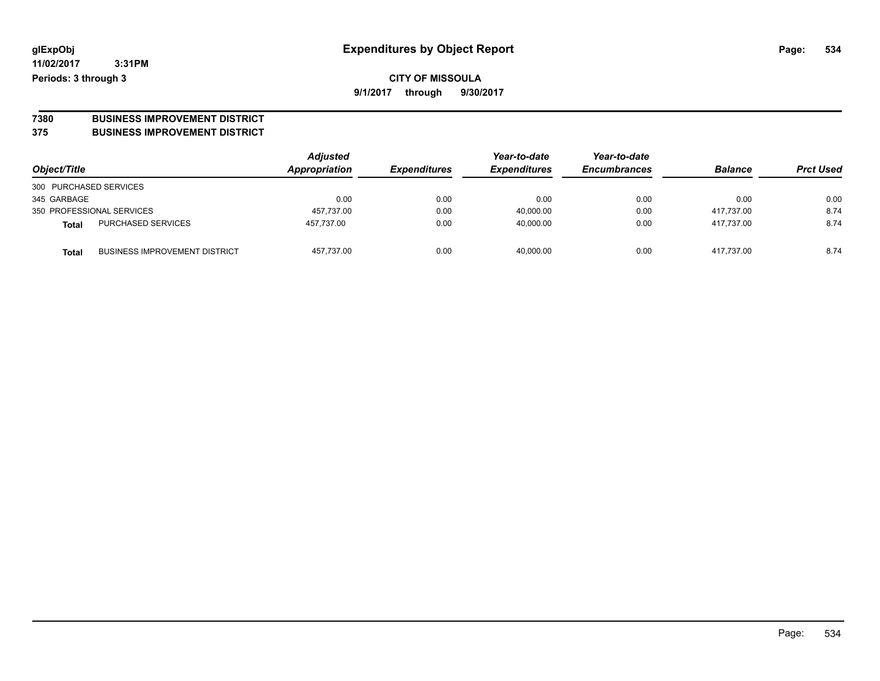# **7380 BUSINESS IMPROVEMENT DISTRICT**

#### **375 BUSINESS IMPROVEMENT DISTRICT**

| Object/Title                                         | Adjusted<br>Appropriation | <b>Expenditures</b> | Year-to-date<br><b>Expenditures</b> | Year-to-date<br><b>Encumbrances</b> | <b>Balance</b> | <b>Prct Used</b> |
|------------------------------------------------------|---------------------------|---------------------|-------------------------------------|-------------------------------------|----------------|------------------|
| 300 PURCHASED SERVICES                               |                           |                     |                                     |                                     |                |                  |
| 345 GARBAGE                                          | 0.00                      | 0.00                | 0.00                                | 0.00                                | 0.00           | 0.00             |
| 350 PROFESSIONAL SERVICES                            | 457,737.00                | 0.00                | 40,000.00                           | 0.00                                | 417.737.00     | 8.74             |
| <b>PURCHASED SERVICES</b><br><b>Total</b>            | 457.737.00                | 0.00                | 40,000.00                           | 0.00                                | 417.737.00     | 8.74             |
| <b>BUSINESS IMPROVEMENT DISTRICT</b><br><b>Total</b> | 457,737.00                | 0.00                | 40.000.00                           | 0.00                                | 417.737.00     | 8.74             |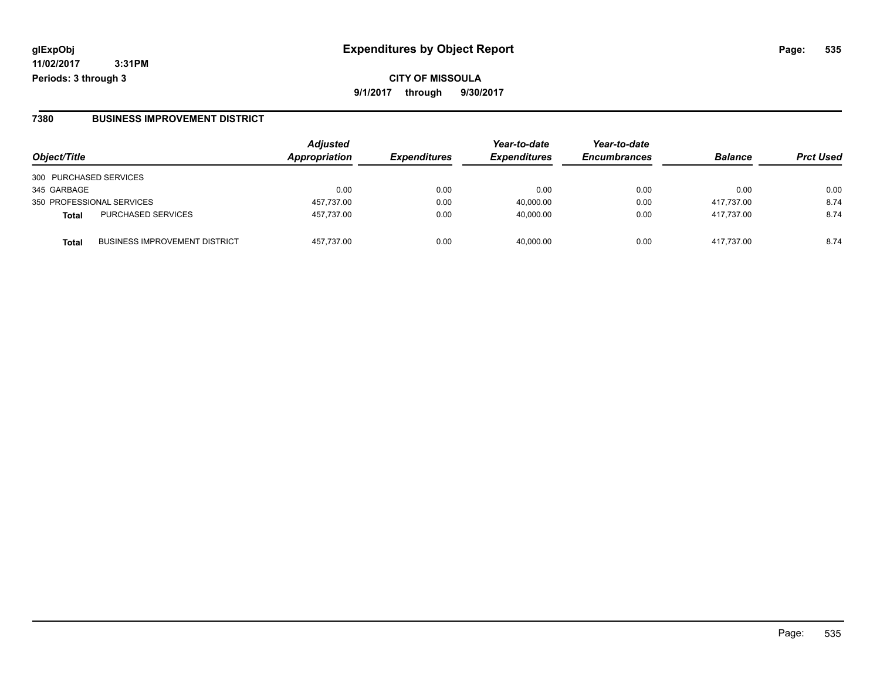**CITY OF MISSOULA 9/1/2017 through 9/30/2017**

#### **7380 BUSINESS IMPROVEMENT DISTRICT**

| Object/Title              |                                      | <b>Adjusted</b><br>Appropriation | <b>Expenditures</b> | Year-to-date<br><b>Expenditures</b> | Year-to-date<br><b>Encumbrances</b> | <b>Balance</b> | <b>Prct Used</b> |
|---------------------------|--------------------------------------|----------------------------------|---------------------|-------------------------------------|-------------------------------------|----------------|------------------|
| 300 PURCHASED SERVICES    |                                      |                                  |                     |                                     |                                     |                |                  |
| 345 GARBAGE               |                                      | 0.00                             | 0.00                | 0.00                                | 0.00                                | 0.00           | 0.00             |
| 350 PROFESSIONAL SERVICES |                                      | 457,737.00                       | 0.00                | 40,000.00                           | 0.00                                | 417.737.00     | 8.74             |
| <b>Total</b>              | <b>PURCHASED SERVICES</b>            | 457,737.00                       | 0.00                | 40.000.00                           | 0.00                                | 417.737.00     | 8.74             |
| Total                     | <b>BUSINESS IMPROVEMENT DISTRICT</b> | 457.737.00                       | 0.00                | 40.000.00                           | 0.00                                | 417.737.00     | 8.74             |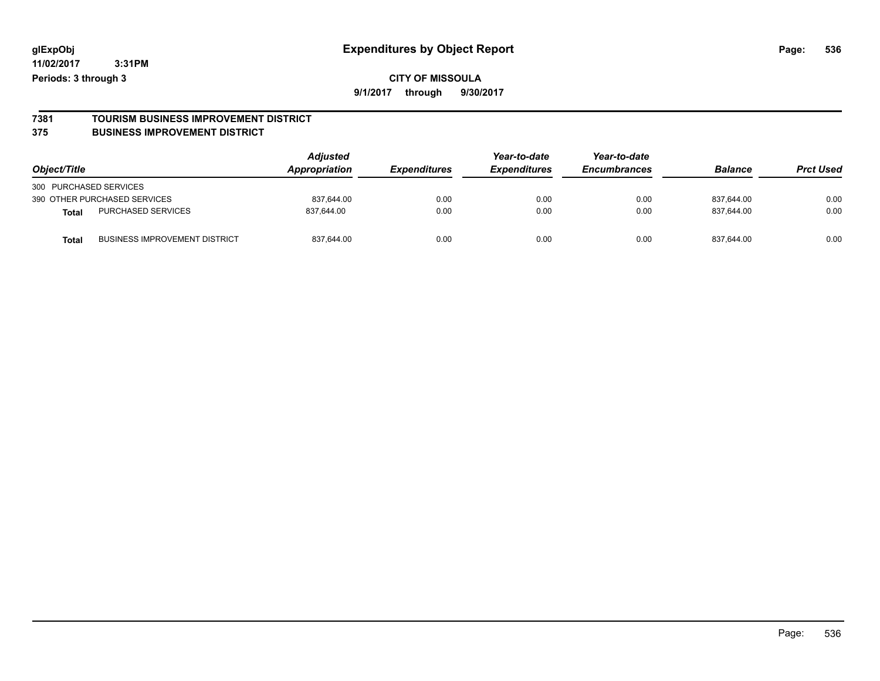# **7381 TOURISM BUSINESS IMPROVEMENT DISTRICT**

#### **375 BUSINESS IMPROVEMENT DISTRICT**

| Object/Title                                         | Adjusted<br>Appropriation | <b>Expenditures</b> | Year-to-date<br><b>Expenditures</b> | Year-to-date<br><b>Encumbrances</b> | <b>Balance</b> | <b>Prct Used</b> |
|------------------------------------------------------|---------------------------|---------------------|-------------------------------------|-------------------------------------|----------------|------------------|
| 300 PURCHASED SERVICES                               |                           |                     |                                     |                                     |                |                  |
| 390 OTHER PURCHASED SERVICES                         | 837,644.00                | 0.00                | 0.00                                | 0.00                                | 837.644.00     | 0.00             |
| <b>PURCHASED SERVICES</b><br><b>Total</b>            | 837.644.00                | 0.00                | 0.00                                | 0.00                                | 837.644.00     | 0.00             |
| <b>BUSINESS IMPROVEMENT DISTRICT</b><br><b>Total</b> | 837,644.00                | 0.00                | 0.00                                | 0.00                                | 837.644.00     | 0.00             |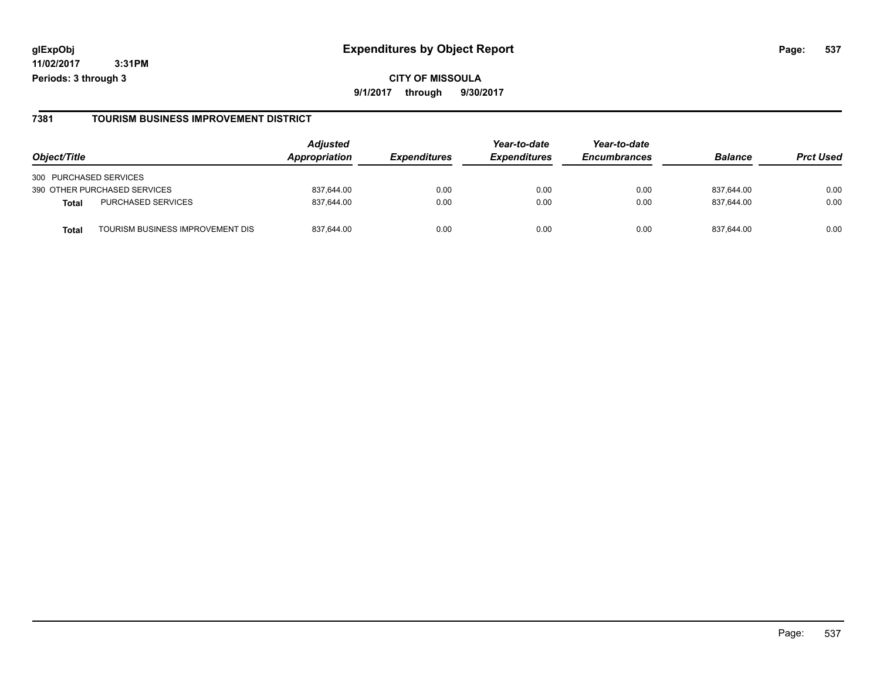#### **glExpObj Expenditures by Object Report Page: 537**

**11/02/2017 3:31PM Periods: 3 through 3**

#### **7381 TOURISM BUSINESS IMPROVEMENT DISTRICT**

| Object/Title                             | <b>Adjusted</b><br><b>Appropriation</b> | <i><b>Expenditures</b></i> | Year-to-date<br><b>Expenditures</b> | Year-to-date<br><b>Encumbrances</b> | <b>Balance</b> | <b>Prct Used</b> |
|------------------------------------------|-----------------------------------------|----------------------------|-------------------------------------|-------------------------------------|----------------|------------------|
| 300 PURCHASED SERVICES                   |                                         |                            |                                     |                                     |                |                  |
| 390 OTHER PURCHASED SERVICES             | 837,644.00                              | 0.00                       | 0.00                                | 0.00                                | 837,644.00     | 0.00             |
| PURCHASED SERVICES<br><b>Total</b>       | 837,644.00                              | 0.00                       | 0.00                                | 0.00                                | 837,644.00     | 0.00             |
| TOURISM BUSINESS IMPROVEMENT DIS<br>Tota | 837.644.00                              | 0.00                       | 0.00                                | 0.00                                | 837.644.00     | 0.00             |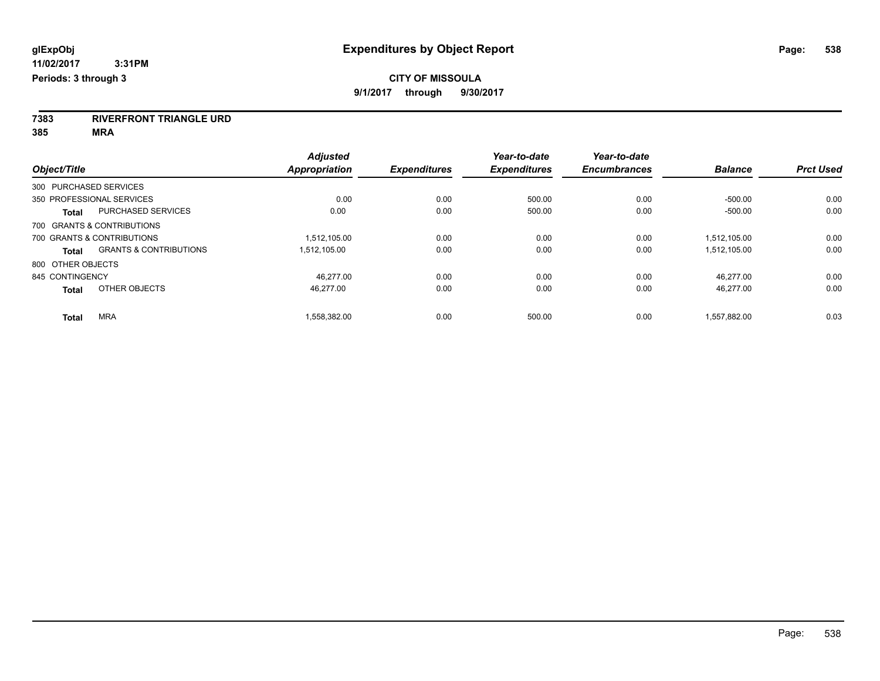**7383 RIVERFRONT TRIANGLE URD**

**385 MRA**

| Object/Title           |                                   | <b>Adjusted</b><br>Appropriation | <b>Expenditures</b> | Year-to-date<br><b>Expenditures</b> | Year-to-date<br><b>Encumbrances</b> | <b>Balance</b> | <b>Prct Used</b> |
|------------------------|-----------------------------------|----------------------------------|---------------------|-------------------------------------|-------------------------------------|----------------|------------------|
| 300 PURCHASED SERVICES |                                   |                                  |                     |                                     |                                     |                |                  |
|                        | 350 PROFESSIONAL SERVICES         | 0.00                             | 0.00                | 500.00                              | 0.00                                | $-500.00$      | 0.00             |
| <b>Total</b>           | PURCHASED SERVICES                | 0.00                             | 0.00                | 500.00                              | 0.00                                | $-500.00$      | 0.00             |
|                        | 700 GRANTS & CONTRIBUTIONS        |                                  |                     |                                     |                                     |                |                  |
|                        | 700 GRANTS & CONTRIBUTIONS        | 1.512.105.00                     | 0.00                | 0.00                                | 0.00                                | 1.512.105.00   | 0.00             |
| Total                  | <b>GRANTS &amp; CONTRIBUTIONS</b> | 1.512.105.00                     | 0.00                | 0.00                                | 0.00                                | 1,512,105.00   | 0.00             |
| 800 OTHER OBJECTS      |                                   |                                  |                     |                                     |                                     |                |                  |
| 845 CONTINGENCY        |                                   | 46.277.00                        | 0.00                | 0.00                                | 0.00                                | 46.277.00      | 0.00             |
| <b>Total</b>           | OTHER OBJECTS                     | 46.277.00                        | 0.00                | 0.00                                | 0.00                                | 46.277.00      | 0.00             |
| <b>Total</b>           | <b>MRA</b>                        | 1,558,382.00                     | 0.00                | 500.00                              | 0.00                                | 1,557,882.00   | 0.03             |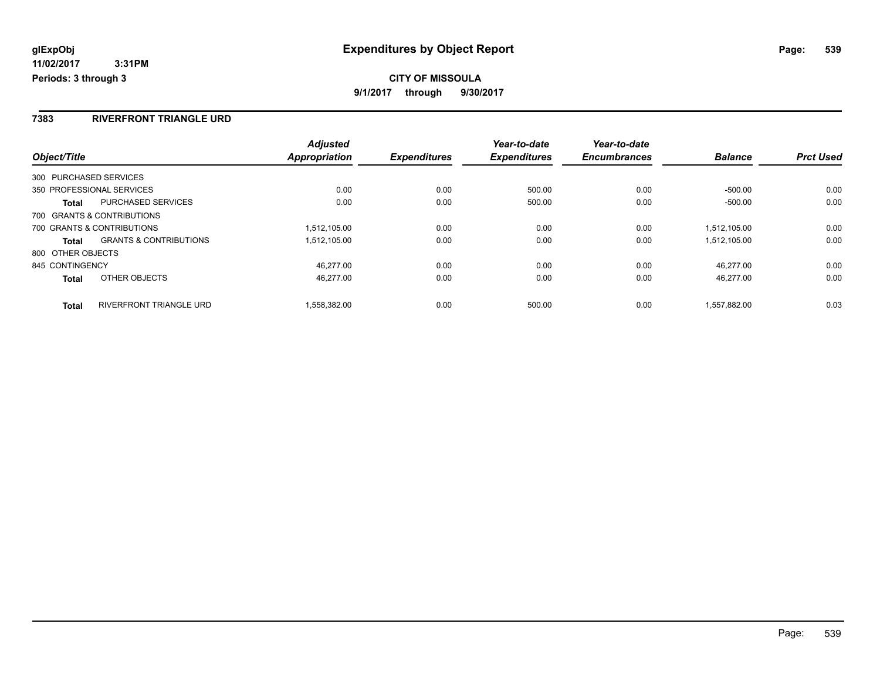#### **7383 RIVERFRONT TRIANGLE URD**

|                   |                                   | <b>Adjusted</b>      |                     | Year-to-date        | Year-to-date        |                |                  |
|-------------------|-----------------------------------|----------------------|---------------------|---------------------|---------------------|----------------|------------------|
| Object/Title      |                                   | <b>Appropriation</b> | <b>Expenditures</b> | <b>Expenditures</b> | <b>Encumbrances</b> | <b>Balance</b> | <b>Prct Used</b> |
|                   | 300 PURCHASED SERVICES            |                      |                     |                     |                     |                |                  |
|                   | 350 PROFESSIONAL SERVICES         | 0.00                 | 0.00                | 500.00              | 0.00                | $-500.00$      | 0.00             |
| Total             | <b>PURCHASED SERVICES</b>         | 0.00                 | 0.00                | 500.00              | 0.00                | $-500.00$      | 0.00             |
|                   | 700 GRANTS & CONTRIBUTIONS        |                      |                     |                     |                     |                |                  |
|                   | 700 GRANTS & CONTRIBUTIONS        | 1,512,105.00         | 0.00                | 0.00                | 0.00                | 1,512,105.00   | 0.00             |
| <b>Total</b>      | <b>GRANTS &amp; CONTRIBUTIONS</b> | 1.512.105.00         | 0.00                | 0.00                | 0.00                | 1.512.105.00   | 0.00             |
| 800 OTHER OBJECTS |                                   |                      |                     |                     |                     |                |                  |
| 845 CONTINGENCY   |                                   | 46.277.00            | 0.00                | 0.00                | 0.00                | 46.277.00      | 0.00             |
| <b>Total</b>      | OTHER OBJECTS                     | 46.277.00            | 0.00                | 0.00                | 0.00                | 46.277.00      | 0.00             |
| <b>Total</b>      | <b>RIVERFRONT TRIANGLE URD</b>    | 1.558.382.00         | 0.00                | 500.00              | 0.00                | 1.557.882.00   | 0.03             |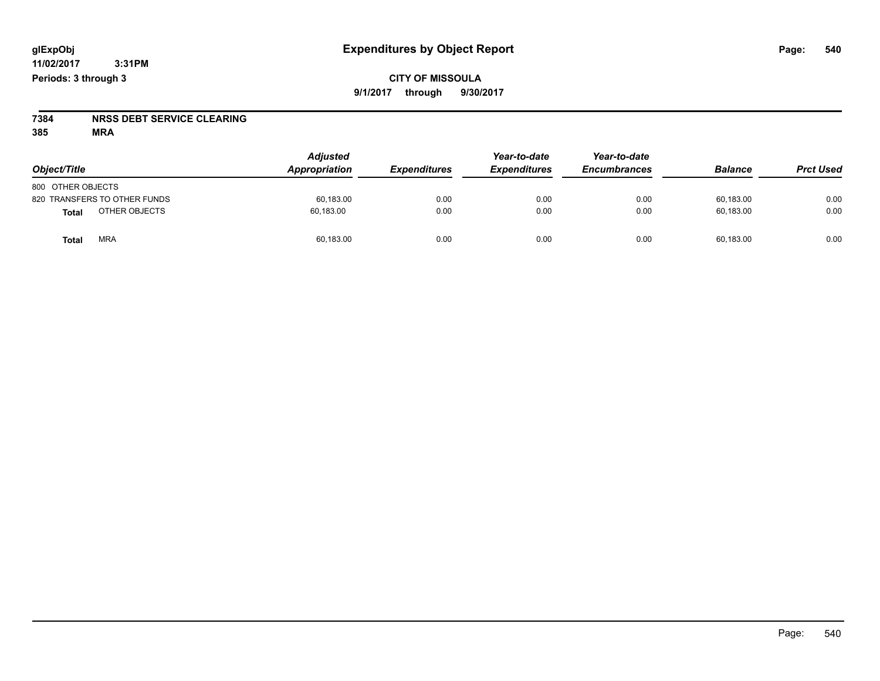# **7384 NRSS DEBT SERVICE CLEARING**

**385 MRA**

| Object/Title                  | <b>Adjusted</b><br><b>Appropriation</b> | <b>Expenditures</b> | Year-to-date<br><b>Expenditures</b> | Year-to-date<br><b>Encumbrances</b> | <b>Balance</b> | <b>Prct Used</b> |
|-------------------------------|-----------------------------------------|---------------------|-------------------------------------|-------------------------------------|----------------|------------------|
| 800 OTHER OBJECTS             |                                         |                     |                                     |                                     |                |                  |
| 820 TRANSFERS TO OTHER FUNDS  | 60.183.00                               | 0.00                | 0.00                                | 0.00                                | 60.183.00      | 0.00             |
| OTHER OBJECTS<br><b>Total</b> | 60,183.00                               | 0.00                | 0.00                                | 0.00                                | 60,183.00      | 0.00             |
| <b>MRA</b><br>Total           | 60,183.00                               | 0.00                | 0.00                                | 0.00                                | 60,183.00      | 0.00             |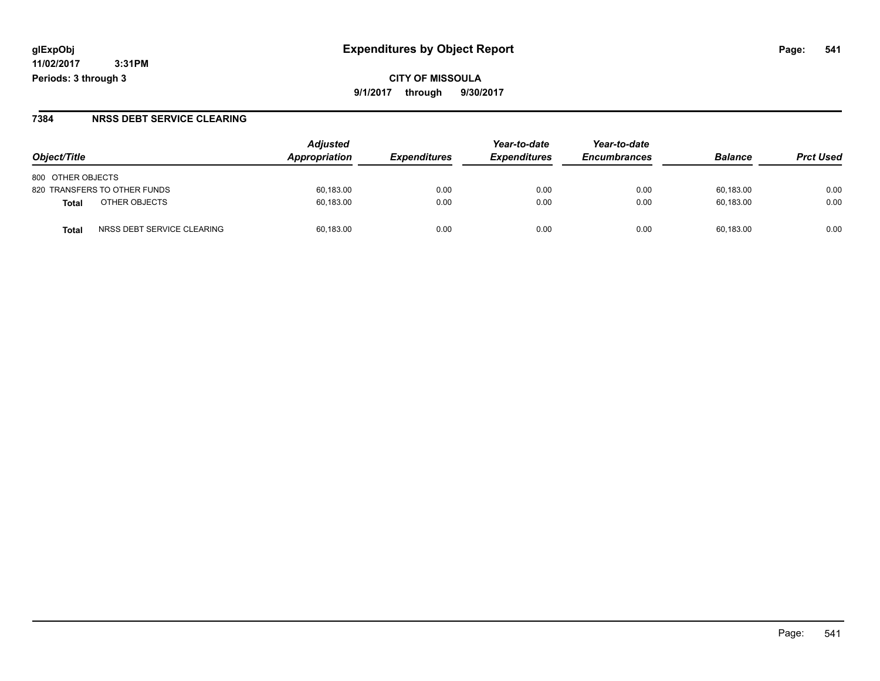**CITY OF MISSOULA 9/1/2017 through 9/30/2017**

### **7384 NRSS DEBT SERVICE CLEARING**

|                                            | <b>Adjusted</b> |                     | Year-to-date               | Year-to-date        |                |                  |
|--------------------------------------------|-----------------|---------------------|----------------------------|---------------------|----------------|------------------|
| Object/Title                               | Appropriation   | <b>Expenditures</b> | <i><b>Expenditures</b></i> | <b>Encumbrances</b> | <b>Balance</b> | <b>Prct Used</b> |
| 800 OTHER OBJECTS                          |                 |                     |                            |                     |                |                  |
| 820 TRANSFERS TO OTHER FUNDS               | 60,183.00       | 0.00                | 0.00                       | 0.00                | 60,183.00      | 0.00             |
| OTHER OBJECTS<br>Total                     | 60,183.00       | 0.00                | 0.00                       | 0.00                | 60,183.00      | 0.00             |
| NRSS DEBT SERVICE CLEARING<br><b>Total</b> | 60.183.00       | 0.00                | 0.00                       | 0.00                | 60.183.00      | 0.00             |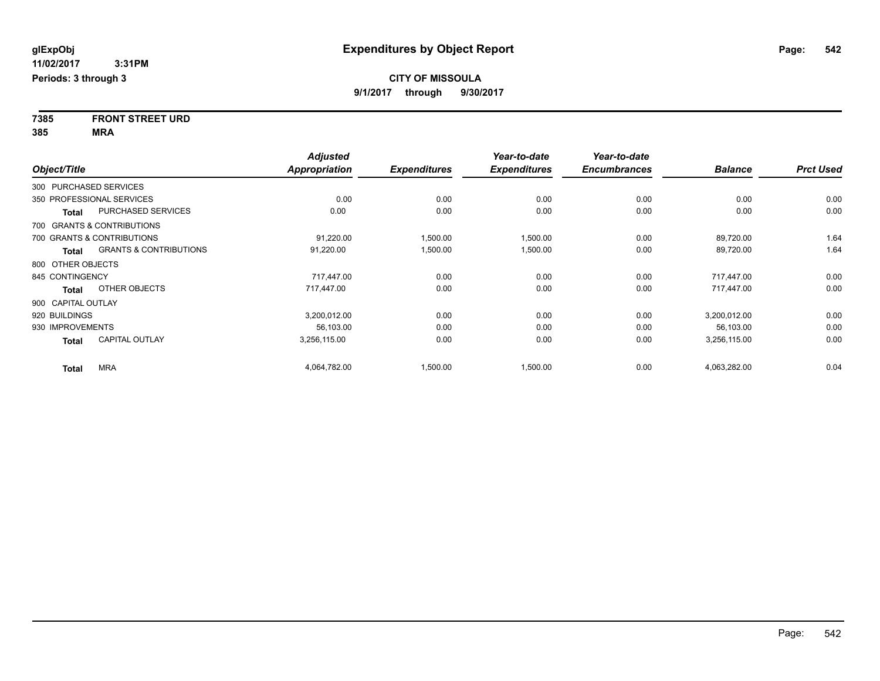**7385 FRONT STREET URD 385 MRA**

|                        |                                   | <b>Adjusted</b>      |                     | Year-to-date        | Year-to-date        |                |                  |
|------------------------|-----------------------------------|----------------------|---------------------|---------------------|---------------------|----------------|------------------|
| Object/Title           |                                   | <b>Appropriation</b> | <b>Expenditures</b> | <b>Expenditures</b> | <b>Encumbrances</b> | <b>Balance</b> | <b>Prct Used</b> |
| 300 PURCHASED SERVICES |                                   |                      |                     |                     |                     |                |                  |
|                        | 350 PROFESSIONAL SERVICES         | 0.00                 | 0.00                | 0.00                | 0.00                | 0.00           | 0.00             |
| <b>Total</b>           | PURCHASED SERVICES                | 0.00                 | 0.00                | 0.00                | 0.00                | 0.00           | 0.00             |
|                        | 700 GRANTS & CONTRIBUTIONS        |                      |                     |                     |                     |                |                  |
|                        | 700 GRANTS & CONTRIBUTIONS        | 91,220.00            | 1,500.00            | 1,500.00            | 0.00                | 89,720.00      | 1.64             |
| Total                  | <b>GRANTS &amp; CONTRIBUTIONS</b> | 91,220.00            | 1,500.00            | 1,500.00            | 0.00                | 89,720.00      | 1.64             |
| 800 OTHER OBJECTS      |                                   |                      |                     |                     |                     |                |                  |
| 845 CONTINGENCY        |                                   | 717,447.00           | 0.00                | 0.00                | 0.00                | 717,447.00     | 0.00             |
| <b>Total</b>           | OTHER OBJECTS                     | 717,447.00           | 0.00                | 0.00                | 0.00                | 717,447.00     | 0.00             |
| 900 CAPITAL OUTLAY     |                                   |                      |                     |                     |                     |                |                  |
| 920 BUILDINGS          |                                   | 3,200,012.00         | 0.00                | 0.00                | 0.00                | 3,200,012.00   | 0.00             |
| 930 IMPROVEMENTS       |                                   | 56.103.00            | 0.00                | 0.00                | 0.00                | 56,103.00      | 0.00             |
| <b>Total</b>           | <b>CAPITAL OUTLAY</b>             | 3,256,115.00         | 0.00                | 0.00                | 0.00                | 3,256,115.00   | 0.00             |
| <b>Total</b>           | <b>MRA</b>                        | 4,064,782.00         | 1,500.00            | 1,500.00            | 0.00                | 4,063,282.00   | 0.04             |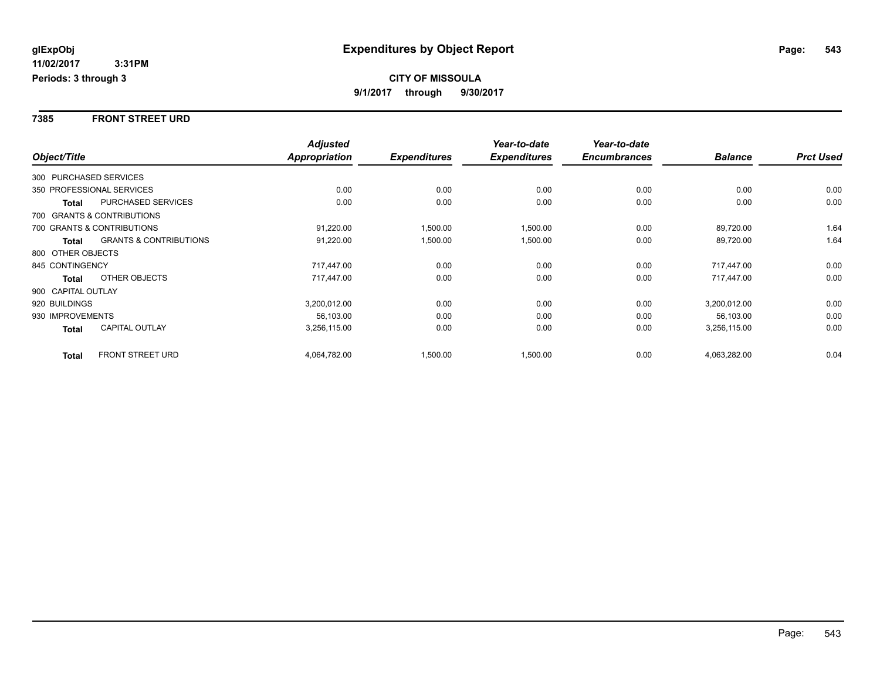#### **7385 FRONT STREET URD**

|                        |                                   | <b>Adjusted</b> |                     | Year-to-date        | Year-to-date        |                |                  |
|------------------------|-----------------------------------|-----------------|---------------------|---------------------|---------------------|----------------|------------------|
| Object/Title           |                                   | Appropriation   | <b>Expenditures</b> | <b>Expenditures</b> | <b>Encumbrances</b> | <b>Balance</b> | <b>Prct Used</b> |
| 300 PURCHASED SERVICES |                                   |                 |                     |                     |                     |                |                  |
|                        | 350 PROFESSIONAL SERVICES         | 0.00            | 0.00                | 0.00                | 0.00                | 0.00           | 0.00             |
| Total                  | PURCHASED SERVICES                | 0.00            | 0.00                | 0.00                | 0.00                | 0.00           | 0.00             |
|                        | 700 GRANTS & CONTRIBUTIONS        |                 |                     |                     |                     |                |                  |
|                        | 700 GRANTS & CONTRIBUTIONS        | 91,220.00       | 1,500.00            | 1,500.00            | 0.00                | 89,720.00      | 1.64             |
| <b>Total</b>           | <b>GRANTS &amp; CONTRIBUTIONS</b> | 91,220.00       | 1,500.00            | 1,500.00            | 0.00                | 89,720.00      | 1.64             |
| 800 OTHER OBJECTS      |                                   |                 |                     |                     |                     |                |                  |
| 845 CONTINGENCY        |                                   | 717,447.00      | 0.00                | 0.00                | 0.00                | 717,447.00     | 0.00             |
| Total                  | OTHER OBJECTS                     | 717,447.00      | 0.00                | 0.00                | 0.00                | 717.447.00     | 0.00             |
| 900 CAPITAL OUTLAY     |                                   |                 |                     |                     |                     |                |                  |
| 920 BUILDINGS          |                                   | 3,200,012.00    | 0.00                | 0.00                | 0.00                | 3,200,012.00   | 0.00             |
| 930 IMPROVEMENTS       |                                   | 56,103.00       | 0.00                | 0.00                | 0.00                | 56,103.00      | 0.00             |
| Total                  | <b>CAPITAL OUTLAY</b>             | 3,256,115.00    | 0.00                | 0.00                | 0.00                | 3,256,115.00   | 0.00             |
| <b>Total</b>           | <b>FRONT STREET URD</b>           | 4,064,782.00    | 1,500.00            | 1,500.00            | 0.00                | 4,063,282.00   | 0.04             |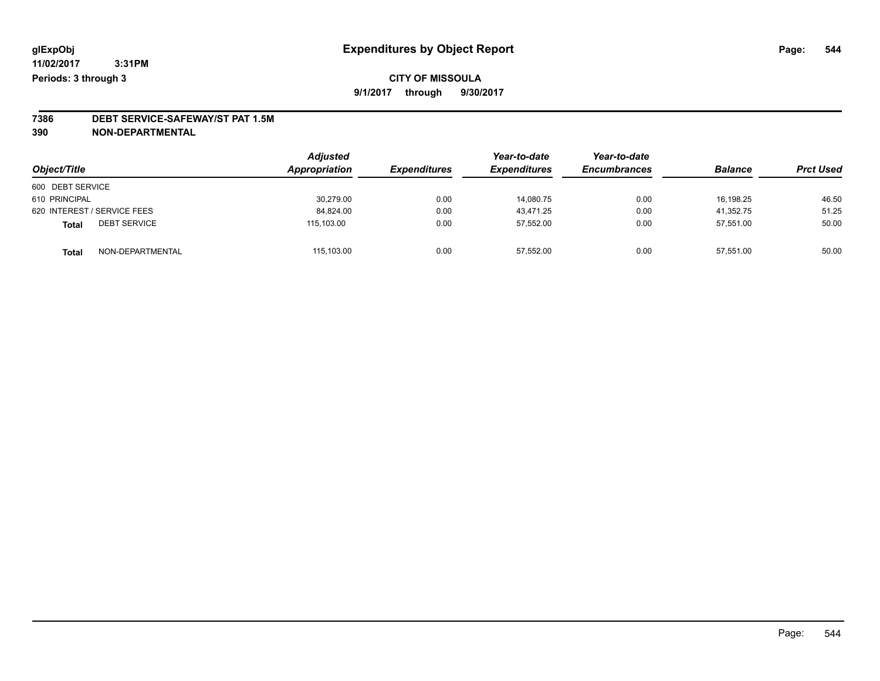# **7386 DEBT SERVICE-SAFEWAY/ST PAT 1.5M**

**390 NON-DEPARTMENTAL**

| Object/Title                        | <b>Adjusted</b><br>Appropriation | <b>Expenditures</b> | Year-to-date<br><b>Expenditures</b> | Year-to-date<br><b>Encumbrances</b> | <b>Balance</b> | <b>Prct Used</b> |
|-------------------------------------|----------------------------------|---------------------|-------------------------------------|-------------------------------------|----------------|------------------|
| 600 DEBT SERVICE                    |                                  |                     |                                     |                                     |                |                  |
| 610 PRINCIPAL                       | 30,279.00                        | 0.00                | 14.080.75                           | 0.00                                | 16.198.25      | 46.50            |
| 620 INTEREST / SERVICE FEES         | 84,824.00                        | 0.00                | 43,471.25                           | 0.00                                | 41,352.75      | 51.25            |
| <b>DEBT SERVICE</b><br><b>Total</b> | 115,103.00                       | 0.00                | 57,552.00                           | 0.00                                | 57,551.00      | 50.00            |
| NON-DEPARTMENTAL<br><b>Total</b>    | 115,103.00                       | 0.00                | 57,552.00                           | 0.00                                | 57,551.00      | 50.00            |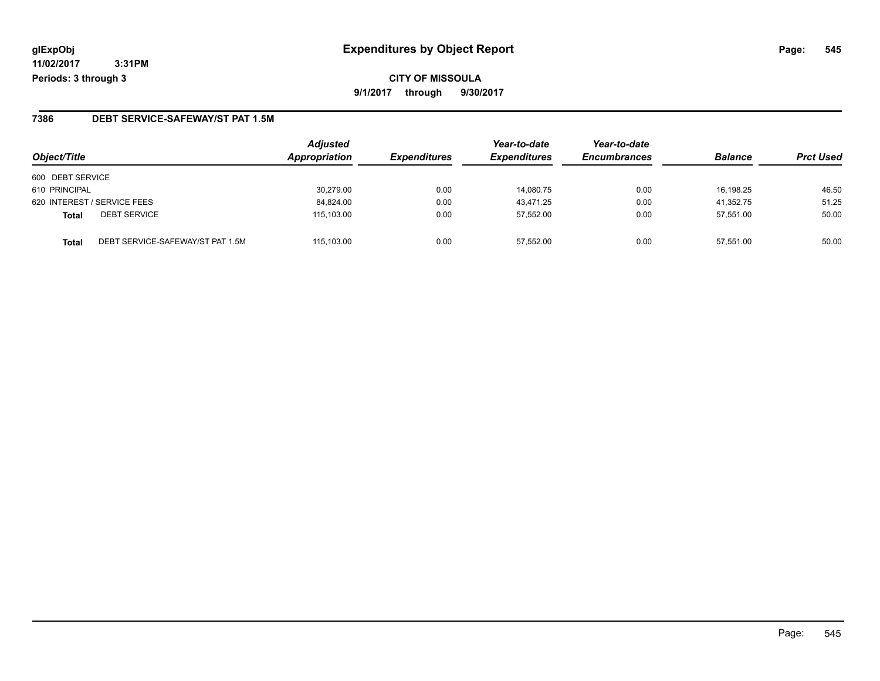## **glExpObj Expenditures by Object Report Page: 545**

**11/02/2017 3:31PM Periods: 3 through 3**

#### **7386 DEBT SERVICE-SAFEWAY/ST PAT 1.5M**

| Object/Title                |                                  | <b>Adjusted</b><br>Appropriation | <b>Expenditures</b> | Year-to-date<br><b>Expenditures</b> | Year-to-date<br><b>Encumbrances</b> | <b>Balance</b> | <b>Prct Used</b> |
|-----------------------------|----------------------------------|----------------------------------|---------------------|-------------------------------------|-------------------------------------|----------------|------------------|
| 600 DEBT SERVICE            |                                  |                                  |                     |                                     |                                     |                |                  |
| 610 PRINCIPAL               |                                  | 30,279.00                        | 0.00                | 14,080.75                           | 0.00                                | 16.198.25      | 46.50            |
| 620 INTEREST / SERVICE FEES |                                  | 84,824.00                        | 0.00                | 43.471.25                           | 0.00                                | 41,352.75      | 51.25            |
| <b>Total</b>                | <b>DEBT SERVICE</b>              | 115.103.00                       | 0.00                | 57.552.00                           | 0.00                                | 57.551.00      | 50.00            |
| <b>Total</b>                | DEBT SERVICE-SAFEWAY/ST PAT 1.5M | 115.103.00                       | 0.00                | 57.552.00                           | 0.00                                | 57.551.00      | 50.00            |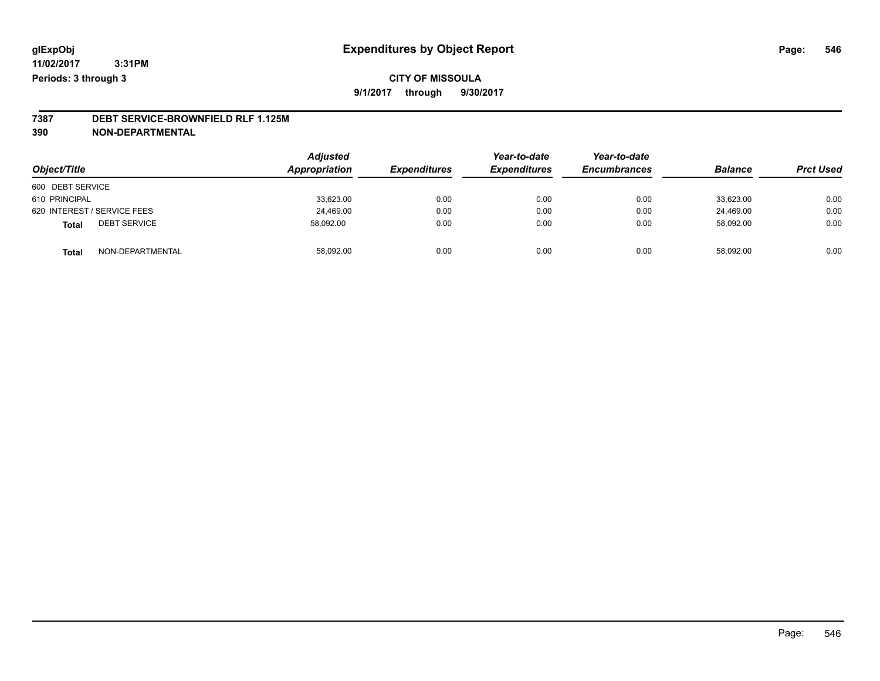## **CITY OF MISSOULA 9/1/2017 through 9/30/2017**

# **7387 DEBT SERVICE-BROWNFIELD RLF 1.125M**

**390 NON-DEPARTMENTAL**

| Object/Title                     | <b>Adjusted</b><br>Appropriation | <b>Expenditures</b> | Year-to-date<br><b>Expenditures</b> | Year-to-date<br><b>Encumbrances</b> | <b>Balance</b> | <b>Prct Used</b> |
|----------------------------------|----------------------------------|---------------------|-------------------------------------|-------------------------------------|----------------|------------------|
| 600 DEBT SERVICE                 |                                  |                     |                                     |                                     |                |                  |
| 610 PRINCIPAL                    | 33,623.00                        | 0.00                | 0.00                                | 0.00                                | 33.623.00      | 0.00             |
| 620 INTEREST / SERVICE FEES      | 24,469.00                        | 0.00                | 0.00                                | 0.00                                | 24.469.00      | 0.00             |
| <b>DEBT SERVICE</b><br>Total     | 58,092.00                        | 0.00                | 0.00                                | 0.00                                | 58,092.00      | 0.00             |
| NON-DEPARTMENTAL<br><b>Total</b> | 58,092.00                        | 0.00                | 0.00                                | 0.00                                | 58.092.00      | 0.00             |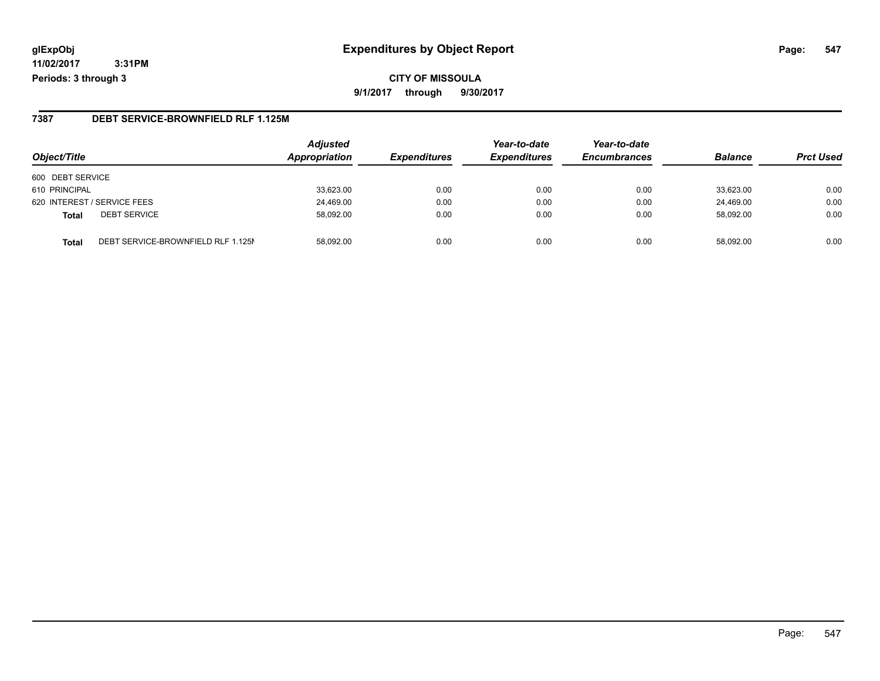## **glExpObj Expenditures by Object Report Page: 547**

**11/02/2017 3:31PM Periods: 3 through 3**

### **7387 DEBT SERVICE-BROWNFIELD RLF 1.125M**

| Object/Title                                       | <b>Adjusted</b><br><b>Appropriation</b> | <b>Expenditures</b> | Year-to-date<br><b>Expenditures</b> | Year-to-date<br><b>Encumbrances</b> | <b>Balance</b> | <b>Prct Used</b> |
|----------------------------------------------------|-----------------------------------------|---------------------|-------------------------------------|-------------------------------------|----------------|------------------|
| 600 DEBT SERVICE                                   |                                         |                     |                                     |                                     |                |                  |
| 610 PRINCIPAL                                      | 33,623.00                               | 0.00                | 0.00                                | 0.00                                | 33,623.00      | 0.00             |
| 620 INTEREST / SERVICE FEES                        | 24,469.00                               | 0.00                | 0.00                                | 0.00                                | 24,469.00      | 0.00             |
| <b>DEBT SERVICE</b><br><b>Total</b>                | 58.092.00                               | 0.00                | 0.00                                | 0.00                                | 58.092.00      | 0.00             |
| DEBT SERVICE-BROWNFIELD RLF 1.125M<br><b>Total</b> | 58.092.00                               | 0.00                | 0.00                                | 0.00                                | 58.092.00      | 0.00             |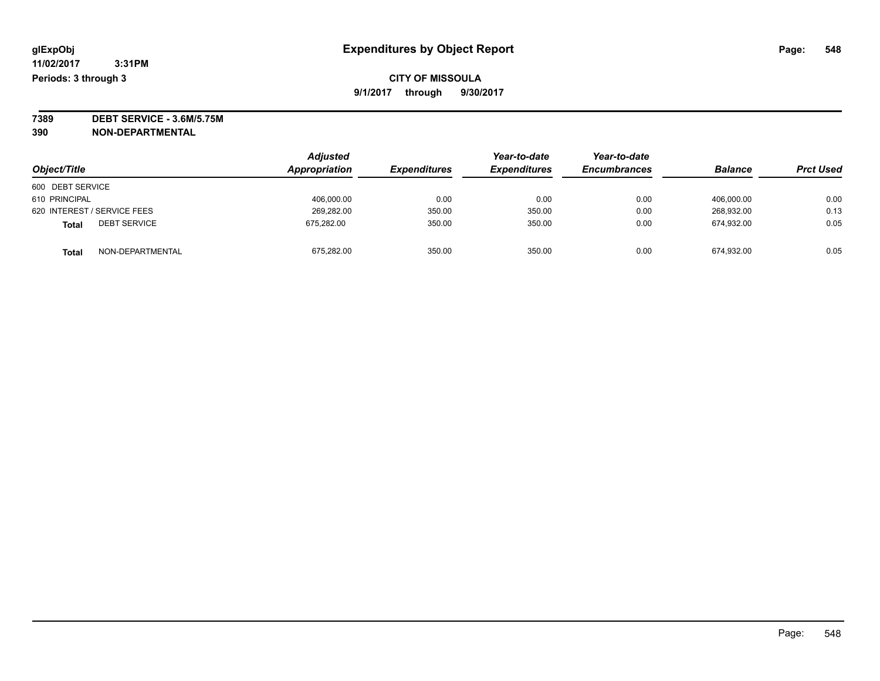**7389 DEBT SERVICE - 3.6M/5.75M**

**390 NON-DEPARTMENTAL**

|                              | <b>Adjusted</b> |                     | Year-to-date        | Year-to-date        | <b>Balance</b> |                  |
|------------------------------|-----------------|---------------------|---------------------|---------------------|----------------|------------------|
| Object/Title                 | Appropriation   | <b>Expenditures</b> | <b>Expenditures</b> | <b>Encumbrances</b> |                | <b>Prct Used</b> |
| 600 DEBT SERVICE             |                 |                     |                     |                     |                |                  |
| 610 PRINCIPAL                | 406,000.00      | 0.00                | 0.00                | 0.00                | 406.000.00     | 0.00             |
| 620 INTEREST / SERVICE FEES  | 269,282.00      | 350.00              | 350.00              | 0.00                | 268.932.00     | 0.13             |
| <b>DEBT SERVICE</b><br>Total | 675.282.00      | 350.00              | 350.00              | 0.00                | 674.932.00     | 0.05             |
| NON-DEPARTMENTAL<br>Total    | 675,282.00      | 350.00              | 350.00              | 0.00                | 674,932.00     | 0.05             |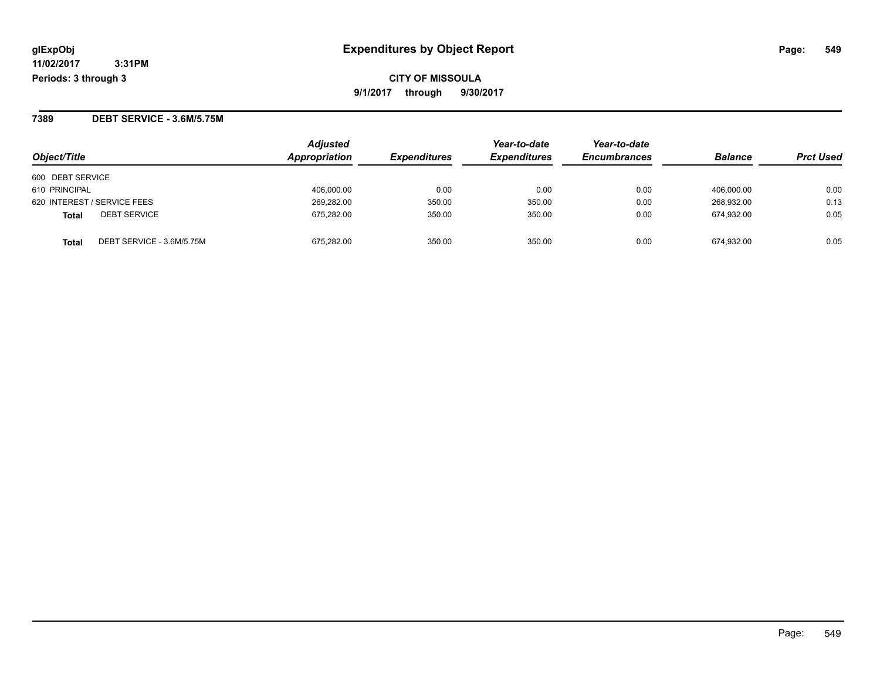**CITY OF MISSOULA 9/1/2017 through 9/30/2017**

**7389 DEBT SERVICE - 3.6M/5.75M**

| Object/Title                       | <b>Adjusted</b><br>Appropriation | <i><b>Expenditures</b></i> | Year-to-date<br><b>Expenditures</b> | Year-to-date<br><b>Encumbrances</b> | <b>Balance</b> | <b>Prct Used</b> |
|------------------------------------|----------------------------------|----------------------------|-------------------------------------|-------------------------------------|----------------|------------------|
| 600 DEBT SERVICE                   |                                  |                            |                                     |                                     |                |                  |
| 610 PRINCIPAL                      | 406,000.00                       | 0.00                       | 0.00                                | 0.00                                | 406.000.00     | 0.00             |
| 620 INTEREST / SERVICE FEES        | 269,282.00                       | 350.00                     | 350.00                              | 0.00                                | 268,932.00     | 0.13             |
| <b>DEBT SERVICE</b><br>Total       | 675.282.00                       | 350.00                     | 350.00                              | 0.00                                | 674.932.00     | 0.05             |
| DEBT SERVICE - 3.6M/5.75M<br>Total | 675.282.00                       | 350.00                     | 350.00                              | 0.00                                | 674.932.00     | 0.05             |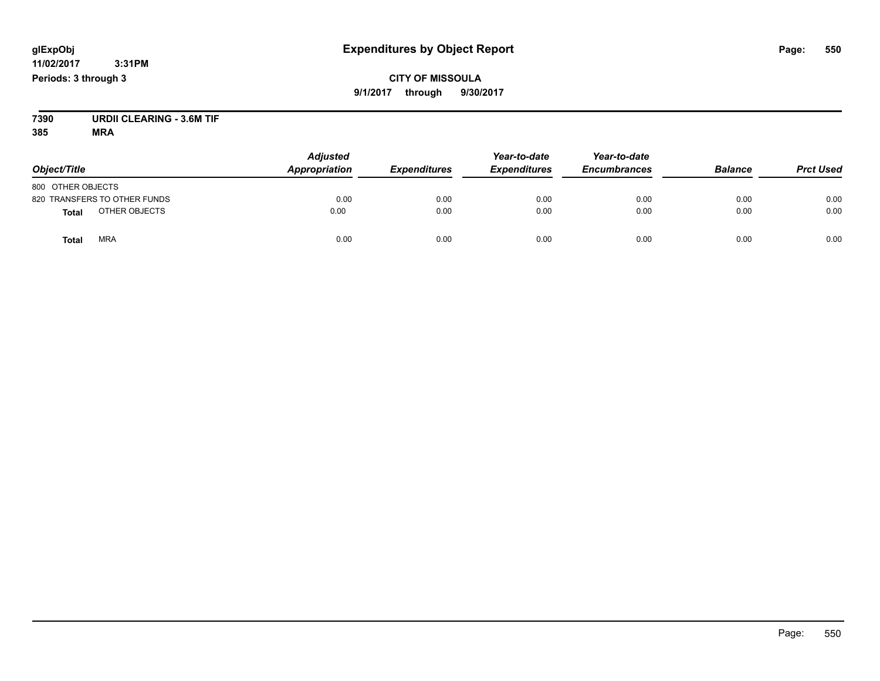## **CITY OF MISSOULA 9/1/2017 through 9/30/2017**

**7390 URDII CLEARING - 3.6M TIF**

| Object/Title                  | <b>Adjusted</b><br>Appropriation | <b>Expenditures</b> | Year-to-date<br><b>Expenditures</b> | Year-to-date<br><b>Encumbrances</b> | <b>Balance</b> | <b>Prct Used</b> |
|-------------------------------|----------------------------------|---------------------|-------------------------------------|-------------------------------------|----------------|------------------|
| 800 OTHER OBJECTS             |                                  |                     |                                     |                                     |                |                  |
| 820 TRANSFERS TO OTHER FUNDS  | 0.00                             | 0.00                | 0.00                                | 0.00                                | 0.00           | 0.00             |
| OTHER OBJECTS<br><b>Total</b> | 0.00                             | 0.00                | 0.00                                | 0.00                                | 0.00           | 0.00             |
| <b>MRA</b><br>Total           | 0.00                             | 0.00                | 0.00                                | 0.00                                | 0.00           | 0.00             |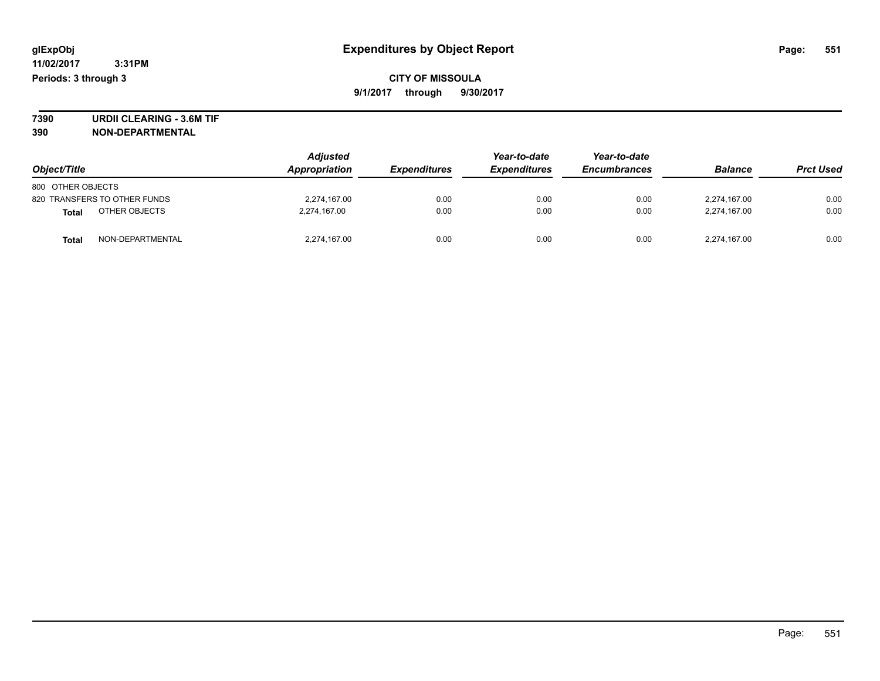**7390 URDII CLEARING - 3.6M TIF 390 NON-DEPARTMENTAL**

| Object/Title      |                              | <b>Adjusted</b><br>Appropriation | <b>Expenditures</b> | Year-to-date<br><b>Expenditures</b> | Year-to-date<br><b>Encumbrances</b> | <b>Balance</b> | <b>Prct Used</b> |
|-------------------|------------------------------|----------------------------------|---------------------|-------------------------------------|-------------------------------------|----------------|------------------|
| 800 OTHER OBJECTS |                              |                                  |                     |                                     |                                     |                |                  |
|                   | 820 TRANSFERS TO OTHER FUNDS | 2,274,167.00                     | 0.00                | 0.00                                | 0.00                                | 2,274,167.00   | 0.00             |
| <b>Total</b>      | OTHER OBJECTS                | 2,274,167.00                     | 0.00                | 0.00                                | 0.00                                | 2.274.167.00   | 0.00             |
| <b>Total</b>      | NON-DEPARTMENTAL             | 2,274,167.00                     | 0.00                | 0.00                                | 0.00                                | 2,274,167.00   | 0.00             |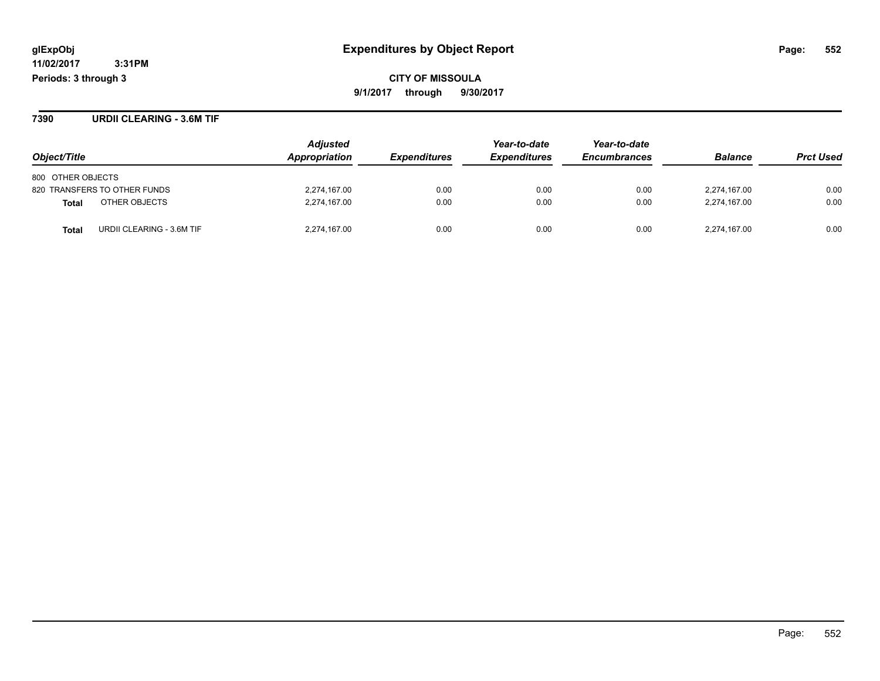**CITY OF MISSOULA 9/1/2017 through 9/30/2017**

**7390 URDII CLEARING - 3.6M TIF**

|                                           | <b>Adjusted</b><br><b>Appropriation</b> |                            | Year-to-date        | Year-to-date<br><b>Encumbrances</b> | <b>Balance</b> | <b>Prct Used</b> |
|-------------------------------------------|-----------------------------------------|----------------------------|---------------------|-------------------------------------|----------------|------------------|
| Object/Title                              |                                         | <i><b>Expenditures</b></i> | <b>Expenditures</b> |                                     |                |                  |
| 800 OTHER OBJECTS                         |                                         |                            |                     |                                     |                |                  |
| 820 TRANSFERS TO OTHER FUNDS              | 2,274,167.00                            | 0.00                       | 0.00                | 0.00                                | 2,274,167.00   | 0.00             |
| OTHER OBJECTS<br>Total                    | 2,274,167.00                            | 0.00                       | 0.00                | 0.00                                | 2,274,167.00   | 0.00             |
| URDII CLEARING - 3.6M TIF<br><b>Total</b> | 2,274,167.00                            | 0.00                       | 0.00                | 0.00                                | 2,274,167.00   | 0.00             |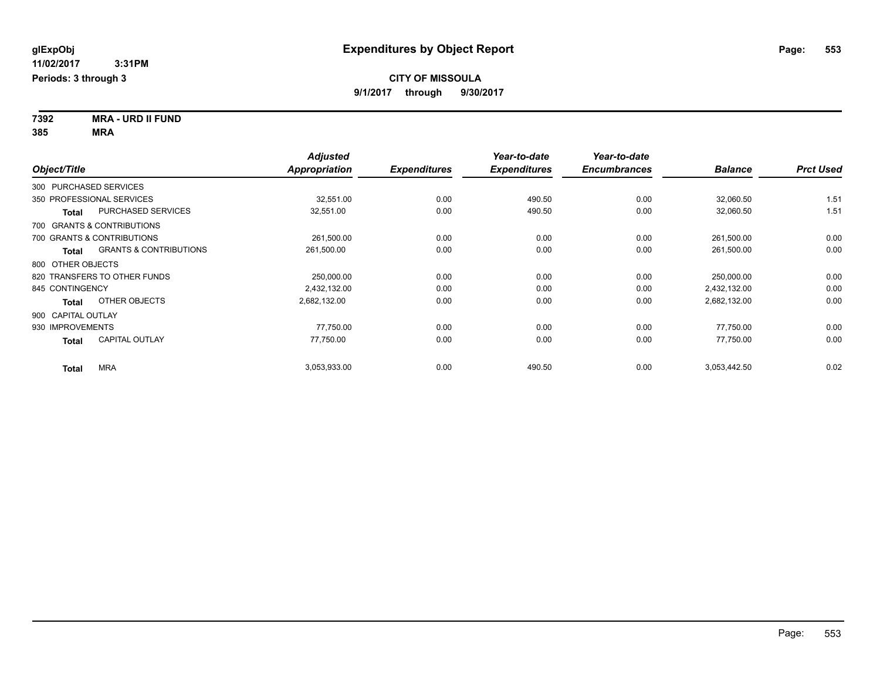**7392 MRA - URD II FUND 385 MRA**

| Object/Title                   |                                   | <b>Adjusted</b><br><b>Appropriation</b> | <b>Expenditures</b> | Year-to-date<br><b>Expenditures</b> | Year-to-date<br><b>Encumbrances</b> | <b>Balance</b> | <b>Prct Used</b> |
|--------------------------------|-----------------------------------|-----------------------------------------|---------------------|-------------------------------------|-------------------------------------|----------------|------------------|
| 300 PURCHASED SERVICES         |                                   |                                         |                     |                                     |                                     |                |                  |
| 350 PROFESSIONAL SERVICES      |                                   | 32,551.00                               | 0.00                | 490.50                              | 0.00                                | 32,060.50      | 1.51             |
| <b>Total</b>                   | PURCHASED SERVICES                | 32,551.00                               | 0.00                | 490.50                              | 0.00                                | 32,060.50      | 1.51             |
| 700 GRANTS & CONTRIBUTIONS     |                                   |                                         |                     |                                     |                                     |                |                  |
| 700 GRANTS & CONTRIBUTIONS     |                                   | 261,500.00                              | 0.00                | 0.00                                | 0.00                                | 261,500.00     | 0.00             |
| Total                          | <b>GRANTS &amp; CONTRIBUTIONS</b> | 261,500.00                              | 0.00                | 0.00                                | 0.00                                | 261,500.00     | 0.00             |
| 800 OTHER OBJECTS              |                                   |                                         |                     |                                     |                                     |                |                  |
| 820 TRANSFERS TO OTHER FUNDS   |                                   | 250,000.00                              | 0.00                | 0.00                                | 0.00                                | 250,000.00     | 0.00             |
| 845 CONTINGENCY                |                                   | 2,432,132.00                            | 0.00                | 0.00                                | 0.00                                | 2,432,132.00   | 0.00             |
| OTHER OBJECTS<br><b>Total</b>  |                                   | 2,682,132.00                            | 0.00                | 0.00                                | 0.00                                | 2,682,132.00   | 0.00             |
| 900 CAPITAL OUTLAY             |                                   |                                         |                     |                                     |                                     |                |                  |
| 930 IMPROVEMENTS               |                                   | 77.750.00                               | 0.00                | 0.00                                | 0.00                                | 77,750.00      | 0.00             |
| <b>CAPITAL OUTLAY</b><br>Total |                                   | 77,750.00                               | 0.00                | 0.00                                | 0.00                                | 77,750.00      | 0.00             |
| <b>MRA</b><br>Total            |                                   | 3,053,933.00                            | 0.00                | 490.50                              | 0.00                                | 3,053,442.50   | 0.02             |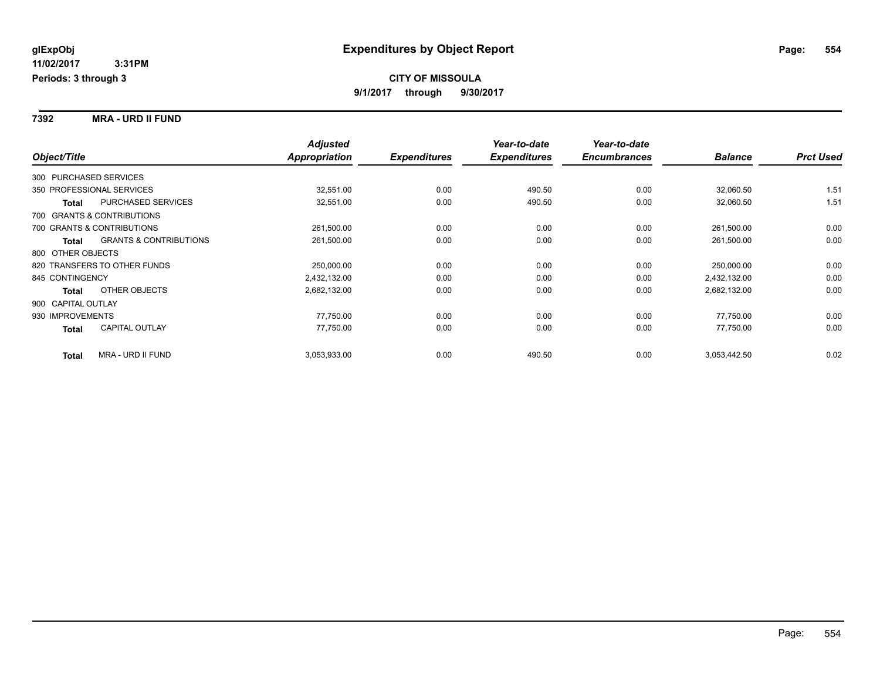**7392 MRA - URD II FUND**

|                                                   | <b>Adjusted</b>      |                     | Year-to-date        | Year-to-date        |                |                  |
|---------------------------------------------------|----------------------|---------------------|---------------------|---------------------|----------------|------------------|
| Object/Title                                      | <b>Appropriation</b> | <b>Expenditures</b> | <b>Expenditures</b> | <b>Encumbrances</b> | <b>Balance</b> | <b>Prct Used</b> |
| 300 PURCHASED SERVICES                            |                      |                     |                     |                     |                |                  |
| 350 PROFESSIONAL SERVICES                         | 32,551.00            | 0.00                | 490.50              | 0.00                | 32,060.50      | 1.51             |
| PURCHASED SERVICES<br>Total                       | 32,551.00            | 0.00                | 490.50              | 0.00                | 32,060.50      | 1.51             |
| 700 GRANTS & CONTRIBUTIONS                        |                      |                     |                     |                     |                |                  |
| 700 GRANTS & CONTRIBUTIONS                        | 261,500.00           | 0.00                | 0.00                | 0.00                | 261,500.00     | 0.00             |
| <b>GRANTS &amp; CONTRIBUTIONS</b><br><b>Total</b> | 261,500.00           | 0.00                | 0.00                | 0.00                | 261,500.00     | 0.00             |
| 800 OTHER OBJECTS                                 |                      |                     |                     |                     |                |                  |
| 820 TRANSFERS TO OTHER FUNDS                      | 250,000.00           | 0.00                | 0.00                | 0.00                | 250,000.00     | 0.00             |
| 845 CONTINGENCY                                   | 2,432,132.00         | 0.00                | 0.00                | 0.00                | 2,432,132.00   | 0.00             |
| OTHER OBJECTS<br><b>Total</b>                     | 2,682,132.00         | 0.00                | 0.00                | 0.00                | 2,682,132.00   | 0.00             |
| 900 CAPITAL OUTLAY                                |                      |                     |                     |                     |                |                  |
| 930 IMPROVEMENTS                                  | 77,750.00            | 0.00                | 0.00                | 0.00                | 77,750.00      | 0.00             |
| <b>CAPITAL OUTLAY</b><br>Total                    | 77,750.00            | 0.00                | 0.00                | 0.00                | 77,750.00      | 0.00             |
| <b>MRA - URD II FUND</b><br><b>Total</b>          | 3,053,933.00         | 0.00                | 490.50              | 0.00                | 3,053,442.50   | 0.02             |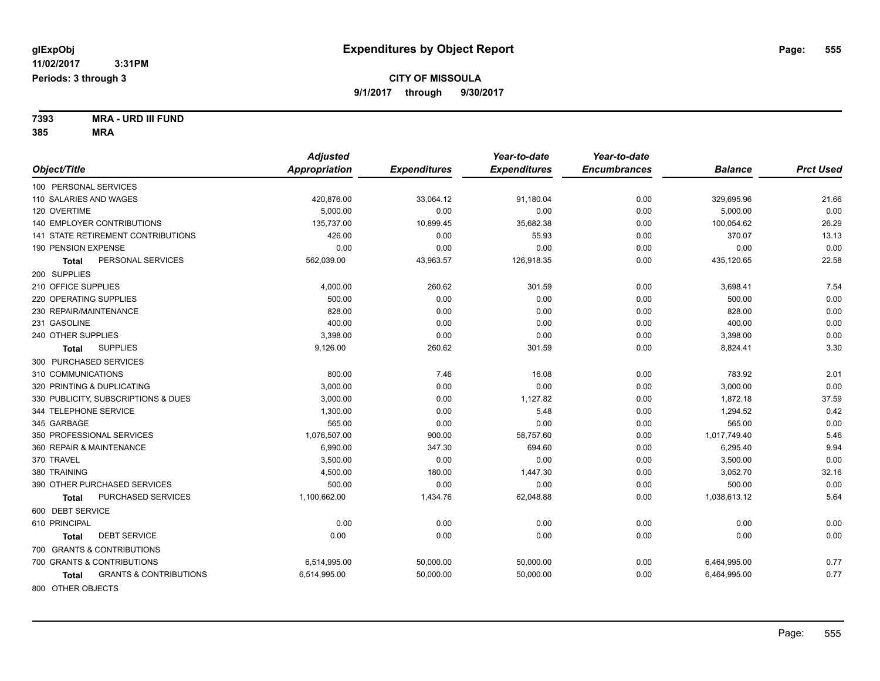**7393 MRA - URD III FUND 385 MRA**

| <b>Appropriation</b><br>Object/Title<br><b>Expenditures</b><br><b>Expenditures</b><br><b>Encumbrances</b><br><b>Balance</b><br>100 PERSONAL SERVICES<br>110 SALARIES AND WAGES<br>420,876.00<br>33,064.12<br>91,180.04<br>0.00<br>329,695.96<br>120 OVERTIME<br>5.000.00<br>0.00<br>0.00<br>0.00<br>5,000.00<br>140 EMPLOYER CONTRIBUTIONS<br>135,737.00<br>10,899.45<br>35,682.38<br>0.00<br>100,054.62<br>370.07<br>141 STATE RETIREMENT CONTRIBUTIONS<br>426.00<br>0.00<br>55.93<br>0.00<br>190 PENSION EXPENSE<br>0.00<br>0.00<br>0.00<br>0.00<br>0.00<br>PERSONAL SERVICES<br>562,039.00<br>43,963.57<br>0.00<br>435,120.65<br>126,918.35<br><b>Total</b><br>200 SUPPLIES<br>210 OFFICE SUPPLIES<br>4,000.00<br>260.62<br>301.59<br>0.00<br>3,698.41<br>500.00<br>0.00<br>220 OPERATING SUPPLIES<br>0.00<br>0.00<br>500.00<br>828.00<br>230 REPAIR/MAINTENANCE<br>828.00<br>0.00<br>0.00<br>0.00<br>400.00<br>400.00<br>231 GASOLINE<br>0.00<br>0.00<br>0.00<br>240 OTHER SUPPLIES<br>3,398.00<br>0.00<br>0.00<br>3,398.00<br>0.00<br><b>SUPPLIES</b><br>9,126.00<br>260.62<br>301.59<br>0.00<br>8,824.41<br><b>Total</b><br>300 PURCHASED SERVICES<br>310 COMMUNICATIONS<br>800.00<br>7.46<br>783.92<br>16.08<br>0.00 |                            | <b>Adjusted</b> |      | Year-to-date | Year-to-date |          |                  |
|-----------------------------------------------------------------------------------------------------------------------------------------------------------------------------------------------------------------------------------------------------------------------------------------------------------------------------------------------------------------------------------------------------------------------------------------------------------------------------------------------------------------------------------------------------------------------------------------------------------------------------------------------------------------------------------------------------------------------------------------------------------------------------------------------------------------------------------------------------------------------------------------------------------------------------------------------------------------------------------------------------------------------------------------------------------------------------------------------------------------------------------------------------------------------------------------------------------------------------|----------------------------|-----------------|------|--------------|--------------|----------|------------------|
|                                                                                                                                                                                                                                                                                                                                                                                                                                                                                                                                                                                                                                                                                                                                                                                                                                                                                                                                                                                                                                                                                                                                                                                                                             |                            |                 |      |              |              |          | <b>Prct Used</b> |
|                                                                                                                                                                                                                                                                                                                                                                                                                                                                                                                                                                                                                                                                                                                                                                                                                                                                                                                                                                                                                                                                                                                                                                                                                             |                            |                 |      |              |              |          |                  |
|                                                                                                                                                                                                                                                                                                                                                                                                                                                                                                                                                                                                                                                                                                                                                                                                                                                                                                                                                                                                                                                                                                                                                                                                                             |                            |                 |      |              |              |          | 21.66            |
|                                                                                                                                                                                                                                                                                                                                                                                                                                                                                                                                                                                                                                                                                                                                                                                                                                                                                                                                                                                                                                                                                                                                                                                                                             |                            |                 |      |              |              |          | 0.00             |
|                                                                                                                                                                                                                                                                                                                                                                                                                                                                                                                                                                                                                                                                                                                                                                                                                                                                                                                                                                                                                                                                                                                                                                                                                             |                            |                 |      |              |              |          | 26.29            |
|                                                                                                                                                                                                                                                                                                                                                                                                                                                                                                                                                                                                                                                                                                                                                                                                                                                                                                                                                                                                                                                                                                                                                                                                                             |                            |                 |      |              |              |          | 13.13            |
|                                                                                                                                                                                                                                                                                                                                                                                                                                                                                                                                                                                                                                                                                                                                                                                                                                                                                                                                                                                                                                                                                                                                                                                                                             |                            |                 |      |              |              |          | 0.00             |
|                                                                                                                                                                                                                                                                                                                                                                                                                                                                                                                                                                                                                                                                                                                                                                                                                                                                                                                                                                                                                                                                                                                                                                                                                             |                            |                 |      |              |              |          | 22.58            |
|                                                                                                                                                                                                                                                                                                                                                                                                                                                                                                                                                                                                                                                                                                                                                                                                                                                                                                                                                                                                                                                                                                                                                                                                                             |                            |                 |      |              |              |          |                  |
|                                                                                                                                                                                                                                                                                                                                                                                                                                                                                                                                                                                                                                                                                                                                                                                                                                                                                                                                                                                                                                                                                                                                                                                                                             |                            |                 |      |              |              |          | 7.54             |
|                                                                                                                                                                                                                                                                                                                                                                                                                                                                                                                                                                                                                                                                                                                                                                                                                                                                                                                                                                                                                                                                                                                                                                                                                             |                            |                 |      |              |              |          | 0.00             |
|                                                                                                                                                                                                                                                                                                                                                                                                                                                                                                                                                                                                                                                                                                                                                                                                                                                                                                                                                                                                                                                                                                                                                                                                                             |                            |                 |      |              |              |          | 0.00             |
|                                                                                                                                                                                                                                                                                                                                                                                                                                                                                                                                                                                                                                                                                                                                                                                                                                                                                                                                                                                                                                                                                                                                                                                                                             |                            |                 |      |              |              |          | 0.00             |
|                                                                                                                                                                                                                                                                                                                                                                                                                                                                                                                                                                                                                                                                                                                                                                                                                                                                                                                                                                                                                                                                                                                                                                                                                             |                            |                 |      |              |              |          | 0.00             |
|                                                                                                                                                                                                                                                                                                                                                                                                                                                                                                                                                                                                                                                                                                                                                                                                                                                                                                                                                                                                                                                                                                                                                                                                                             |                            |                 |      |              |              |          | 3.30             |
|                                                                                                                                                                                                                                                                                                                                                                                                                                                                                                                                                                                                                                                                                                                                                                                                                                                                                                                                                                                                                                                                                                                                                                                                                             |                            |                 |      |              |              |          |                  |
|                                                                                                                                                                                                                                                                                                                                                                                                                                                                                                                                                                                                                                                                                                                                                                                                                                                                                                                                                                                                                                                                                                                                                                                                                             |                            |                 |      |              |              |          | 2.01             |
|                                                                                                                                                                                                                                                                                                                                                                                                                                                                                                                                                                                                                                                                                                                                                                                                                                                                                                                                                                                                                                                                                                                                                                                                                             | 320 PRINTING & DUPLICATING | 3,000.00        | 0.00 | 0.00         | 0.00         | 3,000.00 | 0.00             |
| 330 PUBLICITY, SUBSCRIPTIONS & DUES<br>3,000.00<br>0.00<br>1,127.82<br>0.00<br>1,872.18                                                                                                                                                                                                                                                                                                                                                                                                                                                                                                                                                                                                                                                                                                                                                                                                                                                                                                                                                                                                                                                                                                                                     |                            |                 |      |              |              |          | 37.59            |
| 344 TELEPHONE SERVICE<br>1,300.00<br>0.00<br>5.48<br>0.00<br>1,294.52                                                                                                                                                                                                                                                                                                                                                                                                                                                                                                                                                                                                                                                                                                                                                                                                                                                                                                                                                                                                                                                                                                                                                       |                            |                 |      |              |              |          | 0.42             |
| 565.00<br>345 GARBAGE<br>0.00<br>0.00<br>0.00<br>565.00                                                                                                                                                                                                                                                                                                                                                                                                                                                                                                                                                                                                                                                                                                                                                                                                                                                                                                                                                                                                                                                                                                                                                                     |                            |                 |      |              |              |          | 0.00             |
| 350 PROFESSIONAL SERVICES<br>1,076,507.00<br>900.00<br>58,757.60<br>0.00<br>1,017,749.40                                                                                                                                                                                                                                                                                                                                                                                                                                                                                                                                                                                                                                                                                                                                                                                                                                                                                                                                                                                                                                                                                                                                    |                            |                 |      |              |              |          | 5.46             |
| 360 REPAIR & MAINTENANCE<br>347.30<br>6,990.00<br>694.60<br>0.00<br>6,295.40                                                                                                                                                                                                                                                                                                                                                                                                                                                                                                                                                                                                                                                                                                                                                                                                                                                                                                                                                                                                                                                                                                                                                |                            |                 |      |              |              |          | 9.94             |
| 370 TRAVEL<br>3,500.00<br>0.00<br>0.00<br>0.00<br>3,500.00                                                                                                                                                                                                                                                                                                                                                                                                                                                                                                                                                                                                                                                                                                                                                                                                                                                                                                                                                                                                                                                                                                                                                                  |                            |                 |      |              |              |          | 0.00             |
| 380 TRAINING<br>4,500.00<br>180.00<br>1,447.30<br>3,052.70<br>0.00                                                                                                                                                                                                                                                                                                                                                                                                                                                                                                                                                                                                                                                                                                                                                                                                                                                                                                                                                                                                                                                                                                                                                          |                            |                 |      |              |              |          | 32.16            |
| 390 OTHER PURCHASED SERVICES<br>500.00<br>500.00<br>0.00<br>0.00<br>0.00                                                                                                                                                                                                                                                                                                                                                                                                                                                                                                                                                                                                                                                                                                                                                                                                                                                                                                                                                                                                                                                                                                                                                    |                            |                 |      |              |              |          | 0.00             |
| 1,100,662.00<br>1,038,613.12<br>PURCHASED SERVICES<br>1,434.76<br>62,048.88<br>0.00<br>Total                                                                                                                                                                                                                                                                                                                                                                                                                                                                                                                                                                                                                                                                                                                                                                                                                                                                                                                                                                                                                                                                                                                                |                            |                 |      |              |              |          | 5.64             |
| 600 DEBT SERVICE                                                                                                                                                                                                                                                                                                                                                                                                                                                                                                                                                                                                                                                                                                                                                                                                                                                                                                                                                                                                                                                                                                                                                                                                            |                            |                 |      |              |              |          |                  |
| 0.00<br>0.00<br>610 PRINCIPAL<br>0.00<br>0.00<br>0.00                                                                                                                                                                                                                                                                                                                                                                                                                                                                                                                                                                                                                                                                                                                                                                                                                                                                                                                                                                                                                                                                                                                                                                       |                            |                 |      |              |              |          | 0.00             |
| <b>DEBT SERVICE</b><br>0.00<br>0.00<br>0.00<br>0.00<br>0.00<br>Total                                                                                                                                                                                                                                                                                                                                                                                                                                                                                                                                                                                                                                                                                                                                                                                                                                                                                                                                                                                                                                                                                                                                                        |                            |                 |      |              |              |          | 0.00             |
| 700 GRANTS & CONTRIBUTIONS                                                                                                                                                                                                                                                                                                                                                                                                                                                                                                                                                                                                                                                                                                                                                                                                                                                                                                                                                                                                                                                                                                                                                                                                  |                            |                 |      |              |              |          |                  |
| 700 GRANTS & CONTRIBUTIONS<br>6,514,995.00<br>50,000.00<br>6,464,995.00<br>50,000.00<br>0.00                                                                                                                                                                                                                                                                                                                                                                                                                                                                                                                                                                                                                                                                                                                                                                                                                                                                                                                                                                                                                                                                                                                                |                            |                 |      |              |              |          | 0.77             |
| <b>GRANTS &amp; CONTRIBUTIONS</b><br>0.00<br>6,514,995.00<br>50,000.00<br>50,000.00<br>6,464,995.00<br>Total                                                                                                                                                                                                                                                                                                                                                                                                                                                                                                                                                                                                                                                                                                                                                                                                                                                                                                                                                                                                                                                                                                                |                            |                 |      |              |              |          | 0.77             |
| 800 OTHER OBJECTS                                                                                                                                                                                                                                                                                                                                                                                                                                                                                                                                                                                                                                                                                                                                                                                                                                                                                                                                                                                                                                                                                                                                                                                                           |                            |                 |      |              |              |          |                  |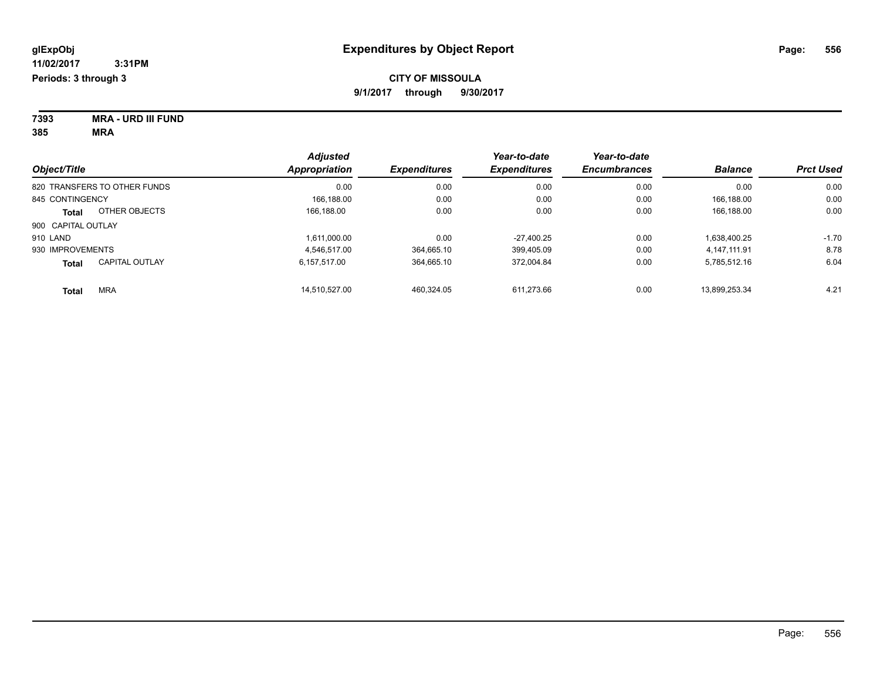| 7393 | <b>MRA - URD III FUND</b> |
|------|---------------------------|
| 385  | MRA                       |

|                              |                       | <b>Adjusted</b> |                     | Year-to-date        | Year-to-date        |                |                  |
|------------------------------|-----------------------|-----------------|---------------------|---------------------|---------------------|----------------|------------------|
| Object/Title                 |                       | Appropriation   | <b>Expenditures</b> | <b>Expenditures</b> | <b>Encumbrances</b> | <b>Balance</b> | <b>Prct Used</b> |
| 820 TRANSFERS TO OTHER FUNDS |                       | 0.00            | 0.00                | 0.00                | 0.00                | 0.00           | 0.00             |
| 845 CONTINGENCY              |                       | 166.188.00      | 0.00                | 0.00                | 0.00                | 166.188.00     | 0.00             |
| Total                        | OTHER OBJECTS         | 166.188.00      | 0.00                | 0.00                | 0.00                | 166.188.00     | 0.00             |
| 900 CAPITAL OUTLAY           |                       |                 |                     |                     |                     |                |                  |
| 910 LAND                     |                       | 1.611.000.00    | 0.00                | $-27.400.25$        | 0.00                | 1.638.400.25   | $-1.70$          |
| 930 IMPROVEMENTS             |                       | 4.546.517.00    | 364.665.10          | 399.405.09          | 0.00                | 4.147.111.91   | 8.78             |
| <b>Total</b>                 | <b>CAPITAL OUTLAY</b> | 6.157.517.00    | 364.665.10          | 372.004.84          | 0.00                | 5,785,512.16   | 6.04             |
| <b>Total</b>                 | <b>MRA</b>            | 14.510.527.00   | 460.324.05          | 611.273.66          | 0.00                | 13.899.253.34  | 4.21             |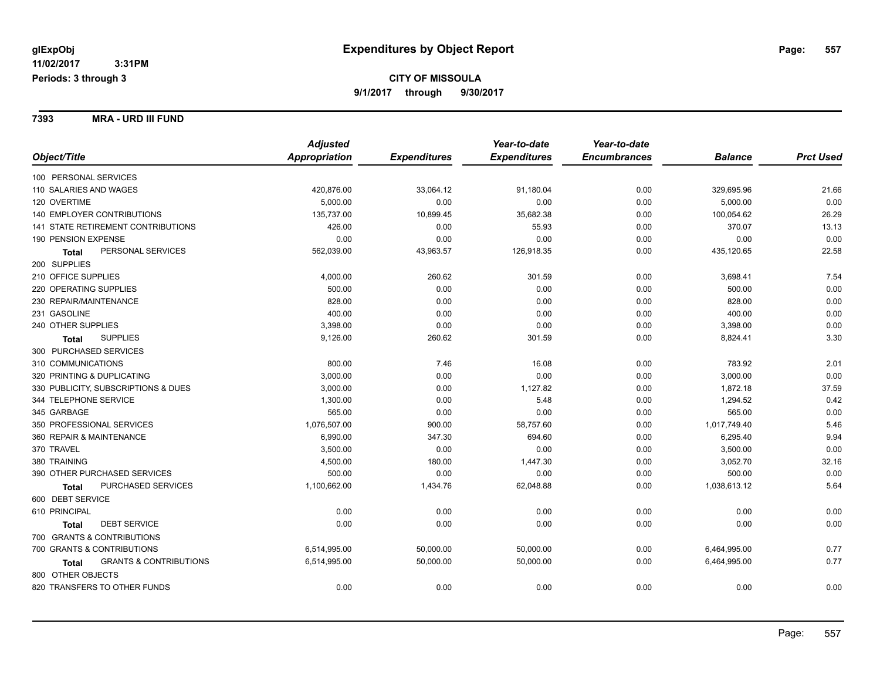**7393 MRA - URD III FUND**

|                                            | <b>Adjusted</b>      |                     | Year-to-date        | Year-to-date        |                |                  |
|--------------------------------------------|----------------------|---------------------|---------------------|---------------------|----------------|------------------|
| Object/Title                               | <b>Appropriation</b> | <b>Expenditures</b> | <b>Expenditures</b> | <b>Encumbrances</b> | <b>Balance</b> | <b>Prct Used</b> |
| 100 PERSONAL SERVICES                      |                      |                     |                     |                     |                |                  |
| 110 SALARIES AND WAGES                     | 420,876.00           | 33,064.12           | 91,180.04           | 0.00                | 329,695.96     | 21.66            |
| 120 OVERTIME                               | 5,000.00             | 0.00                | 0.00                | 0.00                | 5,000.00       | 0.00             |
| <b>140 EMPLOYER CONTRIBUTIONS</b>          | 135,737.00           | 10,899.45           | 35,682.38           | 0.00                | 100,054.62     | 26.29            |
| 141 STATE RETIREMENT CONTRIBUTIONS         | 426.00               | 0.00                | 55.93               | 0.00                | 370.07         | 13.13            |
| 190 PENSION EXPENSE                        | 0.00                 | 0.00                | 0.00                | 0.00                | 0.00           | 0.00             |
| PERSONAL SERVICES<br>Total                 | 562,039.00           | 43,963.57           | 126,918.35          | 0.00                | 435,120.65     | 22.58            |
| 200 SUPPLIES                               |                      |                     |                     |                     |                |                  |
| 210 OFFICE SUPPLIES                        | 4,000.00             | 260.62              | 301.59              | 0.00                | 3,698.41       | 7.54             |
| 220 OPERATING SUPPLIES                     | 500.00               | 0.00                | 0.00                | 0.00                | 500.00         | 0.00             |
| 230 REPAIR/MAINTENANCE                     | 828.00               | 0.00                | 0.00                | 0.00                | 828.00         | 0.00             |
| 231 GASOLINE                               | 400.00               | 0.00                | 0.00                | 0.00                | 400.00         | 0.00             |
| 240 OTHER SUPPLIES                         | 3,398.00             | 0.00                | 0.00                | 0.00                | 3,398.00       | 0.00             |
| <b>SUPPLIES</b><br>Total                   | 9,126.00             | 260.62              | 301.59              | 0.00                | 8,824.41       | 3.30             |
| 300 PURCHASED SERVICES                     |                      |                     |                     |                     |                |                  |
| 310 COMMUNICATIONS                         | 800.00               | 7.46                | 16.08               | 0.00                | 783.92         | 2.01             |
| 320 PRINTING & DUPLICATING                 | 3,000.00             | 0.00                | 0.00                | 0.00                | 3,000.00       | 0.00             |
| 330 PUBLICITY, SUBSCRIPTIONS & DUES        | 3,000.00             | 0.00                | 1,127.82            | 0.00                | 1,872.18       | 37.59            |
| 344 TELEPHONE SERVICE                      | 1,300.00             | 0.00                | 5.48                | 0.00                | 1,294.52       | 0.42             |
| 345 GARBAGE                                | 565.00               | 0.00                | 0.00                | 0.00                | 565.00         | 0.00             |
| 350 PROFESSIONAL SERVICES                  | 1,076,507.00         | 900.00              | 58,757.60           | 0.00                | 1,017,749.40   | 5.46             |
| 360 REPAIR & MAINTENANCE                   | 6,990.00             | 347.30              | 694.60              | 0.00                | 6,295.40       | 9.94             |
| 370 TRAVEL                                 | 3,500.00             | 0.00                | 0.00                | 0.00                | 3,500.00       | 0.00             |
| 380 TRAINING                               | 4,500.00             | 180.00              | 1,447.30            | 0.00                | 3,052.70       | 32.16            |
| 390 OTHER PURCHASED SERVICES               | 500.00               | 0.00                | 0.00                | 0.00                | 500.00         | 0.00             |
| PURCHASED SERVICES<br><b>Total</b>         | 1,100,662.00         | 1,434.76            | 62,048.88           | 0.00                | 1,038,613.12   | 5.64             |
| 600 DEBT SERVICE                           |                      |                     |                     |                     |                |                  |
| 610 PRINCIPAL                              | 0.00                 | 0.00                | 0.00                | 0.00                | 0.00           | 0.00             |
| <b>DEBT SERVICE</b><br><b>Total</b>        | 0.00                 | 0.00                | 0.00                | 0.00                | 0.00           | 0.00             |
| 700 GRANTS & CONTRIBUTIONS                 |                      |                     |                     |                     |                |                  |
| 700 GRANTS & CONTRIBUTIONS                 | 6,514,995.00         | 50,000.00           | 50,000.00           | 0.00                | 6,464,995.00   | 0.77             |
| <b>GRANTS &amp; CONTRIBUTIONS</b><br>Total | 6,514,995.00         | 50,000.00           | 50,000.00           | 0.00                | 6,464,995.00   | 0.77             |
| 800 OTHER OBJECTS                          |                      |                     |                     |                     |                |                  |
| 820 TRANSFERS TO OTHER FUNDS               | 0.00                 | 0.00                | 0.00                | 0.00                | 0.00           | 0.00             |
|                                            |                      |                     |                     |                     |                |                  |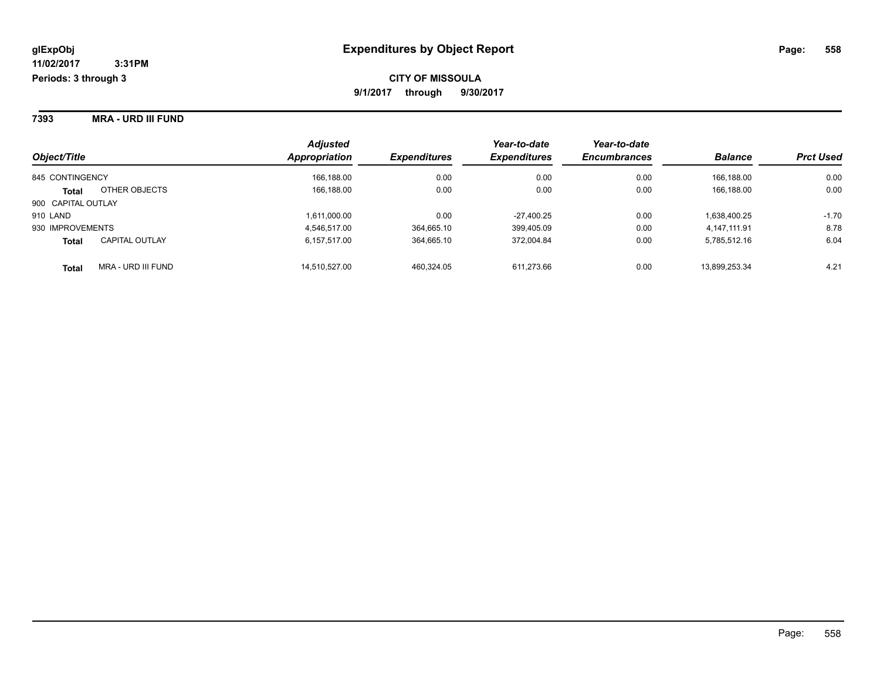**7393 MRA - URD III FUND**

| Object/Title       |                       | <b>Adjusted</b><br>Appropriation | <b>Expenditures</b> | Year-to-date<br><b>Expenditures</b> | Year-to-date<br><b>Encumbrances</b> | <b>Balance</b> | <b>Prct Used</b> |
|--------------------|-----------------------|----------------------------------|---------------------|-------------------------------------|-------------------------------------|----------------|------------------|
| 845 CONTINGENCY    |                       | 166,188.00                       | 0.00                | 0.00                                | 0.00                                | 166.188.00     | 0.00             |
| <b>Total</b>       | OTHER OBJECTS         | 166,188.00                       | 0.00                | 0.00                                | 0.00                                | 166,188.00     | 0.00             |
| 900 CAPITAL OUTLAY |                       |                                  |                     |                                     |                                     |                |                  |
| 910 LAND           |                       | 1,611,000.00                     | 0.00                | $-27,400.25$                        | 0.00                                | 1,638,400.25   | $-1.70$          |
| 930 IMPROVEMENTS   |                       | 4,546,517.00                     | 364,665.10          | 399,405.09                          | 0.00                                | 4,147,111.91   | 8.78             |
| <b>Total</b>       | <b>CAPITAL OUTLAY</b> | 6.157.517.00                     | 364,665.10          | 372,004.84                          | 0.00                                | 5,785,512.16   | 6.04             |
| <b>Total</b>       | MRA - URD III FUND    | 14.510.527.00                    | 460,324.05          | 611,273.66                          | 0.00                                | 13,899,253.34  | 4.21             |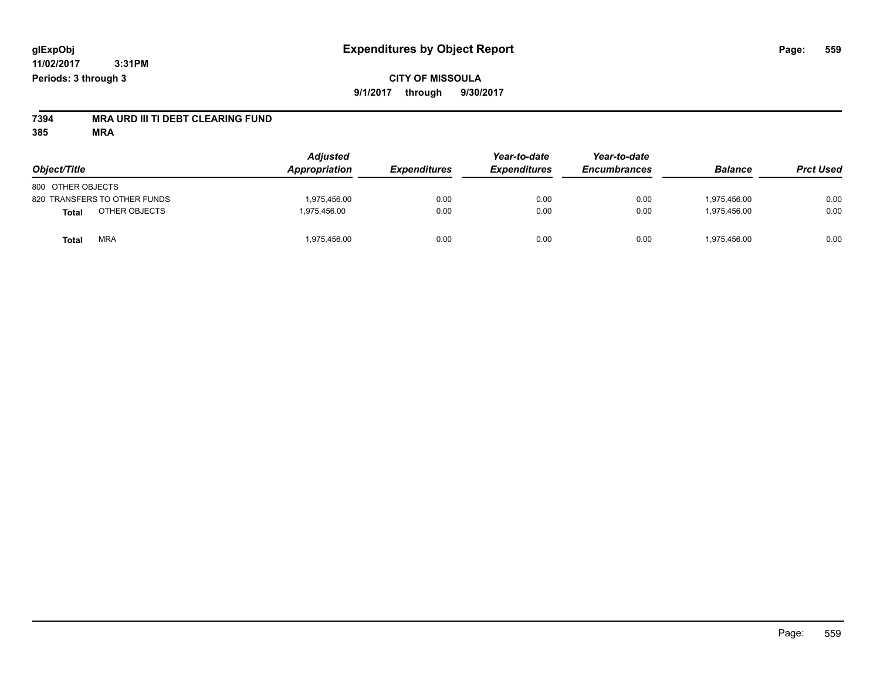## **CITY OF MISSOULA 9/1/2017 through 9/30/2017**

# **7394 MRA URD III TI DEBT CLEARING FUND**

| Object/Title                 | <b>Adjusted</b><br><b>Appropriation</b> | <b>Expenditures</b> | Year-to-date<br><b>Expenditures</b> | Year-to-date<br><b>Encumbrances</b> | <b>Balance</b> | <b>Prct Used</b> |
|------------------------------|-----------------------------------------|---------------------|-------------------------------------|-------------------------------------|----------------|------------------|
| 800 OTHER OBJECTS            |                                         |                     |                                     |                                     |                |                  |
| 820 TRANSFERS TO OTHER FUNDS | 1.975.456.00                            | 0.00                | 0.00                                | 0.00                                | 1.975.456.00   | 0.00             |
| OTHER OBJECTS<br>Total       | 1.975.456.00                            | 0.00                | 0.00                                | 0.00                                | 1.975.456.00   | 0.00             |
| <b>MRA</b><br>Total          | 1,975,456.00                            | 0.00                | 0.00                                | 0.00                                | 1,975,456.00   | 0.00             |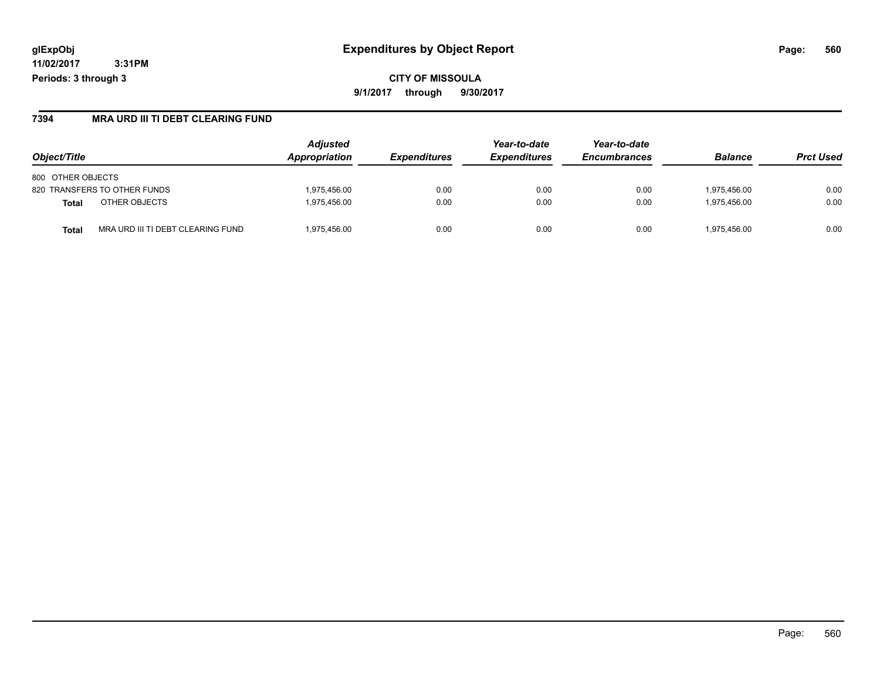### **7394 MRA URD III TI DEBT CLEARING FUND**

| Object/Title                                      | <b>Adjusted</b><br>Appropriation | <i><b>Expenditures</b></i> | Year-to-date<br><b>Expenditures</b> | Year-to-date<br><b>Encumbrances</b> | <b>Balance</b> | <b>Prct Used</b> |
|---------------------------------------------------|----------------------------------|----------------------------|-------------------------------------|-------------------------------------|----------------|------------------|
| 800 OTHER OBJECTS                                 |                                  |                            |                                     |                                     |                |                  |
| 820 TRANSFERS TO OTHER FUNDS                      | 1,975,456.00                     | 0.00                       | 0.00                                | 0.00                                | 1.975.456.00   | 0.00             |
| OTHER OBJECTS<br>Total                            | 1,975,456.00                     | 0.00                       | 0.00                                | 0.00                                | 1.975.456.00   | 0.00             |
| MRA URD III TI DEBT CLEARING FUND<br><b>Total</b> | 1,975,456.00                     | 0.00                       | 0.00                                | 0.00                                | 1,975,456.00   | 0.00             |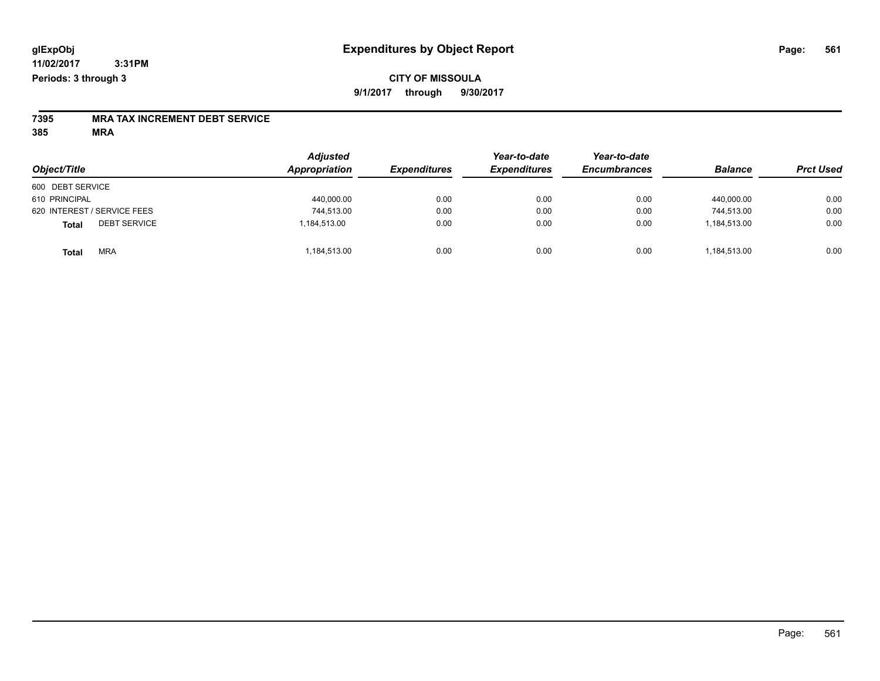## **CITY OF MISSOULA 9/1/2017 through 9/30/2017**

# **7395 MRA TAX INCREMENT DEBT SERVICE**

| Object/Title                        | <b>Adjusted</b><br>Appropriation | <b>Expenditures</b> | Year-to-date<br><b>Expenditures</b> | Year-to-date<br><b>Encumbrances</b> | <b>Balance</b> | <b>Prct Used</b> |
|-------------------------------------|----------------------------------|---------------------|-------------------------------------|-------------------------------------|----------------|------------------|
| 600 DEBT SERVICE                    |                                  |                     |                                     |                                     |                |                  |
| 610 PRINCIPAL                       | 440,000.00                       | 0.00                | 0.00                                | 0.00                                | 440.000.00     | 0.00             |
| 620 INTEREST / SERVICE FEES         | 744,513.00                       | 0.00                | 0.00                                | 0.00                                | 744.513.00     | 0.00             |
| <b>DEBT SERVICE</b><br><b>Total</b> | 1,184,513.00                     | 0.00                | 0.00                                | 0.00                                | 1,184,513.00   | 0.00             |
| <b>MRA</b><br><b>Total</b>          | 184,513.00                       | 0.00                | 0.00                                | 0.00                                | 1,184,513.00   | 0.00             |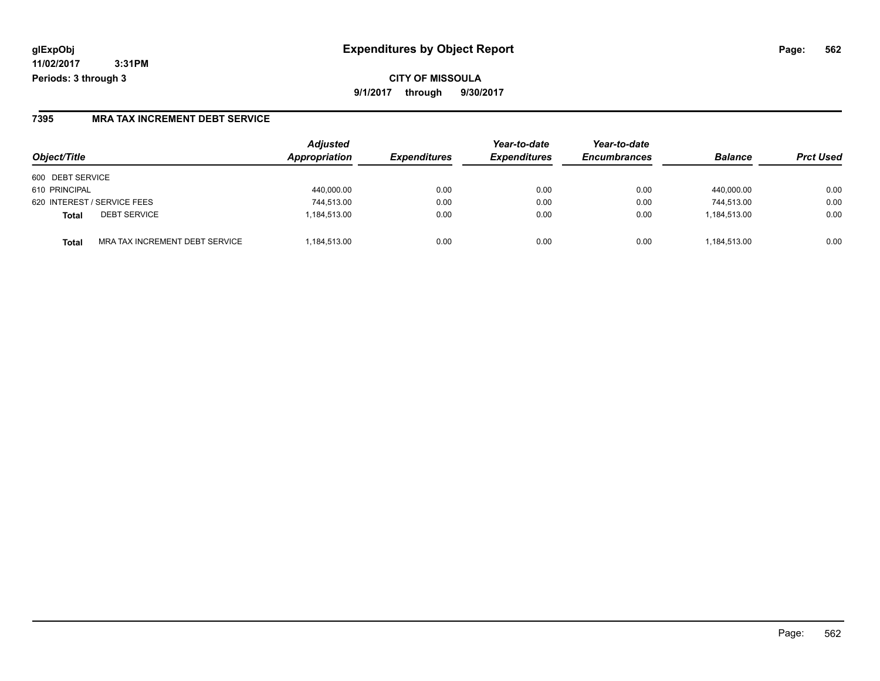## **glExpObj Expenditures by Object Report Page: 562**

**11/02/2017 3:31PM Periods: 3 through 3**

### **7395 MRA TAX INCREMENT DEBT SERVICE**

| Object/Title                            | <b>Adjusted</b><br>Appropriation | <b>Expenditures</b> | Year-to-date<br><b>Expenditures</b> | Year-to-date<br><b>Encumbrances</b> | <b>Balance</b> | <b>Prct Used</b> |
|-----------------------------------------|----------------------------------|---------------------|-------------------------------------|-------------------------------------|----------------|------------------|
| 600 DEBT SERVICE                        |                                  |                     |                                     |                                     |                |                  |
| 610 PRINCIPAL                           | 440,000.00                       | 0.00                | 0.00                                | 0.00                                | 440.000.00     | 0.00             |
| 620 INTEREST / SERVICE FEES             | 744,513.00                       | 0.00                | 0.00                                | 0.00                                | 744,513.00     | 0.00             |
| <b>DEBT SERVICE</b><br><b>Total</b>     | 1,184,513.00                     | 0.00                | 0.00                                | 0.00                                | 1,184,513.00   | 0.00             |
| MRA TAX INCREMENT DEBT SERVICE<br>Total | 1.184.513.00                     | 0.00                | 0.00                                | 0.00                                | 1,184,513.00   | 0.00             |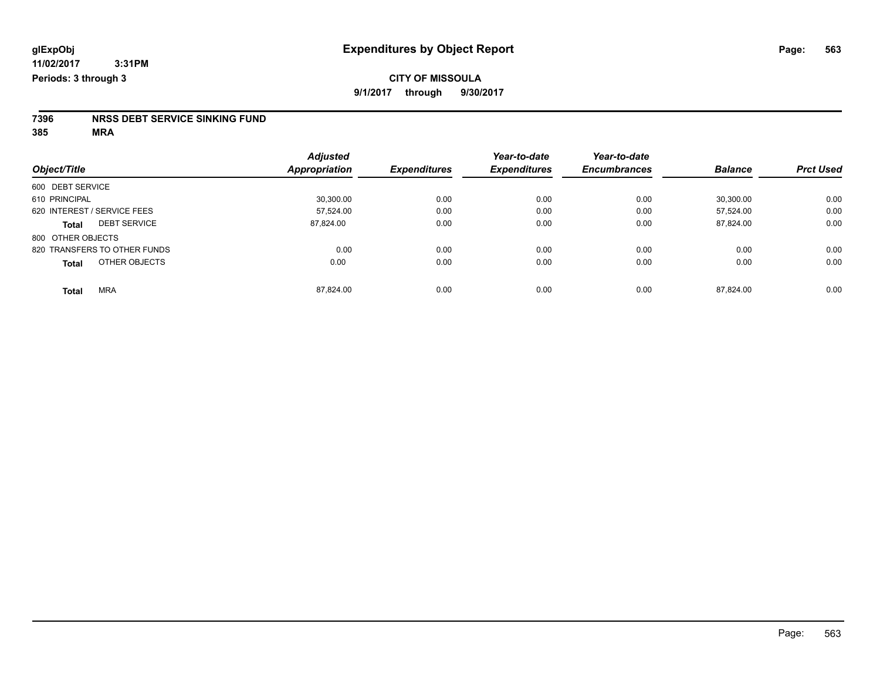# **7396 NRSS DEBT SERVICE SINKING FUND**

|                                     | <b>Adjusted</b> |                     | Year-to-date        | Year-to-date        |                |                  |
|-------------------------------------|-----------------|---------------------|---------------------|---------------------|----------------|------------------|
| Object/Title                        | Appropriation   | <b>Expenditures</b> | <b>Expenditures</b> | <b>Encumbrances</b> | <b>Balance</b> | <b>Prct Used</b> |
| 600 DEBT SERVICE                    |                 |                     |                     |                     |                |                  |
| 610 PRINCIPAL                       | 30,300.00       | 0.00                | 0.00                | 0.00                | 30.300.00      | 0.00             |
| 620 INTEREST / SERVICE FEES         | 57.524.00       | 0.00                | 0.00                | 0.00                | 57.524.00      | 0.00             |
| <b>DEBT SERVICE</b><br><b>Total</b> | 87.824.00       | 0.00                | 0.00                | 0.00                | 87,824.00      | 0.00             |
| 800 OTHER OBJECTS                   |                 |                     |                     |                     |                |                  |
| 820 TRANSFERS TO OTHER FUNDS        | 0.00            | 0.00                | 0.00                | 0.00                | 0.00           | 0.00             |
| OTHER OBJECTS<br><b>Total</b>       | 0.00            | 0.00                | 0.00                | 0.00                | 0.00           | 0.00             |
| <b>MRA</b><br><b>Total</b>          | 87.824.00       | 0.00                | 0.00                | 0.00                | 87.824.00      | 0.00             |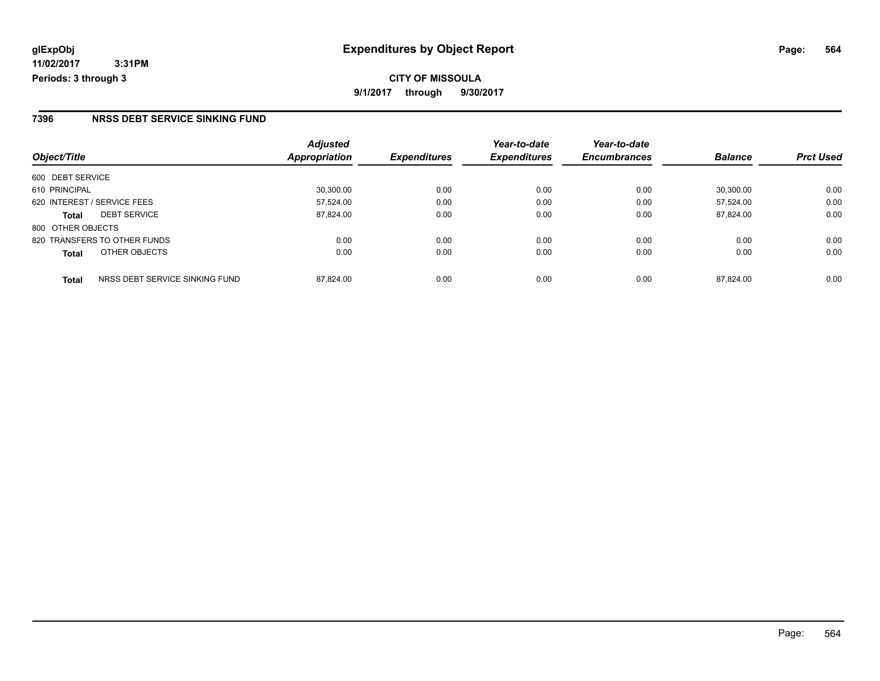#### **7396 NRSS DEBT SERVICE SINKING FUND**

|                                                | <b>Adjusted</b> |                     | Year-to-date        | Year-to-date        |                |                  |
|------------------------------------------------|-----------------|---------------------|---------------------|---------------------|----------------|------------------|
| Object/Title                                   | Appropriation   | <b>Expenditures</b> | <b>Expenditures</b> | <b>Encumbrances</b> | <b>Balance</b> | <b>Prct Used</b> |
| 600 DEBT SERVICE                               |                 |                     |                     |                     |                |                  |
| 610 PRINCIPAL                                  | 30.300.00       | 0.00                | 0.00                | 0.00                | 30.300.00      | 0.00             |
| 620 INTEREST / SERVICE FEES                    | 57,524.00       | 0.00                | 0.00                | 0.00                | 57.524.00      | 0.00             |
| <b>DEBT SERVICE</b><br><b>Total</b>            | 87,824.00       | 0.00                | 0.00                | 0.00                | 87.824.00      | 0.00             |
| 800 OTHER OBJECTS                              |                 |                     |                     |                     |                |                  |
| 820 TRANSFERS TO OTHER FUNDS                   | 0.00            | 0.00                | 0.00                | 0.00                | 0.00           | 0.00             |
| OTHER OBJECTS<br><b>Total</b>                  | 0.00            | 0.00                | 0.00                | 0.00                | 0.00           | 0.00             |
| NRSS DEBT SERVICE SINKING FUND<br><b>Total</b> | 87.824.00       | 0.00                | 0.00                | 0.00                | 87.824.00      | 0.00             |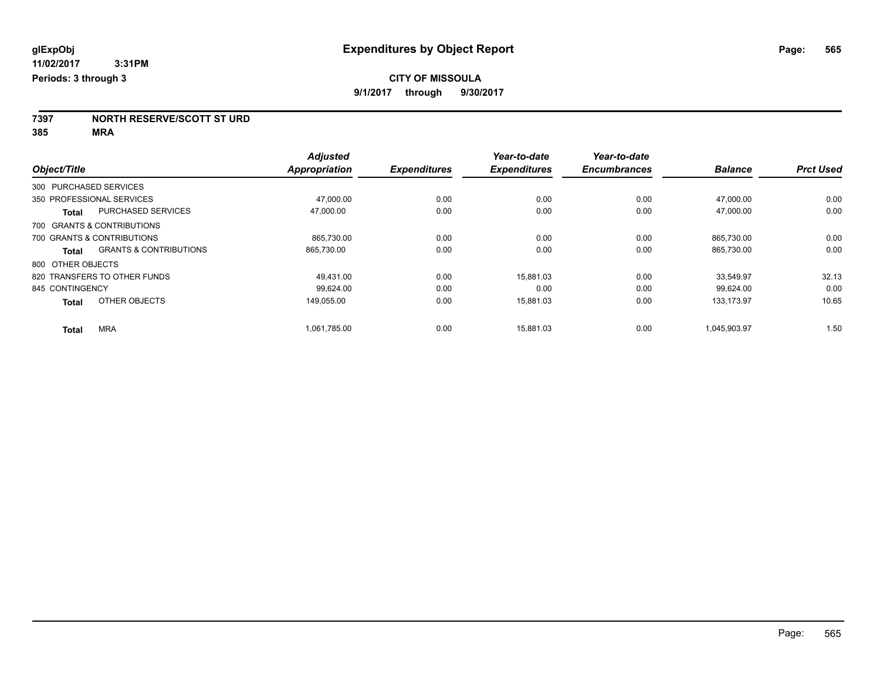**7397 NORTH RESERVE/SCOTT ST URD**

|                              |                                   | <b>Adjusted</b>      |                     | Year-to-date        | Year-to-date        |                |                  |
|------------------------------|-----------------------------------|----------------------|---------------------|---------------------|---------------------|----------------|------------------|
| Object/Title                 |                                   | <b>Appropriation</b> | <b>Expenditures</b> | <b>Expenditures</b> | <b>Encumbrances</b> | <b>Balance</b> | <b>Prct Used</b> |
| 300 PURCHASED SERVICES       |                                   |                      |                     |                     |                     |                |                  |
| 350 PROFESSIONAL SERVICES    |                                   | 47,000.00            | 0.00                | 0.00                | 0.00                | 47,000.00      | 0.00             |
| <b>Total</b>                 | <b>PURCHASED SERVICES</b>         | 47.000.00            | 0.00                | 0.00                | 0.00                | 47.000.00      | 0.00             |
| 700 GRANTS & CONTRIBUTIONS   |                                   |                      |                     |                     |                     |                |                  |
| 700 GRANTS & CONTRIBUTIONS   |                                   | 865,730.00           | 0.00                | 0.00                | 0.00                | 865.730.00     | 0.00             |
| Total                        | <b>GRANTS &amp; CONTRIBUTIONS</b> | 865,730.00           | 0.00                | 0.00                | 0.00                | 865,730.00     | 0.00             |
| 800 OTHER OBJECTS            |                                   |                      |                     |                     |                     |                |                  |
| 820 TRANSFERS TO OTHER FUNDS |                                   | 49.431.00            | 0.00                | 15.881.03           | 0.00                | 33.549.97      | 32.13            |
| 845 CONTINGENCY              |                                   | 99,624.00            | 0.00                | 0.00                | 0.00                | 99,624.00      | 0.00             |
| <b>Total</b>                 | OTHER OBJECTS                     | 149.055.00           | 0.00                | 15.881.03           | 0.00                | 133.173.97     | 10.65            |
| <b>MRA</b><br><b>Total</b>   |                                   | 1,061,785.00         | 0.00                | 15.881.03           | 0.00                | 1.045.903.97   | 1.50             |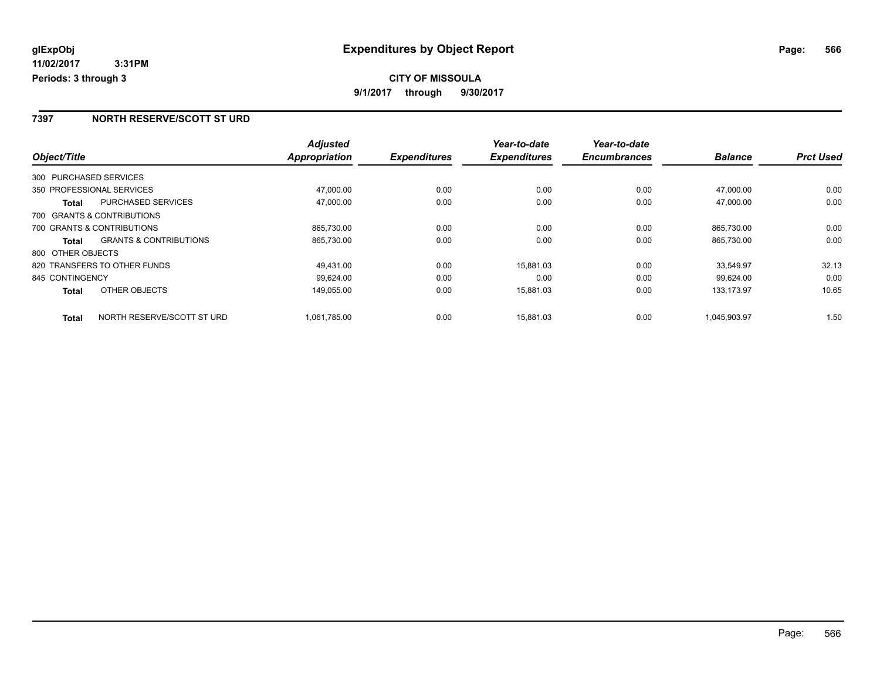### **7397 NORTH RESERVE/SCOTT ST URD**

|                        |                                   | <b>Adjusted</b>      |                     | Year-to-date        | Year-to-date        |                |                  |
|------------------------|-----------------------------------|----------------------|---------------------|---------------------|---------------------|----------------|------------------|
| Object/Title           |                                   | <b>Appropriation</b> | <b>Expenditures</b> | <b>Expenditures</b> | <b>Encumbrances</b> | <b>Balance</b> | <b>Prct Used</b> |
| 300 PURCHASED SERVICES |                                   |                      |                     |                     |                     |                |                  |
|                        | 350 PROFESSIONAL SERVICES         | 47,000.00            | 0.00                | 0.00                | 0.00                | 47,000.00      | 0.00             |
| Total                  | <b>PURCHASED SERVICES</b>         | 47,000.00            | 0.00                | 0.00                | 0.00                | 47,000.00      | 0.00             |
|                        | 700 GRANTS & CONTRIBUTIONS        |                      |                     |                     |                     |                |                  |
|                        | 700 GRANTS & CONTRIBUTIONS        | 865.730.00           | 0.00                | 0.00                | 0.00                | 865.730.00     | 0.00             |
| Total                  | <b>GRANTS &amp; CONTRIBUTIONS</b> | 865,730.00           | 0.00                | 0.00                | 0.00                | 865,730.00     | 0.00             |
| 800 OTHER OBJECTS      |                                   |                      |                     |                     |                     |                |                  |
|                        | 820 TRANSFERS TO OTHER FUNDS      | 49.431.00            | 0.00                | 15.881.03           | 0.00                | 33.549.97      | 32.13            |
| 845 CONTINGENCY        |                                   | 99.624.00            | 0.00                | 0.00                | 0.00                | 99.624.00      | 0.00             |
| <b>Total</b>           | OTHER OBJECTS                     | 149.055.00           | 0.00                | 15,881.03           | 0.00                | 133,173.97     | 10.65            |
| <b>Total</b>           | NORTH RESERVE/SCOTT ST URD        | 1,061,785.00         | 0.00                | 15.881.03           | 0.00                | 1,045,903.97   | 1.50             |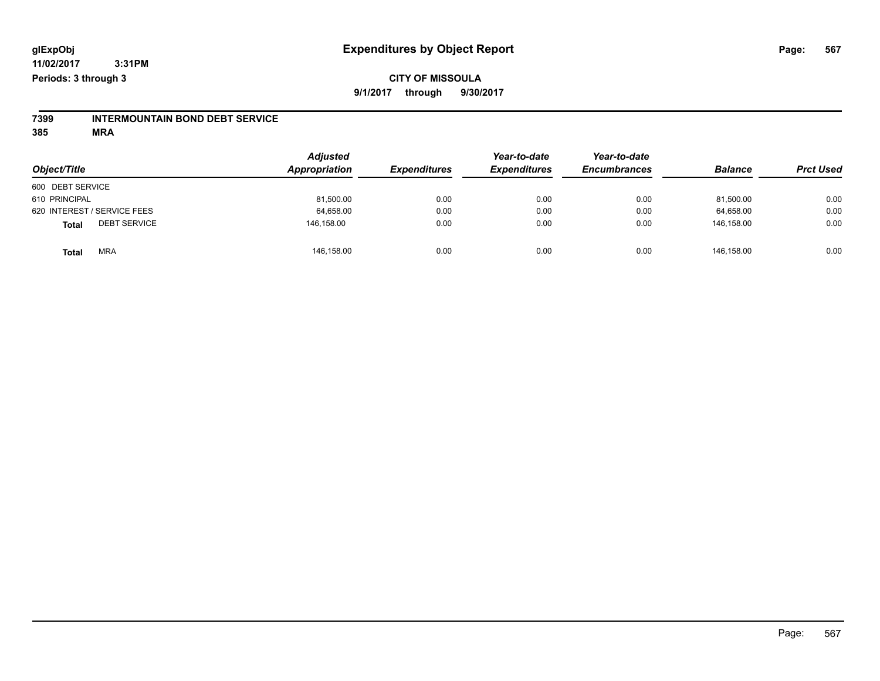## **CITY OF MISSOULA 9/1/2017 through 9/30/2017**

# **7399 INTERMOUNTAIN BOND DEBT SERVICE**

| Object/Title                 | <b>Adjusted</b><br>Appropriation | <b>Expenditures</b> | Year-to-date<br><b>Expenditures</b> | Year-to-date<br><b>Encumbrances</b> | <b>Balance</b> | <b>Prct Used</b> |
|------------------------------|----------------------------------|---------------------|-------------------------------------|-------------------------------------|----------------|------------------|
| 600 DEBT SERVICE             |                                  |                     |                                     |                                     |                |                  |
| 610 PRINCIPAL                | 81,500.00                        | 0.00                | 0.00                                | 0.00                                | 81.500.00      | 0.00             |
| 620 INTEREST / SERVICE FEES  | 64,658.00                        | 0.00                | 0.00                                | 0.00                                | 64.658.00      | 0.00             |
| <b>DEBT SERVICE</b><br>Total | 146,158.00                       | 0.00                | 0.00                                | 0.00                                | 146.158.00     | 0.00             |
| <b>MRA</b><br><b>Total</b>   | 146,158.00                       | 0.00                | 0.00                                | 0.00                                | 146,158.00     | 0.00             |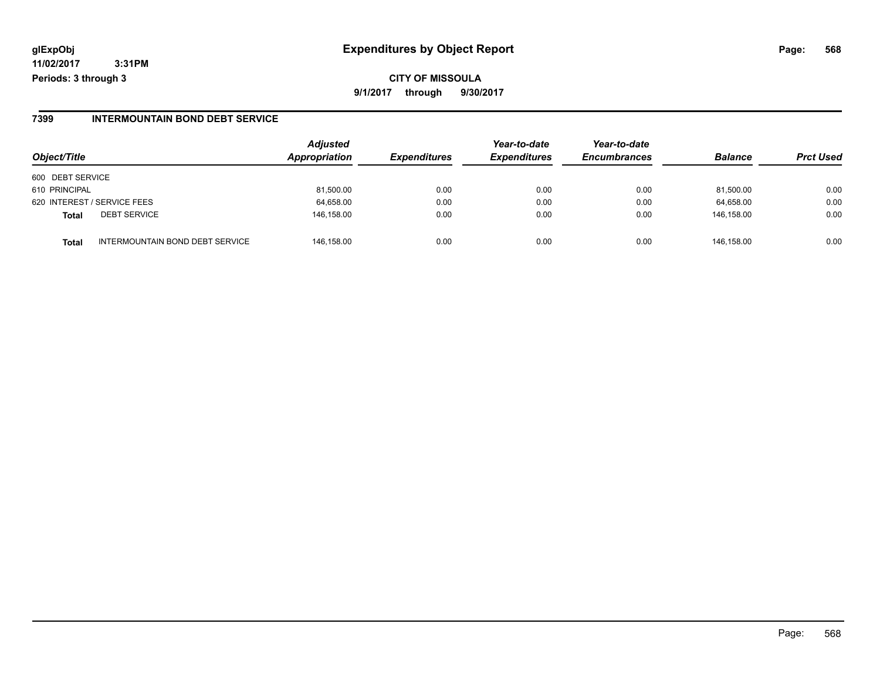## **glExpObj Expenditures by Object Report Page: 568**

**11/02/2017 3:31PM Periods: 3 through 3**

#### **7399 INTERMOUNTAIN BOND DEBT SERVICE**

| Object/Title                 |                                 | <b>Adjusted</b><br>Appropriation | <b>Expenditures</b> | Year-to-date<br><b>Expenditures</b> | Year-to-date<br><b>Encumbrances</b> | <b>Balance</b> | <b>Prct Used</b> |
|------------------------------|---------------------------------|----------------------------------|---------------------|-------------------------------------|-------------------------------------|----------------|------------------|
| 600 DEBT SERVICE             |                                 |                                  |                     |                                     |                                     |                |                  |
| 610 PRINCIPAL                |                                 | 81,500.00                        | 0.00                | 0.00                                | 0.00                                | 81,500.00      | 0.00             |
| 620 INTEREST / SERVICE FEES  |                                 | 64,658.00                        | 0.00                | 0.00                                | 0.00                                | 64,658.00      | 0.00             |
| <b>DEBT SERVICE</b><br>Total |                                 | 146.158.00                       | 0.00                | 0.00                                | 0.00                                | 146.158.00     | 0.00             |
| Total                        | INTERMOUNTAIN BOND DEBT SERVICE | 146.158.00                       | 0.00                | 0.00                                | 0.00                                | 146.158.00     | 0.00             |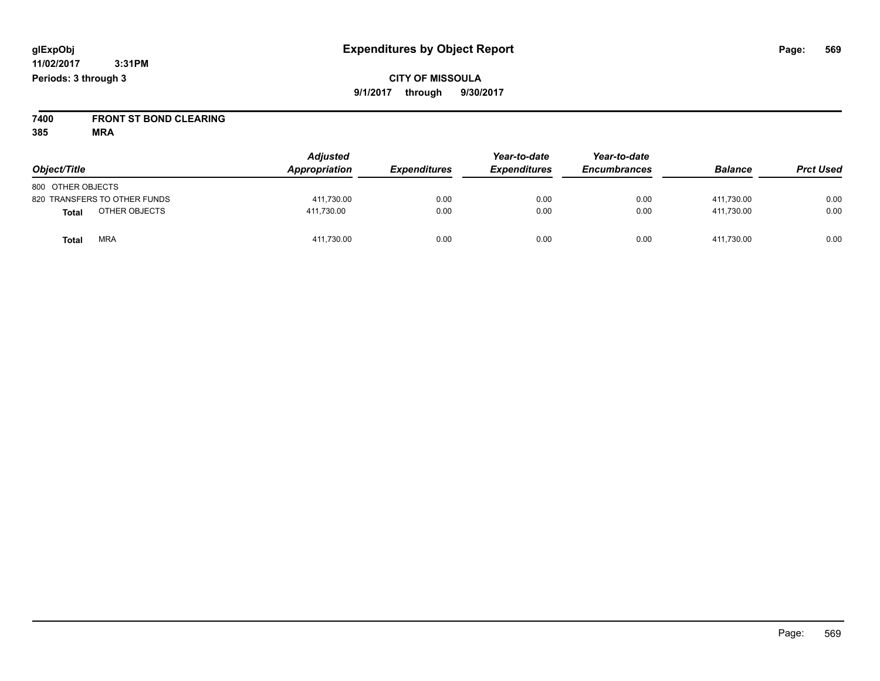**CITY OF MISSOULA 9/1/2017 through 9/30/2017**

**7400 FRONT ST BOND CLEARING**

| Object/Title                 | <b>Adjusted</b><br>Appropriation | <b>Expenditures</b> | Year-to-date<br><b>Expenditures</b> | Year-to-date<br><b>Encumbrances</b> | <b>Balance</b> | <b>Prct Used</b> |
|------------------------------|----------------------------------|---------------------|-------------------------------------|-------------------------------------|----------------|------------------|
| 800 OTHER OBJECTS            |                                  |                     |                                     |                                     |                |                  |
| 820 TRANSFERS TO OTHER FUNDS | 411,730.00                       | 0.00                | 0.00                                | 0.00                                | 411.730.00     | 0.00             |
| OTHER OBJECTS<br>Total       | 411,730.00                       | 0.00                | 0.00                                | 0.00                                | 411,730.00     | 0.00             |
| <b>MRA</b><br>Total          | 411,730.00                       | 0.00                | 0.00                                | 0.00                                | 411.730.00     | 0.00             |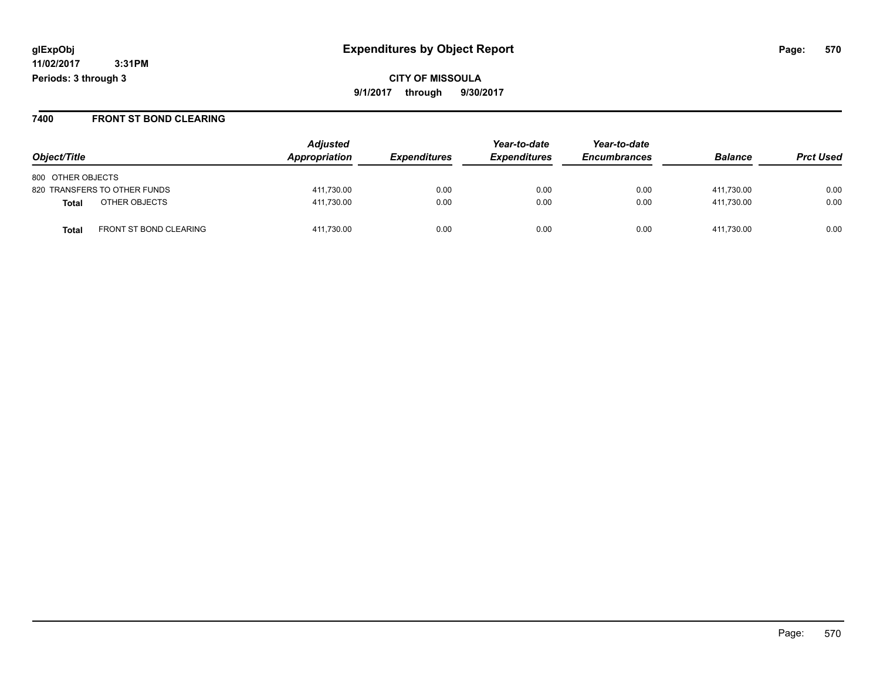**CITY OF MISSOULA 9/1/2017 through 9/30/2017**

#### **7400 FRONT ST BOND CLEARING**

|                                        | <b>Adjusted</b> |                     | Year-to-date        | Year-to-date        |                |                  |
|----------------------------------------|-----------------|---------------------|---------------------|---------------------|----------------|------------------|
| Object/Title                           | Appropriation   | <b>Expenditures</b> | <b>Expenditures</b> | <b>Encumbrances</b> | <b>Balance</b> | <b>Prct Used</b> |
| 800 OTHER OBJECTS                      |                 |                     |                     |                     |                |                  |
| 820 TRANSFERS TO OTHER FUNDS           | 411,730.00      | 0.00                | 0.00                | 0.00                | 411.730.00     | 0.00             |
| OTHER OBJECTS<br>Total                 | 411,730.00      | 0.00                | 0.00                | 0.00                | 411.730.00     | 0.00             |
| FRONT ST BOND CLEARING<br><b>Total</b> | 411,730.00      | 0.00                | 0.00                | 0.00                | 411,730.00     | 0.00             |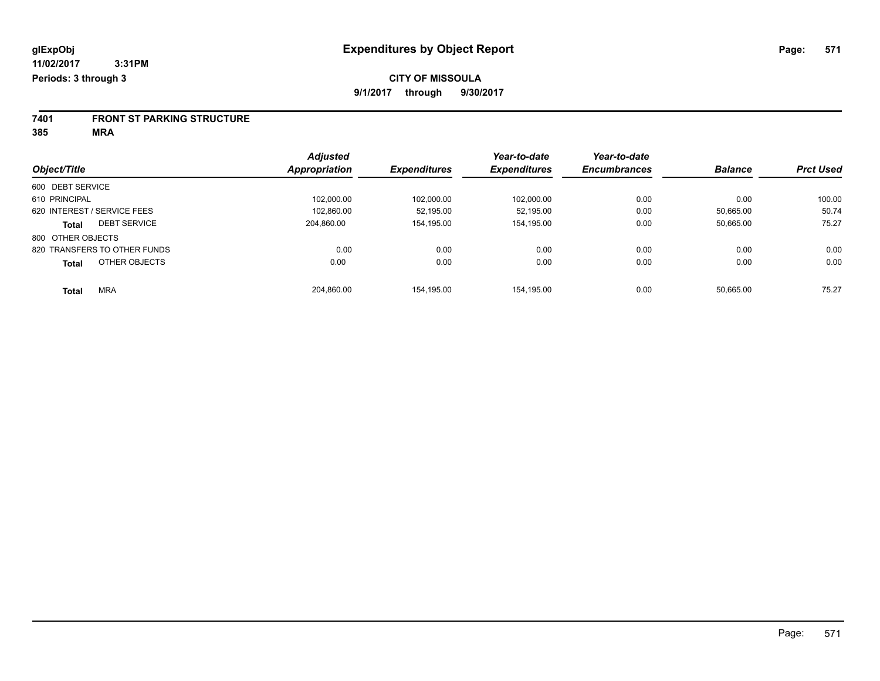# **7401 FRONT ST PARKING STRUCTURE**

|                                     | <b>Adjusted</b> |                     | Year-to-date        | Year-to-date        |                |                  |
|-------------------------------------|-----------------|---------------------|---------------------|---------------------|----------------|------------------|
| Object/Title                        | Appropriation   | <b>Expenditures</b> | <b>Expenditures</b> | <b>Encumbrances</b> | <b>Balance</b> | <b>Prct Used</b> |
| 600 DEBT SERVICE                    |                 |                     |                     |                     |                |                  |
| 610 PRINCIPAL                       | 102,000.00      | 102.000.00          | 102,000.00          | 0.00                | 0.00           | 100.00           |
| 620 INTEREST / SERVICE FEES         | 102.860.00      | 52.195.00           | 52.195.00           | 0.00                | 50.665.00      | 50.74            |
| <b>DEBT SERVICE</b><br><b>Total</b> | 204.860.00      | 154.195.00          | 154,195.00          | 0.00                | 50,665.00      | 75.27            |
| 800 OTHER OBJECTS                   |                 |                     |                     |                     |                |                  |
| 820 TRANSFERS TO OTHER FUNDS        | 0.00            | 0.00                | 0.00                | 0.00                | 0.00           | 0.00             |
| OTHER OBJECTS<br><b>Total</b>       | 0.00            | 0.00                | 0.00                | 0.00                | 0.00           | 0.00             |
| <b>MRA</b><br><b>Total</b>          | 204.860.00      | 154.195.00          | 154.195.00          | 0.00                | 50.665.00      | 75.27            |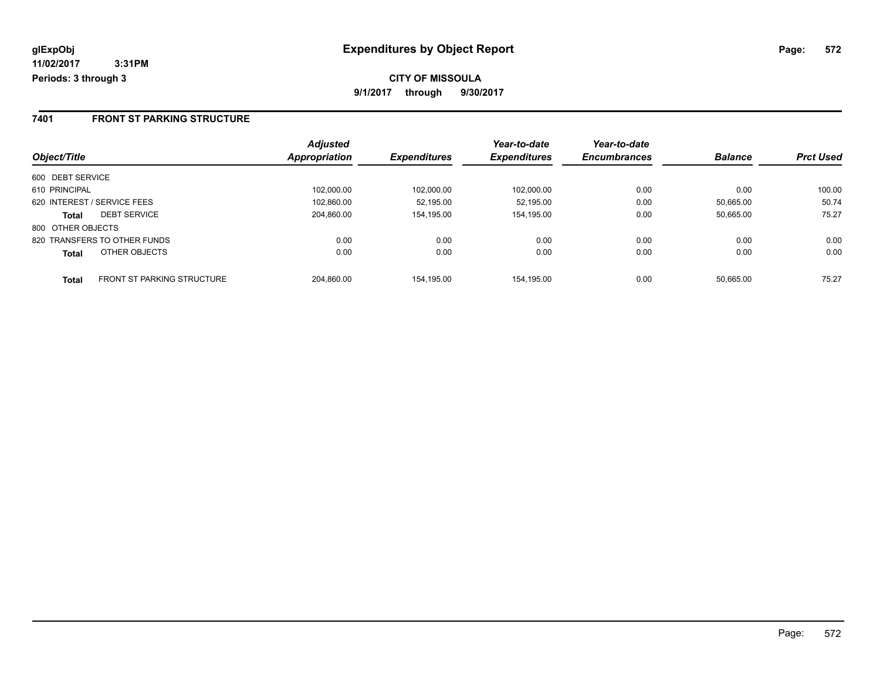### **7401 FRONT ST PARKING STRUCTURE**

|                                            | <b>Adjusted</b> |                     | Year-to-date        | Year-to-date        |                |                  |
|--------------------------------------------|-----------------|---------------------|---------------------|---------------------|----------------|------------------|
| Object/Title                               | Appropriation   | <b>Expenditures</b> | <b>Expenditures</b> | <b>Encumbrances</b> | <b>Balance</b> | <b>Prct Used</b> |
| 600 DEBT SERVICE                           |                 |                     |                     |                     |                |                  |
| 610 PRINCIPAL                              | 102.000.00      | 102,000.00          | 102.000.00          | 0.00                | 0.00           | 100.00           |
| 620 INTEREST / SERVICE FEES                | 102,860.00      | 52.195.00           | 52.195.00           | 0.00                | 50.665.00      | 50.74            |
| <b>DEBT SERVICE</b><br><b>Total</b>        | 204.860.00      | 154.195.00          | 154,195.00          | 0.00                | 50.665.00      | 75.27            |
| 800 OTHER OBJECTS                          |                 |                     |                     |                     |                |                  |
| 820 TRANSFERS TO OTHER FUNDS               | 0.00            | 0.00                | 0.00                | 0.00                | 0.00           | 0.00             |
| OTHER OBJECTS<br><b>Total</b>              | 0.00            | 0.00                | 0.00                | 0.00                | 0.00           | 0.00             |
| <b>FRONT ST PARKING STRUCTURE</b><br>Total | 204.860.00      | 154.195.00          | 154.195.00          | 0.00                | 50.665.00      | 75.27            |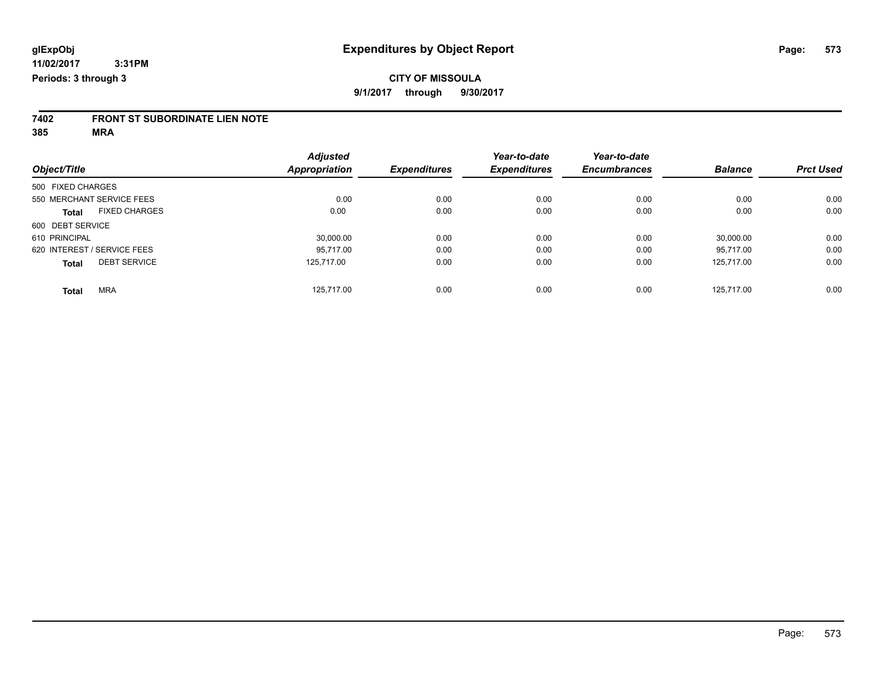# **7402 FRONT ST SUBORDINATE LIEN NOTE**

|                             |                      | <b>Adjusted</b> |                     | Year-to-date        | Year-to-date        |                |                  |
|-----------------------------|----------------------|-----------------|---------------------|---------------------|---------------------|----------------|------------------|
| Object/Title                |                      | Appropriation   | <b>Expenditures</b> | <b>Expenditures</b> | <b>Encumbrances</b> | <b>Balance</b> | <b>Prct Used</b> |
| 500 FIXED CHARGES           |                      |                 |                     |                     |                     |                |                  |
| 550 MERCHANT SERVICE FEES   |                      | 0.00            | 0.00                | 0.00                | 0.00                | 0.00           | 0.00             |
| <b>Total</b>                | <b>FIXED CHARGES</b> | 0.00            | 0.00                | 0.00                | 0.00                | 0.00           | 0.00             |
| 600 DEBT SERVICE            |                      |                 |                     |                     |                     |                |                  |
| 610 PRINCIPAL               |                      | 30,000.00       | 0.00                | 0.00                | 0.00                | 30,000.00      | 0.00             |
| 620 INTEREST / SERVICE FEES |                      | 95.717.00       | 0.00                | 0.00                | 0.00                | 95.717.00      | 0.00             |
| <b>Total</b>                | <b>DEBT SERVICE</b>  | 125.717.00      | 0.00                | 0.00                | 0.00                | 125.717.00     | 0.00             |
| <b>Total</b>                | <b>MRA</b>           | 125.717.00      | 0.00                | 0.00                | 0.00                | 125.717.00     | 0.00             |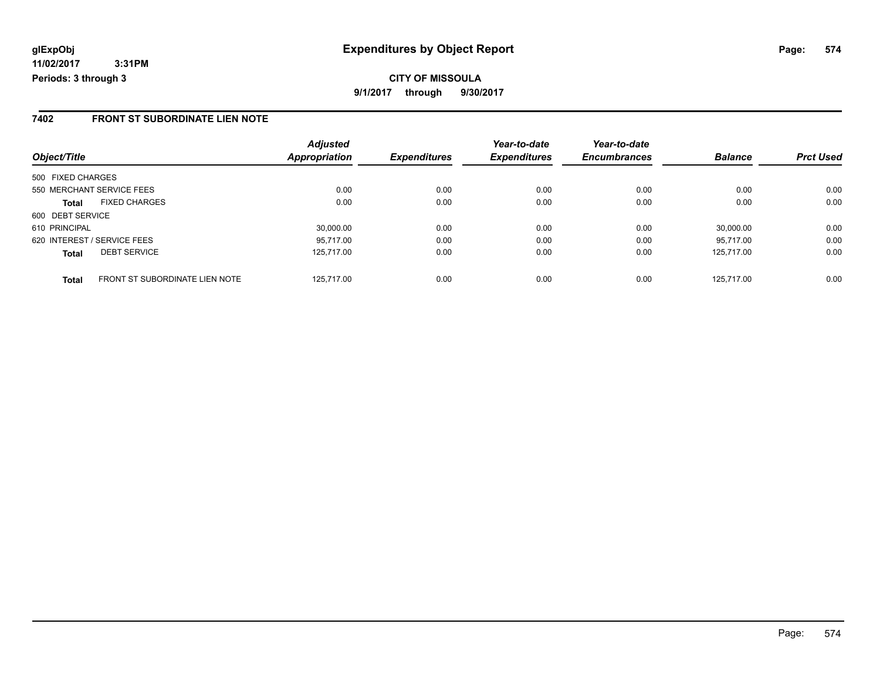### **7402 FRONT ST SUBORDINATE LIEN NOTE**

|                                                       | <b>Adjusted</b> |                     | Year-to-date        | Year-to-date        |                |                  |
|-------------------------------------------------------|-----------------|---------------------|---------------------|---------------------|----------------|------------------|
| Object/Title                                          | Appropriation   | <b>Expenditures</b> | <b>Expenditures</b> | <b>Encumbrances</b> | <b>Balance</b> | <b>Prct Used</b> |
| 500 FIXED CHARGES                                     |                 |                     |                     |                     |                |                  |
| 550 MERCHANT SERVICE FEES                             | 0.00            | 0.00                | 0.00                | 0.00                | 0.00           | 0.00             |
| <b>FIXED CHARGES</b><br><b>Total</b>                  | 0.00            | 0.00                | 0.00                | 0.00                | 0.00           | 0.00             |
| 600 DEBT SERVICE                                      |                 |                     |                     |                     |                |                  |
| 610 PRINCIPAL                                         | 30,000.00       | 0.00                | 0.00                | 0.00                | 30,000.00      | 0.00             |
| 620 INTEREST / SERVICE FEES                           | 95.717.00       | 0.00                | 0.00                | 0.00                | 95.717.00      | 0.00             |
| <b>DEBT SERVICE</b><br><b>Total</b>                   | 125.717.00      | 0.00                | 0.00                | 0.00                | 125.717.00     | 0.00             |
| <b>FRONT ST SUBORDINATE LIEN NOTE</b><br><b>Total</b> | 125.717.00      | 0.00                | 0.00                | 0.00                | 125.717.00     | 0.00             |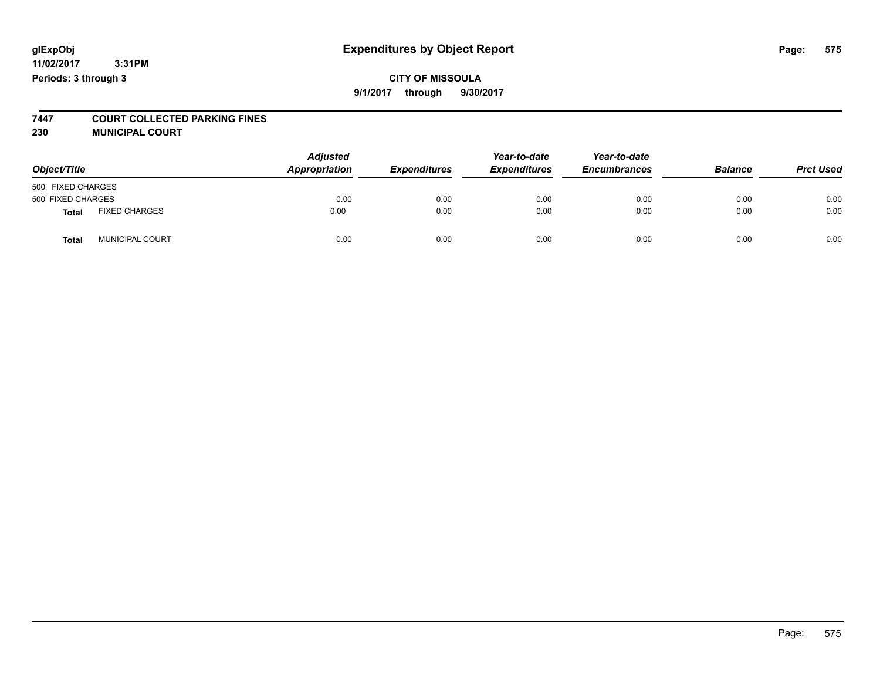## **CITY OF MISSOULA 9/1/2017 through 9/30/2017**

# **7447 COURT COLLECTED PARKING FINES**

**230 MUNICIPAL COURT**

| Object/Title      |                      | <b>Adjusted</b><br>Appropriation | <b>Expenditures</b> | Year-to-date<br><b>Expenditures</b> | Year-to-date<br><b>Encumbrances</b> | <b>Balance</b> | <b>Prct Used</b> |
|-------------------|----------------------|----------------------------------|---------------------|-------------------------------------|-------------------------------------|----------------|------------------|
| 500 FIXED CHARGES |                      |                                  |                     |                                     |                                     |                |                  |
| 500 FIXED CHARGES |                      | 0.00                             | 0.00                | 0.00                                | 0.00                                | 0.00           | 0.00             |
| Total             | <b>FIXED CHARGES</b> | 0.00                             | 0.00                | 0.00                                | 0.00                                | 0.00           | 0.00             |
| Total             | MUNICIPAL COURT      | 0.00                             | 0.00                | 0.00                                | 0.00                                | 0.00           | 0.00             |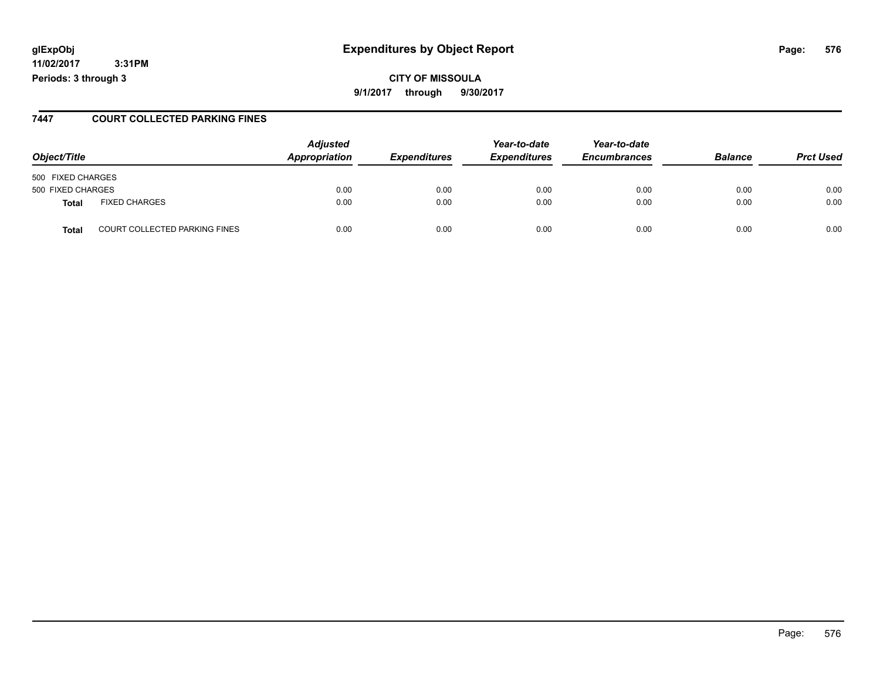## **glExpObj Expenditures by Object Report Page: 576**

**11/02/2017 3:31PM Periods: 3 through 3**

#### **7447 COURT COLLECTED PARKING FINES**

| Object/Title      |                                      | <b>Adjusted</b><br>Appropriation | <b>Expenditures</b> | Year-to-date<br><b>Expenditures</b> | Year-to-date<br><b>Encumbrances</b> | <b>Balance</b> | <b>Prct Used</b> |
|-------------------|--------------------------------------|----------------------------------|---------------------|-------------------------------------|-------------------------------------|----------------|------------------|
| 500 FIXED CHARGES |                                      |                                  |                     |                                     |                                     |                |                  |
| 500 FIXED CHARGES |                                      | 0.00                             | 0.00                | 0.00                                | 0.00                                | 0.00           | 0.00             |
| Total             | <b>FIXED CHARGES</b>                 | 0.00                             | 0.00                | 0.00                                | 0.00                                | 0.00           | 0.00             |
| <b>Total</b>      | <b>COURT COLLECTED PARKING FINES</b> | 0.00                             | 0.00                | 0.00                                | 0.00                                | 0.00           | 0.00             |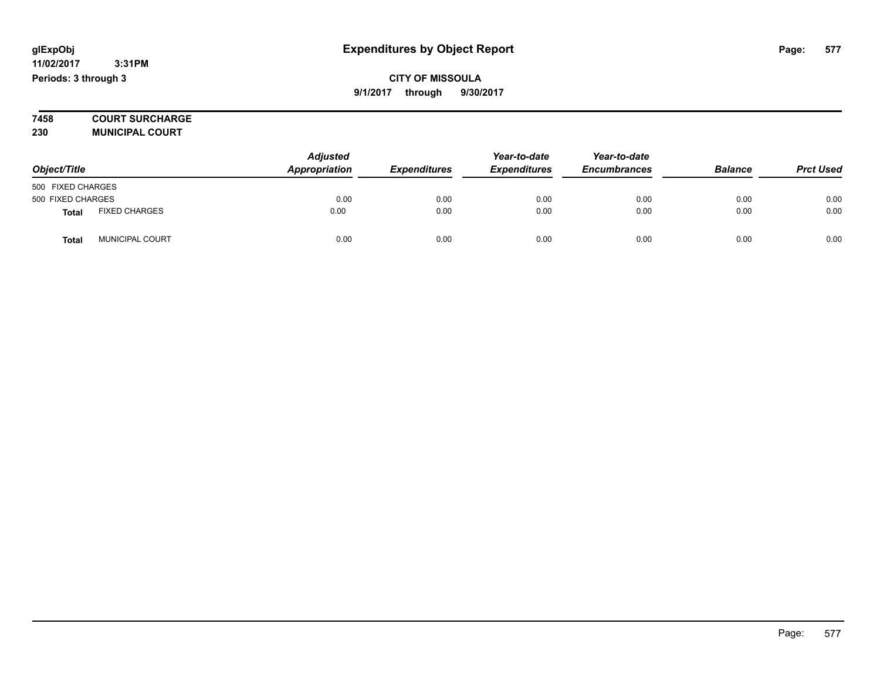**7458 COURT SURCHARGE 230 MUNICIPAL COURT**

*Object/Title Adjusted Appropriation Expenditures Year-to-date Expenditures Year-to-date Encumbrances Balance Prct Used* 500 FIXED CHARGES 500 FIXED CHARGES 0.00 0.00 0.00 0.00 0.00 0.00 **Total** FIXED CHARGES 0.00 0.00 0.00 0.00 0.00 0.00 **Total** MUNICIPAL COURT 0.00 0.00 0.00 0.00 0.00 0.00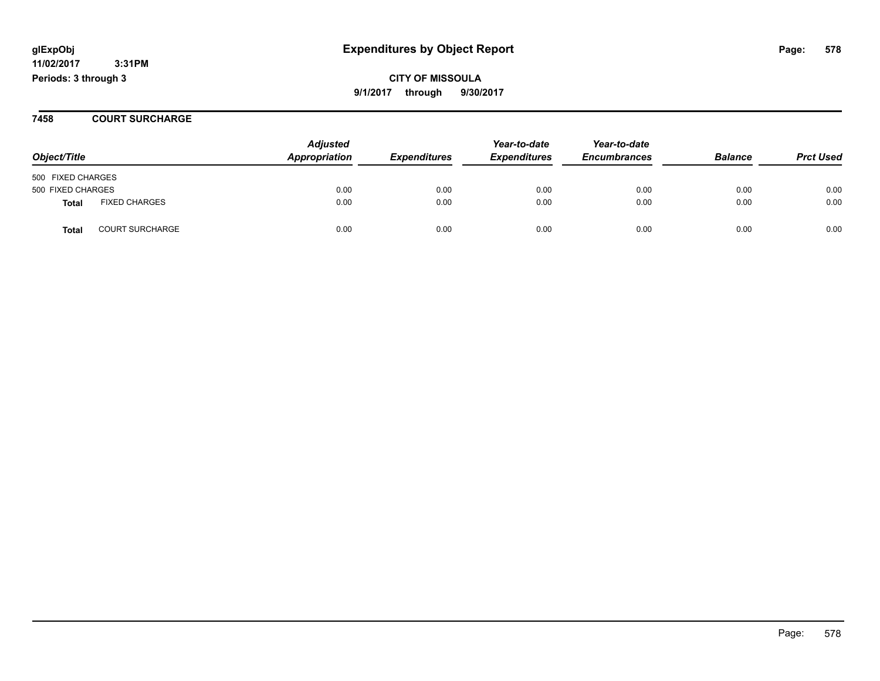**CITY OF MISSOULA 9/1/2017 through 9/30/2017**

#### **7458 COURT SURCHARGE**

| Object/Title      |                        | <b>Adjusted</b><br>Appropriation | <b>Expenditures</b> | Year-to-date<br><b>Expenditures</b> | Year-to-date<br><b>Encumbrances</b> | <b>Balance</b> | <b>Prct Used</b> |
|-------------------|------------------------|----------------------------------|---------------------|-------------------------------------|-------------------------------------|----------------|------------------|
| 500 FIXED CHARGES |                        |                                  |                     |                                     |                                     |                |                  |
| 500 FIXED CHARGES |                        | 0.00                             | 0.00                | 0.00                                | 0.00                                | 0.00           | 0.00             |
| Total             | <b>FIXED CHARGES</b>   | 0.00                             | 0.00                | 0.00                                | 0.00                                | 0.00           | 0.00             |
| <b>Total</b>      | <b>COURT SURCHARGE</b> | 0.00                             | 0.00                | 0.00                                | 0.00                                | 0.00           | 0.00             |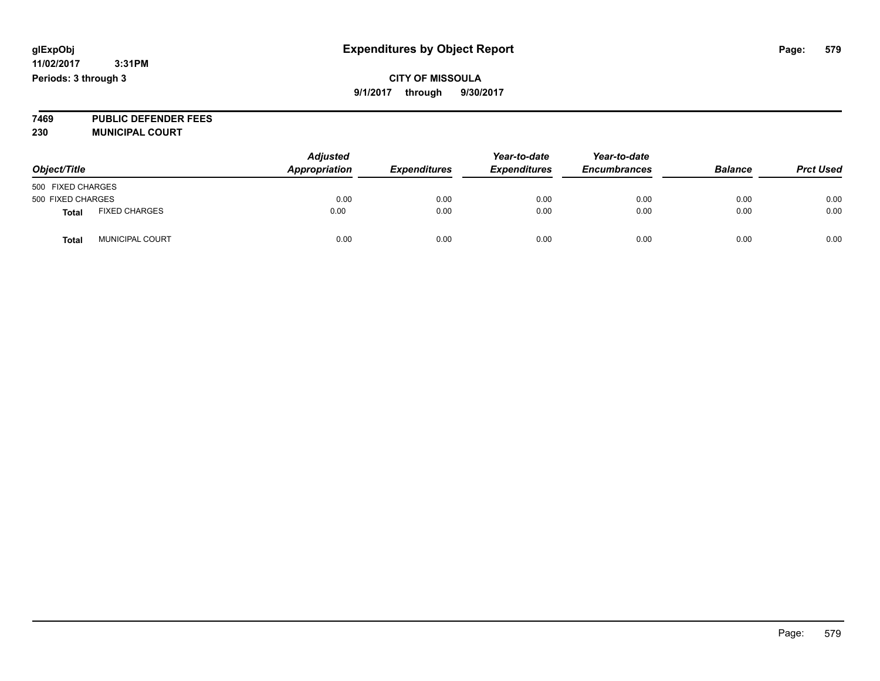## **CITY OF MISSOULA 9/1/2017 through 9/30/2017**

**7469 PUBLIC DEFENDER FEES 230 MUNICIPAL COURT**

| Object/Title      |                        | <b>Adjusted</b><br>Appropriation | <b>Expenditures</b> | Year-to-date<br><b>Expenditures</b> | Year-to-date<br><b>Encumbrances</b> | <b>Balance</b> | <b>Prct Used</b> |
|-------------------|------------------------|----------------------------------|---------------------|-------------------------------------|-------------------------------------|----------------|------------------|
| 500 FIXED CHARGES |                        |                                  |                     |                                     |                                     |                |                  |
| 500 FIXED CHARGES |                        | 0.00                             | 0.00                | 0.00                                | 0.00                                | 0.00           | 0.00             |
| <b>Total</b>      | <b>FIXED CHARGES</b>   | 0.00                             | 0.00                | 0.00                                | 0.00                                | 0.00           | 0.00             |
| <b>Total</b>      | <b>MUNICIPAL COURT</b> | 0.00                             | 0.00                | 0.00                                | 0.00                                | 0.00           | 0.00             |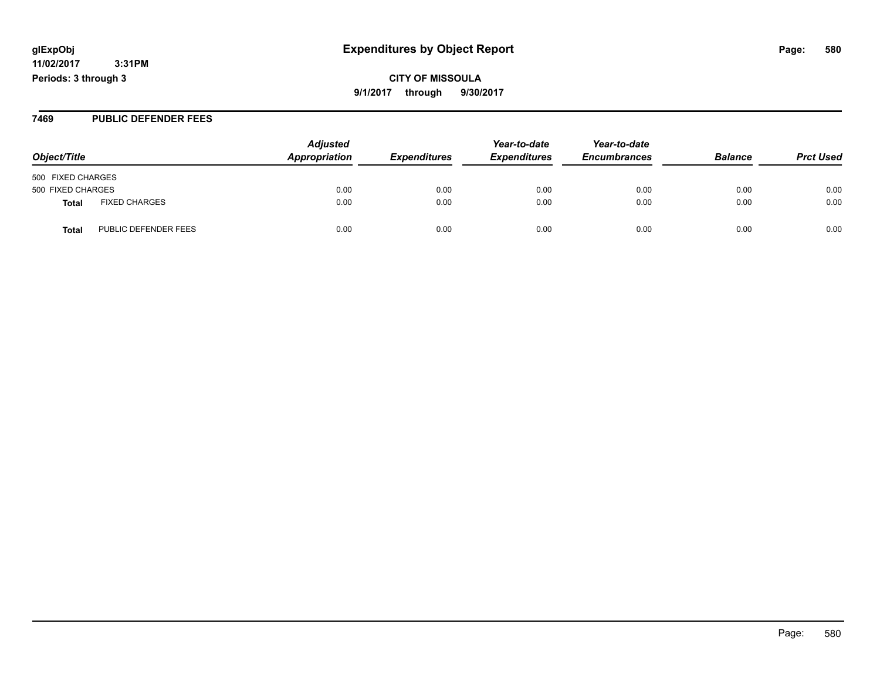**CITY OF MISSOULA 9/1/2017 through 9/30/2017**

#### **7469 PUBLIC DEFENDER FEES**

| Object/Title                         | <b>Adjusted</b><br>Appropriation | <b>Expenditures</b> | Year-to-date<br><b>Expenditures</b> | Year-to-date<br><b>Encumbrances</b> | <b>Balance</b> | <b>Prct Used</b> |
|--------------------------------------|----------------------------------|---------------------|-------------------------------------|-------------------------------------|----------------|------------------|
| 500 FIXED CHARGES                    |                                  |                     |                                     |                                     |                |                  |
| 500 FIXED CHARGES                    | 0.00                             | 0.00                | 0.00                                | 0.00                                | 0.00           | 0.00             |
| <b>FIXED CHARGES</b><br>Total        | 0.00                             | 0.00                | 0.00                                | 0.00                                | 0.00           | 0.00             |
| PUBLIC DEFENDER FEES<br><b>Total</b> | 0.00                             | 0.00                | 0.00                                | 0.00                                | 0.00           | 0.00             |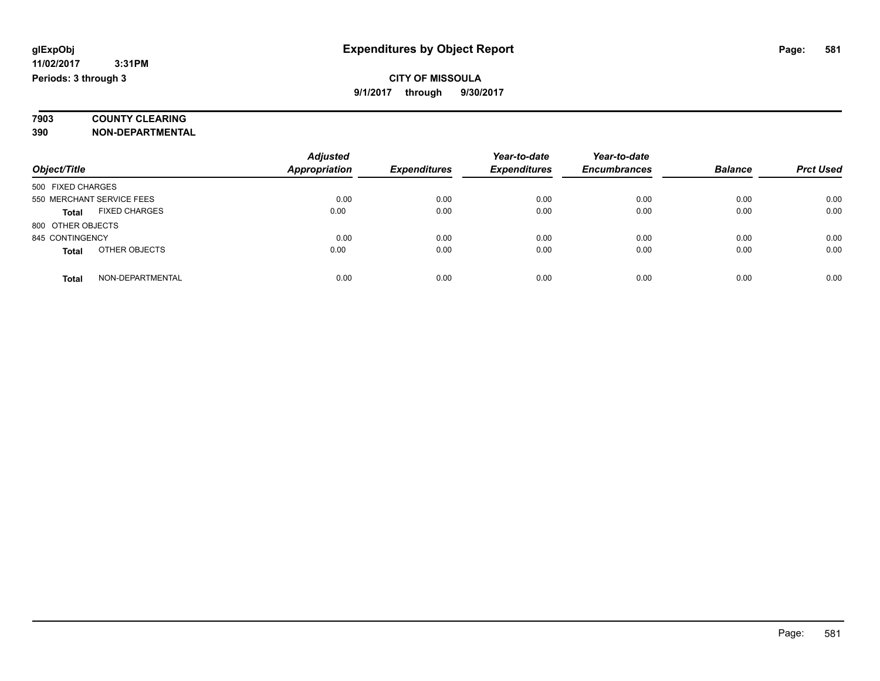# **7903 COUNTY CLEARING**

**390 NON-DEPARTMENTAL**

|                                      | <b>Adjusted</b>      |                     | Year-to-date        | Year-to-date        |                |                  |
|--------------------------------------|----------------------|---------------------|---------------------|---------------------|----------------|------------------|
| Object/Title                         | <b>Appropriation</b> | <b>Expenditures</b> | <b>Expenditures</b> | <b>Encumbrances</b> | <b>Balance</b> | <b>Prct Used</b> |
| 500 FIXED CHARGES                    |                      |                     |                     |                     |                |                  |
| 550 MERCHANT SERVICE FEES            | 0.00                 | 0.00                | 0.00                | 0.00                | 0.00           | 0.00             |
| <b>FIXED CHARGES</b><br><b>Total</b> | 0.00                 | 0.00                | 0.00                | 0.00                | 0.00           | 0.00             |
| 800 OTHER OBJECTS                    |                      |                     |                     |                     |                |                  |
| 845 CONTINGENCY                      | 0.00                 | 0.00                | 0.00                | 0.00                | 0.00           | 0.00             |
| OTHER OBJECTS<br><b>Total</b>        | 0.00                 | 0.00                | 0.00                | 0.00                | 0.00           | 0.00             |
| NON-DEPARTMENTAL<br>Total            | 0.00                 | 0.00                | 0.00                | 0.00                | 0.00           | 0.00             |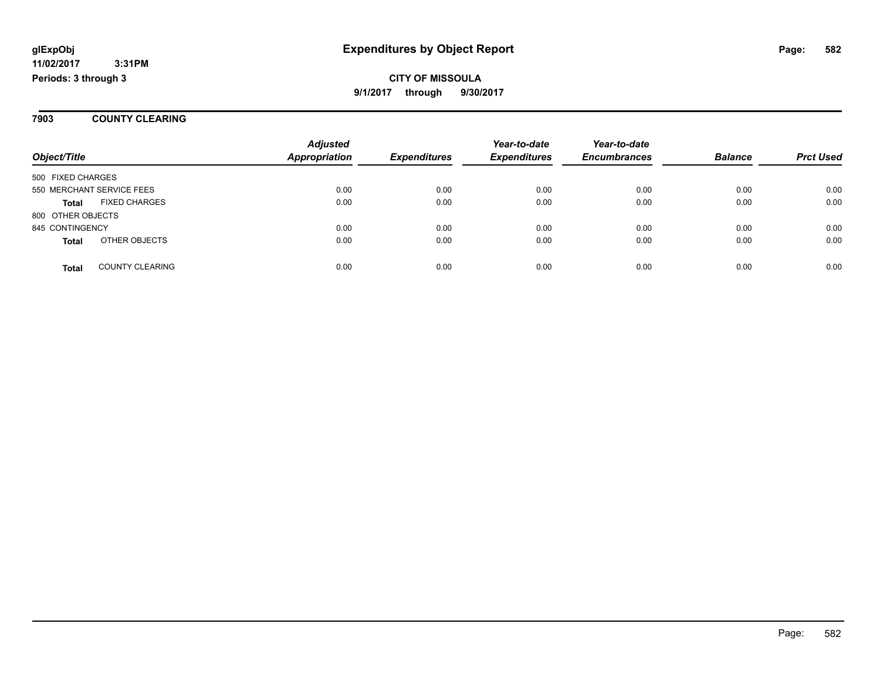**3:31PM Periods: 3 through 3**

## **CITY OF MISSOULA 9/1/2017 through 9/30/2017**

#### **7903 COUNTY CLEARING**

|                   |                           | <b>Adjusted</b>      |                     | Year-to-date        | Year-to-date        |                |                  |
|-------------------|---------------------------|----------------------|---------------------|---------------------|---------------------|----------------|------------------|
| Object/Title      |                           | <b>Appropriation</b> | <b>Expenditures</b> | <b>Expenditures</b> | <b>Encumbrances</b> | <b>Balance</b> | <b>Prct Used</b> |
| 500 FIXED CHARGES |                           |                      |                     |                     |                     |                |                  |
|                   | 550 MERCHANT SERVICE FEES | 0.00                 | 0.00                | 0.00                | 0.00                | 0.00           | 0.00             |
| <b>Total</b>      | <b>FIXED CHARGES</b>      | 0.00                 | 0.00                | 0.00                | 0.00                | 0.00           | 0.00             |
| 800 OTHER OBJECTS |                           |                      |                     |                     |                     |                |                  |
| 845 CONTINGENCY   |                           | 0.00                 | 0.00                | 0.00                | 0.00                | 0.00           | 0.00             |
| <b>Total</b>      | OTHER OBJECTS             | 0.00                 | 0.00                | 0.00                | 0.00                | 0.00           | 0.00             |
| <b>Total</b>      | <b>COUNTY CLEARING</b>    | 0.00                 | 0.00                | 0.00                | 0.00                | 0.00           | 0.00             |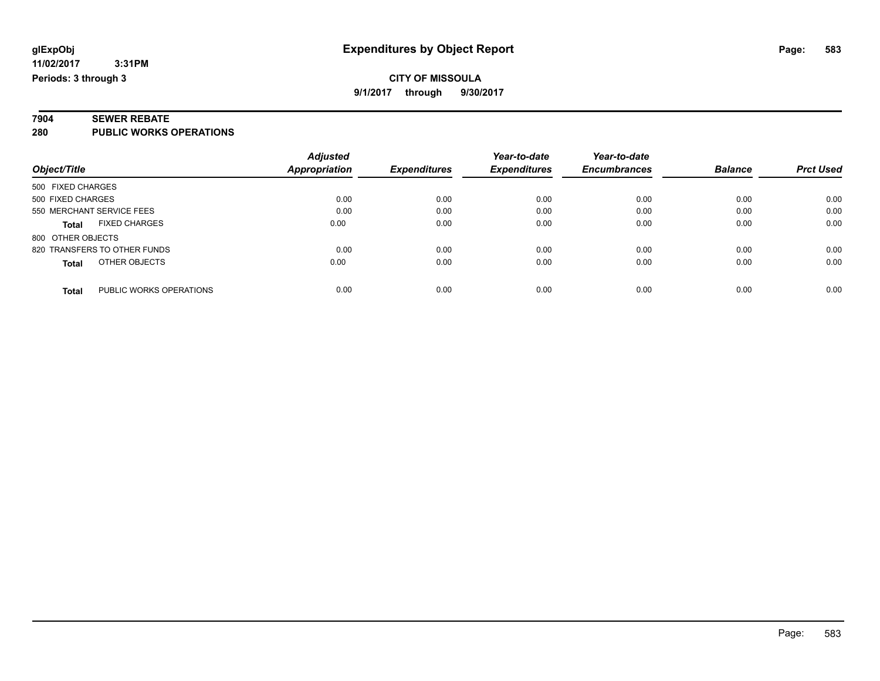# **7904 SEWER REBATE**

**280 PUBLIC WORKS OPERATIONS**

|                                         | <b>Adjusted</b>      |                            | Year-to-date        | Year-to-date        |                |                  |
|-----------------------------------------|----------------------|----------------------------|---------------------|---------------------|----------------|------------------|
| Object/Title                            | <b>Appropriation</b> | <i><b>Expenditures</b></i> | <b>Expenditures</b> | <b>Encumbrances</b> | <b>Balance</b> | <b>Prct Used</b> |
| 500 FIXED CHARGES                       |                      |                            |                     |                     |                |                  |
| 500 FIXED CHARGES                       | 0.00                 | 0.00                       | 0.00                | 0.00                | 0.00           | 0.00             |
| 550 MERCHANT SERVICE FEES               | 0.00                 | 0.00                       | 0.00                | 0.00                | 0.00           | 0.00             |
| <b>FIXED CHARGES</b><br><b>Total</b>    | 0.00                 | 0.00                       | 0.00                | 0.00                | 0.00           | 0.00             |
| 800 OTHER OBJECTS                       |                      |                            |                     |                     |                |                  |
| 820 TRANSFERS TO OTHER FUNDS            | 0.00                 | 0.00                       | 0.00                | 0.00                | 0.00           | 0.00             |
| OTHER OBJECTS<br><b>Total</b>           | 0.00                 | 0.00                       | 0.00                | 0.00                | 0.00           | 0.00             |
| PUBLIC WORKS OPERATIONS<br><b>Total</b> | 0.00                 | 0.00                       | 0.00                | 0.00                | 0.00           | 0.00             |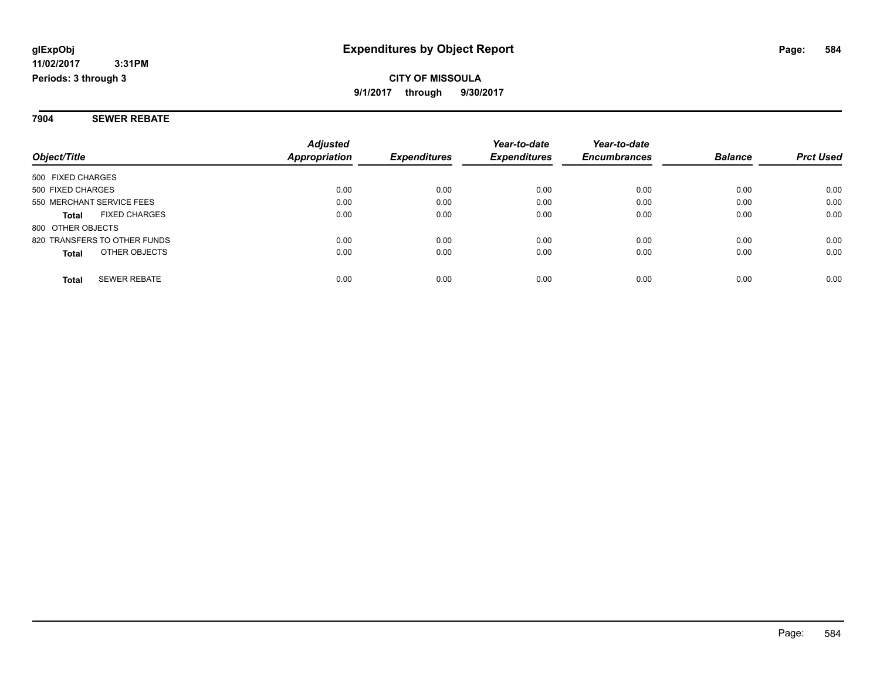**Periods: 3 through 3**

# **CITY OF MISSOULA 9/1/2017 through 9/30/2017**

#### **7904 SEWER REBATE**

|                                      | <b>Adjusted</b> |                     | Year-to-date<br><b>Expenditures</b> | Year-to-date<br><b>Encumbrances</b> | <b>Balance</b> | <b>Prct Used</b> |
|--------------------------------------|-----------------|---------------------|-------------------------------------|-------------------------------------|----------------|------------------|
| Object/Title                         | Appropriation   | <b>Expenditures</b> |                                     |                                     |                |                  |
| 500 FIXED CHARGES                    |                 |                     |                                     |                                     |                |                  |
| 500 FIXED CHARGES                    | 0.00            | 0.00                | 0.00                                | 0.00                                | 0.00           | 0.00             |
| 550 MERCHANT SERVICE FEES            | 0.00            | 0.00                | 0.00                                | 0.00                                | 0.00           | 0.00             |
| <b>FIXED CHARGES</b><br><b>Total</b> | 0.00            | 0.00                | 0.00                                | 0.00                                | 0.00           | 0.00             |
| 800 OTHER OBJECTS                    |                 |                     |                                     |                                     |                |                  |
| 820 TRANSFERS TO OTHER FUNDS         | 0.00            | 0.00                | 0.00                                | 0.00                                | 0.00           | 0.00             |
| OTHER OBJECTS<br><b>Total</b>        | 0.00            | 0.00                | 0.00                                | 0.00                                | 0.00           | 0.00             |
| <b>SEWER REBATE</b><br><b>Total</b>  | 0.00            | 0.00                | 0.00                                | 0.00                                | 0.00           | 0.00             |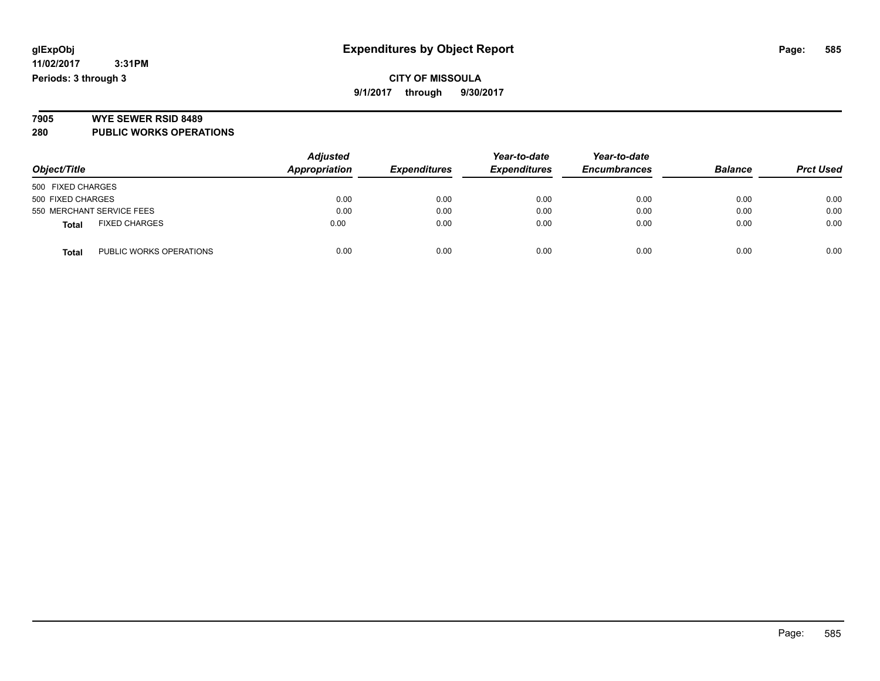# **7905 WYE SEWER RSID 8489**

**280 PUBLIC WORKS OPERATIONS**

| Object/Title                            | <b>Adjusted</b><br>Appropriation | <b>Expenditures</b> | Year-to-date<br><b>Expenditures</b> | Year-to-date<br><b>Encumbrances</b> | <b>Balance</b> | <b>Prct Used</b> |
|-----------------------------------------|----------------------------------|---------------------|-------------------------------------|-------------------------------------|----------------|------------------|
| 500 FIXED CHARGES                       |                                  |                     |                                     |                                     |                |                  |
| 500 FIXED CHARGES                       | 0.00                             | 0.00                | 0.00                                | 0.00                                | 0.00           | 0.00             |
| 550 MERCHANT SERVICE FEES               | 0.00                             | 0.00                | 0.00                                | 0.00                                | 0.00           | 0.00             |
| <b>FIXED CHARGES</b><br><b>Total</b>    | 0.00                             | 0.00                | 0.00                                | 0.00                                | 0.00           | 0.00             |
| PUBLIC WORKS OPERATIONS<br><b>Total</b> | 0.00                             | 0.00                | 0.00                                | 0.00                                | 0.00           | 0.00             |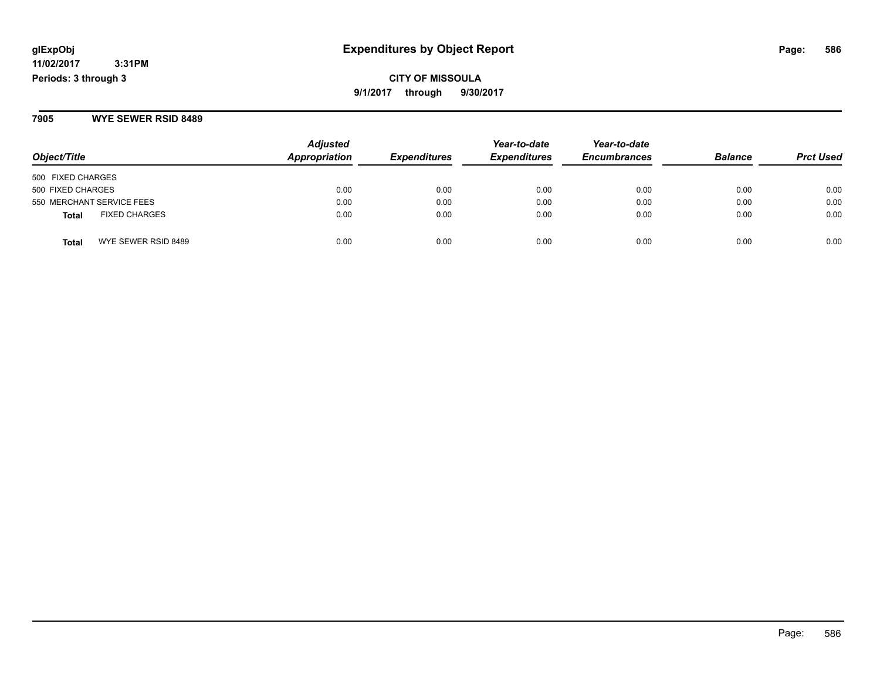# **CITY OF MISSOULA 9/1/2017 through 9/30/2017**

### **7905 WYE SEWER RSID 8489**

| Object/Title                  | <b>Adjusted</b><br>Appropriation | <b>Expenditures</b> | Year-to-date<br><b>Expenditures</b> | Year-to-date<br><b>Encumbrances</b> | <b>Balance</b> | <b>Prct Used</b> |
|-------------------------------|----------------------------------|---------------------|-------------------------------------|-------------------------------------|----------------|------------------|
| 500 FIXED CHARGES             |                                  |                     |                                     |                                     |                |                  |
| 500 FIXED CHARGES             | 0.00                             | 0.00                | 0.00                                | 0.00                                | 0.00           | 0.00             |
| 550 MERCHANT SERVICE FEES     | 0.00                             | 0.00                | 0.00                                | 0.00                                | 0.00           | 0.00             |
| <b>FIXED CHARGES</b><br>Total | 0.00                             | 0.00                | 0.00                                | 0.00                                | 0.00           | 0.00             |
| WYE SEWER RSID 8489<br>Total  | 0.00                             | 0.00                | 0.00                                | 0.00                                | 0.00           | 0.00             |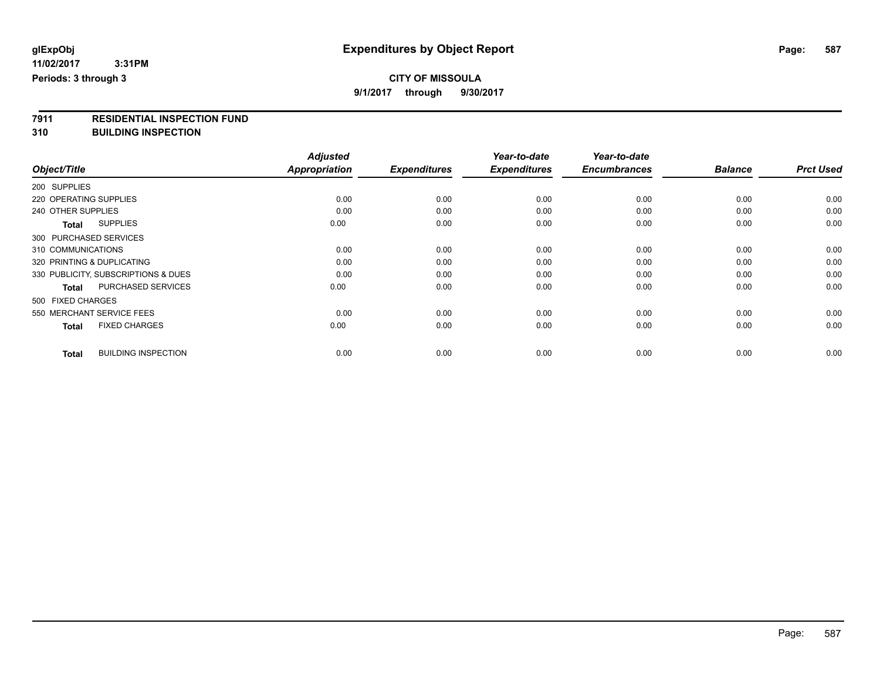# **CITY OF MISSOULA**

**9/1/2017 through 9/30/2017**

# **7911 RESIDENTIAL INSPECTION FUND**

**310 BUILDING INSPECTION**

|                                            | <b>Adjusted</b> |                     | Year-to-date        | Year-to-date        |                |                  |
|--------------------------------------------|-----------------|---------------------|---------------------|---------------------|----------------|------------------|
| Object/Title                               | Appropriation   | <b>Expenditures</b> | <b>Expenditures</b> | <b>Encumbrances</b> | <b>Balance</b> | <b>Prct Used</b> |
| 200 SUPPLIES                               |                 |                     |                     |                     |                |                  |
| 220 OPERATING SUPPLIES                     | 0.00            | 0.00                | 0.00                | 0.00                | 0.00           | 0.00             |
| 240 OTHER SUPPLIES                         | 0.00            | 0.00                | 0.00                | 0.00                | 0.00           | 0.00             |
| <b>SUPPLIES</b><br><b>Total</b>            | 0.00            | 0.00                | 0.00                | 0.00                | 0.00           | 0.00             |
| 300 PURCHASED SERVICES                     |                 |                     |                     |                     |                |                  |
| 310 COMMUNICATIONS                         | 0.00            | 0.00                | 0.00                | 0.00                | 0.00           | 0.00             |
| 320 PRINTING & DUPLICATING                 | 0.00            | 0.00                | 0.00                | 0.00                | 0.00           | 0.00             |
| 330 PUBLICITY, SUBSCRIPTIONS & DUES        | 0.00            | 0.00                | 0.00                | 0.00                | 0.00           | 0.00             |
| PURCHASED SERVICES<br><b>Total</b>         | 0.00            | 0.00                | 0.00                | 0.00                | 0.00           | 0.00             |
| 500 FIXED CHARGES                          |                 |                     |                     |                     |                |                  |
| 550 MERCHANT SERVICE FEES                  | 0.00            | 0.00                | 0.00                | 0.00                | 0.00           | 0.00             |
| <b>FIXED CHARGES</b><br><b>Total</b>       | 0.00            | 0.00                | 0.00                | 0.00                | 0.00           | 0.00             |
| <b>BUILDING INSPECTION</b><br><b>Total</b> | 0.00            | 0.00                | 0.00                | 0.00                | 0.00           | 0.00             |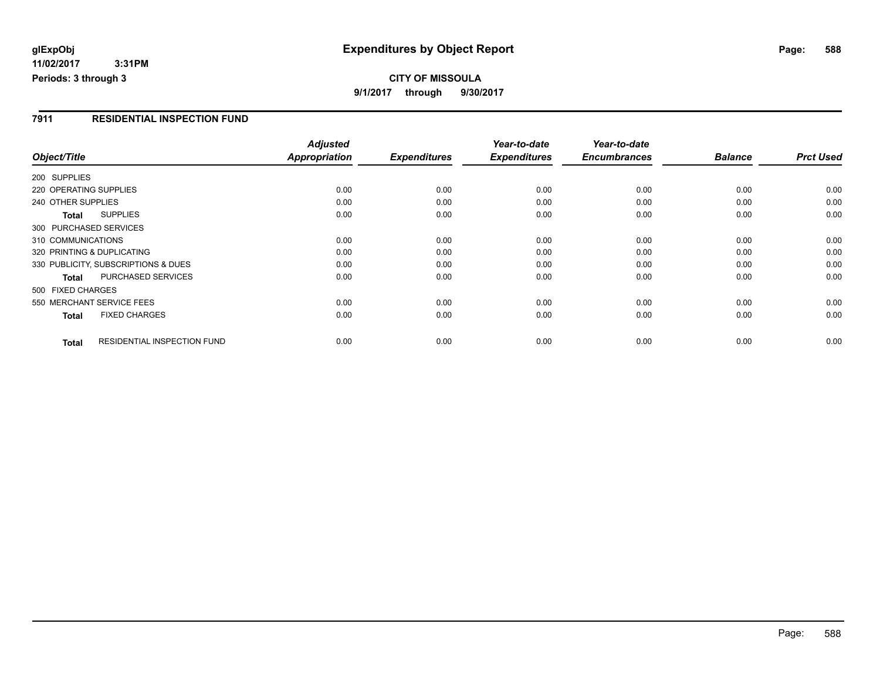## **glExpObj Expenditures by Object Report Page: 588**

**11/02/2017 3:31PM Periods: 3 through 3**

#### **7911 RESIDENTIAL INSPECTION FUND**

|                                                    | <b>Adjusted</b> |                     | Year-to-date        | Year-to-date        |                |                  |
|----------------------------------------------------|-----------------|---------------------|---------------------|---------------------|----------------|------------------|
| Object/Title                                       | Appropriation   | <b>Expenditures</b> | <b>Expenditures</b> | <b>Encumbrances</b> | <b>Balance</b> | <b>Prct Used</b> |
| 200 SUPPLIES                                       |                 |                     |                     |                     |                |                  |
| 220 OPERATING SUPPLIES                             | 0.00            | 0.00                | 0.00                | 0.00                | 0.00           | 0.00             |
| 240 OTHER SUPPLIES                                 | 0.00            | 0.00                | 0.00                | 0.00                | 0.00           | 0.00             |
| <b>SUPPLIES</b><br>Total                           | 0.00            | 0.00                | 0.00                | 0.00                | 0.00           | 0.00             |
| 300 PURCHASED SERVICES                             |                 |                     |                     |                     |                |                  |
| 310 COMMUNICATIONS                                 | 0.00            | 0.00                | 0.00                | 0.00                | 0.00           | 0.00             |
| 320 PRINTING & DUPLICATING                         | 0.00            | 0.00                | 0.00                | 0.00                | 0.00           | 0.00             |
| 330 PUBLICITY, SUBSCRIPTIONS & DUES                | 0.00            | 0.00                | 0.00                | 0.00                | 0.00           | 0.00             |
| PURCHASED SERVICES<br><b>Total</b>                 | 0.00            | 0.00                | 0.00                | 0.00                | 0.00           | 0.00             |
| 500 FIXED CHARGES                                  |                 |                     |                     |                     |                |                  |
| 550 MERCHANT SERVICE FEES                          | 0.00            | 0.00                | 0.00                | 0.00                | 0.00           | 0.00             |
| <b>FIXED CHARGES</b><br><b>Total</b>               | 0.00            | 0.00                | 0.00                | 0.00                | 0.00           | 0.00             |
| <b>RESIDENTIAL INSPECTION FUND</b><br><b>Total</b> | 0.00            | 0.00                | 0.00                | 0.00                | 0.00           | 0.00             |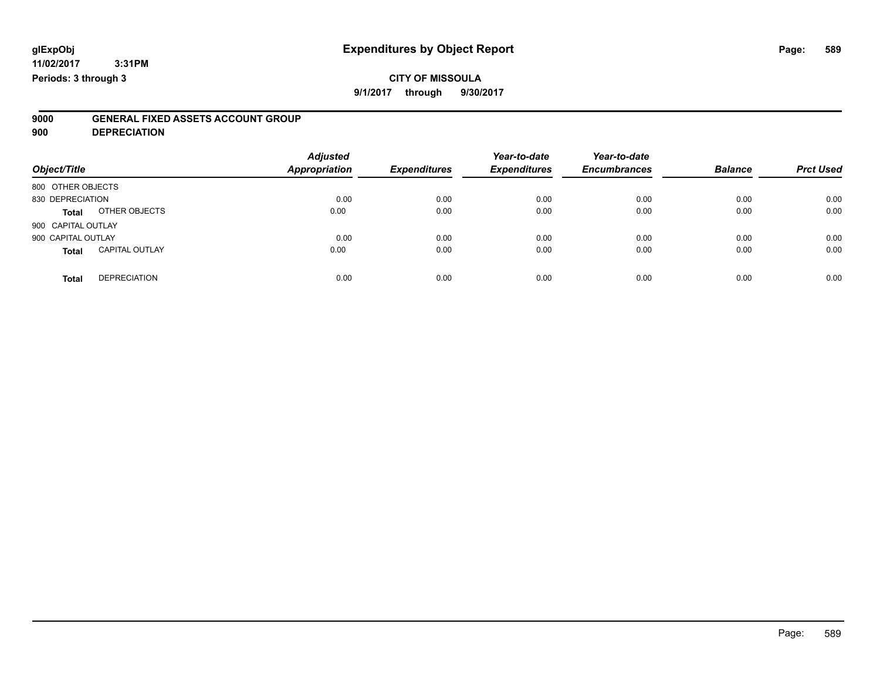# **CITY OF MISSOULA**

**9/1/2017 through 9/30/2017**

# **9000 GENERAL FIXED ASSETS ACCOUNT GROUP**

**900 DEPRECIATION**

| Object/Title                          | <b>Adjusted</b><br><b>Appropriation</b> | <b>Expenditures</b> | Year-to-date<br><b>Expenditures</b> | Year-to-date<br><b>Encumbrances</b> | <b>Balance</b> | <b>Prct Used</b> |
|---------------------------------------|-----------------------------------------|---------------------|-------------------------------------|-------------------------------------|----------------|------------------|
| 800 OTHER OBJECTS                     |                                         |                     |                                     |                                     |                |                  |
| 830 DEPRECIATION                      | 0.00                                    | 0.00                | 0.00                                | 0.00                                | 0.00           | 0.00             |
| OTHER OBJECTS<br><b>Total</b>         | 0.00                                    | 0.00                | 0.00                                | 0.00                                | 0.00           | 0.00             |
| 900 CAPITAL OUTLAY                    |                                         |                     |                                     |                                     |                |                  |
| 900 CAPITAL OUTLAY                    | 0.00                                    | 0.00                | 0.00                                | 0.00                                | 0.00           | 0.00             |
| <b>CAPITAL OUTLAY</b><br><b>Total</b> | 0.00                                    | 0.00                | 0.00                                | 0.00                                | 0.00           | 0.00             |
| <b>DEPRECIATION</b><br><b>Total</b>   | 0.00                                    | 0.00                | 0.00                                | 0.00                                | 0.00           | 0.00             |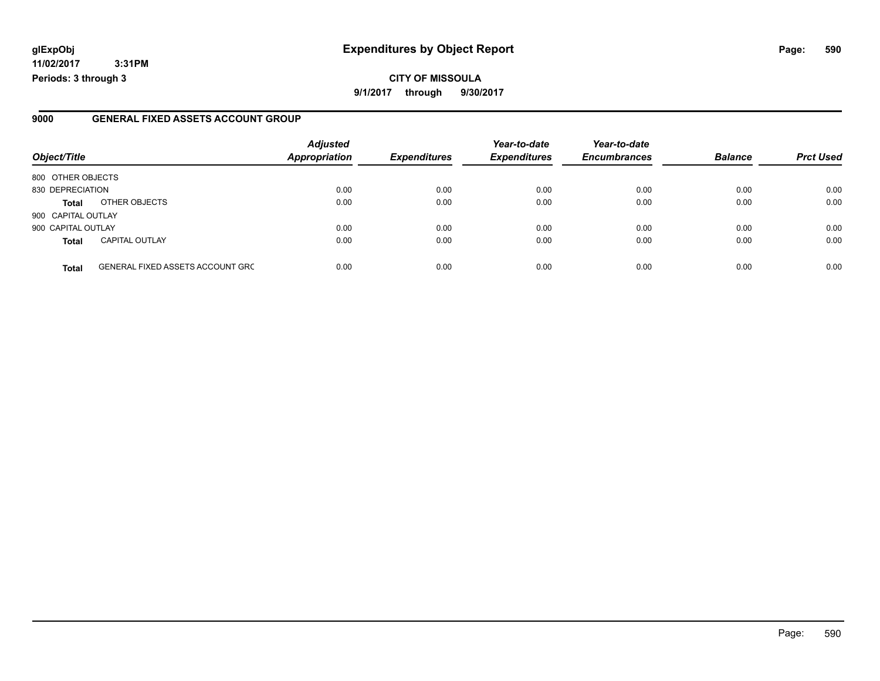# **glExpObj Expenditures by Object Report Page: 590**

**11/02/2017 3:31PM Periods: 3 through 3**

### **9000 GENERAL FIXED ASSETS ACCOUNT GROUP**

| Object/Title       |                                         | <b>Adjusted</b><br><b>Appropriation</b> | <b>Expenditures</b> | Year-to-date<br><b>Expenditures</b> | Year-to-date<br><b>Encumbrances</b> | <b>Balance</b> | <b>Prct Used</b> |
|--------------------|-----------------------------------------|-----------------------------------------|---------------------|-------------------------------------|-------------------------------------|----------------|------------------|
| 800 OTHER OBJECTS  |                                         |                                         |                     |                                     |                                     |                |                  |
| 830 DEPRECIATION   |                                         | 0.00                                    | 0.00                | 0.00                                | 0.00                                | 0.00           | 0.00             |
| <b>Total</b>       | OTHER OBJECTS                           | 0.00                                    | 0.00                | 0.00                                | 0.00                                | 0.00           | 0.00             |
| 900 CAPITAL OUTLAY |                                         |                                         |                     |                                     |                                     |                |                  |
| 900 CAPITAL OUTLAY |                                         | 0.00                                    | 0.00                | 0.00                                | 0.00                                | 0.00           | 0.00             |
| <b>Total</b>       | <b>CAPITAL OUTLAY</b>                   | 0.00                                    | 0.00                | 0.00                                | 0.00                                | 0.00           | 0.00             |
| <b>Total</b>       | <b>GENERAL FIXED ASSETS ACCOUNT GRC</b> | 0.00                                    | 0.00                | 0.00                                | 0.00                                | 0.00           | 0.00             |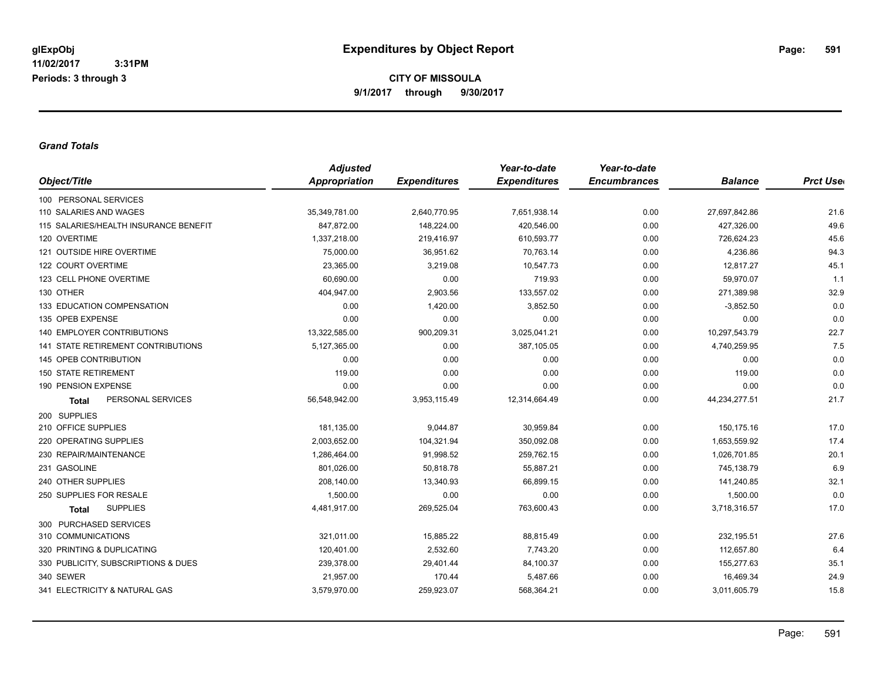#### *Grand Totals*

|                                           | <b>Adjusted</b> |                     | Year-to-date        | Year-to-date        |                |                  |
|-------------------------------------------|-----------------|---------------------|---------------------|---------------------|----------------|------------------|
| Object/Title                              | Appropriation   | <b>Expenditures</b> | <b>Expenditures</b> | <b>Encumbrances</b> | <b>Balance</b> | <b>Prct Uset</b> |
| 100 PERSONAL SERVICES                     |                 |                     |                     |                     |                |                  |
| 110 SALARIES AND WAGES                    | 35,349,781.00   | 2,640,770.95        | 7,651,938.14        | 0.00                | 27,697,842.86  | 21.6             |
| 115 SALARIES/HEALTH INSURANCE BENEFIT     | 847,872.00      | 148,224.00          | 420,546.00          | 0.00                | 427,326.00     | 49.6             |
| 120 OVERTIME                              | 1,337,218.00    | 219,416.97          | 610,593.77          | 0.00                | 726,624.23     | 45.6             |
| 121 OUTSIDE HIRE OVERTIME                 | 75,000.00       | 36,951.62           | 70,763.14           | 0.00                | 4,236.86       | 94.3             |
| 122 COURT OVERTIME                        | 23,365.00       | 3,219.08            | 10,547.73           | 0.00                | 12,817.27      | 45.1             |
| 123 CELL PHONE OVERTIME                   | 60.690.00       | 0.00                | 719.93              | 0.00                | 59.970.07      | 1.1              |
| 130 OTHER                                 | 404,947.00      | 2,903.56            | 133,557.02          | 0.00                | 271,389.98     | 32.9             |
| 133 EDUCATION COMPENSATION                | 0.00            | 1,420.00            | 3,852.50            | 0.00                | $-3,852.50$    | 0.0              |
| 135 OPEB EXPENSE                          | 0.00            | 0.00                | 0.00                | 0.00                | 0.00           | 0.0              |
| <b>140 EMPLOYER CONTRIBUTIONS</b>         | 13,322,585.00   | 900,209.31          | 3,025,041.21        | 0.00                | 10,297,543.79  | 22.7             |
| <b>141 STATE RETIREMENT CONTRIBUTIONS</b> | 5,127,365.00    | 0.00                | 387,105.05          | 0.00                | 4,740,259.95   | 7.5              |
| 145 OPEB CONTRIBUTION                     | 0.00            | 0.00                | 0.00                | 0.00                | 0.00           | 0.0              |
| <b>150 STATE RETIREMENT</b>               | 119.00          | 0.00                | 0.00                | 0.00                | 119.00         | 0.0              |
| 190 PENSION EXPENSE                       | 0.00            | 0.00                | 0.00                | 0.00                | 0.00           | 0.0              |
| PERSONAL SERVICES<br><b>Total</b>         | 56,548,942.00   | 3,953,115.49        | 12,314,664.49       | 0.00                | 44,234,277.51  | 21.7             |
| 200 SUPPLIES                              |                 |                     |                     |                     |                |                  |
| 210 OFFICE SUPPLIES                       | 181,135.00      | 9,044.87            | 30,959.84           | 0.00                | 150,175.16     | 17.0             |
| 220 OPERATING SUPPLIES                    | 2.003.652.00    | 104,321.94          | 350.092.08          | 0.00                | 1.653.559.92   | 17.4             |
| 230 REPAIR/MAINTENANCE                    | 1,286,464.00    | 91,998.52           | 259,762.15          | 0.00                | 1,026,701.85   | 20.1             |
| 231 GASOLINE                              | 801,026.00      | 50,818.78           | 55,887.21           | 0.00                | 745,138.79     | 6.9              |
| 240 OTHER SUPPLIES                        | 208,140.00      | 13,340.93           | 66,899.15           | 0.00                | 141,240.85     | 32.1             |
| 250 SUPPLIES FOR RESALE                   | 1,500.00        | 0.00                | 0.00                | 0.00                | 1,500.00       | 0.0              |
| <b>SUPPLIES</b><br><b>Total</b>           | 4,481,917.00    | 269,525.04          | 763,600.43          | 0.00                | 3,718,316.57   | 17.0             |
| 300 PURCHASED SERVICES                    |                 |                     |                     |                     |                |                  |
| 310 COMMUNICATIONS                        | 321,011.00      | 15,885.22           | 88,815.49           | 0.00                | 232,195.51     | 27.6             |
| 320 PRINTING & DUPLICATING                | 120,401.00      | 2,532.60            | 7,743.20            | 0.00                | 112,657.80     | 6.4              |
| 330 PUBLICITY, SUBSCRIPTIONS & DUES       | 239,378.00      | 29,401.44           | 84,100.37           | 0.00                | 155,277.63     | 35.1             |
| 340 SEWER                                 | 21,957.00       | 170.44              | 5,487.66            | 0.00                | 16,469.34      | 24.9             |
| 341 ELECTRICITY & NATURAL GAS             | 3,579,970.00    | 259,923.07          | 568,364.21          | 0.00                | 3,011,605.79   | 15.8             |
|                                           |                 |                     |                     |                     |                |                  |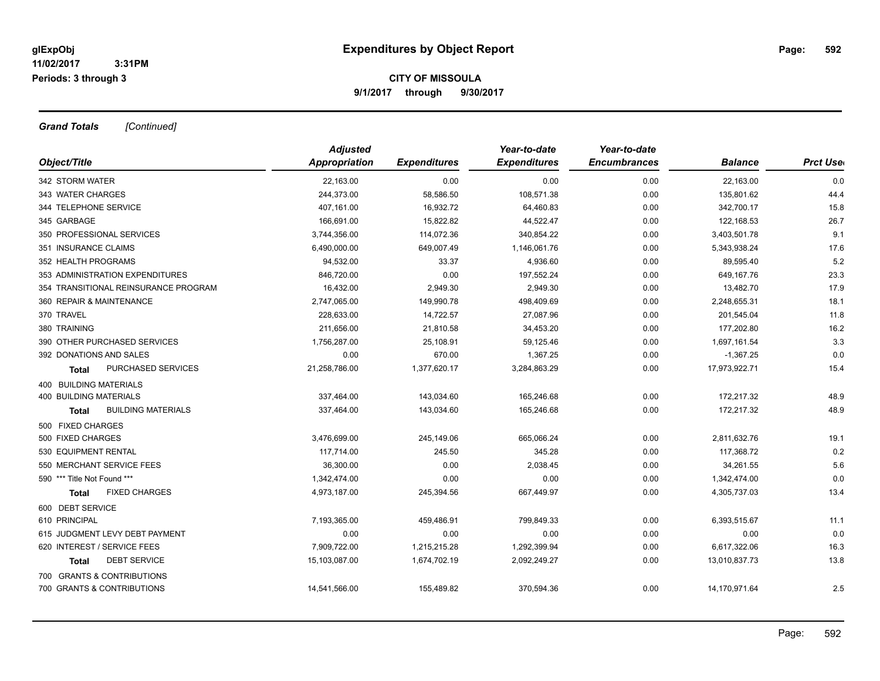*Grand Totals [Continued]*

|                                      | <b>Adjusted</b> |                     | Year-to-date        | Year-to-date        |                |                  |
|--------------------------------------|-----------------|---------------------|---------------------|---------------------|----------------|------------------|
| Object/Title                         | Appropriation   | <b>Expenditures</b> | <b>Expenditures</b> | <b>Encumbrances</b> | <b>Balance</b> | <b>Prct Uset</b> |
| 342 STORM WATER                      | 22,163.00       | 0.00                | 0.00                | 0.00                | 22,163.00      | 0.0              |
| 343 WATER CHARGES                    | 244,373.00      | 58,586.50           | 108,571.38          | 0.00                | 135,801.62     | 44.4             |
| 344 TELEPHONE SERVICE                | 407,161.00      | 16,932.72           | 64,460.83           | 0.00                | 342,700.17     | 15.8             |
| 345 GARBAGE                          | 166,691.00      | 15,822.82           | 44,522.47           | 0.00                | 122,168.53     | 26.7             |
| 350 PROFESSIONAL SERVICES            | 3,744,356.00    | 114,072.36          | 340,854.22          | 0.00                | 3,403,501.78   | 9.1              |
| 351 INSURANCE CLAIMS                 | 6,490,000.00    | 649,007.49          | 1,146,061.76        | 0.00                | 5,343,938.24   | 17.6             |
| 352 HEALTH PROGRAMS                  | 94,532.00       | 33.37               | 4,936.60            | 0.00                | 89,595.40      | 5.2              |
| 353 ADMINISTRATION EXPENDITURES      | 846.720.00      | 0.00                | 197,552.24          | 0.00                | 649.167.76     | 23.3             |
| 354 TRANSITIONAL REINSURANCE PROGRAM | 16,432.00       | 2,949.30            | 2,949.30            | 0.00                | 13,482.70      | 17.9             |
| 360 REPAIR & MAINTENANCE             | 2,747,065.00    | 149,990.78          | 498,409.69          | 0.00                | 2,248,655.31   | 18.1             |
| 370 TRAVEL                           | 228,633.00      | 14,722.57           | 27,087.96           | 0.00                | 201,545.04     | 11.8             |
| 380 TRAINING                         | 211,656.00      | 21,810.58           | 34,453.20           | 0.00                | 177,202.80     | 16.2             |
| 390 OTHER PURCHASED SERVICES         | 1,756,287.00    | 25,108.91           | 59,125.46           | 0.00                | 1,697,161.54   | 3.3              |
| 392 DONATIONS AND SALES              | 0.00            | 670.00              | 1,367.25            | 0.00                | $-1,367.25$    | 0.0              |
| PURCHASED SERVICES<br><b>Total</b>   | 21,258,786.00   | 1,377,620.17        | 3,284,863.29        | 0.00                | 17,973,922.71  | 15.4             |
| 400 BUILDING MATERIALS               |                 |                     |                     |                     |                |                  |
| <b>400 BUILDING MATERIALS</b>        | 337,464.00      | 143,034.60          | 165,246.68          | 0.00                | 172,217.32     | 48.9             |
| <b>BUILDING MATERIALS</b><br>Total   | 337,464.00      | 143,034.60          | 165,246.68          | 0.00                | 172,217.32     | 48.9             |
| 500 FIXED CHARGES                    |                 |                     |                     |                     |                |                  |
| 500 FIXED CHARGES                    | 3,476,699.00    | 245,149.06          | 665,066.24          | 0.00                | 2,811,632.76   | 19.1             |
| 530 EQUIPMENT RENTAL                 | 117,714.00      | 245.50              | 345.28              | 0.00                | 117,368.72     | 0.2              |
| 550 MERCHANT SERVICE FEES            | 36,300.00       | 0.00                | 2,038.45            | 0.00                | 34,261.55      | 5.6              |
| 590 *** Title Not Found ***          | 1,342,474.00    | 0.00                | 0.00                | 0.00                | 1,342,474.00   | 0.0              |
| <b>FIXED CHARGES</b><br><b>Total</b> | 4,973,187.00    | 245,394.56          | 667,449.97          | 0.00                | 4,305,737.03   | 13.4             |
| 600 DEBT SERVICE                     |                 |                     |                     |                     |                |                  |
| 610 PRINCIPAL                        | 7,193,365.00    | 459,486.91          | 799,849.33          | 0.00                | 6,393,515.67   | 11.1             |
| 615 JUDGMENT LEVY DEBT PAYMENT       | 0.00            | 0.00                | 0.00                | 0.00                | 0.00           | 0.0              |
| 620 INTEREST / SERVICE FEES          | 7,909,722.00    | 1,215,215.28        | 1,292,399.94        | 0.00                | 6,617,322.06   | 16.3             |
| <b>DEBT SERVICE</b><br>Total         | 15,103,087.00   | 1,674,702.19        | 2,092,249.27        | 0.00                | 13,010,837.73  | 13.8             |
| 700 GRANTS & CONTRIBUTIONS           |                 |                     |                     |                     |                |                  |
| 700 GRANTS & CONTRIBUTIONS           | 14,541,566.00   | 155,489.82          | 370,594.36          | 0.00                | 14,170,971.64  | 2.5              |
|                                      |                 |                     |                     |                     |                |                  |